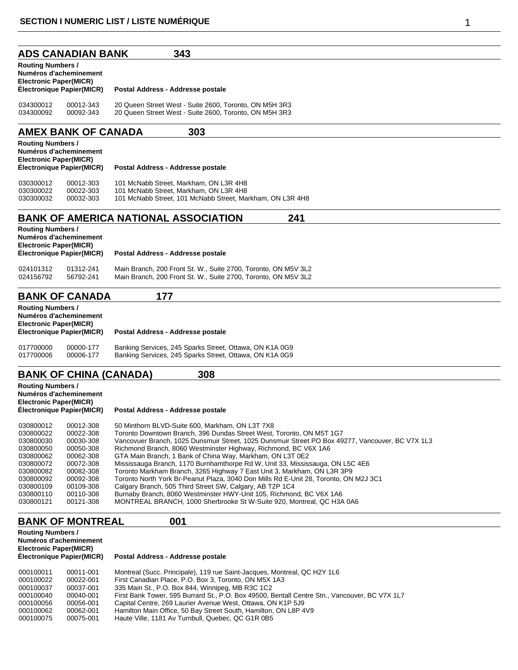### **ADS CANADIAN BANK 343**

| <b>Routing Numbers /</b><br>Numéros d'acheminement<br><b>Electronic Paper(MICR)</b><br><b>Électronique Papier(MICR)</b> |           | Postal Address - Addresse postale                      |  |
|-------------------------------------------------------------------------------------------------------------------------|-----------|--------------------------------------------------------|--|
| 034300012                                                                                                               | 00012-343 | 20 Queen Street West - Suite 2600, Toronto, ON M5H 3R3 |  |
| 034300092                                                                                                               | 00092-343 | 20 Queen Street West - Suite 2600, Toronto, ON M5H 3R3 |  |

## **AMEX BANK OF CANADA 303**

| <b>Routing Numbers /</b><br>Numéros d'acheminement<br><b>Electronic Paper(MICR)</b><br>Electronique Papier(MICR) |           | Postal Address - Addresse postale                         |  |
|------------------------------------------------------------------------------------------------------------------|-----------|-----------------------------------------------------------|--|
| 030300012                                                                                                        | 00012-303 | 101 McNabb Street. Markham. ON L3R 4H8                    |  |
| 030300022                                                                                                        | 00022-303 | 101 McNabb Street. Markham. ON L3R 4H8                    |  |
| 030300032                                                                                                        | 00032-303 | 101 McNabb Street, 101 McNabb Street, Markham, ON L3R 4H8 |  |

## **BANK OF AMERICA NATIONAL ASSOCIATION 241**

| <b>Routing Numbers /</b><br>Numéros d'acheminement<br><b>Electronic Paper(MICR)</b><br>Électronique Papier(MICR) |           | Postal Address - Addresse postale                              |  |
|------------------------------------------------------------------------------------------------------------------|-----------|----------------------------------------------------------------|--|
| 024101312                                                                                                        | 01312-241 | Main Branch, 200 Front St. W., Suite 2700, Toronto, ON M5V 3L2 |  |
| 024156792                                                                                                        | 56792-241 | Main Branch. 200 Front St. W., Suite 2700. Toronto. ON M5V 3L2 |  |

## **BANK OF CANADA 177**

| <b>Routing Numbers /</b><br><b>Electronic Paper(MICR)</b> | Numéros d'acheminement<br>Électronique Papier(MICR) | Postal Address - Addresse postale                       |  |
|-----------------------------------------------------------|-----------------------------------------------------|---------------------------------------------------------|--|
| 017700000                                                 | 00000-177                                           | Banking Services, 245 Sparks Street, Ottawa, ON K1A 0G9 |  |
| 017700006                                                 | 00006-177                                           | Banking Services, 245 Sparks Street, Ottawa, ON K1A 0G9 |  |

# **BANK OF CHINA (CANADA) 308**

| Vancovuer Branch, 1025 Dunsmuir Street, 1025 Dunsmuir Street PO Box 49277, Vancouver, BC V7X 1L3 |
|--------------------------------------------------------------------------------------------------|
|                                                                                                  |
|                                                                                                  |
|                                                                                                  |
|                                                                                                  |
|                                                                                                  |

- 030800092 00092-308 Toronto North York Br-Peanut Plaza, 3040 Don Mills Rd E-Unit 28, Toronto, ON M2J 3C1
- 030800109 00109-308 Calgary Branch, 505 Third Street SW, Calgary, AB T2P 1C4 030800110 00110-308 Burnaby Branch, 8060 Westminster HWY-Unit 105, Richmond, BC V6X 1A6
- 030800121 00121-308 MONTREAL BRANCH, 1000 Sherbrooke St W-Suite 920, Montreal, QC H3A 0A6

#### **BANK OF MONTREAL 001 Routing Numbers /**

| Routing Numbers /<br>Numéros d'acheminement<br><b>Electronic Paper(MICR)</b><br>Électronique Papier(MICR) |           | Postal Address - Addresse postale                                                             |  |
|-----------------------------------------------------------------------------------------------------------|-----------|-----------------------------------------------------------------------------------------------|--|
| 000100011                                                                                                 | 00011-001 | Montreal (Succ. Principale), 119 rue Saint-Jacques, Montreal, QC H2Y 1L6                      |  |
| 000100022                                                                                                 | 00022-001 | First Canadian Place, P.O. Box 3, Toronto, ON M5X 1A3                                         |  |
| 000100037                                                                                                 | 00037-001 | 335 Main St., P.O. Box 844, Winnipeg, MB R3C 1C2                                              |  |
| 000100040                                                                                                 | 00040-001 | First Bank Tower, 595 Burrard St., P.O. Box 49500, Bentall Centre Stn., Vancouver, BC V7X 1L7 |  |
| 000100056                                                                                                 | 00056-001 | Capital Centre, 269 Laurier Avenue West, Ottawa, ON K1P 5J9                                   |  |
| 000100062                                                                                                 | 00062-001 | Hamilton Main Office, 50 Bay Street South, Hamilton, ON L8P 4V9                               |  |

000100075 00075-001 Haute Ville, 1181 Av Turnbull, Quebec, QC G1R 0B5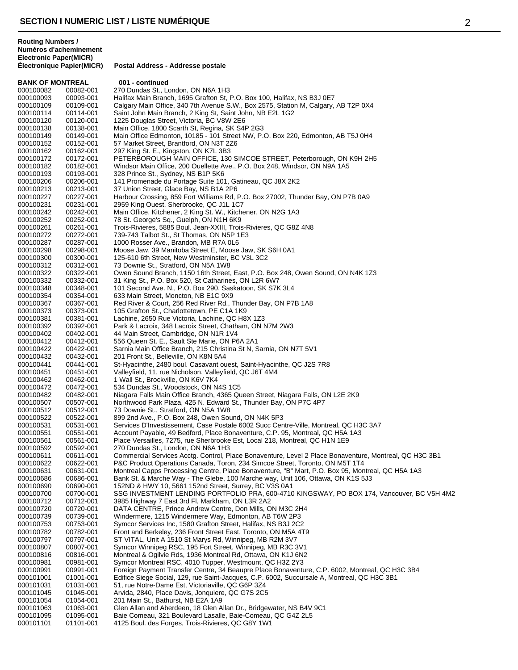**BANK OF MONTREAL 001 - continued**<br>000100082 00082-001 270 Dundas St. Le 00082-001 270 Dundas St., London, ON N6A 1H3 00093-001 Halifax Main Branch, 1695 Grafton St, P.O. Box 100, Halifax, NS B3J 0E7 Calgary Main Office, 340 7th Avenue S.W., Box 2575, Station M, Calgary, AB T2P 0X4 00114-001 Saint John Main Branch, 2 King St, Saint John, NB E2L 1G2 00120-001 1225 Douglas Street, Victoria, BC V8W 2E6 00138-001 Main Office, 1800 Scarth St, Regina, SK S4P 2G3 00149-001 Main Office Edmonton, 10185 - 101 Street NW, P.O. Box 220, Edmonton, AB T5J 0H4 57 Market Street, Brantford, ON N3T 2Z6 00162-001 297 King St. E., Kingston, ON K7L 3B3 00172-001 PETERBOROUGH MAIN OFFICE, 130 SIMCOE STREET, Peterborough, ON K9H 2H5 00182-001 Windsor Main Office, 200 Ouellette Ave., P.O. Box 248, Windsor, ON N9A 1A5 00193-001 328 Prince St., Sydney, NS B1P 5K6 000100206 00206-001 141 Promenade du Portage Suite 101, Gatineau, QC J8X 2K2<br>000100213 00213-001 37 Union Street, Glace Bay, NS B1A 2P6 00213-001 37 Union Street, Glace Bay, NS B1A 2P6 Harbour Crossing, 859 Fort Williams Rd, P.O. Box 27002, Thunder Bay, ON P7B 0A9 00231-001 2959 King Ouest, Sherbrooke, QC J1L 1C7 00242-001 Main Office, Kitchener, 2 King St. W., Kitchener, ON N2G 1A3 00252-001 78 St. George's Sq., Guelph, ON N1H 6K9 00261-001 Trois-Rivieres, 5885 Boul. Jean-XXIII, Trois-Rivieres, QC G8Z 4N8 739-743 Talbot St., St Thomas, ON N5P 1E3 00287-001 1000 Rosser Ave., Brandon, MB R7A 0L6 Moose Jaw, 39 Manitoba Street E, Moose Jaw, SK S6H 0A1 00300-001 125-610 6th Street, New Westminster, BC V3L 3C2 00312-001 73 Downie St., Stratford, ON N5A 1W8 Owen Sound Branch, 1150 16th Street, East, P.O. Box 248, Owen Sound, ON N4K 1Z3 00332-001 31 King St., P.O. Box 520, St Catharines, ON L2R 6W7 101 Second Ave. N., P.O. Box 290, Saskatoon, SK S7K 3L4 00354-001 633 Main Street, Moncton, NB E1C 9X9 00367-001 Red River & Court, 256 Red River Rd., Thunder Bay, ON P7B 1A8 105 Grafton St., Charlottetown, PE C1A 1K9 00381-001 Lachine, 2650 Rue Victoria, Lachine, QC H8X 1Z3 00392-001 Park & Lacroix, 348 Lacroix Street, Chatham, ON N7M 2W3 00402-001 44 Main Street, Cambridge, ON N1R 1V4 00412-001 556 Queen St. E., Sault Ste Marie, ON P6A 2A1 00422-001 Sarnia Main Office Branch, 215 Christina St N, Sarnia, ON N7T 5V1 00432-001 201 Front St., Belleville, ON K8N 5A4 St-Hyacinthe, 2480 boul. Casavant ouest, Saint-Hyacinthe, QC J2S 7R8 00451-001 Valleyfield, 11, rue Nicholson, Valleyfield, QC J6T 4M4 00462-001 1 Wall St., Brockville, ON K6V 7K4 00472-001 534 Dundas St., Woodstock, ON N4S 1C5 00482-001 Niagara Falls Main Office Branch, 4365 Queen Street, Niagara Falls, ON L2E 2K9 Northwood Park Plaza, 425 N. Edward St., Thunder Bay, ON P7C 4P7 00512-001 73 Downie St., Stratford, ON N5A 1W8 00522-001 899 2nd Ave., P.O. Box 248, Owen Sound, ON N4K 5P3 000100531 00531-001 Services D'Investissement, Case Postale 6002 Succ Centre-Ville, Montreal, QC H3C 3A7<br>000100551 00551-001 Account Payable, 49 Bedford, Place Bonaventure, C.P. 95, Montreal, QC H5A 1A3 000100551 00551-001 Account Payable, 49 Bedford, Place Bonaventure, C.P. 95, Montreal, QC H5A 1A3<br>000100561 00561-001 Place Versailles. 7275. rue Sherbrooke Est. Local 218. Montreal. QC H1N 1E9 Place Versailles, 7275, rue Sherbrooke Est, Local 218, Montreal, QC H1N 1E9 00592-001 270 Dundas St., London, ON N6A 1H3 Commercial Services Acctg. Control, Place Bonaventure, Level 2 Place Bonaventure, Montreal, QC H3C 3B1 000100622 00622-001 P&C Product Operations Canada, Toron, 234 Simcoe Street, Toronto, ON M5T 1T4<br>000100631 00631-001 Montreal Capps Processing Centre, Place Bonaventure, "B" Mart, P.O. Box 95, Mon 000100631 00631-001 Montreal Capps Processing Centre, Place Bonaventure, "B" Mart, P.O. Box 95, Montreal, QC H5A 1A3<br>000100686 00686-001 Bank St. & Marche Wav - The Glebe. 100 Marche wav. Unit 106. Ottawa. ON K1S 5J3 Bank St. & Marche Way - The Glebe, 100 Marche way, Unit 106, Ottawa, ON K1S 5J3 00690-001 152ND & HWY 10, 5661 152nd Street, Surrey, BC V3S 0A1 000100700 00700-001 SSG INVESTMENT LENDING PORTFOLIO PRA, 600-4710 KINGSWAY, PO BOX 174, Vancouver, BC V5H 4M2<br>000100712 00712-001 3985 Highway 7 East 3rd Fl, Markham, ON L3R 2A2 00712-001 3985 Highway 7 East 3rd Fl, Markham, ON L3R 2A2 00720-001 DATA CENTRE, Prince Andrew Centre, Don Mills, ON M3C 2H4 00739-001 Windermere, 1215 Windermere Way, Edmonton, AB T6W 2P3 000100753 00753-001 Symcor Services Inc, 1580 Grafton Street, Halifax, NS B3J 2C2<br>000100782 00782-001 Front and Berkeley, 236 Front Street East, Toronto, ON M5A 4T 000100782 00782-001 Front and Berkeley, 236 Front Street East, Toronto, ON M5A 4T9<br>000100797 00797-001 ST VITAL, Unit A 1510 St Marys Rd, Winnipeg, MB R2M 3V7 00797-001 ST VITAL, Unit A 1510 St Marys Rd, Winnipeg, MB R2M 3V7 00807-001 Symcor Winnipeg RSC, 195 Fort Street, Winnipeg, MB R3C 3V1 00816-001 Montreal & Ogilvie Rds, 1936 Montreal Rd, Ottawa, ON K1J 6N2 00981-001 Symcor Montreal RSC, 4010 Tupper, Westmount, QC H3Z 2Y3 Foreign Payment Transfer Centre, 34 Beaupre Place Bonaventure, C.P. 6002, Montreal, QC H3C 3B4 000101001 01001-001 Edifice Siege Social, 129, rue Saint-Jacques, C.P. 6002, Succursale A, Montreal, QC H3C 3B1<br>000101031 01031-001 51, rue Notre-Dame Est, Victoriaville, QC G6P 3Z4 01031-001 51, rue Notre-Dame Est, Victoriaville, QC G6P 3Z4 01045-001 Arvida, 2840, Place Davis, Jonquiere, QC G7S 2C5 01054-001 201 Main St., Bathurst, NB E2A 1A9 Glen Allan and Aberdeen, 18 Glen Allan Dr., Bridgewater, NS B4V 9C1 000101095 01095-001 Baie Comeau, 321 Boulevard Lasalle, Baie-Comeau, QC G4Z 2L5<br>000101101 01101-001 4125 Boul. des Forges, Trois-Rivieres, QC G8Y 1W1 4125 Boul. des Forges, Trois-Rivieres, QC G8Y 1W1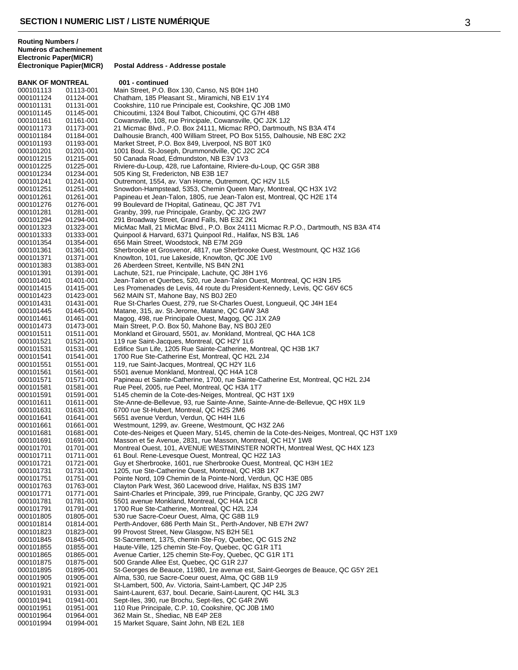|                        | BANK OF MONTREAL       | 001 - continued                                                                                                                   |
|------------------------|------------------------|-----------------------------------------------------------------------------------------------------------------------------------|
| 000101113              | 01113-001              | Main Street, P.O. Box 130, Canso, NS B0H 1H0                                                                                      |
| 000101124              | 01124-001              | Chatham, 185 Pleasant St., Miramichi, NB E1V 1Y4                                                                                  |
| 000101131              | 01131-001              | Cookshire, 110 rue Principale est, Cookshire, QC J0B 1M0                                                                          |
| 000101145              | 01145-001              | Chicoutimi, 1324 Boul Talbot, Chicoutimi, QC G7H 4B8                                                                              |
| 000101161<br>000101173 | 01161-001<br>01173-001 | Cowansville, 108, rue Principale, Cowansville, QC J2K 1J2<br>21 Micmac Blvd., P.O. Box 24111, Micmac RPO, Dartmouth, NS B3A 4T4   |
| 000101184              | 01184-001              | Dalhousie Branch, 400 William Street, PO Box 5155, Dalhousie, NB E8C 2X2                                                          |
| 000101193              | 01193-001              | Market Street, P.O. Box 849, Liverpool, NS B0T 1K0                                                                                |
| 000101201              | 01201-001              | 1001 Boul. St-Joseph, Drummondville, QC J2C 2C4                                                                                   |
| 000101215              | 01215-001              | 50 Canada Road, Edmundston, NB E3V 1V3                                                                                            |
| 000101225              | 01225-001              | Riviere-du-Loup, 428, rue Lafontaine, Riviere-du-Loup, QC G5R 3B8                                                                 |
| 000101234              | 01234-001              | 505 King St, Fredericton, NB E3B 1E7                                                                                              |
| 000101241              | 01241-001              | Outremont, 1554, av. Van Horne, Outremont, QC H2V 1L5                                                                             |
| 000101251              | 01251-001              | Snowdon-Hampstead, 5353, Chemin Queen Mary, Montreal, QC H3X 1V2                                                                  |
| 000101261              | 01261-001              | Papineau et Jean-Talon, 1805, rue Jean-Talon est, Montreal, QC H2E 1T4                                                            |
| 000101276              | 01276-001              | 99 Boulevard de l'Hopital, Gatineau, QC J8T 7V1                                                                                   |
| 000101281              | 01281-001              | Granby, 399, rue Principale, Granby, QC J2G 2W7                                                                                   |
| 000101294<br>000101323 | 01294-001<br>01323-001 | 291 Broadway Street, Grand Falls, NB E3Z 2K1<br>MicMac Mall, 21 MicMac Blvd., P.O. Box 24111 Micmac R.P.O., Dartmouth, NS B3A 4T4 |
| 000101333              | 01333-001              | Quinpool & Harvard, 6371 Quinpool Rd., Halifax, NS B3L 1A6                                                                        |
| 000101354              | 01354-001              | 656 Main Street, Woodstock, NB E7M 2G9                                                                                            |
| 000101361              | 01361-001              | Sherbrooke et Grosvenor, 4817, rue Sherbrooke Ouest, Westmount, QC H3Z 1G6                                                        |
| 000101371              | 01371-001              | Knowlton, 101, rue Lakeside, Knowlton, QC J0E 1V0                                                                                 |
| 000101383              | 01383-001              | 26 Aberdeen Street, Kentville, NS B4N 2N1                                                                                         |
| 000101391              | 01391-001              | Lachute, 521, rue Principale, Lachute, QC J8H 1Y6                                                                                 |
| 000101401              | 01401-001              | Jean-Talon et Querbes, 520, rue Jean-Talon Ouest, Montreal, QC H3N 1R5                                                            |
| 000101415              | 01415-001              | Les Promenades de Levis, 44 route du President-Kennedy, Levis, QC G6V 6C5                                                         |
| 000101423              | 01423-001              | 562 MAIN ST, Mahone Bay, NS B0J 2E0                                                                                               |
| 000101431              | 01431-001              | Rue St-Charles Ouest, 279, rue St-Charles Ouest, Longueuil, QC J4H 1E4                                                            |
| 000101445              | 01445-001              | Matane, 315, av. St-Jerome, Matane, QC G4W 3A8                                                                                    |
| 000101461<br>000101473 | 01461-001<br>01473-001 | Magog, 498, rue Principale Ouest, Magog, QC J1X 2A9<br>Main Street, P.O. Box 50, Mahone Bay, NS B0J 2E0                           |
| 000101511              | 01511-001              | Monkland et Girouard, 5501, av. Monkland, Montreal, QC H4A 1C8                                                                    |
| 000101521              | 01521-001              | 119 rue Saint-Jacques, Montreal, QC H2Y 1L6                                                                                       |
| 000101531              | 01531-001              | Edifice Sun Life, 1205 Rue Sainte-Catherine, Montreal, QC H3B 1K7                                                                 |
| 000101541              | 01541-001              | 1700 Rue Ste-Catherine Est, Montreal, QC H2L 2J4                                                                                  |
| 000101551              | 01551-001              | 119, rue Saint-Jacques, Montreal, QC H2Y 1L6                                                                                      |
| 000101561              | 01561-001              | 5501 avenue Monkland, Montreal, QC H4A 1C8                                                                                        |
| 000101571              | 01571-001              | Papineau et Sainte-Catherine, 1700, rue Sainte-Catherine Est, Montreal, QC H2L 2J4                                                |
| 000101581              | 01581-001              | Rue Peel, 2005, rue Peel, Montreal, QC H3A 1T7                                                                                    |
| 000101591              | 01591-001              | 5145 chemin de la Cote-des-Neiges, Montreal, QC H3T 1X9                                                                           |
| 000101611              | 01611-001              | Ste-Anne-de-Bellevue, 93, rue Sainte-Anne, Sainte-Anne-de-Bellevue, QC H9X 1L9                                                    |
| 000101631<br>000101641 | 01631-001<br>01641-001 | 6700 rue St-Hubert, Montreal, QC H2S 2M6<br>5651 avenue Verdun, Verdun, QC H4H 1L6                                                |
| 000101661              | 01661-001              | Westmount, 1299, av. Greene, Westmount, QC H3Z 2A6                                                                                |
| 000101681              | 01681-001              | Cote-des-Neiges et Queen Mary, 5145, chemin de la Cote-des-Neiges, Montreal, QC H3T 1X9                                           |
| 000101691              | 01691-001              | Masson et 5e Avenue, 2831, rue Masson, Montreal, QC H1Y 1W8                                                                       |
| 000101701              | 01701-001              | Montreal Ouest, 101, AVENUE WESTMINSTER NORTH, Montreal West, QC H4X 1Z3                                                          |
| 000101711              | 01711-001              | 61 Boul. Rene-Levesque Ouest, Montreal, QC H2Z 1A3                                                                                |
| 000101721              | 01721-001              | Guy et Sherbrooke, 1601, rue Sherbrooke Ouest, Montreal, QC H3H 1E2                                                               |
| 000101731              | 01731-001              | 1205, rue Ste-Catherine Ouest, Montreal, QC H3B 1K7                                                                               |
| 000101751              | 01751-001              | Pointe Nord, 109 Chemin de la Pointe-Nord, Verdun, QC H3E 0B5                                                                     |
| 000101763              | 01763-001              | Clayton Park West, 360 Lacewood drive, Halifax, NS B3S 1M7                                                                        |
| 000101771              | 01771-001              | Saint-Charles et Principale, 399, rue Principale, Granby, QC J2G 2W7<br>5501 avenue Monkland, Montreal, QC H4A 1C8                |
| 000101781<br>000101791 | 01781-001<br>01791-001 | 1700 Rue Ste-Catherine, Montreal, QC H2L 2J4                                                                                      |
| 000101805              | 01805-001              | 530 rue Sacre-Coeur Ouest, Alma, QC G8B 1L9                                                                                       |
| 000101814              | 01814-001              | Perth-Andover, 686 Perth Main St., Perth-Andover, NB E7H 2W7                                                                      |
| 000101823              | 01823-001              | 99 Provost Street, New Glasgow, NS B2H 5E1                                                                                        |
| 000101845              | 01845-001              | St-Sacrement, 1375, chemin Ste-Foy, Quebec, QC G1S 2N2                                                                            |
| 000101855              | 01855-001              | Haute-Ville, 125 chemin Ste-Foy, Quebec, QC G1R 1T1                                                                               |
| 000101865              | 01865-001              | Avenue Cartier, 125 chemin Ste-Foy, Quebec, QC G1R 1T1                                                                            |
| 000101875              | 01875-001              | 500 Grande Allee Est, Quebec, QC G1R 2J7                                                                                          |
| 000101895              | 01895-001              | St-Georges de Beauce, 11980, 1re avenue est, Saint-Georges de Beauce, QC G5Y 2E1                                                  |
| 000101905              | 01905-001              | Alma, 530, rue Sacre-Coeur ouest, Alma, QC G8B 1L9                                                                                |
| 000101921              | 01921-001              | St-Lambert, 500, Av. Victoria, Saint-Lambert, QC J4P 2J5                                                                          |
| 000101931<br>000101941 | 01931-001<br>01941-001 | Saint-Laurent, 637, boul. Decarie, Saint-Laurent, QC H4L 3L3<br>Sept-Iles, 390, rue Brochu, Sept-Iles, QC G4R 2W6                 |
| 000101951              | 01951-001              | 110 Rue Principale, C.P. 10, Cookshire, QC J0B 1M0                                                                                |
| 000101964              | 01964-001              | 362 Main St., Shediac, NB E4P 2E8                                                                                                 |
| 000101994              | 01994-001              | 15 Market Square, Saint John, NB E2L 1E8                                                                                          |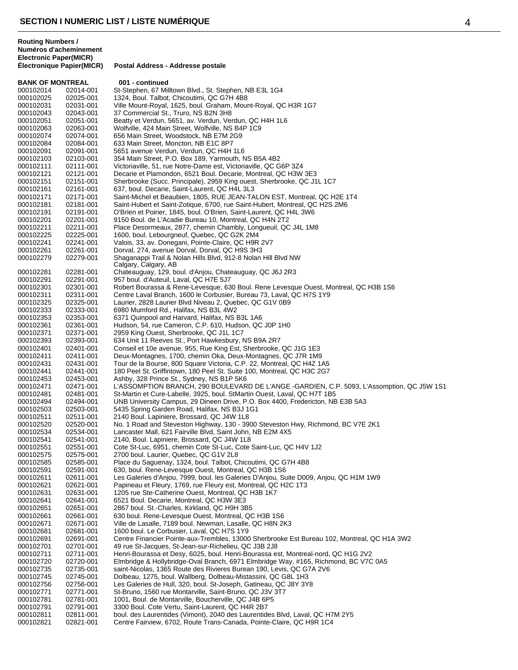**BANK OF MONTREAL 001 - continued**<br>000102014 02014-001 St-Stephen, 67 Mil 000102014 02014-001 St-Stephen, 67 Milltown Blvd., St. Stephen, NB E3L 1G4<br>000102025 02025-001 1324, Boul. Talbot, Chicoutimi, QC G7H 4B8 02025-001 1324, Boul. Talbot, Chicoutimi, QC G7H 4B8 Ville Mount-Royal, 1625, boul. Graham, Mount-Royal, QC H3R 1G7 02043-001 37 Commercial St., Truro, NS B2N 3H8 Beatty et Verdun, 5651, av. Verdun, Verdun, QC H4H 1L6 000102063 02063-001 Wolfville, 424 Main Street, Wolfville, NS B4P 1C9<br>000102074 02074-001 656 Main Street, Woodstock, NB E7M 2G9 02074-001 656 Main Street, Woodstock, NB E7M 2G9 633 Main Street, Moncton, NB E1C 8P7 02091-001 5651 avenue Verdun, Verdun, QC H4H 1L6 000102103 02103-001 354 Main Street, P.O. Box 189, Yarmouth, NS B5A 4B2<br>000102111 02111-001 Victoriaville, 51, rue Notre-Dame est, Victoriaville, QC G 02111-001 Victoriaville, 51, rue Notre-Dame est, Victoriaville, QC G6P 3Z4 02121-001 Decarie et Plamondon, 6521 Boul. Decarie, Montreal, QC H3W 3E3 000102151 02151-001 Sherbrooke (Succ. Principale), 2959 King ouest, Sherbrooke, QC J1L 1C7<br>000102161 02161-001 637, boul. Decarie, Saint-Laurent, QC H4L 3L3 02161-001 637, boul. Decarie, Saint-Laurent, QC H4L 3L3 Saint-Michel et Beaubien, 1805, RUE JEAN-TALON EST, Montreal, QC H2E 1T4 02181-001 Saint-Hubert et Saint-Zotique, 6700, rue Saint-Hubert, Montreal, QC H2S 2M6 000102191 02191-001 O'Brien et Poirier, 1845, boul. O'Brien, Saint-Laurent, QC H4L 3W6<br>000102201 02201-001 9150 Boul. de L'Acadie Bureau 10. Montreal. OC H4N 2T2 000102201 02201-001 9150 Boul. de L'Acadie Bureau 10, Montreal, QC H4N 2T2<br>000102211 02211-001 Place Desormeaux, 2877, chemin Chambly, Longueuil, QC 000102211 02211-001 Place Desormeaux, 2877, chemin Chambly, Longueuil, QC J4L 1M8<br>000102225 02225-001 1600. boul. Lebourgneuf. Quebec. QC G2K 2M4 1600. boul. Lebourgneuf, Quebec, QC G2K 2M4 000102241 02241-001 Valois, 33, av. Donegani, Pointe-Claire, QC H9R 2V7<br>000102261 02261-001 Dorval, 274, avenue Dorval, Dorval, QC H9S 3H3 Dorval, 274, avenue Dorval, Dorval, QC H9S 3H3 02279-001 Shaganappi Trail & Nolan Hills Blvd, 912-8 Nolan Hill Blvd NW Calgary, Calgary, AB 02281-001 Chateauguay, 129, boul. d'Anjou, Chateauguay, QC J6J 2R3 02291-001 957 boul. d'Auteuil, Laval, QC H7E 5J7 02301-001 Robert Bourassa & Rene-Levesque, 630 Boul. Rene Levesque Ouest, Montreal, QC H3B 1S6 02311-001 Centre Laval Branch, 1600 le Corbusier, Bureau 73, Laval, QC H7S 1Y9 02325-001 Laurier, 2828 Laurier Blvd Niveau 2, Quebec, QC G1V 0B9 02333-001 6980 Mumford Rd., Halifax, NS B3L 4W2 02353-001 6371 Quinpool and Harvard, Halifax, NS B3L 1A6 02361-001 Hudson, 54, rue Cameron, C.P. 610, Hudson, QC J0P 1H0 02371-001 2959 King Ouest, Sherbrooke, QC J1L 1C7 02393-001 634 Unit 11 Reeves St., Port Hawkesbury, NS B9A 2R7 02401-001 Conseil et 10e avenue, 955, Rue King Est, Sherbrooke, QC J1G 1E3 02411-001 Deux-Montagnes, 1700, chemin Oka, Deux-Montagnes, QC J7R 1M9 02431-001 Tour de la Bourse, 800 Square Victoria, C.P. 22, Montreal, QC H4Z 1A5 180 Peel St. Griffintown, 180 Peel St. Suite 100, Montreal, QC H3C 2G7 02453-001 Ashby, 328 Prince St., Sydney, NS B1P 5K6 02471-001 L'ASSOMPTION BRANCH, 290 BOULEVARD DE L'ANGE -GARDIEN, C.P. 5093, L'Assomption, QC J5W 1S1 02481-001 St-Martin et Cure-Labelle, 3925, boul. StMartin Ouest, Laval, QC H7T 1B5 02494-001 UNB University Campus, 29 Dineen Drive, P.O. Box 4400, Fredericton, NB E3B 5A3 02503-001 5435 Spring Garden Road, Halifax, NS B3J 1G1 02511-001 2140 Boul. Lapiniere, Brossard, QC J4W 1L8 02520-001 No. 1 Road and Steveston Highway, 130 - 3900 Steveston Hwy, Richmond, BC V7E 2K1 02534-001 Lancaster Mall, 621 Fairville Blvd, Saint John, NB E2M 4X5 02541-001 2140, Boul. Lapiniere, Brossard, QC J4W 1L8 02551-001 Cote St-Luc, 6951, chemin Cote St-Luc, Cote Saint-Luc, QC H4V 1J2 02575-001 2700 boul. Laurier, Quebec, QC G1V 2L8 02585-001 Place du Saguenay, 1324, boul. Talbot, Chicoutimi, QC G7H 4B8 02591-001 630, boul. Rene-Levesque Ouest, Montreal, QC H3B 1S6 000102611 02611-001 Les Galeries d'Anjou, 7999, boul. les Galeries D'Anjou, Suite D009, Anjou, QC H1M 1W9<br>000102621 02621-001 Papineau et Fleury, 1769, rue Fleury est, Montreal, QC H2C 1T3 02621-001 Papineau et Fleury, 1769, rue Fleury est, Montreal, QC H2C 1T3 02631-001 1205 rue Ste-Catherine Ouest, Montreal, QC H3B 1K7 02641-001 6521 Boul. Decarie, Montreal, QC H3W 3E3 02651-001 2867 boul. St.-Charles, Kirkland, QC H9H 3B5 02661-001 630 boul. Rene-Levesque Ouest, Montreal, QC H3B 1S6 02671-001 Ville de Lasalle, 7189 boul. Newman, Lasalle, QC H8N 2K3 02681-001 1600 boul. Le Corbusier, Laval, QC H7S 1Y9 02691-001 Centre Financier Pointe-aux-Trembles, 13000 Sherbrooke Est Bureau 102, Montreal, QC H1A 3W2 02701-001 49 rue St-Jacques, St-Jean-sur-Richelieu, QC J3B 2J8 02711-001 Henri-Bourassa et Desy, 6025, boul. Henri-Bourassa est, Montreal-nord, QC H1G 2V2 02720-001 Elmbridge & Hollybridge-Oval Branch, 6971 Elmbridge Way, #165, Richmond, BC V7C 0A5 02735-001 saint-Nicolas, 1365 Route des Rivieres Burean 190, Levis, QC G7A 2V6 02745-001 Dolbeau, 1275, boul. Wallberg, Dolbeau-Mistassini, QC G8L 1H3 02756-001 Les Galeries de Hull, 320, boul. St-Joseph, Gatineau, QC J8Y 3Y8 02771-001 St-Bruno, 1560 rue Montarville, Saint-Bruno, QC J3V 3T7 02781-001 1001, Boul. de Montarville, Boucherville, QC J4B 6P5 02791-001 3300 Boul. Cote Vertu, Saint-Laurent, QC H4R 2B7 02811-001 boul. des Laurentides (Vimont), 2040 des Laurentides Blvd, Laval, QC H7M 2Y5 02821-001 Centre Fairview, 6702, Route Trans-Canada, Pointe-Claire, QC H9R 1C4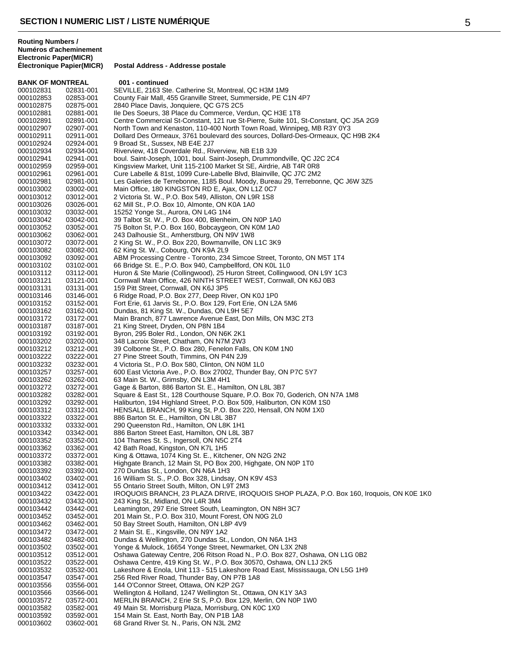**BANK OF MONTREAL 001 - continued**<br>000102831 02831-001 SEVILLE 2163 Ste 000102831 02831-001 SEVILLE, 2163 Ste. Catherine St, Montreal, QC H3M 1M9<br>000102853 02853-001 County Fair Mall, 455 Granville Street, Summerside, PE C 000102853 02853-001 County Fair Mall, 455 Granville Street, Summerside, PE C1N 4P7<br>000102875 02875-001 2840 Place Davis. Jonguiere. QC G7S 2C5 2840 Place Davis, Jonquiere, QC G7S 2C5 000102881 02881-001 Ile Des Soeurs, 38 Place du Commerce, Verdun, QC H3E 1T8<br>000102891 02891-001 Centre Commercial St-Constant, 121 rue St-Pierre, Suite 101, \ Centre Commercial St-Constant, 121 rue St-Pierre, Suite 101, St-Constant, QC J5A 2G9 000102907 02907-001 North Town and Kenaston, 110-400 North Town Road, Winnipeg, MB R3Y 0Y3 000102911 02911-001 Dollard Des Ormeaux, 3761 boulevard des sources, Dollard-Des-Ormeaux, QC H9B 2K4<br>000102924 02924-001 9 Broad St.. Sussex. NB E4E 2J7 9 Broad St., Sussex, NB E4E 2J7 000102934 02934-001 Riverview, 418 Coverdale Rd., Riverview, NB E1B 3J9 000102941 02941-001 boul. Saint-Joseph, 1001, boul. Saint-Joseph, Drummondville, QC J2C 2C4<br>000102959 02959-001 Kingsview Market, Unit 115-2100 Market St SE, Airdrie, AB T4R 0R8 000102959 02959-001 Kingsview Market, Unit 115-2100 Market St SE, Airdrie, AB T4R 0R8 000102961 02961-001 Cure Labelle & 81st, 1099 Cure-Labelle Blvd, Blainville, QC J7C 2M2<br>000102981 02981-001 Les Galeries de Terrebonne, 1185 Boul. Moody, Bureau 29. Terrebon 000102981 02981-001 Les Galeries de Terrebonne, 1185 Boul. Moody, Bureau 29, Terrebonne, QC J6W 3Z5<br>000103002 03002-001 Main Office, 180 KINGSTON RD E, Ajax, ON L1Z 0C7 000103002 03002-001 Main Office, 180 KINGSTON RD E, Ajax, ON L1Z 0C7<br>000103012 03012-001 2 Victoria St. W., P.O. Box 549, Alliston, ON L9R 1S8 2 Victoria St. W., P.O. Box 549, Alliston, ON L9R 1S8 000103026 03026-001 62 Mill St., P.O. Box 10, Almonte, ON K0A 1A0<br>000103032 03032-001 15252 Yonge St., Aurora, ON L4G 1N4 000103032 03032-001 15252 Yonge St., Aurora, ON L4G 1N4 000103042 03042-001 39 Talbot St. W., P.O. Box 400, Blenheim, ON N0P 1A0<br>000103052 03052-001 75 Bolton St, P.O. Box 160, Bobcaygeon, ON K0M 1A0 000103052 03052-001 75 Bolton St, P.O. Box 160, Bobcaygeon, ON K0M 1A0 243 Dalhousie St., Amherstburg, ON N9V 1W8 000103072 03072-001 2 King St. W., P.O. Box 220, Bowmanville, ON L1C 3K9 62 King St. W., Cobourg, ON K9A 2L9 000103092 03092-001 ABM Processing Centre - Toronto, 234 Simcoe Street, Toronto, ON M5T 1T4<br>000103102 03102-001 66 Bridge St. E., P.O. Box 940, Campbellford, ON K0L 1L0 000103102 03102-001 66 Bridge St. E., P.O. Box 940, Campbellford, ON K0L 1L0 Huron & Ste Marie (Collingwood), 25 Huron Street, Collingwood, ON L9Y 1C3 000103121 03121-001 Cornwall Main Office, 426 NINTH STREET WEST, Cornwall, ON K6J 0B3<br>000103131 03131-001 159 Pitt Street, Cornwall, ON K6J 3P5 159 Pitt Street, Cornwall, ON K6J 3P5 000103146 03146-001 6 Ridge Road, P.O. Box 277, Deep River, ON K0J 1P0<br>000103152 03152-001 Fort Erie, 61 Jarvis St., P.O. Box 129, Fort Erie, ON L2 000103152 03152-001 Fort Erie, 61 Jarvis St., P.O. Box 129, Fort Erie, ON L2A 5M6 Dundas, 81 King St. W., Dundas, ON L9H 5E7 000103172 03172-001 Main Branch, 877 Lawrence Avenue East, Don Mills, ON M3C 2T3<br>000103187 03187-001 21 King Street, Dryden, ON P8N 1B4 000103187 03187-001 21 King Street, Dryden, ON P8N 1B4 000103192 03192-001 Byron, 295 Boler Rd., London, ON N6K 2K1 000103202 03202-001 348 Lacroix Street, Chatham, ON N7M 2W3 000103212 03212-001 39 Colborne St., P.O. Box 280, Fenelon Falls, ON K0M 1N0<br>000103222 03222-001 27 Pine Street South, Timmins, ON P4N 2J9 000103222 03222-001 27 Pine Street South, Timmins, ON P4N 2J9<br>000103232 03232-001 4 Victoria St., P.O. Box 580, Clinton, ON N0M 4 Victoria St., P.O. Box 580, Clinton, ON N0M 1L0 000103257 03257-001 600 East Victoria Ave., P.O. Box 27002, Thunder Bay, ON P7C 5Y7<br>000103262 03262-001 63 Main St. W., Grimsby, ON L3M 4H1 000103262 03262-001 63 Main St. W., Grimsby, ON L3M 4H1 000103272 03272-001 Gage & Barton, 886 Barton St. E., Hamilton, ON L8L 3B7<br>000103282 03282-001 Square & East St., 128 Courthouse Square, P.O. Box 70, 000103282 03282-001 Square & East St., 128 Courthouse Square, P.O. Box 70, Goderich, ON N7A 1M8<br>000103292 03292-001 Haliburton. 194 Highland Street. P.O. Box 509. Haliburton. ON K0M 1S0 Haliburton, 194 Highland Street, P.O. Box 509, Haliburton, ON K0M 1S0 000103312 03312-001 HENSALL BRANCH, 99 King St, P.O. Box 220, Hensall, ON N0M 1X0<br>000103322 03322-001 886 Barton St. E., Hamilton, ON L8L 3B7 000103322 03322-001 886 Barton St. E., Hamilton, ON L8L 3B7 000103332 03332-001 290 Queenston Rd., Hamilton, ON L8K 1H1 000103342 03342-001 886 Barton Street East, Hamilton, ON L8L 3B7 104 Thames St. S., Ingersoll, ON N5C 2T4 000103362 03362-001 42 Bath Road, Kingston, ON K7L 1H5<br>000103372 03372-001 King & Ottawa, 1074 King St. E., Kitch King & Ottawa, 1074 King St. E., Kitchener, ON N2G 2N2 000103382 03382-001 Highgate Branch, 12 Main St, PO Box 200, Highgate, ON N0P 1T0 000103392 03392-001 270 Dundas St., London, ON N6A 1H3 16 William St. S., P.O. Box 328, Lindsay, ON K9V 4S3 000103412 03412-001 55 Ontario Street South, Milton, ON L9T 2M3 000103422 03422-001 IROQUOIS BRANCH, 23 PLAZA DRIVE, IROQUOIS SHOP PLAZA, P.O. Box 160, Iroquois, ON K0E 1K0<br>000103432 03432-001 243 King St., Midland, ON L4R 3M4 000103432 03432-001 243 King St., Midland, ON L4R 3M4 000103442 03442-001 Leamington, 297 Erie Street South, Leamington, ON N8H 3C7<br>000103452 03452-001 201 Main St., P.O. Box 310, Mount Forest, ON N0G 2L0 000103452 03452-001 201 Main St., P.O. Box 310, Mount Forest, ON N0G 2L0 000103462 03462-001 50 Bay Street South, Hamilton, ON L8P 4V9<br>000103472 03472-001 2 Main St. E., Kingsville, ON N9Y 1A2 000103472 03472-001 2 Main St. E., Kingsville, ON N9Y 1A2 000103482 03482-001 Dundas & Wellington, 270 Dundas St., London, ON N6A 1H3 000103502 03502-001 Yonge & Mulock, 16654 Yonge Street, Newmarket, ON L3X 2N8<br>000103512 03512-001 Oshawa Gateway Centre, 206 Ritson Road N., P.O. Box 827, Os 000103512 03512-001 Oshawa Gateway Centre, 206 Ritson Road N., P.O. Box 827, Oshawa, ON L1G 0B2<br>000103522 03522-001 Oshawa Centre, 419 King St. W., P.O. Box 30570, Oshawa, ON L1J 2K5 000103522 03522-001 Oshawa Centre, 419 King St. W., P.O. Box 30570, Oshawa, ON L1J 2K5 Lakeshore & Enola, Unit 113 - 515 Lakeshore Road East, Mississauga, ON L5G 1H9 000103547 03547-001 256 Red River Road, Thunder Bay, ON P7B 1A8 000103556 03556-001 144 O'Connor Street, Ottawa, ON K2P 2G7 000103566 03566-001 Wellington & Holland, 1247 Wellington St., Ottawa, ON K1Y 3A3<br>000103572 03572-001 MERLIN BRANCH, 2 Erie St S, P.O. Box 129, Merlin, ON N0P 1 000103572 03572-001 MERLIN BRANCH, 2 Erie St S, P.O. Box 129, Merlin, ON N0P 1W0 49 Main St. Morrisburg Plaza, Morrisburg, ON K0C 1X0 000103592 03592-001 154 Main St. East, North Bay, ON P1B 1A8 68 Grand River St. N., Paris, ON N3L 2M2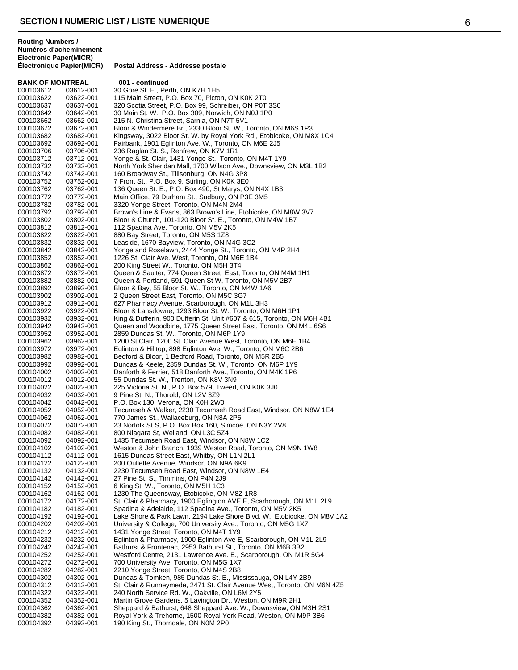| <b>BANK OF MONTREAL</b> |                        | 001 - continued                                                                                                                 |
|-------------------------|------------------------|---------------------------------------------------------------------------------------------------------------------------------|
| 000103612               | 03612-001              | 30 Gore St. E., Perth, ON K7H 1H5                                                                                               |
| 000103622               | 03622-001              | 115 Main Street, P.O. Box 70, Picton, ON K0K 2T0                                                                                |
| 000103637               | 03637-001              | 320 Scotia Street, P.O. Box 99, Schreiber, ON P0T 3S0                                                                           |
| 000103642               | 03642-001              | 30 Main St. W., P.O. Box 309, Norwich, ON N0J 1P0                                                                               |
| 000103662               | 03662-001              | 215 N. Christina Street, Sarnia, ON N7T 5V1                                                                                     |
| 000103672               | 03672-001              | Bloor & Windermere Br., 2330 Bloor St. W., Toronto, ON M6S 1P3                                                                  |
| 000103682<br>000103692  | 03682-001<br>03692-001 | Kingsway, 3022 Bloor St. W. by Royal York Rd., Etobicoke, ON M8X 1C4<br>Fairbank, 1901 Eglinton Ave. W., Toronto, ON M6E 2J5    |
| 000103706               | 03706-001              | 236 Raglan St. S., Renfrew, ON K7V 1R1                                                                                          |
| 000103712               | 03712-001              | Yonge & St. Clair, 1431 Yonge St., Toronto, ON M4T 1Y9                                                                          |
| 000103732               | 03732-001              | North York Sheridan Mall, 1700 Wilson Ave., Downsview, ON M3L 1B2                                                               |
| 000103742               | 03742-001              | 160 Broadway St., Tillsonburg, ON N4G 3P8                                                                                       |
| 000103752               | 03752-001              | 7 Front St., P.O. Box 9, Stirling, ON K0K 3E0                                                                                   |
| 000103762               | 03762-001              | 136 Queen St. E., P.O. Box 490, St Marys, ON N4X 1B3                                                                            |
| 000103772               | 03772-001              | Main Office, 79 Durham St., Sudbury, ON P3E 3M5                                                                                 |
| 000103782               | 03782-001              | 3320 Yonge Street, Toronto, ON M4N 2M4                                                                                          |
| 000103792               | 03792-001              | Brown's Line & Evans, 863 Brown's Line, Etobicoke, ON M8W 3V7<br>Bloor & Church, 101-120 Bloor St. E., Toronto, ON M4W 1B7      |
| 000103802<br>000103812  | 03802-001<br>03812-001 | 112 Spadina Ave, Toronto, ON M5V 2K5                                                                                            |
| 000103822               | 03822-001              | 880 Bay Street, Toronto, ON M5S 1Z8                                                                                             |
| 000103832               | 03832-001              | Leaside, 1670 Bayview, Toronto, ON M4G 3C2                                                                                      |
| 000103842               | 03842-001              | Yonge and Roselawn, 2444 Yonge St., Toronto, ON M4P 2H4                                                                         |
| 000103852               | 03852-001              | 1226 St. Clair Ave. West, Toronto, ON M6E 1B4                                                                                   |
| 000103862               | 03862-001              | 200 King Street W., Toronto, ON M5H 3T4                                                                                         |
| 000103872               | 03872-001              | Queen & Saulter, 774 Queen Street East, Toronto, ON M4M 1H1                                                                     |
| 000103882               | 03882-001              | Queen & Portland, 591 Queen St W, Toronto, ON M5V 2B7                                                                           |
| 000103892               | 03892-001              | Bloor & Bay, 55 Bloor St. W., Toronto, ON M4W 1A6                                                                               |
| 000103902               | 03902-001              | 2 Queen Street East, Toronto, ON M5C 3G7                                                                                        |
| 000103912               | 03912-001<br>03922-001 | 627 Pharmacy Avenue, Scarborough, ON M1L 3H3<br>Bloor & Lansdowne, 1293 Bloor St. W., Toronto, ON M6H 1P1                       |
| 000103922<br>000103932  | 03932-001              | King & Dufferin, 900 Dufferin St. Unit #607 & 615, Toronto, ON M6H 4B1                                                          |
| 000103942               | 03942-001              | Queen and Woodbine, 1775 Queen Street East, Toronto, ON M4L 6S6                                                                 |
| 000103952               | 03952-001              | 2859 Dundas St. W., Toronto, ON M6P 1Y9                                                                                         |
| 000103962               | 03962-001              | 1200 St Clair, 1200 St. Clair Avenue West, Toronto, ON M6E 1B4                                                                  |
| 000103972               | 03972-001              | Eglinton & Hilltop, 898 Eglinton Ave. W., Toronto, ON M6C 2B6                                                                   |
| 000103982               | 03982-001              | Bedford & Bloor, 1 Bedford Road, Toronto, ON M5R 2B5                                                                            |
| 000103992               | 03992-001              | Dundas & Keele, 2859 Dundas St. W., Toronto, ON M6P 1Y9                                                                         |
| 000104002               | 04002-001              | Danforth & Ferrier, 518 Danforth Ave., Toronto, ON M4K 1P6                                                                      |
| 000104012               | 04012-001              | 55 Dundas St. W., Trenton, ON K8V 3N9                                                                                           |
| 000104022<br>000104032  | 04022-001<br>04032-001 | 225 Victoria St. N., P.O. Box 579, Tweed, ON K0K 3J0<br>9 Pine St. N., Thorold, ON L2V 3Z9                                      |
| 000104042               | 04042-001              | P.O. Box 130, Verona, ON K0H 2W0                                                                                                |
| 000104052               | 04052-001              | Tecumseh & Walker, 2230 Tecumseh Road East, Windsor, ON N8W 1E4                                                                 |
| 000104062               | 04062-001              | 770 James St., Wallaceburg, ON N8A 2P5                                                                                          |
| 000104072               | 04072-001              | 23 Norfolk St S, P.O. Box Box 160, Simcoe, ON N3Y 2V8                                                                           |
| 000104082               | 04082-001              | 800 Niagara St, Welland, ON L3C 5Z4                                                                                             |
| 000104092               | 04092-001              | 1435 Tecumseh Road East, Windsor, ON N8W 1C2                                                                                    |
| 000104102               | 04102-001              | Weston & John Branch, 1939 Weston Road, Toronto, ON M9N 1W8                                                                     |
| 000104112               | 04112-001              | 1615 Dundas Street East, Whitby, ON L1N 2L1                                                                                     |
| 000104122               | 04122-001<br>04132-001 | 200 Oullette Avenue, Windsor, ON N9A 6K9<br>2230 Tecumseh Road East, Windsor, ON N8W 1E4                                        |
| 000104132<br>000104142  | 04142-001              | 27 Pine St. S., Timmins, ON P4N 2J9                                                                                             |
| 000104152               | 04152-001              | 6 King St. W., Toronto, ON M5H 1C3                                                                                              |
| 000104162               | 04162-001              | 1230 The Queensway, Etobicoke, ON M8Z 1R8                                                                                       |
| 000104172               | 04172-001              | St. Clair & Pharmacy, 1900 Eglington AVE E, Scarborough, ON M1L 2L9                                                             |
| 000104182               | 04182-001              | Spadina & Adelaide, 112 Spadina Ave., Toronto, ON M5V 2K5                                                                       |
| 000104192               | 04192-001              | Lake Shore & Park Lawn, 2194 Lake Shore Blvd. W., Etobicoke, ON M8V 1A2                                                         |
| 000104202               | 04202-001              | University & College, 700 University Ave., Toronto, ON M5G 1X7                                                                  |
| 000104212               | 04212-001              | 1431 Yonge Street, Toronto, ON M4T 1Y9                                                                                          |
| 000104232               | 04232-001              | Eglinton & Pharmacy, 1900 Eglinton Ave E, Scarborough, ON M1L 2L9                                                               |
| 000104242<br>000104252  | 04242-001<br>04252-001 | Bathurst & Frontenac, 2953 Bathurst St., Toronto, ON M6B 3B2<br>Westford Centre, 2131 Lawrence Ave. E., Scarborough, ON M1R 5G4 |
| 000104272               | 04272-001              | 700 University Ave, Toronto, ON M5G 1X7                                                                                         |
| 000104282               | 04282-001              | 2210 Yonge Street, Toronto, ON M4S 2B8                                                                                          |
| 000104302               | 04302-001              | Dundas & Tomken, 985 Dundas St. E., Mississauga, ON L4Y 2B9                                                                     |
| 000104312               | 04312-001              | St. Clair & Runneymede, 2471 St. Clair Avenue West, Toronto, ON M6N 4Z5                                                         |
| 000104322               | 04322-001              | 240 North Service Rd. W., Oakville, ON L6M 2Y5                                                                                  |
| 000104352               | 04352-001              | Martin Grove Gardens, 5 Lavington Dr., Weston, ON M9R 2H1                                                                       |
| 000104362               | 04362-001              | Sheppard & Bathurst, 648 Sheppard Ave. W., Downsview, ON M3H 2S1                                                                |
| 000104382               | 04382-001              | Royal York & Trehorne, 1500 Royal York Road, Weston, ON M9P 3B6                                                                 |
| 000104392               | 04392-001              | 190 King St., Thorndale, ON N0M 2P0                                                                                             |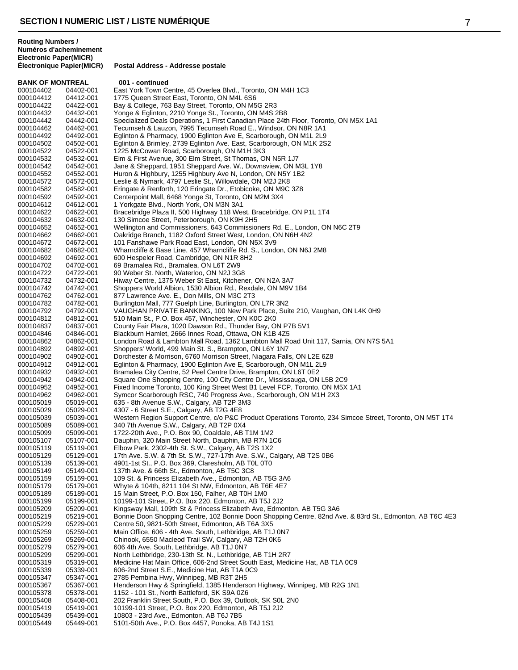**BANK OF MONTREAL 001 - continued** 000104402 04402-001 East York Town Centre, 45 Overlea Blvd., Toronto, ON M4H 1C3<br>000104412 04412-001 1775 Queen Street East, Toronto, ON M4L 6S6 000104412 04412-001 1775 Queen Street East, Toronto, ON M4L 6S6 Bay & College, 763 Bay Street, Toronto, ON M5G 2R3 000104432 04432-001 Yonge & Eglinton, 2210 Yonge St., Toronto, ON M4S 2B8 Specialized Deals Operations, 1 First Canadian Place 24th Floor, Toronto, ON M5X 1A1 000104462 04462-001 Tecumseh & Lauzon, 7995 Tecumseh Road E., Windsor, ON N8R 1A1<br>000104492 04492-001 Eglinton & Pharmacy, 1900 Eglinton Ave E, Scarborough, ON M1L 2L9 000104492 04492-001 Eglinton & Pharmacy, 1900 Eglinton Ave E, Scarborough, ON M1L 2L9 Eglinton & Brimley, 2739 Eglinton Ave. East, Scarborough, ON M1K 2S2 000104522 04522-001 1225 McCowan Road, Scarborough, ON M1H 3K3 000104532 04532-001 Elm & First Avenue, 300 Elm Street, St Thomas, ON N5R 1J7 000104542 04542-001 Jane & Sheppard, 1951 Sheppard Ave. W., Downsview, ON M3L 1Y8 000104552 04552-001 Huron & Highbury, 1255 Highbury Ave N, London, ON N5Y 1B2 000104572 04572-001 Leslie & Nymark, 4797 Leslie St., Willowdale, ON M2J 2K8 000104582 04582-001 Eringate & Renforth, 120 Eringate Dr., Etobicoke, ON M9C 3Z8<br>000104592 04592-001 Centerpoint Mall, 6468 Yonge St, Toronto, ON M2M 3X4 Centerpoint Mall, 6468 Yonge St, Toronto, ON M2M 3X4 000104612 04612-001 1 Yorkgate Blvd., North York, ON M3N 3A1 000104622 04622-001 Bracebridge Plaza II, 500 Highway 118 West, Bracebridge, ON P1L 1T4<br>000104632 04632-001 130 Simcoe Street, Peterborough, ON K9H 2H5 000104632 04632-001 130 Simcoe Street, Peterborough, ON K9H 2H5 000104652 04652-001 Wellington and Commissioners, 643 Commissioners Rd. E., London, ON N6C 2T9<br>000104662 04662-001 Oakridge Branch, 1182 Oxford Street West, London, ON N6H 4N2 Oakridge Branch, 1182 Oxford Street West, London, ON N6H 4N2 000104672 04672-001 101 Fanshawe Park Road East, London, ON N5X 3V9 Wharncliffe & Base Line, 457 Wharncliffe Rd. S., London, ON N6J 2M8 000104692 04692-001 600 Hespeler Road, Cambridge, ON N1R 8H2 000104702 04702-001 69 Bramalea Rd., Bramalea, ON L6T 2W9 90 Weber St. North, Waterloo, ON N2J 3G8 000104732 04732-001 Hiway Centre, 1375 Weber St East, Kitchener, ON N2A 3A7 Shoppers World Albion, 1530 Albion Rd., Rexdale, ON M9V 1B4 000104762 04762-001 877 Lawrence Ave. E., Don Mills, ON M3C 2T3 000104782 04782-001 Burlington Mall, 777 Guelph Line, Burlington, ON L7R 3N2 VAUGHAN PRIVATE BANKING, 100 New Park Place, Suite 210, Vaughan, ON L4K 0H9 000104812 04812-001 510 Main St., P.O. Box 457, Winchester, ON K0C 2K0 000104837 04837-001 County Fair Plaza, 1020 Dawson Rd., Thunder Bay, ON P7B 5V1 000104846 04846-001 Blackburn Hamlet, 2666 Innes Road, Ottawa, ON K1B 4Z5 000104862 04862-001 London Road & Lambton Mall Road, 1362 Lambton Mall Road Unit 117, Sarnia, ON N7S 5A1<br>000104892 04892-001 Shoppers' World, 499 Main St. S., Brampton, ON L6Y 1N7 000104892 04892-001 Shoppers' World, 499 Main St. S., Brampton, ON L6Y 1N7 000104902 04902-001 Dorchester & Morrison, 6760 Morrison Street, Niagara Falls, ON L2E 6Z8<br>000104912 04912-001 Eglinton & Pharmacy, 1900 Eglinton Ave E, Scarborough, ON M1L 2L9 Eglinton & Pharmacy, 1900 Eglinton Ave E, Scarborough, ON M1L 2L9 000104932 04932-001 Bramalea City Centre, 52 Peel Centre Drive, Brampton, ON L6T 0E2<br>000104942 04942-001 Square One Shopping Centre, 100 City Centre Dr., Mississauga, ON 000104942 04942-001 Square One Shopping Centre, 100 City Centre Dr., Mississauga, ON L5B 2C9 000104952 04952-001 Fixed Income Toronto, 100 King Street West B1 Level FCP, Toronto, ON M5X 1A1<br>000104962 04962-001 Symcor Scarborough RSC, 740 Progress Ave., Scarborough, ON M1H 2X3 000104962 04962-001 Symcor Scarborough RSC, 740 Progress Ave., Scarborough, ON M1H 2X3<br>000105019 05019-001 635 - 8th Avenue S.W., Calgary, AB T2P 3M3 635 - 8th Avenue S.W., Calgary, AB T2P 3M3 000105029 05029-001 4307 - 6 Street S.E., Calgary, AB T2G 4E8 000105039 05039-001 Western Region Support Centre, c/o P&C Product Operations Toronto, 234 Simcoe Street, Toronto, ON M5T 1T4<br>000105089 05089-001 340 7th Avenue S.W., Calgary, AB T2P 0X4 000105089 05089-001 340 7th Avenue S.W., Calgary, AB T2P 0X4 000105099 05099-001 1722-20th Ave., P.O. Box 90, Coaldale, AB T1M 1M2 Dauphin, 320 Main Street North, Dauphin, MB R7N 1C6 000105119 05119-001 Elbow Park, 2302-4th St. S.W., Calgary, AB T2S 1X2 17th Ave. S.W. & 7th St. S.W., 727-17th Ave. S.W., Calgary, AB T2S 0B6 000105139 05139-001 4901-1st St., P.O. Box 369, Claresholm, AB T0L 0T0<br>000105149 05149-001 137th Ave. & 66th St., Edmonton, AB T5C 3C8 000105149 05149-001 137th Ave. & 66th St., Edmonton, AB T5C 3C8 109 St. & Princess Elizabeth Ave., Edmonton, AB T5G 3A6 000105179 05179-001 Whyte & 104th, 8211 104 St NW, Edmonton, AB T6E 4E7 000105189 05189-001 15 Main Street, P.O. Box 150, Falher, AB T0H 1M0<br>000105199 05199-001 10199-101 Street, P.O. Box 220, Edmonton, AB T5. 000105199 05199-001 10199-101 Street, P.O. Box 220, Edmonton, AB T5J 2J2 000105209 05209-001 Kingsway Mall, 109th St & Princess Elizabeth Ave, Edmonton, AB T5G 3A6 000105219 05219-001 Bonnie Doon Shopping Centre, 102 Bonnie Doon Shopping Centre, 82nd Ave. & 83rd St., Edmonton, AB T6C 4E3<br>000105229 05229-001 Centre 50, 9821-50th Street, Edmonton, AB T6A 3X5 000105229 05229-001 Centre 50, 9821-50th Street, Edmonton, AB T6A 3X5 Main Office, 606 - 4th Ave. South, Lethbridge, AB T1J 0N7 000105269 05269-001 Chinook, 6550 Macleod Trail SW, Calgary, AB T2H 0K6 000105279 05279-001 606 4th Ave. South, Lethbridge, AB T1J 0N7 000105299 05299-001 North Lethbridge, 230-13th St. N., Lethbridge, AB T1H 2R7 000105319 05319-001 Medicine Hat Main Office, 606-2nd Street South East, Medicine Hat, AB T1A 0C9 606-2nd Street S.E., Medicine Hat, AB T1A 0C9 000105347 05347-001 2785 Pembina Hwy, Winnipeg, MB R3T 2H5 000105367 05367-001 Henderson Hwy & Springfield, 1385 Henderson Highway, Winnipeg, MB R2G 1N1 000105378 05378-001 1152 - 101 St., North Battleford, SK S9A 0Z6 000105408 05408-001 202 Franklin Street South, P.O. Box 39, Outlook, SK S0L 2N0 10199-101 Street, P.O. Box 220, Edmonton, AB T5J 2J2 000105439 05439-001 10803 - 23rd Ave., Edmonton, AB T6J 7B5 5101-50th Ave., P.O. Box 4457, Ponoka, AB T4J 1S1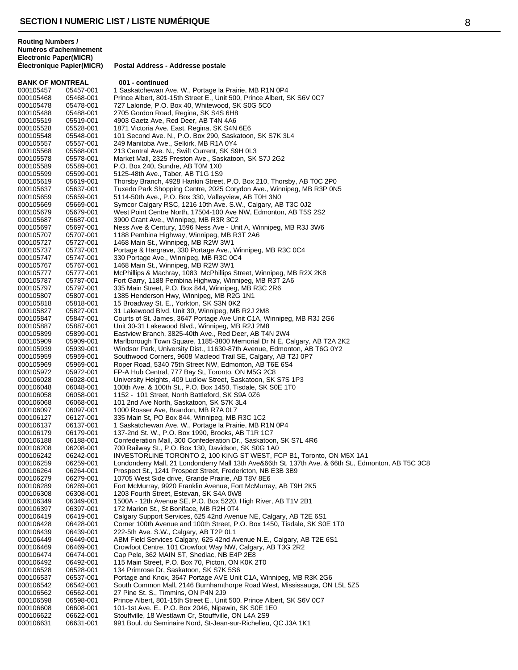| <b>BANK OF MONTREAL</b> |                        | 001 - continued                                                                                                         |
|-------------------------|------------------------|-------------------------------------------------------------------------------------------------------------------------|
| 000105457               | 05457-001              | 1 Saskatchewan Ave. W., Portage la Prairie, MB R1N 0P4                                                                  |
| 000105468               | 05468-001              | Prince Albert, 801-15th Street E., Unit 500, Prince Albert, SK S6V 0C7                                                  |
| 000105478               | 05478-001              | 727 Lalonde, P.O. Box 40, Whitewood, SK S0G 5C0                                                                         |
| 000105488               | 05488-001              | 2705 Gordon Road, Regina, SK S4S 6H8                                                                                    |
| 000105519               | 05519-001              | 4903 Gaetz Ave, Red Deer, AB T4N 4A6                                                                                    |
| 000105528               | 05528-001              | 1871 Victoria Ave. East, Regina, SK S4N 6E6                                                                             |
| 000105548               | 05548-001              | 101 Second Ave. N., P.O. Box 290, Saskatoon, SK S7K 3L4                                                                 |
| 000105557               | 05557-001              | 249 Manitoba Ave., Selkirk, MB R1A 0Y4                                                                                  |
| 000105568               | 05568-001              | 213 Central Ave. N., Swift Current, SK S9H 0L3                                                                          |
| 000105578               | 05578-001              | Market Mall, 2325 Preston Ave., Saskatoon, SK S7J 2G2                                                                   |
| 000105589               | 05589-001              | P.O. Box 240, Sundre, AB T0M 1X0                                                                                        |
| 000105599               | 05599-001              | 5125-48th Ave., Taber, AB T1G 1S9                                                                                       |
| 000105619               | 05619-001              | Thorsby Branch, 4928 Hankin Street, P.O. Box 210, Thorsby, AB T0C 2P0                                                   |
| 000105637               | 05637-001              | Tuxedo Park Shopping Centre, 2025 Corydon Ave., Winnipeg, MB R3P 0N5                                                    |
| 000105659<br>000105669  | 05659-001<br>05669-001 | 5114-50th Ave., P.O. Box 330, Valleyview, AB T0H 3N0<br>Symcor Calgary RSC, 1216 10th Ave. S.W., Calgary, AB T3C 0J2    |
| 000105679               | 05679-001              | West Point Centre North, 17504-100 Ave NW, Edmonton, AB T5S 2S2                                                         |
| 000105687               | 05687-001              | 3900 Grant Ave., Winnipeg, MB R3R 3C2                                                                                   |
| 000105697               | 05697-001              | Ness Ave & Century, 1596 Ness Ave - Unit A, Winnipeg, MB R3J 3W6                                                        |
| 000105707               | 05707-001              | 1188 Pembina Highway, Winnipeg, MB R3T 2A6                                                                              |
| 000105727               | 05727-001              | 1468 Main St., Winnipeg, MB R2W 3W1                                                                                     |
| 000105737               | 05737-001              | Portage & Hargrave, 330 Portage Ave., Winnipeg, MB R3C 0C4                                                              |
| 000105747               | 05747-001              | 330 Portage Ave., Winnipeg, MB R3C 0C4                                                                                  |
| 000105767               | 05767-001              | 1468 Main St., Winnipeg, MB R2W 3W1                                                                                     |
| 000105777               | 05777-001              | McPhillips & Machray, 1083 McPhillips Street, Winnipeg, MB R2X 2K8                                                      |
| 000105787               | 05787-001              | Fort Garry, 1188 Pembina Highway, Winnipeg, MB R3T 2A6                                                                  |
| 000105797               | 05797-001              | 335 Main Street, P.O. Box 844, Winnipeg, MB R3C 2R6                                                                     |
| 000105807               | 05807-001              | 1385 Henderson Hwy, Winnipeg, MB R2G 1N1                                                                                |
| 000105818               | 05818-001              | 15 Broadway St. E., Yorkton, SK S3N 0K2                                                                                 |
| 000105827               | 05827-001              | 31 Lakewood Blvd. Unit 30, Winnipeg, MB R2J 2M8                                                                         |
| 000105847               | 05847-001              | Courts of St. James, 3647 Portage Ave Unit C1A, Winnipeg, MB R3J 2G6                                                    |
| 000105887               | 05887-001              | Unit 30-31 Lakewood Blvd., Winnipeg, MB R2J 2M8                                                                         |
| 000105899               | 05899-001              | Eastview Branch, 3825-40th Ave., Red Deer, AB T4N 2W4                                                                   |
| 000105909               | 05909-001              | Marlborough Town Square, 1185-3800 Memorial Dr N E, Calgary, AB T2A 2K2                                                 |
| 000105939               | 05939-001              | Windsor Park, University Dist., 11630-87th Avenue, Edmonton, AB T6G 0Y2                                                 |
| 000105959               | 05959-001              | Southwood Corners, 9608 Macleod Trail SE, Calgary, AB T2J 0P7                                                           |
| 000105969               | 05969-001              | Roper Road, 5340 75th Street NW, Edmonton, AB T6E 6S4                                                                   |
| 000105972               | 05972-001              | FP-A Hub Central, 777 Bay St, Toronto, ON M5G 2C8                                                                       |
| 000106028               | 06028-001              | University Heights, 409 Ludlow Street, Saskatoon, SK S7S 1P3                                                            |
| 000106048               | 06048-001              | 100th Ave. & 100th St., P.O. Box 1450, Tisdale, SK S0E 1T0                                                              |
| 000106058               | 06058-001              | 1152 - 101 Street, North Battleford, SK S9A 0Z6                                                                         |
| 000106068               | 06068-001              | 101 2nd Ave North, Saskatoon, SK S7K 3L4                                                                                |
| 000106097               | 06097-001              | 1000 Rosser Ave, Brandon, MB R7A 0L7                                                                                    |
| 000106127               | 06127-001              | 335 Main St, PO Box 844, Winnipeg, MB R3C 1C2                                                                           |
| 000106137<br>000106179  | 06137-001              | 1 Saskatchewan Ave. W., Portage la Prairie, MB R1N 0P4                                                                  |
|                         | 06179-001              | 137-2nd St. W., P.O. Box 1990, Brooks, AB T1R 1C7                                                                       |
| 000106188<br>000106208  | 06188-001<br>06208-001 | Confederation Mall, 300 Confederation Dr., Saskatoon, SK S7L 4R6<br>700 Railway St., P.O. Box 130, Davidson, SK S0G 1A0 |
| 000106242               | 06242-001              | INVESTORLINE TORONTO 2, 100 KING ST WEST, FCP B1, Toronto, ON M5X 1A1                                                   |
| 000106259               | 06259-001              | Londonderry Mall, 21 Londonderry Mall 13th Ave&66th St, 137th Ave. & 66th St., Edmonton, AB T5C 3C8                     |
| 000106264               | 06264-001              | Prospect St., 1241 Prospect Street, Fredericton, NB E3B 3B9                                                             |
| 000106279               | 06279-001              | 10705 West Side drive, Grande Prairie, AB T8V 8E6                                                                       |
| 000106289               | 06289-001              | Fort McMurray, 9920 Franklin Avenue, Fort McMurray, AB T9H 2K5                                                          |
| 000106308               | 06308-001              | 1203 Fourth Street, Estevan, SK S4A 0W8                                                                                 |
| 000106349               | 06349-001              | 1500A - 12th Avenue SE, P.O. Box 5220, High River, AB T1V 2B1                                                           |
| 000106397               | 06397-001              | 172 Marion St., St Boniface, MB R2H 0T4                                                                                 |
| 000106419               | 06419-001              | Calgary Support Services, 625 42nd Avenue NE, Calgary, AB T2E 6S1                                                       |
| 000106428               | 06428-001              | Corner 100th Avenue and 100th Street, P.O. Box 1450, Tisdale, SK S0E 1T0                                                |
| 000106439               | 06439-001              | 222-5th Ave. S.W., Calgary, AB T2P 0L1                                                                                  |
| 000106449               | 06449-001              | ABM Field Services Calgary, 625 42nd Avenue N.E., Calgary, AB T2E 6S1                                                   |
| 000106469               | 06469-001              | Crowfoot Centre, 101 Crowfoot Way NW, Calgary, AB T3G 2R2                                                               |
| 000106474               | 06474-001              | Cap Pele, 362 MAIN ST, Shediac, NB E4P 2E8                                                                              |
| 000106492               | 06492-001              | 115 Main Street, P.O. Box 70, Picton, ON K0K 2T0                                                                        |
| 000106528               | 06528-001              | 134 Primrose Dr, Saskatoon, SK S7K 5S6                                                                                  |
| 000106537               | 06537-001              | Portage and Knox, 3647 Portage AVE Unit C1A, Winnipeg, MB R3K 2G6                                                       |
| 000106542               | 06542-001              | South Common Mall, 2146 Burnhamthorpe Road West, Mississauga, ON L5L 5Z5                                                |
| 000106562               | 06562-001              | 27 Pine St. S., Timmins, ON P4N 2J9                                                                                     |
| 000106598               | 06598-001              | Prince Albert, 801-15th Street E., Unit 500, Prince Albert, SK S6V 0C7                                                  |
| 000106608               | 06608-001              | 101-1st Ave. E., P.O. Box 2046, Nipawin, SK S0E 1E0                                                                     |
| 000106622<br>000106631  | 06622-001<br>06631-001 | Stouffville, 18 Westlawn Cr, Stouffville, ON L4A 2S9<br>991 Boul. du Seminaire Nord, St-Jean-sur-Richelieu, QC J3A 1K1  |
|                         |                        |                                                                                                                         |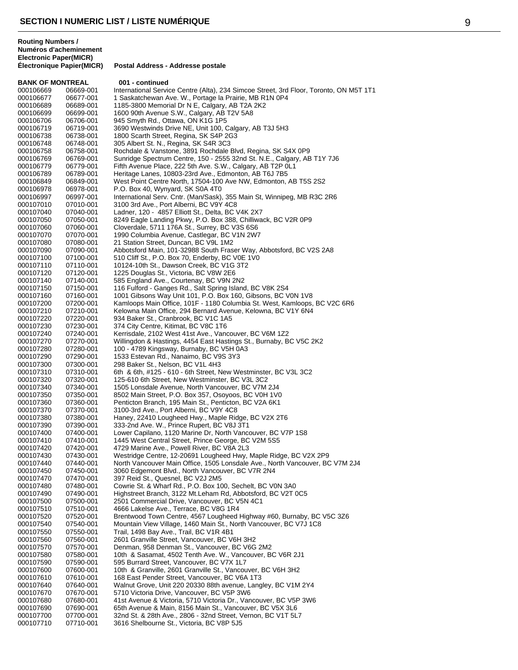| <b>BANK OF MONTREAL</b> |           | 001 - continued                                                                        |
|-------------------------|-----------|----------------------------------------------------------------------------------------|
| 000106669               | 06669-001 | International Service Centre (Alta), 234 Simcoe Street, 3rd Floor, Toronto, ON M5T 1T1 |
| 000106677               | 06677-001 | 1 Saskatchewan Ave. W., Portage la Prairie, MB R1N 0P4                                 |
| 000106689               | 06689-001 | 1185-3800 Memorial Dr N E, Calgary, AB T2A 2K2                                         |
| 000106699               | 06699-001 | 1600 90th Avenue S.W., Calgary, AB T2V 5A8                                             |
| 000106706               | 06706-001 | 945 Smyth Rd., Ottawa, ON K1G 1P5                                                      |
| 000106719               | 06719-001 | 3690 Westwinds Drive NE, Unit 100, Calgary, AB T3J 5H3                                 |
| 000106738               | 06738-001 | 1800 Scarth Street, Regina, SK S4P 2G3                                                 |
| 000106748               | 06748-001 | 305 Albert St. N., Regina, SK S4R 3C3                                                  |
| 000106758               | 06758-001 | Rochdale & Vanstone, 3891 Rochdale Blvd, Regina, SK S4X 0P9                            |
| 000106769               | 06769-001 | Sunridge Spectrum Centre, 150 - 2555 32nd St. N.E., Calgary, AB T1Y 7J6                |
|                         |           |                                                                                        |
| 000106779               | 06779-001 | Fifth Avenue Place, 222 5th Ave. S.W., Calgary, AB T2P 0L1                             |
| 000106789               | 06789-001 | Heritage Lanes, 10803-23rd Ave., Edmonton, AB T6J 7B5                                  |
| 000106849               | 06849-001 | West Point Centre North, 17504-100 Ave NW, Edmonton, AB T5S 2S2                        |
| 000106978               | 06978-001 | P.O. Box 40, Wynyard, SK S0A 4T0                                                       |
| 000106997               | 06997-001 | International Serv. Cntr. (Man/Sask), 355 Main St, Winnipeg, MB R3C 2R6                |
| 000107010               | 07010-001 | 3100 3rd Ave., Port Alberni, BC V9Y 4C8                                                |
| 000107040               | 07040-001 | Ladner, 120 - 4857 Elliott St., Delta, BC V4K 2X7                                      |
| 000107050               | 07050-001 | 8249 Eagle Landing Pkwy, P.O. Box 388, Chilliwack, BC V2R 0P9                          |
| 000107060               | 07060-001 | Cloverdale, 5711 176A St., Surrey, BC V3S 6S6                                          |
| 000107070               | 07070-001 | 1990 Columbia Avenue, Castlegar, BC V1N 2W7                                            |
| 000107080               | 07080-001 | 21 Station Street, Duncan, BC V9L 1M2                                                  |
| 000107090               | 07090-001 | Abbotsford Main, 101-32988 South Fraser Way, Abbotsford, BC V2S 2A8                    |
| 000107100               | 07100-001 | 510 Cliff St., P.O. Box 70, Enderby, BC V0E 1V0                                        |
| 000107110               | 07110-001 | 10124-10th St., Dawson Creek, BC V1G 3T2                                               |
| 000107120               | 07120-001 | 1225 Douglas St., Victoria, BC V8W 2E6                                                 |
| 000107140               | 07140-001 | 585 England Ave., Courtenay, BC V9N 2N2                                                |
| 000107150               | 07150-001 | 116 Fulford - Ganges Rd., Salt Spring Island, BC V8K 2S4                               |
| 000107160               | 07160-001 | 1001 Gibsons Way Unit 101, P.O. Box 160, Gibsons, BC V0N 1V8                           |
| 000107200               | 07200-001 | Kamloops Main Office, 101F - 1180 Columbia St. West, Kamloops, BC V2C 6R6              |
| 000107210               |           |                                                                                        |
|                         | 07210-001 | Kelowna Main Office, 294 Bernard Avenue, Kelowna, BC V1Y 6N4                           |
| 000107220               | 07220-001 | 934 Baker St., Cranbrook, BC V1C 1A5                                                   |
| 000107230               | 07230-001 | 374 City Centre, Kitimat, BC V8C 1T6                                                   |
| 000107240               | 07240-001 | Kerrisdale, 2102 West 41st Ave., Vancouver, BC V6M 1Z2                                 |
| 000107270               | 07270-001 | Willingdon & Hastings, 4454 East Hastings St., Burnaby, BC V5C 2K2                     |
| 000107280               | 07280-001 | 100 - 4789 Kingsway, Burnaby, BC V5H 0A3                                               |
| 000107290               | 07290-001 | 1533 Estevan Rd., Nanaimo, BC V9S 3Y3                                                  |
| 000107300               | 07300-001 | 298 Baker St., Nelson, BC V1L 4H3                                                      |
| 000107310               | 07310-001 | 6th & 6th, #125 - 610 - 6th Street, New Westminster, BC V3L 3C2                        |
| 000107320               | 07320-001 | 125-610 6th Street, New Westminster, BC V3L 3C2                                        |
| 000107340               | 07340-001 | 1505 Lonsdale Avenue, North Vancouver, BC V7M 2J4                                      |
| 000107350               | 07350-001 | 8502 Main Street, P.O. Box 357, Osoyoos, BC V0H 1V0                                    |
| 000107360               | 07360-001 | Penticton Branch, 195 Main St., Penticton, BC V2A 6K1                                  |
| 000107370               | 07370-001 | 3100-3rd Ave., Port Alberni, BC V9Y 4C8                                                |
| 000107380               | 07380-001 | Haney, 22410 Lougheed Hwy., Maple Ridge, BC V2X 2T6                                    |
| 000107390               | 07390-001 | 333-2nd Ave. W., Prince Rupert, BC V8J 3T1                                             |
| 000107400               | 07400-001 | Lower Capilano, 1120 Marine Dr, North Vancouver, BC V7P 1S8                            |
| 000107410               | 07410-001 | 1445 West Central Street, Prince George, BC V2M 5S5                                    |
| 000107420               | 07420-001 | 4729 Marine Ave., Powell River, BC V8A 2L3                                             |
| 000107430               | 07430-001 | Westridge Centre, 12-20691 Lougheed Hwy, Maple Ridge, BC V2X 2P9                       |
| 000107440               | 07440-001 | North Vancouver Main Office, 1505 Lonsdale Ave., North Vancouver, BC V7M 2J4           |
| 000107450               | 07450-001 | 3060 Edgemont Blvd., North Vancouver, BC V7R 2N4                                       |
| 000107470               | 07470-001 | 397 Reid St., Quesnel, BC V2J 2M5                                                      |
| 000107480               | 07480-001 | Cowrie St. & Wharf Rd., P.O. Box 100, Sechelt, BC V0N 3A0                              |
|                         | 07490-001 | Highstreet Branch, 3122 Mt. Leham Rd, Abbotsford, BC V2T 0C5                           |
| 000107490               |           |                                                                                        |
| 000107500               | 07500-001 | 2501 Commercial Drive, Vancouver, BC V5N 4C1                                           |
| 000107510               | 07510-001 | 4666 Lakelse Ave., Terrace, BC V8G 1R4                                                 |
| 000107520               | 07520-001 | Brentwood Town Centre, 4567 Lougheed Highway #60, Burnaby, BC V5C 3Z6                  |
| 000107540               | 07540-001 | Mountain View Village, 1460 Main St., North Vancouver, BC V7J 1C8                      |
| 000107550               | 07550-001 | Trail, 1498 Bay Ave., Trail, BC V1R 4B1                                                |
| 000107560               | 07560-001 | 2601 Granville Street, Vancouver, BC V6H 3H2                                           |
| 000107570               | 07570-001 | Denman, 958 Denman St., Vancouver, BC V6G 2M2                                          |
| 000107580               | 07580-001 | 10th & Sasamat, 4502 Tenth Ave. W., Vancouver, BC V6R 2J1                              |
| 000107590               | 07590-001 | 595 Burrard Street, Vancouver, BC V7X 1L7                                              |
| 000107600               | 07600-001 | 10th & Granville, 2601 Granville St., Vancouver, BC V6H 3H2                            |
| 000107610               | 07610-001 | 168 East Pender Street, Vancouver, BC V6A 1T3                                          |
| 000107640               | 07640-001 | Walnut Grove, Unit 220 20330 88th avenue, Langley, BC V1M 2Y4                          |
| 000107670               | 07670-001 | 5710 Victoria Drive, Vancouver, BC V5P 3W6                                             |
| 000107680               | 07680-001 | 41st Avenue & Victoria, 5710 Victoria Dr., Vancouver, BC V5P 3W6                       |
| 000107690               | 07690-001 | 65th Avenue & Main, 8156 Main St., Vancouver, BC V5X 3L6                               |
| 000107700               | 07700-001 | 32nd St. & 28th Ave., 2806 - 32nd Street, Vernon, BC V1T 5L7                           |
| 000107710               | 07710-001 | 3616 Shelbourne St., Victoria, BC V8P 5J5                                              |
|                         |           |                                                                                        |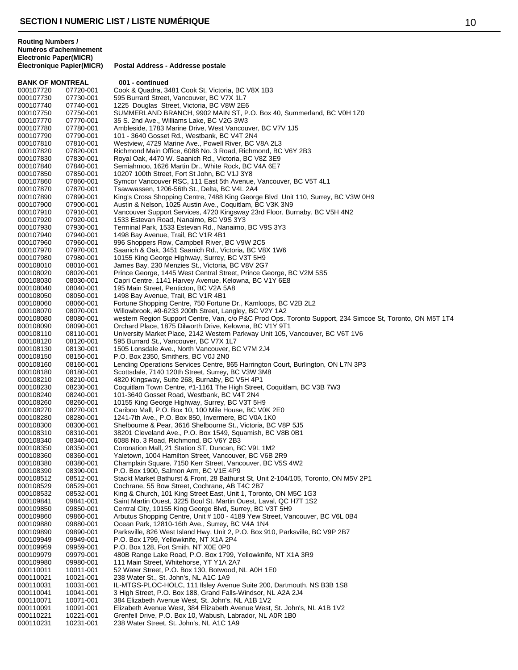**BANK OF MONTREAL 001 - continued**<br>000107720 07720-001 Cook & Quadra, 34 000107720 07720-001 Cook & Quadra, 3481 Cook St, Victoria, BC V8X 1B3<br>000107730 07730-001 595 Burrard Street, Vancouver, BC V7X 1L7 000107730 07730-001 595 Burrard Street, Vancouver, BC V7X 1L7<br>000107740 07740-001 1225 Douglas Street, Victoria, BC V8W 2E 1225 Douglas Street, Victoria, BC V8W 2E6 000107750 07750-001 SUMMERLAND BRANCH, 9902 MAIN ST, P.O. Box 40, Summerland, BC V0H 1Z0<br>000107770 07770-001 35 S. 2nd Ave., Williams Lake, BC V2G 3W3 35 S. 2nd Ave., Williams Lake, BC V2G 3W3 000107780 07780-001 Ambleside, 1783 Marine Drive, West Vancouver, BC V7V 1J5<br>000107790 07790-001 101 - 3640 Gosset Rd., Westbank, BC V4T 2N4 000107790 07790-001 101 - 3640 Gosset Rd., Westbank, BC V4T 2N4<br>000107810 07810-001 Westview. 4729 Marine Ave.. Powell River. BC \ Westview, 4729 Marine Ave., Powell River, BC V8A 2L3 000107820 07820-001 Richmond Main Office, 6088 No. 3 Road, Richmond, BC V6Y 2B3<br>000107830 07830-001 Royal Oak, 4470 W. Saanich Rd., Victoria, BC V8Z 3E9 000107830 07830-001 Royal Oak, 4470 W. Saanich Rd., Victoria, BC V8Z 3E9<br>000107840 07840-001 Semiahmoo, 1626 Martin Dr., White Rock, BC V4A 6E7 000107840 07840-001 Semiahmoo, 1626 Martin Dr., White Rock, BC V4A 6E7<br>000107850 07850-001 10207 100th Street. Fort St John. BC V1J 3Y8 000107850 07850-001 10207 100th Street, Fort St John, BC V1J 3Y8<br>000107860 07860-001 Symcor Vancouver RSC, 111 Fast 5th Avenue 000107860 07860-001 Symcor Vancouver RSC, 111 East 5th Avenue, Vancouver, BC V5T 4L1<br>000107870 07870-001 Tsawwassen, 1206-56th St., Delta, BC V4L 2A4 000107870 07870-001 Tsawwassen, 1206-56th St., Delta, BC V4L 2A4 King's Cross Shopping Centre, 7488 King George Blvd Unit 110, Surrey, BC V3W 0H9 000107900 07900-001 Austin & Nelson, 1025 Austin Ave., Coquitlam, BC V3K 3N9<br>000107910 07910-001 Vancouver Support Services, 4720 Kingsway 23rd Floor, Bu 000107910 07910-001 Vancouver Support Services, 4720 Kingsway 23rd Floor, Burnaby, BC V5H 4N2<br>000107920 07920-001 1533 Estevan Road, Nanaimo, BC V9S 3Y3 000107920 07920-001 1533 Estevan Road, Nanaimo, BC V9S 3Y3<br>000107930 07930-001 Terminal Park, 1533 Estevan Rd., Nanaimo, 000107930 07930-001 Terminal Park, 1533 Estevan Rd., Nanaimo, BC V9S 3Y3 1498 Bay Avenue, Trail, BC V1R 4B1 000107960 07960-001 996 Shoppers Row, Campbell River, BC V9W 2C5<br>000107970 07970-001 Saanich & Oak, 3451 Saanich Rd., Victoria, BC V8 Saanich & Oak, 3451 Saanich Rd., Victoria, BC V8X 1W6 000107980 07980-001 10155 King George Highway, Surrey, BC V3T 5H9<br>000108010 08010-001 James Bay, 230 Menzies St., Victoria, BC V8V 2G7 000108010 08010-001 James Bay, 230 Menzies St., Victoria, BC V8V 2G7 Prince George, 1445 West Central Street, Prince George, BC V2M 5S5 000108030 08030-001 Capri Centre, 1141 Harvey Avenue, Kelowna, BC V1Y 6E8<br>000108040 08040-001 195 Main Street, Penticton, BC V2A 5A8 000108040 08040-001 195 Main Street, Penticton, BC V2A 5A8 000108050 08050-001 1498 Bay Avenue, Trail, BC V1R 4B1<br>000108060 08060-001 Fortune Shopping Centre, 750 Fortun 000108060 08060-001 Fortune Shopping Centre, 750 Fortune Dr., Kamloops, BC V2B 2L2<br>000108070 08070-001 Willowbrook. #9-6233 200th Street. Langley. BC V2Y 1A2 Willowbrook, #9-6233 200th Street, Langley, BC V2Y 1A2 000108080 08080-001 western Region Support Centre, Van, c/o P&C Prod Ops. Toronto Support, 234 Simcoe St, Toronto, ON M5T 1T4<br>000108090 08090-001 Orchard Place, 1875 Dilworth Drive, Kelowna, BC V1Y 9T1 000108090 08090-001 Orchard Place, 1875 Dilworth Drive, Kelowna, BC V1Y 9T1<br>000108110 08110-001 University Market Place, 2142 Western Parkway Unit 105, \ 000108110 08110-001 University Market Place, 2142 Western Parkway Unit 105, Vancouver, BC V6T 1V6<br>000108120 08120-001 595 Burrard St., Vancouver, BC V7X 1L7 000108120 08120-001 595 Burrard St., Vancouver, BC V7X 1L7 000108130 08130-001 1505 Lonsdale Ave., North Vancouver, BC V7M 2J4 000108150 08150-001 P.O. Box 2350, Smithers, BC V0J 2N0<br>000108160 08160-001 Lending Operations Services Centre, 8 Lending Operations Services Centre, 865 Harrington Court, Burlington, ON L7N 3P3 000108180 08180-001 Scottsdale, 7140 120th Street, Surrey, BC V3W 3M8 000108210 08210-001 4820 Kingsway, Suite 268, Burnaby, BC V5H 4P1<br>000108230 08230-001 Coquitlam Town Centre, #1-1161 The High Street 000108230 08230-001 Coquitlam Town Centre, #1-1161 The High Street, Coquitlam, BC V3B 7W3<br>000108240 08240-001 101-3640 Gosset Road, Westbank, BC V4T 2N4 000108240 08240-001 101-3640 Gosset Road, Westbank, BC V4T 2N4<br>000108260 08260-001 10155 King George Highway, Surrey, BC V3T 5H 10155 King George Highway, Surrey, BC V3T 5H9 000108270 08270-001 Cariboo Mall, P.O. Box 10, 100 Mile House, BC V0K 2E0<br>000108280 08280-001 1241-7th Ave., P.O. Box 850, Invermere, BC V0A 1K0 000108280 08280-001 1241-7th Ave., P.O. Box 850, Invermere, BC V0A 1K0<br>000108300 08300-001 Shelbourne & Pear. 3616 Shelbourne St., Victoria, BC 000108300 08300-001 Shelbourne & Pear, 3616 Shelbourne St., Victoria, BC V8P 5J5<br>000108310 08310-001 38201 Cleveland Ave., P.O. Box 1549, Squamish, BC V8B 0B1 000108310 08310-001 38201 Cleveland Ave., P.O. Box 1549, Squamish, BC V8B 0B1<br>000108340 08340-001 6088 No. 3 Road. Richmond. BC V6Y 2B3 6088 No. 3 Road, Richmond, BC V6Y 2B3 000108350 08350-001 Coronation Mall, 21 Station ST, Duncan, BC V9L 1M2 000108360 08360-001 Yaletown, 1004 Hamilton Street, Vancouver, BC V6B 2R9<br>000108380 08380-001 Champlain Square, 7150 Kerr Street, Vancouver, BC V5S 000108380 08380-001 Champlain Square, 7150 Kerr Street, Vancouver, BC V5S 4W2<br>000108390 08390-001 P.O. Box 1900, Salmon Arm, BC V1E 4P9 000108390 08390-001 P.O. Box 1900, Salmon Arm, BC V1E 4P9 Stackt Market Bathurst & Front, 28 Bathurst St, Unit 2-104/105, Toronto, ON M5V 2P1 000108529 08529-001 Cochrane, 55 Bow Street, Cochrane, AB T4C 2B7 000108532 08532-001 King & Church, 101 King Street East, Unit 1, Toronto, ON M5C 1G3 000109841 09841-001 Saint Martin Ouest, 3225 Boul St. Martin Ouest, Laval, QC H7T 1S2 000109850 09850-001 Central City, 10155 King George Blvd, Surrey, BC V3T 5H9<br>000109860 09860-001 Arbutus Shopping Centre, Unit # 100 - 4189 Yew Street, Va 000109860 09860-001 Arbutus Shopping Centre, Unit # 100 - 4189 Yew Street, Vancouver, BC V6L 0B4<br>000109880 09880-001 Ocean Park, 12810-16th Ave., Surrey, BC V4A 1N4 000109880 09880-001 Ocean Park, 12810-16th Ave., Surrey, BC V4A 1N4<br>000109890 09890-001 Parksville, 826 West Island Hwy, Unit 2, P.O. Box 91 000109890 09890-001 Parksville, 826 West Island Hwy, Unit 2, P.O. Box 910, Parksville, BC V9P 2B7<br>000109949 09949-001 P.O. Box 1799, Yellowknife, NT X1A 2P4 000109949 09949-001 P.O. Box 1799, Yellowknife, NT X1A 2P4 000109959 09959-001 P.O. Box 128, Fort Smith, NT X0E 0P0<br>000109979 09979-001 480B Range Lake Road, P.O. Box 1799 000109979 09979-001 480B Range Lake Road, P.O. Box 1799, Yellowknife, NT X1A 3R9 000109980 09980-001 111 Main Street, Whitehorse, YT Y1A 2A7<br>000110011 10011-001 52 Water Street, P.O. Box 130, Botwood, I 52 Water Street, P.O. Box 130, Botwood, NL A0H 1E0 000110021 10021-001 238 Water St., St. John's, NL A1C 1A9 IL-MTGS-PLOC-HOLC, 111 Ilsley Avenue Suite 200, Dartmouth, NS B3B 1S8 000110041 10041-001 3 High Street, P.O. Box 188, Grand Falls-Windsor, NL A2A 2J4<br>000110071 10071-001 384 Elizabeth Avenue West, St. John's, NL A1B 1V2 000110071 10071-001 384 Elizabeth Avenue West, St. John's, NL A1B 1V2<br>000110091 10091-001 Flizabeth Avenue West, 384 Flizabeth Avenue West Elizabeth Avenue West, 384 Elizabeth Avenue West, St. John's, NL A1B 1V2 000110221 10221-001 Grenfell Drive, P.O. Box 10, Wabush, Labrador, NL A0R 1B0 238 Water Street, St. John's, NL A1C 1A9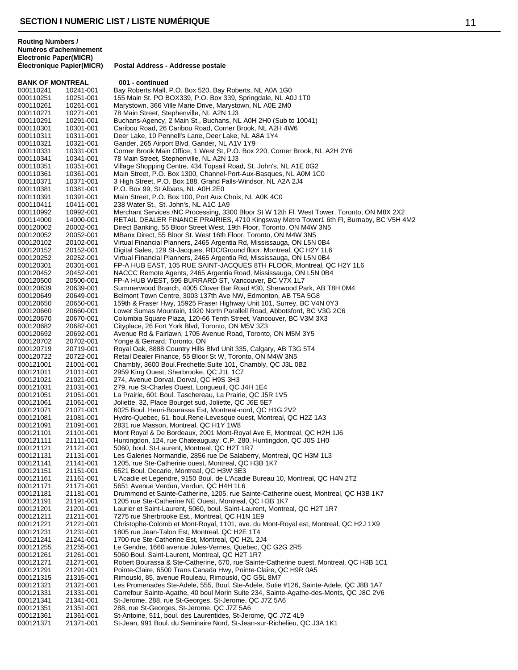**BANK OF MONTREAL 001 - continued**<br>000110241 10241-001 Bay Roberts Mall 000110241 10241-001 Bay Roberts Mall, P.O. Box 520, Bay Roberts, NL A0A 1G0<br>000110251 10251-001 155 Main St. PO BOX339, P.O. Box 339, Springdale, NL A0 000110251 10251-001 155 Main St. PO BOX339, P.O. Box 339, Springdale, NL A0J 1T0<br>000110261 10261-001 Marvstown. 366 Ville Marie Drive. Marvstown. NL A0E 2M0 Marystown, 366 Ville Marie Drive, Marystown, NL A0E 2M0 000110271 10271-001 78 Main Street, Stephenville, NL A2N 1J3<br>000110291 10291-001 Buchans-Agency, 2 Main St., Buchans, NL Buchans-Agency, 2 Main St., Buchans, NL A0H 2H0 (Sub to 10041) 000110301 10301-001 Caribou Road, 26 Caribou Road, Corner Brook, NL A2H 4W6<br>000110311 10311-001 Deer Lake, 10 Pennell's Lane, Deer Lake, NL A8A 1Y4 000110311 10311-001 Deer Lake, 10 Pennell's Lane, Deer Lake, NL A8A 1Y4<br>000110321 10321-001 Gander, 265 Airport Blyd, Gander, NL A1V 1Y9 Gander, 265 Airport Blvd, Gander, NL A1V 1Y9 000110331 10331-001 Corner Brook Main Office, 1 West St, P.O. Box 220, Corner Brook, NL A2H 2Y6<br>000110341 10341-001 78 Main Street, Stephenville, NL A2N 1J3 000110341 10341-001 78 Main Street, Stephenville, NL A2N 1J3<br>000110351 10351-001 Village Shopping Centre, 434 Topsail Roa 000110351 10351-001 Village Shopping Centre, 434 Topsail Road, St. John's, NL A1E 0G2 000110361 10361-001 Main Street, P.O. Box 1300, Channel-Port-Aux-Basques, NL A0M 1C0<br>000110371 10371-001 3 High Street, P.O. Box 188, Grand Falls-Windsor, NL A2A 2.14 000110371 10371-001 3 High Street, P.O. Box 188, Grand Falls-Windsor, NL A2A 2J4<br>000110381 10381-001 P.O. Box 99, St Albans, NL A0H 2E0 000110381 10381-001 P.O. Box 99, St Albans, NL A0H 2E0<br>000110391 10391-001 Main Street, P.O. Box 100, Port Aux ( Main Street, P.O. Box 100, Port Aux Choix, NL A0K 4C0 000110411 10411-001 238 Water St., St. John's, NL A1C 1A9 10992-001 Merchant Services /NC Processing, 3300 Bloor St W 12th Fl. West Tower, Toronto, ON M8X 2X2 000114000 14000-001 RETAIL DEALER FINANCE PRAIRIES, 4710 Kingsway Metro Tower1 6th Fl, Burnaby, BC V5H 4M2<br>000120002 20002-001 Direct Banking, 55 Bloor Street West, 19th Floor, Toronto, ON M4W 3N5 000120002 20002-001 Direct Banking, 55 Bloor Street West, 19th Floor, Toronto, ON M4W 3N5<br>000120052 20052-001 MBanx Direct, 55 Bloor St. West 16th Floor, Toronto, ON M4W 3N5 MBanx Direct, 55 Bloor St. West 16th Floor, Toronto, ON M4W 3N5 000120102 20102-001 Virtual Financial Planners, 2465 Argentia Rd, Mississauga, ON L5N 0B4 Digital Sales, 129 St-Jacques, RDC/Ground floor, Montreal, QC H2Y 1L6 000120252 20252-001 Virtual Financial Planners, 2465 Argentia Rd, Mississauga, ON L5N 0B4 000120301 20301-001 FP-A HUB EAST, 105 RUE SAINT-JACQUES 8TH FLOOR, Montreal, QC H2Y 1L6<br>000120452 20452-001 NACCC Remote Agents. 2465 Argentia Road. Mississauga. ON L5N 0B4 NACCC Remote Agents, 2465 Argentia Road, Mississauga, ON L5N 0B4 000120500 20500-001 FP-A HUB WEST, 595 BURRARD ST, Vancouver, BC V7X 1L7<br>000120639 20639-001 Summerwood Branch, 4005 Clover Bar Road #30, Sherwood Pa Summerwood Branch, 4005 Clover Bar Road #30, Sherwood Park, AB T8H 0M4 000120649 20649-001 Belmont Town Centre, 3003 137th Ave NW, Edmonton, AB T5A 5G8 000120650 20650-001 159th & Fraser Hwy, 15925 Fraser Highway Unit 101, Surrey, BC V4N 0Y3 Lower Sumas Mountain, 1920 North Parallell Road, Abbotsford, BC V3G 2C6 000120670 20670-001 Columbia Square Plaza, 120-66 Tenth Street, Vancouver, BC V3M 3X3<br>000120682 20682-001 Cityplace, 26 Fort York Blvd, Toronto, ON M5V 3Z3 000120682 20682-001 Cityplace, 26 Fort York Blvd, Toronto, ON M5V 3Z3<br>000120692 20692-001 Avenue Rd & Fairlawn, 1705 Avenue Road, Toronto 20692-001 Avenue Rd & Fairlawn, 1705 Avenue Road, Toronto, ON M5M 3Y5<br>20702-001 Yonge & Gerrard, Toronto, ON 000120702 20702-001 Yonge & Gerrard, Toronto, ON 000120719 20719-001 Royal Oak, 8888 Country Hills Blvd Unit 335, Calgary, AB T3G 5T4<br>000120722 20722-001 Retail Dealer Finance, 55 Bloor St W, Toronto, ON M4W 3N5 000120722 20722-001 Retail Dealer Finance, 55 Bloor St W, Toronto, ON M4W 3N5 Chambly, 3600 Boul.Frechette,Suite 101, Chambly, QC J3L 0B2 000121011 21011-001 2959 King Ouest, Sherbrooke, QC J1L 1C7<br>000121021 21021-001 274, Avenue Dorval, Dorval, QC H9S 3H3 000121021 21021-001 274, Avenue Dorval, Dorval, QC H9S 3H3 000121031 21031-001 279, rue St-Charles Ouest, Longueuil, QC J4H 1E4<br>000121051 21051-001 La Prairie, 601 Boul. Taschereau, La Prairie, QC J5 000121051 21051-001 La Prairie, 601 Boul. Taschereau, La Prairie, QC J5R 1V5<br>000121061 21061-001 Joliette. 32. Place Bourget sud. Joliette. QC J6E 5E7 Joliette, 32, Place Bourget sud, Joliette, QC J6E 5E7 000121071 21071-001 6025 Boul. Henri-Bourassa Est, Montreal-nord, QC H1G 2V2 Hydro-Quebec, 61, boul.Rene-Levesque ouest, Montreal, QC H2Z 1A3 000121091 21091-001 2831 rue Masson, Montreal, QC H1Y 1W8<br>000121101 21101-001 Mont Royal & De Bordeaux, 2001 Mont-Ro 000121101 21101-001 Mont Royal & De Bordeaux, 2001 Mont-Royal Ave E, Montreal, QC H2H 1J6<br>000121111 21111-001 Huntingdon, 124, rue Chateauguay, C.P. 280, Huntingdon, QC J0S 1H0 Huntingdon, 124, rue Chateauguay, C.P. 280, Huntingdon, QC J0S 1H0 000121121 21121-001 5060, boul. St-Laurent, Montreal, QC H2T 1R7 Les Galeries Normandie, 2856 rue De Salaberry, Montreal, QC H3M 1L3 000121141 21141-001 1205, rue Ste-Catherine ouest, Montreal, QC H3B 1K7<br>000121151 21151-001 6521 Boul. Decarie, Montreal, QC H3W 3E3 000121151 21151-001 6521 Boul. Decarie, Montreal, QC H3W 3E3<br>000121161 21161-001 l'Acadie et Legendre, 9150 Boul, de l'Acadi L'Acadie et Legendre, 9150 Boul. de L'Acadie Bureau 10, Montreal, QC H4N 2T2 000121171 21171-001 5651 Avenue Verdun, Verdun, QC H4H 1L6 Drummond et Sainte-Catherine, 1205, rue Sainte-Catherine ouest, Montreal, QC H3B 1K7 000121191 21191-001 1205 rue Ste-Catherine NE Ouest, Montreal, QC H3B 1K7<br>000121201 21201-001 Laurier et Saint-Laurent, 5060, boul. Saint-Laurent, Montre Laurier et Saint-Laurent, 5060, boul. Saint-Laurent, Montreal, QC H2T 1R7 000121211 21211-001 7275 rue Sherbrooke Est., Montreal, QC H1N 1E9<br>000121221 21221-001 Christophe-Colomb et Mont-Royal, 1101, ave. du N 000121221 21221-001 Christophe-Colomb et Mont-Royal, 1101, ave. du Mont-Royal est, Montreal, QC H2J 1X9<br>000121231 21231-001 1805 rue Jean-Talon Est, Montreal, QC H2E 1T4 1805 rue Jean-Talon Est, Montreal, QC H2E 1T4 000121241 21241-001 1700 rue Ste-Catherine Est, Montreal, QC H2L 2J4<br>000121255 21255-001 Le Gendre, 1660 avenue Jules-Vernes, Quebec, Q 000121255 21255-001 Le Gendre, 1660 avenue Jules-Vernes, Quebec, QC G2G 2R5 000121261 21261-001 5060 Boul. Saint-Laurent, Montreal, QC H2T 1R7<br>000121271 21271-001 Robert Bourassa & Ste-Catherine, 670, rue Sainte 000121271 21271-001 Robert Bourassa & Ste-Catherine, 670, rue Sainte-Catherine ouest, Montreal, QC H3B 1C1<br>000121291 21291-001 Pointe-Claire. 6500 Trans Canada Hwv. Pointe-Claire. QC H9R 0A5 Pointe-Claire, 6500 Trans Canada Hwy, Pointe-Claire, QC H9R 0A5 000121315 21315-001 Rimouski, 85, avenue Rouleau, Rimouski, QC G5L 8M7 21321-001 Les Promenades Ste-Adele, 555, Boul. Ste-Adele, Sutie #126, Sainte-Adele, QC J8B 1A7<br>21331-001 Carrefour Sainte-Agathe, 40 boul Morin Suite 234, Sainte-Agathe-des-Monts. QC J8C 2V6 000121331 21331-001 Carrefour Sainte-Agathe, 40 boul Morin Suite 234, Sainte-Agathe-des-Monts, QC J8C 2V6<br>000121341 21341-001 St-Jerome, 288, rue St-Georges, St-Jerome, QC J7Z 5A6 000121341 21341-001 St-Jerome, 288, rue St-Georges, St-Jerome, QC J7Z 5A6<br>000121351 21351-001 288. rue St-Georges. St-Jerome. QC J7Z 5A6 288, rue St-Georges, St-Jerome, QC J7Z 5A6 000121361 21361-001 St-Antoine, 511, boul. des Laurentides, St-Jerome, QC J7Z 4L9 St-Jean, 991 Boul. du Seminaire Nord, St-Jean-sur-Richelieu, QC J3A 1K1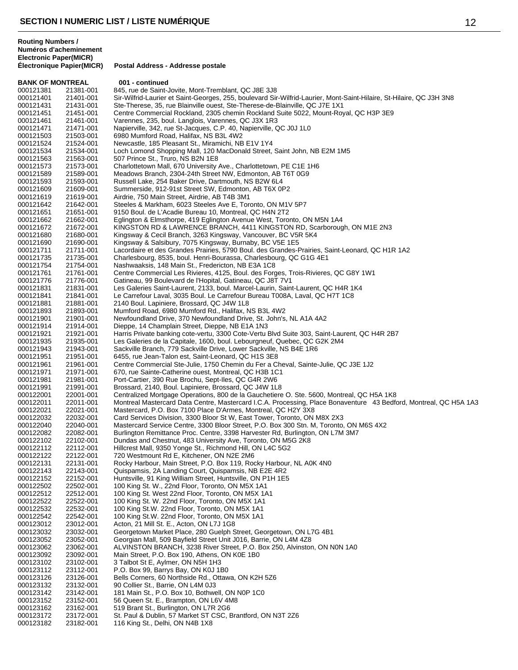**BANK OF MONTREAL 001 - continued**<br>000121381 21381-001 845, rue de Saint-000121381 21381-001 845, rue de Saint-Jovite, Mont-Tremblant, QC J8E 3J8<br>000121401 21401-001 Sir-Wilfrid-Laurier et Saint-Georges, 255, boulevard Sir 000121401 21401-001 Sir-Wilfrid-Laurier et Saint-Georges, 255, boulevard Sir-Wilfrid-Laurier, Mont-Saint-Hilaire, St-Hilaire, QC J3H 3N8<br>000121431 21431-001 Ste-Therese. 35. rue Blainville ouest. Ste-Therese-de-Blainville. Ste-Therese, 35, rue Blainville ouest, Ste-Therese-de-Blainville, QC J7E 1X1 000121451 21451-001 Centre Commercial Rockland, 2305 chemin Rockland Suite 5022, Mount-Royal, QC H3P 3E9<br>000121461 21461-001 Varennes, 235, boul. Langlois, Varennes, QC J3X 1R3 000121461 21461-001 Varennes, 235, boul. Langlois, Varennes, QC J3X 1R3 000121471 21471-001 Napierville, 342, rue St-Jacques, C.P. 40, Napierville, QC J0J 1L0<br>000121503 21503-001 6980 Mumford Road, Halifax, NS B3L 4W2 000121503 21503-001 6980 Mumford Road, Halifax, NS B3L 4W2 Newcastle, 185 Pleasant St., Miramichi, NB E1V 1Y4 000121534 21534-001 Loch Lomond Shopping Mall, 120 MacDonald Street, Saint John, NB E2M 1M5<br>000121563 21563-001 507 Prince St., Truro, NS B2N 1E8 507 Prince St., Truro, NS B2N 1E8 000121573 21573-001 Charlottetown Mall, 670 University Ave., Charlottetown, PE C1E 1H6<br>000121589 21589-001 Meadows Branch, 2304-24th Street NW, Edmonton, AB T6T 0G9 000121589 21589-001 Meadows Branch, 2304-24th Street NW, Edmonton, AB T6T 0G9<br>000121593 21593-001 Russell Lake, 254 Baker Drive, Dartmouth, NS B2W 6L4 000121593 21593-001 Russell Lake, 254 Baker Drive, Dartmouth, NS B2W 6L4<br>000121609 21609-001 Summerside, 912-91st Street SW, Edmonton, AB T6X 0F 000121609 21609-001 Summerside, 912-91st Street SW, Edmonton, AB T6X 0P2<br>000121619 21619-001 Airdrie, 750 Main Street, Airdrie, AB T4B 3M1 Airdrie, 750 Main Street, Airdrie, AB T4B 3M1 000121642 21642-001 Steeles & Markham, 6023 Steeles Ave E, Toronto, ON M1V 5P7 000121651 21651-001 9150 Boul. de L'Acadie Bureau 10, Montreal, QC H4N 2T2 000121662 21662-001 Eglington & Elmsthorpe, 419 Eglington Avenue West, Toronto, ON M5N 1A4<br>000121672 21672-001 KINGSTON RD & LAWRENCE BRANCH, 4411 KINGSTON RD, Scarboroug 000121672 21672-001 KINGSTON RD & LAWRENCE BRANCH, 4411 KINGSTON RD, Scarborough, ON M1E 2N3 Kingsway & Cecil Branch, 3263 Kingsway, Vancouver, BC V5R 5K4 000121690 21690-001 Kingsway & Salsibury, 7075 Kingsway, Burnaby, BC V5E 1E5 21711-001 Lacordaire et des Grandes Prairies, 5790 Boul. des Grandes-Prairies, Saint-Leonard, QC H1R 1A2<br>21735-001 Charlesbourg, 8535, boul. Henri-Bourassa, Charlesbourg, QC G1G 4E1 000121735 21735-001 Charlesbourg, 8535, boul. Henri-Bourassa, Charlesbourg, QC G1G 4E1<br>000121754 21754-001 Nashwaaksis, 148 Main St., Fredericton, NB E3A 1C8 000121754 21754-001 Nashwaaksis, 148 Main St., Fredericton, NB E3A 1C8 Centre Commercial Les Rivieres, 4125, Boul. des Forges, Trois-Rivieres, QC G8Y 1W1 000121776 21776-001 Gatineau, 99 Boulevard de l'Hopital, Gatineau, QC J8T 7V1 Les Galeries Saint-Laurent, 2133, boul. Marcel-Laurin, Saint-Laurent, QC H4R 1K4 000121841 21841-001 Le Carrefour Laval, 3035 Boul. Le Carrefour Bureau T008A, Laval, QC H7T 1C8<br>000121881 21881-001 2140 Boul. Lapiniere, Brossard, QC J4W 1L8 000121881 21881-001 2140 Boul. Lapiniere, Brossard, QC J4W 1L8<br>000121893 21893-001 Mumford Road, 6980 Mumford Rd., Halifax, N Mumford Road, 6980 Mumford Rd., Halifax, NS B3L 4W2 000121901 21901-001 Newfoundland Drive, 370 Newfoundland Drive, St. John's, NL A1A 4A2<br>000121914 21914-001 Dieppe, 14 Champlain Street, Dieppe, NB E1A 1N3 Dieppe, 14 Champlain Street, Dieppe, NB E1A 1N3 000121921 21921-001 Harris Private banking cote-vertu, 3300 Cote-Vertu Blvd Suite 303, Saint-Laurent, QC H4R 2B7<br>000121935 21935-001 Les Galeries de la Capitale, 1600, boul. Lebourgneuf, Quebec, QC G2K 2M4 000121935 21935-001 Les Galeries de la Capitale, 1600, boul. Lebourgneuf, Quebec, QC G2K 2M4<br>000121943 21943-001 Sackville Branch, 779 Sackville Drive, Lower Sackville, NS B4E 1R6 000121943 21943-001 Sackville Branch, 779 Sackville Drive, Lower Sackville, NS B4E 1R6<br>000121951 21951-001 6455, rue Jean-Talon est, Saint-Leonard, QC H1S 3E8 000121951 21951-001 6455, rue Jean-Talon est, Saint-Leonard, QC H1S 3E8<br>000121961 21961-001 Centre Commercial Ste-Julie, 1750 Chemin du Fer a C Centre Commercial Ste-Julie, 1750 Chemin du Fer a Cheval, Sainte-Julie, QC J3E 1J2 000121971 21971-001 670, rue Sainte-Catherine ouest, Montreal, QC H3B 1C1 000121981 21981-001 Port-Cartier, 390 Rue Brochu, Sept-Iles, QC G4R 2W6 000121991 21991-001 Brossard, 2140, Boul. Lapiniere, Brossard, QC J4W 1L8<br>000122001 22001-001 Centralized Mortgage Operations, 800 de la Gauchetiere 000122001 22001-001 Centralized Mortgage Operations, 800 de la Gauchetiere O. Ste. 5600, Montreal, QC H5A 1K8<br>000122011 22011-001 Montreal Mastercard Data Centre. Mastercard I.C.A. Processing. Place Bonaventure 43 Bedfo Montreal Mastercard Data Centre, Mastercard I.C.A. Processing, Place Bonaventure 43 Bedford, Montreal, QC H5A 1A3 000122021 22021-001 Mastercard, P.O. Box 7100 Place D'Armes, Montreal, QC H2Y 3X8 Card Services Division, 3300 Bloor St W, East Tower, Toronto, ON M8X 2X3 000122040 22040-001 Mastercard Service Centre, 3300 Bloor Street, P.O. Box 300 Stn. M, Toronto, ON M6S 4X2<br>000122082 22082-001 Burlington Remittance Proc. Centre, 3398 Harvester Rd, Burlington, ON L7M 3M7 000122082 22082-001 Burlington Remittance Proc. Centre, 3398 Harvester Rd, Burlington, ON L7M 3M7<br>000122102 22102-001 Dundas and Chestnut. 483 University Ave. Toronto. ON M5G 2K8 Dundas and Chestnut, 483 University Ave, Toronto, ON M5G 2K8 000122112 22112-001 Hillcrest Mall, 9350 Yonge St., Richmond Hill, ON L4C 5G2<br>000122122 22122-001 720 Westmount Rd E, Kitchener, ON N2E 2M6 000122122 22122-001 720 Westmount Rd E, Kitchener, ON N2E 2M6 000122131 22131-001 Rocky Harbour, Main Street, P.O. Box 119, Rocky Harbour, NL A0K 4N0<br>000122143 22143-001 Quispamsis, 2A Landing Court, Quispamsis, NB E2E 4R2 000122143 22143-001 Quispamsis, 2A Landing Court, Quispamsis, NB E2E 4R2<br>000122152 22152-001 Huntsville, 91 King William Street, Huntsville, ON P1H 1E5 Huntsville, 91 King William Street, Huntsville, ON P1H 1E5 000122502 22502-001 100 King St. W., 22nd Floor, Toronto, ON M5X 1A1<br>000122512 22512-001 100 King St. West 22nd Floor, Toronto, ON M5X 1A 000122512 22512-001 100 King St. West 22nd Floor, Toronto, ON M5X 1A1<br>000122522 22522-001 100 King St. W. 22nd Floor, Toronto, ON M5X 1A1 000122522 22522-001 100 King St. W. 22nd Floor, Toronto, ON M5X 1A1<br>000122532 22532-001 100 King St.W. 22nd Floor, Toronto, ON M5X 1A1 000122532 22532-001 100 King St.W. 22nd Floor, Toronto, ON M5X 1A1<br>000122542 22542-001 100 King St.W. 22nd Floor, Toronto, ON M5X 1A1 000122542 22542-001 100 King St.W. 22nd Floor, Toronto, ON M5X 1A1<br>000123012 23012-001 Acton, 21 Mill St. E., Acton, ON L7J 1G8 000123012 23012-001 Acton, 21 Mill St. E., Acton, ON L7J 1G8<br>000123032 23032-001 Georgetown Market Place, 280 Guelph S Georgetown Market Place, 280 Guelph Street, Georgetown, ON L7G 4B1 000123052 23052-001 Georgian Mall, 509 Bayfield Street Unit J016, Barrie, ON L4M 4Z8 000123062 23062-001 ALVINSTON BRANCH, 3238 River Street, P.O. Box 250, Alvinston, ON N0N 1A0 000123092 23092-001 Main Street, P.O. Box 190, Athens, ON K0E 1B0<br>000123102 23102-001 3 Talbot St E, Aylmer, ON N5H 1H3 000123102 23102-001 3 Talbot St E, Aylmer, ON N5H 1H3<br>000123112 23112-001 P.O. Box 99. Barrys Bay. ON K0J 1B P.O. Box 99, Barrys Bay, ON K0J 1B0 000123126 23126-001 Bells Corners, 60 Northside Rd., Ottawa, ON K2H 5Z6<br>000123132 23132-001 90 Collier St., Barrie, ON L4M 0J3 90 Collier St., Barrie, ON L4M 0J3 000123142 23142-001 181 Main St., P.O. Box 10, Bothwell, ON N0P 1C0<br>000123152 23152-001 56 Queen St. E., Brampton, ON L6V 4M8 000123152 23152-001 56 Queen St. E., Brampton, ON L6V 4M8<br>000123162 23162-001 519 Brant St., Burlington, ON L7R 2G6 519 Brant St., Burlington, ON L7R 2G6 000123172 23172-001 St. Paul & Dublin, 57 Market ST CSC, Brantford, ON N3T 2Z6 116 King St., Delhi, ON N4B 1X8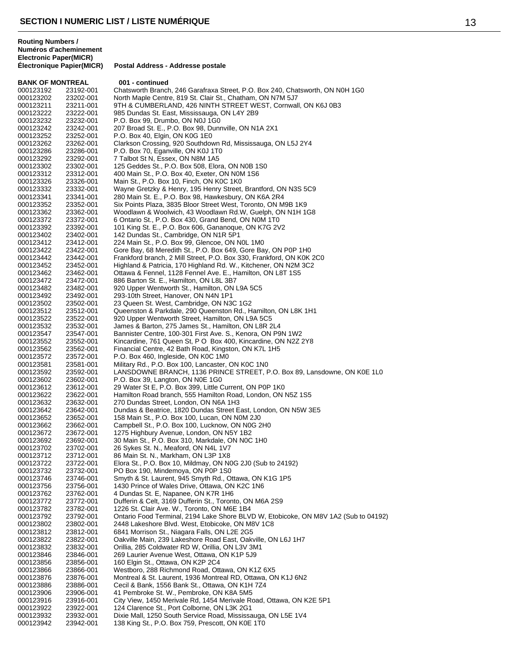| <b>BANK OF MONTREAL</b> |                        | 001 - continued                                                                                                                       |
|-------------------------|------------------------|---------------------------------------------------------------------------------------------------------------------------------------|
| 000123192               | 23192-001              | Chatsworth Branch, 246 Garafraxa Street, P.O. Box 240, Chatsworth, ON N0H 1G0                                                         |
| 000123202               | 23202-001              | North Maple Centre, 819 St. Clair St., Chatham, ON N7M 5J7                                                                            |
| 000123211               | 23211-001              | 9TH & CUMBERLAND, 426 NINTH STREET WEST, Cornwall, ON K6J 0B3                                                                         |
| 000123222               | 23222-001              | 985 Dundas St. East, Mississauga, ON L4Y 2B9                                                                                          |
| 000123232               | 23232-001              | P.O. Box 99, Drumbo, ON N0J 1G0                                                                                                       |
| 000123242               | 23242-001              | 207 Broad St. E., P.O. Box 98, Dunnville, ON N1A 2X1<br>P.O. Box 40, Elgin, ON K0G 1E0                                                |
| 000123252<br>000123262  | 23252-001<br>23262-001 | Clarkson Crossing, 920 Southdown Rd, Mississauga, ON L5J 2Y4                                                                          |
| 000123286               | 23286-001              | P.O. Box 70, Eganville, ON K0J 1T0                                                                                                    |
| 000123292               | 23292-001              | 7 Talbot St N, Essex, ON N8M 1A5                                                                                                      |
| 000123302               | 23302-001              | 125 Geddes St., P.O. Box 508, Elora, ON N0B 1S0                                                                                       |
| 000123312               | 23312-001              | 400 Main St., P.O. Box 40, Exeter, ON N0M 1S6                                                                                         |
| 000123326               | 23326-001              | Main St., P.O. Box 10, Finch, ON K0C 1K0                                                                                              |
| 000123332               | 23332-001              | Wayne Gretzky & Henry, 195 Henry Street, Brantford, ON N3S 5C9                                                                        |
| 000123341               | 23341-001              | 280 Main St. E., P.O. Box 98, Hawkesbury, ON K6A 2R4                                                                                  |
| 000123352               | 23352-001              | Six Points Plaza, 3835 Bloor Street West, Toronto, ON M9B 1K9                                                                         |
| 000123362               | 23362-001              | Woodlawn & Woolwich, 43 Woodlawn Rd.W, Guelph, ON N1H 1G8                                                                             |
| 000123372               | 23372-001              | 6 Ontario St., P.O. Box 430, Grand Bend, ON N0M 1T0                                                                                   |
| 000123392               | 23392-001              | 101 King St. E., P.O. Box 606, Gananoque, ON K7G 2V2                                                                                  |
| 000123402               | 23402-001              | 142 Dundas St., Cambridge, ON N1R 5P1                                                                                                 |
| 000123412               | 23412-001<br>23422-001 | 224 Main St., P.O. Box 99, Glencoe, ON NOL 1M0                                                                                        |
| 000123422<br>000123442  | 23442-001              | Gore Bay, 68 Meredith St., P.O. Box 649, Gore Bay, ON P0P 1H0<br>Frankford branch, 2 Mill Street, P.O. Box 330, Frankford, ON K0K 2C0 |
| 000123452               | 23452-001              | Highland & Patricia, 170 Highland Rd. W., Kitchener, ON N2M 3C2                                                                       |
| 000123462               | 23462-001              | Ottawa & Fennel, 1128 Fennel Ave. E., Hamilton, ON L8T 1S5                                                                            |
| 000123472               | 23472-001              | 886 Barton St. E., Hamilton, ON L8L 3B7                                                                                               |
| 000123482               | 23482-001              | 920 Upper Wentworth St., Hamilton, ON L9A 5C5                                                                                         |
| 000123492               | 23492-001              | 293-10th Street, Hanover, ON N4N 1P1                                                                                                  |
| 000123502               | 23502-001              | 23 Queen St. West, Cambridge, ON N3C 1G2                                                                                              |
| 000123512               | 23512-001              | Queenston & Parkdale, 290 Queenston Rd., Hamilton, ON L8K 1H1                                                                         |
| 000123522               | 23522-001              | 920 Upper Wentworth Street, Hamilton, ON L9A 5C5                                                                                      |
| 000123532               | 23532-001              | James & Barton, 275 James St., Hamilton, ON L8R 2L4                                                                                   |
| 000123547               | 23547-001              | Bannister Centre, 100-301 First Ave. S., Kenora, ON P9N 1W2                                                                           |
| 000123552               | 23552-001              | Kincardine, 761 Queen St, P O Box 400, Kincardine, ON N2Z 2Y8                                                                         |
| 000123562               | 23562-001              | Financial Centre, 42 Bath Road, Kingston, ON K7L 1H5                                                                                  |
| 000123572               | 23572-001              | P.O. Box 460, Ingleside, ON K0C 1M0                                                                                                   |
| 000123581               | 23581-001              | Military Rd., P.O. Box 100, Lancaster, ON K0C 1N0                                                                                     |
| 000123592<br>000123602  | 23592-001<br>23602-001 | LANSDOWNE BRANCH, 1136 PRINCE STREET, P.O. Box 89, Lansdowne, ON K0E 1L0<br>P.O. Box 39, Langton, ON NOE 1G0                          |
| 000123612               | 23612-001              | 29 Water St E, P.O. Box 399, Little Current, ON P0P 1K0                                                                               |
| 000123622               | 23622-001              | Hamilton Road branch, 555 Hamilton Road, London, ON N5Z 1S5                                                                           |
| 000123632               | 23632-001              | 270 Dundas Street, London, ON N6A 1H3                                                                                                 |
| 000123642               | 23642-001              | Dundas & Beatrice, 1820 Dundas Street East, London, ON N5W 3E5                                                                        |
| 000123652               | 23652-001              | 158 Main St., P.O. Box 100, Lucan, ON N0M 2J0                                                                                         |
| 000123662               | 23662-001              | Campbell St., P.O. Box 100, Lucknow, ON N0G 2H0                                                                                       |
| 000123672               | 23672-001              | 1275 Highbury Avenue, London, ON N5Y 1B2                                                                                              |
| 000123692               | 23692-001              | 30 Main St., P.O. Box 310, Markdale, ON N0C 1H0                                                                                       |
| 000123702               | 23702-001              | 26 Sykes St. N., Meaford, ON N4L 1V7                                                                                                  |
| 000123712               | 23712-001              | 86 Main St. N., Markham, ON L3P 1X8                                                                                                   |
| 000123722               | 23722-001              | Elora St., P.O. Box 10, Mildmay, ON N0G 2J0 (Sub to 24192)                                                                            |
| 000123732               | 23732-001              | PO Box 190, Mindemoya, ON P0P 1S0                                                                                                     |
| 000123746<br>000123756  | 23746-001<br>23756-001 | Smyth & St. Laurent, 945 Smyth Rd., Ottawa, ON K1G 1P5<br>1430 Prince of Wales Drive, Ottawa, ON K2C 1N6                              |
| 000123762               | 23762-001              | 4 Dundas St. E, Napanee, ON K7R 1H6                                                                                                   |
| 000123772               | 23772-001              | Dufferin & Celt, 3169 Dufferin St., Toronto, ON M6A 2S9                                                                               |
| 000123782               | 23782-001              | 1226 St. Clair Ave. W., Toronto, ON M6E 1B4                                                                                           |
| 000123792               | 23792-001              | Ontario Food Terminal, 2194 Lake Shore BLVD W, Etobicoke, ON M8V 1A2 (Sub to 04192)                                                   |
| 000123802               | 23802-001              | 2448 Lakeshore Blvd. West, Etobicoke, ON M8V 1C8                                                                                      |
| 000123812               | 23812-001              | 6841 Morrison St., Niagara Falls, ON L2E 2G5                                                                                          |
| 000123822               | 23822-001              | Oakville Main, 239 Lakeshore Road East, Oakville, ON L6J 1H7                                                                          |
| 000123832               | 23832-001              | Orillia, 285 Coldwater RD W, Orillia, ON L3V 3M1                                                                                      |
| 000123846               | 23846-001              | 269 Laurier Avenue West, Ottawa, ON K1P 5J9                                                                                           |
| 000123856               | 23856-001              | 160 Elgin St., Ottawa, ON K2P 2C4                                                                                                     |
| 000123866               | 23866-001              | Westboro, 288 Richmond Road, Ottawa, ON K1Z 6X5                                                                                       |
| 000123876               | 23876-001              | Montreal & St. Laurent, 1936 Montreal RD, Ottawa, ON K1J 6N2                                                                          |
| 000123886               | 23886-001              | Cecil & Bank, 1556 Bank St., Ottawa, ON K1H 7Z4                                                                                       |
| 000123906               | 23906-001              | 41 Pembroke St. W., Pembroke, ON K8A 5M5                                                                                              |
| 000123916               | 23916-001              | City View, 1450 Merivale Rd, 1454 Merivale Road, Ottawa, ON K2E 5P1<br>124 Clarence St., Port Colborne, ON L3K 2G1                    |
| 000123922<br>000123932  | 23922-001<br>23932-001 | Dixie Mall, 1250 South Service Road, Mississauga, ON L5E 1V4                                                                          |
| 000123942               | 23942-001              | 138 King St., P.O. Box 759, Prescott, ON K0E 1T0                                                                                      |
|                         |                        |                                                                                                                                       |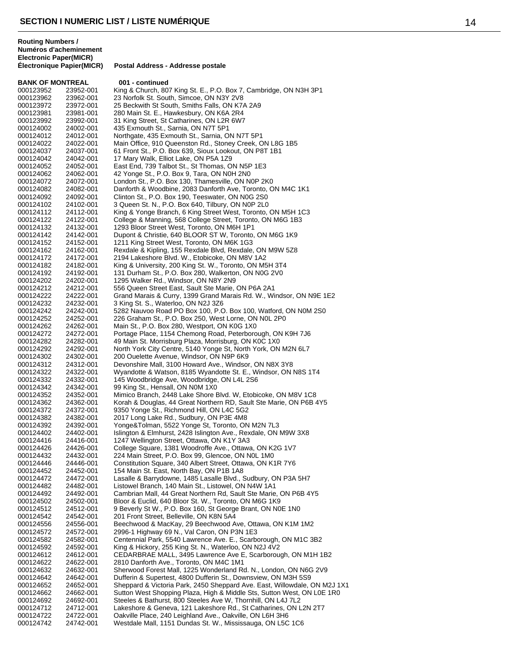| <b>BANK OF MONTREAL</b> |           | 001 - continued                                                           |
|-------------------------|-----------|---------------------------------------------------------------------------|
| 000123952               | 23952-001 | King & Church, 807 King St. E., P.O. Box 7, Cambridge, ON N3H 3P1         |
| 000123962               | 23962-001 | 23 Norfolk St. South, Simcoe, ON N3Y 2V8                                  |
| 000123972               | 23972-001 | 25 Beckwith St South, Smiths Falls, ON K7A 2A9                            |
| 000123981               | 23981-001 | 280 Main St. E., Hawkesbury, ON K6A 2R4                                   |
| 000123992               | 23992-001 | 31 King Street, St Catharines, ON L2R 6W7                                 |
| 000124002               | 24002-001 | 435 Exmouth St., Sarnia, ON N7T 5P1                                       |
| 000124012               | 24012-001 | Northgate, 435 Exmouth St., Sarnia, ON N7T 5P1                            |
| 000124022               | 24022-001 | Main Office, 910 Queenston Rd., Stoney Creek, ON L8G 1B5                  |
| 000124037               | 24037-001 | 61 Front St., P.O. Box 639, Sioux Lookout, ON P8T 1B1                     |
|                         |           |                                                                           |
| 000124042               | 24042-001 | 17 Mary Walk, Elliot Lake, ON P5A 1Z9                                     |
| 000124052               | 24052-001 | East End, 739 Talbot St., St Thomas, ON N5P 1E3                           |
| 000124062               | 24062-001 | 42 Yonge St., P.O. Box 9, Tara, ON N0H 2N0                                |
| 000124072               | 24072-001 | London St., P.O. Box 130, Thamesville, ON N0P 2K0                         |
| 000124082               | 24082-001 | Danforth & Woodbine, 2083 Danforth Ave, Toronto, ON M4C 1K1               |
| 000124092               | 24092-001 | Clinton St., P.O. Box 190, Teeswater, ON N0G 2S0                          |
| 000124102               | 24102-001 | 3 Queen St. N., P.O. Box 640, Tilbury, ON N0P 2L0                         |
| 000124112               | 24112-001 | King & Yonge Branch, 6 King Street West, Toronto, ON M5H 1C3              |
| 000124122               | 24122-001 | College & Manning, 568 College Street, Toronto, ON M6G 1B3                |
| 000124132               | 24132-001 | 1293 Bloor Street West, Toronto, ON M6H 1P1                               |
| 000124142               | 24142-001 | Dupont & Christie, 640 BLOOR ST W, Toronto, ON M6G 1K9                    |
| 000124152               | 24152-001 | 1211 King Street West, Toronto, ON M6K 1G3                                |
| 000124162               | 24162-001 | Rexdale & Kipling, 155 Rexdale Blvd, Rexdale, ON M9W 5Z8                  |
| 000124172               | 24172-001 | 2194 Lakeshore Blvd. W., Etobicoke, ON M8V 1A2                            |
| 000124182               | 24182-001 | King & University, 200 King St. W., Toronto, ON M5H 3T4                   |
| 000124192               | 24192-001 | 131 Durham St., P.O. Box 280, Walkerton, ON N0G 2V0                       |
| 000124202               | 24202-001 | 1295 Walker Rd., Windsor, ON N8Y 2N9                                      |
| 000124212               | 24212-001 | 556 Queen Street East, Sault Ste Marie, ON P6A 2A1                        |
|                         |           | Grand Marais & Curry, 1399 Grand Marais Rd. W., Windsor, ON N9E 1E2       |
| 000124222               | 24222-001 |                                                                           |
| 000124232               | 24232-001 | 3 King St. S., Waterloo, ON N2J 3Z6                                       |
| 000124242               | 24242-001 | 5282 Nauvoo Road PO Box 100, P.O. Box 100, Watford, ON N0M 2S0            |
| 000124252               | 24252-001 | 226 Graham St., P.O. Box 250, West Lorne, ON N0L 2P0                      |
| 000124262               | 24262-001 | Main St., P.O. Box 280, Westport, ON K0G 1X0                              |
| 000124272               | 24272-001 | Portage Place, 1154 Chemong Road, Peterborough, ON K9H 7J6                |
| 000124282               | 24282-001 | 49 Main St. Morrisburg Plaza, Morrisburg, ON K0C 1X0                      |
| 000124292               | 24292-001 | North York City Centre, 5140 Yonge St, North York, ON M2N 6L7             |
| 000124302               | 24302-001 | 200 Ouelette Avenue, Windsor, ON N9P 6K9                                  |
| 000124312               | 24312-001 | Devonshire Mall, 3100 Howard Ave., Windsor, ON N8X 3Y8                    |
| 000124322               | 24322-001 | Wyandotte & Watson, 8185 Wyandotte St. E., Windsor, ON N8S 1T4            |
| 000124332               | 24332-001 | 145 Woodbridge Ave, Woodbridge, ON L4L 2S6                                |
| 000124342               | 24342-001 | 99 King St., Hensall, ON N0M 1X0                                          |
| 000124352               | 24352-001 | Mimico Branch, 2448 Lake Shore Blvd. W, Etobicoke, ON M8V 1C8             |
| 000124362               | 24362-001 | Korah & Douglas, 44 Great Northern RD, Sault Ste Marie, ON P6B 4Y5        |
| 000124372               | 24372-001 | 9350 Yonge St., Richmond Hill, ON L4C 5G2                                 |
| 000124382               | 24382-001 | 2017 Long Lake Rd., Sudbury, ON P3E 4M8                                   |
| 000124392               | 24392-001 | Yonge&Tolman, 5522 Yonge St, Toronto, ON M2N 7L3                          |
|                         |           |                                                                           |
| 000124402               | 24402-001 | Islington & Elmhurst, 2428 Islington Ave., Rexdale, ON M9W 3X8            |
| 000124416               | 24416-001 | 1247 Wellington Street, Ottawa, ON K1Y 3A3                                |
| 000124426               | 24426-001 | College Square, 1381 Woodroffe Ave., Ottawa, ON K2G 1V7                   |
| 000124432               | 24432-001 | 224 Main Street, P.O. Box 99, Glencoe, ON NOL 1M0                         |
| 000124446               | 24446-001 | Constitution Square, 340 Albert Street, Ottawa, ON K1R 7Y6                |
| 000124452               | 24452-001 | 154 Main St. East, North Bay, ON P1B 1A8                                  |
| 000124472               | 24472-001 | Lasalle & Barrydowne, 1485 Lasalle Blvd., Sudbury, ON P3A 5H7             |
| 000124482               | 24482-001 | Listowel Branch, 140 Main St., Listowel, ON N4W 1A1                       |
| 000124492               | 24492-001 | Cambrian Mall, 44 Great Northern Rd, Sault Ste Marie, ON P6B 4Y5          |
| 000124502               | 24502-001 | Bloor & Euclid, 640 Bloor St. W., Toronto, ON M6G 1K9                     |
| 000124512               | 24512-001 | 9 Beverly St W., P.O. Box 160, St George Brant, ON N0E 1N0                |
| 000124542               | 24542-001 | 201 Front Street, Belleville, ON K8N 5A4                                  |
| 000124556               | 24556-001 | Beechwood & MacKay, 29 Beechwood Ave, Ottawa, ON K1M 1M2                  |
| 000124572               | 24572-001 | 2996-1 Highway 69 N., Val Caron, ON P3N 1E3                               |
| 000124582               | 24582-001 | Centennial Park, 5540 Lawrence Ave. E., Scarborough, ON M1C 3B2           |
| 000124592               | 24592-001 | King & Hickory, 255 King St. N., Waterloo, ON N2J 4V2                     |
| 000124612               | 24612-001 | CEDARBRAE MALL, 3495 Lawrence Ave E, Scarborough, ON M1H 1B2              |
| 000124622               | 24622-001 | 2810 Danforth Ave., Toronto, ON M4C 1M1                                   |
| 000124632               | 24632-001 | Sherwood Forest Mall, 1225 Wonderland Rd. N., London, ON N6G 2V9          |
| 000124642               | 24642-001 | Dufferin & Supertest, 4800 Dufferin St., Downsview, ON M3H 5S9            |
| 000124652               | 24652-001 | Sheppard & Victoria Park, 2450 Sheppard Ave. East, Willowdale, ON M2J 1X1 |
|                         |           | Sutton West Shopping Plaza, High & Middle Sts, Sutton West, ON L0E 1R0    |
| 000124662               | 24662-001 |                                                                           |
| 000124692               | 24692-001 | Steeles & Bathurst, 800 Steeles Ave W, Thornhill, ON L4J 7L2              |
| 000124712               | 24712-001 | Lakeshore & Geneva, 121 Lakeshore Rd., St Catharines, ON L2N 2T7          |
| 000124722               | 24722-001 | Oakville Place, 240 Leighland Ave., Oakville, ON L6H 3H6                  |
| 000124742               | 24742-001 | Westdale Mall, 1151 Dundas St. W., Mississauga, ON L5C 1C6                |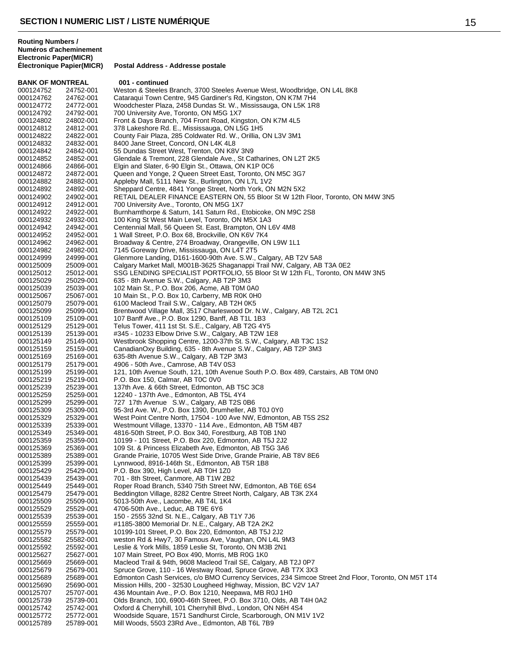**BANK OF MONTREAL 001 - continued** 000124752 24752-001 Weston & Steeles Branch, 3700 Steeles Avenue West, Woodbridge, ON L4L 8K8<br>000124762 24762-001 Cataraqui Town Centre, 945 Gardiner's Rd, Kingston, ON K7M 7H4 000124762 24762-001 Cataraqui Town Centre, 945 Gardiner's Rd, Kingston, ON K7M 7H4 Woodchester Plaza, 2458 Dundas St. W., Mississauga, ON L5K 1R8 000124792 24792-001 700 University Ave, Toronto, ON M5G 1X7 24802-001 Front & Days Branch, 704 Front Road, Kingston, ON K7M 4L5<br>24812-001 378 Lakeshore Rd. E., Mississauga, ON L5G 1H5 000124812 24812-001 378 Lakeshore Rd. E., Mississauga, ON L5G 1H5 000124822 24822-001 County Fair Plaza, 285 Coldwater Rd. W., Orillia, ON L3V 3M1<br>000124832 24832-001 8400 Jane Street, Concord, ON L4K 4L8 8400 Jane Street, Concord, ON L4K 4L8 000124842 24842-001 55 Dundas Street West, Trenton, ON K8V 3N9 000124852 24852-001 Glendale & Tremont, 228 Glendale Ave., St Catharines, ON L2T 2K5<br>000124866 24866-001 Elgin and Slater, 6-90 Elgin St., Ottawa, ON K1P 0C6 000124866 24866-001 Elgin and Slater, 6-90 Elgin St., Ottawa, ON K1P 0C6<br>000124872 24872-001 Queen and Yonge, 2 Queen Street East, Toronto, ON 000124872 24872-001 Queen and Yonge, 2 Queen Street East, Toronto, ON M5C 3G7<br>000124882 24882-001 Appleby Mall, 5111 New St., Burlington, ON L7L 1V2 000124882 24882-001 Appleby Mall, 5111 New St., Burlington, ON L7L 1V2 000124892 24892-001 Sheppard Centre, 4841 Yonge Street, North York, ON M2N 5X2<br>000124902 24902-001 RETAIL DEALER FINANCE EASTERN ON, 55 Bloor St W 12th RETAIL DEALER FINANCE EASTERN ON, 55 Bloor St W 12th Floor, Toronto, ON M4W 3N5 000124912 24912-001 700 University Ave., Toronto, ON M5G 1X7 000124922 24922-001 Burnhamthorpe & Saturn, 141 Saturn Rd., Etobicoke, ON M9C 2S8 000124932 24932-001 100 King St West Main Level, Toronto, ON M5X 1A3 000124942 24942-001 Centennial Mall, 56 Queen St. East, Brampton, ON L6V 4M8<br>000124952 24952-001 1 Wall Street. P.O. Box 68. Brockville. ON K6V 7K4 1 Wall Street, P.O. Box 68, Brockville, ON K6V 7K4 000124962 24962-001 Broadway & Centre, 274 Broadway, Orangeville, ON L9W 1L1<br>000124982 24982-001 7145 Goreway Drive, Mississauga, ON L4T 2T5 24982-001 7145 Goreway Drive, Mississauga, ON L4T 2T5<br>24999-001 Glenmore Landing, D161-1600-90th Ave. S.W. 000124999 24999-001 Glenmore Landing, D161-1600-90th Ave. S.W., Calgary, AB T2V 5A8<br>000125009 25009-001 Calgary Market Mall, M001B-3625 Shaganappi Trail NW, Calgary, AB 000125009 25009-001 Calgary Market Mall, M001B-3625 Shaganappi Trail NW, Calgary, AB T3A 0E2<br>000125012 25012-001 SSG LENDING SPECIALIST PORTFOLIO, 55 Bloor St W 12th FL, Toronto, ON SSG LENDING SPECIALIST PORTFOLIO, 55 Bloor St W 12th FL, Toronto, ON M4W 3N5 000125029 25029-001 635 - 8th Avenue S.W., Calgary, AB T2P 3M3 102 Main St., P.O. Box 206, Acme, AB T0M 0A0 000125067 25067-001 10 Main St., P.O. Box 10, Carberry, MB R0K 0H0 000125079 25079-001 6100 Macleod Trail S.W., Calgary, AB T2H 0K5 Brentwood Village Mall, 3517 Charleswood Dr. N.W., Calgary, AB T2L 2C1 000125109 25109-001 107 Banff Ave., P.O. Box 1290, Banff, AB T1L 1B3<br>000125129 25129-001 Telus Tower, 411 1st St. S.E., Calgary, AB T2G 4Y Telus Tower, 411 1st St. S.E., Calgary, AB T2G 4Y5 000125139 25139-001 #345 - 10233 Elbow Drive S.W., Calgary, AB T2W 1E8<br>000125149 25149-001 Westbrook Shopping Centre, 1200-37th St. S.W., Calga 000125149 25149-001 Westbrook Shopping Centre, 1200-37th St. S.W., Calgary, AB T3C 1S2<br>000125159 25159-001 CanadianOxy Building, 635 - 8th Avenue S.W., Calgary, AB T2P 3M3 000125159 25159-001 CanadianOxy Building, 635 - 8th Avenue S.W., Calgary, AB T2P 3M3 000125169 25169-001 635-8th Avenue S.W., Calgary, AB T2P 3M3<br>000125179 25179-001 4906 - 50th Ave., Camrose, AB T4V 0S3 4906 - 50th Ave., Camrose, AB T4V 0S3 000125199 25199-001 121, 10th Avenue South, 121, 10th Avenue South P.O. Box 489, Carstairs, AB T0M 0N0<br>000125219 25219-001 P.O. Box 150, Calmar, AB T0C 0V0 P.O. Box 150, Calmar, AB T0C 0V0 000125239 25239-001 137th Ave. & 66th Street, Edmonton, AB T5C 3C8<br>000125259 25259-001 12240 - 137th Ave., Edmonton, AB T5L 4Y4 000125259 25259-001 12240 - 137th Ave., Edmonton, AB T5L 4Y4 727 17th Avenue S.W., Calgary, AB T2S 0B6 000125309 25309-001 95-3rd Ave. W., P.O. Box 1390, Drumheller, AB T0J 0Y0<br>000125329 25329-001 West Point Centre North, 17504 - 100 Ave NW, Edmonto West Point Centre North, 17504 - 100 Ave NW, Edmonton, AB T5S 2S2 000125339 25339-001 Westmount Village, 13370 - 114 Ave., Edmonton, AB T5M 4B7<br>000125349 25349-001 4816-50th Street, P.O. Box 340, Forestburg, AB T0B 1N0 000125349 25349-001 4816-50th Street, P.O. Box 340, Forestburg, AB T0B 1N0<br>000125359 25359-001 10199 - 101 Street, P.O. Box 220, Edmonton, AB T5J 2J2 10199 - 101 Street, P.O. Box 220, Edmonton, AB T5J 2J2 000125369 25369-001 109 St. & Princess Elizabeth Ave, Edmonton, AB T5G 3A6 Grande Prairie, 10705 West Side Drive, Grande Prairie, AB T8V 8E6 000125399 25399-001 Lynnwood, 8916-146th St., Edmonton, AB T5R 1B8<br>000125429 25429-001 P.O. Box 390, High Level, AB T0H 1Z0 000125429 25429-001 P.O. Box 390, High Level, AB T0H 1Z0<br>000125439 25439-001 701 - 8th Street. Canmore. AB T1W 2B 701 - 8th Street, Canmore, AB T1W 2B2 000125449 25449-001 Roper Road Branch, 5340 75th Street NW, Edmonton, AB T6E 6S4<br>000125479 25479-001 Beddington Village, 8282 Centre Street North, Calgary, AB T3K 2X4 Beddington Village, 8282 Centre Street North, Calgary, AB T3K 2X4 000125509 25509-001 5013-50th Ave., Lacombe, AB T4L 1K4<br>000125529 25529-001 4706-50th Ave., Leduc, AB T9E 6Y6 25529-001 4706-50th Ave., Leduc, AB T9E 6Y6<br>25539-001 150 - 2555 32nd St. N.F., Calgary, A 000125539 25539-001 150 - 2555 32nd St. N.E., Calgary, AB T1Y 7J6<br>000125559 25559-001 #1185-3800 Memorial Dr. N.E., Calgary, AB T2 000125559 25559-001 #1185-3800 Memorial Dr. N.E., Calgary, AB T2A 2K2<br>000125579 25579-001 10199-101 Street, P.O. Box 220, Edmonton, AB T5J 2 10199-101 Street, P.O. Box 220, Edmonton, AB T5J 2J2 000125582 25582-001 weston Rd & Hwy7, 30 Famous Ave, Vaughan, ON L4L 9M3 000125592 25592-001 Leslie & York Mills, 1859 Leslie St, Toronto, ON M3B 2N1 000125627 25627-001 107 Main Street, PO Box 490, Morris, MB R0G 1K0 000125669 25669-001 Macleod Trail & 94th, 9608 Macleod Trail SE, Calgary, AB T2J 0P7 Spruce Grove, 110 - 16 Westway Road, Spruce Grove, AB T7X 3X3 000125689 25689-001 Edmonton Cash Services, c/o BMO Currency Services, 234 Simcoe Street 2nd Floor, Toronto, ON M5T 1T4<br>000125690 25690-001 Mission Hills, 200 - 32530 Lougheed Highway, Mission, BC V2V 1A7 25690-001 Mission Hills, 200 - 32530 Lougheed Highway, Mission, BC V2V 1A7<br>25707-001 436 Mountain Ave., P.O. Box 1210, Neepawa, MB R0J 1H0 000125707 25707-001 436 Mountain Ave., P.O. Box 1210, Neepawa, MB R0J 1H0<br>000125739 25739-001 Olds Branch, 100, 6900-46th Street, P.O. Box 3710, Olds, A 000125739 25739-001 Olds Branch, 100, 6900-46th Street, P.O. Box 3710, Olds, AB T4H 0A2<br>000125742 25742-001 Oxford & Cherryhill, 101 Cherryhill Blvd., London, ON N6H 4S4 Oxford & Cherryhill, 101 Cherryhill Blvd., London, ON N6H 4S4 000125772 25772-001 Woodside Square, 1571 Sandhurst Circle, Scarborough, ON M1V 1V2<br>000125789 25789-001 Mill Woods, 5503 23Rd Ave., Edmonton, AB T6L 7B9 Mill Woods, 5503 23Rd Ave., Edmonton, AB T6L 7B9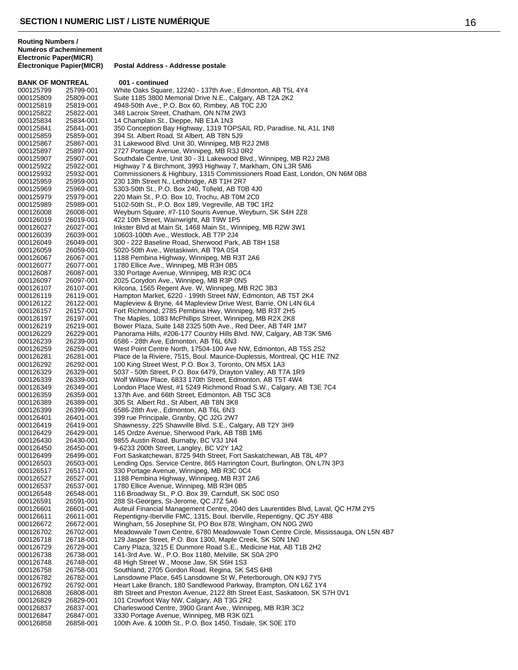| <b>Routing Numbers /</b><br><b>Electronic Paper(MICR)</b> | Numéros d'acheminement    |                                                                                                                                          |  |  |  |
|-----------------------------------------------------------|---------------------------|------------------------------------------------------------------------------------------------------------------------------------------|--|--|--|
|                                                           | Electronique Papier(MICR) | Postal Address - Addresse postale                                                                                                        |  |  |  |
| <b>BANK OF MONTREAL</b>                                   |                           | 001 - continued                                                                                                                          |  |  |  |
| 000125799                                                 | 25799-001                 | White Oaks Square, 12240 - 137th Ave., Edmonton, AB T5L 4Y4                                                                              |  |  |  |
| 000125809                                                 | 25809-001                 | Suite 1185 3800 Memorial Drive N.E., Calgary, AB T2A 2K2                                                                                 |  |  |  |
| 000125819                                                 | 25819-001                 | 4948-50th Ave., P.O. Box 60, Rimbey, AB TOC 2J0                                                                                          |  |  |  |
| 000125822                                                 | 25822-001                 | 348 Lacroix Street, Chatham, ON N7M 2W3                                                                                                  |  |  |  |
| 000125834                                                 | 25834-001                 | 14 Champlain St., Dieppe, NB E1A 1N3                                                                                                     |  |  |  |
| 000125841                                                 | 25841-001                 | 350 Conception Bay Highway, 1319 TOPSAIL RD, Paradise, NL A1L 1N8                                                                        |  |  |  |
| 000125859                                                 | 25859-001                 | 394 St. Albert Road, St Albert, AB T8N 5J9                                                                                               |  |  |  |
| 000125867                                                 | 25867-001                 | 31 Lakewood Blvd. Unit 30, Winnipeg, MB R2J 2M8                                                                                          |  |  |  |
| 000125897                                                 | 25897-001                 | 2727 Portage Avenue, Winnipeg, MB R3J 0R2                                                                                                |  |  |  |
| 000125907                                                 | 25907-001                 | Southdale Centre, Unit 30 - 31 Lakewood Blvd., Winnipeg, MB R2J 2M8                                                                      |  |  |  |
| 000125922                                                 | 25922-001                 | Highway 7 & Birchmont, 3993 Highway 7, Markham, ON L3R 5M6                                                                               |  |  |  |
| 000125932                                                 | 25932-001                 | Commissioners & Highbury, 1315 Commissioners Road East, London, ON N6M 0B8                                                               |  |  |  |
| 000125959                                                 | 25959-001                 | 230 13th Street N., Lethbridge, AB T1H 2R7                                                                                               |  |  |  |
| 000125969                                                 | 25969-001                 | 5303-50th St., P.O. Box 240, Tofield, AB T0B 4J0                                                                                         |  |  |  |
| 000125979                                                 | 25979-001                 | 220 Main St., P.O. Box 10, Trochu, AB T0M 2C0                                                                                            |  |  |  |
| 000125989                                                 | 25989-001                 | 5102-50th St., P.O. Box 189, Vegreville, AB T9C 1R2                                                                                      |  |  |  |
| 000126008                                                 | 26008-001                 | Weyburn Square, #7-110 Souris Avenue, Weyburn, SK S4H 2Z8                                                                                |  |  |  |
| 000126019                                                 | 26019-001                 | 422 10th Street, Wainwright, AB T9W 1P5                                                                                                  |  |  |  |
| 000126027                                                 | 26027-001                 | Inkster Blvd at Main St, 1468 Main St., Winnipeg, MB R2W 3W1                                                                             |  |  |  |
| 000126039                                                 | 26039-001                 | 10603-100th Ave., Westlock, AB T7P 2J4                                                                                                   |  |  |  |
| 000126049                                                 | 26049-001                 | 300 - 222 Baseline Road, Sherwood Park, AB T8H 1S8                                                                                       |  |  |  |
| 000126059                                                 | 26059-001                 | 5020-50th Ave., Wetaskiwin, AB T9A 0S4                                                                                                   |  |  |  |
| 000126067                                                 | 26067-001                 | 1188 Pembina Highway, Winnipeg, MB R3T 2A6                                                                                               |  |  |  |
| 000126077                                                 | 26077-001                 | 1780 Ellice Ave., Winnipeg, MB R3H 0B5                                                                                                   |  |  |  |
| 000126087                                                 | 26087-001                 | 330 Portage Avenue, Winnipeg, MB R3C 0C4                                                                                                 |  |  |  |
| 000126097                                                 | 26097-001                 | 2025 Corydon Ave., Winnipeg, MB R3P 0N5                                                                                                  |  |  |  |
| 000126107                                                 | 26107-001                 | Kilcona, 1565 Regent Ave. W, Winnipeg, MB R2C 3B3                                                                                        |  |  |  |
| 000126119                                                 | 26119-001                 | Hampton Market, 6220 - 199th Street NW, Edmonton, AB T5T 2K4                                                                             |  |  |  |
| 000126122                                                 | 26122-001                 | Mapleview & Bryne, 44 Mapleview Drive West, Barrie, ON L4N 6L4                                                                           |  |  |  |
| 000126157                                                 | 26157-001                 | Fort Richmond, 2785 Pembina Hwy, Winnipeg, MB R3T 2H5                                                                                    |  |  |  |
| 000126197                                                 | 26197-001                 | The Maples, 1083 McPhillips Street, Winnipeg, MB R2X 2K8                                                                                 |  |  |  |
| 000126219                                                 | 26219-001                 | Bower Plaza, Suite 148 2325 50th Ave., Red Deer, AB T4R 1M7                                                                              |  |  |  |
| 000126229                                                 | 26229-001                 | Panorama Hills, #206-177 Country Hills Blvd. NW, Calgary, AB T3K 5M6                                                                     |  |  |  |
| 000126239                                                 | 26239-001                 | 6586 - 28th Ave, Edmonton, AB T6L 6N3                                                                                                    |  |  |  |
| 000126259<br>000100001                                    | 26259-001<br>00001001     | West Point Centre North, 17504-100 Ave NW, Edmonton, AB T5S 2S2<br>de la Diciene, 7545, Deul, Maurice, Durchessie, Mentreal, OO UAF, 7NO |  |  |  |

000126259 26259-001 West Point Centre North, 17504-100<br>000126281 26281-001 Place de la Riviere, 7515, Boul. Mau 000126281 26281-001 Place de la Riviere, 7515, Boul. Maurice-Duplessis, Montreal, QC H1E 7N2<br>000126292 26292-001 100 King Street West, P.O. Box 3, Toronto, ON M5X 1A3

- 100 King Street West, P.O. Box 3, Toronto, ON M5X 1A3 000126329 26329-001 5037 - 50th Street, P.O. Box 6479, Drayton Valley, AB T7A 1R9
- 000126339 26339-001 Wolf Willow Place, 6833 170th Street, Edmonton, AB T5T 4W4 000126349 26349-001 London Place West, #1 5249 Richmond Road S.W., Calgary, AB T3E 7C4<br>000126359 26359-001 137th Ave. and 66th Street, Edmonton, AB T5C 3C8
- 000126359 26359-001 137th Ave. and 66th Street, Edmonton, AB T5C 3C8 305 St. Albert Rd., St Albert, AB T8N 3K8
	-
- 000126399 26399-001 6586-28th Ave., Edmonton, AB T6L 6N3<br>000126401 26401-001 399 rue Principale, Granby, QC J2G 2W7 399 rue Principale, Granby, QC J2G 2W7
	-
- 000126419 26419-001 Shawnessy, 225 Shawville Blvd. S.E., Calgary, AB T2Y 3H9<br>000126429 26429-001 145 Ordze Avenue, Sherwood Park, AB T8B 1M6
- 000126429 26429-001 145 Ordze Avenue, Sherwood Park, AB T8B 1M6 9855 Austin Road, Burnaby, BC V3J 1N4
	-
- 000126450 26450-001 9-6233 200th Street, Langley, BC V2Y 1A2
- 000126499 26499-001 Fort Saskatchewan, 8725 94th Street, Fort Saskatchewan, AB T8L 4P7 000126503 26503-001 Lending Ops. Service Centre, 865 Harrington Court, Burlington, ON L7N 3P3<br>000126517 26517-001 330 Portage Avenue, Winnipeg, MB R3C 0C4
	-
- 000126517 26517-001 330 Portage Avenue, Winnipeg, MB R3C 0C4 1188 Pembina Highway, Winnipeg, MB R3T 2A6
	-
- 000126537 26537-001 1780 Ellice Avenue, Winnipeg, MB R3H 0B5 116 Broadway St., P.O. Box 39, Carnduff, SK S0C 0S0
- 000126591 26591-001 288 St-Georges, St-Jerome, QC J7Z 5A6
	- 26601-001 Auteuil Financial Management Centre, 2040 des Laurentides Blvd, Laval, QC H7M 2Y5<br>26611-001 Repentigny-Iberville FMC, 1315, Boul, Iberville, Repentigny, QC J5Y 4B8
- 000126611 26611-001 Repentigny-Iberville FMC, 1315, Boul. Iberville, Repentigny, QC J5Y 4B8<br>000126672 26672-001 Wingham, 55 Josephine St, PO Box 878, Wingham, ON N0G 2W0
- 000126672 26672-001 Wingham, 55 Josephine St, PO Box 878, Wingham, ON N0G 2W0 Meadowvale Town Centre, 6780 Meadowvale Town Centre Circle, Mississauga, ON L5N 4B7
- 000126718 26718-001 129 Jasper Street, P.O. Box 1300, Maple Creek, SK S0N 1N0
- 000126729 26729-001 Carry Plaza, 3215 E Dunmore Road S.E., Medicine Hat, AB T1B 2H2<br>000126738 26738-001 141-3rd Ave. W., P.O. Box 1180. Melville, SK S0A 2P0
- 000126738 26738-001 141-3rd Ave. W., P.O. Box 1180, Melville, SK S0A 2P0
- 000126748 26748-001 48 High Street W., Moose Jaw, SK S6H 1S3<br>000126758 26758-001 Southland. 2705 Gordon Road. Regina, SK \$
	- Southland, 2705 Gordon Road, Regina, SK S4S 6H8
- 000126782 26782-001 Lansdowne Place, 645 Lansdowne St W, Peterborough, ON K9J 7Y5
	- Heart Lake Branch, 180 Sandlewood Parkway, Brampton, ON L6Z 1Y4
- 000126808 26808-001 8th Street and Preston Avenue, 2122 8th Street East, Saskatoon, SK S7H 0V1<br>000126829 26829-001 101 Crowfoot Way NW, Calgary, AB T3G 2R2
- 000126829 26829-001 101 Crowfoot Way NW, Calgary, AB T3G 2R2
	- Charleswood Centre, 3900 Grant Ave., Winnipeg, MB R3R 3C2
- 000126847 26847-001 3330 Portage Avenue, Winnipeg, MB R3K 0Z1 100th Ave. & 100th St., P.O. Box 1450, Tisdale, SK S0E 1T0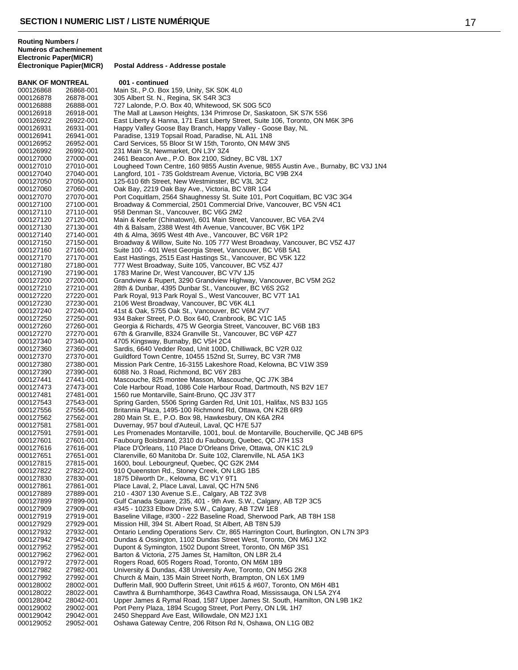**BANK OF MONTREAL 001 - continued**<br>000126868 26868-001 Main St. P.O. Box 000126868 26868-001 Main St., P.O. Box 159, Unity, SK S0K 4L0<br>000126878 26878-001 305 Albert St. N., Regina, SK S4R 3C3 000126878 26878-001 305 Albert St. N., Regina, SK S4R 3C3<br>000126888 26888-001 727 Lalonde. P.O. Box 40. Whitewood. 727 Lalonde, P.O. Box 40, Whitewood, SK S0G 5C0 000126918 26918-001 The Mall at Lawson Heights, 134 Primrose Dr, Saskatoon, SK S7K 5S6<br>000126922 26922-001 East Liberty & Hanna, 171 East Liberty Street, Suite 106, Toronto, ON N East Liberty & Hanna, 171 East Liberty Street, Suite 106, Toronto, ON M6K 3P6 000126931 26931-001 Happy Valley Goose Bay Branch, Happy Valley - Goose Bay, NL<br>000126941 26941-001 Paradise, 1319 Topsail Road, Paradise, NL A1L 1N8 000126941 26941-001 Paradise, 1319 Topsail Road, Paradise, NL A1L 1N8 Card Services, 55 Bloor St W 15th, Toronto, ON M4W 3N5 000126992 26992-001 231 Main St, Newmarket, ON L3Y 3Z4<br>000127000 27000-001 2461 Beacon Ave., P.O. Box 2100, Sid 000127000 27000-001 2461 Beacon Ave., P.O. Box 2100, Sidney, BC V8L 1X7<br>000127010 27010-001 Lougheed Town Centre, 160 9855 Austin Avenue. 9855 000127010 27010-001 Lougheed Town Centre, 160 9855 Austin Avenue, 9855 Austin Ave., Burnaby, BC V3J 1N4<br>000127040 27040-001 Langford, 101 - 735 Goldstream Avenue, Victoria, BC V9B 2X4 000127040 27040-001 Langford, 101 - 735 Goldstream Avenue, Victoria, BC V9B 2X4<br>000127050 27050-001 125-610 6th Street, New Westminster, BC V3L 3C2 000127050 27050-001 125-610 6th Street, New Westminster, BC V3L 3C2<br>000127060 27060-001 Oak Bay, 2219 Oak Bay Ave., Victoria, BC V8R 1G4 000127060 27060-001 Oak Bay, 2219 Oak Bay Ave., Victoria, BC V8R 1G4<br>000127070 27070-001 Port Coquitlam, 2564 Shaughnessy St. Suite 101, Po Port Coquitlam, 2564 Shaughnessy St. Suite 101, Port Coquitlam, BC V3C 3G4 000127100 27100-001 Broadway & Commercial, 2501 Commercial Drive, Vancouver, BC V5N 4C1<br>000127110 27110-001 958 Denman St., Vancouver, BC V6G 2M2 27110-001 958 Denman St., Vancouver, BC V6G 2M2<br>27120-001 Main & Keefer (Chinatown), 601 Main Stree 000127120 27120-001 Main & Keefer (Chinatown), 601 Main Street, Vancouver, BC V6A 2V4<br>000127130 27130-001 4th & Balsam, 2388 West 4th Avenue, Vancouver, BC V6K 1P2 000127130 27130-001 4th & Balsam, 2388 West 4th Avenue, Vancouver, BC V6K 1P2<br>000127140 27140-001 4th & Alma. 3695 West 4th Ave., Vancouver, BC V6R 1P2 4th & Alma, 3695 West 4th Ave., Vancouver, BC V6R 1P2 000127150 27150-001 Broadway & Willow, Suite No. 105 777 West Broadway, Vancouver, BC V5Z 4J7<br>000127160 27160-001 Suite 100 - 401 West Georgia Street, Vancouver, BC V6B 5A1 Suite 100 - 401 West Georgia Street, Vancouver, BC V6B 5A1 000127170 27170-001 East Hastings, 2515 East Hastings St., Vancouver, BC V5K 1Z2<br>000127180 27180-001 777 West Broadway, Suite 105, Vancouver, BC V5Z 4J7 000127180 27180-001 777 West Broadway, Suite 105, Vancouver, BC V5Z 4J7<br>000127190 27190-001 1783 Marine Dr. West Vancouver. BC V7V 1J5 1783 Marine Dr, West Vancouver, BC V7V 1J5 000127200 27200-001 Grandview & Rupert, 3290 Grandview Highway, Vancouver, BC V5M 2G2<br>000127210 27210-001 28th & Dunbar, 4395 Dunbar St., Vancouver, BC V6S 2G2 27210-001 28th & Dunbar, 4395 Dunbar St., Vancouver, BC V6S 2G2<br>27220-001 Park Royal, 913 Park Royal S., West Vancouver, BC V7T 1 000127220 27220-001 Park Royal, 913 Park Royal S., West Vancouver, BC V7T 1A1<br>000127230 27230-001 2106 West Broadway, Vancouver, BC V6K 4L1 000127230 27230-001 2106 West Broadway, Vancouver, BC V6K 4L1<br>000127240 27240-001 41st & Oak, 5755 Oak St., Vancouver, BC V6M 41st & Oak, 5755 Oak St., Vancouver, BC V6M 2V7 000127250 27250-001 934 Baker Street, P.O. Box 640, Cranbrook, BC V1C 1A5<br>000127260 27260-001 Georgia & Richards, 475 W Georgia Street, Vancouver, B Georgia & Richards, 475 W Georgia Street, Vancouver, BC V6B 1B3 000127270 27270-001 67th & Granville, 8324 Granville St., Vancouver, BC V6P 4Z7<br>000127340 27340-001 4705 Kingsway, Burnaby, BC V5H 2C4 000127340 27340-001 4705 Kingsway, Burnaby, BC V5H 2C4<br>000127360 27360-001 Sardis, 6640 Vedder Road, Unit 100D. 000127360 27360-001 Sardis, 6640 Vedder Road, Unit 100D, Chilliwack, BC V2R 0J2<br>000127370 27370-001 Guildford Town Centre, 10455 152nd St, Surrey, BC V3R 7M8 000127370 27370-001 Guildford Town Centre, 10455 152nd St, Surrey, BC V3R 7M8 Mission Park Centre, 16-3155 Lakeshore Road, Kelowna, BC V1W 3S9 000127390 27390-001 6088 No. 3 Road, Richmond, BC V6Y 2B3 000127441 27441-001 Mascouche, 825 montee Masson, Mascouche, QC J7K 3B4 000127473 27473-001 Cole Harbour Road, 1086 Cole Harbour Road, Dartmouth, NS B2V 1E7<br>000127481 27481-001 1560 rue Montarville, Saint-Bruno, QC J3V 3T7 000127481 27481-001 1560 rue Montarville, Saint-Bruno, QC J3V 3T7<br>000127543 27543-001 Spring Garden, 5506 Spring Garden Rd. Unit 10 Spring Garden, 5506 Spring Garden Rd, Unit 101, Halifax, NS B3J 1G5 000127556 27556-001 Britannia Plaza, 1495-100 Richmond Rd, Ottawa, ON K2B 6R9<br>000127562 27562-001 280 Main St. E., P.O. Box 98, Hawkesbury, ON K6A 2R4 280 Main St. E., P.O. Box 98, Hawkesbury, ON K6A 2R4 000127581 27581-001 Duvernay, 957 boul d'Auteuil, Laval, QC H7E 5J7 000127591 27591-001 Les Promenades Montarville, 1001, boul. de Montarville, Boucherville, QC J4B 6P5<br>000127601 27601-001 Faubourg Boisbrand. 2310 du Faubourg. Quebec. QC J7H 1S3 Faubourg Boisbrand, 2310 du Faubourg, Quebec, QC J7H 1S3 000127616 27616-001 Place D'Orleans, 110 Place D'Orleans Drive, Ottawa, ON K1C 2L9<br>000127651 27651-001 Clarenville, 60 Manitoba Dr. Suite 102, Clarenville, NL A5A 1K3 27651-001 Clarenville, 60 Manitoba Dr. Suite 102, Clarenville, NL A5A 1K3<br>27815-001 1600, boul. Lebourgneuf, Quebec, QC G2K 2M4 000127815 27815-001 1600, boul. Lebourgneuf, Quebec, QC G2K 2M4<br>000127822 27822-001 910 Queenston Rd., Stoney Creek, ON L8G 1B5 000127822 27822-001 910 Queenston Rd., Stoney Creek, ON L8G 1B5<br>000127830 27830-001 1875 Dilworth Dr., Kelowna, BC V1Y 9T1 1875 Dilworth Dr., Kelowna, BC V1Y 9T1 000127861 27861-001 Place Laval, 2, Place Laval, Laval, QC H7N 5N6<br>000127889 27889-001 210 - 4307 130 Avenue S.E., Calgary, AB T2Z 3 210 - 4307 130 Avenue S.E., Calgary, AB T2Z 3V8 000127899 27899-001 Gulf Canada Square, 235, 401 - 9th Ave. S.W., Calgary, AB T2P 3C5<br>000127909 27909-001 #345 - 10233 Elbow Drive S.W., Calgary, AB T2W 1E8 27909-001 #345 - 10233 Elbow Drive S.W., Calgary, AB T2W 1E8<br>27919-001 Baseline Village, #300 - 222 Baseline Road, Sherwood 000127919 27919-001 Baseline Village, #300 - 222 Baseline Road, Sherwood Park, AB T8H 1S8<br>000127929 27929-001 Mission Hill, 394 St. Albert Road, St Albert, AB T8N 5J9 000127929 27929-001 Mission Hill, 394 St. Albert Road, St Albert, AB T8N 5J9<br>000127932 27932-001 Ontario Lending Operations Serv. Ctr, 865 Harrington Co Ontario Lending Operations Serv. Ctr, 865 Harrington Court, Burlington, ON L7N 3P3 000127942 27942-001 Dundas & Ossington, 1102 Dundas Street West, Toronto, ON M6J 1X2 000127952 27952-001 Dupont & Symington, 1502 Dupont Street, Toronto, ON M6P 3S1 000127962 27962-001 Barton & Victoria, 275 James St, Hamilton, ON L8R 2L4<br>000127972 27972-001 Rogers Road, 605 Rogers Road, Toronto, ON M6M 1B9 000127972 27972-001 Rogers Road, 605 Rogers Road, Toronto, ON M6M 1B9<br>000127982 27982-001 University & Dundas, 438 University Ave, Toronto, ON M University & Dundas, 438 University Ave, Toronto, ON M5G 2K8 000127992 27992-001 Church & Main, 135 Main Street North, Brampton, ON L6X 1M9<br>000128002 28002-001 Dufferin Mall, 900 Dufferin Street, Unit #615 & #607, Toronto, Ol Dufferin Mall, 900 Dufferin Street, Unit #615 & #607, Toronto, ON M6H 4B1 000128022 28022-001 Cawthra & Burnhamthorpe, 3643 Cawthra Road, Mississauga, ON L5A 2Y4 000128042 28042-001 Upper James & Rymal Road, 1587 Upper James St. South, Hamilton, ON L9B 1K2<br>000129002 29002-001 Port Perry Plaza, 1894 Scugog Street, Port Perry, ON L9L 1H7 Port Perry Plaza, 1894 Scugog Street, Port Perry, ON L9L 1H7 000129042 29042-001 2450 Sheppard Ave East, Willowdale, ON M2J 1X1 Oshawa Gateway Centre, 206 Ritson Rd N, Oshawa, ON L1G 0B2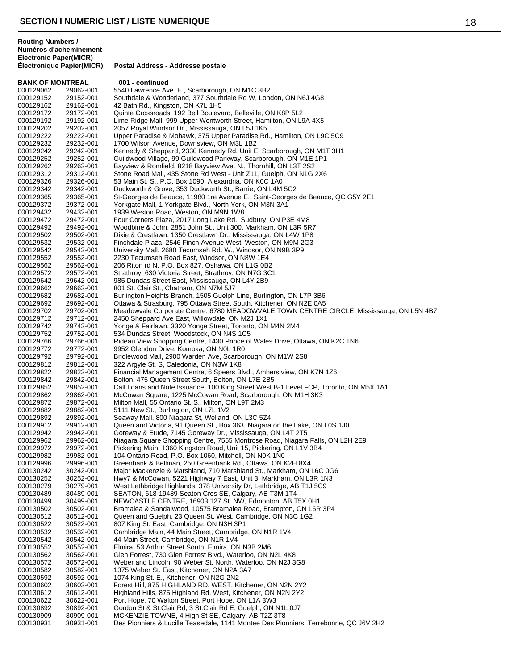**BANK OF MONTREAL 001 - continued**<br>000129062 29062-001 5540 Lawrence Av 000129062 29062-001 5540 Lawrence Ave. E., Scarborough, ON M1C 3B2<br>000129152 29152-001 Southdale & Wonderland, 377 Southdale Rd W, Lon 000129152 29152-001 Southdale & Wonderland, 377 Southdale Rd W, London, ON N6J 4G8<br>000129162 29162-001 42 Bath Rd., Kingston, ON K7L 1H5 42 Bath Rd., Kingston, ON K7L 1H5 000129172 29172-001 Quinte Crossroads, 192 Bell Boulevard, Belleville, ON K8P 5L2<br>000129192 29192-001 Lime Ridge Mall, 999 Upper Wentworth Street, Hamilton, ON L9 Lime Ridge Mall, 999 Upper Wentworth Street, Hamilton, ON L9A 4X5 000129202 29202-001 2057 Royal Windsor Dr., Mississauga, ON L5J 1K5 000129222 29222-001 Upper Paradise & Mohawk, 375 Upper Paradise Rd., Hamilton, ON L9C 5C9<br>000129232 29232-001 1700 Wilson Avenue, Downsview, ON M3L 1B2 1700 Wilson Avenue, Downsview, ON M3L 1B2 000129242 29242-001 Kennedy & Sheppard, 2330 Kennedy Rd. Unit E, Scarborough, ON M1T 3H1<br>000129252 29252-001 Guildwood Village, 99 Guildwood Parkway, Scarborough, ON M1E 1P1 000129252 29252-001 Guildwood Village, 99 Guildwood Parkway, Scarborough, ON M1E 1P1 000129262 29262-001 Bayview & Romfield, 8218 Bayview Ave. N., Thornhill, ON L3T 2S2 000129312 29312-001 Stone Road Mall, 435 Stone Rd West - Unit Z11, Guelph, ON N1G 2X6 000129326 29326-001 53 Main St. S., P.O. Box 1090, Alexandria, ON K0C 1A0<br>000129342 29342-001 Duckworth & Grove, 353 Duckworth St., Barrie, ON L4M 000129342 29342-001 Duckworth & Grove, 353 Duckworth St., Barrie, ON L4M 5C2<br>000129365 29365-001 St-Georges de Beauce, 11980 1re Avenue E., Saint-Georges St-Georges de Beauce, 11980 1re Avenue E., Saint-Georges de Beauce, QC G5Y 2E1 000129372 29372-001 Yorkgate Mall, 1 Yorkgate Blvd., North York, ON M3N 3A1<br>000129432 29432-001 1939 Weston Road, Weston, ON M9N 1W8 000129432 29432-001 1939 Weston Road, Weston, ON M9N 1W8<br>000129472 29472-001 Four Corners Plaza, 2017 Long Lake Rd., S 000129472 29472-001 Four Corners Plaza, 2017 Long Lake Rd., Sudbury, ON P3E 4M8 000129492 29492-001 Woodbine & John, 2851 John St., Unit 300, Markham, ON L3R 5R7<br>000129502 29502-001 Dixie & Crestlawn, 1350 Crestlawn Dr., Mississauga, ON L4W 1P8 Dixie & Crestlawn, 1350 Crestlawn Dr., Mississauga, ON L4W 1P8 000129532 29532-001 Finchdale Plaza, 2546 Finch Avenue West, Weston, ON M9M 2G3<br>000129542 29542-001 University Mall, 2680 Tecumseh Rd. W., Windsor, ON N9B 3P9 University Mall, 2680 Tecumseh Rd. W., Windsor, ON N9B 3P9 000129552 29552-001 2230 Tecumseh Road East, Windsor, ON N8W 1E4 000129562 29562-001 206 Riton rd N, P.O. Box 827, Oshawa, ON L1G 0B2<br>000129572 29572-001 Strathrov. 630 Victoria Street. Strathrov. ON N7G 3C Strathroy, 630 Victoria Street, Strathroy, ON N7G 3C1 000129642 29642-001 985 Dundas Street East, Mississauga, ON L4Y 2B9<br>000129662 29662-001 801 St. Clair St., Chatham, ON N7M 5J7 000129662 29662-001 801 St. Clair St., Chatham, ON N7M 5J7 000129682 29682-001 Burlington Heights Branch, 1505 Guelph Line, Burlington, ON L7P 3B6 000129692 29692-001 Ottawa & Strasburg, 795 Ottawa Street South, Kitchener, ON N2E 0A5 Meadowvale Corporate Centre, 6780 MEADOWVALE TOWN CENTRE CIRCLE, Mississauga, ON L5N 4B7 000129712 29712-001 2450 Sheppard Ave East, Willowdale, ON M2J 1X1<br>000129742 29742-001 Yonge & Fairlawn, 3320 Yonge Street, Toronto, ON 000129742 29742-001 Yonge & Fairlawn, 3320 Yonge Street, Toronto, ON M4N 2M4<br>000129752 29752-001 534 Dundas Street, Woodstock, ON N4S 1C5 000129752 29752-001 534 Dundas Street, Woodstock, ON N4S 1C5<br>000129766 29766-001 Rideau View Shopping Centre, 1430 Prince of 000129766 29766-001 Rideau View Shopping Centre, 1430 Prince of Wales Drive, Ottawa, ON K2C 1N6<br>000129772 29772-001 9952 Glendon Drive, Komoka, ON N0L 1R0 000129772 29772-001 9952 Glendon Drive, Komoka, ON N0L 1R0 000129792 29792-001 Bridlewood Mall, 2900 Warden Ave, Scarborough, ON M1W 2S8<br>000129812 29812-001 322 Argyle St. S, Caledonia, ON N3W 1K8 322 Argyle St. S, Caledonia, ON N3W 1K8 000129822 29822-001 Financial Management Centre, 6 Speers Blvd., Amherstview, ON K7N 1Z6<br>000129842 29842-001 Bolton, 475 Queen Street South, Bolton, ON L7E 2B5 000129842 29842-001 Bolton, 475 Queen Street South, Bolton, ON L7E 2B5 000129852 29852-001 Call Loans and Note Issuance, 100 King Street West B-1 Level FCP, Toronto, ON M5X 1A1<br>000129862 29862-001 McCowan Square, 1225 McCowan Road, Scarborough, ON M1H 3K3 000129862 29862-001 McCowan Square, 1225 McCowan Road, Scarborough, ON M1H 3K3<br>000129872 29872-001 Milton Mall, 55 Ontario St. S., Milton, ON L9T 2M3 Milton Mall, 55 Ontario St. S., Milton, ON L9T 2M3 000129882 29882-001 5111 New St., Burlington, ON L7L 1V2<br>000129892 29892-001 Seaway Mall, 800 Niagara St, Welland, 000129892 29892-001 Seaway Mall, 800 Niagara St, Welland, ON L3C 5Z4 000129912 29912-001 Queen and Victoria, 91 Queen St., Box 363, Niagara on the Lake, ON L0S 1J0<br>000129942 29942-001 Goreway & Etude, 7145 Goreway Dr., Mississauga, ON L4T 2T5 000129942 29942-001 Goreway & Etude, 7145 Goreway Dr., Mississauga, ON L4T 2T5 Niagara Square Shopping Centre, 7555 Montrose Road, Niagara Falls, ON L2H 2E9 000129972 29972-001 Pickering Main, 1360 Kingston Road, Unit 15, Pickering, ON L1V 3B4<br>000129982 29982-001 104 Ontario Road, P.O. Box 1060, Mitchell, ON N0K 1N0 29982-001 104 Ontario Road, P.O. Box 1060, Mitchell, ON N0K 1N0<br>29996-001 Greenbank & Bellman, 250 Greenbank Rd., Ottawa ON K 000129996 29996-001 Greenbank & Bellman, 250 Greenbank Rd., Ottawa, ON K2H 8X4 000130242 30242-001 Major Mackenzie & Marshland, 710 Marshland St., Markham, ON L6C 0G6 Hwy7 & McCowan, 5221 Highway 7 East, Unit 3, Markham, ON L3R 1N3 000130279 30279-001 West Lethbridge Highlands, 378 University Dr, Lethbridge, AB T1J 5C9<br>000130489 30489-001 SEATON, 618-19489 Seaton Cres SE, Calgary, AB T3M 1T4 000130489 30489-001 SEATON, 618-19489 Seaton Cres SE, Calgary, AB T3M 1T4 000130499 30499-001 NEWCASTLE CENTRE, 16903 127 St NW, Edmonton, AB T5X 0H1<br>000130502 30502-001 Bramalea & Sandalwood, 10575 Bramalea Road, Brampton, ON L6R 000130502 30502-001 Bramalea & Sandalwood, 10575 Bramalea Road, Brampton, ON L6R 3P4<br>000130512 30512-001 Oueen and Guelph. 23 Queen St. West. Cambridge. ON N3C 1G2 000130512 30512-001 Queen and Guelph, 23 Queen St. West, Cambridge, ON N3C 1G2<br>000130522 30522-001 807 King St. East, Cambridge, ON N3H 3P1 000130522 30522-001 807 King St. East, Cambridge, ON N3H 3P1<br>000130532 30532-001 Cambridge Main, 44 Main Street, Cambridge Cambridge Main, 44 Main Street, Cambridge, ON N1R 1V4 000130542 30542-001 44 Main Street, Cambridge, ON N1R 1V4 000130552 30552-001 Elmira, 53 Arthur Street South, Elmira, ON N3B 2M6 000130562 30562-001 Glen Forrest, 730 Glen Forrest Blvd., Waterloo, ON N2L 4K8<br>000130572 30572-001 Weber and Lincoln, 90 Weber St. North, Waterloo, ON N2J 3 000130572 30572-001 Weber and Lincoln, 90 Weber St. North, Waterloo, ON N2J 3G8<br>000130582 30582-001 1375 Weber St. East. Kitchener. ON N2A 3A7 1375 Weber St. East. Kitchener, ON N2A 3A7 000130592 30592-001 1074 King St. E., Kitchener, ON N2G 2N2 000130602 30602-001 Forest Hill, 875 HIGHLAND RD. WEST, Kitchener, ON N2N 2Y2 000130612 30612-001 Highland Hills, 875 Highland Rd. West, Kitchener, ON N2N 2Y2<br>000130622 30622-001 Port Hope, 70 Walton Street, Port Hope, ON L1A 3W3 000130622 30622-001 Port Hope, 70 Walton Street, Port Hope, ON L1A 3W3<br>000130892 30892-001 Gordon St & St.Clair Rd. 3 St.Clair Rd E. Guelph. ON I Gordon St & St.Clair Rd, 3 St.Clair Rd E, Guelph, ON N1L 0J7 000130909 30909-001 MCKENZIE TOWNE, 4 High St SE, Calgary, AB T2Z 3T8 Des Pionniers & Lucille Teasedale, 1141 Montee Des Pionniers, Terrebonne, QC J6V 2H2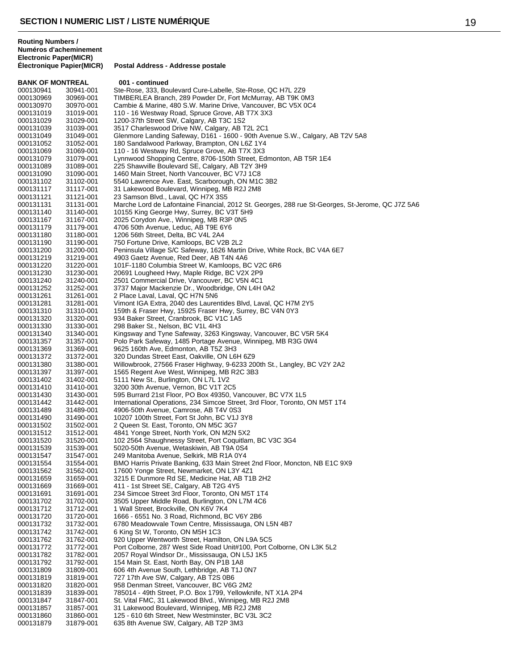**BANK OF MONTREAL 001 - continued**<br>000130941 30941-001 Ste-Rose, 333, Bo 000130941 30941-001 Ste-Rose, 333, Boulevard Cure-Labelle, Ste-Rose, QC H7L 2Z9<br>000130969 30969-001 TIMBERLEA Branch, 289 Powder Dr, Fort McMurray, AB T9K 0 000130969 30969-001 TIMBERLEA Branch, 289 Powder Dr, Fort McMurray, AB T9K 0M3<br>000130970 30970-001 Cambie & Marine, 480 S.W. Marine Drive, Vancouver, BC V5X 0C4 Cambie & Marine, 480 S.W. Marine Drive, Vancouver, BC V5X 0C4 000131019 31019-001 110 - 16 Westway Road, Spruce Grove, AB T7X 3X3<br>000131029 31029-001 1200-37th Street SW, Calgary, AB T3C 1S2 1200-37th Street SW, Calgary, AB T3C 1S2 000131039 31039-001 3517 Charleswood Drive NW, Calgary, AB T2L 2C1 000131049 31049-001 Glenmore Landing Safeway, D161 - 1600 - 90th Avenue S.W., Calgary, AB T2V 5A8<br>000131052 31052-001 180 Sandalwood Parkway, Brampton, ON L67 1Y4 180 Sandalwood Parkway, Brampton, ON L6Z 1Y4 000131069 31069-001 110 - 16 Westway Rd, Spruce Grove, AB T7X 3X3<br>000131079 31079-001 Lynnwood Shopping Centre, 8706-150th Street, Ed Lynnwood Shopping Centre, 8706-150th Street, Edmonton, AB T5R 1E4 000131089 31089-001 225 Shawville Boulevard SE, Calgary, AB T2Y 3H9<br>000131090 31090-001 1460 Main Street. North Vancouver. BC V7J 1C8 000131090 31090-001 1460 Main Street, North Vancouver, BC V7J 1C8<br>000131102 31102-001 5540 Lawrence Ave. East, Scarborough, ON M10 000131102 31102-001 5540 Lawrence Ave. East, Scarborough, ON M1C 3B2<br>000131117 31117-001 31 Lakewood Boulevard, Winnipeg, MB R2J 2M8 000131117 31117-001 31 Lakewood Boulevard, Winnipeg, MB R2J 2M8<br>000131121 31121-001 23 Samson Blvd., Laval, QC H7X 3S5 23 Samson Blvd., Laval, QC H7X 3S5 000131131 31131-001 Marche Lord de Lafontaine Financial, 2012 St. Georges, 288 rue St-Georges, St-Jerome, QC J7Z 5A6<br>000131140 31140-001 10155 King George Hwy, Surrey, BC V3T 5H9 000131140 31140-001 10155 King George Hwy, Surrey, BC V3T 5H9<br>000131167 31167-001 2025 Corvdon Ave., Winnipeg, MB R3P 0N5 000131167 31167-001 2025 Corydon Ave., Winnipeg, MB R3P 0N5<br>000131179 31179-001 4706 50th Avenue, Leduc, AB T9E 6Y6 000131179 31179-001 4706 50th Avenue, Leduc, AB T9E 6Y6<br>000131180 31180-001 1206 56th Street. Delta. BC V4L 2A4 1206 56th Street, Delta, BC V4L 2A4 000131190 31190-001 750 Fortune Drive, Kamloops, BC V2B 2L2 000131200 31200-001 Peninsula Village S/C Safeway, 1626 Martin Drive, White Rock, BC V4A 6E7<br>000131219 31219-001 4903 Gaetz Avenue. Red Deer. AB T4N 4A6 000131219 31219-001 4903 Gaetz Avenue, Red Deer, AB T4N 4A6<br>000131220 31220-001 101F-1180 Columbia Street W, Kamloops, B 000131220 31220-001 101F-1180 Columbia Street W, Kamloops, BC V2C 6R6<br>000131230 31230-001 20691 Lougheed Hwy, Maple Ridge, BC V2X 2P9 20691 Lougheed Hwy, Maple Ridge, BC V2X 2P9 000131240 31240-001 2501 Commercial Drive, Vancouver, BC V5N 4C1<br>000131252 31252-001 3737 Major Mackenzie Dr., Woodbridge, ON L4H 000131252 31252-001 3737 Major Mackenzie Dr., Woodbridge, ON L4H 0A2<br>000131261 31261-001 2 Place Laval, Laval, OC H7N 5N6 000131261 31261-001 2 Place Laval, Laval, QC H7N 5N6<br>000131281 31281-001 Vimont IGA Extra, 2040 des Laurer 000131281 31281-001 Vimont IGA Extra, 2040 des Laurentides Blvd, Laval, QC H7M 2Y5<br>000131310 31310-001 159th & Fraser Hwy, 15925 Fraser Hwy, Surrey, BC V4N 0Y3 159th & Fraser Hwy, 15925 Fraser Hwy, Surrey, BC V4N 0Y3 000131320 31320-001 934 Baker Street, Cranbrook, BC V1C 1A5<br>000131330 31330-001 298 Baker St., Nelson, BC V1L 4H3 31330-001 298 Baker St., Nelson, BC V1L 4H3<br>31340-001 Kingsway and Tyne Safeway, 3263 000131340 31340-001 Kingsway and Tyne Safeway, 3263 Kingsway, Vancouver, BC V5R 5K4<br>000131357 31357-001 Polo Park Safeway, 1485 Portage Avenue, Winnipeg, MB R3G 0W4 000131357 31357-001 Polo Park Safeway, 1485 Portage Avenue, Winnipeg, MB R3G 0W4<br>000131369 31369-001 9625 160th Ave, Edmonton, AB T5Z 3H3 000131369 31369-001 9625 160th Ave, Edmonton, AB T5Z 3H3<br>000131372 31372-001 320 Dundas Street East, Oakville, ON L6 000131372 31372-001 320 Dundas Street East, Oakville, ON L6H 6Z9<br>000131380 31380-001 Willowbrook, 27566 Fraser Highway, 9-6233 20 Willowbrook, 27566 Fraser Highway, 9-6233 200th St., Langley, BC V2Y 2A2 000131397 31397-001 1565 Regent Ave West, Winnipeg, MB R2C 3B3<br>000131402 31402-001 5111 New St., Burlington, ON L7L 1V2 000131402 31402-001 5111 New St., Burlington, ON L7L 1V2<br>000131410 31410-001 3200 30th Avenue, Vernon, BC V1T 20 000131410 31410-001 3200 30th Avenue, Vernon, BC V1T 2C5<br>000131430 31430-001 595 Burrard 21st Floor, PO Box 49350, V 000131430 31430-001 595 Burrard 21st Floor, PO Box 49350, Vancouver, BC V7X 1L5<br>000131442 31442-001 International Operations. 234 Simcoe Street. 3rd Floor. Toronto. International Operations, 234 Simcoe Street, 3rd Floor, Toronto, ON M5T 1T4 000131489 31489-001 4906-50th Avenue, Camrose, AB T4V 0S3 10207 100th Street, Fort St John, BC V1J 3Y8 000131502 31502-001 2 Queen St. East, Toronto, ON M5C 3G7<br>000131512 31512-001 4841 Yonge Street, North York, ON M2N 000131512 31512-001 4841 Yonge Street, North York, ON M2N 5X2<br>000131520 31520-001 102 2564 Shaughnessy Street. Port Coguitlan 102 2564 Shaughnessy Street, Port Coquitlam, BC V3C 3G4 000131539 31539-001 5020-50th Avenue, Wetaskiwin, AB T9A 0S4 249 Manitoba Avenue, Selkirk, MB R1A 0Y4 000131554 31554-001 BMO Harris Private Banking, 633 Main Street 2nd Floor, Moncton, NB E1C 9X9<br>000131562 31562-001 17600 Yonge Street, Newmarket, ON L3Y 4Z1 000131562 31562-001 17600 Yonge Street, Newmarket, ON L3Y 4Z1<br>000131659 31659-001 3215 F Dunmore Rd SF. Medicine Hat. AB T1I 3215 E Dunmore Rd SE, Medicine Hat, AB T1B 2H2 000131669 31669-001 411 - 1st Street SE, Calgary, AB T2G 4Y5<br>000131691 31691-001 234 Simcoe Street 3rd Floor, Toronto, ON 234 Simcoe Street 3rd Floor, Toronto, ON M5T 1T4 000131702 31702-001 3505 Upper Middle Road, Burlington, ON L7M 4C6 000131712 31712-001 1 Wall Street, Brockville, ON K6V 7K4 000131720 31720-001 1666 - 6551 No. 3 Road, Richmond, BC V6Y 2B6<br>000131732 31732-001 6780 Meadowvale Town Centre, Mississauga, ON 000131732 31732-001 6780 Meadowvale Town Centre, Mississauga, ON L5N 4B7<br>000131742 31742-001 6 King St W, Toronto, ON M5H 1C3 6 King St W, Toronto, ON M5H 1C3 000131762 31762-001 920 Upper Wentworth Street, Hamilton, ON L9A 5C5 000131772 31772-001 Port Colborne, 287 West Side Road Unit#100, Port Colborne, ON L3K 5L2<br>000131782 31782-001 2057 Roval Windsor Dr., Mississauga, ON L5J 1K5 000131782 31782-001 2057 Royal Windsor Dr., Mississauga, ON L5J 1K5<br>000131792 31792-001 154 Main St. East, North Bay, ON P1B 1A8 000131792 31792-001 154 Main St. East, North Bay, ON P1B 1A8<br>000131809 31809-001 606 4th Avenue South. Lethbridge. AB T1J 606 4th Avenue South, Lethbridge, AB T1J 0N7 000131819 31819-001 727 17th Ave SW, Calgary, AB T2S 0B6<br>000131820 31820-001 958 Denman Street, Vancouver, BC V60 958 Denman Street, Vancouver, BC V6G 2M2 000131839 31839-001 785014 - 49th Street, P.O. Box 1799, Yellowknife, NT X1A 2P4<br>000131847 31847-001 St. Vital FMC, 31 Lakewood Blvd., Winnipeg, MB R2J 2M8 000131847 31847-001 St. Vital FMC, 31 Lakewood Blvd., Winnipeg, MB R2J 2M8<br>000131857 31857-001 31 Lakewood Boulevard. Winnipeg. MB R2J 2M8 31 Lakewood Boulevard, Winnipeg, MB R2J 2M8 000131860 31860-001 125 - 610 6th Street, New Westminster, BC V3L 3C2<br>000131879 31879-001 635 8th Avenue SW, Calgary, AB T2P 3M3 635 8th Avenue SW, Calgary, AB T2P 3M3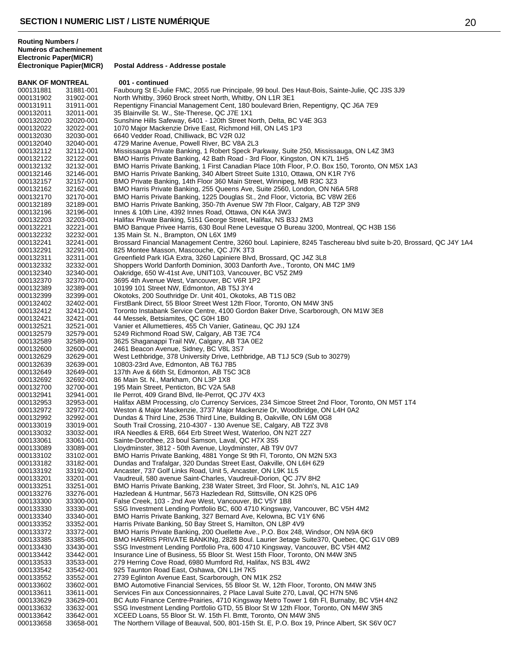| <b>BANK OF MONTREAL</b> |                        | 001 - continued                                                                                                                                                      |
|-------------------------|------------------------|----------------------------------------------------------------------------------------------------------------------------------------------------------------------|
| 000131881               | 31881-001              | Faubourg St E-Julie FMC, 2055 rue Principale, 99 boul. Des Haut-Bois, Sainte-Julie, QC J3S 3J9                                                                       |
| 000131902               | 31902-001              | North Whitby, 3960 Brock street North, Whitby, ON L1R 3E1                                                                                                            |
| 000131911               | 31911-001              | Repentigny Financial Management Cent, 180 boulevard Brien, Repentigny, QC J6A 7E9                                                                                    |
| 000132011               | 32011-001              | 35 Blainville St. W., Ste-Therese, QC J7E 1X1                                                                                                                        |
| 000132020               | 32020-001              | Sunshine Hills Safeway, 6401 - 120th Street North, Delta, BC V4E 3G3                                                                                                 |
| 000132022               | 32022-001              | 1070 Major Mackenzie Drive East, Richmond Hill, ON L4S 1P3                                                                                                           |
| 000132030               | 32030-001              | 6640 Vedder Road, Chilliwack, BC V2R 0J2                                                                                                                             |
| 000132040               | 32040-001              | 4729 Marine Avenue, Powell River, BC V8A 2L3                                                                                                                         |
| 000132112               | 32112-001              | Mississauga Private Banking, 1 Robert Speck Parkway, Suite 250, Mississauga, ON L4Z 3M3                                                                              |
| 000132122               | 32122-001              | BMO Harris Private Banking, 42 Bath Road - 3rd Floor, Kingston, ON K7L 1H5                                                                                           |
| 000132132               | 32132-001              | BMO Harris Private Banking, 1 First Canadian Place 10th Floor, P.O. Box 150, Toronto, ON M5X 1A3                                                                     |
| 000132146               | 32146-001              | BMO Harris Private Banking, 340 Albert Street Suite 1310, Ottawa, ON K1R 7Y6                                                                                         |
| 000132157               | 32157-001              | BMO Private Banking, 14th Floor 360 Main Street, Winnipeg, MB R3C 3Z3                                                                                                |
| 000132162               | 32162-001              | BMO Harris Private Banking, 255 Queens Ave, Suite 2560, London, ON N6A 5R8                                                                                           |
| 000132170               | 32170-001              | BMO Harris Private Banking, 1225 Douglas St., 2nd Floor, Victoria, BC V8W 2E6                                                                                        |
| 000132189               | 32189-001              | BMO Harris Private Banking, 350-7th Avenue SW 7th Floor, Calgary, AB T2P 3N9                                                                                         |
| 000132196               | 32196-001              | Innes & 10th Line, 4392 Innes Road, Ottawa, ON K4A 3W3                                                                                                               |
| 000132203               | 32203-001              | Halifax Private Banking, 5151 George Street, Halifax, NS B3J 2M3                                                                                                     |
| 000132221               | 32221-001              | BMO Banque Privee Harris, 630 Boul Rene Levesque O Bureau 3200, Montreal, QC H3B 1S6                                                                                 |
| 000132232               | 32232-001              | 135 Main St. N., Brampton, ON L6X 1M9                                                                                                                                |
| 000132241               | 32241-001              | Brossard Financial Management Centre, 3260 boul. Lapiniere, 8245 Taschereau blvd suite b-20, Brossard, QC J4Y 1A4                                                    |
| 000132291               | 32291-001              | 825 Montee Masson, Mascouche, QC J7K 3T3                                                                                                                             |
| 000132311               | 32311-001              | Greenfield Park IGA Extra, 3260 Lapiniere Blvd, Brossard, QC J4Z 3L8                                                                                                 |
| 000132332               | 32332-001              | Shoppers World Danforth Dominion, 3003 Danforth Ave., Toronto, ON M4C 1M9                                                                                            |
| 000132340               | 32340-001              | Oakridge, 650 W-41st Ave, UNIT103, Vancouver, BC V5Z 2M9                                                                                                             |
| 000132370               | 32370-001              | 3695 4th Avenue West, Vancouver, BC V6R 1P2                                                                                                                          |
| 000132389               | 32389-001              | 10199 101 Street NW, Edmonton, AB T5J 3Y4                                                                                                                            |
| 000132399               | 32399-001              | Okotoks, 200 Southridge Dr. Unit 401, Okotoks, AB T1S 0B2                                                                                                            |
| 000132402               | 32402-001              | FirstBank Direct, 55 Bloor Street West 12th Floor, Toronto, ON M4W 3N5                                                                                               |
| 000132412               | 32412-001              | Toronto Instabank Service Centre, 4100 Gordon Baker Drive, Scarborough, ON M1W 3E8                                                                                   |
| 000132421               | 32421-001              | 44 Messek, Betsiamites, QC G0H 1B0<br>Vanier et Allumettieres, 455 Ch Vanier, Gatineau, QC J9J 1Z4                                                                   |
| 000132521<br>000132579  | 32521-001<br>32579-001 | 5249 Richmond Road SW, Calgary, AB T3E 7C4                                                                                                                           |
| 000132589               | 32589-001              | 3625 Shaganappi Trail NW, Calgary, AB T3A 0E2                                                                                                                        |
| 000132600               | 32600-001              | 2461 Beacon Avenue, Sidney, BC V8L 3S7                                                                                                                               |
| 000132629               | 32629-001              | West Lethbridge, 378 University Drive, Lethbridge, AB T1J 5C9 (Sub to 30279)                                                                                         |
| 000132639               | 32639-001              | 10803-23rd Ave, Edmonton, AB T6J 7B5                                                                                                                                 |
| 000132649               | 32649-001              | 137th Ave & 66th St, Edmonton, AB T5C 3C8                                                                                                                            |
| 000132692               | 32692-001              | 86 Main St. N., Markham, ON L3P 1X8                                                                                                                                  |
| 000132700               | 32700-001              | 195 Main Street, Penticton, BC V2A 5A8                                                                                                                               |
| 000132941               | 32941-001              | lle Perrot, 409 Grand Blvd, Ile-Perrot, QC J7V 4X3                                                                                                                   |
| 000132953               | 32953-001              | Halifax ABM Processing, c/o Currency Services, 234 Simcoe Street 2nd Floor, Toronto, ON M5T 1T4                                                                      |
| 000132972               | 32972-001              | Weston & Major Mackenzie, 3737 Major Mackenzie Dr, Woodbridge, ON L4H 0A2                                                                                            |
| 000132992               | 32992-001              | Dundas & Third Line, 2536 Third Line, Building B, Oakville, ON L6M 0G8                                                                                               |
| 000133019               | 33019-001              | South Trail Crossing, 210-4307 - 130 Avenue SE, Calgary, AB T2Z 3V8                                                                                                  |
| 000133032               | 33032-001              | IRA Needles & ERB, 664 Erb Street West, Waterloo, ON N2T 2Z7                                                                                                         |
| 000133061               | 33061-001              | Sainte-Dorothee, 23 boul Samson, Laval, QC H7X 3S5                                                                                                                   |
| 000133089               | 33089-001              | Lloydminster, 3812 - 50th Avenue, Lloydminster, AB T9V 0V7                                                                                                           |
| 000133102               | 33102-001              | BMO Harris Private Banking, 4881 Yonge St 9th Fl, Toronto, ON M2N 5X3                                                                                                |
| 000133182               | 33182-001              | Dundas and Trafalgar, 320 Dundas Street East, Oakville, ON L6H 6Z9                                                                                                   |
| 000133192               | 33192-001              | Ancaster, 737 Golf Links Road, Unit 5, Ancaster, ON L9K 1L5                                                                                                          |
| 000133201               | 33201-001              | Vaudreuil, 580 avenue Saint-Charles, Vaudreuil-Dorion, QC J7V 8H2                                                                                                    |
| 000133251               | 33251-001              | BMO Harris Private Banking, 238 Water Street, 3rd Floor, St. John's, NL A1C 1A9                                                                                      |
| 000133276               | 33276-001              | Hazledean & Huntmar, 5673 Hazledean Rd, Stittsville, ON K2S 0P6                                                                                                      |
| 000133300               | 33300-001              | False Creek, 103 - 2nd Ave West, Vancouver, BC V5Y 1B8                                                                                                               |
| 000133330               | 33330-001              | SSG Investment Lending Portfolio BC, 600 4710 Kingsway, Vancouver, BC V5H 4M2                                                                                        |
| 000133340               | 33340-001              | BMO Harris Private Banking, 327 Bernard Ave, Kelowna, BC V1Y 6N6<br>Harris Private Banking, 50 Bay Street S, Hamilton, ON L8P 4V9                                    |
| 000133352               | 33352-001              |                                                                                                                                                                      |
| 000133372               | 33372-001              | BMO Harris Private Banking, 200 Ouellette Ave., P.O. Box 248, Windsor, ON N9A 6K9                                                                                    |
| 000133385<br>000133430  | 33385-001<br>33430-001 | BMO HARRIS PRIVATE BANKINg, 2828 Boul. Laurier 3etage Suite370, Quebec, QC G1V 0B9<br>SSG Investment Lending Portfolio Pra, 600 4710 Kingsway, Vancouver, BC V5H 4M2 |
| 000133442               | 33442-001              | Insurance Line of Business, 55 Bloor St. West 15th Floor, Toronto, ON M4W 3N5                                                                                        |
| 000133533               | 33533-001              | 279 Herring Cove Road, 6980 Mumford Rd, Halifax, NS B3L 4W2                                                                                                          |
| 000133542               | 33542-001              | 925 Taunton Road East, Oshawa, ON L1H 7K5                                                                                                                            |
| 000133552               | 33552-001              | 2739 Eglinton Avenue East, Scarborough, ON M1K 2S2                                                                                                                   |
| 000133602               | 33602-001              | BMO Automotive Financial Services, 55 Bloor St. W, 12th Floor, Toronto, ON M4W 3N5                                                                                   |
| 000133611               | 33611-001              | Services Fin aux Concessionnaires, 2 Place Laval Suite 270, Laval, QC H7N 5N6                                                                                        |
| 000133629               | 33629-001              | BC Auto Finance Centre-Prairies, 4710 Kingsway Metro Tower 1 6th Fl, Burnaby, BC V5H 4N2                                                                             |
| 000133632               | 33632-001              | SSG Investment Lending Portfolio GTD, 55 Bloor St W 12th Floor, Toronto, ON M4W 3N5                                                                                  |
| 000133642               | 33642-001              | XCEED Loans, 55 Bloor St. W. 15th Fl. Bmtt, Toronto, ON M4W 3N5                                                                                                      |
| 000133658               | 33658-001              | The Northern Village of Beauval, 500, 801-15th St. E, P.O. Box 19, Prince Albert, SK S6V 0C7                                                                         |
|                         |                        |                                                                                                                                                                      |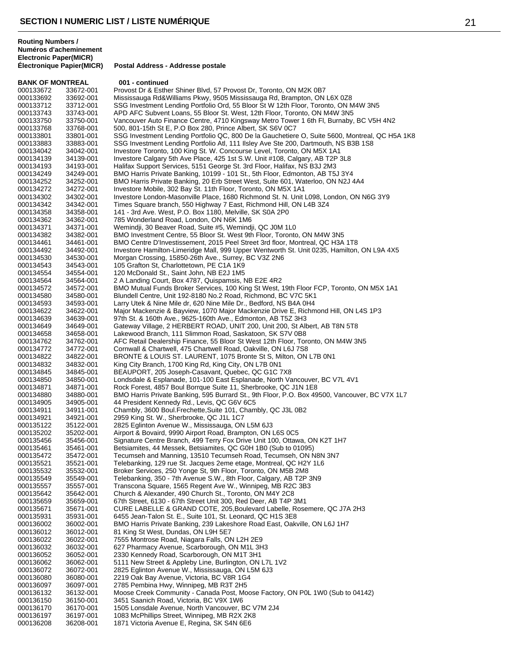**BANK OF MONTREAL 001 - continued**<br>000133672 33672-001 Provost Dr & Esthe 000133672 33672-001 Provost Dr & Esther Shiner Blvd, 57 Provost Dr, Toronto, ON M2K 0B7<br>000133692 33692-001 Mississauga Rd&Williams Pkwy, 9505 Mississauga Rd, Brampton, ON 000133692 33692-001 Mississauga Rd&Williams Pkwy, 9505 Mississauga Rd, Brampton, ON L6X 0Z8 SSG Investment Lending Portfolio Ord, 55 Bloor St W 12th Floor, Toronto, ON M4W 3N5 000133743 33743-001 APD AFC Subvent Loans, 55 Bloor St. West, 12th Floor, Toronto, ON M4W 3N5<br>000133750 33750-001 Vancouver Auto Finance Centre, 4710 Kingsway Metro Tower 1 6th Fl, Burnaby, Vancouver Auto Finance Centre, 4710 Kingsway Metro Tower 1 6th Fl, Burnaby, BC V5H 4N2 000133768 33768-001 500, 801-15th St E, P.O Box 280, Prince Albert, SK S6V 0C7<br>000133801 33801-001 SSG Investment Lending Portfolio QC, 800 De la Gauchetier 000133801 33801-001 SSG Investment Lending Portfolio QC, 800 De la Gauchetiere O, Suite 5600, Montreal, QC H5A 1K8<br>000133883 33883-001 SSG Investment Lending Portfolio Atl. 111 Ilslev Ave Ste 200, Dartmouth, NS B3B 1S8 SSG Investment Lending Portfolio Atl, 111 Ilsley Ave Ste 200, Dartmouth, NS B3B 1S8 000134042 34042-001 Investore Toronto, 100 King St. W. Concourse Level, Toronto, ON M5X 1A1<br>000134139 34139-001 Investore Calgary 5th Ave Place, 425 1st S.W. Unit #108, Calgary, AB T2P 000134139 34139-001 Investore Calgary 5th Ave Place, 425 1st S.W. Unit #108, Calgary, AB T2P 3L8<br>000134193 34193-001 Halifax Support Services, 5151 George St. 3rd Floor, Halifax, NS B3J 2M3 000134193 34193-001 Halifax Support Services, 5151 George St. 3rd Floor, Halifax, NS B3J 2M3<br>000134249 34249-001 BMO Harris Private Banking, 10199 - 101 St., 5th Floor, Edmonton, AB T5. 000134249 34249-001 BMO Harris Private Banking, 10199 - 101 St., 5th Floor, Edmonton, AB T5J 3Y4<br>000134252 34252-001 BMO Harris Private Banking, 20 Erb Street West, Suite 601, Waterloo, ON N2J 000134252 34252-001 BMO Harris Private Banking, 20 Erb Street West, Suite 601, Waterloo, ON N2J 4A4<br>000134272 34272-001 Investore Mobile, 302 Bay St. 11th Floor, Toronto, ON M5X 1A1 000134272 34272-001 Investore Mobile, 302 Bay St. 11th Floor, Toronto, ON M5X 1A1<br>000134302 34302-001 Investore London-Masonville Place, 1680 Richmond St. N. Unit Investore London-Masonville Place, 1680 Richmond St. N. Unit L098, London, ON N6G 3Y9 000134342 34342-001 Times Square branch, 550 Highway 7 East, Richmond Hill, ON L4B 3Z4<br>000134358 34358-001 141 - 3rd Ave. West, P.O. Box 1180, Melville, SK S0A 2P0 000134358 34358-001 141 - 3rd Ave. West, P.O. Box 1180, Melville, SK S0A 2P0 000134362 34362-001 785 Wonderland Road, London, ON N6K 1M6<br>000134371 34371-001 Wemindji, 30 Beaver Road, Suite #5, Wemind 000134371 34371-001 Wemindji, 30 Beaver Road, Suite #5, Wemindji, QC J0M 1L0<br>000134382 34382-001 BMO Investment Centre. 55 Bloor St. West 9th Floor. Toronto BMO Investment Centre, 55 Bloor St. West 9th Floor, Toronto, ON M4W 3N5 000134461 34461-001 BMO Centre D'Investissement, 2015 Peel Street 3rd floor, Montreal, QC H3A 1T8<br>000134492 34492-001 Investore Hamilton-Limeridge Mall, 999 Upper Wentworth St. Unit 0235, Hamilton, Investore Hamilton-Limeridge Mall, 999 Upper Wentworth St. Unit 0235, Hamilton, ON L9A 4X5 000134530 34530-001 Morgan Crossing, 15850-26th Ave., Surrey, BC V3Z 2N6<br>000134543 34543-001 105 Grafton St, Charlottetown, PE C1A 1K9 000134543 34543-001 105 Grafton St, Charlottetown, PE C1A 1K9<br>000134554 34554-001 120 McDonald St., Saint John, NB E2J 1M5 120 McDonald St., Saint John, NB E2J 1M5 000134564 34564-001 2 A Landing Court, Box 4787, Quispamsis, NB E2E 4R2<br>000134572 34572-001 BMO Mutual Funds Broker Services, 100 King St West, BMO Mutual Funds Broker Services, 100 King St West, 19th Floor FCP, Toronto, ON M5X 1A1 000134580 34580-001 Blundell Centre, Unit 192-8180 No.2 Road, Richmond, BC V7C 5K1<br>000134593 34593-001 Larry Utek & Nine Mile dr, 620 Nine Mile Dr., Bedford, NS B4A 0H4 000134593 34593-001 Larry Utek & Nine Mile dr, 620 Nine Mile Dr., Bedford, NS B4A 0H4 Major Mackenzie & Bayview, 1070 Major Mackenzie Drive E, Richmond Hill, ON L4S 1P3 000134639 34639-001 97th St. & 160th Ave., 9625-160th Ave., Edmonton, AB T5Z 3H3<br>000134649 34649-001 Gateway Village, 2 HERBERT ROAD, UNIT 200, Unit 200, St Alt 000134649 34649-001 Gateway Village, 2 HERBERT ROAD, UNIT 200, Unit 200, St Albert, AB T8N 5T8<br>000134658 34658-001 Lakewood Branch, 111 Slimmon Road, Saskatoon, SK S7V 0B8 000134658 34658-001 Lakewood Branch, 111 Slimmon Road, Saskatoon, SK S7V 0B8 000134762 34762-001 AFC Retail Dealership Finance, 55 Bloor St West 12th Floor, Toronto, ON M4W 3N5<br>000134772 34772-001 Cornwall & Chartwell, 475 Chartwell Road, Oakville, ON L6J 7S8 000134772 34772-001 Cornwall & Chartwell, 475 Chartwell Road, Oakville, ON L6J 7S8<br>000134822 34822-001 BRONTE & LOUIS ST. LAURENT, 1075 Bronte St S, Milton, ON 000134822 34822-001 BRONTE & LOUIS ST. LAURENT, 1075 Bronte St S, Milton, ON L7B 0N1<br>000134832 34832-001 King City Branch, 1700 King Rd, King City, ON L7B 0N1 King City Branch, 1700 King Rd, King City, ON L7B 0N1 000134845 34845-001 BEAUPORT, 205 Joseph-Casavant, Quebec, QC G1C 7X8 000134850 34850-001 Londsdale & Esplanade, 101-100 East Esplanade, North Vancouver, BC V7L 4V1<br>000134871 34871-001 Rock Forest, 4857 Boul Borrque Suite 11, Sherbrooke, QC J1N 1E8 000134871 34871-001 Rock Forest, 4857 Boul Borrque Suite 11, Sherbrooke, QC J1N 1E8<br>000134880 34880-001 BMO Harris Private Banking, 595 Burrard St., 9th Floor, P.O. Box 49 000134880 34880-001 BMO Harris Private Banking, 595 Burrard St., 9th Floor, P.O. Box 49500, Vancouver, BC V7X 1L7<br>000134905 34905-001 44 President Kennedy Rd., Levis, QC G6V 6C5 44 President Kennedy Rd., Levis, QC G6V 6C5 000134911 34911-001 Chambly, 3600 Boul.Frechette, Suite 101, Chambly, QC J3L 0B2<br>000134921 34921-001 2959 King St. W., Sherbrooke, QC J1L 1C7 2959 King St. W., Sherbrooke, QC J1L 1C7 000135122 35122-001 2825 Eglinton Avenue W., Mississauga, ON L5M 6J3<br>000135202 35202-001 Airport & Bovaird, 9990 Airport Road, Brampton, ON I 000135202 35202-001 Airport & Bovaird, 9990 Airport Road, Brampton, ON L6S 0C5 Signature Centre Branch, 499 Terry Fox Drive Unit 100, Ottawa, ON K2T 1H7 000135461 35461-001 Betsiamites, 44 Messek, Betsiamites, QC G0H 1B0 (Sub to 01095) Tecumseh and Manning, 13510 Tecumseh Road, Tecumseh, ON N8N 3N7 000135521 35521-001 Telebanking, 129 rue St. Jacques 2eme etage, Montreal, QC H2Y 1L6<br>000135532 35532-001 Broker Services, 250 Yonge St, 9th Floor, Toronto, ON M5B 2M8 000135532 35532-001 Broker Services, 250 Yonge St, 9th Floor, Toronto, ON M5B 2M8 Telebanking, 350 - 7th Avenue S.W., 8th Floor, Calgary, AB T2P 3N9 000135557 35557-001 Transcona Square, 1565 Regent Ave W., Winnipeg, MB R2C 3B3<br>000135642 35642-001 Church & Alexander, 490 Church St., Toronto, ON M4Y 2C8 000135642 35642-001 Church & Alexander, 490 Church St., Toronto, ON M4Y 2C8 000135659 35659-001 67th Street, 6130 - 67th Street Unit 300, Red Deer, AB T4P 3M1<br>000135671 35671-001 CURE LABELLE & GRAND COTE, 205,Boulevard Labelle, Rose 000135671 35671-001 CURE LABELLE & GRAND COTE, 205,Boulevard Labelle, Rosemere, QC J7A 2H3<br>000135931 35931-001 6455 Jean-Talon St. E., Suite 101, St. Leonard, QC H1S 3F8 000135931 35931-001 6455 Jean-Talon St. E., Suite 101, St. Leonard, QC H1S 3E8<br>000136002 36002-001 BMO Harris Private Banking, 239 Lakeshore Road East, Oak 000136002 36002-001 BMO Harris Private Banking, 239 Lakeshore Road East, Oakville, ON L6J 1H7<br>000136012 36012-001 81 King St West, Dundas, ON L9H 5E7 81 King St West, Dundas, ON L9H 5E7 000136022 36022-001 7555 Montrose Road, Niagara Falls, ON L2H 2E9<br>000136032 36032-001 627 Pharmacy Avenue, Scarborough, ON M1L 3H 000136032 36032-001 627 Pharmacy Avenue, Scarborough, ON M1L 3H3<br>000136052 36052-001 2330 Kennedy Road, Scarborough, ON M1T 3H1 000136052 36052-001 2330 Kennedy Road, Scarborough, ON M1T 3H1<br>000136062 36062-001 5111 New Street & Appleby Line, Burlington, ON 000136062 36062-001 5111 New Street & Appleby Line, Burlington, ON L7L 1V2<br>000136072 36072-001 2825 Eglinton Avenue W., Mississauga, ON L5M 6J3 2825 Eglinton Avenue W., Mississauga, ON L5M 6J3 000136080 36080-001 2219 Oak Bay Avenue, Victoria, BC V8R 1G4<br>000136097 36097-001 2785 Pembina Hwy, Winnipeg, MB R3T 2H5 000136097 36097-001 2785 Pembina Hwy, Winnipeg, MB R3T 2H5<br>000136132 36132-001 Moose Creek Community - Canada Post. Mo 000136132 36132-001 Moose Creek Community - Canada Post, Moose Factory, ON P0L 1W0 (Sub to 04142)<br>000136150 36150-001 3451 Saanich Road, Victoria, BC V9X 1W6 000136150 36150-001 3451 Saanich Road, Victoria, BC V9X 1W6 1505 Lonsdale Avenue, North Vancouver, BC V7M 2J4 000136197 36197-001 1083 McPhillips Street, Winnipeg, MB R2X 2K8<br>000136208 36208-001 1871 Victoria Avenue E, Regina, SK S4N 6E6 1871 Victoria Avenue E, Regina, SK S4N 6E6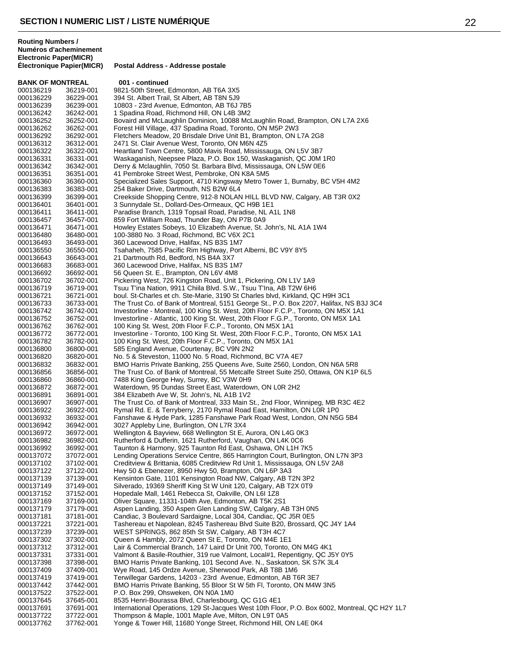**BANK OF MONTREAL 001 - continued**<br>000136219 36219-001 9821-50th Street 1 000136219 36219-001 9821-50th Street, Edmonton, AB T6A 3X5<br>000136229 36229-001 394 St. Albert Trail, St Albert, AB T8N 5J9 000136229 36229-001 394 St. Albert Trail, St Albert, AB T8N 5J9<br>000136239 36239-001 10803 - 23rd Avenue. Edmonton. AB T6J 10803 - 23rd Avenue, Edmonton, AB T6J 7B5 000136242 36242-001 1 Spadina Road, Richmond Hill, ON L4B 3M2 Bovaird and McLaughlin Dominion, 10088 McLaughlin Road, Brampton, ON L7A 2X6 000136262 36262-001 Forest Hill Village, 437 Spadina Road, Toronto, ON M5P 2W3 000136292 36292-001 Fletchers Meadow, 20 Brisdale Drive Unit B1, Brampton, ON L7A 2G8<br>000136312 36312-001 2471 St. Clair Avenue West, Toronto, ON M6N 475 2471 St. Clair Avenue West, Toronto, ON M6N 4Z5 000136322 36322-001 Heartland Town Centre, 5800 Mavis Road, Mississauga, ON L5V 3B7<br>000136331 36331-001 Waskaganish, Neepsee Plaza, P.O. Box 150, Waskaganish, QC J0M 000136331 36331-001 Waskaganish, Neepsee Plaza, P.O. Box 150, Waskaganish, QC J0M 1R0 000136342 36342-001 Derry & Mclaughlin, 7050 St. Barbara Blvd, Mississauga, ON L5W 0E6<br>000136351 36351-001 41 Pembroke Street West, Pembroke, ON K8A 5M5 000136351 36351-001 41 Pembroke Street West, Pembroke, ON K8A 5M5 000136360 36360-001 Specialized Sales Support, 4710 Kingsway Metro Tower 1, Burnaby, BC V5H 4M2<br>000136383 36383-001 254 Baker Drive, Dartmouth, NS B2W 6L4 000136383 36383-001 254 Baker Drive, Dartmouth, NS B2W 6L4<br>000136399 36399-001 Creekside Shopping Centre, 912-8 NOLAN Creekside Shopping Centre, 912-8 NOLAN HILL BLVD NW, Calgary, AB T3R 0X2 000136401 36401-001 3 Sunnydale St., Dollard-Des-Ormeaux, QC H9B 1E1 000136411 36411-001 Paradise Branch, 1319 Topsail Road, Paradise, NL A1L 1N8<br>000136457 36457-001 859 Fort William Road, Thunder Bay, ON P7B 0A9 000136457 36457-001 859 Fort William Road, Thunder Bay, ON P7B 0A9<br>000136471 36471-001 Howley Estates Sobeys, 10 Elizabeth Avenue, St. 000136471 36471-001 Howley Estates Sobeys, 10 Elizabeth Avenue, St. John's, NL A1A 1W4<br>000136480 36480-001 100-3880 No. 3 Road. Richmond. BC V6X 2C1 100-3880 No. 3 Road, Richmond, BC V6X 2C1 000136493 36493-001 360 Lacewood Drive, Halifax, NS B3S 1M7 Tsahaheh, 7585 Pacific Rim Highway, Port Alberni, BC V9Y 8Y5 000136643 36643-001 21 Dartmouth Rd, Bedford, NS B4A 3X7<br>000136683 36683-001 360 Lacewood Drive, Halifax, NS B3S 1I 000136683 36683-001 360 Lacewood Drive, Halifax, NS B3S 1M7<br>000136692 36692-001 56 Queen St. E.. Brampton. ON L6V 4M8 56 Queen St. E., Brampton, ON L6V 4M8 000136702 36702-001 Pickering West, 726 Kingston Road, Unit 1, Pickering, ON L1V 1A9 36719-001 Tsuu T'ina Nation, 9911 Chiila Blvd. S.W., Tsuu T'Ina, AB T2W 6H6<br>36721-001 boul. St-Charles et ch. Ste-Marie, 3190 St Charles blvd, Kirkland, Q 000136721 36721-001 boul. St-Charles et ch. Ste-Marie, 3190 St Charles blvd, Kirkland, QC H9H 3C1<br>000136733 36733-001 The Trust Co. of Bank of Montreal, 5151 George St., P.O. Box 2207, Halifax, N 000136733 36733-001 The Trust Co. of Bank of Montreal, 5151 George St., P.O. Box 2207, Halifax, NS B3J 3C4<br>000136742 36742-001 Investorline - Montreal. 100 King St. West. 20th Floor F.C.P.. Toronto. ON M5X 1A1 Investorline - Montreal, 100 King St. West, 20th Floor F.C.P., Toronto, ON M5X 1A1 000136752 36752-001 Investorline - Atlantic, 100 King St. West, 20th Floor F.G.P., Toronto, ON M5X 1A1<br>000136762 36762-001 100 King St. West, 20th Floor F.C.P., Toronto, ON M5X 1A1 000136762 36762-001 100 King St. West, 20th Floor F.C.P., Toronto, ON M5X 1A1<br>000136772 36772-001 Investorline - Toronto, 100 King St. West, 20th Floor F.C.P., 000136772 36772-001 Investorline - Toronto, 100 King St. West, 20th Floor F.C.P., Toronto, ON M5X 1A1<br>000136782 36782-001 100 King St. West, 20th Floor F.C.P., Toronto, ON M5X 1A1 000136782 36782-001 100 King St. West, 20th Floor F.C.P., Toronto, ON M5X 1A1 000136800 36800-001 585 England Avenue, Courtenay, BC V9N 2N2 000136820 36820-001 No. 5 & Steveston, 11000 No. 5 Road, Richmond, BC V7A 4E7<br>000136832 36832-001 BMO Harris Private Banking, 255 Queens Ave, Suite 2560, Lon 000136832 36832-001 BMO Harris Private Banking, 255 Queens Ave, Suite 2560, London, ON N6A 5R8<br>000136856 36856-001 The Trust Co. of Bank of Montreal, 55 Metcalfe Street Suite 250, Ottawa, ON K1P 000136856 36856-001 The Trust Co. of Bank of Montreal, 55 Metcalfe Street Suite 250, Ottawa, ON K1P 6L5<br>000136860 36860-001 7488 King George Hwy, Surrey, BC V3W 0H9 000136860 36860-001 7488 King George Hwy, Surrey, BC V3W 0H9<br>000136872 36872-001 Waterdown, 95 Dundas Street East, Waterdov 000136872 36872-001 Waterdown, 95 Dundas Street East, Waterdown, ON L0R 2H2<br>000136891 36891-001 384 Elizabeth Ave W, St. John's, NL A1B 1V2 000136891 36891-001 384 Elizabeth Ave W, St. John's, NL A1B 1V2<br>000136907 36907-001 The Trust Co. of Bank of Montreal. 333 Main S The Trust Co. of Bank of Montreal, 333 Main St., 2nd Floor, Winnipeg, MB R3C 4E2 000136922 36922-001 Rymal Rd. E. & Terryberry, 2170 Rymal Road East, Hamilton, ON L0R 1P0<br>000136932 36932-001 Fanshawe & Hyde Park, 1285 Fanshawe Park Road West, London, ON N50 Fanshawe & Hyde Park, 1285 Fanshawe Park Road West, London, ON N5G 5B4 000136942 36942-001 3027 Appleby Line, Burlington, ON L7R 3X4<br>000136972 36972-001 Wellington & Bayview, 668 Wellington St E, 000136972 36972-001 Wellington & Bayview, 668 Wellington St E, Aurora, ON L4G 0K3 Rutherford & Dufferin, 1621 Rutherford, Vaughan, ON L4K 0C6 000136992 36992-001 Taunton & Harmony, 925 Taunton Rd East, Oshawa, ON L1H 7K5<br>000137072 37072-001 Lending Operations Service Centre, 865 Harrington Court, Burlingto Lending Operations Service Centre, 865 Harrington Court, Burlington, ON L7N 3P3 000137102 37102-001 Creditview & Brittania, 6085 Creditview Rd Unit 1, Mississauga, ON L5V 2A8<br>000137122 37122-001 Hwy 50 & Ebenezer, 8950 Hwy 50, Brampton, ON L6P 3A3 000137122 37122-001 Hwy 50 & Ebenezer, 8950 Hwy 50, Brampton, ON L6P 3A3<br>000137139 37139-001 Kensinton Gate, 1101 Kensington Road NW, Calgary, AB T Kensinton Gate, 1101 Kensington Road NW, Calgary, AB T2N 3P2 000137149 37149-001 Silverado, 19369 Sheriff King St W Unit 120, Calgary, AB T2X 0T9<br>000137152 37152-001 Hopedale Mall, 1461 Rebecca St, Oakville, ON L6I 1Z8 Hopedale Mall, 1461 Rebecca St, Oakville, ON L6I 1Z8 000137169 37169-001 Oliver Square, 11331-104th Ave, Edmonton, AB T5K 2S1<br>000137179 37179-001 Aspen Landing, 350 Aspen Glen Landing SW, Calgary, A 001 37179-001 Aspen Landing, 350 Aspen Glen Landing SW, Calgary, AB T3H 0N5<br>37181-001 Candiac, 3 Boulevard Sardaigne, Local 304, Candiac, OC J5R 0E5 000137181 37181-001 Candiac, 3 Boulevard Sardaigne, Local 304, Candiac, QC J5R 0E5 000137221 37221-001 Tashereau et Napolean, 8245 Tashereau Blvd Suite B20, Brossard, QC J4Y 1A4<br>000137239 37239-001 WEST SPRINGS, 862 85th St SW, Calgary, AB T3H 4C7 WEST SPRINGS, 862 85th St SW, Calgary, AB T3H 4C7 000137302 37302-001 Queen & Hambly, 2072 Queen St E, Toronto, ON M4E 1E1 000137312 37312-001 Lair & Commercial Branch, 147 Laird Dr Unit 700, Toronto, ON M4G 4K1<br>000137331 37331-001 Valmont & Basile-Routhier. 319 rue Valmont. Local#1. Repentigny. QC J. 000137331 37331-001 Valmont & Basile-Routhier, 319 rue Valmont, Local#1, Repentigny, QC J5Y 0Y5<br>000137398 37398-001 BMO Harris Private Banking, 101 Second Ave. N., Saskatoon, SK S7K 3L4 000137398 37398-001 BMO Harris Private Banking, 101 Second Ave. N., Saskatoon, SK S7K 3L4<br>000137409 37409-001 Wye Road. 145 Ordze Avenue. Sherwood Park. AB T8B 1M6 Wye Road, 145 Ordze Avenue, Sherwood Park, AB T8B 1M6 000137419 37419-001 Terwillegar Gardens, 14203 - 23rd Avenue, Edmonton, AB T6R 3E7 BMO Harris Private Banking, 55 Bloor St W 5th Fl, Toronto, ON M4W 3N5 000137522 37522-001 P.O. Box 299, Ohsweken, ON N0A 1M0 000137645 37645-001 8535 Henri-Bourassa Blvd, Charlesbourg, QC G1G 4E1 International Operations, 129 St-Jacques West 10th Floor, P.O. Box 6002, Montreal, QC H2Y 1L7 000137722 37722-001 Thompson & Maple, 1001 Maple Ave, Milton, ON L9T 0A5<br>000137762 37762-001 Yonge & Tower Hill, 11680 Yonge Street, Richmond Hill, C Yonge & Tower Hill, 11680 Yonge Street, Richmond Hill, ON L4E 0K4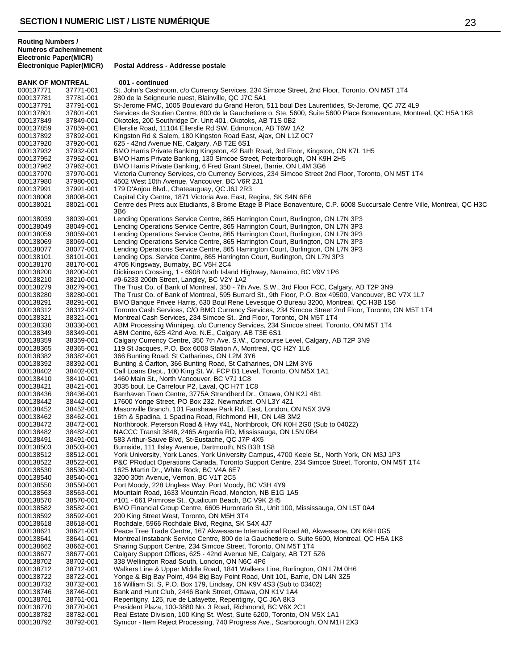**Routing Numbers / Numéros d'acheminement**

**Electronic Paper(MICR) Postal Address - Addresse postale BANK OF MONTREAL 001 - continued** 000137771 37771-001 St. John's Cashroom, c/o Currency Services, 234 Simcoe Street, 2nd Floor, Toronto, ON M5T 1T4<br>000137781 37781-001 280 de la Seigneurie ouest, Blainville, QC J7C 5A1 000137781 37781-001 280 de la Seigneurie ouest, Blainville, QC J7C 5A1<br>000137791 37791-001 St-Jerome FMC. 1005 Boulevard du Grand Heron. St-Jerome FMC, 1005 Boulevard du Grand Heron, 511 boul Des Laurentides, St-Jerome, QC J7Z 4L9 000137801 37801-001 Services de Soutien Centre, 800 de la Gauchetiere o. Ste. 5600, Suite 5600 Place Bonaventure, Montreal, QC H5A 1K8<br>000137849 37849-001 Okotoks, 200 Southridge Dr. Unit 401, Okotoks, AB T1S 0B2 37849-001 Okotoks, 200 Southridge Dr. Unit 401, Okotoks, AB T1S 0B2 000137859 37859-001 Ellerslie Road, 11104 Ellerslie Rd SW, Edmonton, AB T6W 1A2<br>000137892 37892-001 Kingston Rd & Salem, 180 Kingston Road East, Ajax, ON L1Z 0 000137892 37892-001 Kingston Rd & Salem, 180 Kingston Road East, Ajax, ON L1Z 0C7<br>000137920 37920-001 625 - 42nd Avenue NF. Calgary, AB T2F 6S1 625 - 42nd Avenue NE, Calgary, AB T2E 6S1 000137932 37932-001 BMO Harris Private Banking Kingston, 42 Bath Road, 3rd Floor, Kingston, ON K7L 1H5<br>000137952 37952-001 BMO Harris Private Banking, 130 Simcoe Street, Peterborough, ON K9H 2H5 BMO Harris Private Banking, 130 Simcoe Street, Peterborough, ON K9H 2H5 000137962 37962-001 BMO Harris Private Banking, 6 Fred Grant Street, Barrie, ON L4M 3G6<br>000137970 37970-001 Victoria Currency Services, c/o Currency Services, 234 Simcoe Street 2 000137970 37970-001 Victoria Currency Services, c/o Currency Services, 234 Simcoe Street 2nd Floor, Toronto, ON M5T 1T4<br>000137980 37980-001 4502 West 10th Avenue, Vancouver, BC V6R 2J1 000137980 37980-001 4502 West 10th Avenue, Vancouver, BC V6R 2J1<br>000137991 37991-001 179 D'Anjou Blvd., Chateauguay, QC J6J 2R3 000137991 37991-001 179 D'Anjou Blvd., Chateauguay, QC J6J 2R3<br>000138008 38008-001 Capital City Centre, 1871 Victoria Ave. East, R Capital City Centre, 1871 Victoria Ave. East, Regina, SK S4N 6E6 38021-001 Centre des Prets aux Etudiants, 8 Brome Etage B Place Bonaventure, C.P. 6008 Succursale Centre Ville, Montreal, QC H3C 3B6 38039-001 Lending Operations Service Centre, 865 Harrington Court, Burlington, ON L7N 3P3 38049-001 Lending Operations Service Centre, 865 Harrington Court, Burlington, ON L7N 3P3 38059-001 Lending Operations Service Centre, 865 Harrington Court, Burlington, ON L7N 3P3 38069-001 Lending Operations Service Centre, 865 Harrington Court, Burlington, ON L7N 3P3 38077-001 Lending Operations Service Centre, 865 Harrington Court, Burlington, ON L7N 3P3 38101-001 Lending Ops. Service Centre, 865 Harrington Court, Burlington, ON L7N 3P3 38170-001 4705 Kingsway, Burnaby, BC V5H 2C4 38200-001 Dickinson Crossing, 1 - 6908 North Island Highway, Nanaimo, BC V9V 1P6 38210-001 #9-6233 200th Street, Langley, BC V2Y 1A2 38279-001 The Trust Co. of Bank of Montreal, 350 - 7th Ave. S.W., 3rd Floor FCC, Calgary, AB T2P 3N9 38280-001 The Trust Co. of Bank of Montreal, 595 Burrard St., 9th Floor, P.O. Box 49500, Vancouver, BC V7X 1L7 38291-001 BMO Banque Privee Harris, 630 Boul Rene Levesque O Bureau 3200, Montreal, QC H3B 1S6 38312-001 Toronto Cash Services, C/O BMO Currency Services, 234 Simcoe Street 2nd Floor, Toronto, ON M5T 1T4 38321-001 Montreal Cash Services, 234 Simcoe St., 2nd Floor, Toronto, ON M5T 1T4 38330-001 ABM Processing Winnipeg, c/o Currency Services, 234 Simcoe street, Toronto, ON M5T 1T4 38349-001 ABM Centre, 625 42nd Ave. N.E., Calgary, AB T3E 6S1 000138359 38359-001 Calgary Currency Centre, 350 7th Ave. S.W., Concourse Level, Calgary, AB T2P 3N9<br>000138365 38365-001 119 St Jacques, P.O. Box 6008 Station A, Montreal, QC H2Y 1L6 38365-001 119 St Jacques, P.O. Box 6008 Station A, Montreal, QC H2Y 1L6 38382-001 366 Bunting Road, St Catharines, ON L2M 3Y6 38392-001 Bunting & Carlton, 366 Bunting Road, St Catharines, ON L2M 3Y6 38402-001 Call Loans Dept., 100 King St. W. FCP B1 Level, Toronto, ON M5X 1A1 38410-001 1460 Main St., North Vancouver, BC V7J 1C8 38421-001 3035 boul. Le Carrefour P2, Laval, QC H7T 1C8 38436-001 Barrhaven Town Centre, 3775A Strandherd Dr., Ottawa, ON K2J 4B1 38442-001 17600 Yonge Street, PO Box 232, Newmarket, ON L3Y 4Z1 38452-001 Masonville Branch, 101 Fanshawe Park Rd. East, London, ON N5X 3V9 38462-001 16th & Spadina, 1 Spadina Road, Richmond Hill, ON L4B 3M2 38472-001 Northbrook, Peterson Road & Hwy #41, Northbrook, ON K0H 2G0 (Sub to 04022) 38482-001 NACCC Transit 3848, 2465 Argentia RD, Mississauga, ON L5N 0B4 38491-001 583 Arthur-Sauve Blvd, St-Eustache, QC J7P 4X5 38503-001 Burnside, 111 Ilsley Avenue, Dartmouth, NS B3B 1S8 38512-001 York University, York Lanes, York University Campus, 4700 Keele St., North York, ON M3J 1P3 38522-001 P&C PRoduct Operations Canada, Toronto Support Centre, 234 Simcoe Street, Toronto, ON M5T 1T4 38530-001 1625 Martin Dr., White Rock, BC V4A 6E7 38540-001 3200 30th Avenue, Vernon, BC V1T 2C5 38550-001 Port Moody, 228 Ungless Way, Port Moody, BC V3H 4Y9 38563-001 Mountain Road, 1633 Mountain Road, Moncton, NB E1G 1A5 38570-001 #101 - 661 Primrose St., Qualicum Beach, BC V9K 2H5 38582-001 BMO Financial Group Centre, 6605 Hurontario St., Unit 100, Mississauga, ON L5T 0A4 38592-001 200 King Street West, Toronto, ON M5H 3T4 38618-001 Rochdale, 5966 Rochdale Blvd, Regina, SK S4X 4J7 000138621 38621-001 Peace Tree Trade Centre, 167 Akwesasne International Road #8, Akwesasne, ON K6H 0G5<br>000138641 38641-001 Montreal Instabank Service Centre, 800 de la Gauchetiere o. Suite 5600, Montreal, QC H5A Montreal Instabank Service Centre, 800 de la Gauchetiere o. Suite 5600, Montreal, QC H5A 1K8 38662-001 Sharing Support Centre, 234 Simcoe Street, Toronto, ON M5T 1T4 000138677 38677-001 Calgary Support Offices, 625 - 42nd Avenue NE, Calgary, AB T2T 5Z6<br>000138702 38702-001 338 Wellington Road South, London, ON N6C 4P6 38702-001 338 Wellington Road South, London, ON N6C 4P6 000138712 38712-001 Walkers Line & Upper Middle Road, 1841 Walkers Line, Burlington, ON L7M 0H6<br>000138722 38722-001 Yonge & Big Bay Point, 494 Big Bay Point Road, Unit 101, Barrie, ON L4N 3Z5 38722-001 Yonge & Big Bay Point, 494 Big Bay Point Road, Unit 101, Barrie, ON L4N 3Z5 38732-001 16 William St. S, P.O. Box 179, Lindsay, ON K9V 4S3 (Sub to 03402) 38746-001 Bank and Hunt Club, 2446 Bank Street, Ottawa, ON K1V 1A4 38761-001 Repentigny, 125, rue de Lafayette, Repentigny, QC J6A 8K3 38770-001 President Plaza, 100-3880 No. 3 Road, Richmond, BC V6X 2C1 38782-001 Real Estate Division, 100 King St. West, Suite 6200, Toronto, ON M5X 1A1 38792-001 Symcor - Item Reject Processing, 740 Progress Ave., Scarborough, ON M1H 2X3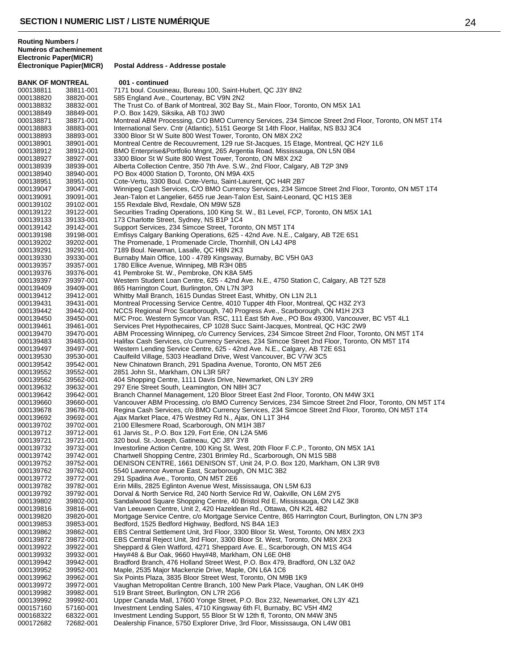| <b>BANK OF MONTREAL</b> |                        | 001 - continued                                                                                                                                                             |
|-------------------------|------------------------|-----------------------------------------------------------------------------------------------------------------------------------------------------------------------------|
| 000138811               | 38811-001              | 7171 boul. Cousineau, Bureau 100, Saint-Hubert, QC J3Y 8N2                                                                                                                  |
| 000138820               | 38820-001              | 585 England Ave., Courtenay, BC V9N 2N2                                                                                                                                     |
| 000138832               | 38832-001              | The Trust Co. of Bank of Montreal, 302 Bay St., Main Floor, Toronto, ON M5X 1A1                                                                                             |
| 000138849               | 38849-001              | P.O. Box 1429, Siksika, AB T0J 3W0                                                                                                                                          |
| 000138871               | 38871-001              | Montreal ABM Processing, C/O BMO Currency Services, 234 Simcoe Street 2nd Floor, Toronto, ON M5T 1T4                                                                        |
| 000138883<br>000138893  | 38883-001<br>38893-001 | International Serv. Cntr (Atlantic), 5151 George St 14th Floor, Halifax, NS B3J 3C4<br>3300 Bloor St W Suite 800 West Tower, Toronto, ON M8X 2X2                            |
| 000138901               | 38901-001              | Montreal Centre de Recouvrement, 129 rue St-Jacques, 15 Etage, Montreal, QC H2Y 1L6                                                                                         |
| 000138912               | 38912-001              | BMO Enterprise&Portfolio Mngnt, 265 Argentia Road, Mississauga, ON L5N 0B4                                                                                                  |
| 000138927               | 38927-001              | 3300 Bloor St W Suite 800 West Tower, Toronto, ON M8X 2X2                                                                                                                   |
| 000138939               | 38939-001              | Alberta Collection Centre, 350 7th Ave. S.W., 2nd Floor, Calgary, AB T2P 3N9                                                                                                |
| 000138940               | 38940-001              | PO Box 4000 Station D, Toronto, ON M9A 4X5                                                                                                                                  |
| 000138951               | 38951-001              | Cote-Vertu, 3300 Boul. Cote-Vertu, Saint-Laurent, QC H4R 2B7                                                                                                                |
| 000139047               | 39047-001              | Winnipeg Cash Services, C/O BMO Currency Services, 234 Simcoe Street 2nd Floor, Toronto, ON M5T 1T4                                                                         |
| 000139091               | 39091-001              | Jean-Talon et Langelier, 6455 rue Jean-Talon Est, Saint-Leonard, QC H1S 3E8                                                                                                 |
| 000139102<br>000139122  | 39102-001<br>39122-001 | 155 Rexdale Blvd, Rexdale, ON M9W 5Z8<br>Securities Trading Operations, 100 King St. W., B1 Level, FCP, Toronto, ON M5X 1A1                                                 |
| 000139133               | 39133-001              | 173 Charlotte Street, Sydney, NS B1P 1C4                                                                                                                                    |
| 000139142               | 39142-001              | Support Services, 234 Simcoe Street, Toronto, ON M5T 1T4                                                                                                                    |
| 000139198               | 39198-001              | Emfisys Calgary Banking Operations, 625 - 42nd Ave. N.E., Calgary, AB T2E 6S1                                                                                               |
| 000139202               | 39202-001              | The Promenade, 1 Promenade Circle, Thornhill, ON L4J 4P8                                                                                                                    |
| 000139291               | 39291-001              | 7189 Boul. Newman, Lasalle, QC H8N 2K3                                                                                                                                      |
| 000139330               | 39330-001              | Burnaby Main Office, 100 - 4789 Kingsway, Burnaby, BC V5H 0A3                                                                                                               |
| 000139357               | 39357-001              | 1780 Ellice Avenue, Winnipeg, MB R3H 0B5                                                                                                                                    |
| 000139376<br>000139397  | 39376-001<br>39397-001 | 41 Pembroke St. W., Pembroke, ON K8A 5M5<br>Western Student Loan Centre, 625 - 42nd Ave. N.E., 4750 Station C, Calgary, AB T2T 5Z8                                          |
| 000139409               | 39409-001              | 865 Harrington Court, Burlington, ON L7N 3P3                                                                                                                                |
| 000139412               | 39412-001              | Whitby Mall Branch, 1615 Dundas Street East, Whitby, ON L1N 2L1                                                                                                             |
| 000139431               | 39431-001              | Montreal Processing Service Centre, 4010 Tupper 4th Floor, Montreal, QC H3Z 2Y3                                                                                             |
| 000139442               | 39442-001              | NCCS Regional Proc Scarborough, 740 Progress Ave., Scarborough, ON M1H 2X3                                                                                                  |
| 000139450               | 39450-001              | M/C Proc. Western Symcor Van. RSC, 111 East 5th Ave., PO Box 49300, Vancouver, BC V5T 4L1                                                                                   |
| 000139461               | 39461-001              | Services Pret Hypothecaires, CP 1028 Succ Saint-Jacques, Montreal, QC H3C 2W9                                                                                               |
| 000139470               | 39470-001              | ABM Processing Winnipeg, c/o Currency Services, 234 Simcoe Street 2nd Floor, Toronto, ON M5T 1T4                                                                            |
| 000139483               | 39483-001              | Halifax Cash Services, c/o Currency Services, 234 Simcoe Street 2nd Floor, Toronto, ON M5T 1T4<br>Western Lending Service Centre, 625 - 42nd Ave. N.E., Calgary, AB T2E 6S1 |
| 000139497<br>000139530  | 39497-001<br>39530-001 | Caulfeild Village, 5303 Headland Drive, West Vancouver, BC V7W 3C5                                                                                                          |
| 000139542               | 39542-001              | New Chinatown Branch, 291 Spadina Avenue, Toronto, ON M5T 2E6                                                                                                               |
| 000139552               | 39552-001              | 2851 John St., Markham, ON L3R 5R7                                                                                                                                          |
| 000139562               | 39562-001              | 404 Shopping Centre, 1111 Davis Drive, Newmarket, ON L3Y 2R9                                                                                                                |
| 000139632               | 39632-001              | 297 Erie Street South, Leamington, ON N8H 3C7                                                                                                                               |
| 000139642               | 39642-001              | Branch Channel Management, 120 Bloor Street East 2nd Floor, Toronto, ON M4W 3X1                                                                                             |
| 000139660               | 39660-001              | Vancouver ABM Processing, c/o BMO Currency Services, 234 Simcoe Street 2nd Floor, Toronto, ON M5T 1T4                                                                       |
| 000139678               | 39678-001<br>39692-001 | Regina Cash Services, c/o BMO Currency Services, 234 Simcoe Street 2nd Floor, Toronto, ON M5T 1T4<br>Ajax Market Place, 475 Westney Rd N., Ajax, ON L1T 3H4                 |
| 000139692<br>000139702  | 39702-001              | 2100 Ellesmere Road, Scarborough, ON M1H 3B7                                                                                                                                |
| 000139712               | 39712-001              | 61 Jarvis St., P.O. Box 129, Fort Erie, ON L2A 5M6                                                                                                                          |
| 000139721               | 39721-001              | 320 boul. St.-Joseph, Gatineau, QC J8Y 3Y8                                                                                                                                  |
| 000139732               | 39732-001              | Investorline Action Centre, 100 King St. West, 20th Floor F.C.P., Toronto, ON M5X 1A1                                                                                       |
| 000139742               | 39742-001              | Chartwell Shopping Centre, 2301 Brimley Rd., Scarborough, ON M1S 5B8                                                                                                        |
| 000139752               | 39752-001              | DENISON CENTRE, 1661 DENISON ST, Unit 24, P.O. Box 120, Markham, ON L3R 9V8                                                                                                 |
| 000139762               | 39762-001              | 5540 Lawrence Avenue East, Scarborough, ON M1C 3B2                                                                                                                          |
| 000139772<br>000139782  | 39772-001<br>39782-001 | 291 Spadina Ave., Toronto, ON M5T 2E6<br>Erin Mills, 2825 Eglinton Avenue West, Mississauga, ON L5M 6J3                                                                     |
| 000139792               | 39792-001              | Dorval & North Service Rd, 240 North Service Rd W, Oakville, ON L6M 2Y5                                                                                                     |
| 000139802               | 39802-001              | Sandalwood Square Shopping Centre, 40 Bristol Rd E, Mississauga, ON L4Z 3K8                                                                                                 |
| 000139816               | 39816-001              | Van Leeuwen Centre, Unit 2, 420 Hazeldean Rd., Ottawa, ON K2L 4B2                                                                                                           |
| 000139820               | 39820-001              | Mortgage Service Centre, c/o Mortgage Service Centre, 865 Harrington Court, Burlington, ON L7N 3P3                                                                          |
| 000139853               | 39853-001              | Bedford, 1525 Bedford Highway, Bedford, NS B4A 1E3                                                                                                                          |
| 000139862               | 39862-001              | EBS Central Settlement Unit, 3rd Floor, 3300 Bloor St. West, Toronto, ON M8X 2X3                                                                                            |
| 000139872               | 39872-001              | EBS Central Reject Unit, 3rd Floor, 3300 Bloor St. West, Toronto, ON M8X 2X3                                                                                                |
| 000139922<br>000139932  | 39922-001<br>39932-001 | Sheppard & Glen Watford, 4271 Sheppard Ave. E., Scarborough, ON M1S 4G4<br>Hwy#48 & Bur Oak, 9660 Hwy#48, Markham, ON L6E 0H8                                               |
| 000139942               | 39942-001              | Bradford Branch, 476 Holland Street West, P.O. Box 479, Bradford, ON L3Z 0A2                                                                                                |
| 000139952               | 39952-001              | Maple, 2535 Major Mackenzie Drive, Maple, ON L6A 1C6                                                                                                                        |
| 000139962               | 39962-001              | Six Points Plaza, 3835 Bloor Street West, Toronto, ON M9B 1K9                                                                                                               |
| 000139972               | 39972-001              | Vaughan Metropolitan Centre Branch, 100 New Park Place, Vaughan, ON L4K 0H9                                                                                                 |
| 000139982               | 39982-001              | 519 Brant Street, Burlington, ON L7R 2G6                                                                                                                                    |
| 000139992               | 39992-001              | Upper Canada Mall, 17600 Yonge Street, P.O. Box 232, Newmarket, ON L3Y 4Z1                                                                                                  |
| 000157160               | 57160-001              | Investment Lending Sales, 4710 Kingsway 6th FI, Burnaby, BC V5H 4M2                                                                                                         |
| 000168322<br>000172682  | 68322-001<br>72682-001 | Investment Lending Support, 55 Bloor St W 12th fl, Toronto, ON M4W 3N5<br>Dealership Finance, 5750 Explorer Drive, 3rd Floor, Mississauga, ON L4W 0B1                       |
|                         |                        |                                                                                                                                                                             |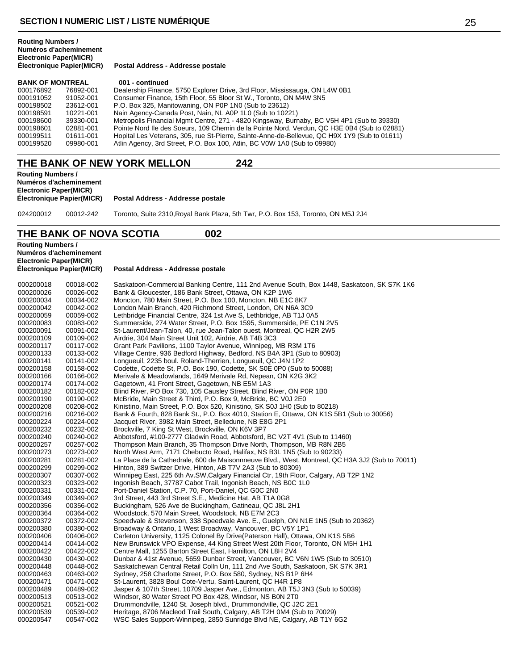**Postal Address - Addresse postale** 

| <b>BANK OF MONTREAL</b> |           | 001 - continued                                                                              |  |
|-------------------------|-----------|----------------------------------------------------------------------------------------------|--|
| 000176892               | 76892-001 | Dealership Finance, 5750 Explorer Drive, 3rd Floor, Mississauga, ON L4W 0B1                  |  |
| 000191052               | 91052-001 | Consumer Finance, 15th Floor, 55 Bloor St W., Toronto, ON M4W 3N5                            |  |
| 000198502               | 23612-001 | P.O. Box 325, Manitowaning, ON P0P 1N0 (Sub to 23612)                                        |  |
| 000198591               | 10221-001 | Nain Agency-Canada Post, Nain, NL A0P 1L0 (Sub to 10221)                                     |  |
| 000198600               | 39330-001 | Metropolis Financial Mgmt Centre, 271 - 4820 Kingsway, Burnaby, BC V5H 4P1 (Sub to 39330)    |  |
| 000198601               | 02881-001 | Pointe Nord IIe des Soeurs, 109 Chemin de la Pointe Nord, Verdun, QC H3E 0B4 (Sub to 02881)  |  |
| 000199511               | 01611-001 | Hopital Les Veterans, 305, rue St-Pierre, Sainte-Anne-de-Bellevue, QC H9X 1Y9 (Sub to 01611) |  |
| 000199520               | 09980-001 | Atlin Agency, 3rd Street, P.O. Box 100, Atlin, BC V0W 1A0 (Sub to 09980)                     |  |

## **THE BANK OF NEW YORK MELLON 242**

**Routing Numbers / Numéros d'acheminement Electronic Paper(MICR) Électronique Papier(MICR) Postal Address - Addresse postale**

00012-242 Toronto, Suite 2310,Royal Bank Plaza, 5th Twr, P.O. Box 153, Toronto, ON M5J 2J4

# **THE BANK OF NOVA SCOTIA 002**

**Routing Numbers / Numéros d'acheminement Electronic Paper(MICR) Électronique Papier(MICR) Postal Address - Addresse postale** 000200018 00018-002 Saskatoon-Commercial Banking Centre, 111 2nd Avenue South, Box 1448, Saskatoon, SK S7K 1K6<br>000200026 00026-002 Bank & Gloucester, 186 Bank Street, Ottawa, ON K2P 1W6 00026-002 Bank & Gloucester, 186 Bank Street, Ottawa, ON K2P 1W6 00034-002 Moncton, 780 Main Street, P.O. Box 100, Moncton, NB E1C 8K7 00042-002 London Main Branch, 420 Richmond Street, London, ON N6A 3C9 00059-002 Lethbridge Financial Centre, 324 1st Ave S, Lethbridge, AB T1J 0A5 00083-002 Summerside, 274 Water Street, P.O. Box 1595, Summerside, PE C1N 2V5 00091-002 St-Laurent/Jean-Talon, 40, rue Jean-Talon ouest, Montreal, QC H2R 2W5 00109-002 Airdrie, 304 Main Street Unit 102, Airdrie, AB T4B 3C3 00117-002 Grant Park Pavilions, 1100 Taylor Avenue, Winnipeg, MB R3M 1T6 00133-002 Village Centre, 936 Bedford Highway, Bedford, NS B4A 3P1 (Sub to 80903) 00141-002 Longueuil, 2235 boul. Roland-Therrien, Longueuil, QC J4N 1P2 00158-002 Codette, Codette St, P.O. Box 190, Codette, SK S0E 0P0 (Sub to 50088) 00166-002 Merivale & Meadowlands, 1649 Merivale Rd, Nepean, ON K2G 3K2 00174-002 Gagetown, 41 Front Street, Gagetown, NB E5M 1A3 00182-002 Blind River, PO Box 730, 105 Causley Street, Blind River, ON P0R 1B0 00190-002 McBride, Main Street & Third, P.O. Box 9, McBride, BC V0J 2E0 00208-002 Kinistino, Main Street, P.O. Box 520, Kinistino, SK S0J 1H0 (Sub to 80218) 00216-002 Bank & Fourth, 828 Bank St., P.O. Box 4010, Station E, Ottawa, ON K1S 5B1 (Sub to 30056) 00224-002 Jacquet River, 3982 Main Street, Belledune, NB E8G 2P1 00232-002 Brockville, 7 King St West, Brockville, ON K6V 3P7 00240-002 Abbotsford, #100-2777 Gladwin Road, Abbotsford, BC V2T 4V1 (Sub to 11460) 00257-002 Thompson Main Branch, 35 Thompson Drive North, Thompson, MB R8N 2B5 00273-002 North West Arm, 7171 Chebucto Road, Halifax, NS B3L 1N5 (Sub to 90233) 00281-002 La Place de la Cathedrale, 600 de Maisonnneuve Blvd., West, Montreal, QC H3A 3J2 (Sub to 70011) 00299-002 Hinton, 389 Switzer Drive, Hinton, AB T7V 2A3 (Sub to 80309) 00307-002 Winnipeg East, 225 6th Av.SW,Calgary Financial Ctr, 19th Floor, Calgary, AB T2P 1N2 00323-002 Ingonish Beach, 37787 Cabot Trail, Ingonish Beach, NS B0C 1L0 00331-002 Port-Daniel Station, C.P. 70, Port-Daniel, QC G0C 2N0 00349-002 3rd Street, 443 3rd Street S.E., Medicine Hat, AB T1A 0G8 00356-002 Buckingham, 526 Ave de Buckingham, Gatineau, QC J8L 2H1 00364-002 Woodstock, 570 Main Street, Woodstock, NB E7M 2C3 00372-002 Speedvale & Stevenson, 338 Speedvale Ave. E., Guelph, ON N1E 1N5 (Sub to 20362) 00380-002 Broadway & Ontario, 1 West Broadway, Vancouver, BC V5Y 1P1 000200406 00406-002 Carleton University, 1125 Colonel By Drive(Paterson Hall), Ottawa, ON K1S 5B6<br>000200414 00414-002 New Brunswick VPO Expense, 44 King Street West 20th Floor, Toronto, ON M5H 00414-002 New Brunswick VPO Expense, 44 King Street West 20th Floor, Toronto, ON M5H 1H1 00422-002 Centre Mall, 1255 Barton Street East, Hamilton, ON L8H 2V4 00430-002 Dunbar & 41st Avenue, 5659 Dunbar Street, Vancouver, BC V6N 1W5 (Sub to 30510) 00448-002 Saskatchewan Central Retail Colln Un, 111 2nd Ave South, Saskatoon, SK S7K 3R1 00463-002 Sydney, 258 Charlotte Street, P.O. Box 580, Sydney, NS B1P 6H4 00471-002 St-Laurent, 3828 Boul Cote-Vertu, Saint-Laurent, QC H4R 1P8 00489-002 Jasper & 107th Street, 10709 Jasper Ave., Edmonton, AB T5J 3N3 (Sub to 50039) 00513-002 Windsor, 80 Water Street PO Box 428, Windsor, NS B0N 2T0 00521-002 Drummondville, 1240 St. Joseph blvd., Drummondville, QC J2C 2E1 00539-002 Heritage, 8706 Macleod Trail South, Calgary, AB T2H 0M4 (Sub to 70029) 00547-002 WSC Sales Support-Winnipeg, 2850 Sunridge Blvd NE, Calgary, AB T1Y 6G2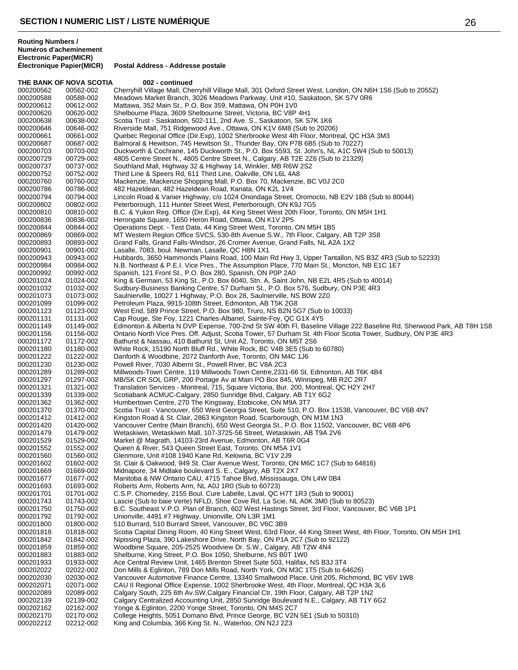THE BANK OF NOVA SCOTIA 002 - continued

**Postal Address - Addresse postale** 

**Routing Numbers / Numéros d'acheminement Electronic Paper(MICR)**

000200562 00562-002 Cherryhill Village Mall, Cherryhill Village Mall, 301 Oxford Street West, London, ON N6H 1S6 (Sub to 20552)<br>000200588 00588-002 Meadows Market Branch, 3026 Meadows Parkway, Unit #10, Saskatoon, SK S7V 0 000200588 00588-002 Meadows Market Branch, 3026 Meadows Parkway, Unit #10, Saskatoon, SK S7V 0R6<br>000200612 00612-002 Mattawa. 352 Main St.. P.O. Box 359. Mattawa. ON P0H 1V0 000200612 00612-002 Mattawa, 352 Main St., P.O. Box 359, Mattawa, ON P0H 1V0 000200620 00620-002 Shelbourne Plaza, 3609 Shelbourne Street, Victoria, BC V8P 4H1 Scotia Trust - Saskatoon, 502-111, 2nd Ave. S., Saskatoon, SK S7K 1K6 000200646 00646-002 Riverside Mall, 751 Ridgewood Ave., Ottawa, ON K1V 6M8 (Sub to 20206)<br>000200661 00661-002 Quebec Regional Office (Dir.Exp), 1002 Sherbrooke West 4th Floor, Montre 000200661 00661-002 Quebec Regional Office (Dir.Exp), 1002 Sherbrooke West 4th Floor, Montreal, QC H3A 3M3<br>000200687 00687-002 Balmoral & Hewitson. 745 Hewitson St.. Thunder Bay. ON P7B 6B5 (Sub to 70227) Balmoral & Hewitson, 745 Hewitson St., Thunder Bay, ON P7B 6B5 (Sub to 70227) 000200703 00703-002 Duckworth & Cochrane, 145 Duckworth St., P.O. Box 5593, St. John's, NL A1C 5W4 (Sub to 50013)<br>000200729 00729-002 4805 Centre Street N., 4805 Centre Street N., Calgary, AB T2E 2Z6 (Sub to 21329) 000200729 00729-002 4805 Centre Street N., 4805 Centre Street N., Calgary, AB T2E 2Z6 (Sub to 21329)<br>000200737 00737-002 Southland Mall, Highway 32 & Highway 14, Winkler, MB R6W 2S2 000200737 00737-002 Southland Mall, Highway 32 & Highway 14, Winkler, MB R6W 2S2<br>000200752 00752-002 Third Line & Speers Rd, 611 Third Line, Oakville, ON L6L 4A8 000200752 00752-002 Third Line & Speers Rd, 611 Third Line, Oakville, ON L6L 4A8 000200760 00760-002 Mackenzie, Mackenzie Shopping Mall, P.O. Box 70, Mackenzie, BC V0J 2C0<br>000200786 00786-002 482 Hazeldean, 482 Hazeldean Road, Kanata, ON K2L 1V4 000200786 00786-002 482 Hazeldean, 482 Hazeldean Road, Kanata, ON K2L 1V4<br>000200794 00794-002 Lincoln Road & Vanier Highway, c/o 1024 Onondaga Street, Lincoln Road & Vanier Highway, c/o 1024 Onondaga Street, Oromocto, NB E2V 1B8 (Sub to 80044) 000200802 00802-002 Peterborough, 111 Hunter Street West, Peterborough, ON K9J 7G5 000200810 00810-002 B.C. & Yukon Reg. Office (Dir.Exp), 44 King Street West 20th Floor, Toronto, ON M5H 1H1<br>000200836 00836-002 Herongate Square, 1650 Heron Road, Ottawa, ON K1V 2P5 000200836 00836-002 Herongate Square, 1650 Heron Road, Ottawa, ON K1V 2P5<br>000200844 00844-002 Operations Dept. - Test Data, 44 King Street West, Toronto, 000200844 00844-002 Operations Dept. - Test Data, 44 King Street West, Toronto, ON M5H 1B5 MT Western Region Office SVCS, 530-8th Avenue S.W., 7th Floor, Calgary, AB T2P 3S8 000200893 00893-002 Grand Falls, Grand Falls-Windsor, 26 Cromer Avenue, Grand Falls, NL A2A 1X2<br>000200901 00901-002 Lasalle, 7083, boul. Newman, Lasalle, QC H8N 1X1 Lasalle, 7083, boul. Newman, Lasalle, QC H8N 1X1 000200943 00943-002 Hubbards, 3650 Hammonds Plains Road, 100 Main Rd Hwy 3, Upper Tantallon, NS B3Z 4R3 (Sub to 52233)<br>000200984 00984-002 N.B. Northeast & P.E.I. Vice Pres., The Assumption Place, 770 Main St., Moncton, NB 000200984 00984-002 N.B. Northeast & P.E.I. Vice Pres., The Assumption Place, 770 Main St., Moncton, NB E1C 1E7<br>000200992 00992-002 Spanish. 121 Front St., P.O. Box 280. Spanish. ON P0P 2A0 Spanish, 121 Front St., P.O. Box 280, Spanish, ON P0P 2A0 000201024 01024-002 King & Germain, 53 King St., P.O. Box 6040, Stn. A, Saint John, NB E2L 4R5 (Sub to 40014)<br>000201032 01032-002 Sudbury-Business Banking Centre, 57 Durham St., P.O. Box 576, Sudbury, ON P3E 4R3 01032-002 Sudbury-Business Banking Centre, 57 Durham St., P.O. Box 576, Sudbury, ON P3E 4R3<br>01073-002 Saulnierville, 10027 1 Highway, P.O. Box 28, Saulnierville, NS B0W 2Z0 000201073 01073-002 Saulnierville, 10027 1 Highway, P.O. Box 28, Saulnierville, NS B0W 2Z0<br>000201099 01099-002 Petroleum Plaza, 9915-108th Street, Edmonton, AB T5K 2G8 000201099 01099-002 Petroleum Plaza, 9915-108th Street, Edmonton, AB T5K 2G8 West End, 589 Prince Street, P.O. Box 980, Truro, NS B2N 5G7 (Sub to 10033) 000201131 01131-002 Cap Rouge, Ste Foy, 1221 Charles-Albanel, Sainte-Foy, QC G1X 4Y5 000201149 01149-002 Edmonton & Alberta N DVP Expense, 700-2nd St SW 40th Fl, Baseline Village 222 Baseline Rd, Sherwood Park, AB T8H 1S8<br>000201156 01156-002 Ontario North Vice Pres. Off. Adjust, Scotia Tower, 57 Durham St. 000201156 01156-002 Ontario North Vice Pres. Off. Adjust, Scotia Tower, 57 Durham St. 4th Floor Scotia Tower, Sudbury, ON P3E 4R3<br>000201172 01172-002 Bathurst & Nassau, 410 Bathurst St, Unit A2, Toronto, ON M5T 2S6 000201172 01172-002 Bathurst & Nassau, 410 Bathurst St, Unit A2, Toronto, ON M5T 2S6 000201180 01180-002 White Rock, 15190 North Bluff Rd., White Rock, BC V4B 3E5 (Sub to 60780)<br>000201222 01222-002 Danforth & Woodbine, 2072 Danforth Ave, Toronto, ON M4C 1J6 000201222 01222-002 Danforth & Woodbine, 2072 Danforth Ave, Toronto, ON M4C 1J6<br>000201230 01230-002 Powell River, 7030 Alberni St., Powell River, BC V8A 2C3 000201230 01230-002 Powell River, 7030 Alberni St., Powell River, BC V8A 2C3<br>000201289 01289-002 Millwoods-Town Centre, 119 Millwoods Town Centre, 2331 000201289 01289-002 Millwoods-Town Centre, 119 Millwoods Town Centre, 2331-66 St, Edmonton, AB T6K 4B4<br>000201297 01297-002 MB/SK CR SOL GRP, 200 Portage Av at Main PO Box 845, Winnipeg, MB R2C 2R7 000201297 01297-002 MB/SK CR SOL GRP, 200 Portage Av at Main PO Box 845, Winnipeg, MB R2C 2R7<br>000201321 01321-002 Translation Services - Montreal, 715, Square Victoria, Bur. 200, Montreal, QC H2Y 2 000201321 01321-002 Translation Services - Montreal, 715, Square Victoria, Bur. 200, Montreal, QC H2Y 2H7<br>000201339 01339-002 Scotiabank ACMUC-Calgary, 2850 Sunridge Blvd, Calgary, AB T1Y 6G2 000201339 01339-002 Scotiabank ACMUC-Calgary, 2850 Sunridge Blvd, Calgary, AB T1Y 6G2 Humbertown Centre, 270 The Kingsway, Etobicoke, ON M9A 3T7 000201370 01370-002 Scotia Trust - Vancouver, 650 West Georgia Street, Suite 510, P.O. Box 11538, Vancouver, BC V6B 4N7<br>000201412 01412-002 Kingston Road & St. Clair, 2863 Kingston Road, Scarborough, ON M1M 1N3 Kingston Road & St. Clair, 2863 Kingston Road, Scarborough, ON M1M 1N3 000201420 01420-002 Vancouver Centre (Main Branch), 650 West Georgia St., P.O. Box 11502, Vancouver, BC V6B 4P6<br>000201479 01479-002 Wetaskiwin, Wetaskiwin Mall, 107-3725-56 Street, Wetaskiwin, AB T9A 2V6 000201479 01479-002 Wetaskiwin, Wetaskiwin Mall, 107-3725-56 Street, Wetaskiwin, AB T9A 2V6 Market @ Magrath, 14103-23rd Avenue, Edmonton, AB T6R 0G4 000201552 01552-002 Queen & River, 543 Queen Street East, Toronto, ON M5A 1V1 Glenmore, Unit #108 1940 Kane Rd, Kelowna, BC V1V 2J9 000201602 01602-002 St. Clair & Oakwood, 949 St. Clair Avenue West, Toronto, ON M6C 1C7 (Sub to 64816)<br>000201669 01669-002 Midnapore, 34 Midlake boulevard S. E., Calgary, AB T2X 2X7 000201669 01669-002 Midnapore, 34 Midlake boulevard S. E., Calgary, AB T2X 2X7 Manitoba & NW Ontario CAU, 4715 Tahoe Blvd, Mississauga, ON L4W 0B4 000201693 01693-002 Roberts Arm, Roberts Arm, NL A0J 1R0 (Sub to 60723) 000201701 01701-002 C.S.P. Chomedey, 2155 Boul. Cure Labelle, Laval, QC H7T 1R3 (Sub to 90001)<br>000201743 01743-002 Lascie (Sub to baie Verte) NFLD, Shoe Cove Rd, La Scie, NL A0K 3M0 (Sub to 8 000201743 01743-002 Lascie (Sub to baie Verte) NFLD, Shoe Cove Rd, La Scie, NL A0K 3M0 (Sub to 80523)<br>000201750 01750-002 B.C. Southeast V.P.O. Plan of Branch, 602 West Hastings Street, 3rd Floor, Vancouver 000201750 01750-002 B.C. Southeast V.P.O. Plan of Branch, 602 West Hastings Street, 3rd Floor, Vancouver, BC V6B 1P1<br>000201792 01792-002 Unionville, 4491 #7 Highway, Unionville, ON L3R 1M1 000201792 01792-002 Unionville, 4491 #7 Highway, Unionville, ON L3R 1M1 000201800 01800-002 510 Burrard, 510 Burrard Street, Vancouver, BC V6C 3B9 Scotia Capital Dining Room, 40 King Street West, 63rd Floor, 44 King Street West, 4th Floor, Toronto, ON M5H 1H1 000201842 01842-002 Nipissing Plaza, 390 Lakeshore Drive, North Bay, ON P1A 2C7 (Sub to 92122)<br>000201859 01859-002 Woodbine Square, 205-2525 Woodview Dr. S.W., Calgary, AB T2W 4N4 000201859 01859-002 Woodbine Square, 205-2525 Woodview Dr. S.W., Calgary, AB T2W 4N4<br>000201883 01883-002 Shelburne, King Street, P.O. Box 1050, Shelburne, NS B0T 1W0 000201883 01883-002 Shelburne, King Street, P.O. Box 1050, Shelburne, NS B0T 1W0 000201933 01933-002 Ace Central Review Unit, 1465 Brenton Street Suite 503, Halifax, NS B3J 3T4 Don Mills & Eglinton, 789 Don Mills Road, North York, ON M3C 1T5 (Sub to 64626) 000202030 02030-002 Vancouver Automotive Finance Centre, 13340 Smallwood Place, Unit 205, Richmond, BC V6V 1W8<br>000202071 02071-002 CAU II Regional Office Expense, 1002 Sherbrooke West, 4th Floor, Montreal, QC H3A 3L6 CAU II Regional Office Expense, 1002 Sherbrooke West, 4th Floor, Montreal, QC H3A 3L6 000202089 02089-002 Calgary South, 225 6th Av.SW,Calgary Financial Ctr, 19th Floor, Calgary, AB T2P 1N2<br>000202139 02139-002 Calgary Centralized Accounting Unit, 2850 Sunridge Boulevard N.E., Calgary, AB T1Y 000202139 02139-002 Calgary Centralized Accounting Unit, 2850 Sunridge Boulevard N.E., Calgary, AB T1Y 6G2<br>000202162 02162-002 Yonge & Eglinton, 2200 Yonge Street, Toronto, ON M4S 2C7 Yonge & Eglinton, 2200 Yonge Street, Toronto, ON M4S 2C7

000202170 02170-002 College Heights, 5051 Domano Blvd, Prince George, BC V2N 5E1 (Sub to 50310)<br>000202212 02212-002 King and Columbia, 366 King St. N., Waterloo, ON N2J 2Z3

King and Columbia, 366 King St. N., Waterloo, ON N2J 2Z3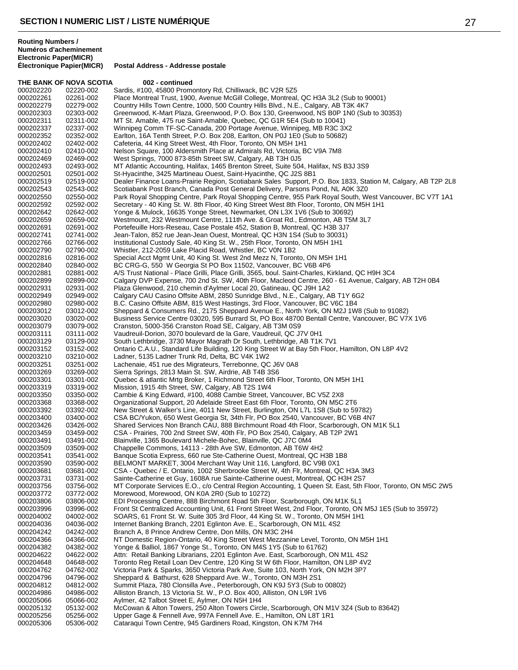THE BANK OF NOVA SCOTIA 002 - continued

**Postal Address - Addresse postale** 

000202220 02220-002 Sardis, #100, 45800 Promontory Rd, Chilliwack, BC V2R 5Z5<br>000202261 02261-002 Place Montreal Trust, 1900, Avenue McGill College, Montreal, 000202261 02261-002 Place Montreal Trust, 1900, Avenue McGill College, Montreal, QC H3A 3L2 (Sub to 90001)<br>000202279 02279-002 Country Hills Town Centre, 1000, 500 Country Hills Blyd., N.E., Calgary, AB T3K 4K7 Country Hills Town Centre, 1000, 500 Country Hills Blvd., N.E., Calgary, AB T3K 4K7 000202303 02303-002 Greenwood, K-Mart Plaza, Greenwood, P.O. Box 130, Greenwood, NS B0P 1N0 (Sub to 30353)<br>000202311 02311-002 MT St. Amable, 475 rue Saint-Amable, Quebec, QC G1R 5E4 (Sub to 10041) MT St. Amable, 475 rue Saint-Amable, Quebec, QC G1R 5E4 (Sub to 10041) 000202337 02337-002 Winnipeg Comm TF-SC-Canada, 200 Portage Avenue, Winnipeg, MB R3C 3X2<br>000202352 02352-002 Earlton, 16A Tenth Street, P.O. Box 208, Earlton, ON P0J 1E0 (Sub to 50682) 000202352 02352-002 Earlton, 16A Tenth Street, P.O. Box 208, Earlton, ON P0J 1E0 (Sub to 50682)<br>000202402 02402-002 Cafeteria. 44 King Street West. 4th Floor. Toronto. ON M5H 1H1 Cafeteria, 44 King Street West, 4th Floor, Toronto, ON M5H 1H1 000202410 02410-002 Nelson Square, 100 Aldersmith Place at Admirals Rd, Victoria, BC V9A 7M8<br>000202469 02469-002 West Springs, 7000 873-85th Street SW, Calgary, AB T3H 0J5 000202469 02469-002 West Springs, 7000 873-85th Street SW, Calgary, AB T3H 0J5<br>000202493 02493-002 MT Atlantic Accounting, Halifax, 1465 Brenton Street, Suite 504 000202493 02493-002 MT Atlantic Accounting, Halifax, 1465 Brenton Street, Suite 504, Halifax, NS B3J 3S9<br>000202501 02501-002 St-Hvacinthe. 3425 Martineau Ouest. Saint-Hvacinthe. QC J2S 8B1 000202501 02501-002 St-Hyacinthe, 3425 Martineau Ouest, Saint-Hyacinthe, QC J2S 8B1<br>000202519 02519-002 Dealer Finance Loans-Prairie Region, Scotiabank Sales Support, F 000202519 02519-002 Dealer Finance Loans-Prairie Region, Scotiabank Sales Support, P.O. Box 1833, Station M, Calgary, AB T2P 2L8<br>000202543 02543-002 Scotiabank Post Branch, Canada Post General Delivery, Parsons Pond, NL A0 000202543 02543-002 Scotiabank Post Branch, Canada Post General Delivery, Parsons Pond, NL A0K 3Z0<br>000202550 02550-002 Park Royal Shopping Centre, Park Royal Shopping Centre, 955 Park Royal South, W Park Royal Shopping Centre, Park Royal Shopping Centre, 955 Park Royal South, West Vancouver, BC V7T 1A1 000202592 02592-002 Secretary - 40 King St. W. 8th Floor, 40 King Street West 8th Floor, Toronto, ON M5H 1H1<br>000202642 02642-002 Yonge & Mulock, 16635 Yonge Street, Newmarket, ON L3X 1V6 (Sub to 30692) 000202642 02642-002 Yonge & Mulock, 16635 Yonge Street, Newmarket, ON L3X 1V6 (Sub to 30692)<br>000202659 02659-002 Westmount, 232 Westmount Centre, 111th Ave. & Groat Rd., Edmonton, AB T5! 000202659 02659-002 Westmount, 232 Westmount Centre, 111th Ave. & Groat Rd., Edmonton, AB T5M 3L7<br>000202691 02691-002 Portefeuille Hors-Reseau, Case Postale 452, Station B, Montreal, QC H3B 3J7 000202691 02691-002 Portefeuille Hors-Reseau, Case Postale 452, Station B, Montreal, QC H3B 3J7<br>000202741 02741-002 Jean-Talon. 852 rue Jean-Jean Ouest. Montreal. QC H3N 1S4 (Sub to 30031) Jean-Talon, 852 rue Jean-Jean Ouest, Montreal, QC H3N 1S4 (Sub to 30031) 000202766 02766-002 Institutional Custody Sale, 40 King St. W., 25th Floor, Toronto, ON M5H 1H1<br>000202790 02790-002 Whistler, 212-2059 Lake Placid Road, Whistler, BC V0N 1B2 Whistler, 212-2059 Lake Placid Road, Whistler, BC V0N 1B2 000202816 02816-002 Special Acct Mgmt Unit, 40 King St. West 2nd Mezz N, Toronto, ON M5H 1H1<br>000202840 02840-002 BC CRG-G, 550 W Georgia St PO Box 11502, Vancouver, BC V6B 4P6 000202840 02840-002 BC CRG-G, 550 W Georgia St PO Box 11502, Vancouver, BC V6B 4P6<br>000202881 02881-002 A/S Trust National - Place Grilli. Place Grilli. 3565. boul. Saint-Charles. K A/S Trust National - Place Grilli, Place Grilli, 3565, boul. Saint-Charles, Kirkland, QC H9H 3C4 000202899 02899-002 Calgary DVP Expense, 700 2nd St. SW, 40th Floor, Macleod Centre, 260 - 61 Avenue, Calgary, AB T2H 0B4<br>000202931 02931-002 Plaza Glenwood, 210 chemin d'Aylmer Local 20, Gatineau, QC J9H 1A2 Plaza Glenwood, 210 chemin d'Aylmer Local 20, Gatineau, QC J9H 1A2 000202949 02949-002 Calgary CAU Casino Offsite ABM, 2850 Sunridge Blvd., N.E., Calgary, AB T1Y 6G2<br>000202980 02980-002 B.C. Casino Offsite ABM, 815 West Hastings, 3rd Floor, Vancouver, BC V6C 1B4 000202980 02980-002 B.C. Casino Offsite ABM, 815 West Hastings, 3rd Floor, Vancouver, BC V6C 1B4<br>000203012 03012-002 Sheppard & Consumers Rd., 2175 Sheppard Avenue E., North York, ON M2J 1W Sheppard & Consumers Rd., 2175 Sheppard Avenue E., North York, ON M2J 1W8 (Sub to 91082) 000203020 03020-002 Business Service Centre 03020, 595 Burrard St, PO Box 48700 Bentall Centre, Vancouver, BC V7X 1V6<br>000203079 03079-002 Cranston, 5000-356 Cranston Road SE, Calgary, AB T3M 0S9 000203079 03079-002 Cranston, 5000-356 Cranston Road SE, Calgary, AB T3M 0S9 000203111 03111-002 Vaudreuil-Dorion, 3070 boulevard de la Gare, Vaudreuil, QC J7V 0H1<br>000203129 03129-002 South Lethbridge, 3730 Mayor Magrath Dr South, Lethbridge, AB T1K 000203129 03129-002 South Lethbridge, 3730 Mayor Magrath Dr South, Lethbridge, AB T1K 7V1<br>000203152 03152-002 Ontario C.A.U., Standard Life Building, 120 King Street W at Bay 5th Floor. 000203152 03152-002 Ontario C.A.U., Standard Life Building, 120 King Street W at Bay 5th Floor, Hamilton, ON L8P 4V2<br>000203210 03210-002 Ladner, 5135 Ladner Trunk Rd, Delta, BC V4K 1W2 000203210 03210-002 Ladner, 5135 Ladner Trunk Rd, Delta, BC V4K 1W2 000203251 03251-002 Lachenaie, 451 rue des Migrateurs, Terrebonne, QC J6V 0A8 000203269 03269-002 Sierra Springs, 2813 Main St. SW, Airdrie, AB T4B 3S6 000203301 03301-002 Quebec & atlantic Mrtg Broker, 1 Richmond Street 6th Floor, Toronto, ON M5H 1H1<br>000203319 03319-002 Mission, 1915 4th Street, SW, Calgary, AB T2S 1W4 000203319 03319-002 Mission, 1915 4th Street, SW, Calgary, AB T2S 1W4 000203350 03350-002 Cambie & King Edward, #100, 4088 Cambie Street, Vancouver, BC V5Z 2X8 Organizational Support, 20 Adelaide Street East 6th Floor, Toronto, ON M5C 2T6 000203392 03392-002 New Street & Walker's Line, 4011 New Street, Burlington, ON L7L 1S8 (Sub to 59782) 000203400 03400-002 CSA BC/Yukon, 650 West Georgia St, 34th Flr, PO Box 2540, Vancouver, BC V6B 4N7 000203426 03426-002 Shared Services Non Branch CAU, 888 Birchmount Road 4th Floor, Scarborough, ON M1K 5L1<br>000203459 03459-002 CSA - Prairies, 700 2nd Street SW, 40th Flr, PO Box 2540, Calgary, AB T2P 2W1 000203459 03459-002 CSA - Prairies, 700 2nd Street SW, 40th Flr, PO Box 2540, Calgary, AB T2P 2W1 Blainville, 1365 Boulevard Michele-Bohec, Blainville, QC J7C 0M4 000203509 03509-002 Chappelle Commons, 14113 - 28th Ave SW, Edmonton, AB T6W 4H2<br>000203541 03541-002 Banque Scotia Express, 660 rue Ste-Catherine Ouest, Montreal, QC H Banque Scotia Express, 660 rue Ste-Catherine Ouest, Montreal, QC H3B 1B8 000203590 03590-002 BELMONT MARKET, 3004 Merchant Way Unit 116, Langford, BC V9B 0X1<br>000203681 03681-002 CSA - Quebec / E. Ontario, 1002 Sherbrooke Street W, 4th Flr, Montreal, Q 000203681 03681-002 CSA - Quebec / E. Ontario, 1002 Sherbrooke Street W, 4th Flr, Montreal, QC H3A 3M3<br>000203731 03731-002 Sainte-Catherine et Guy, 1608A rue Sainte-Catherine ouest, Montreal, QC H3H 2S7 Sainte-Catherine et Guy, 1608A rue Sainte-Catherine ouest, Montreal, QC H3H 2S7 000203756 03756-002 MT Corporate Services E.O., c/o Central Region Accounting, 1 Queen St. East, 5th Floor, Toronto, ON M5C 2W5<br>000203772 03772-002 Morewood, Morewood, ON K0A 2R0 (Sub to 10272) 000203772 03772-002 Morewood, Morewood, ON K0A 2R0 (Sub to 10272) 000203806 03806-002 EDI Processing Centre, 888 Birchmont Road 5th Floor, Scarborough, ON M1K 5L1<br>000203996 03996-002 Front St Centralized Accounting Unit. 61 Front Street West. 2nd Floor. Toronto. ON 000203996 03996-002 Front St Centralized Accounting Unit, 61 Front Street West, 2nd Floor, Toronto, ON M5J 1E5 (Sub to 35972)<br>000204002 04002-002 SOARS, 61 Front St. W. Suite 305 3rd Floor, 44 King St. W., Toronto, ON M5H 000204002 04002-002 SOARS, 61 Front St. W. Suite 305 3rd Floor, 44 King St. W., Toronto, ON M5H 1H1<br>000204036 04036-002 Internet Banking Branch, 2201 Eglinton Ave. E., Scarborough, ON M1L 4S2 000204036 04036-002 Internet Banking Branch, 2201 Eglinton Ave. E., Scarborough, ON M1L 4S2<br>000204242 04242-002 Branch A, 8 Prince Andrew Centre, Don Mills, ON M3C 2H4 Branch A, 8 Prince Andrew Centre, Don Mills, ON M3C 2H4 000204366 04366-002 NT Domestic Region-Ontario, 40 King Street West Mezzanine Level, Toronto, ON M5H 1H1<br>000204382 04382-002 Yonge & Balliol, 1867 Yonge St., Toronto, ON M4S 1Y5 (Sub to 61762) 04382-002 Yonge & Balliol, 1867 Yonge St., Toronto, ON M4S 1Y5 (Sub to 61762) 000204622 04622-002 Attn: Retail Banking Librarians, 2201 Eglinton Ave. East, Scarborough, ON M1L 4S2<br>000204648 04648-002 Toronto Reg Retail Loan Dev Centre, 120 King St W 6th Floor, Hamilton, ON L8P 4V2 000204648 04648-002 Toronto Reg Retail Loan Dev Centre, 120 King St W 6th Floor, Hamilton, ON L8P 4V2 Victoria Park & Sparks, 3650 Victoria Park Ave, Suite 103, North York, ON M2H 3P7 000204796 04796-002 Sheppard & Bathurst, 628 Sheppard Ave. W., Toronto, ON M3H 2S1<br>000204812 04812-002 Summit Plaza, 780 Clonsilla Ave., Peterborough, ON K9J 5Y3 (Sub to Summit Plaza, 780 Clonsilla Ave., Peterborough, ON K9J 5Y3 (Sub to 00802) 000204986 04986-002 Alliston Branch, 13 Victoria St. W., P.O. Box 400, Alliston, ON L9R 1V6 000205066 05066-002 Aylmer, 42 Talbot Street E, Aylmer, ON N5H 1H4 McCowan & Alton Towers, 250 Alton Towers Circle, Scarborough, ON M1V 3Z4 (Sub to 83642) 000205256 05256-002 Upper Gage & Fennell Ave, 997A Fennell Ave. E., Hamilton, ON L8T 1R1<br>000205306 05306-002 Cataraqui Town Centre, 945 Gardiners Road, Kingston, ON K7M 7H4 Cataraqui Town Centre, 945 Gardiners Road, Kingston, ON K7M 7H4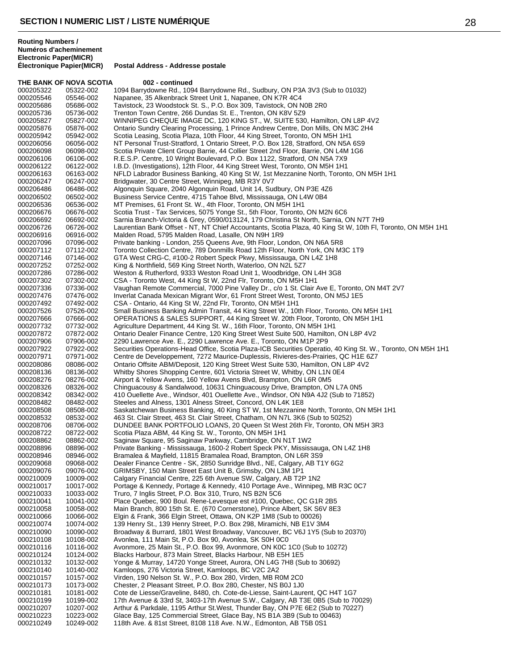THE BANK OF NOVA SCOTIA 002 - continued 000205322 05322-002 1094 Barrydowne Rd., 1094 Barrydowne Rd., Sudbury, ON P3A 3V3 (Sub to 01032)<br>000205546 05546-002 Napanee, 35 Alkenbrack Street Unit 1, Napanee, ON K7R 4C4 000205546 05546-002 Napanee, 35 Alkenbrack Street Unit 1, Napanee, ON K7R 4C4 Tavistock, 23 Woodstock St. S., P.O. Box 309, Tavistock, ON N0B 2R0 000205736 05736-002 Trenton Town Centre, 266 Dundas St. E., Trenton, ON K8V 5Z9 WINNIPEG CHEQUE IMAGE DC, 120 KING ST., W, SUITE 530, Hamilton, ON L8P 4V2 000205876 05876-002 Ontario Sundry Clearing Processing, 1 Prince Andrew Centre, Don Mills, ON M3C 2H4<br>000205942 05942-002 Scotia Leasing, Scotia Plaza, 10th Floor, 44 King Street, Toronto, ON M5H 1H1 000205942 05942-002 Scotia Leasing, Scotia Plaza, 10th Floor, 44 King Street, Toronto, ON M5H 1H1 NT Personal Trust-Stratford, 1 Ontario Street, P.O. Box 128, Stratford, ON N5A 6S9 000206098 06098-002 Scotia Private Client Group Barrie, 44 Collier Street 2nd Floor, Barrie, ON L4M 1G6 000206106 06106-002 R.E.S.P. Centre, 10 Wright Boulevard, P.O. Box 1122, Stratford, ON N5A 7X9<br>000206122 06122-002 I.B.D. (Investigations), 12th Floor, 44 King Street West, Toronto, ON M5H 1H1 000206122 06122-002 I.B.D. (Investigations), 12th Floor, 44 King Street West, Toronto, ON M5H 1H1 000206163 06163-002 NFLD Labrador Business Banking, 40 King St W, 1st Mezzanine North, Toronto, ON M5H 1H1<br>000206247 06247-002 Bridgwater, 30 Centre Street, Winnipeg, MB R3Y 0V7 000206247 06247-002 Bridgwater, 30 Centre Street, Winnipeg, MB R3Y 0V7<br>000206486 06486-002 Algonguin Square, 2040 Algonguin Road, Unit 14, Su 000206486 06486-002 Algonquin Square, 2040 Algonquin Road, Unit 14, Sudbury, ON P3E 4Z6 Business Service Centre, 4715 Tahoe Blvd, Mississauga, ON L4W 0B4 000206536 06536-002 MT Premises, 61 Front St. W., 4th Floor, Toronto, ON M5H 1H1<br>000206676 06676-002 Scotia Trust - Tax Services, 5075 Yonge St., 5th Floor, Toronto, 000206676 06676-002 Scotia Trust - Tax Services, 5075 Yonge St., 5th Floor, Toronto, ON M2N 6C6<br>000206692 06692-002 Sarnia Branch-Victoria & Grey, 0590/013124, 179 Christina St North, Sarnia, C 000206692 06692-002 Sarnia Branch-Victoria & Grey, 0590/013124, 179 Christina St North, Sarnia, ON N7T 7H9<br>000206726 06726-002 Laurentian Bank Offset - NT, NT Chief Accountants, Scotia Plaza, 40 King St W, 10th Fl, T 000206726 06726-002 Laurentian Bank Offset - NT, NT Chief Accountants, Scotia Plaza, 40 King St W, 10th Fl, Toronto, ON M5H 1H1<br>000206916 06916-002 Malden Road, 5795 Malden Road, Lasalle, ON N9H 1R9 Malden Road, 5795 Malden Road, Lasalle, ON N9H 1R9 000207096 07096-002 Private banking - London, 255 Queens Ave, 9th Floor, London, ON N6A 5R8<br>000207112 07112-002 Toronto Collection Centre, 789 Donmills Road 12th Floor, North York, ON M3 Toronto Collection Centre, 789 Donmills Road 12th Floor, North York, ON M3C 1T9 000207146 07146-002 GTA West CRG-C, #100-2 Robert Speck Pkwy, Mississauga, ON L4Z 1H8<br>000207252 07252-002 King & Northfield, 569 King Street North, Waterloo, ON N2L 5Z7 000207252 07252-002 King & Northfield, 569 King Street North, Waterloo, ON N2L 5Z7 Weston & Rutherford, 9333 Weston Road Unit 1, Woodbridge, ON L4H 3G8 000207302 07302-002 CSA - Toronto West, 44 King St W, 22nd Flr, Toronto, ON M5H 1H1 Vaughan Remote Commercial, 7000 Pine Valley Dr., c/o 1 St. Clair Ave E, Toronto, ON M4T 2V7 000207476 07476-002 Inverlat Canada Mexican Migrant Wor, 61 Front Street West, Toronto, ON M5J 1E5<br>000207492 07492-002 CSA - Ontario, 44 King St W, 22nd Flr, Toronto, ON M5H 1H1 000207492 07492-002 CSA - Ontario, 44 King St W, 22nd Flr, Toronto, ON M5H 1H1 Small Business Banking Admin Transit, 44 King Street W., 10th Floor, Toronto, ON M5H 1H1 000207666 07666-002 OPERATIONS & SALES SUPPORT, 44 King Street W. 20th Floor, Toronto, ON M5H 1H1<br>000207732 07732-002 Agriculture Department, 44 King St. W., 16th Floor, Toronto, ON M5H 1H1 Agriculture Department, 44 King St. W., 16th Floor, Toronto, ON M5H 1H1 000207872 07872-002 Ontario Dealer Finance Centre, 120 King Street West Suite 500, Hamilton, ON L8P 4V2<br>000207906 07906-002 2290 Lawrence Ave. E., 2290 Lawrence Ave. E., Toronto, ON M1P 2P9 000207906 07906-002 2290 Lawrence Ave. E., 2290 Lawrence Ave. E., Toronto, ON M1P 2P9<br>000207922 07922-002 Securities Operations-Head Office. Scotia Plaza-ICB Securities Operatio 000207922 07922-002 Securities Operations-Head Office, Scotia Plaza-ICB Securities Operatio, 40 King St. W., Toronto, ON M5H 1H1<br>000207971 07971-002 Centre de Developpement, 7272 Maurice-Duplessis, Rivieres-des-Prairies, Q 000207971 07971-002 Centre de Developpement, 7272 Maurice-Duplessis, Rivieres-des-Prairies, QC H1E 6Z7<br>000208086 08086-002 Ontario Offsite ABM/Deposit, 120 King Street West Suite 530, Hamilton, ON L8P 4V2 000208086 08086-002 Ontario Offsite ABM/Deposit, 120 King Street West Suite 530, Hamilton, ON L8P 4V2<br>000208136 08136-002 Whitby Shores Shopping Centre, 601 Victoria Street W, Whitby, ON L1N 0E4 000208136 08136-002 Whitby Shores Shopping Centre, 601 Victoria Street W, Whitby, ON L1N 0E4<br>000208276 08276-002 Airport & Yellow Avens, 160 Yellow Avens Blvd, Brampton, ON L6R 0M5 000208276 08276-002 Airport & Yellow Avens, 160 Yellow Avens Blvd, Brampton, ON L6R 0M5<br>000208326 08326-002 Chinguacousy & Sandalwood, 10631 Chinguacousy Drive, Brampton, ON 000208326 08326-002 Chinguacousy & Sandalwood, 10631 Chinguacousy Drive, Brampton, ON L7A 0N5<br>000208342 08342-002 410 Ouellette Ave., Windsor, 401 Ouellette Ave., Windsor, ON N9A 4J2 (Sub to 718 000208342 08342-002 410 Ouellette Ave., Windsor, 401 Ouellette Ave., Windsor, ON N9A 4J2 (Sub to 71852)<br>000208482 08482-002 Steeles and Alness. 1301 Alness Street. Concord. ON L4K 1E8 Steeles and Alness, 1301 Alness Street, Concord, ON L4K 1E8 000208508 08508-002 Saskatchewan Business Banking, 40 King ST W, 1st Mezzanine North, Toronto, ON M5H 1H1<br>000208532 08532-002 463 St. Clair Street, 463 St. Clair Street, Chatham, ON N7L 3K6 (Sub to 50252) 000208532 08532-002 463 St. Clair Street, 463 St. Clair Street, Chatham, ON N7L 3K6 (Sub to 50252) 000208706 08706-002 DUNDEE BANK PORTFOLIO LOANS, 20 Queen St West 26th Flr, Toronto, ON M5H 3R3<br>000208722 08722-002 Scotia Plaza ABM, 44 King St. W., Toronto, ON M5H 1H1 000208722 08722-002 Scotia Plaza ABM, 44 King St. W., Toronto, ON M5H 1H1 Saginaw Square, 95 Saginaw Parkway, Cambridge, ON N1T 1W2 000208896 08896-002 Private Banking - Mississauga, 1600-2 Robert Speck PKY, Mississauga, ON L4Z 1H8<br>000208946 08946-002 Bramalea & Mayfield, 11815 Bramalea Road, Brampton, ON L6R 3S9 Bramalea & Mayfield, 11815 Bramalea Road, Brampton, ON L6R 3S9 000209068 09068-002 Dealer Finance Centre - SK, 2850 Sunridge Blvd., NE, Calgary, AB T1Y 6G2<br>000209076 09076-002 GRIMSBY, 150 Main Street East Unit B, Grimsby, ON L3M 1P1 000209076 09076-002 GRIMSBY, 150 Main Street East Unit B, Grimsby, ON L3M 1P1 Calgary Financial Centre, 225 6th Avenue SW, Calgary, AB T2P 1N2 000210017 10017-002 Portage & Kennedy, Portage & Kennedy, 410 Portage Ave., Winnipeg, MB R3C 0C7<br>000210033 10033-002 Truro, 7 Inglis Street, P.O. Box 310, Truro, NS B2N 5C6 000210033 10033-002 Truro, 7 Inglis Street, P.O. Box 310, Truro, NS B2N 5C6 000210041 10041-002 Place Quebec, 900 Boul. Rene-Levesque est #100, Quebec, QC G1R 2B5<br>000210058 10058-002 Main Branch, 800 15th St. E. (670 Cornerstone), Prince Albert, SK S6V 8E 000210058 10058-002 Main Branch, 800 15th St. E. (670 Cornerstone), Prince Albert, SK S6V 8E3<br>000210066 10066-002 Flgin & Frank, 366 Flgin Street, Ottawa, ON K2P 1M8 (Sub to 00026) 000210066 10066-002 Elgin & Frank, 366 Elgin Street, Ottawa, ON K2P 1M8 (Sub to 00026)<br>000210074 10074-002 139 Henry St., 139 Henry Street, P.O. Box 298, Miramichi, NB E1V 3M 000210074 10074-002 139 Henry St., 139 Henry Street, P.O. Box 298, Miramichi, NB E1V 3M4 Broadway & Burrard, 1801 West Broadway, Vancouver, BC V6J 1Y5 (Sub to 20370) 000210108 10108-002 Avonlea, 111 Main St, P.O. Box 90, Avonlea, SK S0H 0C0 Avonmore, 25 Main St., P.O. Box 99, Avonmore, ON K0C 1C0 (Sub to 10272) 000210124 10124-002 Blacks Harbour, 873 Main Street, Blacks Harbour, NB E5H 1E5<br>000210132 10132-002 Yonge & Murray, 14720 Yonge Street, Aurora, ON L4G 7H8 (Su 000210132 10132-002 Yonge & Murray, 14720 Yonge Street, Aurora, ON L4G 7H8 (Sub to 30692)<br>000210140 10140-002 Kamloops. 276 Victoria Street. Kamloops. BC V2C 2A2 Kamloops, 276 Victoria Street, Kamloops, BC V2C 2A2 000210157 10157-002 Virden, 190 Nelson St. W., P.O. Box 280, Virden, MB R0M 2C0<br>000210173 10173-002 Chester, 2 Pleasant Street, P.O. Box 280, Chester, NS B0J 1J0 Chester, 2 Pleasant Street, P.O. Box 280, Chester, NS B0J 1J0 000210181 10181-002 Cote de Liesse/Graveline, 8480, ch. Cote-de-Liesse, Saint-Laurent, QC H4T 1G7<br>000210199 10199-002 17th Avenue & 33rd St, 3403-17th Avenue S.W., Calgary, AB T3E 0B5 (Sub to 70 000210199 10199-002 17th Avenue & 33rd St, 3403-17th Avenue S.W., Calgary, AB T3E 0B5 (Sub to 70029)<br>000210207 10207-002 Arthur & Parkdale. 1195 Arthur St.West. Thunder Bay. ON P7E 6E2 (Sub to 70227) Arthur & Parkdale, 1195 Arthur St.West, Thunder Bay, ON P7E 6E2 (Sub to 70227) 000210223 10223-002 Glace Bay, 125 Commercial Street, Glace Bay, NS B1A 3B9 (Sub to 00463)<br>000210249 10249-002 118th Ave. & 81st Street, 8108 118 Ave. N.W., Edmonton, AB T5B 0S1 118th Ave. & 81st Street, 8108 118 Ave. N.W., Edmonton, AB T5B 0S1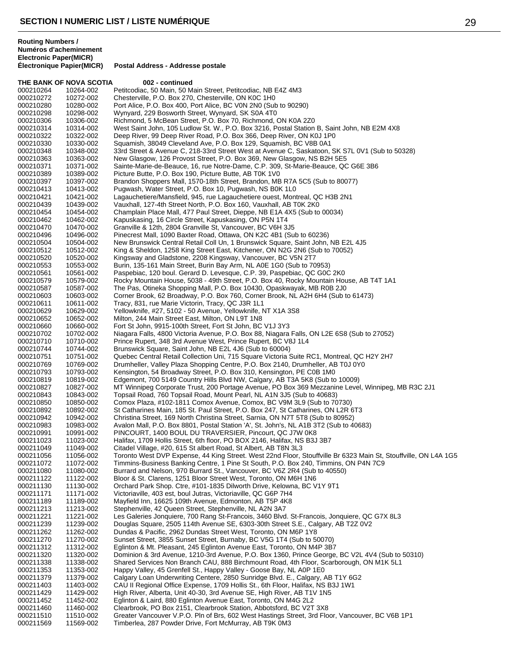| THE BANK OF NOVA SCOTIA |                        | 002 - continued                                                                                                                                                                 |
|-------------------------|------------------------|---------------------------------------------------------------------------------------------------------------------------------------------------------------------------------|
| 000210264               | 10264-002              | Petitcodiac, 50 Main, 50 Main Street, Petitcodiac, NB E4Z 4M3                                                                                                                   |
| 000210272               | 10272-002              | Chesterville, P.O. Box 270, Chesterville, ON K0C 1H0                                                                                                                            |
| 000210280               | 10280-002              | Port Alice, P.O. Box 400, Port Alice, BC V0N 2N0 (Sub to 90290)                                                                                                                 |
| 000210298<br>000210306  | 10298-002<br>10306-002 | Wynyard, 229 Bosworth Street, Wynyard, SK S0A 4T0<br>Richmond, 5 McBean Street, P.O. Box 70, Richmond, ON K0A 2Z0                                                               |
| 000210314               | 10314-002              | West Saint John, 105 Ludlow St. W., P.O. Box 3216, Postal Station B, Saint John, NB E2M 4X8                                                                                     |
| 000210322               | 10322-002              | Deep River, 99 Deep River Road, P.O. Box 366, Deep River, ON K0J 1P0                                                                                                            |
| 000210330               | 10330-002              | Squamish, 38049 Cleveland Ave, P.O. Box 129, Squamish, BC V8B 0A1                                                                                                               |
| 000210348               | 10348-002              | 33rd Street & Avenue C, 218-33rd Street West at Avenue C, Saskatoon, SK S7L 0V1 (Sub to 50328)                                                                                  |
| 000210363               | 10363-002              | New Glasgow, 126 Provost Street, P.O. Box 369, New Glasgow, NS B2H 5E5                                                                                                          |
| 000210371<br>000210389  | 10371-002<br>10389-002 | Sainte-Marie-de-Beauce, 16, rue Notre-Dame, C.P. 309, St-Marie-Beauce, QC G6E 3B6<br>Picture Butte, P.O. Box 190, Picture Butte, AB T0K 1V0                                     |
| 000210397               | 10397-002              | Brandon Shoppers Mall, 1570-18th Street, Brandon, MB R7A 5C5 (Sub to 80077)                                                                                                     |
| 000210413               | 10413-002              | Pugwash, Water Street, P.O. Box 10, Pugwash, NS B0K 1L0                                                                                                                         |
| 000210421               | 10421-002              | Lagauchetiere/Mansfield, 945, rue Lagauchetiere ouest, Montreal, QC H3B 2N1                                                                                                     |
| 000210439               | 10439-002              | Vauxhall, 127-4th Street North, P.O. Box 160, Vauxhall, AB T0K 2K0                                                                                                              |
| 000210454               | 10454-002              | Champlain Place Mall, 477 Paul Street, Dieppe, NB E1A 4X5 (Sub to 00034)                                                                                                        |
| 000210462<br>000210470  | 10462-002<br>10470-002 | Kapuskasing, 16 Circle Street, Kapuskasing, ON P5N 1T4<br>Granville & 12th, 2804 Granville St, Vancouver, BC V6H 3J5                                                            |
| 000210496               | 10496-002              | Pinecrest Mall, 1090 Baxter Road, Ottawa, ON K2C 4B1 (Sub to 60236)                                                                                                             |
| 000210504               | 10504-002              | New Brunswick Central Retail Coll Un, 1 Brunswick Square, Saint John, NB E2L 4J5                                                                                                |
| 000210512               | 10512-002              | King & Sheldon, 1258 King Street East, Kitchener, ON N2G 2N6 (Sub to 70052)                                                                                                     |
| 000210520               | 10520-002              | Kingsway and Gladstone, 2208 Kingsway, Vancouver, BC V5N 2T7                                                                                                                    |
| 000210553               | 10553-002<br>10561-002 | Burin, 135-161 Main Street, Burin Bay Arm, NL A0E 1G0 (Sub to 70953)                                                                                                            |
| 000210561<br>000210579  | 10579-002              | Paspebiac, 120 boul. Gerard D. Levesque, C.P. 39, Paspebiac, QC G0C 2K0<br>Rocky Mountain House, 5038 - 49th Street, P.O. Box 40, Rocky Mountain House, AB T4T 1A1              |
| 000210587               | 10587-002              | The Pas, Otineka Shopping Mall, P.O. Box 10430, Opaskwayak, MB R0B 2J0                                                                                                          |
| 000210603               | 10603-002              | Corner Brook, 62 Broadway, P.O. Box 760, Corner Brook, NL A2H 6H4 (Sub to 61473)                                                                                                |
| 000210611               | 10611-002              | Tracy, 831, rue Marie Victorin, Tracy, QC J3R 1L1                                                                                                                               |
| 000210629               | 10629-002              | Yellowknife, #27, 5102 - 50 Avenue, Yellowknife, NT X1A 3S8                                                                                                                     |
| 000210652<br>000210660  | 10652-002<br>10660-002 | Milton, 244 Main Street East, Milton, ON L9T 1N8<br>Fort St John, 9915-100th Street, Fort St John, BC V1J 3Y3                                                                   |
| 000210702               | 10702-002              | Niagara Falls, 4800 Victoria Avenue, P.O. Box 88, Niagara Falls, ON L2E 6S8 (Sub to 27052)                                                                                      |
| 000210710               | 10710-002              | Prince Rupert, 348 3rd Avenue West, Prince Rupert, BC V8J 1L4                                                                                                                   |
| 000210744               | 10744-002              | Brunswick Square, Saint John, NB E2L 4J6 (Sub to 60004)                                                                                                                         |
| 000210751               | 10751-002              | Quebec Central Retail Collection Uni, 715 Square Victoria Suite RC1, Montreal, QC H2Y 2H7                                                                                       |
| 000210769               | 10769-002              | Drumheller, Valley Plaza Shopping Centre, P.O. Box 2140, Drumheller, AB T0J 0Y0                                                                                                 |
| 000210793<br>000210819  | 10793-002<br>10819-002 | Kensington, 54 Broadway Street, P.O. Box 310, Kensington, PE C0B 1M0<br>Edgemont, 700 5149 Country Hills Blvd NW, Calgary, AB T3A 5K8 (Sub to 10009)                            |
| 000210827               | 10827-002              | MT Winnipeg Corporate Trust, 200 Portage Avenue, PO Box 369 Mezzanine Level, Winnipeg, MB R3C 2J1                                                                               |
| 000210843               | 10843-002              | Topsail Road, 760 Topsail Road, Mount Pearl, NL A1N 3J5 (Sub to 40683)                                                                                                          |
| 000210850               | 10850-002              | Comox Plaza, #102-1811 Comox Avenue, Comox, BC V9M 3L9 (Sub to 70730)                                                                                                           |
| 000210892               | 10892-002              | St Catharines Main, 185 St. Paul Street, P.O. Box 247, St Catharines, ON L2R 6T3                                                                                                |
| 000210942<br>000210983  | 10942-002<br>10983-002 | Christina Street, 169 North Christina Street, Sarnia, ON N7T 5T8 (Sub to 80952)<br>Avalon Mall, P.O. Box 8801, Postal Station 'A', St. John's, NL A1B 3T2 (Sub to 40683)        |
| 000210991               | 10991-002              | PINCOURT, 1400 BOUL DU TRAVERSIER, Pincourt, QC J7W 0K8                                                                                                                         |
| 000211023               | 11023-002              | Halifax, 1709 Hollis Street, 6th floor, PO BOX 2146, Halifax, NS B3J 3B7                                                                                                        |
| 000211049               | 11049-002              | Citadel Village, #20, 615 St albert Road, St Albert, AB T8N 3L3                                                                                                                 |
| 000211056               | 11056-002              | Toronto West DVP Expense, 44 King Street. West 22nd Floor, Stouffville Br 6323 Main St, Stouffville, ON L4A 1G5                                                                 |
| 000211072<br>000211080  | 11072-002<br>11080-002 | Timmins-Business Banking Centre, 1 Pine St South, P.O. Box 240, Timmins, ON P4N 7C9<br>Burrard and Nelson, 970 Burrard St., Vancouver, BC V6Z 2R4 (Sub to 40550)                |
| 000211122               | 11122-002              | Bloor & St. Clarens, 1251 Bloor Street West, Toronto, ON M6H 1N6                                                                                                                |
| 000211130               | 11130-002              | Orchard Park Shop. Ctre, #101-1835 Dilworth Drive, Kelowna, BC V1Y 9T1                                                                                                          |
| 000211171               | 11171-002              | Victoriaville, 403 est, boul Jutras, Victoriaville, QC G6P 7H4                                                                                                                  |
| 000211189               | 11189-002              | Mayfield Inn, 16625 109th Avenue, Edmonton, AB T5P 4K8                                                                                                                          |
| 000211213               | 11213-002              | Stephenville, 42 Queen Street, Stephenville, NL A2N 3A7                                                                                                                         |
| 000211221<br>000211239  | 11221-002<br>11239-002 | Les Galeries Jonquiere, 700 Rang St-Francois, 3460 Blvd. St-Francois, Jonquiere, QC G7X 8L3<br>Douglas Square, 2505 114th Avenue SE, 6303-30th Street S.E., Calgary, AB T2Z 0V2 |
| 000211262               | 11262-002              | Dundas & Pacific, 2962 Dundas Street West, Toronto, ON M6P 1Y8                                                                                                                  |
| 000211270               | 11270-002              | Sunset Street, 3855 Sunset Street, Burnaby, BC V5G 1T4 (Sub to 50070)                                                                                                           |
| 000211312               | 11312-002              | Eglinton & Mt. Pleasant, 245 Eglinton Avenue East, Toronto, ON M4P 3B7                                                                                                          |
| 000211320               | 11320-002              | Dominion & 3rd Avenue, 1210-3rd Avenue, P.O. Box 1360, Prince George, BC V2L 4V4 (Sub to 50310)                                                                                 |
| 000211338<br>000211353  | 11338-002<br>11353-002 | Shared Services Non Branch CAU, 888 Birchmount Road, 4th Floor, Scarborough, ON M1K 5L1<br>Happy Valley, 45 Grenfell St., Happy Valley - Goose Bay, NL A0P 1E0                  |
| 000211379               | 11379-002              | Calgary Loan Underwriting Centere, 2850 Sunridge Blvd. E., Calgary, AB T1Y 6G2                                                                                                  |
| 000211403               | 11403-002              | CAU II Regional Office Expense, 1709 Hollis St., 6th Floor, Halifax, NS B3J 1W1                                                                                                 |
| 000211429               | 11429-002              | High River, Alberta, Unit 40-30, 3rd Avenue SE, High River, AB T1V 1N5                                                                                                          |
| 000211452               | 11452-002              | Eglinton & Laird, 880 Eglinton Avenue East, Toronto, ON M4G 2L2                                                                                                                 |
| 000211460               | 11460-002              | Clearbrook, PO Box 2151, Clearbrook Station, Abbotsford, BC V2T 3X8                                                                                                             |
| 000211510<br>000211569  | 11510-002<br>11569-002 | Greater Vancouver V.P.O. Pln of Brs, 602 West Hastings Street, 3rd Floor, Vancouver, BC V6B 1P1<br>Timberlea, 287 Powder Drive, Fort McMurray, AB T9K 0M3                       |
|                         |                        |                                                                                                                                                                                 |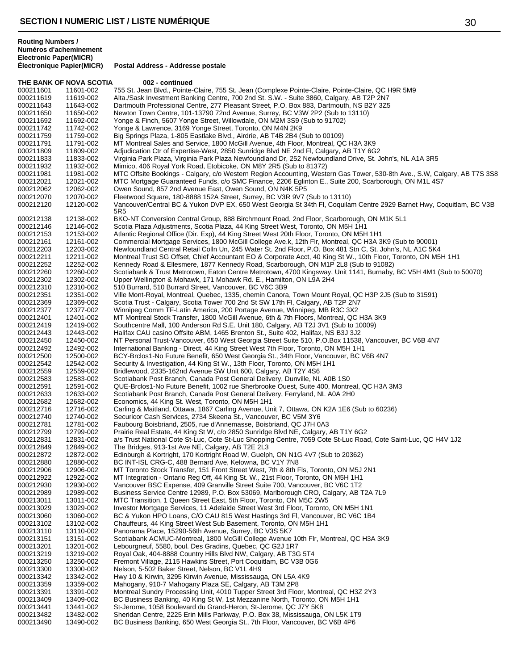**Routing Numbers / Numéros d'acheminement Electronic Paper(MICR)**

THE BANK OF NOVA SCOTIA 002 - continued 000211601 11601-002 755 St. Jean Blvd., Pointe-Claire, 755 St. Jean (Complexe Pointe-Claire, Pointe-Claire, QC H9R 5M9<br>000211619 11619-002 Alta./Sask Investment Banking Centre, 700 2nd St. S.W. - Suite 3860, Calgary, AB T2 000211619 11619-002 Alta./Sask Investment Banking Centre, 700 2nd St. S.W. - Suite 3860, Calgary, AB T2P 2N7<br>000211643 11643-002 Dartmouth Professional Centre. 277 Pleasant Street. P.O. Box 883. Dartmouth. NS B2Y 3Z5 Dartmouth Professional Centre, 277 Pleasant Street, P.O. Box 883, Dartmouth, NS B2Y 3Z5 000211650 11650-002 Newton Town Centre, 101-13790 72nd Avenue, Surrey, BC V3W 2P2 (Sub to 13110)<br>000211692 11692-002 Yonge & Finch, 5607 Yonge Street, Willowdale, ON M2M 3S9 (Sub to 91702) Yonge & Finch, 5607 Yonge Street, Willowdale, ON M2M 3S9 (Sub to 91702) 000211742 11742-002 Yonge & Lawrence, 3169 Yonge Street, Toronto, ON M4N 2K9<br>000211759 11759-002 Big Springs Plaza, 1-805 Eastlake Blvd., Airdrie, AB T4B 2B4 (\$ 11759-002 Big Springs Plaza, 1-805 Eastlake Blvd., Airdrie, AB T4B 2B4 (Sub to 00109) MT Montreal Sales and Service, 1800 McGill Avenue, 4th Floor, Montreal, QC H3A 3K9 000211809 11809-002 Adjudication Ctr of Expertise-West, 2850 Sunridge Blvd NE 2nd Fl, Calgary, AB T1Y 6G2<br>000211833 11833-002 Virginia Park Plaza, Virginia Park Plaza Newfoundland Dr, 252 Newfoundland Drive, St. J 000211833 11833-002 Virginia Park Plaza, Virginia Park Plaza Newfoundland Dr, 252 Newfoundland Drive, St. John's, NL A1A 3R5<br>000211932 11932-002 Mimico, 406 Royal York Road, Etobicoke, ON M8Y 2R5 (Sub to 81372) 11932-002 Mimico, 406 Royal York Road, Etobicoke, ON M8Y 2R5 (Sub to 81372) 000211981 11981-002 MTC Offsite Bookings - Calgary, c/o Western Region Accounting, Western Gas Tower, 530-8th Ave., S.W, Calgary, AB T7S 3S8<br>000212021 12021-002 MTC Mortgage Guaranteed Funds, c/o SMC Finance, 2206 Eglinton 000212021 12021-002 MTC Mortgage Guaranteed Funds, c/o SMC Finance, 2206 Eglinton E., Suite 200, Scarborough, ON M1L 4S7<br>000212062 12062-002 Owen Sound, 857 2nd Avenue East, Owen Sound, ON N4K 5P5 000212062 12062-002 Owen Sound, 857 2nd Avenue East, Owen Sound, ON N4K 5P5<br>000212070 12070-002 Fleetwood Square, 180-8888 152A Street, Surrey, BC V3R 9V7 ( Fleetwood Square, 180-8888 152A Street, Surrey, BC V3R 9V7 (Sub to 13110) 12120-002 Vancouver/Central BC & Yukon DVP EX, 650 West Georgia St 34th Fl, Coquilam Centre 2929 Barnet Hwy, Coquitlam, BC V3B 5R5 12138-002 BKO-NT Conversion Central Group, 888 Birchmount Road, 2nd Floor, Scarborough, ON M1K 5L1 12146-002 Scotia Plaza Adjustments, Scotia Plaza, 44 King Street West, Toronto, ON M5H 1H1 12153-002 Atlantic Regional Office (Dir. Exp), 44 King Street West 20th Floor, Toronto, ON M5H 1H1 12161-002 Commercial Mortgage Services, 1800 McGill College Ave.k, 12th Flr, Montreal, QC H3A 3K9 (Sub to 90001) 12203-002 Newfoundland Central Retail Colln Un, 245 Water St. 2nd Floor, P.O. Box 481 Stn C, St. John's, NL A1C 5K4 12211-002 Montreal Trust SG Offset, Chief Accountant EO & Corporate Acct, 40 King St W., 10th Floor, Toronto, ON M5H 1H1 12252-002 Kennedy Road & Ellesmere, 1877 Kennedy Road, Scarborough, ON M1P 2L8 (Sub to 91082) 000212260 12260-002 Scotiabank & Trust Metrotown, Eaton Centre Metrotown, 4700 Kingsway, Unit 1141, Burnaby, BC V5H 4M1 (Sub to 50070)<br>000212302 12302-002 Upper Wellington & Mohawk, 171 Mohawk Rd. E., Hamilton, ON L9A 2H4 12302-002 Upper Wellington & Mohawk, 171 Mohawk Rd. E., Hamilton, ON L9A 2H4 12310-002 510 Burrard, 510 Burrard Street, Vancouver, BC V6C 3B9 12351-002 Ville Mont-Royal, Montreal, Quebec, 1335, chemin Canora, Town Mount Royal, QC H3P 2J5 (Sub to 31591) 12369-002 Scotia Trust - Calgary, Scotia Tower 700 2nd St SW 17th Fl, Calgary, AB T2P 2N7 12377-002 Winnipeg Comm TF-Latin America, 200 Portage Avenue, Winnipeg, MB R3C 3X2 12401-002 MT Montreal Stock Transfer, 1800 McGill Avenue, 6th & 7th Floors, Montreal, QC H3A 3K9 12419-002 Southcentre Mall, 100 Anderson Rd S.E. Unit 180, Calgary, AB T2J 3V1 (Sub to 10009) 12443-002 Halifax CAU casino Offsite ABM, 1465 Brenton St., Suite 402, Halifax, NS B3J 3J2 000212450 12450-002 NT Personal Trust-Vancouver, 650 West Georgia Street Suite 510, P.O.Box 11538, Vancouver, BC V6B 4N7<br>000212492 12492-002 International Banking - Direct, 44 King Street West 7th Floor, Toronto, ON M5H 1H 12492-002 International Banking - Direct, 44 King Street West 7th Floor, Toronto, ON M5H 1H1 12500-002 BCY-Brclos1-No Future Benefit, 650 West Georgia St., 34th Floor, Vancouver, BC V6B 4N7 000212542 12542-002 Security & Investigation, 44 King St W., 13th Floor, Toronto, ON M5H 1H1<br>000212559 12559-002 Bridlewood, 2335-162nd Avenue SW Unit 600, Calgary, AB T2Y 4S6 12559-002 Bridlewood, 2335-162nd Avenue SW Unit 600, Calgary, AB T2Y 4S6 12583-002 Scotiabank Post Branch, Canada Post General Delivery, Dunville, NL A0B 1S0 12591-002 QUE-Brclos1-No Future Benefit, 1002 rue Sherbrooke Ouest, Suite 400, Montreal, QC H3A 3M3 12633-002 Scotiabank Post Branch, Canada Post General Delivery, Ferryland, NL A0A 2H0 12682-002 Economics, 44 King St. West, Toronto, ON M5H 1H1 12716-002 Carling & Maitland, Ottawa, 1867 Carling Avenue, Unit 7, Ottawa, ON K2A 1E6 (Sub to 60236) 12740-002 Securicor Cash Services, 2734 Skeena St., Vancouver, BC V5M 3Y6 12781-002 Faubourg Boisbriand, 2505, rue d'Annemasse, Boisbriand, QC J7H 0A3 12799-002 Prairie Real Estate, 44 King St W, c/o 2850 Sunridge Blvd NE, Calgary, AB T1Y 6G2 12831-002 a/s Trust National Cote St-Luc, Cote St-Luc Shopping Centre, 7059 Cote St-Luc Road, Cote Saint-Luc, QC H4V 1J2 12849-002 The Bridges, 913-1st Ave NE, Calgary, AB T2E 2L3 12872-002 Edinburgh & Kortright, 170 Kortright Road W, Guelph, ON N1G 4V7 (Sub to 20362) 12880-002 BC INT-ISL CRG-C, 488 Bernard Ave, Kelowna, BC V1Y 7N8 12906-002 MT Toronto Stock Transfer, 151 Front Street West, 7th & 8th Fls, Toronto, ON M5J 2N1 12922-002 MT Integration - Ontario Reg Off, 44 King St. W., 21st Floor, Toronto, ON M5H 1H1 12930-002 Vancouver BSC Expense, 409 Granville Street Suite 700, Vancouver, BC V6C 1T2 12989-002 Business Service Centre 12989, P.O. Box 53069, Marlborough CRO, Calgary, AB T2A 7L9 13011-002 MTC Transition, 1 Queen Street East, 5th Floor, Toronto, ON M5C 2W5 13029-002 Investor Mortgage Services, 11 Adelaide Street West 3rd Floor, Toronto, ON M5H 1N1 13060-002 BC & Yukon HPO Loans, C/O CAU 815 West Hastings 3rd Fl, Vancouver, BC V6C 1B4 13102-002 Chauffeurs, 44 King Street West Sub Basement, Toronto, ON M5H 1H1 000213110 13110-002 Panorama Place, 15290-56th Avenue, Surrey, BC V3S 5K7<br>000213151 13151-002 Scotiabank ACMUC-Montreal, 1800 McGill College Avenue Scotiabank ACMUC-Montreal, 1800 McGill College Avenue 10th Flr, Montreal, QC H3A 3K9 13201-002 Lebourgneuf, 5580, boul. Des Gradins, Quebec, QC G2J 1R7 13219-002 Royal Oak, 404-8888 Country Hills Blvd NW, Calgary, AB T3G 5T4 13250-002 Fremont Village, 2115 Hawkins Street, Port Coquitlam, BC V3B 0G6 13300-002 Nelson, 5-502 Baker Street, Nelson, BC V1L 4H9 13342-002 Hwy 10 & Kirwin, 3295 Kirwin Avenue, Mississauga, ON L5A 4K9 13359-002 Mahogany, 910-7 Mahogany Plaza SE, Calgary, AB T3M 2P8 13391-002 Montreal Sundry Processing Unit, 4010 Tupper Street 3rd Floor, Montreal, QC H3Z 2Y3 13409-002 BC Business Banking, 40 King St W, 1st Mezzanine North, Toronto, ON M5H 1H1 13441-002 St-Jerome, 1058 Boulevard du Grand-Heron, St-Jerome, QC J7Y 5K8 13482-002 Sheridan Centre, 2225 Erin Mills Parkway, P.O. Box 38, Mississauga, ON L5K 1T9 13490-002 BC Business Banking, 650 West Georgia St., 7th Floor, Vancouver, BC V6B 4P6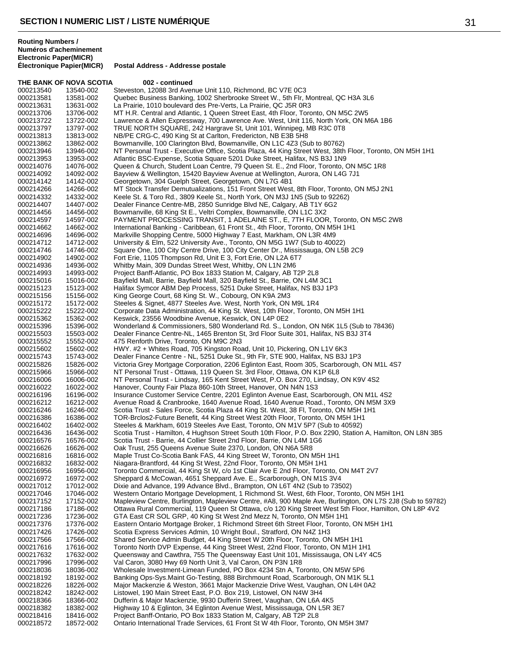**Électronique Papier(MICR) Postal Address - Addresse postale**

| THE BANK OF NOVA SCOTIA |                        | 002 - continued                                                                                                                                                                |
|-------------------------|------------------------|--------------------------------------------------------------------------------------------------------------------------------------------------------------------------------|
| 000213540               | 13540-002              | Steveston, 12088 3rd Avenue Unit 110, Richmond, BC V7E 0C3                                                                                                                     |
| 000213581<br>000213631  | 13581-002              | Quebec Business Banking, 1002 Sherbrooke Street W., 5th Flr, Montreal, QC H3A 3L6                                                                                              |
| 000213706               | 13631-002<br>13706-002 | La Prairie, 1010 boulevard des Pre-Verts, La Prairie, QC J5R 0R3<br>MT H.R. Central and Atlantic, 1 Queen Street East, 4th Floor, Toronto, ON M5C 2W5                          |
| 000213722               | 13722-002              | Lawrence & Allen Expressway, 700 Lawrence Ave. West, Unit 116, North York, ON M6A 1B6                                                                                          |
| 000213797               | 13797-002              | TRUE NORTH SQUARE, 242 Hargrave St, Unit 101, Winnipeg, MB R3C 0T8                                                                                                             |
| 000213813               | 13813-002              | NB/PE CRG-C, 490 King St at Carlton, Fredericton, NB E3B 5H8                                                                                                                   |
| 000213862               | 13862-002              | Bowmanville, 100 Clarington Blvd, Bowmanville, ON L1C 4Z3 (Sub to 80762)                                                                                                       |
| 000213946               | 13946-002              | NT Personal Trust - Executive Office, Scotia Plaza, 44 King Street West, 38th Floor, Toronto, ON M5H 1H1                                                                       |
| 000213953<br>000214076  | 13953-002<br>14076-002 | Atlantic BSC-Expense, Scotia Square 5201 Duke Street, Halifax, NS B3J 1N9<br>Queen & Church, Student Loan Centre, 79 Queen St. E., 2nd Floor, Toronto, ON M5C 1R8              |
| 000214092               | 14092-002              | Bayview & Wellington, 15420 Bayview Avenue at Wellington, Aurora, ON L4G 7J1                                                                                                   |
| 000214142               | 14142-002              | Georgetown, 304 Guelph Street, Georgetown, ON L7G 4B1                                                                                                                          |
| 000214266               | 14266-002              | MT Stock Transfer Demutualizations, 151 Front Street West, 8th Floor, Toronto, ON M5J 2N1                                                                                      |
| 000214332               | 14332-002              | Keele St. & Toro Rd., 3809 Keele St., North York, ON M3J 1N5 (Sub to 92262)                                                                                                    |
| 000214407               | 14407-002              | Dealer Finance Centre-MB, 2850 Sunridge Blvd NE, Calgary, AB T1Y 6G2                                                                                                           |
| 000214456               | 14456-002<br>14597-002 | Bowmanville, 68 King St E., Veltri Complex, Bowmanville, ON L1C 3X2                                                                                                            |
| 000214597<br>000214662  | 14662-002              | PAYMENT PROCESSING TRANSIT, 1 ADELAINE ST., E, 7TH FLOOR, Toronto, ON M5C 2W8<br>International Banking - Caribbean, 61 Front St., 4th Floor, Toronto, ON M5H 1H1               |
| 000214696               | 14696-002              | Markville Shopping Centre, 5000 Highway 7 East, Markham, ON L3R 4M9                                                                                                            |
| 000214712               | 14712-002              | University & Elm, 522 University Ave., Toronto, ON M5G 1W7 (Sub to 40022)                                                                                                      |
| 000214746               | 14746-002              | Square One, 100 City Centre Drive, 100 City Center Dr., Mississauga, ON L5B 2C9                                                                                                |
| 000214902               | 14902-002              | Fort Erie, 1105 Thompson Rd, Unit E 3, Fort Erie, ON L2A 6T7                                                                                                                   |
| 000214936               | 14936-002              | Whitby Main, 309 Dundas Street West, Whitby, ON L1N 2M6                                                                                                                        |
| 000214993               | 14993-002              | Project Banff-Atlantic, PO Box 1833 Station M, Calgary, AB T2P 2L8<br>Bayfield Mall, Barrie, Bayfield Mall, 320 Bayfield St., Barrie, ON L4M 3C1                               |
| 000215016<br>000215123  | 15016-002<br>15123-002 | Halifax Symcor ABM Dep Process, 5251 Duke Street, Halifax, NS B3J 1P3                                                                                                          |
| 000215156               | 15156-002              | King George Court, 68 King St. W., Cobourg, ON K9A 2M3                                                                                                                         |
| 000215172               | 15172-002              | Steeles & Signet, 4877 Steeles Ave. West, North York, ON M9L 1R4                                                                                                               |
| 000215222               | 15222-002              | Corporate Data Administration, 44 King St. West, 10th Floor, Toronto, ON M5H 1H1                                                                                               |
| 000215362               | 15362-002              | Keswick, 23556 Woodbine Avenue, Keswick, ON L4P 0E2                                                                                                                            |
| 000215396               | 15396-002              | Wonderland & Commissioners, 580 Wonderland Rd. S., London, ON N6K 1L5 (Sub to 78436)                                                                                           |
| 000215503               | 15503-002              | Dealer Finance Centre-NL, 1465 Brenton St, 3rd Floor Suite 301, Halifax, NS B3J 3T4<br>475 Renforth Drive, Toronto, ON M9C 2N3                                                 |
| 000215552<br>000215602  | 15552-002<br>15602-002 | HWY. #2 + Whites Road, 705 Kingston Road, Unit 10, Pickering, ON L1V 6K3                                                                                                       |
| 000215743               | 15743-002              | Dealer Finance Centre - NL, 5251 Duke St., 9th Flr, STE 900, Halifax, NS B3J 1P3                                                                                               |
| 000215826               | 15826-002              | Victoria Grey Mortgage Corporation, 2206 Eglinton East, Room 305, Scarborough, ON M1L 4S7                                                                                      |
| 000215966               | 15966-002              | NT Personal Trust - Ottawa, 119 Queen St. 3rd Floor, Ottawa, ON K1P 6L8                                                                                                        |
| 000216006               | 16006-002              | NT Personal Trust - Lindsay, 165 Kent Street West, P.O. Box 270, Lindsay, ON K9V 4S2                                                                                           |
| 000216022               | 16022-002              | Hanover, County Fair Plaza 860-10th Street, Hanover, ON N4N 1S3                                                                                                                |
| 000216196<br>000216212  | 16196-002<br>16212-002 | Insurance Customer Service Centre, 2201 Eglinton Avenue East, Scarborough, ON M1L 4S2<br>Avenue Road & Cranbrooke, 1640 Avenue Road, 1640 Avenue Road., Toronto, ON M5M 3X9    |
| 000216246               | 16246-002              | Scotia Trust - Sales Force, Scotia Plaza 44 King St. West, 38 Fl, Toronto, ON M5H 1H1                                                                                          |
| 000216386               | 16386-002              | TOR-Brclos2-Future Benefit, 44 King Street West 20th Floor, Toronto, ON M5H 1H1                                                                                                |
| 000216402               | 16402-002              | Steeles & Markham, 6019 Steeles Ave East, Toronto, ON M1V 5P7 (Sub to 40592)                                                                                                   |
| 000216436               | 16436-002              | Scotia Trust - Hamilton, 4 Hughson Street South 10th Floor, P.O. Box 2290, Station A, Hamilton, ON L8N 3B5                                                                     |
| 000216576               | 16576-002              | Scotia Trust - Barrie, 44 Collier Street 2nd Floor, Barrie, ON L4M 1G6                                                                                                         |
| 000216626<br>000216816  | 16626-002<br>16816-002 | Oak Trust, 255 Queens Avenue Suite 2370, London, ON N6A 5R8<br>Maple Trust Co-Scotia Bank FAS, 44 King Street W, Toronto, ON M5H 1H1                                           |
| 000216832               | 16832-002              | Niagara-Brantford, 44 King St West, 22nd Floor, Toronto, ON M5H 1H1                                                                                                            |
| 000216956               | 16956-002              | Toronto Commercial, 44 King St W, c/o 1st Clair Ave E 2nd Floor, Toronto, ON M4T 2V7                                                                                           |
| 000216972               | 16972-002              | Sheppard & McCowan, 4651 Sheppard Ave. E., Scarborough, ON M1S 3V4                                                                                                             |
| 000217012               | 17012-002              | Dixie and Advance, 199 Advance Blvd., Brampton, ON L6T 4N2 (Sub to 73502)                                                                                                      |
| 000217046               | 17046-002              | Western Ontario Mortgage Development, 1 Richmond St. West, 6th Floor, Toronto, ON M5H 1H1                                                                                      |
| 000217152               | 17152-002              | Mapleview Centre, Burlington, Mapleview Centre, #A8, 900 Maple Ave, Burlington, ON L7S 2J8 (Sub to 59782)                                                                      |
| 000217186<br>000217236  | 17186-002<br>17236-002 | Ottawa Rural Commercial, 119 Queen St Ottawa, c/o 120 King Street West 5th Floor, Hamilton, ON L8P 4V2<br>GTA East CR SOL GRP, 40 King St West 2nd Mezz N, Toronto, ON M5H 1H1 |
| 000217376               | 17376-002              | Eastern Ontario Mortgage Broker, 1 Richmond Street 6th Street Floor, Toronto, ON M5H 1H1                                                                                       |
| 000217426               | 17426-002              | Scotia Express Services Admin, 10 Wright Boul., Stratford, ON N4Z 1H3                                                                                                          |
| 000217566               | 17566-002              | Shared Service Admin Budget, 44 King Street W 20th Floor, Toronto, ON M5H 1H1                                                                                                  |
| 000217616               | 17616-002              | Toronto North DVP Expense, 44 King Street West, 22nd Floor, Toronto, ON M1H 1H1                                                                                                |
| 000217632               | 17632-002              | Queensway and Cawthra, 755 The Queensway East Unit 101, Mississauga, ON L4Y 4C5                                                                                                |
| 000217996<br>000218036  | 17996-002<br>18036-002 | Val Caron, 3080 Hwy 69 North Unit 3, Val Caron, ON P3N 1R8<br>Wholesale Investment-Limean Funded, PO Box 4234 Stn A, Toronto, ON M5W 5P6                                       |
| 000218192               | 18192-002              | Banking Ops-Sys. Maint Go-Testing, 888 Birchmount Road, Scarborough, ON M1K 5L1                                                                                                |
| 000218226               | 18226-002              | Major Mackenzie & Weston, 3661 Major Mackenzie Drive West, Vaughan, ON L4H 0A2                                                                                                 |
| 000218242               | 18242-002              | Listowel, 190 Main Street East, P.O. Box 219, Listowel, ON N4W 3H4                                                                                                             |
| 000218366               | 18366-002              | Dufferin & Major Mackenzie, 9930 Dufferin Street, Vaughan, ON L6A 4K5                                                                                                          |
| 000218382               | 18382-002              | Highway 10 & Eglinton, 34 Eglinton Avenue West, Mississauga, ON L5R 3E7                                                                                                        |
| 000218416               | 18416-002              | Project Banff-Ontario, PO Box 1833 Station M, Calgary, AB T2P 2L8                                                                                                              |
| 000218572               | 18572-002              | Ontario International Trade Services, 61 Front St W 4th Floor, Toronto, ON M5H 3M7                                                                                             |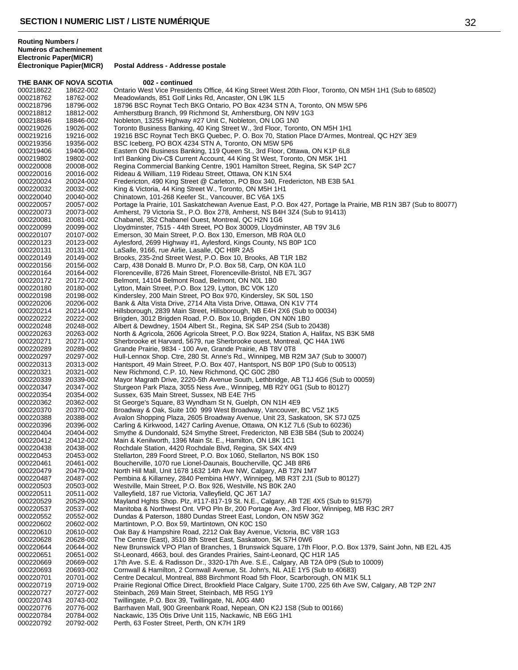**THE BANK OF NOVA SCOTIA 002 - continued** 000218622 18622-002 Ontario West Vice Presidents Office, 44 King Street West 20th Floor, Toronto, ON M5H 1H1 (Sub to 68502)<br>000218762 18762-002 Meadowlands, 851 Golf Links Rd, Ancaster, ON L9K 1L5 000218762 18762-002 Meadowlands, 851 Golf Links Rd, Ancaster, ON L9K 1L5<br>000218796 18796-002 18796 BSC Rovnat Tech BKG Ontario. PO Box 4234 STN 18796 BSC Roynat Tech BKG Ontario, PO Box 4234 STN A, Toronto, ON M5W 5P6 000218812 18812-002 Amherstburg Branch, 99 Richmond St, Amherstburg, ON N9V 1G3<br>000218846 18846-002 Nobleton, 13255 Highway #27 Unit C, Nobleton, ON L0G 1N0 Nobleton, 13255 Highway #27 Unit C, Nobleton, ON L0G 1N0 000219026 19026-002 Toronto Business Banking, 40 King Street W., 3rd Floor, Toronto, ON M5H 1H1<br>000219216 19216-002 19216 BSC Roynat Tech BKG Quebec, P. O. Box 70, Station Place D'Armes, M 000219216 19216-002 19216 BSC Roynat Tech BKG Quebec, P. O. Box 70, Station Place D'Armes, Montreal, QC H2Y 3E9<br>000219356 19356-002 BSC Iceberg, PO BOX 4234 STN A. Toronto, ON M5W 5P6 BSC Iceberg, PO BOX 4234 STN A, Toronto, ON M5W 5P6 000219406 19406-002 Eastern ON Business Banking, 119 Queen St., 3rd Floor, Ottawa, ON K1P 6L8<br>000219802 19802-002 Int'l Banking Div-C\$ Current Account, 44 King St West, Toronto, ON M5K 1H1 000219802 19802-002 Int'l Banking Div-C\$ Current Account, 44 King St West, Toronto, ON M5K 1H1<br>000220008 20008-002 Regina Commercial Banking Centre, 1901 Hamilton Street, Regina, SK S4P 2 000220008 20008-002 Regina Commercial Banking Centre, 1901 Hamilton Street, Regina, SK S4P 2C7<br>000220016 20016-002 Rideau & William, 119 Rideau Street, Ottawa, ON K1N 5X4 000220016 20016-002 Rideau & William, 119 Rideau Street, Ottawa, ON K1N 5X4<br>000220024 20024-002 Fredericton, 490 King Street @ Carleton, PO Box 340, Fred 000220024 20024-002 Fredericton, 490 King Street @ Carleton, PO Box 340, Fredericton, NB E3B 5A1<br>000220032 20032-002 King & Victoria, 44 King Street W., Toronto, ON M5H 1H1 000220032 20032-002 King & Victoria, 44 King Street W., Toronto, ON M5H 1H1 Chinatown, 101-268 Keefer St., Vancouver, BC V6A 1X5 000220057 20057-002 Portage la Prairie, 101 Saskatchewan Avenue East, P.O. Box 427, Portage la Prairie, MB R1N 3B7 (Sub to 80077)<br>000220073 20073-002 Amherst, 79 Victoria St., P.O. Box 278, Amherst, NS B4H 3Z4 (Sub to 9141 20073-002 Amherst, 79 Victoria St., P.O. Box 278, Amherst, NS B4H 3Z4 (Sub to 91413)<br>20081-002 Chabanel, 352 Chabanel Quest, Montreal, OC H2N 1G6 000220081 20081-002 Chabanel, 352 Chabanel Ouest, Montreal, QC H2N 1G6 000220099 20099-002 Lloydminster, 7515 - 44th Street, PO Box 30009, Lloydminster, AB T9V 3L6<br>000220107 20107-002 Emerson. 30 Main Street. P.O. Box 130. Emerson. MB R0A 0L0 Emerson, 30 Main Street, P.O. Box 130, Emerson, MB R0A 0L0 000220123 20123-002 Aylesford, 2699 Highway #1, Aylesford, Kings County, NS B0P 1C0<br>000220131 20131-002 LaSalle, 9166, rue Airlie, Lasalle, QC H8R 2A5 000220131 20131-002 LaSalle, 9166, rue Airlie, Lasalle, QC H8R 2A5 000220149 20149-002 Brooks, 235-2nd Street West, P.O. Box 10, Brooks, AB T1R 1B2 000220156 20156-002 Carp, 438 Donald B. Munro Dr, P.O. Box 58, Carp, ON K0A 1L0 Florenceville, 8726 Main Street, Florenceville-Bristol, NB E7L 3G7 000220172 20172-002 Belmont, 14104 Belmont Road, Belmont, ON N0L 1B0 Lytton, Main Street, P.O. Box 129, Lytton, BC V0K 1Z0 000220198 20198-002 Kindersley, 200 Main Street, PO Box 970, Kindersley, SK S0L 1S0<br>000220206 20206-002 Bank & Alta Vista Drive, 2714 Alta Vista Drive, Ottawa, ON K1V 7T 000220206 20206-002 Bank & Alta Vista Drive, 2714 Alta Vista Drive, Ottawa, ON K1V 7T4 Hillsborough, 2839 Main Street, Hillsborough, NB E4H 2X6 (Sub to 00034) 000220222 20222-002 Brigden, 3012 Brigden Road, P.O. Box 10, Brigden, ON N0N 1B0<br>000220248 20248-002 Albert & Dewdney, 1504 Albert St., Regina, SK S4P 2S4 (Sub to 2 000220248 20248-002 Albert & Dewdney, 1504 Albert St., Regina, SK S4P 2S4 (Sub to 20438) 000220263 20263-002 North & Agricola, 2606 Agricola Street, P.O. Box 9224, Station A, Halifax, NS B3K 5M8<br>000220271 20271-002 Sherbrooke et Harvard, 5679, rue Sherbrooke ouest, Montreal, QC H4A 1W6 000220271 20271-002 Sherbrooke et Harvard, 5679, rue Sherbrooke ouest, Montreal, QC H4A 1W6<br>000220289 20289-002 Grande Prairie, 9834 - 100 Ave, Grande Prairie, AB T8V 0T8 000220289 20289-002 Grande Prairie, 9834 - 100 Ave, Grande Prairie, AB T8V 0T8 000220297 20297-002 Hull-Lennox Shop. Ctre, 280 St. Anne's Rd., Winnipeg, MB R2M 3A7 (Sub to 30007)<br>000220313 20313-002 Hantsport, 49 Main Street, P.O. Box 407, Hantsport, NS B0P 1P0 (Sub to 00513) 000220313 20313-002 Hantsport, 49 Main Street, P.O. Box 407, Hantsport, NS B0P 1P0 (Sub to 00513)<br>000220321 20321-002 New Richmond, C.P. 10, New Richmond, QC G0C 2B0 000220321 20321-002 New Richmond, C.P. 10, New Richmond, QC G0C 2B0 000220339 20339-002 Mayor Magrath Drive, 2220-5th Avenue South, Lethbridge, AB T1J 4G6 (Sub to 00059)<br>000220347 20347-002 Sturgeon Park Plaza, 3055 Ness Ave., Winnipeg, MB R2Y 0G1 (Sub to 80127) 000220347 20347-002 Sturgeon Park Plaza, 3055 Ness Ave., Winnipeg, MB R2Y 0G1 (Sub to 80127) 000220354 20354-002 Sussex, 635 Main Street, Sussex, NB E4E 7H5 St George's Square, 83 Wyndham St N, Guelph, ON N1H 4E9 000220370 20370-002 Broadway & Oak, Suite 100 999 West Broadway, Vancouver, BC V5Z 1K5<br>000220388 20388-002 Avalon Shopping Plaza, 2605 Broadway Avenue, Unit 23, Saskatoon, SK S Avalon Shopping Plaza, 2605 Broadway Avenue, Unit 23, Saskatoon, SK S7J 0Z5 000220396 20396-002 Carling & Kirkwood, 1427 Carling Avenue, Ottawa, ON K1Z 7L6 (Sub to 60236) 000220404 20404-002 Smythe & Dundonald, 524 Smythe Street, Fredericton, NB E3B 5B4 (Sub to 20024)<br>000220412 20412-002 Main & Kenilworth. 1396 Main St. E.. Hamilton. ON L8K 1C1 Main & Kenilworth, 1396 Main St. E., Hamilton, ON L8K 1C1 000220438 20438-002 Rochdale Station, 4420 Rochdale Blvd, Regina, SK S4X 4N9 Stellarton, 289 Foord Street, P.O. Box 1060, Stellarton, NS B0K 1S0 000220461 20461-002 Boucherville, 1070 rue Lionel-Daunais, Boucherville, QC J4B 8R6<br>000220479 20479-002 North Hill Mall, Unit 1678 1632 14th Ave NW, Calgary, AB T2N 1M 000220479 20479-002 North Hill Mall, Unit 1678 1632 14th Ave NW, Calgary, AB T2N 1M7<br>000220487 20487-002 Pembina & Killarnev, 2840 Pembina HWY, Winnipeg, MB R3T 2J1 ( Pembina & Killarney, 2840 Pembina HWY, Winnipeg, MB R3T 2J1 (Sub to 80127) 000220503 20503-002 Westville, Main Street, P.O. Box 926, Westville, NS B0K 2A0<br>000220511 20511-002 Valleyfield, 187 rue Victoria, Valleyfield, QC J6T 1A7 000220511 20511-002 Valleyfield, 187 rue Victoria, Valleyfield, QC J6T 1A7<br>000220529 20529-002 Mayland Hohts Shop, Plz. #117-817-19 St. N.E., Calc 000220529 20529-002 Mayland Hghts Shop. Plz, #117-817-19 St. N.E., Calgary, AB T2E 4X5 (Sub to 91579) 000220537 20537-002 Manitoba & Northwest Ont. VPO Pln Br, 200 Portage Ave., 3rd Floor, Winnipeg, MB R3C 2R7<br>000220552 20552-002 Dundas & Paterson, 1880 Dundas Street Fast, London, ON N5W 3G2 000220552 20552-002 Dundas & Paterson, 1880 Dundas Street East, London, ON N5W 3G2 000220602 20602-002 Martintown, P.O. Box 59, Martintown, ON K0C 1S0<br>000220610 20610-002 Oak Bay & Hampshire Road, 2212 Oak Bay Avenue Oak Bay & Hampshire Road, 2212 Oak Bay Avenue, Victoria, BC V8R 1G3 000220628 20628-002 The Centre (East), 3510 8th Street East, Saskatoon, SK S7H 0W6<br>000220644 20644-002 New Brunswick VPO Plan of Branches, 1 Brunswick Square, 17th New Brunswick VPO Plan of Branches, 1 Brunswick Square, 17th Floor, P.O. Box 1379, Saint John, NB E2L 4J5 000220651 20651-002 St-Leonard, 4663, boul. des Grandes Prairies, Saint-Leonard, QC H1R 1A5 000220669 20669-002 17th Ave. S.E. & Radisson Dr., 3320-17th Ave. S.E., Calgary, AB T2A 0P9 (Sub to 10009)<br>000220693 20693-002 Cornwall & Hamilton. 2 Cornwall Avenue. St. John's. NL A1E 1Y5 (Sub to 40683) Cornwall & Hamilton, 2 Cornwall Avenue, St. John's, NL A1E 1Y5 (Sub to 40683) 000220701 20701-002 Centre Decalcul, Montreal, 888 Birchmont Road 5th Floor, Scarborough, ON M1K 5L1<br>000220719 20719-002 Prairie Regional Office Direct, Brookfield Place Calgary, Suite 1700, 225 6th Ave SW, 20719-002 Prairie Regional Office Direct, Brookfield Place Calgary, Suite 1700, 225 6th Ave SW, Calgary, AB T2P 2N7<br>20727-002 Steinbach. 269 Main Street. Steinbach. MB R5G 1Y9 000220727 20727-002 Steinbach, 269 Main Street, Steinbach, MB R5G 1Y9<br>000220743 20743-002 Twillingate, P.O. Box 39, Twillingate, NL A0G 4M0 000220743 20743-002 Twillingate, P.O. Box 39, Twillingate, NL A0G 4M0<br>000220776 20776-002 Barrhaven Mall. 900 Greenbank Road. Nepean. Ol Barrhaven Mall, 900 Greenbank Road, Nepean, ON K2J 1S8 (Sub to 00166) 000220784 20784-002 Nackawic, 135 Otis Drive Unit 115, Nackawic, NB E6G 1H1<br>000220792 20792-002 Perth, 63 Foster Street, Perth, ON K7H 1R9 Perth, 63 Foster Street, Perth, ON K7H 1R9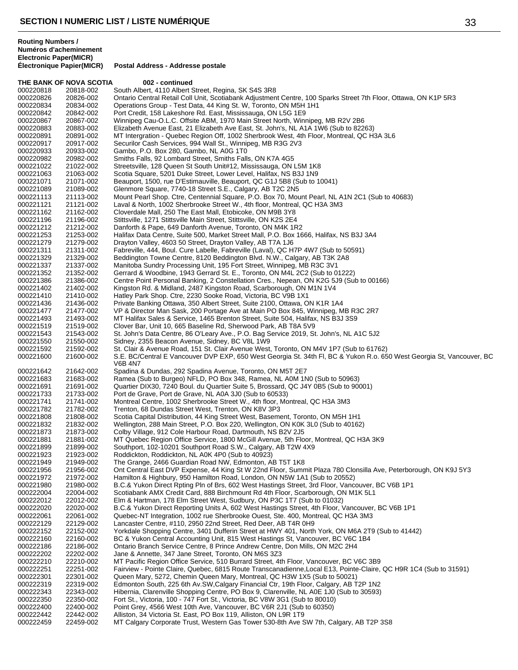THE BANK OF NOVA SCOTIA 002 - continued 000220818 20818-002 South Albert, 4110 Albert Street, Regina, SK S4S 3R8<br>000220826 20826-002 Ontario Central Retail Coll Unit, Scotiabank Adjustmen 000220826 20826-002 Ontario Central Retail Coll Unit, Scotiabank Adjustment Centre, 100 Sparks Street 7th Floor, Ottawa, ON K1P 5R3<br>000220834 20834-002 Operations Group - Test Data. 44 King St. W. Toronto. ON M5H 1H1 Operations Group - Test Data, 44 King St. W, Toronto, ON M5H 1H1 000220842 20842-002 Port Credit, 158 Lakeshore Rd. East, Mississauga, ON L5G 1E9 000220867 20867-002 Winnipeg Cau-O.L.C. Offsite ABM, 1970 Main Street North, Winnipeg, MB R2V 2B6<br>000220883 20883-002 Elizabeth Avenue East, 21 Elizabeth Ave East, St. John's, NL A1A 1W6 (Sub to 822 000220883 20883-002 Elizabeth Avenue East, 21 Elizabeth Ave East, St. John's, NL A1A 1W6 (Sub to 82263)<br>000220891 20891-002 MT Intergration - Quebec Region Off, 1002 Sherbrook West, 4th Floor, Montreal, QC H 000220891 20891-002 MT Intergration - Quebec Region Off, 1002 Sherbrook West, 4th Floor, Montreal, QC H3A 3L6<br>000220917 20917-002 Securilor Cash Services. 994 Wall St., Winnipeg. MB R3G 2V3 Securilor Cash Services, 994 Wall St., Winnipeg, MB R3G 2V3 000220933 20933-002 Gambo, P.O. Box 280, Gambo, NL A0G 1T0 000220982 20982-002 Smiths Falls, 92 Lombard Street, Smiths Falls, ON K7A 4G5<br>000221022 21022-002 Streetsville, 128 Queen St South Unit#12, Mississauga, ON I 000221022 21022-002 Streetsville, 128 Queen St South Unit#12, Mississauga, ON L5M 1K8<br>000221063 21063-002 Scotia Square, 5201 Duke Street, Lower Level, Halifax, NS B3J 1N9 000221063 21063-002 Scotia Square, 5201 Duke Street, Lower Level, Halifax, NS B3J 1N9<br>000221071 21071-002 Beauport, 1500, rue D'Estimauville, Beauport, QC G1J 5B8 (Sub to 1 000221071 21071-002 Beauport, 1500, rue D'Estimauville, Beauport, QC G1J 5B8 (Sub to 10041)<br>000221089 21089-002 Glenmore Square, 7740-18 Street S.E., Calgary, AB T2C 2N5 000221089 21089-002 Glenmore Square, 7740-18 Street S.E., Calgary, AB T2C 2N5<br>000221113 21113-002 Mount Pearl Shop. Ctre, Centennial Square, P.O. Box 70, Mou Mount Pearl Shop. Ctre, Centennial Square, P.O. Box 70, Mount Pearl, NL A1N 2C1 (Sub to 40683) 000221121 21121-002 Laval & North, 1002 Sherbrooke Street W., 4th floor, Montreal, QC H3A 3M3<br>000221162 21162-002 Cloverdale Mall, 250 The East Mall, Etobicoke, ON M9B 3Y8 21162-002 Cloverdale Mall, 250 The East Mall, Etobicoke, ON M9B 3Y8<br>21196-002 Stittsville, 1271 Stittsville Main Street, Stittsville, ON K2S 2E4 000221196 21196-002 Stittsville, 1271 Stittsville Main Street, Stittsville, ON K2S 2E4<br>000221212 21212-002 Danforth & Pape, 649 Danforth Avenue, Toronto, ON M4K 1R 000221212 21212-002 Danforth & Pape, 649 Danforth Avenue, Toronto, ON M4K 1R2<br>000221253 21253-002 Halifax Data Centre, Suite 500, Market Street Mall, P.O. Box 16 Halifax Data Centre, Suite 500, Market Street Mall, P.O. Box 1666, Halifax, NS B3J 3A4 000221279 21279-002 Drayton Valley, 4603 50 Street, Drayton Valley, AB T7A 1J6<br>000221311 21311-002 Fabreville, 444, Boul. Cure Labelle, Fabreville (Laval), QC H 000221311 21311-002 Fabreville, 444, Boul. Cure Labelle, Fabreville (Laval), QC H7P 4W7 (Sub to 50591)<br>000221329 21329-002 Beddington Towne Centre, 8120 Beddington Blvd, N.W., Calgary, AB T3K 2A8 000221329 21329-002 Beddington Towne Centre, 8120 Beddington Blvd. N.W., Calgary, AB T3K 2A8<br>000221337 21337-002 Manitoba Sundry Processing Unit, 195 Fort Street, Winnipeg, MB R3C 3V1 000221337 21337-002 Manitoba Sundry Processing Unit, 195 Fort Street, Winnipeg, MB R3C 3V1 Gerrard & Woodbine, 1943 Gerrard St. E., Toronto, ON M4L 2C2 (Sub to 01222) 000221386 21386-002 Centre Point Personal Banking, 2 Constellation Cres., Nepean, ON K2G 5J9 (Sub to 00166)<br>000221402 21402-002 Kingston Rd. & Midland, 2487 Kingston Road, Scarborough, ON M1N 1V4 Kingston Rd. & Midland, 2487 Kingston Road, Scarborough, ON M1N 1V4 000221410 21410-002 Hatley Park Shop. Ctre, 2230 Sooke Road, Victoria, BC V9B 1X1 000221436 21436-002 Private Banking Ottawa, 350 Albert Street, Suite 2100, Ottawa, ON K1R 1A4<br>000221477 21477-002 VP & Director Man Sask. 200 Portage Ave at Main PO Box 845. Winnipeg. M VP & Director Man Sask, 200 Portage Ave at Main PO Box 845, Winnipeg, MB R3C 2R7 000221493 21493-002 MT Halifax Sales & Service, 1465 Brenton Street, Suite 504, Halifax, NS B3J 3S9<br>000221519 21519-002 Clover Bar, Unit 10, 665 Baseline Rd, Sherwood Park, AB T8A 5V9 21519-002 Clover Bar, Unit 10, 665 Baseline Rd, Sherwood Park, AB T8A 5V9<br>21543-002 St. John's Data Centre, 86 O'Leary Ave., P.O. Bag Service 2019, St 000221543 21543-002 St. John's Data Centre, 86 O'Leary Ave., P.O. Bag Service 2019, St. John's, NL A1C 5J2<br>000221550 21550-002 Sidney, 2355 Beacon Avenue, Sidney, BC V8L 1W9 000221550 21550-002 Sidney, 2355 Beacon Avenue, Sidney, BC V8L 1W9 000221592 21592-002 St. Clair & Avenue Road, 151 St. Clair Avenue West, Toronto, ON M4V 1P7 (Sub to 61762)<br>000221600 21600-002 S.E. BC/Central E Vancouver DVP EXP, 650 West Georgia St. 34th Fl, BC & Yukon R.o. 65 S.E. BC/Central E Vancouver DVP EXP, 650 West Georgia St. 34th Fl, BC & Yukon R.o. 650 West Georgia St, Vancouver, BC V6B 4N7 000221642 21642-002 Spadina & Dundas, 292 Spadina Avenue, Toronto, ON M5T 2E7 000221683 21683-002 Ramea (Sub to Burgeo) NFLD, PO Box 348, Ramea, NL A0M 1N0 (Sub to 50963) 000221691 21691-002 Quartier DIX30, 7240 Boul. du Quartier Suite 5, Brossard, QC J4Y 0B5 (Sub to 90001) 000221733 21733-002 Port de Grave, Port de Grave, NL A0A 3J0 (Sub to 60533) 000221741 21741-002 Montreal Centre, 1002 Sherbrooke Street W., 4th floor, Montreal, QC H3A 3M3<br>000221782 21782-002 Trenton, 68 Dundas Street West, Trenton, ON K8V 3P3 21782-002 Trenton, 68 Dundas Street West, Trenton, ON K8V 3P3 000221808 21808-002 Scotia Capital Distribution, 44 King Street West, Basement, Toronto, ON M5H 1H1 000221832 21832-002 Wellington, 288 Main Street, P.O. Box 220, Wellington, ON K0K 3L0 (Sub to 40162) 000221873 21873-002 Colby Village, 912 Cole Harbour Road, Dartmouth, NS B2V 2J5 000221881 21881-002 MT Quebec Region Office Service, 1800 McGill Avenue, 5th Floor, Montreal, QC H3A 3K9 000221899 21899-002 Southport, 102-10201 Southport Road S.W., Calgary, AB T2W 4X9 000221923 21923-002 Roddickton, Roddickton, NL A0K 4P0 (Sub to 40923) 000221949 21949-002 The Grange, 2466 Guardian Road NW, Edmonton, AB T5T 1K8 000221956 21956-002 Ont Central East DVP Expense, 44 King St W 22nd Floor, Summit Plaza 780 Clonsilla Ave, Peterborough, ON K9J 5Y3 000221972 21972-002 Hamilton & Highbury, 950 Hamilton Road, London, ON N5W 1A1 (Sub to 20552) 000221980 21980-002 B.C.& Yukon Direct Rpting Pln of Brs, 602 West Hastings Street, 3rd Floor, Vancouver, BC V6B 1P1 000222004 22004-002 Scotiabank AMX Credit Card, 888 Birchmount Rd 4th Floor, Scarborough, ON M1K 5L1 000222012 22012-002 Elm & Hartman, 178 Elm Street West, Sudbury, ON P3C 1T7 (Sub to 01032) 000222020 22020-002 B.C.& Yukon Direct Reporting Units A, 602 West Hastings Street, 4th Floor, Vancouver, BC V6B 1P1<br>000222061 22061-002 Quebec-NT Integration, 1002 rue Sherbrooke Ouest, Ste. 400, Montreal, QC H3A 3M3 22061-002 Quebec-NT Integration, 1002 rue Sherbrooke Ouest, Ste. 400, Montreal, QC H3A 3M3 000222129 22129-002 Lancaster Centre, #110, 2950 22nd Street, Red Deer, AB T4R 0H9 000222152 22152-002 Yorkdale Shopping Centre, 3401 Dufferin Street at HWY 401, North York, ON M6A 2T9 (Sub to 41442)<br>000222160 22160-002 BC & Yukon Central Accounting Unit, 815 West Hastings St, Vancouver, BC V6C 1B4 22160-002 BC & Yukon Central Accounting Unit, 815 West Hastings St, Vancouver, BC V6C 1B4 000222186 22186-002 Ontario Branch Service Centre, 8 Prince Andrew Centre, Don Mills, ON M2C 2H4 000222202 22202-002 Jane & Annette, 347 Jane Street, Toronto, ON M6S 3Z3 000222210 22210-002 MT Pacific Region Office Service, 510 Burrard Street, 4th Floor, Vancouver, BC V6C 3B9 000222251 22251-002 Fairview - Pointe Claire, Quebec, 6815 Route Transcanadienne,Local E13, Pointe-Claire, QC H9R 1C4 (Sub to 31591) 000222301 22301-002 Queen Mary, 5272, Chemin Queen Mary, Montreal, QC H3W 1X5 (Sub to 50021) 000222319 22319-002 Edmonton South, 225 6th Av.SW,Calgary Financial Ctr, 19th Floor, Calgary, AB T2P 1N2 000222343 22343-002 Hibernia, Clarenville Shopping Centre, PO Box 9, Clarenville, NL A0E 1J0 (Sub to 30593) 000222350 22350-002 Fort St., Victoria, 100 - 747 Fort St., Victoria, BC V8W 3G1 (Sub to 80010) 000222400 22400-002 Point Grey, 4566 West 10th Ave, Vancouver, BC V6R 2J1 (Sub to 60350) 000222442 22442-002 Alliston, 34 Victoria St. East, PO Box 119, Alliston, ON L9R 1T9 000222459 22459-002 MT Calgary Corporate Trust, Western Gas Tower 530-8th Ave SW 7th, Calgary, AB T2P 3S8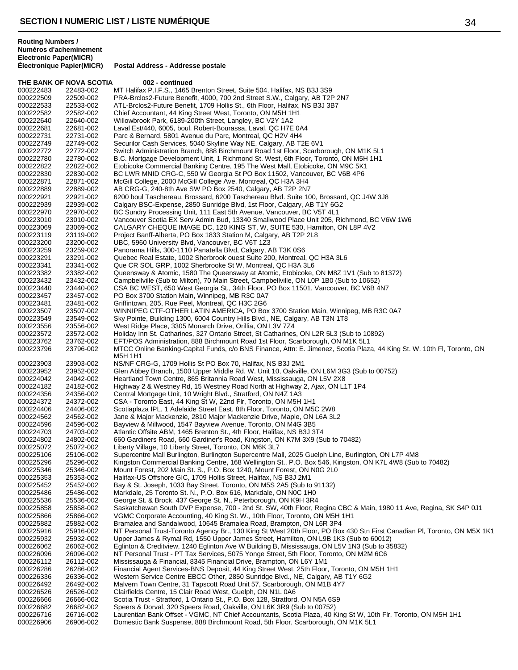|                        | THE BANK OF NOVA SCOTIA | 002 - continued                                                                                                                                                                                                  |
|------------------------|-------------------------|------------------------------------------------------------------------------------------------------------------------------------------------------------------------------------------------------------------|
| 000222483              | 22483-002               | MT Halifax P.I.F.S., 1465 Brenton Street, Suite 504, Halifax, NS B3J 3S9                                                                                                                                         |
| 000222509              | 22509-002               | PRA-Brclos2-Future Benefit, 4000, 700 2nd Street S.W., Calgary, AB T2P 2N7                                                                                                                                       |
| 000222533              | 22533-002               | ATL-Brclos2-Future Benefit, 1709 Hollis St., 6th Floor, Halifax, NS B3J 3B7                                                                                                                                      |
| 000222582              | 22582-002               | Chief Accountant, 44 King Street West, Toronto, ON M5H 1H1                                                                                                                                                       |
| 000222640<br>000222681 | 22640-002<br>22681-002  | Willowbrook Park, 6189-200th Street, Langley, BC V2Y 1A2<br>Laval Est/440, 6005, boul. Robert-Bourassa, Laval, QC H7E 0A4                                                                                        |
| 000222731              | 22731-002               | Parc & Bernard, 5801 Avenue du Parc, Montreal, QC H2V 4H4                                                                                                                                                        |
| 000222749              | 22749-002               | Securilor Cash Services, 5040 Skyline Way NE, Calgary, AB T2E 6V1                                                                                                                                                |
| 000222772              | 22772-002               | Switch Administration Branch, 888 Birchmount Road 1st Floor, Scarborough, ON M1K 5L1                                                                                                                             |
| 000222780              | 22780-002               | B.C. Mortgage Development Unit, 1 Richmond St. West, 6th Floor, Toronto, ON M5H 1H1                                                                                                                              |
| 000222822              | 22822-002               | Etobicoke Commercial Banking Centre, 195 The West Mall, Etobicoke, ON M9C 5K1                                                                                                                                    |
| 000222830              | 22830-002               | BC LWR MNID CRG-C, 550 W Georgia St PO Box 11502, Vancouver, BC V6B 4P6                                                                                                                                          |
| 000222871              | 22871-002               | McGill College, 2000 McGill College Ave, Montreal, QC H3A 3H4                                                                                                                                                    |
| 000222889              | 22889-002               | AB CRG-G, 240-8th Ave SW PO Box 2540, Calgary, AB T2P 2N7                                                                                                                                                        |
| 000222921<br>000222939 | 22921-002<br>22939-002  | 6200 boul Taschereau, Brossard, 6200 Taschereau Blvd. Suite 100, Brossard, QC J4W 3J8<br>Calgary BSC-Expense, 2850 Sunridge Blvd, 1st Floor, Calgary, AB T1Y 6G2                                                 |
| 000222970              | 22970-002               | BC Sundry Processing Unit, 111 East 5th Avenue, Vancouver, BC V5T 4L1                                                                                                                                            |
| 000223010              | 23010-002               | Vancouver Scotia EX Serv Admin Bud, 13340 Smallwood Place Unit 205, Richmond, BC V6W 1W6                                                                                                                         |
| 000223069              | 23069-002               | CALGARY CHEQUE IMAGE DC, 120 KING ST, W, SUITE 530, Hamilton, ON L8P 4V2                                                                                                                                         |
| 000223119              | 23119-002               | Project Banff-Alberta, PO Box 1833 Station M, Calgary, AB T2P 2L8                                                                                                                                                |
| 000223200              | 23200-002               | UBC, 5960 University Blvd, Vancouver, BC V6T 1Z3                                                                                                                                                                 |
| 000223259              | 23259-002               | Panorama Hills, 300-1110 Panatella Blvd, Calgary, AB T3K 0S6                                                                                                                                                     |
| 000223291              | 23291-002               | Quebec Real Estate, 1002 Sherbrook ouest Suite 200, Montreal, QC H3A 3L6                                                                                                                                         |
| 000223341              | 23341-002               | Que CR SOL GRP, 1002 Sherbrooke St W, Montreal, QC H3A 3L6<br>Queensway & Atomic, 1580 The Queensway at Atomic, Etobicoke, ON M8Z 1V1 (Sub to 81372)                                                             |
| 000223382<br>000223432 | 23382-002<br>23432-002  | Campbellville (Sub to Milton), 70 Main Street, Campbellville, ON L0P 1B0 (Sub to 10652)                                                                                                                          |
| 000223440              | 23440-002               | CSA BC WEST, 650 West Georgia St., 34th Floor, PO Box 11501, Vancouver, BC V6B 4N7                                                                                                                               |
| 000223457              | 23457-002               | PO Box 3700 Station Main, Winnipeg, MB R3C 0A7                                                                                                                                                                   |
| 000223481              | 23481-002               | Griffintown, 205, Rue Peel, Montreal, QC H3C 2G6                                                                                                                                                                 |
| 000223507              | 23507-002               | WINNIPEG CTF-OTHER LATIN AMERICA, PO Box 3700 Station Main, Winnipeg, MB R3C 0A7                                                                                                                                 |
| 000223549              | 23549-002               | Sky Pointe, Building 1300, 6004 Country Hills Blvd., NE, Calgary, AB T3N 1T8                                                                                                                                     |
| 000223556              | 23556-002               | West Ridge Place, 3305 Monarch Drive, Orillia, ON L3V 7Z4                                                                                                                                                        |
| 000223572              | 23572-002               | Holiday Inn St. Catharines, 327 Ontario Street, St Catharines, ON L2R 5L3 (Sub to 10892)                                                                                                                         |
| 000223762              | 23762-002               | EFT/POS Administration, 888 Birchmount Road 1st Floor, Scarborough, ON M1K 5L1                                                                                                                                   |
| 000223796              | 23796-002               | MTCC Online Banking-Capital Funds, c/o BNS Finance, Attn: E. Jimenez, Scotia Plaza, 44 King St. W. 10th Fl, Toronto, ON<br>M5H 1H1                                                                               |
| 000223903              | 23903-002               | NS/NF CRG-G, 1709 Hollis St PO Box 70, Halifax, NS B3J 2M1                                                                                                                                                       |
| 000223952              | 23952-002               | Glen Abbey Branch, 1500 Upper Middle Rd. W. Unit 10, Oakville, ON L6M 3G3 (Sub to 00752)                                                                                                                         |
| 000224042              | 24042-002               | Heartland Town Centre, 865 Britannia Road West, Mississauga, ON L5V 2X8                                                                                                                                          |
| 000224182              | 24182-002               | Highway 2 & Westney Rd, 15 Westney Road North at Highway 2, Ajax, ON L1T 1P4                                                                                                                                     |
| 000224356              | 24356-002               | Central Mortgage Unit, 10 Wright Blvd., Stratford, ON N4Z 1A3                                                                                                                                                    |
| 000224372<br>000224406 | 24372-002<br>24406-002  | CSA - Toronto East, 44 King St W, 22nd Flr, Toronto, ON M5H 1H1<br>Scotiaplaza IPL, 1 Adelaide Street East, 8th Floor, Toronto, ON M5C 2W8                                                                       |
| 000224562              | 24562-002               | Jane & Major Mackenzie, 2810 Major Mackenzie Drive, Maple, ON L6A 3L2                                                                                                                                            |
| 000224596              | 24596-002               | Bayview & Millwood, 1547 Bayview Avenue, Toronto, ON M4G 3B5                                                                                                                                                     |
| 000224703              | 24703-002               | Atlantic Offsite ABM, 1465 Brenton St., 4th Floor, Halifax, NS B3J 3T4                                                                                                                                           |
| 000224802              | 24802-002               | 660 Gardiners Road, 660 Gardiner's Road, Kingston, ON K7M 3X9 (Sub to 70482)                                                                                                                                     |
| 000225072              | 25072-002               | Liberty Village, 10 Liberty Street, Toronto, ON M6K 3L7                                                                                                                                                          |
| 000225106              | 25106-002               | Supercentre Mall Burlington, Burlington Supercentre Mall, 2025 Guelph Line, Burlington, ON L7P 4M8                                                                                                               |
| 000225296              | 25296-002               | Kingston Commercial Banking Centre, 168 Wellington St., P.O. Box 546, Kingston, ON K7L 4W8 (Sub to 70482)                                                                                                        |
| 000225346<br>000225353 | 25346-002<br>25353-002  | Mount Forest, 202 Main St. S., P.O. Box 1240, Mount Forest, ON N0G 2L0<br>Halifax-US Offshore GIC, 1709 Hollis Street, Halifax, NS B3J 2M1                                                                       |
| 000225452              | 25452-002               | Bay & St. Joseph, 1033 Bay Street, Toronto, ON M5S 2A5 (Sub to 91132)                                                                                                                                            |
| 000225486              | 25486-002               | Markdale, 25 Toronto St. N., P.O. Box 616, Markdale, ON N0C 1H0                                                                                                                                                  |
| 000225536              | 25536-002               | George St. & Brock, 437 George St. N., Peterborough, ON K9H 3R4                                                                                                                                                  |
| 000225858              | 25858-002               | Saskatchewan South DVP Expense, 700 - 2nd St. SW, 40th Floor, Regina CBC & Main, 1980 11 Ave, Regina, SK S4P 0J1                                                                                                 |
| 000225866              | 25866-002               | VGMC Corporate Accounting, 40 King St. W., 10th Floor, Toronto, ON M5H 1H1                                                                                                                                       |
| 000225882              | 25882-002               | Bramalea and Sandalwood, 10645 Bramalea Road, Brampton, ON L6R 3P4                                                                                                                                               |
| 000225916              | 25916-002<br>25932-002  | NT Personal Trust-Toronto Agency Br., 130 King St West 20th Floor, PO Box 430 Stn First Canadian Pl, Toronto, ON M5X 1K1<br>Upper James & Rymal Rd, 1550 Upper James Street, Hamilton, ON L9B 1K3 (Sub to 60012) |
| 000225932<br>000226062 | 26062-002               | Eglinton & Creditview, 1240 Eglinton Ave W Building B, Mississauga, ON L5V 1N3 (Sub to 35832)                                                                                                                    |
| 000226096              | 26096-002               | NT Personal Trust - PT Tax Services, 5075 Yonge Street, 5th Floor, Toronto, ON M2M 6C6                                                                                                                           |
| 000226112              | 26112-002               | Mississauga & Financial, 8345 Financial Drive, Brampton, ON L6Y 1M1                                                                                                                                              |
| 000226286              | 26286-002               | Financial Agent Services-BNS Deposit, 44 King Street West, 25th Floor, Toronto, ON M5H 1H1                                                                                                                       |
| 000226336              | 26336-002               | Western Service Centre EBCC Other, 2850 Sunridge Blvd., NE, Calgary, AB T1Y 6G2                                                                                                                                  |
| 000226492              | 26492-002               | Malvern Town Centre, 31 Tapscott Road Unit 57, Scarborough, ON M1B 4Y7                                                                                                                                           |
| 000226526              | 26526-002               | Clairfields Centre, 15 Clair Road West, Guelph, ON N1L 0A6                                                                                                                                                       |
| 000226666              | 26666-002               | Scotia Trust - Stratford, 1 Ontario St., P.O. Box 128, Stratford, ON N5A 6S9                                                                                                                                     |
| 000226682<br>000226716 | 26682-002<br>26716-002  | Speers & Dorval, 320 Speers Road, Oakville, ON L6K 3R9 (Sub to 00752)<br>Laurentian Bank Offset - VGMC, NT Chief Accountants, Scotia Plaza, 40 King St W, 10th Flr, Toronto, ON M5H 1H1                          |
| 000226906              | 26906-002               | Domestic Bank Suspense, 888 Birchmount Road, 5th Floor, Scarborough, ON M1K 5L1                                                                                                                                  |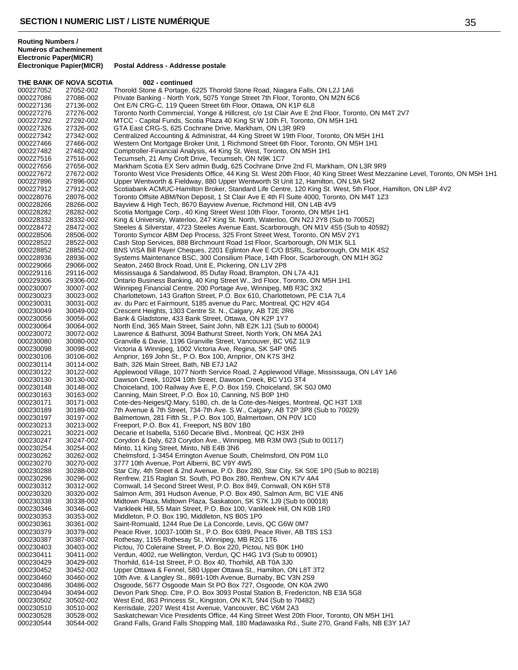**THE BANK OF NOVA SCOTIA 002 - continued** 

**Postal Address - Addresse postale** 

000227052 27052-002 Thorold Stone & Portage, 6225 Thorold Stone Road, Niagara Falls, ON L2J 1A6<br>000227086 27086-002 Private Banking - North York, 5075 Yonge Street 7th Floor, Toronto, ON M2N 60 000227086 27086-002 Private Banking - North York, 5075 Yonge Street 7th Floor, Toronto, ON M2N 6C6<br>000227136 27136-002 Ont E/N CRG-C. 119 Queen Street 6th Floor. Ottawa. ON K1P 6L8 Ont E/N CRG-C, 119 Queen Street 6th Floor, Ottawa, ON K1P 6L8 000227276 27276-002 Toronto North Commercial, Yonge & Hillcrest, c/o 1st Clair Ave E 2nd Floor, Toronto, ON M4T 2V7<br>000227292 27292-002 MTCC - Capital Funds, Scotia Plaza 40 King St W 10th Fl, Toronto, ON M5H 1H1 000227292 27292-002 MTCC - Capital Funds, Scotia Plaza 40 King St W 10th Fl, Toronto, ON M5H 1H1<br>000227326 27326-002 GTA East CRG-S, 625 Cochrane Drive, Markham, ON L3R 9R9 000227326 27326-002 GTA East CRG-S, 625 Cochrane Drive, Markham, ON L3R 9R9<br>000227342 27342-002 Centralized Accounting & Administrat, 44 King Street W 19th Flo 000227342 27342-002 Centralized Accounting & Administrat, 44 King Street W 19th Floor, Toronto, ON M5H 1H1<br>000227466 27466-002 Western Ont Mortgage Broker Unit. 1 Richmond Street 6th Floor, Toronto, ON M5H 1H1 Western Ont Mortgage Broker Unit, 1 Richmond Street 6th Floor, Toronto, ON M5H 1H1 000227482 27482-002 Comptroller-Financial Analysis, 44 King St. West, Toronto, ON M5H 1H1<br>000227516 27516-002 Tecumseh, 21 Amy Croft Drive, Tecumseh, ON N9K 1C7 000227516 27516-002 Tecumseh, 21 Amy Croft Drive, Tecumseh, ON N9K 1C7<br>000227656 27656-002 Markham Scotia EX Serv admin Budg, 625 Cochrane Driv 000227656 27656-002 Markham Scotia EX Serv admin Budg, 625 Cochrane Drive 2nd Fl, Markham, ON L3R 9R9<br>000227672 27672-002 Toronto West Vice Presidents Office, 44 King St. West 20th Floor, 40 King Street West Mez 000227672 27672-002 Toronto West Vice Presidents Office, 44 King St. West 20th Floor, 40 King Street West Mezzanine Level, Toronto, ON M5H 1H1<br>000227896 27896-002 Upper Wentworth & Fieldway, 880 Upper Wentworth St Unit 12, 000227896 27896-002 Upper Wentworth & Fieldway, 880 Upper Wentworth St Unit 12, Hamilton, ON L9A 5H2 000227912 27912-002 Scotiabank ACMUC-Hamilton Broker, Standard Life Centre, 120 King St. West, 5th Floor, Hamilton, ON L8P 4V2<br>000228076 28076-002 Toronto Offsite ABM/Non Deposit, 1 St Clair Ave E 4th Fl Suite 4000, Toront Toronto Offsite ABM/Non Deposit, 1 St Clair Ave E 4th Fl Suite 4000, Toronto, ON M4T 1Z3 000228266 28266-002 Bayview & High Tech, 8670 Bayview Avenue, Richmond Hill, ON L4B 4V9<br>000228282 28282-002 Scotia Mortgage Corp., 40 King Street West 10th Floor, Toronto, ON M5H 28282-002 Scotia Mortgage Corp., 40 King Street West 10th Floor, Toronto, ON M5H 1H1<br>28332-002 King & University, Waterloo, 247 King St. North, Waterloo, ON N2J 2Y8 (Sub to 000228332 28332-002 King & University, Waterloo, 247 King St. North, Waterloo, ON N2J 2Y8 (Sub to 70052) 000228472 28472-002 Steeles & Silverstar, 4723 Steeles Avenue East, Scarborough, ON M1V 4S5 (Sub to 40592)<br>000228506 28506-002 Toronto Symcor ABM Dep Process. 325 Front Street West. Toronto. ON M5V 2Y1 Toronto Symcor ABM Dep Process, 325 Front Street West, Toronto, ON M5V 2Y1 000228522 28522-002 Cash Stop Services, 888 Birchmount Road 1st Floor, Scarborough, ON M1K 5L1<br>000228852 28852-002 BNS VISA Bill Payer Cheques, 2201 Eglinton Ave E C/O BSRL, Scarborough, OI BNS VISA Bill Payer Cheques, 2201 Eglinton Ave E C/O BSRL, Scarborough, ON M1K 4S2 000228936 28936-002 Systems Maintenance BSC, 300 Consilium Place, 14th Floor, Scarborough, ON M1H 3G2<br>000229066 29066-002 Seaton, 2460 Brock Road, Unit E, Pickering, ON L1V 2P8 000229066 29066-002 Seaton, 2460 Brock Road, Unit E, Pickering, ON L1V 2P8<br>000229116 29116-002 Mississauga & Sandalwood, 85 Dufav Road, Brampton, O Mississauga & Sandalwood, 85 Dufay Road, Brampton, ON L7A 4J1 000229306 29306-002 Ontario Business Banking, 40 King Street W., 3rd Floor, Toronto, ON M5H 1H1<br>000230007 30007-002 Winnipeg Financial Centre, 200 Portage Ave, Winnipeg, MB R3C 3X2 Winnipeg Financial Centre, 200 Portage Ave, Winnipeg, MB R3C 3X2 000230023 30023-002 Charlottetown, 143 Grafton Street, P.O. Box 610, Charlottetown, PE C1A 7L4<br>000230031 30031-002 av. du Parc et Fairmount, 5185 avenue du Parc, Montreal, QC H2V 4G4 000230031 30031-002 av. du Parc et Fairmount, 5185 avenue du Parc, Montreal, QC H2V 4G4<br>000230049 30049-002 Crescent Heights, 1303 Centre St. N., Calgary, AB T2E 2R6 Crescent Heights, 1303 Centre St. N., Calgary, AB T2E 2R6 000230056 30056-002 Bank & Gladstone, 433 Bank Street, Ottawa, ON K2P 1Y7<br>000230064 30064-002 North End, 365 Main Street, Saint John, NB E2K 1J1 (Sub 000230064 30064-002 North End, 365 Main Street, Saint John, NB E2K 1J1 (Sub to 60004) 000230072 30072-002 Lawrence & Bathurst, 3094 Bathurst Street, North York, ON M6A 2A1<br>000230080 30080-002 Granville & Davie, 1196 Granville Street, Vancouver, BC V6Z 1L9 000230080 30080-002 Granville & Davie, 1196 Granville Street, Vancouver, BC V6Z 1L9<br>000230098 30098-002 Victoria & Winnipeg, 1002 Victoria Ave, Regina, SK S4P 0N5 000230098 30098-002 Victoria & Winnipeg, 1002 Victoria Ave, Regina, SK S4P 0N5<br>000230106 30106-002 Arnprior, 169 John St., P.O. Box 100, Arnprior, ON K7S 3H2 000230106 30106-002 Arnprior, 169 John St., P.O. Box 100, Arnprior, ON K7S 3H2<br>000230114 30114-002 Bath, 326 Main Street, Bath, NB E7J 1A2 000230114 30114-002 Bath, 326 Main Street, Bath, NB E7J 1A2<br>000230122 30122-002 Applewood Village, 1077 North Service R 000230122 30122-002 Applewood Village, 1077 North Service Road, 2 Applewood Village, Mississauga, ON L4Y 1A6<br>000230130 30130-002 Dawson Creek, 10204 10th Street, Dawson Creek, BC V1G 3T4 000230130 30130-002 Dawson Creek, 10204 10th Street, Dawson Creek, BC V1G 3T4 000230148 30148-002 Choiceland, 100 Railway Ave E, P.O. Box 159, Choiceland, SK S0J 0M0<br>000230163 30163-002 Canning, Main Street, P.O. Box 10, Canning, NS B0P 1H0 000230163 30163-002 Canning, Main Street, P.O. Box 10, Canning, NS B0P 1H0<br>000230171 30171-002 Cote-des-Neiges/Q.Mary, 5180, ch. de la Cote-des-Neiges Cote-des-Neiges/Q.Mary, 5180, ch. de la Cote-des-Neiges, Montreal, QC H3T 1X8 000230189 30189-002 7th Avenue & 7th Street, 734-7th Ave. S.W., Calgary, AB T2P 3P8 (Sub to 70029)<br>000230197 30197-002 Balmertown, 281 Fifth St., P.O. Box 100, Balmertown, ON P0V 1C0 Balmertown, 281 Fifth St., P.O. Box 100, Balmertown, ON P0V 1C0 000230213 30213-002 Freeport, P.O. Box 41, Freeport, NS B0V 1B0<br>000230221 30221-002 Decarie et Isabella, 5160 Decarie Blvd., Montr 000230221 30221-002 Decarie et Isabella, 5160 Decarie Blvd., Montreal, QC H3X 2H9 Corydon & Daly, 623 Corydon Ave., Winnipeg, MB R3M 0W3 (Sub to 00117) 000230254 30254-002 Minto, 11 King Street, Minto, NB E4B 3N6<br>000230262 30262-002 Chelmsford, 1-3454 Errington Avenue Sou Chelmsford, 1-3454 Errington Avenue South, Chelmsford, ON P0M 1L0 000230270 30270-002 3777 10th Avenue, Port Alberni, BC V9Y 4W5 000230288 30288-002 Star City, 4th Street & 2nd Avenue, P.O. Box 280, Star City, SK S0E 1P0 (Sub to 80218)<br>000230296 30296-002 Renfrew. 215 Raglan St. South. PO Box 280. Renfrew. ON K7V 4A4 Renfrew, 215 Raglan St. South, PO Box 280, Renfrew, ON K7V 4A4 000230312 30312-002 Cornwall, 14 Second Street West, P.O. Box 849, Cornwall, ON K6H 5T8 000230320 30320-002 Salmon Arm, 391 Hudson Avenue, P.O. Box 490, Salmon Arm, BC V1E 4N6<br>000230338 30338-002 Midtown Plaza, Midtown Plaza, Saskatoon, SK S7K 1J9 (Sub to 00018) 000230338 30338-002 Midtown Plaza, Midtown Plaza, Saskatoon, SK S7K 1J9 (Sub to 00018) 000230346 30346-002 Vankleek Hill, 55 Main Street, P.O. Box 100, Vankleek Hill, ON K0B 1R0<br>000230353 30353-002 Middleton, P.O. Box 190, Middleton, NS B0S 1P0 000230353 30353-002 Middleton, P.O. Box 190, Middleton, NS B0S 1P0<br>000230361 30361-002 Saint-Romuald, 1244 Rue De La Concorde, Levis 000230361 30361-002 Saint-Romuald, 1244 Rue De La Concorde, Levis, QC G6W 0M7<br>000230379 30379-002 Peace River, 10037-100th St., P.O. Box 6389, Peace River, AB T Peace River, 10037-100th St., P.O. Box 6389, Peace River, AB T8S 1S3 000230387 30387-002 Rothesay, 1155 Rothesay St., Winnipeg, MB R2G 1T6<br>000230403 30403-002 Pictou, 70 Coleraine Street, P.O. Box 220, Pictou, NS I Pictou, 70 Coleraine Street, P.O. Box 220, Pictou, NS B0K 1H0 000230411 30411-002 Verdun, 4002, rue Wellington, Verdun, QC H4G 1V3 (Sub to 00901)<br>000230429 30429-002 Thorhild, 614-1st Street, P.O. Box 40, Thorhild, AB T0A 3J0 000230429 30429-002 Thorhild, 614-1st Street, P.O. Box 40, Thorhild, AB T0A 3J0<br>000230452 30452-002 Upper Ottawa & Fennel. 580 Upper Ottawa St.. Hamilton. Ol Upper Ottawa & Fennel, 580 Upper Ottawa St., Hamilton, ON L8T 3T2 000230460 30460-002 10th Ave. & Langley St., 8691-10th Avenue, Burnaby, BC V3N 2S9<br>000230486 30486-002 Osgoode, 5677 Osgoode Main St PO Box 727, Osgoode, ON K0A 2 000230486 30486-002 Osgoode, 5677 Osgoode Main St PO Box 727, Osgoode, ON K0A 2W0 000230494 30494-002 Devon Park Shop. Ctre, P.O. Box 3093 Postal Station B, Fredericton, NB E3A 5G8<br>000230502 30502-002 West End, 863 Princess St., Kingston, ON K7L 5N4 (Sub to 70482) 000230502 30502-002 West End, 863 Princess St., Kingston, ON K7L 5N4 (Sub to 70482)<br>000230510 30510-002 Kerrisdale. 2207 West 41st Avenue. Vancouver. BC V6M 2A3 Kerrisdale, 2207 West 41st Avenue, Vancouver, BC V6M 2A3 000230528 30528-002 Saskatchewan Vice Presidents Office, 44 King Street West 20th Floor, Toronto, ON M5H 1H1<br>1900230544 30544-002 Grand Falls, Grand Falls Shopping Mall, 180 Madawaska Rd., Suite 270, Grand Falls, NB E3 Grand Falls, Grand Falls Shopping Mall, 180 Madawaska Rd., Suite 270, Grand Falls, NB E3Y 1A7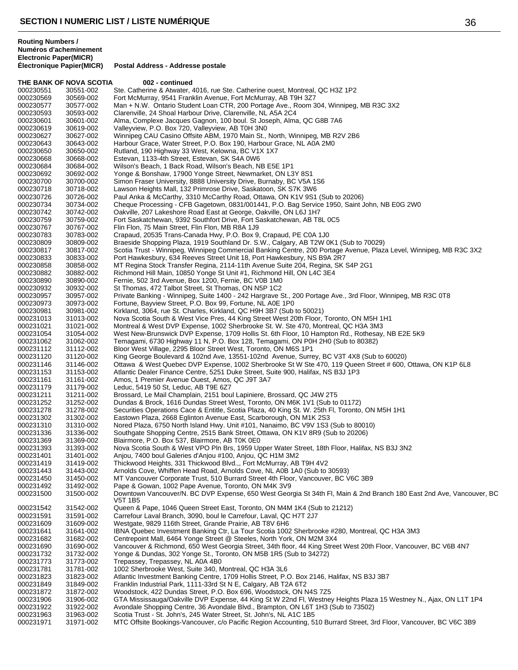**Electronic Paper(MICR) Électronique Papier(MICR) Postal Address - Addresse postale**

|                        | THE BANK OF NOVA SCOTIA | 002 - continued                                                                                                                                                                |
|------------------------|-------------------------|--------------------------------------------------------------------------------------------------------------------------------------------------------------------------------|
| 000230551              | 30551-002               | Ste. Catherine & Atwater, 4016, rue Ste. Catherine ouest, Montreal, QC H3Z 1P2                                                                                                 |
| 000230569              | 30569-002               | Fort McMurray, 9541 Franklin Avenue, Fort McMurray, AB T9H 3Z7                                                                                                                 |
| 000230577              | 30577-002               | Man + N.W. Ontario Student Loan CTR, 200 Portage Ave., Room 304, Winnipeg, MB R3C 3X2                                                                                          |
| 000230593<br>000230601 | 30593-002<br>30601-002  | Clarenville, 24 Shoal Harbour Drive, Clarenville, NL A5A 2C4<br>Alma, Complexe Jacques Gagnon, 100 boul. St Joseph, Alma, QC G8B 7A6                                           |
| 000230619              | 30619-002               | Valleyview, P.O. Box 720, Valleyview, AB T0H 3N0                                                                                                                               |
| 000230627              | 30627-002               | Winnipeg CAU Casino Offsite ABM, 1970 Main St., North, Winnipeg, MB R2V 2B6                                                                                                    |
| 000230643              | 30643-002               | Harbour Grace, Water Street, P.O. Box 190, Harbour Grace, NL A0A 2M0                                                                                                           |
| 000230650              | 30650-002               | Rutland, 190 Highway 33 West, Kelowna, BC V1X 1X7                                                                                                                              |
| 000230668              | 30668-002               | Estevan, 1133-4th Street, Estevan, SK S4A 0W6                                                                                                                                  |
| 000230684<br>000230692 | 30684-002<br>30692-002  | Wilson's Beach, 1 Back Road, Wilson's Beach, NB E5E 1P1<br>Yonge & Bonshaw, 17900 Yonge Street, Newmarket, ON L3Y 8S1                                                          |
| 000230700              | 30700-002               | Simon Fraser University, 8888 University Drive, Burnaby, BC V5A 1S6                                                                                                            |
| 000230718              | 30718-002               | Lawson Heights Mall, 132 Primrose Drive, Saskatoon, SK S7K 3W6                                                                                                                 |
| 000230726              | 30726-002               | Paul Anka & McCarthy, 3310 McCarthy Road, Ottawa, ON K1V 9S1 (Sub to 20206)                                                                                                    |
| 000230734              | 30734-002               | Cheque Processing - CFB Gagetown, 0831/001441, P.O. Bag Service 1950, Saint John, NB E0G 2W0                                                                                   |
| 000230742              | 30742-002               | Oakville, 207 Lakeshore Road East at George, Oakville, ON L6J 1H7                                                                                                              |
| 000230759              | 30759-002               | Fort Saskatchewan, 9392 Southfort Drive, Fort Saskatchewan, AB T8L 0C5                                                                                                         |
| 000230767<br>000230783 | 30767-002<br>30783-002  | Flin Flon, 75 Main Street, Flin Flon, MB R8A 1J9<br>Crapaud, 20535 Trans-Canada Hwy, P.O. Box 9, Crapaud, PE C0A 1J0                                                           |
| 000230809              | 30809-002               | Braeside Shopping Plaza, 1919 Southland Dr. S.W., Calgary, AB T2W 0K1 (Sub to 70029)                                                                                           |
| 000230817              | 30817-002               | Scotia Trust - Winnipeg, Winnipeg Commercial Banking Centre, 200 Portage Avenue, Plaza Level, Winnipeg, MB R3C 3X2                                                             |
| 000230833              | 30833-002               | Port Hawkesbury, 634 Reeves Street Unit 18, Port Hawkesbury, NS B9A 2R7                                                                                                        |
| 000230858              | 30858-002               | MT Regina Stock Transfer Regina, 2114-11th Avenue Suite 204, Regina, SK S4P 2G1                                                                                                |
| 000230882              | 30882-002               | Richmond Hill Main, 10850 Yonge St Unit #1, Richmond Hill, ON L4C 3E4                                                                                                          |
| 000230890              | 30890-002               | Fernie, 502 3rd Avenue, Box 1200, Fernie, BC V0B 1M0                                                                                                                           |
| 000230932<br>000230957 | 30932-002<br>30957-002  | St Thomas, 472 Talbot Street, St Thomas, ON N5P 1C2<br>Private Banking - Winnipeg, Suite 1400 - 242 Hargrave St., 200 Portage Ave., 3rd Floor, Winnipeg, MB R3C 0T8            |
| 000230973              | 30973-002               | Fortune, Bayview Street, P.O. Box 99, Fortune, NL A0E 1P0                                                                                                                      |
| 000230981              | 30981-002               | Kirkland, 3064, rue St. Charles, Kirkland, QC H9H 3B7 (Sub to 50021)                                                                                                           |
| 000231013              | 31013-002               | Nova Scotia South & West Vice Pres, 44 King Street West 20th Floor, Toronto, ON M5H 1H1                                                                                        |
| 000231021              | 31021-002               | Montreal & West DVP Expense, 1002 Sherbrooke St. W. Ste 470, Montreal, QC H3A 3M3                                                                                              |
| 000231054              | 31054-002               | West New-Brunswick DVP Expense, 1709 Hollis St. 6th Floor, 10 Hampton Rd., Rothesay, NB E2E 5K9                                                                                |
| 000231062              | 31062-002               | Temagami, 6730 Highway 11 N, P.O. Box 128, Temagami, ON P0H 2H0 (Sub to 80382)                                                                                                 |
| 000231112<br>000231120 | 31112-002<br>31120-002  | Bloor West Village, 2295 Bloor Street West, Toronto, ON M6S 1P1<br>King George Boulevard & 102nd Ave, 13551-102nd Avenue, Surrey, BC V3T 4X8 (Sub to 60020)                    |
| 000231146              | 31146-002               | Ottawa & West Quebec DVP Expense, 1002 Sherbrooke St W Ste 470, 119 Queen Street # 600, Ottawa, ON K1P 6L8                                                                     |
| 000231153              | 31153-002               | Atlantic Dealer Finance Centre, 5251 Duke Street, Suite 900, Halifax, NS B3J 1P3                                                                                               |
| 000231161              | 31161-002               | Amos, 1 Premier Avenue Ouest, Amos, QC J9T 3A7                                                                                                                                 |
| 000231179              | 31179-002               | Leduc, 5419 50 St, Leduc, AB T9E 6Z7                                                                                                                                           |
| 000231211              | 31211-002               | Brossard, Le Mail Champlain, 2151 boul Lapiniere, Brossard, QC J4W 2T5                                                                                                         |
| 000231252<br>000231278 | 31252-002<br>31278-002  | Dundas & Brock, 1616 Dundas Street West, Toronto, ON M6K 1V1 (Sub to 01172)<br>Securities Operations Cace & Entitle, Scotia Plaza, 40 King St. W. 25th Fl, Toronto, ON M5H 1H1 |
| 000231302              | 31302-002               | Eastown Plaza, 2668 Eglinton Avenue East, Scarborough, ON M1K 2S3                                                                                                              |
| 000231310              | 31310-002               | Nored Plaza, 6750 North Island Hwy. Unit #101, Nanaimo, BC V9V 1S3 (Sub to 80010)                                                                                              |
| 000231336              | 31336-002               | Southgate Shopping Centre, 2515 Bank Street, Ottawa, ON K1V 8R9 (Sub to 20206)                                                                                                 |
| 000231369              | 31369-002               | Blairmore, P.O. Box 537, Blairmore, AB T0K 0E0                                                                                                                                 |
| 000231393              | 31393-002               | Nova Scotia South & West VPO Pln Brs, 1959 Upper Water Street, 18th Floor, Halifax, NS B3J 3N2                                                                                 |
| 000231401<br>000231419 | 31401-002               | Anjou, 7400 boul Galeries d'Anjou #100, Anjou, QC H1M 3M2                                                                                                                      |
| 000231443              | 31419-002<br>31443-002  | Thickwood Heights, 331 Thickwood Blvd.,, Fort McMurray, AB T9H 4V2<br>Arnolds Cove, Whiffen Head Road, Arnolds Cove, NL A0B 1A0 (Sub to 30593)                                 |
| 000231450              | 31450-002               | MT Vancouver Corporate Trust, 510 Burrard Street 4th Floor, Vancouver, BC V6C 3B9                                                                                              |
| 000231492              | 31492-002               | Pape & Gowan, 1002 Pape Avenue, Toronto, ON M4K 3V9                                                                                                                            |
| 000231500              | 31500-002               | Downtown Vancouver/N. BC DVP Expense, 650 West Georgia St 34th Fl, Main & 2nd Branch 180 East 2nd Ave, Vancouver, BC<br>V5T 1B5                                                |
| 000231542              | 31542-002               | Queen & Pape, 1046 Queen Street East, Toronto, ON M4M 1K4 (Sub to 21212)                                                                                                       |
| 000231591              | 31591-002               | Carrefour Laval Branch, 3090, boul le Carrefour, Laval, QC H7T 2J7                                                                                                             |
| 000231609<br>000231641 | 31609-002<br>31641-002  | Westgate, 9829 116th Street, Grande Prairie, AB T8V 6H6<br>IBNA Quebec Investment Banking Ctr, La Tour Scotia 1002 Sherbrooke #280, Montreal, QC H3A 3M3                       |
| 000231682              | 31682-002               | Centrepoint Mall, 6464 Yonge Street @ Steeles, North York, ON M2M 3X4                                                                                                          |
| 000231690              | 31690-002               | Vancouver & Richmond, 650 West Georgia Street, 34th floor, 44 King Street West 20th Floor, Vancouver, BC V6B 4N7                                                               |
| 000231732              | 31732-002               | Yonge & Dundas, 302 Yonge St., Toronto, ON M5B 1R5 (Sub to 34272)                                                                                                              |
| 000231773              | 31773-002               | Trepassey, Trepassey, NL A0A 4B0                                                                                                                                               |
| 000231781              | 31781-002               | 1002 Sherbrooke West, Suite 340, Montreal, QC H3A 3L6                                                                                                                          |
| 000231823              | 31823-002               | Atlantic Investment Banking Centre, 1709 Hollis Street, P.O. Box 2146, Halifax, NS B3J 3B7                                                                                     |
| 000231849<br>000231872 | 31849-002<br>31872-002  | Franklin Industrial Park, 1111-33rd St N E, Calgary, AB T2A 6T2<br>Woodstock, 422 Dundas Street, P.O. Box 696, Woodstock, ON N4S 7Z5                                           |
| 000231906              | 31906-002               | GTA Mississauga/Oakville DVP Expense, 44 King St W 22nd Fl, Westney Heights Plaza 15 Westney N., Ajax, ON L1T 1P4                                                              |
| 000231922              | 31922-002               | Avondale Shopping Centre, 36 Avondale Blvd., Brampton, ON L6T 1H3 (Sub to 73502)                                                                                               |
| 000231963              | 31963-002               | Scotia Trust - St. John's, 245 Water Street, St. John's, NL A1C 1B5                                                                                                            |
| 000231971              | 31971-002               | MTC Offsite Bookings-Vancouver, c/o Pacific Region Accounting, 510 Burrard Street, 3rd Floor, Vancouver, BC V6C 3B9                                                            |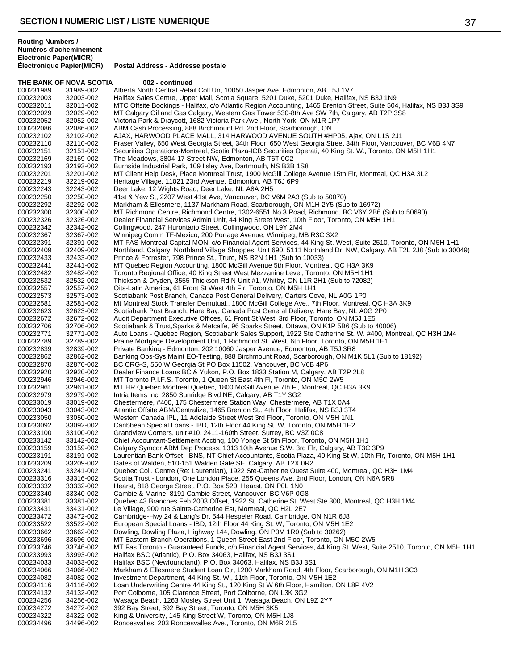**THE BANK OF NOVA SCOTIA 002 - continued** 000231989 31989-002 Alberta North Central Retail Coll Un, 10050 Jasper Ave, Edmonton, AB T5J 1V7<br>000232003 32003-002 Halifax Sales Centre, Upper Mall, Scotia Square, 5201 Duke, 5201 Duke, Halifax 000232003 32003-002 Halifax Sales Centre, Upper Mall, Scotia Square, 5201 Duke, 5201 Duke, Halifax, NS B3J 1N9<br>000232011 32011-002 MTC Offsite Bookings - Halifax. c/o Atlantic Region Accounting. 1465 Brenton Street. Suite MTC Offsite Bookings - Halifax, c/o Atlantic Region Accounting, 1465 Brenton Street, Suite 504, Halifax, NS B3J 3S9 000232029 32029-002 MT Calgary Oil and Gas Calgary, Western Gas Tower 530-8th Ave SW 7th, Calgary, AB T2P 3S8<br>000232052 32052-002 Victoria Park & Draycott, 1682 Victoria Park Ave., North York, ON M1R 1P7 Victoria Park & Draycott, 1682 Victoria Park Ave., North York, ON M1R 1P7 000232086 32086-002 ABM Cash Processing, 888 Birchmount Rd, 2nd Floor, Scarborough, ON<br>000232102 32102-002 AJAX, HARWOOD PLACE MALL, 314 HARWOOD AVENUE SOUTH #H 000232102 32102-002 AJAX, HARWOOD PLACE MALL, 314 HARWOOD AVENUE SOUTH #HP05, Ajax, ON L1S 2J1 Fraser Valley, 650 West Georgia Street, 34th Floor, 650 West Georgia Street 34th Floor, Vancouver, BC V6B 4N7 000232151 32151-002 Securities Operations-Montreal, Scotia Plaza-ICB Securities Operati, 40 King St. W., Toronto, ON M5H 1H1<br>000232169 32169-002 The Meadows, 3804-17 Street NW, Edmonton, AB T6T 0C2 000232169 32169-002 The Meadows, 3804-17 Street NW, Edmonton, AB T6T 0C2<br>000232193 32193-002 Burnside Industrial Park, 109 Ilsley Ave, Dartmouth, NS B3B 000232193 32193-002 Burnside Industrial Park, 109 Ilsley Ave, Dartmouth, NS B3B 1S8<br>000232201 32201-002 MT Client Help Desk, Place Montreal Trust, 1900 McGill College 000232201 32201-002 MT Client Help Desk, Place Montreal Trust, 1900 McGill College Avenue 15th Flr, Montreal, QC H3A 3L2<br>000232219 32219-002 Heritage Village, 11021 23rd Avenue, Edmonton, AB T6J 6P9 000232219 32219-002 Heritage Village, 11021 23rd Avenue, Edmonton, AB T6J 6P9<br>000232243 32243-002 Deer Lake, 12 Wights Road, Deer Lake, NL A8A 2H5 000232243 32243-002 Deer Lake, 12 Wights Road, Deer Lake, NL A8A 2H5<br>000232250 32250-002 41st & Yew St, 2207 West 41st Ave, Vancouver, BC \ 41st & Yew St, 2207 West 41st Ave, Vancouver, BC V6M 2A3 (Sub to 50070) 000232292 32292-002 Markham & Ellesmere, 1137 Markham Road, Scarborough, ON M1H 2Y5 (Sub to 16972) 000232300 32300-002 MT Richmond Centre, Richmond Centre, 1302-6551 No.3 Road, Richmond, BC V6Y 2B6 (Sub to 50690)<br>000232326 32326-002 Dealer Financial Services Admin Unit 44 King Street West, 10th Floor, Toronto, ON M5H 1H 000232326 32326-002 Dealer Financial Services Admin Unit, 44 King Street West, 10th Floor, Toronto, ON M5H 1H1<br>000232342 32342-002 Collingwood, 247 Hurontario Street, Collingwood, ON L9Y 2M4 000232342 32342-002 Collingwood, 247 Hurontario Street, Collingwood, ON L9Y 2M4 Winnipeg Comm TF-Mexico, 200 Portage Avenue, Winnipeg, MB R3C 3X2 000232391 32391-002 MT FAS-Montreal-Capital MON, c/o Financial Agent Services, 44 King St. West, Suite 2510, Toronto, ON M5H 1H1 000232409 32409-002 Northland, Calgary, Northland Village Shoppes, Unit 690, 5111 Northland Dr. NW, Calgary, AB T2L 2J8 (Sub to 30049)<br>000232433 32433-002 Prince & Forrester. 798 Prince St.. Truro. NS B2N 1H1 (Sub to 10033 000232433 32433-002 Prince & Forrester, 798 Prince St., Truro, NS B2N 1H1 (Sub to 10033) 000232441 32441-002 MT Quebec Region Accounting, 1800 McGill Avenue 5th Floor, Montreal, QC H3A 3K9<br>000232482 32482-002 Toronto Regional Office. 40 King Street West Mezzanine Level. Toronto. ON M5H 1H1 Toronto Regional Office, 40 King Street West Mezzanine Level, Toronto, ON M5H 1H1 000232532 32532-002 Thickson & Dryden, 3555 Thickson Rd N Unit #1, Whitby, ON L1R 2H1 (Sub to 72082)<br>000232557 32557-002 Oits-Latin America, 61 Front St West 4th Flr, Toronto, ON M5H 1H1 32557-002 Oits-Latin America, 61 Front St West 4th Flr, Toronto, ON M5H 1H1<br>32573-002 Scotiabank Post Branch, Canada Post General Delivery, Carters Co 000232573 32573-002 Scotiabank Post Branch, Canada Post General Delivery, Carters Cove, NL A0G 1P0<br>000232581 32581-002 Mt Montreal Stock Transfer Demutual., 1800 McGill College Ave., 7th Floor, Montreal 000232581 32581-002 Mt Montreal Stock Transfer Demutual., 1800 McGill College Ave., 7th Floor, Montreal, QC H3A 3K9<br>000232623 32623-002 Scotiabank Post Branch. Hare Bav. Canada Post General Delivery. Hare Bav. NL A0G 2P0 Scotiabank Post Branch, Hare Bay, Canada Post General Delivery, Hare Bay, NL A0G 2P0 000232672 32672-002 Audit Department Executive Offices, 61 Front St West, 3rd Floor, Toronto, ON M5J 1E5<br>000232706 32706-002 Scotiabank & Trust, Sparks & Metcalfe, 96 Sparks Street, Ottawa, ON K1P 5B6 (Sub to 000232706 32706-002 Scotiabank & Trust, Sparks & Metcalfe, 96 Sparks Street, Ottawa, ON K1P 5B6 (Sub to 40006)<br>000232771 32771-002 Auto Loans - Quebec Region, Scotiabank Sales Support, 1922 Ste Catherine St. W. #400, Mor 000232771 32771-002 Auto Loans - Quebec Region, Scotiabank Sales Support, 1922 Ste Catherine St. W. #400, Montreal, QC H3H 1M4<br>000232789 32789-002 Prairie Mortgage Development Unit, 1 Richmond St. West, 6th Floor, Toronto, 000232789 32789-002 Prairie Mortgage Development Unit, 1 Richmond St. West, 6th Floor, Toronto, ON M5H 1H1<br>000232839 32839-002 Private Banking - Edmonton, 202 10060 Jasper Avenue, Edmonton, AB T5J 3R8 000232839 32839-002 Private Banking - Edmonton, 202 10060 Jasper Avenue, Edmonton, AB T5J 3R8<br>000232862 32862-002 Banking Ops-Sys Maint EO-Testing, 888 Birchmount Road, Scarborough, ON M1 000232862 32862-002 Banking Ops-Sys Maint EO-Testing, 888 Birchmount Road, Scarborough, ON M1K 5L1 (Sub to 18192)<br>000232870 32870-002 BC CRG-S, 550 W Georgia St PO Box 11502, Vancouver, BC V6B 4P6 000232870 32870-002 BC CRG-S, 550 W Georgia St PO Box 11502, Vancouver, BC V6B 4P6<br>000232920 32920-002 Dealer Finance Loans BC & Yukon, P.O. Box 1833 Station M, Calgary, / 000232920 32920-002 Dealer Finance Loans BC & Yukon, P.O. Box 1833 Station M, Calgary, AB T2P 2L8<br>000232946 32946-002 MT Toronto P.I.F.S. Toronto, 1 Queen St East 4th Fl, Toronto, ON M5C 2W5 32946-002 MT Toronto P.I.F.S. Toronto, 1 Queen St East 4th Fl, Toronto, ON M5C 2W5<br>32961-002 MT HR Quebec Montreal Quebec, 1800 McGill Avenue 7th Fl, Montreal, QC 000232961 32961-002 MT HR Quebec Montreal Quebec, 1800 McGill Avenue 7th Fl, Montreal, QC H3A 3K9<br>000232979 32979-002 Intria Items Inc, 2850 Sunridge Blvd NE, Calgary, AB T1Y 3G2 000232979 32979-002 Intria Items Inc, 2850 Sunridge Blvd NE, Calgary, AB T1Y 3G2<br>000233019 33019-002 Chestermere. #400. 175 Chestermere Station Wav. Chesterme Chestermere, #400, 175 Chestermere Station Way, Chestermere, AB T1X 0A4 000233043 33043-002 Atlantic Offsite ABM/Centralize, 1465 Brenton St., 4th Floor, Halifax, NS B3J 3T4 33050-002 Western Canada IPL, 11 Adelaide Street West 3rd Floor, Toronto, ON M5H 1N1<br>33092-002 Caribbean Special Loans - IBD, 12th Floor 44 King St. W, Toronto, ON M5H 1E2 000233092 33092-002 Caribbean Special Loans - IBD, 12th Floor 44 King St. W, Toronto, ON M5H 1E2<br>000233100 33100-002 Grandview Corners, unit #10, 2411-160th Street, Surrey, BC V3Z 0C8 000233100 33100-002 Grandview Corners, unit #10, 2411-160th Street, Surrey, BC V3Z 0C8 Chief Accountant-Settlement Accting, 100 Yonge St 5th Floor, Toronto, ON M5H 1H1 000233159 33159-002 Calgary Symcor ABM Dep Process, 1313 10th Avenue S.W. 3rd Flr, Calgary, AB T3C 3P9<br>000233191 33191-002 Laurentian Bank Offset - BNS, NT Chief Accountants, Scotia Plaza, 40 King St W, 10th Flr, Laurentian Bank Offset - BNS, NT Chief Accountants, Scotia Plaza, 40 King St W, 10th Flr, Toronto, ON M5H 1H1 000233209 33209-002 Gates of Walden, 510-151 Walden Gate SE, Calgary, AB T2X 0R2 000233241 33241-002 Quebec Coll. Centre (Re: Laurentian), 1922 Ste-Catherine Ouest Suite 400, Montreal, QC H3H 1M4<br>000233316 33316-002 Scotia Trust - London. One London Place. 255 Queens Ave. 2nd Floor. London. ON N6A 5R8 Scotia Trust - London, One London Place, 255 Queens Ave. 2nd Floor, London, ON N6A 5R8 000233332 33332-002 Hearst, 818 George Street, P.O. Box 520, Hearst, ON P0L 1N0 000233340 33340-002 Cambie & Marine, 8191 Cambie Street, Vancouver, BC V6P 0G8 000233381 33381-002 Quebec 43 Branches Feb 2003 Offset, 1922 St. Catherine St. West Ste 300, Montreal, QC H3H 1M4<br>000233431 33431-002 Le Village. 900 rue Sainte-Catherine Est. Montreal. QC H2L 2E7 000233431 33431-002 Le Village, 900 rue Sainte-Catherine Est, Montreal, QC H2L 2E7<br>000233472 33472-002 Cambridge-Hwy 24 & Lang's Dr. 544 Hespeler Road, Cambridge 000233472 33472-002 Cambridge-Hwy 24 & Lang's Dr, 544 Hespeler Road, Cambridge, ON N1R 6J8<br>000233522 33522-002 European Special Loans - IBD, 12th Floor 44 King St. W, Toronto, ON M5H 1E2 000233522 33522-002 European Special Loans - IBD, 12th Floor 44 King St. W, Toronto, ON M5H 1E2<br>000233662 33662-002 Dowling, Dowling Plaza, Highway 144, Dowling, ON P0M 1R0 (Sub to 30262) Dowling, Dowling Plaza, Highway 144, Dowling, ON P0M 1R0 (Sub to 30262) 000233696 33696-002 MT Eastern Branch Operations, 1 Queen Street East 2nd Floor, Toronto, ON M5C 2W5<br>000233746 33746-002 MT Fas Toronto - Guaranteed Funds, c/o Financial Agent Services, 44 King St. West, S 33746-002 MT Fas Toronto - Guaranteed Funds, c/o Financial Agent Services, 44 King St. West, Suite 2510, Toronto, ON M5H 1H1 000233993 33993-002 Halifax BSC (Atlantic), P.O. Box 34063, Halifax, NS B3J 3S1 000234033 34033-002 Halifax BSC (Newfoundland), P.O. Box 34063, Halifax, NS B3J 3S1 Markham & Ellesmere Student Loan Ctr, 1200 Markham Road, 4th Floor, Scarborough, ON M1H 3C3 000234082 34082-002 Investment Department, 44 King St. W., 11th Floor, Toronto, ON M5H 1E2<br>000234116 34116-002 Loan Underwriting Centre 44 King St., 120 King St W 6th Floor, Hamilton, Q Loan Underwriting Centre 44 King St., 120 King St W 6th Floor, Hamilton, ON L8P 4V2 000234132 34132-002 Port Colborne, 105 Clarence Street, Port Colborne, ON L3K 3G2 000234256 34256-002 Wasaga Beach, 1263 Mosley Street Unit 1, Wasaga Beach, ON L9Z 2Y7<br>000234272 34272-002 392 Bay Street. 392 Bay Street. Toronto. ON M5H 3K5 392 Bay Street, 392 Bay Street, Toronto, ON M5H 3K5 000234322 34322-002 King & University, 145 King Street W, Toronto, ON M5H 1J8 Roncesvalles, 203 Roncesvalles Ave., Toronto, ON M6R 2L5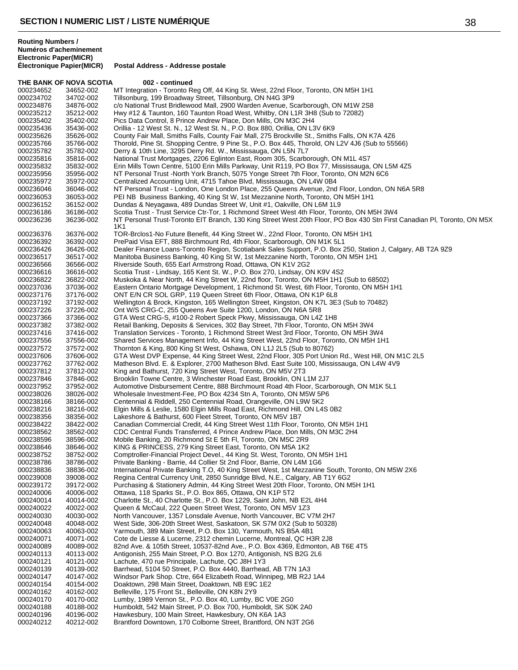|                        | THE BANK OF NOVA SCOTIA | 002 - continued                                                                                                                                                                 |
|------------------------|-------------------------|---------------------------------------------------------------------------------------------------------------------------------------------------------------------------------|
| 000234652              | 34652-002               | MT Integration - Toronto Reg Off, 44 King St. West, 22nd Floor, Toronto, ON M5H 1H1                                                                                             |
| 000234702              | 34702-002               | Tillsonburg, 199 Broadway Street, Tillsonburg, ON N4G 3P9                                                                                                                       |
| 000234876              | 34876-002               | c/o National Trust Bridlewood Mall, 2900 Warden Avenue, Scarborough, ON M1W 2S8                                                                                                 |
| 000235212              | 35212-002               | Hwy #12 & Taunton, 160 Taunton Road West, Whitby, ON L1R 3H8 (Sub to 72082)                                                                                                     |
| 000235402              | 35402-002               | Pics Data Control, 8 Prince Andrew Place, Don Mills, ON M3C 2H4                                                                                                                 |
| 000235436              | 35436-002               | Orillia - 12 West St. N., 12 West St. N., P.O. Box 880, Orillia, ON L3V 6K9                                                                                                     |
| 000235626              | 35626-002               | County Fair Mall, Smiths Falls, County Fair Mall, 275 Brockville St., Smiths Falls, ON K7A 4Z6                                                                                  |
| 000235766              | 35766-002               | Thorold, Pine St. Shopping Centre, 9 Pine St., P.O. Box 445, Thorold, ON L2V 4J6 (Sub to 55566)                                                                                 |
| 000235782              | 35782-002               | Derry & 10th Line, 3295 Derry Rd. W., Mississauga, ON L5N 7L7                                                                                                                   |
| 000235816              | 35816-002               | National Trust Mortgages, 2206 Eglinton East, Room 305, Scarborough, ON M1L 4S7                                                                                                 |
| 000235832              | 35832-002               | Erin Mills Town Centre, 5100 Erin Mills Parkway, Unit R119, PO Box 77, Mississauga, ON L5M 4Z5                                                                                  |
| 000235956              | 35956-002               | NT Personal Trust -North York Branch, 5075 Yonge Street 7th Floor, Toronto, ON M2N 6C6                                                                                          |
| 000235972              | 35972-002               | Centralized Accounting Unit, 4715 Tahoe Blvd, Mississauga, ON L4W 0B4                                                                                                           |
| 000236046              | 36046-002               | NT Personal Trust - London, One London Place, 255 Queens Avenue, 2nd Floor, London, ON N6A 5R8                                                                                  |
| 000236053<br>000236152 | 36053-002<br>36152-002  | PEI NB Business Banking, 40 King St W, 1st Mezzanine North, Toronto, ON M5H 1H1                                                                                                 |
| 000236186              | 36186-002               | Dundas & Neyagawa, 489 Dundas Street W, Unit #1, Oakville, ON L6M 1L9<br>Scotia Trust - Trust Service Ctr-Tor, 1 Richmond Street West 4th Floor, Toronto, ON M5H 3W4            |
| 000236236              | 36236-002               | NT Personal Trust-Toronto EIT Branch, 130 King Street West 20th Floor, PO Box 430 Stn First Canadian PI, Toronto, ON M5X                                                        |
|                        |                         | 1K1                                                                                                                                                                             |
| 000236376              | 36376-002               | TOR-Brclos1-No Future Benefit, 44 King Street W., 22nd Floor, Toronto, ON M5H 1H1                                                                                               |
| 000236392              | 36392-002               | PrePaid Visa EFT, 888 Birchmount Rd, 4th Floor, Scarborough, ON M1K 5L1                                                                                                         |
| 000236426              | 36426-002               | Dealer Finance Loans-Toronto Region, Scotiabank Sales Support, P.O. Box 250, Station J, Calgary, AB T2A 9Z9                                                                     |
| 000236517              | 36517-002               | Manitoba Business Banking, 40 King St W, 1st Mezzanine North, Toronto, ON M5H 1H1                                                                                               |
| 000236566              | 36566-002               | Riverside South, 655 Earl Armstrong Road, Ottawa, ON K1V 2G2                                                                                                                    |
| 000236616              | 36616-002               | Scotia Trust - Lindsay, 165 Kent St. W., P.O. Box 270, Lindsay, ON K9V 4S2                                                                                                      |
| 000236822              | 36822-002               | Muskoka & Near North, 44 King Street W, 22nd floor, Toronto, ON M5H 1H1 (Sub to 68502)                                                                                          |
| 000237036              | 37036-002               | Eastern Ontario Mortgage Development, 1 Richmond St. West, 6th Floor, Toronto, ON M5H 1H1                                                                                       |
| 000237176              | 37176-002               | ONT E/N CR SOL GRP, 119 Queen Street 6th Floor, Ottawa, ON K1P 6L8                                                                                                              |
| 000237192              | 37192-002               | Wellington & Brock, Kingston, 165 Wellington Street, Kingston, ON K7L 3E3 (Sub to 70482)                                                                                        |
| 000237226              | 37226-002               | Ont W/S CRG-C, 255 Queens Ave Suite 1200, London, ON N6A 5R8                                                                                                                    |
| 000237366              | 37366-002               | GTA West CRG-S, #100-2 Robert Speck Pkwy, Mississauga, ON L4Z 1H8                                                                                                               |
| 000237382              | 37382-002               | Retail Banking, Deposits & Services, 302 Bay Street, 7th Floor, Toronto, ON M5H 3W4                                                                                             |
| 000237416<br>000237556 | 37416-002<br>37556-002  | Translation Services - Toronto, 1 Richmond Street West 3rd Floor, Toronto, ON M5H 3W4                                                                                           |
| 000237572              | 37572-002               | Shared Services Management Info, 44 King Street West, 22nd Floor, Toronto, ON M5H 1H1<br>Thornton & King, 800 King St West, Oshawa, ON L1J 2L5 (Sub to 80762)                   |
| 000237606              | 37606-002               | GTA West DVP Expense, 44 King Street West, 22nd Floor, 305 Port Union Rd., West Hill, ON M1C 2L5                                                                                |
| 000237762              | 37762-002               | Matheson Blvd. E. & Explorer, 2700 Matheson Blvd. East Suite 100, Mississauga, ON L4W 4V9                                                                                       |
| 000237812              | 37812-002               | King and Bathurst, 720 King Street West, Toronto, ON M5V 2T3                                                                                                                    |
| 000237846              | 37846-002               | Brooklin Towne Centre, 3 Winchester Road East, Brooklin, ON L1M 2J7                                                                                                             |
| 000237952              | 37952-002               | Automotive Disbursement Centre, 888 Birchmount Road 4th Floor, Scarborough, ON M1K 5L1                                                                                          |
| 000238026              | 38026-002               | Wholesale Investment-Fee, PO Box 4234 Stn A, Toronto, ON M5W 5P6                                                                                                                |
| 000238166              | 38166-002               | Centennial & Riddell, 250 Centennial Road, Orangeville, ON L9W 5K2                                                                                                              |
| 000238216              | 38216-002               | Elgin Mills & Leslie, 1580 Elgin Mills Road East, Richmond Hill, ON L4S 0B2                                                                                                     |
| 000238356              | 38356-002               | Lakeshore & Bathurst, 600 Fleet Street, Toronto, ON M5V 1B7                                                                                                                     |
| 000238422              | 38422-002               | Canadian Commercial Credit, 44 King Street West 11th Floor, Toronto, ON M5H 1H1                                                                                                 |
| 000238562              | 38562-002               | CDC Central Funds Transferred, 4 Prince Andrew Place, Don Mills, ON M3C 2H4                                                                                                     |
| 000238596              | 38596-002               | Mobile Banking, 20 Richmond St E 5th FI, Toronto, ON M5C 2R9                                                                                                                    |
| 000238646              | 38646-002               | KING & PRINCESS, 279 King Street East, Toronto, ON M5A 1K2                                                                                                                      |
| 000238752              | 38752-002               | Comptroller-Financial Project Devel., 44 King St. West, Toronto, ON M5H 1H1                                                                                                     |
| 000238786              | 38786-002               | Private Banking - Barrie, 44 Collier St 2nd Floor, Barrie, ON L4M 1G6                                                                                                           |
| 000238836<br>000239008 | 38836-002<br>39008-002  | International Private Banking T.O, 40 King Street West, 1st Mezzanine South, Toronto, ON M5W 2X6<br>Regina Central Currency Unit, 2850 Sunridge Blvd, N.E., Calgary, AB T1Y 6G2 |
| 000239172              | 39172-002               | Purchasing & Stationery Admin, 44 King Street West 20th Floor, Toronto, ON M5H 1H1                                                                                              |
| 000240006              | 40006-002               | Ottawa, 118 Sparks St., P.O. Box 865, Ottawa, ON K1P 5T2                                                                                                                        |
| 000240014              | 40014-002               | Charlotte St., 40 Charlotte St., P.O. Box 1229, Saint John, NB E2L 4H4                                                                                                          |
| 000240022              | 40022-002               | Queen & McCaul, 222 Queen Street West, Toronto, ON M5V 1Z3                                                                                                                      |
| 000240030              | 40030-002               | North Vancouver, 1357 Lonsdale Avenue, North Vancouver, BC V7M 2H7                                                                                                              |
| 000240048              | 40048-002               | West Side, 306-20th Street West, Saskatoon, SK S7M 0X2 (Sub to 50328)                                                                                                           |
| 000240063              | 40063-002               | Yarmouth, 389 Main Street, P.O. Box 130, Yarmouth, NS B5A 4B1                                                                                                                   |
| 000240071              | 40071-002               | Cote de Liesse & Lucerne, 2312 chemin Lucerne, Montreal, QC H3R 2J8                                                                                                             |
| 000240089              | 40089-002               | 82nd Ave. & 105th Street, 10537-82nd Ave., P.O. Box 4369, Edmonton, AB T6E 4T5                                                                                                  |
| 000240113              | 40113-002               | Antigonish, 255 Main Street, P.O. Box 1270, Antigonish, NS B2G 2L6                                                                                                              |
| 000240121              | 40121-002               | Lachute, 470 rue Principale, Lachute, QC J8H 1Y3                                                                                                                                |
| 000240139              | 40139-002               | Barrhead, 5104 50 Street, P.O. Box 4440, Barrhead, AB T7N 1A3                                                                                                                   |
| 000240147              | 40147-002               | Windsor Park Shop. Ctre, 664 Elizabeth Road, Winnipeg, MB R2J 1A4                                                                                                               |
| 000240154              | 40154-002               | Doaktown, 298 Main Street, Doaktown, NB E9C 1E2                                                                                                                                 |
| 000240162              | 40162-002               | Belleville, 175 Front St., Belleville, ON K8N 2Y9                                                                                                                               |

000240188 40188-002 Humboldt, 542 Main Street, P.O. Box 700, Humboldt, SK S0K 2A0<br>000240196 40196-002 Hawkesbury, 100 Main Street, Hawkesbury, ON K6A 1A3

 40196-002 Hawkesbury, 100 Main Street, Hawkesbury, ON K6A 1A3 Brantford Downtown, 170 Colborne Street, Brantford, ON N3T 2G6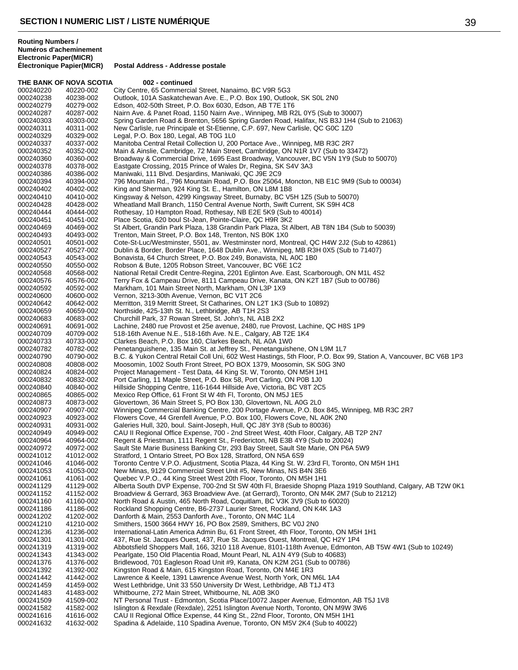THE BANK OF NOVA SCOTIA 002 - continued 000240220 40220-002 City Centre, 65 Commercial Street, Nanaimo, BC V9R 5G3<br>000240238 40238-002 Outlook, 101A Saskatchewan Ave. E., P.O. Box 190, Outloo 000240238 40238-002 Outlook, 101A Saskatchewan Ave. E., P.O. Box 190, Outlook, SK S0L 2N0<br>000240279 40279-002 Edson. 402-50th Street. P.O. Box 6030. Edson. AB T7E 1T6 Edson, 402-50th Street, P.O. Box 6030, Edson, AB T7E 1T6 000240287 40287-002 Nairn Ave. & Panet Road, 1150 Nairn Ave., Winnipeg, MB R2L 0Y5 (Sub to 30007) Spring Garden Road & Brenton, 5656 Spring Garden Road, Halifax, NS B3J 1H4 (Sub to 21063) 000240311 40311-002 New Carlisle, rue Principale et St-Etienne, C.P. 697, New Carlisle, QC G0C 1Z0<br>000240329 40329-002 Legal, P.O. Box 180, Legal, AB T0G 1L0 000240329 40329-002 Legal, P.O. Box 180, Legal, AB T0G 1L0<br>000240337 40337-002 Manitoba Central Retail Collection U. 200 Manitoba Central Retail Collection U, 200 Portace Ave., Winnipeg, MB R3C 2R7 000240352 40352-002 Main & Ainslie, Cambridge, 72 Main Street, Cambridge, ON N1R 1V7 (Sub to 33472) 000240360 40360-002 Broadway & Commercial Drive, 1695 East Broadway, Vancouver, BC V5N 1Y9 (Sub to 50070)<br>000240378 40378-002 Eastgate Crossing, 2015 Prince of Wales Dr, Regina, SK S4V 3A3 000240378 40378-002 Eastgate Crossing, 2015 Prince of Wales Dr, Regina, SK S4V 3A3<br>000240386 40386-002 Maniwaki, 111 Blvd. Desjardins, Maniwaki, QC J9E 2C9 000240386 40386-002 Maniwaki, 111 Blvd. Desjardins, Maniwaki, QC J9E 2C9 000240394 40394-002 796 Mountain Rd., 796 Mountain Road, P.O. Box 25064, Moncton, NB E1C 9M9 (Sub to 00034)<br>000240402 40402-002 King and Sherman, 924 King St. E., Hamilton, ON L8M 1B8 000240402 40402-002 King and Sherman, 924 King St. E., Hamilton, ON L8M 1B8<br>000240410 40410-002 Kingsway & Nelson, 4299 Kingsway Street, Burnaby, BC V5 Kingsway & Nelson, 4299 Kingsway Street, Burnaby, BC V5H 1Z5 (Sub to 50070) 000240428 40428-002 Wheatland Mall Branch, 1150 Central Avenue North, Swift Current, SK S9H 4C8<br>000240444 40444-002 Rothesay, 10 Hampton Road, Rothesay, NB E2E 5K9 (Sub to 40014) 40444-002 Rothesay, 10 Hampton Road, Rothesay, NB E2E 5K9 (Sub to 40014)<br>40451-002 Place Scotia, 620 boul St-Jean, Pointe-Claire, OC H9R 3K2 000240451 40451-002 Place Scotia, 620 boul St-Jean, Pointe-Claire, QC H9R 3K2 000240469 40469-002 St Albert, Grandin Park Plaza, 138 Grandin Park Plaza, St Albert, AB T8N 1B4 (Sub to 50039)<br>000240493 40493-002 Trenton. Main Street. P.O. Box 148. Trenton. NS B0K 1X0 Trenton, Main Street, P.O. Box 148, Trenton, NS B0K 1X0 000240501 40501-002 Cote-St-Luc/Westminster, 5501, av. Westminster nord, Montreal, QC H4W 2J2 (Sub to 42861)<br>000240527 40527-002 Dublin & Border, Border Place, 1648 Dublin Ave., Winnipeg, MB R3H 0X5 (Sub to 71407) Dublin & Border, Border Place, 1648 Dublin Ave., Winnipeg, MB R3H 0X5 (Sub to 71407) 000240543 40543-002 Bonavista, 64 Church Street, P.O. Box 249, Bonavista, NL A0C 1B0<br>000240550 40550-002 Robson & Bute, 1205 Robson Street, Vancouver, BC V6E 1C2 000240550 40550-002 Robson & Bute, 1205 Robson Street, Vancouver, BC V6E 1C2<br>000240568 40568-002 National Retail Credit Centre-Regina, 2201 Eglinton Ave, East, National Retail Credit Centre-Regina, 2201 Eglinton Ave. East, Scarborough, ON M1L 4S2 000240576 40576-002 Terry Fox & Campeau Drive, 8111 Campeau Drive, Kanata, ON K2T 1B7 (Sub to 00786)<br>000240592 40592-002 Markham, 101 Main Street North, Markham, ON L3P 1X9 Markham, 101 Main Street North, Markham, ON L3P 1X9 000240600 40600-002 Vernon, 3213-30th Avenue, Vernon, BC V1T 2C6<br>000240642 40642-002 Merritton, 319 Merritt Street, St Catharines, ON L2 000240642 40642-002 Merritton, 319 Merritt Street, St Catharines, ON L2T 1K3 (Sub to 10892)<br>000240659 40659-002 Northside, 425-13th St, N., Lethbridge, AB T1H 2S3 Northside, 425-13th St. N., Lethbridge, AB T1H 2S3 000240683 40683-002 Churchill Park, 37 Rowan Street, St. John's, NL A1B 2X2 40691-002 Lachine, 2480 rue Provost et 25e avenue, 2480, rue Provost, Lachine, QC H8S 1P9<br>40709-002 518-16th Avenue N.E., 518-16th Ave. N.E., Calgary, AB T2E 1K4 000240709 40709-002 518-16th Avenue N.E., 518-16th Ave. N.E., Calgary, AB T2E 1K4<br>000240733 40733-002 Clarkes Beach, P.O. Box 160, Clarkes Beach, NL A0A 1W0 000240733 40733-002 Clarkes Beach, P.O. Box 160, Clarkes Beach, NL A0A 1W0 000240782 40782-002 Penetanguishene, 135 Main St. at Jeffrey St., Penetanguishene, ON L9M 1L7 000240790 40790-002 B.C. & Yukon Central Retail Coll Uni, 602 West Hastings, 5th Floor, P.O. Box 99, Station A, Vancouver, BC V6B 1P3<br>000240808 40808-002 Moosomin, 1002 South Front Street, PO BOX 1379, Moosomin, SK S0G 3N0 000240808 40808-002 Moosomin, 1002 South Front Street, PO BOX 1379, Moosomin, SK S0G 3N0<br>000240824 40824-002 Project Management - Test Data, 44 King St. W, Toronto, ON M5H 1H1 000240824 40824-002 Project Management - Test Data, 44 King St. W, Toronto, ON M5H 1H1<br>000240832 40832-002 Port Carling, 11 Maple Street, P.O. Box 58, Port Carling, ON P0B 1J0 000240832 40832-002 Port Carling, 11 Maple Street, P.O. Box 58, Port Carling, ON P0B 1J0 000240840 40840-002 Hillside Shopping Centre, 116-1644 Hillside Ave, Victoria, BC V8T 2C5<br>000240865 40865-002 Mexico Rep Office, 61 Front St W 4th Fl, Toronto, ON M5J 1E5 000240865 40865-002 Mexico Rep Office, 61 Front St W 4th Fl, Toronto, ON M5J 1E5<br>000240873 40873-002 Glovertown. 36 Main Street S. PO Box 130. Glovertown. NL A0 Glovertown, 36 Main Street S, PO Box 130, Glovertown, NL A0G 2L0 000240907 40907-002 Winnipeg Commercial Banking Centre, 200 Portage Avenue, P.O. Box 845, Winnipeg, MB R3C 2R7<br>000240923 40923-002 Flowers Cove, 44 Grenfell Avenue, P.O. Box 100, Flowers Cove, NL A0K 2N0 Flowers Cove, 44 Grenfell Avenue, P.O. Box 100, Flowers Cove, NL A0K 2N0 000240931 40931-002 Galeries Hull, 320, boul. Saint-Joseph, Hull, QC J8Y 3Y8 (Sub to 80036) 000240949 40949-002 CAU II Regional Office Expense, 700 - 2nd Street West, 40th Floor, Calgary, AB T2P 2N7<br>000240964 40964-002 Regent & Priestman, 1111 Regent St., Fredericton, NB E3B 4Y9 (Sub to 20024) Regent & Priestman, 1111 Regent St., Fredericton, NB E3B 4Y9 (Sub to 20024) 000240972 40972-002 Sault Ste Marie Business Banking Ctr, 293 Bay Street, Sault Ste Marie, ON P6A 5W9<br>000241012 41012-002 Stratford, 1 Ontario Street, PO Box 128, Stratford, ON N5A 6S9 Stratford, 1 Ontario Street, PO Box 128, Stratford, ON N5A 6S9 000241046 41046-002 Toronto Centre V.P.O. Adjustment, Scotia Plaza, 44 King St. W. 23rd Fl, Toronto, ON M5H 1H1<br>000241053 41053-002 New Minas, 9129 Commercial Street Unit #5, New Minas, NS B4N 3E6 000241053 41053-002 New Minas, 9129 Commercial Street Unit #5, New Minas, NS B4N 3E6<br>000241061 41061-002 Ouebec V.P.O., 44 King Street West 20th Floor, Toronto, ON M5H 1H1 Quebec V.P.O., 44 King Street West 20th Floor, Toronto, ON M5H 1H1 000241129 41129-002 Alberta South DVP Expense, 700-2nd St SW 40th Fl, Braeside Shopng Plaza 1919 Southland, Calgary, AB T2W 0K1<br>000241152 41152-002 Broadview & Gerrard, 363 Broadview Ave. (at Gerrard), Toronto, ON M4K 2M7 Broadview & Gerrard, 363 Broadview Ave. (at Gerrard), Toronto, ON M4K 2M7 (Sub to 21212) 000241160 41160-002 North Road & Austin, 465 North Road, Coquitlam, BC V3K 3V9 (Sub to 60020)<br>000241186 41186-002 Rockland Shopping Centre, B6-2737 Laurier Street, Rockland, ON K4K 1A3 000241186 41186-002 Rockland Shopping Centre, B6-2737 Laurier Street, Rockland, ON K4K 1A3<br>000241202 41202-002 Danforth & Main, 2553 Danforth Ave., Toronto, ON M4C 1L4 000241202 41202-002 Danforth & Main, 2553 Danforth Ave., Toronto, ON M4C 1L4<br>000241210 41210-002 Smithers, 1500 3664 HWY 16, PO Box 2589, Smithers, BC \ 000241210 41210-002 Smithers, 1500 3664 HWY 16, PO Box 2589, Smithers, BC V0J 2N0<br>000241236 41236-002 International-Latin America Admin Bu, 61 Front Street, 4th Floor, Tor International-Latin America Admin Bu, 61 Front Street, 4th Floor, Toronto, ON M5H 1H1 000241301 41301-002 437, Rue St. Jacques Ouest, 437, Rue St. Jacques Ouest, Montreal, QC H2Y 1P4 000241319 41319-002 Abbotsfield Shoppers Mall, 166, 3210 118 Avenue, 8101-118th Avenue, Edmonton, AB T5W 4W1 (Sub to 10249) 000241343 41343-002 Pearlgate, 150 Old Placentia Road, Mount Pearl, NL A1N 4Y9 (Sub to 40683) 000241376 41376-002 Bridlewood, 701 Eagleson Road Unit #9, Kanata, ON K2M 2G1 (Sub to 00786)<br>000241392 41392-002 Kingston Road & Main. 615 Kingston Road. Toronto. ON M4E 1R3 Kingston Road & Main, 615 Kingston Road, Toronto, ON M4E 1R3 000241442 41442-002 Lawrence & Keele, 1391 Lawrence Avenue West, North York, ON M6L 1A4<br>000241459 41459-002 West Lethbridge, Unit 33 550 University Dr West, Lethbridge, AB T1J 4T3 West Lethbridge, Unit 33 550 University Dr West, Lethbridge, AB T1J 4T3 000241483 41483-002 Whitbourne, 272 Main Street, Whitbourne, NL A0B 3K0<br>000241509 41509-002 NT Personal Trust - Edmonton, Scotia Place/10072 Jas 000241509 41509-002 NT Personal Trust - Edmonton, Scotia Place/10072 Jasper Avenue, Edmonton, AB T5J 1V8<br>000241582 41582-002 Islington & Rexdale (Rexdale), 2251 Islington Avenue North, Toronto, ON M9W 3W6 Islington & Rexdale (Rexdale), 2251 Islington Avenue North, Toronto, ON M9W 3W6 000241616 41616-002 CAU II Regional Office Expense, 44 King St., 22nd Floor, Toronto, ON M5H 1H1<br>000241632 41632-002 Spadina & Adelaide, 110 Spadina Avenue, Toronto, ON M5V 2K4 (Sub to 40022 Spadina & Adelaide, 110 Spadina Avenue, Toronto, ON M5V 2K4 (Sub to 40022)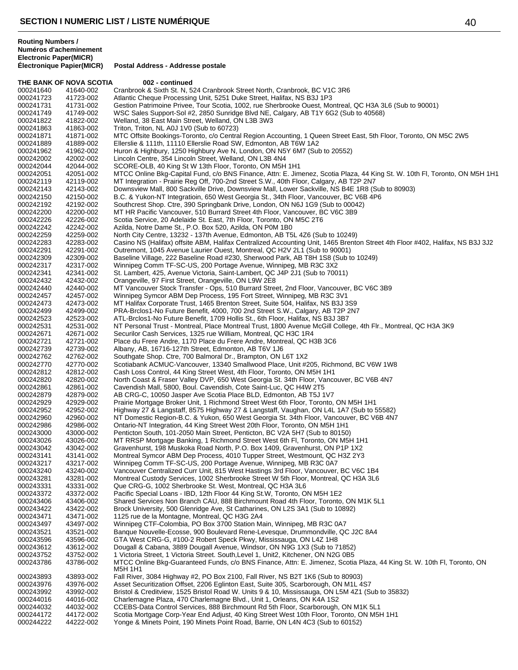**Routing Numbers / Numéros d'acheminement Electronic Paper(MICR)**

|           | THE BANK OF NOVA SCOTIA | 002 - continued                                                                                                                   |
|-----------|-------------------------|-----------------------------------------------------------------------------------------------------------------------------------|
| 000241640 | 41640-002               | Cranbrook & Sixth St. N, 524 Cranbrook Street North, Cranbrook, BC V1C 3R6                                                        |
| 000241723 | 41723-002               | Atlantic Cheque Processing Unit, 5251 Duke Street, Halifax, NS B3J 1P3                                                            |
| 000241731 | 41731-002               | Gestion Patrimoine Privee, Tour Scotia, 1002, rue Sherbrooke Ouest, Montreal, QC H3A 3L6 (Sub to 90001)                           |
| 000241749 | 41749-002               | WSC Sales Support-Sol #2, 2850 Sunridge Blvd NE, Calgary, AB T1Y 6G2 (Sub to 40568)                                               |
| 000241822 | 41822-002               | Welland, 38 East Main Street, Welland, ON L3B 3W3                                                                                 |
| 000241863 | 41863-002               | Triton, Triton, NL A0J 1V0 (Sub to 60723)                                                                                         |
| 000241871 | 41871-002               | MTC Offsite Bookings-Toronto, c/o Central Region Accounting, 1 Queen Street East, 5th Floor, Toronto, ON M5C 2W5                  |
| 000241889 | 41889-002               | Ellerslie & 111th, 11110 Ellerslie Road SW, Edmonton, AB T6W 1A2                                                                  |
| 000241962 | 41962-002               | Huron & Highbury, 1250 Highbury Ave N, London, ON N5Y 6M7 (Sub to 20552)                                                          |
| 000242002 | 42002-002               | Lincoln Centre, 354 Lincoln Street, Welland, ON L3B 4N4                                                                           |
| 000242044 | 42044-002               | SCORE-OLB, 40 King St W 13th Floor, Toronto, ON M5H 1H1                                                                           |
| 000242051 | 42051-002               | MTCC Online Bkg-Capital Fund, c/o BNS Finance, Attn: E. Jimenez, Scotia Plaza, 44 King St. W. 10th Fl, Toronto, ON M5H 1H1        |
| 000242119 | 42119-002               | MT Integration - Prairie Reg Off, 700-2nd Street S.W., 40th Floor, Calgary, AB T2P 2N7                                            |
| 000242143 | 42143-002               | Downsview Mall, 800 Sackville Drive, Downsview Mall, Lower Sackville, NS B4E 1R8 (Sub to 80903)                                   |
| 000242150 | 42150-002               | B.C. & Yukon-NT Integratioin, 650 West Georgia St., 34th Floor, Vancouver, BC V6B 4P6                                             |
| 000242192 | 42192-002               | Southcrest Shop. Ctre, 390 Springbank Drive, London, ON N6J 1G9 (Sub to 00042)                                                    |
| 000242200 | 42200-002               | MT HR Pacific Vancouver, 510 Burrard Street 4th Floor, Vancouver, BC V6C 3B9                                                      |
| 000242226 | 42226-002               |                                                                                                                                   |
|           |                         | Scotia Service, 20 Adelaide St. East, 7th Floor, Toronto, ON M5C 2T6                                                              |
| 000242242 | 42242-002               | Azilda, Notre Dame St., P.O. Box 520, Azilda, ON P0M 1B0                                                                          |
| 000242259 | 42259-002               | North City Centre, 13232 - 137th Avenue, Edmonton, AB T5L 4Z6 (Sub to 10249)                                                      |
| 000242283 | 42283-002               | Casino NS (Halifax) offsite ABM, Halifax Centralized Accounting Unit, 1465 Brenton Street 4th Floor #402, Halifax, NS B3J 3J2     |
| 000242291 | 42291-002               | Outremont, 1045 Avenue Laurier Ouest, Montreal, QC H2V 2L1 (Sub to 90001)                                                         |
| 000242309 | 42309-002               | Baseline Village, 222 Baseline Road #230, Sherwood Park, AB T8H 1S8 (Sub to 10249)                                                |
| 000242317 | 42317-002               | Winnipeg Comm TF-SC-US, 200 Portage Avenue, Winnipeg, MB R3C 3X2                                                                  |
| 000242341 | 42341-002               | St. Lambert, 425, Avenue Victoria, Saint-Lambert, QC J4P 2J1 (Sub to 70011)                                                       |
| 000242432 | 42432-002               | Orangeville, 97 First Street, Orangeville, ON L9W 2E8                                                                             |
| 000242440 | 42440-002               | MT Vancouver Stock Transfer - Ops, 510 Burrard Street, 2nd Floor, Vancouver, BC V6C 3B9                                           |
| 000242457 | 42457-002               | Winnipeg Symcor ABM Dep Process, 195 Fort Street, Winnipeg, MB R3C 3V1                                                            |
| 000242473 | 42473-002               | MT Halifax Corporate Trust, 1465 Brenton Street, Suite 504, Halifax, NS B3J 3S9                                                   |
| 000242499 | 42499-002               | PRA-Brclos1-No Future Benefit, 4000, 700 2nd Street S.W., Calgary, AB T2P 2N7                                                     |
| 000242523 | 42523-002               | ATL-Brclos1-No Future Benefit, 1709 Hollis St., 6th Floor, Halifax, NS B3J 3B7                                                    |
| 000242531 | 42531-002               | NT Personal Trust - Montreal, Place Montreal Trust, 1800 Avenue McGill College, 4th Flr., Montreal, QC H3A 3K9                    |
| 000242671 | 42671-002               | Securilor Cash Services, 1325 rue William, Montreal, QC H3C 1R4                                                                   |
| 000242721 | 42721-002               | Place du Frere Andre, 1170 Place du Frere Andre, Montreal, QC H3B 3C6                                                             |
| 000242739 | 42739-002               | Albany, AB, 16716-127th Street, Edmonton, AB T6V 1J6                                                                              |
| 000242762 | 42762-002               | Southgate Shop. Ctre, 700 Balmoral Dr., Brampton, ON L6T 1X2                                                                      |
| 000242770 | 42770-002               | Scotiabank ACMUC-Vancouver, 13340 Smallwood Place, Unit #205, Richmond, BC V6W 1W8                                                |
| 000242812 | 42812-002               | Cash Loss Control, 44 King Street West, 4th Floor, Toronto, ON M5H 1H1                                                            |
| 000242820 | 42820-002               | North Coast & Fraser Valley DVP, 650 West Georgia St. 34th Floor, Vancouver, BC V6B 4N7                                           |
| 000242861 | 42861-002               | Cavendish Mall, 5800, Boul. Cavendish, Cote Saint-Luc, QC H4W 2T5                                                                 |
| 000242879 | 42879-002               | AB CRG-C, 10050 Jasper Ave Scotia Place BLD, Edmonton, AB T5J 1V7                                                                 |
| 000242929 | 42929-002               | Prairie Mortgage Broker Unit, 1 Richmond Street West 6th Floor, Toronto, ON M5H 1H1                                               |
| 000242952 | 42952-002               | Highway 27 & Langstaff, 8575 Highway 27 & Langstaff, Vaughan, ON L4L 1A7 (Sub to 55582)                                           |
| 000242960 | 42960-002               | NT Domestic Region-B.C. & Yukon, 650 West Georgia St. 34th Floor, Vancouver, BC V6B 4N7                                           |
| 000242986 | 42986-002               | Ontario-NT Integration, 44 King Street West 20th Floor, Toronto, ON M5H 1H1                                                       |
| 000243000 | 43000-002               | Penticton South, 101-2050 Main Street, Penticton, BC V2A 5H7 (Sub to 80150)                                                       |
| 000243026 | 43026-002               | MT RRSP Mortgage Banking, 1 Richmond Street West 6th FI, Toronto, ON M5H 1H1                                                      |
| 000243042 | 43042-002               | Gravenhurst, 198 Muskoka Road North, P.O. Box 1409, Gravenhurst, ON P1P 1X2                                                       |
| 000243141 | 43141-002               | Montreal Symcor ABM Dep Process, 4010 Tupper Street, Westmount, QC H3Z 2Y3                                                        |
| 000243217 | 43217-002               | Winnipeg Comm TF-SC-US, 200 Portage Avenue, Winnipeg, MB R3C 0A7                                                                  |
| 000243240 | 43240-002               | Vancouver Centralized Curr Unit, 815 West Hastings 3rd Floor, Vancouver, BC V6C 1B4                                               |
| 000243281 | 43281-002               | Montreal Custody Services, 1002 Sherbrooke Street W 5th Floor, Montreal, QC H3A 3L6                                               |
| 000243331 | 43331-002               | Que CRG-G, 1002 Sherbrooke St. West, Montreal, QC H3A 3L6                                                                         |
| 000243372 | 43372-002               | Pacific Special Loans - IBD, 12th Floor 44 King St.W, Toronto, ON M5H 1E2                                                         |
| 000243406 | 43406-002               | Shared Services Non Branch CAU, 888 Birchmount Road 4th Floor, Toronto, ON M1K 5L1                                                |
| 000243422 | 43422-002               | Brock University, 500 Glenridge Ave, St Catharines, ON L2S 3A1 (Sub to 10892)                                                     |
| 000243471 | 43471-002               | 1125 rue de la Montagne, Montreal, QC H3G 2A4                                                                                     |
| 000243497 | 43497-002               | Winnipeg CTF-Colombia, PO Box 3700 Station Main, Winnipeg, MB R3C 0A7                                                             |
| 000243521 | 43521-002               | Banque Nouvelle-Ecosse, 900 Boulevard Rene-Levesque, Drummondville, QC J2C 8A4                                                    |
| 000243596 | 43596-002               | GTA West CRG-G, #100-2 Robert Speck Pkwy, Mississauga, ON L4Z 1H8                                                                 |
| 000243612 | 43612-002               | Dougall & Cabana, 3889 Dougall Avenue, Windsor, ON N9G 1X3 (Sub to 71852)                                                         |
| 000243752 | 43752-002               | 1 Victoria Street, 1 Victoria Street. South, Level 1, Unit2, Kitchener, ON N2G 0B5                                                |
| 000243786 | 43786-002               | MTCC Online Bkg-Guaranteed Funds, c/o BNS Finance, Attn: E. Jimenez, Scotia Plaza, 44 King St. W. 10th Fl, Toronto, ON<br>M5H 1H1 |
| 000243893 | 43893-002               | Fall River, 3084 Highway #2, PO Box 2100, Fall River, NS B2T 1K6 (Sub to 80903)                                                   |
| 000243976 | 43976-002               | Asset Securitization Offset, 2206 Eglinton East, Suite 305, Scarborough, ON M1L 4S7                                               |
| 000243992 | 43992-002               | Bristol & Creditview, 1525 Bristol Road W. Units 9 & 10, Mississauga, ON L5M 4Z1 (Sub to 35832)                                   |
| 000244016 | 44016-002               | Charlemagne Plaza, 470 Charlemagne Blvd., Unit 1, Orleans, ON K4A 1S2                                                             |
| 000244032 | 44032-002               | CCEBS-Data Control Services, 888 Birchmount Rd 5th Floor, Scarborough, ON M1K 5L1                                                 |
| 000244172 | 44172-002               | Scotia Mortgage Corp-Year End Adjust, 40 King Street West 10th Floor, Toronto, ON M5H 1H1                                         |
| 000244222 | 44222-002               | Yonge & Minets Point, 190 Minets Point Road, Barrie, ON L4N 4C3 (Sub to 60152)                                                    |
|           |                         |                                                                                                                                   |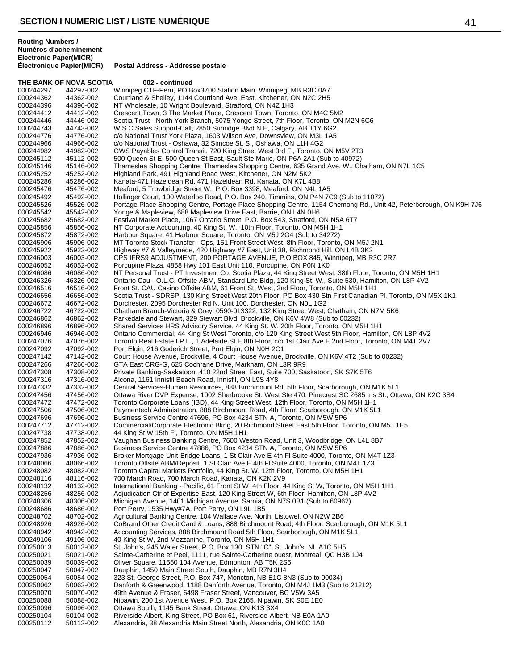THE BANK OF NOVA SCOTIA 002 - continued 000244297 44297-002 Winnipeg CTF-Peru, PO Box3700 Station Main, Winnipeg, MB R3C 0A7<br>000244362 44362-002 Courtland & Shelley, 1144 Courtland Ave. East, Kitchener, ON N2C 2H5 000244362 44362-002 Courtland & Shelley, 1144 Courtland Ave. East, Kitchener, ON N2C 2H5<br>000244396 44396-002 NT Wholesale. 10 Wright Boulevard. Stratford. ON N4Z 1H3 NT Wholesale, 10 Wright Boulevard, Stratford, ON N4Z 1H3 000244412 44412-002 Crescent Town, 3 The Market Place, Crescent Town, Toronto, ON M4C 5M2<br>000244446 44446-002 Scotia Trust - North York Branch, 5075 Yonge Street, 7th Floor, Toronto, ON Scotia Trust - North York Branch, 5075 Yonge Street, 7th Floor, Toronto, ON M2N 6C6 000244743 44743-002 W S C Sales Support-Call, 2850 Sunridge Blvd N.E, Calgary, AB T1Y 6G2 000244776 44776-002 c/o National Trust York Plaza, 1603 Wilson Ave, Downsview, ON M3L 1A5<br>000244966 44966-002 c/o National Trust - Oshawa, 32 Simcoe St. S., Oshawa, ON L1H 4G2 c/o National Trust - Oshawa, 32 Simcoe St. S., Oshawa, ON L1H 4G2 000244982 44982-002 GWS Payables Control Transit, 720 King Street West 3rd Fl, Toronto, ON M5V 2T3<br>000245112 45112-002 500 Queen St E, 500 Queen St East, Sault Ste Marie, ON P6A 2A1 (Sub to 40972) 000245112 45112-002 500 Queen St E, 500 Queen St East, Sault Ste Marie, ON P6A 2A1 (Sub to 40972) 000245146 45146-002 Thameslea Shopping Centre, Thameslea Shopping Centre, 635 Grand Ave. W., Chatham, ON N7L 1C5<br>000245252 45252-002 Highland Park, 491 Highland Road West, Kitchener, ON N2M 5K2 000245252 45252-002 Highland Park, 491 Highland Road West, Kitchener, ON N2M 5K2 000245286 45286-002 Kanata-471 Hazeldean Rd, 471 Hazeldean Rd, Kanata, ON K7L 4B8<br>000245476 45476-002 Meaford, 5 Trowbridge Street W., P.O. Box 3398, Meaford, ON N4L 1 000245476 45476-002 Meaford, 5 Trowbridge Street W., P.O. Box 3398, Meaford, ON N4L 1A5<br>000245492 45492-002 Hollinger Court, 100 Waterloo Road, P.O. Box 240, Timmins, ON P4N 70 000245492 45492-002 Hollinger Court, 100 Waterloo Road, P.O. Box 240, Timmins, ON P4N 7C9 (Sub to 11072) 000245526 45526-002 Portage Place Shopping Centre, Portage Place Shopping Centre, 1154 Chemong Rd., Unit 42, Peterborough, ON K9H 7J6<br>000245542 45542-002 Yonge & Mapleview, 688 Mapleview Drive East, Barrie, ON L4N 0H6 000245542 45542-002 Yonge & Mapleview, 688 Mapleview Drive East, Barrie, ON L4N 0H6 000245682 45682-002 Festival Market Place, 1067 Ontario Street, P.O. Box 543, Stratford, ON N5A 6T7<br>000245856 45856-002 NT Corporate Accounting, 40 King St. W., 10th Floor, Toronto, ON M5H 1H1 000245856 45856-002 NT Corporate Accounting, 40 King St. W., 10th Floor, Toronto, ON M5H 1H1<br>000245872 45872-002 Harbour Square, 41 Harbour Square, Toronto, ON M5J 2G4 (Sub to 34272) Harbour Square, 41 Harbour Square, Toronto, ON M5J 2G4 (Sub to 34272) 000245906 45906-002 MT Toronto Stock Transfer - Ops, 151 Front Street West, 8th Floor, Toronto, ON M5J 2N1<br>000245922 45922-002 Highway #7 & Valleymede, 420 Highway #7 East, Unit 38, Richmond Hill, ON L4B 3K2 Highway #7 & Valleymede, 420 Highway #7 East, Unit 38, Richmond Hill, ON L4B 3K2 000246003 46003-002 CPS IFRS9 ADJUSTMENT, 200 PORTAGE AVENUE, P.O BOX 845, Winnipeg, MB R3C 2R7<br>000246052 46052-002 Porcupine Plaza, 4858 Hwy 101 East Unit 110, Porcupine, ON P0N 1K0 000246052 46052-002 Porcupine Plaza, 4858 Hwy 101 East Unit 110, Porcupine, ON P0N 1K0<br>000246086 46086-002 NT Personal Trust - PT Investment Co. Scotia Plaza, 44 King Street Wes NT Personal Trust - PT Investment Co, Scotia Plaza, 44 King Street West, 38th Floor, Toronto, ON M5H 1H1 000246326 46326-002 Ontario Cau - O.L.C. Offsite ABM, Standard Life Bldg, 120 King St. W., Suite 530, Hamilton, ON L8P 4V2<br>000246516 46516-002 Front St. CAU Casino Offsite ABM, 61 Front St. West, 2nd Floor, Toronto, ON M5H Front St. CAU Casino Offsite ABM, 61 Front St. West, 2nd Floor, Toronto, ON M5H 1H1 000246656 46656-002 Scotia Trust - SDRSP, 130 King Street West 20th Floor, PO Box 430 Stn First Canadian Pl, Toronto, ON M5X 1K1<br>000246672 46672-002 Dorchester, 2095 Dorchester Rd N, Unit 100, Dorchester, ON N0L 1G2 000246672 46672-002 Dorchester, 2095 Dorchester Rd N, Unit 100, Dorchester, ON N0L 1G2 Chatham Branch-Victoria & Grey, 0590-013322, 132 King Street West, Chatham, ON N7M 5K6 000246862 46862-002 Parkedale and Stewart, 329 Stewart Blvd, Brockville, ON K6V 4W8 (Sub to 00232)<br>000246896 46896-002 Shared Services HRS Advisory Service, 44 King St. W. 20th Floor, Toronto, ON M! 000246896 46896-002 Shared Services HRS Advisory Service, 44 King St. W. 20th Floor, Toronto, ON M5H 1H1<br>000246946 46946-002 Ontario Commercial, 44 King St West Toronto, c/o 120 King Street West 5th Floor, Hamilt 000246946 46946-002 Ontario Commercial, 44 King St West Toronto, c/o 120 King Street West 5th Floor, Hamilton, ON L8P 4V2<br>000247076 47076-002 Toronto Real Estate I.P.L., 1 Adelaide St E 8th Floor, c/o 1st Clair Ave E 2nd F 000247076 47076-002 Toronto Real Estate I.P.L., 1 Adelaide St E 8th Floor, c/o 1st Clair Ave E 2nd Floor, Toronto, ON M4T 2V7<br>000247092 47092-002 Port Floin, 216 Goderich Street, Port Floin, ON N0H 2C1 000247092 47092-002 Port Elgin, 216 Goderich Street, Port Elgin, ON N0H 2C1<br>000247142 47142-002 Court House Avenue, Brockville, 4 Court House Avenue, 000247142 47142-002 Court House Avenue, Brockville, 4 Court House Avenue, Brockville, ON K6V 4T2 (Sub to 00232)<br>000247266 47266-002 GTA East CRG-G, 625 Cochrane Drive, Markham, ON L3R 9R9 GTA East CRG-G, 625 Cochrane Drive, Markham, ON L3R 9R9 000247308 47308-002 Private Banking-Saskatoon, 410 22nd Street East, Suite 700, Saskatoon, SK S7K 5T6<br>000247316 47316-002 Alcona, 1161 Innisfil Beach Road, Innisfil, ON L9S 4Y8 000247316 47316-002 Alcona, 1161 Innisfil Beach Road, Innisfil, ON L9S 4Y8 000247332 47332-002 Central Services-Human Resources, 888 Birchmount Rd, 5th Floor, Scarborough, ON M1K 5L1<br>000247456 47456-002 Ottawa River DVP Expense, 1002 Sherbrooke St. West Ste 470, Pinecrest SC 2685 Iris St., Ott 000247456 47456-002 Ottawa River DVP Expense, 1002 Sherbrooke St. West Ste 470, Pinecrest SC 2685 Iris St., Ottawa, ON K2C 3S4<br>000247472 47472-002 Toronto Corporate Loans (IBD). 44 King Street West. 12th Floor. Toronto. ON Toronto Corporate Loans (IBD), 44 King Street West, 12th Floor, Toronto, ON M5H 1H1 000247506 47506-002 Paymentech Administration, 888 Birchmount Road, 4th Floor, Scarborough, ON M1K 5L1<br>000247696 47696-002 Business Service Centre 47696, PO Box 4234 STN A, Toronto, ON M5W 5P6 Business Service Centre 47696, PO Box 4234 STN A, Toronto, ON M5W 5P6 000247712 47712-002 Commercial/Corporate Electronic Bkng, 20 Richmond Street East 5th Floor, Toronto, ON M5J 1E5<br>000247738 47738-002 44 King St W 15th Fl, Toronto, ON M5H 1H1 000247738 47738-002 44 King St W 15th Fl, Toronto, ON M5H 1H1 Vaughan Business Banking Centre, 7600 Weston Road, Unit 3, Woodbridge, ON L4L 8B7 000247886 47886-002 Business Service Centre 47886, PO Box 4234 STN A, Toronto, ON M5W 5P6<br>000247936 47936-002 Broker Mortgage Unit-Bridge Loans, 1 St Clair Ave E 4th FI Suite 4000, Toront Broker Mortgage Unit-Bridge Loans, 1 St Clair Ave E 4th Fl Suite 4000, Toronto, ON M4T 1Z3 000248066 48066-002 Toronto Offsite ABM/Deposit, 1 St Clair Ave E 4th Fl Suite 4000, Toronto, ON M4T 1Z3<br>000248082 48082-002 Toronto Capital Markets Portfolio, 44 King St. W. 12th Floor, Toronto, ON M5H 1H1 000248082 48082-002 Toronto Capital Markets Portfolio, 44 King St. W. 12th Floor, Toronto, ON M5H 1H1<br>000248116 48116-002 700 March Road, 700 March Road, Kanata, ON K2K 2V9 700 March Road, 700 March Road, Kanata, ON K2K 2V9 000248132 48132-002 International Banking - Pacific, 61 Front St W 4th Floor, 44 King St W, Toronto, ON M5H 1H1<br>000248256 48256-002 Adjudication Ctr of Expertise-East, 120 King Street W, 6th Floor, Hamilton, ON L8P 4V2 000248256 48256-002 Adjudication Ctr of Expertise-East, 120 King Street W, 6th Floor, Hamilton, ON L8P 4V2<br>000248306 48306-002 Michigan Avenue, 1401 Michigan Avenue, Sarnia, ON N7S 0B1 (Sub to 60962) 000248306 48306-002 Michigan Avenue, 1401 Michigan Avenue, Sarnia, ON N7S 0B1 (Sub to 60962)<br>000248686 48686-002 Port Perry. 1535 Hwv#7A. Port Perry. ON L9L 1B5 000248686 48686-002 Port Perry, 1535 Hwy#7A, Port Perry, ON L9L 1B5 000248702 48702-002 Agricultural Banking Centre, 104 Wallace Ave. North, Listowel, ON N2W 2B6<br>000248926 48926-002 CoBrand Other Credit Card & Loans, 888 Birchmount Road, 4th Floor, Scarbo 000248926 48926-002 CoBrand Other Credit Card & Loans, 888 Birchmount Road, 4th Floor, Scarborough, ON M1K 5L1<br>000248942 48942-002 Accounting Services, 888 Birchmount Road 5th Floor, Scarborough, ON M1K 5L1 Accounting Services, 888 Birchmount Road 5th Floor, Scarborough, ON M1K 5L1 000249106 49106-002 40 King St W, 2nd Mezzanine, Toronto, ON M5H 1H1<br>000250013 50013-002 St. John's, 245 Water Street, P.O. Box 130, STN "C", 000250013 50013-002 St. John's, 245 Water Street, P.O. Box 130, STN "C", St. John's, NL A1C 5H5<br>000250021 50021-002 Sainte-Catherine et Peel, 1111, rue Sainte-Catherine ouest, Montreal, QC H3 000250021 50021-002 Sainte-Catherine et Peel, 1111, rue Sainte-Catherine ouest, Montreal, QC H3B 1J4<br>000250039 50039-002 Oliver Square, 11550 104 Avenue, Edmonton, AB T5K 2S5 000250039 50039-002 Oliver Square, 11550 104 Avenue, Edmonton, AB T5K 2S5<br>000250047 50047-002 Dauphin, 1450 Main Street South, Dauphin, MB R7N 3H4 Dauphin, 1450 Main Street South, Dauphin, MB R7N 3H4 000250054 50054-002 323 St. George Street, P.O. Box 747, Moncton, NB E1C 8N3 (Sub to 00034) Danforth & Greenwood, 1188 Danforth Avenue, Toronto, ON M4J 1M3 (Sub to 21212) 000250070 50070-002 49th Avenue & Fraser, 6498 Fraser Street, Vancouver, BC V5W 3A5 000250088 50088-002 Nipawin, 200 1st Avenue West, P.O. Box 2165, Nipawin, SK S0E 1E0<br>000250096 50096-002 Ottawa South. 1145 Bank Street. Ottawa. ON K1S 3X4 Ottawa South, 1145 Bank Street, Ottawa, ON K1S 3X4 000250104 50104-002 Riverside-Albert, King Street, PO Box 61, Riverside-Albert, NB E0A 1A0<br>000250112 50112-002 Alexandria, 38 Alexandria Main Street North, Alexandria, ON K0C 1A0 Alexandria, 38 Alexandria Main Street North, Alexandria, ON K0C 1A0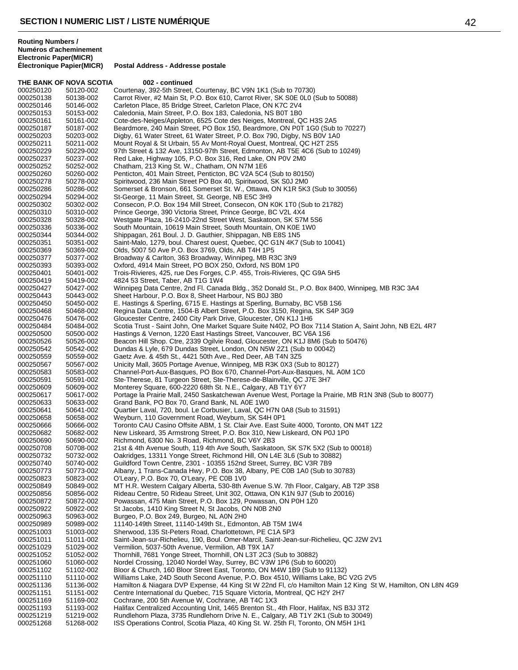|                        | THE BANK OF NOVA SCOTIA | 002 - continued                                                                                                                                                                                |
|------------------------|-------------------------|------------------------------------------------------------------------------------------------------------------------------------------------------------------------------------------------|
| 000250120              | 50120-002               | Courtenay, 392-5th Street, Courtenay, BC V9N 1K1 (Sub to 70730)                                                                                                                                |
| 000250138              | 50138-002               | Carrot River, #2 Main St, P.O. Box 610, Carrot River, SK S0E 0L0 (Sub to 50088)                                                                                                                |
| 000250146              | 50146-002               | Carleton Place, 85 Bridge Street, Carleton Place, ON K7C 2V4                                                                                                                                   |
| 000250153              | 50153-002               | Caledonia, Main Street, P.O. Box 183, Caledonia, NS B0T 1B0                                                                                                                                    |
| 000250161              | 50161-002               | Cote-des-Neiges/Appleton, 6525 Cote des Neiges, Montreal, QC H3S 2A5                                                                                                                           |
| 000250187              | 50187-002               | Beardmore, 240 Main Street, PO Box 150, Beardmore, ON P0T 1G0 (Sub to 70227)                                                                                                                   |
| 000250203              | 50203-002               | Digby, 61 Water Street, 61 Water Street, P.O. Box 790, Digby, NS B0V 1A0                                                                                                                       |
| 000250211<br>000250229 | 50211-002<br>50229-002  | Mount Royal & St Urbain, 55 Av Mont-Royal Ouest, Montreal, QC H2T 2S5<br>97th Street & 132 Ave, 13150-97th Street, Edmonton, AB T5E 4C6 (Sub to 10249)                                         |
| 000250237              | 50237-002               | Red Lake, Highway 105, P.O. Box 316, Red Lake, ON P0V 2M0                                                                                                                                      |
| 000250252              | 50252-002               | Chatham, 213 King St. W., Chatham, ON N7M 1E6                                                                                                                                                  |
| 000250260              | 50260-002               | Penticton, 401 Main Street, Penticton, BC V2A 5C4 (Sub to 80150)                                                                                                                               |
| 000250278              | 50278-002               | Spiritwood, 236 Main Street PO Box 40, Spiritwood, SK S0J 2M0                                                                                                                                  |
| 000250286              | 50286-002               | Somerset & Bronson, 661 Somerset St. W., Ottawa, ON K1R 5K3 (Sub to 30056)                                                                                                                     |
| 000250294              | 50294-002               | St-George, 11 Main Street, St. George, NB E5C 3H9                                                                                                                                              |
| 000250302              | 50302-002               | Consecon, P.O. Box 194 Mill Street, Consecon, ON K0K 1T0 (Sub to 21782)                                                                                                                        |
| 000250310              | 50310-002               | Prince George, 390 Victoria Street, Prince George, BC V2L 4X4<br>Westgate Plaza, 16-2410-22nd Street West, Saskatoon, SK S7M 5S6                                                               |
| 000250328<br>000250336 | 50328-002<br>50336-002  | South Mountain, 10619 Main Street, South Mountain, ON K0E 1W0                                                                                                                                  |
| 000250344              | 50344-002               | Shippagan, 261 Boul. J. D. Gauthier, Shippagan, NB E8S 1N5                                                                                                                                     |
| 000250351              | 50351-002               | Saint-Malo, 1279, boul. Charest ouest, Quebec, QC G1N 4K7 (Sub to 10041)                                                                                                                       |
| 000250369              | 50369-002               | Olds, 5007 50 Ave P.O. Box 3769, Olds, AB T4H 1P5                                                                                                                                              |
| 000250377              | 50377-002               | Broadway & Carlton, 363 Broadway, Winnipeg, MB R3C 3N9                                                                                                                                         |
| 000250393              | 50393-002               | Oxford, 4914 Main Street, PO BOX 250, Oxford, NS B0M 1P0                                                                                                                                       |
| 000250401              | 50401-002               | Trois-Rivieres, 425, rue Des Forges, C.P. 455, Trois-Rivieres, QC G9A 5H5                                                                                                                      |
| 000250419              | 50419-002               | 4824 53 Street, Taber, AB T1G 1W4                                                                                                                                                              |
| 000250427              | 50427-002               | Winnipeg Data Centre, 2nd Fl. Canada Bldg., 352 Donald St., P.O. Box 8400, Winnipeg, MB R3C 3A4<br>Sheet Harbour, P.O. Box 8, Sheet Harbour, NS B0J 3B0                                        |
| 000250443<br>000250450 | 50443-002<br>50450-002  | E. Hastings & Sperling, 6715 E. Hastings at Sperling, Burnaby, BC V5B 1S6                                                                                                                      |
| 000250468              | 50468-002               | Regina Data Centre, 1504-B Albert Street, P.O. Box 3150, Regina, SK S4P 3G9                                                                                                                    |
| 000250476              | 50476-002               | Gloucester Centre, 2400 City Park Drive, Gloucester, ON K1J 1H6                                                                                                                                |
| 000250484              | 50484-002               | Scotia Trust - Saint John, One Market Square Suite N402, PO Box 7114 Station A, Saint John, NB E2L 4R7                                                                                         |
| 000250500              | 50500-002               | Hastings & Vernon, 1220 East Hastings Street, Vancouver, BC V6A 1S6                                                                                                                            |
| 000250526              | 50526-002               | Beacon Hill Shop. Ctre, 2339 Ogilvie Road, Gloucester, ON K1J 8M6 (Sub to 50476)                                                                                                               |
| 000250542              | 50542-002               | Dundas & Lyle, 679 Dundas Street, London, ON N5W 2Z1 (Sub to 00042)                                                                                                                            |
| 000250559              | 50559-002               | Gaetz Ave. & 45th St., 4421 50th Ave., Red Deer, AB T4N 3Z5                                                                                                                                    |
| 000250567              | 50567-002               | Unicity Mall, 3605 Portage Avenue, Winnipeg, MB R3K 0X3 (Sub to 80127)<br>Channel-Port-Aux-Basques, PO Box 670, Channel-Port-Aux-Basques, NL A0M 1C0                                           |
| 000250583<br>000250591 | 50583-002<br>50591-002  | Ste-Therese, 81 Turgeon Street, Ste-Therese-de-Blainville, QC J7E 3H7                                                                                                                          |
| 000250609              | 50609-002               | Monterey Square, 600-2220 68th St. N.E., Calgary, AB T1Y 6Y7                                                                                                                                   |
| 000250617              | 50617-002               | Portage la Prairie Mall, 2450 Saskatchewan Avenue West, Portage la Prairie, MB R1N 3N8 (Sub to 80077)                                                                                          |
| 000250633              | 50633-002               | Grand Bank, PO Box 70, Grand Bank, NL A0E 1W0                                                                                                                                                  |
| 000250641              | 50641-002               | Quartier Laval, 720, boul. Le Corbusier, Laval, QC H7N 0A8 (Sub to 31591)                                                                                                                      |
| 000250658              | 50658-002               | Weyburn, 110 Government Road, Weyburn, SK S4H 0P1                                                                                                                                              |
| 000250666              | 50666-002               | Toronto CAU Casino Offsite ABM, 1 St. Clair Ave. East Suite 4000, Toronto, ON M4T 1Z2                                                                                                          |
| 000250682              | 50682-002               | New Liskeard, 35 Armstrong Street, P.O. Box 310, New Liskeard, ON P0J 1P0                                                                                                                      |
| 000250690<br>000250708 | 50690-002<br>50708-002  | Richmond, 6300 No. 3 Road, Richmond, BC V6Y 2B3<br>21st & 4th Avenue South, 119 4th Ave South, Saskatoon, SK S7K 5X2 (Sub to 00018)                                                            |
| 000250732              | 50732-002               | Oakridges, 13311 Yonge Street, Richmond Hill, ON L4E 3L6 (Sub to 30882)                                                                                                                        |
| 000250740              | 50740-002               | Guildford Town Centre, 2301 - 10355 152nd Street, Surrey, BC V3R 7B9                                                                                                                           |
| 000250773              | 50773-002               | Albany, 1 Trans-Canada Hwy, P.O. Box 38, Albany, PE C0B 1A0 (Sub to 30783)                                                                                                                     |
| 000250823              | 50823-002               | O'Leary, P.O. Box 70, O'Leary, PE C0B 1V0                                                                                                                                                      |
| 000250849              | 50849-002               | MT H.R. Western Calgary Alberta, 530-8th Avenue S.W. 7th Floor, Calgary, AB T2P 3S8                                                                                                            |
| 000250856              | 50856-002               | Rideau Centre, 50 Rideau Street, Unit 302, Ottawa, ON K1N 9J7 (Sub to 20016)                                                                                                                   |
| 000250872<br>000250922 | 50872-002               | Powassan, 475 Main Street, P.O. Box 129, Powassan, ON P0H 1Z0                                                                                                                                  |
| 000250963              | 50922-002<br>50963-002  | St Jacobs, 1410 King Street N, St Jacobs, ON N0B 2N0<br>Burgeo, P.O. Box 249, Burgeo, NL A0N 2H0                                                                                               |
| 000250989              | 50989-002               | 11140-149th Street, 11140-149th St., Edmonton, AB T5M 1W4                                                                                                                                      |
| 000251003              | 51003-002               | Sherwood, 135 St-Peters Road, Charlottetown, PE C1A 5P3                                                                                                                                        |
| 000251011              | 51011-002               | Saint-Jean-sur-Richelieu, 190, Boul. Omer-Marcil, Saint-Jean-sur-Richelieu, QC J2W 2V1                                                                                                         |
| 000251029              | 51029-002               | Vermilion, 5037-50th Avenue, Vermilion, AB T9X 1A7                                                                                                                                             |
| 000251052              | 51052-002               | Thornhill, 7681 Yonge Street, Thornhill, ON L3T 2C3 (Sub to 30882)                                                                                                                             |
| 000251060              | 51060-002               | Nordel Crossing, 12040 Nordel Way, Surrey, BC V3W 1P6 (Sub to 60020)                                                                                                                           |
| 000251102              | 51102-002               | Bloor & Church, 160 Bloor Street East, Toronto, ON M4W 1B9 (Sub to 91132)                                                                                                                      |
| 000251110<br>000251136 | 51110-002<br>51136-002  | Williams Lake, 24D South Second Avenue, P.O. Box 4510, Williams Lake, BC V2G 2V5<br>Hamilton & Niagara DVP Expense, 44 King St W 22nd Fl, c/o Hamilton Main 12 King St W, Hamilton, ON L8N 4G9 |
| 000251151              | 51151-002               | Centre International du Quebec, 715 Square Victoria, Montreal, QC H2Y 2H7                                                                                                                      |
| 000251169              | 51169-002               | Cochrane, 200 5th Avenue W, Cochrane, AB T4C 1X3                                                                                                                                               |
| 000251193              | 51193-002               | Halifax Centralized Accounting Unit, 1465 Brenton St., 4th Floor, Halifax, NS B3J 3T2                                                                                                          |
| 000251219              | 51219-002               | Rundlehorn Plaza, 3735 Rundlehorn Drive N. E., Calgary, AB T1Y 2K1 (Sub to 30049)                                                                                                              |
| 000251268              | 51268-002               | ISS Operations Control, Scotia Plaza, 40 King St. W. 25th Fl, Toronto, ON M5H 1H1                                                                                                              |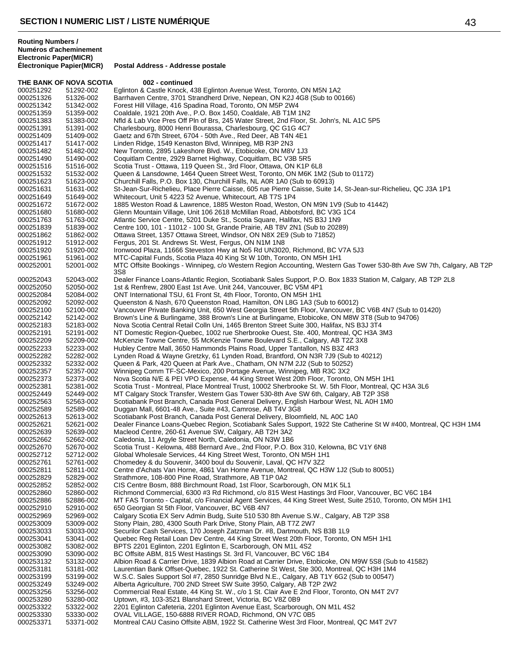|                        | THE BANK OF NOVA SCOTIA | 002 - continued                                                                                                                                                                      |
|------------------------|-------------------------|--------------------------------------------------------------------------------------------------------------------------------------------------------------------------------------|
| 000251292              | 51292-002               | Eglinton & Castle Knock, 438 Eglinton Avenue West, Toronto, ON M5N 1A2                                                                                                               |
| 000251326              | 51326-002               | Barrhaven Centre, 3701 Strandherd Drive, Nepean, ON K2J 4G8 (Sub to 00166)                                                                                                           |
| 000251342              | 51342-002               | Forest Hill Village, 416 Spadina Road, Toronto, ON M5P 2W4                                                                                                                           |
| 000251359              | 51359-002               | Coaldale, 1921 20th Ave., P.O. Box 1450, Coaldale, AB T1M 1N2                                                                                                                        |
| 000251383              | 51383-002               | Nfld & Lab Vice Pres Off Pln of Brs, 245 Water Street, 2nd Floor, St. John's, NL A1C 5P5                                                                                             |
| 000251391              | 51391-002               | Charlesbourg, 8000 Henri Bourassa, Charlesbourg, QC G1G 4C7                                                                                                                          |
| 000251409              | 51409-002               | Gaetz and 67th Street, 6704 - 50th Ave., Red Deer, AB T4N 4E1                                                                                                                        |
| 000251417              | 51417-002               | Linden Ridge, 1549 Kenaston Blvd, Winnipeg, MB R3P 2N3                                                                                                                               |
| 000251482              | 51482-002               | New Toronto, 2895 Lakeshore Blvd. W., Etobicoke, ON M8V 1J3                                                                                                                          |
| 000251490              | 51490-002               | Coquitlam Centre, 2929 Barnet Highway, Coquitlam, BC V3B 5R5                                                                                                                         |
| 000251516              | 51516-002               | Scotia Trust - Ottawa, 119 Queen St., 3rd Floor, Ottawa, ON K1P 6L8                                                                                                                  |
| 000251532              | 51532-002               | Queen & Lansdowne, 1464 Queen Street West, Toronto, ON M6K 1M2 (Sub to 01172)                                                                                                        |
| 000251623              | 51623-002               | Churchill Falls, P.O. Box 130, Churchill Falls, NL A0R 1A0 (Sub to 60913)                                                                                                            |
| 000251631              | 51631-002               | St-Jean-Sur-Richelieu, Place Pierre Caisse, 605 rue Pierre Caisse, Suite 14, St-Jean-sur-Richelieu, QC J3A 1P1                                                                       |
| 000251649              | 51649-002               | Whitecourt, Unit 5 4223 52 Avenue, Whitecourt, AB T7S 1P4                                                                                                                            |
| 000251672              | 51672-002               | 1885 Weston Road & Lawrence, 1885 Weston Road, Weston, ON M9N 1V9 (Sub to 41442)                                                                                                     |
| 000251680              | 51680-002               | Glenn Mountain Village, Unit 106 2618 McMillan Road, Abbotsford, BC V3G 1C4                                                                                                          |
| 000251763              | 51763-002               | Atlantic Service Centre, 5201 Duke St., Scotia Square, Halifax, NS B3J 1N9                                                                                                           |
| 000251839<br>000251862 | 51839-002<br>51862-002  | Centre 100, 101 - 11012 - 100 St, Grande Prairie, AB T8V 2N1 (Sub to 20289)<br>Ottawa Street, 1357 Ottawa Street, Windsor, ON N8X 2E9 (Sub to 71852)                                 |
| 000251912              | 51912-002               | Fergus, 201 St. Andrews St. West, Fergus, ON N1M 1N8                                                                                                                                 |
| 000251920              | 51920-002               | Ironwood Plaza, 11666 Steveston Hwy at No5 Rd UN3020, Richmond, BC V7A 5J3                                                                                                           |
| 000251961              | 51961-002               | MTC-Capital Funds, Scotia Plaza 40 King St W 10th, Toronto, ON M5H 1H1                                                                                                               |
| 000252001              | 52001-002               | MTC Offsite Bookings - Winnipeg, c/o Western Region Accounting, Western Gas Tower 530-8th Ave SW 7th, Calgary, AB T2P                                                                |
|                        |                         | 3S8                                                                                                                                                                                  |
| 000252043              | 52043-002               | Dealer Finance Loans-Atlantic Region, Scotiabank Sales Support, P.O. Box 1833 Station M, Calgary, AB T2P 2L8                                                                         |
| 000252050              | 52050-002               | 1st & Renfrew, 2800 East 1st Ave. Unit 244, Vancouver, BC V5M 4P1                                                                                                                    |
| 000252084              | 52084-002               | ONT International TSU, 61 Front St, 4th Floor, Toronto, ON M5H 1H1                                                                                                                   |
| 000252092              | 52092-002               | Queenston & Nash, 670 Queenston Road, Hamilton, ON L8G 1A3 (Sub to 60012)                                                                                                            |
| 000252100              | 52100-002               | Vancouver Private Banking Unit, 650 West Georgia Street 5th Floor, Vancouver, BC V6B 4N7 (Sub to 01420)                                                                              |
| 000252142              | 52142-002               | Brown's Line & Burlingame, 388 Brown's Line at Burlingame, Etobicoke, ON M8W 3T8 (Sub to 94706)                                                                                      |
| 000252183              | 52183-002               | Nova Scotia Central Retail Colln Uni, 1465 Brenton Street Suite 300, Halifax, NS B3J 3T4                                                                                             |
| 000252191              | 52191-002               | NT Domestic Region-Quebec, 1002 rue Sherbrooke Ouest, Ste. 400, Montreal, QC H3A 3M3                                                                                                 |
| 000252209<br>000252233 | 52209-002<br>52233-002  | McKenzie Towne Centre, 55 McKenzie Towne Boulevard S.E., Calgary, AB T2Z 3X8<br>Hubley Centre Mall, 3650 Hammonds Plains Road, Upper Tantallon, NS B3Z 4R3                           |
| 000252282              | 52282-002               | Lynden Road & Wayne Gretzky, 61 Lynden Road, Brantford, ON N3R 7J9 (Sub to 40212)                                                                                                    |
| 000252332              | 52332-002               | Queen & Park, 420 Queen at Park Ave., Chatham, ON N7M 2J2 (Sub to 50252)                                                                                                             |
| 000252357              | 52357-002               | Winnipeg Comm TF-SC-Mexico, 200 Portage Avenue, Winnipeg, MB R3C 3X2                                                                                                                 |
| 000252373              | 52373-002               | Nova Scotia N/E & PEI VPO Expense, 44 King Street West 20th Floor, Toronto, ON M5H 1H1                                                                                               |
| 000252381              | 52381-002               | Scotia Trust - Montreal, Place Montreal Trust, 10002 Sherbrooke St. W. 5th Floor, Montreal, QC H3A 3L6                                                                               |
| 000252449              | 52449-002               | MT Calgary Stock Transfer, Western Gas Tower 530-8th Ave SW 6th, Calgary, AB T2P 3S8                                                                                                 |
| 000252563              | 52563-002               | Scotiabank Post Branch, Canada Post General Delivery, English Harbour West, NL A0H 1M0                                                                                               |
| 000252589              | 52589-002               | Duggan Mall, 6601-48 Ave., Suite #43, Camrose, AB T4V 3G8                                                                                                                            |
| 000252613              | 52613-002               | Scotiabank Post Branch, Canada Post General Delivery, Bloomfield, NL A0C 1A0                                                                                                         |
| 000252621              | 52621-002               | Dealer Finance Loans-Quebec Region, Scotiabank Sales Support, 1922 Ste Catherine St W #400, Montreal, QC H3H 1M4                                                                     |
| 000252639              | 52639-002               | Macleod Centre, 260-61 Avenue SW, Calgary, AB T2H 3A2                                                                                                                                |
| 000252662              | 52662-002               | Caledonia, 11 Argyle Street North, Caledonia, ON N3W 1B6                                                                                                                             |
| 000252670<br>000252712 | 52670-002<br>52712-002  | Scotia Trust - Kelowna, 488 Bernard Ave., 2nd Floor, P.O. Box 310, Kelowna, BC V1Y 6N8<br>Global Wholesale Services, 44 King Street West, Toronto, ON M5H 1H1                        |
| 000252761              | 52761-002               | Chomedey & du Souvenir, 3400 boul du Souvenir, Laval, QC H7V 3Z2                                                                                                                     |
| 000252811              | 52811-002               | Centre d'Achats Van Horne, 4861 Van Horne Avenue, Montreal, QC H3W 1J2 (Sub to 80051)                                                                                                |
| 000252829              | 52829-002               | Strathmore, 108-800 Pine Road, Strathmore, AB T1P 0A2                                                                                                                                |
| 000252852              | 52852-002               | CIS Centre Bosm, 888 Birchmount Road, 1st Floor, Scarborough, ON M1K 5L1                                                                                                             |
| 000252860              | 52860-002               | Richmond Commercial, 6300 #3 Rd Richmond, c/o 815 West Hastings 3rd Floor, Vancouver, BC V6C 1B4                                                                                     |
| 000252886              | 52886-002               | MT FAS Toronto - Capital, c/o Financial Agent Services, 44 King Street West, Suite 2510, Toronto, ON M5H 1H1                                                                         |
| 000252910              | 52910-002               | 650 Georgian St 5th Floor, Vancouver, BC V6B 4N7                                                                                                                                     |
| 000252969              | 52969-002               | Calgary Scotia EX Serv Admin Budg, Suite 510 530 8th Avenue S.W., Calgary, AB T2P 3S8                                                                                                |
| 000253009              | 53009-002               | Stony Plain, 280, 4300 South Park Drive, Stony Plain, AB T7Z 2W7                                                                                                                     |
| 000253033              | 53033-002               | Securilor Cash Services, 170 Joseph Zatzman Dr. #8, Dartmouth, NS B3B 1L9                                                                                                            |
| 000253041              | 53041-002               | Quebec Reg Retail Loan Dev Centre, 44 King Street West 20th Floor, Toronto, ON M5H 1H1                                                                                               |
| 000253082              | 53082-002               | BPTS 2201 Eglinton, 2201 Eglinton E, Scarborough, ON M1L 4S2                                                                                                                         |
| 000253090              | 53090-002               | BC Offsite ABM, 815 West Hastings St. 3rd FI, Vancouver, BC V6C 1B4                                                                                                                  |
| 000253132              | 53132-002               | Albion Road & Carrier Drive, 1839 Albion Road at Carrier Drive, Etobicoke, ON M9W 5S8 (Sub to 41582)                                                                                 |
| 000253181<br>000253199 | 53181-002               | Laurentian Bank Offset-Quebec, 1922 St. Catherine St West, Ste 300, Montreal, QC H3H 1M4<br>W.S.C. Sales Support Sol #7, 2850 Sunridge Blvd N.E., Calgary, AB T1Y 6G2 (Sub to 00547) |
| 000253249              | 53199-002<br>53249-002  | Alberta Agriculture, 700 2ND Street SW Suite 3950, Calgary, AB T2P 2W2                                                                                                               |
| 000253256              | 53256-002               | Commercial Real Estate, 44 King St. W., c/o 1 St. Clair Ave E 2nd Floor, Toronto, ON M4T 2V7                                                                                         |
| 000253280              | 53280-002               | Uptown, #3, 103-3521 Blanshard Street, Victoria, BC V8Z 0B9                                                                                                                          |
| 000253322              | 53322-002               | 2201 Eglinton Cafeteria, 2201 Eglinton Avenue East, Scarborough, ON M1L 4S2                                                                                                          |
| 000253330              | 53330-002               | OVAL VILLAGE, 150-6888 RIVER ROAD, Richmond, ON V7C 0B5                                                                                                                              |
| 000253371              | 53371-002               | Montreal CAU Casino Offsite ABM, 1922 St. Catherine West 3rd Floor, Montreal, QC M4T 2V7                                                                                             |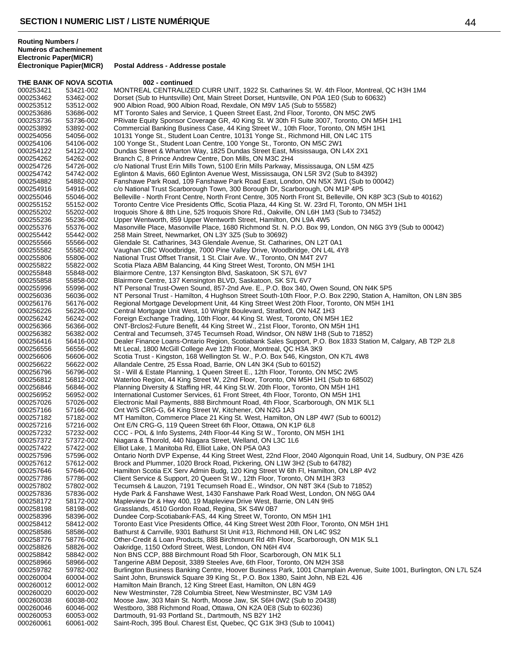THE BANK OF NOVA SCOTIA 002 - continued 000253421 53421-002 MONTREAL CENTRALIZED CURR UNIT, 1922 St. Catharines St. W. 4th Floor, Montreal, QC H3H 1M4<br>000253462 53462-002 Dorset (Sub to Huntsville) Ont, Main Street Dorset, Huntsville, ON P0A 1E0 (Sub to 60632) 000253462 53462-002 Dorset (Sub to Huntsville) Ont, Main Street Dorset, Huntsville, ON P0A 1E0 (Sub to 60632)<br>000253512 53512-002 900 Albion Road. 900 Albion Road. Rexdale. ON M9V 1A5 (Sub to 55582) 900 Albion Road, 900 Albion Road, Rexdale, ON M9V 1A5 (Sub to 55582) 000253686 53686-002 MT Toronto Sales and Service, 1 Queen Street East, 2nd Floor, Toronto, ON M5C 2W5<br>000253736 53736-002 PRivate Equity Sponsor Coverage GR, 40 King St. W 30th Fl Suite 3007, Toronto, ON M PRivate Equity Sponsor Coverage GR, 40 King St. W 30th Fl Suite 3007, Toronto, ON M5H 1H1 000253892 53892-002 Commercial Banking Business Case, 44 King Street W., 10th Floor, Toronto, ON M5H 1H1<br>000254056 54056-002 10131 Yonge St., Student Loan Centre, 10131 Yonge St., Richmond Hill, ON L4C 1T5 000254056 54056-002 10131 Yonge St., Student Loan Centre, 10131 Yonge St., Richmond Hill, ON L4C 1T5<br>000254106 54106-002 100 Yonge St., Student Loan Centre, 100 Yonge St., Toronto, ON M5C 2W1 100 Yonge St., Student Loan Centre, 100 Yonge St., Toronto, ON M5C 2W1 000254122 54122-002 Dundas Street & Wharton Way, 1825 Dundas Street East, Mississauga, ON L4X 2X1<br>000254262 54262-002 Branch C, 8 Prince Andrew Centre, Don Mills, ON M3C 2H4 000254262 54262-002 Branch C, 8 Prince Andrew Centre, Don Mills, ON M3C 2H4<br>000254726 54726-002 c/o National Trust Erin Mills Town, 5100 Erin Mills Parkway, I 000254726 54726-002 c/o National Trust Erin Mills Town, 5100 Erin Mills Parkway, Mississauga, ON L5M 4Z5<br>000254742 54742-002 Eglinton & Mavis, 660 Eglinton Avenue West, Mississauga, ON L5R 3V2 (Sub to 84392 000254742 54742-002 Eglinton & Mavis, 660 Eglinton Avenue West, Mississauga, ON L5R 3V2 (Sub to 84392) 000254882 54882-002 Fanshawe Park Road, 109 Fanshawe Park Road East, London, ON N5X 3W1 (Sub to 00042)<br>000254916 54916-002 c/o National Trust Scarborough Town, 300 Borough Dr, Scarborough, ON M1P 4P5 000254916 54916-002 c/o National Trust Scarborough Town, 300 Borough Dr, Scarborough, ON M1P 4P5<br>000255046 55046-002 Belleville - North Front Centre, North Front Centre, 305 North Front St, Belleville, ON 000255046 55046-002 Belleville - North Front Centre, North Front Centre, 305 North Front St, Belleville, ON K8P 3C3 (Sub to 40162)<br>000255152 55152-002 Toronto Centre Vice Presidents Offic, Scotia Plaza, 44 King St. W. 23rd 000255152 55152-002 Toronto Centre Vice Presidents Offic, Scotia Plaza, 44 King St. W. 23rd Fl, Toronto, ON M5H 1H1<br>000255202 55202-002 Iroquois Shore & 8th Line, 525 Iroquois Shore Rd., Oakville, ON L6H 1M3 (Sub to 73452) 000255202 55202-002 Iroquois Shore & 8th Line, 525 Iroquois Shore Rd., Oakville, ON L6H 1M3 (Sub to 73452)<br>000255236 55236-002 Upper Wentworth, 859 Upper Wentworth Street, Hamilton, ON L9A 4W5 000255236 55236-002 Upper Wentworth, 859 Upper Wentworth Street, Hamilton, ON L9A 4W5<br>000255376 55376-002 Masonville Place, Masonville Place, 1680 Richmond St. N. P.O. Box 99, 000255376 55376-002 Masonville Place, Masonville Place, 1680 Richmond St. N. P.O. Box 99, London, ON N6G 3Y9 (Sub to 00042)<br>000255442 55442-002 258 Main Street. Newmarket. ON L3Y 3Z5 (Sub to 30692) 000255442 55442-002 258 Main Street, Newmarket, ON L3Y 3Z5 (Sub to 30692) 000255566 55566-002 Glendale St. Catharines, 343 Glendale Avenue, St. Catharines, ON L2T 0A1<br>000255582 55582-002 Vaughan CBC Woodbridge, 7000 Pine Valley Drive, Woodbridge, ON L4L 4Y Vaughan CBC Woodbridge, 7000 Pine Valley Drive, Woodbridge, ON L4L 4Y8 000255806 55806-002 National Trust Offset Transit, 1 St. Clair Ave. W., Toronto, ON M4T 2V7<br>000255822 55822-002 Scotia Plaza ABM Balancing, 44 King Street West, Toronto, ON M5H 1 000255822 55822-002 Scotia Plaza ABM Balancing, 44 King Street West, Toronto, ON M5H 1H1<br>000255848 55848-002 Blairmore Centre. 137 Kensington Blvd. Saskatoon. SK S7L 6V7 Blairmore Centre, 137 Kensington Blvd, Saskatoon, SK S7L 6V7 000255858 55858-002 Blairmore Centre, 137 Kensington BLVD, Saskatoon, SK S7L 6V7<br>000255996 55996-002 NT Personal Trust-Owen Sound, 857-2nd Ave. E., P.O. Box 340, 0 000255996 55996-002 NT Personal Trust-Owen Sound, 857-2nd Ave. E., P.O. Box 340, Owen Sound, ON N4K 5P5<br>000256036 56036-002 NT Personal Trust - Hamilton. 4 Hughson Street South-10th Floor. P.O. Box 2290. Station A. 000256036 56036-002 NT Personal Trust - Hamilton, 4 Hughson Street South-10th Floor, P.O. Box 2290, Station A, Hamilton, ON L8N 3B5<br>000256176 56176-002 Regional Mortgage Development Unit, 44 King Street West 20th Floor, To 000256176 56176-002 Regional Mortgage Development Unit, 44 King Street West 20th Floor, Toronto, ON M5H 1H1<br>000256226 56226-002 Central Mortgage Unit West, 10 Wright Boulevard, Stratford, ON N4Z 1H3 Central Mortgage Unit West, 10 Wright Boulevard, Stratford, ON N4Z 1H3 000256242 56242-002 Foreign Exchange Trading, 10th Floor, 44 King St. West, Toronto, ON M5H 1E2<br>000256366 56366-002 ONT-Brclos2-Future Benefit, 44 King Street W., 21st Floor, Toronto, ON M5H 1F 000256366 56366-002 ONT-Brclos2-Future Benefit, 44 King Street W., 21st Floor, Toronto, ON M5H 1H1<br>000256382 56382-002 Central and Tecumseh, 3745 Tecumseh Road, Windsor, ON N8W 1H8 (Sub to 71 000256382 56382-002 Central and Tecumseh, 3745 Tecumseh Road, Windsor, ON N8W 1H8 (Sub to 71852) 000256416 56416-002 Dealer Finance Loans-Ontario Region, Scotiabank Sales Support, P.O. Box 1833 Station M, Calgary, AB T2P 2L8<br>000256556 56556-002 Mt Lecal. 1800 McGill College Ave 12th Floor. Montreal. QC H3A 3K9 000256556 56556-002 Mt Lecal, 1800 McGill College Ave 12th Floor, Montreal, QC H3A 3K9<br>000256606 56606-002 Scotia Trust - Kingston, 168 Wellington St. W., P.O. Box 546, Kingstor 000256606 56606-002 Scotia Trust - Kingston, 168 Wellington St. W., P.O. Box 546, Kingston, ON K7L 4W8<br>000256622 56622-002 Allandale Centre, 25 Essa Road, Barrie, ON L4N 3K4 (Sub to 60152) 000256622 56622-002 Allandale Centre, 25 Essa Road, Barrie, ON L4N 3K4 (Sub to 60152) 000256796 56796-002 St - Will & Estate Planning, 1 Queen Street E., 12th Floor, Toronto, ON M5C 2W5<br>000256812 56812-002 Waterloo Region, 44 King Street W, 22nd Floor, Toronto, ON M5H 1H1 (Sub to 68 000256812 56812-002 Waterloo Region, 44 King Street W, 22nd Floor, Toronto, ON M5H 1H1 (Sub to 68502)<br>000256846 56846-002 Planning Diversity & Staffing HR, 44 King St.W. 20th Floor, Toronto, ON M5H 1H1 000256846 56846-002 Planning Diversity & Staffing HR, 44 King St.W. 20th Floor, Toronto, ON M5H 1H1<br>000256952 56952-002 International Customer Services, 61 Front Street, 4th Floor, Toronto, ON M5H 1H1 000256952 56952-002 International Customer Services, 61 Front Street, 4th Floor, Toronto, ON M5H 1H1<br>000257026 57026-002 Electronic Mail Payments. 888 Birchmount Road. 4th Floor. Scarborough. ON M1K Electronic Mail Payments, 888 Birchmount Road, 4th Floor, Scarborough, ON M1K 5L1 000257166 57166-002 Ont W/S CRG-G, 64 King Street W, Kitchener, ON N2G 1A3<br>000257182 57182-002 MT Hamilton, Commerce Place 21 King St. West, Hamilton, 0 MT Hamilton, Commerce Place 21 King St. West, Hamilton, ON L8P 4W7 (Sub to 60012) 000257216 57216-002 Ont E/N CRG-G, 119 Queen Street 6th Floor, Ottawa, ON K1P 6L8<br>000257232 57232-002 CCC - POL & Info Systems, 24th Floor-44 King St W., Toronto, ON 000257232 57232-002 CCC - POL & Info Systems, 24th Floor-44 King St W., Toronto, ON M5H 1H1<br>000257372 57372-002 Niagara & Thorold. 440 Niagara Street. Welland. ON L3C 1L6 Niagara & Thorold, 440 Niagara Street, Welland, ON L3C 1L6 000257422 57422-002 Elliot Lake, 1 Manitoba Rd, Elliot Lake, ON P5A 0A3 57596-002 Ontario North DVP Expense, 44 King Street West, 22nd Floor, 2040 Algonquin Road, Unit 14, Sudbury, ON P3E 4Z6<br>57612-002 Brock and Plummer, 1020 Brock Road, Pickering, ON L1W 3H2 (Sub to 64782) 000257612 57612-002 Brock and Plummer, 1020 Brock Road, Pickering, ON L1W 3H2 (Sub to 64782)<br>000257646 57646-002 Hamilton Scotia EX Serv Admin Budg, 120 King Street W 6th Fl, Hamilton, ON I 000257646 57646-002 Hamilton Scotia EX Serv Admin Budg, 120 King Street W 6th Fl, Hamilton, ON L8P 4V2<br>000257786 57786-002 Client Service & Support. 20 Queen St W., 12th Floor. Toronto. ON M1H 3R3 Client Service & Support, 20 Queen St W., 12th Floor, Toronto, ON M1H 3R3 000257802 57802-002 Tecumseh & Lauzon, 7191 Tecumseh Road E., Windsor, ON N8T 3K4 (Sub to 71852) 000257836 57836-002 Hyde Park & Fanshawe West, 1430 Fanshawe Park Road West, London, ON N6G 0A4<br>000258172 58172-002 Mapleview Dr & Hwy 400, 19 Mapleview Drive West, Barrie, ON L4N 9H5 000258172 58172-002 Mapleview Dr & Hwy 400, 19 Mapleview Drive West, Barrie, ON L4N 9H5<br>000258198 58198-002 Grasslands. 4510 Gordon Road. Regina. SK S4W 0B7 000258198 58198-002 Grasslands, 4510 Gordon Road, Regina, SK S4W 0B7<br>000258396 58396-002 Dundee Corp-Scotiabank-FAS, 44 King Street W. Toro 000258396 58396-002 Dundee Corp-Scotiabank-FAS, 44 King Street W, Toronto, ON M5H 1H1<br>000258412 58412-002 Toronto East Vice Presidents Office, 44 King Street West 20th Floor, Toro 000258412 58412-002 Toronto East Vice Presidents Office, 44 King Street West 20th Floor, Toronto, ON M5H 1H1<br>000258586 58586-002 Bathurst & Carrville, 9301 Bathurst St Unit #13, Richmond Hill, ON L4C 9S2 000258586 58586-002 Bathurst & Carrville, 9301 Bathurst St Unit #13, Richmond Hill, ON L4C 9S2<br>000258776 58776-002 Other-Credit & Loan Products, 888 Birchmount Rd 4th Floor, Scarborough, Q 000258776 58776-002 Other-Credit & Loan Products, 888 Birchmount Rd 4th Floor, Scarborough, ON M1K 5L1<br>000258826 58826-002 Oakridge, 1150 Oxford Street, West, London, ON N6H 4V4 000258826 58826-002 Oakridge, 1150 Oxford Street, West, London, ON N6H 4V4<br>000258842 58842-002 Non BNS CCP, 888 Birchmount Road 5th Floor, Scarborou 000258842 58842-002 Non BNS CCP, 888 Birchmount Road 5th Floor, Scarborough, ON M1K 5L1<br>000258966 58966-002 Tangerine ABM Deposit, 3389 Steeles Ave, 6th Floor, Toronto, ON M2H 3S8 000258966 58966-002 Tangerine ABM Deposit, 3389 Steeles Ave, 6th Floor, Toronto, ON M2H 3S8 Burlington Business Banking Centre, Hoover Business Park, 1001 Champlain Avenue, Suite 1001, Burlington, ON L7L 5Z4 000260004 60004-002 Saint John, Brunswick Square 39 King St., P.O. Box 1380, Saint John, NB E2L 4J6<br>000260012 60012-002 Hamilton Main Branch, 12 King Street East, Hamilton, ON L8N 4G9 Hamilton Main Branch, 12 King Street East, Hamilton, ON L8N 4G9 000260020 60020-002 New Westminster, 728 Columbia Street, New Westminster, BC V3M 1A9<br>000260038 60038-002 Moose Jaw, 303 Main St. North, Moose Jaw, SK S6H 0W2 (Sub to 20438 000260038 60038-002 Moose Jaw, 303 Main St. North, Moose Jaw, SK S6H 0W2 (Sub to 20438)<br>000260046 60046-002 Westboro. 388 Richmond Road. Ottawa. ON K2A 0E8 (Sub to 60236) Westboro, 388 Richmond Road, Ottawa, ON K2A 0E8 (Sub to 60236) 000260053 60053-002 Dartmouth, 91-93 Portland St., Dartmouth, NS B2Y 1H2<br>000260061 60061-002 Saint-Roch, 395 Boul. Charest Est, Quebec, QC G1K 3H Saint-Roch, 395 Boul. Charest Est, Quebec, QC G1K 3H3 (Sub to 10041)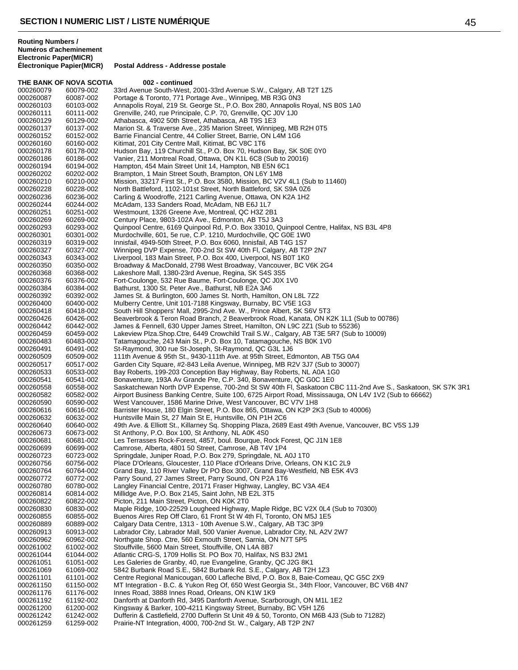THE BANK OF NOVA SCOTIA 002 - continued 000260079 60079-002 33rd Avenue South-West, 2001-33rd Avenue S.W., Calgary, AB T2T 1Z5<br>000260087 60087-002 Portage & Toronto, 771 Portage Ave., Winnipeg, MB R3G 0N3 000260087 60087-002 Portage & Toronto, 771 Portage Ave., Winnipeg, MB R3G 0N3 Annapolis Royal, 219 St. George St., P.O. Box 280, Annapolis Royal, NS B0S 1A0 000260111 60111-002 Grenville, 240, rue Principale, C.P. 70, Grenville, QC J0V 1J0<br>000260129 60129-002 Athabasca, 4902 50th Street, Athabasca, AB T9S 1E3 Athabasca, 4902 50th Street, Athabasca, AB T9S 1E3 000260137 60137-002 Marion St. & Traverse Ave., 235 Marion Street, Winnipeg, MB R2H 0T5<br>000260152 60152-002 Barrie Financial Centre, 44 Collier Street, Barrie, ON L4M 1G6 000260152 60152-002 Barrie Financial Centre, 44 Collier Street, Barrie, ON L4M 1G6<br>000260160 60160-002 Kitimat. 201 City Centre Mall. Kitimat. BC V8C 1T6 Kitimat, 201 City Centre Mall, Kitimat, BC V8C 1T6 000260178 60178-002 Hudson Bay, 119 Churchill St., P.O. Box 70, Hudson Bay, SK S0E 0Y0<br>000260186 60186-002 Vanier, 211 Montreal Road, Ottawa, ON K1L 6C8 (Sub to 20016) 000260186 60186-002 Vanier, 211 Montreal Road, Ottawa, ON K1L 6C8 (Sub to 20016)<br>000260194 60194-002 Hampton, 454 Main Street Unit 14, Hampton, NB E5N 6C1 000260194 60194-002 Hampton, 454 Main Street Unit 14, Hampton, NB E5N 6C1<br>000260202 60202-002 Brampton, 1 Main Street South, Brampton, ON L6Y 1M8 000260202 60202-002 Brampton, 1 Main Street South, Brampton, ON L6Y 1M8<br>000260210 60210-002 Mission, 33217 First St., P.O. Box 3580, Mission, BC V2 000260210 60210-002 Mission, 33217 First St., P.O. Box 3580, Mission, BC V2V 4L1 (Sub to 11460)<br>000260228 60228-002 North Battleford, 1102-101st Street, North Battleford, SK S9A 0Z6 000260228 60228-002 North Battleford, 1102-101st Street, North Battleford, SK S9A 0Z6<br>000260236 60236-002 Carling & Woodroffe, 2121 Carling Avenue, Ottawa, ON K2A 1H2 Carling & Woodroffe, 2121 Carling Avenue, Ottawa, ON K2A 1H2 000260244 60244-002 McAdam, 133 Sanders Road, McAdam, NB E6J 1L7<br>000260251 60251-002 Westmount, 1326 Greene Ave, Montreal, QC H3Z 2E Westmount, 1326 Greene Ave, Montreal, QC H3Z 2B1 000260269 60269-002 Century Place, 9803-102A Ave., Edmonton, AB T5J 3A3<br>000260293 60293-002 Quinpool Centre, 6169 Quinpool Rd, P.O. Box 33010, Qu 000260293 60293-002 Quinpool Centre, 6169 Quinpool Rd, P.O. Box 33010, Quinpool Centre, Halifax, NS B3L 4P8<br>000260301 60301-002 Murdochville. 601. 5e rue. C.P. 1210. Murdochville. QC G0E 1W0 Murdochville, 601, 5e rue, C.P. 1210, Murdochville, QC G0E 1W0 000260319 60319-002 Innisfail, 4949-50th Street, P.O. Box 6060, Innisfail, AB T4G 1S7<br>000260327 60327-002 Winnipeg DVP Expense, 700-2nd St SW 40th Fl, Calgary, AB T2 Winnipeg DVP Expense, 700-2nd St SW 40th Fl, Calgary, AB T2P 2N7 000260343 60343-002 Liverpool, 183 Main Street, P.O. Box 400, Liverpool, NS B0T 1K0<br>000260350 60350-002 Broadway & MacDonald, 2798 West Broadway, Vancouver, BC V 000260350 60350-002 Broadway & MacDonald, 2798 West Broadway, Vancouver, BC V6K 2G4<br>000260368 60368-002 Lakeshore Mall. 1380-23rd Avenue. Regina. SK S4S 3S5 Lakeshore Mall, 1380-23rd Avenue, Regina, SK S4S 3S5 000260376 60376-002 Fort-Coulonge, 532 Rue Baume, Fort-Coulonge, QC J0X 1V0<br>000260384 60384-002 Bathurst, 1300 St. Peter Ave., Bathurst, NB E2A 3A6 Bathurst, 1300 St. Peter Ave., Bathurst, NB E2A 3A6 000260392 60392-002 James St. & Burlington, 600 James St. North, Hamilton, ON L8L 7Z2 000260400 60400-002 Mulberry Centre, Unit 101-7188 Kingsway, Burnaby, BC V5E 1G3<br>000260418 60418-002 South Hill Shoppers' Mall. 2995-2nd Ave. W., Prince Albert, SK S6 South Hill Shoppers' Mall, 2995-2nd Ave. W., Prince Albert, SK S6V 5T3 000260426 60426-002 Beaverbrook & Teron Road Branch, 2 Beaverbrook Road, Kanata, ON K2K 1L1 (Sub to 00786)<br>000260442 60442-002 James & Fennell, 630 Upper James Street, Hamilton, ON L9C 2Z1 (Sub to 55236) 000260442 60442-002 James & Fennell, 630 Upper James Street, Hamilton, ON L9C 2Z1 (Sub to 55236)<br>000260459 60459-002 Lakeview Plza.Shop.Ctre, 6449 Crowchild Trail S.W., Calgary, AB T3E 5R7 (Sub to 000260459 60459-002 Lakeview Plza.Shop.Ctre, 6449 Crowchild Trail S.W., Calgary, AB T3E 5R7 (Sub to 10009)<br>000260483 60483-002 Tatamagouche, 243 Main St., P.O. Box 10, Tatamagouche, NS B0K 1V0 000260483 60483-002 Tatamagouche, 243 Main St., P.O. Box 10, Tatamagouche, NS B0K 1V0<br>000260491 60491-002 St-Raymond 300 rue St-Joseph, St-Raymond, OC G3L 1.J6 000260491 60491-002 St-Raymond, 300 rue St-Joseph, St-Raymond, QC G3L 1J6<br>000260509 60509-002 111th Avenue & 95th St., 9430-111th Ave. at 95th Street, Ec 000260509 60509-002 111th Avenue & 95th St., 9430-111th Ave. at 95th Street, Edmonton, AB T5G 0A4<br>000260517 60517-002 Garden City Square, #2-843 Leila Avenue, Winnipeg, MB R2V 3J7 (Sub to 30007) 000260517 60517-002 Garden City Square, #2-843 Leila Avenue, Winnipeg, MB R2V 3J7 (Sub to 30007)<br>000260533 60533-002 Bay Roberts, 199-203 Conception Bay Highway, Bay Roberts, NL A0A 1G0 000260533 60533-002 Bay Roberts, 199-203 Conception Bay Highway, Bay Roberts, NL A0A 1G0<br>000260541 60541-002 Bonaventure, 193A Av Grande Pre, C.P. 340, Bonaventure, QC G0C 1E0 000260541 60541-002 Bonaventure, 193A Av Grande Pre, C.P. 340, Bonaventure, QC G0C 1E0 000260558 60558-002 Saskatchewan North DVP Expense, 700-2nd St SW 40th Fl, Saskatoon CBC 111-2nd Ave S., Saskatoon, SK S7K 3R1<br>000260582 60582-002 Airport Business Banking Centre, Suite 100, 6725 Airport Road, Mississauga, 000260582 60582-002 Airport Business Banking Centre, Suite 100, 6725 Airport Road, Mississauga, ON L4V 1V2 (Sub to 66662)<br>000260590 60590-002 West Vancouver. 1586 Marine Drive. West Vancouver. BC V7V 1H8 West Vancouver, 1586 Marine Drive, West Vancouver, BC V7V 1H8 000260616 60616-002 Barrister House, 180 Elgin Street, P.O. Box 865, Ottawa, ON K2P 2K3 (Sub to 40006)<br>000260632 60632-002 Huntsville Main St, 27 Main St E, Huntsville, ON P1H 2C6 Huntsville Main St, 27 Main St E, Huntsville, ON P1H 2C6 000260640 60640-002 49th Ave. & Elliott St., Killarney Sq. Shopping Plaza, 2689 East 49th Avenue, Vancouver, BC V5S 1J9<br>000260673 60673-002 St Anthony, P.O. Box 100, St Anthony, NL A0K 4S0 000260673 60673-002 St Anthony, P.O. Box 100, St Anthony, NL A0K 4S0 Les Terrasses Rock-Forest, 4857, boul. Bourque, Rock Forest, QC J1N 1E8 000260699 60699-002 Camrose, Alberta, 4801 50 Street, Camrose, AB T4V 1P4<br>000260723 60723-002 Springdale, Juniper Road, P.O. Box 279, Springdale, NL A Springdale, Juniper Road, P.O. Box 279, Springdale, NL A0J 1T0 000260756 60756-002 Place D'Orleans, Gloucester, 110 Place d'Orleans Drive, Orleans, ON K1C 2L9 000260764 60764-002 Grand Bay, 110 River Valley Dr PO Box 3007, Grand Bay-Westfield, NB E5K 4V3<br>000260772 60772-002 Parry Sound, 27 James Street, Parry Sound, ON P2A 1T6 Parry Sound, 27 James Street, Parry Sound, ON P2A 1T6 000260780 60780-002 Langley Financial Centre, 20171 Fraser Highway, Langley, BC V3A 4E4<br>000260814 60814-002 Millidge Ave, P.O. Box 2145, Saint John, NB E2L 3T5 000260814 60814-002 Millidge Ave, P.O. Box 2145, Saint John, NB E2L 3T5<br>000260822 60822-002 Picton, 211 Main Street, Picton, ON K0K 2T0 000260822 60822-002 Picton, 211 Main Street, Picton, ON K0K 2T0<br>000260830 60830-002 Maple Ridge, 100-22529 Lougheed Highway. 000260830 60830-002 Maple Ridge, 100-22529 Lougheed Highway, Maple Ridge, BC V2X 0L4 (Sub to 70300)<br>000260855 60855-002 Buenos Aires Rep Off Claro, 61 Front St W 4th Fl. Toronto, ON M5J 1F5 000260855 60855-002 Buenos Aires Rep Off Claro, 61 Front St W 4th Fl, Toronto, ON M5J 1E5<br>000260889 60889-002 Calgary Data Centre, 1313 - 10th Avenue S.W., Calgary, AB T3C 3P9 000260889 60889-002 Calgary Data Centre, 1313 - 10th Avenue S.W., Calgary, AB T3C 3P9<br>000260913 60913-002 Labrador City, Labrador Mall, 500 Vanier Avenue, Labrador City, NL A Labrador City, Labrador Mall, 500 Vanier Avenue, Labrador City, NL A2V 2W7 000260962 60962-002 Northgate Shop. Ctre, 560 Exmouth Street, Sarnia, ON N7T 5P5<br>000261002 61002-002 Stouffville, 5600 Main Street, Stouffville, ON L4A 8B7 Stouffville, 5600 Main Street, Stouffville, ON L4A 8B7 000261044 61044-002 Atlantic CRG-S, 1709 Hollis St. PO Box 70, Halifax, NS B3J 2M1 000261051 61051-002 Les Galeries de Granby, 40, rue Evangeline, Granby, QC J2G 8K1 5842 Burbank Road S.E., 5842 Burbank Rd. S.E., Calgary, AB T2H 1Z3 000261101 61101-002 Centre Regional Manicougan, 600 Lafleche Blvd, P.O. Box 8, Baie-Comeau, QC G5C 2X9 MT Integration - B.C. & Yukon Reg Of, 650 West Georgia St., 34th Floor, Vancouver, BC V6B 4N7 000261176 61176-002 Innes Road, 3888 Innes Road, Orleans, ON K1W 1K9 000261192 61192-002 Danforth at Danforth Rd, 3495 Danforth Avenue, Scarborough, ON M1L 1E2<br>000261200 61200-002 Kingsway & Barker, 100-4211 Kingsway Street, Burnaby, BC V5H 1Z6 Kingsway & Barker, 100-4211 Kingsway Street, Burnaby, BC V5H 1Z6 000261242 61242-002 Dufferin & Castlefield, 2700 Dufferin St Unit 49 & 50, Toronto, ON M6B 4J3 (Sub to 71282)<br>000261259 61259-002 Prairie-NT Integration, 4000, 700-2nd St. W., Calgary, AB T2P 2N7 Prairie-NT Integration, 4000, 700-2nd St. W., Calgary, AB T2P 2N7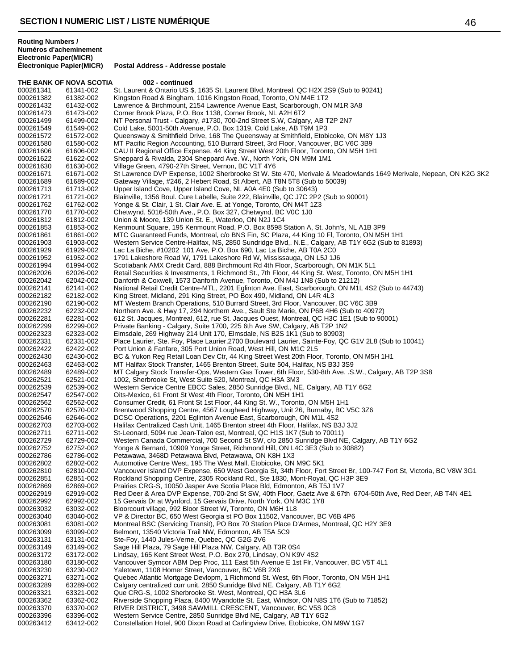THE BANK OF NOVA SCOTIA 002 - continued 000261341 61341-002 St. Laurent & Ontario US \$, 1635 St. Laurent Blvd, Montreal, QC H2X 2S9 (Sub to 90241)<br>000261382 61382-002 Kingston Road & Bingham, 1016 Kingston Road, Toronto, ON M4E 1T2 000261382 61382-002 Kingston Road & Bingham, 1016 Kingston Road, Toronto, ON M4E 1T2<br>000261432 61432-002 Lawrence & Birchmount. 2154 Lawrence Avenue East. Scarborough. OI Lawrence & Birchmount, 2154 Lawrence Avenue East, Scarborough, ON M1R 3A8 000261473 61473-002 Corner Brook Plaza, P.O. Box 1138, Corner Brook, NL A2H 6T2<br>000261499 61499-002 NT Personal Trust - Calgary, #1730, 700-2nd Street S.W, Calgar NT Personal Trust - Calgary, #1730, 700-2nd Street S.W, Calgary, AB T2P 2N7 000261549 61549-002 Cold Lake, 5001-50th Avenue, P.O. Box 1319, Cold Lake, AB T9M 1P3 000261572 61572-002 Queensway & Smithfield Drive, 168 The Queensway at Smithfield, Etobicoke, ON M8Y 1J3<br>000261580 61580-002 MT Pacific Region Accounting. 510 Burrard Street. 3rd Floor. Vancouver. BC V6C 3B9 MT Pacific Region Accounting, 510 Burrard Street, 3rd Floor, Vancouver, BC V6C 3B9 000261606 61606-002 CAU II Regional Office Expense, 44 King Street West 20th Floor, Toronto, ON M5H 1H1<br>000261622 61622-002 Sheppard & Rivalda, 2304 Sheppard Ave. W., North York, ON M9M 1M1 000261622 61622-002 Sheppard & Rivalda, 2304 Sheppard Ave. W., North York, ON M9M 1M1<br>000261630 61630-002 Village Green, 4790-27th Street, Vernon, BC V1T 4Y6 000261630 61630-002 Village Green, 4790-27th Street, Vernon, BC V1T 4Y6<br>000261671 61671-002 St Lawrence DVP Expense, 1002 Sherbrooke St W. St 000261671 61671-002 St Lawrence DVP Expense, 1002 Sherbrooke St W. Ste 470, Merivale & Meadowlands 1649 Merivale, Nepean, ON K2G 3K2<br>000261689 61689-002 Gateway Village, #246, 2 Hebert Road, St Albert, AB T8N 5T8 (Sub to 5 000261689 61689-002 Gateway Village, #246, 2 Hebert Road, St Albert, AB T8N 5T8 (Sub to 50039)<br>000261713 61713-002 Upper Island Cove, Upper Island Cove, NL A0A 4E0 (Sub to 30643) 000261713 61713-002 Upper Island Cove, Upper Island Cove, NL A0A 4E0 (Sub to 30643) Blainville, 1356 Boul. Cure Labelle, Suite 222, Blainville, QC J7C 2P2 (Sub to 90001) 000261762 61762-002 Yonge & St. Clair, 1 St. Clair Ave. E. at Yonge, Toronto, ON M4T 1Z3<br>000261770 61770-002 Chetwynd, 5016-50th Ave., P.O. Box 327, Chetwynd, BC V0C 1J0 Chetwynd, 5016-50th Ave., P.O. Box 327, Chetwynd, BC V0C 1J0 000261812 61812-002 Union & Moore, 139 Union St. E., Waterloo, ON N2J 1C4 000261853 61853-002 Kenmount Square, 195 Kenmount Road, P.O. Box 8598 Station A, St. John's, NL A1B 3P9<br>000261861 61861-002 MTC Guaranteed Funds. Montreal. c/o BNS Fin. SC Plaza. 44 King 10 Fl. Toronto. ON M5I MTC Guaranteed Funds, Montreal, c/o BNS Fin, SC Plaza, 44 King 10 Fl, Toronto, ON M5H 1H1 000261903 61903-002 Western Service Centre-Halifax, NS, 2850 Sundridge Blvd,. N.E., Calgary, AB T1Y 6G2 (Sub to 81893)<br>000261929 61929-002 Lac La Biche, #10202 101 Ave, P.O. Box 690, Lac La Biche, AB T0A 2C0 Lac La Biche, #10202 101 Ave, P.O. Box 690, Lac La Biche, AB T0A 2C0 000261952 61952-002 1791 Lakeshore Road W, 1791 Lakeshore Rd W, Mississauga, ON L5J 1J6<br>000261994 61994-002 Scotiabank AMX Credit Card, 888 Birchmount Rd 4th Floor, Scarborough, C 000261994 61994-002 Scotiabank AMX Credit Card, 888 Birchmount Rd 4th Floor, Scarborough, ON M1K 5L1<br>000262026 62026-002 Retail Securities & Investments. 1 Richmond St.. 7th Floor. 44 King St. West. Toronto. 0 Retail Securities & Investments, 1 Richmond St., 7th Floor, 44 King St. West, Toronto, ON M5H 1H1 000262042 62042-002 Danforth & Coxwell, 1573 Danforth Avenue, Toronto, ON M4J 1N8 (Sub to 21212) 62141-002 National Retail Credit Centre-MTL, 2201 Eglinton Ave. East, Scarborough, ON M1L 4S2 (Sub to 44743)<br>62182-002 King Street, Midland, 291 King Street, PO Box 490, Midland, ON L4R 4L3 000262182 62182-002 King Street, Midland, 291 King Street, PO Box 490, Midland, ON L4R 4L3 000262190 62190-002 MT Western Branch Operations, 510 Burrard Street, 3rd Floor, Vancouver, BC V6C 3B9<br>000262232 62232-002 Northern Ave. & Hwy 17, 294 Northern Ave., Sault Ste Marie, ON P6B 4H6 (Sub to 4097 Northern Ave. & Hwy 17, 294 Northern Ave., Sault Ste Marie, ON P6B 4H6 (Sub to 40972) 000262281 62281-002 612 St. Jacques, Montreal, 612, rue St. Jacques Ouest, Montreal, QC H3C 1E1 (Sub to 90001)<br>000262299 62299-002 Private Banking - Calgary, Suite 1700, 225 6th Ave SW, Calgary, AB T2P 1N2 000262299 62299-002 Private Banking - Calgary, Suite 1700, 225 6th Ave SW, Calgary, AB T2P 1N2<br>000262323 62323-002 Elmsdale, 269 Highway 214 Unit 170, Elmsdale, NS B2S 1K1 (Sub to 80903) 000262323 62323-002 Elmsdale, 269 Highway 214 Unit 170, Elmsdale, NS B2S 1K1 (Sub to 80903) 000262331 62331-002 Place Laurier, Ste. Foy, Place Laurier,2700 Boulevard Laurier, Sainte-Foy, QC G1V 2L8 (Sub to 10041) 000262422 62422-002 Port Union & Fanfare, 305 Port Union Road, West Hill, ON M1C 2L5<br>000262430 62430-002 BC & Yukon Reg Retail Loan Dev Ctr, 44 King Street West 20th Floo 000262430 62430-002 BC & Yukon Reg Retail Loan Dev Ctr, 44 King Street West 20th Floor, Toronto, ON M5H 1H1<br>000262463 62463-002 MT Halifax Stock Transfer, 1465 Brenton Street, Suite 504, Halifax, NS B3J 3S9 000262463 62463-002 MT Halifax Stock Transfer, 1465 Brenton Street, Suite 504, Halifax, NS B3J 3S9<br>000262489 62489-002 MT Calgary Stock Transfer-Ops, Western Gas Tower, 6th Floor, 530-8th Ave. .S 000262489 62489-002 MT Calgary Stock Transfer-Ops, Western Gas Tower, 6th Floor, 530-8th Ave. .S.W., Calgary, AB T2P 3S8<br>000262521 62521-002 1002, Sherbrooke St, West Suite 520, Montreal, QC H3A 3M3 1002, Sherbrooke St, West Suite 520, Montreal, QC H3A 3M3 000262539 62539-002 Western Service Centre EBCC Sales, 2850 Sunridge Blvd., NE, Calgary, AB T1Y 6G2<br>000262547 62547-002 Oits-Mexico, 61 Front St West 4th Floor, Toronto, ON M5H 1H1 000262547 62547-002 Oits-Mexico, 61 Front St West 4th Floor, Toronto, ON M5H 1H1 Consumer Credit, 61 Front St 1st Floor, 44 King St. W., Toronto, ON M5H 1H1 000262570 62570-002 Brentwood Shopping Centre, 4567 Lougheed Highway, Unit 26, Burnaby, BC V5C 3Z6<br>000262646 62646-002 DCSC Operations, 2201 Eglinton Avenue East, Scarborough, ON M1L 4S2 DCSC Operations, 2201 Eglinton Avenue East, Scarborough, ON M1L 4S2 000262703 62703-002 Halifax Centralized Cash Unit, 1465 Brenton street 4th Floor, Halifax, NS B3J 3J2<br>000262711 62711-002 St-Leonard, 5094 rue Jean-Talon est, Montreal, QC H1S 1K7 (Sub to 70011) 000262711 62711-002 St-Leonard, 5094 rue Jean-Talon est, Montreal, QC H1S 1K7 (Sub to 70011)<br>000262729 62729-002 Western Canada Commercial, 700 Second St SW, c/o 2850 Sunridge Blvd N Western Canada Commercial, 700 Second St SW, c/o 2850 Sunridge Blvd NE, Calgary, AB T1Y 6G2 000262752 62752-002 Yonge & Bernard, 10909 Yonge Street, Richmond Hill, ON L4C 3E3 (Sub to 30882) Petawawa, 3468D Petawawa Blvd, Petawawa, ON K8H 1X3 000262802 62802-002 Automotive Centre West, 195 The West Mall, Etobicoke, ON M9C 5K1<br>000262810 62810-002 Vancouver Island DVP Expense, 650 West Georgia St, 34th Floor, For 000262810 62810-002 Vancouver Island DVP Expense, 650 West Georgia St, 34th Floor, Fort Street Br, 100-747 Fort St, Victoria, BC V8W 3G1<br>000262851 62851-002 Rockland Shopping Centre. 2305 Rockland Rd.. Ste 1830. Mont-Roval Rockland Shopping Centre, 2305 Rockland Rd., Ste 1830, Mont-Royal, QC H3P 3E9 000262869 62869-002 Prairies CRG-S, 10050 Jasper Ave Scotia Place Bld, Edmonton, AB T5J 1V7<br>000262919 62919-002 Red Deer & Area DVP Expense, 700-2nd St SW, 40th Floor, Gaetz Ave & 67 000262919 62919-002 Red Deer & Area DVP Expense, 700-2nd St SW, 40th Floor, Gaetz Ave & 67th 6704-50th Ave, Red Deer, AB T4N 4E1<br>000262992 62992-002 15 Gervais Dr at Wynford, 15 Gervais Drive, North York, ON M3C 1Y8 000262992 62992-002 15 Gervais Dr at Wynford, 15 Gervais Drive, North York, ON M3C 1Y8<br>000263032 63032-002 Bloorcourt village, 992 Bloor Street W, Toronto, ON M6H 1L8 63032-002 Bloorcourt village, 992 Bloor Street W, Toronto, ON M6H 1L8<br>63040-002 VP & Director BC, 650 West Georgia st PO Box 11502, Vance 000263040 63040-002 VP & Director BC, 650 West Georgia st PO Box 11502, Vancouver, BC V6B 4P6<br>000263081 63081-002 Montreal BSC (Servicing Transit), PO Box 70 Station Place D'Armes, Montreal, Q 000263081 63081-002 Montreal BSC (Servicing Transit), PO Box 70 Station Place D'Armes, Montreal, QC H2Y 3E9<br>000263099 63099-002 Belmont, 13540 Victoria Trail NW, Edmonton, AB T5A 5C9 Belmont, 13540 Victoria Trail NW, Edmonton, AB T5A 5C9 000263131 63131-002 Ste-Foy, 1440 Jules-Verne, Quebec, QC G2G 2V6 Sage Hill Plaza, 79 Sage Hill Plaza NW, Calgary, AB T3R 0S4 000263172 63172-002 Lindsay, 165 Kent Street West, P.O. Box 270, Lindsay, ON K9V 4S2 000263180 63180-002 Vancouver Symcor ABM Dep Proc, 111 East 5th Avenue E 1st Flr, Vancouver, BC V5T 4L1<br>000263230 63230-002 Yaletown, 1108 Homer Street, Vancouver, BC V6B 2X6 Yaletown, 1108 Homer Street, Vancouver, BC V6B 2X6 000263271 63271-002 Quebec Atlantic Mortgage Devlopm, 1 Richmond St. West, 6th Floor, Toronto, ON M5H 1H1<br>000263289 63289-002 Calgary centralized curr unit, 2850 Sunridge Blvd NE, Calgary, AB T1Y 6G2 Calgary centralized curr unit, 2850 Sunridge Blvd NE, Calgary, AB T1Y 6G2 000263321 63321-002 Que CRG-S, 1002 Sherbrooke St. West, Montreal, QC H3A 3L6<br>000263362 63362-002 Riverside Shopping Plaza, 8400 Wyandotte St. East, Windsor, C 000263362 63362-002 Riverside Shopping Plaza, 8400 Wyandotte St. East, Windsor, ON N8S 1T6 (Sub to 71852)<br>000263370 63370-002 RIVER DISTRICT. 3498 SAWMILL CRESCENT. Vancouver. BC V5S 0C8 RIVER DISTRICT, 3498 SAWMILL CRESCENT, Vancouver, BC V5S 0C8 000263396 63396-002 Western Service Centre, 2850 Sunridge Blvd NE, Calgary, AB T1Y 6G2<br>000263412 63412-002 Constellation Hotel, 900 Dixon Road at Carlingview Drive, Etobicoke, Ol Constellation Hotel, 900 Dixon Road at Carlingview Drive, Etobicoke, ON M9W 1G7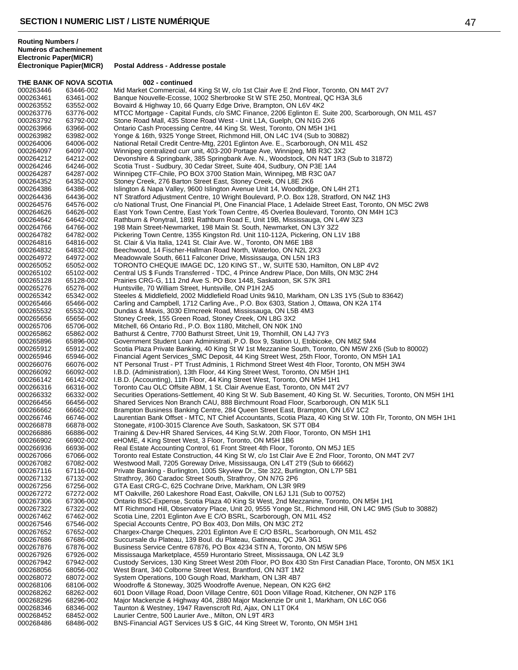THE BANK OF NOVA SCOTIA 002 - continued 000263446 63446-002 Mid Market Commercial, 44 King St W, c/o 1st Clair Ave E 2nd Floor, Toronto, ON M4T 2V7<br>000263461 63461-002 Banque Nouvelle-Ecosse, 1002 Sherbrooke St W STE 250, Montreal, QC H3A 3L6 000263461 63461-002 Banque Nouvelle-Ecosse, 1002 Sherbrooke St W STE 250, Montreal, QC H3A 3L6<br>000263552 63552-002 Bovaird & Highway 10, 66 Quarry Edge Drive, Brampton, ON L6V 4K2 Bovaird & Highway 10, 66 Quarry Edge Drive, Brampton, ON L6V 4K2 000263776 63776-002 MTCC Mortgage - Capital Funds, c/o SMC Finance, 2206 Eglinton E. Suite 200, Scarborough, ON M1L 4S7<br>000263792 63792-002 Stone Road Mall, 435 Stone Road West - Unit L1A, Guelph, ON N1G 2X6 000263792 63792-002 Stone Road Mall, 435 Stone Road West - Unit L1A, Guelph, ON N1G 2X6<br>000263966 63966-002 Ontario Cash Processing Centre, 44 King St. West, Toronto, ON M5H 1H1 000263966 63966-002 Ontario Cash Processing Centre, 44 King St. West, Toronto, ON M5H 1H1<br>000263982 63982-002 Yonge & 16th, 9325 Yonge Street, Richmond Hill, ON L4C 1V4 (Sub to 30 000263982 63982-002 Yonge & 16th, 9325 Yonge Street, Richmond Hill, ON L4C 1V4 (Sub to 30882) National Retail Credit Centre-Mtg, 2201 Eglinton Ave. E., Scarborough, ON M1L 4S2 000264097 64097-002 Winnipeg centralized curr unit, 403-200 Portage Ave, Winnipeg, MB R3C 3X2 000264212 64212-002 Devonshire & Springbank, 385 Springbank Ave. N., Woodstock, ON N4T 1R3 (Sub to 31872)<br>000264246 64246-002 Scotia Trust - Sudbury, 30 Cedar Street, Suite 404, Sudbury, ON P3E 1A4 000264246 64246-002 Scotia Trust - Sudbury, 30 Cedar Street, Suite 404, Sudbury, ON P3E 1A4<br>000264287 64287-002 Winnipeg CTF-Chile, PO BOX 3700 Station Main, Winnipeg, MB R3C 0A7 000264287 64287-002 Winnipeg CTF-Chile, PO BOX 3700 Station Main, Winnipeg, MB R3C 0A7<br>000264352 64352-002 Stoney Creek, 276 Barton Street East, Stoney Creek, ON L8E 2K6 000264352 64352-002 Stoney Creek, 276 Barton Street East, Stoney Creek, ON L8E 2K6<br>000264386 64386-002 Islington & Napa Valley, 9600 Islington Avenue Unit 14, Woodbridg 000264386 64386-002 Islington & Napa Valley, 9600 Islington Avenue Unit 14, Woodbridge, ON L4H 2T1<br>000264436 64436-002 NT Stratford Adjustment Centre, 10 Wright Boulevard, P.O. Box 128, Stratford, ON NT Stratford Adjustment Centre, 10 Wright Boulevard, P.O. Box 128, Stratford, ON N4Z 1H3 000264576 64576-002 c/o National Trust, One Financial Pl, One Financial Place, 1 Adelaide Street East, Toronto, ON M5C 2W8<br>000264626 64626-002 East York Town Centre, East York Town Centre, 45 Overlea Boulevard, Toronto, ON East York Town Centre, East York Town Centre, 45 Overlea Boulevard, Toronto, ON M4H 1C3 000264642 64642-002 Rathburn & Ponytrail, 1891 Rathburn Road E, Unit 19B, Mississauga, ON L4W 3Z3<br>000264766 64766-002 198 Main Street-Newmarket, 198 Main St. South, Newmarket, ON L3Y 3Z2 000264766 64766-002 198 Main Street-Newmarket, 198 Main St. South, Newmarket, ON L3Y 3Z2 Pickering Town Centre, 1355 Kingston Rd. Unit 110-112A, Pickering, ON L1V 1B8 000264816 64816-002 St. Clair & Via Italia, 1241 St. Clair Ave. W., Toronto, ON M6E 1B8<br>000264832 64832-002 Beechwood, 14 Fischer-Hallman Road North, Waterloo, ON N2L 2) Beechwood, 14 Fischer-Hallman Road North, Waterloo, ON N2L 2X3 000264972 64972-002 Meadowvale South, 6611 Falconer Drive, Mississauga, ON L5N 1R3<br>000265052 65052-002 TORONTO CHEQUE IMAGE DC, 120 KING ST., W, SUITE 530, Har 000265052 65052-002 TORONTO CHEQUE IMAGE DC, 120 KING ST., W, SUITE 530, Hamilton, ON L8P 4V2<br>000265102 65102-002 Central US \$ Funds Transferred - TDC. 4 Prince Andrew Place. Don Mills. ON M3C 2H4 Central US \$ Funds Transferred - TDC, 4 Prince Andrew Place, Don Mills, ON M3C 2H4 000265128 65128-002 Prairies CRG-G, 111 2nd Ave S. PO Box 1448, Saskatoon, SK S7K 3R1<br>000265276 65276-002 Huntsville, 70 William Street, Huntsville, ON P1H 2A5 000265276 65276-002 Huntsville, 70 William Street, Huntsville, ON P1H 2A5<br>000265342 65342-002 Steeles & Middlefield, 2002 Middlefield Road Units 9& 000265342 65342-002 Steeles & Middlefield, 2002 Middlefield Road Units 9&10, Markham, ON L3S 1Y5 (Sub to 83642)<br>000265466 65466-002 Carling and Campbell, 1712 Carling Ave., P.O. Box 6303, Station J, Ottawa, ON K2A 1T4 000265466 65466-002 Carling and Campbell, 1712 Carling Ave., P.O. Box 6303, Station J, Ottawa, ON K2A 1T4<br>000265532 65532-002 Dundas & Mavis. 3030 Elmcreek Road. Mississauga. ON L5B 4M3 Dundas & Mavis, 3030 Elmcreek Road, Mississauga, ON L5B 4M3 000265656 65656-002 Stoney Creek, 155 Green Road, Stoney Creek, ON L8G 3X2<br>000265706 65706-002 Mitchell, 66 Ontario Rd., P.O. Box 1180, Mitchell, ON N0K 1N 000265706 65706-002 Mitchell, 66 Ontario Rd., P.O. Box 1180, Mitchell, ON N0K 1N0<br>000265862 65862-002 Bathurst & Centre, 7700 Bathurst Street, Unit 19, Thornhill, ON 000265862 65862-002 Bathurst & Centre, 7700 Bathurst Street, Unit 19, Thornhill, ON L4J 7Y3<br>000265896 65896-002 Government Student Loan Administrati, P.O. Box 9, Station U, Etobicoke 000265896 65896-002 Government Student Loan Administrati, P.O. Box 9, Station U, Etobicoke, ON M8Z 5M4<br>000265912 65912-002 Scotia Plaza Private Banking, 40 King St W 1st Mezzanine South, Toronto, ON M5W 2X 000265912 65912-002 Scotia Plaza Private Banking, 40 King St W 1st Mezzanine South, Toronto, ON M5W 2X6 (Sub to 80002)<br>000265946 65946-002 Financial Agent Services\_SMC Deposit, 44 King Street West, 25th Floor, Toronto, ON 000265946 65946-002 Financial Agent Services\_SMC Deposit, 44 King Street West, 25th Floor, Toronto, ON M5H 1A1<br>000266076 66076-002 NT Personal Trust - PT Trust Adminis, 1 Richmond Street West 4th Floor, Toronto, ON M5H 3W 000266076 66076-002 NT Personal Trust - PT Trust Adminis, 1 Richmond Street West 4th Floor, Toronto, ON M5H 3W4<br>000266092 66092-002 I.B.D. (Administration), 13th Floor, 44 King Street West, Toronto, ON M5H 1H1 000266092 66092-002 I.B.D. (Administration), 13th Floor, 44 King Street West, Toronto, ON M5H 1H1<br>000266142 66142-002 I.B.D. (Accounting), 11th Floor, 44 King Street West, Toronto, ON M5H 1H1 000266142 66142-002 I.B.D. (Accounting), 11th Floor, 44 King Street West, Toronto, ON M5H 1H1<br>000266316 66316-002 Toronto Cau OLC Offsite ABM, 1 St. Clair Avenue East, Toronto, ON M4T 2 000266316 66316-002 Toronto Cau OLC Offsite ABM, 1 St. Clair Avenue East, Toronto, ON M4T 2V7<br>000266332 66332-002 Securities Operations-Settlement, 40 King St W. Sub Basement, 40 King St. W 000266332 66332-002 Securities Operations-Settlement, 40 King St W. Sub Basement, 40 King St. W. Securities, Toronto, ON M5H 1H1<br>000266456 66456-002 Shared Services Non Branch CAU. 888 Birchmount Road Floor. Scarborough. O Shared Services Non Branch CAU, 888 Birchmount Road Floor, Scarborough, ON M1K 5L1 000266662 66662-002 Brampton Business Banking Centre, 284 Queen Street East, Brampton, ON L6V 1C2<br>000266746 66746-002 Laurentian Bank Offset - MTC, NT Chief Accountants, Scotia Plaza, 40 King St W. 10 000266746 66746-002 Laurentian Bank Offset - MTC, NT Chief Accountants, Scotia Plaza, 40 King St W. 10th Flr, Toronto, ON M5H 1H1<br>000266878 66878-002 Stonegate. #100-3015 Clarence Ave South. Saskatoon. SK S7T 0B4 000266878 66878-002 Stonegate, #100-3015 Clarence Ave South, Saskatoon, SK S7T 0B4<br>000266886 66886-002 Training & Dev-HR Shared Services, 44 King St.W. 20th Floor, Toron 000266886 66886-002 Training & Dev-HR Shared Services, 44 King St.W. 20th Floor, Toronto, ON M5H 1H1<br>000266902 66902-002 eHOME, 4 King Street West, 3 Floor, Toronto, ON M5H 1B6 eHOME, 4 King Street West, 3 Floor, Toronto, ON M5H 1B6 000266936 66936-002 Real Estate Accounting Control, 61 Front Street 4th Floor, Toronto, ON M5J 1E5<br>000267066 67066-002 Toronto real Estate Construction, 44 King St W, c/o 1st Clair Ave E 2nd Floor, To Toronto real Estate Construction, 44 King St W, c/o 1st Clair Ave E 2nd Floor, Toronto, ON M4T 2V7 000267082 67082-002 Westwood Mall, 7205 Goreway Drive, Mississauga, ON L4T 2T9 (Sub to 66662) 000267116 67116-002 Private Banking - Burlington, 1005 Skyview Dr., Šte 322, Burlington, ON L7P 5B1<br>000267132 67132-002 Strathrov. 360 Caradoc Street South. Strathrov. ON N7G 2P6 Strathroy, 360 Caradoc Street South, Strathroy, ON N7G 2P6 000267256 67256-002 GTA East CRG-C, 625 Cochrane Drive, Markham, ON L3R 9R9<br>000267272 67272-002 MT Oakville, 260 Lakeshore Road East, Oakville, ON L6J 1J1 (S 000267272 67272-002 MT Oakville, 260 Lakeshore Road East, Oakville, ON L6J 1J1 (Sub to 00752) 000267306 67306-002 Ontario BSC-Expense, Scotia Plaza 40 King St West, 2nd Mezzanine, Toronto, ON M5H 1H1<br>000267322 67322-002 MT Richmond Hill, Observatory Place, Unit 20, 9555 Yonge St., Richmond Hill, ON L4C 9M5 000267322 67322-002 MT Richmond Hill, Observatory Place, Unit 20, 9555 Yonge St., Richmond Hill, ON L4C 9M5 (Sub to 30882)<br>000267462 67462-002 Scotia Line, 2201 Edlinton Ave E C/O BSRL, Scarborough, ON M1L 4S2 000267462 67462-002 Scotia Line, 2201 Eglinton Ave E C/O BSRL, Scarborough, ON M1L 4S2<br>000267546 67546-002 Special Accounts Centre, PO Box 403, Don Mills, ON M3C 2T2 000267546 67546-002 Special Accounts Centre, PO Box 403, Don Mills, ON M3C 2T2<br>000267652 67652-002 Chargex-Charge Cheques, 2201 Eglinton Ave E C/O BSRL, Sc. Chargex-Charge Cheques, 2201 Eglinton Ave E C/O BSRL, Scarborough, ON M1L 4S2 000267686 67686-002 Succursale du Plateau, 139 Boul. du Plateau, Gatineau, QC J9A 3G1 67876-002 Business Service Centre 67876, PO Box 4234 STN A, Toronto, ON M5W 5P6 000267926 67926-002 Mississauga Marketplace, 4559 Hurontario Street, Mississauga, ON L4Z 3L9 000267942 67942-002 Custody Services, 130 King Street West 20th Floor, PO Box 430 Stn First Canadian Place, Toronto, ON M5X 1K1<br>000268056 68056-002 West Brant. 340 Colborne Street West. Brantford. ON N3T 1M2 West Brant, 340 Colborne Street West, Brantford, ON N3T 1M2 000268072 68072-002 System Operations, 100 Gough Road, Markham, ON L3R 4B7<br>000268106 68106-002 Woodroffe & Stoneway, 3025 Woodroffe Avenue, Nepean, ON Woodroffe & Stoneway, 3025 Woodroffe Avenue, Nepean, ON K2G 6H2 000268262 68262-002 601 Doon Village Road, Doon Village Centre, 601 Doon Village Road, Kitchener, ON N2P 1T6<br>000268296 68296-002 Major Mackenzie & Highway 404, 2880 Major Mackenzie Dr unit 1, Markham, ON L6C 0G6 000268296 68296-002 Major Mackenzie & Highway 404, 2880 Major Mackenzie Dr unit 1, Markham, ON L6C 0G6<br>000268346 68346-002 Taunton & Westney, 1947 Ravenscroft Rd. Aiax, ON L1T 0K4 Taunton & Westney, 1947 Ravenscroft Rd, Ajax, ON L1T 0K4 000268452 68452-002 Laurier Centre, 500 Laurier Ave., Milton, ON L9T 4R3<br>000268486 68486-002 BNS-Financial AGT Services US \$ GIC, 44 King Stree BNS-Financial AGT Services US \$ GIC, 44 King Street W, Toronto, ON M5H 1H1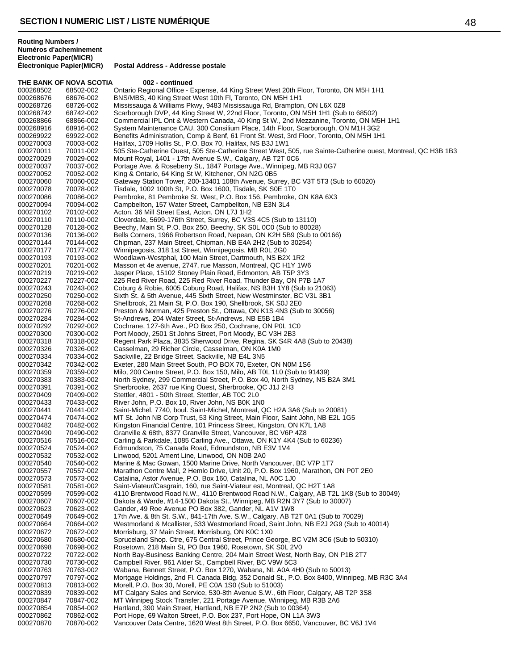THE BANK OF NOVA SCOTIA 002 - continued 000268502 68502-002 Ontario Regional Office - Expense, 44 King Street West 20th Floor, Toronto, ON M5H 1H1<br>000268676 68676-002 BNS/MBS, 40 King Street West 10th Fl, Toronto, ON M5H 1H1 000268676 68676-002 BNS/MBS, 40 King Street West 10th Fl, Toronto, ON M5H 1H1<br>000268726 68726-002 Mississauga & Williams Pkwy, 9483 Mississauga Rd. Bramptor Mississauga & Williams Pkwy, 9483 Mississauga Rd, Brampton, ON L6X 0Z8 000268742 68742-002 Scarborough DVP, 44 King Street W, 22nd Floor, Toronto, ON M5H 1H1 (Sub to 68502)<br>000268866 68866-002 Commercial IPL Ont & Western Canada, 40 King St W., 2nd Mezzanine, Toronto, ON M Commercial IPL Ont & Western Canada, 40 King St W., 2nd Mezzanine, Toronto, ON M5H 1H1 000268916 68916-002 System Maintenance CAU, 300 Consilium Place, 14th Floor, Scarborough, ON M1H 3G2<br>000269922 69922-002 Benefits Administration, Comp & Benf, 61 Front St. West, 3rd Floor, Toronto, ON M5H 1H 000269922 69922-002 Benefits Administration, Comp & Benf, 61 Front St. West, 3rd Floor, Toronto, ON M5H 1H1<br>000270003 70003-002 Halifax. 1709 Hollis St.. P.O. Box 70. Halifax. NS B3J 1W1 Halifax, 1709 Hollis St., P.O. Box 70, Halifax, NS B3J 1W1 000270011 70011-002 505 Ste-Catherine Ouest, 505 Ste-Catherine Street West, 505, rue Sainte-Catherine ouest, Montreal, QC H3B 1B3<br>000270029 70029-002 Mount Royal, 1401 - 17th Avenue S.W., Calgary, AB T2T 0C6 000270029 70029-002 Mount Royal, 1401 - 17th Avenue S.W., Calgary, AB T2T 0C6<br>000270037 70037-002 Portage Ave. & Roseberry St., 1847 Portage Ave., Winnipeg, N 000270037 70037-002 Portage Ave. & Roseberry St., 1847 Portage Ave., Winnipeg, MB R3J 0G7<br>000270052 70052-002 King & Ontario, 64 King St W, Kitchener, ON N2G 0B5 000270052 70052-002 King & Ontario, 64 King St W, Kitchener, ON N2G 0B5 000270060 70060-002 Gateway Station Tower, 200-13401 108th Avenue, Surrey, BC V3T 5T3 (Sub to 60020)<br>000270078 70078-002 Tisdale, 1002 100th St, P.O. Box 1600, Tisdale, SK S0E 1T0 000270078 70078-002 Tisdale, 1002 100th St, P.O. Box 1600, Tisdale, SK S0E 1T0<br>000270086 70086-002 Pembroke, 81 Pembroke St. West, P.O. Box 156, Pembroke, 000270086 70086-002 Pembroke, 81 Pembroke St. West, P.O. Box 156, Pembroke, ON K8A 6X3<br>000270094 70094-002 Campbellton, 157 Water Street, Campbellton, NB E3N 3L4 000270094 70094-002 Campbellton, 157 Water Street, Campbellton, NB E3N 3L4<br>000270102 70102-002 Acton, 36 Mill Street East, Acton, ON L7J 1H2 000270102 70102-002 Acton, 36 Mill Street East, Acton, ON L7J 1H2<br>000270110 70110-002 Cloverdale, 5699-176th Street, Surrey, BC V3 000270110 70110-002 Cloverdale, 5699-176th Street, Surrey, BC V3S 4C5 (Sub to 13110) 000270128 70128-002 Beechy, Main St, P.O. Box 250, Beechy, SK S0L 0C0 (Sub to 80028)<br>000270136 70136-002 Bells Corners. 1966 Robertson Road. Nepean. ON K2H 5B9 (Sub to Bells Corners, 1966 Robertson Road, Nepean, ON K2H 5B9 (Sub to 00166) 000270144 70144-002 Chipman, 237 Main Street, Chipman, NB E4A 2H2 (Sub to 30254)<br>000270177 70177-002 Winnipegosis, 318 1st Street, Winnipegosis, MB R0L 2G0 Winnipegosis, 318 1st Street, Winnipegosis, MB R0L 2G0 000270193 70193-002 Woodlawn-Westphal, 100 Main Street, Dartmouth, NS B2X 1R2<br>000270201 70201-002 Masson et 4e avenue, 2747, rue Masson, Montreal, QC H1Y 1W 000270201 70201-002 Masson et 4e avenue, 2747, rue Masson, Montreal, QC H1Y 1W6<br>000270219 70219-002 Jasper Place, 15102 Stoney Plain Road, Edmonton, AB T5P 3Y3 Jasper Place, 15102 Stoney Plain Road, Edmonton, AB T5P 3Y3 000270227 70227-002 225 Red River Road, 225 Red River Road, Thunder Bay, ON P7B 1A7<br>000270243 70243-002 Coburg & Robie, 6005 Coburg Road, Halifax, NS B3H 1Y8 (Sub to 210 70243-002 Coburg & Robie, 6005 Coburg Road, Halifax, NS B3H 1Y8 (Sub to 21063)<br>70250-002 Sixth St. & 5th Avenue, 445 Sixth Street, New Westminster, BC V3L 3B1 000270250 70250-002 Sixth St. & 5th Avenue, 445 Sixth Street, New Westminster, BC V3L 3B1<br>000270268 70268-002 Shellbrook, 21 Main St, P.O. Box 190, Shellbrook, SK S0J 2E0 000270268 70268-002 Shellbrook, 21 Main St, P.O. Box 190, Shellbrook, SK S0J 2E0<br>000270276 70276-002 Preston & Norman. 425 Preston St.. Ottawa. ON K1S 4N3 (Sub Preston & Norman, 425 Preston St., Ottawa, ON K1S 4N3 (Sub to 30056) 000270284 70284-002 St-Andrews, 204 Water Street, St-Andrews, NB E5B 1B4<br>000270292 70292-002 Cochrane, 127-6th Ave., PO Box 250, Cochrane, ON P0L 000270292 70292-002 Cochrane, 127-6th Ave., PO Box 250, Cochrane, ON P0L 1C0<br>000270300 70300-002 Port Moody, 2501 St Johns Street, Port Moody, BC V3H 2B3 000270300 70300-002 Port Moody, 2501 St Johns Street, Port Moody, BC V3H 2B3<br>000270318 70318-002 Regent Park Plaza, 3835 Sherwood Drive, Regina, SK S4R 4 000270318 70318-002 Regent Park Plaza, 3835 Sherwood Drive, Regina, SK S4R 4A8 (Sub to 20438)<br>000270326 70326-002 Casselman, 29 Richer Circle, Casselman, ON K0A 1M0 000270326 70326-002 Casselman, 29 Richer Circle, Casselman, ON K0A 1M0<br>000270334 70334-002 Sackville, 22 Bridge Street, Sackville, NB E4L 3N5 000270334 70334-002 Sackville, 22 Bridge Street, Sackville, NB E4L 3N5<br>000270342 70342-002 Exeter, 280 Main Street South, PO BOX 70, Exeter 000270342 70342-002 Exeter, 280 Main Street South, PO BOX 70, Exeter, ON N0M 1S6<br>000270359 70359-002 Milo, 200 Centre Street, P.O. Box 150, Milo, AB T0L 1L0 (Sub to 9 000270359 70359-002 Milo, 200 Centre Street, P.O. Box 150, Milo, AB T0L 1L0 (Sub to 91439) 000270383 70383-002 North Sydney, 299 Commercial Street, P.O. Box 40, North Sydney, NS B2A 3M1<br>000270391 70391-002 Sherbrooke, 2637 rue King Ouest, Sherbrooke, QC J1J 2H3 000270391 70391-002 Sherbrooke, 2637 rue King Ouest, Sherbrooke, QC J1J 2H3<br>000270409 70409-002 Stettler, 4801 - 50th Street, Stettler, AB T0C 2L0 000270409 70409-002 Stettler, 4801 - 50th Street, Stettler, AB T0C 2L0 River John, P.O. Box 10, River John, NS B0K 1N0 000270441 70441-002 Saint-Michel, 7740, boul. Saint-Michel, Montreal, QC H2A 3A6 (Sub to 20081) 70474-002 MT St. John NB Corp Trust, 53 King Street, Main Floor, Saint John, NB E2L 1G5<br>70482-002 Kingston Financial Centre. 101 Princess Street. Kingston. ON K7L 1A8 000270482 70482-002 Kingston Financial Centre, 101 Princess Street, Kingston, ON K7L 1A8<br>000270490 70490-002 Granville & 68th, 8377 Granville Street, Vancouver, BC V6P 4Z8 000270490 70490-002 Granville & 68th, 8377 Granville Street, Vancouver, BC V6P 4Z8 Carling & Parkdale, 1085 Carling Ave., Ottawa, ON K1Y 4K4 (Sub to 60236) 000270524 70524-002 Edmundston, 75 Canada Road, Edmundston, NB E3V 1V4<br>000270532 70532-002 Linwood, 5201 Ament Line, Linwood, ON N0B 2A0 Linwood, 5201 Ament Line, Linwood, ON N0B 2A0 000270540 70540-002 Marine & Mac Gowan, 1500 Marine Drive, North Vancouver, BC V7P 1T7<br>000270557 70557-002 Marathon Centre Mall, 2 Hemlo Drive, Unit 20, P.O. Box 1960, Marathon, 000270557 70557-002 Marathon Centre Mall, 2 Hemlo Drive, Unit 20, P.O. Box 1960, Marathon, ON P0T 2E0<br>000270573 70573-002 Catalina. Astor Avenue. P.O. Box 160. Catalina. NL A0C 1J0 Catalina, Astor Avenue, P.O. Box 160, Catalina, NL A0C 1J0 000270581 70581-002 Saint-Viateur/Casgrain, 160, rue Saint-Viateur est, Montreal, QC H2T 1A8<br>000270599 70599-002 4110 Brentwood Road N.W., 4110 Brentwood Road N.W., Calgary, AB T2 000270599 70599-002 4110 Brentwood Road N.W., 4110 Brentwood Road N.W., Calgary, AB T2L 1K8 (Sub to 30049)<br>000270607 70607-002 Dakota & Warde, #14-1500 Dakota St., Winnipeg, MB R2N 3Y7 (Sub to 30007) 000270607 70607-002 Dakota & Warde, #14-1500 Dakota St., Winnipeg, MB R2N 3Y7 (Sub to 30007)<br>000270623 70623-002 Gander, 49 Roe Avenue PO Box 382, Gander, NL A1V 1W8 000270623 70623-002 Gander, 49 Roe Avenue PO Box 382, Gander, NL A1V 1W8<br>000270649 70649-002 17th Ave. & 8th St. S.W., 841-17th Ave. S.W., Calgary, AB T 000270649 70649-002 17th Ave. & 8th St. S.W., 841-17th Ave. S.W., Calgary, AB T2T 0A1 (Sub to 70029)<br>000270664 70664-002 Westmorland & Mcallister, 533 Westmorland Road, Saint John, NB E2J 2G9 (Sub to 000270664 70664-002 Westmorland & Mcallister, 533 Westmorland Road, Saint John, NB E2J 2G9 (Sub to 40014)<br>000270672 70672-002 Morrisburg, 37 Main Street, Morrisburg, ON K0C 1X0 Morrisburg, 37 Main Street, Morrisburg, ON K0C 1X0 000270680 70680-002 Spruceland Shop. Ctre, 675 Central Street, Prince George, BC V2M 3C6 (Sub to 50310)<br>000270698 70698-002 Rosetown, 218 Main St, PO Box 1960, Rosetown, SK S0L 2V0 000270698 70698-002 Rosetown, 218 Main St, PO Box 1960, Rosetown, SK S0L 2V0 000270722 70722-002 North Bay-Business Banking Centre, 204 Main Street West, North Bay, ON P1B 2T7<br>000270730 70730-002 Campbell River, 961 Alder St., Campbell River, BC V9W 5C3 000270730 70730-002 Campbell River, 961 Alder St., Campbell River, BC V9W 5C3<br>000270763 70763-002 Wabana. Bennett Street. P.O. Box 1270. Wabana. NL A0A 4H Wabana, Bennett Street, P.O. Box 1270, Wabana, NL A0A 4H0 (Sub to 50013) 000270797 70797-002 Mortgage Holdings, 2nd Fl. Canada Bldg. 352 Donald St., P.O. Box 8400, Winnipeg, MB R3C 3A4<br>000270813 70813-002 Morell, P.O. Box 30, Morell, PE C0A 1S0 (Sub to 51003) 70813-002 Morell, P.O. Box 30, Morell, PE C0A 1S0 (Sub to 51003)<br>70839-002 MT Calgary Sales and Service. 530-8th Avenue S.W., 6t 000270839 70839-002 MT Calgary Sales and Service, 530-8th Avenue S.W., 6th Floor, Calgary, AB T2P 3S8<br>000270847 70847-002 MT Winnipeg Stock Transfer, 221 Portage Avenue, Winnipeg, MB R3B 2A6 000270847 70847-002 MT Winnipeg Stock Transfer, 221 Portage Avenue, Winnipeg, MB R3B 2A6<br>000270854 70854-002 Hartland. 390 Main Street. Hartland. NB E7P 2N2 (Sub to 00364) Hartland, 390 Main Street, Hartland, NB E7P 2N2 (Sub to 00364) 000270862 70862-002 Port Hope, 69 Walton Street, P.O. Box 237, Port Hope, ON L1A 3W3 Vancouver Data Centre, 1620 West 8th Street, P.O. Box 6650, Vancouver, BC V6J 1V4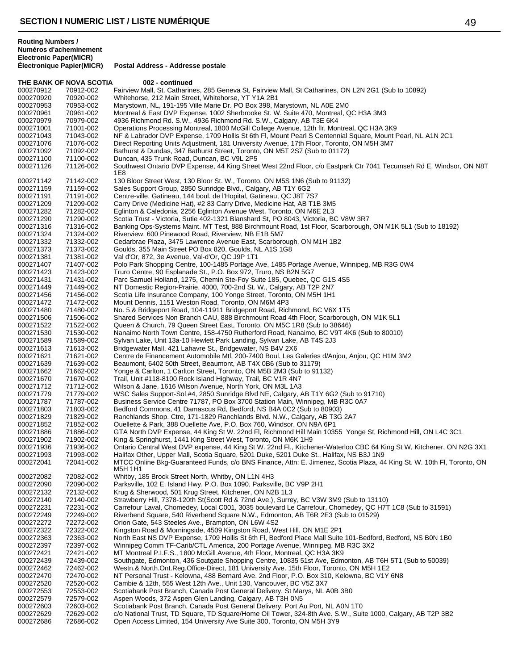**Routing Numbers / Numéros d'acheminement Electronic Paper(MICR)**

THE BANK OF NOVA SCOTIA 002 - continued 000270912 70912-002 Fairview Mall, St. Catharines, 285 Geneva St, Fairview Mall, St Catharines, ON L2N 2G1 (Sub to 10892)<br>000270920 70920-002 Whitehorse, 212 Main Street, Whitehorse, YT Y1A 2B1 000270920 70920-002 Whitehorse, 212 Main Street, Whitehorse, YT Y1A 2B1 Marystown, NL, 191-195 Ville Marie Dr. PO Box 398, Marystown, NL A0E 2M0 000270961 70961-002 Montreal & East DVP Expense, 1002 Sherbrooke St. W. Suite 470, Montreal, QC H3A 3M3<br>000270979 70979-002 4936 Richmond Rd. S.W., 4936 Richmond Rd. S.W., Calgary, AB T3E 6K4 4936 Richmond Rd. S.W., 4936 Richmond Rd. S.W., Calgary, AB T3E 6K4 000271001 71001-002 Operations Processing Montreal, 1800 McGill College Avenue, 12th flr, Montreal, QC H3A 3K9<br>1900271043 71043-002 NF & Labrador DVP Expense, 1709 Hollis St 6th Fl, Mount Pearl S Centennial Square, Mount 000271043 71043-002 NF & Labrador DVP Expense, 1709 Hollis St 6th Fl, Mount Pearl S Centennial Square, Mount Pearl, NL A1N 2C1<br>000271076 71076-002 Direct Reporting Units Adiustment. 181 University Avenue. 17th Floor. Toron Direct Reporting Units Adjustment, 181 University Avenue, 17th Floor, Toronto, ON M5H 3M7 000271092 71092-002 Bathurst & Dundas, 347 Bathurst Street, Toronto, ON M5T 2S7 (Sub to 01172)<br>000271100 71100-002 Duncan, 435 Trunk Road, Duncan, BC V9L 2P5 000271100 71100-002 Duncan, 435 Trunk Road, Duncan, BC V9L 2P5<br>000271126 71126-002 Southwest Ontario DVP Expense, 44 King Stree Southwest Ontario DVP Expense, 44 King Street West 22nd Floor, c/o Eastpark Ctr 7041 Tecumseh Rd E, Windsor, ON N8T 1E8 000271142 71142-002 130 Bloor Street West, 130 Bloor St. W., Toronto, ON M5S 1N6 (Sub to 91132) 000271159 71159-002 Sales Support Group, 2850 Sunridge Blvd., Calgary, AB T1Y 6G2 000271191 71191-002 Centre-ville, Gatineau, 144 boul. de l'Hopital, Gatineau, QC J8T 7S7<br>000271209 71209-002 Carry Drive (Medicine Hat), #2 83 Carry Drive, Medicine Hat, AB T1! Carry Drive (Medicine Hat), #2 83 Carry Drive, Medicine Hat, AB T1B 3M5 000271282 71282-002 Eglinton & Caledonia, 2256 Eglinton Avenue West, Toronto, ON M6E 2L3 000271290 71290-002 Scotia Trust - Victoria, Sutie 402-1321 Blanshard St, PO 8043, Victoria, BC V8W 3R7 000271316 71316-002 Banking Ops-Systems Maint. MT Test, 888 Birchmount Road, 1st Floor, Scarborough, ON M1K 5L1 (Sub to 18192) 000271324 71324-002 Riverview, 600 Pinewood Road, Riverview, NB E1B 5M7 000271332 71332-002 Cedarbrae Plaza, 3475 Lawrence Avenue East, Scarborough, ON M1H 1B2 000271373 71373-002 Goulds, 355 Main Street PO Box 820, Goulds, NL A1S 1G8 000271381 71381-002 Val d'Or, 872, 3e Avenue, Val-d'Or, QC J9P 1T1 000271407 71407-002 Polo Park Shopping Centre, 100-1485 Portage Ave, 1485 Portage Avenue, Winnipeg, MB R3G 0W4 000271423 71423-002 Truro Centre, 90 Esplanade St., P.O. Box 972, Truro, NS B2N 5G7 000271431 71431-002 Parc Samuel Holland, 1275, Chemin Ste-Foy Suite 185, Quebec, QC G1S 4S5 000271449 71449-002 NT Domestic Region-Prairie, 4000, 700-2nd St. W., Calgary, AB T2P 2N7 000271456 71456-002 Scotia Life Insurance Company, 100 Yonge Street, Toronto, ON M5H 1H1 000271472 71472-002 Mount Dennis, 1151 Weston Road, Toronto, ON M6M 4P3 000271480 71480-002 No. 5 & Bridgeport Road, 104-11911 Bridgeport Road, Richmond, BC V6X 1T5 000271506 71506-002 Shared Services Non Branch CAU, 888 Birchmount Road 4th Floor, Scarborough, ON M1K 5L1 000271522 71522-002 Queen & Church, 79 Queen Street East, Toronto, ON M5C 1R8 (Sub to 38646) 000271530 71530-002 Nanaimo North Town Centre, 158-4750 Rutherford Road, Nanaimo, BC V9T 4K6 (Sub to 80010) 000271589 71589-002 Sylvan Lake, Unit 13a-10 Hewlett Park Landing, Sylvan Lake, AB T4S 2J3<br>000271613 71613-002 Bridgewater Mall, 421 Lahavre St., Bridgewater, NS B4V 2X6 71613-002 Bridgewater Mall, 421 Lahavre St., Bridgewater, NS B4V 2X6 000271621 71621-002 Centre de Financement Automobile Mtl, 200-7400 Boul. Les Galeries d/Anjou, Anjou, QC H1M 3M2 000271639 71639-002 Beaumont, 6402 50th Street, Beaumont, AB T4X 0B6 (Sub to 31179) Yonge & Carlton, 1 Carlton Street, Toronto, ON M5B 2M3 (Sub to 91132) 000271670 71670-002 Trail, Unit #118-8100 Rock Island Highway, Trail, BC V1R 4N7 000271712 71712-002 Wilson & Jane, 1616 Wilson Avenue, North York, ON M3L 1A3 000271779 71779-002 WSC Sales Support-Sol #4, 2850 Sunridge Blvd NE, Calgary, AB T1Y 6G2 (Sub to 91710) 000271787 71787-002 Business Service Centre 71787, PO Box 3700 Station Main, Winnipeg, MB R3C 0A7<br>000271803 71803-002 Bedford Commons, 41 Damascus Rd, Bedford, NS B4A 0C2 (Sub to 80903) 71803-002 Bedford Commons, 41 Damascus Rd, Bedford, NS B4A 0C2 (Sub to 80903) 000271829 71829-002 Ranchlands Shop. Ctre, 171-1829 Ranchlands Blvd. N.W., Calgary, AB T3G 2A7 000271852 71852-002 Ouellette & Park, 388 Ouellette Ave, P.O. Box 760, Windsor, ON N9A 6P1 000271886 71886-002 GTA North DVP Expense, 44 King St W. 22nd Fl, Richmond Hill Main 10355 Yonge St, Richmond Hill, ON L4C 3C1 000271902 71902-002 King & Springhurst, 1441 King Street West, Toronto, ON M6K 1H9 000271936 71936-002 Ontario Central West DVP expense, 44 King St W. 22nd Fl., Kitchener-Waterloo CBC 64 King St W, Kitchener, ON N2G 3X1 000271993 71993-002 Halifax Other, Upper Mall, Scotia Square, 5201 Duke, 5201 Duke St., Halifax, NS B3J 1N9 000272041 72041-002 MTCC Online Bkg-Guaranteed Funds, c/o BNS Finance, Attn: E. Jimenez, Scotia Plaza, 44 King St. W. 10th Fl, Toronto, ON M5H 1H1 000272082 72082-002 Whitby, 185 Brock Street North, Whitby, ON L1N 4H3<br>000272090 72090-002 Parksville, 102 E. Island Hwy, P.O. Box 1090, Parksvi 000272090 72090-002 Parksville, 102 E. Island Hwy, P.O. Box 1090, Parksville, BC V9P 2H1<br>000272132 72132-002 Krug & Sherwood, 501 Krug Street, Kitchener, ON N2B 1L3 Krug & Sherwood, 501 Krug Street, Kitchener, ON N2B 1L3 000272140 72140-002 Strawberry Hill, 7378-120th St(Scott Rd & 72nd Ave.), Surrey, BC V3W 3M9 (Sub to 13110) 000272231 72231-002 Carrefour Laval, Chomedey, Local C001, 3035 boulevard Le Carrefour, Chomedey, QC H7T 1C8 (Sub to 31591)<br>000272249 72249-002 Riverbend Square, 540 Riverbend Square N.W., Edmonton, AB T6R 2E3 (Sub to 0152 000272249 72249-002 Riverbend Square, 540 Riverbend Square N.W., Edmonton, AB T6R 2E3 (Sub to 01529)<br>000272272 72272-002 Orion Gate, 543 Steeles Ave., Brampton, ON L6W 4S2 000272272 72272-002 Orion Gate, 543 Steeles Ave., Brampton, ON L6W 4S2<br>000272322 72322-002 Kingston Road & Morningside, 4509 Kingston Road, W Kingston Road & Morningside, 4509 Kingston Road, West Hill, ON M1E 2P1 000272363 72363-002 North East NS DVP Expense, 1709 Hollis St 6th Fl, Bedford Place Mall Suite 101-Bedford, Bedford, NS B0N 1B0<br>000272397 72397-002 Winnipeg Comm TF-Carib/CTL America, 200 Portage Avenue, Winnipeg, MB R3C 3 72397-002 Winnipeg Comm TF-Carib/CTL America, 200 Portage Avenue, Winnipeg, MB R3C 3X2<br>72421-002 MT Montreal P.I.F.S., 1800 McGill Avenue, 4th Floor, Montreal, QC H3A 3K9 000272421 72421-002 MT Montreal P.I.F.S., 1800 McGill Avenue, 4th Floor, Montreal, QC H3A 3K9<br>000272439 72439-002 Southgate, Edmonton, 436 Soutgate Shopping Centre, 10835 51st Ave, Edm 000272439 72439-002 Southgate, Edmonton, 436 Soutgate Shopping Centre, 10835 51st Ave, Edmonton, AB T6H 5T1 (Sub to 50039)<br>000272462 72462-002 Westn.& North.Ont.Reg.Office-Direct, 181 University Ave. 15th Floor, Toronto, O 000272462 72462-002 Westn.& North.Ont.Reg.Office-Direct, 181 University Ave. 15th Floor, Toronto, ON M5H 1E2<br>000272470 72470-002 NT Personal Trust - Kelowna, 488 Bernard Ave. 2nd Floor, P.O. Box 310, Kelowna, BC V1Y 000272470 72470-002 NT Personal Trust - Kelowna, 488 Bernard Ave. 2nd Floor, P.O. Box 310, Kelowna, BC V1Y 6N8<br>000272520 72520-002 Cambie & 12th, 555 West 12th Ave., Unit 130, Vancouver, BC V5Z 3X7 000272520 72520-002 Cambie & 12th, 555 West 12th Ave., Unit 130, Vancouver, BC V5Z 3X7<br>000272553 72553-002 Scotiabank Post Branch, Canada Post General Delivery, St Marys, NL / 000272553 72553-002 Scotiabank Post Branch, Canada Post General Delivery, St Marys, NL A0B 3B0<br>000272579 72579-002 Aspen Woods, 372 Aspen Glen Landing, Calgary, AB T3H 0N5 Aspen Woods, 372 Aspen Glen Landing, Calgary, AB T3H 0N5 000272603 72603-002 Scotiabank Post Branch, Canada Post General Delivery, Port Au Port, NL A0N 1T0<br>000272629 72629-002 c/o National Trust, TD Square, TD Square/Home Oil Tower, 324-8th Ave. S.W., Suit 000272629 72629-002 c/o National Trust, TD Square, TD Square/Home Oil Tower, 324-8th Ave. S.W., Suite 1000, Calgary, AB T2P 3B2<br>000272686 72686-002 Open Access Limited. 154 University Ave Suite 300. Toronto. ON M5H 3Y9 Open Access Limited, 154 University Ave Suite 300, Toronto, ON M5H 3Y9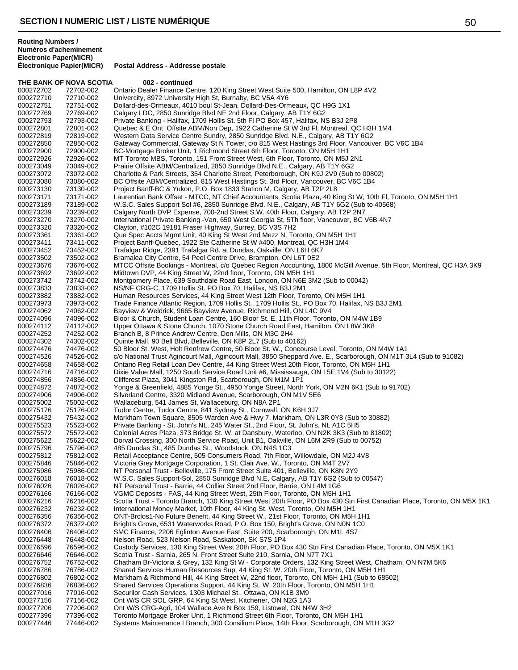THE BANK OF NOVA SCOTIA 002 - continued 000272702 72702-002 Ontario Dealer Finance Centre, 120 King Street West Suite 500, Hamilton, ON L8P 4V2<br>000272710 72710-002 Univercity, 8972 University High St, Burnaby, BC V5A 4Y6 000272710 72710-002 Univercity, 8972 University High St, Burnaby, BC V5A 4Y6<br>000272751 72751-002 Dollard-des-Ormeaux. 4010 boul St-Jean. Dollard-Des-Orn Dollard-des-Ormeaux, 4010 boul St-Jean, Dollard-Des-Ormeaux, QC H9G 1X1 000272769 72769-002 Calgary LDC, 2850 Sunridge Blvd NE 2nd Floor, Calgary, AB T1Y 6G2<br>000272793 72793-002 Private Banking - Halifax, 1709 Hollis St. 5th Fl PO Box 457, Halifax, N 000272793 72793-002 Private Banking - Halifax, 1709 Hollis St. 5th Fl PO Box 457, Halifax, NS B3J 2P8<br>000272801 72801-002 Quebec & E Ont Offsite ABM/Non Dep, 1922 Catherine St W 3rd Fl, Montreal, Q 000272801 72801-002 Quebec & E Ont Offsite ABM/Non Dep, 1922 Catherine St W 3rd Fl, Montreal, QC H3H 1M4<br>000272819 72819-002 Western Data Service Centre Sundry, 2850 Sunridge Blvd. N.E., Calgary, AB T1Y 6G2 000272819 72819-002 Western Data Service Centre Sundry, 2850 Sunridge Blvd. N.E., Calgary, AB T1Y 6G2<br>000272850 72850-002 Gateway Commercial. Gateway St N Tower. c/o 815 West Hastings 3rd Floor. Vancouy Gateway Commercial, Gateway St N Tower, c/o 815 West Hastings 3rd Floor, Vancouver, BC V6C 1B4 000272900 72900-002 BC-Mortgage Broker Unit, 1 Richmond Street 6th Floor, Toronto, ON M5H 1H1<br>000272926 72926-002 MT Toronto MBS, Toronto, 151 Front Street West, 6th Floor, Toronto, ON M5J 000272926 72926-002 MT Toronto MBS, Toronto, 151 Front Street West, 6th Floor, Toronto, ON M5J 2N1<br>000273049 73049-002 Prairie Offsite ABM/Centralized, 2850 Sunridge Blvd N.E., Calgary, AB T1Y 6G2 000273049 73049-002 Prairie Offsite ABM/Centralized, 2850 Sunridge Blvd N.E., Calgary, AB T1Y 6G2<br>000273072 73072-002 Charlotte & Park Streets, 354 Charlotte Street, Peterborough, ON K9J 2V9 (Sub 000273072 73072-002 Charlotte & Park Streets, 354 Charlotte Street, Peterborough, ON K9J 2V9 (Sub to 00802)<br>000273080 73080-002 BC Offsite ABM/Centralized, 815 West Hastings St. 3rd Floor, Vancouver, BC V6C 1B4 000273080 73080-002 BC Offsite ABM/Centralized, 815 West Hastings St. 3rd Floor, Vancouver, BC V6C 1B4<br>000273130 73130-002 Project Banff-BC & Yukon, P.O. Box 1833 Station M, Calgary, AB T2P 2L8 000273130 73130-002 Project Banff-BC & Yukon, P.O. Box 1833 Station M, Calgary, AB T2P 2L8 Laurentian Bank Offset - MTCC, NT Chief Accountants, Scotia Plaza, 40 King St W, 10th Fl, Toronto, ON M5H 1H1 000273189 73189-002 W.S.C. Sales Support Sol #6, 2850 Sunridge Blvd. N.E., Calgary, AB T1Y 6G2 (Sub to 40568)<br>000273239 73239-002 Calgary North DVP Expense, 700-2nd Street S.W. 40th Floor, Calgary, AB T2P 2N7 000273239 73239-002 Calgary North DVP Expense, 700-2nd Street S.W. 40th Floor, Calgary, AB T2P 2N7 000273270 73270-002 International Private Banking -Van, 650 West Georgia St, 5Th floor, Vancouver, BC V6B 4N7<br>000273320 73320-002 Clayton, #102C 19181 Fraser Highway, Surrey, BC V3S 7H2 000273320 73320-002 Clayton, #102C 19181 Fraser Highway, Surrey, BC V3S 7H2<br>000273361 73361-002 Que Spec Accts Mamt Unit. 40 King St West 2nd Mezz N. To Que Spec Accts Mgmt Unit, 40 King St West 2nd Mezz N, Toronto, ON M5H 1H1 000273411 73411-002 Project Banff-Quebec, 1922 Ste Catherine St W #400, Montreal, QC H3H 1M4<br>000273452 73452-002 Trafalgar Ridge, 2391 Trafalgar Rd. at Dundas, Oakville, ON L6H 6K7 Trafalgar Ridge, 2391 Trafalgar Rd. at Dundas, Oakville, ON L6H 6K7 000273502 73502-002 Bramalea City Centre, 54 Peel Centre Drive, Brampton, ON L6T 0E2<br>000273676 73676-002 MTCC Offsite Bookings - Montreal, c/o Quebec Region Accounting, 1 000273676 73676-002 MTCC Offsite Bookings - Montreal, c/o Quebec Region Accounting, 1800 McGill Avenue, 5th Floor, Montreal, QC H3A 3K9<br>000273692 73692-002 Midtown DVP, 44 King Street W. 22nd floor. Toronto, ON M5H 1H1 Midtown DVP, 44 King Street W, 22nd floor, Toronto, ON M5H 1H1 000273742 73742-002 Montgomery Place, 639 Southdale Road East, London, ON N6E 3M2 (Sub to 00042) NS/NF CRG-C, 1709 Hollis St. PO Box 70, Halifax, NS B3J 2M1 000273882 73882-002 Human Resources Services, 44 King Street West 12th Floor, Toronto, ON M5H 1H1<br>000273973 73973-002 Trade Finance Atlantic Region, 1709 Hollis St., 1709 Hollis St., PO Box 70, Halifax, N 000273973 73973-002 Trade Finance Atlantic Region, 1709 Hollis St., 1709 Hollis St., PO Box 70, Halifax, NS B3J 2M1<br>000274062 74062-002 Bavview & Weldrick. 9665 Bavview Avenue. Richmond Hill. ON L4C 9V4 Bayview & Weldrick, 9665 Bayview Avenue, Richmond Hill, ON L4C 9V4 000274096 74096-002 Bloor & Church, Student Loan Centre, 160 Bloor St. E. 11th Floor, Toronto, ON M4W 1B9<br>000274112 74112-002 Upper Ottawa & Stone Church, 1070 Stone Church Road East, Hamilton, ON L8W 3K8 000274112 74112-002 Upper Ottawa & Stone Church, 1070 Stone Church Road East, Hamilton, ON L8W 3K8<br>000274252 74252-002 Branch B, 8 Prince Andrew Centre, Don Mills, ON M3C 2H4 000274252 74252-002 Branch B, 8 Prince Andrew Centre, Don Mills, ON M3C 2H4<br>000274302 74302-002 Quinte Mall, 90 Bell Blvd, Belleville, ON K8P 2L7 (Sub to 40 000274302 74302-002 Quinte Mall, 90 Bell Blvd, Belleville, ON K8P 2L7 (Sub to 40162) 000274476 74476-002 50 Bloor St. West, Holt Renfrew Centre, 50 Bloor St. W., Concourse Level, Toronto, ON M4W 1A1<br>000274526 74526-002 c/o National Trust Agincourt Mall, Agincourt Mall, 3850 Sheppard Ave. E., Scarborough, O 000274526 74526-002 c/o National Trust Agincourt Mall, Agincourt Mall, 3850 Sheppard Ave. E., Scarborough, ON M1T 3L4 (Sub to 91082)<br>000274658 74658-002 Ontario Reg Retail Loan Dev Centre, 44 King Street West 20th Floor, T 000274658 74658-002 Ontario Reg Retail Loan Dev Centre, 44 King Street West 20th Floor, Toronto, ON M5H 1H1<br>000274716 74716-002 Dixie Value Mall, 1250 South Service Road Unit #6, Mississauga, ON L5E 1V4 (Sub to 3012 000274716 74716-002 Dixie Value Mall, 1250 South Service Road Unit #6, Mississauga, ON L5E 1V4 (Sub to 30122)<br>000274856 74856-002 Cliffcrest Plaza, 3041 Kingston Rd, Scarborough, ON M1M 1P1 000274856 74856-002 Cliffcrest Plaza, 3041 Kingston Rd, Scarborough, ON M1M 1P1<br>000274872 74872-002 Yonge & Greenfield, 4885 Yonge St., 4950 Yonge Street, North 000274872 74872-002 Yonge & Greenfield, 4885 Yonge St., 4950 Yonge Street, North York, ON M2N 6K1 (Sub to 91702)<br>000274906 74906-002 Silverland Centre, 3320 Midland Avenue, Scarborough, ON M1V 5E6 000274906 74906-002 Silverland Centre, 3320 Midland Avenue, Scarborough, ON M1V 5E6<br>000275002 75002-002 Wallaceburg. 541 James St. Wallaceburg. ON N8A 2P1 Wallaceburg, 541 James St, Wallaceburg, ON N8A 2P1 000275176 75176-002 Tudor Centre, Tudor Centre, 841 Sydney St., Cornwall, ON K6H 3J7<br>000275432 75432-002 Markham Town Square, 8505 Warden Ave & Hwy 7, Markham, ON L Markham Town Square, 8505 Warden Ave & Hwy 7, Markham, ON L3R 0Y8 (Sub to 30882) 000275523 75523-002 Private Banking - St. John's NL, 245 Water St., 2nd Floor, St. John's, NL A1C 5H5 000275572 75572-002 Colonial Acres Plaza, 373 Bridge St. W. at Dansbury, Waterloo, ON N2K 3K3 (Sub to 81802)<br>000275622 75622-002 Dorval Crossing, 300 North Service Road, Unit B1, Oakville, ON L6M 2R9 (Sub to 00752) Dorval Crossing, 300 North Service Road, Unit B1, Oakville, ON L6M 2R9 (Sub to 00752) 000275796 75796-002 485 Dundas St., 485 Dundas St., Woodstock, ON N4S 1C3<br>000275812 75812-002 Retail Acceptance Centre, 505 Consumers Road, 7th Floor, Retail Acceptance Centre, 505 Consumers Road, 7th Floor, Willowdale, ON M2J 4V8 000275846 75846-002 Victoria Grey Mortgage Corporation, 1 St. Clair Ave. W., Toronto, ON M4T 2V7 000275986 75986-002 NT Personal Trust - Belleville, 175 Front Street Suite 401, Belleville, ON K8N 2Y9 W.S.C. Sales Support-Sol, 2850 Sunridge Blvd N.E, Calgary, AB T1Y 6G2 (Sub to 00547) 000276026 76026-002 NT Personal Trust - Barrie, 44 Collier Street 2nd Floor, Barrie, ON L4M 1G6<br>000276166 76166-002 VGMC Deposits - FAS, 44 King Street West, 25th Floor, Toronto, ON M5H 1 000276166 76166-002 VGMC Deposits - FAS, 44 King Street West, 25th Floor, Toronto, ON M5H 1H1<br>000276216 76216-002 Scotia Trust - Toronto Branch, 130 King Street West 20th Floor, PO Box 430 St 000276216 76216-002 Scotia Trust - Toronto Branch, 130 King Street West 20th Floor, PO Box 430 Stn First Canadian Place, Toronto, ON M5X 1K1<br>000276232 76232-002 International Money Market, 10th Floor, 44 King St. West, Tor 000276232 76232-002 International Money Market, 10th Floor, 44 King St. West, Toronto, ON M5H 1H1 000276356 76356-002 ONT-Brclos1-No Future Benefit, 44 King Street W., 21st Floor, Toronto, ON M5H 1H1<br>000276372 76372-002 Bright's Grove, 6531 Waterworks Road, P.O. Box 150, Bright's Grove, ON N0N 1C0 000276372 76372-002 Bright's Grove, 6531 Waterworks Road, P.O. Box 150, Bright's Grove, ON N0N 1C0<br>000276406 76406-002 SMC Finance, 2206 Eglinton Avenue East, Suite 200, Scarborough, ON M1L 4S7 76406-002 SMC Finance, 2206 Eglinton Avenue East, Suite 200, Scarborough, ON M1L 4S7<br>76448-002 Nelson Road, 523 Nelson Road, Saskatoon, SK S7S 1P4 000276448 76448-002 Nelson Road, 523 Nelson Road, Saskatoon, SK S7S 1P4<br>000276596 76596-002 Custody Services, 130 King Street West 20th Floor, PO B 000276596 76596-002 Custody Services, 130 King Street West 20th Floor, PO Box 430 Stn First Canadian Place, Toronto, ON M5X 1K1<br>000276646 76646-002 Scotia Trust - Sarnia, 265 N. Front Street Suite 210, Sarnia, ON N7T 7X1 000276646 76646-002 Scotia Trust - Sarnia, 265 N. Front Street Suite 210, Sarnia, ON N7T 7X1<br>000276752 76752-002 Chatham Br-Victoria & Grey, 132 King St W - Corporate Orders, 132 King 000276752 76752-002 Chatham Br-Victoria & Grey, 132 King St W - Corporate Orders, 132 King Street West, Chatham, ON N7M 5K6<br>000276786 76786-002 Shared Services Human Resources Sup. 44 King St. W. 20th Floor. Toronto. ON M5 Shared Services Human Resources Sup, 44 King St. W. 20th Floor, Toronto, ON M5H 1H1 000276802 76802-002 Markham & Richmond Hill, 44 King Street W, 22nd floor, Toronto, ON M5H 1H1 (Sub to 68502)<br>000276836 76836-002 Shared Services Operations Support, 44 King St. W. 20th Floor, Toronto, ON M5H 1H1 Shared Services Operations Support, 44 King St. W. 20th Floor, Toronto, ON M5H 1H1 000277016 77016-002 Securilor Cash Services, 1303 Michael St., Ottawa, ON K1B 3M9 000277156 77156-002 Ont W/S CR SOL GRP, 64 King St West, Kitchener, ON N2G 1A3<br>000277206 77206-002 Ont W/S CRG-Agri, 104 Wallace Ave N Box 159, Listowel, ON N4 Ont W/S CRG-Agri, 104 Wallace Ave N Box 159, Listowel, ON N4W 3H2 000277396 77396-002 Toronto Mortgage Broker Unit, 1 Richmond Street 6th Floor, Toronto, ON M5H 1H1<br>000277446 77446-002 Systems Maintenance I Branch, 300 Consilium Place, 14th Floor, Scarborough, ON Systems Maintenance I Branch, 300 Consilium Place, 14th Floor, Scarborough, ON M1H 3G2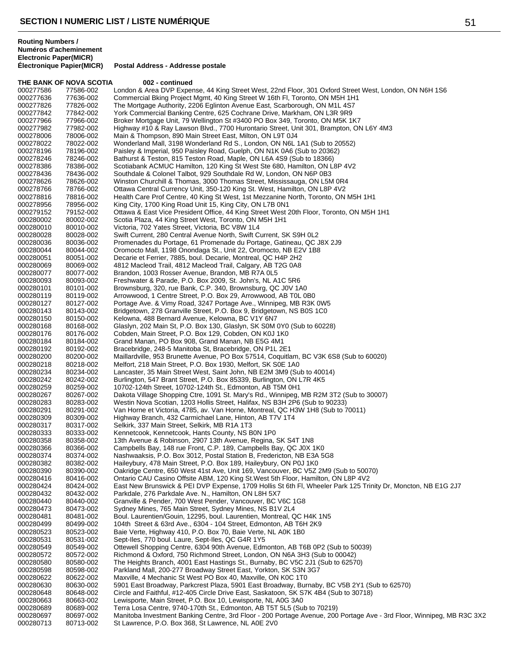THE BANK OF NOVA SCOTIA 002 - continued 000277586 77586-002 London & Area DVP Expense, 44 King Street West, 22nd Floor, 301 Oxford Street West, London, ON N6H 1S6<br>000277636 77636-002 Commercial Bking Project Mgmt, 40 King Street W 16th Fl, Toronto, ON M5H 1H1 000277636 77636-002 Commercial Bking Project Mgmt, 40 King Street W 16th Fl, Toronto, ON M5H 1H1<br>000277826 77826-002 The Mortgage Authority, 2206 Eglinton Avenue East, Scarborough, ON M1L 4S7 The Mortgage Authority, 2206 Eglinton Avenue East, Scarborough, ON M1L 4S7 000277842 77842-002 York Commercial Banking Centre, 625 Cochrane Drive, Markham, ON L3R 9R9<br>000277966 77966-002 Broker Mortgage Unit, 79 Wellington St #3400 PO Box 349, Toronto, ON M5K 1 Broker Mortgage Unit, 79 Wellington St #3400 PO Box 349, Toronto, ON M5K 1K7 000277982 77982-002 Highway #10 & Ray Lawson Blvd., 7700 Hurontario Street, Unit 301, Brampton, ON L6Y 4M3<br>000278006 78006-002 Main & Thompson, 890 Main Street East, Milton, ON L9T 0J4 000278006 78006-002 Main & Thompson, 890 Main Street East, Milton, ON L9T 0J4<br>000278022 78022-002 Wonderland Mall. 3198 Wonderland Rd S., London, ON N6L 1 Wonderland Mall, 3198 Wonderland Rd S., London, ON N6L 1A1 (Sub to 20552) 000278196 78196-002 Paisley & Imperial, 950 Paisley Road, Guelph, ON N1K 0A6 (Sub to 20362)<br>000278246 78246-002 Bathurst & Teston, 815 Teston Road, Maple, ON L6A 4S9 (Sub to 18366) 000278246 78246-002 Bathurst & Teston, 815 Teston Road, Maple, ON L6A 4S9 (Sub to 18366) 000278386 78386-002 Scotiabank ACMUC Hamilton, 120 King St West Ste 680, Hamilton, ON L8P 4V2<br>000278436 78436-002 Southdale & Colonel Talbot, 929 Southdale Rd W, London, ON N6P 0B3 000278436 78436-002 Southdale & Colonel Talbot, 929 Southdale Rd W, London, ON N6P 0B3<br>000278626 78626-002 Winston Churchill & Thomas. 3000 Thomas Street. Mississauga. ON L5M 000278626 78626-002 Winston Churchill & Thomas, 3000 Thomas Street, Mississauga, ON L5M 0R4<br>000278766 78766-002 Ottawa Central Currency Unit, 350-120 King St. West, Hamilton, ON L8P 4V2 000278766 78766-002 Ottawa Central Currency Unit, 350-120 King St. West, Hamilton, ON L8P 4V2<br>000278816 78816-002 Health Care Prof Centre, 40 King St West, 1st Mezzanine North, Toronto, ON 78816-002 Health Care Prof Centre, 40 King St West, 1st Mezzanine North, Toronto, ON M5H 1H1<br>78956-002 King City, 1700 King Road Unit 15, King City, ON L7B 0N1 000278956 78956-002 King City, 1700 King Road Unit 15, King City, ON L7B 0N1<br>000279152 79152-002 Ottawa & East Vice President Office, 44 King Street West 2 000279152 79152-002 Ottawa & East Vice President Office, 44 King Street West 20th Floor, Toronto, ON M5H 1H1<br>000280002 80002-002 Scotia Plaza, 44 King Street West, Toronto, ON M5H 1H1 000280002 80002-002 Scotia Plaza, 44 King Street West, Toronto, ON M5H 1H1<br>000280010 80010-002 Victoria, 702 Yates Street, Victoria, BC V8W 1L4 000280010 80010-002 Victoria, 702 Yates Street, Victoria, BC V8W 1L4<br>000280028 80028-002 Swift Current. 280 Central Avenue North. Swift C 000280028 80028-002 Swift Current, 280 Central Avenue North, Swift Current, SK S9H 0L2<br>000280036 80036-002 Promenades du Portage, 61 Promenade du Portage, Gatineau. QC J 000280036 80036-002 Promenades du Portage, 61 Promenade du Portage, Gatineau, QC J8X 2J9<br>000280044 80044-002 Oromocto Mall, 1198 Onondaga St., Unit 22, Oromocto, NB E2V 1B8 000280044 80044-002 Oromocto Mall, 1198 Onondaga St., Unit 22, Oromocto, NB E2V 1B8 000280051 80051-002 Decarie et Ferrier, 7885, boul. Decarie, Montreal, QC H4P 2H2<br>000280069 80069-002 4812 Macleod Trail, 4812 Macleod Trail, Calgary, AB T2G 0A8 000280069 80069-002 4812 Macleod Trail, 4812 Macleod Trail, Calgary, AB T2G 0A8<br>000280077 80077-002 Brandon, 1003 Rosser Avenue, Brandon, MB R7A 0L5 Brandon, 1003 Rosser Avenue, Brandon, MB R7A 0L5 000280093 80093-002 Freshwater & Parade, P.O. Box 2009, St. John's, NL A1C 5R6<br>000280101 80101-002 Brownsburg, 320, rue Bank, C.P. 340, Brownsburg, QC J0V 1A 000280101 80101-002 Brownsburg, 320, rue Bank, C.P. 340, Brownsburg, QC J0V 1A0<br>000280119 80119-002 Arrowwood, 1 Centre Street, P.O. Box 29, Arrowwood. AB T0L 0 000280119 80119-002 Arrowwood, 1 Centre Street, P.O. Box 29, Arrowwood, AB T0L 0B0<br>000280127 80127-002 Portage Ave. & Vimy Road, 3247 Portage Ave., Winnipeg, MB R3K 000280127 80127-002 Portage Ave. & Vimy Road, 3247 Portage Ave., Winnipeg, MB R3K 0W5<br>000280143 80143-002 Bridgetown. 278 Granville Street. P.O. Box 9. Bridgetown. NS B0S 1C0 Bridgetown, 278 Granville Street, P.O. Box 9, Bridgetown, NS B0S 1C0 000280150 80150-002 Kelowna, 488 Bernard Avenue, Kelowna, BC V1Y 6N7<br>000280168 80168-002 Glaslyn, 202 Main St, P.O. Box 130, Glaslyn, SK S0M 000280168 80168-002 Glaslyn, 202 Main St, P.O. Box 130, Glaslyn, SK S0M 0Y0 (Sub to 60228)<br>000280176 80176-002 Cobden, Main Street, P.O. Box 129, Cobden, ON K0J 1K0 000280176 80176-002 Cobden, Main Street, P.O. Box 129, Cobden, ON K0J 1K0<br>000280184 80184-002 Grand Manan, PO Box 908, Grand Manan, NB E5G 4M1 000280184 80184-002 Grand Manan, PO Box 908, Grand Manan, NB E5G 4M1<br>000280192 80192-002 Bracebridge, 248-5 Manitoba St. Bracebridge, ON P1L 21 000280192 80192-002 Bracebridge, 248-5 Manitoba St, Bracebridge, ON P1L 2E1<br>000280200 80200-002 Maillardville, 953 Brunette Avenue, PO Box 57514, Coquitla 000280200 80200-002 Maillardville, 953 Brunette Avenue, PO Box 57514, Coquitlam, BC V3K 6S8 (Sub to 60020)<br>000280218 80218-002 Melfort, 218 Main Street, P.O. Box 1930, Melfort, SK S0E 1A0 000280218 80218-002 Melfort, 218 Main Street, P.O. Box 1930, Melfort, SK S0E 1A0<br>000280234 80234-002 Lancaster, 35 Main Street West, Saint John, NB E2M 3M9 (Su 000280234 80234-002 Lancaster, 35 Main Street West, Saint John, NB E2M 3M9 (Sub to 40014)<br>000280242 80242-002 Burlington, 547 Brant Street, P.O. Box 85339, Burlington, ON L7R 4K5 000280242 80242-002 Burlington, 547 Brant Street, P.O. Box 85339, Burlington, ON L7R 4K5<br>000280259 80259-002 10702-124th Street, 10702-124th St., Edmonton, AB T5M 0H1 000280259 80259-002 10702-124th Street, 10702-124th St., Edmonton, AB T5M 0H1<br>000280267 80267-002 Dakota Village Shopping Ctre, 1091 St. Mary's Rd., Winnipeg, 000280267 80267-002 Dakota Village Shopping Ctre, 1091 St. Mary's Rd., Winnipeg, MB R2M 3T2 (Sub to 30007)<br>000280283 80283-002 Westin Nova Scotian. 1203 Hollis Street. Halifax. NS B3H 2P6 (Sub to 90233) Westin Nova Scotian, 1203 Hollis Street, Halifax, NS B3H 2P6 (Sub to 90233) 000280291 80291-002 Van Horne et Victoria, 4785, av. Van Horne, Montreal, QC H3W 1H8 (Sub to 70011)<br>000280309 80309-002 Highway Branch, 432 Carmichael Lane, Hinton, AB T7V 1T4 000280309 80309-002 Highway Branch, 432 Carmichael Lane, Hinton, AB T7V 1T4<br>000280317 80317-002 Selkirk, 337 Main Street, Selkirk, MB R1A 1T3 000280317 80317-002 Selkirk, 337 Main Street, Selkirk, MB R1A 1T3 000280333 80333-002 Kennetcook, Kennetcook, Hants County, NS B0N 1P0<br>000280358 80358-002 13th Avenue & Robinson, 2907 13th Avenue, Regina, 13th Avenue & Robinson, 2907 13th Avenue, Regina, SK S4T 1N8 000280366 80366-002 Campbells Bay, 148 rue Front, C.P. 189, Campbells Bay, QC J0X 1K0<br>000280374 80374-002 Nashwaaksis, P.O. Box 3012, Postal Station B, Fredericton, NB E3A 5 Nashwaaksis, P.O. Box 3012, Postal Station B, Fredericton, NB E3A 5G8 000280382 80382-002 Haileybury, 478 Main Street, P.O. Box 189, Haileybury, ON P0J 1K0<br>000280390 80390-002 Oakridge Centre, 650 West 41st Ave, Unit 169, Vancouver, BC V5Z 000280390 80390-002 Oakridge Centre, 650 West 41st Ave, Unit 169, Vancouver, BC V5Z 2M9 (Sub to 50070)<br>000280416 80416-002 Ontario CAU Casino Offsite ABM. 120 King St.West 5th Floor. Hamilton. ON L8P 4V2 Ontario CAU Casino Offsite ABM, 120 King St. West 5th Floor, Hamilton, ON L8P 4V2 000280424 80424-002 East New Brunswick & PEI DVP Expense, 1709 Hollis St 6th Fl, Wheeler Park 125 Trinity Dr, Moncton, NB E1G 2J7<br>000280432 80432-002 Parkdale, 276 Parkdale Ave. N., Hamilton, ON L8H 5X7 000280432 80432-002 Parkdale, 276 Parkdale Ave. N., Hamilton, ON L8H 5X7<br>000280440 80440-002 Granville & Pender, 700 West Pender, Vancouver, BC V 000280440 80440-002 Granville & Pender, 700 West Pender, Vancouver, BC V6C 1G8<br>000280473 80473-002 Sydney Mines, 765 Main Street, Sydney Mines, NS B1V 2L4 000280473 80473-002 Sydney Mines, 765 Main Street, Sydney Mines, NS B1V 2L4<br>000280481 80481-002 Boul Laurentien/Gouin, 12295, boul Laurentien, Montreal, C 000280481 80481-002 Boul. Laurentien/Gouin, 12295, boul. Laurentien, Montreal, QC H4K 1N5<br>000280499 80499-002 104th Street & 63rd Ave., 6304 - 104 Street, Edmonton, AB T6H 2K9 000280499 80499-002 104th Street & 63rd Ave., 6304 - 104 Street, Edmonton, AB T6H 2K9<br>000280523 80523-002 Baie Verte, Highway 410, P.O. Box 70, Baie Verte, NL A0K 1B0 000280523 80523-002 Baie Verte, Highway 410, P.O. Box 70, Baie Verte, NL A0K 1B0<br>000280531 80531-002 Sept-Iles, 770 boul. Laure, Sept-Iles, QC G4R 1Y5 000280531 80531-002 Sept-Iles, 770 boul. Laure, Sept-Iles, QC G4R 1Y5<br>000280549 80549-002 Ottewell Shopping Centre, 6304 90th Avenue, Edm 000280549 80549-002 Ottewell Shopping Centre, 6304 90th Avenue, Edmonton, AB T6B 0P2 (Sub to 50039)<br>000280572 80572-002 Richmond & Oxford, 750 Richmond Street, London, ON N6A 3H3 (Sub to 00042) 000280572 80572-002 Richmond & Oxford, 750 Richmond Street, London, ON N6A 3H3 (Sub to 00042) 000280580 80580-002 The Heights Branch, 4001 East Hastings St., Burnaby, BC V5C 2J1 (Sub to 62570)<br>000280598 80598-002 Parkland Mall. 200-277 Broadwav Street East. Yorkton. SK S3N 3G7 Parkland Mall, 200-277 Broadway Street East, Yorkton, SK S3N 3G7 000280622 80622-002 Maxville, 4 Mechanic St West PO Box 40, Maxville, ON K0C 1T0<br>000280630 80630-002 5901 East Broadway, Parkcrest Plaza, 5901 East Broadway, Bur 80630-002 5901 East Broadway, Parkcrest Plaza, 5901 East Broadway, Burnaby, BC V5B 2Y1 (Sub to 62570)<br>80648-002 Circle and Faithful. #12-405 Circle Drive East. Saskatoon. SK S7K 4B4 (Sub to 30718) 000280648 80648-002 Circle and Faithful, #12-405 Circle Drive East, Saskatoon, SK S7K 4B4 (Sub to 30718)<br>000280663 80663-002 Lewisporte, Main Street, P.O. Box 10, Lewisporte, NL A0G 3A0 000280663 80663-002 Lewisporte, Main Street, P.O. Box 10, Lewisporte, NL A0G 3A0<br>000280689 80689-002 Terra Losa Centre. 9740-170th St.. Edmonton. AB T5T 5L5 (Su Terra Losa Centre, 9740-170th St., Edmonton, AB T5T 5L5 (Sub to 70219) 000280697 80697-002 Manitoba Investment Banking Centre, 3rd Floor - 200 Portage Avenue, 200 Portage Ave - 3rd Floor, Winnipeg, MB R3C 3X2<br>000280713 80713-002 St Lawrence, P.O. Box 368, St Lawrence, NL A0E 2V0 St Lawrence, P.O. Box 368, St Lawrence, NL A0E 2V0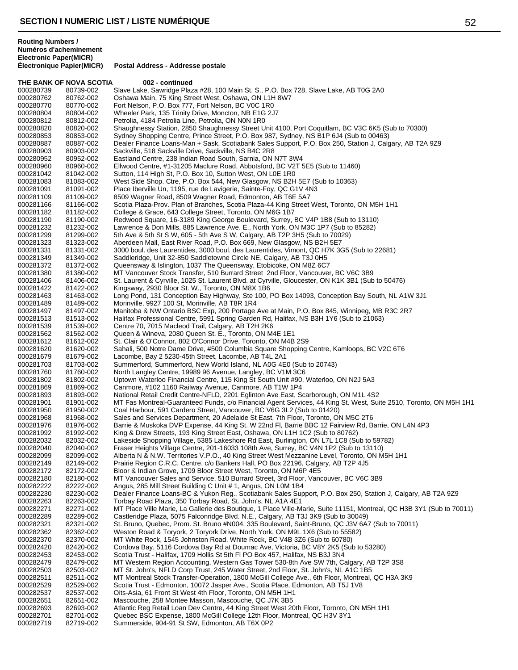**Routing Numbers / Numéros d'acheminement Electronic Paper(MICR)**

THE BANK OF NOVA SCOTIA 002 - continued 000280739 80739-002 Slave Lake, Sawridge Plaza #28, 100 Main St. S., P.O. Box 728, Slave Lake, AB T0G 2A0<br>000280762 80762-002 Oshawa Main, 75 King Street West, Oshawa, ON L1H 8W7 000280762 80762-002 Oshawa Main, 75 King Street West, Oshawa, ON L1H 8W7 Fort Nelson, P.O. Box 777, Fort Nelson, BC V0C 1R0 000280804 80804-002 Wheeler Park, 135 Trinity Drive, Moncton, NB E1G 2J7<br>000280812 80812-002 Petrolia, 4184 Petrolia Line, Petrolia, ON N0N 1R0 Petrolia, 4184 Petrolia Line, Petrolia, ON N0N 1R0 000280820 80820-002 Shaughnessy Station, 2850 Shaughnessy Street Unit 4100, Port Coquitlam, BC V3C 6K5 (Sub to 70300)<br>000280853 80853-002 Sydney Shopping Centre, Prince Street, P.O. Box 987, Sydney, NS B1P 6J4 (Sub to 0046 000280853 80853-002 Sydney Shopping Centre, Prince Street, P.O. Box 987, Sydney, NS B1P 6J4 (Sub to 00463)<br>000280887 80887-002 Dealer Finance Loans-Man + Sask. Scotiabank Sales Support. P.O. Box 250. Station J. Calc Dealer Finance Loans-Man + Sask, Scotiabank Sales Support, P.O. Box 250, Station J, Calgary, AB T2A 9Z9 000280903 80903-002 Sackville, 518 Sackville Drive, Sackville, NS B4C 2R8<br>000280952 80952-002 Eastland Centre, 238 Indian Road South, Sarnia, ON I 000280952 80952-002 Eastland Centre, 238 Indian Road South, Sarnia, ON N7T 3W4 000280960 80960-002 Ellwood Centre, #1-31205 Maclure Road, Abbotsford, BC V2T 5E5 (Sub to 11460)<br>000281042 81042-002 Sutton, 114 High St, P.O. Box 10, Sutton West, ON L0E 1R0 000281042 81042-002 Sutton, 114 High St, P.O. Box 10, Sutton West, ON L0E 1R0<br>000281083 81083-002 West Side Shop. Ctre, P.O. Box 544, New Glasgow, NS B2H 000281083 81083-002 West Side Shop. Ctre, P.O. Box 544, New Glasgow, NS B2H 5E7 (Sub to 10363)<br>000281091 81091-002 Place Iberville Un, 1195, rue de Lavigerie, Sainte-Foy, QC G1V 4N3 000281091 81091-002 Place Iberville Un, 1195, rue de Lavigerie, Sainte-Foy, QC G1V 4N3<br>000281109 81109-002 8509 Wagner Road, 8509 Wagner Road, Edmonton, AB T6E 5A7 8509 Wagner Road, 8509 Wagner Road, Edmonton, AB T6E 5A7 000281166 81166-002 Scotia Plaza-Prov. Plan of Branches, Scotia Plaza-44 King Street West, Toronto, ON M5H 1H1<br>000281182 81182-002 College & Grace, 643 College Street, Toronto, ON M6G 1B7 81182-002 College & Grace, 643 College Street, Toronto, ON M6G 1B7<br>81190-002 Redwood Square, 16-3189 King George Boulevard, Surrey, I 000281190 81190-002 Redwood Square, 16-3189 King George Boulevard, Surrey, BC V4P 1B8 (Sub to 13110)<br>000281232 81232-002 Lawrence & Don Mills, 885 Lawrence Ave. E., North York, ON M3C 1P7 (Sub to 85282) 000281232 81232-002 Lawrence & Don Mills, 885 Lawrence Ave. E., North York, ON M3C 1P7 (Sub to 85282)<br>000281299 81299-002 5th Ave & 5th St S W. 605 - 5th Ave S W. Calgary. AB T2P 3H5 (Sub to 70029) 5th Ave & 5th St S W, 605 - 5th Ave S W, Calgary, AB T2P 3H5 (Sub to 70029) 000281323 81323-002 Aberdeen Mall, East River Road, P.O. Box 669, New Glasgow, NS B2H 5E7 000281331 81331-002 3000 boul. des Laurentides, 3000 boul. des Laurentides, Vimont, QC H7K 3G5 (Sub to 22681) 000281349 81349-002 Saddleridge, Unit 32-850 Saddletowne Circle NE, Calgary, AB T3J 0H5<br>000281372 81372-002 Queensway & Islington, 1037 The Queensway, Etobicoke, ON M8Z 6C7 000281372 81372-002 Queensway & Islington, 1037 The Queensway, Etobicoke, ON M8Z 6C7 MT Vancouver Stock Transfer, 510 Burrard Street 2nd Floor, Vancouver, BC V6C 3B9 000281406 81406-002 St. Laurent & Cyrville, 1025 St. Laurent Blvd. at Cyrville, Gloucester, ON K1K 3B1 (Sub to 50476)<br>000281422 81422-002 Kingsway, 2930 Bloor St. W., Toronto, ON M8X 1B6 81422-002 Kingsway, 2930 Bloor St. W., Toronto, ON M8X 1B6<br>81463-002 Long Pond, 131 Conception Bay Highway, Ste 100. 000281463 81463-002 Long Pond, 131 Conception Bay Highway, Ste 100, PO Box 14093, Conception Bay South, NL A1W 3J1<br>000281489 81489-002 Morinville, 9927 100 St, Morinville, AB T8R 1R4 000281489 81489-002 Morinville, 9927 100 St, Morinville, AB T8R 1R4 Manitoba & NW Ontario BSC Exp, 200 Portage Ave at Main, P.O. Box 845, Winnipeg, MB R3C 2R7 000281513 81513-002 Halifax Professional Centre, 5991 Spring Garden Rd, Halifax, NS B3H 1Y6 (Sub to 21063)<br>000281539 81539-002 Centre 70, 7015 Macleod Trail, Calgary, AB T2H 2K6 000281539 81539-002 Centre 70, 7015 Macleod Trail, Calgary, AB T2H 2K6 000281562 81562-002 Queen & Wineva, 2080 Queen St. E., Toronto, ON M4E 1E1<br>000281612 81612-002 St. Clair & O'Connor, 802 O'Connor Drive, Toronto, ON M4B 000281612 81612-002 St. Clair & O'Connor, 802 O'Connor Drive, Toronto, ON M4B 2S9<br>000281620 81620-002 Sabali, 500 Notre Dame Drive, #500 Columbia Square Shopping 000281620 81620-002 Sahali, 500 Notre Dame Drive, #500 Columbia Square Shopping Centre, Kamloops, BC V2C 6T6<br>000281679 81679-002 Lacombe, Bay 2 5230-45th Street, Lacombe, AB T4L 2A1 000281679 81679-002 Lacombe, Bay 2 5230-45th Street, Lacombe, AB T4L 2A1<br>000281703 81703-002 Summerford, Summerford, New World Island, NL A0G 4E Summerford, Summerford, New World Island, NL A0G 4E0 (Sub to 20743) 000281760 81760-002 North Langley Centre, 19989 96 Avenue, Langley, BC V1M 3C6 000281802 81802-002 Uptown Waterloo Financial Centre, 115 King St South Unit #90, Waterloo, ON N2J 5A3<br>000281869 81869-002 Canmore, #102 1160 Railway Avenue, Canmore, AB T1W 1P4 000281869 81869-002 Canmore, #102 1160 Railway Avenue, Canmore, AB T1W 1P4<br>000281893 81893-002 National Retail Credit Centre-NFLD, 2201 Eglinton Ave East, S 000281893 81893-002 National Retail Credit Centre-NFLD, 2201 Eglinton Ave East, Scarborough, ON M1L 4S2<br>000281901 81901-002 MT Fas Montreal-Guaranteed Funds. c/o Financial Agent Services. 44 King St. West. Sui MT Fas Montreal-Guaranteed Funds, c/o Financial Agent Services, 44 King St. West, Suite 2510, Toronto, ON M5H 1H1 000281950 81950-002 Coal Harbour, 591 Cardero Street, Vancouver, BC V6G 3L2 (Sub to 01420) Sales and Services Department, 20 Adelaide St East, 7th Floor, Toronto, ON M5C 2T6 000281976 81976-002 Barrie & Muskoka DVP Expense, 44 King St. W 22nd Fl, Barrie BBC 12 Fairview Rd, Barrie, ON L4N 4P3<br>000281992 81992-002 King & Drew Streets, 193 King Street East, Oshawa, ON L1H 1C2 (Sub to 80762) 000281992 81992-002 King & Drew Streets, 193 King Street East, Oshawa, ON L1H 1C2 (Sub to 80762)<br>000282032 82032-002 Lakeside Shopping Village, 5385 Lakeshore Rd East, Burlington, ON L7L 1C8 (Su Lakeside Shopping Village, 5385 Lakeshore Rd East, Burlington, ON L7L 1C8 (Sub to 59782) 000282040 82040-002 Fraser Heights Village Centre, 201-16033 108th Ave, Surrey, BC V4N 1P2 (Sub to 13110)<br>000282099 82099-002 Alberta N & N.W. Territories V.P.O., 40 King Street West Mezzanine Level, Toronto, ON M Alberta N & N.W. Territories V.P.O., 40 King Street West Mezzanine Level, Toronto, ON M5H 1H1 000282149 82149-002 Prairie Region C.R.C. Centre, c/o Bankers Hall, PO Box 22196, Calgary, AB T2P 4J5<br>000282172 82172-002 Bloor & Indian Grove, 1709 Bloor Street West, Toronto, ON M6P 4E5 000282172 82172-002 Bloor & Indian Grove, 1709 Bloor Street West, Toronto, ON M6P 4E5<br>000282180 82180-002 MT Vancouver Sales and Service, 510 Burrard Street, 3rd Floor, Vanc MT Vancouver Sales and Service, 510 Burrard Street, 3rd Floor, Vancouver, BC V6C 3B9 000282222 82222-002 Angus, 285 Mill Street Building C Unit # 1, Angus, ON L0M 1B4<br>000282230 82230-002 Dealer Finance Loans-BC & Yukon Reg., Scotiabank Sales Sup 000282230 82230-002 Dealer Finance Loans-BC & Yukon Reg., Scotiabank Sales Support, P.O. Box 250, Station J, Calgary, AB T2A 9Z9<br>000282263 82263-002 Torbay Road Plaza, 350 Torbay Road, St. John's, NL A1A 4F1 000282263 82263-002 Torbay Road Plaza, 350 Torbay Road, St. John's, NL A1A 4E1<br>000282271 82271-002 MT Place Ville Marie, La Gallerie des Boutique, 1 Place Ville-M 000282271 82271-002 MT Place Ville Marie, La Gallerie des Boutique, 1 Place Ville-Marie, Suite 11151, Montreal, QC H3B 3Y1 (Sub to 70011) 000282289 82289-002 Castleridge Plaza, 5075 Falconridge Blvd. N.E., Calgary, AB T3J 3K9 (Sub to 30049) 000282321 82321-002 St. Bruno, Quebec, Prom. St. Bruno #N004, 335 Boulevard, Saint-Bruno, QC J3V 6A7 (Sub to 70011)<br>000282362 82362-002 Weston Road & Toryork, 2 Toryork Drive, North York, ON M9L 1X6 (Sub to 55582) Weston Road & Toryork, 2 Toryork Drive, North York, ON M9L 1X6 (Sub to 55582) 000282370 82370-002 MT White Rock, 1545 Johnston Road, White Rock, BC V4B 3Z6 (Sub to 60780) 000282420 82420-002 Cordova Bay, 5116 Cordova Bay Rd at Doumac Ave, Victoria, BC V8Y 2K5 (Sub to 53280) 000282453 82453-002 Scotia Trust - Halifax, 1709 Hollis St 5th Fl PO Box 457, Halifax, NS B3J 3N4<br>000282479 82479-002 MT Western Region Accounting, Western Gas Tower 530-8th Ave SW 7th, Ca 000282479 82479-002 MT Western Region Accounting, Western Gas Tower 530-8th Ave SW 7th, Calgary, AB T2P 3S8<br>000282503 82503-002 MT St. John's. NFLD Corp Trust. 245 Water Street. 2nd Floor. St. John's. NL A1C 1B5 MT St. John's, NFLD Corp Trust, 245 Water Street, 2nd Floor, St. John's, NL A1C 1B5 000282511 82511-002 MT Montreal Stock Transfer-Operation, 1800 McGill College Ave., 6th Floor, Montreal, QC H3A 3K9<br>000282529 82529-002 Scotia Trust - Edmonton, 10072 Jasper Ave., Scotia Place, Edmonton, AB T5J 1V8 Scotia Trust - Edmonton, 10072 Jasper Ave., Scotia Place, Edmonton, AB T5J 1V8 000282537 82537-002 Oits-Asia, 61 Front St West 4th Floor, Toronto, ON M5H 1H1 000282651 82651-002 Mascouche, 258 Montee Masson, Mascouche, QC J7K 3B5 Atlantic Reg Retail Loan Dev Centre, 44 King Street West 20th Floor, Toronto, ON M5H 1H1 000282701 82701-002 Quebec BSC Expense, 1800 McGill College 12th Floor, Montreal, QC H3V 3Y1<br>000282719 82719-002 Summerside, 904-91 St SW, Edmonton, AB T6X 0P2

Summerside, 904-91 St SW, Edmonton, AB T6X 0P2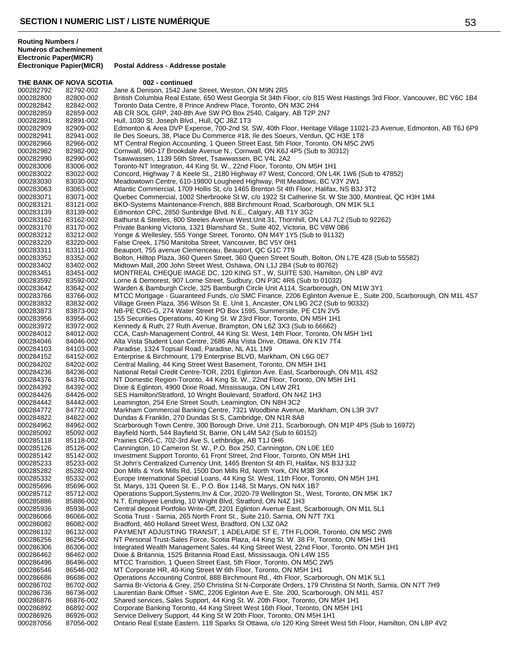**THE BANK OF NOVA SCOTIA 002 - continued**<br>000282792 82792-002 - Jane & Denison, 1542 Jane 000282792 82792-002 Jane & Denison, 1542 Jane Street, Weston, ON M9N 2R5<br>000282800 82800-002 British Columbia Real Estate, 650 West Georgia St 34th Fl 000282800 82800-002 British Columbia Real Estate, 650 West Georgia St 34th Floor, c/o 815 West Hastings 3rd Floor, Vancouver, BC V6C 1B4<br>000282842 82842-002 Toronto Data Centre. 8 Prince Andrew Place. Toronto. ON M3C 2H4 Toronto Data Centre, 8 Prince Andrew Place, Toronto, ON M3C 2H4 000282859 82859-002 AB CR SOL GRP, 240-8th Ave SW PO Box 2540, Calgary, AB T2P 2N7<br>000282891 82891-002 Hull, 1030 St. Joseph Blvd., Hull, QC J8Z 1T3 000282891 82891-002 Hull, 1030 St. Joseph Blvd., Hull, QC J8Z 1T3<br>000282909 82909-002 Edmonton & Area DVP Expense. 700-2nd St. 000282909 82909-002 Edmonton & Area DVP Expense, 700-2nd St. SW, 40th Floor, Heritage Village 11021-23 Avenue, Edmonton, AB T6J 6P9<br>000282941 82941-002 lle Des Soeurs, 38, Place Du Commerce #18, Ile des Soeurs, Verdun, QC 000282941 82941-002 Ile Des Soeurs, 38, Place Du Commerce #18, Ile des Soeurs, Verdun, QC H3E 1T8 MT Central Region Accounting, 1 Queen Street East, 5th Floor, Toronto, ON M5C 2W5 000282982 82982-002 Cornwall, 960-17 Brookdale Avenue N., Cornwall, ON K6J 4P5 (Sub to 30312)<br>000282990 82990-002 Tsawwassen, 1139 56th Street, Tsawwassen, BC V4L 2A2 000282990 82990-002 Tsawwassen, 1139 56th Street, Tsawwassen, BC V4L 2A2 000283006 83006-002 Toronto-NT Integration, 44 King St. W., 22nd Floor, Toronto, ON M5H 1H1<br>000283022 83022-002 Concord, Highway 7 & Keele St., 2180 Highway #7 West, Concord, ON L4 000283022 83022-002 Concord, Highway 7 & Keele St., 2180 Highway #7 West, Concord, ON L4K 1W6 (Sub to 47852)<br>000283030 83030-002 Meadowtown Centre. 610-19800 Lougheed Highway. Pitt Meadows. BC V3Y 2W1 000283030 83030-002 Meadowtown Centre, 610-19800 Lougheed Highway, Pitt Meadows, BC V3Y 2W1 000283063 83063-002 Atlantic Commercial, 1709 Hollis St, c/o 1465 Brenton St 4th Floor, Halifax, NS B3J 3T2<br>000283071 83071-002 Quebec Commercial, 1002 Sherbrooke St W, c/o 1922 St Catherine St. W Ste 300, Mon 000283071 83071-002 Quebec Commercial, 1002 Sherbrooke St W, c/o 1922 St Catherine St. W Ste 300, Montreal, QC H3H 1M4<br>000283121 83121-002 BKO-Systems Maintenance-French, 888 Birchmount Road, Scarborough, ON M1K 5L1 000283121 83121-002 BKO-Systems Maintenance-French, 888 Birchmount Road, Scarborough, ON M1K 5L1<br>000283139 83139-002 Edmonton CPC, 2850 Sunbridge Blvd. N.E., Calgary, AB T1Y 3G2 000283139 83139-002 Edmonton CPC, 2850 Sunbridge Blvd. N.E., Calgary, AB T1Y 3G2 000283162 83162-002 Bathurst & Steeles, 800 Steeles Avenue West, Unit 31, Thornhill, ON L4J 7L2 (Sub to 92262)<br>000283170 83170-002 Private Banking Victoria, 1321 Blanshard St., Suite 402, Victoria, BC V8W 0B6 000283170 83170-002 Private Banking Victoria, 1321 Blanshard St., Suite 402, Victoria, BC V8W 0B6<br>000283212 83212-002 Yonge & Welleslev, 555 Yonge Street, Toronto, ON M4Y 1Y5 (Sub to 91132) 000283212 83212-002 Yonge & Wellesley, 555 Yonge Street, Toronto, ON M4Y 1Y5 (Sub to 91132)<br>000283220 83220-002 False Creek, 1750 Manitoba Street, Vancouver, BC V5Y 0H1 000283220 83220-002 False Creek, 1750 Manitoba Street, Vancouver, BC V5Y 0H1<br>000283311 83311-002 Beauport, 755 avenue Clemenceau, Beauport, QC G1C 7T9 83311-002 Beauport, 755 avenue Clemenceau, Beauport, QC G1C 7T9<br>83352-002 Bolton, Hillton Plaza, 360 Queen Street, 360 Queen Street S 000283352 83352-002 Bolton, Hilltop Plaza, 360 Queen Street, 360 Queen Street South, Bolton, ON L7E 4Z8 (Sub to 55582)<br>000283402 83402-002 Midtown Mall, 200 John Street West, Oshawa, ON L1J 2B4 (Sub to 80762) 000283402 83402-002 Midtown Mall, 200 John Street West, Oshawa, ON L1J 2B4 (Sub to 80762)<br>000283451 83451-002 MONTREAL CHEQUE IMAGE DC. 120 KING ST., W. SUITE 530. Hamiltor MONTREAL CHEQUE IMAGE DC, 120 KING ST., W, SUITE 530, Hamilton, ON L8P 4V2 000283592 83592-002 Lorne & Demorest, 907 Lorne Street, Sudbury, ON P3C 4R6 (Sub to 01032)<br>000283642 83642-002 Warden & Bamburgh Circle, 325 Bamburgh Circle Unit A114, Scarborough, 000283642 83642-002 Warden & Bamburgh Circle, 325 Bamburgh Circle Unit A114, Scarborough, ON M1W 3Y1 000283766 83766-002 MTCC Mortgage - Guaranteed Funds, c/o SMC Finance, 2206 Eglinton Avenue E., Suite 200, Scarborough, ON M1L 4S7<br>000283832 83832-002 Village Green Plaza, 356 Wilson St. E. Unit 1, Ancaster, ON L9G 2C2 (Su 000283832 83832-002 Village Green Plaza, 356 Wilson St. E. Unit 1, Ancaster, ON L9G 2C2 (Sub to 90332)<br>000283873 83873-002 NB-PE CRG-G. 274 Water Street PO Box 1595. Summerside. PE C1N 2V5 NB-PE CRG-G, 274 Water Street PO Box 1595, Summerside, PE C1N 2V5 000283956 83956-002 155 Securities Operations, 40 King St. W 23rd Floor, Toronto, ON M5H 1H1<br>000283972 83972-002 Kennedy & Ruth, 27 Ruth Avenue, Brampton, ON L6Z 3X3 (Sub to 66662) 000283972 83972-002 Kennedy & Ruth, 27 Ruth Avenue, Brampton, ON L6Z 3X3 (Sub to 66662)<br>000284012 84012-002 CCA, Cash-Management Control, 44 King St. West, 14th Floor, Toronto, O 000284012 84012-002 CCA, Cash-Management Control, 44 King St. West, 14th Floor, Toronto, ON M5H 1H1<br>000284046 84046-002 Alta Vista Student Loan Centre, 2686 Alta Vista Drive, Ottawa, ON K1V 7T4 000284046 84046-002 Alta Vista Student Loan Centre, 2686 Alta Vista Drive, Ottawa, ON K1V 7T4<br>000284103 84103-002 Paradise, 1324 Topsail Road, Paradise, NL A1L 1N9 000284103 84103-002 Paradise, 1324 Topsail Road, Paradise, NL A1L 1N9<br>000284152 84152-002 Enterprise & Birchmount, 179 Enterprise BLVD, Mark 000284152 84152-002 Enterprise & Birchmount, 179 Enterprise BLVD, Markham, ON L6G 0E7<br>000284202 84202-002 Central Mailing, 44 King Street West Basement, Toronto, ON M5H 1H1 000284202 84202-002 Central Mailing, 44 King Street West Basement, Toronto, ON M5H 1H1<br>000284236 84236-002 National Retail Credit Centre-TOR, 2201 Eglinton Ave. East, Scarborou 000284236 84236-002 National Retail Credit Centre-TOR, 2201 Eglinton Ave. East, Scarborough, ON M1L 4S2<br>000284376 84376-002 NT Domestic Region-Toronto, 44 King St. W., 22nd Floor, Toronto, ON M5H 1H1 000284376 84376-002 NT Domestic Region-Toronto, 44 King St. W., 22nd Floor, Toronto, ON M5H 1H1<br>000284392 84392-002 Dixie & Eglinton, 4900 Dixie Road, Mississauga, ON L4W 2R1 000284392 84392-002 Dixie & Eglinton, 4900 Dixie Road, Mississauga, ON L4W 2R1<br>000284426 84426-002 SES Hamilton/Stratford, 10 Wright Boulevard, Stratford, ON N4 000284426 84426-002 SES Hamilton/Stratford, 10 Wright Boulevard, Stratford, ON N4Z 1H3<br>000284442 84442-002 Leamington, 254 Erie Street South, Leamington, ON N8H 3C2 000284442 84442-002 Leamington, 254 Erie Street South, Leamington, ON N8H 3C2 000284772 84772-002 Markham Commercial Banking Centre, 7321 Woodbine Avenue, Markham, ON L3R 3V7<br>000284822 84822-002 Dundas & Franklin, 270 Dundas St S, Cambridge, ON N1R 8A8 000284822 84822-002 Dundas & Franklin, 270 Dundas St S, Cambridge, ON N1R 8A8 000284962 84962-002 Scarborough Town Centre, 300 Borough Drive, Unit 211, Scarborough, ON M1P 4P5 (Sub to 16972)<br>000285092 85092-002 Bayfield North, 544 Bayfield St, Barrie, ON L4M 5A2 (Sub to 60152) 000285092 85092-002 Bayfield North, 544 Bayfield St, Barrie, ON L4M 5A2 (Sub to 60152)<br>000285118 85118-002 Prairies CRG-C. 702-3rd Ave S. Lethbridge. AB T1J 0H6 000285118 85118-002 Prairies CRG-C, 702-3rd Ave S, Lethbridge, AB T1J 0H6<br>000285126 85126-002 Cannington, 10 Cameron St. W., P.O. Box 250, Canningt 000285126 85126-002 Cannington, 10 Cameron St. W., P.O. Box 250, Cannington, ON L0E 1E0<br>000285142 85142-002 Investment Support Toronto, 61 Front Street, 2nd Floor, Toronto, ON M5H 000285142 85142-002 Investment Support Toronto, 61 Front Street, 2nd Floor, Toronto, ON M5H 1H1<br>000285233 85233-002 St John's Centralized Currency Unit. 1465 Brenton St 4th Fl. Halifax. NS B3J 3. 000285233 85233-002 St John's Centralized Currency Unit, 1465 Brenton St 4th Fl, Halifax, NS B3J 3J2<br>000285282 85282-002 Don Mills & York Mills Rd, 1500 Don Mills Rd, North York, ON M3B 3K4 000285282 85282-002 Don Mills & York Mills Rd, 1500 Don Mills Rd, North York, ON M3B 3K4 Europe International Special Loans, 44 King St. West, 11th Floor, Toronto, ON M5H 1H1 000285696 85696-002 St. Marys, 131 Queen St. E., P.O. Box 1148, St Marys, ON N4X 1B7<br>000285712 85712-002 Operations Support, Systems, Inv & Cor, 2020-79 Wellington St., Wes 000285712 85712-002 Operations Support,Systems,Inv & Cor, 2020-79 Wellington St., West, Toronto, ON M5K 1K7<br>000285886 85886-002 N.T. Emplovee Lending. 10 Wright Blvd. Stratford. ON N4Z 1H3 000285886 85886-002 N.T. Employee Lending, 10 Wright Blvd, Stratford, ON N4Z 1H3<br>000285936 85936-002 Central deposit Portfolio Write-Off. 2201 Edlinton Avenue East. \$ 000285936 85936-002 Central deposit Portfolio Write-Off, 2201 Eglinton Avenue East, Scarborough, ON M1L 5L1<br>000286066 86066-002 Scotia Trust - Sarnia, 265 North Front St., Suite 210, Sarnia, ON N7T 7X1 000286066 86066-002 Scotia Trust - Sarnia, 265 North Front St., Suite 210, Sarnia, ON N7T 7X1<br>000286082 86082-002 Bradford, 460 Holland Street West, Bradford, ON L3Z 0A2 000286082 86082-002 Bradford, 460 Holland Street West, Bradford, ON L3Z 0A2<br>000286132 86132-002 PAYMENT ADJUSTING TRANSIT, 1 ADELAIDE ST E, 7T 000286132 86132-002 PAYMENT ADJUSTING TRANSIT, 1 ADELAIDE ST E, 7TH FLOOR, Toronto, ON M5C 2W8<br>000286256 86256-002 NT Personal Trust-Sales Force, Scotia Plaza, 44 King St. W. 38 Flr, Toronto, ON M5H 1H1 000286256 86256-002 NT Personal Trust-Sales Force, Scotia Plaza, 44 King St. W. 38 Flr, Toronto, ON M5H 1H1<br>000286306 86306-002 Integrated Wealth Management Sales, 44 King Street West, 22nd Floor, Toronto, ON M5H 000286306 86306-002 Integrated Wealth Management Sales, 44 King Street West, 22nd Floor, Toronto, ON M5H 1H1<br>000286462 86462-002 Dixie & Britannia, 1525 Britannia Road East, Mississauga, ON L4W 1S5 000286462 86462-002 Dixie & Britannia, 1525 Britannia Road East, Mississauga, ON L4W 1S5 000286496 86496-002 MTCC Transition, 1 Queen Street East, 5th Floor, Toronto, ON M5C 2W5<br>000286546 86546-002 MT Corporate HR. 40-King Street W 6th Floor. Toronto, ON M5H 1H1 000286546 86546-002 MT Corporate HR, 40-King Street W 6th Floor, Toronto, ON M5H 1H1<br>000286686 86686-002 Operations Accounting Control, 888 Birchmount Rd., 4th Floor, Scarbo 000286686 86686-002 Operations Accounting Control, 888 Birchmount Rd., 4th Floor, Scarborough, ON M1K 5L1<br>000286702 86702-002 Sarnia Br-Victoria & Grey, 250 Christina St N-Corporate Orders, 179 Christina St North, Sa 000286702 86702-002 Sarnia Br-Victoria & Grey, 250 Christina St N-Corporate Orders, 179 Christina St North, Sarnia, ON N7T 7H9<br>000286736 86736-002 Laurentian Bank Offset - SMC. 2206 Eglinton Ave E. Ste. 200. Scarborough. O 000286736 86736-002 Laurentian Bank Offset - SMC, 2206 Eglinton Ave E. Ste. 200, Scarborough, ON M1L 4S7<br>000286876 86876-002 Shared services, Sales Support, 44 King St. W. 20th Floor, Toronto, ON M5H 1H1 000286876 86876-002 Shared services, Sales Support, 44 King St. W. 20th Floor, Toronto, ON M5H 1H1<br>000286892 86892-002 Corporate Banking Toronto. 44 King Street West 16th Floor. Toronto. ON M5H 1H Corporate Banking Toronto, 44 King Street West 16th Floor, Toronto, ON M5H 1H1 000286926 86926-002 Service Delivery Support, 44 King St W 20th Floor, Toronto, ON M5H 1H1<br>000287056 87056-002 Ontario Real Estate Eastern, 118 Sparks St Ottawa, c/o 120 King Street W Ontario Real Estate Eastern, 118 Sparks St Ottawa, c/o 120 King Street West 5th Floor, Hamilton, ON L8P 4V2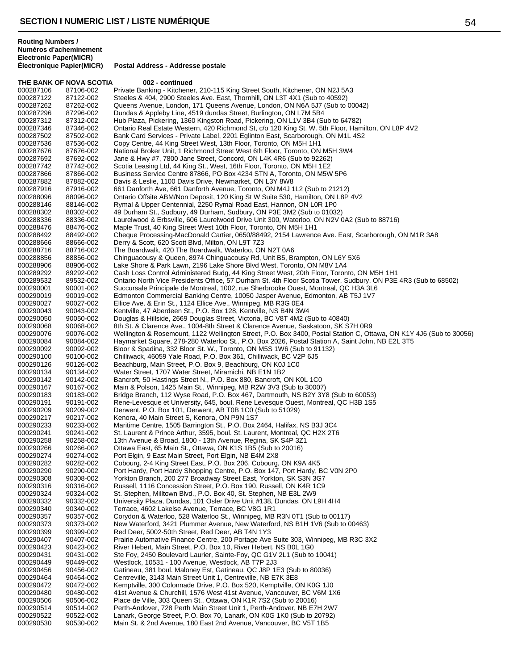THE BANK OF NOVA SCOTIA 002 - continued

**Postal Address - Addresse postale** 

000287122 87122-002 Steeles & 404, 2900 Steeles Ave. East, Thornhill, ON L3T 4X1 (Sub to 40592) Queens Avenue, London, 171 Queens Avenue, London, ON N6A 5J7 (Sub to 00042) 000287296 87296-002 Dundas & Appleby Line, 4519 dundas Street, Burlington, ON L7M 5B4<br>000287312 87312-002 Hub Plaza, Pickering, 1360 Kingston Road, Pickering, ON L1V 3B4 (Si 000287312 87312-002 Hub Plaza, Pickering, 1360 Kingston Road, Pickering, ON L1V 3B4 (Sub to 64782)<br>000287346 87346-002 Ontario Real Estate Western, 420 Richmond St, c/o 120 King St. W. 5th Floor, Han 000287346 87346-002 Ontario Real Estate Western, 420 Richmond St, c/o 120 King St. W. 5th Floor, Hamilton, ON L8P 4V2<br>000287502 87502-002 Bank Card Services - Private Label, 2201 Eglinton East, Scarborough, ON M1L 4S2 000287502 87502-002 Bank Card Services - Private Label, 2201 Eglinton East, Scarborough, ON M1L 4S2<br>000287536 87536-002 Copy Centre, 44 King Street West, 13th Floor, Toronto, ON M5H 1H1 Copy Centre, 44 King Street West, 13th Floor, Toronto, ON M5H 1H1 000287676 87676-002 National Broker Unit, 1 Richmond Street West 6th Floor, Toronto, ON M5H 3W4<br>000287692 87692-002 Jane & Hwy #7, 7800 Jane Street, Concord, ON L4K 4R6 (Sub to 92262) 000287692 87692-002 Jane & Hwy #7, 7800 Jane Street, Concord, ON L4K 4R6 (Sub to 92262)<br>000287742 87742-002 Scotia Leasing Ltd, 44 King St., West, 16th Floor, Toronto, ON M5H 1E2 000287742 87742-002 Scotia Leasing Ltd, 44 King St., West, 16th Floor, Toronto, ON M5H 1E2<br>000287866 87866-002 Business Service Centre 87866. PO Box 4234 STN A. Toronto. ON M5W 000287866 87866-002 Business Service Centre 87866, PO Box 4234 STN A, Toronto, ON M5W 5P6<br>000287882 87882-002 Davis & Leslie, 1100 Davis Drive, Newmarket, ON L3Y 8W8 000287882 87882-002 Davis & Leslie, 1100 Davis Drive, Newmarket, ON L3Y 8W8<br>000287916 87916-002 661 Danforth Ave, 661 Danforth Avenue, Toronto, ON M4J 1 000287916 87916-002 661 Danforth Ave, 661 Danforth Avenue, Toronto, ON M4J 1L2 (Sub to 21212)<br>000288096 88096-002 Ontario Offsite ABM/Non Deposit, 120 King St W Suite 530, Hamilton, ON L8P Ontario Offsite ABM/Non Deposit, 120 King St W Suite 530, Hamilton, ON L8P 4V2 000288146 88146-002 Rymal & Upper Centennial, 2250 Rymal Road East, Hannon, ON L0R 1P0<br>000288302 88302-002 49 Durham St., Sudbury, 49 Durham, Sudbury, ON P3E 3M2 (Sub to 01032 000288302 88302-002 49 Durham St., Sudbury, 49 Durham, Sudbury, ON P3E 3M2 (Sub to 01032) 000288336 88336-002 Laurelwood & Erbsville, 606 Laurelwood Drive Unit 300, Waterloo, ON N2V 0A2 (Sub to 88716)<br>000288476 88476-002 Maple Trust, 40 King Street West 10th Floor, Toronto, ON M5H 1H1 000288476 88476-002 Maple Trust, 40 King Street West 10th Floor, Toronto, ON M5H 1H1<br>000288492 88492-002 Cheque Processing-MacDonald Cartier, 0650/88492, 2154 Lawrenc 000288492 88492-002 Cheque Processing-MacDonald Cartier, 0650/88492, 2154 Lawrence Ave. East, Scarborough, ON M1R 3A8<br>000288666 88666-002 Derry & Scott, 620 Scott Blvd, Milton, ON L9T 7Z3 000288666 88666-002 Derry & Scott, 620 Scott Blvd, Milton, ON L9T 7Z3<br>000288716 88716-002 The Boardwalk, 420 The Boardwalk, Waterloo, ON The Boardwalk, 420 The Boardwalk, Waterloo, ON N2T 0A6 000288856 88856-002 Chinguacousy & Queen, 8974 Chinguacousy Rd, Unit B5, Brampton, ON L6Y 5X6<br>000288906 88906-002 Lake Shore & Park Lawn, 2196 Lake Shore Blvd West, Toronto, ON M8V 1A4 000288906 88906-002 Lake Shore & Park Lawn, 2196 Lake Shore Blvd West, Toronto, ON M8V 1A4<br>000289292 89292-002 Cash Loss Control Administered Budg. 44 King Street West. 20th Floor. Toron Cash Loss Control Administered Budg, 44 King Street West, 20th Floor, Toronto, ON M5H 1H1 000289532 89532-002 Ontario North Vice Presidents Office, 57 Durham St. 4th Floor Scotia Tower, Sudbury, ON P3E 4R3 (Sub to 68502) Succursale Principale de Montreal, 1002, rue Sherbrooke Ouest, Montreal, QC H3A 3L6 000290019 90019-002 Edmonton Commercial Banking Centre, 10050 Jasper Avenue, Edmonton, AB T5J 1V7<br>000290027 90027-002 Ellice Ave. & Erin St., 1124 Ellice Ave., Winnipeg, MB R3G 0E4 000290027 90027-002 Ellice Ave. & Erin St., 1124 Ellice Ave., Winnipeg, MB R3G 0E4<br>000290043 90043-002 Kentville. 47 Aberdeen St., P.O. Box 128. Kentville. NS B4N 3W Kentville, 47 Aberdeen St., P.O. Box 128, Kentville, NS B4N 3W4 000290050 90050-002 Douglas & Hillside, 2669 Douglas Street, Victoria, BC V8T 4M2 (Sub to 40840) 000290068 90068-002 8th St. & Clarence Ave., 1004-8th Street & Clarence Avenue, Saskatoon, SK S7H 0R9<br>000290076 90076-002 Wellington & Rosemount, 1122 Wellington Street, P.O. Box 3400, Postal Station C, Ott 000290076 90076-002 Wellington & Rosemount, 1122 Wellington Street, P.O. Box 3400, Postal Station C, Ottawa, ON K1Y 4J6 (Sub to 30056)<br>000290084 90084-002 Havmarket Square. 278-280 Waterloo St., P.O. Box 2026. Postal Stati 000290084 90084-002 Haymarket Square, 278-280 Waterloo St., P.O. Box 2026, Postal Station A, Saint John, NB E2L 3T5<br>000290092 90092-002 Bloor & Spadina, 332 Bloor St. W., Toronto, ON M5S 1W6 (Sub to 91132) 000290092 90092-002 Bloor & Spadina, 332 Bloor St. W., Toronto, ON M5S 1W6 (Sub to 91132)<br>000290100 90100-002 Chilliwack, 46059 Yale Road, P.O. Box 361, Chilliwack, BC V2P 6J5 000290100 90100-002 Chilliwack, 46059 Yale Road, P.O. Box 361, Chilliwack, BC V2P 6J5<br>000290126 90126-002 Beachburg, Main Street, P.O. Box 9, Beachburg, ON K0J 1C0 000290126 90126-002 Beachburg, Main Street, P.O. Box 9, Beachburg, ON K0J 1C0<br>000290134 90134-002 Water Street, 1707 Water Street, Miramichi, NB E1N 1B2 000290134 90134-002 Water Street, 1707 Water Street, Miramichi, NB E1N 1B2<br>000290142 90142-002 Bancroft, 50 Hastings Street N., P.O. Box 880, Bancroft, Q 000290142 90142-002 Bancroft, 50 Hastings Street N., P.O. Box 880, Bancroft, ON K0L 1C0<br>000290167 90167-002 Main & Polson, 1425 Main St., Winnipeg, MB R2W 3V3 (Sub to 30007 000290167 90167-002 Main & Polson, 1425 Main St., Winnipeg, MB R2W 3V3 (Sub to 30007) 000290183 90183-002 Bridge Branch, 112 Wyse Road, P.O. Box 467, Dartmouth, NS B2Y 3Y8 (Sub to 60053) Rene-Levesque et University, 645, boul. Rene Levesque Ouest, Montreal, QC H3B 1S5 000290209 90209-002 Derwent, P.O. Box 101, Derwent, AB T0B 1C0 (Sub to 51029)<br>000290217 90217-002 Kenora, 40 Main Street S, Kenora, ON P9N 1S7 Kenora, 40 Main Street S, Kenora, ON P9N 1S7 000290233 90233-002 Maritime Centre, 1505 Barrington St., P.O. Box 2464, Halifax, NS B3J 3C4 000290241 90241-002 St. Laurent & Prince Arthur, 3595, boul. St. Laurent, Montreal, QC H2X 2T6<br>000290258 90258-002 13th Avenue & Broad. 1800 - 13th Avenue. Regina. SK S4P 3Z1 13th Avenue & Broad, 1800 - 13th Avenue, Regina, SK S4P 3Z1 000290266 90266-002 Ottawa East, 65 Main St., Ottawa, ON K1S 1B5 (Sub to 20016)<br>000290274 90274-002 Port Elgin, 9 East Main Street, Port Elgin, NB E4M 2X8 Port Elgin, 9 East Main Street, Port Elgin, NB E4M 2X8 000290282 90282-002 Cobourg, 2-4 King Street East, P.O. Box 206, Cobourg, ON K9A 4K5<br>000290290 90290-002 Port Hardy, Port Hardy Shopping Centre, P.O. Box 147, Port Hardy, E 000290290 90290-002 Port Hardy, Port Hardy Shopping Centre, P.O. Box 147, Port Hardy, BC V0N 2P0<br>000290308 90308-002 Yorkton Branch. 200 277 Broadway Street East. Yorkton. SK S3N 3G7 Yorkton Branch, 200 277 Broadway Street East, Yorkton, SK S3N 3G7 000290316 90316-002 Russell, 1116 Concession Street, P.O. Box 190, Russell, ON K4R 1C9<br>000290324 90324-002 St. Stephen, Milltown Blvd., P.O. Box 40, St. Stephen, NB E3L 2W9 000290324 90324-002 St. Stephen, Milltown Blvd., P.O. Box 40, St. Stephen, NB E3L 2W9<br>000290332 90332-002 University Plaza, Dundas, 101 Osler Drive Unit #138, Dundas, ON L 000290332 90332-002 University Plaza, Dundas, 101 Osler Drive Unit #138, Dundas, ON L9H 4H4<br>000290340 90340-002 Terrace. 4602 Lakelse Avenue. Terrace. BC V8G 1R1 000290340 90340-002 Terrace, 4602 Lakelse Avenue, Terrace, BC V8G 1R1 000290357 90357-002 Corydon & Waterloo, 528 Waterloo St., Winnipeg, MB R3N 0T1 (Sub to 00117)<br>000290373 90373-002 New Waterford, 3421 Plummer Avenue, New Waterford, NS B1H 1V6 (Sub to 0 000290373 90373-002 New Waterford, 3421 Plummer Avenue, New Waterford, NS B1H 1V6 (Sub to 00463)<br>000290399 90399-002 Red Deer, 5002-50th Street, Red Deer, AB T4N 1Y3 Red Deer, 5002-50th Street, Red Deer, AB T4N 1Y3 000290407 90407-002 Prairie Automative Finance Centre, 200 Portage Ave Suite 303, Winnipeg, MB R3C 3X2<br>000290423 90423-002 River Hebert, Main Street, P.O. Box 10, River Hebert, NS B0L 1G0 River Hebert, Main Street, P.O. Box 10, River Hebert, NS B0L 1G0 000290431 90431-002 Ste Foy, 2450 Boulevard Laurier, Sainte-Foy, QC G1V 2L1 (Sub to 10041)<br>000290449 90449-002 Westlock, 10531 - 100 Avenue, Westlock, AB T7P 2J3 000290449 90449-002 Westlock, 10531 - 100 Avenue, Westlock, AB T7P 2J3<br>000290456 90456-002 Gatineau. 381 boul. Malonev Est. Gatineau. QC J8P 18 Gatineau, 381 boul. Maloney Est, Gatineau, QC J8P 1E3 (Sub to 80036) 000290464 90464-002 Centreville, 3143 Main Street Unit 1, Centreville, NB E7K 3E8<br>000290472 90472-002 Kemptville, 300 Colonnade Drive, P.O. Box 520, Kemptville, C Kemptville, 300 Colonnade Drive, P.O. Box 520, Kemptville, ON K0G 1J0 000290480 90480-002 41st Avenue & Churchill, 1576 West 41st Avenue, Vancouver, BC V6M 1X6<br>000290506 90506-002 Place de Ville, 303 Queen St., Ottawa, ON K1R 7S2 (Sub to 20016) 000290506 90506-002 Place de Ville, 303 Queen St., Ottawa, ON K1R 7S2 (Sub to 20016)<br>000290514 90514-002 Perth-Andover. 728 Perth Main Street Unit 1. Perth-Andover. NB E7 Perth-Andover, 728 Perth Main Street Unit 1, Perth-Andover, NB E7H 2W7 000290522 90522-002 Lanark, George Street, P.O. Box 70, Lanark, ON K0G 1K0 (Sub to 20792) Main St. & 2nd Avenue, 180 East 2nd Avenue, Vancouver, BC V5T 1B5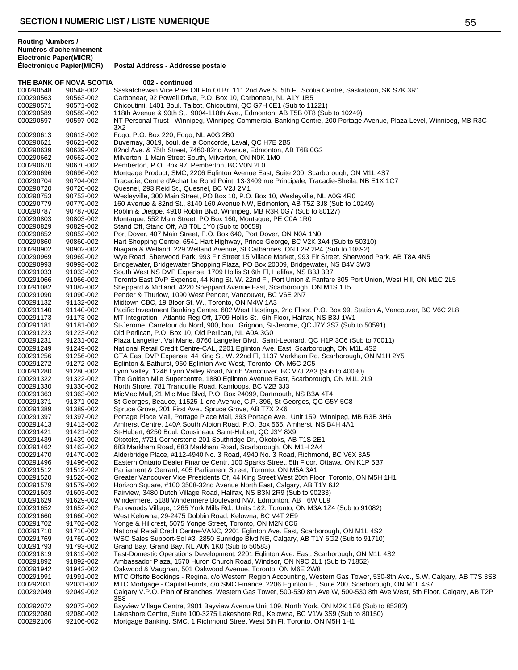**THE BANK OF NOVA SCOTIA 002 - continued** 

**Postal Address - Addresse postale** 

**Routing Numbers / Numéros d'acheminement Electronic Paper(MICR)**

000290548 90548-002 Saskatchewan Vice Pres Off Pln Of Br, 111 2nd Ave S. 5th Fl. Scotia Centre, Saskatoon, SK S7K 3R1<br>000290563 90563-002 Carbonear, 92 Powell Drive, P.O. Box 10, Carbonear, NL A1Y 1B5 000290563 90563-002 Carbonear, 92 Powell Drive, P.O. Box 10, Carbonear, NL A1Y 1B5<br>000290571 90571-002 Chicoutimi. 1401 Boul. Talbot. Chicoutimi. QC G7H 6E1 (Sub to 11 Chicoutimi, 1401 Boul. Talbot, Chicoutimi, QC G7H 6E1 (Sub to 11221) 000290589 90589-002 118th Avenue & 90th St., 9004-118th Ave., Edmonton, AB T5B 0T8 (Sub to 10249)<br>000290597 90597-002 NT Personal Trust - Winnipeg, Winnipeg Commercial Banking Centre, 200 Portage NT Personal Trust - Winnipeg, Winnipeg Commercial Banking Centre, 200 Portage Avenue, Plaza Level, Winnipeg, MB R3C 3X2 90613-002 Fogo, P.O. Box 220, Fogo, NL A0G 2B0 90621-002 Duvernay, 3019, boul. de la Concorde, Laval, QC H7E 2B5 90639-002 82nd Ave. & 75th Street, 7460-82nd Avenue, Edmonton, AB T6B 0G2 90662-002 Milverton, 1 Main Street South, Milverton, ON N0K 1M0 90670-002 Pemberton, P.O. Box 97, Pemberton, BC V0N 2L0 90696-002 Mortgage Product, SMC, 2206 Eglinton Avenue East, Suite 200, Scarborough, ON M1L 4S7 90704-002 Tracadie, Centre d'Achat Le Rond Point, 13-3409 rue Principale, Tracadie-Sheila, NB E1X 1C7 90720-002 Quesnel, 293 Reid St., Quesnel, BC V2J 2M1 000290753 90753-002 Wesleyville, 300 Main Street, PO Box 10, P.O. Box 10, Wesleyville, NL A0G 4R0<br>000290779 90779-002 160 Avenue & 82nd St., 8140 160 Avenue NW, Edmonton, AB T5Z 3J8 (Sub to 1 160 Avenue & 82nd St., 8140 160 Avenue NW, Edmonton, AB T5Z 3J8 (Sub to 10249) 90787-002 Roblin & Dieppe, 4910 Roblin Blvd, Winnipeg, MB R3R 0G7 (Sub to 80127) 90803-002 Montague, 552 Main Street, PO Box 160, Montague, PE C0A 1R0 90829-002 Stand Off, Stand Off, AB T0L 1Y0 (Sub to 00059) 90852-002 Port Dover, 407 Main Street, P.O. Box 640, Port Dover, ON N0A 1N0 90860-002 Hart Shopping Centre, 6541 Hart Highway, Prince George, BC V2K 3A4 (Sub to 50310) 90902-002 Niagara & Welland, 229 Welland Avenue, St Catharines, ON L2R 2P4 (Sub to 10892) 90969-002 Wye Road, Sherwood Park, 993 Fir Street 15 Village Market, 993 Fir Street, Sherwood Park, AB T8A 4N5 000290993 90993-002 Bridgewater, Bridgewater Shopping Plaza, PO Box 20009, Bridgewater, NS B4V 3W3<br>000291033 91033-002 South West NS DVP Expense, 1709 Hollis St 6th Fl, Halifax, NS B3J 3B7 000291033 91033-002 South West NS DVP Expense, 1709 Hollis St 6th Fl, Halifax, NS B3J 3B7<br>000291066 91066-002 Toronto East DVP Expense, 44 King St. W. 22nd Fl, Port Union & Fanfare 91066-002 Toronto East DVP Expense, 44 King St. W. 22nd Fl, Port Union & Fanfare 305 Port Union, West Hill, ON M1C 2L5 91082-002 Sheppard & Midland, 4220 Sheppard Avenue East, Scarborough, ON M1S 1T5 91090-002 Pender & Thurlow, 1090 West Pender, Vancouver, BC V6E 2N7 91132-002 Midtown CBC, 19 Bloor St. W., Toronto, ON M4W 1A3 91140-002 Pacific Investment Banking Centre, 602 West Hastings, 2nd Floor, P.O. Box 99, Station A, Vancouver, BC V6C 2L8 91173-002 MT Integration - Atlantic Reg Off, 1709 Hollis St., 6th Floor, Halifax, NS B3J 1W1 91181-002 St-Jerome, Carrefour du Nord, 900, boul. Grignon, St-Jerome, QC J7Y 3S7 (Sub to 50591) 91223-002 Old Perlican, P.O. Box 10, Old Perlican, NL A0A 3G0 91231-002 Plaza Langelier, Val Marie, 8760 Langelier Blvd., Saint-Leonard, QC H1P 3C6 (Sub to 70011) 91249-002 National Retail Credit Centre-CAL, 2201 Eglinton Ave. East, Scarborough, ON M1L 4S2 91256-002 GTA East DVP Expense, 44 King St. W. 22nd Fl, 1137 Markham Rd, Scarborough, ON M1H 2Y5 000291272 91272-002 Eglinton & Bathurst, 960 Eglinton Ave West, Toronto, ON M6C 2C5<br>000291280 91280-002 Lynn Valley, 1246 Lynn Valley Road, North Vancouver, BC V7J 2A3 91280-002 Lynn Valley, 1246 Lynn Valley Road, North Vancouver, BC V7J 2A3 (Sub to 40030) 91322-002 The Golden Mile Supercentre, 1880 Eglinton Avenue East, Scarborough, ON M1L 2L9 91330-002 North Shore, 781 Tranquille Road, Kamloops, BC V2B 3J3 91363-002 MicMac Mall, 21 Mic Mac Blvd, P.O. Box 24099, Dartmouth, NS B3A 4T4 91371-002 St-Georges, Beauce, 11525-1-ere Avenue, C.P. 396, St-Georges, QC G5Y 5C8 91389-002 Spruce Grove, 201 First Ave., Spruce Grove, AB T7X 2K6 91397-002 Portage Place Mall, Portage Place Mall, 393 Portage Ave., Unit 159, Winnipeg, MB R3B 3H6 91413-002 Amherst Centre, 140A South Albion Road, P.O. Box 565, Amherst, NS B4H 4A1 91421-002 St-Hubert, 6250 Boul. Cousineau, Saint-Hubert, QC J3Y 8X9 000291439 91439-002 Okotoks, #721 Cornerstone-201 Southridge Dr., Okotoks, AB T1S 2E1<br>000291462 91462-002 683 Markham Road, 683 Markham Road, Scarborough, ON M1H 2A4 91462-002 683 Markham Road, 683 Markham Road, Scarborough, ON M1H 2A4 91470-002 Alderbridge Place, #112-4940 No. 3 Road, 4940 No. 3 Road, Richmond, BC V6X 3A5 000291496 91496-002 Eastern Ontario Dealer Finance Centr, 100 Sparks Street, 5th Floor, Ottawa, ON K1P 5B7<br>000291512 91512-002 Parliament & Gerrard, 405 Parliament Street, Toronto, ON M5A 3A1 91512-002 Parliament & Gerrard, 405 Parliament Street, Toronto, ON M5A 3A1 91520-002 Greater Vancouver Vice Presidents Of, 44 King Street West 20th Floor, Toronto, ON M5H 1H1 91579-002 Horizon Square, #100 3508-32nd Avenue North East, Calgary, AB T1Y 6J2 91603-002 Fairview, 3480 Dutch Village Road, Halifax, NS B3N 2R9 (Sub to 90233) 91629-002 Windermere, 5188 Windermere Boulevard NW, Edmonton, AB T6W 0L9 91652-002 Parkwoods Village, 1265 York Mills Rd., Units 1&2, Toronto, ON M3A 1Z4 (Sub to 91082) 91660-002 West Kelowna, 29-2475 Dobbin Road, Kelowna, BC V4T 2E9 91702-002 Yonge & Hillcrest, 5075 Yonge Street, Toronto, ON M2N 6C6 000291710 91710-002 National Retail Credit Centre-VANC, 2201 Eglinton Ave. East, Scarborough, ON M1L 4S2<br>000291769 91769-002 WSC Sales Support-Sol #3, 2850 Sunridge Blvd NE, Calgary, AB T1Y 6G2 (Sub to 91710) 91769-002 WSC Sales Support-Sol #3, 2850 Sunridge Blvd NE, Calgary, AB T1Y 6G2 (Sub to 91710) 91793-002 Grand Bay, Grand Bay, NL A0N 1K0 (Sub to 50583) 91819-002 Test-Domestic Operations Development, 2201 Eglinton Ave. East, Scarborough, ON M1L 4S2 91892-002 Ambassador Plaza, 1570 Huron Church Road, Windsor, ON N9C 2L1 (Sub to 71852) 91942-002 Oakwood & Vaughan, 501 Oakwood Avenue, Toronto, ON M6E 2W8 91991-002 MTC Offsite Bookings - Regina, c/o Western Region Accounting, Western Gas Tower, 530-8th Ave., S.W, Calgary, AB T7S 3S8 92031-002 MTC Mortgage - Capital Funds, c/o SMC Finance, 2206 Eglinton E., Suite 200, Scarborough, ON M1L 4S7 92049-002 Calgary V.P.O. Plan of Branches, Western Gas Tower, 500-530 8th Ave W, 500-530 8th Ave West, 5th Floor, Calgary, AB T2P 3S8 92072-002 Bayview Village Centre, 2901 Bayview Avenue Unit 109, North York, ON M2K 1E6 (Sub to 85282) 000292080 92080-002 Lakeshore Centre, Suite 100-3275 Lakeshore Rd., Kelowna, BC V1W 3S9 (Sub to 80150)<br>000292106 92106-002 Mortgage Banking, SMC, 1 Richmond Street West 6th Fl. Toronto, ON M5H 1H1 Mortgage Banking, SMC, 1 Richmond Street West 6th Fl, Toronto, ON M5H 1H1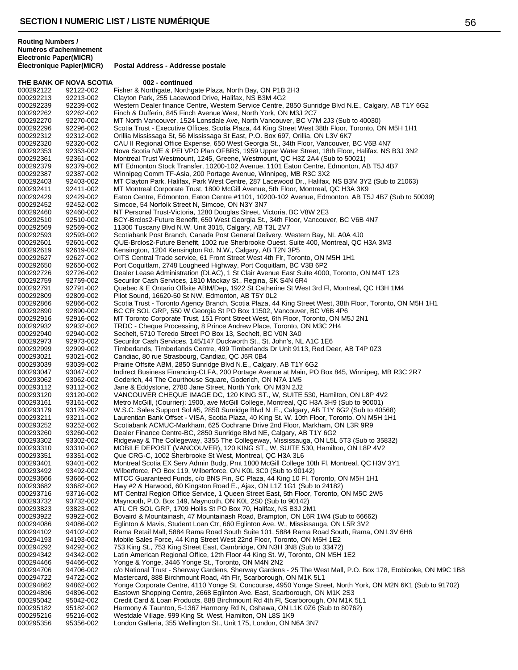**Routing Numbers / Numéros d'acheminement Electronic Paper(MICR)**

|                        | THE BANK OF NOVA SCOTIA | 002 - continued                                                                                                                                                                      |
|------------------------|-------------------------|--------------------------------------------------------------------------------------------------------------------------------------------------------------------------------------|
| 000292122              | 92122-002               | Fisher & Northgate, Northgate Plaza, North Bay, ON P1B 2H3                                                                                                                           |
| 000292213              | 92213-002               | Clayton Park, 255 Lacewood Drive, Halifax, NS B3M 4G2                                                                                                                                |
| 000292239              | 92239-002               | Western Dealer finance Centre, Western Service Centre, 2850 Sunridge Blvd N.E., Calgary, AB T1Y 6G2                                                                                  |
| 000292262              | 92262-002               | Finch & Dufferin, 845 Finch Avenue West, North York, ON M3J 2C7                                                                                                                      |
| 000292270              | 92270-002               | MT North Vancouver, 1524 Lonsdale Ave, North Vancouver, BC V7M 2J3 (Sub to 40030)                                                                                                    |
| 000292296              | 92296-002               | Scotia Trust - Executive Offices, Scotia Plaza, 44 King Street West 38th Floor, Toronto, ON M5H 1H1                                                                                  |
| 000292312              | 92312-002               | Orillia Mississaga St, 56 Mississaga St East, P.O. Box 697, Orillia, ON L3V 6K7                                                                                                      |
| 000292320              | 92320-002               | CAU II Regional Office Expense, 650 West Georgia St., 34th Floor, Vancouver, BC V6B 4N7                                                                                              |
| 000292353              | 92353-002               | Nova Scotia N/E & PEI VPO Plan OFBRS, 1959 Upper Water Street, 18th Floor, Halifax, NS B3J 3N2                                                                                       |
| 000292361              | 92361-002               | Montreal Trust Westmount, 1245, Greene, Westmount, QC H3Z 2A4 (Sub to 50021)                                                                                                         |
| 000292379<br>000292387 | 92379-002<br>92387-002  | MT Edmonton Stock Transfer, 10200-102 Avenue, 1101 Eaton Centre, Edmonton, AB T5J 4B7                                                                                                |
| 000292403              | 92403-002               | Winnipeg Comm TF-Asia, 200 Portage Avenue, Winnipeg, MB R3C 3X2<br>MT Clayton Park, Halifax, Park West Centre, 287 Lacewood Dr., Halifax, NS B3M 3Y2 (Sub to 21063)                  |
| 000292411              | 92411-002               | MT Montreal Corporate Trust, 1800 McGill Avenue, 5th Floor, Montreal, QC H3A 3K9                                                                                                     |
| 000292429              | 92429-002               | Eaton Centre, Edmonton, Eaton Centre #1101, 10200-102 Avenue, Edmonton, AB T5J 4B7 (Sub to 50039)                                                                                    |
| 000292452              | 92452-002               | Simcoe, 54 Norfolk Street N, Simcoe, ON N3Y 3N7                                                                                                                                      |
| 000292460              | 92460-002               | NT Personal Trust-Victoria, 1280 Douglas Street, Victoria, BC V8W 2E3                                                                                                                |
| 000292510              | 92510-002               | BCY-Brclos2-Future Benefit, 650 West Georgia St., 34th Floor, Vancouver, BC V6B 4N7                                                                                                  |
| 000292569              | 92569-002               | 11300 Tuscany Blvd N.W. Unit 3015, Calgary, AB T3L 2V7                                                                                                                               |
| 000292593              | 92593-002               | Scotiabank Post Branch, Canada Post General Delivery, Western Bay, NL A0A 4J0                                                                                                        |
| 000292601              | 92601-002               | QUE-Brclos2-Future Benefit, 1002 rue Sherbrooke Ouest, Suite 400, Montreal, QC H3A 3M3                                                                                               |
| 000292619              | 92619-002               | Kensington, 1204 Kensington Rd. N.W., Calgary, AB T2N 3P5                                                                                                                            |
| 000292627              | 92627-002               | OITS Central Trade service, 61 Front Street West 4th Flr, Toronto, ON M5H 1H1                                                                                                        |
| 000292650              | 92650-002               | Port Coquitlam, 2748 Lougheed Highway, Port Coquitlam, BC V3B 6P2                                                                                                                    |
| 000292726              | 92726-002               | Dealer Lease Administration (DLAC), 1 St Clair Avenue East Suite 4000, Toronto, ON M4T 1Z3                                                                                           |
| 000292759              | 92759-002               | Securilor Cash Services, 1810 Mackay St., Regina, SK S4N 6R4                                                                                                                         |
| 000292791              | 92791-002               | Quebec & E Ontario Offsite ABM/Dep, 1922 St Catherine St West 3rd FI, Montreal, QC H3H 1M4                                                                                           |
| 000292809              | 92809-002               | Pilot Sound, 16620-50 St NW, Edmonton, AB T5Y 0L2                                                                                                                                    |
| 000292866              | 92866-002               | Scotia Trust - Toronto Agency Branch, Scotia Plaza, 44 King Street West, 38th Floor, Toronto, ON M5H 1H1                                                                             |
| 000292890<br>000292916 | 92890-002<br>92916-002  | BC CR SOL GRP, 550 W Georgia St PO Box 11502, Vancouver, BC V6B 4P6<br>MT Toronto Corporate Trust, 151 Front Street West, 6th Floor, Toronto, ON M5J 2N1                             |
| 000292932              | 92932-002               | TRDC - Cheque Processing, 8 Prince Andrew Place, Toronto, ON M3C 2H4                                                                                                                 |
| 000292940              | 92940-002               | Sechelt, 5710 Teredo Street PO Box 13, Sechelt, BC V0N 3A0                                                                                                                           |
| 000292973              | 92973-002               | Securilor Cash Services, 145/147 Duckworth St., St. John's, NL A1C 1E6                                                                                                               |
| 000292999              | 92999-002               | Timberlands, Timberlands Centre, 499 Timberlands Dr Unit 9113, Red Deer, AB T4P 0Z3                                                                                                  |
| 000293021              | 93021-002               | Candiac, 80 rue Strasbourg, Candiac, QC J5R 0B4                                                                                                                                      |
| 000293039              | 93039-002               | Prairie Offsite ABM, 2850 Sunridge Blvd N.E., Calgary, AB T1Y 6G2                                                                                                                    |
| 000293047              | 93047-002               | Indirect Business Financing-CLFA, 200 Portage Avenue at Main, PO Box 845, Winnipeg, MB R3C 2R7                                                                                       |
| 000293062              | 93062-002               | Goderich, 44 The Courthouse Square, Goderich, ON N7A 1M5                                                                                                                             |
| 000293112              | 93112-002               | Jane & Eddystone, 2780 Jane Street, North York, ON M3N 2J2                                                                                                                           |
| 000293120              | 93120-002               | VANCOUVER CHEQUE IMAGE DC, 120 KING ST., W, SUITE 530, Hamilton, ON L8P 4V2                                                                                                          |
| 000293161              | 93161-002               | Metro McGill, (Courrier): 1900, ave McGill College, Montreal, QC H3A 3H9 (Sub to 90001)<br>W.S.C. Sales Support Sol #5, 2850 Sunridge Blvd N .E., Calgary, AB T1Y 6G2 (Sub to 40568) |
| 000293179<br>000293211 | 93179-002<br>93211-002  | Laurentian Bank Offset - VISA, Scotia Plaza, 40 King St. W. 10th Floor, Toronto, ON M5H 1H1                                                                                          |
| 000293252              | 93252-002               | Scotiabank ACMUC-Markham, 625 Cochrane Drive 2nd Floor, Markham, ON L3R 9R9                                                                                                          |
| 000293260              | 93260-002               | Dealer Finance Centre-BC, 2850 Sunridge Blvd NE, Calgary, AB T1Y 6G2                                                                                                                 |
| 000293302              | 93302-002               | Ridgeway & The Collegeway, 3355 The Collegeway, Mississauga, ON L5L 5T3 (Sub to 35832)                                                                                               |
| 000293310              | 93310-002               | MOBILE DEPOSIT (VANCOUVER), 120 KING ST., W, SUITE 530, Hamilton, ON L8P 4V2                                                                                                         |
| 000293351              | 93351-002               | Que CRG-C, 1002 Sherbrooke St West, Montreal, QC H3A 3L6                                                                                                                             |
| 000293401              | 93401-002               | Montreal Scotia EX Serv Admin Budg, Pmt 1800 McGill College 10th Fl, Montreal, QC H3V 3Y1                                                                                            |
| 000293492              | 93492-002               | Wilberforce, PO Box 119, Wilberforce, ON KOL 3C0 (Sub to 90142)                                                                                                                      |
| 000293666              | 93666-002               | MTCC Guaranteed Funds, c/o BNS Fin, SC Plaza, 44 King 10 Fl, Toronto, ON M5H 1H1                                                                                                     |
| 000293682              | 93682-002               | Hwy #2 & Harwood, 60 Kingston Road E., Ajax, ON L1Z 1G1 (Sub to 24182)                                                                                                               |
| 000293716              | 93716-002               | MT Central Region Office Service, 1 Queen Street East, 5th Floor, Toronto, ON M5C 2W5                                                                                                |
| 000293732              | 93732-002               | Maynooth, P.O. Box 149, Maynooth, ON K0L 2S0 (Sub to 90142)                                                                                                                          |
| 000293823              | 93823-002               | ATL CR SOL GRP, 1709 Hollis St PO Box 70, Halifax, NS B3J 2M1                                                                                                                        |
| 000293922              | 93922-002<br>94086-002  | Bovaird & Mountainash, 47 Mountainash Road, Brampton, ON L6R 1W4 (Sub to 66662)<br>Eglinton & Mavis, Student Loan Ctr, 660 Eglinton Ave. W., Mississauga, ON L5R 3V2                 |
| 000294086<br>000294102 | 94102-002               | Rama Retail Mall, 5884 Rama Road South Suite 101, 5884 Rama Road South, Rama, ON L3V 6H6                                                                                             |
| 000294193              | 94193-002               | Mobile Sales Force, 44 King Street West 22nd Floor, Toronto, ON M5H 1E2                                                                                                              |
| 000294292              | 94292-002               | 753 King St., 753 King Street East, Cambridge, ON N3H 3N8 (Sub to 33472)                                                                                                             |
| 000294342              | 94342-002               | Latin American Regional Office, 12th Floor 44 King St. W, Toronto, ON M5H 1E2                                                                                                        |
| 000294466              | 94466-002               | Yonge & Yonge, 3446 Yonge St., Toronto, ON M4N 2N2                                                                                                                                   |
| 000294706              | 94706-002               | c/o National Trust - Sherway Gardens, Sherway Gardens - 25 The West Mall, P.O. Box 178, Etobicoke, ON M9C 1B8                                                                        |
| 000294722              | 94722-002               | Mastercard, 888 Birchmount Road, 4th Flr, Scarborough, ON M1K 5L1                                                                                                                    |
| 000294862              | 94862-002               | Yonge Corporate Centre, 4110 Yonge St. Concourse, 4950 Yonge Street, North York, ON M2N 6K1 (Sub to 91702)                                                                           |
| 000294896              | 94896-002               | Eastown Shopping Centre, 2668 Eglinton Ave. East, Scarborough, ON M1K 2S3                                                                                                            |
| 000295042              | 95042-002               | Credit Card & Loan Products, 888 Birchmount Rd 4th Fl, Scarborough, ON M1K 5L1                                                                                                       |
| 000295182              | 95182-002               | Harmony & Taunton, 5-1367 Harmony Rd N, Oshawa, ON L1K 0Z6 (Sub to 80762)                                                                                                            |
| 000295216              | 95216-002               | Westdale Village, 999 King St. West, Hamilton, ON L8S 1K9                                                                                                                            |
| 000295356              | 95356-002               | London Galleria, 355 Wellington St., Unit 175, London, ON N6A 3N7                                                                                                                    |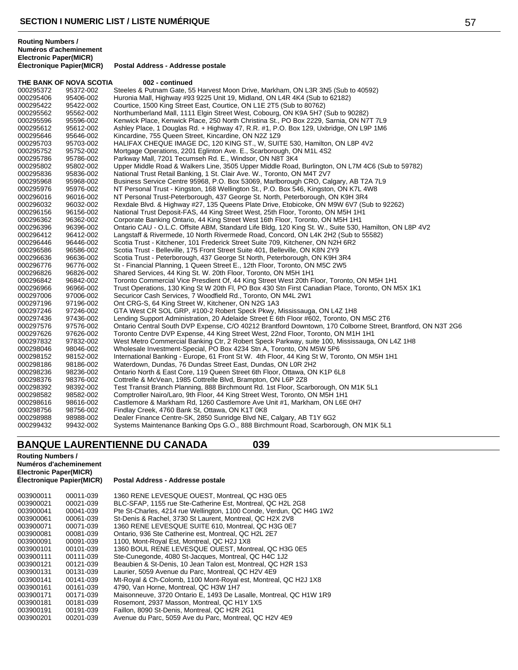|           | THE BANK OF NOVA SCOTIA | 002 - continued                                                                                             |
|-----------|-------------------------|-------------------------------------------------------------------------------------------------------------|
| 000295372 | 95372-002               | Steeles & Putnam Gate, 55 Harvest Moon Drive, Markham, ON L3R 3N5 (Sub to 40592)                            |
| 000295406 | 95406-002               | Huronia Mall, Highway #93 9225 Unit 19, Midland, ON L4R 4K4 (Sub to 62182)                                  |
| 000295422 | 95422-002               | Courtice, 1500 King Street East, Courtice, ON L1E 2T5 (Sub to 80762)                                        |
| 000295562 | 95562-002               | Northumberland Mall, 1111 Elgin Street West, Cobourg, ON K9A 5H7 (Sub to 90282)                             |
| 000295596 | 95596-002               | Kenwick Place, Kenwick Place, 250 North Christina St., PO Box 2229, Sarnia, ON N7T 7L9                      |
| 000295612 | 95612-002               | Ashley Place, 1 Douglas Rd. + Highway 47, R.R. #1, P.O. Box 129, Uxbridge, ON L9P 1M6                       |
| 000295646 | 95646-002               | Kincardine, 755 Queen Street, Kincardine, ON N2Z 1Z9                                                        |
| 000295703 | 95703-002               | HALIFAX CHEQUE IMAGE DC, 120 KING ST., W, SUITE 530, Hamilton, ON L8P 4V2                                   |
| 000295752 | 95752-002               | Mortgage Operations, 2201 Eglinton Ave. E., Scarborough, ON M1L 4S2                                         |
| 000295786 | 95786-002               | Parkway Mall, 7201 Tecumseh Rd. E., Windsor, ON N8T 3K4                                                     |
| 000295802 | 95802-002               | Upper Middle Road & Walkers Line, 3505 Upper Middle Road, Burlington, ON L7M 4C6 (Sub to 59782)             |
| 000295836 | 95836-002               | National Trust Retail Banking, 1 St. Clair Ave. W., Toronto, ON M4T 2V7                                     |
| 000295968 | 95968-002               | Business Service Centre 95968, P.O. Box 53069, Marlborough CRO, Calgary, AB T2A 7L9                         |
| 000295976 | 95976-002               | NT Personal Trust - Kingston, 168 Wellington St., P.O. Box 546, Kingston, ON K7L 4W8                        |
| 000296016 | 96016-002               | NT Personal Trust-Peterborough, 437 George St. North, Peterborough, ON K9H 3R4                              |
| 000296032 | 96032-002               | Rexdale Blvd. & Highway #27, 135 Queens Plate Drive, Etobicoke, ON M9W 6V7 (Sub to 92262)                   |
| 000296156 | 96156-002               | National Trust Deposit-FAS, 44 King Street West, 25th Floor, Toronto, ON M5H 1H1                            |
| 000296362 | 96362-002               | Corporate Banking Ontario, 44 King Street West 16th Floor, Toronto, ON M5H 1H1                              |
| 000296396 | 96396-002               | Ontario CAU - O.L.C. Offsite ABM, Standard Life Bldg, 120 King St. W., Suite 530, Hamilton, ON L8P 4V2      |
| 000296412 | 96412-002               | Langstaff & Rivermede, 10 North Rivermede Road, Concord, ON L4K 2H2 (Sub to 55582)                          |
| 000296446 | 96446-002               | Scotia Trust - Kitchener, 101 Frederick Street Suite 709, Kitchener, ON N2H 6R2                             |
| 000296586 | 96586-002               | Scotia Trust - Belleville, 175 Front Street Suite 401, Belleville, ON K8N 2Y9                               |
| 000296636 | 96636-002               | Scotia Trust - Peterborough, 437 George St North, Peterborough, ON K9H 3R4                                  |
| 000296776 | 96776-002               | St - Financial Planning, 1 Queen Street E., 12th Floor, Toronto, ON M5C 2W5                                 |
| 000296826 | 96826-002               | Shared Services, 44 King St. W. 20th Floor, Toronto, ON M5H 1H1                                             |
| 000296842 | 96842-002               | Toronto Commercial Vice Presdient Of, 44 King Street West 20th Floor, Toronto, ON M5H 1H1                   |
| 000296966 | 96966-002               | Trust Operations, 130 King St W 20th Fl, PO Box 430 Stn First Canadian Place, Toronto, ON M5X 1K1           |
| 000297006 | 97006-002               | Securicor Cash Services, 7 Woodfield Rd., Toronto, ON M4L 2W1                                               |
| 000297196 | 97196-002               | Ont CRG-S, 64 King Street W, Kitchener, ON N2G 1A3                                                          |
| 000297246 | 97246-002               | GTA West CR SOL GRP, #100-2 Robert Speck Pkwy, Mississauga, ON L4Z 1H8                                      |
| 000297436 | 97436-002               | Lending Support Administration, 20 Adelaide Street E 6th Floor #602, Toronto, ON M5C 2T6                    |
| 000297576 | 97576-002               | Ontario Central South DVP Expense, C/O 40212 Brantford Downtown, 170 Colborne Street, Brantford, ON N3T 2G6 |
| 000297626 | 97626-002               | Toronto Centre DVP Expense, 44 King Street West, 22nd Floor, Toronto, ON M1H 1H1                            |
| 000297832 | 97832-002               | West Metro Commercial Banking Ctr, 2 Robert Speck Parkway, suite 100, Mississauga, ON L4Z 1H8               |
| 000298046 | 98046-002               | Wholesale Investment-Special, PO Box 4234 Stn A, Toronto, ON M5W 5P6                                        |
| 000298152 | 98152-002               | International Banking - Europe, 61 Front St W. 4th Floor, 44 King St W, Toronto, ON M5H 1H1                 |
| 000298186 | 98186-002               | Waterdown, Dundas, 76 Dundas Street East, Dundas, ON L0R 2H2                                                |
| 000298236 | 98236-002               | Ontario North & East Core, 119 Queen Street 6th Floor, Ottawa, ON K1P 6L8                                   |
| 000298376 | 98376-002               | Cottrelle & McVean, 1985 Cottrelle Blvd, Brampton, ON L6P 2Z8                                               |
| 000298392 | 98392-002               | Test Transit Branch Planning, 888 Birchmount Rd. 1st Floor, Scarborough, ON M1K 5L1                         |
| 000298582 | 98582-002               | Comptroller Nairo/Laro, 9th Floor, 44 King Street West, Toronto, ON M5H 1H1                                 |
| 000298616 | 98616-002               | Castlemore & Markham Rd, 1260 Castlemore Ave Unit #1, Markham, ON L6E 0H7                                   |
| 000298756 | 98756-002               | Findlay Creek, 4760 Bank St, Ottawa, ON K1T 0K8                                                             |
| 000298988 | 98988-002               | Dealer Finance Centre-SK, 2850 Sunridge Blvd NE, Calgary, AB T1Y 6G2                                        |

# **BANQUE LAURENTIENNE DU CANADA 039**

# **Routing Numbers / Numéros d'acheminement Electronic Paper(MICR)**

### **Postal Address - Addresse postale**

98988-002 Dealer Finance Centre-SK, 2850 Sunridge Blvd NE, Calgary, AB T1Y 6G2

99432-002 Systems Maintenance Banking Ops G.O., 888 Birchmount Road, Scarborough, ON M1K 5L1

| 003900011 | 00011-039 | 1360 RENE LEVESQUE OUEST. Montreal. QC H3G 0E5                      |
|-----------|-----------|---------------------------------------------------------------------|
| 003900021 | 00021-039 | BLC-SFAP, 1155 rue Ste-Catherine Est. Montreal, QC H2L 2G8          |
| 003900041 | 00041-039 | Pte St-Charles, 4214 rue Wellington, 1100 Conde, Verdun, QC H4G 1W2 |
| 003900061 | 00061-039 | St-Denis & Rachel, 3730 St Laurent, Montreal, QC H2X 2V8            |
| 003900071 | 00071-039 | 1360 RENE LEVESQUE SUITE 610, Montreal, QC H3G 0E7                  |
| 003900081 | 00081-039 | Ontario. 936 Ste Catherine est. Montreal. QC H2L 2E7                |
| 003900091 | 00091-039 | 1100, Mont-Royal Est, Montreal, QC H2J 1X8                          |
| 003900101 | 00101-039 | 1360 BOUL RENE LEVESQUE OUEST, Montreal, QC H3G 0E5                 |
| 003900111 | 00111-039 | Ste-Cunegonde, 4080 St-Jacques, Montreal, QC H4C 1J2                |
| 003900121 | 00121-039 | Beaubien & St-Denis, 10 Jean Talon est, Montreal, QC H2R 1S3        |
| 003900131 | 00131-039 | Laurier, 5059 Avenue du Parc, Montreal, QC H2V 4E9                  |
| 003900141 | 00141-039 | Mt-Royal & Ch-Colomb, 1100 Mont-Royal est, Montreal, QC H2J 1X8     |
| 003900161 | 00161-039 | 4790. Van Horne. Montreal. QC H3W 1H7                               |
| 003900171 | 00171-039 | Maisonneuve, 3720 Ontario E, 1493 De Lasalle, Montreal, QC H1W 1R9  |
| 003900181 | 00181-039 | Rosemont, 2937 Masson, Montreal, QC H1Y 1X5                         |
| 003900191 | 00191-039 | Faillon, 8090 St-Denis, Montreal, QC H2R 2G1                        |
| 003900201 | 00201-039 | Avenue du Parc, 5059 Ave du Parc, Montreal, QC H2V 4E9              |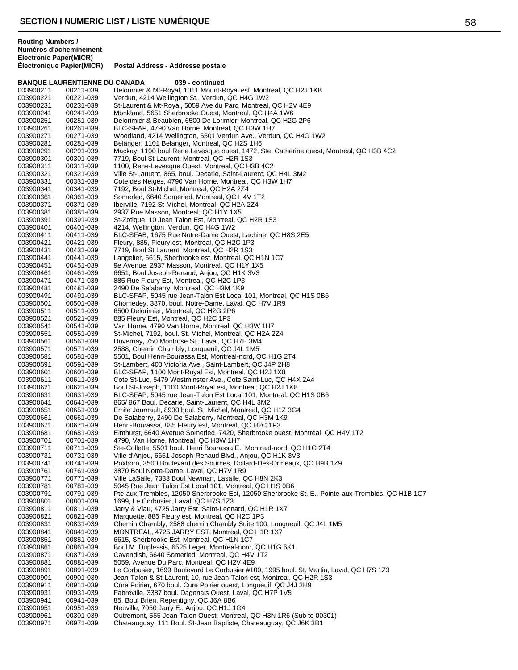|                                                           |                                      |                                                                                         | w |
|-----------------------------------------------------------|--------------------------------------|-----------------------------------------------------------------------------------------|---|
| <b>Routing Numbers /</b><br><b>Electronic Paper(MICR)</b> | Numéros d'acheminement               |                                                                                         |   |
|                                                           | <b>Électronique Papier(MICR)</b>     | Postal Address - Addresse postale                                                       |   |
|                                                           | <b>BANQUE LAURENTIENNE DU CANADA</b> | 039 - continued                                                                         |   |
| 003900211                                                 | 00211-039                            | Delorimier & Mt-Royal, 1011 Mount-Royal est, Montreal, QC H2J 1K8                       |   |
| 003900221                                                 | 00221-039                            | Verdun, 4214 Wellington St., Verdun, QC H4G 1W2                                         |   |
| 003900231                                                 | 00231-039                            | St-Laurent & Mt-Royal, 5059 Ave du Parc, Montreal, QC H2V 4E9                           |   |
| 003900241                                                 | 00241-039                            | Monkland, 5651 Sherbrooke Ouest, Montreal, QC H4A 1W6                                   |   |
| 003900251                                                 | 00251-039                            | Delorimier & Beaubien, 6500 De Lorimier, Montreal, QC H2G 2P6                           |   |
| 003900261                                                 | 00261-039                            | BLC-SFAP, 4790 Van Horne, Montreal, QC H3W 1H7                                          |   |
| 003900271                                                 | 00271-039                            | Woodland, 4214 Wellington, 5501 Verdun Ave., Verdun, QC H4G 1W2                         |   |
| 003900281                                                 | 00281-039                            | Belanger, 1101 Belanger, Montreal, QC H2S 1H6                                           |   |
| 003900291                                                 | 00291-039                            | Mackay, 1100 boul Rene Levesque ouest, 1472, Ste. Catherine ouest, Montreal, QC H3B 4C2 |   |
| 003900301                                                 | 00301-039                            | 7719. Boul St Laurent. Montreal. QC H2R 1S3                                             |   |

 00241-039 Monkland, 5651 Sherbrooke Ouest, Montreal, QC H4A 1W6 Delorimier & Beaubien, 6500 De Lorimier, Montreal, QC H2G 2P6 00261-039 BLC-SFAP, 4790 Van Horne, Montreal, QC H3W 1H7 00271-039 Woodland, 4214 Wellington, 5501 Verdun Ave., Verdun, QC H4G 1W2 Belanger, 1101 Belanger, Montreal, QC H2S 1H6 003900291 00291-039 Mackay, 1100 boul Rene Levesque ouest, 1472, Ste. Catherine oues<br>003900301 00301-039 7719, Boul St Laurent, Montreal, QC H2R 1S3 00301-039 7719, Boul St Laurent, Montreal, QC H2R 1S3 00311-039 1100, Rene-Levesque Ouest, Montreal, QC H3B 4C2 003900321 00321-039 Ville St-Laurent, 865, boul. Decarie, Saint-Laurent, QC H4L 3M2<br>003900331 00331-039 Cote des Neiges, 4790 Van Horne, Montreal, OC H3W 1H7 003900331 00331-039 Cote des Neiges, 4790 Van Horne, Montreal, QC H3W 1H7<br>003900341 00341-039 7192, Boul St-Michel, Montreal, QC H2A 2Z4 00341-039 7192, Boul St-Michel, Montreal, QC H2A 2Z4 00361-039 Somerled, 6640 Somerled, Montreal, QC H4V 1T2 00371-039 Iberville, 7192 St-Michel, Montreal, QC H2A 2Z4 00381-039 2937 Rue Masson, Montreal, QC H1Y 1X5 00391-039 St-Zotique, 10 Jean Talon Est, Montreal, QC H2R 1S3 00401-039 4214, Wellington, Verdun, QC H4G 1W2 BLC-SFAB, 1675 Rue Notre-Dame Ouest, Lachine, QC H8S 2E5 00421-039 Fleury, 885, Fleury est, Montreal, QC H2C 1P3 7719, Boul St Laurent, Montreal, QC H2R 1S3 00441-039 Langelier, 6615, Sherbrooke est, Montreal, QC H1N 1C7 00451-039 9e Avenue, 2937 Masson, Montreal, QC H1Y 1X5 6651, Boul Joseph-Renaud, Anjou, QC H1K 3V3 00471-039 885 Rue Fleury Est, Montreal, QC H2C 1P3 00481-039 2490 De Salaberry, Montreal, QC H3M 1K9 003900491 00491-039 BLC-SFAP, 5045 rue Jean-Talon Est Local 101, Montreal, QC H1S 0B6<br>003900501 00501-039 Chomedey, 3870, boul. Notre-Dame, Laval, QC H7V 1R9 003900501 00501-039 Chomedey, 3870, boul. Notre-Dame, Laval, QC H7V 1R9<br>003900511 00511-039 6500 Delorimier, Montreal, QC H2G 2P6 6500 Delorimier, Montreal, QC H2G 2P6 00521-039 885 Fleury Est, Montreal, QC H2C 1P3 00541-039 Van Horne, 4790 Van Horne, Montreal, QC H3W 1H7 00551-039 St-Michel, 7192, boul. St. Michel, Montreal, QC H2A 2Z4 00561-039 Duvernay, 750 Montrose St., Laval, QC H7E 3M4 00571-039 2588, Chemin Chambly, Longueuil, QC J4L 1M5 00581-039 5501, Boul Henri-Bourassa Est, Montreal-nord, QC H1G 2T4 00591-039 St-Lambert, 400 Victoria Ave., Saint-Lambert, QC J4P 2H8 00601-039 BLC-SFAP, 1100 Mont-Royal Est, Montreal, QC H2J 1X8 003900611 00611-039 Cote St-Luc, 5479 Westminster Ave., Cote Saint-Luc, QC H4X 2A4<br>003900621 00621-039 Boul St-Joseph, 1100 Mont-Royal est, Montreal, QC H2J 1K8 00621-039 Boul St-Joseph, 1100 Mont-Royal est, Montreal, QC H2J 1K8 00631-039 BLC-SFAP, 5045 rue Jean-Talon Est Local 101, Montreal, QC H1S 0B6 865/ 867 Boul. Decarie, Saint-Laurent, QC H4L 3M2 00651-039 Emile Journault, 8930 boul. St. Michel, Montreal, QC H1Z 3G4 00661-039 De Salaberry, 2490 De Salaberry, Montreal, QC H3M 1K9 00671-039 Henri-Bourassa, 885 Fleury est, Montreal, QC H2C 1P3 003900681 00681-039 Elmhurst, 6640 Avenue Somerled, 7420, Sherbrooke ouest, Montreal, QC H4V 1T2<br>003900701 00701-039 4790. Van Horne, Montreal, QC H3W 1H7 4790, Van Horne, Montreal, QC H3W 1H7 00711-039 Ste-Collette, 5501 boul. Henri Bourassa E., Montreal-nord, QC H1G 2T4 Ville d'Anjou, 6651 Joseph-Renaud Blvd., Anjou, QC H1K 3V3 00741-039 Roxboro, 3500 Boulevard des Sources, Dollard-Des-Ormeaux, QC H9B 1Z9 00761-039 3870 Boul Notre-Dame, Laval, QC H7V 1R9 Ville LaSalle, 7333 Boul Newman, Lasalle, QC H8N 2K3 00781-039 5045 Rue Jean Talon Est Local 101, Montreal, QC H1S 0B6 003900791 00791-039 Pte-aux-Trembles, 12050 Sherbrooke Est, 12050 Sherbrooke St. E., Pointe-aux-Trembles, QC H1B 1C7<br>003900801 00801-039 1699, Le Corbusier, Laval, QC H7S 1Z3 00801-039 1699, Le Corbusier, Laval, QC H7S 1Z3 00811-039 Jarry & Viau, 4725 Jarry Est, Saint-Leonard, QC H1R 1X7 00821-039 Marquette, 885 Fleury est, Montreal, QC H2C 1P3 003900831 00831-039 Chemin Chambly, 2588 chemin Chambly Suite 100, Longueuil, QC J4L 1M5<br>003900841 00841-039 MONTREAL, 4725 JARRY EST, Montreal, QC H1R 1X7 00841-039 MONTREAL, 4725 JARRY EST, Montreal, QC H1R 1X7 00851-039 6615, Sherbrooke Est, Montreal, QC H1N 1C7 00861-039 Boul M. Duplessis, 6525 Leger, Montreal-nord, QC H1G 6K1 00871-039 Cavendish, 6640 Somerled, Montreal, QC H4V 1T2 00881-039 5059, Avenue Du Parc, Montreal, QC H2V 4E9 Le Corbusier, 1699 Boulevard Le Corbusier #100, 1995 boul. St. Martin, Laval, QC H7S 1Z3 003900901 00901-039 Jean-Talon & St-Laurent, 10, rue Jean-Talon est, Montreal, QC H2R 1S3<br>003900911 00911-039 Cure Poirier, 670 boul. Cure Poirier ouest, Longueuil, QC J4J 2H9 Cure Poirier, 670 boul. Cure Poirier ouest, Longueuil, QC J4J 2H9 00931-039 Fabreville, 3387 boul. Dagenais Ouest, Laval, QC H7P 1V5 00941-039 85, Boul Brien, Repentigny, QC J6A 8B6 Neuville, 7050 Jarry E., Anjou, QC H1J 1G4 003900961 00301-039 Outremont, 555 Jean-Talon Ouest, Montreal, QC H3N 1R6 (Sub to 00301)<br>003900971 00971-039 Chateauguay, 111 Boul. St-Jean Baptiste, Chateauguay, QC J6K 3B1 Chateauguay, 111 Boul. St-Jean Baptiste, Chateauguay, QC J6K 3B1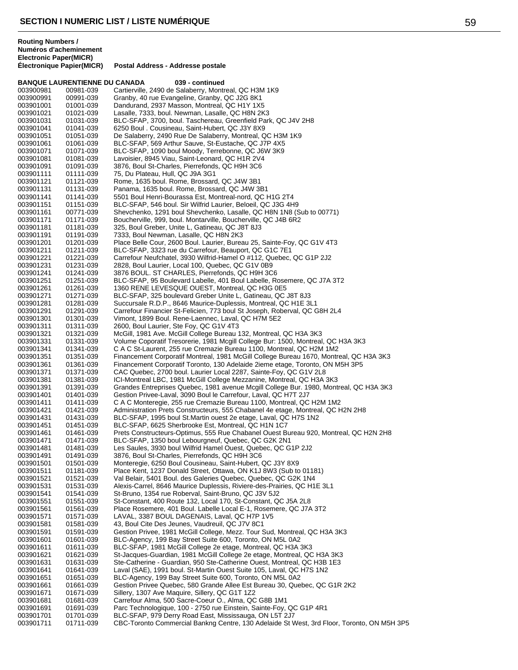**Routing Numbers / Numéros d'acheminement Electronic Paper(MICR)**

|                        | <b>BANQUE LAURENTIENNE DU CANADA</b> | 039 - continued                                                                                                                                                 |
|------------------------|--------------------------------------|-----------------------------------------------------------------------------------------------------------------------------------------------------------------|
| 003900981              | 00981-039                            | Cartierville, 2490 de Salaberry, Montreal, QC H3M 1K9                                                                                                           |
| 003900991              | 00991-039                            | Granby, 40 rue Evangeline, Granby, QC J2G 8K1                                                                                                                   |
| 003901001              | 01001-039                            | Dandurand, 2937 Masson, Montreal, QC H1Y 1X5                                                                                                                    |
| 003901021<br>003901031 | 01021-039<br>01031-039               | Lasalle, 7333, boul. Newman, Lasalle, QC H8N 2K3<br>BLC-SFAP, 3700, boul. Taschereau, Greenfield Park, QC J4V 2H8                                               |
| 003901041              | 01041-039                            | 6250 Boul . Cousineau, Saint-Hubert, QC J3Y 8X9                                                                                                                 |
| 003901051              | 01051-039                            | De Salaberry, 2490 Rue De Salaberry, Montreal, QC H3M 1K9                                                                                                       |
| 003901061              | 01061-039                            | BLC-SFAP, 569 Arthur Sauve, St-Eustache, QC J7P 4X5                                                                                                             |
| 003901071              | 01071-039                            | BLC-SFAP, 1090 boul Moody, Terrebonne, QC J6W 3K9                                                                                                               |
| 003901081<br>003901091 | 01081-039                            | Lavoisier, 8945 Viau, Saint-Leonard, QC H1R 2V4<br>3876, Boul St-Charles, Pierrefonds, QC H9H 3C6                                                               |
| 003901111              | 01091-039<br>01111-039               | 75, Du Plateau, Hull, QC J9A 3G1                                                                                                                                |
| 003901121              | 01121-039                            | Rome, 1635 boul. Rome, Brossard, QC J4W 3B1                                                                                                                     |
| 003901131              | 01131-039                            | Panama, 1635 boul. Rome, Brossard, QC J4W 3B1                                                                                                                   |
| 003901141              | 01141-039                            | 5501 Boul Henri-Bourassa Est, Montreal-nord, QC H1G 2T4                                                                                                         |
| 003901151              | 01151-039                            | BLC-SFAP, 546 boul. Sir Wilfrid Laurier, Beloeil, QC J3G 4H9                                                                                                    |
| 003901161              | 00771-039                            | Shevchenko, 1291 boul Shevchenko, Lasalle, QC H8N 1N8 (Sub to 00771)                                                                                            |
| 003901171<br>003901181 | 01171-039<br>01181-039               | Boucherville, 999, boul. Montarville, Boucherville, QC J4B 6R2<br>325, Boul Greber, Unite L, Gatineau, QC J8T 8J3                                               |
| 003901191              | 01191-039                            | 7333, Boul Newman, Lasalle, QC H8N 2K3                                                                                                                          |
| 003901201              | 01201-039                            | Place Belle Cour, 2600 Boul. Laurier, Bureau 25, Sainte-Foy, QC G1V 4T3                                                                                         |
| 003901211              | 01211-039                            | BLC-SFAP, 3323 rue du Carrefour, Beauport, QC G1C 7E1                                                                                                           |
| 003901221              | 01221-039                            | Carrefour Neufchatel, 3930 Wilfrid-Hamel O #112, Quebec, QC G1P 2J2                                                                                             |
| 003901231              | 01231-039                            | 2828, Boul Laurier, Local 100, Quebec, QC G1V 0B9                                                                                                               |
| 003901241<br>003901251 | 01241-039<br>01251-039               | 3876 BOUL. ST CHARLES, Pierrefonds, QC H9H 3C6<br>BLC-SFAP, 95 Boulevard Labelle, 401 Boul Labelle, Rosemere, QC J7A 3T2                                        |
| 003901261              | 01261-039                            | 1360 RENE LEVESQUE OUEST, Montreal, QC H3G 0E5                                                                                                                  |
| 003901271              | 01271-039                            | BLC-SFAP, 325 boulevard Greber Unite L, Gatineau, QC J8T 8J3                                                                                                    |
| 003901281              | 01281-039                            | Succursale R.D.P., 8646 Maurice-Duplessis, Montreal, QC H1E 3L1                                                                                                 |
| 003901291              | 01291-039                            | Carrefour Financier St-Felicien, 773 boul St Joseph, Roberval, QC G8H 2L4                                                                                       |
| 003901301              | 01301-039                            | Vimont, 1899 Boul. Rene-Laennec, Laval, QC H7M 5E2                                                                                                              |
| 003901311<br>003901321 | 01311-039<br>01321-039               | 2600, Boul Laurier, Ste Foy, QC G1V 4T3<br>McGill, 1981 Ave. McGill College Bureau 132, Montreal, QC H3A 3K3                                                    |
| 003901331              | 01331-039                            | Volume Coporatif Tresorerie, 1981 Mcgill College Bur: 1500, Montreal, QC H3A 3K3                                                                                |
| 003901341              | 01341-039                            | C A C St-Laurent, 255 rue Cremazie Bureau 1100, Montreal, QC H2M 1M2                                                                                            |
| 003901351              | 01351-039                            | Financement Corporatif Montreal, 1981 McGill College Bureau 1670, Montreal, QC H3A 3K3                                                                          |
| 003901361              | 01361-039                            | Financement Corporatif Toronto, 130 Adelaide 2ieme etage, Toronto, ON M5H 3P5                                                                                   |
| 003901371              | 01371-039                            | CAC Quebec, 2700 boul. Laurier Local 2287, Sainte-Foy, QC G1V 2L8                                                                                               |
| 003901381<br>003901391 | 01381-039<br>01391-039               | ICI-Montreal LBC, 1981 McGill College Mezzanine, Montreal, QC H3A 3K3<br>Grandes Entreprises Quebec, 1981 avenue Mcgill College Bur. 1980, Montreal, QC H3A 3K3 |
| 003901401              | 01401-039                            | Gestion Privee-Laval, 3090 Boul le Carrefour, Laval, QC H7T 2J7                                                                                                 |
| 003901411              | 01411-039                            | C A C Monteregie, 255 rue Cremazie Bureau 1100, Montreal, QC H2M 1M2                                                                                            |
| 003901421              | 01421-039                            | Administration Prets Constructeurs, 555 Chabanel 4e etage, Montreal, QC H2N 2H8                                                                                 |
| 003901431              | 01431-039                            | BLC-SFAP, 1995 boul St.Martin ouest 2e etage, Laval, QC H7S 1N2                                                                                                 |
| 003901451<br>003901461 | 01451-039<br>01461-039               | BLC-SFAP, 6625 Sherbrooke Est, Montreal, QC H1N 1C7<br>Prets Constructeurs-Optimus, 555 Rue Chabanel Ouest Bureau 920, Montreal, QC H2N 2H8                     |
| 003901471              | 01471-039                            | BLC-SFAP, 1350 boul Lebourgneuf, Quebec, QC G2K 2N1                                                                                                             |
| 003901481              | 01481-039                            | Les Saules, 3930 boul Wilfrid Hamel Ouest, Quebec, QC G1P 2J2                                                                                                   |
| 003901491              | 01491-039                            | 3876, Boul St-Charles, Pierrefonds, QC H9H 3C6                                                                                                                  |
| 003901501              | 01501-039                            | Monteregie, 6250 Boul Cousineau, Saint-Hubert, QC J3Y 8X9                                                                                                       |
| 003901511              | 01181-039                            | Place Kent, 1237 Donald Street, Ottawa, ON K1J 8W3 (Sub to 01181)                                                                                               |
| 003901521<br>003901531 | 01521-039<br>01531-039               | Val Belair, 5401 Boul. des Galeries Quebec, Quebec, QC G2K 1N4<br>Alexis-Carrel, 8646 Maurice Duplessis, Riviere-des-Prairies, QC H1E 3L1                       |
| 003901541              | 01541-039                            | St-Bruno, 1354 rue Roberval, Saint-Bruno, QC J3V 5J2                                                                                                            |
| 003901551              | 01551-039                            | St-Constant, 400 Route 132, Local 170, St-Constant, QC J5A 2L8                                                                                                  |
| 003901561              | 01561-039                            | Place Rosemere, 401 Boul. Labelle Local E-1, Rosemere, QC J7A 3T2                                                                                               |
| 003901571              | 01571-039                            | LAVAL, 3387 BOUL DAGENAIS, Laval, QC H7P 1V5                                                                                                                    |
| 003901581<br>003901591 | 01581-039<br>01591-039               | 43, Boul Cite Des Jeunes, Vaudreuil, QC J7V 8C1<br>Gestion Privee, 1981 McGill College, Mezz. Tour Sud, Montreal, QC H3A 3K3                                    |
| 003901601              | 01601-039                            | BLC-Agency, 199 Bay Street Suite 600, Toronto, ON M5L 0A2                                                                                                       |
| 003901611              | 01611-039                            | BLC-SFAP, 1981 McGill College 2e etage, Montreal, QC H3A 3K3                                                                                                    |
| 003901621              | 01621-039                            | St-Jacques-Guardian, 1981 McGill College 2e etage, Montreal, QC H3A 3K3                                                                                         |
| 003901631              | 01631-039                            | Ste-Catherine - Guardian, 950 Ste-Catherine Ouest, Montreal, QC H3B 1E3                                                                                         |
| 003901641              | 01641-039                            | Laval (SAE), 1991 boul. St-Martin Ouest Suite 105, Laval, QC H7S 1N2                                                                                            |
| 003901651<br>003901661 | 01651-039<br>01661-039               | BLC-Agency, 199 Bay Street Suite 600, Toronto, ON M5L 0A2<br>Gestion Privee Quebec, 580 Grande Allee Est Bureau 30, Quebec, QC G1R 2K2                          |
| 003901671              | 01671-039                            | Sillery, 1307 Ave Maquire, Sillery, QC G1T 1Z2                                                                                                                  |
| 003901681              | 01681-039                            | Carrefour Alma, 500 Sacre-Coeur O., Alma, QC G8B 1M1                                                                                                            |
| 003901691              | 01691-039                            | Parc Technologique, 100 - 2750 rue Einstein, Sainte-Foy, QC G1P 4R1                                                                                             |
| 003901701              | 01701-039                            | BLC-SFAP, 979 Derry Road East, Mississauga, ON L5T 2J7                                                                                                          |
| 003901711              | 01711-039                            | CBC-Toronto Commercial Bankng Centre, 130 Adelaide St West, 3rd Floor, Toronto, ON M5H 3P5                                                                      |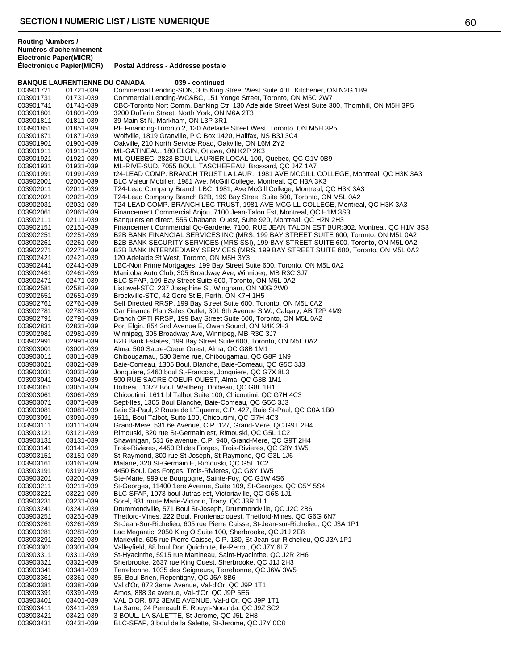**Routing Numbers / Numéros d'acheminement Electronic Paper(MICR)**

| Commercial Lending-SON, 305 King Street West Suite 401, Kitchener, ON N2G 1B9<br>003901721<br>01721-039<br>Commercial Lending-WC&BC, 151 Yonge Street, Toronto, ON M5C 2W7<br>003901731<br>01731-039<br>CBC-Toronto Nort Comm. Banking Ctr, 130 Adelaide Street West Suite 300, Thornhill, ON M5H 3P5<br>003901741<br>01741-039<br>01801-039<br>3200 Dufferin Street, North York, ON M6A 2T3<br>003901801<br>39 Main St N, Markham, ON L3P 3R1<br>003901811<br>01811-039<br>RE Financing-Toronto 2, 130 Adelaide Street West, Toronto, ON M5H 3P5<br>003901851<br>01851-039<br>Wolfville, 1819 Granville, P O Box 1420, Halifax, NS B3J 3C4<br>003901871<br>01871-039<br>01901-039<br>Oakville, 210 North Service Road, Oakville, ON L6M 2Y2<br>003901901<br>ML-GATINEAU, 180 ELGIN, Ottawa, ON K2P 2K3<br>003901911<br>01911-039<br>ML-QUEBEC, 2828 BOUL LAURIER LOCAL 100, Quebec, QC G1V 0B9<br>003901921<br>01921-039<br>ML-RIVE-SUD, 7055 BOUL TASCHEREAU, Brossard, QC J4Z 1A7<br>003901931<br>01931-039<br>003901991<br>01991-039<br>t24-LEAD COMP. BRANCH TRUST LA LAUR., 1981 AVE MCGILL COLLEGE, Montreal, QC H3K 3A3<br>BLC Valeur Mobilier, 1981 Ave. McGill College, Montreal, QC H3A 3K3<br>003902001<br>02001-039<br>T24-Lead Company Branch LBC, 1981, Ave McGill College, Montreal, QC H3K 3A3<br>02011-039<br>003902011<br>T24-Lead Company Branch B2B, 199 Bay Street Suite 600, Toronto, ON M5L 0A2<br>003902021<br>02021-039<br>T24-LEAD COMP. BRANCH LBC TRUST, 1981 AVE MCGILL COLLEGE, Montreal, QC H3K 3A3<br>02031-039<br>003902031<br>Financement Commercial Anjou, 7100 Jean-Talon Est, Montreal, QC H1M 3S3<br>003902061<br>02061-039<br>02111-039<br>Banquiers en direct, 555 Chabanel Ouest, Suite 920, Montreal, QC H2N 2H3<br>003902111<br>Financement Commercial Qc-Garderie, 7100, RUE JEAN TALON EST BUR:302, Montreal, QC H1M 3S3<br>003902151<br>02151-039<br>02251-039<br>B2B BANK FINANCIAL SERVICES INC (MRS, 199 BAY STREET SUITE 600, Toronto, ON M5L 0A2<br>003902251<br>02261-039<br>B2B BANK SECURITY SERVICES (MRS SSI), 199 BAY STREET SUITE 600, Toronto, ON M5L 0A2<br>003902261<br>02271-039<br>B2B BANK INTERMEDIARY SERVICES (MRS, 199 BAY STREET SUITE 600, Toronto, ON M5L 0A2<br>003902271<br>120 Adelaide St West, Toronto, ON M5H 3Y3<br>003902421<br>02421-039<br>LBC-Non Prime Mortgages, 199 Bay Street Suite 600, Toronto, ON M5L 0A2<br>02441-039<br>003902441<br>Manitoba Auto Club, 305 Broadway Ave, Winnipeg, MB R3C 3J7<br>003902461<br>02461-039<br>BLC SFAP, 199 Bay Street Suite 600, Toronto, ON M5L 0A2<br>003902471<br>02471-039<br>Listowel-STC, 237 Josephine St, Wingham, ON N0G 2W0<br>003902581<br>02581-039<br>02651-039<br>Brockville-STC, 42 Gore St E, Perth, ON K7H 1H5<br>003902651<br>003902761<br>02761-039<br>Self Directed RRSP, 199 Bay Street Suite 600, Toronto, ON M5L 0A2<br>02781-039<br>Car Finance Plan Sales Outlet, 301 6th Avenue S.W., Calgary, AB T2P 4M9<br>003902781<br>Branch OPTI RRSP, 199 Bay Street Suite 600, Toronto, ON M5L 0A2<br>02791-039<br>003902791<br>Port Elgin, 854 2nd Avenue E, Owen Sound, ON N4K 2H3<br>02831-039<br>003902831<br>003902981<br>02981-039<br>Winnipeg, 305 Broadway Ave, Winnipeg, MB R3C 3J7<br>B2B Bank Estates, 199 Bay Street Suite 600, Toronto, ON M5L 0A2<br>003902991<br>02991-039<br>Alma, 500 Sacre-Coeur Ouest, Alma, QC G8B 1M1<br>003903001<br>03001-039<br>03011-039<br>Chibougamau, 530 3eme rue, Chibougamau, QC G8P 1N9<br>003903011<br>003903021<br>Baie-Comeau, 1305 Boul. Blanche, Baie-Comeau, QC G5C 3J3<br>03021-039<br>Jonquiere, 3460 boul St-Francois, Jonquiere, QC G7X 8L3<br>003903031<br>03031-039<br>500 RUE SACRE COEUR OUEST, Alma, QC G8B 1M1<br>003903041<br>03041-039<br>03051-039<br>Dolbeau, 1372 Boul. Wallberg, Dolbeau, QC G8L 1H1<br>003903051<br>003903061<br>Chicoutimi, 1611 bl Talbot Suite 100, Chicoutimi, QC G7H 4C3<br>03061-039<br>Sept-Iles, 1305 Boul Blanche, Baie-Comeau, QC G5C 3J3<br>003903071<br>03071-039<br>Baie St-Paul, 2 Route de L'Equerre, C.P. 427, Baie St-Paul, QC G0A 1B0<br>003903081<br>03081-039<br>03091-039<br>1611, Boul Talbot, Suite 100, Chicoutimi, QC G7H 4C3<br>003903091<br>Grand-Mere, 531 6e Avenue, C.P. 127, Grand-Mere, QC G9T 2H4<br>003903111<br>03111-039<br>Rimouski, 320 rue St-Germain est, Rimouski, QC G5L 1C2<br>003903121<br>03121-039<br>Shawinigan, 531 6e avenue, C.P. 940, Grand-Mere, QC G9T 2H4<br>003903131<br>03131-039<br>03141-039<br>Trois-Rivieres, 4450 BI des Forges, Trois-Rivieres, QC G8Y 1W5<br>003903141<br>St-Raymond, 300 rue St-Joseph, St-Raymond, QC G3L 1J6<br>003903151<br>03151-039<br>003903161<br>03161-039<br>Matane, 320 St-Germain E, Rimouski, QC G5L 1C2<br>003903191<br>4450 Boul. Des Forges, Trois-Rivieres, QC G8Y 1W5<br>03191-039<br>03201-039<br>Ste-Marie, 999 de Bourgogne, Sainte-Foy, QC G1W 4S6<br>003903201<br>St-Georges, 11400 1ere Avenue, Suite 109, St-Georges, QC G5Y 5S4<br>003903211<br>03211-039<br>003903221<br>03221-039<br>BLC-SFAP, 1073 boul Jutras est, Victoriaville, QC G6S 1J1<br>003903231<br>03231-039<br>Sorel, 831 route Marie-Victorin, Tracy, QC J3R 1L1<br>003903241<br>03241-039<br>Drummondville, 571 Boul St-Joseph, Drummondville, QC J2C 2B6<br>Thetford-Mines, 222 Boul. Frontenac ouest, Thetford-Mines, QC G6G 6N7<br>003903251<br>03251-039<br>003903261<br>03261-039<br>St-Jean-Sur-Richelieu, 605 rue Pierre Caisse, St-Jean-sur-Richelieu, QC J3A 1P1<br>003903281<br>03281-039<br>Lac Megantic, 2050 King O Suite 100, Sherbrooke, QC J1J 2E8<br>03291-039<br>Marieville, 605 rue Pierre Caisse, C.P. 130, St-Jean-sur-Richelieu, QC J3A 1P1<br>003903291<br>003903301<br>03301-039<br>Valleyfield, 88 boul Don Quichotte, Ile-Perrot, QC J7Y 6L7<br>003903311<br>03311-039<br>St-Hyacinthe, 5915 rue Martineau, Saint-Hyacinthe, QC J2R 2H6<br>003903321<br>03321-039<br>Sherbrooke, 2637 rue King Ouest, Sherbrooke, QC J1J 2H3<br>03341-039<br>Terrebonne, 1035 des Seigneurs, Terrebonne, QC J6W 3W5<br>003903341<br>85, Boul Brien, Repentigny, QC J6A 8B6<br>003903361<br>03361-039<br>Val d'Or, 872 3eme Avenue, Val-d'Or, QC J9P 1T1<br>003903381<br>03381-039<br>003903391<br>03391-039<br>Amos, 888 3e avenue, Val-d'Or, QC J9P 5E6 |
|----------------------------------------------------------------------------------------------------------------------------------------------------------------------------------------------------------------------------------------------------------------------------------------------------------------------------------------------------------------------------------------------------------------------------------------------------------------------------------------------------------------------------------------------------------------------------------------------------------------------------------------------------------------------------------------------------------------------------------------------------------------------------------------------------------------------------------------------------------------------------------------------------------------------------------------------------------------------------------------------------------------------------------------------------------------------------------------------------------------------------------------------------------------------------------------------------------------------------------------------------------------------------------------------------------------------------------------------------------------------------------------------------------------------------------------------------------------------------------------------------------------------------------------------------------------------------------------------------------------------------------------------------------------------------------------------------------------------------------------------------------------------------------------------------------------------------------------------------------------------------------------------------------------------------------------------------------------------------------------------------------------------------------------------------------------------------------------------------------------------------------------------------------------------------------------------------------------------------------------------------------------------------------------------------------------------------------------------------------------------------------------------------------------------------------------------------------------------------------------------------------------------------------------------------------------------------------------------------------------------------------------------------------------------------------------------------------------------------------------------------------------------------------------------------------------------------------------------------------------------------------------------------------------------------------------------------------------------------------------------------------------------------------------------------------------------------------------------------------------------------------------------------------------------------------------------------------------------------------------------------------------------------------------------------------------------------------------------------------------------------------------------------------------------------------------------------------------------------------------------------------------------------------------------------------------------------------------------------------------------------------------------------------------------------------------------------------------------------------------------------------------------------------------------------------------------------------------------------------------------------------------------------------------------------------------------------------------------------------------------------------------------------------------------------------------------------------------------------------------------------------------------------------------------------------------------------------------------------------------------------------------------------------------------------------------------------------------------------------------------------------------------------------------------------------------------------------------------------------------------------------------------------------------------------------------------------------------------------------------------------------------------------------------------------------------------------------------------------------------------------------------------------------------------------------------------------------------------------------------------------------------------------------------------------------------------------------------------------------------------------------------------------------------------------------------------------------------------------------------------------------------------------------------------------------------------------------------------------------------------------------------------------------------------------------------------------------------------------------------------------------------------------------------------------------------------------------------------------------------------------------------------------------------------------------------------------------------------------------------------------------------------------------------------------------------------------------------------------------------------------------------------------------------------------------------------------------------------------------------------------------------------------------------------------------------------------------------------------------------------------------------------------------------------------------------------------------------------------------------------------------------------------------------------------------------------------------------------------------------------------------------------------------|
|                                                                                                                                                                                                                                                                                                                                                                                                                                                                                                                                                                                                                                                                                                                                                                                                                                                                                                                                                                                                                                                                                                                                                                                                                                                                                                                                                                                                                                                                                                                                                                                                                                                                                                                                                                                                                                                                                                                                                                                                                                                                                                                                                                                                                                                                                                                                                                                                                                                                                                                                                                                                                                                                                                                                                                                                                                                                                                                                                                                                                                                                                                                                                                                                                                                                                                                                                                                                                                                                                                                                                                                                                                                                                                                                                                                                                                                                                                                                                                                                                                                                                                                                                                                                                                                                                                                                                                                                                                                                                                                                                                                                                                                                                                                                                                                                                                                                                                                                                                                                                                                                                                                                                                                                                                                                                                                                                                                                                                                                                                                                                                                                                                                                                                                                                                                                                                                                                                                                                                                                                                                                                                                                                                                                                                                                                  |
|                                                                                                                                                                                                                                                                                                                                                                                                                                                                                                                                                                                                                                                                                                                                                                                                                                                                                                                                                                                                                                                                                                                                                                                                                                                                                                                                                                                                                                                                                                                                                                                                                                                                                                                                                                                                                                                                                                                                                                                                                                                                                                                                                                                                                                                                                                                                                                                                                                                                                                                                                                                                                                                                                                                                                                                                                                                                                                                                                                                                                                                                                                                                                                                                                                                                                                                                                                                                                                                                                                                                                                                                                                                                                                                                                                                                                                                                                                                                                                                                                                                                                                                                                                                                                                                                                                                                                                                                                                                                                                                                                                                                                                                                                                                                                                                                                                                                                                                                                                                                                                                                                                                                                                                                                                                                                                                                                                                                                                                                                                                                                                                                                                                                                                                                                                                                                                                                                                                                                                                                                                                                                                                                                                                                                                                                                  |
|                                                                                                                                                                                                                                                                                                                                                                                                                                                                                                                                                                                                                                                                                                                                                                                                                                                                                                                                                                                                                                                                                                                                                                                                                                                                                                                                                                                                                                                                                                                                                                                                                                                                                                                                                                                                                                                                                                                                                                                                                                                                                                                                                                                                                                                                                                                                                                                                                                                                                                                                                                                                                                                                                                                                                                                                                                                                                                                                                                                                                                                                                                                                                                                                                                                                                                                                                                                                                                                                                                                                                                                                                                                                                                                                                                                                                                                                                                                                                                                                                                                                                                                                                                                                                                                                                                                                                                                                                                                                                                                                                                                                                                                                                                                                                                                                                                                                                                                                                                                                                                                                                                                                                                                                                                                                                                                                                                                                                                                                                                                                                                                                                                                                                                                                                                                                                                                                                                                                                                                                                                                                                                                                                                                                                                                                                  |
|                                                                                                                                                                                                                                                                                                                                                                                                                                                                                                                                                                                                                                                                                                                                                                                                                                                                                                                                                                                                                                                                                                                                                                                                                                                                                                                                                                                                                                                                                                                                                                                                                                                                                                                                                                                                                                                                                                                                                                                                                                                                                                                                                                                                                                                                                                                                                                                                                                                                                                                                                                                                                                                                                                                                                                                                                                                                                                                                                                                                                                                                                                                                                                                                                                                                                                                                                                                                                                                                                                                                                                                                                                                                                                                                                                                                                                                                                                                                                                                                                                                                                                                                                                                                                                                                                                                                                                                                                                                                                                                                                                                                                                                                                                                                                                                                                                                                                                                                                                                                                                                                                                                                                                                                                                                                                                                                                                                                                                                                                                                                                                                                                                                                                                                                                                                                                                                                                                                                                                                                                                                                                                                                                                                                                                                                                  |
|                                                                                                                                                                                                                                                                                                                                                                                                                                                                                                                                                                                                                                                                                                                                                                                                                                                                                                                                                                                                                                                                                                                                                                                                                                                                                                                                                                                                                                                                                                                                                                                                                                                                                                                                                                                                                                                                                                                                                                                                                                                                                                                                                                                                                                                                                                                                                                                                                                                                                                                                                                                                                                                                                                                                                                                                                                                                                                                                                                                                                                                                                                                                                                                                                                                                                                                                                                                                                                                                                                                                                                                                                                                                                                                                                                                                                                                                                                                                                                                                                                                                                                                                                                                                                                                                                                                                                                                                                                                                                                                                                                                                                                                                                                                                                                                                                                                                                                                                                                                                                                                                                                                                                                                                                                                                                                                                                                                                                                                                                                                                                                                                                                                                                                                                                                                                                                                                                                                                                                                                                                                                                                                                                                                                                                                                                  |
|                                                                                                                                                                                                                                                                                                                                                                                                                                                                                                                                                                                                                                                                                                                                                                                                                                                                                                                                                                                                                                                                                                                                                                                                                                                                                                                                                                                                                                                                                                                                                                                                                                                                                                                                                                                                                                                                                                                                                                                                                                                                                                                                                                                                                                                                                                                                                                                                                                                                                                                                                                                                                                                                                                                                                                                                                                                                                                                                                                                                                                                                                                                                                                                                                                                                                                                                                                                                                                                                                                                                                                                                                                                                                                                                                                                                                                                                                                                                                                                                                                                                                                                                                                                                                                                                                                                                                                                                                                                                                                                                                                                                                                                                                                                                                                                                                                                                                                                                                                                                                                                                                                                                                                                                                                                                                                                                                                                                                                                                                                                                                                                                                                                                                                                                                                                                                                                                                                                                                                                                                                                                                                                                                                                                                                                                                  |
|                                                                                                                                                                                                                                                                                                                                                                                                                                                                                                                                                                                                                                                                                                                                                                                                                                                                                                                                                                                                                                                                                                                                                                                                                                                                                                                                                                                                                                                                                                                                                                                                                                                                                                                                                                                                                                                                                                                                                                                                                                                                                                                                                                                                                                                                                                                                                                                                                                                                                                                                                                                                                                                                                                                                                                                                                                                                                                                                                                                                                                                                                                                                                                                                                                                                                                                                                                                                                                                                                                                                                                                                                                                                                                                                                                                                                                                                                                                                                                                                                                                                                                                                                                                                                                                                                                                                                                                                                                                                                                                                                                                                                                                                                                                                                                                                                                                                                                                                                                                                                                                                                                                                                                                                                                                                                                                                                                                                                                                                                                                                                                                                                                                                                                                                                                                                                                                                                                                                                                                                                                                                                                                                                                                                                                                                                  |
|                                                                                                                                                                                                                                                                                                                                                                                                                                                                                                                                                                                                                                                                                                                                                                                                                                                                                                                                                                                                                                                                                                                                                                                                                                                                                                                                                                                                                                                                                                                                                                                                                                                                                                                                                                                                                                                                                                                                                                                                                                                                                                                                                                                                                                                                                                                                                                                                                                                                                                                                                                                                                                                                                                                                                                                                                                                                                                                                                                                                                                                                                                                                                                                                                                                                                                                                                                                                                                                                                                                                                                                                                                                                                                                                                                                                                                                                                                                                                                                                                                                                                                                                                                                                                                                                                                                                                                                                                                                                                                                                                                                                                                                                                                                                                                                                                                                                                                                                                                                                                                                                                                                                                                                                                                                                                                                                                                                                                                                                                                                                                                                                                                                                                                                                                                                                                                                                                                                                                                                                                                                                                                                                                                                                                                                                                  |
|                                                                                                                                                                                                                                                                                                                                                                                                                                                                                                                                                                                                                                                                                                                                                                                                                                                                                                                                                                                                                                                                                                                                                                                                                                                                                                                                                                                                                                                                                                                                                                                                                                                                                                                                                                                                                                                                                                                                                                                                                                                                                                                                                                                                                                                                                                                                                                                                                                                                                                                                                                                                                                                                                                                                                                                                                                                                                                                                                                                                                                                                                                                                                                                                                                                                                                                                                                                                                                                                                                                                                                                                                                                                                                                                                                                                                                                                                                                                                                                                                                                                                                                                                                                                                                                                                                                                                                                                                                                                                                                                                                                                                                                                                                                                                                                                                                                                                                                                                                                                                                                                                                                                                                                                                                                                                                                                                                                                                                                                                                                                                                                                                                                                                                                                                                                                                                                                                                                                                                                                                                                                                                                                                                                                                                                                                  |
|                                                                                                                                                                                                                                                                                                                                                                                                                                                                                                                                                                                                                                                                                                                                                                                                                                                                                                                                                                                                                                                                                                                                                                                                                                                                                                                                                                                                                                                                                                                                                                                                                                                                                                                                                                                                                                                                                                                                                                                                                                                                                                                                                                                                                                                                                                                                                                                                                                                                                                                                                                                                                                                                                                                                                                                                                                                                                                                                                                                                                                                                                                                                                                                                                                                                                                                                                                                                                                                                                                                                                                                                                                                                                                                                                                                                                                                                                                                                                                                                                                                                                                                                                                                                                                                                                                                                                                                                                                                                                                                                                                                                                                                                                                                                                                                                                                                                                                                                                                                                                                                                                                                                                                                                                                                                                                                                                                                                                                                                                                                                                                                                                                                                                                                                                                                                                                                                                                                                                                                                                                                                                                                                                                                                                                                                                  |
|                                                                                                                                                                                                                                                                                                                                                                                                                                                                                                                                                                                                                                                                                                                                                                                                                                                                                                                                                                                                                                                                                                                                                                                                                                                                                                                                                                                                                                                                                                                                                                                                                                                                                                                                                                                                                                                                                                                                                                                                                                                                                                                                                                                                                                                                                                                                                                                                                                                                                                                                                                                                                                                                                                                                                                                                                                                                                                                                                                                                                                                                                                                                                                                                                                                                                                                                                                                                                                                                                                                                                                                                                                                                                                                                                                                                                                                                                                                                                                                                                                                                                                                                                                                                                                                                                                                                                                                                                                                                                                                                                                                                                                                                                                                                                                                                                                                                                                                                                                                                                                                                                                                                                                                                                                                                                                                                                                                                                                                                                                                                                                                                                                                                                                                                                                                                                                                                                                                                                                                                                                                                                                                                                                                                                                                                                  |
|                                                                                                                                                                                                                                                                                                                                                                                                                                                                                                                                                                                                                                                                                                                                                                                                                                                                                                                                                                                                                                                                                                                                                                                                                                                                                                                                                                                                                                                                                                                                                                                                                                                                                                                                                                                                                                                                                                                                                                                                                                                                                                                                                                                                                                                                                                                                                                                                                                                                                                                                                                                                                                                                                                                                                                                                                                                                                                                                                                                                                                                                                                                                                                                                                                                                                                                                                                                                                                                                                                                                                                                                                                                                                                                                                                                                                                                                                                                                                                                                                                                                                                                                                                                                                                                                                                                                                                                                                                                                                                                                                                                                                                                                                                                                                                                                                                                                                                                                                                                                                                                                                                                                                                                                                                                                                                                                                                                                                                                                                                                                                                                                                                                                                                                                                                                                                                                                                                                                                                                                                                                                                                                                                                                                                                                                                  |
|                                                                                                                                                                                                                                                                                                                                                                                                                                                                                                                                                                                                                                                                                                                                                                                                                                                                                                                                                                                                                                                                                                                                                                                                                                                                                                                                                                                                                                                                                                                                                                                                                                                                                                                                                                                                                                                                                                                                                                                                                                                                                                                                                                                                                                                                                                                                                                                                                                                                                                                                                                                                                                                                                                                                                                                                                                                                                                                                                                                                                                                                                                                                                                                                                                                                                                                                                                                                                                                                                                                                                                                                                                                                                                                                                                                                                                                                                                                                                                                                                                                                                                                                                                                                                                                                                                                                                                                                                                                                                                                                                                                                                                                                                                                                                                                                                                                                                                                                                                                                                                                                                                                                                                                                                                                                                                                                                                                                                                                                                                                                                                                                                                                                                                                                                                                                                                                                                                                                                                                                                                                                                                                                                                                                                                                                                  |
|                                                                                                                                                                                                                                                                                                                                                                                                                                                                                                                                                                                                                                                                                                                                                                                                                                                                                                                                                                                                                                                                                                                                                                                                                                                                                                                                                                                                                                                                                                                                                                                                                                                                                                                                                                                                                                                                                                                                                                                                                                                                                                                                                                                                                                                                                                                                                                                                                                                                                                                                                                                                                                                                                                                                                                                                                                                                                                                                                                                                                                                                                                                                                                                                                                                                                                                                                                                                                                                                                                                                                                                                                                                                                                                                                                                                                                                                                                                                                                                                                                                                                                                                                                                                                                                                                                                                                                                                                                                                                                                                                                                                                                                                                                                                                                                                                                                                                                                                                                                                                                                                                                                                                                                                                                                                                                                                                                                                                                                                                                                                                                                                                                                                                                                                                                                                                                                                                                                                                                                                                                                                                                                                                                                                                                                                                  |
|                                                                                                                                                                                                                                                                                                                                                                                                                                                                                                                                                                                                                                                                                                                                                                                                                                                                                                                                                                                                                                                                                                                                                                                                                                                                                                                                                                                                                                                                                                                                                                                                                                                                                                                                                                                                                                                                                                                                                                                                                                                                                                                                                                                                                                                                                                                                                                                                                                                                                                                                                                                                                                                                                                                                                                                                                                                                                                                                                                                                                                                                                                                                                                                                                                                                                                                                                                                                                                                                                                                                                                                                                                                                                                                                                                                                                                                                                                                                                                                                                                                                                                                                                                                                                                                                                                                                                                                                                                                                                                                                                                                                                                                                                                                                                                                                                                                                                                                                                                                                                                                                                                                                                                                                                                                                                                                                                                                                                                                                                                                                                                                                                                                                                                                                                                                                                                                                                                                                                                                                                                                                                                                                                                                                                                                                                  |
|                                                                                                                                                                                                                                                                                                                                                                                                                                                                                                                                                                                                                                                                                                                                                                                                                                                                                                                                                                                                                                                                                                                                                                                                                                                                                                                                                                                                                                                                                                                                                                                                                                                                                                                                                                                                                                                                                                                                                                                                                                                                                                                                                                                                                                                                                                                                                                                                                                                                                                                                                                                                                                                                                                                                                                                                                                                                                                                                                                                                                                                                                                                                                                                                                                                                                                                                                                                                                                                                                                                                                                                                                                                                                                                                                                                                                                                                                                                                                                                                                                                                                                                                                                                                                                                                                                                                                                                                                                                                                                                                                                                                                                                                                                                                                                                                                                                                                                                                                                                                                                                                                                                                                                                                                                                                                                                                                                                                                                                                                                                                                                                                                                                                                                                                                                                                                                                                                                                                                                                                                                                                                                                                                                                                                                                                                  |
|                                                                                                                                                                                                                                                                                                                                                                                                                                                                                                                                                                                                                                                                                                                                                                                                                                                                                                                                                                                                                                                                                                                                                                                                                                                                                                                                                                                                                                                                                                                                                                                                                                                                                                                                                                                                                                                                                                                                                                                                                                                                                                                                                                                                                                                                                                                                                                                                                                                                                                                                                                                                                                                                                                                                                                                                                                                                                                                                                                                                                                                                                                                                                                                                                                                                                                                                                                                                                                                                                                                                                                                                                                                                                                                                                                                                                                                                                                                                                                                                                                                                                                                                                                                                                                                                                                                                                                                                                                                                                                                                                                                                                                                                                                                                                                                                                                                                                                                                                                                                                                                                                                                                                                                                                                                                                                                                                                                                                                                                                                                                                                                                                                                                                                                                                                                                                                                                                                                                                                                                                                                                                                                                                                                                                                                                                  |
|                                                                                                                                                                                                                                                                                                                                                                                                                                                                                                                                                                                                                                                                                                                                                                                                                                                                                                                                                                                                                                                                                                                                                                                                                                                                                                                                                                                                                                                                                                                                                                                                                                                                                                                                                                                                                                                                                                                                                                                                                                                                                                                                                                                                                                                                                                                                                                                                                                                                                                                                                                                                                                                                                                                                                                                                                                                                                                                                                                                                                                                                                                                                                                                                                                                                                                                                                                                                                                                                                                                                                                                                                                                                                                                                                                                                                                                                                                                                                                                                                                                                                                                                                                                                                                                                                                                                                                                                                                                                                                                                                                                                                                                                                                                                                                                                                                                                                                                                                                                                                                                                                                                                                                                                                                                                                                                                                                                                                                                                                                                                                                                                                                                                                                                                                                                                                                                                                                                                                                                                                                                                                                                                                                                                                                                                                  |
|                                                                                                                                                                                                                                                                                                                                                                                                                                                                                                                                                                                                                                                                                                                                                                                                                                                                                                                                                                                                                                                                                                                                                                                                                                                                                                                                                                                                                                                                                                                                                                                                                                                                                                                                                                                                                                                                                                                                                                                                                                                                                                                                                                                                                                                                                                                                                                                                                                                                                                                                                                                                                                                                                                                                                                                                                                                                                                                                                                                                                                                                                                                                                                                                                                                                                                                                                                                                                                                                                                                                                                                                                                                                                                                                                                                                                                                                                                                                                                                                                                                                                                                                                                                                                                                                                                                                                                                                                                                                                                                                                                                                                                                                                                                                                                                                                                                                                                                                                                                                                                                                                                                                                                                                                                                                                                                                                                                                                                                                                                                                                                                                                                                                                                                                                                                                                                                                                                                                                                                                                                                                                                                                                                                                                                                                                  |
|                                                                                                                                                                                                                                                                                                                                                                                                                                                                                                                                                                                                                                                                                                                                                                                                                                                                                                                                                                                                                                                                                                                                                                                                                                                                                                                                                                                                                                                                                                                                                                                                                                                                                                                                                                                                                                                                                                                                                                                                                                                                                                                                                                                                                                                                                                                                                                                                                                                                                                                                                                                                                                                                                                                                                                                                                                                                                                                                                                                                                                                                                                                                                                                                                                                                                                                                                                                                                                                                                                                                                                                                                                                                                                                                                                                                                                                                                                                                                                                                                                                                                                                                                                                                                                                                                                                                                                                                                                                                                                                                                                                                                                                                                                                                                                                                                                                                                                                                                                                                                                                                                                                                                                                                                                                                                                                                                                                                                                                                                                                                                                                                                                                                                                                                                                                                                                                                                                                                                                                                                                                                                                                                                                                                                                                                                  |
|                                                                                                                                                                                                                                                                                                                                                                                                                                                                                                                                                                                                                                                                                                                                                                                                                                                                                                                                                                                                                                                                                                                                                                                                                                                                                                                                                                                                                                                                                                                                                                                                                                                                                                                                                                                                                                                                                                                                                                                                                                                                                                                                                                                                                                                                                                                                                                                                                                                                                                                                                                                                                                                                                                                                                                                                                                                                                                                                                                                                                                                                                                                                                                                                                                                                                                                                                                                                                                                                                                                                                                                                                                                                                                                                                                                                                                                                                                                                                                                                                                                                                                                                                                                                                                                                                                                                                                                                                                                                                                                                                                                                                                                                                                                                                                                                                                                                                                                                                                                                                                                                                                                                                                                                                                                                                                                                                                                                                                                                                                                                                                                                                                                                                                                                                                                                                                                                                                                                                                                                                                                                                                                                                                                                                                                                                  |
|                                                                                                                                                                                                                                                                                                                                                                                                                                                                                                                                                                                                                                                                                                                                                                                                                                                                                                                                                                                                                                                                                                                                                                                                                                                                                                                                                                                                                                                                                                                                                                                                                                                                                                                                                                                                                                                                                                                                                                                                                                                                                                                                                                                                                                                                                                                                                                                                                                                                                                                                                                                                                                                                                                                                                                                                                                                                                                                                                                                                                                                                                                                                                                                                                                                                                                                                                                                                                                                                                                                                                                                                                                                                                                                                                                                                                                                                                                                                                                                                                                                                                                                                                                                                                                                                                                                                                                                                                                                                                                                                                                                                                                                                                                                                                                                                                                                                                                                                                                                                                                                                                                                                                                                                                                                                                                                                                                                                                                                                                                                                                                                                                                                                                                                                                                                                                                                                                                                                                                                                                                                                                                                                                                                                                                                                                  |
|                                                                                                                                                                                                                                                                                                                                                                                                                                                                                                                                                                                                                                                                                                                                                                                                                                                                                                                                                                                                                                                                                                                                                                                                                                                                                                                                                                                                                                                                                                                                                                                                                                                                                                                                                                                                                                                                                                                                                                                                                                                                                                                                                                                                                                                                                                                                                                                                                                                                                                                                                                                                                                                                                                                                                                                                                                                                                                                                                                                                                                                                                                                                                                                                                                                                                                                                                                                                                                                                                                                                                                                                                                                                                                                                                                                                                                                                                                                                                                                                                                                                                                                                                                                                                                                                                                                                                                                                                                                                                                                                                                                                                                                                                                                                                                                                                                                                                                                                                                                                                                                                                                                                                                                                                                                                                                                                                                                                                                                                                                                                                                                                                                                                                                                                                                                                                                                                                                                                                                                                                                                                                                                                                                                                                                                                                  |
|                                                                                                                                                                                                                                                                                                                                                                                                                                                                                                                                                                                                                                                                                                                                                                                                                                                                                                                                                                                                                                                                                                                                                                                                                                                                                                                                                                                                                                                                                                                                                                                                                                                                                                                                                                                                                                                                                                                                                                                                                                                                                                                                                                                                                                                                                                                                                                                                                                                                                                                                                                                                                                                                                                                                                                                                                                                                                                                                                                                                                                                                                                                                                                                                                                                                                                                                                                                                                                                                                                                                                                                                                                                                                                                                                                                                                                                                                                                                                                                                                                                                                                                                                                                                                                                                                                                                                                                                                                                                                                                                                                                                                                                                                                                                                                                                                                                                                                                                                                                                                                                                                                                                                                                                                                                                                                                                                                                                                                                                                                                                                                                                                                                                                                                                                                                                                                                                                                                                                                                                                                                                                                                                                                                                                                                                                  |
|                                                                                                                                                                                                                                                                                                                                                                                                                                                                                                                                                                                                                                                                                                                                                                                                                                                                                                                                                                                                                                                                                                                                                                                                                                                                                                                                                                                                                                                                                                                                                                                                                                                                                                                                                                                                                                                                                                                                                                                                                                                                                                                                                                                                                                                                                                                                                                                                                                                                                                                                                                                                                                                                                                                                                                                                                                                                                                                                                                                                                                                                                                                                                                                                                                                                                                                                                                                                                                                                                                                                                                                                                                                                                                                                                                                                                                                                                                                                                                                                                                                                                                                                                                                                                                                                                                                                                                                                                                                                                                                                                                                                                                                                                                                                                                                                                                                                                                                                                                                                                                                                                                                                                                                                                                                                                                                                                                                                                                                                                                                                                                                                                                                                                                                                                                                                                                                                                                                                                                                                                                                                                                                                                                                                                                                                                  |
|                                                                                                                                                                                                                                                                                                                                                                                                                                                                                                                                                                                                                                                                                                                                                                                                                                                                                                                                                                                                                                                                                                                                                                                                                                                                                                                                                                                                                                                                                                                                                                                                                                                                                                                                                                                                                                                                                                                                                                                                                                                                                                                                                                                                                                                                                                                                                                                                                                                                                                                                                                                                                                                                                                                                                                                                                                                                                                                                                                                                                                                                                                                                                                                                                                                                                                                                                                                                                                                                                                                                                                                                                                                                                                                                                                                                                                                                                                                                                                                                                                                                                                                                                                                                                                                                                                                                                                                                                                                                                                                                                                                                                                                                                                                                                                                                                                                                                                                                                                                                                                                                                                                                                                                                                                                                                                                                                                                                                                                                                                                                                                                                                                                                                                                                                                                                                                                                                                                                                                                                                                                                                                                                                                                                                                                                                  |
|                                                                                                                                                                                                                                                                                                                                                                                                                                                                                                                                                                                                                                                                                                                                                                                                                                                                                                                                                                                                                                                                                                                                                                                                                                                                                                                                                                                                                                                                                                                                                                                                                                                                                                                                                                                                                                                                                                                                                                                                                                                                                                                                                                                                                                                                                                                                                                                                                                                                                                                                                                                                                                                                                                                                                                                                                                                                                                                                                                                                                                                                                                                                                                                                                                                                                                                                                                                                                                                                                                                                                                                                                                                                                                                                                                                                                                                                                                                                                                                                                                                                                                                                                                                                                                                                                                                                                                                                                                                                                                                                                                                                                                                                                                                                                                                                                                                                                                                                                                                                                                                                                                                                                                                                                                                                                                                                                                                                                                                                                                                                                                                                                                                                                                                                                                                                                                                                                                                                                                                                                                                                                                                                                                                                                                                                                  |
|                                                                                                                                                                                                                                                                                                                                                                                                                                                                                                                                                                                                                                                                                                                                                                                                                                                                                                                                                                                                                                                                                                                                                                                                                                                                                                                                                                                                                                                                                                                                                                                                                                                                                                                                                                                                                                                                                                                                                                                                                                                                                                                                                                                                                                                                                                                                                                                                                                                                                                                                                                                                                                                                                                                                                                                                                                                                                                                                                                                                                                                                                                                                                                                                                                                                                                                                                                                                                                                                                                                                                                                                                                                                                                                                                                                                                                                                                                                                                                                                                                                                                                                                                                                                                                                                                                                                                                                                                                                                                                                                                                                                                                                                                                                                                                                                                                                                                                                                                                                                                                                                                                                                                                                                                                                                                                                                                                                                                                                                                                                                                                                                                                                                                                                                                                                                                                                                                                                                                                                                                                                                                                                                                                                                                                                                                  |
|                                                                                                                                                                                                                                                                                                                                                                                                                                                                                                                                                                                                                                                                                                                                                                                                                                                                                                                                                                                                                                                                                                                                                                                                                                                                                                                                                                                                                                                                                                                                                                                                                                                                                                                                                                                                                                                                                                                                                                                                                                                                                                                                                                                                                                                                                                                                                                                                                                                                                                                                                                                                                                                                                                                                                                                                                                                                                                                                                                                                                                                                                                                                                                                                                                                                                                                                                                                                                                                                                                                                                                                                                                                                                                                                                                                                                                                                                                                                                                                                                                                                                                                                                                                                                                                                                                                                                                                                                                                                                                                                                                                                                                                                                                                                                                                                                                                                                                                                                                                                                                                                                                                                                                                                                                                                                                                                                                                                                                                                                                                                                                                                                                                                                                                                                                                                                                                                                                                                                                                                                                                                                                                                                                                                                                                                                  |
|                                                                                                                                                                                                                                                                                                                                                                                                                                                                                                                                                                                                                                                                                                                                                                                                                                                                                                                                                                                                                                                                                                                                                                                                                                                                                                                                                                                                                                                                                                                                                                                                                                                                                                                                                                                                                                                                                                                                                                                                                                                                                                                                                                                                                                                                                                                                                                                                                                                                                                                                                                                                                                                                                                                                                                                                                                                                                                                                                                                                                                                                                                                                                                                                                                                                                                                                                                                                                                                                                                                                                                                                                                                                                                                                                                                                                                                                                                                                                                                                                                                                                                                                                                                                                                                                                                                                                                                                                                                                                                                                                                                                                                                                                                                                                                                                                                                                                                                                                                                                                                                                                                                                                                                                                                                                                                                                                                                                                                                                                                                                                                                                                                                                                                                                                                                                                                                                                                                                                                                                                                                                                                                                                                                                                                                                                  |
|                                                                                                                                                                                                                                                                                                                                                                                                                                                                                                                                                                                                                                                                                                                                                                                                                                                                                                                                                                                                                                                                                                                                                                                                                                                                                                                                                                                                                                                                                                                                                                                                                                                                                                                                                                                                                                                                                                                                                                                                                                                                                                                                                                                                                                                                                                                                                                                                                                                                                                                                                                                                                                                                                                                                                                                                                                                                                                                                                                                                                                                                                                                                                                                                                                                                                                                                                                                                                                                                                                                                                                                                                                                                                                                                                                                                                                                                                                                                                                                                                                                                                                                                                                                                                                                                                                                                                                                                                                                                                                                                                                                                                                                                                                                                                                                                                                                                                                                                                                                                                                                                                                                                                                                                                                                                                                                                                                                                                                                                                                                                                                                                                                                                                                                                                                                                                                                                                                                                                                                                                                                                                                                                                                                                                                                                                  |
|                                                                                                                                                                                                                                                                                                                                                                                                                                                                                                                                                                                                                                                                                                                                                                                                                                                                                                                                                                                                                                                                                                                                                                                                                                                                                                                                                                                                                                                                                                                                                                                                                                                                                                                                                                                                                                                                                                                                                                                                                                                                                                                                                                                                                                                                                                                                                                                                                                                                                                                                                                                                                                                                                                                                                                                                                                                                                                                                                                                                                                                                                                                                                                                                                                                                                                                                                                                                                                                                                                                                                                                                                                                                                                                                                                                                                                                                                                                                                                                                                                                                                                                                                                                                                                                                                                                                                                                                                                                                                                                                                                                                                                                                                                                                                                                                                                                                                                                                                                                                                                                                                                                                                                                                                                                                                                                                                                                                                                                                                                                                                                                                                                                                                                                                                                                                                                                                                                                                                                                                                                                                                                                                                                                                                                                                                  |
|                                                                                                                                                                                                                                                                                                                                                                                                                                                                                                                                                                                                                                                                                                                                                                                                                                                                                                                                                                                                                                                                                                                                                                                                                                                                                                                                                                                                                                                                                                                                                                                                                                                                                                                                                                                                                                                                                                                                                                                                                                                                                                                                                                                                                                                                                                                                                                                                                                                                                                                                                                                                                                                                                                                                                                                                                                                                                                                                                                                                                                                                                                                                                                                                                                                                                                                                                                                                                                                                                                                                                                                                                                                                                                                                                                                                                                                                                                                                                                                                                                                                                                                                                                                                                                                                                                                                                                                                                                                                                                                                                                                                                                                                                                                                                                                                                                                                                                                                                                                                                                                                                                                                                                                                                                                                                                                                                                                                                                                                                                                                                                                                                                                                                                                                                                                                                                                                                                                                                                                                                                                                                                                                                                                                                                                                                  |
|                                                                                                                                                                                                                                                                                                                                                                                                                                                                                                                                                                                                                                                                                                                                                                                                                                                                                                                                                                                                                                                                                                                                                                                                                                                                                                                                                                                                                                                                                                                                                                                                                                                                                                                                                                                                                                                                                                                                                                                                                                                                                                                                                                                                                                                                                                                                                                                                                                                                                                                                                                                                                                                                                                                                                                                                                                                                                                                                                                                                                                                                                                                                                                                                                                                                                                                                                                                                                                                                                                                                                                                                                                                                                                                                                                                                                                                                                                                                                                                                                                                                                                                                                                                                                                                                                                                                                                                                                                                                                                                                                                                                                                                                                                                                                                                                                                                                                                                                                                                                                                                                                                                                                                                                                                                                                                                                                                                                                                                                                                                                                                                                                                                                                                                                                                                                                                                                                                                                                                                                                                                                                                                                                                                                                                                                                  |
|                                                                                                                                                                                                                                                                                                                                                                                                                                                                                                                                                                                                                                                                                                                                                                                                                                                                                                                                                                                                                                                                                                                                                                                                                                                                                                                                                                                                                                                                                                                                                                                                                                                                                                                                                                                                                                                                                                                                                                                                                                                                                                                                                                                                                                                                                                                                                                                                                                                                                                                                                                                                                                                                                                                                                                                                                                                                                                                                                                                                                                                                                                                                                                                                                                                                                                                                                                                                                                                                                                                                                                                                                                                                                                                                                                                                                                                                                                                                                                                                                                                                                                                                                                                                                                                                                                                                                                                                                                                                                                                                                                                                                                                                                                                                                                                                                                                                                                                                                                                                                                                                                                                                                                                                                                                                                                                                                                                                                                                                                                                                                                                                                                                                                                                                                                                                                                                                                                                                                                                                                                                                                                                                                                                                                                                                                  |
|                                                                                                                                                                                                                                                                                                                                                                                                                                                                                                                                                                                                                                                                                                                                                                                                                                                                                                                                                                                                                                                                                                                                                                                                                                                                                                                                                                                                                                                                                                                                                                                                                                                                                                                                                                                                                                                                                                                                                                                                                                                                                                                                                                                                                                                                                                                                                                                                                                                                                                                                                                                                                                                                                                                                                                                                                                                                                                                                                                                                                                                                                                                                                                                                                                                                                                                                                                                                                                                                                                                                                                                                                                                                                                                                                                                                                                                                                                                                                                                                                                                                                                                                                                                                                                                                                                                                                                                                                                                                                                                                                                                                                                                                                                                                                                                                                                                                                                                                                                                                                                                                                                                                                                                                                                                                                                                                                                                                                                                                                                                                                                                                                                                                                                                                                                                                                                                                                                                                                                                                                                                                                                                                                                                                                                                                                  |
|                                                                                                                                                                                                                                                                                                                                                                                                                                                                                                                                                                                                                                                                                                                                                                                                                                                                                                                                                                                                                                                                                                                                                                                                                                                                                                                                                                                                                                                                                                                                                                                                                                                                                                                                                                                                                                                                                                                                                                                                                                                                                                                                                                                                                                                                                                                                                                                                                                                                                                                                                                                                                                                                                                                                                                                                                                                                                                                                                                                                                                                                                                                                                                                                                                                                                                                                                                                                                                                                                                                                                                                                                                                                                                                                                                                                                                                                                                                                                                                                                                                                                                                                                                                                                                                                                                                                                                                                                                                                                                                                                                                                                                                                                                                                                                                                                                                                                                                                                                                                                                                                                                                                                                                                                                                                                                                                                                                                                                                                                                                                                                                                                                                                                                                                                                                                                                                                                                                                                                                                                                                                                                                                                                                                                                                                                  |
|                                                                                                                                                                                                                                                                                                                                                                                                                                                                                                                                                                                                                                                                                                                                                                                                                                                                                                                                                                                                                                                                                                                                                                                                                                                                                                                                                                                                                                                                                                                                                                                                                                                                                                                                                                                                                                                                                                                                                                                                                                                                                                                                                                                                                                                                                                                                                                                                                                                                                                                                                                                                                                                                                                                                                                                                                                                                                                                                                                                                                                                                                                                                                                                                                                                                                                                                                                                                                                                                                                                                                                                                                                                                                                                                                                                                                                                                                                                                                                                                                                                                                                                                                                                                                                                                                                                                                                                                                                                                                                                                                                                                                                                                                                                                                                                                                                                                                                                                                                                                                                                                                                                                                                                                                                                                                                                                                                                                                                                                                                                                                                                                                                                                                                                                                                                                                                                                                                                                                                                                                                                                                                                                                                                                                                                                                  |
|                                                                                                                                                                                                                                                                                                                                                                                                                                                                                                                                                                                                                                                                                                                                                                                                                                                                                                                                                                                                                                                                                                                                                                                                                                                                                                                                                                                                                                                                                                                                                                                                                                                                                                                                                                                                                                                                                                                                                                                                                                                                                                                                                                                                                                                                                                                                                                                                                                                                                                                                                                                                                                                                                                                                                                                                                                                                                                                                                                                                                                                                                                                                                                                                                                                                                                                                                                                                                                                                                                                                                                                                                                                                                                                                                                                                                                                                                                                                                                                                                                                                                                                                                                                                                                                                                                                                                                                                                                                                                                                                                                                                                                                                                                                                                                                                                                                                                                                                                                                                                                                                                                                                                                                                                                                                                                                                                                                                                                                                                                                                                                                                                                                                                                                                                                                                                                                                                                                                                                                                                                                                                                                                                                                                                                                                                  |
|                                                                                                                                                                                                                                                                                                                                                                                                                                                                                                                                                                                                                                                                                                                                                                                                                                                                                                                                                                                                                                                                                                                                                                                                                                                                                                                                                                                                                                                                                                                                                                                                                                                                                                                                                                                                                                                                                                                                                                                                                                                                                                                                                                                                                                                                                                                                                                                                                                                                                                                                                                                                                                                                                                                                                                                                                                                                                                                                                                                                                                                                                                                                                                                                                                                                                                                                                                                                                                                                                                                                                                                                                                                                                                                                                                                                                                                                                                                                                                                                                                                                                                                                                                                                                                                                                                                                                                                                                                                                                                                                                                                                                                                                                                                                                                                                                                                                                                                                                                                                                                                                                                                                                                                                                                                                                                                                                                                                                                                                                                                                                                                                                                                                                                                                                                                                                                                                                                                                                                                                                                                                                                                                                                                                                                                                                  |
|                                                                                                                                                                                                                                                                                                                                                                                                                                                                                                                                                                                                                                                                                                                                                                                                                                                                                                                                                                                                                                                                                                                                                                                                                                                                                                                                                                                                                                                                                                                                                                                                                                                                                                                                                                                                                                                                                                                                                                                                                                                                                                                                                                                                                                                                                                                                                                                                                                                                                                                                                                                                                                                                                                                                                                                                                                                                                                                                                                                                                                                                                                                                                                                                                                                                                                                                                                                                                                                                                                                                                                                                                                                                                                                                                                                                                                                                                                                                                                                                                                                                                                                                                                                                                                                                                                                                                                                                                                                                                                                                                                                                                                                                                                                                                                                                                                                                                                                                                                                                                                                                                                                                                                                                                                                                                                                                                                                                                                                                                                                                                                                                                                                                                                                                                                                                                                                                                                                                                                                                                                                                                                                                                                                                                                                                                  |
|                                                                                                                                                                                                                                                                                                                                                                                                                                                                                                                                                                                                                                                                                                                                                                                                                                                                                                                                                                                                                                                                                                                                                                                                                                                                                                                                                                                                                                                                                                                                                                                                                                                                                                                                                                                                                                                                                                                                                                                                                                                                                                                                                                                                                                                                                                                                                                                                                                                                                                                                                                                                                                                                                                                                                                                                                                                                                                                                                                                                                                                                                                                                                                                                                                                                                                                                                                                                                                                                                                                                                                                                                                                                                                                                                                                                                                                                                                                                                                                                                                                                                                                                                                                                                                                                                                                                                                                                                                                                                                                                                                                                                                                                                                                                                                                                                                                                                                                                                                                                                                                                                                                                                                                                                                                                                                                                                                                                                                                                                                                                                                                                                                                                                                                                                                                                                                                                                                                                                                                                                                                                                                                                                                                                                                                                                  |
|                                                                                                                                                                                                                                                                                                                                                                                                                                                                                                                                                                                                                                                                                                                                                                                                                                                                                                                                                                                                                                                                                                                                                                                                                                                                                                                                                                                                                                                                                                                                                                                                                                                                                                                                                                                                                                                                                                                                                                                                                                                                                                                                                                                                                                                                                                                                                                                                                                                                                                                                                                                                                                                                                                                                                                                                                                                                                                                                                                                                                                                                                                                                                                                                                                                                                                                                                                                                                                                                                                                                                                                                                                                                                                                                                                                                                                                                                                                                                                                                                                                                                                                                                                                                                                                                                                                                                                                                                                                                                                                                                                                                                                                                                                                                                                                                                                                                                                                                                                                                                                                                                                                                                                                                                                                                                                                                                                                                                                                                                                                                                                                                                                                                                                                                                                                                                                                                                                                                                                                                                                                                                                                                                                                                                                                                                  |
|                                                                                                                                                                                                                                                                                                                                                                                                                                                                                                                                                                                                                                                                                                                                                                                                                                                                                                                                                                                                                                                                                                                                                                                                                                                                                                                                                                                                                                                                                                                                                                                                                                                                                                                                                                                                                                                                                                                                                                                                                                                                                                                                                                                                                                                                                                                                                                                                                                                                                                                                                                                                                                                                                                                                                                                                                                                                                                                                                                                                                                                                                                                                                                                                                                                                                                                                                                                                                                                                                                                                                                                                                                                                                                                                                                                                                                                                                                                                                                                                                                                                                                                                                                                                                                                                                                                                                                                                                                                                                                                                                                                                                                                                                                                                                                                                                                                                                                                                                                                                                                                                                                                                                                                                                                                                                                                                                                                                                                                                                                                                                                                                                                                                                                                                                                                                                                                                                                                                                                                                                                                                                                                                                                                                                                                                                  |
|                                                                                                                                                                                                                                                                                                                                                                                                                                                                                                                                                                                                                                                                                                                                                                                                                                                                                                                                                                                                                                                                                                                                                                                                                                                                                                                                                                                                                                                                                                                                                                                                                                                                                                                                                                                                                                                                                                                                                                                                                                                                                                                                                                                                                                                                                                                                                                                                                                                                                                                                                                                                                                                                                                                                                                                                                                                                                                                                                                                                                                                                                                                                                                                                                                                                                                                                                                                                                                                                                                                                                                                                                                                                                                                                                                                                                                                                                                                                                                                                                                                                                                                                                                                                                                                                                                                                                                                                                                                                                                                                                                                                                                                                                                                                                                                                                                                                                                                                                                                                                                                                                                                                                                                                                                                                                                                                                                                                                                                                                                                                                                                                                                                                                                                                                                                                                                                                                                                                                                                                                                                                                                                                                                                                                                                                                  |
|                                                                                                                                                                                                                                                                                                                                                                                                                                                                                                                                                                                                                                                                                                                                                                                                                                                                                                                                                                                                                                                                                                                                                                                                                                                                                                                                                                                                                                                                                                                                                                                                                                                                                                                                                                                                                                                                                                                                                                                                                                                                                                                                                                                                                                                                                                                                                                                                                                                                                                                                                                                                                                                                                                                                                                                                                                                                                                                                                                                                                                                                                                                                                                                                                                                                                                                                                                                                                                                                                                                                                                                                                                                                                                                                                                                                                                                                                                                                                                                                                                                                                                                                                                                                                                                                                                                                                                                                                                                                                                                                                                                                                                                                                                                                                                                                                                                                                                                                                                                                                                                                                                                                                                                                                                                                                                                                                                                                                                                                                                                                                                                                                                                                                                                                                                                                                                                                                                                                                                                                                                                                                                                                                                                                                                                                                  |
|                                                                                                                                                                                                                                                                                                                                                                                                                                                                                                                                                                                                                                                                                                                                                                                                                                                                                                                                                                                                                                                                                                                                                                                                                                                                                                                                                                                                                                                                                                                                                                                                                                                                                                                                                                                                                                                                                                                                                                                                                                                                                                                                                                                                                                                                                                                                                                                                                                                                                                                                                                                                                                                                                                                                                                                                                                                                                                                                                                                                                                                                                                                                                                                                                                                                                                                                                                                                                                                                                                                                                                                                                                                                                                                                                                                                                                                                                                                                                                                                                                                                                                                                                                                                                                                                                                                                                                                                                                                                                                                                                                                                                                                                                                                                                                                                                                                                                                                                                                                                                                                                                                                                                                                                                                                                                                                                                                                                                                                                                                                                                                                                                                                                                                                                                                                                                                                                                                                                                                                                                                                                                                                                                                                                                                                                                  |
|                                                                                                                                                                                                                                                                                                                                                                                                                                                                                                                                                                                                                                                                                                                                                                                                                                                                                                                                                                                                                                                                                                                                                                                                                                                                                                                                                                                                                                                                                                                                                                                                                                                                                                                                                                                                                                                                                                                                                                                                                                                                                                                                                                                                                                                                                                                                                                                                                                                                                                                                                                                                                                                                                                                                                                                                                                                                                                                                                                                                                                                                                                                                                                                                                                                                                                                                                                                                                                                                                                                                                                                                                                                                                                                                                                                                                                                                                                                                                                                                                                                                                                                                                                                                                                                                                                                                                                                                                                                                                                                                                                                                                                                                                                                                                                                                                                                                                                                                                                                                                                                                                                                                                                                                                                                                                                                                                                                                                                                                                                                                                                                                                                                                                                                                                                                                                                                                                                                                                                                                                                                                                                                                                                                                                                                                                  |
|                                                                                                                                                                                                                                                                                                                                                                                                                                                                                                                                                                                                                                                                                                                                                                                                                                                                                                                                                                                                                                                                                                                                                                                                                                                                                                                                                                                                                                                                                                                                                                                                                                                                                                                                                                                                                                                                                                                                                                                                                                                                                                                                                                                                                                                                                                                                                                                                                                                                                                                                                                                                                                                                                                                                                                                                                                                                                                                                                                                                                                                                                                                                                                                                                                                                                                                                                                                                                                                                                                                                                                                                                                                                                                                                                                                                                                                                                                                                                                                                                                                                                                                                                                                                                                                                                                                                                                                                                                                                                                                                                                                                                                                                                                                                                                                                                                                                                                                                                                                                                                                                                                                                                                                                                                                                                                                                                                                                                                                                                                                                                                                                                                                                                                                                                                                                                                                                                                                                                                                                                                                                                                                                                                                                                                                                                  |
|                                                                                                                                                                                                                                                                                                                                                                                                                                                                                                                                                                                                                                                                                                                                                                                                                                                                                                                                                                                                                                                                                                                                                                                                                                                                                                                                                                                                                                                                                                                                                                                                                                                                                                                                                                                                                                                                                                                                                                                                                                                                                                                                                                                                                                                                                                                                                                                                                                                                                                                                                                                                                                                                                                                                                                                                                                                                                                                                                                                                                                                                                                                                                                                                                                                                                                                                                                                                                                                                                                                                                                                                                                                                                                                                                                                                                                                                                                                                                                                                                                                                                                                                                                                                                                                                                                                                                                                                                                                                                                                                                                                                                                                                                                                                                                                                                                                                                                                                                                                                                                                                                                                                                                                                                                                                                                                                                                                                                                                                                                                                                                                                                                                                                                                                                                                                                                                                                                                                                                                                                                                                                                                                                                                                                                                                                  |
|                                                                                                                                                                                                                                                                                                                                                                                                                                                                                                                                                                                                                                                                                                                                                                                                                                                                                                                                                                                                                                                                                                                                                                                                                                                                                                                                                                                                                                                                                                                                                                                                                                                                                                                                                                                                                                                                                                                                                                                                                                                                                                                                                                                                                                                                                                                                                                                                                                                                                                                                                                                                                                                                                                                                                                                                                                                                                                                                                                                                                                                                                                                                                                                                                                                                                                                                                                                                                                                                                                                                                                                                                                                                                                                                                                                                                                                                                                                                                                                                                                                                                                                                                                                                                                                                                                                                                                                                                                                                                                                                                                                                                                                                                                                                                                                                                                                                                                                                                                                                                                                                                                                                                                                                                                                                                                                                                                                                                                                                                                                                                                                                                                                                                                                                                                                                                                                                                                                                                                                                                                                                                                                                                                                                                                                                                  |
|                                                                                                                                                                                                                                                                                                                                                                                                                                                                                                                                                                                                                                                                                                                                                                                                                                                                                                                                                                                                                                                                                                                                                                                                                                                                                                                                                                                                                                                                                                                                                                                                                                                                                                                                                                                                                                                                                                                                                                                                                                                                                                                                                                                                                                                                                                                                                                                                                                                                                                                                                                                                                                                                                                                                                                                                                                                                                                                                                                                                                                                                                                                                                                                                                                                                                                                                                                                                                                                                                                                                                                                                                                                                                                                                                                                                                                                                                                                                                                                                                                                                                                                                                                                                                                                                                                                                                                                                                                                                                                                                                                                                                                                                                                                                                                                                                                                                                                                                                                                                                                                                                                                                                                                                                                                                                                                                                                                                                                                                                                                                                                                                                                                                                                                                                                                                                                                                                                                                                                                                                                                                                                                                                                                                                                                                                  |
|                                                                                                                                                                                                                                                                                                                                                                                                                                                                                                                                                                                                                                                                                                                                                                                                                                                                                                                                                                                                                                                                                                                                                                                                                                                                                                                                                                                                                                                                                                                                                                                                                                                                                                                                                                                                                                                                                                                                                                                                                                                                                                                                                                                                                                                                                                                                                                                                                                                                                                                                                                                                                                                                                                                                                                                                                                                                                                                                                                                                                                                                                                                                                                                                                                                                                                                                                                                                                                                                                                                                                                                                                                                                                                                                                                                                                                                                                                                                                                                                                                                                                                                                                                                                                                                                                                                                                                                                                                                                                                                                                                                                                                                                                                                                                                                                                                                                                                                                                                                                                                                                                                                                                                                                                                                                                                                                                                                                                                                                                                                                                                                                                                                                                                                                                                                                                                                                                                                                                                                                                                                                                                                                                                                                                                                                                  |
|                                                                                                                                                                                                                                                                                                                                                                                                                                                                                                                                                                                                                                                                                                                                                                                                                                                                                                                                                                                                                                                                                                                                                                                                                                                                                                                                                                                                                                                                                                                                                                                                                                                                                                                                                                                                                                                                                                                                                                                                                                                                                                                                                                                                                                                                                                                                                                                                                                                                                                                                                                                                                                                                                                                                                                                                                                                                                                                                                                                                                                                                                                                                                                                                                                                                                                                                                                                                                                                                                                                                                                                                                                                                                                                                                                                                                                                                                                                                                                                                                                                                                                                                                                                                                                                                                                                                                                                                                                                                                                                                                                                                                                                                                                                                                                                                                                                                                                                                                                                                                                                                                                                                                                                                                                                                                                                                                                                                                                                                                                                                                                                                                                                                                                                                                                                                                                                                                                                                                                                                                                                                                                                                                                                                                                                                                  |
|                                                                                                                                                                                                                                                                                                                                                                                                                                                                                                                                                                                                                                                                                                                                                                                                                                                                                                                                                                                                                                                                                                                                                                                                                                                                                                                                                                                                                                                                                                                                                                                                                                                                                                                                                                                                                                                                                                                                                                                                                                                                                                                                                                                                                                                                                                                                                                                                                                                                                                                                                                                                                                                                                                                                                                                                                                                                                                                                                                                                                                                                                                                                                                                                                                                                                                                                                                                                                                                                                                                                                                                                                                                                                                                                                                                                                                                                                                                                                                                                                                                                                                                                                                                                                                                                                                                                                                                                                                                                                                                                                                                                                                                                                                                                                                                                                                                                                                                                                                                                                                                                                                                                                                                                                                                                                                                                                                                                                                                                                                                                                                                                                                                                                                                                                                                                                                                                                                                                                                                                                                                                                                                                                                                                                                                                                  |
|                                                                                                                                                                                                                                                                                                                                                                                                                                                                                                                                                                                                                                                                                                                                                                                                                                                                                                                                                                                                                                                                                                                                                                                                                                                                                                                                                                                                                                                                                                                                                                                                                                                                                                                                                                                                                                                                                                                                                                                                                                                                                                                                                                                                                                                                                                                                                                                                                                                                                                                                                                                                                                                                                                                                                                                                                                                                                                                                                                                                                                                                                                                                                                                                                                                                                                                                                                                                                                                                                                                                                                                                                                                                                                                                                                                                                                                                                                                                                                                                                                                                                                                                                                                                                                                                                                                                                                                                                                                                                                                                                                                                                                                                                                                                                                                                                                                                                                                                                                                                                                                                                                                                                                                                                                                                                                                                                                                                                                                                                                                                                                                                                                                                                                                                                                                                                                                                                                                                                                                                                                                                                                                                                                                                                                                                                  |
|                                                                                                                                                                                                                                                                                                                                                                                                                                                                                                                                                                                                                                                                                                                                                                                                                                                                                                                                                                                                                                                                                                                                                                                                                                                                                                                                                                                                                                                                                                                                                                                                                                                                                                                                                                                                                                                                                                                                                                                                                                                                                                                                                                                                                                                                                                                                                                                                                                                                                                                                                                                                                                                                                                                                                                                                                                                                                                                                                                                                                                                                                                                                                                                                                                                                                                                                                                                                                                                                                                                                                                                                                                                                                                                                                                                                                                                                                                                                                                                                                                                                                                                                                                                                                                                                                                                                                                                                                                                                                                                                                                                                                                                                                                                                                                                                                                                                                                                                                                                                                                                                                                                                                                                                                                                                                                                                                                                                                                                                                                                                                                                                                                                                                                                                                                                                                                                                                                                                                                                                                                                                                                                                                                                                                                                                                  |
|                                                                                                                                                                                                                                                                                                                                                                                                                                                                                                                                                                                                                                                                                                                                                                                                                                                                                                                                                                                                                                                                                                                                                                                                                                                                                                                                                                                                                                                                                                                                                                                                                                                                                                                                                                                                                                                                                                                                                                                                                                                                                                                                                                                                                                                                                                                                                                                                                                                                                                                                                                                                                                                                                                                                                                                                                                                                                                                                                                                                                                                                                                                                                                                                                                                                                                                                                                                                                                                                                                                                                                                                                                                                                                                                                                                                                                                                                                                                                                                                                                                                                                                                                                                                                                                                                                                                                                                                                                                                                                                                                                                                                                                                                                                                                                                                                                                                                                                                                                                                                                                                                                                                                                                                                                                                                                                                                                                                                                                                                                                                                                                                                                                                                                                                                                                                                                                                                                                                                                                                                                                                                                                                                                                                                                                                                  |
|                                                                                                                                                                                                                                                                                                                                                                                                                                                                                                                                                                                                                                                                                                                                                                                                                                                                                                                                                                                                                                                                                                                                                                                                                                                                                                                                                                                                                                                                                                                                                                                                                                                                                                                                                                                                                                                                                                                                                                                                                                                                                                                                                                                                                                                                                                                                                                                                                                                                                                                                                                                                                                                                                                                                                                                                                                                                                                                                                                                                                                                                                                                                                                                                                                                                                                                                                                                                                                                                                                                                                                                                                                                                                                                                                                                                                                                                                                                                                                                                                                                                                                                                                                                                                                                                                                                                                                                                                                                                                                                                                                                                                                                                                                                                                                                                                                                                                                                                                                                                                                                                                                                                                                                                                                                                                                                                                                                                                                                                                                                                                                                                                                                                                                                                                                                                                                                                                                                                                                                                                                                                                                                                                                                                                                                                                  |
|                                                                                                                                                                                                                                                                                                                                                                                                                                                                                                                                                                                                                                                                                                                                                                                                                                                                                                                                                                                                                                                                                                                                                                                                                                                                                                                                                                                                                                                                                                                                                                                                                                                                                                                                                                                                                                                                                                                                                                                                                                                                                                                                                                                                                                                                                                                                                                                                                                                                                                                                                                                                                                                                                                                                                                                                                                                                                                                                                                                                                                                                                                                                                                                                                                                                                                                                                                                                                                                                                                                                                                                                                                                                                                                                                                                                                                                                                                                                                                                                                                                                                                                                                                                                                                                                                                                                                                                                                                                                                                                                                                                                                                                                                                                                                                                                                                                                                                                                                                                                                                                                                                                                                                                                                                                                                                                                                                                                                                                                                                                                                                                                                                                                                                                                                                                                                                                                                                                                                                                                                                                                                                                                                                                                                                                                                  |
|                                                                                                                                                                                                                                                                                                                                                                                                                                                                                                                                                                                                                                                                                                                                                                                                                                                                                                                                                                                                                                                                                                                                                                                                                                                                                                                                                                                                                                                                                                                                                                                                                                                                                                                                                                                                                                                                                                                                                                                                                                                                                                                                                                                                                                                                                                                                                                                                                                                                                                                                                                                                                                                                                                                                                                                                                                                                                                                                                                                                                                                                                                                                                                                                                                                                                                                                                                                                                                                                                                                                                                                                                                                                                                                                                                                                                                                                                                                                                                                                                                                                                                                                                                                                                                                                                                                                                                                                                                                                                                                                                                                                                                                                                                                                                                                                                                                                                                                                                                                                                                                                                                                                                                                                                                                                                                                                                                                                                                                                                                                                                                                                                                                                                                                                                                                                                                                                                                                                                                                                                                                                                                                                                                                                                                                                                  |
|                                                                                                                                                                                                                                                                                                                                                                                                                                                                                                                                                                                                                                                                                                                                                                                                                                                                                                                                                                                                                                                                                                                                                                                                                                                                                                                                                                                                                                                                                                                                                                                                                                                                                                                                                                                                                                                                                                                                                                                                                                                                                                                                                                                                                                                                                                                                                                                                                                                                                                                                                                                                                                                                                                                                                                                                                                                                                                                                                                                                                                                                                                                                                                                                                                                                                                                                                                                                                                                                                                                                                                                                                                                                                                                                                                                                                                                                                                                                                                                                                                                                                                                                                                                                                                                                                                                                                                                                                                                                                                                                                                                                                                                                                                                                                                                                                                                                                                                                                                                                                                                                                                                                                                                                                                                                                                                                                                                                                                                                                                                                                                                                                                                                                                                                                                                                                                                                                                                                                                                                                                                                                                                                                                                                                                                                                  |
| 03401-039<br>VAL D'OR, 872 3EME AVENUE, Val-d'Or, QC J9P 1T1<br>003903401                                                                                                                                                                                                                                                                                                                                                                                                                                                                                                                                                                                                                                                                                                                                                                                                                                                                                                                                                                                                                                                                                                                                                                                                                                                                                                                                                                                                                                                                                                                                                                                                                                                                                                                                                                                                                                                                                                                                                                                                                                                                                                                                                                                                                                                                                                                                                                                                                                                                                                                                                                                                                                                                                                                                                                                                                                                                                                                                                                                                                                                                                                                                                                                                                                                                                                                                                                                                                                                                                                                                                                                                                                                                                                                                                                                                                                                                                                                                                                                                                                                                                                                                                                                                                                                                                                                                                                                                                                                                                                                                                                                                                                                                                                                                                                                                                                                                                                                                                                                                                                                                                                                                                                                                                                                                                                                                                                                                                                                                                                                                                                                                                                                                                                                                                                                                                                                                                                                                                                                                                                                                                                                                                                                                        |
| 003903411<br>03411-039<br>La Sarre, 24 Perreault E, Rouyn-Noranda, QC J9Z 3C2                                                                                                                                                                                                                                                                                                                                                                                                                                                                                                                                                                                                                                                                                                                                                                                                                                                                                                                                                                                                                                                                                                                                                                                                                                                                                                                                                                                                                                                                                                                                                                                                                                                                                                                                                                                                                                                                                                                                                                                                                                                                                                                                                                                                                                                                                                                                                                                                                                                                                                                                                                                                                                                                                                                                                                                                                                                                                                                                                                                                                                                                                                                                                                                                                                                                                                                                                                                                                                                                                                                                                                                                                                                                                                                                                                                                                                                                                                                                                                                                                                                                                                                                                                                                                                                                                                                                                                                                                                                                                                                                                                                                                                                                                                                                                                                                                                                                                                                                                                                                                                                                                                                                                                                                                                                                                                                                                                                                                                                                                                                                                                                                                                                                                                                                                                                                                                                                                                                                                                                                                                                                                                                                                                                                    |
| 003903421<br>03421-039<br>3 BOUL. LA SALETTE, St-Jerome, QC J5L 2H8                                                                                                                                                                                                                                                                                                                                                                                                                                                                                                                                                                                                                                                                                                                                                                                                                                                                                                                                                                                                                                                                                                                                                                                                                                                                                                                                                                                                                                                                                                                                                                                                                                                                                                                                                                                                                                                                                                                                                                                                                                                                                                                                                                                                                                                                                                                                                                                                                                                                                                                                                                                                                                                                                                                                                                                                                                                                                                                                                                                                                                                                                                                                                                                                                                                                                                                                                                                                                                                                                                                                                                                                                                                                                                                                                                                                                                                                                                                                                                                                                                                                                                                                                                                                                                                                                                                                                                                                                                                                                                                                                                                                                                                                                                                                                                                                                                                                                                                                                                                                                                                                                                                                                                                                                                                                                                                                                                                                                                                                                                                                                                                                                                                                                                                                                                                                                                                                                                                                                                                                                                                                                                                                                                                                              |
| 003903431<br>03431-039<br>BLC-SFAP, 3 boul de la Salette, St-Jerome, QC J7Y 0C8                                                                                                                                                                                                                                                                                                                                                                                                                                                                                                                                                                                                                                                                                                                                                                                                                                                                                                                                                                                                                                                                                                                                                                                                                                                                                                                                                                                                                                                                                                                                                                                                                                                                                                                                                                                                                                                                                                                                                                                                                                                                                                                                                                                                                                                                                                                                                                                                                                                                                                                                                                                                                                                                                                                                                                                                                                                                                                                                                                                                                                                                                                                                                                                                                                                                                                                                                                                                                                                                                                                                                                                                                                                                                                                                                                                                                                                                                                                                                                                                                                                                                                                                                                                                                                                                                                                                                                                                                                                                                                                                                                                                                                                                                                                                                                                                                                                                                                                                                                                                                                                                                                                                                                                                                                                                                                                                                                                                                                                                                                                                                                                                                                                                                                                                                                                                                                                                                                                                                                                                                                                                                                                                                                                                  |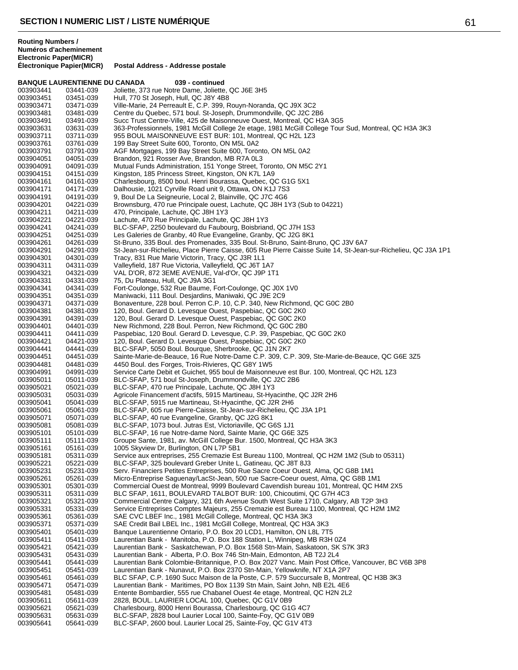**BANQUE LAURENTIENNE DU CANADA 039 - continued**

**Postal Address - Addresse postale** 

**Routing Numbers / Numéros d'acheminement Electronic Paper(MICR)**

003903441 03441-039 Joliette, 373 rue Notre Dame, Joliette, QC J6E 3H5 003903451 03451-039 Hull, 770 St Joseph, Hull, QC J8Y 4B8 Ville-Marie, 24 Perreault E, C.P. 399, Rouyn-Noranda, QC J9X 3C2 003903481 03481-039 Centre du Quebec, 571 boul. St-Joseph, Drummondville, QC J2C 2B6 Succ Trust Centre-Ville, 425 de Maisonneuve Ouest, Montreal, QC H3A 3G5 003903631 03631-039 363-Professionnels, 1981 McGill College 2e etage, 1981 McGill College Tour Sud, Montreal, QC H3A 3K3<br>003903711 03711-039 955 BOUL MAISONNEUVE EST BUR: 101, Montreal, QC H2L 1Z3 003903711 03711-039 955 BOUL MAISONNEUVE EST BUR: 101, Montreal, QC H2L 1Z3 199 Bay Street Suite 600, Toronto, ON M5L 0A2 003903791 03791-039 AGF Mortgages, 199 Bay Street Suite 600, Toronto, ON M5L 0A2<br>003904051 04051-039 Brandon, 921 Rosser Ave, Brandon, MB R7A 0L3 003904051 04051-039 Brandon, 921 Rosser Ave, Brandon, MB R7A 0L3 003904091 04091-039 Mutual Funds Administration, 151 Yonge Street, Toronto, ON M5C 2Y1<br>003904151 04151-039 Kingston, 185 Princess Street, Kingston, ON K7L 1A9 003904151 04151-039 Kingston, 185 Princess Street, Kingston, ON K7L 1A9 003904161 04161-039 Charlesbourg, 8500 boul. Henri Bourassa, Quebec, QC G1G 5X1 003904171 04171-039 Dalhousie, 1021 Cyrville Road unit 9, Ottawa, ON K1J 7S3 003904191 04191-039 9, Boul De La Seigneurie, Local 2, Blainville, QC J7C 4G6<br>003904201 04221-039 Brownsburg, 470 rue Principale ouest, Lachute, QC J8H 1 003904201 04221-039 Brownsburg, 470 rue Principale ouest, Lachute, QC J8H 1Y3 (Sub to 04221)<br>003904211 04211-039 470, Principale, Lachute, QC J8H 1Y3 003904211 04211-039 470, Principale, Lachute, QC J8H 1Y3 003904221 04221-039 Lachute, 470 Rue Principale, Lachute, QC J8H 1Y3<br>003904241 04241-039 BLC-SFAP, 2250 boulevard du Faubourg, Boisbrian 003904241 04241-039 BLC-SFAP, 2250 boulevard du Faubourg, Boisbriand, QC J7H 1S3<br>003904251 04251-039 Les Galeries de Granby, 40 Rue Evangeline, Granby, QC J2G 8K1 Les Galeries de Granby, 40 Rue Evangeline, Granby, QC J2G 8K1 003904261 04261-039 St-Bruno, 335 Boul. des Promenades, 335 Boul. St-Bruno, Saint-Bruno, QC J3V 6A7<br>003904291 04291-039 St-Jean-sur-Richelieu, Place Pierre Caisse, 605 Rue Pierre Caisse Suite 14, St-Jean St-Jean-sur-Richelieu, Place Pierre Caisse, 605 Rue Pierre Caisse Suite 14, St-Jean-sur-Richelieu, QC J3A 1P1 003904301 04301-039 Tracy, 831 Rue Marie Victorin, Tracy, QC J3R 1L1 003904311 04311-039 Valleyfield, 187 Rue Victoria, Valleyfield, QC J6T 1A7 VAL D'OR, 872 3EME AVENUE, Val-d'Or, QC J9P 1T1 003904331 04331-039 75, Du Plateau, Hull, QC J9A 3G1 003904341 04341-039 Fort-Coulonge, 532 Rue Baume, Fort-Coulonge, QC J0X 1V0 003904351 04351-039 Maniwacki, 111 Boul. Desjardins, Maniwaki, QC J9E 2C9 003904371 04371-039 Bonaventure, 228 boul. Perron C.P. 10, C.P. 340, New Richmond, QC G0C 2B0<br>003904381 04381-039 120. Boul. Gerard D. Levesque Ouest. Paspebiac. QC G0C 2K0 120, Boul. Gerard D. Levesque Ouest, Paspebiac, QC G0C 2K0 003904391 04391-039 120, Boul. Gerard D. Levesque Ouest, Paspebiac, QC G0C 2K0<br>003904401 04401-039 New Richmond, 228 Boul. Perron, New Richmond, QC G0C 2B0 003904401 04401-039 New Richmond, 228 Boul. Perron, New Richmond, QC G0C 2B0<br>003904411 04411-039 Paspebiac, 120 Boul. Gerard D. Levesque, C.P. 39, Paspebiac, 0 003904411 04411-039 Paspebiac, 120 Boul. Gerard D. Levesque, C.P. 39, Paspebiac, QC G0C 2K0 003904421 04421-039 120, Boul. Gerard D. Levesque Ouest, Paspebiac, QC G0C 2K0<br>003904441 04441-039 BLC-SEAP, 5050 Boul. Bourque, Sherbrooke, QC J1N 2K7 003904441 04441-039 BLC-SFAP, 5050 Boul. Bourque, Sherbrooke, QC J1N 2K7 003904451 04451-039 Sainte-Marie-de-Beauce, 16 Rue Notre-Dame C.P. 309, C.P. 309, Ste-Marie-de-Beauce, QC G6E 3Z5<br>003904481 04481-039 4450 Boul. des Forges, Trois-Rivieres, QC G8Y 1W5 003904481 04481-039 4450 Boul. des Forges, Trois-Rivieres, QC G8Y 1W5<br>003904991 04991-039 Service Carte Debit et Guichet, 955 boul de Maisonne 003904991 04991-039 Service Carte Debit et Guichet, 955 boul de Maisonneuve est Bur. 100, Montreal, QC H2L 1Z3<br>003905011 05011-039 BLC-SFAP, 571 boul St-Joseph, Drummondville, QC J2C 2B6 003905011 05011-039 BLC-SFAP, 571 boul St-Joseph, Drummondville, QC J2C 2B6 003905021 05021-039 BLC-SFAP, 470 rue Principale, Lachute, QC J8H 1Y3<br>003905031 05031-039 Agricole Financement d'actifs, 5915 Martineau, St-Hya 003905031 05031-039 Agricole Financement d'actifs, 5915 Martineau, St-Hyacinthe, QC J2R 2H6<br>003905041 05041-039 BLC-SFAP. 5915 rue Martineau. St-Hyacinthe. QC J2R 2H6 BLC-SFAP, 5915 rue Martineau, St-Hyacinthe, QC J2R 2H6 003905061 05061-039 BLC-SFAP, 605 rue Pierre-Caisse, St-Jean-sur-Richelieu, QC J3A 1P1<br>003905071 05071-039 BLC-SFAP, 40 rue Evangeline, Granby, QC J2G 8K1 003905071 05071-039 BLC-SFAP, 40 rue Evangeline, Granby, QC J2G 8K1 003905081 05081-039 BLC-SFAP, 1073 boul. Jutras Est, Victoriaville, QC G6S 1J1 003905101 05101-039 BLC-SFAP, 16 rue Notre-dame Nord, Sainte Marie, QC G6E 3Z5 Groupe Sante, 1981, av. McGill College Bur. 1500, Montreal, QC H3A 3K3 003905161 05161-039 1005 Skyview Dr, Burlington, ON L7P 5B1 Service aux entreprises, 255 Cremazie Est Bureau 1100, Montreal, QC H2M 1M2 (Sub to 05311) 003905221 05221-039 BLC-SFAP, 325 boulevard Greber Unite L, Gatineau, QC J8T 8J3<br>003905231 05231-039 Serv. Financiers Petites Entreprises, 500 Rue Sacre Coeur Ouest, 003905231 05231-039 Serv. Financiers Petites Entreprises, 500 Rue Sacre Coeur Ouest, Alma, QC G8B 1N1<br>003905261 05261-039 Micro-Entreprise Saguenay/LacSt-Jean, 500 rue Sacre-Coeur ouest. Alma, QC G8B 1N Micro-Entreprise Saguenay/LacSt-Jean, 500 rue Sacre-Coeur ouest, Alma, QC G8B 1M1 003905301 05301-039 Commercial Ouest de Montreal, 9999 Boulevard Cavendish bureau 101, Montreal, QC H4M 2X5<br>003905311 05311-039 BLC SFAP, 1611, BOULEVARD TALBOT BUR: 100, Chicoutimi, QC G7H 4C3 003905311 05311-039 BLC SFAP, 1611, BOULEVARD TALBOT BUR: 100, Chicoutimi, QC G7H 4C3<br>003905321 05321-039 Commercial Centre Calgary, 321 6th Avenue South West Suite 1710, Calgary, 003905321 05321-039 Commercial Centre Calgary, 321 6th Avenue South West Suite 1710, Calgary, AB T2P 3H3 003905331 05331-039 Service Entreprises Comptes Majeurs, 255 Cremazie est Bureau 1100, Montreal, QC H2M 1M2<br>003905361 05361-039 SAF CVC LBEE Inc., 1981 McGill College, Montreal, QC H3A 3K3 003905361 05361-039 SAE CVC LBEF Inc., 1981 McGill College, Montreal, QC H3A 3K3 003905371 05371-039 SAE Credit Bail LBEL Inc., 1981 McGill College, Montreal, QC H3A 3K3 003905401 05401-039 Banque Laurentienne Ontario, P.O. Box 20 LCD1, Hamilton, ON L8L 7T5<br>003905411 05411-039 Laurentian Bank - Manitoba, P.O. Box 188 Station L, Winnipeg, MB R3H 003905411 05411-039 Laurentian Bank - Manitoba, P.O. Box 188 Station L, Winnipeg, MB R3H 0Z4 003905421 05421-039 Laurentian Bank - Saskatchewan, P.O. Box 1568 Stn-Main, Saskatoon, SK S7K 3R3<br>003905431 05431-039 Laurentian Bank - Alberta, P.O. Box 746 Stn-Main, Edmonton, AB T2J 2L4 003905431 05431-039 Laurentian Bank - Alberta, P.O. Box 746 Stn-Main, Edmonton, AB T2J 2L4 003905441 05441-039 Laurentian Bank Colombie-Britannique, P.O. Box 2027 Vanc. Main Post Office, Vancouver, BC V6B 3P8<br>003905451 05451-039 Laurentian Bank - Nunavut. P.O. Box 2370 Stn-Main. Yellowknife. NT X1A 2P7 Laurentian Bank - Nunavut, P.O. Box 2370 Stn-Main, Yellowknife, NT X1A 2P7 003905461 05461-039 BLC SFAP, C.P. 1690 Succ Maison de la Poste, C.P. 579 Succursale B, Montreal, QC H3B 3K3<br>003905471 05471-039 Laurentian Bank - Maritimes, PO Box 1139 Stn Main, Saint John, NB E2L 4E6 Laurentian Bank - Maritimes, PO Box 1139 Stn Main, Saint John, NB E2L 4E6 003905481 05481-039 Entente Bombardier, 555 rue Chabanel Ouest 4e etage, Montreal, QC H2N 2L2<br>003905611 05611-039 2828, BOUL. LAURIER LOCAL 100, Quebec, QC G1V 0B9 003905611 05611-039 2828, BOUL. LAURIER LOCAL 100, Quebec, QC G1V 0B9 Charlesbourg, 8000 Henri Bourassa, Charlesbourg, QC G1G 4C7

003905631 05631-039 BLC-SFAP, 2828 boul Laurier Local 100, Sainte-Foy, QC G1V 0B9<br>003905641 05641-039 BLC-SFAP, 2600 boul. Laurier Local 25, Sainte-Foy, QC G1V 4T3

BLC-SFAP, 2600 boul. Laurier Local 25, Sainte-Foy, QC G1V 4T3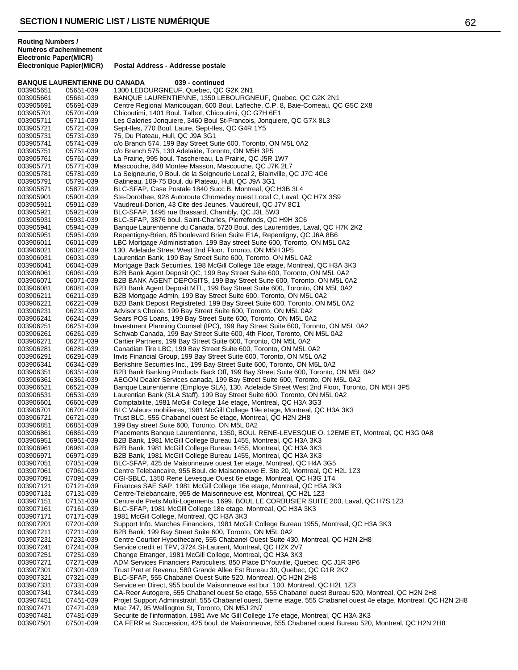**BANQUE LAURENTIENNE DU CANADA 039 - continued** 003905651 05651-039 1300 LEBOURGNEUF, Quebec, QC G2K 2N1 003905661 05661-039 BANQUE LAURENTIENNE, 1350 LEBOURGNEUF, Quebec, QC G2K 2N1 Centre Regional Manicougan, 600 Boul. Lafleche, C.P. 8, Baie-Comeau, QC G5C 2X8 003905701 05701-039 Chicoutimi, 1401 Boul. Talbot, Chicoutimi, QC G7H 6E1 003905711 05711-039 Les Galeries Jonquiere, 3460 Boul St-Francois, Jonquiere, QC G7X 8L3<br>003905721 05721-039 Sept-Iles. 770 Boul. Laure. Sept-Iles. QC G4R 1Y5 003905721 05721-039 Sept-Iles, 770 Boul. Laure, Sept-Iles, QC G4R 1Y5<br>003905731 05731-039 75, Du Plateau, Hull, QC J9A 3G1 003905731 05731-039 75, Du Plateau, Hull, QC J9A 3G1 c/o Branch 574, 199 Bay Street Suite 600, Toronto, ON M5L 0A2 003905751 05751-039 c/o Branch 575, 130 Adelaide, Toronto, ON M5H 3P5 003905761 05761-039 La Prairie, 995 boul. Taschereau, La Prairie, QC J5R 1W7 003905771 05771-039 Mascouche, 848 Montee Masson, Mascouche, QC J7K 2L7<br>003905781 05781-039 La Seigneurie, 9 Boul. de la Seigneurie Local 2, Blainville, C 003905781 05781-039 La Seigneurie, 9 Boul. de la Seigneurie Local 2, Blainville, QC J7C 4G6 003905791 05791-039 Gatineau, 109-75 Boul. du Plateau, Hull, QC J9A 3G1 003905871 05871-039 BLC-SFAP, Case Postale 1840 Succ B, Montreal, QC H3B 3L4 003905901 05901-039 Ste-Dorothee, 928 Autoroute Chomedey ouest Local C, Laval, QC H7X 3S9<br>003905911 05911-039 Vaudreuil-Dorion, 43 Cite des Jeunes, Vaudreuil, QC J7V 8C1 003905911 05911-039 Vaudreuil-Dorion, 43 Cite des Jeunes, Vaudreuil, QC J7V 8C1<br>003905921 05921-039 BLC-SFAP, 1495 rue Brassard, Chambly, QC J3L 5W3 003905921 05921-039 BLC-SFAP, 1495 rue Brassard, Chambly, QC J3L 5W3 003905931 05931-039 BLC-SFAP, 3876 boul. Saint-Charles, Pierrefonds, QC H9H 3C6 003905941 05941-039 Banque Laurentienne du Canada, 5720 Boul. des Laurentides, Laval, QC H7K 2K2<br>003905951 05951-039 Repentigny-Brien. 85 boulevard Brien Suite E1A. Repentigny. QC J6A 8B6 003905951 05951-039 Repentigny-Brien, 85 boulevard Brien Suite E1A, Repentigny, QC J6A 8B6<br>003906011 06011-039 LBC Mortgage Administration, 199 Bay street Suite 600, Toronto, ON M5L ( 003906011 06011-039 LBC Mortgage Administration, 199 Bay street Suite 600, Toronto, ON M5L 0A2<br>003906021 06021-039 130, Adelaide Street West 2nd Floor, Toronto, ON M5H 3P5 003906021 06021-039 130, Adelaide Street West 2nd Floor, Toronto, ON M5H 3P5 003906031 06031-039 Laurentian Bank, 199 Bay Street Suite 600, Toronto, ON M5L 0A2 003906041 06041-039 Mortgage Back Securities, 198 McGill College 18e etage, Montreal, QC H3A 3K3 B2B Bank Agent Deposit QC, 199 Bay Street Suite 600, Toronto, ON M5L 0A2 003906071 06071-039 B2B BANK AGENT DEPOSITS, 199 Bay Street Suite 600, Toronto, ON M5L 0A2 003906081 06081-039 B2B Bank Agent Deposit MTL, 199 Bay Street Suite 600, Toronto, ON M5L 0A2<br>003906211 06211-039 B2B Mortgage Admin, 199 Bay Street Suite 600, Toronto, ON M5L 0A2 003906211 06211-039 B2B Mortgage Admin, 199 Bay Street Suite 600, Toronto, ON M5L 0A2 003906221 06221-039 B2B Bank Deposit Registreted, 199 Bay Street Suite 600, Toronto, ON M5L 0A2 Advisor's Choice, 199 Bay Street Suite 600, Toronto, ON M5L 0A2 003906241 06241-039 Sears POS Loans, 199 Bay Street Suite 600, Toronto, ON M5L 0A2 003906251 06251-039 Investment Planning Counsel (IPC), 199 Bay Street Suite 600, Toronto, ON M5L 0A2<br>003906261 06261-039 Schwab Canada, 199 Bay Street Suite 600, 4th Floor, Toronto, ON M5L 0A2 003906261 06261-039 Schwab Canada, 199 Bay Street Suite 600, 4th Floor, Toronto, ON M5L 0A2 003906271 06271-039 Cartier Partners, 199 Bay Street Suite 600, Toronto, ON M5L 0A2 003906281 06281-039 Canadian Tire LBC, 199 Bay Street Suite 600, Toronto, ON M5L 0A2 003906291 06291-039 Invis Financial Group, 199 Bay Street Suite 600, Toronto, ON M5L 0A2 003906341 06341-039 Berkshire Securities Inc., 199 Bay Street Suite 600, Toronto, ON M5L 0A2<br>003906351 06351-039 B2B Bank Banking Products Back Off, 199 Bay Street Suite 600, Toronto, 003906351 06351-039 B2B Bank Banking Products Back Off, 199 Bay Street Suite 600, Toronto, ON M5L 0A2<br>003906361 06361-039 AEGON Dealer Services canada, 199 Bay Street Suite 600, Toronto, ON M5L 0A2 003906361 06361-039 AEGON Dealer Services canada, 199 Bay Street Suite 600, Toronto, ON M5L 0A2 003906521 06521-039 Banque Laurentienne (Employe SLA), 130, Adelaide Street West 2nd Floor, Toronto, ON M5H 3P5<br>003906531 06531-039 Laurentian Bank (SLA Staff), 199 Bay Street Suite 600, Toronto, ON M5L 0A2 003906531 06531-039 Laurentian Bank (SLA Staff), 199 Bay Street Suite 600, Toronto, ON M5L 0A2<br>003906601 06601-039 Comptabilite. 1981 McGill College 14e etage. Montreal. QC H3A 3G3 003906601 06601-039 Comptabilite, 1981 McGill College 14e etage, Montreal, QC H3A 3G3 003906701 06701-039 BLC Valeurs mobilieres, 1981 McGill College 19e etage, Montreal, QC H3A 3K3<br>003906721 06721-039 Trust BLC, 555 Chabanel ouest 5e etage, Montreal, QC H2N 2H8 003906721 06721-039 Trust BLC, 555 Chabanel ouest 5e etage, Montreal, QC H2N 2H8 003906851 06851-039 199 Bay street Suite 600, Toronto, ON M5L 0A2 003906861 06861-039 Placements Banque Laurentienne, 1350, BOUL RENE-LEVESQUE O. 12EME ET, Montreal, QC H3G 0A8<br>003906951 06951-039 B2B Bank. 1981 McGill College Bureau 1455. Montreal. QC H3A 3K3 003906951 06951-039 B2B Bank, 1981 McGill College Bureau 1455, Montreal, QC H3A 3K3 003906961 06961-039 B2B Bank, 1981 McGill College Bureau 1455, Montreal, QC H3A 3K3 B2B Bank, 1981 McGill College Bureau 1455, Montreal, QC H3A 3K3 003907051 07051-039 BLC-SFAP, 425 de Maisonneuve ouest 1er etage, Montreal, QC H4A 3G5<br>003907061 07061-039 Centre Telebancaire, 955 Boul. de Maisonneuve E. Ste 20, Montreal, QC H 003907061 07061-039 Centre Telebancaire, 955 Boul. de Maisonneuve E. Ste 20, Montreal, QC H2L 1Z3<br>003907091 07091-039 CGI-SBLC. 1350 Rene Levesque Ouest 6e etage. Montreal. QC H3G 1T4 CGI-SBLC, 1350 Rene Levesque Ouest 6e etage, Montreal, QC H3G 1T4 003907121 07121-039 Finances SAE SAP, 1981 McGill College 16e etage, Montreal, QC H3A 3K3 003907131 07131-039 Centre-Telebancaire, 955 de Maisonneuve est, Montreal, QC H2L 1Z3 003907151 07151-039 Centre de Prets Multi-Logements, 1699, BOUL LE CORBUSIER SUITE 200, Laval, QC H7S 1Z3<br>003907161 07161-039 BLC-SFAP, 1981 McGill College 18e etage. Montreal, QC H3A 3K3 003907161 07161-039 BLC-SFAP, 1981 McGill College 18e etage, Montreal, QC H3A 3K3 003907171 07171-039 1981 McGill College, Montreal, QC H3A 3K3 003907201 07201-039 Support Info. Marches Financiers, 1981 McGill College Bureau 1955, Montreal, QC H3A 3K3<br>003907211 07211-039 B2B Bank, 199 Bay Street Suite 600, Toronto, ON M5L 0A2 003907211 07211-039 B2B Bank, 199 Bay Street Suite 600, Toronto, ON M5L 0A2<br>003907231 07231-039 Centre Courtier Hypothecaire, 555 Chabanel Ouest Suite 43 003907231 07231-039 Centre Courtier Hypothecaire, 555 Chabanel Ouest Suite 430, Montreal, QC H2N 2H8<br>003907241 07241-039 Service credit et TPV, 3724 St-Laurent, Montreal, QC H2X 2V7 003907241 07241-039 Service credit et TPV, 3724 St-Laurent, Montreal, QC H2X 2V7 003907251 07251-039 Change Etranger, 1981 McGill College, Montreal, QC H3A 3K3<br>003907271 07271-039 ADM Services Financiers Particuliers, 850 Place D'Youville, Qu 003907271 07271-039 ADM Services Financiers Particuliers, 850 Place D'Youville, Quebec, QC J1R 3P6<br>003907301 07301-039 Trust Pret et Revenu. 580 Grande Allee Est Bureau 30. Quebec. QC G1R 2K2 Trust Pret et Revenu, 580 Grande Allee Est Bureau 30, Quebec, QC G1R 2K2 003907321 07321-039 BLC-SFAP, 555 Chabanel Ouest Suite 520, Montreal, QC H2N 2H8<br>003907331 07331-039 Service en Direct, 955 boul de Maisonneuve est bur. 100, Montreal, 07331-039 Service en Direct, 955 boul de Maisonneuve est bur. 100, Montreal, QC H2L 1Z3<br>07341-039 CA-Reer Autogere, 555 Chabanel ouest 5e etage, 555 Chabanel ouest Bureau 5 003907341 07341-039 CA-Reer Autogere, 555 Chabanel ouest 5e etage, 555 Chabanel ouest Bureau 520, Montreal, QC H2N 2H8<br>003907451 07451-039 Projet Support Administratif, 555 Chabanel ouest, 5ieme etage, 555 Chabanel ouest 4 003907451 07451-039 Projet Support Administratif, 555 Chabanel ouest, 5ieme etage, 555 Chabanel ouest 4e etage, Montreal, QC H2N 2H8<br>003907471 07471-039 Mac 747. 95 Wellington St. Toronto. ON M5J 2N7 Mac 747, 95 Wellington St, Toronto, ON M5J 2N7 003907481 07481-039 Securite de l'information, 1981 Ave Mc Gill College 17e etage, Montreal, QC H3A 3K3<br>003907501 07501-039 CA FERR et Succession, 425 boul. de Maisonneuve, 555 Chabanel ouest Bureau 520 CA FERR et Succession, 425 boul. de Maisonneuve, 555 Chabanel ouest Bureau 520, Montreal, QC H2N 2H8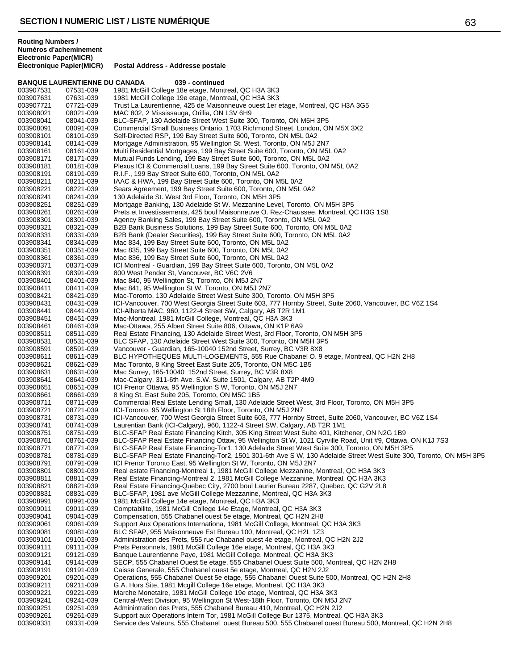**BANQUE LAURENTIENNE DU CANADA 039 - continued**

**Postal Address - Addresse postale** 

**Routing Numbers / Numéros d'acheminement Electronic Paper(MICR)**

003907531 07531-039 1981 McGill College 18e etage, Montreal, QC H3A 3K3 003907631 07631-039 1981 McGill College 19e etage, Montreal, QC H3A 3K3 Trust La Laurentienne, 425 de Maisonneuve ouest 1er etage, Montreal, QC H3A 3G5 003908021 08021-039 MAC 802, 2 Mississauga, Orillia, ON L3V 6H9 003908041 08041-039 BLC-SFAP, 130 Adelaide Street West Suite 300, Toronto, ON M5H 3P5<br>003908091 08091-039 Commercial Small Business Ontario, 1703 Richmond Street, London, Ol 003908091 08091-039 Commercial Small Business Ontario, 1703 Richmond Street, London, ON M5X 3X2<br>003908101 08101-039 Self-Directed RSP, 199 Bay Street Suite 600, Toronto, ON M5L 0A2 003908101 08101-039 Self-Directed RSP, 199 Bay Street Suite 600, Toronto, ON M5L 0A2 Mortgage Administration, 95 Wellington St. West, Toronto, ON M5J 2N7 003908161 08161-039 Multi Residential Mortgages, 199 Bay Street Suite 600, Toronto, ON M5L 0A2<br>003908171 08171-039 Mutual Funds Lending, 199 Bay Street Suite 600, Toronto, ON M5L 0A2 003908171 08171-039 Mutual Funds Lending, 199 Bay Street Suite 600, Toronto, ON M5L 0A2<br>003908181 08181-039 Plexus ICI & Commercial Loans, 199 Bay Street Suite 600, Toronto, ON 003908181 08181-039 Plexus ICI & Commercial Loans, 199 Bay Street Suite 600, Toronto, ON M5L 0A2<br>003908191 08191-039 R.I.F., 199 Bay Street Suite 600, Toronto, ON M5L 0A2 003908191 08191-039 R.I.F., 199 Bay Street Suite 600, Toronto, ON M5L 0A2 003908211 08211-039 IAAC & HWA, 199 Bay Street Suite 600, Toronto, ON M5L 0A2 003908221 08221-039 Sears Agreement, 199 Bay Street Suite 600, Toronto, ON M5L 0A2<br>003908241 08241-039 130 Adelaide St. West 3rd Floor, Toronto, ON M5H 3P5 003908241 08241-039 130 Adelaide St. West 3rd Floor, Toronto, ON M5H 3P5<br>003908251 08251-039 Mortgage Banking, 130 Adelaide St W. Mezzanine Leve 003908251 08251-039 Mortgage Banking, 130 Adelaide St W. Mezzanine Level, Toronto, ON M5H 3P5<br>003908261 08261-039 Prets et Investissements, 425 boul Maisonneuve O. Rez-Chaussee, Montreal, Q 003908261 08261-039 Prets et Investissements, 425 boul Maisonneuve O. Rez-Chaussee, Montreal, QC H3G 1S8<br>003908301 08301-039 Agency Banking Sales, 199 Bay Street Suite 600, Toronto, ON M5L 0A2 003908301 08301-039 Agency Banking Sales, 199 Bay Street Suite 600, Toronto, ON M5L 0A2<br>003908321 08321-039 B2B Bank Business Solutions, 199 Bay Street Suite 600, Toronto, ON M 003908321 08321-039 B2B Bank Business Solutions, 199 Bay Street Suite 600, Toronto, ON M5L 0A2<br>003908331 08331-039 B2B Bank (Dealer Securities). 199 Bay Street Suite 600. Toronto. ON M5L 0A2 003908331 08331-039 B2B Bank (Dealer Securities), 199 Bay Street Suite 600, Toronto, ON M5L 0A2<br>003908341 08341-039 Mac 834, 199 Bay Street Suite 600, Toronto, ON M5L 0A2 003908341 08341-039 Mac 834, 199 Bay Street Suite 600, Toronto, ON M5L 0A2 003908351 08351-039 Mac 835, 199 Bay Street Suite 600, Toronto, ON M5L 0A2 003908361 08361-039 Mac 836, 199 Bay Street Suite 600, Toronto, ON M5L 0A2 003908371 08371-039 ICI Montreal - Guardian, 199 Bay Street Suite 600, Toronto, ON M5L 0A2 800 West Pender St, Vancouver, BC V6C 2V6 003908401 08401-039 Mac 840, 95 Wellington St, Toronto, ON M5J 2N7 003908411 08411-039 Mac 841, 95 Wellington St W, Toronto, ON M5J 2N7 003908421 08421-039 Mac-Toronto, 130 Adelaide Street West Suite 300, Toronto, ON M5H 3P5<br>003908431 08431-039 ICI-Vancouver, 700 West Georgia Street Suite 603, 777 Hornby Street, Su 003908431 08431-039 ICI-Vancouver, 700 West Georgia Street Suite 603, 777 Hornby Street, Suite 2060, Vancouver, BC V6Z 1S4<br>003908441 08441-039 ICI-Alberta MAC. 960. 1122-4 Street SW. Calgary. AB T2R 1M1 ICI-Alberta MAC, 960, 1122-4 Street SW, Calgary, AB T2R 1M1 003908451 08451-039 Mac-Montreal, 1981 McGill College, Montreal, QC H3A 3K3 003908461 08461-039 Mac-Ottawa, 255 Albert Street Suite 806, Ottawa, ON K1P 6A9 003908511 08511-039 Real Estate Financing, 130 Adelaide Street West, 3rd Floor, Toronto, ON M5H 3P5<br>003908531 08531-039 BLC SFAP, 130 Adelaide Street West Suite 300, Toronto, ON M5H 3P5 003908531 08531-039 BLC SFAP, 130 Adelaide Street West Suite 300, Toronto, ON M5H 3P5 003908591 08591-039 Vancouver - Guardian, 165-10040 152nd Street, Surrey, BC V3R 8X8 003908611 08611-039 BLC HYPOTHEQUES MULTI-LOGEMENTS, 555 Rue Chabanel O. 9 etage, Montreal, QC H2N 2H8<br>003908621 08621-039 Mac Toronto, 8 King Street East Suite 205, Toronto, ON M5C 1B5 003908621 08621-039 Mac Toronto, 8 King Street East Suite 205, Toronto, ON M5C 1B5<br>003908631 08631-039 Mac Surrey, 165-10040 152nd Street, Surrey, BC V3R 8X8 003908631 08631-039 Mac Surrey, 165-10040 152nd Street, Surrey, BC V3R 8X8<br>003908641 08641-039 Mac-Calgary, 311-6th Ave. S.W. Suite 1501, Calgary, AB T2 003908641 08641-039 Mac-Calgary, 311-6th Ave. S.W. Suite 1501, Calgary, AB T2P 4M9<br>003908651 08651-039 ICI Prenor Ottawa, 95 Wellington S W, Toronto, ON M5J 2N7 003908651 08651-039 ICI Prenor Ottawa, 95 Wellington S W, Toronto, ON M5J 2N7<br>003908661 08661-039 B King St. East Suite 205, Toronto, ON M5C 1B5 003908661 08661-039 8 King St. East Suite 205, Toronto, ON M5C 1B5 003908711 08711-039 Commercial Real Estate Lending Small, 130 Adelaide Street West, 3rd Floor, Toronto, ON M5H 3P5<br>003908721 08721-039 ICI-Toronto, 95 Wellington St 18th Floor, Toronto, ON M5J 2N7 003908721 08721-039 ICI-Toronto, 95 Wellington St 18th Floor, Toronto, ON M5J 2N7 003908731 08731-039 ICI-Vancouver, 700 West Georgia Street Suite 603, 777 Hornby Street, Suite 2060, Vancouver, BC V6Z 1S4<br>003908741 08741-039 Laurentian Bank (ICI-Calgary), 960, 1122-4 Street SW, Calgary, AB T2R 1M1 003908741 08741-039 Laurentian Bank (ICI-Calgary), 960, 1122-4 Street SW, Calgary, AB T2R 1M1 003908751 08751-039 BLC-SFAP Real Estate Financing Kitch, 305 King Street West Suite 401, Kitchener, ON N2G 1B9<br>003908761 08761-039 BLC-SFAP Real Estate Financing Ottaw. 95 Wellington St W. 1021 Cyrville Road. Unit #9. Ott 003908761 08761-039 BLC-SFAP Real Estate Financing Ottaw, 95 Wellington St W, 1021 Cyrville Road, Unit #9, Ottawa, ON K1J 7S3<br>003908771 08771-039 BLC-SFAP Real Estate Financing-Tor1, 130 Adelaide Street West Suite 300, Tor 003908771 08771-039 BLC-SFAP Real Estate Financing-Tor1, 130 Adelaide Street West Suite 300, Toronto, ON M5H 3P5<br>003908781 08781-039 BLC-SFAP Real Estate Financing-Tor2, 1501 301-6th Ave SW, 130 Adelaide Street West Suite 003908781 08781-039 BLC-SFAP Real Estate Financing-Tor2, 1501 301-6th Ave S W, 130 Adelaide Street West Suite 300, Toronto, ON M5H 3P5<br>003908791 08791-039 ICI Prenor Toronto East. 95 Wellington St W. Toronto. ON M5J 2N7 003908791 08791-039 ICI Prenor Toronto East, 95 Wellington St W, Toronto, ON M5J 2N7<br>003908801 08801-039 Real estate Financing-Montreal 1, 1981 McGill College Mezzanine, I 003908801 08801-039 Real estate Financing-Montreal 1, 1981 McGill College Mezzanine, Montreal, QC H3A 3K3<br>003908811 08811-039 Real Estate Financing-Montreal 2. 1981 McGill College Mezzanine. Montreal. QC H3A 3K3 Real Estate Financing-Montreal 2, 1981 McGill College Mezzanine, Montreal, QC H3A 3K3 003908821 08821-039 Real Estate Financing-Quebec City, 2700 boul Laurier Bureau 2287, Quebec, QC G2V 2L8<br>003908831 08831-039 BLC-SFAP, 1981 ave McGill College Mezzanine, Montreal, QC H3A 3K3 003908831 08831-039 BLC-SFAP, 1981 ave McGill College Mezzanine, Montreal, QC H3A 3K3<br>003908991 08991-039 1981 McGill College 14e etage, Montreal, QC H3A 3K3 003908991 08991-039 1981 McGill College 14e etage, Montreal, QC H3A 3K3 003909011 09011-039 Comptabilite, 1981 McGill College 14e Etage, Montreal, QC H3A 3K3 003909041 09041-039 Compensation, 555 Chabanel ouest 5e etage, Montreal, QC H2N 2H8<br>003909061 09061-039 Support Aux Operations Internationa, 1981 McGill College, Montreal, Q 003909061 09061-039 Support Aux Operations Internationa, 1981 McGill College, Montreal, QC H3A 3K3<br>003909081 09081-039 BLC SFAP, 955 Maisonneuve Est Bureau 100, Montreal, QC H2L 1Z3 003909081 09081-039 BLC SFAP, 955 Maisonneuve Est Bureau 100, Montreal, QC H2L 1Z3<br>003909101 09101-039 Administration des Prets, 555 rue Chabanel ouest 4e etage, Montreal, 003909101 09101-039 Administration des Prets, 555 rue Chabanel ouest 4e etage, Montreal, QC H2N 2J2<br>003909111 09111-039 Prets Personnels, 1981 McGill College 16e etage, Montreal, QC H3A 3K3 003909111 09111-039 Prets Personnels, 1981 McGill College 16e etage, Montreal, QC H3A 3K3<br>003909121 09121-039 Banque Laurentienne Paye, 1981 McGill College, Montreal, QC H3A 3K3 003909121 09121-039 Banque Laurentienne Paye, 1981 McGill College, Montreal, QC H3A 3K3<br>003909141 09141-039 SECP, 555 Chabanel Ouest 5e etage, 555 Chabanel Ouest Suite 500, Mc 003909141 09141-039 SECP, 555 Chabanel Ouest 5e etage, 555 Chabanel Ouest Suite 500, Montreal, QC H2N 2H8<br>003909191 09191-039 Caisse Generale, 555 Chabanel ouest 5e etage, Montreal, QC H2N 2J2 003909191 09191-039 Caisse Generale, 555 Chabanel ouest 5e etage, Montreal, QC H2N 2J2<br>003909201 09201-039 Operations, 555 Chabanel Ouest 5e etage, 555 Chabanel Ouest Suite 5 003909201 09201-039 Operations, 555 Chabanel Ouest 5e etage, 555 Chabanel Ouest Suite 500, Montreal, QC H2N 2H8<br>003909211 09211-039 G.A. Hors Site, 1981 Mcgill College 16e etage, Montreal, QC H3A 3K3 003909211 09211-039 G.A. Hors Site, 1981 Mcgill College 16e etage, Montreal, QC H3A 3K3 003909221 09221-039 Marche Monetaire, 1981 McGill College 19e etage, Montreal, QC H3A 3K3 003909241 09241-039 Central-West Division, 95 Wellington St West-18th Floor, Toronto, ON M5J 2N7<br>003909251 09251-039 Adminintration des Prets. 555 Chabanel Bureau 410. Montreal. QC H2N 2J2 Adminintration des Prets, 555 Chabanel Bureau 410, Montreal, QC H2N 2J2 003909261 09261-039 Support aux Operations Intern Tor, 1981 McGill College Bur 1375, Montreal, QC H3A 3K3<br>003909331 09331-039 Service des Valeurs, 555 Chabanel ouest Bureau 500, 555 Chabanel ouest Bureau 500, N Service des Valeurs, 555 Chabanel ouest Bureau 500, 555 Chabanel ouest Bureau 500, Montreal, QC H2N 2H8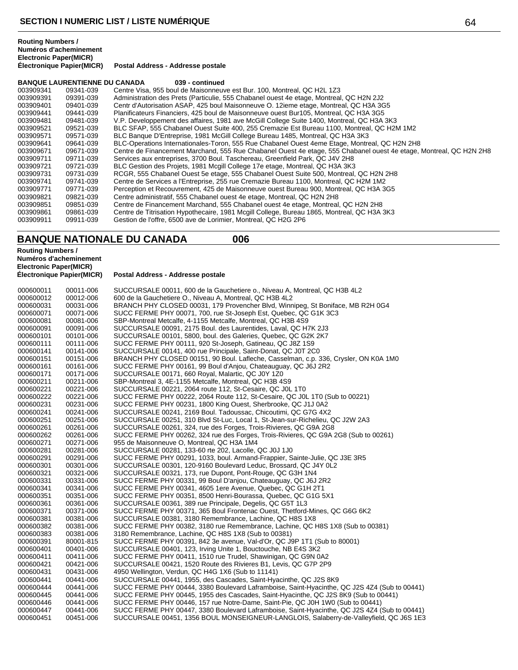**BANQUE LAURENTIENNE DU CANADA 039 - continued**

| 003909341 | 09341-039 | Centre Visa, 955 boul de Maisonneuve est Bur. 100, Montreal, QC H2L 1Z3                                            |
|-----------|-----------|--------------------------------------------------------------------------------------------------------------------|
| 003909391 | 09391-039 | Administration des Prets (Particulie, 555 Chabanel ouest 4e etage, Montreal, QC H2N 2J2                            |
| 003909401 | 09401-039 | Centr d'Autorisation ASAP, 425 boul Maisonneuve O. 12ieme etage, Montreal, QC H3A 3G5                              |
| 003909441 | 09441-039 | Planificateurs Financiers, 425 boul de Maisonneuve ouest Bur105, Montreal, QC H3A 3G5                              |
| 003909481 | 09481-039 | V.P. Developpement des affaires, 1981 ave McGill College Suite 1400, Montreal, QC H3A 3K3                          |
| 003909521 | 09521-039 | BLC SFAP, 555 Chabanel Ouest Suite 400, 255 Cremazie Est Bureau 1100, Montreal, QC H2M 1M2                         |
| 003909571 | 09571-039 | BLC Banque D'Entreprise, 1981 McGill College Bureau 1485, Montreal, QC H3A 3K3                                     |
| 003909641 | 09641-039 | BLC-Operations Internationales-Toron, 555 Rue Chabanel Ouest 4eme Etage, Montreal, QC H2N 2H8                      |
| 003909671 | 09671-039 | Centre de Financement Marchand, 555 Rue Chabanel Ouest 4e etage, 555 Chabanel ouest 4e etage, Montreal, QC H2N 2H8 |
| 003909711 | 09711-039 | Services aux entreprises, 3700 Boul. Taschereau, Greenfield Park, QC J4V 2H8                                       |
| 003909721 | 09721-039 | BLC Gestion des Projets, 1981 Mcgill College 17e etage, Montreal, QC H3A 3K3                                       |
| 003909731 | 09731-039 | RCGR, 555 Chabanel Ouest 5e etage, 555 Chabanel Ouest Suite 500, Montreal, QC H2N 2H8                              |
| 003909741 | 09741-039 | Centre de Services a l'Entreprise, 255 rue Cremazie Bureau 1100, Montreal, QC H2M 1M2                              |
| 003909771 | 09771-039 | Perception et Recouvrement, 425 de Maisonneuve ouest Bureau 900, Montreal, QC H3A 3G5                              |
| 003909821 | 09821-039 | Centre administratif, 555 Chabanel ouest 4e etage, Montreal, QC H2N 2H8                                            |
| 003909851 | 09851-039 | Centre de Financement Marchand, 555 Chabanel ouest 4e etage, Montreal, QC H2N 2H8                                  |
| 003909861 | 09861-039 | Centre de Titrisation Hypothecaire, 1981 Mcgill College, Bureau 1865, Montreal, QC H3A 3K3                         |
| 003909911 | 09911-039 | Gestion de l'offre, 6500 ave de Lorimier, Montreal, QC H2G 2P6                                                     |

## **BANQUE NATIONALE DU CANADA 006**

**Routing Numbers / Numéros d'acheminement Electronic Paper(MICR) Postal Address - Addresse postale** 000600011 00011-006 SUCCURSALE 00011, 600 de la Gauchetiere o., Niveau A, Montreal, QC H3B 4L2<br>000600012 00012-006 600 de la Gauchetiere O., Niveau A, Montreal, QC H3B 4L2 000600012 00012-006 600 de la Gauchetiere O., Niveau A, Montreal, QC H3B 4L2 000600031 00031-006 BRANCH PHY CLOSED 00031, 179 Provencher Blvd, Winnipeg, St Boniface, MB R2H 0G4<br>000600071 00071-006 SUCC FERME PHY 00071, 700, rue St-Joseph Est, Quebec, QC G1K 3C3 000600071 00071-006 SUCC FERME PHY 00071, 700, rue St-Joseph Est, Quebec, QC G1K 3C3 000600081 00081-006 SBP-Montreal Metcalfe, 4-1155 Metcalfe, Montreal, QC H3B 4S9 000600091 00091-006 SUCCURSALE 00091, 2175 Boul. des Laurentides, Laval, QC H7K 2J3<br>000600101 00101-006 SUCCURSALE 00101, 5800, boul. des Galeries, Quebec, QC G2K 2K7 000600101 00101-006 SUCCURSALE 00101, 5800, boul. des Galeries, Quebec, QC G2K 2K7<br>000600111 00111-006 SUCC FERME PHY 00111, 920 St-Joseph, Gatineau, QC J8Z 1S9 000600111 00111-006 SUCC FERME PHY 00111, 920 St-Joseph, Gatineau, QC J8Z 1S9 000600141 00141-006 SUCCURSALE 00141, 400 rue Principale, Saint-Donat, QC J0T 2C0 000600151 00151-006 BRANCH PHY CLOSED 00151, 90 Boul. Lafleche, Casselman, c.p. 336, Crysler, ON K0A 1M0<br>000600161 00161-006 SUCC FERME PHY 00161, 99 Boul d'Anjou, Chateauquay, QC J6J 2R2 000600161 00161-006 SUCC FERME PHY 00161, 99 Boul d'Anjou, Chateauguay, QC J6J 2R2 000600171 00171-006 SUCCURSALE 00171, 660 Royal, Malartic, QC J0Y 1Z0 000600211 00211-006 SBP-Montreal 3, 4E-1155 Metcalfe, Montreal, QC H3B 4S9 000600221 00221-006 SUCCURSALE 00221, 2064 route 112, St-Cesaire, QC J0L 1T0 000600222 00221-006 SUCC FERME PHY 00222, 2064 Route 112, St-Cesaire, QC J0L 1T0 (Sub to 00221)<br>000600231 00231-006 SUCC FERME PHY 00231, 1800 King Ouest, Sherbrooke, QC J1J 0A2 000600231 00231-006 SUCC FERME PHY 00231, 1800 King Ouest, Sherbrooke, QC J1J 0A2 000600241 00241-006 SUCCURSALE 00241, 2169 Boul. Tadoussac, Chicoutimi, QC G7G 4X2 000600251 00251-006 SUCCURSALE 00251, 310 Blvd St-Luc, Local 1, St-Jean-sur-Richelieu, QC J2W 2A3<br>000600261 00261-006 SUCCURSALE 00261, 324, rue des Forges, Trois-Rivieres, QC G9A 2G8 SUCCURSALE 00261, 324, rue des Forges, Trois-Rivieres, QC G9A 2G8 000600262 00261-006 SUCC FERME PHY 00262, 324 rue des Forges, Trois-Rivieres, QC G9A 2G8 (Sub to 00261)<br>000600271 00271-006 955 de Maisonneuve O, Montreal, QC H3A 1M4 000600271 00271-006 955 de Maisonneuve O, Montreal, QC H3A 1M4 000600281 00281-006 SUCCURSALE 00281, 133-60 rte 202, Lacolle, QC J0J 1J0<br>000600291 00291-006 SUCC FERME PHY 00291, 1033, boul. Armand-Frappier, S 000600291 00291-006 SUCC FERME PHY 00291, 1033, boul. Armand-Frappier, Sainte-Julie, QC J3E 3R5<br>000600301 00301-006 SUCCURSALE 00301, 120-9160 Boulevard Leduc. Brossard, QC J4Y 0L2 000600301 00301-006 SUCCURSALE 00301, 120-9160 Boulevard Leduc, Brossard, QC J4Y 0L2<br>000600321 00321-006 SUCCURSALE 00321, 173, rue Dupont, Pont-Rouge, QC G3H 1N4 000600321 00321-006 SUCCURSALE 00321, 173, rue Dupont, Pont-Rouge, QC G3H 1N4 000600331 00331-006 SUCC FERME PHY 00331, 99 Boul D'anjou, Chateauguay, QC J6J 2R2 000600341 00341-006 SUCC FERME PHY 00341, 4605 1ere Avenue, Quebec, QC G1H 2T1 000600351 00351-006 SUCC FERME PHY 00351, 8500 Henri-Bourassa, Quebec, QC G1G 5X1 000600361 00361-006 SUCCURSALE 00361, 389 rue Principale, Degelis, QC G5T 1L3 000600371 00371-006 SUCC FERME PHY 00371, 365 Boul Frontenac Ouest, Thetford-Mines, QC G6G 6K2<br>000600381 00381-006 SUCCURSALE 00381, 3180 Remembrance, Lachine, QC H8S 1X8 000600381 00381-006 SUCCURSALE 00381, 3180 Remembrance, Lachine, QC H8S 1X8 000600382 00381-006 SUCC FERME PHY 00382, 3180 rue Remembrance, Lachine, QC H8S 1X8 (Sub to 00381)<br>000600383 00381-006 3180 Remembrance, Lachine, QC H8S 1X8 (Sub to 00381) 000600383 00381-006 3180 Remembrance, Lachine, QC H8S 1X8 (Sub to 00381) 000600391 80001-815 SUCC FERME PHY 00391, 842 3e avenue, Val-d'Or, QC J9P 1T1 (Sub to 80001)<br>000600401 00401-006 SUCCURSALE 00401, 123, Irving Unite 1, Bouctouche, NB E4S 3K2 000600401 00401-006 SUCCURSALE 00401, 123, Irving Unite 1, Bouctouche, NB E4S 3K2<br>000600411 00411-006 SUCC FERME PHY 00411, 1510 rue Trudel, Shawinigan, OC G9N 0 000600411 00411-006 SUCC FERME PHY 00411, 1510 rue Trudel, Shawinigan, QC G9N 0A2 000600421 00421-006 SUCCURSALE 00421, 1520 Route des Rivieres B1, Levis, QC G7P 2P9 000600431 00431-006 4950 Wellington, Verdun, QC H4G 1X6 (Sub to 11141) 000600441 00441-006 SUCCURSALE 00441, 1955, des Cascades, Saint-Hyacinthe, QC J2S 8K9<br>000600444 00441-006 SUCC FERME PHY 00444, 3380 Boulevard Laframboise, Saint-Hyacinthe, 000600444 00441-006 SUCC FERME PHY 00444, 3380 Boulevard Laframboise, Saint-Hyacinthe, QC J2S 4Z4 (Sub to 00441)<br>000600445 00441-006 SUCC FERME PHY 00445. 1955 des Cascades. Saint-Hyacinthe. QC J2S 8K9 (Sub to 00441) SUCC FERME PHY 00445, 1955 des Cascades, Saint-Hyacinthe, QC J2S 8K9 (Sub to 00441) 000600446 00441-006 SUCC FERME PHY 00446, 157 rue Notre-Dame, Saint-Pie, QC J0H 1W0 (Sub to 00441)<br>000600447 00441-006 SUCC FERME PHY 00447, 3380 Boulevard Laframboise, Saint-Hyacinthe, QC J2S 4Z4 ( 000600447 00441-006 SUCC FERME PHY 00447, 3380 Boulevard Laframboise, Saint-Hyacinthe, QC J2S 4Z4 (Sub to 00441)<br>000600451 00451-006 SUCCURSALE 00451, 1356 BOUL MONSEIGNEUR-LANGLOIS, Salaberry-de-Valleyfield, QC J6S 1E3 SUCCURSALE 00451, 1356 BOUL MONSEIGNEUR-LANGLOIS, Salaberry-de-Valleyfield, QC J6S 1E3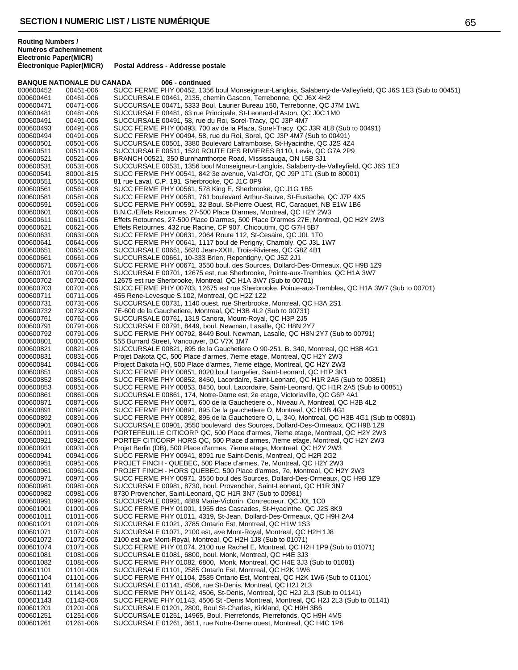#### **BANQUE NATIONALE DU CANADA 006 - continued** 000600452 00451-006 SUCC FERME PHY 00452, 1356 boul Monseigneur-Langlois, Salaberry-de-Valleyfield, QC J6S 1E3 (Sub to 00451)<br>000600461 00461-006 SUCCURSALE 00461, 2135, chemin Gascon, Terrebonne, QC J6X 4H2 000600461 00461-006 SUCCURSALE 00461, 2135, chemin Gascon, Terrebonne, QC J6X 4H2<br>000600471 00471-006 SUCCURSALE 00471, 5333 Boul, Laurier Bureau 150, Terrebonne, QC SUCCURSALE 00471, 5333 Boul. Laurier Bureau 150, Terrebonne, QC J7M 1W1 000600481 00481-006 SUCCURSALE 00481, 63 rue Principale, St-Leonard-d'Aston, QC J0C 1M0 000600491 00491-006 SUCCURSALE 00491, 58, rue du Roi, Sorel-Tracy, QC J3P 4M7 000600493 00491-006 SUCC FERME PHY 00493, 700 av de la Plaza, Sorel-Tracy, QC J3R 4L8 (Sub to 00491)<br>000600494 00491-006 SUCC FERME PHY 00494, 58, rue du Roi, Sorel, QC J3P 4M7 (Sub to 00491) 000600494 00491-006 SUCC FERME PHY 00494, 58, rue du Roi, Sorel, QC J3P 4M7 (Sub to 00491) SUCCURSALE 00501, 3380 Boulevard Laframboise, St-Hyacinthe, QC J2S 4Z4 000600511 00511-006 SUCCURSALE 00511, 1520 ROUTE DES RIVIERES B110, Levis, QC G7A 2P9<br>000600521 00521-006 BRANCH 00521, 350 Burnhamthorpe Road, Mississauga, ON L5B 3J1 000600521 00521-006 BRANCH 00521, 350 Burnhamthorpe Road, Mississauga, ON L5B 3J1 000600531 00531-006 SUCCURSALE 00531, 1356 boul Monseigneur-Langlois, Salaberry-de-Valleyfield, QC J6S 1E3<br>000600541 80001-815 SUCC FERME PHY 00541, 842 3e avenue, Val-d'Or, QC J9P 1T1 (Sub to 80001) 000600541 80001-815 SUCC FERME PHY 00541, 842 3e avenue, Val-d'Or, QC J9P 1T1 (Sub to 80001)<br>000600551 00551-006 81 rue Laval. C.P. 191. Sherbrooke. QC J1C 0P9 000600551 00551-006 81 rue Laval, C.P. 191, Sherbrooke, QC J1C 0P9<br>000600561 00561-006 SUCC FERME PHY 00561, 578 King E, Sherbroo 000600561 00561-006 SUCC FERME PHY 00561, 578 King E, Sherbrooke, QC J1G 1B5 000600581 00581-006 SUCC FERME PHY 00581, 761 boulevard Arthur-Sauve, St-Eustache, QC J7P 4X5 000600591 00591-006 SUCC FERME PHY 00591, 32 Boul. St-Pierre Ouest, RC, Caraquet, NB E1W 1B6<br>000600601 00601-006 B.N.C./Effets Retournes, 27-500 Place D'armes, Montreal, QC H2Y 2W3 000600601 00601-006 B.N.C./Effets Retournes, 27-500 Place D'armes, Montreal, QC H2Y 2W3<br>000600611 00611-006 Effets Retournes, 27-500 Place D'armes, 500 Place D'armes 27E, Montr 000600611 00611-006 Effets Retournes, 27-500 Place D'armes, 500 Place D'armes 27E, Montreal, QC H2Y 2W3<br>000600621 00621-006 Effets Retournes, 432 rue Racine, CP 907, Chicoutimi, QC G7H 5B7 000600621 00621-006 Effets Retournes, 432 rue Racine, CP 907, Chicoutimi, QC G7H 5B7 000600631 00631-006 SUCC FERME PHY 00631, 2064 Route 112, St-Cesaire, QC J0L 1T0 000600641 00641-006 SUCC FERME PHY 00641, 1117 boul de Perigny, Chambly, QC J3L 1W7<br>000600651 00651-006 SUCCURSALE 00651, 5620 Jean-XXIII, Trois-Rivieres, QC G8Z 4B1 000600651 00651-006 SUCCURSALE 00651, 5620 Jean-XXIII, Trois-Rivieres, QC G8Z 4B1 000600661 00661-006 SUCCURSALE 00661, 10-333 Brien, Repentigny, QC J5Z 2J1 000600671 00671-006 SUCC FERME PHY 00671, 3550 boul. des Sources, Dollard-Des-Ormeaux, QC H9B 1Z9<br>000600701 00701-006 SUCCURSALE 00701. 12675 est. rue Sherbrooke. Pointe-aux-Trembles. QC H1A 3W7 SUCCURSALE 00701, 12675 est, rue Sherbrooke, Pointe-aux-Trembles, QC H1A 3W7 000600702 00702-006 12675 est rue Sherbrooke, Montreal, QC H1A 3W7 (Sub to 00701)<br>000600703 00701-006 SUCC FERME PHY 00703, 12675 est rue Sherbrooke, Pointe-aux 000600703 00701-006 SUCC FERME PHY 00703, 12675 est rue Sherbrooke, Pointe-aux-Trembles, QC H1A 3W7 (Sub to 00701)<br>000600711 00711-006 455 Rene-Levesque S.102, Montreal, QC H2Z 1Z2 000600711 00711-006 455 Rene-Levesque S.102, Montreal, QC H2Z 1Z2 000600731 00731-006 SUCCURSALE 00731, 1140 ouest, rue Sherbrooke, Montreal, QC H3A 2S1<br>000600732 00732-006 7E-600 de la Gauchetiere. Montreal. QC H3B 4L2 (Sub to 00731) 7E-600 de la Gauchetiere, Montreal, QC H3B 4L2 (Sub to 00731) 000600761 00761-006 SUCCURSALE 00761, 1319 Canora, Mount-Royal, QC H3P 2J5 000600791 00791-006 SUCCURSALE 00791, 8449, boul. Newman, Lasalle, QC H8N 2Y7 000600792 00791-006 SUCC FERME PHY 00792, 8449 Boul. Newman, Lasalle, QC H8N 2Y7 (Sub to 00791)<br>000600801 00801-006 555 Burrard Street, Vancouver, BC V7X 1M7 000600801 00801-006 555 Burrard Street, Vancouver, BC V7X 1M7 000600821 00821-006 SUCCURSALE 00821, 895 de la Gauchetiere O 90-251, B. 340, Montreal, QC H3B 4G1<br>000600831 00831-006 Projet Dakota QC, 500 Place d'armes, 7ieme etage, Montreal, QC H2Y 2W3 000600831 00831-006 Projet Dakota QC, 500 Place d'armes, 7ieme etage, Montreal, QC H2Y 2W3 000600841 00841-006 Project Dakota HQ, 500 Place d'armes, 7ieme etage, Montreal, QC H2Y 2W3 000600851 00851-006 SUCC FERME PHY 00851, 8020 boul Langelier, Saint-Leonard, QC H1P 3K1 000600852 00851-006 SUCC FERME PHY 00852, 8450, Lacordaire, Saint-Leonard, QC H1R 2A5 (Sub to 00851) 000600853 00851-006 SUCC FERME PHY 00853, 8450, boul. Lacordaire, Saint-Leonard, QC H1R 2A5 (Sub to 00851)<br>000600861 00861-006 SUCCURSALE 00861, 174, Notre-Dame est, 2e etage, Victoriaville, QC G6P 4A1 000600861 00861-006 SUCCURSALE 00861, 174, Notre-Dame est, 2e etage, Victoriaville, QC G6P 4A1<br>000600871 00871-006 SUCC FERME PHY 00871, 600 de la Gauchetiere o., Niveau A. Montreal, QC H3 000600871 00871-006 SUCC FERME PHY 00871, 600 de la Gauchetiere o., Niveau A, Montreal, QC H3B 4L2<br>000600891 00891-006 SUCC FERME PHY 00891, 895 De la gauchetiere O, Montreal, QC H3B 4G1 000600891 00891-006 SUCC FERME PHY 00891, 895 De la gauchetiere O, Montreal, QC H3B 4G1 000600892 00891-006 SUCC FERME PHY 00892, 895 de la Gauchetiere O, L, 340, Montreal, QC H3B 4G1 (Sub to 00891)<br>000600901 00901-006 SUCCURSALE 00901. 3550 boulevard des Sources. Dollard-Des-Ormeaux. QC H9B 1Z9 000600901 00901-006 SUCCURSALE 00901, 3550 boulevard des Sources, Dollard-Des-Ormeaux, QC H9B 1Z9<br>000600911 00911-006 PORTEFEUILLE CITICORP QC, 500 Place d'armes, 7ieme etage, Montreal, QC H2Y 2W3 000600911 00911-006 PORTEFEUILLE CITICORP QC, 500 Place d'armes, 7ieme etage, Montreal, QC H2Y 2W3 000600921 00921-006 PORTEF CITICORP HORS QC, 500 Place d'armes, 7ieme etage, Montreal, QC H2Y 2W3<br>000600931 00931-006 Projet Berlin (DB), 500 Place d'armes, 7ieme etage, Montreal, QC H2Y 2W3 000600931 00931-006 Projet Berlin (DB), 500 Place d'armes, 7ieme etage, Montreal, QC H2Y 2W3 000600941 00941-006 SUCC FERME PHY 00941, 8091 rue Saint-Denis, Montreal, QC H2R 2G2 000600951 00951-006 PROJET FINCH - QUEBEC, 500 Place d'armes, 7e, Montreal, QC H2Y 2W3<br>000600961 00961-006 PROJET FINCH - HORS QUEBEC, 500 Place d'armes, 7e, Montreal, QC H2 000600961 00961-006 PROJET FINCH - HORS QUEBEC, 500 Place d'armes, 7e, Montreal, QC H2Y 2W3 SUCC FERME PHY 00971, 3550 boul des Sources, Dollard-Des-Ormeaux, QC H9B 1Z9 000600981 00981-006 SUCCURSALE 00981, 8730, boul. Provencher, Saint-Leonard, QC H1R 3N7<br>000600982 00981-006 8730 Provencher, Saint-Leonard, QC H1R 3N7 (Sub to 00981) 000600982 00981-006 8730 Provencher, Saint-Leonard, QC H1R 3N7 (Sub to 00981) 000600991 00991-006 SUCCURSALE 00991, 4889 Marie-Victorin, Contrecoeur, QC J0L 1C0 000601001 01001-006 SUCC FERME PHY 01001, 1955 des Cascades, St-Hyacinthe, QC J2S 8K9<br>000601011 01011-006 SUCC FERME PHY 01011, 4319, St-Jean, Dollard-Des-Ormeaux, QC H9H 2 000601011 01011-006 SUCC FERME PHY 01011, 4319, St-Jean, Dollard-Des-Ormeaux, QC H9H 2A4<br>000601021 01021-006 SUCCURSALE 01021, 3785 Ontario Est, Montreal, QC H1W 1S3 000601021 01021-006 SUCCURSALE 01021, 3785 Ontario Est, Montreal, QC H1W 1S3<br>000601071 01071-006 SUCCURSALE 01071, 2100 est, ave Mont-Royal, Montreal, QC H 01071-006 SUCCURSALE 01071, 2100 est, ave Mont-Royal, Montreal, QC H2H 1J8<br>01072-006 2100 est ave Mont-Royal, Montreal, QC H2H 1J8 (Sub to 01071) 000601072 01072-006 2100 est ave Mont-Royal, Montreal, QC H2H 1J8 (Sub to 01071)<br>000601074 01071-006 SUCC FERME PHY 01074, 2100 rue Rachel E, Montreal, QC H2 000601074 01071-006 SUCC FERME PHY 01074, 2100 rue Rachel E, Montreal, QC H2H 1P9 (Sub to 01071)<br>000601081 01081-006 SUCCURSALE 01081, 6800, boul. Monk, Montreal, QC H4E 3J3 000601081 01081-006 SUCCURSALE 01081, 6800, boul. Monk, Montreal, QC H4E 3J3 000601082 01081-006 SUCC FERME PHY 01082, 6800, Monk, Montreal, QC H4E 3J3 (Sub to 01081) SUCCURSALE 01101, 2585 Ontario Est, Montreal, QC H2K 1W6 000601104 01101-006 SUCC FERME PHY 01104, 2585 Ontario Est, Montreal, QC H2K 1W6 (Sub to 01101)<br>000601141 01141-006 SUCCURSALE 01141, 4506, rue St-Denis, Montreal, QC H2J 2L3 000601141 01141-006 SUCCURSALE 01141, 4506, rue St-Denis, Montreal, QC H2J 2L3 000601142 01141-006 SUCC FERME PHY 01142, 4506, St-Denis, Montreal, QC H2J 2L3 (Sub to 01141)<br>000601143 01143-006 SUCC FERME PHY 01143, 4506 St -Denis Montreal, Montreal, QC H2J 2L3 (Sub t 000601143 01143-006 SUCC FERME PHY 01143, 4506 St -Denis Montreal, Montreal, QC H2J 2L3 (Sub to 01141)<br>000601201 01201-006 SUCCURSALE 01201. 2800. Boul St-Charles. Kirkland. QC H9H 3B6 SUCCURSALE 01201, 2800, Boul St-Charles, Kirkland, QC H9H 3B6 000601251 01251-006 SUCCURSALE 01251, 14965, Boul. Pierrefonds, Pierrefonds, QC H9H 4M5

SUCCURSALE 01261, 3611, rue Notre-Dame ouest, Montreal, QC H4C 1P6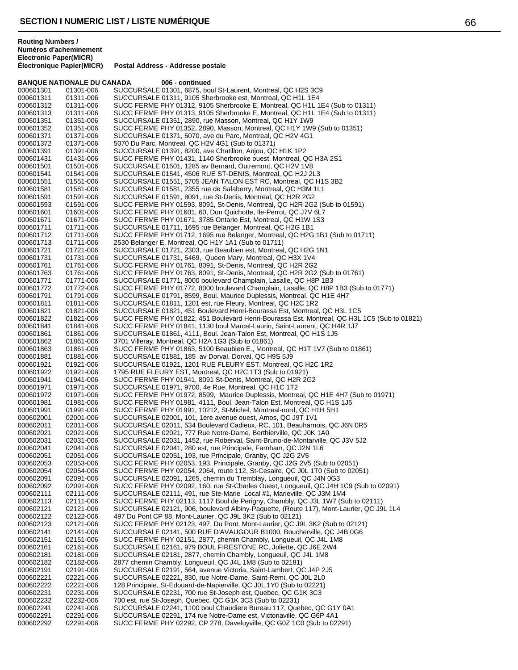## **Postal Address - Addresse postale BANQUE NATIONALE DU CANADA 006 - continued** 000601301 01301-006 SUCCURSALE 01301, 6875, boul St-Laurent, Montreal, QC H2S 3C9<br>000601311 01311-006 SUCCURSALE 01311, 9105 Sherbrooke est, Montreal, QC H1L 1E4 000601311 01311-006 SUCCURSALE 01311, 9105 Sherbrooke est, Montreal, QC H1L 1E4 SUCC FERME PHY 01312, 9105 Sherbrooke E, Montreal, QC H1L 1E4 (Sub to 01311) 000601313 01311-006 SUCC FERME PHY 01313, 9105 Sherbrooke E, Montreal, QC H1L 1E4 (Sub to 01311)<br>000601351 01351-006 SUCCURSALE 01351, 2890, rue Masson, Montreal, QC H1Y 1W9 SUCCURSALE 01351, 2890, rue Masson, Montreal, QC H1Y 1W9 000601352 01351-006 SUCC FERME PHY 01352, 2890, Masson, Montreal, QC H1Y 1W9 (Sub to 01351)<br>000601371 01371-006 SUCCURSALE 01371, 5070, ave du Parc, Montreal, QC H2V 4G1 000601371 01371-006 SUCCURSALE 01371, 5070, ave du Parc, Montreal, QC H2V 4G1<br>000601372 01371-006 5070 Du Parc. Montreal. QC H2V 4G1 (Sub to 01371) 5070 Du Parc, Montreal, QC H2V 4G1 (Sub to 01371) 000601391 01391-006 SUCCURSALE 01391, 8200, ave Chatillon, Anjou, QC H1K 1P2 000601431 01431-006 SUCC FERME PHY 01431, 1140 Sherbrooke ouest, Montreal, QC H3A 2S1<br>000601501 01501-006 SUCCURSALE 01501, 1285 av Bernard, Outremont, QC H2V 1V8 000601501 01501-006 SUCCURSALE 01501, 1285 av Bernard, Outremont, QC H2V 1V8 000601541 01541-006 SUCCURSALE 01541, 4506 RUE ST-DENIS, Montreal, QC H2J 2L3 000601551 01551-006 SUCCURSALE 01551, 5705 JEAN TALON EST RC, Montreal, QC H1S 3B2<br>000601581 01581-006 SUCCURSALE 01581, 2355 rue de Salaberry, Montreal, QC H3M 1L1 000601581 01581-006 SUCCURSALE 01581, 2355 rue de Salaberry, Montreal, QC H3M 1L1 SUCCURSALE 01591, 8091, rue St-Denis, Montreal, QC H2R 2G2

000601593 01591-006 SUCC FERME PHY 01593, 8091, St-Denis, Montreal, QC H2R 2G2 (Sub to 01591)<br>000601601 01601-006 SUCC FERME PHY 01601, 60, Don Quichotte, Ile-Perrot, QC J7V 6L7 000601601 01601-006 SUCC FERME PHY 01601, 60, Don Quichotte, Ile-Perrot, QC J7V 6L7<br>000601671 01671-006 SUCC FERME PHY 01671, 3785 Ontario Est, Montreal, QC H1W 1S3 000601671 01671-006 SUCC FERME PHY 01671, 3785 Ontario Est, Montreal, QC H1W 1S3<br>000601711 01711-006 SUCCURSALE 01711, 1695 rue Belanger, Montreal, QC H2G 1B1 000601711 01711-006 SUCCURSALE 01711, 1695 rue Belanger, Montreal, QC H2G 1B1 SUCC FERME PHY 01712, 1695 rue Belanger, Montreal, QC H2G 1B1 (Sub to 01711) 000601713 01711-006 2530 Belanger E, Montreal, QC H1Y 1A1 (Sub to 01711)<br>000601721 01721-006 SUCCURSALE 01721, 2303, rue Beaubien est, Montreal SUCCURSALE 01721, 2303, rue Beaubien est, Montreal, QC H2G 1N1 000601731 01731-006 SUCCURSALE 01731, 5469, Queen Mary, Montreal, QC H3X 1V4 000601761 01761-006 SUCC FERME PHY 01761, 8091, St-Denis, Montreal, QC H2R 2G2 SUCC FERME PHY 01763, 8091, St-Denis, Montreal, QC H2R 2G2 (Sub to 01761) 000601771 01771-006 SUCCURSALE 01771, 8000 boulevard Champlain, Lasalle, QC H8P 1B3 SUCC FERME PHY 01772, 8000 boulevard Champlain, Lasalle, QC H8P 1B3 (Sub to 01771) 000601791 01791-006 SUCCURSALE 01791, 8599, Boul. Maurice Duplessis, Montreal, QC H1E 4H7<br>000601811 01811-006 SUCCURSALE 01811, 1201 est, rue Fleury, Montreal, QC H2C 1R2 000601811 01811-006 SUCCURSALE 01811, 1201 est, rue Fleury, Montreal, QC H2C 1R2 SUCCURSALE 01821, 451 Boulevard Henri-Bourassa Est, Montreal, QC H3L 1C5 000601822 01821-006 SUCC FERME PHY 01822, 451 Boulevard Henri-Bourassa Est, Montreal, QC H3L 1C5 (Sub to 01821)<br>000601841 01841-006 SUCC FERME PHY 01841, 1130 boul Marcel-Laurin, Saint-Laurent, QC H4R 1J7 000601841 01841-006 SUCC FERME PHY 01841, 1130 boul Marcel-Laurin, Saint-Laurent, QC H4R 1J7<br>000601861 01861-006 SUCCURSALE 01861, 4111, Boul. Jean-Talon Est, Montreal, QC H1S 1J5 000601861 01861-006 SUCCURSALE 01861, 4111, Boul. Jean-Talon Est, Montreal, QC H1S 1J5 000601862 01861-006 3701 Villeray, Montreal, QC H2A 1G3 (Sub to 01861) 000601863 01861-006 SUCC FERME PHY 01863, 5100 Beaubien E., Montreal, QC H1T 1V7 (Sub to 01861)<br>000601881 01881-006 SUCCURSALE 01881, 185 av Dorval, Dorval, QC H9S 5J9 000601881 01881-006 SUCCURSALE 01881, 185 av Dorval, Dorval, QC H9S 5J9 000601921 01921-006 SUCCURSALE 01921, 1201 RUE FLEURY EST, Montreal, QC H2C 1R2<br>000601922 01921-006 1795 RUE FLEURY EST, Montreal, QC H2C 1T3 (Sub to 01921) 000601922 01921-006 1795 RUE FLEURY EST, Montreal, QC H2C 1T3 (Sub to 01921) 000601941 01941-006 SUCC FERME PHY 01941, 8091 St-Denis, Montreal, QC H2R 2G2 000601971 01971-006 SUCCURSALE 01971, 9700, 4e Rue, Montreal, QC H1C 1T2<br>000601972 01971-006 SUCC FERME PHY 01972, 8599, Maurice Duplessis, Montre 000601972 01971-006 SUCC FERME PHY 01972, 8599, Maurice Duplessis, Montreal, QC H1E 4H7 (Sub to 01971)<br>000601981 01981-006 SUCC FERME PHY 01981. 4111. Boul. Jean-Talon Est. Montreal. QC H1S 1J5 SUCC FERME PHY 01981, 4111, Boul. Jean-Talon Est, Montreal, QC H1S 1J5 000601991 01991-006 SUCC FERME PHY 01991, 10212, St-Michel, Montreal-nord, QC H1H 5H1<br>000602001 02001-006 SUCCURSALE 02001, 101, 1ere avenue ouest, Amos, QC J9T 1V1 000602001 02001-006 SUCCURSALE 02001, 101, 1ere avenue ouest, Amos, QC J9T 1V1<br>000602011 02011-006 SUCCURSALE 02011, 534 Boulevard Cadieux, RC, 101, Beauharno 000602011 02011-006 SUCCURSALE 02011, 534 Boulevard Cadieux, RC, 101, Beauharnois, QC J6N 0R5<br>000602021 02021-006 SUCCURSALE 02021, 777 Rue Notre-Dame, Berthierville, QC J0K 1A0 000602021 02021-006 SUCCURSALE 02021, 777 Rue Notre-Dame, Berthierville, QC J0K 1A0<br>000602031 02031-006 SUCCURSALE 02031, 1452, rue Roberval, Saint-Bruno-de-Montarville, SUCCURSALE 02031, 1452, rue Roberval, Saint-Bruno-de-Montarville, QC J3V 5J2 000602041 02041-006 SUCCURSALE 02041, 280 est, rue Principale, Farnham, QC J2N 1L6<br>000602051 02051-006 SUCCURSALE 02051, 193, rue Principale, Granby, QC J2G 2V5 SUCCURSALE 02051, 193, rue Principale, Granby, QC J2G 2V5 000602053 02053-006 SUCC FERME PHY 02053, 193, Principale, Granby, QC J2G 2V5 (Sub to 02051)<br>000602054 02054-006 SUCC FERME PHY 02054, 2064, route 112, St-Cesaire, QC J0L 1T0 (Sub to 020 000602054 02054-006 SUCC FERME PHY 02054, 2064, route 112, St-Cesaire, QC J0L 1T0 (Sub to 02051)<br>000602091 02091-006 SUCCURSALE 02091, 1265, chemin du Tremblav, Longueuil, QC J4N 0G3 SUCCURSALE 02091, 1265, chemin du Tremblay, Longueuil, QC J4N 0G3 000602092 02091-006 SUCC FERME PHY 02092, 160, rue St-Charles Ouest, Longueuil, QC J4H 1C9 (Sub to 02091)<br>000602111 02111-006 SUCCURSALE 02111, 491, rue Ste-Marie Local #1, Marieville, QC J3M 1M4 000602111 02111-006 SUCCURSALE 02111, 491, rue Ste-Marie Local #1, Marieville, QC J3M 1M4<br>000602113 02111-006 SUCC FERME PHY 02113, 1117 Boul de Perigny, Chambly, QC J3L 1W7 (Su 000602113 02111-006 SUCC FERME PHY 02113, 1117 Boul de Perigny, Chambly, QC J3L 1W7 (Sub to 02111)<br>000602121 02121-006 SUCCURSALE 02121, 906, boulevard Albiny-Paquette, (Route 117), Mont-Laurier, QC J9 000602121 02121-006 SUCCURSALE 02121, 906, boulevard Albiny-Paquette, (Route 117), Mont-Laurier, QC J9L 1L4<br>000602122 02122-006 497 Du Pont CP 88, Mont-Laurier, QC J9L 3K2 (Sub to 02121) 000602122 02122-006 497 Du Pont CP 88, Mont-Laurier, QC J9L 3K2 (Sub to 02121) 000602123 02121-006 SUCC FERME PHY 02123, 497, Du Pont, Mont-Laurier, QC J9L 3K2 (Sub to 02121)<br>000602141 02141-006 SUCCURSALE 02141, 500 RUE D'AVAUGOUR B1000, Boucherville, QC J4B 0G6 000602141 02141-006 SUCCURSALE 02141, 500 RUE D'AVAUGOUR B1000, Boucherville, QC J4B 0G6<br>000602151 02151-006 SUCC FERME PHY 02151, 2877, chemin Chambly, Longueuil, QC J4L 1M8 000602151 02151-006 SUCC FERME PHY 02151, 2877, chemin Chambly, Longueuil, QC J4L 1M8<br>000602161 02161-006 SUCCURSALE 02161, 979 BOUL FIRESTONE RC, Joliette, QC J6E 2W4 000602161 02161-006 SUCCURSALE 02161, 979 BOUL FIRESTONE RC, Joliette, QC J6E 2W4<br>000602181 02181-006 SUCCURSALE 02181, 2877, chemin Chambly, Longueuil, QC J4L 1M8 000602181 02181-006 SUCCURSALE 02181, 2877, chemin Chambly, Longueuil, QC J4L 1M8<br>000602182 02182-006 2877 chemin Chambly, Longueuil, QC J4L 1M8 (Sub to 02181) 000602182 02182-006 2877 chemin Chambly, Longueuil, QC J4L 1M8 (Sub to 02181) SUCCURSALE 02191, 564, avenue Victoria, Saint-Lambert, QC J4P 2J5 000602221 02221-006 SUCCURSALE 02221, 830, rue Notre-Dame, Saint-Remi, QC J0L 2L0<br>000602222 02221-006 128 Principale, St-Edouard-de-Napierville, QC J0L 1Y0 (Sub to 02221) 128 Principale, St-Edouard-de-Napierville, QC J0L 1Y0 (Sub to 02221) 000602231 02231-006 SUCCURSALE 02231, 700 rue St-Joseph est, Quebec, QC G1K 3C3<br>000602232 02232-006 700 est, rue St-Joseph, Quebec, QC G1K 3C3 (Sub to 02231) 000602232 02232-006 700 est, rue St-Joseph, Quebec, QC G1K 3C3 (Sub to 02231) SUCCURSALE 02241, 1100 boul Chaudiere Bureau 117, Quebec, QC G1Y 0A1 000602291 02291-006 SUCCURSALE 02291, 174 rue Notre-Dame est, Victoriaville, QC G6P 4A1<br>000602292 02291-006 SUCC FERME PHY 02292, CP 278, Daveluyville, QC G0Z 1C0 (Sub to 02 SUCC FERME PHY 02292, CP 278, Daveluyville, QC G0Z 1C0 (Sub to 02291)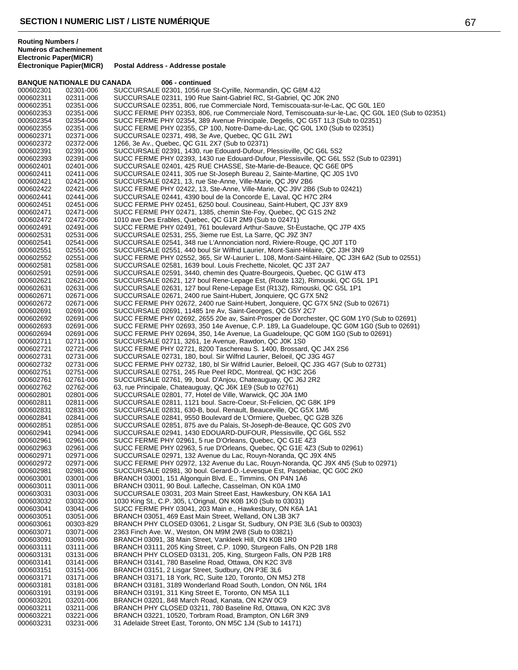|                        | <b>BANQUE NATIONALE DU CANADA</b> | 006 - continued                                                                                                                              |
|------------------------|-----------------------------------|----------------------------------------------------------------------------------------------------------------------------------------------|
| 000602301              | 02301-006                         | SUCCURSALE 02301, 1056 rue St-Cyrille, Normandin, QC G8M 4J2                                                                                 |
| 000602311              | 02311-006                         | SUCCURSALE 02311, 190 Rue Saint-Gabriel RC, St-Gabriel, QC J0K 2N0                                                                           |
| 000602351              | 02351-006                         | SUCCURSALE 02351, 806, rue Commerciale Nord, Temiscouata-sur-le-Lac, QC G0L 1E0                                                              |
| 000602353              | 02351-006                         | SUCC FERME PHY 02353, 806, rue Commerciale Nord, Temiscouata-sur-le-Lac, QC G0L 1E0 (Sub to 02351)                                           |
| 000602354              | 02354-006                         | SUCC FERME PHY 02354, 389 Avenue Principale, Degelis, QC G5T 1L3 (Sub to 02351)                                                              |
| 000602355              | 02351-006                         | SUCC FERME PHY 02355, CP 100, Notre-Dame-du-Lac, QC GOL 1X0 (Sub to 02351)                                                                   |
| 000602371              | 02371-006                         | SUCCURSALE 02371, 498, 3e Ave, Quebec, QC G1L 2W1                                                                                            |
| 000602372              | 02372-006                         | 1266, 3e Av., Quebec, QC G1L 2X7 (Sub to 02371)                                                                                              |
| 000602391              | 02391-006                         | SUCCURSALE 02391, 1430, rue Edouard-Dufour, Plessisville, QC G6L 5S2                                                                         |
| 000602393              | 02391-006                         | SUCC FERME PHY 02393, 1430 rue Edouard-Dufour, Plessisville, QC G6L 5S2 (Sub to 02391)                                                       |
| 000602401              | 02401-006                         | SUCCURSALE 02401, 425 RUE CHASSE, Ste-Marie-de-Beauce, QC G6E 0P5                                                                            |
| 000602411              | 02411-006                         | SUCCURSALE 02411, 305 rue St-Joseph Bureau 2, Sainte-Martine, QC J0S 1V0                                                                     |
| 000602421<br>000602422 | 02421-006<br>02421-006            | SUCCURSALE 02421, 13, rue Ste-Anne, Ville-Marie, QC J9V 2B6<br>SUCC FERME PHY 02422, 13, Ste-Anne, Ville-Marie, QC J9V 2B6 (Sub to 02421)    |
| 000602441              | 02441-006                         | SUCCURSALE 02441, 4390 boul de la Concorde E, Laval, QC H7C 2R4                                                                              |
| 000602451              | 02451-006                         | SUCC FERME PHY 02451, 6250 boul. Cousineau, Saint-Hubert, QC J3Y 8X9                                                                         |
| 000602471              | 02471-006                         | SUCC FERME PHY 02471, 1385, chemin Ste-Foy, Quebec, QC G1S 2N2                                                                               |
| 000602472              | 02472-006                         | 1010 ave Des Erables, Quebec, QC G1R 2M9 (Sub to 02471)                                                                                      |
| 000602491              | 02491-006                         | SUCC FERME PHY 02491, 761 boulevard Arthur-Sauve, St-Eustache, QC J7P 4X5                                                                    |
| 000602531              | 02531-006                         | SUCCURSALE 02531, 255, 3ieme rue Est, La Sarre, QC J9Z 3N7                                                                                   |
| 000602541              | 02541-006                         | SUCCURSALE 02541, 348 rue L'Annonciation nord, Riviere-Rouge, QC J0T 1T0                                                                     |
| 000602551              | 02551-006                         | SUCCURSALE 02551, 440 boul Sir Wilfrid Laurier, Mont-Saint-Hilaire, QC J3H 3N9                                                               |
| 000602552              | 02551-006                         | SUCC FERME PHY 02552, 365, Sir W-Laurier L. 108, Mont-Saint-Hilaire, QC J3H 6A2 (Sub to 02551)                                               |
| 000602581              | 02581-006                         | SUCCURSALE 02581, 1639 boul. Louis Frechette, Nicolet, QC J3T 2A7                                                                            |
| 000602591              | 02591-006                         | SUCCURSALE 02591, 3440, chemin des Quatre-Bourgeois, Quebec, QC G1W 4T3                                                                      |
| 000602621              | 02621-006                         | SUCCURSALE 02621, 127 boul Rene-Lepage Est, (Route 132), Rimouski, QC G5L 1P1                                                                |
| 000602631              | 02631-006                         | SUCCURSALE 02631, 127 boul Rene-Lepage Est (R132), Rimouski, QC G5L 1P1                                                                      |
| 000602671              | 02671-006                         | SUCCURSALE 02671, 2400 rue Saint-Hubert, Jonquiere, QC G7X 5N2                                                                               |
| 000602672              | 02671-006                         | SUCC FERME PHY 02672, 2400 rue Saint-Hubert, Jonquiere, QC G7X 5N2 (Sub to 02671)                                                            |
| 000602691              | 02691-006                         | SUCCURSALE 02691, 11485 1re Av, Saint-Georges, QC G5Y 2C7                                                                                    |
| 000602692              | 02691-006                         | SUCC FERME PHY 02692, 2655 20e av, Saint-Prosper de Dorchester, QC G0M 1Y0 (Sub to 02691)                                                    |
| 000602693              | 02691-006                         | SUCC FERME PHY 02693, 350 14e Avenue, C.P. 189, La Guadeloupe, QC G0M 1G0 (Sub to 02691)                                                     |
| 000602694              | 02691-006                         | SUCC FERME PHY 02694, 350, 14e Avenue, La Guadeloupe, QC G0M 1G0 (Sub to 02691)                                                              |
| 000602711              | 02711-006                         | SUCCURSALE 02711, 3261, 1e Avenue, Rawdon, QC J0K 1S0                                                                                        |
| 000602721<br>000602731 | 02721-006<br>02731-006            | SUCC FERME PHY 02721, 8200 Taschereau S. 1400, Brossard, QC J4X 2S6<br>SUCCURSALE 02731, 180, boul. Sir Wilfrid Laurier, Beloeil, QC J3G 4G7 |
| 000602732              | 02731-006                         | SUCC FERME PHY 02732, 180, bl Sir Wilfrid Laurier, Beloeil, QC J3G 4G7 (Sub to 02731)                                                        |
| 000602751              | 02751-006                         | SUCCURSALE 02751, 245 Rue Peel RDC, Montreal, QC H3C 2G6                                                                                     |
| 000602761              | 02761-006                         | SUCCURSALE 02761, 99, boul. D'Anjou, Chateauguay, QC J6J 2R2                                                                                 |
| 000602762              | 02762-006                         | 63, rue Principale, Chateauguay, QC J6K 1E9 (Sub to 02761)                                                                                   |
| 000602801              | 02801-006                         | SUCCURSALE 02801, 77, Hotel de Ville, Warwick, QC J0A 1M0                                                                                    |
| 000602811              | 02811-006                         | SUCCURSALE 02811, 1121 boul. Sacre-Coeur, St-Felicien, QC G8K 1P9                                                                            |
| 000602831              | 02831-006                         | SUCCURSALE 02831, 630-B, boul. Renault, Beauceville, QC G5X 1M6                                                                              |
| 000602841              | 02841-006                         | SUCCURSALE 02841, 9550 Boulevard de L'Ormiere, Quebec, QC G2B 3Z6                                                                            |
| 000602851              | 02851-006                         | SUCCURSALE 02851, 875 ave du Palais, St-Joseph-de-Beauce, QC G0S 2V0                                                                         |
| 000602941              | 02941-006                         | SUCCURSALE 02941, 1430 EDOUARD-DUFOUR, Plessisville, QC G6L 5S2                                                                              |
| 000602961              | 02961-006                         | SUCC FERME PHY 02961, 5 rue D'Orleans, Quebec, QC G1E 4Z3                                                                                    |
| 000602963              | 02961-006                         | SUCC FERME PHY 02963, 5 rue D'Orleans, Quebec, QC G1E 4Z3 (Sub to 02961)                                                                     |
| 000602971              | 02971-006                         | SUCCURSALE 02971, 132 Avenue du Lac, Rouyn-Noranda, QC J9X 4N5                                                                               |
| 000602972              | 02971-006                         | SUCC FERME PHY 02972, 132 Avenue du Lac, Rouyn-Noranda, QC J9X 4N5 (Sub to 02971)                                                            |
| 000602981              | 02981-006                         | SUCCURSALE 02981, 30 boul. Gerard-D.-Levesque Est, Paspebiac, QC G0C 2K0                                                                     |
| 000603001<br>000603011 | 03001-006                         | BRANCH 03001, 151 Algonquin Blvd. E., Timmins, ON P4N 1A6<br>BRANCH 03011, 90 Boul. Lafleche, Casselman, ON K0A 1M0                          |
| 000603031              | 03011-006<br>03031-006            | SUCCURSALE 03031, 203 Main Street East, Hawkesbury, ON K6A 1A1                                                                               |
| 000603032              | 03032-006                         | 1030 King St., C.P. 305, L'Orignal, ON K0B 1K0 (Sub to 03031)                                                                                |
| 000603041              | 03041-006                         | SUCC FERME PHY 03041, 203 Main e., Hawkesbury, ON K6A 1A1                                                                                    |
| 000603051              | 03051-006                         | BRANCH 03051, 469 East Main Street, Welland, ON L3B 3K7                                                                                      |
| 000603061              | 00303-829                         | BRANCH PHY CLOSED 03061, 2 Lisgar St, Sudbury, ON P3E 3L6 (Sub to 00303)                                                                     |
| 000603071              | 03071-006                         | 2363 Finch Ave. W., Weston, ON M9M 2W8 (Sub to 03821)                                                                                        |
| 000603091              | 03091-006                         | BRANCH 03091, 38 Main Street, Vankleek Hill, ON K0B 1R0                                                                                      |
| 000603111              | 03111-006                         | BRANCH 03111, 205 King Street, C.P. 1090, Sturgeon Falls, ON P2B 1R8                                                                         |
| 000603131              | 03131-006                         | BRANCH PHY CLOSED 03131, 205, King, Sturgeon Falls, ON P2B 1R8                                                                               |
| 000603141              | 03141-006                         | BRANCH 03141, 780 Baseline Road, Ottawa, ON K2C 3V8                                                                                          |
| 000603151              | 03151-006                         | BRANCH 03151, 2 Lisgar Street, Sudbury, ON P3E 3L6                                                                                           |
| 000603171              | 03171-006                         | BRANCH 03171, 18 York, RC, Suite 120, Toronto, ON M5J 2T8                                                                                    |
| 000603181              | 03181-006                         | BRANCH 03181, 3189 Wonderland Road South, London, ON N6L 1R4                                                                                 |
| 000603191              | 03191-006                         | BRANCH 03191, 311 King Street E, Toronto, ON M5A 1L1                                                                                         |
| 000603201              | 03201-006                         | BRANCH 03201, 848 March Road, Kanata, ON K2W 0C9                                                                                             |
| 000603211              | 03211-006                         | BRANCH PHY CLOSED 03211, 780 Baseline Rd, Ottawa, ON K2C 3V8                                                                                 |
| 000603221<br>000603231 | 03221-006<br>03231-006            | BRANCH 03221, 10520, Torbram Road, Brampton, ON L6R 3N9<br>31 Adelaide Street East, Toronto, ON M5C 1J4 (Sub to 14171)                       |
|                        |                                   |                                                                                                                                              |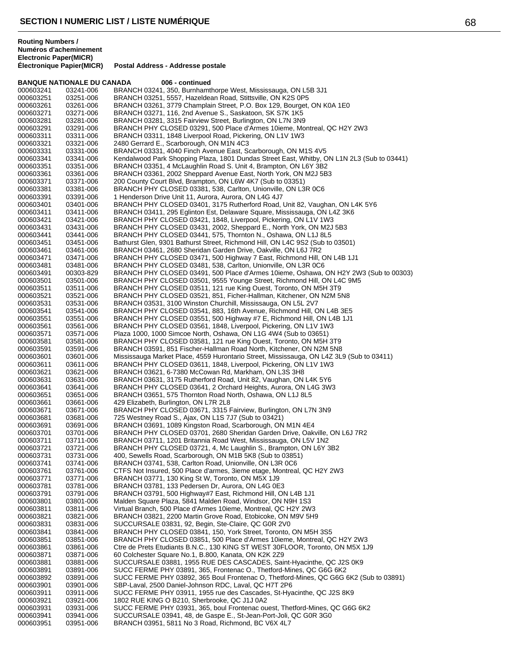**BANQUE NATIONALE DU CANADA 006 - continued** 

**Postal Address - Addresse postale** 

# 000603241 03241-006 BRANCH 03241, 350, Burnhamthorpe West, Mississauga, ON L5B 3J1<br>000603251 03251-006 BRANCH 03251, 5557, Hazeldean Road, Stittsville, ON K2S 0P5 000603251 03251-006 BRANCH 03251, 5557, Hazeldean Road, Stittsville, ON K2S 0P5 BRANCH 03261, 3779 Champlain Street, P.O. Box 129, Bourget, ON K0A 1E0 000603271 000603271-006 BRANCH 03271, 116, 2nd Avenue S., Saskatoon, SK S7K 1K5<br>000603281 000803281-006 BRANCH 03281, 3315 Fairview Street, Burlington, ON L7N 3N9 BRANCH 03281, 3315 Fairview Street, Burlington, ON L7N 3N9

000603291 03291-006 BRANCH PHY CLOSED 03291, 500 Place d'Armes 10ieme, Montreal, QC H2Y 2W3<br>000603311 03311-006 BRANCH 03311, 1848 Liverpool Road, Pickering, ON L1V 1W3 000603311 03311-006 BRANCH 03311, 1848 Liverpool Road, Pickering, ON L1V 1W3<br>000603321 03321-006 2480 Gerrard E.. Scarborough. ON M1N 4C3 2480 Gerrard E., Scarborough, ON M1N 4C3 000603331 03331-006 BRANCH 03331, 4040 Finch Avenue East, Scarborough, ON M1S 4V5<br>000603341 03341-006 Kendalwood Park Shopping Plaza, 1801 Dundas Street East, Whitby, C 000603341 03341-006 Kendalwood Park Shopping Plaza, 1801 Dundas Street East, Whitby, ON L1N 2L3 (Sub to 03441)<br>000603351 03351-006 BRANCH 03351, 4 McLaughlin Road S. Unit 4, Brampton, ON L6Y 3B2 000603351 03351-006 BRANCH 03351, 4 McLaughlin Road S. Unit 4, Brampton, ON L6Y 3B2<br>000603361 03361-006 BRANCH 03361, 2002 Sheppard Avenue East, North York, ON M2J 5B 000603361 03361-006 BRANCH 03361, 2002 Sheppard Avenue East, North York, ON M2J 5B3<br>000603371 03371-006 200 County Court Blyd. Brampton, ON L6W 4K7 (Sub to 03351) 000603371 03371-006 200 County Court Blvd, Brampton, ON L6W 4K7 (Sub to 03351) 000603381 03381-006 BRANCH PHY CLOSED 03381, 538, Carlton, Unionville, ON L3R 0C6 000603391 03391-006 1 Henderson Drive Unit 11, Aurora, Aurora, ON L4G 4J7<br>000603401 03401-006 BRANCH PHY CLOSED 03401, 3175 Rutherford Road, 000603401 03401-006 BRANCH PHY CLOSED 03401, 3175 Rutherford Road, Unit 82, Vaughan, ON L4K 5Y6<br>000603411 03411-006 BRANCH 03411, 295 Eglinton Est, Delaware Square, Mississauga, ON L4Z 3K6 000603411 03411-006 BRANCH 03411, 295 Eglinton Est, Delaware Square, Mississauga, ON L4Z 3K6<br>000603421 03421-006 BRANCH PHY CLOSED 03421, 1848, Liverpool, Pickering, ON L1V 1W3 000603421 03421-006 BRANCH PHY CLOSED 03421, 1848, Liverpool, Pickering, ON L1V 1W3<br>000603431 03431-006 BRANCH PHY CLOSED 03431, 2002, Sheppard E., North York, ON M2J 000603431 03431-006 BRANCH PHY CLOSED 03431, 2002, Sheppard E., North York, ON M2J 5B3<br>000603441 03441-006 BRANCH PHY CLOSED 03441. 575. Thornton N., Oshawa, ON L1J 8L5 000603441 03441-006 BRANCH PHY CLOSED 03441, 575, Thornton N., Oshawa, ON L1J 8L5<br>000603451 03451-006 Bathurst Glen, 9301 Bathurst Street, Richmond Hill, ON L4C 9S2 (Sub to 000603451 03451-006 Bathurst Glen, 9301 Bathurst Street, Richmond Hill, ON L4C 9S2 (Sub to 03501)<br>000603461 03461-006 BRANCH 03461, 2680 Sheridan Garden Drive, Oakville, ON L6J 7R2 000603461 03461-006 BRANCH 03461, 2680 Sheridan Garden Drive, Oakville, ON L6J 7R2<br>000603471 03471-006 BRANCH PHY CLOSED 03471, 500 Highway 7 East, Richmond Hill, 000603471 03471-006 BRANCH PHY CLOSED 03471, 500 Highway 7 East, Richmond Hill, ON L4B 1J1<br>000603481 03481-006 BRANCH PHY CLOSED 03481, 538, Carlton, Unionville, ON L3R 0C6 000603481 03481-006 BRANCH PHY CLOSED 03481, 538, Carlton, Unionville, ON L3R 0C6 BRANCH PHY CLOSED 03491, 500 Place d'Armes 10ieme, Oshawa, ON H2Y 2W3 (Sub to 00303) 000603501 03501-006 BRANCH PHY CLOSED 03501, 9555 Younge Street, Richmond Hill, ON L4C 9M5<br>000603511 03511-006 BRANCH PHY CLOSED 03511, 121 rue King Ouest, Toronto, ON M5H 3T9 000603511 03511-006 BRANCH PHY CLOSED 03511, 121 rue King Ouest, Toronto, ON M5H 3T9 000603521 03521-006 BRANCH PHY CLOSED 03521, 851, Ficher-Hallman, Kitchener, ON N2M 5N8<br>000603531 03531-006 BRANCH 03531, 3100 Winston Churchill, Mississauga, ON L5L 2V7 000603531 03531-006 BRANCH 03531, 3100 Winston Churchill, Mississauga, ON L5L 2V7 BRANCH PHY CLOSED 03541, 883, 16th Avenue, Richmond Hill, ON L4B 3E5 000603551 03551-006 BRANCH PHY CLOSED 03551, 500 Highway #7 E, Richmond Hill, ON L4B 1J1<br>000603561 03561-006 BRANCH PHY CLOSED 03561, 1848, Liverpool, Pickering, ON L1V 1W3 000603561 03561-006 BRANCH PHY CLOSED 03561, 1848, Liverpool, Pickering, ON L1V 1W3<br>000603571 03571-006 Plaza 1000, 1000 Simcoe North, Oshawa, ON L1G 4W4 (Sub to 03651) 000603571 03571-006 Plaza 1000, 1000 Simcoe North, Oshawa, ON L1G 4W4 (Sub to 03651) 000603581 03581-006 BRANCH PHY CLOSED 03581, 121 rue King Ouest, Toronto, ON M5H 3T9<br>000603591 03591-006 BRANCH 03591, 851 Fischer-Hallman Road North, Kitchener, ON N2M 5N8 000603591 03591-006 BRANCH 03591, 851 Fischer-Hallman Road North, Kitchener, ON N2M 5N8<br>000603601 03601-006 Mississauga Market Place, 4559 Hurontario Street, Mississauga, ON L4Z 3L 000603601 03601-006 Mississauga Market Place, 4559 Hurontario Street, Mississauga, ON L4Z 3L9 (Sub to 03411)<br>000603611 03611-006 BRANCH PHY CLOSED 03611, 1848, Liverpool, Pickering, ON L1V 1W3 000603611 03611-006 BRANCH PHY CLOSED 03611, 1848, Liverpool, Pickering, ON L1V 1W3<br>000603621 03621-006 BRANCH 03621, 6-7380 McCowan Rd, Markham, ON L3S 3H8 000603621 03621-006 BRANCH 03621, 6-7380 McCowan Rd, Markham, ON L3S 3H8<br>000603631 03631-006 BRANCH 03631, 3175 Rutherford Road, Unit 82, Vaughan, ON 000603631 03631-006 BRANCH 03631, 3175 Rutherford Road, Unit 82, Vaughan, ON L4K 5Y6<br>000603641 03641-006 BRANCH PHY CLOSED 03641, 2 Orchard Heights, Aurora, ON L4G 3W 000603641 03641-006 BRANCH PHY CLOSED 03641, 2 Orchard Heights, Aurora, ON L4G 3W3<br>000603651 03651-006 BRANCH 03651, 575 Thornton Road North, Oshawa, ON L1J 8L5 000603651 03651-006 BRANCH 03651, 575 Thornton Road North, Oshawa, ON L1J 8L5 429 Elizabeth, Burlington, ON L7R 2L8 000603671 03671-006 BRANCH PHY CLOSED 03671, 3315 Fairview, Burlington, ON L7N 3N9<br>000603681 03681-006 725 Westney Road S., Ajax, ON L1S 7J7 (Sub to 03421) 000603681 03681-006 725 Westney Road S., Ajax, ON L1S 7J7 (Sub to 03421) 000603691 03691-006 BRANCH 03691, 1089 Kingston Road, Scarborough, ON M1N 4E4 000603701 03701-006 BRANCH PHY CLOSED 03701, 2680 Sheridan Garden Drive, Oakville, ON L6J 7R2<br>000603711 03711-006 BRANCH 03711, 1201 Britannia Road West, Mississauga, ON L5V 1N2 BRANCH 03711, 1201 Britannia Road West, Mississauga, ON L5V 1N2 000603721 03721-006 BRANCH PHY CLOSED 03721, 4, Mc Laughlin S., Brampton, ON L6Y 3B2<br>000603731 03731-006 400, Sewells Road, Scarborough, ON M1B 5K8 (Sub to 03851) 400, Sewells Road, Scarborough, ON M1B 5K8 (Sub to 03851) 000603741 03741-006 BRANCH 03741, 538, Carlton Road, Unionville, ON L3R 0C6 000603761 03761-006 CTFS Not Insured, 500 Place d'armes, 3ieme etage, Montreal, QC H2Y 2W3<br>000603771 03771-006 BRANCH 03771, 130 King St W. Toronto. ON M5X 1J9 BRANCH 03771, 130 King St W, Toronto, ON M5X 1J9 000603781 03781-006 BRANCH 03781, 133 Pedersen Dr, Aurora, ON L4G 0E3 000603791 03791-006 BRANCH 03791, 500 Highway#7 East, Richmond Hill, ON L4B 1J1<br>000603801 03801-006 Malden Square Plaza, 5841 Malden Road, Windsor, ON N9H 1S3 000603801 03801-006 Malden Square Plaza, 5841 Malden Road, Windsor, ON N9H 1S3<br>000603811 03811-006 Virtual Branch, 500 Place d'Armes 10ieme, Montreal, QC H2Y 2W 000603811 03811-006 Virtual Branch, 500 Place d'Armes 10ieme, Montreal, QC H2Y 2W3 000603821 03821-006 BRANCH 03821, 2200 Martin Grove Road, Etobicoke, ON M9V 5H9<br>000603831 03831-006 SUCCURSALE 03831, 92, Begin, Ste-Claire, QC G0R 2V0 000603831 03831-006 SUCCURSALE 03831, 92, Begin, Ste-Claire, QC G0R 2V0<br>000603841 03841-006 BRANCH PHY CLOSED 03841, 150, York Street, Toronto, 000603841 03841-006 BRANCH PHY CLOSED 03841, 150, York Street, Toronto, ON M5H 3S5 000603851 03851-006 BRANCH PHY CLOSED 03851, 500 Place d'Armes 10ieme, Montreal, QC H2Y 2W3 000603861 03861-006 Ctre de Prets Etudiants B.N.C., 130 KING ST WEST 30FLOOR, Toronto, ON M5X 1J9<br>000603871 03871-006 60 Colchester Square No.1, B.800, Kanata, ON K2K 2Z9 000603871 03871-006 60 Colchester Square No.1, B.800, Kanata, ON K2K 2Z9 000603881 03881-006 SUCCURSALE 03881, 1955 RUE DES CASCADES, Saint-Hyacinthe, QC J2S 0K9<br>000603891 03891-006 SUCC FERME PHY 03891, 365. Frontenac O., Thetford-Mines, QC G6G 6K2 SUCC FERME PHY 03891, 365, Frontenac O., Thetford-Mines, QC G6G 6K2 000603892 03891-006 SUCC FERME PHY 03892, 365 Boul Frontenac O, Thetford-Mines, QC G6G 6K2 (Sub to 03891)<br>000603901 03901-006 SBP-Laval, 2500 Daniel-Johnson RDC, Laval, QC H7T 2P6 SBP-Laval, 2500 Daniel-Johnson RDC, Laval, QC H7T 2P6 000603911 03911-006 SUCC FERME PHY 03911, 1955 rue des Cascades, St-Hyacinthe, QC J2S 8K9<br>000603921 03921-006 1802 RUE KING O B210, Sherbrooke, QC J1J 0A2 000603921 03921-006 1802 RUE KING O B210, Sherbrooke, QC J1J 0A2<br>000603931 03931-006 SUCC FERME PHY 03931, 365, boul Frontenac ou SUCC FERME PHY 03931, 365, boul Frontenac ouest, Thetford-Mines, QC G6G 6K2 000603941 03941-006 SUCCURSALE 03941, 48, de Gaspe E., St-Jean-Port-Joli, QC G0R 3G0 BRANCH 03951, 5811 No 3 Road, Richmond, BC V6X 4L7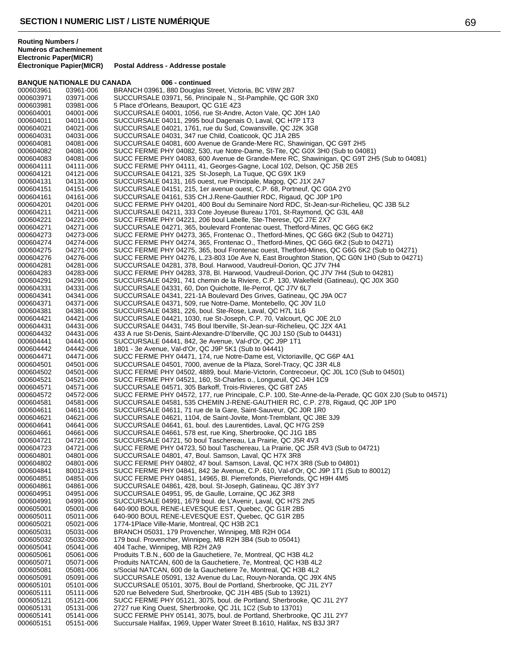**Routing Numbers / Numéros d'acheminement Electronic Paper(MICR)**

|           | <b>BANQUE NATIONALE DU CANADA</b> | 006 - continued                                                                                       |
|-----------|-----------------------------------|-------------------------------------------------------------------------------------------------------|
| 000603961 | 03961-006                         | BRANCH 03961, 880 Douglas Street, Victoria, BC V8W 2B7                                                |
| 000603971 | 03971-006                         | SUCCURSALE 03971, 56, Principale N., St-Pamphile, QC G0R 3X0                                          |
| 000603981 | 03981-006                         | 5 Place d'Orleans, Beauport, QC G1E 4Z3                                                               |
| 000604001 | 04001-006                         | SUCCURSALE 04001, 1056, rue St-Andre, Acton Vale, QC J0H 1A0                                          |
| 000604011 | 04011-006                         | SUCCURSALE 04011, 2995 boul Dagenais O, Laval, QC H7P 1T3                                             |
| 000604021 | 04021-006                         | SUCCURSALE 04021, 1761, rue du Sud, Cowansville, QC J2K 3G8                                           |
| 000604031 | 04031-006                         | SUCCURSALE 04031, 347 rue Child, Coaticook, QC J1A 2B5                                                |
| 000604081 | 04081-006                         | SUCCURSALE 04081, 600 Avenue de Grande-Mere RC, Shawinigan, QC G9T 2H5                                |
| 000604082 | 04081-006                         | SUCC FERME PHY 04082, 530, rue Notre-Dame, St-Tite, QC G0X 3H0 (Sub to 04081)                         |
| 000604083 | 04081-006                         | SUCC FERME PHY 04083, 600 Avenue de Grande-Mere RC, Shawinigan, QC G9T 2H5 (Sub to 04081)             |
| 000604111 | 04111-006                         | SUCC FERME PHY 04111, 41, Georges-Gagne, Local 102, Delson, QC J5B 2E5                                |
| 000604121 | 04121-006                         | SUCCURSALE 04121, 325 St-Joseph, La Tuque, QC G9X 1K9                                                 |
| 000604131 | 04131-006                         | SUCCURSALE 04131, 165 ouest, rue Principale, Magog, QC J1X 2A7                                        |
| 000604151 | 04151-006                         | SUCCURSALE 04151, 215, 1er avenue ouest, C.P. 68, Portneuf, QC G0A 2Y0                                |
| 000604161 | 04161-006                         | SUCCURSALE 04161, 535 CH.J.Rene-Gauthier RDC, Rigaud, QC J0P 1P0                                      |
| 000604201 | 04201-006                         | SUCC FERME PHY 04201, 400 Boul du Seminaire Nord RDC, St-Jean-sur-Richelieu, QC J3B 5L2               |
| 000604211 | 04211-006                         | SUCCURSALE 04211, 333 Cote Joyeuse Bureau 1701, St-Raymond, QC G3L 4A8                                |
| 000604221 | 04221-006                         | SUCC FERME PHY 04221, 206 boul Labelle, Ste-Therese, QC J7E 2X7                                       |
| 000604271 | 04271-006                         | SUCCURSALE 04271, 365, boulevard Frontenac ouest, Thetford-Mines, QC G6G 6K2                          |
| 000604273 | 04273-006                         | SUCC FERME PHY 04273, 365, Frontenac O., Thetford-Mines, QC G6G 6K2 (Sub to 04271)                    |
| 000604274 | 04274-006                         | SUCC FERME PHY 04274, 365, Frontenac O., Thetford-Mines, QC G6G 6K2 (Sub to 04271)                    |
| 000604275 | 04271-006                         | SUCC FERME PHY 04275, 365, boul Frontenac ouest, Thetford-Mines, QC G6G 6K2 (Sub to 04271)            |
| 000604276 |                                   | SUCC FERME PHY 04276, L.23-803 10e Ave N, East Broughton Station, QC G0N 1H0 (Sub to 04271)           |
|           | 04276-006                         |                                                                                                       |
| 000604281 | 04281-006                         | SUCCURSALE 04281, 378, Boul. Harwood, Vaudreuil-Dorion, QC J7V 7H4                                    |
| 000604283 | 04283-006                         | SUCC FERME PHY 04283, 378, Bl. Harwood, Vaudreuil-Dorion, QC J7V 7H4 (Sub to 04281)                   |
| 000604291 | 04291-006                         | SUCCURSALE 04291, 741 chemin de la Riviere, C.P. 130, Wakefield (Gatineau), QC J0X 3G0                |
| 000604331 | 04331-006                         | SUCCURSALE 04331, 60, Don Quichotte, Ile-Perrot, QC J7V 6L7                                           |
| 000604341 | 04341-006                         | SUCCURSALE 04341, 221-1A Boulevard Des Grives, Gatineau, QC J9A 0C7                                   |
| 000604371 | 04371-006                         | SUCCURSALE 04371, 509, rue Notre-Dame, Montebello, QC J0V 1L0                                         |
| 000604381 | 04381-006                         | SUCCURSALE 04381, 226, boul. Ste-Rose, Laval, QC H7L 1L6                                              |
| 000604421 | 04421-006                         | SUCCURSALE 04421, 1030, rue St-Joseph, C.P. 70, Valcourt, QC J0E 2L0                                  |
| 000604431 | 04431-006                         | SUCCURSALE 04431, 745 Boul Iberville, St-Jean-sur-Richelieu, QC J2X 4A1                               |
| 000604432 | 04431-006                         | 433 A rue St-Denis, Saint-Alexandre-D'Iberville, QC J0J 1S0 (Sub to 04431)                            |
| 000604441 | 04441-006                         | SUCCURSALE 04441, 842, 3e Avenue, Val-d'Or, QC J9P 1T1                                                |
| 000604442 | 04442-006                         | 1801 - 3e Avenue, Val-d'Or, QC J9P 5K1 (Sub to 04441)                                                 |
| 000604471 | 04471-006                         | SUCC FERME PHY 04471, 174, rue Notre-Dame est, Victoriaville, QC G6P 4A1                              |
| 000604501 | 04501-006                         | SUCCURSALE 04501, 7000, avenue de la Plaza, Sorel-Tracy, QC J3R 4L8                                   |
| 000604502 | 04501-006                         | SUCC FERME PHY 04502, 4889, boul. Marie-Victorin, Contrecoeur, QC J0L 1C0 (Sub to 04501)              |
| 000604521 | 04521-006                         | SUCC FERME PHY 04521, 160, St-Charles o., Longueuil, QC J4H 1C9                                       |
| 000604571 | 04571-006                         | SUCCURSALE 04571, 305 Barkoff, Trois-Rivieres, QC G8T 2A5                                             |
| 000604572 | 04572-006                         | SUCC FERME PHY 04572, 177, rue Principale, C.P. 100, Ste-Anne-de-la-Perade, QC G0X 2J0 (Sub to 04571) |
| 000604581 | 04581-006                         | SUCCURSALE 04581, 535 CHEMIN J-RENE-GAUTHIER RC, C.P. 278, Rigaud, QC J0P 1P0                         |
| 000604611 | 04611-006                         | SUCCURSALE 04611, 71 rue de la Gare, Saint-Sauveur, QC J0R 1R0                                        |
| 000604621 | 04621-006                         | SUCCURSALE 04621, 1104, de Saint-Jovite, Mont-Tremblant, QC J8E 3J9                                   |
| 000604641 | 04641-006                         | SUCCURSALE 04641, 61, boul. des Laurentides, Laval, QC H7G 2S9                                        |
| 000604661 | 04661-006                         | SUCCURSALE 04661, 578 est, rue King, Sherbrooke, QC J1G 1B5                                           |
| 000604721 | 04721-006                         | SUCCURSALE 04721, 50 boul Taschereau, La Prairie, QC J5R 4V3                                          |
| 000604723 | 04721-006                         | SUCC FERME PHY 04723, 50 boul Taschereau, La Prairie, QC J5R 4V3 (Sub to 04721)                       |
| 000604801 | 04801-006                         | SUCCURSALE 04801, 47, Boul. Samson, Laval, QC H7X 3R8                                                 |
| 000604802 | 04801-006                         | SUCC FERME PHY 04802, 47 boul. Samson, Laval, QC H7X 3R8 (Sub to 04801)                               |
| 000604841 | 80012-815                         | SUCC FERME PHY 04841, 842 3e Avenue, C.P. 610, Val-d'Or, QC J9P 1T1 (Sub to 80012)                    |
| 000604851 | 04851-006                         | SUCC FERME PHY 04851, 14965, Bl. Pierrefonds, Pierrefonds, QC H9H 4M5                                 |
| 000604861 | 04861-006                         | SUCCURSALE 04861, 428, boul. St-Joseph, Gatineau, QC J8Y 3Y7                                          |
| 000604951 | 04951-006                         | SUCCURSALE 04951, 95, de Gaulle, Lorraine, QC J6Z 3R8                                                 |
| 000604991 | 04991-006                         | SUCCURSALE 04991, 1679 boul. de L'Avenir, Laval, QC H7S 2N5                                           |
| 000605001 | 05001-006                         | 640-900 BOUL RENE-LEVESQUE EST, Quebec, QC G1R 2B5                                                    |
| 000605011 | 05011-006                         | 640-900 BOUL RENE-LEVESQUE EST, Quebec, QC G1R 2B5                                                    |
| 000605021 | 05021-006                         | 1774-1 Place Ville-Marie, Montreal, QC H3B 2C1                                                        |
| 000605031 | 05031-006                         | BRANCH 05031, 179 Provencher, Winnipeg, MB R2H 0G4                                                    |
| 000605032 | 05032-006                         | 179 boul. Provencher, Winnipeg, MB R2H 3B4 (Sub to 05041)                                             |
| 000605041 | 05041-006                         | 404 Tache, Winnipeg, MB R2H 2A9                                                                       |
| 000605061 | 05061-006                         | Produits T.B.N., 600 de la Gauchetiere, 7e, Montreal, QC H3B 4L2                                      |
| 000605071 | 05071-006                         | Produits NATCAN, 600 de la Gauchetiere, 7e, Montreal, QC H3B 4L2                                      |
| 000605081 | 05081-006                         | s/Social NATCAN, 600 de la Gauchetiere 7e, Montreal, QC H3B 4L2                                       |
| 000605091 | 05091-006                         | SUCCURSALE 05091, 132 Avenue du Lac, Rouyn-Noranda, QC J9X 4N5                                        |
| 000605101 | 05101-006                         | SUCCURSALE 05101, 3075, Boul de Portland, Sherbrooke, QC J1L 2Y7                                      |
| 000605111 | 05111-006                         | 520 rue Belvedere Sud, Sherbrooke, QC J1H 4B5 (Sub to 13921)                                          |
| 000605121 | 05121-006                         | SUCC FERME PHY 05121, 3075, boul. de Portland, Sherbrooke, QC J1L 2Y7                                 |
| 000605131 | 05131-006                         | 2727 rue King Ouest, Sherbrooke, QC J1L 1C2 (Sub to 13701)                                            |
| 000605141 | 05141-006                         | SUCC FERME PHY 05141, 3075, boul. de Portland, Sherbrooke, QC J1L 2Y7                                 |
| 000605151 | 05151-006                         | Succursale Halifax, 1969, Upper Water Street B.1610, Halifax, NS B3J 3R7                              |
|           |                                   |                                                                                                       |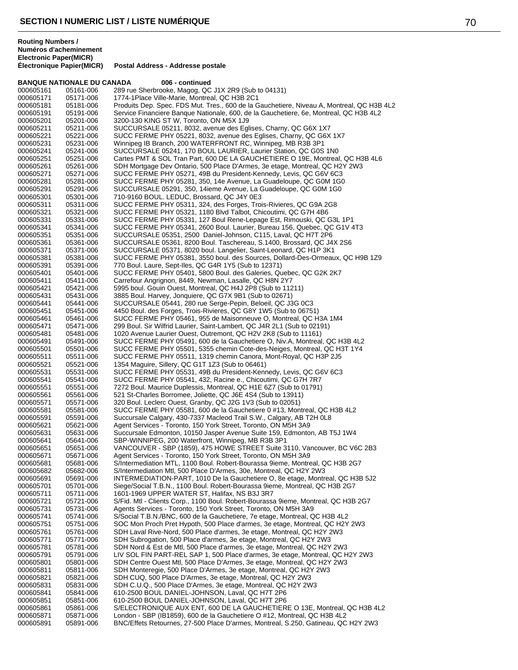**BANQUE NATIONALE DU CANADA** 006 - continued<br>000605161 05161-006 289 rue Sherbrooke, Magog, OC 000605161 05161-006 289 rue Sherbrooke, Magog, QC J1X 2R9 (Sub to 04131) 000605171 05171-006 1774-1Place Ville-Marie, Montreal, QC H3B 2C1 Produits Dep. Spec. FDS Mut. Tres., 600 de la Gauchetiere, Niveau A, Montreal, QC H3B 4L2 000605191 05191-006 Service Financiere Banque Nationale, 600, de la Gauchetiere, 6e, Montreal, QC H3B 4L2<br>000605201 05201-006 3200-130 KING ST W, Toronto, ON M5X 1J9 000605201 05201-006 3200-130 KING ST W, Toronto, ON M5X 1J9 000605211 05211-006 SUCCURSALE 05211, 8032, avenue des Eglises, Charny, QC G6X 1X7<br>000605221 05221-006 SUCC FERME PHY 05221, 8032, avenue des Eglises, Charny, QC G6X 000605221 05221-006 SUCC FERME PHY 05221, 8032, avenue des Eglises, Charny, QC G6X 1X7 Winnipeg IB Branch, 200 WATERFRONT RC, Winnipeg, MB R3B 3P1 000605241 05241-006 SUCCURSALE 05241, 170 BOUL LAURIER, Laurier Station, QC G0S 1N0<br>000605251 05251-006 Cartes PMT & SOL Tran Part, 600 DE LA GAUCHETIERE O 19E, Montreal 000605251 05251-006 Cartes PMT & SOL Tran Part, 600 DE LA GAUCHETIERE O 19E, Montreal, QC H3B 4L6<br>000605261 05261-006 SDH Mortgage Dev Ontario, 500 Place D'Armes, 3e etage, Montreal, QC H2Y 2W3 000605261 05261-006 SDH Mortgage Dev Ontario, 500 Place D'Armes, 3e etage, Montreal, QC H2Y 2W3<br>000605271 05271-006 SUCC FERME PHY 05271, 49B du President-Kennedy, Levis, QC G6V 6C3 000605271 05271-006 SUCC FERME PHY 05271, 49B du President-Kennedy, Levis, QC G6V 6C3 000605281 05281-006 SUCC FERME PHY 05281, 350, 14e Avenue, La Guadeloupe, QC G0M 1G0<br>000605291 05291-006 SUCCURSALE 05291, 350, 14ieme Avenue, La Guadeloupe, QC G0M 1G0 000605291 05291-006 SUCCURSALE 05291, 350, 14ieme Avenue, La Guadeloupe, QC G0M 1G0<br>000605301 05301-006 710-9160 BOUL. LEDUC, Brossard, QC J4Y 0E3 000605301 05301-006 710-9160 BOUL. LEDUC, Brossard, QC J4Y 0E3 000605311 05311-006 SUCC FERME PHY 05311, 324, des Forges, Trois-Rivieres, QC G9A 2G8<br>000605321 05321-006 SUCC FERME PHY 05321, 1180 Blvd Talbot, Chicoutimi, QC G7H 4B6 000605321 05321-006 SUCC FERME PHY 05321, 1180 Blvd Talbot, Chicoutimi, QC G7H 4B6<br>000605331 05331-006 SUCC FERME PHY 05331, 127 Boul Rene-Lepage Est, Rimouski, QC ( 000605331 05331-006 SUCC FERME PHY 05331, 127 Boul Rene-Lepage Est, Rimouski, QC G3L 1P1 000605341 05341-006 SUCC FERME PHY 05341, 2600 Boul. Laurier, Bureau 156, Quebec, QC G1V 4T3 000605351 05351-006 SUCCURSALE 05351, 2500 Daniel-Johnson, C115, Laval, QC H7T 2P6 000605361 05361-006 SUCCURSALE 05361, 8200 Boul. Taschereau, S.1400, Brossard, QC J4X 2S6 000605371 05371-006 SUCCURSALE 05371, 8020 boul. Langelier, Saint-Leonard, QC H1P 3K1 000605381 05381-006 SUCC FERME PHY 05381, 3550 boul. des Sources, Dollard-Des-Ormeaux, QC H9B 1Z9<br>000605391 05391-006 770 Boul. Laure, Sept-Iles, QC G4R 1Y5 (Sub to 12371) 000605391 05391-006 770 Boul. Laure, Sept-Iles, QC G4R 1Y5 (Sub to 12371) SUCC FERME PHY 05401, 5800 Boul. des Galeries, Quebec, QC G2K 2K7 000605411 05411-006 Carrefour Angrignon, 8449, Newman, Lasalle, QC H8N 2Y7 000605421 05421-006 5995 boul. Gouin Ouest, Montreal, QC H4J 2P8 (Sub to 11211) 000605431 05431-006 3885 Boul. Harvey, Jonquiere, QC G7X 9B1 (Sub to 02671) 000605441 05441-006 SUCCURSALE 05441, 280 rue Serge-Pepin, Beloeil, QC J3G 0C3 4450 Boul. des Forges, Trois-Rivieres, QC G8Y 1W5 (Sub to 06751) 000605461 05461-006 SUCC FERME PHY 05461, 955 de Maisonneuve O, Montreal, QC H3A 1M4 000605471 05471-006 299 Boul. Sir Wilfrid Laurier, Saint-Lambert, QC J4R 2L1 (Sub to 02191) 000605481 05481-006 1020 Avenue Laurier Ouest, Outremont, QC H2V 2K8 (Sub to 11161) 000605491 05491-006 SUCC FERME PHY 05491, 600 de la Gauchetiere O, Niv.A, Montreal, QC H3B 4L2 000605501 05501-006 SUCC FERME PHY 05501, 5355 chemin Cote-des-Neiges, Montreal, QC H3T 1Y4<br>000605511 05511-006 SUCC FERME PHY 05511, 1319 chemin Canora, Mont-Royal, QC H3P 2J5 000605511 05511-006 SUCC FERME PHY 05511, 1319 chemin Canora, Mont-Royal, QC H3P 2J5<br>000605521 05521-006 1354 Maguire, Sillery, QC G1T 1Z3 (Sub to 06461) 000605521 05521-006 1354 Maguire, Sillery, QC G1T 1Z3 (Sub to 06461)<br>000605531 05531-006 SUCC FERME PHY 05531, 49B du President-Kenn 000605531 05531-006 SUCC FERME PHY 05531, 49B du President-Kennedy, Levis, QC G6V 6C3<br>000605541 05541-006 SUCC FERME PHY 05541, 432, Racine e., Chicoutimi, QC G7H 7R7 000605541 05541-006 SUCC FERME PHY 05541, 432, Racine e., Chicoutimi, QC G7H 7R7 000605551 05551-006 7272 Boul. Maurice Duplessis, Montreal, QC H1E 6Z7 (Sub to 01791)<br>000605561 05561-006 521 St-Charles Borromee, Joliette, QC J6E 4S4 (Sub to 13911) 000605561 05561-006 521 St-Charles Borromee, Joliette, QC J6E 4S4 (Sub to 13911) 000605571 05571-006 320 Boul. Leclerc Ouest, Granby, QC J2G 1V3 (Sub to 02051) 000605581 05581-006 SUCC FERME PHY 05581, 600 de la Gauchetiere 0 #13, Montreal, QC H3B 4L2<br>000605591 05591-006 Succursale Calgary, 430-7337 Macleod Trail S.W., Calgary, AB T2H 0L8 000605591 05591-006 Succursale Calgary, 430-7337 Macleod Trail S.W., Calgary, AB T2H 0L8<br>000605621 05621-006 Agent Services - Toronto. 150 York Street. Toronto. ON M5H 3A9 000605621 05621-006 Agent Services - Toronto, 150 York Street, Toronto, ON M5H 3A9 000605631 05631-006 Succursale Edmonton, 10150 Jasper Avenue Suite 159, Edmonton, AB T5J 1W4<br>000605641 05641-006 SBP-WINNIPEG. 200 Waterfront. Winnipeg. MB R3B 3P1 000605641 05641-006 SBP-WINNIPEG, 200 Waterfront, Winnipeg, MB R3B 3P1 000605651 05651-006 VANCOUVER - SBP (1859), 475 HOWE STREET Suite 3110, Vancouver, BC V6C 2B3<br>000605671 05671-006 Agent Services - Toronto, 150 York Street, Toronto, ON M5H 3A9 000605671 05671-006 Agent Services - Toronto, 150 York Street, Toronto, ON M5H 3A9<br>000605681 05681-006 S/Intermediation MTL, 1100 Boul, Robert-Bourassa 9ieme, Montre 000605681 05681-006 S/Intermediation MTL, 1100 Boul. Robert-Bourassa 9ieme, Montreal, QC H3B 2G7<br>000605682 05682-006 S/Intermediation Mtl, 500 Place D'Armes, 30e, Montreal, QC H2Y 2W3 000605682 05682-006 S/Intermediation Mtl, 500 Place D'Armes, 30e, Montreal, QC H2Y 2W3 INTERMEDIATION-PART, 1010 De la Gauchetiere O, 8e etage, Montreal, QC H3B 5J2 000605701 05701-006 Siege/Social T.B.N., 1100 Boul. Robert-Bourassa 9ieme, Montreal, QC H3B 2G7 000605711 05711-006 1601-1969 UPPER WATER ST, Halifax, NS B3J 3R7<br>000605721 05721-006 S/Fid. Mtl - Clients Corp., 1100 Boul. Robert-Bourassa 000605721 05721-006 S/Fid. Mtl - Clients Corp., 1100 Boul. Robert-Bourassa 9ieme, Montreal, QC H3B 2G7<br>000605731 05731-006 Agents Services - Toronto, 150 York Street, Toronto, ON M5H 3A9 000605731 05731-006 Agents Services - Toronto, 150 York Street, Toronto, ON M5H 3A9 000605741 05741-006 S/Social T.B.N./BNC, 600 de la Gauchetiere, 7e etage, Montreal, QC H3B 4L2 000605751 05751-006 SOC Mon Proch Pret Hypoth, 500 Place d'armes, 3e etage, Montreal, QC H2Y 2W3<br>000605761 05761-006 SDH Laval Rive-Nord, 500 Place d'armes, 3e etage, Montreal, QC H2Y 2W3 000605761 05761-006 SDH Laval Rive-Nord, 500 Place d'armes, 3e etage, Montreal, QC H2Y 2W3<br>000605771 05771-006 SDH Subrogation, 500 Place d'armes, 3e etage, Montreal, QC H2Y 2W3 000605771 05771-006 SDH Subrogation, 500 Place d'armes, 3e etage, Montreal, QC H2Y 2W3 000605781 05781-006 SDH Nord & Est de Mtl, 500 Place d'armes, 3e etage, Montreal, QC H2Y 2W3 000605791 05791-006 LIV SOL FIN PART-REL SAP 1, 500 Place d'armes, 3e etage, Montreal, QC H2Y 2W3<br>000605801 05801-006 SDH Centre Ouest Mtl, 500 Place D'Armes, 3e etage, Montreal, QC H2Y 2W3 000605801 05801-006 SDH Centre Ouest Mtl, 500 Place D'Armes, 3e etage, Montreal, QC H2Y 2W3<br>000605811 05811-006 SDH Monteregie. 500 Place D'Armes. 3e etage. Montreal. QC H2Y 2W3 000605811 05811-006 SDH Monteregie, 500 Place D'Armes, 3e etage, Montreal, QC H2Y 2W3<br>000605821 05821-006 SDH CUQ, 500 Place D'Armes, 3e etage, Montreal, QC H2Y 2W3 000605821 05821-006 SDH CUQ, 500 Place D'Armes, 3e etage, Montreal, QC H2Y 2W3 000605831 05831-006 SDH C.U.Q., 500 Place D'Armes, 3e etage, Montreal, QC H2Y 2W3 000605841 05841-006 610-2500 BOUL DANIEL-JOHNSON, Laval, QC H7T 2P6 000605851 05851-006 610-2500 BOUL DANIEL-JOHNSON, Laval, QC H7T 2P6 S/ELECTRONIQUE AUX ENT, 600 DE LA GAUCHETIERE O 13E, Montreal, QC H3B 4L2 000605871 05871-006 London - SBP (IB1859), 600 de la Gauchetiere O #12, Montreal, QC H3B 4L2 BNC/Effets Retournes, 27-500 Place D'armes, Montreal, S.250, Gatineau, QC H2Y 2W3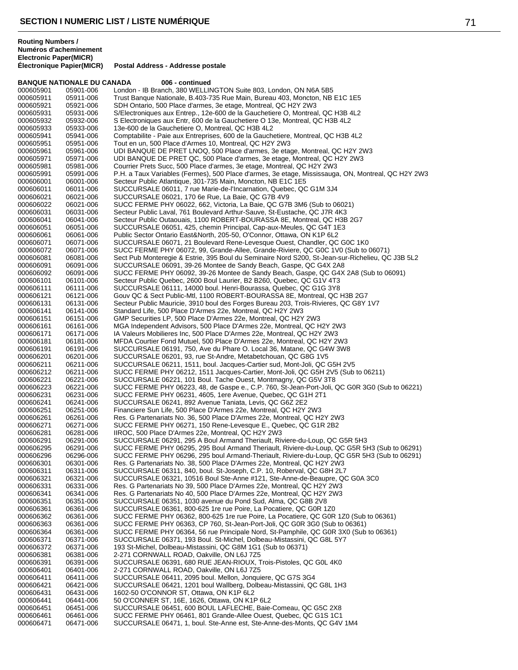|           | <b>BANQUE NATIONALE DU CANADA</b> | 006 - continued                                                                                    |
|-----------|-----------------------------------|----------------------------------------------------------------------------------------------------|
| 000605901 | 05901-006                         | London - IB Branch, 380 WELLINGTON Suite 803, London, ON N6A 5B5                                   |
| 000605911 | 05911-006                         | Trust Banque Nationale, B.403-735 Rue Main, Bureau 403, Moncton, NB E1C 1E5                        |
| 000605921 | 05921-006                         | SDH Ontario, 500 Place d'armes, 3e etage, Montreal, QC H2Y 2W3                                     |
| 000605931 | 05931-006                         | S/Electroniques aux Entrep., 12e-600 de la Gauchetiere O, Montreal, QC H3B 4L2                     |
| 000605932 | 05932-006                         | S Electroniques aux Entr, 600 de la Gauchetiere O 13e, Montreal, QC H3B 4L2                        |
| 000605933 | 05933-006                         | 13e-600 de la Gauchetiere O, Montreal, QC H3B 4L2                                                  |
| 000605941 | 05941-006                         | Comptabilite - Paie aux Entreprises, 600 de la Gauchetiere, Montreal, QC H3B 4L2                   |
| 000605951 | 05951-006                         | Tout en un, 500 Place d'Armes 10, Montreal, QC H2Y 2W3                                             |
| 000605961 | 05961-006                         | UDI BANQUE DE PRET LNOQ, 500 Place d'armes, 3e etage, Montreal, QC H2Y 2W3                         |
| 000605971 | 05971-006                         | UDI BANQUE DE PRET QC, 500 Place d'armes, 3e etage, Montreal, QC H2Y 2W3                           |
| 000605981 | 05981-006                         | Courrier Prets Succ, 500 Place d'armes, 3e etage, Montreal, QC H2Y 2W3                             |
| 000605991 | 05991-006                         | P.H. a Taux Variables (Fermes), 500 Place d'armes, 3e etage, Mississauga, ON, Montreal, QC H2Y 2W3 |
| 000606001 | 06001-006                         | Secteur Public Atlantique, 301-735 Main, Moncton, NB E1C 1E5                                       |
| 000606011 | 06011-006                         | SUCCURSALE 06011, 7 rue Marie-de-l'Incarnation, Quebec, QC G1M 3J4                                 |
|           |                                   | SUCCURSALE 06021, 170 6e Rue, La Baie, QC G7B 4V9                                                  |
| 000606021 | 06021-006                         |                                                                                                    |
| 000606022 | 06021-006                         | SUCC FERME PHY 06022, 662, Victoria, La Baie, QC G7B 3M6 (Sub to 06021)                            |
| 000606031 | 06031-006                         | Secteur Public Laval, 761 Boulevard Arthur-Sauve, St-Eustache, QC J7R 4K3                          |
| 000606041 | 06041-006                         | Secteur Public Outaouais, 1100 ROBERT-BOURASSA 8E, Montreal, QC H3B 2G7                            |
| 000606051 | 06051-006                         | SUCCURSALE 06051, 425, chemin Principal, Cap-aux-Meules, QC G4T 1E3                                |
| 000606061 | 06061-006                         | Public Sector Ontario East&North, 205-50, O'Connor, Ottawa, ON K1P 6L2                             |
| 000606071 | 06071-006                         | SUCCURSALE 06071, 21 Boulevard Rene-Levesque Ouest, Chandler, QC G0C 1K0                           |
| 000606072 | 06071-006                         | SUCC FERME PHY 06072, 99, Grande-Allee, Grande-Riviere, QC G0C 1V0 (Sub to 06071)                  |
| 000606081 | 06081-006                         | Sect Pub Monteregie & Estrie, 395 Boul du Seminaire Nord S200, St-Jean-sur-Richelieu, QC J3B 5L2   |
| 000606091 | 06091-006                         | SUCCURSALE 06091, 39-26 Montee de Sandy Beach, Gaspe, QC G4X 2A8                                   |
| 000606092 | 06091-006                         | SUCC FERME PHY 06092, 39-26 Montee de Sandy Beach, Gaspe, QC G4X 2A8 (Sub to 06091)                |
| 000606101 | 06101-006                         | Secteur Public Quebec, 2600 Boul Laurier, B2 B260, Quebec, QC G1V 4T3                              |
| 000606111 | 06111-006                         | SUCCURSALE 06111, 14000 boul. Henri-Bourassa, Quebec, QC G1G 3Y8                                   |
| 000606121 | 06121-006                         | Gouv QC & Sect Public-Mtl, 1100 ROBERT-BOURASSA 8E, Montreal, QC H3B 2G7                           |
| 000606131 | 06131-006                         | Secteur Public Mauricie, 3910 boul des Forges Bureau 203, Trois-Rivieres, QC G8Y 1V7               |
| 000606141 | 06141-006                         | Standard Life, 500 Place D'Armes 22e, Montreal, QC H2Y 2W3                                         |
| 000606151 | 06151-006                         | GMP Securities LP, 500 Place D'Armes 22e, Montreal, QC H2Y 2W3                                     |
| 000606161 | 06161-006                         | MGA Independent Advisors, 500 Place D'Armes 22e, Montreal, QC H2Y 2W3                              |
| 000606171 | 06171-006                         | IA Valeurs Mobilieres Inc, 500 Place D'Armes 22e, Montreal, QC H2Y 2W3                             |
| 000606181 | 06181-006                         | MFDA Courtier Fond Mutuel, 500 Place D'Armes 22e, Montreal, QC H2Y 2W3                             |
| 000606191 | 06191-006                         | SUCCURSALE 06191, 750, Ave du Phare O. Local 36, Matane, QC G4W 3W8                                |
| 000606201 | 06201-006                         | SUCCURSALE 06201, 93, rue St-Andre, Metabetchouan, QC G8G 1V5                                      |
| 000606211 | 06211-006                         | SUCCURSALE 06211, 1511, boul. Jacques-Cartier sud, Mont-Joli, QC G5H 2V5                           |
| 000606212 | 06211-006                         | SUCC FERME PHY 06212, 1511 Jacques-Cartier, Mont-Joli, QC G5H 2V5 (Sub to 06211)                   |
| 000606221 | 06221-006                         | SUCCURSALE 06221, 101 Boul. Tache Ouest, Montmagny, QC G5V 3T8                                     |
| 000606223 | 06221-006                         | SUCC FERME PHY 06223, 48, de Gaspe e., C.P. 760, St-Jean-Port-Joli, QC G0R 3G0 (Sub to 06221)      |
| 000606231 | 06231-006                         | SUCC FERME PHY 06231, 4605, 1ere Avenue, Quebec, QC G1H 2T1                                        |
| 000606241 | 06241-006                         | SUCCURSALE 06241, 892 Avenue Taniata, Levis, QC G6Z 2E2                                            |
| 000606251 | 06251-006                         | Financiere Sun Life, 500 Place D'Armes 22e, Montreal, QC H2Y 2W3                                   |
| 000606261 | 06261-006                         | Res. G Partenariats No. 36, 500 Place D'Armes 22e, Montreal, QC H2Y 2W3                            |
| 000606271 | 06271-006                         | SUCC FERME PHY 06271, 150 Rene-Levesque E., Quebec, QC G1R 2B2                                     |
|           |                                   |                                                                                                    |
| 000606281 | 06281-006                         | IIROC, 500 Place D'Armes 22e, Montreal, QC H2Y 2W3                                                 |
| 000606291 | 06291-006                         | SUCCURSALE 06291, 295 A Boul Armand Theriault, Riviere-du-Loup, QC G5R 5H3                         |
| 000606295 | 06291-006                         | SUCC FERME PHY 06295, 295 Boul Armand Theriault, Riviere-du-Loup, QC G5R 5H3 (Sub to 06291)        |
| 000606296 | 06296-006                         | SUCC FERME PHY 06296, 295 boul Armand-Theriault, Riviere-du-Loup, QC G5R 5H3 (Sub to 06291)        |
| 000606301 | 06301-006                         | Res. G Partenariats No. 38, 500 Place D'Armes 22e, Montreal, QC H2Y 2W3                            |
| 000606311 | 06311-006                         | SUCCURSALE 06311, 840, boul. St-Joseph, C.P. 10, Roberval, QC G8H 2L7                              |
| 000606321 | 06321-006                         | SUCCURSALE 06321, 10516 Boul Ste-Anne #121, Ste-Anne-de-Beaupre, QC G0A 3C0                        |
| 000606331 | 06331-006                         | Res. G Partenariats No 39, 500 Place D'Armes 22e, Montreal, QC H2Y 2W3                             |
| 000606341 | 06341-006                         | Res. G Partenariats No 40, 500 Place D'Armes 22e, Montreal, QC H2Y 2W3                             |
| 000606351 | 06351-006                         | SUCCURSALE 06351, 1030 avenue du Pond Sud, Alma, QC G8B 2V8                                        |
| 000606361 | 06361-006                         | SUCCURSALE 06361, 800-625 1re rue Poire, La Pocatiere, QC G0R 1Z0                                  |
| 000606362 | 06361-006                         | SUCC FERME PHY 06362, 800-625 1re rue Poire, La Pocatiere, QC G0R 1Z0 (Sub to 06361)               |
| 000606363 | 06361-006                         | SUCC FERME PHY 06363, CP 760, St-Jean-Port-Joli, QC G0R 3G0 (Sub to 06361)                         |
| 000606364 | 06361-006                         | SUCC FERME PHY 06364, 56 rue Principale Nord, St-Pamphile, QC G0R 3X0 (Sub to 06361)               |
| 000606371 | 06371-006                         | SUCCURSALE 06371, 193 Boul. St-Michel, Dolbeau-Mistassini, QC G8L 5Y7                              |
| 000606372 | 06371-006                         | 193 St-Michel, Dolbeau-Mistassini, QC G8M 1G1 (Sub to 06371)                                       |
| 000606381 | 06381-006                         | 2-271 CORNWALL ROAD, Oakville, ON L6J 7Z5                                                          |
| 000606391 | 06391-006                         | SUCCURSALE 06391, 680 RUE JEAN-RIOUX, Trois-Pistoles, QC G0L 4K0                                   |
| 000606401 | 06401-006                         | 2-271 CORNWALL ROAD, Oakville, ON L6J 7Z5                                                          |
| 000606411 | 06411-006                         | SUCCURSALE 06411, 2095 boul. Mellon, Jonquiere, QC G7S 3G4                                         |
| 000606421 | 06421-006                         | SUCCURSALE 06421, 1201 boul Wallberg, Dolbeau-Mistassini, QC G8L 1H3                               |
| 000606431 | 06431-006                         | 1602-50 O'CONNOR ST, Ottawa, ON K1P 6L2                                                            |
| 000606441 | 06441-006                         | 50 O'CONNER ST, 16E, 1626, Ottawa, ON K1P 6L2                                                      |
| 000606451 | 06451-006                         | SUCCURSALE 06451, 600 BOUL LAFLECHE, Baie-Comeau, QC G5C 2X8                                       |
| 000606461 | 06461-006                         | SUCC FERME PHY 06461, 801 Grande-Allee Ouest, Quebec, QC G1S 1C1                                   |
| 000606471 | 06471-006                         | SUCCURSALE 06471, 1, boul. Ste-Anne est, Ste-Anne-des-Monts, QC G4V 1M4                            |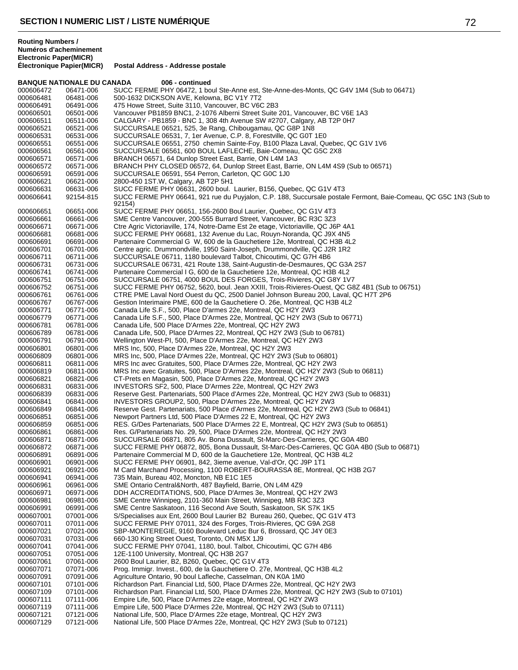**Routing Numbers / Numéros d'acheminement Electronic Paper(MICR)**

| <b>BANQUE NATIONALE DU CANADA</b> |                        | 006 - continued                                                                                                                                                          |
|-----------------------------------|------------------------|--------------------------------------------------------------------------------------------------------------------------------------------------------------------------|
| 000606472                         | 06471-006              | SUCC FERME PHY 06472, 1 boul Ste-Anne est, Ste-Anne-des-Monts, QC G4V 1M4 (Sub to 06471)                                                                                 |
| 000606481                         | 06481-006              | 500-1632 DICKSON AVE, Kelowna, BC V1Y 7T2                                                                                                                                |
| 000606491<br>000606501            | 06491-006<br>06501-006 | 475 Howe Street, Suite 3110, Vancouver, BC V6C 2B3<br>Vancouver PB1859 BNC1, 2-1076 Alberni Street Suite 201, Vancouver, BC V6E 1A3                                      |
| 000606511                         | 06511-006              | CALGARY - PB1859 - BNC 1, 308 4th Avenue SW #2707, Calgary, AB T2P 0H7                                                                                                   |
| 000606521                         | 06521-006              | SUCCURSALE 06521, 525, 3e Rang, Chibougamau, QC G8P 1N8                                                                                                                  |
| 000606531                         | 06531-006              | SUCCURSALE 06531, 7, 1er Avenue, C.P. 8, Forestville, QC G0T 1E0                                                                                                         |
| 000606551                         | 06551-006              | SUCCURSALE 06551, 2750 chemin Sainte-Foy, B100 Plaza Laval, Quebec, QC G1V 1V6                                                                                           |
| 000606561                         | 06561-006              | SUCCURSALE 06561, 600 BOUL LAFLECHE, Baie-Comeau, QC G5C 2X8                                                                                                             |
| 000606571                         | 06571-006              | BRANCH 06571, 64 Dunlop Street East, Barrie, ON L4M 1A3                                                                                                                  |
| 000606572<br>000606591            | 06571-006<br>06591-006 | BRANCH PHY CLOSED 06572, 64, Dunlop Street East, Barrie, ON L4M 4S9 (Sub to 06571)<br>SUCCURSALE 06591, 554 Perron, Carleton, QC G0C 1J0                                 |
| 000606621                         | 06621-006              | 2800-450 1ST.W, Calgary, AB T2P 5H1                                                                                                                                      |
| 000606631                         | 06631-006              | SUCC FERME PHY 06631, 2600 boul. Laurier, B156, Quebec, QC G1V 4T3                                                                                                       |
| 000606641                         | 92154-815              | SUCC FERME PHY 06641, 921 rue du Puyialon, C.P. 188, Succursale postale Fermont, Baie-Comeau, QC G5C 1N3 (Sub to<br>92154)                                               |
| 000606651                         | 06651-006              | SUCC FERME PHY 06651, 156-2600 Boul Laurier, Quebec, QC G1V 4T3                                                                                                          |
| 000606661<br>000606671            | 06661-006<br>06671-006 | SME Centre Vancouver, 200-555 Burrard Street, Vancouver, BC R3C 3Z3<br>Ctre Agric Victoriaville, 174, Notre-Dame Est 2e etage, Victoriaville, QC J6P 4A1                 |
| 000606681                         | 06681-006              | SUCC FERME PHY 06681, 132 Avenue du Lac, Rouyn-Noranda, QC J9X 4N5                                                                                                       |
| 000606691                         | 06691-006              | Partenaire Commercial G W, 600 de la Gauchetiere 12e, Montreal, QC H3B 4L2                                                                                               |
| 000606701                         | 06701-006              | Centre agric. Drummondville, 1950 Saint-Joseph, Drummondville, QC J2R 1R2                                                                                                |
| 000606711                         | 06711-006              | SUCCURSALE 06711, 1180 boulevard Talbot, Chicoutimi, QC G7H 4B6                                                                                                          |
| 000606731                         | 06731-006              | SUCCURSALE 06731, 421 Route 138, Saint-Augustin-de-Desmaures, QC G3A 2S7                                                                                                 |
| 000606741<br>000606751            | 06741-006              | Partenaire Commercial I G, 600 de la Gauchetiere 12e, Montreal, QC H3B 4L2                                                                                               |
| 000606752                         | 06751-006<br>06751-006 | SUCCURSALE 06751, 4000 BOUL DES FORGES, Trois-Rivieres, QC G8Y 1V7<br>SUCC FERME PHY 06752, 5620, boul. Jean XXIII, Trois-Rivieres-Ouest, QC G8Z 4B1 (Sub to 06751)      |
| 000606761                         | 06761-006              | CTRE PME Laval Nord Ouest du QC, 2500 Daniel Johnson Bureau 200, Laval, QC H7T 2P6                                                                                       |
| 000606767                         | 06767-006              | Gestion Interimaire PME, 600 de la Gauchetiere O. 26e, Montreal, QC H3B 4L2                                                                                              |
| 000606771                         | 06771-006              | Canada Life S.F., 500, Place D'armes 22e, Montreal, QC H2Y 2W3                                                                                                           |
| 000606779                         | 06771-006              | Canada Life S.F., 500, Place D'Armes 22e, Montreal, QC H2Y 2W3 (Sub to 06771)                                                                                            |
| 000606781                         | 06781-006              | Canada Life, 500 Place D'Armes 22e, Montreal, QC H2Y 2W3                                                                                                                 |
| 000606789<br>000606791            | 06781-006<br>06791-006 | Canada Life, 500, Place D'Armes 22, Montreal, QC H2Y 2W3 (Sub to 06781)<br>Wellington West-PI, 500, Place D'Armes 22e, Montreal, QC H2Y 2W3                              |
| 000606801                         | 06801-006              | MRS Inc, 500, Place D'Armes 22e, Montreal, QC H2Y 2W3                                                                                                                    |
| 000606809                         | 06801-006              | MRS Inc, 500, Place D'Armes 22e, Montreal, QC H2Y 2W3 (Sub to 06801)                                                                                                     |
| 000606811                         | 06811-006              | MRS Inc avec Gratuites, 500, Place D'Armes 22e, Montreal, QC H2Y 2W3                                                                                                     |
| 000606819                         | 06811-006              | MRS Inc avec Gratuites, 500, Place D'Armes 22e, Montreal, QC H2Y 2W3 (Sub to 06811)                                                                                      |
| 000606821                         | 06821-006              | CT-Prets en Magasin, 500, Place D'Armes 22e, Montreal, QC H2Y 2W3                                                                                                        |
| 000606831                         | 06831-006              | INVESTORS SF2, 500, Place D'Armes 22e, Montreal, QC H2Y 2W3                                                                                                              |
| 000606839<br>000606841            | 06831-006<br>06841-006 | Reserve Gest. Partenariats, 500 Place d'Armes 22e, Montreal, QC H2Y 2W3 (Sub to 06831)<br>INVESTORS GROUP2, 500, Place D'Armes 22e, Montreal, QC H2Y 2W3                 |
| 000606849                         | 06841-006              | Reserve Gest. Partenariats, 500 Place d'Armes 22e, Montreal, QC H2Y 2W3 (Sub to 06841)                                                                                   |
| 000606851                         | 06851-006              | Newport Partners Ltd, 500 Place D'Armes 22 E, Montreal, QC H2Y 2W3                                                                                                       |
| 000606859                         | 06851-006              | RES. G/Des Partenariats, 500 Place D'Armes 22 E, Montreal, QC H2Y 2W3 (Sub to 06851)                                                                                     |
| 000606861                         | 06861-006              | Res. G/Partenariats No. 29, 500, Place D'Armes 22e, Montreal, QC H2Y 2W3                                                                                                 |
| 000606871                         | 06871-006              | SUCCURSALE 06871, 805 Av. Bona Dussault, St-Marc-Des-Carrieres, QC G0A 4B0                                                                                               |
| 000606872<br>000606891            | 06871-006<br>06891-006 | SUCC FERME PHY 06872, 805, Bona Dussault, St-Marc-Des-Carrieres, QC G0A 4B0 (Sub to 06871)<br>Partenaire Commercial M D, 600 de la Gauchetiere 12e, Montreal, QC H3B 4L2 |
| 000606901                         | 06901-006              | SUCC FERME PHY 06901, 842, 3ieme avenue, Val-d'Or, QC J9P 1T1                                                                                                            |
| 000606921                         | 06921-006              | M Card Marchand Processing, 1100 ROBERT-BOURASSA 8E, Montreal, QC H3B 2G7                                                                                                |
| 000606941                         | 06941-006              | 735 Main, Bureau 402, Moncton, NB E1C 1E5                                                                                                                                |
| 000606961                         | 06961-006              | SME Ontario Central&North, 487 Bayfield, Barrie, ON L4M 4Z9                                                                                                              |
| 000606971                         | 06971-006              | DDH ACCREDITATIONS, 500, Place D'Armes 3e, Montreal, QC H2Y 2W3                                                                                                          |
| 000606981<br>000606991            | 06981-006<br>06991-006 | SME Centre Winnipeg, 2101-360 Main Street, Winnipeg, MB R3C 3Z3<br>SME Centre Saskatoon, 116 Second Ave South, Saskatoon, SK S7K 1K5                                     |
| 000607001                         | 07001-006              | S/Specialises aux Ent, 2600 Boul Laurier B2 Bureau 260, Quebec, QC G1V 4T3                                                                                               |
| 000607011                         | 07011-006              | SUCC FERME PHY 07011, 324 des Forges, Trois-Rivieres, QC G9A 2G8                                                                                                         |
| 000607021                         | 07021-006              | SBP-MONTEREGIE, 9160 Boulevard Leduc Bur 6, Brossard, QC J4Y 0E3                                                                                                         |
| 000607031                         | 07031-006              | 660-130 King Street Ouest, Toronto, ON M5X 1J9                                                                                                                           |
| 000607041                         | 07041-006              | SUCC FERME PHY 07041, 1180, boul. Talbot, Chicoutimi, QC G7H 4B6                                                                                                         |
| 000607051                         | 07051-006              | 12E-1100 University, Montreal, QC H3B 2G7                                                                                                                                |
| 000607061<br>000607071            | 07061-006<br>07071-006 | 2600 Boul Laurier, B2, B260, Quebec, QC G1V 4T3<br>Prog. Immigr. Invest., 600, de la Gauchetiere O. 27e, Montreal, QC H3B 4L2                                            |
| 000607091                         | 07091-006              | Agriculture Ontario, 90 boul Lafleche, Casselman, ON K0A 1M0                                                                                                             |
| 000607101                         | 07101-006              | Richardson Part. Financial Ltd, 500, Place D'Armes 22e, Montreal, QC H2Y 2W3                                                                                             |
| 000607109                         | 07101-006              | Richardson Part. Financial Ltd, 500, Place D'Armes 22e, Montreal, QC H2Y 2W3 (Sub to 07101)                                                                              |
| 000607111                         | 07111-006              | Empire Life, 500, Place D'Armes 22e etage, Montreal, QC H2Y 2W3                                                                                                          |
| 000607119                         | 07111-006              | Empire Life, 500 Place D'Armes 22e, Montreal, QC H2Y 2W3 (Sub to 07111)                                                                                                  |
| 000607121<br>000607129            | 07121-006<br>07121-006 | National Life, 500, Place D'Armes 22e etage, Montreal, QC H2Y 2W3<br>National Life, 500 Place D'Armes 22e, Montreal, QC H2Y 2W3 (Sub to 07121)                           |
|                                   |                        |                                                                                                                                                                          |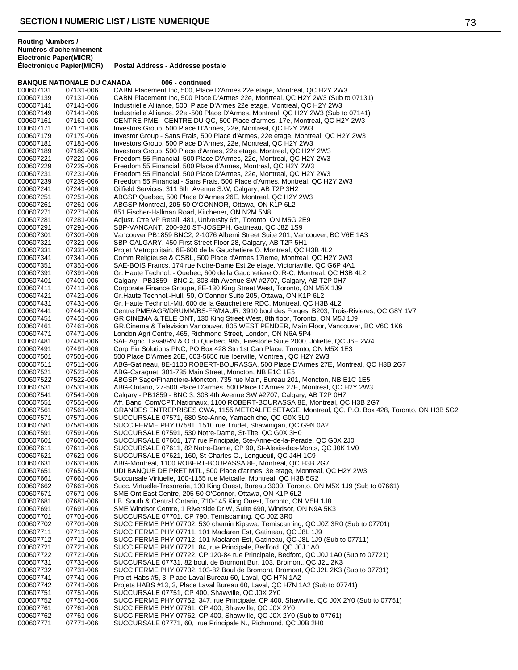### **BANQUE NATIONALE DU CANADA 006 - continued** 000607131 07131-006 CABN Placement Inc, 500, Place D'Armes 22e etage, Montreal, QC H2Y 2W3<br>000607139 07131-006 CABN Placement Inc, 500 Place D'Armes 22e, Montreal, QC H2Y 2W3 (Sub to 000607139 07131-006 CABN Placement Inc, 500 Place D'Armes 22e, Montreal, QC H2Y 2W3 (Sub to 07131)<br>000607141 07141-006 Industrielle Alliance. 500. Place D'Armes 22e etage. Montreal. QC H2Y 2W3 Industrielle Alliance, 500, Place D'Armes 22e etage, Montreal, QC H2Y 2W3 000607149 07141-006 Industrielle Alliance, 22e -500 Place D'Armes, Montreal, QC H2Y 2W3 (Sub to 07141)<br>000607161 07161-006 CENTRE PME - CENTRE DU QC, 500 Place d'armes, 17e, Montreal, QC H2Y 2W3 CENTRE PME - CENTRE DU QC, 500 Place d'armes, 17e, Montreal, QC H2Y 2W3 000607171 07171-006 Investors Group, 500 Place D'Armes, 22e, Montreal, QC H2Y 2W3 000607179 07179-006 Investor Group - Sans Frais, 500 Place d'Armes, 22e etage, Montreal, QC H2Y 2W3<br>000607181 07181-006 Investors Group, 500 Place D'Armes, 22e, Montreal, QC H2Y 2W3 Investors Group, 500 Place D'Armes, 22e, Montreal, QC H2Y 2W3 000607189 07189-006 Investors Group, 500 Place d'Armes, 22e etage, Montreal, QC H2Y 2W3 000607221 07221-006 Freedom 55 Financial, 500 Place D'Armes, 22e, Montreal, QC H2Y 2W3 000607229 07229-006 Freedom 55 Financial, 500 Place d'Armes, Montreal, QC H2Y 2W3 000607231 07231-006 Freedom 55 Financial, 500 Place D'Armes, 22e, Montreal, QC H2Y 2W3 000607239 07239-006 Freedom 55 Financial - Sans Frais, 500 Place d'Armes, Montreal, QC H2Y 2W3<br>000607241 07241-006 Oilfield Services, 311 6th Avenue S.W, Calgary, AB T2P 3H2 000607241 07241-006 Oilfield Services, 311 6th Avenue S.W, Calgary, AB T2P 3H2 000607251 07251-006 ABGSP Quebec, 500 Place D'Armes 26E, Montreal, QC H2Y 2W3<br>000607261 07261-006 ABGSP Montreal, 205-50 O'CONNOR, Ottawa, ON K1P 6L2 000607261 07261-006 ABGSP Montreal, 205-50 O'CONNOR, Ottawa, ON K1P 6L2<br>000607271 07271-006 851 Fischer-Hallman Road, Kitchener, ON N2M 5N8 000607271 07271-006 851 Fischer-Hallman Road, Kitchener, ON N2M 5N8<br>000607281 07281-006 Adjust. Ctre VP Retail, 481, University 6th, Toronto, 0 000607281 07281-006 Adjust. Ctre VP Retail, 481, University 6th, Toronto, ON M5G 2E9<br>000607291 07291-006 SBP-VANCANT, 200-920 ST-JOSEPH, Gatineau, QC J8Z 1S9 000607291 07291-006 SBP-VANCANT, 200-920 ST-JOSEPH, Gatineau, QC J8Z 1S9 000607301 07301-006 Vancouver PB1859 BNC2, 2-1076 Alberni Street Suite 201, Vancouver, BC V6E 1A3<br>000607321 07321-006 SBP-CALGARY, 450 First Street Floor 28, Calgary, AB T2P 5H1 000607321 07321-006 SBP-CALGARY, 450 First Street Floor 28, Calgary, AB T2P 5H1<br>000607331 07331-006 Projet Metropolitain, 6E-600 de la Gauchetiere O, Montreal, QC I 07331-006 Projet Metropolitain, 6E-600 de la Gauchetiere O, Montreal, QC H3B 4L2<br>07341-006 Comm Religieuse & OSBL, 500 Place d'Armes 17ieme, Montreal, OC H2 000607341 07341-006 Comm Religieuse & OSBL, 500 Place d'Armes 17ieme, Montreal, QC H2Y 2W3 000607351 07351-006 SAE-BOIS Francs, 174 rue Notre-Dame Est 2e etage, Victoriaville, QC G6P 4A1 Gr. Haute Technol. - Quebec, 600 de la Gauchetiere O. R-C, Montreal, QC H3B 4L2 000607401 07401-006 Calgary - PB1859 - BNC 2, 308 4th Avenue SW #2707, Calgary, AB T2P 0H7<br>000607411 07411-006 Corporate Finance Groupe, 8E-130 King Street West, Toronto, ON M5X 1J9 000607411 07411-006 Corporate Finance Groupe, 8E-130 King Street West, Toronto, ON M5X 1J9<br>000607421 07421-006 Gr.Haute Technol.-Hull. 50. O'Connor Suite 205. Ottawa. ON K1P 6L2 000607421 07421-006 Gr.Haute Technol.-Hull, 50, O'Connor Suite 205, Ottawa, ON K1P 6L2 000607431 07431-006 Gr. Haute Technol.-Mtl, 600 de la Gauchetiere RDC, Montreal, QC H3B 4L2<br>000607441 07441-006 Centre PME/AGR/DRUMM/BS-FR/MAUR. 3910 boul des Forges. B203. Tro Centre PME/AGR/DRUMM/BS-FR/MAUR, 3910 boul des Forges, B203, Trois-Rivieres, QC G8Y 1V7 000607451 07451-006 GR CINEMA & TELE ONT, 130 King Street West, 8th floor, Toronto, ON M5J 1J9<br>000607461 07461-006 GR.Cinema & Television Vancouver, 805 WEST PENDER, Main Floor, Vancouver 000607461 07461-006 GR.Cinema & Television Vancouver, 805 WEST PENDER, Main Floor, Vancouver, BC V6C 1K6<br>000607471 07471-006 London Agri Centre, 465, Richmond Street, London, ON N6A 5P4 000607471 07471-006 London Agri Centre, 465, Richmond Street, London, ON N6A 5P4<br>000607481 07481-006 SAE Agric. Laval/RN & O du Quebec. 985. Firestone Suite 2000. 000607481 07481-006 SAE Agric. Laval/RN & O du Quebec, 985, Firestone Suite 2000, Joliette, QC J6E 2W4<br>000607491 07491-006 Corp Fin Solutions PNC. PO Box 428 Stn 1st Can Place. Toronto. ON M5X 1E3 000607491 07491-006 Corp Fin Solutions PNC, PO Box 428 Stn 1st Can Place, Toronto, ON M5X 1E3<br>000607501 07501-006 500 Place D'Armes 26E, 603-5650 rue Iberville, Montreal, QC H2Y 2W3 000607501 07501-006 500 Place D'Armes 26E, 603-5650 rue Iberville, Montreal, QC H2Y 2W3 000607511 07511-006 ABG-Gatineau, 8E-1100 ROBERT-BOURASSA, 500 Place D'Armes 27E, Montreal, QC H3B 2G7<br>000607521 07521-006 ABG-Caraquet, 301-735 Main Street, Moncton, NB E1C 1E5 000607521 07521-006 ABG-Caraquet, 301-735 Main Street, Moncton, NB E1C 1E5<br>000607522 07522-006 ABGSP Sage/Financiere-Moncton, 735 rue Main, Bureau 20 000607522 07522-006 ABGSP Sage/Financiere-Moncton, 735 rue Main, Bureau 201, Moncton, NB E1C 1E5<br>000607531 07531-006 ABG-Ontario, 27-500 Place D'armes, 500 Place D'Armes 27E, Montreal, QC H2Y 2W3 000607531 07531-006 ABG-Ontario, 27-500 Place D'armes, 500 Place D'Armes 27E, Montreal, QC H2Y 2W3<br>000607541 07541-006 Calgary - PB1859 - BNC 3, 308 4th Avenue SW #2707, Calgary, AB T2P 0H7 000607541 07541-006 Calgary - PB1859 - BNC 3, 308 4th Avenue SW #2707, Calgary, AB T2P 0H7<br>000607551 07551-006 Aff. Banc. Com/CPT.Nationaux. 1100 ROBERT-BOURASSA 8E. Montreal. Q Aff. Banc. Com/CPT.Nationaux, 1100 ROBERT-BOURASSA 8E, Montreal, QC H3B 2G7 000607561 07561-006 GRANDES ENTREPRISES CWA, 1155 METCALFE 5ETAGE, Montreal, QC, P.O. Box 428, Toronto, ON H3B 5G2<br>000607571 07571-006 SUCCURSALE 07571, 680 Ste-Anne, Yamachiche, QC G0X 3L0 000607571 07571-006 SUCCURSALE 07571, 680 Ste-Anne, Yamachiche, QC G0X 3L0 000607581 07581-006 SUCC FERME PHY 07581, 1510 rue Trudel, Shawinigan, QC G9N 0A2<br>000607591 07591-006 SUCCURSALE 07591, 530 Notre-Dame, St-Tite, QC G0X 3H0 000607591 07591-006 SUCCURSALE 07591, 530 Notre-Dame, St-Tite, QC G0X 3H0<br>000607601 07601-006 SUCCURSALE 07601. 177 rue Principale. Ste-Anne-de-la-Pera SUCCURSALE 07601, 177 rue Principale, Ste-Anne-de-la-Perade, QC G0X 2J0 000607611 07611-006 SUCCURSALE 07611, 82 Notre-Dame, CP 90, St-Alexis-des-Monts, QC J0K 1V0<br>000607621 07621-006 SUCCURSALE 07621, 160, St-Charles O., Longueuil, QC J4H 1C9 SUCCURSALE 07621, 160, St-Charles O., Longueuil, QC J4H 1C9 000607631 07631-006 ABG-Montreal, 1100 ROBERT-BOURASSA 8E, Montreal, QC H3B 2G7<br>000607651 07651-006 UDI BANQUE DE PRET MTL, 500 Place d'armes, 3e etage, Montreal, C 000607651 07651-006 UDI BANQUE DE PRET MTL, 500 Place d'armes, 3e etage, Montreal, QC H2Y 2W3<br>000607661 07661-006 Succursale Virtuelle, 100-1155 rue Metcalfe, Montreal, QC H3B 5G2 Succursale Virtuelle, 100-1155 rue Metcalfe, Montreal, QC H3B 5G2 000607662 07661-006 Succ. Virtuelle-Tresorerie, 130 King Ouest, Bureau 3000, Toronto, ON M5X 1J9 (Sub to 07661)<br>000607671 07671-006 SME Ont East Centre, 205-50 O'Connor, Ottawa, ON K1P 6L2 000607671 07671-006 SME Ont East Centre, 205-50 O'Connor, Ottawa, ON K1P 6L2 000607681 07681-006 I.B. South & Central Ontario, 710-145 King Ouest, Toronto, ON M5H 1J8<br>000607691 07691-006 SME Windsor Centre, 1 Riverside Dr W, Suite 690, Windsor, ON N9A 5K: 000607691 07691-006 SME Windsor Centre, 1 Riverside Dr W, Suite 690, Windsor, ON N9A 5K3<br>000607701 07701-006 SUCCURSALE 07701, CP 790, Temiscaming, OC J07 3R0 000607701 07701-006 SUCCURSALE 07701, CP 790, Temiscaming, QC J0Z 3R0<br>000607702 07701-006 SUCC FERME PHY 07702, 530 chemin Kipawa, Temiscami 000607702 07701-006 SUCC FERME PHY 07702, 530 chemin Kipawa, Temiscaming, QC J0Z 3R0 (Sub to 07701)<br>000607711 07711-006 SUCC FERME PHY 07711, 101 Maclaren Est, Gatineau, QC J8L 1J9 000607711 07711-006 SUCC FERME PHY 07711, 101 Maclaren Est, Gatineau, QC J8L 1J9 000607712 07711-006 SUCC FERME PHY 07712, 101 Maclaren Est, Gatineau, QC J8L 1J9 (Sub to 07711) 000607721 07721-006 SUCC FERME PHY 07721, 84, rue Principale, Bedford, QC J0J 1A0<br>000607722 07721-006 SUCC FERME PHY 07722, CP.120-84 rue Principale, Bedford, QC J 000607722 07721-006 SUCC FERME PHY 07722, CP.120-84 rue Principale, Bedford, QC J0J 1A0 (Sub to 07721)<br>000607731 07731-006 SUCCURSALE 07731, 82 boul. de Bromont Bur. 103, Bromont, QC J2L 2K3 000607731 07731-006 SUCCURSALE 07731, 82 boul. de Bromont Bur. 103, Bromont, QC J2L 2K3 SUCC FERME PHY 07732, 103-82 Boul de Bromont, Bromont, QC J2L 2K3 (Sub to 07731) 000607741 07741-006 Projet Habs #5, 3, Place Laval Bureau 60, Laval, QC H7N 1A2 07741-006 Projets HABS #13, 3, Place Laval Bureau 60, Laval, QC H7N 1A2 (Sub to 07741)<br>07751-006 SUCCURSALE 07751. CP 400. Shawville. QC J0X 2Y0 000607751 07751-006 SUCCURSALE 07751, CP 400, Shawville, QC J0X 2Y0<br>000607752 07751-006 SUCC FERME PHY 07752, 347, rue Principale, CP 400 000607752 07751-006 SUCC FERME PHY 07752, 347, rue Principale, CP 400, Shawville, QC J0X 2Y0 (Sub to 07751)<br>000607761 07761-006 SUCC FERME PHY 07761. CP 400. Shawville. QC J0X 2Y0 SUCC FERME PHY 07761, CP 400, Shawville, QC J0X 2Y0 000607762 07761-006 SUCC FERME PHY 07762, CP 400, Shawville, QC J0X 2Y0 (Sub to 07761)<br>000607771 07771-006 SUCCURSALE 07771, 60, rue Principale N., Richmond, QC J0B 2H0 SUCCURSALE 07771, 60, rue Principale N., Richmond, QC J0B 2H0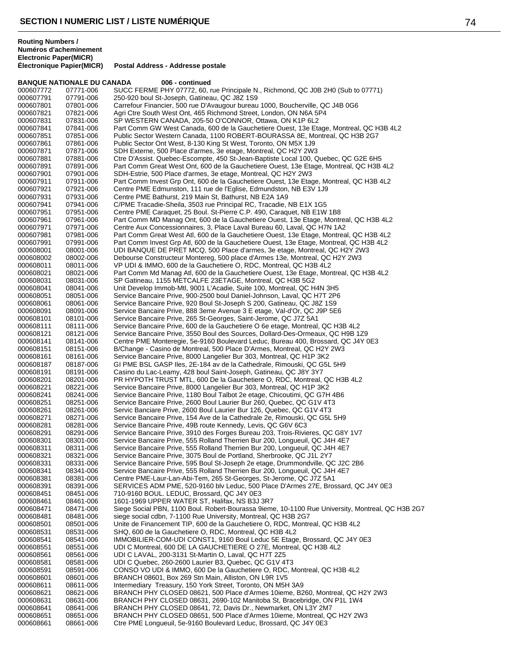### **BANQUE NATIONALE DU CANADA 006 - continued**

| 000607772              | 07771-006              | SUCC FERME PHY 07772, 60, rue Principale N., Richmond, QC J0B 2H0 (Sub to 07771)                                                                        |
|------------------------|------------------------|---------------------------------------------------------------------------------------------------------------------------------------------------------|
| 000607791              | 07791-006              | 250-920 boul St-Joseph, Gatineau, QC J8Z 1S9                                                                                                            |
| 000607801              | 07801-006              | Carrefour Financier, 500 rue D'Avaugour bureau 1000, Boucherville, QC J4B 0G6                                                                           |
| 000607821              | 07821-006              | Agri Ctre South West Ont, 465 Richmond Street, London, ON N6A 5P4                                                                                       |
| 000607831              | 07831-006              | SP WESTERN CANADA, 205-50 O'CONNOR, Ottawa, ON K1P 6L2                                                                                                  |
| 000607841              | 07841-006              | Part Comm GW West Canada, 600 de la Gauchetiere Ouest, 13e Etage, Montreal, QC H3B 4L2                                                                  |
| 000607851              | 07851-006              | Public Sector Western Canada, 1100 ROBERT-BOURASSA 8E, Montreal, QC H3B 2G7                                                                             |
| 000607861              | 07861-006              | Public Sector Ont West, 8-130 King St West, Toronto, ON M5X 1J9                                                                                         |
| 000607871              | 07871-006              | SDH Externe, 500 Place d'armes, 3e etage, Montreal, QC H2Y 2W3                                                                                          |
| 000607881              | 07881-006              | Ctre D'Assist. Quebec-Escompte, 450 St-Jean-Baptiste Local 100, Quebec, QC G2E 6H5                                                                      |
| 000607891<br>000607901 | 07891-006<br>07901-006 | Part Comm Great West Ont, 600 de la Gauchetiere Ouest, 13e Etage, Montreal, QC H3B 4L2<br>SDH-Estrie, 500 Place d'armes, 3e etage, Montreal, QC H2Y 2W3 |
| 000607911              | 07911-006              | Part Comm Invest Grp Ont, 600 de la Gauchetiere Ouest, 13e Etage, Montreal, QC H3B 4L2                                                                  |
| 000607921              | 07921-006              | Centre PME Edmunston, 111 rue de l'Eglise, Edmundston, NB E3V 1J9                                                                                       |
| 000607931              | 07931-006              | Centre PME Bathurst, 219 Main St, Bathurst, NB E2A 1A9                                                                                                  |
| 000607941              | 07941-006              | C/PME Tracadie-Sheila, 3503 rue Principal RC, Tracadie, NB E1X 1G5                                                                                      |
| 000607951              | 07951-006              | Centre PME Caraquet, 25 Boul. St-Pierre C.P. 490, Caraquet, NB E1W 1B8                                                                                  |
| 000607961              | 07961-006              | Part Comm MD Manag Ont, 600 de la Gauchetiere Ouest, 13e Etage, Montreal, QC H3B 4L2                                                                    |
| 000607971              | 07971-006              | Centre Aux Concessionnaires, 3, Place Laval Bureau 60, Laval, QC H7N 1A2                                                                                |
| 000607981              | 07981-006              | Part Comm Great West Atl, 600 de la Gauchetiere Ouest, 13e Etage, Montreal, QC H3B 4L2                                                                  |
| 000607991              | 07991-006              | Part Comm Invest Grp Atl, 600 de la Gauchetiere Ouest, 13e Etage, Montreal, QC H3B 4L2                                                                  |
| 000608001              | 08001-006              | UDI BANQUE DE PRET MCQ, 500 Place d'armes, 3e etage, Montreal, QC H2Y 2W3                                                                               |
| 000608002              | 08002-006              | Debourse Constructeur Montereg, 500 place d'Armes 13e, Montreal, QC H2Y 2W3                                                                             |
| 000608011              | 08011-006              | VP UDI & IMMO, 600 de la Gauchetiere O, RDC, Montreal, QC H3B 4L2                                                                                       |
| 000608021              | 08021-006              | Part Comm Md Manag Atl, 600 de la Gauchetiere Ouest, 13e Etage, Montreal, QC H3B 4L2                                                                    |
| 000608031              | 08031-006              | SP Gatineau, 1155 METCALFE 23ETAGE, Montreal, QC H3B 5G2                                                                                                |
| 000608041              | 08041-006              | Unit Develop Immob-Mtl, 9001 L'Acadie, Suite 100, Montreal, QC H4N 3H5                                                                                  |
| 000608051<br>000608061 | 08051-006<br>08061-006 | Service Bancaire Prive, 900-2500 boul Daniel-Johnson, Laval, QC H7T 2P6<br>Service Bancaire Prive, 920 Boul St-Joseph S 200, Gatineau, QC J8Z 1S9       |
| 000608091              | 08091-006              | Service Bancaire Prive, 888 3eme Avenue 3 E etage, Val-d'Or, QC J9P 5E6                                                                                 |
| 000608101              | 08101-006              | Service Bancaire Prive, 265 St-Georges, Saint-Jerome, QC J7Z 5A1                                                                                        |
| 000608111              | 08111-006              | Service Bancaire Prive, 600 de la Gauchetiere O 6e etage, Montreal, QC H3B 4L2                                                                          |
| 000608121              | 08121-006              | Service Bancaire Prive, 3550 Boul des Sources, Dollard-Des-Ormeaux, QC H9B 1Z9                                                                          |
| 000608141              | 08141-006              | Centre PME Monteregie, 5e-9160 Boulevard Leduc, Bureau 400, Brossard, QC J4Y 0E3                                                                        |
| 000608151              | 08151-006              | B/Change - Casino de Montreal, 500 Place D'Armes, Montreal, QC H2Y 2W3                                                                                  |
| 000608161              | 08161-006              | Service Bancaire Prive, 8000 Langelier Bur 303, Montreal, QC H1P 3K2                                                                                    |
| 000608187              | 08187-006              | GI PME BSL GASP Iles, 2E-184 av de la Cathedrale, Rimouski, QC G5L 5H9                                                                                  |
| 000608191              | 08191-006              | Casino du Lac-Leamy, 428 boul Saint-Joseph, Gatineau, QC J8Y 3Y7                                                                                        |
| 000608201              | 08201-006              | PR HYPOTH TRUST MTL, 600 De la Gauchetiere O, RDC, Montreal, QC H3B 4L2                                                                                 |
| 000608221              | 08221-006              | Service Bancaire Prive, 8000 Langelier Bur 303, Montreal, QC H1P 3K2                                                                                    |
| 000608241              | 08241-006              | Service Bancaire Prive, 1180 Boul Talbot 2e etage, Chicoutimi, QC G7H 4B6                                                                               |
| 000608251              | 08251-006              | Service Bancaire Prive, 2600 Boul Laurier Bur 260, Quebec, QC G1V 4T3                                                                                   |
| 000608261<br>000608271 | 08261-006<br>08271-006 | Servic Banciare Prive, 2600 Boul Laurier Bur 126, Quebec, QC G1V 4T3<br>Service Bancaire Prive, 154 Ave de la Cathedrale 2e, Rimouski, QC G5L 5H9       |
| 000608281              | 08281-006              | Service Bancaire Prive, 49B route Kennedy, Levis, QC G6V 6C3                                                                                            |
| 000608291              | 08291-006              | Service Bancaire Prive, 3910 des Forges Bureau 203, Trois-Rivieres, QC G8Y 1V7                                                                          |
| 000608301              | 08301-006              | Service Bancaire Prive, 555 Rolland Therrien Bur 200, Longueuil, QC J4H 4E7                                                                             |
| 000608311              | 08311-006              | Service Bancaire Prive, 555 Rolland Therrien Bur 200, Longueuil, QC J4H 4E7                                                                             |
| 000608321              | 08321-006              | Service Bancaire Prive, 3075 Boul de Portland, Sherbrooke, QC J1L 2Y7                                                                                   |
| 000608331              | 08331-006              | Service Bancaire Prive, 595 Boul St-Joseph 2e etage, Drummondville, QC J2C 2B6                                                                          |
| 000608341              | 08341-006              | Service Bancaire Prive, 555 Rolland Therrien Bur 200, Longueuil, QC J4H 4E7                                                                             |
| 000608381              | 08381-006              | Centre PME-Laur-Lan-Abi-Tem, 265 St-Georges, St-Jerome, QC J7Z 5A1                                                                                      |
| 000608391              | 08391-006              | SERVICES ADM PME, 520-9160 blv Leduc, 500 Place D'Armes 27E, Brossard, QC J4Y 0E3                                                                       |
| 000608451              | 08451-006              | 710-9160 BOUL. LEDUC, Brossard, QC J4Y 0E3                                                                                                              |
| 000608461              | 08461-006              | 1601-1969 UPPER WATER ST, Halifax, NS B3J 3R7                                                                                                           |
| 000608471              | 08471-006              | Siege Social PBN, 1100 Boul. Robert-Bourassa 9ieme, 10-1100 Rue University, Montreal, QC H3B 2G7                                                        |
| 000608481              | 08481-006              | siege social cdbn, 7-1100 Rue University, Montreal, QC H3B 2G7                                                                                          |
| 000608501<br>000608531 | 08501-006<br>08531-006 | Unite de Financement TIP, 600 de la Gauchetiere O, RDC, Montreal, QC H3B 4L2<br>SHQ, 600 de la Gauchetiere O, RDC, Montreal, QC H3B 4L2                 |
| 000608541              | 08541-006              | IMMOBILIER-COM-UDI CONST1, 9160 Boul Leduc 5E Etage, Brossard, QC J4Y 0E3                                                                               |
| 000608551              | 08551-006              | UDI C Montreal, 600 DE LA GAUCHETIERE O 27E, Montreal, QC H3B 4L2                                                                                       |
| 000608561              | 08561-006              | UDI C LAVAL, 200-3131 St-Martin O, Laval, QC H7T 2Z5                                                                                                    |
| 000608581              | 08581-006              | UDI C Quebec, 260-2600 Laurier B3, Quebec, QC G1V 4T3                                                                                                   |
| 000608591              | 08591-006              | CONSO VO UDI & IMMO, 600 De la Gauchetiere O, RDC, Montreal, QC H3B 4L2                                                                                 |
| 000608601              | 08601-006              | BRANCH 08601, Box 269 Stn Main, Alliston, ON L9R 1V5                                                                                                    |
| 000608611              | 08611-006              | Intermediary Treasury, 150 York Street, Toronto, ON M5H 3A9                                                                                             |
| 000608621              | 08621-006              | BRANCH PHY CLOSED 08621, 500 Place d'Armes 10ieme, B260, Montreal, QC H2Y 2W3                                                                           |
| 000608631              | 08631-006              | BRANCH PHY CLOSED 08631, 2690-102 Manitoba St, Bracebridge, ON P1L 1W4                                                                                  |
| 000608641              | 08641-006              | BRANCH PHY CLOSED 08641, 72, Davis Dr., Newmarket, ON L3Y 2M7                                                                                           |
| 000608651              | 08651-006              | BRANCH PHY CLOSED 08651, 500 Place d'Armes 10ieme, Montreal, QC H2Y 2W3                                                                                 |
| 000608661              | 08661-006              | Ctre PME Longueuil, 5e-9160 Boulevard Leduc, Brossard, QC J4Y 0E3                                                                                       |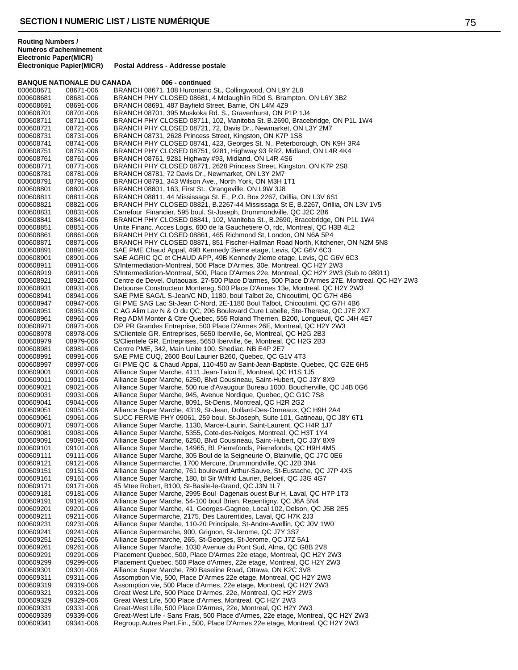|                        | <b>BANQUE NATIONALE DU CANADA</b> | 006 - continued                                                                                                                                                  |
|------------------------|-----------------------------------|------------------------------------------------------------------------------------------------------------------------------------------------------------------|
| 000608671              | 08671-006                         | BRANCH 08671, 108 Hurontario St., Collingwood, ON L9Y 2L8                                                                                                        |
| 000608681              | 08681-006                         | BRANCH PHY CLOSED 08681, 4 Mclaughlin RDd S, Brampton, ON L6Y 3B2                                                                                                |
| 000608691              | 08691-006                         | BRANCH 08691, 487 Bayfield Street, Barrie, ON L4M 4Z9                                                                                                            |
| 000608701              | 08701-006                         | BRANCH 08701, 395 Muskoka Rd. S., Gravenhurst, ON P1P 1J4                                                                                                        |
| 000608711              | 08711-006                         | BRANCH PHY CLOSED 08711, 102, Manitoba St. B.2690, Bracebridge, ON P1L 1W4                                                                                       |
| 000608721              | 08721-006                         | BRANCH PHY CLOSED 08721, 72, Davis Dr., Newmarket, ON L3Y 2M7                                                                                                    |
| 000608731<br>000608741 | 08731-006<br>08741-006            | BRANCH 08731, 2628 Princess Street, Kingston, ON K7P 1S8<br>BRANCH PHY CLOSED 08741, 423, Georges St. N., Peterborough, ON K9H 3R4                               |
| 000608751              | 08751-006                         | BRANCH PHY CLOSED 08751, 9281, Highway 93 RR2, Midland, ON L4R 4K4                                                                                               |
| 000608761              | 08761-006                         | BRANCH 08761, 9281 Highway #93, Midland, ON L4R 4S6                                                                                                              |
| 000608771              | 08771-006                         | BRANCH PHY CLOSED 08771, 2628 Princess Street, Kingston, ON K7P 2S8                                                                                              |
| 000608781              | 08781-006                         | BRANCH 08781, 72 Davis Dr., Newmarket, ON L3Y 2M7                                                                                                                |
| 000608791              | 08791-006                         | BRANCH 08791, 343 Wilson Ave., North York, ON M3H 1T1                                                                                                            |
| 000608801              | 08801-006                         | BRANCH 08801, 163, First St., Orangeville, ON L9W 3J8                                                                                                            |
| 000608811              | 08811-006                         | BRANCH 08811, 44 Mississaga St. E., P.O. Box 2267, Orillia, ON L3V 6S1                                                                                           |
| 000608821              | 08821-006                         | BRANCH PHY CLOSED 08821, B.2267-44 Mississaga St E, B.2267, Orillia, ON L3V 1V5                                                                                  |
| 000608831              | 08831-006                         | Carrefour Financier, 595 boul. St-Joseph, Drummondville, QC J2C 2B6                                                                                              |
| 000608841<br>000608851 | 08841-006<br>08851-006            | BRANCH PHY CLOSED 08841, 102, Manitoba St., B.2690, Bracebridge, ON P1L 1W4<br>Unite Financ. Acces Logis, 600 de la Gauchetiere O, rdc, Montreal, QC H3B 4L2     |
| 000608861              | 08861-006                         | BRANCH PHY CLOSED 08861, 465 Richmond St, London, ON N6A 5P4                                                                                                     |
| 000608871              | 08871-006                         | BRANCH PHY CLOSED 08871, 851 Fischer-Hallman Road North, Kitchener, ON N2M 5N8                                                                                   |
| 000608891              | 08891-006                         | SAE PME Chaud Appal, 49B Kennedy 2ieme etage, Levis, QC G6V 6C3                                                                                                  |
| 000608901              | 08901-006                         | SAE AGRIC QC et CHAUD APP, 49B Kennedy 2ieme etage, Levis, QC G6V 6C3                                                                                            |
| 000608911              | 08911-006                         | S/Intermediation-Montreal, 500 Place D'Armes, 30e, Montreal, QC H2Y 2W3                                                                                          |
| 000608919              | 08911-006                         | S/Intermediation-Montreal, 500, Place D'Armes 22e, Montreal, QC H2Y 2W3 (Sub to 08911)                                                                           |
| 000608921              | 08921-006                         | Centre de Devel. Outaouais, 27-500 Place D'armes, 500 Place D'Armes 27E, Montreal, QC H2Y 2W3                                                                    |
| 000608931              | 08931-006                         | Debourse Constructeur Montereg, 500 Place D'Armes 13e, Montreal, QC H2Y 2W3                                                                                      |
| 000608941              | 08941-006                         | SAE PME SAG/L S-Jean/C ND, 1180, boul Talbot 2e, Chicoutimi, QC G7H 4B6                                                                                          |
| 000608947              | 08947-006                         | GI PME SAG Lac St-Jean C-Nord, 2E-1180 Boul Talbot, Chicoutimi, QC G7H 4B6                                                                                       |
| 000608951<br>000608961 | 08951-006<br>08961-006            | C AG Alim Lav N & O du QC, 206 Boulevard Cure Labelle, Ste-Therese, QC J7E 2X7<br>Reg ADM Monter & Ctre Quebec, 555 Roland Therrien, B200, Longueuil, QC J4H 4E7 |
| 000608971              | 08971-006                         | OP PR Grandes Entreprise, 500 Place D'Armes 26E, Montreal, QC H2Y 2W3                                                                                            |
| 000608978              | 08978-006                         | S/Clientele GR. Entreprises, 5650 Iberville, 6e, Montreal, QC H2G 2B3                                                                                            |
| 000608979              | 08979-006                         | S/Clientele GR. Entreprises, 5650 Iberville, 6e, Montreal, QC H2G 2B3                                                                                            |
| 000608981              | 08981-006                         | Centre PME, 342, Main Unite 100, Shediac, NB E4P 2E7                                                                                                             |
| 000608991              | 08991-006                         | SAE PME CUQ, 2600 Boul Laurier B260, Quebec, QC G1V 4T3                                                                                                          |
| 000608997              | 08997-006                         | GI PME QC & Chaud Appal, 110-450 av Saint-Jean-Baptiste, Quebec, QC G2E 6H5                                                                                      |
| 000609001              | 09001-006                         | Alliance Super Marche, 4111 Jean-Talon E, Montreal, QC H1S 1J5                                                                                                   |
| 000609011              | 09011-006                         | Alliance Super Marche, 6250, Blvd Cousineau, Saint-Hubert, QC J3Y 8X9                                                                                            |
| 000609021              | 09021-006                         | Alliance Super Marche, 500 rue d'Avaugour Bureau 1000, Boucherville, QC J4B 0G6                                                                                  |
| 000609031              | 09031-006                         | Alliance Super Marche, 945, Avenue Nordique, Quebec, QC G1C 7S8<br>Alliance Super Marche, 8091, St-Denis, Montreal, QC H2R 2G2                                   |
| 000609041<br>000609051 | 09041-006<br>09051-006            | Alliance Super Marche, 4319, St-Jean, Dollard-Des-Ormeaux, QC H9H 2A4                                                                                            |
| 000609061              | 09061-006                         | SUCC FERME PHY 09061, 259 boul. St-Joseph, Suite 101, Gatineau, QC J8Y 6T1                                                                                       |
| 000609071              | 09071-006                         | Alliance Super Marche, 1130, Marcel-Laurin, Saint-Laurent, QC H4R 1J7                                                                                            |
| 000609081              | 09081-006                         | Alliance Super Marche, 5355, Cote-des-Neiges, Montreal, QC H3T 1Y4                                                                                               |
| 000609091              | 09091-006                         | Alliance Super Marche, 6250, Blvd Cousineau, Saint-Hubert, QC J3Y 8X9                                                                                            |
| 000609101              | 09101-006                         | Alliance Super Marche, 14965, Bl. Pierrefonds, Pierrefonds, QC H9H 4M5                                                                                           |
| 000609111              | 09111-006                         | Alliance Super Marche, 305 Boul de la Seigneurie O, Blainville, QC J7C 0E6                                                                                       |
| 000609121              | 09121-006                         | Alliance Supermarche, 1700 Mercure, Drummondville, QC J2B 3N4                                                                                                    |
| 000609151              | 09151-006                         | Alliance Super Marche, 761 boulevard Arthur-Sauve, St-Eustache, QC J7P 4X5                                                                                       |
| 000609161<br>000609171 | 09161-006<br>09171-006            | Alliance Super Marche, 180, bl Sir Wilfrid Laurier, Beloeil, QC J3G 4G7<br>45 Mtee Robert, B100, St-Basile-le-Grand, QC J3N 1L7                                  |
| 000609181              | 09181-006                         | Alliance Super Marche, 2995 Boul Dagenais ouest Bur H, Laval, QC H7P 1T3                                                                                         |
| 000609191              | 09191-006                         | Alliance Super Marche, 54-100 boul Brien, Repentigny, QC J6A 5N4                                                                                                 |
| 000609201              | 09201-006                         | Alliance Super Marche, 41, Georges-Gagnee, Local 102, Delson, QC J5B 2E5                                                                                         |
| 000609211              | 09211-006                         | Alliance Supermarche, 2175, Des Laurentides, Laval, QC H7K 2J3                                                                                                   |
| 000609231              | 09231-006                         | Alliance Super Marche, 110-20 Principale, St-Andre-Avellin, QC J0V 1W0                                                                                           |
| 000609241              | 09241-006                         | Alliance Supermarche, 900, Grignon, St-Jerome, QC J7Y 3S7                                                                                                        |
| 000609251              | 09251-006                         | Alliance Supermarche, 265, St-Georges, St-Jerome, QC J7Z 5A1                                                                                                     |
| 000609261              | 09261-006                         | Alliance Super Marche, 1030 Avenue du Pont Sud, Alma, QC G8B 2V8                                                                                                 |
| 000609291              | 09291-006                         | Placement Quebec, 500, Place D'Armes 22e etage, Montreal, QC H2Y 2W3                                                                                             |
| 000609299              | 09299-006                         | Placement Quebec, 500 Place d'Armes, 22e etage, Montreal, QC H2Y 2W3                                                                                             |
| 000609301<br>000609311 | 09301-006<br>09311-006            | Alliance Super Marche, 780 Baseline Road, Ottawa, ON K2C 3V8<br>Assomption Vie, 500, Place D'Armes 22e etage, Montreal, QC H2Y 2W3                               |
| 000609319              | 09319-006                         | Assomption vie, 500 Place d'Armes, 22e etage, Montreal, QC H2Y 2W3                                                                                               |
| 000609321              | 09321-006                         | Great West Life, 500 Place D'Armes, 22e, Montreal, QC H2Y 2W3                                                                                                    |
| 000609329              | 09329-006                         | Great West Life, 500 Place d'Armes, Montreal, QC H2Y 2W3                                                                                                         |
| 000609331              | 09331-006                         | Great-West Life, 500 Place D'Armes, 22e, Montreal, QC H2Y 2W3                                                                                                    |
| 000609339              | 09339-006                         | Great-West Life - Sans Frais, 500 Place d'Armes, 22e etage, Montreal, QC H2Y 2W3                                                                                 |
| 000609341              | 09341-006                         | Regroup.Autres Part.Fin., 500, Place D'Armes 22e etage, Montreal, QC H2Y 2W3                                                                                     |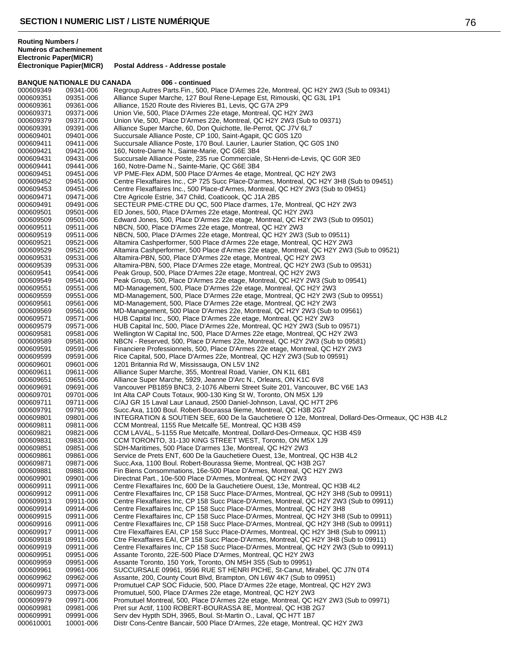|                        | <b>BANQUE NATIONALE DU CANADA</b> | 006 - continued                                                                                                                                    |  |
|------------------------|-----------------------------------|----------------------------------------------------------------------------------------------------------------------------------------------------|--|
| 000609349              | 09341-006                         | Regroup.Autres Parts.Fin., 500, Place D'Armes 22e, Montreal, QC H2Y 2W3 (Sub to 09341)                                                             |  |
| 000609351              | 09351-006                         | Alliance Super Marche, 127 Boul Rene-Lepage Est, Rimouski, QC G3L 1P1                                                                              |  |
| 000609361              | 09361-006                         | Alliance, 1520 Route des Rivieres B1, Levis, QC G7A 2P9                                                                                            |  |
| 000609371              | 09371-006                         | Union Vie, 500, Place D'Armes 22e etage, Montreal, QC H2Y 2W3                                                                                      |  |
| 000609379              | 09371-006                         | Union Vie, 500, Place D'Armes 22e, Montreal, QC H2Y 2W3 (Sub to 09371)                                                                             |  |
| 000609391              | 09391-006                         | Alliance Super Marche, 60, Don Quichotte, Ile-Perrot, QC J7V 6L7                                                                                   |  |
| 000609401              | 09401-006                         | Succursale Alliance Poste, CP 100, Saint-Agapit, QC G0S 1Z0                                                                                        |  |
| 000609411              | 09411-006                         | Succursale Alliance Poste, 170 Boul. Laurier, Laurier Station, QC G0S 1N0                                                                          |  |
| 000609421              | 09421-006                         | 160, Notre-Dame N., Sainte-Marie, QC G6E 3B4<br>Succursale Alliance Poste, 235 rue Commerciale, St-Henri-de-Levis, QC G0R 3E0                      |  |
| 000609431<br>000609441 | 09431-006<br>09441-006            | 160, Notre-Dame N., Sainte-Marie, QC G6E 3B4                                                                                                       |  |
| 000609451              | 09451-006                         | VP PME-Flex ADM, 500 Place D'Armes 4e etage, Montreal, QC H2Y 2W3                                                                                  |  |
| 000609452              | 09451-006                         | Centre Flexaffaires Inc., CP 725 Succ Place-D'armes, Montreal, QC H2Y 3H8 (Sub to 09451)                                                           |  |
| 000609453              | 09451-006                         | Centre Flexaffaires Inc., 500 Place-d'Armes, Montreal, QC H2Y 2W3 (Sub to 09451)                                                                   |  |
| 000609471              | 09471-006                         | Ctre Agricole Estrie, 347 Child, Coaticook, QC J1A 2B5                                                                                             |  |
| 000609491              | 09491-006                         | SECTEUR PME-CTRE DU QC, 500 Place d'armes, 17e, Montreal, QC H2Y 2W3                                                                               |  |
| 000609501              | 09501-006                         | ED Jones, 500, Place D'Armes 22e etage, Montreal, QC H2Y 2W3                                                                                       |  |
| 000609509              | 09501-006                         | Edward Jones, 500, Place D'Armes 22e etage, Montreal, QC H2Y 2W3 (Sub to 09501)                                                                    |  |
| 000609511              | 09511-006                         | NBCN, 500, Place D'Armes 22e etage, Montreal, QC H2Y 2W3                                                                                           |  |
| 000609519              | 09511-006                         | NBCN, 500, Place D'Armes 22e etage, Montreal, QC H2Y 2W3 (Sub to 09511)                                                                            |  |
| 000609521              | 09521-006                         | Altamira Cashperformer, 500 Place d'Armes 22e etage, Montreal, QC H2Y 2W3                                                                          |  |
| 000609529              | 09521-006                         | Altamira Cashperformer, 500 Place d'Armes 22e etage, Montreal, QC H2Y 2W3 (Sub to 09521)                                                           |  |
| 000609531              | 09531-006                         | Altamira-PBN, 500, Place D'Armes 22e etage, Montreal, QC H2Y 2W3                                                                                   |  |
| 000609539              | 09531-006                         | Altamira-PBN, 500, Place D'Armes 22e etage, Montreal, QC H2Y 2W3 (Sub to 09531)                                                                    |  |
| 000609541              | 09541-006                         | Peak Group, 500, Place D'Armes 22e etage, Montreal, QC H2Y 2W3                                                                                     |  |
| 000609549              | 09541-006                         | Peak Group, 500, Place D'Armes 22e etage, Montreal, QC H2Y 2W3 (Sub to 09541)<br>MD-Management, 500, Place D'Armes 22e etage, Montreal, QC H2Y 2W3 |  |
| 000609551<br>000609559 | 09551-006<br>09551-006            | MD-Management, 500, Place D'Armes 22e etage, Montreal, QC H2Y 2W3 (Sub to 09551)                                                                   |  |
| 000609561              | 09561-006                         | MD-Management, 500, Place D'Armes 22e etage, Montreal, QC H2Y 2W3                                                                                  |  |
| 000609569              | 09561-006                         | MD-Management, 500 Place D'Armes 22e, Montreal, QC H2Y 2W3 (Sub to 09561)                                                                          |  |
| 000609571              | 09571-006                         | HUB Capital Inc., 500, Place D'Armes 22e etage, Montreal, QC H2Y 2W3                                                                               |  |
| 000609579              | 09571-006                         | HUB Capital Inc, 500, Place D'Armes 22e, Montreal, QC H2Y 2W3 (Sub to 09571)                                                                       |  |
| 000609581              | 09581-006                         | Wellington W Capital Inc, 500, Place D'Armes 22e etage, Montreal, QC H2Y 2W3                                                                       |  |
| 000609589              | 09581-006                         | NBCN - Reserved, 500, Place D'Armes 22e, Montreal, QC H2Y 2W3 (Sub to 09581)                                                                       |  |
| 000609591              | 09591-006                         | Financiere Professionnels, 500, Place D'Armes 22e etage, Montreal, QC H2Y 2W3                                                                      |  |
| 000609599              | 09591-006                         | Rice Capital, 500, Place D'Armes 22e, Montreal, QC H2Y 2W3 (Sub to 09591)                                                                          |  |
| 000609601              | 09601-006                         | 1201 Britannia Rd W, Mississauga, ON L5V 1N2                                                                                                       |  |
| 000609611<br>000609651 | 09611-006<br>09651-006            | Alliance Super Marche, 355, Montreal Road, Vanier, ON K1L 6B1<br>Alliance Super Marche, 5929, Jeanne D'Arc N., Orleans, ON K1C 6V8                 |  |
| 000609691              | 09691-006                         | Vancouver PB1859 BNC3, 2-1076 Alberni Street Suite 201, Vancouver, BC V6E 1A3                                                                      |  |
| 000609701              | 09701-006                         | Int Alta CAP Couts Totaux, 900-130 King St W, Toronto, ON M5X 1J9                                                                                  |  |
| 000609711              | 09711-006                         | C/AJ GR 15 Laval Laur Lanaud, 2500 Daniel-Johnson, Laval, QC H7T 2P6                                                                               |  |
| 000609791              | 09791-006                         | Succ.Axa, 1100 Boul. Robert-Bourassa 9ieme, Montreal, QC H3B 2G7                                                                                   |  |
| 000609801              | 09801-006                         | INTEGRATION & SOUTIEN SEE, 600 De la Gauchetiere O 12e, Montreal, Dollard-Des-Ormeaux, QC H3B 4L2                                                  |  |
| 000609811              | 09811-006                         | CCM Montreal, 1155 Rue Metcalfe 5E, Montreal, QC H3B 4S9                                                                                           |  |
| 000609821              | 09821-006                         | CCM LAVAL, 5-1155 Rue Metcalfe, Montreal, Dollard-Des-Ormeaux, QC H3B 4S9                                                                          |  |
| 000609831              | 09831-006                         | CCM TORONTO, 31-130 KING STREET WEST, Toronto, ON M5X 1J9                                                                                          |  |
| 000609851              | 09851-006                         | SDH-Maritimes, 500 Place D'armes 13e, Montreal, QC H2Y 2W3                                                                                         |  |
| 000609861              | 09861-006                         | Service de Prets ENT, 600 De la Gauchetiere Ouest, 13e, Montreal, QC H3B 4L2                                                                       |  |
| 000609871              | 09871-006                         | Succ.Axa, 1100 Boul. Robert-Bourassa 9ieme, Montreal, QC H3B 2G7                                                                                   |  |
| 000609881<br>000609901 | 09881-006                         | Fin Biens Consommations, 16e-500 Place D'Armes, Montreal, QC H2Y 2W3                                                                               |  |
| 000609911              | 09901-006<br>09911-006            | Directnat Part., 10e-500 Place D'Armes, Montreal, QC H2Y 2W3<br>Centre Flexaffaires Inc, 600 De la Gauchetiere Ouest, 13e, Montreal, QC H3B 4L2    |  |
| 000609912              | 09911-006                         | Centre Flexaffaires Inc, CP 158 Succ Place-D'Armes, Montreal, QC H2Y 3H8 (Sub to 09911)                                                            |  |
| 000609913              | 09911-006                         | Centre Flexaffaires Inc, CP 158 Succ Place-D'Armes, Montreal, QC H2Y 2W3 (Sub to 09911)                                                            |  |
| 000609914              | 09914-006                         | Centre Flexaffaires Inc, CP 158 Succ Place-D'Armes, Montreal, QC H2Y 3H8                                                                           |  |
| 000609915              | 09911-006                         | Centre Flexaffaires Inc. CP 158 Succ Place-D'Armes, Montreal, QC H2Y 3H8 (Sub to 09911)                                                            |  |
| 000609916              | 09911-006                         | Centre Flexaffaires Inc, CP 158 Succ Place-D'Armes, Montreal, QC H2Y 3H8 (Sub to 09911)                                                            |  |
| 000609917              | 09911-006                         | Ctre Flexaffaires EAI, CP 158 Succ Place-D'Armes, Montreal, QC H2Y 3H8 (Sub to 09911)                                                              |  |
| 000609918              | 09911-006                         | Ctre Flexaffaires EAI, CP 158 Succ Place-D'Armes, Montreal, QC H2Y 3H8 (Sub to 09911)                                                              |  |
| 000609919              | 09911-006                         | Centre Flexaffaires Inc, CP 158 Succ Place-D'Armes, Montreal, QC H2Y 2W3 (Sub to 09911)                                                            |  |
| 000609951              | 09951-006                         | Assante Toronto, 22E-500 Place D'Armes, Montreal, QC H2Y 2W3                                                                                       |  |
| 000609959              | 09951-006                         | Assante Toronto, 150 York, Toronto, ON M5H 3S5 (Sub to 09951)                                                                                      |  |
| 000609961<br>000609962 | 09961-006<br>09962-006            | SUCCURSALE 09961, 9596 RUE ST HENRI PICHE, St-Canut, Mirabel, QC J7N 0T4<br>Assante, 200, County Court Blvd, Brampton, ON L6W 4K7 (Sub to 09951)   |  |
| 000609971              | 09971-006                         | Promutuel CAP SOC Fiducie, 500, Place D'Armes 22e etage, Montreal, QC H2Y 2W3                                                                      |  |
| 000609973              | 09973-006                         | Promutuel, 500, Place D'Armes 22e etage, Montreal, QC H2Y 2W3                                                                                      |  |
| 000609979              | 09971-006                         | Promutuel Montreal, 500, Place D'Armes 22e etage, Montreal, QC H2Y 2W3 (Sub to 09971)                                                              |  |
| 000609981              | 09981-006                         | Pret sur Actif, 1100 ROBERT-BOURASSA 8E, Montreal, QC H3B 2G7                                                                                      |  |
| 000609991              | 09991-006                         | Serv dev Hypth SDH, 3965, Boul. St-Martin O., Laval, QC H7T 1B7                                                                                    |  |
| 000610001              | 10001-006                         | Distr Cons-Centre Bancair, 500 Place D'Armes, 22e etage, Montreal, QC H2Y 2W3                                                                      |  |
|                        |                                   |                                                                                                                                                    |  |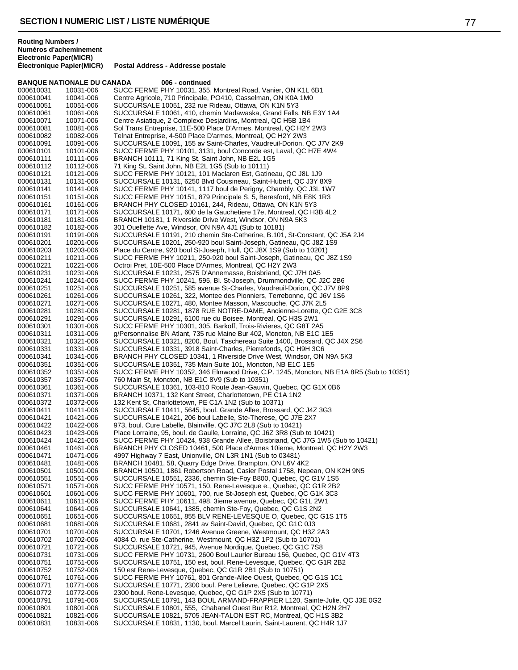## **BANQUE NATIONALE DU CANADA 006 - continued**

| 000610031              | 10031-006              | SUCC FERME PHY 10031, 355, Montreal Road, Vanier, ON K1L 6B1                                                                                        |
|------------------------|------------------------|-----------------------------------------------------------------------------------------------------------------------------------------------------|
| 000610041              | 10041-006              | Centre Agricole, 710 Principale, PO410, Casselman, ON K0A 1M0                                                                                       |
| 000610051              | 10051-006              | SUCCURSALE 10051, 232 rue Rideau, Ottawa, ON K1N 5Y3                                                                                                |
| 000610061              | 10061-006              | SUCCURSALE 10061, 410, chemin Madawaska, Grand Falls, NB E3Y 1A4                                                                                    |
| 000610071              | 10071-006              | Centre Asiatique, 2 Complexe Desjardins, Montreal, QC H5B 1B4                                                                                       |
| 000610081<br>000610082 | 10081-006<br>10082-006 | Sol Trans Entreprise, 11E-500 Place D'Armes, Montreal, QC H2Y 2W3<br>Telnat Entreprise, 4-500 Place D'armes, Montreal, QC H2Y 2W3                   |
| 000610091              | 10091-006              | SUCCURSALE 10091, 155 av Saint-Charles, Vaudreuil-Dorion, QC J7V 2K9                                                                                |
| 000610101              | 10101-006              | SUCC FERME PHY 10101, 3131, boul Concorde est, Laval, QC H7E 4W4                                                                                    |
| 000610111              | 10111-006              | BRANCH 10111, 71 King St, Saint John, NB E2L 1G5                                                                                                    |
| 000610112              | 10112-006              | 71 King St, Saint John, NB E2L 1G5 (Sub to 10111)                                                                                                   |
| 000610121              | 10121-006              | SUCC FERME PHY 10121, 101 Maclaren Est, Gatineau, QC J8L 1J9                                                                                        |
| 000610131              | 10131-006              | SUCCURSALE 10131, 6250 Blvd Cousineau, Saint-Hubert, QC J3Y 8X9                                                                                     |
| 000610141<br>000610151 | 10141-006<br>10151-006 | SUCC FERME PHY 10141, 1117 boul de Perigny, Chambly, QC J3L 1W7<br>SUCC FERME PHY 10151, 879 Principale S. 5, Beresford, NB E8K 1R3                 |
| 000610161              | 10161-006              | BRANCH PHY CLOSED 10161, 244, Rideau, Ottawa, ON K1N 5Y3                                                                                            |
| 000610171              | 10171-006              | SUCCURSALE 10171, 600 de la Gauchetiere 17e, Montreal, QC H3B 4L2                                                                                   |
| 000610181              | 10181-006              | BRANCH 10181, 1 Riverside Drive West, Windsor, ON N9A 5K3                                                                                           |
| 000610182              | 10182-006              | 301 Ouellette Ave, Windsor, ON N9A 4J1 (Sub to 10181)                                                                                               |
| 000610191              | 10191-006              | SUCCURSALE 10191, 210 chemin Ste-Catherine, B.101, St-Constant, QC J5A 2J4                                                                          |
| 000610201              | 10201-006              | SUCCURSALE 10201, 250-920 boul Saint-Joseph, Gatineau, QC J8Z 1S9                                                                                   |
| 000610203<br>000610211 | 10203-006<br>10211-006 | Place du Centre, 920 boul St-Joseph, Hull, QC J8X 1S9 (Sub to 10201)<br>SUCC FERME PHY 10211, 250-920 boul Saint-Joseph, Gatineau, QC J8Z 1S9       |
| 000610221              | 10221-006              | Octroi Pret, 10E-500 Place D'Armes, Montreal, QC H2Y 2W3                                                                                            |
| 000610231              | 10231-006              | SUCCURSALE 10231, 2575 D'Annemasse, Boisbriand, QC J7H 0A5                                                                                          |
| 000610241              | 10241-006              | SUCC FERME PHY 10241, 595, Bl. St-Joseph, Drummondville, QC J2C 2B6                                                                                 |
| 000610251              | 10251-006              | SUCCURSALE 10251, 585 avenue St-Charles, Vaudreuil-Dorion, QC J7V 8P9                                                                               |
| 000610261              | 10261-006              | SUCCURSALE 10261, 322, Montee des Pionniers, Terrebonne, QC J6V 1S6                                                                                 |
| 000610271              | 10271-006              | SUCCURSALE 10271, 480, Montee Masson, Mascouche, QC J7K 2L5<br>SUCCURSALE 10281, 1878 RUE NOTRE-DAME, Ancienne-Lorette, QC G2E 3C8                  |
| 000610281<br>000610291 | 10281-006<br>10291-006 | SUCCURSALE 10291, 6100 rue du Boisee, Montreal, QC H3S 2W1                                                                                          |
| 000610301              | 10301-006              | SUCC FERME PHY 10301, 305, Barkoff, Trois-Rivieres, QC G8T 2A5                                                                                      |
| 000610311              | 10311-006              | g/Personnalise BN Atlant, 735 rue Maine Bur 402, Moncton, NB E1C 1E5                                                                                |
| 000610321              | 10321-006              | SUCCURSALE 10321, 8200, Boul. Taschereau Suite 1400, Brossard, QC J4X 2S6                                                                           |
| 000610331              | 10331-006              | SUCCURSALE 10331, 3918 Saint-Charles, Pierrefonds, QC H9H 3C6                                                                                       |
| 000610341              | 10341-006              | BRANCH PHY CLOSED 10341, 1 Riverside Drive West, Windsor, ON N9A 5K3                                                                                |
| 000610351<br>000610352 | 10351-006<br>10351-006 | SUCCURSALE 10351, 735 Main Suite 101, Moncton, NB E1C 1E5<br>SUCC FERME PHY 10352, 346 Elmwood Drive, C.P. 1245, Moncton, NB E1A 8R5 (Sub to 10351) |
| 000610357              | 10357-006              | 760 Main St, Moncton, NB E1C 8V9 (Sub to 10351)                                                                                                     |
| 000610361              | 10361-006              | SUCCURSALE 10361, 103-810 Route Jean-Gauvin, Quebec, QC G1X 0B6                                                                                     |
| 000610371              | 10371-006              | BRANCH 10371, 132 Kent Street, Charlottetown, PE C1A 1N2                                                                                            |
| 000610372              | 10372-006              | 132 Kent St, Charlottetown, PE C1A 1N2 (Sub to 10371)                                                                                               |
| 000610411              | 10411-006              | SUCCURSALE 10411, 5645, boul. Grande Allee, Brossard, QC J4Z 3G3                                                                                    |
| 000610421<br>000610422 | 10421-006<br>10422-006 | SUCCURSALE 10421, 206 boul Labelle, Ste-Therese, QC J7E 2X7<br>973, boul. Cure Labelle, Blainville, QC J7C 2L8 (Sub to 10421)                       |
| 000610423              | 10423-006              | Place Lorraine, 95, boul. de Gaulle, Lorraine, QC J6Z 3R8 (Sub to 10421)                                                                            |
| 000610424              | 10421-006              | SUCC FERME PHY 10424, 938 Grande Allee, Boisbriand, QC J7G 1W5 (Sub to 10421)                                                                       |
| 000610461              | 10461-006              | BRANCH PHY CLOSED 10461, 500 Place d'Armes 10ieme, Montreal, QC H2Y 2W3                                                                             |
| 000610471              | 10471-006              | 4997 Highway 7 East, Unionville, ON L3R 1N1 (Sub to 03481)                                                                                          |
| 000610481              | 10481-006              | BRANCH 10481, 58, Quarry Edge Drive, Brampton, ON L6V 4K2                                                                                           |
| 000610501<br>000610551 | 10501-006<br>10551-006 | BRANCH 10501, 1861 Robertson Road, Casier Postal 1758, Nepean, ON K2H 9N5<br>SUCCURSALE 10551, 2336, chemin Ste-Foy B800, Quebec, QC G1V 1S5        |
| 000610571              | 10571-006              | SUCC FERME PHY 10571, 150, Rene-Levesque e., Quebec, QC G1R 2B2                                                                                     |
| 000610601              | 10601-006              | SUCC FERME PHY 10601, 700, rue St-Joseph est, Quebec, QC G1K 3C3                                                                                    |
| 000610611              | 10611-006              | SUCC FERME PHY 10611, 498, 3ieme avenue, Quebec, QC G1L 2W1                                                                                         |
| 000610641              | 10641-006              | SUCCURSALE 10641, 1385, chemin Ste-Foy, Quebec, QC G1S 2N2                                                                                          |
| 000610651              | 10651-006              | SUCCURSALE 10651, 855 BLV RENE-LEVESQUE O, Quebec, QC G1S 1T5                                                                                       |
| 000610681              | 10681-006              | SUCCURSALE 10681, 2841 av Saint-David, Quebec, QC G1C 0J3<br>SUCCURSALE 10701, 1246 Avenue Greene, Westmount, QC H3Z 2A3                            |
| 000610701<br>000610702 | 10701-006<br>10702-006 | 4084 O. rue Ste-Catherine, Westmount, QC H3Z 1P2 (Sub to 10701)                                                                                     |
| 000610721              | 10721-006              | SUCCURSALE 10721, 945, Avenue Nordique, Quebec, QC G1C 7S8                                                                                          |
| 000610731              | 10731-006              | SUCC FERME PHY 10731, 2600 Boul Laurier Bureau 156, Quebec, QC G1V 4T3                                                                              |
| 000610751              | 10751-006              | SUCCURSALE 10751, 150 est, boul. Rene-Levesque, Quebec, QC G1R 2B2                                                                                  |
| 000610752              | 10752-006              | 150 est Rene-Levesque, Quebec, QC G1R 2B1 (Sub to 10751)                                                                                            |
| 000610761              | 10761-006              | SUCC FERME PHY 10761, 801 Grande-Allee Ouest, Quebec, QC G1S 1C1                                                                                    |
| 000610771<br>000610772 | 10771-006<br>10772-006 | SUCCURSALE 10771, 2300 boul. Pere Lelievre, Quebec, QC G1P 2X5<br>2300 boul. Rene-Levesque, Quebec, QC G1P 2X5 (Sub to 10771)                       |
| 000610791              | 10791-006              | SUCCURSALE 10791, 143 BOUL ARMAND-FRAPPIER L120, Sainte-Julie, QC J3E 0G2                                                                           |
| 000610801              | 10801-006              | SUCCURSALE 10801, 555, Chabanel Ouest Bur R12, Montreal, QC H2N 2H7                                                                                 |
| 000610821              | 10821-006              | SUCCURSALE 10821, 5705 JEAN-TALON EST RC, Montreal, QC H1S 3B2                                                                                      |
| 000610831              | 10831-006              | SUCCURSALE 10831, 1130, boul. Marcel Laurin, Saint-Laurent, QC H4R 1J7                                                                              |
|                        |                        |                                                                                                                                                     |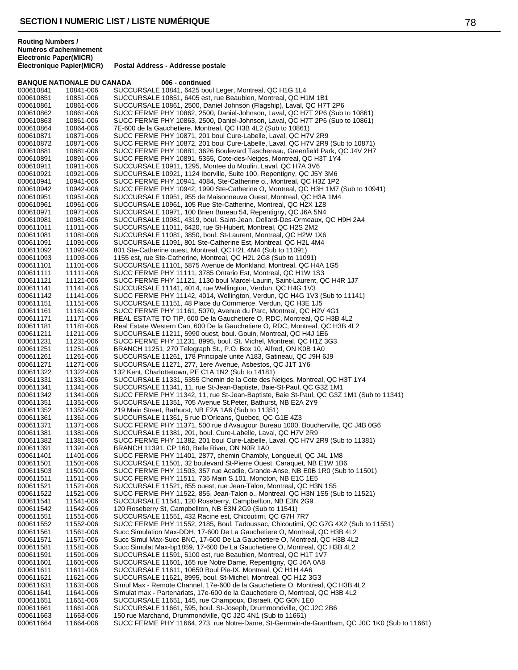### **BANQUE NATIONALE DU CANADA 006 - continued** 000610841 10841-006 SUCCURSALE 10841, 6425 boul Leger, Montreal, QC H1G 1L4<br>000610851 10851-006 SUCCURSALE 10851, 6405 est, rue Beaubien, Montreal, QC H1 000610851 10851-006 SUCCURSALE 10851, 6405 est, rue Beaubien, Montreal, QC H1M 1B1<br>000610861 10861-006 SUCCURSALE 10861. 2500. Daniel Johnson (Flagship). Laval. QC H71 SUCCURSALE 10861, 2500, Daniel Johnson (Flagship), Laval, QC H7T 2P6 000610862 10861-006 SUCC FERME PHY 10862, 2500, Daniel-Johnson, Laval, QC H7T 2P6 (Sub to 10861)<br>000610863 10861-006 SUCC FERME PHY 10863, 2500, Daniel-Johnson, Laval, QC H7T 2P6 (Sub to 10861) 000610863 10861-006 SUCC FERME PHY 10863, 2500, Daniel-Johnson, Laval, QC H7T 2P6 (Sub to 10861) 000610864 10864-006 7E-600 de la Gauchetiere, Montreal, QC H3B 4L2 (Sub to 10861) 000610871 10871-006 SUCC FERME PHY 10871, 201 boul Cure-Labelle, Laval, QC H7V 2R9<br>000610872 10871-006 SUCC FERME PHY 10872, 201 boul Cure-Labelle, Laval, QC H7V 2R9 SUCC FERME PHY 10872, 201 boul Cure-Labelle, Laval, QC H7V 2R9 (Sub to 10871) 000610881 10881-006 SUCC FERME PHY 10881, 3626 Boulevard Taschereau, Greenfield Park, QC J4V 2H7<br>000610891 10891-006 SUCC FERME PHY 10891, 5355, Cote-des-Neiges, Montreal, QC H3T 1Y4 000610891 10891-006 SUCC FERME PHY 10891, 5355, Cote-des-Neiges, Montreal, QC H3T 1Y4<br>000610911 10911-006 SUCCURSALE 10911, 1295, Montee du Moulin, Laval, QC H7A 3V6 000610911 10911-006 SUCCURSALE 10911, 1295, Montee du Moulin, Laval, QC H7A 3V6<br>000610921 10921-006 SUCCURSALE 10921, 1124 Iberville, Suite 100, Repentigny, QC J5 000610921 10921-006 SUCCURSALE 10921, 1124 Iberville, Suite 100, Repentigny, QC J5Y 3M6<br>000610941 10941-006 SUCC FERME PHY 10941, 4084, Ste-Catherine o., Montreal, QC H3Z 1P2 000610941 10941-006 SUCC FERME PHY 10941, 4084, Ste-Catherine o., Montreal, QC H3Z 1P2<br>000610942 10942-006 SUCC FERME PHY 10942, 1990 Ste-Catherine O, Montreal, QC H3H 1M7 000610942 10942-006 SUCC FERME PHY 10942, 1990 Ste-Catherine O, Montreal, QC H3H 1M7 (Sub to 10941)<br>000610951 10951-006 SUCCURSALE 10951, 955 de Maisonneuve Ouest, Montreal, QC H3A 1M4 000610951 10951-006 SUCCURSALE 10951, 955 de Maisonneuve Ouest, Montreal, QC H3A 1M4<br>000610961 10961-006 SUCCURSALE 10961, 105 Rue Ste-Catherine, Montreal, QC H2X 1Z8 000610961 10961-006 SUCCURSALE 10961, 105 Rue Ste-Catherine, Montreal, QC H2X 1Z8<br>000610971 10971-006 SUCCURSALE 10971, 100 Brien Bureau 54, Repentigny, QC J6A 5N4 000610971 10971-006 SUCCURSALE 10971, 100 Brien Bureau 54, Repentigny, QC J6A 5N4<br>000610981 10981-006 SUCCURSALE 10981, 4319, boul. Saint-Jean, Dollard-Des-Ormeaux, 0 000610981 10981-006 SUCCURSALE 10981, 4319, boul. Saint-Jean, Dollard-Des-Ormeaux, QC H9H 2A4<br>000611011 11011-006 SUCCURSALE 11011, 6420, rue St-Hubert, Montreal, QC H2S 2M2 000611011 11011-006 SUCCURSALE 11011, 6420, rue St-Hubert, Montreal, QC H2S 2M2<br>000611081 11081-006 SUCCURSALE 11081, 3850, boul, St-Laurent, Montreal, QC H2W 1 SUCCURSALE 11081, 3850, boul. St-Laurent, Montreal, QC H2W 1X6 000611091 11091-006 SUCCURSALE 11091, 801 Ste-Catherine Est, Montreal, QC H2L 4M4<br>000611092 11092-006 801 Ste-Catherine ouest, Montreal, QC H2L 4M4 (Sub to 11091) 801 Ste-Catherine ouest, Montreal, QC H2L 4M4 (Sub to 11091) 000611093 11093-006 1155 est, rue Ste-Catherine, Montreal, QC H2L 2G8 (Sub to 11091)<br>000611101 11101-006 SUCCURSALE 11101, 5875 Avenue de Monkland, Montreal, QC H4 000611101 11101-006 SUCCURSALE 11101, 5875 Avenue de Monkland, Montreal, QC H4A 1G5<br>000611111 11111-006 SUCC FERME PHY 11111. 3785 Ontario Est. Montreal. QC H1W 1S3 SUCC FERME PHY 11111, 3785 Ontario Est, Montreal, QC H1W 1S3 000611121 11121-006 SUCC FERME PHY 11121, 1130 boul Marcel-Laurin, Saint-Laurent, QC H4R 1J7<br>000611141 11141-006 SUCCURSALE 11141, 4014, rue Wellington, Verdun, QC H4G 1V3 SUCCURSALE 11141, 4014, rue Wellington, Verdun, QC H4G 1V3 000611142 11141-006 SUCC FERME PHY 11142, 4014, Wellington, Verdun, QC H4G 1V3 (Sub to 11141)<br>000611151 11151-006 SUCCURSALE 11151, 48 Place du Commerce, Verdun, QC H3E 1J5 000611151 11151-006 SUCCURSALE 11151, 48 Place du Commerce, Verdun, QC H3E 1J5<br>000611161 11161-006 SUCC FERME PHY 11161, 5070, Avenue du Parc, Montreal, QC H2V SUCC FERME PHY 11161, 5070, Avenue du Parc, Montreal, QC H2V 4G1 000611171 11171-006 REAL ESTATE TO TIP, 600 De la Gauchetiere O, RDC, Montreal, QC H3B 4L2<br>000611181 11181-006 Real Estate Western Can, 600 De la Gauchetiere O, RDC, Montreal, QC H3B 4I 000611181 11181-006 Real Estate Western Can, 600 De la Gauchetiere O, RDC, Montreal, QC H3B 4L2<br>000611211 11211-006 SUCCURSALE 11211, 5990 ouest, boul. Gouin, Montreal, QC H4J 1E6 000611211 11211-006 SUCCURSALE 11211, 5990 ouest, boul. Gouin, Montreal, QC H4J 1E6<br>000611231 11231-006 SUCC FERME PHY 11231, 8995, boul. St. Michel, Montreal, QC H1Z 3 000611231 11231-006 SUCC FERME PHY 11231, 8995, boul. St. Michel, Montreal, QC H1Z 3G3<br>000611251 11251-006 BRANCH 11251, 270 Telegraph St., P.O. Box 10, Alfred, ON K0B 1A0 000611251 11251-006 BRANCH 11251, 270 Telegraph St., P.O. Box 10, Alfred, ON K0B 1A0<br>000611261 11261-006 SUCCURSALE 11261, 178 Principale unite A183, Gatineau, QC J9H 6 000611261 11261-006 SUCCURSALE 11261, 178 Principale unite A183, Gatineau, QC J9H 6J9<br>000611271 11271-006 SUCCURSALE 11271, 277, 1ere Avenue, Asbestos, QC J1T 1Y6 SUCCURSALE 11271, 277, 1ere Avenue, Asbestos, QC J1T 1Y6 000611322 11322-006 132 Kent, Charlottetown, PE C1A 1N2 (Sub to 14181)<br>000611331 11331-006 SUCCURSALE 11331, 5355 Chemin de la Cote des N 000611331 11331-006 SUCCURSALE 11331, 5355 Chemin de la Cote des Neiges, Montreal, QC H3T 1Y4<br>000611341 11341-006 SUCCURSALE 11341, 11, rue St-Jean-Baptiste, Baie-St-Paul, QC G3Z 1M1 000611341 11341-006 SUCCURSALE 11341, 11, rue St-Jean-Baptiste, Baie-St-Paul, QC G3Z 1M1<br>000611342 11341-006 SUCC FERME PHY 11342, 11, rue St-Jean-Baptiste, Baie St-Paul, QC G3Z 000611342 11341-006 SUCC FERME PHY 11342, 11, rue St-Jean-Baptiste, Baie St-Paul, QC G3Z 1M1 (Sub to 11341)<br>000611351 11351-006 SUCCURSALE 11351. 705 Avenue St.Peter. Bathurst. NB E2A 2Y9 SUCCURSALE 11351, 705 Avenue St.Peter, Bathurst, NB E2A 2Y9 000611352 11352-006 219 Main Street, Bathurst, NB E2A 1A6 (Sub to 11351) SUCCURSALE 11361, 5 rue D'Orleans, Quebec, QC G1E 4Z3 000611371 11371-006 SUCC FERME PHY 11371, 500 rue d'Avaugour Bureau 1000, Boucherville, QC J4B 0G6<br>000611381 11381-006 SUCCURSALE 11381, 201, boul. Cure-Labelle, Laval, QC H7V 2R9 000611381 11381-006 SUCCURSALE 11381, 201, boul. Cure-Labelle, Laval, QC H7V 2R9<br>000611382 11381-006 SUCC FERME PHY 11382. 201 boul Cure-Labelle. Laval. QC H7V 2 SUCC FERME PHY 11382, 201 boul Cure-Labelle, Laval, QC H7V 2R9 (Sub to 11381) 000611391 11391-006 BRANCH 11391, CP 160, Belle River, ON N0R 1A0<br>000611401 11401-006 SUCC FERME PHY 11401, 2877, chemin Chambly, SUCC FERME PHY 11401, 2877, chemin Chambly, Longueuil, QC J4L 1M8 000611501 11501-006 SUCCURSALE 11501, 32 boulevard St-Pierre Ouest, Caraquet, NB E1W 1B6<br>000611503 11501-006 SUCC FERME PHY 11503, 357 rue Acadie, Grande-Anse, NB E0B 1R0 (Sub 000611503 11501-006 SUCC FERME PHY 11503, 357 rue Acadie, Grande-Anse, NB E0B 1R0 (Sub to 11501)<br>000611511 11511-006 SUCC FERME PHY 11511. 735 Main S.101. Moncton. NB E1C 1E5 SUCC FERME PHY 11511, 735 Main S.101, Moncton, NB E1C 1E5 000611521 11521-006 SUCCURSALE 11521, 855 ouest, rue Jean-Talon, Montreal, QC H3N 1S5<br>000611522 11521-006 SUCC FERME PHY 11522, 855, Jean-Talon o., Montreal, QC H3N 1S5 (S 000611522 11521-006 SUCC FERME PHY 11522, 855, Jean-Talon o., Montreal, QC H3N 1S5 (Sub to 11521)<br>000611541 11541-006 SUCCURSALE 11541, 120 Roseberry, Campbellton, NB E3N 2G9 000611541 11541-006 SUCCURSALE 11541, 120 Roseberry, Campbellton, NB E3N 2G9<br>000611542 11542-006 120 Roseberry St, Campbellton, NB E3N 2G9 (Sub to 11541) 000611542 11542-006 120 Roseberry St, Campbellton, NB E3N 2G9 (Sub to 11541)<br>000611551 11551-006 SUCCURSALE 11551, 432 Racine est, Chicoutimi, OC G7H 000611551 11551-006 SUCCURSALE 11551, 432 Racine est, Chicoutimi, QC G7H 7R7<br>000611552 11552-006 SUCC FERME PHY 11552, 2185, Boul. Tadoussac, Chicoutimi, Q 000611552 11552-006 SUCC FERME PHY 11552, 2185, Boul. Tadoussac, Chicoutimi, QC G7G 4X2 (Sub to 11551)<br>000611561 11561-006 Succ Simulation Max-DDH, 17-600 De La Gauchetiere O, Montreal, QC H3B 4L2 Succ Simulation Max-DDH, 17-600 De La Gauchetiere O, Montreal, QC H3B 4L2 000611571 11571-006 Succ Simul Max-Succ BNC, 17-600 De La Gauchetiere O, Montreal, QC H3B 4L2 000611581 11581-006 Succ Simulat Max-bp1859, 17-600 De La Gauchetiere O, Montreal, QC H3B 4L2<br>000611591 11591-006 SUCCURSALE 11591, 5100 est, rue Beaubien, Montreal, QC H1T 1V7 000611591 11591-006 SUCCURSALE 11591, 5100 est, rue Beaubien, Montreal, QC H1T 1V7<br>000611601 11601-006 SUCCURSALE 11601, 165 rue Notre Dame, Repentigny, QC J6A 0A8 000611601 11601-006 SUCCURSALE 11601, 165 rue Notre Dame, Repentigny, QC J6A 0A8<br>000611611 11611-006 SUCCURSALE 11611. 10650 Boul Pie-IX. Montreal. QC H1H 4A6 SUCCURSALE 11611, 10650 Boul Pie-IX, Montreal, QC H1H 4A6 000611621 11621-006 SUCCURSALE 11621, 8995, boul. St-Michel, Montreal, QC H1Z 3G3<br>000611631 11631-006 Simul Max - Remote Channel, 17e-600 de la Gauchetiere O, Montrea 11631-006 Simul Max - Remote Channel, 17e-600 de la Gauchetiere O, Montreal, QC H3B 4L2<br>11641-006 Simulat max - Partenariats, 17e-600 de la Gauchetiere O, Montreal, QC H3B 4L2 000611641 11641-006 Simulat max - Partenariats, 17e-600 de la Gauchetiere O, Montreal, QC H3B 4L2<br>000611651 11651-006 SUCCURSALE 11651, 145, rue Champoux, Disraeli, QC G0N 1E0 000611651 11651-006 SUCCURSALE 11651, 145, rue Champoux, Disraeli, QC G0N 1E0<br>000611661 11661-006 SUCCURSALE 11661, 595, boul, St-Joseph, Drummondville, QC J SUCCURSALE 11661, 595, boul. St-Joseph, Drummondville, QC J2C 2B6 000611663 11663-006 150 rue Marchand, Drummondville, QC J2C 4N1 (Sub to 11661)<br>000611664 11664-006 SUCC FERME PHY 11664, 273, rue Notre-Dame, St-Germain-d SUCC FERME PHY 11664, 273, rue Notre-Dame, St-Germain-de-Grantham, QC J0C 1K0 (Sub to 11661)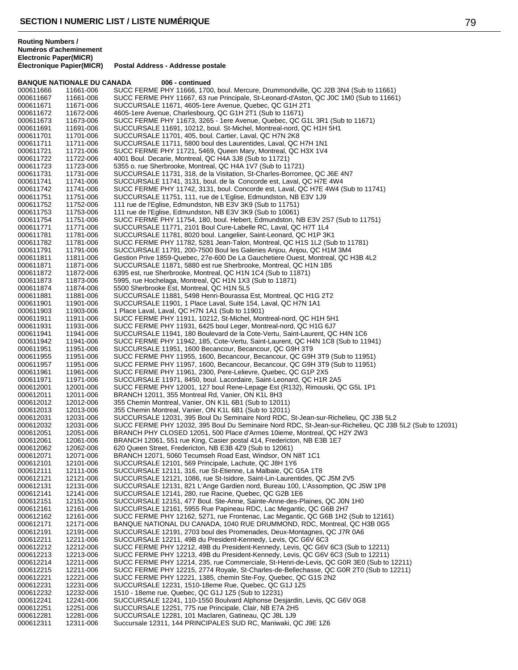### **BANQUE NATIONALE DU CANADA 006 - continued** 000611666 11661-006 SUCC FERME PHY 11666, 1700, boul. Mercure, Drummondville, QC J2B 3N4 (Sub to 11661)<br>000611667 11661-006 SUCC FERME PHY 11667, 63 rue Principale, St-Leonard-d'Aston, QC J0C 1M0 (Sub to 1166 000611667 11661-006 SUCC FERME PHY 11667, 63 rue Principale, St-Leonard-d'Aston, QC J0C 1M0 (Sub to 11661)<br>000611671 11671-006 SUCCURSALE 11671. 4605-1ere Avenue. Quebec. QC G1H 2T1 SUCCURSALE 11671, 4605-1ere Avenue, Quebec, QC G1H 2T1 000611672 11672-006 4605-1ere Avenue, Charlesbourg, QC G1H 2T1 (Sub to 11671) SUCC FERME PHY 11673, 3265 - 1ere Avenue, Quebec, QC G1L 3R1 (Sub to 11671) 000611691 11691-006 SUCCURSALE 11691, 10212, boul. St-Michel, Montreal-nord, QC H1H 5H1<br>000611701 11701-006 SUCCURSALE 11701, 405, boul. Cartier, Laval, QC H7N 2K8 000611701 11701-006 SUCCURSALE 11701, 405, boul. Cartier, Laval, QC H7N 2K8 SUCCURSALE 11711, 5800 boul des Laurentides, Laval, QC H7H 1N1 000611721 11721-006 SUCC FERME PHY 11721, 5469, Queen Mary, Montreal, QC H3X 1V4<br>000611722 11722-006 4001 Boul. Decarie, Montreal, QC H4A 3J8 (Sub to 11721) 000611722 11722-006 4001 Boul. Decarie, Montreal, QC H4A 3J8 (Sub to 11721)<br>000611723 11723-006 5355 o. rue Sherbrooke, Montreal, QC H4A 1V7 (Sub to 11 000611723 11723-006 5355 o. rue Sherbrooke, Montreal, QC H4A 1V7 (Sub to 11721)<br>000611731 11731-006 SUCCURSALE 11731. 318. de la Visitation. St-Charles-Borrome 000611731 11731-006 SUCCURSALE 11731, 318, de la Visitation, St-Charles-Borromee, QC J6E 4N7<br>000611741 11741-006 SUCCURSALE 11741, 3131, boul. de la Concorde est, Laval, QC H7E 4W4 000611741 11741-006 SUCCURSALE 11741, 3131, boul. de la Concorde est, Laval, QC H7E 4W4<br>000611742 11741-006 SUCC FERME PHY 11742, 3131, boul. Concorde est, Laval, QC H7E 4W4 ( 000611742 11741-006 SUCC FERME PHY 11742, 3131, boul. Concorde est, Laval, QC H7E 4W4 (Sub to 11741)<br>000611751 11751-006 SUCCURSALE 11751, 111, rue de L'Eglise, Edmundston, NB E3V 1J9 SUCCURSALE 11751, 111, rue de L'Eglise, Edmundston, NB E3V 1J9 000611752 11752-006 111 rue de l'Eglise, Edmundston, NB E3V 3K9 (Sub to 11751)<br>000611753 11753-006 111 rue de l'Eglise, Edmundston, NB E3V 3K9 (Sub to 10061) 000611753 11753-006 111 rue de l'Eglise, Edmundston, NB E3V 3K9 (Sub to 10061)<br>000611754 11751-006 SUCC FERME PHY 11754, 180, boul. Hebert, Edmundston, N 000611754 11751-006 SUCC FERME PHY 11754, 180, boul. Hebert, Edmundston, NB E3V 2S7 (Sub to 11751)<br>000611771 11771-006 SUCCURSALE 11771, 2101 Boul Cure-Labelle RC, Laval, QC H7T 1L4 000611771 11771-006 SUCCURSALE 11771, 2101 Boul Cure-Labelle RC, Laval, QC H7T 1L4<br>000611781 11781-006 SUCCURSALE 11781, 8020 boul, Langelier, Saint-Leonard, QC H1P 3k SUCCURSALE 11781, 8020 boul. Langelier, Saint-Leonard, QC H1P 3K1 000611782 11781-006 SUCC FERME PHY 11782, 5281 Jean-Talon, Montreal, QC H1S 1L2 (Sub to 11781)<br>000611791 11791-006 SUCCURSALE 11791, 200-7500 Boul les Galeries Anjou, Anjou, QC H1M 3M4 SUCCURSALE 11791, 200-7500 Boul les Galeries Anjou, Anjou, QC H1M 3M4 000611811 11811-006 Gestion Prive 1859-Quebec, 27e-600 De La Gauchetiere Ouest, Montreal, QC H3B 4L2<br>000611871 11871-006 SUCCURSALE 11871, 5880 est rue Sherbrooke, Montreal, QC H1N 1B5 000611871 11871-006 SUCCURSALE 11871, 5880 est rue Sherbrooke, Montreal, QC H1N 1B5<br>000611872 11872-006 6395 est. rue Sherbrooke. Montreal. QC H1N 1C4 (Sub to 11871) 6395 est, rue Sherbrooke, Montreal, QC H1N 1C4 (Sub to 11871) 000611873 11873-006 5995, rue Hochelaga, Montreal, QC H1N 1X3 (Sub to 11871)<br>000611874 11874-006 5500 Sherbrooke Est, Montreal, QC H1N 5L5 000611874 11874-006 5500 Sherbrooke Est, Montreal, QC H1N 5L5 000611881 11881-006 SUCCURSALE 11881, 5498 Henri-Bourassa Est, Montreal, QC H1G 2T2<br>000611901 11901-006 SUCCURSALE 11901, 1 Place Laval, Suite 154, Laval, QC H7N 1A1 000611901 11901-006 SUCCURSALE 11901, 1 Place Laval, Suite 154, Laval, QC H7N 1A1<br>000611903 11903-006 1 Place Laval, Laval, QC H7N 1A1 (Sub to 11901) 1 Place Laval, Laval, QC H7N 1A1 (Sub to 11901) 000611911 11911-006 SUCC FERME PHY 11911, 10212, St-Michel, Montreal-nord, QC H1H 5H1<br>000611931 11931-006 SUCC FERME PHY 11931, 6425 boul Leger, Montreal-nord, QC H1G 6J7 000611931 11931-006 SUCC FERME PHY 11931, 6425 boul Leger, Montreal-nord, QC H1G 6J7<br>000611941 11941-006 SUCCURSALE 11941, 180 Boulevard de la Cote-Vertu, Saint-Laurent, QC 000611941 11941-006 SUCCURSALE 11941, 180 Boulevard de la Cote-Vertu, Saint-Laurent, QC H4N 1C6 000611942 11941-006 SUCC FERME PHY 11942, 185, Cote-Vertu, Saint-Laurent, QC H4N 1C8 (Sub to 11941)<br>000611951 11951-006 SUCCURSALE 11951, 1600 Becancour, Becancour, QC G9H 3T9 000611951 11951-006 SUCCURSALE 11951, 1600 Becancour, Becancour, QC G9H 3T9<br>000611955 11951-006 SUCC FERME PHY 11955, 1600, Becancour, Becancour, QC G9H 000611955 11951-006 SUCC FERME PHY 11955, 1600, Becancour, Becancour, QC G9H 3T9 (Sub to 11951) SUCC FERME PHY 11957, 1600, Becancour, Becancour, QC G9H 3T9 (Sub to 11951) 000611961 11961-006 SUCC FERME PHY 11961, 2300, Pere-Lelievre, Quebec, QC G1P 2X5<br>000611971 11971-006 SUCCURSALE 11971, 8450, boul, Lacordaire, Saint-Leonard, QC H1R 000611971 11971-006 SUCCURSALE 11971, 8450, boul. Lacordaire, Saint-Leonard, QC H1R 2A5<br>000612001 12001-006 SUCC FERME PHY 12001, 127 boul Rene-Lepage Est (R132), Rimouski, Q 000612001 12001-006 SUCC FERME PHY 12001, 127 boul Rene-Lepage Est (R132), Rimouski, QC G5L 1P1<br>000612011 12011-006 BRANCH 12011, 355 Montreal Rd, Vanier, ON K1L 8H3 000612011 12011-006 BRANCH 12011, 355 Montreal Rd, Vanier, ON K1L 8H3<br>000612012 12012-006 355 Chemin Montreal. Vanier. ON K1L 6B1 (Sub to 1201 355 Chemin Montreal, Vanier, ON K1L 6B1 (Sub to 12011) 000612013 12013-006 355 Chemin Montreal, Vanier, ON K1L 6B1 (Sub to 12011)<br>000612031 12031-006 SUCCURSALE 12031, 395 Boul Du Seminaire Nord RDC, SUCCURSALE 12031, 395 Boul Du Seminaire Nord RDC, St-Jean-sur-Richelieu, QC J3B 5L2 000612032 12031-006 SUCC FERME PHY 12032, 395 Boul Du Seminaire Nord RDC, St-Jean-sur-Richelieu, QC J3B 5L2 (Sub to 12031)<br>000612051 12051-006 BRANCH PHY CLOSED 12051, 500 Place d'Armes 10ieme, Montreal, QC H2Y 2W3 000612051 12051-006 BRANCH PHY CLOSED 12051, 500 Place d'Armes 10ieme, Montreal, QC H2Y 2W3<br>000612061 12061-006 BRANCH 12061, 551 rue King, Casier postal 414, Fredericton, NB E3B 1E7 BRANCH 12061, 551 rue King, Casier postal 414, Fredericton, NB E3B 1E7 000612062 12062-006 620 Queen Street, Fredericton, NB E3B 4Z9 (Sub to 12061)<br>000612071 12071-006 BRANCH 12071, 5060 Tecumseh Road East, Windsor, ON BRANCH 12071, 5060 Tecumseh Road East, Windsor, ON N8T 1C1 000612101 12101-006 SUCCURSALE 12101, 569 Principale, Lachute, QC J8H 1Y6 000612111 12111-006 SUCCURSALE 12111, 316, rue St-Etienne, La Malbaie, QC G5A 1T8 SUCCURSALE 12121, 1086, rue St-Isidore, Saint-Lin-Laurentides, QC J5M 2V5 000612131 12131-006 SUCCURSALE 12131, 821 L'Ange Gardien nord, Bureau 100, L'Assomption, QC J5W 1P8<br>000612141 12141-006 SUCCURSALE 12141, 280, rue Racine, Quebec, QC G2B 1E6 000612141 12141-006 SUCCURSALE 12141, 280, rue Racine, Quebec, QC G2B 1E6 000612151 12151-006 SUCCURSALE 12151, 477 Boul. Ste-Anne, Sainte-Anne-des-Plaines, QC J0N 1H0<br>000612161 12161-006 SUCCURSALE 12161, 5955 Rue Papineau RDC, Lac Megantic, QC G6B 2H7 000612161 12161-006 SUCCURSALE 12161, 5955 Rue Papineau RDC, Lac Megantic, QC G6B 2H7<br>000612162 12161-006 SUCC FERME PHY 12162, 5271, rue Frontenac, Lac Megantic, QC G6B 1H2 000612162 12161-006 SUCC FERME PHY 12162, 5271, rue Frontenac, Lac Megantic, QC G6B 1H2 (Sub to 12161)<br>000612171 12171-006 BANQUE NATIONAL DU CANADA, 1040 RUE DRUMMOND, RDC, Montreal, QC H3B 0G5 000612171 12171-006 BANQUE NATIONAL DU CANADA, 1040 RUE DRUMMOND, RDC, Montreal, QC H3B 0G5<br>000612191 12191-006 SUCCURSALE 12191, 2703 boul des Promenades, Deux-Montagnes, QC J7R 0A6 SUCCURSALE 12191, 2703 boul des Promenades, Deux-Montagnes, QC J7R 0A6 000612211 12211-006 SUCCURSALE 12211, 49B du President-Kennedy, Levis, QC G6V 6C3<br>000612212 12212-006 SUCC FERME PHY 12212, 49B du President-Kennedy, Levis, QC G6V 000612212 12212-006 SUCC FERME PHY 12212, 49B du President-Kennedy, Levis, QC G6V 6C3 (Sub to 12211)<br>000612213 12213-006 SUCC FERME PHY 12213, 49B du President-Kennedy, Levis, QC G6V 6C3 (Sub to 12211) 000612213 12213-006 SUCC FERME PHY 12213, 49B du President-Kennedy, Levis, QC G6V 6C3 (Sub to 12211) 000612214 12211-006 SUCC FERME PHY 12214, 235, rue Commerciale, St-Henri-de-Levis, QC G0R 3E0 (Sub to 12211)<br>000612215 12211-006 SUCC FERME PHY 12215, 2774 Rovale, St-Charles-de-Bellechasse, QC G0R 2T0 (Sub to 12211) SUCC FERME PHY 12215, 2774 Royale, St-Charles-de-Bellechasse, QC G0R 2T0 (Sub to 12211) 000612221 12221-006 SUCC FERME PHY 12221, 1385, chemin Ste-Foy, Quebec, QC G1S 2N2<br>000612231 12231-006 SUCCURSALE 12231, 1510-18eme Rue, Quebec, QC G1J 1Z5 000612231 12231-006 SUCCURSALE 12231, 1510-18eme Rue, Quebec, QC G1J 1Z5<br>000612232 12232-006 1510 - 18eme rue, Quebec, QC G1J 1Z5 (Sub to 12231) 000612232 12232-006 1510 - 18eme rue, Quebec, QC G1J 1Z5 (Sub to 12231)<br>000612241 12241-006 SUCCURSALE 12241, 110-1550 Boulvard Alphonse De 000612241 12241-006 SUCCURSALE 12241, 110-1550 Boulvard Alphonse Desjardin, Levis, QC G6V 0G8<br>000612251 12251-006 SUCCURSALE 12251. 775 rue Principale. Clair. NB E7A 2H5 SUCCURSALE 12251, 775 rue Principale, Clair, NB E7A 2H5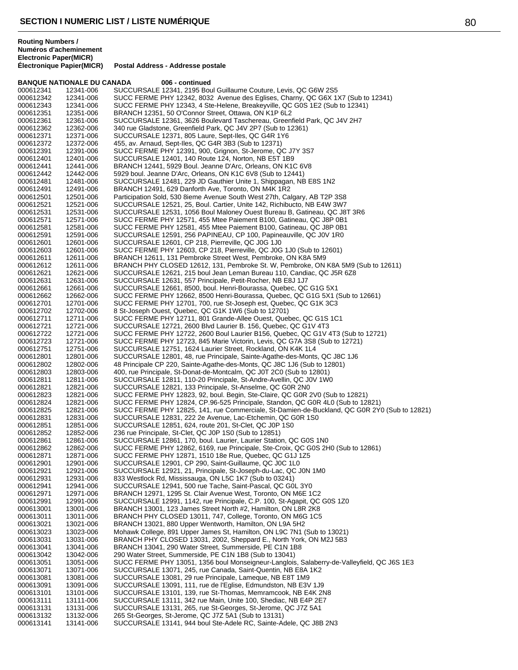### **BANQUE NATIONALE DU CANADA 006 - continued** 000612341 12341-006 SUCCURSALE 12341, 2195 Boul Guillaume Couture, Levis, QC G6W 2S5<br>000612342 12341-006 SUCC FERME PHY 12342, 8032 Avenue des Eglises, Charny, QC G6X 1 000612342 12341-006 SUCC FERME PHY 12342, 8032 Avenue des Eglises, Charny, QC G6X 1X7 (Sub to 12341)<br>000612343 12341-006 SUCC FERME PHY 12343. 4 Ste-Helene. Breakevville. QC G0S 1E2 (Sub to 12341) SUCC FERME PHY 12343, 4 Ste-Helene, Breakeyville, QC G0S 1E2 (Sub to 12341) 000612351 12351-006 BRANCH 12351, 50 O'Connor Street, Ottawa, ON K1P 6L2<br>000612361 12361-006 SUCCURSALE 12361, 3626 Boulevard Taschereau, Green SUCCURSALE 12361, 3626 Boulevard Taschereau, Greenfield Park, QC J4V 2H7 000612362 12362-006 340 rue Gladstone, Greenfield Park, QC J4V 2P7 (Sub to 12361)<br>000612371 12371-006 SUCCURSALE 12371, 805 Laure, Sept-Iles, QC G4R 1Y6 000612371 12371-006 SUCCURSALE 12371, 805 Laure, Sept-Iles, QC G4R 1Y6<br>000612372 12372-006 455 av. Arnaud, Sept-Iles, QC G4R 3B3 (Sub to 12371) 455, av. Arnaud, Sept-Iles, QC G4R 3B3 (Sub to 12371) 000612391 12391-006 SUCC FERME PHY 12391, 900, Grignon, St-Jerome, QC J7Y 3S7<br>000612401 12401-006 SUCCURSALE 12401, 140 Route 124, Norton, NB E5T 1B9 000612401 12401-006 SUCCURSALE 12401, 140 Route 124, Norton, NB E5T 1B9<br>000612441 12441-006 BRANCH 12441, 5929 Boul. Jeanne D'Arc, Orleans, ON K10 000612441 12441-006 BRANCH 12441, 5929 Boul. Jeanne D'Arc, Orleans, ON K1C 6V8<br>000612442 12442-006 5929 boul. Jeanne D'Arc, Orleans, ON K1C 6V8 (Sub to 12441) 000612442 12442-006 5929 boul. Jeanne D'Arc, Orleans, ON K1C 6V8 (Sub to 12441)<br>000612481 12481-006 SUCCURSALE 12481, 229 JD Gauthier Unite 1, Shippagan, NB 000612481 12481-006 SUCCURSALE 12481, 229 JD Gauthier Unite 1, Shippagan, NB E8S 1N2<br>000612491 12491-006 BRANCH 12491, 629 Danforth Ave, Toronto, ON M4K 1R2 000612491 12491-006 BRANCH 12491, 629 Danforth Ave, Toronto, ON M4K 1R2<br>000612501 12501-006 Participation Sold, 530 8ieme Avenue South West 27th, Cal Participation Sold, 530 8ieme Avenue South West 27th, Calgary, AB T2P 3S8 000612521 12521-006 SUCCURSALE 12521, 25, Boul. Cartier, Unite 142, Richibucto, NB E4W 3W7<br>000612531 12531-006 SUCCURSALE 12531, 1056 Boul Maloney Ouest Bureau B, Gatineau, QC J8 000612531 12531-006 SUCCURSALE 12531, 1056 Boul Maloney Ouest Bureau B, Gatineau, QC J8T 3R6<br>000612571 12571-006 SUCC FERME PHY 12571, 455 Mtee Paiement B100, Gatineau, QC J8P 0B1 000612571 12571-006 SUCC FERME PHY 12571, 455 Mtee Paiement B100, Gatineau, QC J8P 0B1<br>000612581 12581-006 SUCC FERME PHY 12581, 455 Mtee Paiement B100, Gatineau, QC J8P 0B1 000612581 12581-006 SUCC FERME PHY 12581, 455 Mtee Paiement B100, Gatineau, QC J8P 0B1<br>000612591 12591-006 SUCCURSALE 12591, 256 PAPINEAU, CP 100, Papineauville, QC J0V 1R0 SUCCURSALE 12591, 256 PAPINEAU, CP 100, Papineauville, QC J0V 1R0 000612601 12601-006 SUCCURSALE 12601, CP 218, Pierreville, QC J0G 1J0<br>000612603 12601-006 SUCC FERME PHY 12603, CP 218, Pierreville, QC J0G SUCC FERME PHY 12603, CP 218, Pierreville, QC J0G 1J0 (Sub to 12601) 000612611 12611-006 BRANCH 12611, 131 Pembroke Street West, Pembroke, ON K8A 5M9<br>000612612 12611-006 BRANCH PHY CLOSED 12612, 131, Pembroke St. W, Pembroke, ON 000612612 12611-006 BRANCH PHY CLOSED 12612, 131, Pembroke St. W, Pembroke, ON K8A 5M9 (Sub to 12611)<br>000612621 12621-006 SUCCURSALE 12621, 215 boul Jean Leman Bureau 110, Candiac, QC J5R 6Z8 SUCCURSALE 12621, 215 boul Jean Leman Bureau 110, Candiac, QC J5R 6Z8 000612631 12631-006 SUCCURSALE 12631, 557 Principale, Petit-Rocher, NB E8J 1J7 SUCCURSALE 12661, 8500, boul. Henri-Bourassa, Quebec, QC G1G 5X1 000612662 12662-006 SUCC FERME PHY 12662, 8500 Henri-Bourassa, Quebec, QC G1G 5X1 (Sub to 12661)<br>000612701 12701-006 SUCC FERME PHY 12701, 700, rue St-Joseph est, Quebec, QC G1K 3C3 000612701 12701-006 SUCC FERME PHY 12701, 700, rue St-Joseph est, Quebec, QC G1K 3C3<br>000612702 12702-006 8 St-Joseph Quest, Quebec, QC G1K 1W6 (Sub to 12701) 8 St-Joseph Ouest, Quebec, QC G1K 1W6 (Sub to 12701) 000612711 12711-006 SUCC FERME PHY 12711, 801 Grande-Allee Ouest, Quebec, QC G1S 1C1<br>000612721 12721-006 SUCCURSALE 12721, 2600 Blvd Laurier B. 156, Quebec, QC G1V 4T3 000612721 12721-006 SUCCURSALE 12721, 2600 Blvd Laurier B. 156, Quebec, QC G1V 4T3<br>000612722 12721-006 SUCC FERME PHY 12722, 2600 Boul Laurier B156, Quebec, QC G1V 000612722 12721-006 SUCC FERME PHY 12722, 2600 Boul Laurier B156, Quebec, QC G1V 4T3 (Sub to 12721)<br>000612723 12721-006 SUCC FERME PHY 12723, 845 Marie Victorin, Levis, QC G7A 3S8 (Sub to 12721) 000612723 12721-006 SUCC FERME PHY 12723, 845 Marie Victorin, Levis, QC G7A 3S8 (Sub to 12721)<br>000612751 12751-006 SUCCURSALE 12751, 1624 Laurier Street, Rockland, ON K4K 1L4 000612751 12751-006 SUCCURSALE 12751, 1624 Laurier Street, Rockland, ON K4K 1L4<br>000612801 12801-006 SUCCURSALE 12801, 48, rue Principale, Sainte-Agathe-des-Monts 000612801 12801-006 SUCCURSALE 12801, 48, rue Principale, Sainte-Agathe-des-Monts, QC J8C 1J6<br>000612802 12802-006 48 Principale CP 220, Sainte-Agathe-des-Monts, QC J8C 1J6 (Sub to 12801) 000612802 12802-006 48 Principale CP 220, Sainte-Agathe-des-Monts, QC J8C 1J6 (Sub to 12801)<br>000612803 12803-006 400, rue Principale, St-Donat-de-Montcalm, QC J0T 2C0 (Sub to 12801) 000612803 12803-006 400, rue Principale, St-Donat-de-Montcalm, QC J0T 2C0 (Sub to 12801) 000612811 12811-006 SUCCURSALE 12811, 110-20 Principale, St-Andre-Avellin, QC J0V 1W0<br>000612821 12821-006 SUCCURSALE 12821, 133 Principale, St-Anselme, QC G0R 2N0 000612821 12821-006 SUCCURSALE 12821, 133 Principale, St-Anselme, QC G0R 2N0<br>000612823 12821-006 SUCC FERME PHY 12823, 92, boul. Begin, Ste-Claire, QC G0R 2 000612823 12821-006 SUCC FERME PHY 12823, 92, boul. Begin, Ste-Claire, QC G0R 2V0 (Sub to 12821) SUCC FERME PHY 12824, CP.96-525 Principale, Standon, QC G0R 4L0 (Sub to 12821) 000612825 12821-006 SUCC FERME PHY 12825, 141, rue Commerciale, St-Damien-de-Buckland, QC G0R 2Y0 (Sub to 12821)<br>000612831 12831-006 SUCCURSALE 12831, 222 2e Avenue, Lac-Etchemin, QC G0R 1S0 SUCCURSALE 12831, 222 2e Avenue, Lac-Etchemin, QC G0R 1S0 000612851 12851-006 SUCCURSALE 12851, 624, route 201, St-Clet, QC J0P 1S0<br>000612852 12852-006 236 rue Principale, St-Clet, QC J0P 1S0 (Sub to 12851) 000612852 12852-006 236 rue Principale, St-Clet, QC J0P 1S0 (Sub to 12851)<br>000612861 12861-006 SUCCURSALE 12861, 170, boul, Laurier, Laurier Statio SUCCURSALE 12861, 170, boul. Laurier, Laurier Station, QC G0S 1N0 000612862 12862-006 SUCC FERME PHY 12862, 6169, rue Principale, Ste-Croix, QC G0S 2H0 (Sub to 12861)<br>000612871 12871-006 SUCC FERME PHY 12871, 1510 18e Rue, Quebec, QC G1J 1Z5 SUCC FERME PHY 12871, 1510 18e Rue, Quebec, QC G1J 1Z5 000612901 12901-006 SUCCURSALE 12901, CP 290, Saint-Guillaume, QC J0C 1L0<br>000612921 12921-006 SUCCURSALE 12921, 21, Principale, St-Joseph-du-Lac, QC 000612921 12921-006 SUCCURSALE 12921, 21, Principale, St-Joseph-du-Lac, QC J0N 1M0<br>000612931 12931-006 833 Westlock Rd. Mississauga, ON L5C 1K7 (Sub to 03241) 833 Westlock Rd, Mississauga, ON L5C 1K7 (Sub to 03241) 000612941 12941-006 SUCCURSALE 12941, 500 rue Tache, Saint-Pascal, QC G0L 3Y0 000612971 12971-006 BRANCH 12971, 1295 St. Clair Avenue West, Toronto, ON M6E 1C2<br>000612991 12991-006 SUCCURSALE 12991, 1142, rue Principale, C.P. 100, St-Agapit, QC 000612991 12991-006 SUCCURSALE 12991, 1142, rue Principale, C.P. 100, St-Agapit, QC G0S 1Z0<br>000613001 13001-006 BRANCH 13001. 123 James Street North #2. Hamilton. ON L8R 2K8 000613001 13001-006 BRANCH 13001, 123 James Street North #2, Hamilton, ON L8R 2K8<br>000613011 13011-006 BRANCH PHY CLOSED 13011, 747, College, Toronto, ON M6G 1C5 000613011 13011-006 BRANCH PHY CLOSED 13011, 747, College, Toronto, ON M6G 1C5<br>000613021 13021-006 BRANCH 13021, 880 Upper Wentworth, Hamilton, ON L9A 5H2 000613021 13021-006 BRANCH 13021, 880 Upper Wentworth, Hamilton, ON L9A 5H2<br>000613023 13023-006 Mohawk College, 891 Upper James St, Hamilton, ON L9C 7N1 ( Mohawk College, 891 Upper James St, Hamilton, ON L9C 7N1 (Sub to 13021) 000613031 13031-006 BRANCH PHY CLOSED 13031, 2002, Sheppard E., North York, ON M2J 5B3<br>000613041 13041-006 BRANCH 13041, 290 Water Street, Summerside, PE C1N 1B8 BRANCH 13041, 290 Water Street, Summerside, PE C1N 1B8 000613042 13042-006 290 Water Street, Summerside, PE C1N 1B8 (Sub to 13041)<br>000613051 13051-006 SUCC FERME PHY 13051, 1356 boul Monseigneur-Langlois 000613051 13051-006 SUCC FERME PHY 13051, 1356 boul Monseigneur-Langlois, Salaberry-de-Valleyfield, QC J6S 1E3<br>000613071 13071-006 SUCCURSALE 13071, 245, rue Canada, Saint-Quentin, NB E8A 1K2 SUCCURSALE 13071, 245, rue Canada, Saint-Quentin, NB E8A 1K2 000613081 13081-006 SUCCURSALE 13081, 29 rue Principale, Lameque, NB E8T 1M9<br>000613091 13091-006 SUCCURSALE 13091, 111, rue de l'Eglise, Edmundston, NB E3\ SUCCURSALE 13091, 111, rue de l'Eglise, Edmundston, NB E3V 1J9 000613101 13101-006 SUCCURSALE 13101, 139, rue St-Thomas, Memramcook, NB E4K 2N8<br>000613111 13111-006 SUCCURSALE 13111, 342 rue Main, Unite 100, Shediac, NB E4P 2E7 000613111 13111-006 SUCCURSALE 13111, 342 rue Main, Unite 100, Shediac, NB E4P 2E7<br>000613131 13131-006 SUCCURSALE 13131, 265, rue St-Georges, St-Jerome, OC J77 5A1 SUCCURSALE 13131, 265, rue St-Georges, St-Jerome, QC J7Z 5A1 000613132 13132-006 265 St-Georges, St-Jerome, QC J7Z 5A1 (Sub to 13131)<br>000613141 13141-006 SUCCURSALE 13141, 944 boul Ste-Adele RC, Sainte-A SUCCURSALE 13141, 944 boul Ste-Adele RC, Sainte-Adele, QC J8B 2N3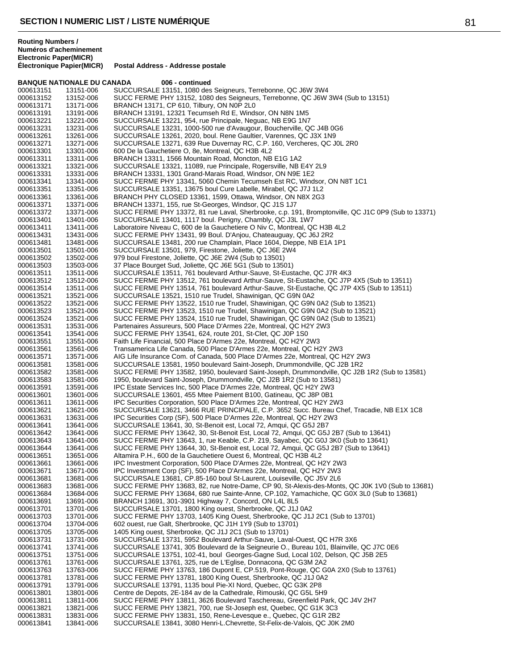**BANQUE NATIONALE DU CANADA 006 - continued** 000613151 13151-006 SUCCURSALE 13151, 1080 des Seigneurs, Terrebonne, QC J6W 3W4<br>000613152 13152-006 SUCC FERME PHY 13152, 1080 des Seigneurs, Terrebonne, QC J6W 000613152 13152-006 SUCC FERME PHY 13152, 1080 des Seigneurs, Terrebonne, QC J6W 3W4 (Sub to 13151)<br>000613171 13171-006 BRANCH 13171. CP 610. Tilbury. ON N0P 2L0 BRANCH 13171, CP 610, Tilbury, ON N0P 2L0 000613191 13191-006 BRANCH 13191, 12321 Tecumseh Rd E, Windsor, ON N8N 1M5<br>000613221 13221-006 SUCCURSALE 13221, 954, rue Principale, Neguac, NB E9G 1N7 SUCCURSALE 13221, 954, rue Principale, Neguac, NB E9G 1N7 000613231 13231-006 SUCCURSALE 13231, 1000-500 rue d'Avaugour, Boucherville, QC J4B 0G6<br>000613261 13261-006 SUCCURSALE 13261, 2020, boul. Rene Gaultier, Varennes, QC J3X 1N9 000613261 13261-006 SUCCURSALE 13261, 2020, boul. Rene Gaultier, Varennes, QC J3X 1N9<br>000613271 13271-006 SUCCURSALE 13271, 639 Rue Duvernav RC, C.P. 160, Vercheres, QC J SUCCURSALE 13271, 639 Rue Duvernay RC, C.P. 160, Vercheres, QC J0L 2R0 000613301 13301-006 600 De la Gauchetiere O, 8e, Montreal, QC H3B 4L2<br>000613311 13311-006 BRANCH 13311, 1566 Mountain Road, Moncton, NB 000613311 13311-006 BRANCH 13311, 1566 Mountain Road, Moncton, NB E1G 1A2<br>000613321 13321-006 SUCCURSALE 13321, 11089, rue Principale, Rogersville, NB E 000613321 13321-006 SUCCURSALE 13321, 11089, rue Principale, Rogersville, NB E4Y 2L9<br>000613331 13331-006 BRANCH 13331, 1301 Grand-Marais Road, Windsor, ON N9E 1E2 000613331 13331-006 BRANCH 13331, 1301 Grand-Marais Road, Windsor, ON N9E 1E2<br>000613341 13341-006 SUCC FERME PHY 13341, 5060 Chemin Tecumseh Est RC, Wind 000613341 13341-006 SUCC FERME PHY 13341, 5060 Chemin Tecumseh Est RC, Windsor, ON N8T 1C1<br>000613351 13351-006 SUCCURSALE 13351, 13675 boul Cure Labelle, Mirabel, QC J7J 1L2 000613351 13351-006 SUCCURSALE 13351, 13675 boul Cure Labelle, Mirabel, QC J7J 1L2<br>000613361 13361-006 BRANCH PHY CLOSED 13361, 1599, Ottawa, Windsor, ON N8X 2G3 BRANCH PHY CLOSED 13361, 1599, Ottawa, Windsor, ON N8X 2G3 000613371 13371-006 BRANCH 13371, 155, rue St-Georges, Windsor, QC J1S 1J7<br>000613372 13371-006 SUCC FERME PHY 13372, 81 rue Laval, Sherbrooke, c.p. 19 000613372 13371-006 SUCC FERME PHY 13372, 81 rue Laval, Sherbrooke, c.p. 191, Bromptonville, QC J1C 0P9 (Sub to 13371)<br>000613401 13401-006 SUCCURSALE 13401, 1117 boul. Perigny, Chambly, QC J3L 1W7 000613401 13401-006 SUCCURSALE 13401, 1117 boul. Perigny, Chambly, QC J3L 1W7<br>000613411 13411-006 Laboratoire Niveau C, 600 de la Gauchetiere O Niv C, Montreal, Q 000613411 13411-006 Laboratoire Niveau C, 600 de la Gauchetiere O Niv C, Montreal, QC H3B 4L2<br>000613431 13431-006 SUCC FERME PHY 13431. 99 Boul. D'Aniou. Chateauguay. QC J6J 2R2 SUCC FERME PHY 13431, 99 Boul. D'Anjou, Chateauguay, QC J6J 2R2 000613481 13481-006 SUCCURSALE 13481, 200 rue Champlain, Place 1604, Dieppe, NB E1A 1P1<br>000613501 13501-006 SUCCURSALE 13501, 979, Firestone, Joliette, QC J6E 2W4 SUCCURSALE 13501, 979, Firestone, Joliette, QC J6E 2W4 000613502 13502-006 979 boul Firestone, Joliette, QC J6E 2W4 (Sub to 13501)<br>000613503 13503-006 37 Place Bourget Sud, Joliette, QC J6E 5G1 (Sub to 1350 000613503 13503-006 37 Place Bourget Sud, Joliette, QC J6E 5G1 (Sub to 13501)<br>000613511 13511-006 SUCCURSALE 13511. 761 boulevard Arthur-Sauve. St-Eus SUCCURSALE 13511, 761 boulevard Arthur-Sauve, St-Eustache, QC J7R 4K3 000613512 13512-006 SUCC FERME PHY 13512, 761 boulevard Arthur-Sauve, St-Eustache, QC J7P 4X5 (Sub to 13511)<br>000613514 13511-006 SUCC FERME PHY 13514, 761 boulevard Arthur-Sauve, St-Eustache, QC J7P 4X5 (Sub to 13511) 13511-006 SUCC FERME PHY 13514, 761 boulevard Arthur-Sauve, St-Eustache, QC J7P 4X5 (Sub to 13511)<br>13521-006 SUCCURSALE 13521, 1510 rue Trudel, Shawinigan, QC G9N 0A2 000613521 13521-006 SUCCURSALE 13521, 1510 rue Trudel, Shawinigan, QC G9N 0A2<br>000613522 13521-006 SUCC FERME PHY 13522, 1510 rue Trudel, Shawinigan, QC G9N 000613522 13521-006 SUCC FERME PHY 13522, 1510 rue Trudel, Shawinigan, QC G9N 0A2 (Sub to 13521) SUCC FERME PHY 13523, 1510 rue Trudel, Shawinigan, QC G9N 0A2 (Sub to 13521) 000613524 13521-006 SUCC FERME PHY 13524, 1510 rue Trudel, Shawinigan, QC G9N 0A2 (Sub to 13521)<br>000613531 13531-006 Partenaires Assureurs, 500 Place D'Armes 22e, Montreal, QC H2Y 2W3 000613531 13531-006 Partenaires Assureurs, 500 Place D'Armes 22e, Montreal, QC H2Y 2W3<br>000613541 13541-006 SUCC FERME PHY 13541, 624, route 201, St-Clet, QC J0P 1S0 000613541 13541-006 SUCC FERME PHY 13541, 624, route 201, St-Clet, QC J0P 1S0<br>000613551 13551-006 Faith Life Financial, 500 Place D'Armes 22e, Montreal, QC H2Y 2 000613551 13551-006 Faith Life Financial, 500 Place D'Armes 22e, Montreal, QC H2Y 2W3<br>000613561 13561-006 Transamerica Life Canada, 500 Place D'Armes 22e, Montreal, QC H2 000613561 13561-006 Transamerica Life Canada, 500 Place D'Armes 22e, Montreal, QC H2Y 2W3 000613571 13571-006 AIG Life Insurance Com. of Canada, 500 Place D'Armes 22e, Montreal, QC H2Y 2W3<br>000613581 13581-006 SUCCURSALE 13581, 1950 boulevard Saint-Joseph, Drummondville, QC J2B 1R2 000613581 13581-006 SUCCURSALE 13581, 1950 boulevard Saint-Joseph, Drummondville, QC J2B 1R2<br>000613582 13581-006 SUCC FERME PHY 13582, 1950, boulevard Saint-Joseph, Drummondville, QC J2B 000613582 13581-006 SUCC FERME PHY 13582, 1950, boulevard Saint-Joseph, Drummondville, QC J2B 1R2 (Sub to 13581)<br>000613583 13581-006 1950, boulevard Saint-Joseph, Drummondville, QC J2B 1R2 (Sub to 13581) 000613583 13581-006 1950, boulevard Saint-Joseph, Drummondville, QC J2B 1R2 (Sub to 13581)<br>000613591 13591-006 IPC Estate Services Inc, 500 Place D'Armes 22e, Montreal, QC H2Y 2W3 000613591 13591-006 IPC Estate Services Inc, 500 Place D'Armes 22e, Montreal, QC H2Y 2W3<br>000613601 13601-006 SUCCURSALE 13601, 455 Mtee Paiement B100, Gatineau, QC J8P 0B1 000613601 13601-006 SUCCURSALE 13601, 455 Mtee Paiement B100, Gatineau, QC J8P 0B1<br>000613611 13611-006 PC Securities Corporation, 500 Place D'Armes 22e, Montreal, QC H2Y 2 IPC Securities Corporation, 500 Place D'Armes 22e, Montreal, QC H2Y 2W3 000613621 13621-006 SUCCURSALE 13621, 3466 RUE PRINCIPALE, C.P. 3652 Succ. Bureau Chef, Tracadie, NB E1X 1C8<br>000613631 13631-006 IPC Securities Corp (SF), 500 Place D'Armes 22e, Montreal, QC H2Y 2W3 IPC Securities Corp (SF), 500 Place D'Armes 22e, Montreal, QC H2Y 2W3 000613641 13641-006 SUCCURSALE 13641, 30, St-Benoit est, Local 72, Amqui, QC G5J 2B7<br>000613642 13641-006 SUCC FERME PHY 13642, 30, St-Benoit Est, Local 72, Amqui, QC G5. 000613642 13641-006 SUCC FERME PHY 13642, 30, St-Benoit Est, Local 72, Amqui, QC G5J 2B7 (Sub to 13641)<br>000613643 13641-006 SUCC FERME PHY 13643. 1. rue Keable. C.P. 219. Savabec. QC G0J 3K0 (Sub to 13641) SUCC FERME PHY 13643, 1, rue Keable, C.P. 219, Sayabec, QC G0J 3K0 (Sub to 13641) 000613644 13641-006 SUCC FERME PHY 13644, 30, St-Benoit est, Local 72, Amqui, QC G5J 2B7 (Sub to 13641)<br>000613651 13651-006 Altamira P.H., 600 de la Gauchetiere Ouest 6, Montreal, QC H3B 4L2 Altamira P.H., 600 de la Gauchetiere Ouest 6, Montreal, QC H3B 4L2 000613661 13661-006 IPC Investment Corporation, 500 Place D'Armes 22e, Montreal, QC H2Y 2W3<br>000613671 13671-006 IPC Investment Corp (SF), 500 Place D'Armes 22e, Montreal, QC H2Y 2W3 000613671 13671-006 IPC Investment Corp (SF), 500 Place D'Armes 22e, Montreal, QC H2Y 2W3 SUCCURSALE 13681, CP.85-160 boul St-Laurent, Louiseville, QC J5V 2L6 000613683 13681-006 SUCC FERME PHY 13683, 82, rue Notre-Dame, CP 90, St-Alexis-des-Monts, QC J0K 1V0 (Sub to 13681)<br>000613684 13684-006 SUCC FERME PHY 13684, 680 rue Sainte-Anne, CP.102, Yamachiche, QC G0X 3L0 (Sub to 1368 000613684 13684-006 SUCC FERME PHY 13684, 680 rue Sainte-Anne, CP.102, Yamachiche, QC G0X 3L0 (Sub to 13681)<br>000613691 13691-006 BRANCH 13691, 301-3901 Highway 7, Concord, ON L4L 8L5 000613691 13691-006 BRANCH 13691, 301-3901 Highway 7, Concord, ON L4L 8L5<br>000613701 13701-006 SUCCURSALE 13701, 1800 King ouest, Sherbrooke, QC J1J 000613701 13701-006 SUCCURSALE 13701, 1800 King ouest, Sherbrooke, QC J1J 0A2<br>000613703 13701-006 SUCC FERME PHY 13703, 1405 King Ouest, Sherbrooke, QC J1, 000613703 13701-006 SUCC FERME PHY 13703, 1405 King Ouest, Sherbrooke, QC J1J 2C1 (Sub to 13701)<br>000613704 13704-006 602 ouest, rue Galt, Sherbrooke, QC J1H 1Y9 (Sub to 13701) 000613704 13704-006 602 ouest, rue Galt, Sherbrooke, QC J1H 1Y9 (Sub to 13701) 1405 King ouest, Sherbrooke, QC J1J 2C1 (Sub to 13701) 000613731 13731-006 SUCCURSALE 13731, 5952 Boulevard Arthur-Sauve, Laval-Ouest, QC H7R 3X6<br>000613741 13741-006 SUCCURSALE 13741, 305 Boulevard de la Seigneurie O., Bureau 101, Blainville 000613741 13741-006 SUCCURSALE 13741, 305 Boulevard de la Seigneurie O., Bureau 101, Blainville, QC J7C 0E6<br>000613751 13751-006 SUCCURSALE 13751, 102-41, boul Georges-Gagne Sud, Local 102, Delson, QC J5B 2E5 000613751 13751-006 SUCCURSALE 13751, 102-41, boul Georges-Gagne Sud, Local 102, Delson, QC J5B 2E5<br>000613761 13761-006 SUCCURSALE 13761, 325, rue de L'Eglise, Donnacona, QC G3M 2A2 000613761 13761-006 SUCCURSALE 13761, 325, rue de L'Eglise, Donnacona, QC G3M 2A2 SUCC FERME PHY 13763, 186 Dupont E, CP.519, Pont-Rouge, QC G0A 2X0 (Sub to 13761) 000613781 13781-006 SUCC FERME PHY 13781, 1800 King Ouest, Sherbrooke, QC J1J 0A2<br>000613791 13791-006 SUCCURSALE 13791, 1135 boul Pie-XI Nord, Quebec, QC G3K 2P8 SUCCURSALE 13791, 1135 boul Pie-XI Nord, Quebec, QC G3K 2P8 000613801 13801-006 Centre de Depots, 2E-184 av de la Cathedrale, Rimouski, QC G5L 5H9<br>000613811 13811-006 SUCC FERME PHY 13811, 3626 Boulevard Taschereau, Greenfield Pa 000613811 13811-006 SUCC FERME PHY 13811, 3626 Boulevard Taschereau, Greenfield Park, QC J4V 2H7<br>000613821 13821-006 SUCC FERME PHY 13821. 700. rue St-Joseph est. Quebec. QC G1K 3C3 SUCC FERME PHY 13821, 700, rue St-Joseph est, Quebec, QC G1K 3C3 000613831 13831-006 SUCC FERME PHY 13831, 150, Rene-Levesque e., Quebec, QC G1R 2B2<br>000613841 13841-006 SUCCURSALE 13841, 3080 Henri-L.Chevrette, St-Felix-de-Valois, QC J0K SUCCURSALE 13841, 3080 Henri-L.Chevrette, St-Felix-de-Valois, QC J0K 2M0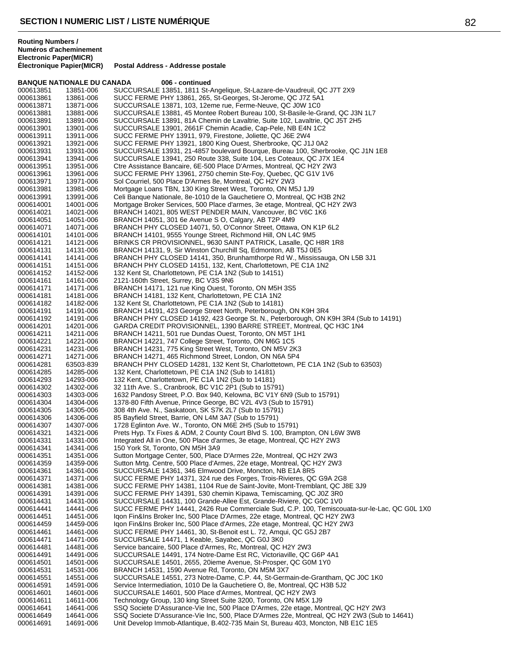# **Postal Address - Addresse postale BANQUE NATIONALE DU CANADA 006 - continued** 000613851 13851-006 SUCCURSALE 13851, 1811 St-Angelique, St-Lazare-de-Vaudreuil, QC J7T 2X9<br>000613861 13861-006 SUCC FERME PHY 13861, 265, St-Georges, St-Jerome, QC J7Z 5A1 000613861 13861-006 SUCC FERME PHY 13861, 265, St-Georges, St-Jerome, QC J7Z 5A1<br>000613871 13871-006 SUCCURSALE 13871, 103, 12eme rue, Ferme-Neuve, QC J0W 1C0 SUCCURSALE 13871, 103, 12eme rue, Ferme-Neuve, QC J0W 1C0 000613881 13881-006 SUCCURSALE 13881, 45 Montee Robert Bureau 100, St-Basile-le-Grand, QC J3N 1L7<br>000613891 13891-006 SUCCURSALE 13891, 81A Chemin de Lavaltrie, Suite 102, Lavaltrie, QC J5T 2H5 SUCCURSALE 13891, 81A Chemin de Lavaltrie, Suite 102, Lavaltrie, QC J5T 2H5 000613901 13901-006 SUCCURSALE 13901, 2661F Chemin Acadie, Cap-Pele, NB E4N 1C2<br>000613911 13911-006 SUCC FERME PHY 13911, 979, Firestone, Joliette, QC J6E 2W4 000613911 13911-006 SUCC FERME PHY 13911, 979, Firestone, Joliette, QC J6E 2W4<br>000613921 13921-006 SUCC FERME PHY 13921, 1800 King Ouest, Sherbrooke, QC J1 SUCC FERME PHY 13921, 1800 King Ouest, Sherbrooke, QC J1J 0A2 000613931 13931-006 SUCCURSALE 13931, 21-4857 boulevard Bourque, Bureau 100, Sherbrooke, QC J1N 1E8<br>000613941 13941-006 SUCCURSALE 13941, 250 Route 338, Suite 104, Les Coteaux, QC J7X 1E4 000613941 13941-006 SUCCURSALE 13941, 250 Route 338, Suite 104, Les Coteaux, QC J7X 1E4<br>000613951 13951-006 Ctre Assistance Bancaire, 6E-500 Place D'Armes, Montreal, QC H2Y 2W3 000613951 13951-006 Ctre Assistance Bancaire, 6E-500 Place D'Armes, Montreal, QC H2Y 2W3<br>000613961 13961-006 SUCC FERME PHY 13961, 2750 chemin Ste-Foy, Quebec, QC G1V 1V6 000613961 13961-006 SUCC FERME PHY 13961, 2750 chemin Ste-Foy, Quebec, QC G1V 1V6<br>000613971 13971-006 Sol Courriel. 500 Place D'Armes 8e. Montreal. QC H2Y 2W3

000613971 13971-006 Sol Courriel, 500 Place D'Armes 8e, Montreal, QC H2Y 2W3<br>000613981 13981-006 Mortgage Loans TBN, 130 King Street West, Toronto, ON M 000613981 13981-006 Mortgage Loans TBN, 130 King Street West, Toronto, ON M5J 1J9<br>000613991 13991-006 Celi Banque Nationale, 8e-1010 de la Gauchetiere O, Montreal, QC Celi Banque Nationale, 8e-1010 de la Gauchetiere O, Montreal, QC H3B 2N2 000614001 14001-006 Mortgage Broker Services, 500 Place d'armes, 3e etage, Montreal, QC H2Y 2W3<br>000614021 14021-006 BRANCH 14021, 805 WEST PENDER MAIN, Vancouver, BC V6C 1K6 000614021 14021-006 BRANCH 14021, 805 WEST PENDER MAIN, Vancouver, BC V6C 1K6<br>000614051 14051-006 BRANCH 14051, 301 6e Avenue S O, Calgary, AB T2P 4M9 000614051 14051-006 BRANCH 14051, 301 6e Avenue S O, Calgary, AB T2P 4M9<br>000614071 14071-006 BRANCH PHY CLOSED 14071, 50, O'Connor Street, Ottawa 000614071 14071-006 BRANCH PHY CLOSED 14071, 50, O'Connor Street, Ottawa, ON K1P 6L2<br>000614101 14101-006 BRANCH 14101, 9555 Younge Street, Richmond Hill, ON L4C 9M5 BRANCH 14101, 9555 Younge Street, Richmond Hill, ON L4C 9M5 000614121 14121-006 BRINKS CR PROVISIONNEL, 9630 SAINT PATRICK, Lasalle, QC H8R 1R8<br>000614131 14131-006 BRANCH 14131, 9, Sir Winston Churchill Sq, Edmonton, AB T5J 0E5 BRANCH 14131, 9, Sir Winston Churchill Sq, Edmonton, AB T5J 0E5 000614141 14141-006 BRANCH PHY CLOSED 14141, 350, Brunhamthorpe Rd W., Mississauga, ON L5B 3J1<br>000614151 14151-006 BRANCH PHY CLOSED 14151, 132, Kent, Charlottetown, PE C1A 1N2 000614151 14151-006 BRANCH PHY CLOSED 14151, 132, Kent, Charlottetown, PE C1A 1N2<br>000614152 14152-006 132 Kent St. Charlottetown. PE C1A 1N2 (Sub to 14151) 132 Kent St, Charlottetown, PE C1A 1N2 (Sub to 14151) 000614161 14161-006 2121-160th Street, Surrey, BC V3S 9N6<br>000614171 14171-006 BRANCH 14171, 121 rue King Ouest, To BRANCH 14171, 121 rue King Ouest, Toronto, ON M5H 3S5 000614181 14181-006 BRANCH 14181, 132 Kent, Charlottetown, PE C1A 1N2<br>000614182 14182-006 132 Kent St, Charlottetown, PE C1A 1N2 (Sub to 14181) 000614182 14182-006 132 Kent St, Charlottetown, PE C1A 1N2 (Sub to 14181)<br>000614191 14191-006 BRANCH 14191, 423 George Street North, Peterborougl BRANCH 14191, 423 George Street North, Peterborough, ON K9H 3R4 000614192 14191-006 BRANCH PHY CLOSED 14192, 423 George St. N., Peterborough, ON K9H 3R4 (Sub to 14191)<br>000614201 14201-006 GARDA CREDIT PROVISIONNEL, 1390 BARRE STREET, Montreal, QC H3C 1N4 000614201 14201-006 GARDA CREDIT PROVISIONNEL, 1390 BARRE STREET, Montreal, QC H3C 1N4<br>000614211 14211-006 BRANCH 14211, 501 rue Dundas Quest, Toronto, ON M5T 1H1 000614211 14211-006 BRANCH 14211, 501 rue Dundas Ouest, Toronto, ON M5T 1H1<br>000614221 14221-006 BRANCH 14221, 747 College Street, Toronto, ON M6G 1C5 000614221 14221-006 BRANCH 14221, 747 College Street, Toronto, ON M6G 1C5<br>000614231 14231-006 BRANCH 14231, 775 King Street West, Toronto, ON M5V 2 000614231 14231-006 BRANCH 14231, 775 King Street West, Toronto, ON M5V 2K3<br>000614271 14271-006 BRANCH 14271, 465 Richmond Street, London, ON N6A 5P4 000614271 14271-006 BRANCH 14271, 465 Richmond Street, London, ON N6A 5P4<br>000614281 63503-839 BRANCH PHY CLOSED 14281, 132 Kent St, Charlottetown, F 000614281 63503-839 BRANCH PHY CLOSED 14281, 132 Kent St, Charlottetown, PE C1A 1N2 (Sub to 63503)<br>000614285 14285-006 132 Kent, Charlottetown, PE C1A 1N2 (Sub to 14181) 000614285 14285-006 132 Kent, Charlottetown, PE C1A 1N2 (Sub to 14181)<br>000614293 14293-006 132 Kent, Charlottetown, PE C1A 1N2 (Sub to 14181) 000614293 14293-006 132 Kent, Charlottetown, PE C1A 1N2 (Sub to 14181)<br>000614302 14302-006 32 11th Ave. S., Cranbrook, BC V1C 2P1 (Sub to 157 000614302 14302-006 32 11th Ave. S., Cranbrook, BC V1C 2P1 (Sub to 15791)<br>000614303 14303-006 1632 Pandosy Street, P.O. Box 940, Kelowna, BC V1Y 6 000614303 14303-006 1632 Pandosy Street, P.O. Box 940, Kelowna, BC V1Y 6N9 (Sub to 15791)<br>000614304 14304-006 1378-80 Fifth Avenue. Prince George. BC V2L 4V3 (Sub to 15791) 1378-80 Fifth Avenue, Prince George, BC V2L 4V3 (Sub to 15791) 000614305 14305-006 308 4th Ave. N., Saskatoon, SK S7K 2L7 (Sub to 15791)<br>000614306 14306-006 85 Bayfield Street, Barrie, ON L4M 3A7 (Sub to 15791) 85 Bayfield Street, Barrie, ON L4M 3A7 (Sub to 15791) 000614307 14307-006 1728 Eglinton Ave. W., Toronto, ON M6E 2H5 (Sub to 15791) 000614321 14321-006 Prets Hyp. Tx Fixes & ADM, 2 County Court Blvd S. 100, Brampton, ON L6W 3W8<br>000614331 14331-006 Integrated All in One. 500 Place d'armes. 3e etage. Montreal. QC H2Y 2W3 Integrated All in One, 500 Place d'armes, 3e etage, Montreal, QC H2Y 2W3 000614341 14341-006 150 York St, Toronto, ON M5H 3A9<br>000614351 14351-006 Sutton Mortgage Center, 500, Place Sutton Mortgage Center, 500, Place D'Armes 22e, Montreal, QC H2Y 2W3 000614359 14359-006 Sutton Mrtg. Centre, 500 Place d'Armes, 22e etage, Montreal, QC H2Y 2W3<br>000614361 14361-006 SUCCURSALE 14361, 346 Elmwood Drive, Moncton, NB E1A 8R5 000614361 14361-006 SUCCURSALE 14361, 346 Elmwood Drive, Moncton, NB E1A 8R5 SUCC FERME PHY 14371, 324 rue des Forges, Trois-Rivieres, QC G9A 2G8 000614381 14381-006 SUCC FERME PHY 14381, 1104 Rue de Saint-Jovite, Mont-Tremblant, QC J8E 3J9<br>000614391 14391-006 SUCC FERME PHY 14391, 530 chemin Kipawa, Temiscaming, QC J0Z 3R0 000614391 14391-006 SUCC FERME PHY 14391, 530 chemin Kipawa, Temiscaming, QC J0Z 3R0<br>000614431 14431-006 SUCCURSALE 14431, 100 Grande-Allee Est, Grande-Riviere, QC G0C 1V0 000614431 14431-006 SUCCURSALE 14431, 100 Grande-Allee Est, Grande-Riviere, QC G0C 1V0<br>000614441 14441-006 SUCC FERME PHY 14441. 2426 Rue Commerciale Sud. C.P. 100. Temisco 000614441 14441-006 SUCC FERME PHY 14441, 2426 Rue Commerciale Sud, C.P. 100, Temiscouata-sur-le-Lac, QC G0L 1X0<br>000614451 14451-006 loon Fin&Ins Broker Inc. 500 Place D'Armes, 22e etage, Montreal, QC H2Y 2W3 000614451 14451-006 Iqon Fin&Ins Broker Inc, 500 Place D'Armes, 22e etage, Montreal, QC H2Y 2W3 000614459 14459-006 Iqon Fin&Ins Broker Inc, 500 Place d'Armes, 22e etage, Montreal, QC H2Y 2W3<br>000614461 14461-006 SUCC FERME PHY 14461, 30, St-Benoit est L. 72, Amqui, QC G5J 2B7 SUCC FERME PHY 14461, 30, St-Benoit est L. 72, Amqui, QC G5J 2B7 000614471 14471-006 SUCCURSALE 14471, 1 Keable, Sayabec, QC G0J 3K0<br>000614481 14481-006 Service bancaire, 500 Place d'Armes, Rc, Montreal, QC ł 000614481 14481-006 Service bancaire, 500 Place d'Armes, Rc, Montreal, QC H2Y 2W3<br>000614491 14491-006 SUCCURSALE 14491, 174 Notre-Dame Est RC, Victoriaville, QC 000614491 14491-006 SUCCURSALE 14491, 174 Notre-Dame Est RC, Victoriaville, QC G6P 4A1<br>000614501 14501-006 SUCCURSALE 14501, 2655, 20ieme Avenue, St-Prosper, QC G0M 1Y0 000614501 14501-006 SUCCURSALE 14501, 2655, 20ieme Avenue, St-Prosper, QC G0M 1Y0<br>000614531 14531-006 BRANCH 14531, 1590 Avenue Rd. Toronto. ON M5M 3X7 BRANCH 14531, 1590 Avenue Rd, Toronto, ON M5M 3X7 000614551 14551-006 SUCCURSALE 14551, 273 Notre-Dame, C.P. 44, St-Germain-de-Grantham, QC J0C 1K0<br>000614591 14591-006 Service Intermediation, 1010 De la Gauchetiere O, 8e, Montreal, QC H3B 5J2 Service Intermediation, 1010 De la Gauchetiere O, 8e, Montreal, QC H3B 5J2 000614601 14601-006 SUCCURSALE 14601, 500 Place d'Armes, Montreal, QC H2Y 2W3<br>000614611 14611-006 Technology Group, 130 king Street Suite 3200, Toronto, ON M5X 1, 000614611 14611-006 Technology Group, 130 king Street Suite 3200, Toronto, ON M5X 1J9<br>000614641 14641-006 SSQ Societe D'Assurance-Vie Inc. 500 Place D'Armes. 22e etage. Mo SSQ Societe D'Assurance-Vie Inc, 500 Place D'Armes, 22e etage, Montreal, QC H2Y 2W3 000614649 14641-006 SSQ Societe D'Assurance-Vie Inc, 500, Place D'Armes 22e, Montreal, QC H2Y 2W3 (Sub to 14641)<br>000614691 14691-006 Unit Develop Immob-Atlantique, B.402-735 Main St, Bureau 403, Moncton, NB E1C 1E5 Unit Develop Immob-Atlantique, B.402-735 Main St, Bureau 403, Moncton, NB E1C 1E5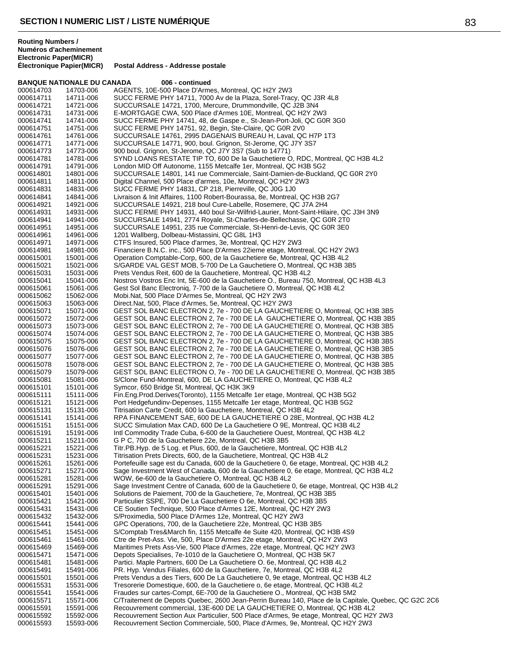### **BANQUE NATIONALE DU CANADA 006 - continued** 000614703 14703-006 AGENTS, 10E-500 Place D'Armes, Montreal, QC H2Y 2W3<br>000614711 14711-006 SUCC FERME PHY 14711, 7000 Av de la Plaza, Sorel-Trac 000614711 14711-006 SUCC FERME PHY 14711, 7000 Av de la Plaza, Sorel-Tracy, QC J3R 4L8<br>000614721 14721-006 SUCCURSALE 14721, 1700, Mercure, Drummondville, QC J2B 3N4 SUCCURSALE 14721, 1700, Mercure, Drummondville, QC J2B 3N4 000614731 14731-006 E-MORTGAGE CWA, 500 Place d'Armes 10E, Montreal, QC H2Y 2W3 SUCC FERME PHY 14741, 48, de Gaspe e., St-Jean-Port-Joli, QC G0R 3G0 000614751 14751-006 SUCC FERME PHY 14751, 92, Begin, Ste-Claire, QC G0R 2V0<br>000614761 14761-006 SUCCURSALE 14761, 2995 DAGENAIS BUREAU H, Laval, QC 000614761 14761-006 SUCCURSALE 14761, 2995 DAGENAIS BUREAU H, Laval, QC H7P 1T3<br>000614771 14771-006 SUCCURSALE 14771, 900, boul, Grignon, St-Jerome, QC J7Y 3S7 SUCCURSALE 14771, 900, boul. Grignon, St-Jerome, QC J7Y 3S7 000614773 14773-006 900 boul. Grignon, St-Jerome, QC J7Y 3S7 (Sub to 14771) 000614781 14781-006 SYND LOANS RESTATE TIP TO, 600 De la Gauchetiere O, RDC, Montreal, QC H3B 4L2<br>000614791 14791-006 London MID Off Autonome, 1155 Metcalfe 1er, Montreal, QC H3B 5G2 000614791 14791-006 London MID Off Autonome, 1155 Metcalfe 1er, Montreal, QC H3B 5G2<br>000614801 14801-006 SUCCURSALE 14801, 141 rue Commerciale, Saint-Damien-de-Buckla 000614801 14801-006 SUCCURSALE 14801, 141 rue Commerciale, Saint-Damien-de-Buckland, QC G0R 2Y0<br>000614811 14811-006 Digital Channel. 500 Place d'armes. 10e. Montreal. QC H2Y 2W3 000614811 14811-006 Digital Channel, 500 Place d'armes, 10e, Montreal, QC H2Y 2W3<br>000614831 14831-006 SUCC FERME PHY 14831, CP 218, Pierreville, QC J0G 1J0 000614831 14831-006 SUCC FERME PHY 14831, CP 218, Pierreville, QC J0G 1J0<br>000614841 14841-006 Livraison & Init Affaires, 1100 Robert-Bourassa, 8e, Montreal Livraison & Init Affaires, 1100 Robert-Bourassa, 8e, Montreal, QC H3B 2G7 000614921 14921-006 SUCCURSALE 14921, 218 boul Cure-Labelle, Rosemere, QC J7A 2H4<br>000614931 14931-006 SUCC FERME PHY 14931, 440 boul Sir-Wilfrid-Laurier, Mont-Saint-Hila 000614931 14931-006 SUCC FERME PHY 14931, 440 boul Sir-Wilfrid-Laurier, Mont-Saint-Hilaire, QC J3H 3N9<br>000614941 14941-006 SUCCURSALE 14941, 2774 Royale, St-Charles-de-Bellechasse, QC G0R 2T0 000614941 14941-006 SUCCURSALE 14941, 2774 Royale, St-Charles-de-Bellechasse, QC G0R 2T0<br>000614951 14951-006 SUCCURSALE 14951, 235 rue Commerciale, St-Henri-de-Levis, QC G0R 3E0 000614951 14951-006 SUCCURSALE 14951, 235 rue Commerciale, St-Henri-de-Levis, QC G0R 3E0<br>000614961 14961-006 1201 Wallberg, Dolbeau-Mistassini, QC G8L 1H3 1201 Wallberg, Dolbeau-Mistassini, QC G8L 1H3 000614971 14971-006 CTFS Insured, 500 Place d'armes, 3e, Montreal, QC H2Y 2W3 Financiere B.N.C. inc., 500 Place D'Armes 22ieme etage, Montreal, QC H2Y 2W3 000615001 15001-006 Operation Comptable-Corp, 600, de la Gauchetiere 6e, Montreal, QC H3B 4L2 000615021 15021-006 S/GARDE VAL GEST MOB, 5-700 De La Gauchetiere O, Montreal, QC H3B 3B5<br>000615031 15031-006 Prets Vendus Reit. 600 de la Gauchetiere. Montreal. QC H3B 4L2 Prets Vendus Reit, 600 de la Gauchetiere, Montreal, QC H3B 4L2 000615041 15041-006 Nostros Vostros Enc Int, 5E-600 de la Gauchetiere O., Bureau 750, Montreal, QC H3B 4L3<br>000615061 15061-006 Gest Sol Banc Electronig, 7-700 de la Gauchetiere O, Montreal, QC H3B 4L2 Gest Sol Banc Electronig, 7-700 de la Gauchetiere O, Montreal, QC H3B 4L2 000615062 15062-006 Mobi.Nat, 500 Place D'Armes 5e, Montreal, QC H2Y 2W3 000615063 15063-006 Direct.Nat, 500, Place d'Armes, 5e, Montreal, QC H2Y 2W3<br>000615071 15071-006 GEST SOL BANC ELECTRON 2. 7e - 700 DE LA GAUCHE GEST SOL BANC ELECTRON 2, 7e - 700 DE LA GAUCHETIERE O, Montreal, QC H3B 3B5 000615072 15072-006 GEST SOL BANC ELECTRON 2, 7e - 700 DE LA GAUCHETIERE O, Montreal, QC H3B 3B5<br>000615073 15073-006 GEST SOL BANC ELECTRON 2, 7e - 700 DE LA GAUCHETIERE O, Montreal, QC H3B 3B5 000615073 15073-006 GEST SOL BANC ELECTRON 2, 7e - 700 DE LA GAUCHETIERE O, Montreal, QC H3B 3B5 000615074 15074-006 GEST SOL BANC ELECTRON 2, 7e - 700 DE LA GAUCHETIERE O, Montreal, QC H3B 3B5 000615075 15075-006 GEST SOL BANC ELECTRON 2, 7e - 700 DE LA GAUCHETIERE O, Montreal, QC H3B 3B5<br>000615076 15076-006 GEST SOL BANC ELECTRON 2, 7e - 700 DE LA GAUCHETIERE O, Montreal, OC H3B 3B5 000615076 15076-006 GEST SOL BANC ELECTRON 2, 7e - 700 DE LA GAUCHETIERE O, Montreal, QC H3B 3B5<br>000615077 15077-006 GEST SOL BANC ELECTRON 2, 7e - 700 DE LA GAUCHETIERE O, Montreal, QC H3B 3B5 000615077 15077-006 GEST SOL BANC ELECTRON 2, 7e - 700 DE LA GAUCHETIERE O, Montreal, QC H3B 3B5<br>000615078 15078-006 GEST SOL BANC ELECTRON 2, 7e - 700 DE LA GAUCHETIERE O, Montreal, QC H3B 3B5 GEST SOL BANC ELECTRON 2, 7e - 700 DE LA GAUCHETIERE O, Montreal, QC H3B 3B5 000615079 15079-006 GEST SOL BANC ELECTRON O, 7e - 700 DE LA GAUCHETIERE O, Montreal, QC H3B 3B5<br>000615081 15081-006 S/Clone Fund-Montreal, 600, DE LA GAUCHETIERE O, Montreal, QC H3B 4L2 000615081 15081-006 S/Clone Fund-Montreal, 600, DE LA GAUCHETIERE O, Montreal, QC H3B 4L2<br>000615101 15101-006 Symcor, 650 Bridge St, Montreal, QC H3K 3K9 000615101 15101-006 Symcor, 650 Bridge St, Montreal, QC H3K 3K9 000615111 15111-006 Fin.Eng.Prod.Derives(Toronto), 1155 Metcalfe 1er etage, Montreal, QC H3B 5G2 Port Hedgefundinv-Depenses, 1155 Metcalfe 1er etage, Montreal, QC H3B 5G2 000615131 15131-006 Titrisation Carte Credit, 600 la Gauchetiere, Montreal, QC H3B 4L2<br>000615141 15141-006 RPA FINANCEMENT SAE, 600 DE LA GAUCHETIERE O 28E, Mo RPA FINANCEMENT SAE, 600 DE LA GAUCHETIERE O 28E, Montreal, QC H3B 4L2 000615151 15151-006 SUCC Simulation Max CAD, 600 De La Gauchetiere O 9E, Montreal, QC H3B 4L2<br>000615191 15191-006 Intl Commodity Trade Cuba, 6-600 de la Gauchetiere Ouest, Montreal, QC H3B 4L 000615191 15191-006 Intl Commodity Trade Cuba, 6-600 de la Gauchetiere Ouest, Montreal, QC H3B 4L2<br>000615211 15211-006 G P C. 700 de la Gauchetiere 22e. Montreal. QC H3B 3B5 G P C, 700 de la Gauchetiere 22e, Montreal, QC H3B 3B5 000615221 15221-006 Titr.PB.Hyp. de 5 Log. et Plus, 600, de la Gauchetiere, Montreal, QC H3B 4L2<br>000615231 15231-006 Titrisation Prets Directs, 600, de la Gauchetiere, Montreal, QC H3B 4L2 Titrisation Prets Directs, 600, de la Gauchetiere, Montreal, QC H3B 4L2 000615261 15261-006 Portefeuille sage est du Canada, 600 de la Gauchetiere 0, 6e etage, Montreal, QC H3B 4L2<br>000615271 15271-006 Sage Investment West of Canada, 600 de la Gauchetiere 0, 6e etage, Montreal, QC H3B 4L 000615271 15271-006 Sage Investment West of Canada, 600 de la Gauchetiere 0, 6e etage, Montreal, QC H3B 4L2<br>000615281 15281-006 WOW, 6e-600 de la Gauchetiere Q, Montreal, QC H3B 4L2 WOW, 6e-600 de la Gauchetiere O, Montreal, QC H3B 4L2 000615291 15291-006 Sage Investment Centre of Canada, 600 de la Gauchetiere 0, 6e etage, Montreal, QC H3B 4L2<br>000615401 15401-006 Solutions de Paiement, 700 de la Gauchetiere, 7e, Montreal, QC H3B 3B5 000615401 15401-006 Solutions de Paiement, 700 de la Gauchetiere, 7e, Montreal, QC H3B 3B5<br>000615421 15421-006 Particulier SSPE, 700 De La Gauchetiere O 6e, Montreal, QC H3B 3B5 000615421 15421-006 Particulier SSPE, 700 De La Gauchetiere O 6e, Montreal, QC H3B 3B5<br>000615431 15431-006 CE Soutien Technique, 500 Place d'Armes 12E, Montreal, QC H2Y 2W 000615431 15431-006 CE Soutien Technique, 500 Place d'Armes 12E, Montreal, QC H2Y 2W3<br>000615432 15432-006 S/Proximedia, 500 Place D'Armes 12e, Montreal, OC H2Y 2W3 000615432 15432-006 S/Proximedia, 500 Place D'Armes 12e, Montreal, QC H2Y 2W3 000615441 15441-006 GPC Operations, 700, de la Gauchetiere 22e, Montreal, QC H3B 3B5<br>000615451 15451-006 S/Comptab Tres&March fin, 1155 Metcalfe 4e Suite 420, Montreal, Q S/Comptab Tres&March fin, 1155 Metcalfe 4e Suite 420, Montreal, QC H3B 4S9 000615461 15461-006 Ctre de Pret-Ass. Vie, 500, Place D'Armes 22e etage, Montreal, QC H2Y 2W3 Maritimes Prets Ass-Vie, 500 Place d'Armes, 22e etage, Montreal, QC H2Y 2W3 000615471 15471-006 Depots Specialises, 7e-1010 de la Gauchetiere O, Montreal, QC H3B 5K7<br>000615481 15481-006 Partici. Maple Partners, 600 De La Gauchetiere O. 6e, Montreal, QC H3B 000615481 15481-006 Partici. Maple Partners, 600 De La Gauchetiere O. 6e, Montreal, QC H3B 4L2 PR. Hyp. Vendus Filiales, 600 de la Gauchetiere, 7e, Montreal, QC H3B 4L2 000615501 15501-006 Prets Vendus a des Tiers, 600 De La Gauchetiere 0, 9e etage, Montreal, QC H3B 4L2<br>000615531 15531-006 Tresorerie Domestique, 600, de la Gauchetiere o, 6e etage, Montreal, QC H3B 4L2 Tresorerie Domestique, 600, de la Gauchetiere o, 6e etage, Montreal, QC H3B 4L2 000615541 15541-006 Fraudes sur cartes-Compt, 6E-700 de la Gauchetiere O., Montreal, QC H3B 5M2 000615571 15571-006 C/Traitement de Depots Quebec, 2600 Jean-Perrin Bureau 140, Place de la Capitale, Quebec, QC G2C 2C6<br>000615591 15591-006 Recouvrement commercial 13F-600 DE LA GAUCHETIERE O. Montreal, OC H3B 4L2 Recouvrement commercial, 13E-600 DE LA GAUCHETIERE O, Montreal, QC H3B 4L2 000615592 15592-006 Recouvrement Section Aux Particulier, 500 Place d'Armes, 9e etage, Montreal, QC H2Y 2W3<br>000615593 15593-006 Recouvrement Section Commerciale, 500, Place d'Armes, 9e, Montreal, QC H2Y 2W3 Recouvrement Section Commerciale, 500, Place d'Armes, 9e, Montreal, QC H2Y 2W3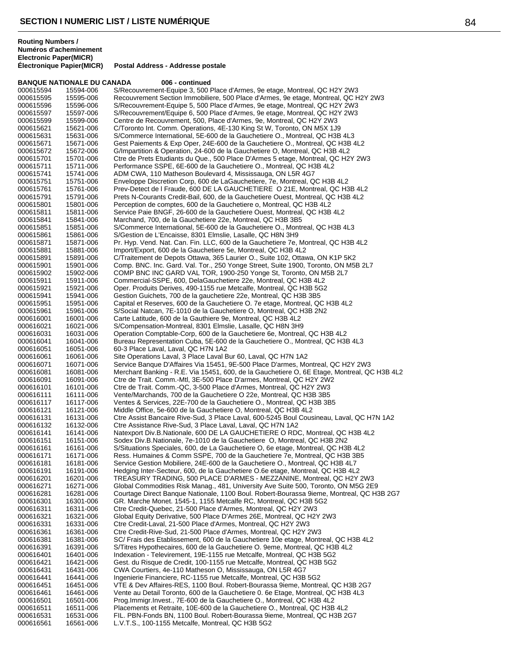### **BANQUE NATIONALE DU CANADA 006 - continued** 000615594 15594-006 S/Recouvrement-Equipe 3, 500 Place d'Armes, 9e etage, Montreal, QC H2Y 2W3 000615595 15595-006 Recouvrement Section Immobiliere, 500 Place d'Armes, 9e etage, Montreal, QC H2Y 2W3<br>000615596 15596-006 S/Recouvrement-Equipe 5, 500 Place d'Armes, 9e etage, Montreal, QC H2Y 2W3 S/Recouvrement-Equipe 5, 500 Place d'Armes, 9e etage, Montreal, QC H2Y 2W3 000615597 15597-006 S/Recouvrement/Equipe 6, 500 Place d'Armes, 9e etage, Montreal, QC H2Y 2W3<br>000615599 15599-006 Centre de Recouvrement, 500, Place d'Armes, 9e, Montreal, QC H2Y 2W3 Centre de Recouvrement, 500, Place d'Armes, 9e, Montreal, QC H2Y 2W3 000615621 15621-006 C/Toronto Int. Comm. Operations, 4E-130 King St W, Toronto, ON M5X 1J9<br>000615631 15631-006 S/Commerce International, 5E-600 de la Gauchetiere O., Montreal, QC H3B 000615631 15631-006 S/Commerce International, 5E-600 de la Gauchetiere O., Montreal, QC H3B 4L3 Gest Paiements & Exp Oper, 24E-600 de la Gauchetiere O., Montreal, QC H3B 4L2 000615672 15672-006 G/Impartition & Operation, 24-600 de la Gauchetiere O, Montreal, QC H3B 4L2 000615701 15701-006 Ctre de Prets Etudiants du Que., 500 Place D'Armes 5 etage, Montreal, QC H2Y 2W3<br>000615711 15711-006 Performance SSPE, 6E-600 de la Gauchetiere O., Montreal, QC H3B 4L2 000615711 15711-006 Performance SSPE, 6E-600 de la Gauchetiere O., Montreal, QC H3B 4L2<br>000615741 15741-006 ADM CWA, 110 Matheson Boulevard 4, Mississauga, ON L5R 4G7 000615741 15741-006 ADM CWA, 110 Matheson Boulevard 4, Mississauga, ON L5R 4G7<br>000615751 15751-006 Fnyeloppe Discretion Corp. 600 de LaGauchetiere, 7e, Montreal, C 000615751 15751-006 Enveloppe Discretion Corp, 600 de LaGauchetiere, 7e, Montreal, QC H3B 4L2<br>000615761 15761-006 Prev-Detect de l Fraude, 600 DE LA GAUCHETIERE O 21E, Montreal, QC H3 000615761 15761-006 Prev-Detect de l Fraude, 600 DE LA GAUCHETIERE O 21E, Montreal, QC H3B 4L2<br>000615791 15791-006 Prets N-Courants Credit-Bail, 600, de la Gauchetiere Ouest, Montreal, QC H3B 4L2 Prets N-Courants Credit-Bail, 600, de la Gauchetiere Ouest, Montreal, QC H3B 4L2 000615801 15801-006 Perception de comptes, 600 de la Gauchetiere o, Montreal, QC H3B 4L2<br>000615811 15811-006 Service Paie BNGF, 26-600 de la Gauchetiere Ouest, Montreal, QC H3B 000615811 15811-006 Service Paie BNGF, 26-600 de la Gauchetiere Ouest, Montreal, QC H3B 4L2 000615841 15841-006 Marchand, 700, de la Gauchetiere 22e, Montreal, QC H3B 3B5 000615851 15851-006 S/Commerce International, 5E-600 de la Gauchetiere O., Montreal, QC H3B 4L3<br>000615861 15861-006 S/Gestion de L'Encaisse. 8301 Elmslie. Lasalle. QC H8N 3H9 S/Gestion de L'Encaisse, 8301 Elmslie, Lasalle, QC H8N 3H9 000615871 15871-006 Pr. Hyp. Vend. Nat. Can. Fin. LLC, 600 de la Gauchetiere 7e, Montreal, QC H3B 4L2<br>000615881 15881-006 Import/Export, 600 de la Gauchetiere 5e, Montreal, QC H3B 4L2 Import/Export, 600 de la Gauchetiere 5e, Montreal, QC H3B 4L2 000615891 15891-006 C/Traitement de Depots Ottawa, 365 Laurier O., Suite 102, Ottawa, ON K1P 5K2 000615901 15901-006 Comp. BNC. Inc. Gard. Val. Tor., 250 Yonge Street, Suite 1900, Toronto, ON M5B 2L7<br>000615902 15902-006 COMP BNC INC GARD VAL TOR. 1900-250 Yonge St. Toronto. ON M5B 2L7 COMP BNC INC GARD VAL TOR, 1900-250 Yonge St, Toronto, ON M5B 2L7 000615911 15911-006 Commercial-SSPE, 600, DelaGauchetiere 22e, Montreal, QC H3B 4L2<br>000615921 15921-006 Oper. Produits Derives, 490-1155 rue Metcalfe, Montreal, QC H3B 5G2 000615921 15921-006 Oper. Produits Derives, 490-1155 rue Metcalfe, Montreal, QC H3B 5G2<br>000615941 15941-006 Gestion Guichets, 700 de la gauchetiere 22e, Montreal, QC H3B 3B5 000615941 15941-006 Gestion Guichets, 700 de la gauchetiere 22e, Montreal, QC H3B 3B5 000615951 15951-006 Capital et Reserves, 600 de la Gauchetiere O. 7e etage, Montreal, QC H3B 4L2<br>000615961 15961-006 S/Social Natcan. 7E-1010 de la Gauchetiere O. Montreal. QC H3B 2N2 S/Social Natcan, 7E-1010 de la Gauchetiere O, Montreal, QC H3B 2N2 000616001 16001-006 Carte Latitude, 600 de la Gauthiere 9e, Montreal, QC H3B 4L2<br>000616021 16021-006 S/Compensation-Montreal, 8301 Elmslie, Lasalle, QC H8N 3H9 000616021 16021-006 S/Compensation-Montreal, 8301 Elmslie, Lasalle, QC H8N 3H9<br>000616031 16031-006 Operation Comptable-Corp. 600 de la Gauchetiere 6e. Montreal 000616031 16031-006 Operation Comptable-Corp, 600 de la Gauchetiere 6e, Montreal, QC H3B 4L2<br>000616041 16041-006 Bureau Representation Cuba. 5E-600 de la Gauchetiere O., Montreal, QC H3B 000616041 16041-006 Bureau Representation Cuba, 5E-600 de la Gauchetiere O., Montreal, QC H3B 4L3<br>000616051 16051-006 60-3 Place Laval, Laval, QC H7N 1A2 000616051 16051-006 60-3 Place Laval, Laval, QC H7N 1A2 000616061 16061-006 Site Operations Laval, 3 Place Laval Bur 60, Laval, QC H7N 1A2<br>000616071 16071-006 Service Banque D'Affaires Via 15451, 9E-500 Place D'armes, Mo Service Banque D'Affaires Via 15451, 9E-500 Place D'armes, Montreal, QC H2Y 2W3 000616081 16081-006 Merchant Banking - R.E. Via 15451, 600, de la Gauchetiere O, 6E Etage, Montreal, QC H3B 4L2<br>000616091 16091-006 Ctre de Trait. Comm.-Mtl. 3E-500 Place D'armes. Montreal. QC H2Y 2W2 000616091 16091-006 Ctre de Trait. Comm.-Mtl, 3E-500 Place D'armes, Montreal, QC H2Y 2W2 000616101 16101-006 Ctre de Trait. Comm.-QC, 3-500 Place d'Armes, Montreal, QC H2Y 2W3<br>000616111 16111-006 Vente/Marchands, 700 de la Gauchetiere O 22e, Montreal, QC H3B 3B5 000616111 16111-006 Vente/Marchands, 700 de la Gauchetiere O 22e, Montreal, QC H3B 3B5<br>000616117 16117-006 Ventes & Services. 22E-700 de la Gauchetiere O., Montreal, QC H3B 3B Ventes & Services, 22E-700 de la Gauchetiere O., Montreal, QC H3B 3B5 000616121 16121-006 Middle Office, 5e-600 de la Gauchetiere O, Montreal, QC H3B 4L2 Ctre Assist Bancaire Rive-Sud, 3 Place Laval, 600-5245 Boul Cousineau, Laval, QC H7N 1A2 000616132 16132-006 Ctre Assistance Rive-Sud, 3 Place Laval, Laval, QC H7N 1A2<br>000616141 16141-006 Natexport Div.B.Nationale, 600 DE LA GAUCHETIERE O RD 000616141 16141-006 Natexport Div.B.Nationale, 600 DE LA GAUCHETIERE O RDC, Montreal, QC H3B 4L2<br>000616151 16151-006 Sodex Div.B.Nationale. 7e-1010 de la Gauchetiere O. Montreal. QC H3B 2N2 Sodex Div.B.Nationale, 7e-1010 de la Gauchetiere O, Montreal, QC H3B 2N2 000616161 16161-006 S/Situations Speciales, 600, de La Gauchetiere O, 6e etage, Montreal, QC H3B 4L2<br>000616171 16171-006 Ress. Humaines & Comm SSPE, 700 de la Gauchetiere 7e, Montreal, QC H3B 3B5 Ress. Humaines & Comm SSPE, 700 de la Gauchetiere 7e, Montreal, QC H3B 3B5 000616181 16181-006 Service Gestion Mobiliere, 24E-600 de la Gauchetiere O., Montreal, QC H3B 4L7<br>000616191 16191-006 Hedging Inter-Secteur, 600, de la Gauchetiere O.6e etage, Montreal, QC H3B 4L2 000616191 16191-006 Hedging Inter-Secteur, 600, de la Gauchetiere O.6e etage, Montreal, QC H3B 4L2<br>000616201 16201-006 TREASURY TRADING, 500 PLACE D'ARMES - MEZZANINE, Montreal, QC H2Y TREASURY TRADING, 500 PLACE D'ARMES - MEZZANINE, Montreal, QC H2Y 2W3 000616271 16271-006 Global Commodities Risk Manag., 481, University Ave Suite 500, Toronto, ON M5G 2E9<br>000616281 16281-006 Courtage Direct Banque Nationale, 1100 Boul. Robert-Bourassa 9ieme, Montreal, QC H3 000616281 16281-006 Courtage Direct Banque Nationale, 1100 Boul. Robert-Bourassa 9ieme, Montreal, QC H3B 2G7<br>000616301 16301-006 GR. Marche Monet. 1545-1, 1155 Metcalfe RC, Montreal, QC H3B 5G2 000616301 16301-006 GR. Marche Monet. 1545-1, 1155 Metcalfe RC, Montreal, QC H3B 5G2<br>000616311 16311-006 Ctre Credit-Quebec, 21-500 Place d'Armes, Montreal, QC H2Y 2W3 000616311 16311-006 Ctre Credit-Quebec, 21-500 Place d'Armes, Montreal, QC H2Y 2W3 000616321 16321-006 Global Equity Derivative, 500 Place D'Armes 26E, Montreal, QC H2Y 2W3<br>000616331 16331-006 Ctre Credit-Laval, 21-500 Place d'Armes, Montreal, QC H2Y 2W3 000616331 16331-006 Ctre Credit-Laval, 21-500 Place d'Armes, Montreal, QC H2Y 2W3 Ctre Credit-Rive-Sud, 21-500 Place d'Armes, Montreal, QC H2Y 2W3 000616381 16381-006 SC/ Frais des Etablissement, 600 de la Gauchetiere 10e etage, Montreal, QC H3B 4L2<br>000616391 16391-006 S/Titres Hypothecaires. 600 de la Gauchetiere O. 9eme. Montreal. QC H3B 4L2 000616391 16391-006 S/Titres Hypothecaires, 600 de la Gauchetiere O. 9eme, Montreal, QC H3B 4L2 000616401 16401-006 Indexation - Televirement, 19E-1155 rue Metcalfe, Montreal, QC H3B 5G2<br>000616421 16421-006 Gest. du Risque de Credit, 100-1155 rue Metcalfe, Montreal, QC H3B 5G2 000616421 16421-006 Gest. du Risque de Credit, 100-1155 rue Metcalfe, Montreal, QC H3B 5G2<br>000616431 16431-006 CWA Courtiers. 4e-110 Matheson O. Mississauga. ON L5R 4G7 CWA Courtiers, 4e-110 Matheson O, Mississauga, ON L5R 4G7 000616441 16441-006 Ingenierie Financiere, RC-1155 rue Metcalfe, Montreal, QC H3B 5G2<br>000616451 16451-006 VTE & Dev Affaires-RES, 1100 Boul. Robert-Bourassa 9ieme, Montre VTE & Dev Affaires-RES, 1100 Boul. Robert-Bourassa 9ieme, Montreal, QC H3B 2G7 000616461 16461-006 Vente au Detail Toronto, 600 de la Gauchetiere 0. 6e Etage, Montreal, QC H3B 4L3<br>000616501 16501-006 Prog.Immigr.Invest., 7E-600 de la Gauchetiere O., Montreal, QC H3B 4L2 000616501 16501-006 Prog.Immigr.Invest., 7E-600 de la Gauchetiere O., Montreal, QC H3B 4L2 Placements et Retraite, 10E-600 de la Gauchetiere O., Montreal, QC H3B 4L2 000616531 16531-006 FIL. PBN-Fonds BN, 1100 Boul. Robert-Bourassa 9ieme, Montreal, QC H3B 2G7 L.V.T.S., 100-1155 Metcalfe, Montreal, QC H3B 5G2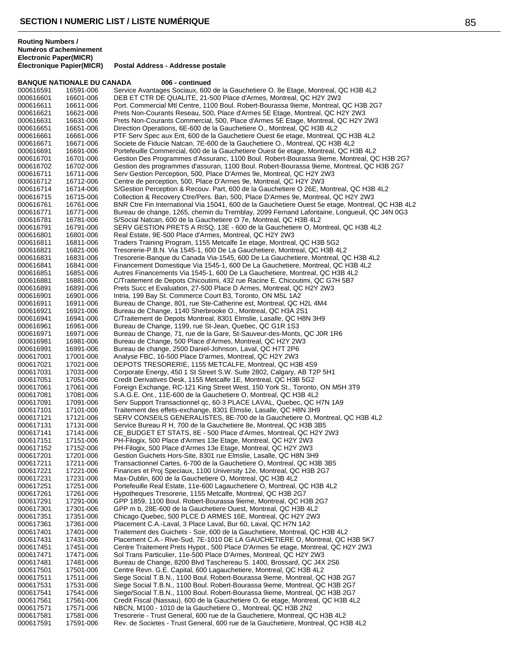**Électronique Papier(MICR) Postal Address - Addresse postale**

# **BANQUE NATIONALE DU CANADA 006 - continued**

| 000616591              | 16591-006              | Service Avantages Sociaux, 600 de la Gauchetiere O. 8e Etage, Montreal, QC H3B 4L2                                                                                  |
|------------------------|------------------------|---------------------------------------------------------------------------------------------------------------------------------------------------------------------|
| 000616601              | 16601-006              | DEB ET CTR DE QUALITE, 21-500 Place d'Armes, Montreal, QC H2Y 2W3                                                                                                   |
| 000616611<br>000616621 | 16611-006<br>16621-006 | Port. Commercial Mtl Centre, 1100 Boul. Robert-Bourassa 9ieme, Montreal, QC H3B 2G7<br>Prets Non-Courants Reseau, 500, Place d'Armes 5E Etage, Montreal, QC H2Y 2W3 |
| 000616631              | 16631-006              | Prets Non-Courants Commercial, 500, Place d'Armes 5E Etage, Montreal, QC H2Y 2W3                                                                                    |
| 000616651              | 16651-006              | Direction Operations, 6E-600 de la Gauchetiere O., Montreal, QC H3B 4L2                                                                                             |
| 000616661              | 16661-006              | PTF Serv Spec aux Ent, 600 de la Gauchetiere Ouest 6e etage, Montreal, QC H3B 4L2                                                                                   |
| 000616671              | 16671-006              | Societe de Fiducie Natcan, 7E-600 de la Gauchetiere O., Montreal, QC H3B 4L2                                                                                        |
| 000616691              | 16691-006              | Portefeuille Commercial, 600 de la Gauchetiere Ouest 6e etage, Montreal, QC H3B 4L2                                                                                 |
| 000616701              | 16701-006              | Gestion Des Programmes d'Assuranc, 1100 Boul. Robert-Bourassa 9ieme, Montreal, QC H3B 2G7                                                                           |
| 000616702              | 16702-006              | Gestion des programmes d'assuran, 1100 Boul. Robert-Bourassa 9ieme, Montreal, QC H3B 2G7                                                                            |
| 000616711<br>000616712 | 16711-006<br>16712-006 | Serv Gestion Perception, 500, Place D'Armes 9e, Montreal, QC H2Y 2W3<br>Centre de perception, 500, Place D'Armes 9e, Montreal, QC H2Y 2W3                           |
| 000616714              | 16714-006              | S/Gestion Perception & Recouv. Part, 600 de la Gauchetiere O 26E, Montreal, QC H3B 4L2                                                                              |
| 000616715              | 16715-006              | Collection & Recovery Ctre/Pers. Ban, 500, Place D'Armes 9e, Montreal, QC H2Y 2W3                                                                                   |
| 000616761              | 16761-006              | BNR Ctre Fin International Via 15041, 600 de la Gauchetiere Ouest 5e etage, Montreal, QC H3B 4L2                                                                    |
| 000616771              | 16771-006              | Bureau de change, 1265, chemin du Tremblay, 2099 Fernand Lafontaine, Longueuil, QC J4N 0G3                                                                          |
| 000616781              | 16781-006              | S/Social Natcan, 600 de la Gauchetiere O 7e, Montreal, QC H3B 4L2                                                                                                   |
| 000616791              | 16791-006              | SERV GESTION PRETS A RISQ, 13E - 600 de la Gauchetiere O, Montreal, QC H3B 4L2                                                                                      |
| 000616801              | 16801-006              | Real Estate, 9E-500 Place d'Armes, Montreal, QC H2Y 2W3                                                                                                             |
| 000616811              | 16811-006              | Traders Training Program, 1155 Metcalfe 1e etage, Montreal, QC H3B 5G2                                                                                              |
| 000616821<br>000616831 | 16821-006<br>16831-006 | Tresorerie-P.B.N. Via 1545-1, 600 De La Gauchetiere, Montreal, QC H3B 4L2<br>Tresorerie-Banque du Canada Via-1545, 600 De La Gauchetiere, Montreal, QC H3B 4L2      |
| 000616841              | 16841-006              | Financement Domestique Via 1545-1, 600 De La Gauchetiere, Montreal, QC H3B 4L2                                                                                      |
| 000616851              | 16851-006              | Autres Financements Via 1545-1, 600 De La Gauchetiere, Montreal, QC H3B 4L2                                                                                         |
| 000616881              | 16881-006              | C/Traitement de Depots Chicoutimi, 432 rue Racine E, Chicoutimi, QC G7H 5B7                                                                                         |
| 000616891              | 16891-006              | Prets Succ et Evaluation, 27-500 Place D Armes, Montreal, QC H2Y 2W3                                                                                                |
| 000616901              | 16901-006              | Intria, 199 Bay St. Commerce Court B3, Toronto, ON M5L 1A2                                                                                                          |
| 000616911              | 16911-006              | Bureau de Change, 801, rue Ste-Catherine est, Montreal, QC H2L 4M4                                                                                                  |
| 000616921              | 16921-006              | Bureau de Change, 1140 Sherbrooke O., Montreal, QC H3A 2S1                                                                                                          |
| 000616941<br>000616961 | 16941-006              | C/Traitement de Depots Montreal, 8301 Elmslie, Lasalle, QC H8N 3H9<br>Bureau de Change, 1199, rue St-Jean, Quebec, QC G1R 1S3                                       |
| 000616971              | 16961-006<br>16971-006 | Bureau de Change, 71, rue de la Gare, St-Sauveur-des-Monts, QC J0R 1R6                                                                                              |
| 000616981              | 16981-006              | Bureau de Change, 500 Place d'Armes, Montreal, QC H2Y 2W3                                                                                                           |
| 000616991              | 16991-006              | Bureau de change, 2500 Daniel-Johnson, Laval, QC H7T 2P6                                                                                                            |
| 000617001              | 17001-006              | Analyse FBC, 16-500 Place D'armes, Montreal, QC H2Y 2W3                                                                                                             |
| 000617021              | 17021-006              | DEPOTS TRESORERIE, 1155 METCALFE, Montreal, QC H3B 4S9                                                                                                              |
| 000617031              | 17031-006              | Corporate Energy, 450 1 St Street S.W. Suite 2802, Calgary, AB T2P 5H1                                                                                              |
| 000617051              | 17051-006              | Credit Derivatives Desk, 1155 Metcalfe 1E, Montreal, QC H3B 5G2                                                                                                     |
| 000617061              | 17061-006              | Foreign Exchange, RC-121 King Street West, 150 York St., Toronto, ON M5H 3T9                                                                                        |
| 000617081<br>000617091 | 17081-006<br>17091-006 | S.A.G.E. Ont., 11E-600 de la Gauchetiere O, Montreal, QC H3B 4L2<br>Serv Support Transactionnel gc, 60-3 PLACE LAVAL, Quebec, QC H7N 1A9                            |
| 000617101              | 17101-006              | Traitement des effets-exchange, 8301 Elmslie, Lasalle, QC H8N 3H9                                                                                                   |
| 000617121              | 17121-006              | SERV CONSEILS GENERALISTES, 8E-700 de la Gauchetiere O, Montreal, QC H3B 4L2                                                                                        |
| 000617131              | 17131-006              | Service Bureau R H, 700 de la Gauchetiere 8e, Montreal, QC H3B 3B5                                                                                                  |
| 000617141              | 17141-006              | CE_BUDGET ET STATS, 8E - 500 Place d'Armes, Montreal, QC H2Y 2W3                                                                                                    |
| 000617151              | 17151-006              | PH-Filogix, 500 Place d'Armes 13e Etage, Montreal, QC H2Y 2W3                                                                                                       |
| 000617152              | 17152-006              | PH-Filogix, 500 Place d'Armes 13e Etage, Montreal, QC H2Y 2W3                                                                                                       |
| 000617201              | 17201-006              | Gestion Guichets Hors-Site, 8301 rue Elmslie, Lasalle, QC H8N 3H9                                                                                                   |
| 000617211<br>000617221 | 17211-006<br>17221-006 | Transactionnel Cartes, 6-700 de la Gauchetiere O, Montreal, QC H3B 3B5<br>Finances et Proj Speciaux, 1100 University 12e, Montreal, QC H3B 2G7                      |
| 000617231              | 17231-006              | Max-Dublin, 600 de la Gauchetiere O, Montreal, QC H3B 4L2                                                                                                           |
| 000617251              | 17251-006              | Portefeuille Real Estate, 11e-600 Lagauchetiere O, Montreal, QC H3B 4L2                                                                                             |
| 000617261              | 17261-006              | Hypotheques Tresorerie, 1155 Metcalfe, Montreal, QC H3B 2G7                                                                                                         |
| 000617291              | 17291-006              | GPP 1859, 1100 Boul. Robert-Bourassa 9ieme, Montreal, QC H3B 2G7                                                                                                    |
| 000617301              | 17301-006              | GPP m b, 28E-600 de la Gauchetiere Ouest, Montreal, QC H3B 4L2                                                                                                      |
| 000617351              | 17351-006              | Chicago Quebec, 500 PLCE D ARMES 16E, Montreal, QC H2Y 2W3                                                                                                          |
| 000617361              | 17361-006              | Placement C.A.-Laval, 3 Place Laval, Bur 60, Laval, QC H7N 1A2                                                                                                      |
| 000617401<br>000617431 | 17401-006<br>17431-006 | Traitement des Guichets - Soir, 600 de la Gauchetiere, Montreal, QC H3B 4L2<br>Placement C.A.- Rive-Sud, 7E-1010 DE LA GAUCHETIERE O, Montreal, QC H3B 5K7          |
| 000617451              | 17451-006              | Centre Traitement Prets Hypot., 500 Place D'Armes 5e etage, Montreal, QC H2Y 2W3                                                                                    |
| 000617471              | 17471-006              | Sol Trans Particulier, 11e-500 Place D'Armes, Montreal, QC H2Y 2W3                                                                                                  |
| 000617481              | 17481-006              | Bureau de Change, 8200 Blvd Taschereau S. 1400, Brossard, QC J4X 2S6                                                                                                |
| 000617501              | 17501-006              | Centre Revn. G.E. Capital, 600 Lagauchetiere, Montreal, QC H3B 4L2                                                                                                  |
| 000617511              | 17511-006              | Siege Social T.B.N., 1100 Boul. Robert-Bourassa 9ieme, Montreal, QC H3B 2G7                                                                                         |
| 000617531              | 17531-006              | Siege Social T.B.N., 1100 Boul. Robert-Bourassa 9ieme, Montreal, QC H3B 2G7                                                                                         |
| 000617541              | 17541-006              | Siege/Social T.B.N., 1100 Boul. Robert-Bourassa 9ieme, Montreal, QC H3B 2G7                                                                                         |
| 000617561              | 17561-006              | Credit Fiscal (Nassau), 600 de la Gauchetiere O, 6e etage, Montreal, QC H3B 4L2                                                                                     |
| 000617571<br>000617581 | 17571-006<br>17581-006 | NBCN, M100 - 1010 de la Gauchetiere O., Montreal, QC H3B 2N2<br>Tresorerie - Trust General, 600 rue de la Gauchetiere, Montreal, QC H3B 4L2                         |
| 000617591              | 17591-006              | Rev. de Societes - Trust General, 600 rue de la Gauchetiere, Montreal, QC H3B 4L2                                                                                   |
|                        |                        |                                                                                                                                                                     |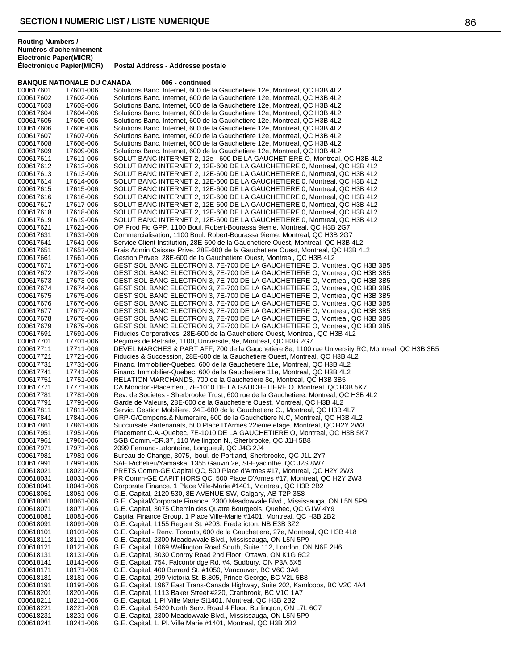18241-006 G.E. Capital, 1, Pl. Ville Marie #1401, Montreal, QC H3B 2B2

|           | <b>BANQUE NATIONALE DU CANADA</b> | 006 - continued                                                                                  |
|-----------|-----------------------------------|--------------------------------------------------------------------------------------------------|
| 000617601 | 17601-006                         | Solutions Banc. Internet, 600 de la Gauchetiere 12e, Montreal, QC H3B 4L2                        |
| 000617602 | 17602-006                         | Solutions Banc. Internet, 600 de la Gauchetiere 12e, Montreal, QC H3B 4L2                        |
| 000617603 | 17603-006                         | Solutions Banc. Internet, 600 de la Gauchetiere 12e, Montreal, QC H3B 4L2                        |
| 000617604 | 17604-006                         | Solutions Banc. Internet, 600 de la Gauchetiere 12e, Montreal, QC H3B 4L2                        |
| 000617605 | 17605-006                         | Solutions Banc. Internet, 600 de la Gauchetiere 12e, Montreal, QC H3B 4L2                        |
| 000617606 | 17606-006                         | Solutions Banc. Internet, 600 de la Gauchetiere 12e, Montreal, QC H3B 4L2                        |
| 000617607 | 17607-006                         | Solutions Banc. Internet, 600 de la Gauchetiere 12e, Montreal, QC H3B 4L2                        |
| 000617608 | 17608-006                         | Solutions Banc. Internet, 600 de la Gauchetiere 12e, Montreal, QC H3B 4L2                        |
| 000617609 | 17609-006                         | Solutions Banc. Internet, 600 de la Gauchetiere 12e, Montreal, QC H3B 4L2                        |
|           |                                   | SOLUT BANC INTERNET 2, 12e - 600 DE LA GAUCHETIERE O, Montreal, QC H3B 4L2                       |
| 000617611 | 17611-006                         |                                                                                                  |
| 000617612 | 17612-006                         | SOLUT BANC INTERNET 2, 12E-600 DE LA GAUCHETIERE 0, Montreal, QC H3B 4L2                         |
| 000617613 | 17613-006                         | SOLUT BANC INTERNET 2, 12E-600 DE LA GAUCHETIERE 0, Montreal, QC H3B 4L2                         |
| 000617614 | 17614-006                         | SOLUT BANC INTERNET 2, 12E-600 DE LA GAUCHETIERE 0, Montreal, QC H3B 4L2                         |
| 000617615 | 17615-006                         | SOLUT BANC INTERNET 2, 12E-600 DE LA GAUCHETIERE 0, Montreal, QC H3B 4L2                         |
| 000617616 | 17616-006                         | SOLUT BANC INTERNET 2, 12E-600 DE LA GAUCHETIERE 0, Montreal, QC H3B 4L2                         |
| 000617617 | 17617-006                         | SOLUT BANC INTERNET 2, 12E-600 DE LA GAUCHETIERE 0, Montreal, QC H3B 4L2                         |
| 000617618 | 17618-006                         | SOLUT BANC INTERNET 2, 12E-600 DE LA GAUCHETIERE 0, Montreal, QC H3B 4L2                         |
| 000617619 | 17619-006                         | SOLUT BANC INTERNET 2, 12E-600 DE LA GAUCHETIERE 0, Montreal, QC H3B 4L2                         |
| 000617621 | 17621-006                         | OP Prod Fid GPP, 1100 Boul. Robert-Bourassa 9ieme, Montreal, QC H3B 2G7                          |
| 000617631 | 17631-006                         | Commercialisation, 1100 Boul. Robert-Bourassa 9ieme, Montreal, QC H3B 2G7                        |
| 000617641 | 17641-006                         | Service Client Institution, 28E-600 de la Gauchetiere Ouest, Montreal, QC H3B 4L2                |
| 000617651 | 17651-006                         | Frais Admin Caisses Prive, 28E-600 de la Gauchetiere Ouest, Montreal, QC H3B 4L2                 |
| 000617661 | 17661-006                         | Gestion Privee, 28E-600 de la Gauchetiere Ouest, Montreal, QC H3B 4L2                            |
| 000617671 | 17671-006                         | GEST SOL BANC ELECTRON 3, 7E-700 DE LA GAUCHETIERE O, Montreal, QC H3B 3B5                       |
| 000617672 | 17672-006                         | GEST SOL BANC ELECTRON 3, 7E-700 DE LA GAUCHETIERE O, Montreal, QC H3B 3B5                       |
| 000617673 | 17673-006                         | GEST SOL BANC ELECTRON 3, 7E-700 DE LA GAUCHETIERE O, Montreal, QC H3B 3B5                       |
| 000617674 | 17674-006                         | GEST SOL BANC ELECTRON 3, 7E-700 DE LA GAUCHETIERE O, Montreal, QC H3B 3B5                       |
| 000617675 | 17675-006                         | GEST SOL BANC ELECTRON 3, 7E-700 DE LA GAUCHETIERE O, Montreal, QC H3B 3B5                       |
| 000617676 | 17676-006                         | GEST SOL BANC ELECTRON 3, 7E-700 DE LA GAUCHETIERE O, Montreal, QC H3B 3B5                       |
|           |                                   | GEST SOL BANC ELECTRON 3, 7E-700 DE LA GAUCHETIERE O, Montreal, QC H3B 3B5                       |
| 000617677 | 17677-006                         |                                                                                                  |
| 000617678 | 17678-006                         | GEST SOL BANC ELECTRON 3, 7E-700 DE LA GAUCHETIERE O, Montreal, QC H3B 3B5                       |
| 000617679 | 17679-006                         | GEST SOL BANC ELECTRON 3, 7E-700 DE LA GAUCHETIERE O, Montreal, QC H3B 3B5                       |
| 000617691 | 17691-006                         | Fiducies Corporatives, 28E-600 de la Gauchetiere Ouest, Montreal, QC H3B 4L2                     |
| 000617701 | 17701-006                         | Regimes de Retraite, 1100, Universite, 9e, Montreal, QC H3B 2G7                                  |
| 000617711 | 17711-006                         | DEVEL MARCHES & PART AFF, 700 de la Gauchetiere 8e, 1100 rue University RC, Montreal, QC H3B 3B5 |
| 000617721 | 17721-006                         | Fiducies & Succession, 28E-600 de la Gauchetiere Ouest, Montreal, QC H3B 4L2                     |
| 000617731 | 17731-006                         | Financ. Immobilier-Quebec, 600 de la Gauchetiere 11e, Montreal, QC H3B 4L2                       |
| 000617741 | 17741-006                         | Financ. Immobilier-Quebec, 600 de la Gauchetiere 11e, Montreal, QC H3B 4L2                       |
| 000617751 | 17751-006                         | RELATION MARCHANDS, 700 de la Gauchetiere 8e, Montreal, QC H3B 3B5                               |
| 000617771 | 17771-006                         | CA Moncton-Placement, 7E-1010 DE LA GAUCHETIERE O, Montreal, QC H3B 5K7                          |
| 000617781 | 17781-006                         | Rev. de Societes - Sherbrooke Trust, 600 rue de la Gauchetiere, Montreal, QC H3B 4L2             |
| 000617791 | 17791-006                         | Garde de Valeurs, 28E-600 de la Gauchetiere Ouest, Montreal, QC H3B 4L2                          |
| 000617811 | 17811-006                         | Servic. Gestion Mobiliere, 24E-600 de la Gauchetiere O., Montreal, QC H3B 4L7                    |
| 000617841 | 17841-006                         | GRP-G/Compens.& Numeraire, 600 de la Gauchetiere N.C, Montreal, QC H3B 4L2                       |
| 000617861 | 17861-006                         | Succursale Partenariats, 500 Place D'Armes 22ieme etage, Montreal, QC H2Y 2W3                    |
| 000617951 | 17951-006                         | Placement C.A.-Quebec, 7E-1010 DE LA GAUCHETIERE O, Montreal, QC H3B 5K7                         |
| 000617961 | 17961-006                         | SGB Comm.-CR.37, 110 Wellington N., Sherbrooke, QC J1H 5B8                                       |
| 000617971 | 17971-006                         | 2099 Fernand-Lafontaine, Longueuil, QC J4G 2J4                                                   |
| 000617981 | 17981-006                         | Bureau de Change, 3075, boul. de Portland, Sherbrooke, QC J1L 2Y7                                |
| 000617991 | 17991-006                         | SAE Richelieu/Yamaska, 1355 Gauvin 2e, St-Hyacinthe, QC J2S 8W7                                  |
| 000618021 | 18021-006                         | PRETS Comm-GE Capital QC, 500 Place d'Armes #17, Montreal, QC H2Y 2W3                            |
| 000618031 | 18031-006                         | PR Comm-GE CAPIT HORS QC, 500 Place D'Armes #17, Montreal, QC H2Y 2W3                            |
| 000618041 | 18041-006                         | Corporate Finance, 1 Place Ville-Marie #1401, Montreal, QC H3B 2B2                               |
| 000618051 | 18051-006                         | G.E. Capital, 2120 530, 8E AVENUE SW, Calgary, AB T2P 3S8                                        |
|           |                                   |                                                                                                  |
| 000618061 | 18061-006                         | G.E. Capital/Corporate Finance, 2300 Meadowvale Blvd., Mississauga, ON L5N 5P9                   |
| 000618071 | 18071-006                         | G.E. Capital, 3075 Chemin des Quatre Bourgeois, Quebec, QC G1W 4Y9                               |
| 000618081 | 18081-006                         | Capital Finance Group, 1 Place Ville-Marie #1401, Montreal, QC H3B 2B2                           |
| 000618091 | 18091-006                         | G.E. Capital, 1155 Regent St. #203, Fredericton, NB E3B 3Z2                                      |
| 000618101 | 18101-006                         | G.E. Capital - Renv. Toronto, 600 de la Gauchetiere, 27e, Montreal, QC H3B 4L8                   |
| 000618111 | 18111-006                         | G.E. Capital, 2300 Meadowvale Blvd., Mississauga, ON L5N 5P9                                     |
| 000618121 | 18121-006                         | G.E. Capital, 1069 Wellington Road South, Suite 112, London, ON N6E 2H6                          |
| 000618131 | 18131-006                         | G.E. Capital, 3030 Conroy Road 2nd Floor, Ottawa, ON K1G 6C2                                     |
| 000618141 | 18141-006                         | G.E. Capital, 754, Falconbridge Rd. #4, Sudbury, ON P3A 5X5                                      |
| 000618171 | 18171-006                         | G.E. Capital, 400 Burrard St. #1050, Vancouver, BC V6C 3A6                                       |
| 000618181 | 18181-006                         | G.E. Capital, 299 Victoria St. B.805, Prince George, BC V2L 5B8                                  |
| 000618191 | 18191-006                         | G.E. Capital, 1967 East Trans-Canada Highway, Suite 202, Kamloops, BC V2C 4A4                    |
| 000618201 | 18201-006                         | G.E. Capital, 1113 Baker Street #220, Cranbrook, BC V1C 1A7                                      |
| 000618211 | 18211-006                         | G.E. Capital, 1 PI Ville Marie St1401, Montreal, QC H3B 2B2                                      |
| 000618221 | 18221-006                         | G.E. Capital, 5420 North Serv. Road 4 Floor, Burlington, ON L7L 6C7                              |
| 000618231 | 18231-006                         | G.E. Capital, 2300 Meadowvale Blvd., Mississauga, ON L5N 5P9                                     |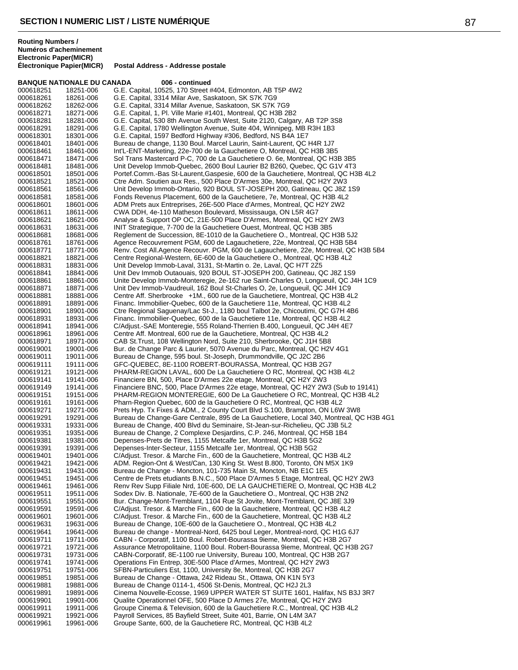|                        | <b>BANQUE NATIONALE DU CANADA</b> | 006 - continued                                                                                                                                               |
|------------------------|-----------------------------------|---------------------------------------------------------------------------------------------------------------------------------------------------------------|
| 000618251              | 18251-006                         | G.E. Capital, 10525, 170 Street #404, Edmonton, AB T5P 4W2                                                                                                    |
| 000618261              | 18261-006                         | G.E. Capital, 3314 Milar Ave, Saskatoon, SK S7K 7G9                                                                                                           |
| 000618262              | 18262-006                         | G.E. Capital, 3314 Millar Avenue, Saskatoon, SK S7K 7G9                                                                                                       |
| 000618271<br>000618281 | 18271-006<br>18281-006            | G.E. Capital, 1, Pl. Ville Marie #1401, Montreal, QC H3B 2B2<br>G.E. Capital, 530 8th Avenue South West, Suite 2120, Calgary, AB T2P 3S8                      |
| 000618291              | 18291-006                         | G.E. Capital, 1780 Wellington Avenue, Suite 404, Winnipeg, MB R3H 1B3                                                                                         |
| 000618301              | 18301-006                         | G.E. Capital, 1597 Bedford Highway #306, Bedford, NS B4A 1E7                                                                                                  |
| 000618401              | 18401-006                         | Bureau de change, 1130 Boul. Marcel Laurin, Saint-Laurent, QC H4R 1J7                                                                                         |
| 000618461              | 18461-006                         | Int'L-ENT-Marketing, 22e-700 de la Gauchetiere O, Montreal, QC H3B 3B5                                                                                        |
| 000618471              | 18471-006                         | Sol Trans Mastercard P-C, 700 de La Gauchetiere O. 6e, Montreal, QC H3B 3B5                                                                                   |
| 000618481              | 18481-006                         | Unit Develop Immob-Quebec, 2600 Boul Laurier B2 B260, Quebec, QC G1V 4T3                                                                                      |
| 000618501              | 18501-006                         | Portef.Comm.-Bas St-Laurent,Gaspesie, 600 de la Gauchetiere, Montreal, QC H3B 4L2                                                                             |
| 000618521              | 18521-006                         | Ctre Adm. Soutien aux Res., 500 Place D'Armes 30e, Montreal, QC H2Y 2W3                                                                                       |
| 000618561              | 18561-006                         | Unit Develop Immob-Ontario, 920 BOUL ST-JOSEPH 200, Gatineau, QC J8Z 1S9                                                                                      |
| 000618581              | 18581-006                         | Fonds Revenus Placement, 600 de la Gauchetiere, 7e, Montreal, QC H3B 4L2                                                                                      |
| 000618601<br>000618611 | 18601-006<br>18611-006            | ADM Prets aux Entreprises, 26E-500 Place d'Armes, Montreal, QC H2Y 2W2<br>CWA DDH, 4e-110 Matheson Boulevard, Mississauga, ON L5R 4G7                         |
| 000618621              | 18621-006                         | Analyse & Support OP OC, 21E-500 Place D'Armes, Montreal, QC H2Y 2W3                                                                                          |
| 000618631              | 18631-006                         | INIT Strategique, 7-700 de la Gauchetiere Ouest, Montreal, QC H3B 3B5                                                                                         |
| 000618681              | 18681-006                         | Reglement de Succession, 8E-1010 de la Gauchetiere O., Montreal, QC H3B 5J2                                                                                   |
| 000618761              | 18761-006                         | Agence Recouvrement PGM, 600 de Lagauchetiere, 22e, Montreal, QC H3B 5B4                                                                                      |
| 000618771              | 18771-006                         | Renv. Cost All.Agence Recouvr. PGM, 600 de Lagauchetiere, 22e, Montreal, QC H3B 5B4                                                                           |
| 000618821              | 18821-006                         | Centre Regional-Western, 6E-600 de la Gauchetiere O., Montreal, QC H3B 4L2                                                                                    |
| 000618831              | 18831-006                         | Unit Develop Immob-Laval, 3131, St-Martin o. 2e, Laval, QC H7T 2Z5                                                                                            |
| 000618841              | 18841-006                         | Unit Dev Immob Outaouais, 920 BOUL ST-JOSEPH 200, Gatineau, QC J8Z 1S9                                                                                        |
| 000618861              | 18861-006                         | Unite Develop Immob-Monteregie, 2e-162 rue Saint-Charles O, Longueuil, QC J4H 1C9                                                                             |
| 000618871              | 18871-006                         | Unit Dev Immob-Vaudreuil, 162 Boul St-Charles O, 2e, Longueuil, QC J4H 1C9                                                                                    |
| 000618881<br>000618891 | 18881-006<br>18891-006            | Centre Aff. Sherbrooke +1M., 600 rue de la Gauchetiere, Montreal, QC H3B 4L2<br>Financ. Immobilier-Quebec, 600 de la Gauchetiere 11e, Montreal, QC H3B 4L2    |
| 000618901              | 18901-006                         | Ctre Regional Saguenay/Lac St-J., 1180 boul Talbot 2e, Chicoutimi, QC G7H 4B6                                                                                 |
| 000618931              | 18931-006                         | Financ. Immobilier-Quebec, 600 de la Gauchetiere 11e, Montreal, QC H3B 4L2                                                                                    |
| 000618941              | 18941-006                         | C/Adjust.-SAE Monteregie, 555 Roland-Therrien B.400, Longueuil, QC J4H 4E7                                                                                    |
| 000618961              | 18961-006                         | Centre Aff. Montreal, 600 rue de la Gauchetiere, Montreal, QC H3B 4L2                                                                                         |
| 000618971              | 18971-006                         | CAB St. Trust, 108 Wellington Nord, Suite 210, Sherbrooke, QC J1H 5B8                                                                                         |
| 000619001              | 19001-006                         | Bur. de Change Parc & Laurier, 5070 Avenue du Parc, Montreal, QC H2V 4G1                                                                                      |
| 000619011              | 19011-006                         | Bureau de Change, 595 boul. St-Joseph, Drummondville, QC J2C 2B6                                                                                              |
| 000619111              | 19111-006                         | GFC-QUEBEC, 8E-1100 ROBERT-BOURASSA, Montreal, QC H3B 2G7                                                                                                     |
| 000619121              | 19121-006                         | PHARM-REGION LAVAL, 600 De La Gauchetiere O RC, Montreal, QC H3B 4L2                                                                                          |
| 000619141<br>000619149 | 19141-006<br>19141-006            | Financiere BN, 500, Place D'Armes 22e etage, Montreal, QC H2Y 2W3<br>Financiere BNC, 500, Place D'Armes 22e etage, Montreal, QC H2Y 2W3 (Sub to 19141)        |
| 000619151              | 19151-006                         | PHARM-REGION MONTEREGIE, 600 De La Gauchetiere O RC, Montreal, QC H3B 4L2                                                                                     |
| 000619161              | 19161-006                         | Pharn-Region Quebec, 600 de la Gauchetiere O RC, Montreal, QC H3B 4L2                                                                                         |
| 000619271              | 19271-006                         | Prets Hyp. Tx Fixes & ADM., 2 County Court Blvd S.100, Brampton, ON L6W 3W8                                                                                   |
| 000619291              | 19291-006                         | Bureau de Change-Gare Centrale, 895 de La Gauchetiere, Local 340, Montreal, QC H3B 4G1                                                                        |
| 000619331              | 19331-006                         | Bureau de Change, 400 Blvd du Seminaire, St-Jean-sur-Richelieu, QC J3B 5L2                                                                                    |
| 000619351              | 19351-006                         | Bureau de Change, 2 Complexe Desjardins, C.P. 246, Montreal, QC H5B 1B4                                                                                       |
| 000619381              | 19381-006                         | Depenses-Prets de Titres, 1155 Metcalfe 1er, Montreal, QC H3B 5G2                                                                                             |
| 000619391              | 19391-006                         | Depenses-Inter-Secteur, 1155 Metcalfe 1er, Montreal, QC H3B 5G2                                                                                               |
| 000619401<br>000619421 | 19401-006<br>19421-006            | C/Adjust. Tresor. & Marche Fin., 600 de la Gauchetiere, Montreal, QC H3B 4L2<br>ADM. Region-Ont & West/Can, 130 King St. West B.800, Toronto, ON M5X 1K9      |
| 000619431              | 19431-006                         | Bureau de Change - Moncton, 101-735 Main St, Moncton, NB E1C 1E5                                                                                              |
| 000619451              | 19451-006                         | Centre de Prets etudiants B.N.C., 500 Place D'Armes 5 Etage, Montreal, QC H2Y 2W3                                                                             |
| 000619461              | 19461-006                         | Renv Rev Supp Filiale Nrd, 10E-600, DE LA GAUCHETIERE O, Montreal, QC H3B 4L2                                                                                 |
| 000619511              | 19511-006                         | Sodex Div. B. Nationale, 7E-600 de la Gauchetiere O., Montreal, QC H3B 2N2                                                                                    |
| 000619551              | 19551-006                         | Bur. Change-Mont-Tremblant, 1104 Rue St Jovite, Mont-Tremblant, QC J8E 3J9                                                                                    |
| 000619591              | 19591-006                         | C/Adjust. Tresor. & Marche Fin., 600 de la Gauchetiere, Montreal, QC H3B 4L2                                                                                  |
| 000619601              | 19601-006                         | C/Adjust. Tresor. & Marche Fin., 600 de la Gauchetiere, Montreal, QC H3B 4L2                                                                                  |
| 000619631              | 19631-006                         | Bureau de Change, 10E-600 de la Gauchetiere O., Montreal, QC H3B 4L2                                                                                          |
| 000619641              | 19641-006                         | Bureau de change - Montreal-Nord, 6425 boul Leger, Montreal-nord, QC H1G 6J7                                                                                  |
| 000619711<br>000619721 | 19711-006<br>19721-006            | CABN - Corporatif, 1100 Boul. Robert-Bourassa 9ieme, Montreal, QC H3B 2G7<br>Assurance Metropolitaine, 1100 Boul. Robert-Bourassa 9ieme, Montreal, QC H3B 2G7 |
| 000619731              | 19731-006                         | CABN-Corporatif, 8E-1100 rue University, Bureau 100, Montreal, QC H3B 2G7                                                                                     |
| 000619741              | 19741-006                         | Operations Fin Entrep, 30E-500 Place d'Armes, Montreal, QC H2Y 2W3                                                                                            |
| 000619751              | 19751-006                         | SFBN-Particuliers Est, 1100, University 8e, Montreal, QC H3B 2G7                                                                                              |
| 000619851              | 19851-006                         | Bureau de Change - Ottawa, 242 Rideau St., Ottawa, ON K1N 5Y3                                                                                                 |
| 000619881              | 19881-006                         | Bureau de Change 0114-1, 4506 St-Denis, Montreal, QC H2J 2L3                                                                                                  |
| 000619891              | 19891-006                         | Cinema Nouvelle-Ecosse, 1969 UPPER WATER ST SUITE 1601, Halifax, NS B3J 3R7                                                                                   |
| 000619901              | 19901-006                         | Qualite Operationnel OFE, 500 Place D Armes 27e, Montreal, QC H2Y 2W3                                                                                         |
| 000619911              | 19911-006                         | Groupe Cinema & Television, 600 de la Gauchetiere R.C., Montreal, QC H3B 4L2                                                                                  |
| 000619921<br>000619961 | 19921-006<br>19961-006            | Payroll Services, 85 Bayfield Street, Suite 401, Barrie, ON L4M 3A7<br>Groupe Sante, 600, de la Gauchetiere RC, Montreal, QC H3B 4L2                          |
|                        |                                   |                                                                                                                                                               |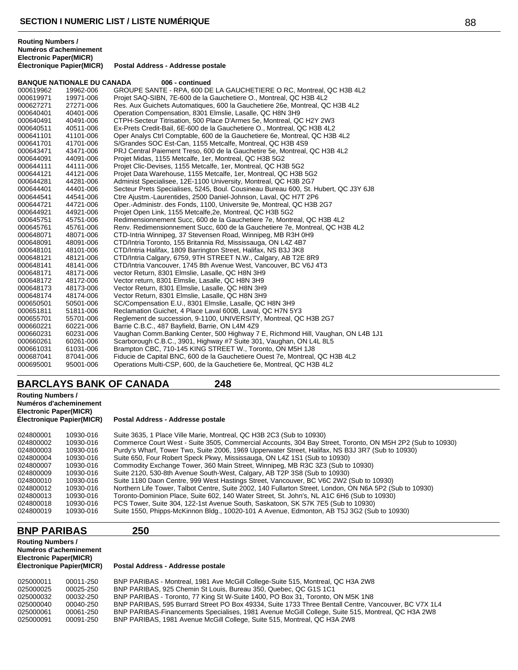### **BANQUE NATIONALE DU CANADA 006 - continued**

| 000619962 | 19962-006 | GROUPE SANTE - RPA, 600 DE LA GAUCHETIERE O RC, Montreal, QC H3B 4L2                |
|-----------|-----------|-------------------------------------------------------------------------------------|
| 000619971 | 19971-006 | Projet SAQ-SIBN, 7E-600 de la Gauchetiere O., Montreal, QC H3B 4L2                  |
| 000627271 | 27271-006 | Res. Aux Guichets Automatiques, 600 la Gauchetiere 26e, Montreal, QC H3B 4L2        |
| 000640401 | 40401-006 | Operation Compensation, 8301 Elmslie, Lasalle, QC H8N 3H9                           |
| 000640491 | 40491-006 | CTPH-Secteur Titrisation, 500 Place D'Armes 5e, Montreal, QC H2Y 2W3                |
| 000640511 | 40511-006 | Ex-Prets Credit-Bail, 6E-600 de la Gauchetiere O., Montreal, QC H3B 4L2             |
| 000641101 | 41101-006 | Oper Analys Ctrl Comptable, 600 de la Gauchetiere 6e, Montreal, QC H3B 4L2          |
| 000641701 | 41701-006 | S/Grandes SOC Est-Can, 1155 Metcalfe, Montreal, QC H3B 4S9                          |
| 000643471 | 43471-006 | PRJ Central Paiement Treso, 600 de la Gauchetire 5e, Montreal, QC H3B 4L2           |
| 000644091 | 44091-006 | Projet Midas, 1155 Metcalfe, 1er, Montreal, QC H3B 5G2                              |
| 000644111 | 44111-006 | Projet Clic-Devises, 1155 Metcalfe, 1er, Montreal, QC H3B 5G2                       |
| 000644121 | 44121-006 | Projet Data Warehouse, 1155 Metcalfe, 1er, Montreal, QC H3B 5G2                     |
| 000644281 | 44281-006 | Administ Specialisee, 12E-1100 University, Montreal, QC H3B 2G7                     |
| 000644401 | 44401-006 | Secteur Prets Specialises, 5245, Boul. Cousineau Bureau 600, St. Hubert, QC J3Y 6J8 |
| 000644541 | 44541-006 | Ctre Ajustm.-Laurentides, 2500 Daniel-Johnson, Laval, QC H7T 2P6                    |
| 000644721 | 44721-006 | Oper.-Administr. des Fonds, 1100, Universite 9e, Montreal, QC H3B 2G7               |
| 000644921 | 44921-006 | Projet Open Link, 1155 Metcalfe, 2e, Montreal, QC H3B 5G2                           |
| 000645751 | 45751-006 | Redimensionnement Succ, 600 de la Gauchetiere 7e, Montreal, QC H3B 4L2              |
| 000645761 | 45761-006 | Renv. Redimensionnement Succ, 600 de la Gauchetiere 7e, Montreal, QC H3B 4L2        |
| 000648071 | 48071-006 | CTD-Intria Winnipeg, 37 Stevensen Road, Winnipeg, MB R3H 0H9                        |
| 000648091 | 48091-006 | CTD/Intria Toronto, 155 Britannia Rd, Mississauga, ON L4Z 4B7                       |
| 000648101 | 48101-006 | CTD/Intria Halifax, 1809 Barrington Street, Halifax, NS B3J 3K8                     |
| 000648121 | 48121-006 | CTD/Intria Calgary, 6759, 9TH STREET N.W., Calgary, AB T2E 8R9                      |
| 000648141 | 48141-006 | CTD/Intria Vancouver, 1745 8th Avenue West, Vancouver, BC V6J 4T3                   |
| 000648171 | 48171-006 | vector Return, 8301 Elmslie, Lasalle, QC H8N 3H9                                    |
| 000648172 | 48172-006 | Vector return, 8301 Elmslie, Lasalle, QC H8N 3H9                                    |
| 000648173 | 48173-006 | Vector Return, 8301 Elmslie, Lasalle, QC H8N 3H9                                    |
| 000648174 | 48174-006 | Vector Return, 8301 Elmslie, Lasalle, QC H8N 3H9                                    |
| 000650501 | 50501-006 | SC/Compensation E.U., 8301 Elmslie, Lasalle, QC H8N 3H9                             |
| 000651811 | 51811-006 | Reclamation Guichet, 4 Place Laval 600B, Laval, QC H7N 5Y3                          |
| 000655701 | 55701-006 | Reglement de succession, 9-1100, UNIVERSITY, Montreal, QC H3B 2G7                   |
| 000660221 | 60221-006 | Barrie C.B.C., 487 Bayfield, Barrie, ON L4M 4Z9                                     |
| 000660231 | 60231-006 | Vaughan Comm. Banking Center, 500 Highway 7 E, Richmond Hill, Vaughan, ON L4B 1J1   |
| 000660261 | 60261-006 | Scarborough C.B.C., 3901, Highway #7 Suite 301, Vaughan, ON L4L 8L5                 |
| 000661031 | 61031-006 | Brampton CBC, 710-145 KING STREET W., Toronto, ON M5H 1J8                           |
| 000687041 | 87041-006 | Fiducie de Capital BNC, 600 de la Gauchetiere Ouest 7e, Montreal, QC H3B 4L2        |
| 000695001 | 95001-006 | Operations Multi-CSP, 600, de la Gauchetiere 6e, Montreal, QC H3B 4L2               |

# **BARCLAYS BANK OF CANADA 248**

| <b>Routing Numbers /</b><br>Numéros d'acheminement<br><b>Electronic Paper(MICR)</b><br><b>Électronique Papier(MICR)</b> |           | Postal Address - Addresse postale                                                                         |  |  |  |
|-------------------------------------------------------------------------------------------------------------------------|-----------|-----------------------------------------------------------------------------------------------------------|--|--|--|
| 024800001                                                                                                               | 10930-016 | Suite 3635, 1 Place Ville Marie, Montreal, QC H3B 2C3 (Sub to 10930)                                      |  |  |  |
| 024800002                                                                                                               | 10930-016 | Commerce Court West - Suite 3505, Commercial Accounts, 304 Bay Street, Toronto, ON M5H 2P2 (Sub to 10930) |  |  |  |
| 024800003                                                                                                               | 10930-016 | Purdy's Wharf, Tower Two, Suite 2006, 1969 Upperwater Street, Halifax, NS B3J 3R7 (Sub to 10930)          |  |  |  |
| 024800004                                                                                                               | 10930-016 | Suite 650, Four Robert Speck Pkwy, Mississauga, ON L4Z 1S1 (Sub to 10930)                                 |  |  |  |
| 024800007                                                                                                               | 10930-016 | Commodity Exchange Tower, 360 Main Street, Winnipeg, MB R3C 3Z3 (Sub to 10930)                            |  |  |  |
| 024800009                                                                                                               | 10930-016 | Suite 2120, 530-8th Avenue South-West, Calgary, AB T2P 3S8 (Sub to 10930)                                 |  |  |  |
| 024800010                                                                                                               | 10930-016 | Suite 1180 Daon Centre, 999 West Hastings Street, Vancouver, BC V6C 2W2 (Sub to 10930)                    |  |  |  |
| 024800012                                                                                                               | 10930-016 | Northern Life Tower, Talbot Centre, Suite 2002, 140 Fullarton Street, London, ON N6A 5P2 (Sub to 10930)   |  |  |  |
| 024800013                                                                                                               | 10930-016 | Toronto-Dominion Place, Suite 602, 140 Water Street, St. John's, NL A1C 6H6 (Sub to 10930)                |  |  |  |
| 024800018                                                                                                               | 10930-016 | PCS Tower, Suite 304, 122-1st Avenue South, Saskatoon, SK S7K 7E5 (Sub to 10930)                          |  |  |  |
| 024800019                                                                                                               | 10930-016 | Suite 1550, Phipps-McKinnon Bldg., 10020-101 A Avenue, Edmonton, AB T5J 3G2 (Sub to 10930)                |  |  |  |

# **BNP PARIBAS 250**

### **Routing Numbers / Numéros d'acheminement Electronic Paper(MICR)**

### **Électronique Papier(MICR) Postal Address - Addresse postale**

| 025000011 | 00011-250 | BNP PARIBAS - Montreal, 1981 Ave McGill College-Suite 515, Montreal, QC H3A 2W8                      |
|-----------|-----------|------------------------------------------------------------------------------------------------------|
| 025000025 | 00025-250 | BNP PARIBAS, 925 Chemin St Louis, Bureau 350, Quebec, QC G1S 1C1                                     |
| 025000032 | 00032-250 | BNP PARIBAS - Toronto, 77 King St W-Suite 1400, PO Box 31, Toronto, ON M5K 1N8                       |
| 025000040 | 00040-250 | BNP PARIBAS, 595 Burrard Street PO Box 49334, Suite 1733 Three Bentall Centre, Vancouver, BC V7X 1L4 |
| 025000061 | 00061-250 | BNP PARIBAS-Financements Specialises, 1981 Avenue McGill College, Suite 515, Montreal, QC H3A 2W8    |
| 025000091 | 00091-250 | BNP PARIBAS, 1981 Avenue McGill College, Suite 515, Montreal, QC H3A 2W8                             |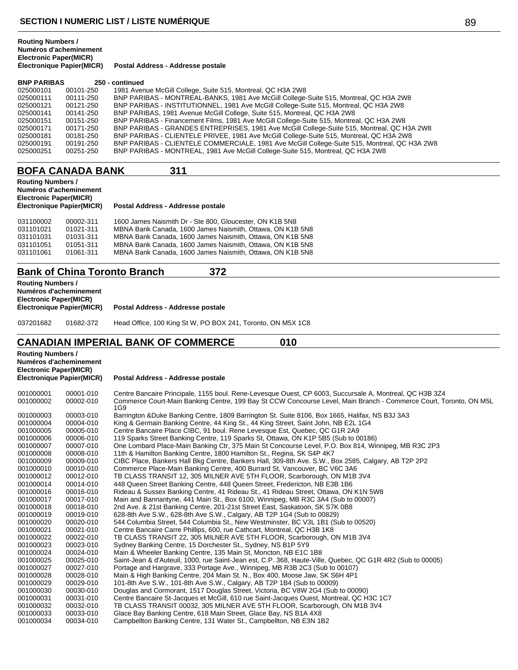| <b>BNP PARIBAS</b> |           | 250 - continued                                                                              |
|--------------------|-----------|----------------------------------------------------------------------------------------------|
| 025000101          | 00101-250 | 1981 Avenue McGill College, Suite 515, Montreal, QC H3A 2W8                                  |
| 025000111          | 00111-250 | BNP PARIBAS - MONTREAL-BANKS, 1981 Ave McGill College-Suite 515, Montreal, QC H3A 2W8        |
| 025000121          | 00121-250 | BNP PARIBAS - INSTITUTIONNEL, 1981 Ave McGill College-Suite 515, Montreal, QC H3A 2W8        |
| 025000141          | 00141-250 | BNP PARIBAS, 1981 Avenue McGill College, Suite 515, Montreal, QC H3A 2W8                     |
| 025000151          | 00151-250 | BNP PARIBAS - Financement Films, 1981 Ave McGill College-Suite 515, Montreal, QC H3A 2W8     |
| 025000171          | 00171-250 | BNP PARIBAS - GRANDES ENTREPRISES, 1981 Ave McGill College-Suite 515, Montreal, QC H3A 2W8   |
| 025000181          | 00181-250 | BNP PARIBAS - CLIENTELE PRIVEE, 1981 Ave McGill College-Suite 515, Montreal, QC H3A 2W8      |
| 025000191          | 00191-250 | BNP PARIBAS - CLIENTELE COMMERCIALE, 1981 Ave McGill College-Suite 515, Montreal, QC H3A 2W8 |
| 025000251          | 00251-250 | BNP PARIBAS - MONTREAL, 1981 Ave McGill College-Suite 515, Montreal, QC H3A 2W8              |

# **BOFA CANADA BANK 311**

### **Routing Numbers / Numéros d'acheminement Electronic Paper(MICR)**

### **Électronique Papier(MICR) Postal Address - Addresse postale**

| 031100002 | 00002-311 | 1600 James Naismith Dr - Ste 800, Gloucester, ON K1B 5N8  |
|-----------|-----------|-----------------------------------------------------------|
| 031101021 | 01021-311 | MBNA Bank Canada, 1600 James Naismith, Ottawa, ON K1B 5N8 |
| 031101031 | 01031-311 | MBNA Bank Canada, 1600 James Naismith, Ottawa, ON K1B 5N8 |
| 031101051 | 01051-311 | MBNA Bank Canada, 1600 James Naismith, Ottawa, ON K1B 5N8 |
| 031101061 | 01061-311 | MBNA Bank Canada, 1600 James Naismith, Ottawa, ON K1B 5N8 |

# **Bank of China Toronto Branch 372**

| <b>Routing Numbers /</b><br><b>Electronic Paper(MICR)</b> | Numéros d'acheminement    |                                                             |
|-----------------------------------------------------------|---------------------------|-------------------------------------------------------------|
|                                                           | Électronique Papier(MICR) | Postal Address - Addresse postale                           |
| 037201682                                                 | 01682-372                 | Head Office, 100 King St W, PO BOX 241, Toronto, ON M5X 1C8 |

# **CANADIAN IMPERIAL BANK OF COMMERCE 010**

**Routing Numbers / Numéros d'acheminement Electronic Paper(MICR) Électronique Papier(MICR) Postal Address - Addresse postale** 00001-010 Centre Bancaire Principale, 1155 boul. Rene-Levesque Ouest, CP 6003, Succursale A, Montreal, QC H3B 3Z4 00002-010 Commerce Court-Main Banking Centre, 199 Bay St CCW Concourse Level, Main Branch - Commerce Court, Toronto, ON M5L 1G9 00003-010 Barrington &Duke Banking Centre, 1809 Barrington St. Suite 8106, Box 1665, Halifax, NS B3J 3A3 00004-010 King & Germain Banking Centre, 44 King St., 44 King Street, Saint John, NB E2L 1G4 00005-010 Centre Bancaire Place CIBC, 91 boul. Rene Levesque Est, Quebec, QC G1R 2A9 00006-010 119 Sparks Street Banking Centre, 119 Sparks St, Ottawa, ON K1P 5B5 (Sub to 00186) 00007-010 One Lombard Place-Main Banking Ctr, 375 Main St Concourse Level, P.O. Box 814, Winnipeg, MB R3C 2P3 00008-010 11th & Hamilton Banking Centre, 1800 Hamilton St., Regina, SK S4P 4K7 00009-010 CIBC Place, Bankers Hall Bkg Centre, Bankers Hall, 309-8th Ave. S.W., Box 2585, Calgary, AB T2P 2P2 00010-010 Commerce Place-Main Banking Centre, 400 Burrard St, Vancouver, BC V6C 3A6 00012-010 TB CLASS TRANSIT 12, 305 MILNER AVE 5TH FLOOR, Scarborough, ON M1B 3V4 00014-010 448 Queen Street Banking Centre, 448 Queen Street, Fredericton, NB E3B 1B6 00016-010 Rideau & Sussex Banking Centre, 41 Rideau St., 41 Rideau Street, Ottawa, ON K1N 5W8 00017-010 Main and Bannantyne, 441 Main St., Box 6100, Winnipeg, MB R3C 3A4 (Sub to 00007) 00018-010 2nd Ave. & 21st Banking Centre, 201-21st Street East, Saskatoon, SK S7K 0B8 00019-010 628-8th Ave S.W., 628-8th Ave S.W., Calgary, AB T2P 1G4 (Sub to 00829) 00020-010 544 Columbia Street, 544 Columbia St., New Westminster, BC V3L 1B1 (Sub to 00520) 00021-010 Centre Bancaire Carre Phillips, 600, rue Cathcart, Montreal, QC H3B 1K8 00022-010 TB CLASS TRANSIT 22, 305 MILNER AVE 5TH FLOOR, Scarborough, ON M1B 3V4 00023-010 Sydney Banking Centre, 15 Dorchester St., Sydney, NS B1P 5Y9 00024-010 Main & Wheeler Banking Centre, 135 Main St, Moncton, NB E1C 1B8 00025-010 Saint-Jean & d'Auteuil, 1000, rue Saint-Jean est, C.P. 368, Haute-Ville, Quebec, QC G1R 4R2 (Sub to 00005) 00027-010 Portage and Hargrave, 333 Portage Ave., Winnipeg, MB R3B 2C3 (Sub to 00107) 00028-010 Main & High Banking Centre, 204 Main St. N., Box 400, Moose Jaw, SK S6H 4P1 00029-010 101-8th Ave S.W., 101-8th Ave S.W., Calgary, AB T2P 1B4 (Sub to 00009) 00030-010 Douglas and Cormorant, 1517 Douglas Street, Victoria, BC V8W 2G4 (Sub to 00090) 00031-010 Centre Bancaire St-Jacques et McGill, 610 rue Saint-Jacques Ouest, Montreal, QC H3C 1C7 00032-010 TB CLASS TRANSIT 00032, 305 MILNER AVE 5TH FLOOR, Scarborough, ON M1B 3V4 00033-010 Glace Bay Banking Centre, 618 Main Street, Glace Bay, NS B1A 4X8 00034-010 Campbellton Banking Centre, 131 Water St., Campbellton, NB E3N 1B2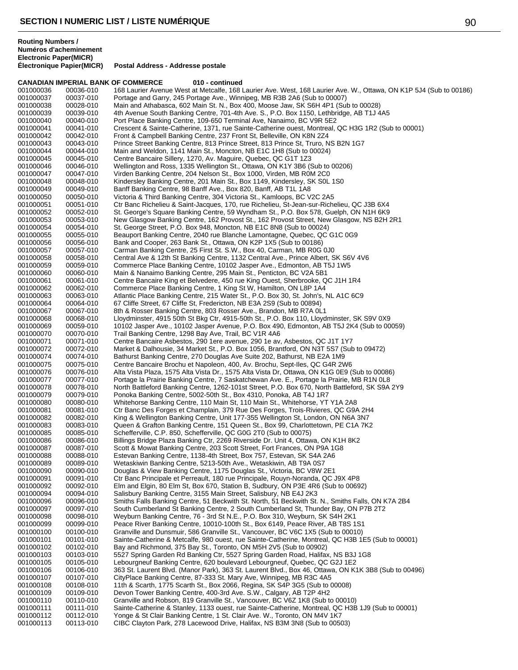|                        |                        | <b>CANADIAN IMPERIAL BANK OF COMMERCE</b><br>010 - continued                                                                                                 |
|------------------------|------------------------|--------------------------------------------------------------------------------------------------------------------------------------------------------------|
| 001000036              | 00036-010              | 168 Laurier Avenue West at Metcalfe, 168 Laurier Ave. West, 168 Laurier Ave. W., Ottawa, ON K1P 5J4 (Sub to 00186)                                           |
| 001000037              | 00037-010              | Portage and Garry, 245 Portage Ave., Winnipeg, MB R3B 2A6 (Sub to 00007)                                                                                     |
| 001000038              | 00028-010              | Main and Athabasca, 602 Main St. N., Box 400, Moose Jaw, SK S6H 4P1 (Sub to 00028)                                                                           |
| 001000039              | 00039-010              | 4th Avenue South Banking Centre, 701-4th Ave. S., P.O. Box 1150, Lethbridge, AB T1J 4A5                                                                      |
| 001000040              | 00040-010              | Port Place Banking Centre, 109-650 Terminal Ave, Nanaimo, BC V9R 5E2                                                                                         |
| 001000041              | 00041-010              | Crescent & Sainte-Catherine, 1371, rue Sainte-Catherine ouest, Montreal, QC H3G 1R2 (Sub to 00001)                                                           |
| 001000042<br>001000043 | 00042-010<br>00043-010 | Front & Campbell Banking Centre, 237 Front St, Belleville, ON K8N 2Z4                                                                                        |
| 001000044              | 00044-010              | Prince Street Banking Centre, 813 Prince Street, 813 Prince St, Truro, NS B2N 1G7<br>Main and Weldon, 1141 Main St., Moncton, NB E1C 1H8 (Sub to 00024)      |
| 001000045              | 00045-010              | Centre Bancaire Sillery, 1270, Av. Maguire, Quebec, QC G1T 1Z3                                                                                               |
| 001000046              | 00046-010              | Wellington and Ross, 1335 Wellington St., Ottawa, ON K1Y 3B6 (Sub to 00206)                                                                                  |
| 001000047              | 00047-010              | Virden Banking Centre, 204 Nelson St., Box 1000, Virden, MB R0M 2C0                                                                                          |
| 001000048              | 00048-010              | Kindersley Banking Centre, 201 Main St., Box 1149, Kindersley, SK S0L 1S0                                                                                    |
| 001000049              | 00049-010              | Banff Banking Centre, 98 Banff Ave., Box 820, Banff, AB T1L 1A8                                                                                              |
| 001000050              | 00050-010              | Victoria & Third Banking Centre, 304 Victoria St., Kamloops, BC V2C 2A5                                                                                      |
| 001000051              | 00051-010              | Ctr Banc Richelieu & Saint-Jacques, 170, rue Richelieu, St-Jean-sur-Richelieu, QC J3B 6X4                                                                    |
| 001000052              | 00052-010              | St. George's Square Banking Centre, 59 Wyndham St., P.O. Box 578, Guelph, ON N1H 6K9                                                                         |
| 001000053              | 00053-010              | New Glasgow Banking Centre, 162 Provost St., 162 Provost Street, New Glasgow, NS B2H 2R1                                                                     |
| 001000054              | 00054-010              | St. George Street, P.O. Box 948, Moncton, NB E1C 8N8 (Sub to 00024)                                                                                          |
| 001000055              | 00055-010              | Beauport Banking Centre, 2040 rue Blanche Lamontagne, Quebec, QC G1C 0G9                                                                                     |
| 001000056              | 00056-010              | Bank and Cooper, 263 Bank St., Ottawa, ON K2P 1X5 (Sub to 00186)                                                                                             |
| 001000057              | 00057-010              | Carman Banking Centre, 25 First St. S.W., Box 40, Carman, MB R0G 0J0                                                                                         |
| 001000058              | 00058-010              | Central Ave & 12th St Banking Centre, 1132 Central Ave., Prince Albert, SK S6V 4V6                                                                           |
| 001000059              | 00059-010              | Commerce Place Banking Centre, 10102 Jasper Ave., Edmonton, AB T5J 1W5                                                                                       |
| 001000060              | 00060-010              | Main & Nanaimo Banking Centre, 295 Main St., Penticton, BC V2A 5B1                                                                                           |
| 001000061              | 00061-010              | Centre Bancaire King et Belvedere, 450 rue King Ouest, Sherbrooke, QC J1H 1R4                                                                                |
| 001000062              | 00062-010              | Commerce Place Banking Centre, 1 King St W, Hamilton, ON L8P 1A4                                                                                             |
| 001000063              | 00063-010              | Atlantic Place Banking Centre, 215 Water St., P.O. Box 30, St. John's, NL A1C 6C9                                                                            |
| 001000064<br>001000067 | 00064-010<br>00067-010 | 67 Cliffe Street, 67 Cliffe St, Fredericton, NB E3A 2S9 (Sub to 00894)<br>8th & Rosser Banking Centre, 803 Rosser Ave., Brandon, MB R7A 0L1                  |
| 001000068              | 00068-010              | Lloydminster, 4915 50th St Bkg Ctr, 4915-50th St., P.O. Box 110, Lloydminster, SK S9V 0X9                                                                    |
| 001000069              | 00059-010              | 10102 Jasper Ave., 10102 Jasper Avenue, P.O. Box 490, Edmonton, AB T5J 2K4 (Sub to 00059)                                                                    |
| 001000070              | 00070-010              | Trail Banking Centre, 1298 Bay Ave, Trail, BC V1R 4A6                                                                                                        |
| 001000071              | 00071-010              | Centre Bancaire Asbestos, 290 1ere avenue, 290 1e av, Asbestos, QC J1T 1Y7                                                                                   |
| 001000072              | 00072-010              | Market & Dalhousie, 34 Market St., P.O. Box 1056, Brantford, ON N3T 5S7 (Sub to 09472)                                                                       |
| 001000074              | 00074-010              | Bathurst Banking Centre, 270 Douglas Ave Suite 202, Bathurst, NB E2A 1M9                                                                                     |
| 001000075              | 00075-010              | Centre Bancaire Brochu et Napoleon, 400, Av. Brochu, Sept-Iles, QC G4R 2W6                                                                                   |
| 001000076              | 00076-010              | Alta Vista Plaza, 1575 Alta Vista Dr., 1575 Alta Vista Dr, Ottawa, ON K1G 0E9 (Sub to 00086)                                                                 |
| 001000077              | 00077-010              | Portage la Prairie Banking Centre, 7 Saskatchewan Ave. E., Portage la Prairie, MB R1N 0L8                                                                    |
| 001000078              | 00078-010              | North Battleford Banking Centre, 1262-101st Street, P.O. Box 670, North Battleford, SK S9A 2Y9                                                               |
| 001000079              | 00079-010              | Ponoka Banking Centre, 5002-50th St., Box 4310, Ponoka, AB T4J 1R7                                                                                           |
| 001000080              | 00080-010              | Whitehorse Banking Centre, 110 Main St, 110 Main St., Whitehorse, YT Y1A 2A8                                                                                 |
| 001000081              | 00081-010              | Ctr Banc Des Forges et Champlain, 379 Rue Des Forges, Trois-Rivieres, QC G9A 2H4                                                                             |
| 001000082              | 00082-010              | King & Wellington Banking Centre, Unit 177-355 Wellington St, London, ON N6A 3N7                                                                             |
| 001000083              | 00083-010              | Queen & Grafton Banking Centre, 151 Queen St., Box 99, Charlottetown, PE C1A 7K2                                                                             |
| 001000085              | 00085-010              | Schefferville, C.P. 850, Schefferville, QC G0G 2T0 (Sub to 00075)                                                                                            |
| 001000086<br>001000087 | 00086-010<br>00087-010 | Billings Bridge Plaza Banking Ctr, 2269 Riverside Dr. Unit 4, Ottawa, ON K1H 8K2<br>Scott & Mowat Banking Centre, 203 Scott Street, Fort Frances, ON P9A 1G8 |
| 001000088              | 00088-010              | Estevan Banking Centre, 1138-4th Street, Box 757, Estevan, SK S4A 2A6                                                                                        |
| 001000089              | 00089-010              | Wetaskiwin Banking Centre, 5213-50th Ave., Wetaskiwin, AB T9A 0S7                                                                                            |
| 001000090              | 00090-010              | Douglas & View Banking Centre, 1175 Douglas St., Victoria, BC V8W 2E1                                                                                        |
| 001000091              | 00091-010              | Ctr Banc Principale et Perreault, 180 rue Principale, Rouyn-Noranda, QC J9X 4P8                                                                              |
| 001000092              | 00092-010              | Elm and Elgin, 80 Elm St, Box 670, Station B, Sudbury, ON P3E 4R6 (Sub to 00692)                                                                             |
| 001000094              | 00094-010              | Salisbury Banking Centre, 3155 Main Street, Salisbury, NB E4J 2K3                                                                                            |
| 001000096              | 00096-010              | Smiths Falls Banking Centre, 51 Beckwith St. North, 51 Beckwith St. N., Smiths Falls, ON K7A 2B4                                                             |
| 001000097              | 00097-010              | South Cumberland St Banking Centre, 2 South Cumberland St, Thunder Bay, ON P7B 2T2                                                                           |
| 001000098              | 00098-010              | Weyburn Banking Centre, 76 - 3rd St N.E., P.O. Box 310, Weyburn, SK S4H 2K1                                                                                  |
| 001000099              | 00099-010              | Peace River Banking Centre, 10010-100th St., Box 6149, Peace River, AB T8S 1S1                                                                               |
| 001000100              | 00100-010              | Granville and Dunsmuir, 586 Granville St., Vancouver, BC V6C 1X5 (Sub to 00010)                                                                              |
| 001000101              | 00101-010              | Sainte-Catherine & Metcalfe, 980 ouest, rue Sainte-Catherine, Montreal, QC H3B 1E5 (Sub to 00001)                                                            |
| 001000102              | 00102-010<br>00103-010 | Bay and Richmond, 375 Bay St., Toronto, ON M5H 2V5 (Sub to 00902)<br>5527 Spring Garden Rd Banking Ctr, 5527 Spring Garden Road, Halifax, NS B3J 1G8         |
| 001000103<br>001000105 | 00105-010              | Lebourgneuf Banking Centre, 620 boulevard Lebourgneuf, Quebec, QC G2J 1E2                                                                                    |
| 001000106              | 00106-010              | 363 St. Laurent Blvd. (Manor Park), 363 St. Laurent Blvd., Box 46, Ottawa, ON K1K 3B8 (Sub to 00496)                                                         |
| 001000107              | 00107-010              | CityPlace Banking Centre, 87-333 St. Mary Ave, Winnipeg, MB R3C 4A5                                                                                          |
| 001000108              | 00108-010              | 11th & Scarth, 1775 Scarth St., Box 2066, Regina, SK S4P 3G5 (Sub to 00008)                                                                                  |
| 001000109              | 00109-010              | Devon Tower Banking Centre, 400-3rd Ave. S.W., Calgary, AB T2P 4H2                                                                                           |
| 001000110              | 00110-010              | Granville and Robson, 819 Granville St., Vancouver, BC V6Z 1K8 (Sub to 00010)                                                                                |
| 001000111              | 00111-010              | Sainte-Catherine & Stanley, 1133 ouest, rue Sainte-Catherine, Montreal, QC H3B 1J9 (Sub to 00001)                                                            |
| 001000112              | 00112-010              | Yonge & St Clair Banking Centre, 1 St. Clair Ave. W., Toronto, ON M4V 1K7                                                                                    |
| 001000113              | 00113-010              | CIBC Clayton Park, 278 Lacewood Drive, Halifax, NS B3M 3N8 (Sub to 00503)                                                                                    |
|                        |                        |                                                                                                                                                              |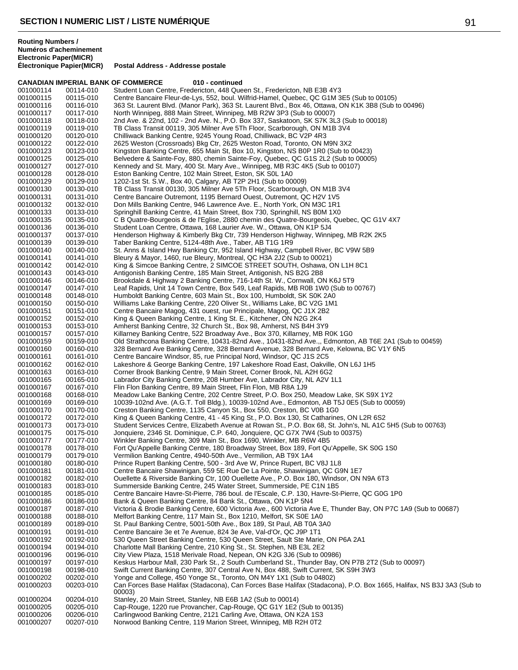**CANADIAN IMPERIAL BANK OF COMMERCE** 010 - continued<br>001000114 00114-010 Student Loan Centre. Fredericton. 448 Que 001000114 00114-010 Student Loan Centre, Fredericton, 448 Queen St., Fredericton, NB E3B 4Y3<br>001000115 00115-010 Centre Bancaire Fleur-de-Lys, 552, boul. Wilfrid-Hamel, Quebec, QC G1M 3 001000115 00115-010 Centre Bancaire Fleur-de-Lys, 552, boul. Wilfrid-Hamel, Quebec, QC G1M 3E5 (Sub to 00105)<br>001000116 00116-010 363 St. Laurent Blvd. (Manor Park). 363 St. Laurent Blvd.. Box 46. Ottawa. ON K1K 3B8 (Sub 001000116 00116-010 363 St. Laurent Blvd. (Manor Park), 363 St. Laurent Blvd., Box 46, Ottawa, ON K1K 3B8 (Sub to 00496) 001000117 00117-010 North Winnipeg, 888 Main Street, Winnipeg, MB R2W 3P3 (Sub to 00007) 001000118 00118-010 2nd Ave. & 22nd, 102 - 2nd Ave. N., P.O. Box 337, Saskatoon, SK S7K 3L3 (Sub to 00018)<br>001000119 00119-010 TB Class Transit 00119. 305 Milner Ave 5Th Floor. Scarborough. ON M1B 3V4 001000119 00119-010 TB Class Transit 00119, 305 Milner Ave 5Th Floor, Scarborough, ON M1B 3V4<br>001000120 00120-010 Chilliwack Banking Centre, 9245 Young Road, Chilliwack, BC V2P 4R3 001000120 00120-010 Chilliwack Banking Centre, 9245 Young Road, Chilliwack, BC V2P 4R3 2625 Weston (Crossroads) Bkg Ctr, 2625 Weston Road, Toronto, ON M9N 3X2 001000123 00123-010 Kingston Banking Centre, 655 Main St, Box 10, Kingston, NS B0P 1R0 (Sub to 00423) 001000125 00125-010 Belvedere & Sainte-Foy, 880, chemin Sainte-Foy, Quebec, QC G1S 2L2 (Sub to 00005)<br>001000127 00127-010 Kennedy and St. Mary, 400 St. Mary Ave., Winnipeg, MB R3C 4K5 (Sub to 00107) 001000127 00127-010 Kennedy and St. Mary, 400 St. Mary Ave., Winnipeg, MB R3C 4K5 (Sub to 00107)<br>001000128 00128-010 Eston Banking Centre, 102 Main Street, Eston, SK S0L 1A0 001000128 00128-010 Eston Banking Centre, 102 Main Street, Eston, SK S0L 1A0 001000129 00129-010 1202-1st St. S.W., Box 40, Calgary, AB T2P 2H1 (Sub to 00009) 001000130 00130-010 TB Class Transit 00130, 305 Milner Ave 5Th Floor, Scarborough, ON M1B 3V4<br>001000131 00131-010 Centre Bancaire Outremont, 1195 Bernard Ouest, Outremont, QC H2V 1V5 Centre Bancaire Outremont, 1195 Bernard Ouest, Outremont, QC H2V 1V5 001000132 00132-010 Don Mills Banking Centre, 946 Lawrence Ave. E., North York, ON M3C 1R1 001000133 00133-010 Springhill Banking Centre, 41 Main Street, Box 730, Springhill, NS B0M 1X0<br>001000135 00135-010 C B Quatre-Bourgeois & de l'Eglise, 2880 chemin des Quatre-Bourgeois, Qu 001000135 00135-010 C B Quatre-Bourgeois & de l'Eglise, 2880 chemin des Quatre-Bourgeois, Quebec, QC G1V 4X7<br>001000136 00136-010 Student Loan Centre, Ottawa, 168 Laurier Ave. W., Ottawa, ON K1P 5J4 001000136 00136-010 Student Loan Centre, Ottawa, 168 Laurier Ave. W., Ottawa, ON K1P 5J4 Henderson Highway & Kimberly Bkg Ctr, 739 Henderson Highway, Winnipeg, MB R2K 2K5 001000139 00139-010 Taber Banking Centre, 5124-48th Ave., Taber, AB T1G 1R9 St. Anns & Island Hwy Banking Ctr, 952 Island Highway, Campbell River, BC V9W 5B9 001000141 00141-010 Bleury & Mayor, 1460, rue Bleury, Montreal, QC H3A 2J2 (Sub to 00021) 001000142 00142-010 King & Simcoe Banking Centre, 2 SIMCOE STREET SOUTH, Oshawa, ON L1H 8C1 Antigonish Banking Centre, 185 Main Street, Antigonish, NS B2G 2B8 001000146 00146-010 Brookdale & Highway 2 Banking Centre, 716-14th St. W., Cornwall, ON K6J 5T9 Leaf Rapids, Unit 14 Town Centre, Box 549, Leaf Rapids, MB R0B 1W0 (Sub to 00767) 001000148 00148-010 Humboldt Banking Centre, 603 Main St., Box 100, Humboldt, SK S0K 2A0<br>001000150 00150-010 Williams Lake Banking Centre, 220 Oliver St., Williams Lake, BC V2G 1M1 001000150 00150-010 Williams Lake Banking Centre, 220 Oliver St., Williams Lake, BC V2G 1M1<br>001000151 00151-010 Centre Bancaire Magog. 431 ouest. rue Principale. Magog. QC J1X 2B2 Centre Bancaire Magog, 431 ouest, rue Principale, Magog, QC J1X 2B2 001000152 00152-010 King & Queen Banking Centre, 1 King St. E., Kitchener, ON N2G 2K4 001000153 00153-010 Amherst Banking Centre, 32 Church St., Box 98, Amherst, NS B4H 3Y9 001000157 00157-010 Killarney Banking Centre, 522 Broadway Ave., Box 370, Killarney, MB R0K 1G0<br>001000159 00159-010 Old Strathcona Banking Centre, 10431-82nd Ave., 10431-82nd Ave.,, Edmontor 001000159 00159-010 Old Strathcona Banking Centre, 10431-82nd Ave., 10431-82nd Ave.,, Edmonton, AB T6E 2A1 (Sub to 00459)<br>001000160 00160-010 328 Bernard Ave Banking Centre, 328 Bernard Avenue, 328 Bernard Ave. Kelowna, BC 001000160 00160-010 328 Bernard Ave Banking Centre, 328 Bernard Avenue, 328 Bernard Ave, Kelowna, BC V1Y 6N5<br>001000161 00161-010 Centre Bancaire Windsor, 85, rue Principal Nord, Windsor, QC J1S 2C5 001000161 00161-010 Centre Bancaire Windsor, 85, rue Principal Nord, Windsor, QC J1S 2C5<br>001000162 00162-010 Lakeshore & George Banking Centre, 197 Lakeshore Road East, Oakvill Lakeshore & George Banking Centre, 197 Lakeshore Road East, Oakville, ON L6J 1H5 001000163 00163-010 Corner Brook Banking Centre, 9 Main Street, Corner Brook, NL A2H 6G2<br>001000165 00165-010 Labrador City Banking Centre, 208 Humber Ave, Labrador City, NL A2V 1 001000165 00165-010 Labrador City Banking Centre, 208 Humber Ave, Labrador City, NL A2V 1L1<br>001000167 00167-010 Flin Flon Banking Centre, 89 Main Street, Flin Flon, MB R8A 1J9 001000167 00167-010 Flin Flon Banking Centre, 89 Main Street, Flin Flon, MB R8A 1J9<br>001000168 00168-010 Meadow Lake Banking Centre, 202 Centre Street, P.O. Box 250, 001000168 00168-010 Meadow Lake Banking Centre, 202 Centre Street, P.O. Box 250, Meadow Lake, SK S9X 1Y2<br>001000169 00169-010 10039-102nd Ave. (A.G.T. Toll Bldg.). 10039-102nd Ave.. Edmonton. AB T5J 0E5 (Sub to 000 10039-102nd Ave. (A.G.T. Toll Bldg.), 10039-102nd Ave., Edmonton, AB T5J 0E5 (Sub to 00059) 001000170 00170-010 Creston Banking Centre, 1135 Canyon St., Box 550, Creston, BC V0B 1G0<br>001000172 00172-010 King & Queen Banking Centre, 41 - 45 King St., P.O. Box 130, St Catharine 001000172 00172-010 King & Queen Banking Centre, 41 - 45 King St., P.O. Box 130, St Catharines, ON L2R 6S2<br>001000173 00173-010 Student Services Centre. Elizabeth Avenue at Rowan St., P.O. Box 68, St. John's, NL A1C 001000173 00173-010 Student Services Centre, Elizabeth Avenue at Rowan St., P.O. Box 68, St. John's, NL A1C 5H5 (Sub to 00763)<br>001000175 00175-010 Jonquiere, 2346 St. Dominique, C.P. 640, Jonquiere, QC G7X 7W4 (Sub to 0037 001000175 00175-010 Jonquiere, 2346 St. Dominique, C.P. 640, Jonquiere, QC G7X 7W4 (Sub to 00375)<br>001000177 00177-010 Winkler Banking Centre, 309 Main St., Box 1690, Winkler, MB R6W 4B5 Winkler Banking Centre, 309 Main St., Box 1690, Winkler, MB R6W 4B5 001000178 00178-010 Fort Qu'Appelle Banking Centre, 180 Broadway Street, Box 189, Fort Qu'Appelle, SK S0G 1S0<br>001000179 00179-010 Vermilion Banking Centre, 4940-50th Ave., Vermilion, AB T9X 1A4 Vermilion Banking Centre, 4940-50th Ave., Vermilion, AB T9X 1A4 001000180 00180-010 Prince Rupert Banking Centre, 500 - 3rd Ave W, Prince Rupert, BC V8J 1L8<br>001000181 00181-010 Centre Bancaire Shawinigan, 559 5E Rue De La Pointe, Shawinigan, QC G9 001000181 00181-010 Centre Bancaire Shawinigan, 559 5E Rue De La Pointe, Shawinigan, QC G9N 1E7<br>001000182 00182-010 Ouellette & Riverside Banking Ctr. 100 Quellette Ave., P.O. Box 180. Windsor, ON Ouellette & Riverside Banking Ctr, 100 Ouellette Ave., P.O. Box 180, Windsor, ON N9A 6T3 001000183 00183-010 Summerside Banking Centre, 245 Water Street, Summerside, PE C1N 1B5<br>001000185 00185-010 Centre Bancaire Havre-St-Pierre, 786 boul. de l'Escale, C.P. 130, Havre-St-001000185 00185-010 Centre Bancaire Havre-St-Pierre, 786 boul. de l'Escale, C.P. 130, Havre-St-Pierre, QC G0G 1P0<br>001000186 00186-010 Bank & Queen Banking Centre, 84 Bank St., Ottawa, ON K1P 5N4 001000186 00186-010 Bank & Queen Banking Centre, 84 Bank St., Ottawa, ON K1P 5N4 001000187 00187-010 Victoria & Brodie Banking Centre, 600 Victoria Ave., 600 Victoria Ave E, Thunder Bay, ON P7C 1A9 (Sub to 00687)<br>001000188 00188-010 Melfort Banking Centre, 117 Main St., Box 1210, Melfort, SK S0F 1A0 001000188 00188-010 Melfort Banking Centre, 117 Main St., Box 1210, Melfort, SK S0E 1A0<br>001000189 00189-010 St. Paul Banking Centre, 5001-50th Ave., Box 189, St Paul, AB T0A 3/ 001000189 00189-010 St. Paul Banking Centre, 5001-50th Ave., Box 189, St Paul, AB T0A 3A0 001000191 00191-010 Centre Bancaire 3e et 7e Avenue, 824 3e Ave, Val-d'Or, QC J9P 1T1<br>001000192 00192-010 530 Queen Street Banking Centre, 530 Queen Street, Sault Ste Marie 001000192 00192-010 530 Queen Street Banking Centre, 530 Queen Street, Sault Ste Marie, ON P6A 2A1<br>001000194 00194-010 Charlotte Mall Banking Centre, 210 King St., St. Stephen, NB E3L 2E2 001000194 00194-010 Charlotte Mall Banking Centre, 210 King St., St. Stephen, NB E3L 2E2<br>001000196 00196-010 City View Plaza, 1518 Merivale Road, Nepean, ON K2G 3J6 (Sub to 0 001000196 00196-010 City View Plaza, 1518 Merivale Road, Nepean, ON K2G 3J6 (Sub to 00986) 001000197 00197-010 Keskus Harbour Mall, 230 Park St., 2 South Cumberland St., Thunder Bay, ON P7B 2T2 (Sub to 00097)<br>001000198 00198-010 Swift Current Banking Centre. 307 Central Ave N. Box 488. Swift Current. SK S9H 3W3 Swift Current Banking Centre, 307 Central Ave N, Box 488, Swift Current, SK S9H 3W3 001000202 00202-010 Yonge and College, 450 Yonge St., Toronto, ON M4Y 1X1 (Sub to 04802) Can Forces Base Halifax (Stadacona), Can Forces Base Halifax (Stadacona), P.O. Box 1665, Halifax, NS B3J 3A3 (Sub to 00003) 001000204 00204-010 Stanley, 20 Main Street, Stanley, NB E6B 1A2 (Sub to 00014) 001000205 00205-010 Cap-Rouge, 1220 rue Provancher, Cap-Rouge, QC G1Y 1E2 (Sub to 00135) 001000206 00206-010 Carlingwood Banking Centre, 2121 Carling Ave, Ottawa, ON K2A 1S3 001000207 00207-010 Norwood Banking Centre, 119 Marion Street, Winnipeg, MB R2H 0T2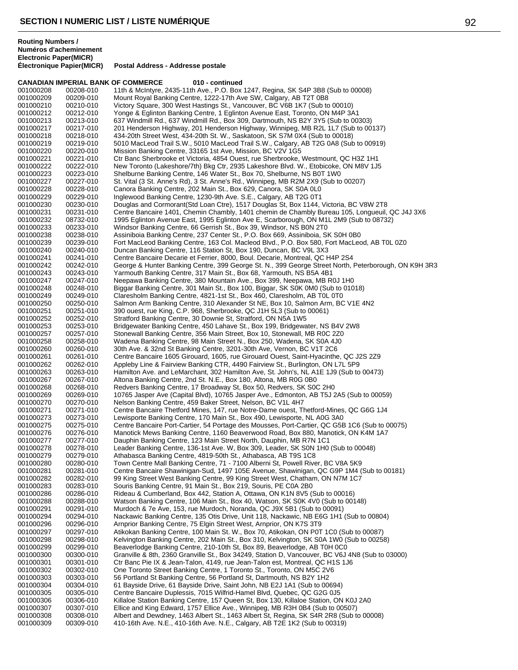**CANADIAN IMPERIAL BANK OF COMMERCE 010 - continued** 001000208 00208-010 11th & McIntyre, 2435-11th Ave., P.O. Box 1247, Regina, SK S4P 3B8 (Sub to 00008)<br>001000209 00209-010 Mount Royal Banking Centre, 1222-17th Ave SW, Calgary, AB T2T 0B8 001000209 00209-010 Mount Royal Banking Centre, 1222-17th Ave SW, Calgary, AB T2T 0B8 Victory Square, 300 West Hastings St., Vancouver, BC V6B 1K7 (Sub to 00010) 001000212 00212-010 Yonge & Eglinton Banking Centre, 1 Eglinton Avenue East, Toronto, ON M4P 3A1 001000213 00213-010 637 Windmill Rd., 637 Windmill Rd., Box 309, Dartmouth, NS B2Y 3Y5 (Sub to 00303) 001000217 00217-010 201 Henderson Highway, 201 Henderson Highway, Winnipeg, MB R2L 1L7 (Sub to 00137)<br>001000218 00218-010 434-20th Street West, 434-20th St. W., Saskatoon, SK S7M 0X4 (Sub to 00018) 001000218 00218-010 434-20th Street West, 434-20th St. W., Saskatoon, SK S7M 0X4 (Sub to 00018) 5010 MacLeod Trail S.W., 5010 MacLeod Trail S.W., Calgary, AB T2G 0A8 (Sub to 00919) 001000220 00220-010 Mission Banking Centre, 33165 1st Ave, Mission, BC V2V 1G5<br>001000221 00221-010 Ctr Banc Sherbrooke et Victoria, 4854 Ouest, rue Sherbrooke, 001000221 00221-010 Ctr Banc Sherbrooke et Victoria, 4854 Ouest, rue Sherbrooke, Westmount, QC H3Z 1H1<br>001000222 00222-010 New Toronto (Lakeshore/7th) Bkg Ctr, 2935 Lakeshore Blvd. W., Etobicoke, ON M8V 1J: 001000222 00222-010 New Toronto (Lakeshore/7th) Bkg Ctr, 2935 Lakeshore Blvd. W., Etobicoke, ON M8V 1J5<br>001000223 00223-010 Shelburne Banking Centre, 146 Water St., Box 70, Shelburne, NS B0T 1W0 001000223 00223-010 Shelburne Banking Centre, 146 Water St., Box 70, Shelburne, NS B0T 1W0<br>001000227 00227-010 St. Vital (3 St. Anne's Rd). 3 St. Anne's Rd.. Winnipeg. MB R2M 2X9 (Sub to 001000227 00227-010 St. Vital (3 St. Anne's Rd), 3 St. Anne's Rd., Winnipeg, MB R2M 2X9 (Sub to 00207)<br>001000228 00228-010 Canora Banking Centre, 202 Main St., Box 629, Canora, SK S0A 0L0 001000228 00228-010 Canora Banking Centre, 202 Main St., Box 629, Canora, SK S0A 0L0<br>001000229 00229-010 Inglewood Banking Centre, 1230-9th Ave. S.E., Calgary, AB T2G 0T1 Inglewood Banking Centre, 1230-9th Ave. S.E., Calgary, AB T2G 0T1 001000230 00230-010 Douglas and Cormorant(Std Loan Ctre), 1517 Douglas St, Box 1144, Victoria, BC V8W 2T8<br>001000231 00231-010 Centre Bancaire 1401, Chemin Chambly, 1401 chemin de Chambly Bureau 105, Longueuil, 001000231 00231-010 Centre Bancaire 1401, Chemin Chambly, 1401 chemin de Chambly Bureau 105, Longueuil, QC J4J 3X6<br>001000232 08732-010 1995 Eglinton Avenue East, 1995 Eglinton Ave E, Scarborough, ON M1L 2M9 (Sub to 08732) 001000232 08732-010 1995 Eglinton Avenue East, 1995 Eglinton Ave E, Scarborough, ON M1L 2M9 (Sub to 08732)<br>001000233 00233-010 Windsor Banking Centre, 66 Gerrish St., Box 39, Windsor, NS B0N 2T0 001000233 00233-010 Windsor Banking Centre, 66 Gerrish St., Box 39, Windsor, NS B0N 2T0 Assiniboia Banking Centre, 237 Center St., P.O. Box 669, Assiniboia, SK S0H 0B0 001000239 00239-010 Fort MacLeod Banking Centre, 163 Col. Macleod Blvd., P.O. Box 580, Fort MacLeod, AB T0L 0Z0<br>001000240 00240-010 Duncan Banking Centre, 116 Station St, Box 190, Duncan, BC V9L 3X3 Duncan Banking Centre, 116 Station St, Box 190, Duncan, BC V9L 3X3 001000241 00241-010 Centre Bancaire Decarie et Ferrier, 8000, Boul. Decarie, Montreal, QC H4P 2S4<br>001000242 00242-010 George & Hunter Banking Centre, 399 George St. N., 399 George Street North, F 001000242 00242-010 George & Hunter Banking Centre, 399 George St. N., 399 George Street North, Peterborough, ON K9H 3R3<br>001000243 00243-010 Yarmouth Banking Centre, 317 Main St., Box 68, Yarmouth, NS B5A 4B1 Yarmouth Banking Centre, 317 Main St., Box 68, Yarmouth, NS B5A 4B1 001000247 00247-010 Neepawa Banking Centre, 380 Mountain Ave., Box 399, Neepawa, MB R0J 1H0 Biggar Banking Centre, 301 Main St., Box 100, Biggar, SK S0K 0M0 (Sub to 01018) 001000249 00249-010 Claresholm Banking Centre, 4821-1st St., Box 460, Claresholm, AB T0L 0T0 001000250 00250-010 Salmon Arm Banking Centre, 310 Alexander St NE, Box 10, Salmon Arm, BC V1E 4N2<br>001000251 00251-010 390 ouest, rue King, C.P. 968, Sherbrooke, QC J1H 5L3 (Sub to 00061) 390 ouest, rue King, C.P. 968, Sherbrooke, QC J1H 5L3 (Sub to 00061) 001000252 00252-010 Stratford Banking Centre, 30 Downie St, Stratford, ON N5A 1W5 001000253 00253-010 Bridgewater Banking Centre, 450 Lahave St., Box 199, Bridgewater, NS B4V 2W8<br>001000257 00257-010 Stonewall Banking Centre, 356 Main Street, Box 10, Stonewall, MB R0C 270 001000257 00257-010 Stonewall Banking Centre, 356 Main Street, Box 10, Stonewall, MB R0C 2Z0<br>001000258 00258-010 Wadena Banking Centre, 98 Main Street N., Box 250, Wadena, SK S0A 4J0 001000258 00258-010 Wadena Banking Centre, 98 Main Street N., Box 250, Wadena, SK S0A 4J0 001000260 00260-010 30th Ave. & 32nd St Banking Centre, 3201-30th Ave, Vernon, BC V1T 2C6<br>001000261 00261-010 Centre Bancaire 1605 Girouard, 1605, rue Girouard Ouest, Saint-Hyacinthe 001000261 00261-010 Centre Bancaire 1605 Girouard, 1605, rue Girouard Ouest, Saint-Hyacinthe, QC J2S 2Z9<br>001000262 00262-010 Appleby Line & Fairview Banking CTR, 4490 Fairview St., Burlington, ON L7L 5P9 Appleby Line & Fairview Banking CTR, 4490 Fairview St., Burlington, ON L7L 5P9 001000263 00263-010 Hamilton Ave. and LeMarchant, 302 Hamilton Ave, St. John's, NL A1E 1J9 (Sub to 00473)<br>001000267 00267-010 Altona Banking Centre. 2nd St. N.E.. Box 180. Altona. MB R0G 0B0 001000267 00267-010 Altona Banking Centre, 2nd St. N.E., Box 180, Altona, MB R0G 0B0 001000268 00268-010 Redvers Banking Centre, 17 Broadway St, Box 50, Redvers, SK S0C 2H0<br>001000269 00269-010 10765 Jasper Ave (Capital Blvd), 10765 Jasper Ave., Edmonton, AB T5J 2 001000269 00269-010 10765 Jasper Ave (Capital Blvd), 10765 Jasper Ave., Edmonton, AB T5J 2A5 (Sub to 00059)<br>001000270 00270-010 Nelson Banking Centre. 459 Baker Street. Nelson. BC V1L 4H7 Nelson Banking Centre, 459 Baker Street, Nelson, BC V1L 4H7 001000271 00271-010 Centre Bancaire Thetford Mines, 147, rue Notre-Dame ouest, Thetford-Mines, QC G6G 1J4<br>001000273 00273-010 Lewisporte Banking Centre, 170 Main St., Box 490, Lewisporte, NL A0G 3A0 Lewisporte Banking Centre, 170 Main St., Box 490, Lewisporte, NL A0G 3A0 001000275 00275-010 Centre Bancaire Port-Cartier, 54 Portage des Mousses, Port-Cartier, QC G5B 1C6 (Sub to 00075)<br>001000276 00276-010 Manotick Mews Banking Centre, 1160 Beaverwood Road, Box 880, Manotick, ON K4M 1A7 001000276 00276-010 Manotick Mews Banking Centre, 1160 Beaverwood Road, Box 880, Manotick, ON K4M 1A7<br>001000277 00277-010 Dauphin Banking Centre, 123 Main Street North, Dauphin, MB R7N 1C1 Dauphin Banking Centre, 123 Main Street North, Dauphin, MB R7N 1C1 001000278 00278-010 Leader Banking Centre, 136-1st Ave. W, Box 309, Leader, SK S0N 1H0 (Sub to 00048)<br>001000279 00279-010 Athabasca Banking Centre, 4819-50th St., Athabasca, AB T9S 1C8 Athabasca Banking Centre, 4819-50th St., Athabasca, AB T9S 1C8 001000280 00280-010 Town Centre Mall Banking Centre, 71 - 7100 Alberni St, Powell River, BC V8A 5K9<br>001000281 00281-010 Centre Bancaire Shawinigan-Sud, 1497 105E Avenue, Shawinigan, QC G9P 1M4 ( 001000281 00281-010 Centre Bancaire Shawinigan-Sud, 1497 105E Avenue, Shawinigan, QC G9P 1M4 (Sub to 00181)<br>001000282 00282-010 99 King Street West Banking Centre. 99 King Street West. Chatham. ON N7M 1C7 99 King Street West Banking Centre, 99 King Street West, Chatham, ON N7M 1C7 001000283 00283-010 Souris Banking Centre, 91 Main St., Box 219, Souris, PE C0A 2B0 001000286 00286-010 Rideau & Cumberland, Box 442, Station A, Ottawa, ON K1N 8V5 (Sub to 00016)<br>001000288 00288-010 Watson Banking Centre, 106 Main St., Box 40, Watson, SK S0K 4V0 (Sub to 001 001000288 00288-010 Watson Banking Centre, 106 Main St., Box 40, Watson, SK S0K 4V0 (Sub to 00148)<br>001000291 00291-010 Murdoch & 7e Ave. 153. rue Murdoch. Noranda. QC J9X 5B1 (Sub to 00091) 001000291 00291-010 Murdoch & 7e Ave, 153, rue Murdoch, Noranda, QC J9X 5B1 (Sub to 00091) 001000294 00294-010 Nackawic Banking Centre, 135 Otis Drive, Unit 118, Nackawic, NB E6G 1H1 (Sub to 00804)<br>001000296 00296-010 Arnprior Banking Centre, 75 Elgin Street West, Arnprior, ON K7S 3T9 001000296 00296-010 Arnprior Banking Centre, 75 Elgin Street West, Arnprior, ON K7S 3T9<br>001000297 00297-010 Atikokan Banking Centre, 100 Main St. W., Box 70, Atikokan, ON P0T 001000297 00297-010 Atikokan Banking Centre, 100 Main St. W., Box 70, Atikokan, ON P0T 1C0 (Sub to 00087)<br>001000298 00298-010 Kelvington Banking Centre, 202 Main St., Box 310, Kelvington, SK S0A 1W0 (Sub to 0025 001000298 00298-010 Kelvington Banking Centre, 202 Main St., Box 310, Kelvington, SK S0A 1W0 (Sub to 00258)<br>001000299 00299-010 Beaverlodge Banking Centre, 210-10th St, Box 89, Beaverlodge, AB T0H 0C0 001000299 00299-010 Beaverlodge Banking Centre, 210-10th St, Box 89, Beaverlodge, AB T0H 0C0<br>001000300 00300-010 Granville & 8th, 2360 Granville St., Box 34249, Station D, Vancouver, BC V6J 001000300 00300-010 Granville & 8th, 2360 Granville St., Box 34249, Station D, Vancouver, BC V6J 4N8 (Sub to 03000)<br>001000301 00301-010 Ctr Banc Pie IX & Jean-Talon, 4149, rue Jean-Talon est, Montreal, QC H1S 1J6 001000301 00301-010 Ctr Banc Pie IX & Jean-Talon, 4149, rue Jean-Talon est, Montreal, QC H1S 1J6<br>001000302 00302-010 One Toronto Street Banking Centre. 1 Toronto St.. Toronto. ON M5C 2V6 One Toronto Street Banking Centre, 1 Toronto St., Toronto, ON M5C 2V6 001000303 00303-010 56 Portland St Banking Centre, 56 Portland St, Dartmouth, NS B2Y 1H2<br>001000304 00304-010 61 Bayside Drive, 61 Bayside Drive, Saint John, NB E2J 1A1 (Sub to 00 61 Bayside Drive, 61 Bayside Drive, Saint John, NB E2J 1A1 (Sub to 00694) 001000305 00305-010 Centre Bancaire Duplessis, 7015 Wilfrid-Hamel Blvd, Quebec, QC G2G 0J5 001000306 00306-010 Killaloe Station Banking Centre, 157 Queen St, Box 130, Killaloe Station, ON K0J 2A0<br>001000307 00307-010 Ellice and King Edward. 1757 Ellice Ave., Winnipeg. MB R3H 0B4 (Sub to 00507) Ellice and King Edward, 1757 Ellice Ave., Winnipeg, MB R3H 0B4 (Sub to 00507) 001000308 00308-010 Albert and Dewdney, 1463 Albert St., 1463 Albert St, Regina, SK S4R 2R8 (Sub to 00008)<br>001000309 00309-010 410-16th Ave. N.E., 410-16th Ave. N.E., Calgary, AB T2E 1K2 (Sub to 00319) 410-16th Ave. N.E., 410-16th Ave. N.E., Calgary, AB T2E 1K2 (Sub to 00319)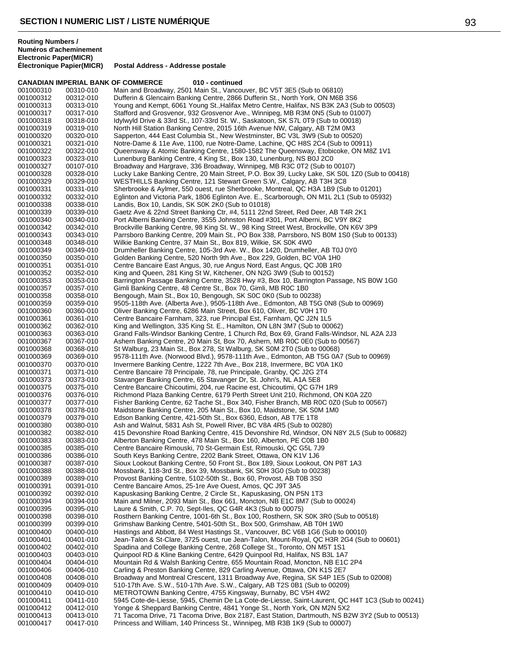|                        | <b>CANADIAN IMPERIAL BANK OF COMMERCE</b> | 010 - continued                                                                                                                                                  |
|------------------------|-------------------------------------------|------------------------------------------------------------------------------------------------------------------------------------------------------------------|
| 001000310              | 00310-010                                 | Main and Broadway, 2501 Main St., Vancouver, BC V5T 3E5 (Sub to 06810)                                                                                           |
| 001000312              | 00312-010                                 | Dufferin & Glencairn Banking Centre, 2866 Dufferin St., North York, ON M6B 3S6                                                                                   |
| 001000313              | 00313-010                                 | Young and Kempt, 6061 Young St., Halifax Metro Centre, Halifax, NS B3K 2A3 (Sub to 00503)                                                                        |
| 001000317              | 00317-010                                 | Stafford and Grosvenor, 932 Grosvenor Ave., Winnipeg, MB R3M 0N5 (Sub to 01007)                                                                                  |
| 001000318              | 00318-010                                 | Idylwyld Drive & 33rd St., 107-33rd St. W., Saskatoon, SK S7L 0T9 (Sub to 00018)                                                                                 |
| 001000319              | 00319-010                                 | North Hill Station Banking Centre, 2015 16th Avenue NW, Calgary, AB T2M 0M3                                                                                      |
| 001000320              | 00320-010                                 | Sapperton, 444 East Columbia St., New Westminster, BC V3L 3W9 (Sub to 00520)                                                                                     |
| 001000321              | 00321-010                                 | Notre-Dame & 11e Ave, 1100, rue Notre-Dame, Lachine, QC H8S 2C4 (Sub to 00911)                                                                                   |
| 001000322              | 00322-010                                 | Queensway & Atomic Banking Centre, 1580-1582 The Queensway, Etobicoke, ON M8Z 1V1                                                                                |
| 001000323<br>001000327 | 00323-010<br>00107-010                    | Lunenburg Banking Centre, 4 King St., Box 130, Lunenburg, NS B0J 2C0<br>Broadway and Hargrave, 336 Broadway, Winnipeg, MB R3C 0T2 (Sub to 00107)                 |
| 001000328              | 00328-010                                 | Lucky Lake Banking Centre, 20 Main Street, P.O. Box 39, Lucky Lake, SK S0L 1Z0 (Sub to 00418)                                                                    |
| 001000329              | 00329-010                                 | WESTHILLS Banking Centre, 121 Stewart Green S.W., Calgary, AB T3H 3C8                                                                                            |
| 001000331              | 00331-010                                 | Sherbrooke & Aylmer, 550 ouest, rue Sherbrooke, Montreal, QC H3A 1B9 (Sub to 01201)                                                                              |
| 001000332              | 00332-010                                 | Eglinton and Victoria Park, 1806 Eglinton Ave. E., Scarborough, ON M1L 2L1 (Sub to 05932)                                                                        |
| 001000338              | 00338-010                                 | Landis, Box 10, Landis, SK S0K 2K0 (Sub to 01018)                                                                                                                |
| 001000339              | 00339-010                                 | Gaetz Ave & 22nd Street Banking Ctr, #4, 5111 22nd Street, Red Deer, AB T4R 2K1                                                                                  |
| 001000340              | 00340-010                                 | Port Alberni Banking Centre, 3555 Johnston Road #301, Port Alberni, BC V9Y 8K2                                                                                   |
| 001000342              | 00342-010                                 | Brockville Banking Centre, 98 King St. W., 98 King Street West, Brockville, ON K6V 3P9                                                                           |
| 001000343              | 00343-010                                 | Parrsboro Banking Centre, 209 Main St., PO Box 338, Parrsboro, NS B0M 1S0 (Sub to 00133)                                                                         |
| 001000348              | 00348-010                                 | Wilkie Banking Centre, 37 Main St., Box 819, Wilkie, SK S0K 4W0                                                                                                  |
| 001000349              | 00349-010                                 | Drumheller Banking Centre, 105-3rd Ave. W., Box 1420, Drumheller, AB T0J 0Y0                                                                                     |
| 001000350              | 00350-010                                 | Golden Banking Centre, 520 North 9th Ave., Box 229, Golden, BC V0A 1H0                                                                                           |
| 001000351              | 00351-010                                 | Centre Bancaire East Angus, 30, rue Angus Nord, East Angus, QC J0B 1R0                                                                                           |
| 001000352              | 00352-010                                 | King and Queen, 281 King St W, Kitchener, ON N2G 3W9 (Sub to 00152)                                                                                              |
| 001000353              | 00353-010                                 | Barrington Passage Banking Centre, 3528 Hwy #3, Box 10, Barrington Passage, NS B0W 1G0                                                                           |
| 001000357              | 00357-010                                 | Gimli Banking Centre, 48 Centre St., Box 70, Gimli, MB R0C 1B0                                                                                                   |
| 001000358              | 00358-010                                 | Bengough, Main St., Box 10, Bengough, SK S0C 0K0 (Sub to 00238)<br>9505-118th Ave. (Alberta Ave.), 9505-118th Ave., Edmonton, AB T5G 0N8 (Sub to 00969)          |
| 001000359<br>001000360 | 00359-010<br>00360-010                    | Oliver Banking Centre, 6286 Main Street, Box 610, Oliver, BC V0H 1T0                                                                                             |
| 001000361              | 00361-010                                 | Centre Bancaire Farnham, 323, rue Principal Est, Farnham, QC J2N 1L5                                                                                             |
| 001000362              | 00362-010                                 | King and Wellington, 335 King St. E., Hamilton, ON L8N 3M7 (Sub to 00062)                                                                                        |
| 001000363              | 00363-010                                 | Grand Falls-Windsor Banking Centre, 1 Church Rd, Box 69, Grand Falls-Windsor, NL A2A 2J3                                                                         |
| 001000367              | 00367-010                                 | Ashern Banking Centre, 20 Main St, Box 70, Ashern, MB R0C 0E0 (Sub to 00567)                                                                                     |
| 001000368              | 00368-010                                 | St Walburg, 23 Main St., Box 278, St Walburg, SK S0M 2T0 (Sub to 00068)                                                                                          |
| 001000369              | 00369-010                                 | 9578-111th Ave. (Norwood Blvd.), 9578-111th Ave., Edmonton, AB T5G 0A7 (Sub to 00969)                                                                            |
| 001000370              | 00370-010                                 | Invermere Banking Centre, 1222 7th Ave., Box 218, Invermere, BC V0A 1K0                                                                                          |
| 001000371              | 00371-010                                 | Centre Bancaire 78 Principale, 78, rue Principale, Granby, QC J2G 2T4                                                                                            |
| 001000373<br>001000375 | 00373-010                                 | Stavanger Banking Centre, 65 Stavanger Dr, St. John's, NL A1A 5E8<br>Centre Bancaire Chicoutimi, 204, rue Racine est, Chicoutimi, QC G7H 1R9                     |
| 001000376              | 00375-010<br>00376-010                    | Richmond Plaza Banking Centre, 6179 Perth Street Unit 210, Richmond, ON K0A 2Z0                                                                                  |
| 001000377              | 00377-010                                 | Fisher Banking Centre, 62 Tache St., Box 340, Fisher Branch, MB ROC 0Z0 (Sub to 00567)                                                                           |
| 001000378              | 00378-010                                 | Maidstone Banking Centre, 205 Main St., Box 10, Maidstone, SK S0M 1M0                                                                                            |
| 001000379              | 00379-010                                 | Edson Banking Centre, 421-50th St., Box 6360, Edson, AB T7E 1T8                                                                                                  |
| 001000380              | 00380-010                                 | Ash and Walnut, 5831 Ash St, Powell River, BC V8A 4R5 (Sub to 00280)                                                                                             |
| 001000382              | 00382-010                                 | 415 Devonshire Road Banking Centre, 415 Devonshire Rd, Windsor, ON N8Y 2L5 (Sub to 00682)                                                                        |
| 001000383              | 00383-010                                 | Alberton Banking Centre, 478 Main St., Box 160, Alberton, PE C0B 1B0                                                                                             |
| 001000385              | 00385-010                                 | Centre Bancaire Rimouski, 70 St-Germain Est, Rimouski, QC G5L 7J9                                                                                                |
| 001000386              | 00386-010                                 | South Keys Banking Centre, 2202 Bank Street, Ottawa, ON K1V 1J6                                                                                                  |
| 001000387              | 00387-010<br>00388-010                    | Sioux Lookout Banking Centre, 50 Front St., Box 189, Sioux Lookout, ON P8T 1A3                                                                                   |
| 001000388<br>001000389 | 00389-010                                 | Mossbank, 118-3rd St., Box 39, Mossbank, SK S0H 3G0 (Sub to 00238)<br>Provost Banking Centre, 5102-50th St., Box 60, Provost, AB T0B 3S0                         |
| 001000391              | 00391-010                                 | Centre Bancaire Amos, 25-1re Ave Ouest, Amos, QC J9T 3A5                                                                                                         |
| 001000392              | 00392-010                                 | Kapuskasing Banking Centre, 2 Circle St., Kapuskasing, ON P5N 1T3                                                                                                |
| 001000394              | 00394-010                                 | Main and Milner, 2093 Main St., Box 661, Moncton, NB E1C 8M7 (Sub to 00024)                                                                                      |
| 001000395              | 00395-010                                 | Laure & Smith, C.P. 70, Sept-Iles, QC G4R 4K3 (Sub to 00075)                                                                                                     |
| 001000398              | 00398-010                                 | Rosthern Banking Centre, 1001-6th St., Box 100, Rosthern, SK S0K 3R0 (Sub to 00518)                                                                              |
| 001000399              | 00399-010                                 | Grimshaw Banking Centre, 5401-50th St., Box 500, Grimshaw, AB T0H 1W0                                                                                            |
| 001000400              | 00400-010                                 | Hastings and Abbott, 84 West Hastings St., Vancouver, BC V6B 1G6 (Sub to 00010)                                                                                  |
| 001000401              | 00401-010                                 | Jean-Talon & St-Clare, 3725 ouest, rue Jean-Talon, Mount-Royal, QC H3R 2G4 (Sub to 00601)                                                                        |
| 001000402              | 00402-010                                 | Spadina and College Banking Centre, 268 College St., Toronto, ON M5T 1S1                                                                                         |
| 001000403              | 00403-010                                 | Quinpool RD & Kline Banking Centre, 6429 Quinpool Rd, Halifax, NS B3L 1A7                                                                                        |
| 001000404              | 00404-010                                 | Mountain Rd & Walsh Banking Centre, 655 Mountain Road, Moncton, NB E1C 2P4                                                                                       |
| 001000406<br>001000408 | 00406-010<br>00408-010                    | Carling & Preston Banking Centre, 829 Carling Avenue, Ottawa, ON K1S 2E7<br>Broadway and Montreal Crescent, 1311 Broadway Ave, Regina, SK S4P 1E5 (Sub to 02008) |
| 001000409              | 00409-010                                 | 510-17th Ave. S.W., 510-17th Ave. S.W., Calgary, AB T2S 0B1 (Sub to 00209)                                                                                       |
| 001000410              | 00410-010                                 | METROTOWN Banking Centre, 4755 Kingsway, Burnaby, BC V5H 4W2                                                                                                     |
| 001000411              | 00411-010                                 | 5945 Cote-de-Liesse, 5945, Chemin De La Cote-de-Liesse, Saint-Laurent, QC H4T 1C3 (Sub to 00241)                                                                 |
| 001000412              | 00412-010                                 | Yonge & Sheppard Banking Centre, 4841 Yonge St., North York, ON M2N 5X2                                                                                          |
| 001000413              | 00413-010                                 | 71 Tacoma Drive, 71 Tacoma Drive, Box 2187, East Station, Dartmouth, NS B2W 3Y2 (Sub to 00513)                                                                   |
| 001000417              | 00417-010                                 | Princess and William, 140 Princess St., Winnipeg, MB R3B 1K9 (Sub to 00007)                                                                                      |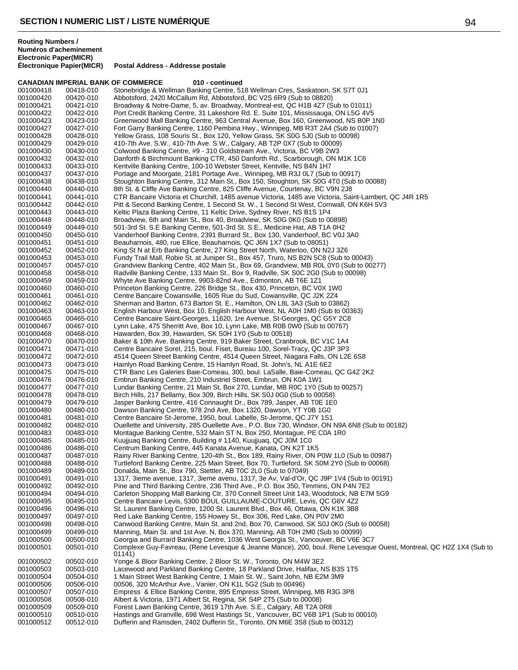| <b>Routing Numbers /</b><br><b>Electronic Paper(MICR)</b> | Numéros d'acheminement    |                                                                                                        |
|-----------------------------------------------------------|---------------------------|--------------------------------------------------------------------------------------------------------|
|                                                           | Électronique Papier(MICR) | Postal Address - Addresse postale                                                                      |
|                                                           |                           | <b>CANADIAN IMPERIAL BANK OF COMMERCE</b><br>010 - continued                                           |
| 001000418                                                 | 00418-010                 | Stonebridge & Wellman Banking Centre, 518 Wellman Cres, Saskatoon, SK S7T 0J1                          |
| 001000420                                                 | 00420-010                 | Abbotsford, 2420 McCallum Rd, Abbotsford, BC V2S 6R9 (Sub to 08820)                                    |
| 001000421                                                 | 00421-010                 | Broadway & Notre-Dame, 5, av. Broadway, Montreal-est, QC H1B 4Z7 (Sub to 01011)                        |
| 001000422                                                 | 00422-010                 | Port Credit Banking Centre, 31 Lakeshore Rd. E. Suite 101, Mississauga, ON L5G 4V5                     |
| 001000423                                                 | 00423-010                 | Greenwood Mall Banking Centre, 963 Central Avenue, Box 160, Greenwood, NS B0P 1N0                      |
| 001000427                                                 | 00427-010                 | Fort Garry Banking Centre, 1160 Pembina Hwy., Winnipeg, MB R3T 2A4 (Sub to 01007)                      |
| 001000428                                                 | 00428-010                 | Yellow Grass, 108 Souris St., Box 120, Yellow Grass, SK S0G 5J0 (Sub to 00098)                         |
| 001000429                                                 | 00429-010                 | 410-7th Ave. S.W., 410-7th Ave. S.W., Calgary, AB T2P 0X7 (Sub to 00009)                               |
| 001000430                                                 | 00430-010                 | Colwood Banking Centre, #9 - 310 Goldstream Ave., Victoria, BC V9B 2W3                                 |
| 001000432                                                 | 00432-010                 | Danforth & Birchmount Banking CTR, 450 Danforth Rd., Scarborough, ON M1K 1C6                           |
| 001000433                                                 | 00433-010                 | Kentville Banking Centre, 100-10 Webster Street, Kentville, NS B4N 1H7                                 |
| 001000437                                                 | 00437-010                 | Portage and Moorgate, 2181 Portage Ave., Winnipeg, MB R3J 0L7 (Sub to 00917)                           |
| 001000438                                                 | 00438-010                 | Stoughton Banking Centre, 312 Main St., Box 150, Stoughton, SK S0G 4T0 (Sub to 00088)                  |
| 001000440                                                 | 00440-010                 | 8th St. & Cliffe Ave Banking Centre, 825 Cliffe Avenue, Courtenay, BC V9N 2J8                          |
| 001000441                                                 | 00441-010                 | CTR Bancaire Victoria et Churchill, 1485 avenue Victoria, 1485 ave Victoria, Saint-Lambert, QC J4R 1R5 |
| 001000442                                                 | 00442-010                 | Pitt & Second Banking Centre, 1 Second St. W., 1 Second St West, Cornwall, ON K6H 5V3                  |
| 001000443                                                 | 00443-010                 | Keltic Plaza Banking Centre, 11 Keltic Drive, Sydney River, NS B1S 1P4                                 |
| 001000448                                                 | 00448-010                 | Broadview, 6th and Main St., Box 40, Broadview, SK S0G 0K0 (Sub to 00898)                              |
| 001000449                                                 | 00449-010                 | 501-3rd St. S.E Banking Centre, 501-3rd St. S.E., Medicine Hat, AB T1A 0H2                             |
| 001000450                                                 | 00450-010                 | Vanderhoof Banking Centre, 2391 Burrard St., Box 130, Vanderhoof, BC V0J 3A0                           |
| 001000451                                                 | 00451-010                 | Beauharnois, 480, rue Ellice, Beauharnois, QC J6N 1X7 (Sub to 08051)                                   |
| 001000452                                                 | 00452-010                 | King St N at Erb Banking Centre, 27 King Street North, Waterloo, ON N2J 3Z6                            |
| 001000453                                                 | 00453-010                 | Fundy Trail Mall, Robie St. at Juniper St., Box 457, Truro, NS B2N 5C8 (Sub to 00043)                  |
| 001000457                                                 | 00457-010                 | Grandview Banking Centre, 402 Main St., Box 69, Grandview, MB ROL 0Y0 (Sub to 00277)                   |
| 001000458                                                 | 00458-010                 | Radville Banking Centre, 133 Main St., Box 9, Radville, SK S0C 2G0 (Sub to 00098)                      |
| 001000459                                                 | 00459-010                 | Whyte Ave Banking Centre, 9903-82nd Ave., Edmonton, AB T6E 1Z1                                         |

001000440 00440-010 8th St. & Cliffe Ave Banking Centre, 825 Cliffe Avenue, Courtenay, BC V9N 2J8 001000441 00441-010 CTR Bancaire Victoria et Churchill, 1485 avenue Victoria, 1485 ave Victoria, Saint-Lambert, QC J4R 1R5 001000442 00442-010 Pitt & Second Banking Centre, 1 Second St. W., 1 Second St West, Cornwall, ON K6H 5V3 001000443 00443-010 Keltic Plaza Banking Centre, 11 Keltic Drive, Sydney River, NS B1S 1P4 001000448 00448-010 Broadview, 6th and Main St., Box 40, Broadview, SK S0G 0K0 (Sub to 00898) 001000449 00449-010 501-3rd St. S.E Banking Centre, 501-3rd St. S.E., Medicine Hat, AB T1A 0H2 001000450 00450-010 Vanderhoof Banking Centre, 2391 Burrard St., Box 130, Vanderhoof, BC V0J 3A0 001000451 00451-010 Beauharno<br>001000452 00452-010 King St N a 001000452 00452-010 King St N at Erb Banking Centre, 27 King Street North, Waterloo, ON N2J 3Z6 001000453 00453-010 Fundy Trail Mall, Robie St. at Juniper St., Box 457, Truro, NS B2N 5C8 (Sub to 00043) 001000457 00457-010 Grandview Banking Centre, 402 Main St., Box 69, Grandview, MB R0L 0Y0 (Sub to 00277) 001000458 00458-010 Radville Banking Centre, 133 Main St., Box 9, Radville, SK S0C 2G0 (Sub to 00098) 001000459 00459-010 Whyte Ave<br>001000460 00460-010 Princeton E Princeton Banking Centre, 226 Bridge St., Box 430, Princeton, BC V0X 1W0 001000461 00461-010 Centre Bancaire Cowansville, 1605 Rue du Sud, Cowansville, QC J2K 2Z4<br>001000462 00462-010 Sherman and Barton, 673 Barton St. E., Hamilton, ON L8L 3A3 (Sub to 038 001000462 00462-010 Sherman and Barton, 673 Barton St. E., Hamilton, ON L8L 3A3 (Sub to 03862) English Harbour West, Box 10, English Harbour West, NL A0H 1M0 (Sub to 00363) 001000465 00465-010 Centre Bancaire Saint-Georges, 11620, 1re Avenue, St-Georges, QC G5Y 2C8<br>001000467 00467-010 Lynn Lake, 475 Sherritt Ave, Box 10, Lynn Lake, MB R0B 0W0 (Sub to 00767) 001000467 00467-010 Lynn Lake, 475 Sherritt Ave, Box 10, Lynn Lake, MB R0B 0W0 (Sub to 00767)<br>001000468 00468-010 Hawarden, Box 39, Hawarden, SK S0H 1Y0 (Sub to 00518) 001000468 00468-010 Hawarden, Box 39, Hawarden, SK S0H 1Y0 (Sub to 00518) 001000470 00470-010 Baker & 10th Ave. Banking Centre, 919 Baker Street, Cranbrook, BC V1C 1A4<br>001000471 00471-010 Centre Bancaire Sorel, 215, boul, Fiset, Bureau 100, Sorel-Tracy, OC J3P 3P3 001000471 00471-010 Centre Bancaire Sorel, 215, boul. Fiset, Bureau 100, Sorel-Tracy, QC J3P 3P3 001000472 00472-010 4514 Queen Street Banking Centre, 4514 Queen Street, Niagara Falls, ON L2E 6S8<br>001000473 00473-010 Hamlyn Road Banking Centre, 15 Hamlyn Road, St. John's, NL A1E 6E2 Hamlyn Road Banking Centre, 15 Hamlyn Road, St. John's, NL A1E 6E2 001000475 00475-010 CTR Banc Les Galeries Baie-Comeau, 300, boul. LaSalle, Baie-Comeau, QC G4Z 2K2<br>001000476 00476-010 Embrun Banking Centre, 210 Industriel Street, Embrun, ON K0A 1W1 001000476 00476-010 Embrun Banking Centre, 210 Industriel Street, Embrun, ON K0A 1W1<br>001000477 00477-010 Lundar Banking Centre, 21 Main St. Box 270, Lundar, MB ROC 1Y0 (3 001000477 00477-010 Lundar Banking Centre, 21 Main St, Box 270, Lundar, MB R0C 1Y0 (Sub to 00257)<br>001000478 00478-010 Birch Hills, 217 Bellamy, Box 309, Birch Hills, SK S0J 0G0 (Sub to 00058) 001000478 00478-010 Birch Hills, 217 Bellamy, Box 309, Birch Hills, SK S0J 0G0 (Sub to 00058) Jasper Banking Centre, 416 Connaught Dr., Box 789, Jasper, AB T0E 1E0 001000480 00480-010 Dawson Banking Centre, 978 2nd Ave, Box 1320, Dawson, YT Y0B 1G0<br>001000481 00481-010 Centre Bancaire St-Jerome, 1950, boul. Labelle, St-Jerome, QC J7Y 1S1 Centre Bancaire St-Jerome, 1950, boul. Labelle, St-Jerome, QC J7Y 1S1 001000482 00482-010 Ouellette and University, 285 Ouellette Ave., P.O. Box 730, Windsor, ON N9A 6N8 (Sub to 00182)<br>001000483 00483-010 Montague Banking Centre, 532 Main ST N, Box 250, Montague, PE C0A 1R0 001000483 00483-010 Montague Banking Centre, 532 Main ST N, Box 250, Montague, PE C0A 1R0<br>001000485 00485-010 Kuujiuag Banking Centre. Building # 1140. Kuujiuag. QC J0M 1C0 Kuujjuaq Banking Centre, Building # 1140, Kuujjuaq, QC J0M 1C0 001000486 00486-010 Centrum Banking Centre, 445 Kanata Avenue, Kanata, ON K2T 1K5<br>001000487 00487-010 Rainy River Banking Centre, 120-4th St., Box 189, Rainy River, ON F Rainy River Banking Centre, 120-4th St., Box 189, Rainy River, ON P0W 1L0 (Sub to 00987) 001000488 00488-010 Turtleford Banking Centre, 225 Main Street, Box 70, Turtleford, SK S0M 2Y0 (Sub to 00068)<br>001000489 00489-010 Donalda, Main St., Box 790, Stettler, AB T0C 2L0 (Sub to 07049) 001000489 00489-010 Donalda, Main St., Box 790, Stettler, AB T0C 2L0 (Sub to 07049) 1317, 3ieme avenue, 1317, 3ieme avenu, 1317, 3e Av, Val-d'Or, QC J9P 1V4 (Sub to 00191) 001000492 00492-010 Pine and Third Banking Centre, 236 Third Ave., P.O. Box 350, Timmins, ON P4N 7E2<br>001000494 00494-010 Carleton Shopping Mall Banking Ctr, 370 Connell Street Unit 143, Woodstock, NB E7I 001000494 00494-010 Carleton Shopping Mall Banking Ctr, 370 Connell Street Unit 143, Woodstock, NB E7M 5G9<br>001000495 00495-010 Centre Bancaire Levis, 5300 BOUL GUILLAUME-COUTURE, Levis, QC G6V 4Z2 001000495 00495-010 Centre Bancaire Levis, 5300 BOUL GUILLAUME-COUTURE, Levis, QC G6V 4Z2<br>001000496 00496-010 St. Laurent Banking Centre. 1200 St. Laurent Blvd.. Box 46. Ottawa. ON K1K 3B8 001000496 00496-010 St. Laurent Banking Centre, 1200 St. Laurent Blvd., Box 46, Ottawa, ON K1K 3B8<br>001000497 00497-010 Red Lake Banking Centre, 155 Howey St., Box 306, Red Lake, ON P0V 2M0 001000497 00497-010 Red Lake Banking Centre, 155 Howey St., Box 306, Red Lake, ON P0V 2M0<br>001000498 00498-010 Canwood Banking Centre, Main St. and 2nd, Box 70, Canwood, SK S0J 0K0 001000498 00498-010 Canwood Banking Centre, Main St. and 2nd, Box 70, Canwood, SK S0J 0K0 (Sub to 00058)<br>001000499 00499-010 Manning, Main St. and 1st Ave. N, Box 370, Manning, AB T0H 2M0 (Sub to 00099) Manning, Main St. and 1st Ave. N, Box 370, Manning, AB T0H 2M0 (Sub to 00099) 001000500 00500-010 Georgia and Burrard Banking Centre, 1036 West Georgia St., Vancouver, BC V6E 3C7<br>001000501 00501-010 Complexe Guy-Favreau, (Rene Levesque & Jeanne Mance), 200, boul. Rene Levesque 001000501 00501-010 Complexe Guy-Favreau, (Rene Levesque & Jeanne Mance), 200, boul. Rene Levesque Ouest, Montreal, QC H2Z 1X4 (Sub to 01141) 001000502 00502-010 Yonge & Bloor Banking Centre, 2 Bloor St. W., Toronto, ON M4W 3E2 001000503 00503-010 Lacewood and Parkland Banking Centre, 18 Parkland Drive, Halifax, NS B3S 1T5 001000504 00504-010 1 Main Street West Banking Centre, 1 Main St. W., Saint John, NB E2M 3M9 001000506 00506-010 00506, 320 McArthur Ave., Vanier, ON K1L 5G2 (Sub to 00496) 001000507 00507-010 Empress & Ellice Banking Centre, 895 Empress Street, Winnipeg, MB R3G 3P8 001000508 00508-010 Albert & Victoria, 1971 Albert St, Regina, SK S4P 2T5 (Sub to 00008) 001000509 00509-010 Forest Lawn Banking Centre, 3619 17th Ave. S.E., Calgary, AB T2A 0R8 001000510 00510-010 Hastings and Granville, 698 West Hastings St., Vancouver, BC V6B 1P1 (Sub to 00010) 001000512 00512-010 Dufferin and Ramsden, 2402 Dufferin St., Toronto, ON M6E 3S8 (Sub to 00312)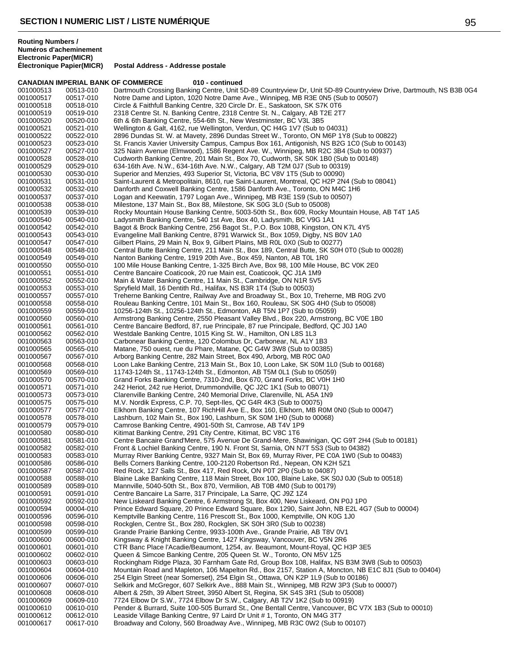**Routing Numbers / Numéros d'acheminement Electronic Paper(MICR) Postal Address - Addresse postale CANADIAN IMPERIAL BANK OF COMMERCE** 010 - continued<br>001000513 00513-010 Dartmouth Crossing Banking Centre. Unit 5 001000513 00513-010 Dartmouth Crossing Banking Centre, Unit 5D-89 Countryview Dr, Unit 5D-89 Countryview Drive, Dartmouth, NS B3B 0G4<br>001000517 00517-010 Notre Dame and Lipton, 1020 Notre Dame Ave., Winnipeg, MB R3E 0N5 (S 001000517 00517-010 Notre Dame and Lipton, 1020 Notre Dame Ave., Winnipeg, MB R3E 0N5 (Sub to 00507)<br>001000518 00518-010 Circle & Faithfull Banking Centre. 320 Circle Dr. E.. Saskatoon. SK S7K 0T6

Circle & Faithfull Banking Centre, 320 Circle Dr. E., Saskatoon, SK S7K 0T6 001000519 00519-010 2318 Centre St. N. Banking Centre, 2318 Centre St. N., Calgary, AB T2E 2T7 001000520 00520-010 6th & 6th Banking Centre, 554-6th St., New Westminster, BC V3L 3B5 001000521 00521-010 Wellington & Galt, 4162, rue Wellington, Verdun, QC H4G 1V7 (Sub to 04031) 001000522 00522-010 2896 Dundas St. W. at Mavety, 2896 Dundas Street W., Toronto, ON M6P 1Y8 (Sub to 00822)<br>001000523 00523-010 St. Francis Xavier University Campus. Campus Box 161. Antigonish. NS B2G 1C0 (Sub to 001 St. Francis Xavier University Campus, Campus Box 161, Antigonish, NS B2G 1C0 (Sub to 00143) 001000527 00527-010 325 Nairn Avenue (Elmwood), 1586 Regent Ave. W., Winnipeg, MB R2C 3B4 (Sub to 00937)<br>001000528 00528-010 Cudworth Banking Centre, 201 Main St., Box 70, Cudworth, SK S0K 1B0 (Sub to 00148) 001000528 00528-010 Cudworth Banking Centre, 201 Main St., Box 70, Cudworth, SK S0K 1B0 (Sub to 00148) 001000529 00529-010 634-16th Ave. N.W., 634-16th Ave. N.W., Calgary, AB T2M 0J7 (Sub to 00319) 001000530 00530-010 Superior and Menzies, 493 Superior St, Victoria, BC V8V 1T5 (Sub to 00090) 001000531 00531-010 Saint-Laurent & Metropolitain, 8610, rue Saint-Laurent, Montreal, QC H2P 2N4 (Sub to 08041)<br>001000532 00532-010 Danforth and Coxwell Banking Centre, 1586 Danforth Ave., Toronto, ON M4C 1H6 001000532 00532-010 Danforth and Coxwell Banking Centre, 1586 Danforth Ave., Toronto, ON M4C 1H6<br>001000537 00537-010 Logan and Keewatin, 1797 Logan Ave., Winnipeg, MB R3E 1S9 (Sub to 00507) Logan and Keewatin, 1797 Logan Ave., Winnipeg, MB R3E 1S9 (Sub to 00507) 001000538 00538-010 Milestone, 137 Main St., Box 88, Milestone, SK S0G 3L0 (Sub to 05008) 001000539 00539-010 Rocky Mountain House Banking Centre, 5003-50th St., Box 609, Rocky Mountain House, AB T4T 1A5<br>001000540 00540-010 Ladysmith Banking Centre, 540 1st Ave, Box 40, Ladysmith, BC V9G 1A1 001000540 00540-010 Ladysmith Banking Centre, 540 1st Ave, Box 40, Ladysmith, BC V9G 1A1<br>001000542 00542-010 Bagot & Brock Banking Centre, 256 Bagot St., P.O. Box 1088, Kingston, C 001000542 00542-010 Bagot & Brock Banking Centre, 256 Bagot St., P.O. Box 1088, Kingston, ON K7L 4Y5 Evangeline Mall Banking Centre, 8791 Warwick St., Box 1059, Digby, NS B0V 1A0 001000547 00547-010 Gilbert Plains, 29 Main N, Box 9, Gilbert Plains, MB ROL 0X0 (Sub to 00277)<br>001000548 00548-010 Central Butte Banking Centre, 211 Main St., Box 189, Central Butte, SK S0H Central Butte Banking Centre, 211 Main St., Box 189, Central Butte, SK S0H 0T0 (Sub to 00028) 001000549 00549-010 Nanton Banking Centre, 1919 20th Ave., Box 459, Nanton, AB T0L 1R0 001000550 00550-010 100 Mile House Banking Centre, 1-325 Birch Ave, Box 98, 100 Mile House, BC V0K 2E0<br>001000551 00551-010 Centre Bancaire Coaticook. 20 rue Main est. Coaticook. QC J1A 1M9 Centre Bancaire Coaticook, 20 rue Main est, Coaticook, QC J1A 1M9 001000552 00552-010 Main & Water Banking Centre, 11 Main St., Cambridge, ON N1R 5V5 Spryfield Mall, 16 Dentith Rd., Halifax, NS B3R 1T4 (Sub to 00503) 001000557 00557-010 Treherne Banking Centre, Railway Ave and Broadway St., Box 10, Treherne, MB R0G 2V0<br>001000558 00558-010 Rouleau Banking Centre, 101 Main St., Box 160, Rouleau, SK S0G 4H0 (Sub to 05008) 001000558 00558-010 Rouleau Banking Centre, 101 Main St., Box 160, Rouleau, SK S0G 4H0 (Sub to 05008)<br>001000559 00559-010 10256-124th St., 10256-124th St., Edmonton, AB T5N 1P7 (Sub to 05059) 10256-124th St., 10256-124th St., Edmonton, AB T5N 1P7 (Sub to 05059) 001000560 00560-010 Armstrong Banking Centre, 2550 Pleasant Valley Blvd., Box 220, Armstrong, BC V0E 1B0<br>001000561 00561-010 Centre Bancaire Bedford, 87, rue Principale, 87 rue Principale, Bedford, QC J0J 1A0 001000561 00561-010 Centre Bancaire Bedford, 87, rue Principale, 87 rue Principale, Bedford, QC J0J 1A0<br>001000562 00562-010 Westdale Banking Centre, 1015 King St. W., Hamilton, ON L8S 1L3 001000562 00562-010 Westdale Banking Centre, 1015 King St. W., Hamilton, ON L8S 1L3<br>001000563 00563-010 Carbonear Banking Centre, 120 Colombus Dr, Carbonear, NL A1Y 1 001000563 00563-010 Carbonear Banking Centre, 120 Colombus Dr, Carbonear, NL A1Y 1B3<br>001000565 00565-010 Matane, 750 ouest, rue du Phare, Matane, QC G4W 3W8 (Sub to 0038 001000565 00565-010 Matane, 750 ouest, rue du Phare, Matane, QC G4W 3W8 (Sub to 00385) 001000567 00567-010 Arborg Banking Centre, 282 Main Street, Box 490, Arborg, MB R0C 0A0<br>001000568 00568-010 Loon Lake Banking Centre, 213 Main St., Box 10, Loon Lake, SK S0M 1 001000568 00568-010 Loon Lake Banking Centre, 213 Main St., Box 10, Loon Lake, SK S0M 1L0 (Sub to 00168)<br>001000569 00569-010 11743-124th St., 11743-124th St., Edmonton, AB T5M 0L1 (Sub to 05059) 001000569 00569-010 11743-124th St., 11743-124th St., Edmonton, AB T5M 0L1 (Sub to 05059)<br>001000570 00570-010 Grand Forks Banking Centre, 7310-2nd, Box 670, Grand Forks, BC V0H 1 001000570 00570-010 Grand Forks Banking Centre, 7310-2nd, Box 670, Grand Forks, BC V0H 1H0<br>001000571 00571-010 242 Heriot, 242 rue Heriot, Drummondville, QC J2C 1K1 (Sub to 08071) 001000571 00571-010 242 Heriot, 242 rue Heriot, Drummondville, QC J2C 1K1 (Sub to 08071) 001000573 00573-010 Clarenville Banking Centre, 240 Memorial Drive, Clarenville, NL A5A 1N9 M.V. Nordik Express, C.P. 70, Sept-Iles, QC G4R 4K3 (Sub to 00075) 001000577 00577-010 Elkhorn Banking Centre, 107 RichHill Ave E., Box 160, Elkhorn, MB R0M 0N0 (Sub to 00047)<br>001000578 00578-010 Lashburn, 102 Main St., Box 190, Lashburn, SK S0M 1H0 (Sub to 00068) 001000578 00578-010 Lashburn, 102 Main St., Box 190, Lashburn, SK S0M 1H0 (Sub to 00068) 001000579 00579-010 Camrose Banking Centre, 4901-50th St, Camrose, AB T4V 1P9 001000580 00580-010 Kitimat Banking Centre, 291 City Centre, Kitimat, BC V8C 1T6 Centre Bancaire Grand'Mere, 575 Avenue De Grand-Mere, Shawinigan, QC G9T 2H4 (Sub to 00181) 001000582 00582-010 Front & Lochiel Banking Centre, 190 N. Front St, Sarnia, ON N7T 5S3 (Sub to 04382) Murray River Banking Centre, 9327 Main St, Box 69, Murray River, PE C0A 1W0 (Sub to 00483) 001000586 00586-010 Bells Corners Banking Centre, 100-2120 Robertson Rd., Nepean, ON K2H 5Z1<br>001000587 00587-010 Red Rock, 127 Salls St., Box 417, Red Rock, ON P0T 2P0 (Sub to 04087) 001000587 00587-010 Red Rock, 127 Salls St., Box 417, Red Rock, ON P0T 2P0 (Sub to 04087) Blaine Lake Banking Centre, 118 Main Street, Box 100, Blaine Lake, SK S0J 0J0 (Sub to 00518) 001000589 00589-010 Mannville, 5040-50th St., Box 870, Vermilion, AB T0B 4M0 (Sub to 00179) 001000591 00591-010 Centre Bancaire La Sarre, 317 Principale, La Sarre, QC J92 1Z4<br>001000592 00592-010 New Liskeard Banking Centre, 6 Armstrong St, Box 400, New Lis 001000592 00592-010 New Liskeard Banking Centre, 6 Armstrong St, Box 400, New Liskeard, ON P0J 1P0<br>001000594 00004-010 Prince Edward Square, 20 Prince Edward Square, Box 1290, Saint John, NB E2L 4G 001000594 00004-010 Prince Edward Square, 20 Prince Edward Square, Box 1290, Saint John, NB E2L 4G7 (Sub to 00004)<br>001000596 00596-010 Kemptville Banking Centre, 116 Prescott St., Box 1000, Kemptville, ON K0G 1.I0 001000596 00596-010 Kemptville Banking Centre, 116 Prescott St., Box 1000, Kemptville, ON K0G 1J0<br>001000598 00598-010 Rockglen, Centre St., Box 280, Rockglen, SK S0H 3R0 (Sub to 00238) 001000598 00598-010 Rockglen, Centre St., Box 280, Rockglen, SK S0H 3R0 (Sub to 00238) 001000599 00599-010 Grande Prairie Banking Centre, 9933-100th Ave., Grande Prairie, AB T8V 0V1 001000600 00600-010 Kingsway & Knight Banking Centre, 1427 Kingsway, Vancouver, BC V5N 2R6<br>001000601 00601-010 CTR Banc Place l'Acadie/Beaumont, 1254, av. Beaumont, Mount-Royal, QC H 001000601 00601-010 CTR Banc Place l'Acadie/Beaumont, 1254, av. Beaumont, Mount-Royal, QC H3P 3E5<br>001000602 00602-010 Queen & Simcoe Banking Centre, 205 Queen St. W., Toronto, ON M5V 1Z5 001000602 00602-010 Queen & Simcoe Banking Centre, 205 Queen St. W., Toronto, ON M5V 1Z5 001000603 00603-010 Rockingham Ridge Plaza, 30 Farnham Gate Rd, Group Box 108, Halifax, NS B3M 3W8 (Sub to 00503)<br>001000604 00604-010 Mountain Road and Mapleton. 106 Mapelton Rd.. Box 2157. Station A. Moncton. NB E1C 8J1 ( Mountain Road and Mapleton, 106 Mapelton Rd., Box 2157, Station A, Moncton, NB E1C 8J1 (Sub to 00404) 001000606 00606-010 254 Elgin Street (near Somerset), 254 Elgin St., Ottawa, ON K2P 1L9 (Sub to 00186)<br>001000607 00607-010 Selkirk and McGregor, 607 Selkirk Ave., 888 Main St., Winnipeg, MB R2W 3P3 (Sub 001000607 00607-010 Selkirk and McGregor, 607 Selkirk Ave., 888 Main St., Winnipeg, MB R2W 3P3 (Sub to 00007)<br>001000608 00608-010 Albert & 25th. 39 Albert Street. 3950 Albert St. Regina. SK S4S 3R1 (Sub to 05008) 001000608 00608-010 Albert & 25th, 39 Albert Street, 3950 Albert St, Regina, SK S4S 3R1 (Sub to 05008)<br>001000609 00609-010 7724 Elbow Dr S.W., 7724 Elbow Dr S.W., Calgary, AB T2V 1K2 (Sub to 00919) 001000609 00609-010 7724 Elbow Dr S.W., 7724 Elbow Dr S.W., Calgary, AB T2V 1K2 (Sub to 00919)<br>001000610 00610-010 Pender & Burrard. Suite 100-505 Burrard St.. One Bentall Centre. Vancouver. B Pender & Burrard, Suite 100-505 Burrard St., One Bentall Centre, Vancouver, BC V7X 1B3 (Sub to 00010) 001000612 00612-010 Leaside Village Banking Centre, 97 Laird Dr Unit # 1, Toronto, ON M4G 3T7<br>001000617 00617-010 Broadway and Colony, 560 Broadway Ave., Winnipeg, MB R3C 0W2 (Sub to Broadway and Colony, 560 Broadway Ave., Winnipeg, MB R3C 0W2 (Sub to 00107)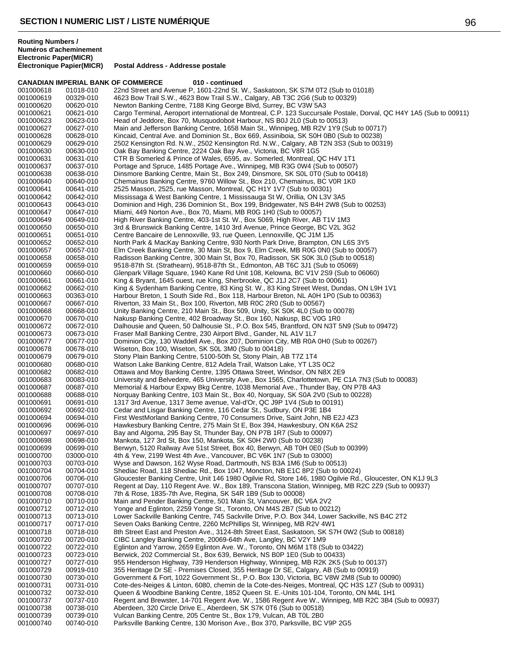|                        |                        | <b>CANADIAN IMPERIAL BANK OF COMMERCE</b><br>010 - continued                                                                                               |
|------------------------|------------------------|------------------------------------------------------------------------------------------------------------------------------------------------------------|
| 001000618              | 01018-010              | 22nd Street and Avenue P, 1601-22nd St. W., Saskatoon, SK S7M 0T2 (Sub to 01018)                                                                           |
| 001000619              | 00329-010              | 4623 Bow Trail S.W., 4623 Bow Trail S.W., Calgary, AB T3C 2G6 (Sub to 00329)                                                                               |
| 001000620              | 00620-010              | Newton Banking Centre, 7188 King George Blvd, Surrey, BC V3W 5A3                                                                                           |
| 001000621              | 00621-010              | Cargo Terminal, Aeroport international de Montreal, C.P. 123 Succursale Postale, Dorval, QC H4Y 1A5 (Sub to 00911)                                         |
| 001000623              | 00623-010              | Head of Jeddore, Box 70, Musquodoboit Harbour, NS B0J 2L0 (Sub to 00513)                                                                                   |
| 001000627              | 00627-010              | Main and Jefferson Banking Centre, 1658 Main St., Winnipeg, MB R2V 1Y9 (Sub to 00717)                                                                      |
| 001000628              | 00628-010              | Kincaid, Central Ave. and Dominion St., Box 669, Assiniboia, SK S0H 0B0 (Sub to 00238)                                                                     |
| 001000629              | 00629-010              | 2502 Kensington Rd. N.W., 2502 Kensington Rd. N.W., Calgary, AB T2N 3S3 (Sub to 00319)                                                                     |
| 001000630<br>001000631 | 00630-010<br>00631-010 | Oak Bay Banking Centre, 2224 Oak Bay Ave., Victoria, BC V8R 1G5<br>CTR B Somerled & Prince of Wales, 6595, av. Somerled, Montreal, QC H4V 1T1              |
| 001000637              | 00637-010              | Portage and Spruce, 1485 Portage Ave., Winnipeg, MB R3G 0W4 (Sub to 00507)                                                                                 |
| 001000638              | 00638-010              | Dinsmore Banking Centre, Main St., Box 249, Dinsmore, SK S0L 0T0 (Sub to 00418)                                                                            |
| 001000640              | 00640-010              | Chemainus Banking Centre, 9760 Willow St., Box 210, Chemainus, BC V0R 1K0                                                                                  |
| 001000641              | 00641-010              | 2525 Masson, 2525, rue Masson, Montreal, QC H1Y 1V7 (Sub to 00301)                                                                                         |
| 001000642              | 00642-010              | Mississaga & West Banking Centre, 1 Mississauga St W, Orillia, ON L3V 3A5                                                                                  |
| 001000643              | 00643-010              | Dominion and High, 236 Dominion St., Box 199, Bridgewater, NS B4H 2W8 (Sub to 00253)                                                                       |
| 001000647              | 00647-010              | Miami, 449 Norton Ave., Box 70, Miami, MB R0G 1H0 (Sub to 00057)                                                                                           |
| 001000649              | 00649-010              | High River Banking Centre, 403-1st St. W., Box 5069, High River, AB T1V 1M3                                                                                |
| 001000650              | 00650-010              | 3rd & Brunswick Banking Centre, 1410 3rd Avenue, Prince George, BC V2L 3G2                                                                                 |
| 001000651              | 00651-010              | Centre Bancaire de Lennoxville, 93, rue Queen, Lennoxville, QC J1M 1J5                                                                                     |
| 001000652              | 00652-010              | North Park & MacKay Banking Centre, 930 North Park Drive, Brampton, ON L6S 3Y5                                                                             |
| 001000657              | 00657-010              | Elm Creek Banking Centre, 30 Main St, Box 9, Elm Creek, MB R0G 0N0 (Sub to 00057)                                                                          |
| 001000658              | 00658-010              | Radisson Banking Centre, 300 Main St, Box 70, Radisson, SK S0K 3L0 (Sub to 00518)                                                                          |
| 001000659              | 00659-010              | 9518-87th St. (Strathearn), 9518-87th St., Edmonton, AB T6C 3J1 (Sub to 05069)                                                                             |
| 001000660              | 00660-010              | Glenpark Village Square, 1940 Kane Rd Unit 108, Kelowna, BC V1V 2S9 (Sub to 06060)                                                                         |
| 001000661              | 00661-010              | King & Bryant, 1645 ouest, rue King, Sherbrooke, QC J1J 2C7 (Sub to 00061)                                                                                 |
| 001000662              | 00662-010              | King & Sydenham Banking Centre, 83 King St. W., 83 King Street West, Dundas, ON L9H 1V1                                                                    |
| 001000663              | 00363-010              | Harbour Breton, 1 South Side Rd., Box 118, Harbour Breton, NL A0H 1P0 (Sub to 00363)                                                                       |
| 001000667<br>001000668 | 00667-010              | Riverton, 33 Main St., Box 100, Riverton, MB R0C 2R0 (Sub to 00567)                                                                                        |
| 001000670              | 00668-010<br>00670-010 | Unity Banking Centre, 210 Main St., Box 509, Unity, SK S0K 4L0 (Sub to 00078)<br>Nakusp Banking Centre, 402 Broadway St., Box 160, Nakusp, BC V0G 1R0      |
| 001000672              | 00672-010              | Dalhousie and Queen, 50 Dalhousie St., P.O. Box 545, Brantford, ON N3T 5N9 (Sub to 09472)                                                                  |
| 001000673              | 00673-010              | Fraser Mall Banking Centre, 230 Airport Blvd., Gander, NL A1V 1L7                                                                                          |
| 001000677              | 00677-010              | Dominion City, 130 Waddell Ave., Box 207, Dominion City, MB R0A 0H0 (Sub to 00267)                                                                         |
| 001000678              | 00678-010              | Wiseton, Box 100, Wiseton, SK S0L 3M0 (Sub to 00418)                                                                                                       |
| 001000679              | 00679-010              | Stony Plain Banking Centre, 5100-50th St, Stony Plain, AB T7Z 1T4                                                                                          |
| 001000680              | 00680-010              | Watson Lake Banking Centre, 812 Adela Trail, Watson Lake, YT L3S 0C2                                                                                       |
| 001000682              | 00682-010              | Ottawa and Moy Banking Centre, 1395 Ottawa Street, Windsor, ON N8X 2E9                                                                                     |
| 001000683              | 00083-010              | University and Belvedere, 465 University Ave., Box 1565, Charlottetown, PE C1A 7N3 (Sub to 00083)                                                          |
| 001000687              | 00687-010              | Memorial & Harbour Expwy Bkg Centre, 1038 Memorial Ave., Thunder Bay, ON P7B 4A3                                                                           |
| 001000688              | 00688-010              | Norquay Banking Centre, 103 Main St., Box 40, Norquay, SK S0A 2V0 (Sub to 00228)                                                                           |
| 001000691              | 00691-010              | 1317 3rd Avenue, 1317 3eme avenue, Val-d'Or, QC J9P 1V4 (Sub to 00191)                                                                                     |
| 001000692<br>001000694 | 00692-010<br>00694-010 | Cedar and Lisgar Banking Centre, 116 Cedar St., Sudbury, ON P3E 1B4<br>First WestMorland Banking Centre, 70 Consumers Drive, Saint John, NB E2J 4Z3        |
| 001000696              | 00696-010              | Hawkesbury Banking Centre, 275 Main St E, Box 394, Hawkesbury, ON K6A 2S2                                                                                  |
| 001000697              | 00697-010              | Bay and Algoma, 295 Bay St, Thunder Bay, ON P7B 1R7 (Sub to 00097)                                                                                         |
| 001000698              | 00698-010              | Mankota, 127 3rd St, Box 150, Mankota, SK S0H 2W0 (Sub to 00238)                                                                                           |
| 001000699              | 00699-010              | Berwyn, 5120 Railway Ave 51st Street, Box 40, Berwyn, AB T0H 0E0 (Sub to 00399)                                                                            |
| 001000700              | 03000-010              | 4th & Yew, 2199 West 4th Ave., Vancouver, BC V6K 1N7 (Sub to 03000)                                                                                        |
| 001000703              | 00703-010              | Wyse and Dawson, 162 Wyse Road, Dartmouth, NS B3A 1M6 (Sub to 00513)                                                                                       |
| 001000704              | 00704-010              | Shediac Road, 118 Shediac Rd., Box 1047, Moncton, NB E1C 8P2 (Sub to 00024)                                                                                |
| 001000706              | 00706-010              | Gloucester Banking Centre, Unit 146 1980 Ogilvie Rd, Store 146, 1980 Ogilvie Rd., Gloucester, ON K1J 9L3                                                   |
| 001000707              | 00707-010              | Regent at Day, 110 Regent Ave. W., Box 189, Transcona Station, Winnipeg, MB R2C 2Z9 (Sub to 00937)                                                         |
| 001000708              | 00708-010              | 7th & Rose, 1835-7th Ave, Regina, SK S4R 1B9 (Sub to 00008)                                                                                                |
| 001000710              | 00710-010              | Main and Pender Banking Centre, 501 Main St, Vancouver, BC V6A 2V2                                                                                         |
| 001000712              | 00712-010              | Yonge and Eglinton, 2259 Yonge St., Toronto, ON M4S 2B7 (Sub to 00212)                                                                                     |
| 001000713              | 00713-010              | Lower Sackville Banking Centre, 745 Sackville Drive, P.O. Box 344, Lower Sackville, NS B4C 2T2                                                             |
| 001000717              | 00717-010              | Seven Oaks Banking Centre, 2260 McPhillips St, Winnipeg, MB R2V 4W1                                                                                        |
| 001000718              | 00718-010              | 8th Street East and Preston Ave., 3124-8th Street East, Saskatoon, SK S7H 0W2 (Sub to 00818)                                                               |
| 001000720              | 00720-010              | CIBC Langley Banking Centre, 20069-64th Ave, Langley, BC V2Y 1M9                                                                                           |
| 001000722<br>001000723 | 00722-010<br>00723-010 | Eglinton and Yarrow, 2659 Eglinton Ave. W., Toronto, ON M6M 1T8 (Sub to 03422)<br>Berwick, 202 Commercial St., Box 639, Berwick, NS B0P 1E0 (Sub to 00433) |
| 001000727              | 00727-010              | 955 Henderson Highway, 739 Henderson Highway, Winnipeg, MB R2K 2K5 (Sub to 00137)                                                                          |
| 001000729              | 00919-010              | 355 Heritage Dr SE - Premises Closed, 355 Heritage Dr SE, Calgary, AB (Sub to 00919)                                                                       |
| 001000730              | 00730-010              | Government & Fort, 1022 Government St., P.O. Box 130, Victoria, BC V8W 2M8 (Sub to 00090)                                                                  |
| 001000731              | 00731-010              | Cote-des-Neiges & Linton, 6080, chemin de la Cote-des-Neiges, Montreal, QC H3S 1Z7 (Sub to 00931)                                                          |
| 001000732              | 00732-010              | Queen & Woodbine Banking Centre, 1852 Queen St. E.-Units 101-104, Toronto, ON M4L 1H1                                                                      |
| 001000737              | 00737-010              | Regent and Brewster, 14-701 Regent Ave. W., 1586 Regent Ave W., Winnipeg, MB R2C 3B4 (Sub to 00937)                                                        |
| 001000738              | 00738-010              | Aberdeen, 320 Circle Drive E., Aberdeen, SK S7K 0T6 (Sub to 00518)                                                                                         |
| 001000739              | 00739-010              | Vulcan Banking Centre, 205 Centre St., Box 179, Vulcan, AB TOL 2B0                                                                                         |
| 001000740              | 00740-010              | Parksville Banking Centre, 130 Morison Ave., Box 370, Parksville, BC V9P 2G5                                                                               |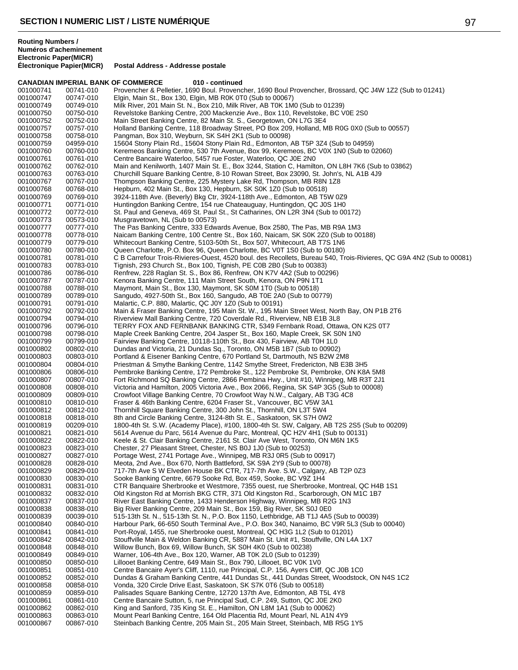**CANADIAN IMPERIAL BANK OF COMMERCE 010 - continued**

**Postal Address - Addresse postale** 

**Routing Numbers / Numéros d'acheminement Electronic Paper(MICR)**

001000741 00741-010 Provencher & Pelletier, 1690 Boul. Provencher, 1690 Boul Provencher, Brossard, QC J4W 1Z2 (Sub to 01241)<br>001000747 00747-010 Elgin, Main St., Box 130, Elgin, MB ROK 0T0 (Sub to 00067) 001000747 00747-010 Elgin, Main St., Box 130, Elgin, MB R0K 0T0 (Sub to 00067) Milk River, 201 Main St. N., Box 210, Milk River, AB T0K 1M0 (Sub to 01239) 001000750 00750-010 Revelstoke Banking Centre, 200 Mackenzie Ave., Box 110, Revelstoke, BC V0E 2S0<br>001000752 00752-010 Main Street Banking Centre, 82 Main St. S., Georgetown, ON L7G 3E4 Main Street Banking Centre, 82 Main St. S., Georgetown, ON L7G 3E4 001000757 00757-010 Holland Banking Centre, 118 Broadway Street, PO Box 209, Holland, MB R0G 0X0 (Sub to 00557)<br>001000758 00758-010 Pangman, Box 310, Weyburn, SK S4H 2K1 (Sub to 00098) 001000758 00758-010 Pangman, Box 310, Weyburn, SK S4H 2K1 (Sub to 00098) 15604 Stony Plain Rd., 15604 Stony Plain Rd., Edmonton, AB T5P 3Z4 (Sub to 04959) 001000760 00760-010 Keremeos Banking Centre, 530 7th Avenue, Box 99, Keremeos, BC V0X 1N0 (Sub to 02060)<br>001000761 00761-010 Centre Bancaire Waterloo, 5457 rue Foster, Waterloo, QC J0E 2N0 001000761 00761-010 Centre Bancaire Waterloo, 5457 rue Foster, Waterloo, QC J0E 2N0<br>001000762 00762-010 Main and Kenilworth, 1407 Main St. E., Box 3244, Station C, Hamilt 001000762 00762-010 Main and Kenilworth, 1407 Main St. E., Box 3244, Station C, Hamilton, ON L8H 7K6 (Sub to 03862)<br>001000763 00763-010 Churchill Square Banking Centre, 8-10 Rowan Street, Box 23090, St. John's, NL A1B 4J9 001000763 00763-010 Churchill Square Banking Centre, 8-10 Rowan Street, Box 23090, St. John's, NL A1B 4J9<br>001000767 00767-010 Thompson Banking Centre, 225 Mystery Lake Rd, Thompson, MB R8N 1Z8 001000767 00767-010 Thompson Banking Centre, 225 Mystery Lake Rd, Thompson, MB R8N 1Z8<br>001000768 00768-010 Hepburn, 402 Main St., Box 130, Hepburn, SK S0K 1Z0 (Sub to 00518) 001000768 00768-010 Hepburn, 402 Main St., Box 130, Hepburn, SK S0K 1Z0 (Sub to 00518) 3924-118th Ave. (Beverly) Bkg Ctr, 3924-118th Ave., Edmonton, AB T5W 0Z9 001000771 00771-010 Huntingdon Banking Centre, 154 rue Chateauguay, Huntingdon, QC J0S 1H0<br>001000772 00772-010 St. Paul and Geneva, 469 St. Paul St., St Catharines, ON L2R 3N4 (Sub to 00 001000772 00772-010 St. Paul and Geneva, 469 St. Paul St., St Catharines, ON L2R 3N4 (Sub to 00172)<br>001000773 00573-010 Musgravetown, NL (Sub to 00573) 001000773 00573-010 Musgravetown, NL (Sub to 00573) 001000777 00777-010 The Pas Banking Centre, 333 Edwards Avenue, Box 2580, The Pas, MB R9A 1M3<br>001000778 00778-010 Naicam Banking Centre, 100 Centre St., Box 160, Naicam, SK S0K 2Z0 (Sub to 00 Naicam Banking Centre, 100 Centre St., Box 160, Naicam, SK S0K 2Z0 (Sub to 00188) 001000779 00779-010 Whitecourt Banking Centre, 5103-50th St., Box 507, Whitecourt, AB T7S 1N6<br>001000780 00780-010 Queen Charlotte, P.O. Box 96, Queen Charlotte, BC V0T 1S0 (Sub to 00180) Queen Charlotte, P.O. Box 96, Queen Charlotte, BC V0T 1S0 (Sub to 00180) 001000781 00781-010 C B Carrefour Trois-Rivieres-Ouest, 4520 boul. des Recollets, Bureau 540, Trois-Rivieres, QC G9A 4N2 (Sub to 00081)<br>001000783 00783-010 Tignish, 293 Church St., Box 100, Tignish, PE C0B 2B0 (Sub to 0038 001000783 00783-010 Tignish, 293 Church St., Box 100, Tignish, PE C0B 2B0 (Sub to 00383) Renfrew, 228 Raglan St. S., Box 86, Renfrew, ON K7V 4A2 (Sub to 00296) 001000787 00787-010 Kenora Banking Centre, 111 Main Street South, Kenora, ON P9N 1T1 00788-010 Maymont, Main St., Box 130, Maymont, SK S0M 1T0 (Sub to 00518)<br>00789-010 Sangudo, 4927-50th St., Box 160, Sangudo, AB T0E 2A0 (Sub to 007 001000789 00789-010 Sangudo, 4927-50th St., Box 160, Sangudo, AB T0E 2A0 (Sub to 00779)<br>001000791 00791-010 Malartic, C.P. 880, Malartic, QC J0Y 1Z0 (Sub to 00191) 001000791 00791-010 Malartic, C.P. 880, Malartic, QC J0Y 1Z0 (Sub to 00191) Main & Fraser Banking Centre, 195 Main St. W., 195 Main Street West, North Bay, ON P1B 2T6 001000794 00794-010 Riverview Mall Banking Centre, 720 Coverdale Rd., Riverview, NB E1B 3L8 001000796 00796-010 TERRY FOX AND FERNBANK BANKING CTR, 5349 Fernbank Road, Ottawa, ON K2S 0T7<br>001000798 00798-010 Maple Creek Banking Centre, 204 Jasper St., Box 160, Maple Creek, SK S0N 1N0 001000798 00798-010 Maple Creek Banking Centre, 204 Jasper St., Box 160, Maple Creek, SK S0N 1N0<br>001000799 00799-010 Fairview Banking Centre, 10118-110th St., Box 430, Fairview, AB T0H 1L0 001000799 00799-010 Fairview Banking Centre, 10118-110th St., Box 430, Fairview, AB T0H 1L0<br>001000802 00802-010 Dundas and Victoria. 21 Dundas Sq., Toronto. ON M5B 1B7 (Sub to 00902 001000802 00802-010 Dundas and Victoria, 21 Dundas Sq., Toronto, ON M5B 1B7 (Sub to 00902) 001000803 00803-010 Portland & Eisener Banking Centre, 670 Portland St, Dartmouth, NS B2W 2M8<br>001000804 00804-010 Priestman & Smythe Banking Centre, 1142 Smythe Street, Fredericton, NB E3 001000804 00804-010 Priestman & Smythe Banking Centre, 1142 Smythe Street, Fredericton, NB E3B 3H5<br>001000806 00806-010 Pembroke Banking Centre, 172 Pembroke St., 122 Pembroke St, Pembroke, ON K8A 001000806 00806-010 Pembroke Banking Centre, 172 Pembroke St., 122 Pembroke St, Pembroke, ON K8A 5M8<br>001000807 00807-010 Fort Richmond SQ Banking Centre, 2866 Pembina Hwy., Unit #10, Winnipeg, MB R3T 2J1 001000807 00807-010 Fort Richmond SQ Banking Centre, 2866 Pembina Hwy., Unit #10, Winnipeg, MB R3T 2J1<br>001000808 00808-010 Victoria and Hamilton, 2005 Victoria Ave., Box 2066, Regina, SK S4P 3G5 (Sub to 00008) 001000808 00808-010 Victoria and Hamilton, 2005 Victoria Ave., Box 2066, Regina, SK S4P 3G5 (Sub to 00008)<br>001000809 00809-010 Crowfoot Village Banking Centre, 70 Crowfoot Way N.W., Calgary, AB T3G 4C8 001000809 00809-010 Crowfoot Village Banking Centre, 70 Crowfoot Way N.W., Calgary, AB T3G 4C8<br>001000810 00810-010 Fraser & 46th Banking Centre, 6204 Fraser St., Vancouver, BC V5W 3A1 Fraser & 46th Banking Centre, 6204 Fraser St., Vancouver, BC V5W 3A1 001000812 00812-010 Thornhill Square Banking Centre, 300 John St., Thornhill, ON L3T 5W4 001000818 00818-010 8th and Circle Banking Centre, 3124-8th St. E., Saskatoon, SK S7H 0W2 001000819 00209-010 1800-4th St. S.W. (Academy Place), #100, 1800-4th St. SW, Calgary, AB T2S 2S5 (Sub to 00209)<br>001000821 00821-010 5614 Avenue du Parc, 5614 Avenue du Parc, Montreal, QC H2V 4H1 (Sub to 00131) 001000821 00821-010 5614 Avenue du Parc, 5614 Avenue du Parc, Montreal, QC H2V 4H1 (Sub to 00131)<br>001000822 00822-010 Keele & St. Clair Banking Centre. 2161 St. Clair Ave West. Toronto. ON M6N 1K5 Keele & St. Clair Banking Centre, 2161 St. Clair Ave West, Toronto, ON M6N 1K5 001000823 00823-010 Chester, 27 Pleasant Street, Chester, NS B0J 1J0 (Sub to 00253) Portage West, 2741 Portage Ave., Winnipeg, MB R3J 0R5 (Sub to 00917) 001000828 00828-010 Meota, 2nd Ave., Box 670, North Battleford, SK S9A 2Y9 (Sub to 00078)<br>001000829 00829-010 717-7th Ave S W Elveden House BK CTR, 717-7th Ave. S.W., Calgary, *i* 001000829 00829-010 717-7th Ave S W Elveden House BK CTR, 717-7th Ave. S.W., Calgary, AB T2P 0Z3<br>001000830 00830-010 Sooke Banking Centre. 6679 Sooke Rd. Box 459. Sooke. BC V9Z 1H4 Sooke Banking Centre, 6679 Sooke Rd, Box 459, Sooke, BC V9Z 1H4 001000831 00831-010 CTR Banquaire Sherbrooke et Westmore, 7355 ouest, rue Sherbrooke, Montreal, QC H4B 1S1<br>001000832 00832-010 Old Kingston Rd at Morrish BKG CTR, 371 Old Kingston Rd., Scarborough, ON M1C 1B7 001000832 00832-010 Old Kingston Rd at Morrish BKG CTR, 371 Old Kingston Rd., Scarborough, ON M1C 1B7<br>001000837 00837-010 River East Banking Centre, 1433 Henderson Highway, Winnipeg, MB R2G 1N3 001000837 00837-010 River East Banking Centre, 1433 Henderson Highway, Winnipeg, MB R2G 1N3<br>001000838 00838-010 Big River Banking Centre, 209 Main St., Box 159, Big River, SK S0J 0E0 001000838 00838-010 Big River Banking Centre, 209 Main St., Box 159, Big River, SK S0J 0E0<br>001000839 00039-010 515-13th St. N., 515-13th St. N., P.O. Box 1150, Lethbridge, AB T1J 4A5 001000839 00039-010 515-13th St. N., 515-13th St. N., P.O. Box 1150, Lethbridge, AB T1J 4A5 (Sub to 00039) 001000840 00840-010 Harbour Park, 66-650 South Terminal Ave., P.O. Box 340, Nanaimo, BC V9R 5L3 (Sub to 00040)<br>001000841 00841-010 Port-Royal, 1455, rue Sherbrooke ouest, Montreal, QC H3G 1L2 (Sub to 01201) 001000841 00841-010 Port-Royal, 1455, rue Sherbrooke ouest, Montreal, QC H3G 1L2 (Sub to 01201)<br>001000842 00842-010 Stouffville Main & Weldon Banking CR, 5887 Main St. Unit #1, Stouffville, ON L4 001000842 00842-010 Stouffville Main & Weldon Banking CR, 5887 Main St. Unit #1, Stouffville, ON L4A 1X7<br>001000848 00848-010 Willow Bunch, Box 69, Willow Bunch, SK S0H 4K0 (Sub to 00238) 001000848 00848-010 Willow Bunch, Box 69, Willow Bunch, SK S0H 4K0 (Sub to 00238)<br>001000849 00849-010 Warner, 106-4th Ave., Box 120, Warner, AB T0K 2L0 (Sub to 0123 001000849 00849-010 Warner, 106-4th Ave., Box 120, Warner, AB T0K 2L0 (Sub to 01239) 001000850 00850-010 Lillooet Banking Centre, 649 Main St., Box 790, Lillooet, BC V0K 1V0<br>001000851 00851-010 Centre Bancaire Aver's Cliff. 1110. rue Principal. C.P. 156. Avers Cliff Centre Bancaire Ayer's Cliff, 1110, rue Principal, C.P. 156, Ayers Cliff, QC J0B 1C0 001000852 00852-010 Dundas & Graham Banking Centre, 441 Dundas St., 441 Dundas Street, Woodstock, ON N4S 1C2<br>001000858 00858-010 Vonda, 320 Circle Drive East, Saskatoon, SK S7K 0T6 (Sub to 00518) 001000858 00858-010 Vonda, 320 Circle Drive East, Saskatoon, SK S7K 0T6 (Sub to 00518) 001000859 00859-010 Palisades Square Banking Centre, 12720 137th Ave, Edmonton, AB T5L 4Y8<br>001000861 00861-010 Centre Bancaire Sutton, 5, rue Principal Sud, C.P. 249, Sutton, QC J0E 2K0 001000861 00861-010 Centre Bancaire Sutton, 5, rue Principal Sud, C.P. 249, Sutton, QC J0E 2K0<br>001000862 00862-010 King and Sanford, 735 King St. E., Hamilton, ON L8M 1A1 (Sub to 00062) King and Sanford, 735 King St. E., Hamilton, ON L8M 1A1 (Sub to 00062) 001000863 00863-010 Mount Pearl Banking Centre, 164 Old Placentia Rd, Mount Pearl, NL A1N 4Y9

Steinbach Banking Centre, 205 Main St., 205 Main Street, Steinbach, MB R5G 1Y5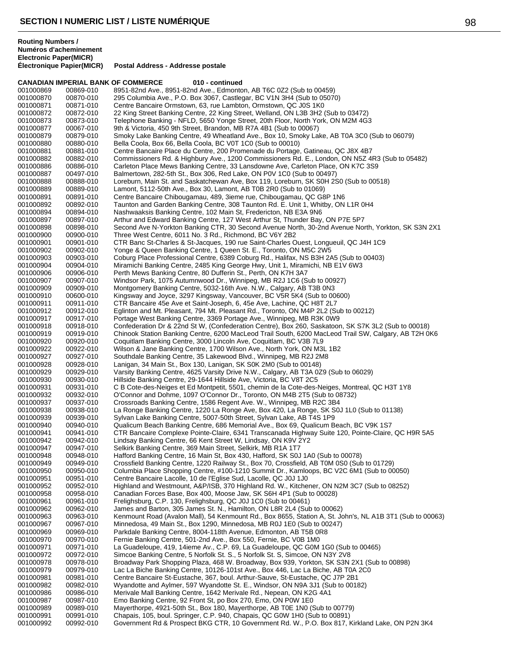**Électronique Papier(MICR) Postal Address - Addresse postale**

|                        |                        | <b>CANADIAN IMPERIAL BANK OF COMMERCE</b><br>010 - continued                                                                                                         |
|------------------------|------------------------|----------------------------------------------------------------------------------------------------------------------------------------------------------------------|
| 001000869              | 00869-010              | 8951-82nd Ave., 8951-82nd Ave., Edmonton, AB T6C 0Z2 (Sub to 00459)                                                                                                  |
| 001000870              | 00870-010              | 295 Columbia Ave., P.O. Box 3067, Castlegar, BC V1N 3H4 (Sub to 05070)                                                                                               |
| 001000871              | 00871-010              | Centre Bancaire Ormstown, 63, rue Lambton, Ormstown, QC J0S 1K0                                                                                                      |
| 001000872<br>001000873 | 00872-010              | 22 King Street Banking Centre, 22 King Street, Welland, ON L3B 3H2 (Sub to 03472)<br>Telephone Banking - NFLD, 5650 Yonge Street, 20th Floor, North York, ON M2M 4G3 |
| 001000877              | 00873-010<br>00067-010 | 9th & Victoria, 450 9th Street, Brandon, MB R7A 4B1 (Sub to 00067)                                                                                                   |
| 001000879              | 00879-010              | Smoky Lake Banking Centre, 49 Wheatland Ave., Box 10, Smoky Lake, AB T0A 3C0 (Sub to 06079)                                                                          |
| 001000880              | 00880-010              | Bella Coola, Box 66, Bella Coola, BC V0T 1C0 (Sub to 00010)                                                                                                          |
| 001000881              | 00881-010              | Centre Bancaire Place du Centre, 200 Promenade du Portage, Gatineau, QC J8X 4B7                                                                                      |
| 001000882              | 00882-010              | Commissioners Rd. & Highbury Ave., 1200 Commissioners Rd. E., London, ON N5Z 4R3 (Sub to 05482)                                                                      |
| 001000886              | 00886-010              | Carleton Place Mews Banking Centre, 33 Lansdowne Ave, Carleton Place, ON K7C 3S9                                                                                     |
| 001000887              | 00497-010              | Balmertown, 282-5th St., Box 306, Red Lake, ON P0V 1C0 (Sub to 00497)                                                                                                |
| 001000888              | 00888-010              | Loreburn, Main St. and Saskatchewan Ave, Box 119, Loreburn, SK S0H 2S0 (Sub to 00518)                                                                                |
| 001000889              | 00889-010              | Lamont, 5112-50th Ave., Box 30, Lamont, AB T0B 2R0 (Sub to 01069)                                                                                                    |
| 001000891<br>001000892 | 00891-010<br>00892-010 | Centre Bancaire Chibougamau, 489, 3ieme rue, Chibougamau, QC G8P 1N6<br>Taunton and Garden Banking Centre, 308 Taunton Rd. E. Unit 1, Whitby, ON L1R 0H4             |
| 001000894              | 00894-010              | Nashwaaksis Banking Centre, 102 Main St, Fredericton, NB E3A 9N6                                                                                                     |
| 001000897              | 00897-010              | Arthur and Edward Banking Centre, 127 West Arthur St, Thunder Bay, ON P7E 5P7                                                                                        |
| 001000898              | 00898-010              | Second Ave N-Yorkton Banking CTR, 30 Second Avenue North, 30-2nd Avenue North, Yorkton, SK S3N 2X1                                                                   |
| 001000900              | 00900-010              | Three West Centre, 6011 No. 3 Rd., Richmond, BC V6Y 2B2                                                                                                              |
| 001000901              | 00901-010              | CTR Banc St-Charles & St-Jacques, 190 rue Saint-Charles Ouest, Longueuil, QC J4H 1C9                                                                                 |
| 001000902              | 00902-010              | Yonge & Queen Banking Centre, 1 Queen St. E., Toronto, ON M5C 2W5                                                                                                    |
| 001000903              | 00903-010              | Coburg Place Professional Centre, 6389 Coburg Rd., Halifax, NS B3H 2A5 (Sub to 00403)                                                                                |
| 001000904              | 00904-010              | Miramichi Banking Centre, 2485 King George Hwy, Unit 1, Miramichi, NB E1V 6W3                                                                                        |
| 001000906              | 00906-010<br>00907-010 | Perth Mews Banking Centre, 80 Dufferin St., Perth, ON K7H 3A7                                                                                                        |
| 001000907<br>001000909 | 00909-010              | Windsor Park, 1075 Autumnwood Dr., Winnipeg, MB R2J 1C6 (Sub to 00927)<br>Montgomery Banking Centre, 5032-16th Ave. N.W., Calgary, AB T3B 0N3                        |
| 001000910              | 00600-010              | Kingsway and Joyce, 3297 Kingsway, Vancouver, BC V5R 5K4 (Sub to 00600)                                                                                              |
| 001000911              | 00911-010              | CTR Bancaire 45e Ave et Saint-Joseph, 6, 45e Ave, Lachine, QC H8T 2L7                                                                                                |
| 001000912              | 00912-010              | Eglinton and Mt. Pleasant, 794 Mt. Pleasant Rd., Toronto, ON M4P 2L2 (Sub to 00212)                                                                                  |
| 001000917              | 00917-010              | Portage West Banking Centre, 3369 Portage Ave., Winnipeg, MB R3K 0W9                                                                                                 |
| 001000918              | 00918-010              | Confederation Dr & 22nd St W, (Confederation Centre), Box 260, Saskatoon, SK S7K 3L2 (Sub to 00018)                                                                  |
| 001000919              | 00919-010              | Chinook Station Banking Centre, 6200 MacLeod Trail South, 6200 MacLeod Trail SW, Calgary, AB T2H 0K6                                                                 |
| 001000920              | 00920-010              | Coquitlam Banking Centre, 3000 Lincoln Ave, Coquitlam, BC V3B 7L9                                                                                                    |
| 001000922              | 00922-010              | Wilson & Jane Banking Centre, 1700 Wilson Ave., North York, ON M3L 1B2                                                                                               |
| 001000927<br>001000928 | 00927-010<br>00928-010 | Southdale Banking Centre, 35 Lakewood Blvd., Winnipeg, MB R2J 2M8<br>Lanigan, 34 Main St., Box 130, Lanigan, SK S0K 2M0 (Sub to 00148)                               |
| 001000929              | 00929-010              | Varsity Banking Centre, 4625 Varsity Drive N.W., Calgary, AB T3A 0Z9 (Sub to 06029)                                                                                  |
| 001000930              | 00930-010              | Hillside Banking Centre, 29-1644 Hillside Ave, Victoria, BC V8T 2C5                                                                                                  |
| 001000931              | 00931-010              | C B Cote-des-Neiges et Ed Montpetit, 5501, chemin de la Cote-des-Neiges, Montreal, QC H3T 1Y8                                                                        |
| 001000932              | 00932-010              | O'Connor and Dohme, 1097 O'Connor Dr., Toronto, ON M4B 2T5 (Sub to 08732)                                                                                            |
| 001000937              | 00937-010              | Crossroads Banking Centre, 1586 Regent Ave. W., Winnipeg, MB R2C 3B4                                                                                                 |
| 001000938              | 00938-010              | La Ronge Banking Centre, 1220 La Ronge Ave, Box 420, La Ronge, SK S0J 1L0 (Sub to 01138)                                                                             |
| 001000939              | 00939-010              | Sylvan Lake Banking Centre, 5007-50th Street, Sylvan Lake, AB T4S 1P9                                                                                                |
| 001000940              | 00940-010              | Qualicum Beach Banking Centre, 686 Memorial Ave., Box 69, Qualicum Beach, BC V9K 1S7                                                                                 |
| 001000941<br>001000942 | 00941-010<br>00942-010 | CTR Bancaire Complexe Pointe-Claire, 6341 Transcanada Highway Suite 120, Pointe-Claire, QC H9R 5A5<br>Lindsay Banking Centre, 66 Kent Street W, Lindsay, ON K9V 2Y2  |
| 001000947              | 00947-010              | Selkirk Banking Centre, 369 Main Street, Selkirk, MB R1A 1T7                                                                                                         |
| 001000948              | 00948-010              | Hafford Banking Centre, 16 Main St, Box 430, Hafford, SK S0J 1A0 (Sub to 00078)                                                                                      |
| 001000949              | 00949-010              | Crossfield Banking Centre, 1220 Railway St., Box 70, Crossfield, AB T0M 0S0 (Sub to 01729)                                                                           |
| 001000950              | 00950-010              | Columbia Place Shopping Centre, #100-1210 Summit Dr., Kamloops, BC V2C 6M1 (Sub to 00050)                                                                            |
| 001000951              | 00951-010              | Centre Bancaire Lacolle, 10 de l'Eglise Sud, Lacolle, QC J0J 1J0                                                                                                     |
| 001000952              | 00952-010              | Highland and Westmount, A&P/ISB, 370 Highland Rd. W., Kitchener, ON N2M 3C7 (Sub to 08252)                                                                           |
| 001000958              | 00958-010              | Canadian Forces Base, Box 400, Moose Jaw, SK S6H 4P1 (Sub to 00028)                                                                                                  |
| 001000961<br>001000962 | 00961-010<br>00962-010 | Frelighsburg, C.P. 130, Frelighsburg, QC J0J 1C0 (Sub to 00461)<br>James and Barton, 305 James St. N., Hamilton, ON L8R 2L4 (Sub to 00062)                           |
| 001000963              | 00963-010              | Kenmount Road (Avalon Mall), 54 Kenmount Rd., Box 8655, Station A, St. John's, NL A1B 3T1 (Sub to 00063)                                                             |
| 001000967              | 00967-010              | Minnedosa, 49 Main St., Box 1290, Minnedosa, MB R0J 1E0 (Sub to 00247)                                                                                               |
| 001000969              | 00969-010              | Parkdale Banking Centre, 8004-118th Avenue, Edmonton, AB T5B 0R8                                                                                                     |
| 001000970              | 00970-010              | Fernie Banking Centre, 501-2nd Ave., Box 550, Fernie, BC V0B 1M0                                                                                                     |
| 001000971              | 00971-010              | La Guadeloupe, 419, 14ieme Av., C.P. 69, La Guadeloupe, QC G0M 1G0 (Sub to 00465)                                                                                    |
| 001000972              | 00972-010              | Simcoe Banking Centre, 5 Norfolk St. S., 5 Norfolk St. S, Simcoe, ON N3Y 2V8                                                                                         |
| 001000978              | 00978-010              | Broadway Park Shopping Plaza, 468 W. Broadway, Box 939, Yorkton, SK S3N 2X1 (Sub to 00898)                                                                           |
| 001000979              | 00979-010              | Lac La Biche Banking Centre, 10126-101st Ave., Box 446, Lac La Biche, AB T0A 2C0                                                                                     |
| 001000981              | 00981-010              | Centre Bancaire St-Eustache, 367, boul. Arthur-Sauve, St-Eustache, QC J7P 2B1                                                                                        |
| 001000982<br>001000986 | 00982-010<br>00986-010 | Wyandotte and Aylmer, 597 Wyandotte St. E., Windsor, ON N9A 3J1 (Sub to 00182)<br>Merivale Mall Banking Centre, 1642 Merivale Rd., Nepean, ON K2G 4A1                |
| 001000987              | 00987-010              | Emo Banking Centre, 92 Front St, po Box 270, Emo, ON P0W 1E0                                                                                                         |
| 001000989              | 00989-010              | Mayerthorpe, 4921-50th St., Box 180, Mayerthorpe, AB TOE 1N0 (Sub to 00779)                                                                                          |
| 001000991              | 00991-010              | Chapais, 105, boul. Springer, C.P. 940, Chapais, QC G0W 1H0 (Sub to 00891)                                                                                           |
| 001000992              | 00992-010              | Government Rd & Prospect BKG CTR, 10 Government Rd. W., P.O. Box 817, Kirkland Lake, ON P2N 3K4                                                                      |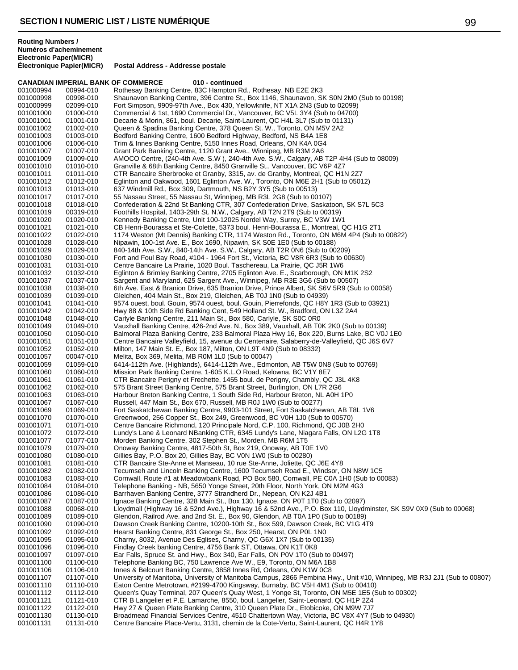**CANADIAN IMPERIAL BANK OF COMMERCE 010 - continued** 001000994 00994-010 Rothesay Banking Centre, 83C Hampton Rd., Rothesay, NB E2E 2K3<br>001000998 00998-010 Shaunavon Banking Centre, 396 Centre St., Box 1146, Shaunavon, Sl 001000998 00998-010 Shaunavon Banking Centre, 396 Centre St., Box 1146, Shaunavon, SK S0N 2M0 (Sub to 00198)<br>001000999 02099-010 Fort Simpson, 9909-97th Ave., Box 430, Yellowknife, NT X1A 2N3 (Sub to 02099) Fort Simpson, 9909-97th Ave., Box 430, Yellowknife, NT X1A 2N3 (Sub to 02099) 001001000 01000-010 Commercial & 1st, 1690 Commercial Dr., Vancouver, BC V5L 3Y4 (Sub to 04700)<br>001001001 01001-010 Decarie & Morin, 861, boul. Decarie, Saint-Laurent, QC H4L 3L7 (Sub to 01131) Decarie & Morin, 861, boul. Decarie, Saint-Laurent, QC H4L 3L7 (Sub to 01131) 001001002 01002-010 Queen & Spadina Banking Centre, 378 Queen St. W., Toronto, ON M5V 2A2<br>001001003 01003-010 Bedford Banking Centre, 1600 Bedford Highway, Bedford, NS B4A 1E8 001001003 01003-010 Bedford Banking Centre, 1600 Bedford Highway, Bedford, NS B4A 1E8<br>001001006 01006-010 Trim & Innes Banking Centre, 5150 Innes Road, Orleans, ON K4A 0G4 Trim & Innes Banking Centre, 5150 Innes Road, Orleans, ON K4A 0G4 001001007 01007-010 Grant Park Banking Centre, 1120 Grant Ave., Winnipeg, MB R3M 2A6 001001009 01009-010 AMOCO Centre, (240-4th Ave. S.W), 240-4th Ave. S.W., Calgary, AB T2P 4H4 (Sub to 08009)<br>001001010 01010-010 Granville & 68th Banking Centre, 8450 Granville St., Vancouver, BC V6P 4Z7 001001010 01010-010 Granville & 68th Banking Centre, 8450 Granville St., Vancouver, BC V6P 4Z7<br>001001011 01011-010 CTR Bancaire Sherbrooke et Granby. 3315. av. de Granby. Montreal. QC H1 001001011 01011-010 CTR Bancaire Sherbrooke et Granby, 3315, av. de Granby, Montreal, QC H1N 2Z7<br>001001012 01012-010 Eglinton and Oakwood, 1601 Eglinton Ave. W., Toronto, ON M6E 2H1 (Sub to 0501 001001012 01012-010 Eglinton and Oakwood, 1601 Eglinton Ave. W., Toronto, ON M6E 2H1 (Sub to 05012)<br>001001013 01013-010 637 Windmill Rd., Box 309, Dartmouth, NS B2Y 3Y5 (Sub to 00513) 001001013 01013-010 637 Windmill Rd., Box 309, Dartmouth, NS B2Y 3Y5 (Sub to 00513) 001001017 01017-010 55 Nassau Street, 55 Nassau St, Winnipeg, MB R3L 2G8 (Sub to 00107) 001001018 01018-010 Confederation & 22nd St Banking CTR, 307 Confederation Drive, Saskatoon, SK S7L 5C3 001001019 00319-010 Foothills Hospital, 1403-29th St. N.W., Calgary, AB T2N 2T9 (Sub to 00319) 001001020 01020-010 Kennedy Banking Centre, Unit 100-12025 Nordel Way, Surrey, BC V3W 1W1<br>001001021 01021-010 CB Henri-Bourassa et Ste-Colette, 5373 boul. Henri-Bourassa E., Montreal, C 001001021 01021-010 CB Henri-Bourassa et Ste-Colette, 5373 boul. Henri-Bourassa E., Montreal, QC H1G 2T1 1174 Weston (Mt Dennis) Banking CTR, 1174 Weston Rd., Toronto, ON M6M 4P4 (Sub to 00822) 001001028 01028-010 Nipawin, 100-1st Ave. E., Box 1690, Nipawin, SK S0E 1E0 (Sub to 00188) 840-14th Ave. S.W., 840-14th Ave. S.W., Calgary, AB T2R 0N6 (Sub to 00209) 001001030 01030-010 Fort and Foul Bay Road, #104 - 1964 Fort St., Victoria, BC V8R 6R3 (Sub to 00630)<br>001001031 01031-010 Centre Bancaire La Prairie, 1020 Boul. Taschereau, La Prairie, QC J5R 1W6 001001031 01031-010 Centre Bancaire La Prairie, 1020 Boul. Taschereau, La Prairie, QC J5R 1W6 Eglinton & Brimley Banking Centre, 2705 Eglinton Ave. E., Scarborough, ON M1K 2S2 001001037 01037-010 Sargent and Maryland, 625 Sargent Ave., Winnipeg, MB R3E 3G6 (Sub to 00507) 6th Ave. East & Branion Drive, 635 Branion Drive, Prince Albert, SK S6V 5R9 (Sub to 00058) 001001039 01039-010 Gleichen, 404 Main St., Box 219, Gleichen, AB T0J 1N0 (Sub to 04939) 001001041 01041-010 9574 ouest, boul. Gouin, 9574 ouest, boul. Gouin, Pierrefonds, QC H8Y 1R3 (Sub to 03921)<br>001001042 01042-010 Hwy 88 & 10th Side Rd Banking Cent. 549 Holland St. W.. Bradford. ON L3Z 2A4 Hwy 88 & 10th Side Rd Banking Cent, 549 Holland St. W., Bradford, ON L3Z 2A4 001001048 01048-010 Carlyle Banking Centre, 211 Main St., Box 580, Carlyle, SK S0C 0R0 001001049 01049-010 Vauxhall Banking Centre, 426-2nd Ave. N., Box 389, Vauxhall, AB T0K 2K0 (Sub to 00139)<br>001001050 01050-010 Balmoral Plaza Banking Centre, 233 Balmoral Plaza Hwy 16, Box 220, Burns Lake, BC V0J 001001050 01050-010 Balmoral Plaza Banking Centre, 233 Balmoral Plaza Hwy 16, Box 220, Burns Lake, BC V0J 1E0<br>001001051 01051-010 Centre Bancaire Valleyfield, 15, avenue du Centenaire, Salaberry-de-Valleyfield, QC J6S 6V7 001001051 01051-010 Centre Bancaire Valleyfield, 15, avenue du Centenaire, Salaberry-de-Valleyfield, QC J6S 6V7<br>001001052 01052-010 Milton, 147 Main St. E., Box 187, Milton, ON L9T 4N9 (Sub to 08332) 001001052 01052-010 Milton, 147 Main St. E., Box 187, Milton, ON L9T 4N9 (Sub to 08332)<br>001001057 00047-010 Melita, Box 369, Melita, MB R0M 1L0 (Sub to 00047) 001001057 00047-010 Melita, Box 369, Melita, MB R0M 1L0 (Sub to 00047)<br>001001059 01059-010 6414-112th Ave. (Highlands), 6414-112th Ave., Edmo 6414-112th Ave. (Highlands), 6414-112th Ave., Edmonton, AB T5W 0N8 (Sub to 00769) 001001060 01060-010 Mission Park Banking Centre, 1-605 K.L.O Road, Kelowna, BC V1Y 8E7<br>001001061 01061-010 CTR Bancaire Perigny et Frechette, 1455 boul. de Perigny, Chambly, QC 001001061 01061-010 CTR Bancaire Perigny et Frechette, 1455 boul. de Perigny, Chambly, QC J3L 4K8<br>001001062 01062-010 575 Brant Street Banking Centre, 575 Brant Street, Burlington, ON L7R 2G6 001001062 01062-010 575 Brant Street Banking Centre, 575 Brant Street, Burlington, ON L7R 2G6 001001063 01063-010 Harbour Breton Banking Centre, 1 South Side Rd, Harbour Breton, NL A0H 1P0<br>001001067 01067-010 Russell. 447 Main St., Box 670, Russell, MB R0J 1W0 (Sub to 00277) Russell, 447 Main St., Box 670, Russell, MB R0J 1W0 (Sub to 00277) 001001069 01069-010 Fort Saskatchewan Banking Centre, 9903-101 Street, Fort Saskatchewan, AB T8L 1V6<br>001001070 01070-010 Greenwood, 256 Copper St., Box 249, Greenwood, BC V0H 1J0 (Sub to 00570) Greenwood, 256 Copper St., Box 249, Greenwood, BC V0H 1J0 (Sub to 00570) 001001071 01071-010 Centre Bancaire Richmond, 120 Principale Nord, C.P. 100, Richmond, QC J0B 2H0<br>001001072 01072-010 Lundy's Lane & Leonard NBanking CTR, 6345 Lundy's Lane, Niagara Falls, ON L20 001001072 01072-010 Lundy's Lane & Leonard NBanking CTR, 6345 Lundy's Lane, Niagara Falls, ON L2G 1T8<br>001001077 01077-010 Morden Banking Centre. 302 Stephen St.. Morden. MB R6M 1T5 Morden Banking Centre, 302 Stephen St., Morden, MB R6M 1T5 001001079 01079-010 Onoway Banking Centre, 4817-50th St, Box 219, Onoway, AB T0E 1V0<br>001001080 01080-010 Gillies Bay, P.O. Box 20, Gillies Bay, BC V0N 1W0 (Sub to 00280) Gillies Bay, P.O. Box 20, Gillies Bay, BC V0N 1W0 (Sub to 00280) 001001081 01081-010 CTR Bancaire Ste-Anne et Manseau, 10 rue Ste-Anne, Joliette, QC J6E 4Y8<br>001001082 01082-010 Tecumseh and Lincoln Banking Centre, 1600 Tecumseh Road E., Windsor, C 001001082 01082-010 Tecumseh and Lincoln Banking Centre, 1600 Tecumseh Road E., Windsor, ON N8W 1C5<br>001001083 01083-010 Cornwall, Route #1 at Meadowbank Road, PO Box 580, Cornwall, PF C0A 1H0 (Sub to 00 Cornwall, Route #1 at Meadowbank Road, PO Box 580, Cornwall, PE C0A 1H0 (Sub to 00083) 001001084 01084-010 Telephone Banking - NB, 5650 Yonge Street, 20th Floor, North York, ON M2M 4G3<br>001001086 01086-010 Barrhaven Banking Centre, 3777 Strandherd Dr., Nepean, ON K2J 4B1 001001086 01086-010 Barrhaven Banking Centre, 3777 Strandherd Dr., Nepean, ON K2J 4B1<br>001001087 01087-010 Ignace Banking Centre, 328 Main St., Box 130, Ignace, ON P0T 1T0 (S 001001087 01087-010 Ignace Banking Centre, 328 Main St., Box 130, Ignace, ON P0T 1T0 (Sub to 02097)<br>001001088 00068-010 Llovdmall (Highway 16 & 52nd Ave.). Highway 16 & 52nd Ave., P.O. Box 110. Llovdr 001001088 00068-010 Lloydmall (Highway 16 & 52nd Ave.), Highway 16 & 52nd Ave., P.O. Box 110, Lloydminster, SK S9V 0X9 (Sub to 00068) 001001089 01089-010 Glendon, Railrod Ave. and 2nd St. E., Box 90, Glendon, AB T0A 1P0 (Sub to 00189) 001001090 01090-010 Dawson Creek Banking Centre, 10200-10th St., Box 599, Dawson Creek, BC V1G 4T9<br>001001092 01092-010 Hearst Banking Centre, 831 George St., Box 250, Hearst, ON P0L 1N0 Hearst Banking Centre, 831 George St., Box 250, Hearst, ON P0L 1N0 001001095 01095-010 Charny, 8032, Avenue Des Eglises, Charny, QC G6X 1X7 (Sub to 00135)<br>001001096 01096-010 Findlay Creek banking Centre, 4756 Bank ST, Ottawa, ON K1T 0K8 001001096 01096-010 Findlay Creek banking Centre, 4756 Bank ST, Ottawa, ON K1T 0K8<br>001001097 01097-010 Ear Falls, Spruce St. and Hwy., Box 340, Ear Falls, ON P0V 1T0 (Su 001001097 01097-010 Ear Falls, Spruce St. and Hwy., Box 340, Ear Falls, ON P0V 1T0 (Sub to 00497)<br>001001100 01100-010 Telephone Banking BC, 750 Lawrence Ave W., E9, Toronto, ON M6A 1B8 001001100 01100-010 Telephone Banking BC, 750 Lawrence Ave W., E9, Toronto, ON M6A 1B8<br>001001106 01106-010 Innes & Belcourt Banking Centre, 3858 Innes Rd, Orleans, ON K1W 0C8 Innes & Belcourt Banking Centre, 3858 Innes Rd, Orleans, ON K1W 0C8 001001107 01107-010 University of Manitoba, University of Manitoba Campus, 2866 Pembina Hwy., Unit #10, Winnipeg, MB R3J 2J1 (Sub to 00807)<br>001001110 01110-010 Eaton Centre Metrotown, #2199-4700 Kingsway, Burnaby, BC V5H 4 Eaton Centre Metrotown, #2199-4700 Kingsway, Burnaby, BC V5H 4M1 (Sub to 00410) 001001112 01112-010 Queen's Quay Terminal, 207 Queen's Quay West, 1 Yonge St, Toronto, ON M5E 1E5 (Sub to 00302)<br>001001121 01121-010 CTR B Langelier et P.E. Lamarche, 8550, boul. Langelier, Saint-Leonard, QC H1P 2Z4 001001121 01121-010 CTR B Langelier et P.E. Lamarche, 8550, boul. Langelier, Saint-Leonard, QC H1P 2Z4 Hwy 27 & Queen Plate Banking Centre, 310 Queen Plate Dr., Etobicoke, ON M9W 7J7 001001130 01130-010 Broadmead Financial Services Centre, 4510 Chattertown Way, Victoria, BC V8X 4Y7 (Sub to 04930)<br>001001131 01131-010 Centre Bancaire Place-Vertu, 3131, chemin de la Cote-Vertu, Saint-Laurent, QC H4R 1Y8 Centre Bancaire Place-Vertu, 3131, chemin de la Cote-Vertu, Saint-Laurent, QC H4R 1Y8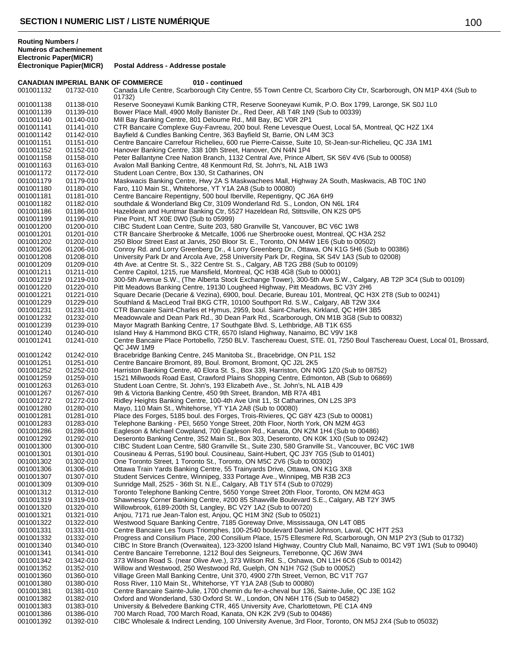**Routing Numbers / Numéros d'acheminement Electronic Paper(MICR)**

### **CANADIAN IMPERIAL BANK OF COMMERCE 010 - continued** 001001132 01732-010 Canada Life Centre, Scarborough City Centre, 55 Town Centre Ct, Scarboro City Ctr, Scarborough, ON M1P 4X4 (Sub to 01732) 001001138 01138-010 Reserve Sooneyawi Kumik Banking CTR, Reserve Sooneyawi Kumik, P.O. Box 1799, Laronge, SK S0J 1L0 001001139 01139-010 Bower Place Mall, 4900 Molly Banister Dr., Red Deer, AB T4R 1N9 (Sub to 00339) 001001140 01140-010 Mill Bay Banking Centre, 801 Deloume Rd., Mill Bay, BC V0R 2P1 001001141 01141-010 CTR Bancaire Complexe Guy-Favreau, 200 boul. Rene Levesque Ouest, Local 5A, Montreal, QC H2Z 1X4 001001142 01142-010 Bayfield & Cundles Banking Centre, 363 Bayfield St, Barrie, ON L4M 3C3 001001151 01151-010 Centre Bancaire Carrefour Richelieu, 600 rue Pierre-Caisse, Suite 10, St-Jean-sur-Richelieu, QC J3A 1M1 001001152 01152-010 Hanover Banking Centre, 338 10th Street, Hanover, ON N4N 1P4 001001158 01158-010 Peter Ballantyne Cree Nation Branch, 1132 Central Ave, Prince Albert, SK S6V 4V6 (Sub to 00058) 001001163 01163-010 Avalon Mall Banking Centre, 48 Kenmount Rd, St. John's, NL A1B 1W3 001001172 01172-010 Student Loan Centre, Box 130, St Catharines, ON 001001179 01179-010 Maskwacis Banking Centre, Hwy 2A S Maskwachees Mall, Highway 2A South, Maskwacis, AB T0C 1N0 001001180 01180-010 Faro, 110 Main St., Whitehorse, YT Y1A 2A8 (Sub to 00080) 001001181 01181-010 Centre Bancaire Repentigny, 500 boul Iberville, Repentigny, QC J6A 6H9 001001182 01182-010 southdale & Wonderland Bkg Ctr, 3109 Wonderland Rd. S., London, ON N6L 1R4 001001186 01186-010 Hazeldean and Huntmar Banking Ctr, 5527 Hazeldean Rd, Stittsville, ON K2S 0P5 001001199 01199-010 Pine Point, NT X0E 0W0 (Sub to 05999) 001001200 01200-010 CIBC Student Loan Centre, Suite 203, 580 Granville St, Vancouver, BC V6C 1W8 001001201 01201-010 CTR Bancaire Sherbrooke & Metcalfe, 1006 rue Sherbrooke ouest, Montreal, QC H3A 2S2 001001202 01202-010 250 Bloor Street East at Jarvis, 250 Bloor St. E., Toronto, ON M4W 1E6 (Sub to 00502) 001001206 01206-010 Conroy Rd. and Lorry Greenberg Dr., 4 Lorry Greenberg Dr., Ottawa, ON K1G 5H6 (Sub to 00386) 001001208 01208-010 University Park Dr and Arcola Ave, 258 University Park Dr, Regina, SK S4V 1A3 (Sub to 02008) 001001209 01209-010 4th Ave. at Centre St. S., 322 Centre St. S., Calgary, AB T2G 2B8 (Sub to 00109)<br>001001211 01211-010 Centre Capitol, 1215, rue Mansfield, Montreal, QC H3B 4G8 (Sub to 00001) 001001211 01211-010 Centre Capitol, 1215, rue Mansfield, Montreal, QC H3B 4G8 (Sub to 00001)<br>001001219 01219-010 300-5th Avenue S.W., (The Alberta Stock Exchange Tower), 300-5th Ave S. 01219-010 300-5th Avenue S.W., (The Alberta Stock Exchange Tower), 300-5th Ave S.W., Calgary, AB T2P 3C4 (Sub to 00109) 001001220 01220-010 Pitt Meadows Banking Centre, 19130 Lougheed Highway, Pitt Meadows, BC V3Y 2H6 001001221 01221-010 Square Decarie (Decarie & Vezina), 6900, boul. Decarie, Bureau 101, Montreal, QC H3X 2T8 (Sub to 00241) 001001229 01229-010 Southland & MacLeod Trail BKG CTR, 10100 Southport Rd. S.W., Calgary, AB T2W 3X4 001001231 01231-010 CTR Bancaire Saint-Charles et Hymus, 2959, boul. Saint-Charles, Kirkland, QC H9H 3B5<br>001001232 01232-010 Meadowvale and Dean Park Rd., 30 Dean Park Rd., Scarborough, ON M1B 3G8 (Sub to 01232-010 Meadowvale and Dean Park Rd., 30 Dean Park Rd., Scarborough, ON M1B 3G8 (Sub to 00832) 001001239 01239-010 Mayor Magrath Banking Centre, 17 Southgate Blvd. S, Lethbridge, AB T1K 6S5 001001240 01240-010 Island Hwy & Hammond BKG CTR, 6570 Island Highway, Nanaimo, BC V9V 1K8 001001241 01241-010 Centre Bancaire Place Portobello, 7250 BLV. Taschereau Ouest, STE. 01, 7250 Boul Taschereau Ouest, Local 01, Brossard, QC J4W 1M9 001001242 01242-010 Bracebridge Banking Centre, 245 Manitoba St., Bracebridge, ON P1L 1S2<br>001001251 01251-010 Centre Bancaire Bromont, 89, Boul. Bromont, Bromont, QC J2L 2K5 Centre Bancaire Bromont, 89, Boul. Bromont, Bromont, QC J2L 2K5 001001252 01252-010 Harriston Banking Centre, 40 Elora St. S., Box 339, Harriston, ON N0G 1Z0 (Sub to 08752)<br>001001259 01259-010 1521 Millwoods Road East, Crawford Plains Shopping Centre, Edmonton, AB (Sub to 06869 001001259 01259-010 1521 Millwoods Road East, Crawford Plains Shopping Centre, Edmonton, AB (Sub to 06869)<br>001001263 01263-010 Student Loan Centre, St. John's, 193 Elizabeth Ave., St. John's, NL A1B 4J9 001001263 01263-010 Student Loan Centre, St. John's, 193 Elizabeth Ave., St. John's, NL A1B 4J9<br>001001267 01267-010 9th & Victoria Banking Centre, 450 9th Street, Brandon, MB R7A 4B1 001001267 01267-010 9th & Victoria Banking Centre, 450 9th Street, Brandon, MB R7A 4B1 001001272 01272-010 Ridley Heights Banking Centre, 100-4th Ave Unit 11, St Catharines, ON L2S 3P3<br>001001280 01280-010 Mayo, 110 Main St., Whitehorse, YT Y1A 2A8 (Sub to 00080) 001001280 01280-010 Mayo, 110 Main St., Whitehorse, YT Y1A 2A8 (Sub to 00080) Place des Forges, 5185 boul. des Forges, Trois-Rivieres, QC G8Y 4Z3 (Sub to 00081) 001001283 01283-010 Telephone Banking - PEI, 5650 Yonge Street, 20th Floor, North York, ON M2M 4G3<br>001001286 01286-010 Eagleson & Michael Cowpland, 700 Eagleson Rd., Kanata, ON K2M 1H4 (Sub to 00 001001286 01286-010 Eagleson & Michael Cowpland, 700 Eagleson Rd., Kanata, ON K2M 1H4 (Sub to 00486)<br>001001292 01292-010 Deseronto Banking Centre, 352 Main St., Box 303, Deseronto, ON K0K 1X0 (Sub to 0924 001001292 01292-010 Deseronto Banking Centre, 352 Main St., Box 303, Deseronto, ON K0K 1X0 (Sub to 09242) 001001300 01300-010 CIBC Student Loan Centre, 580 Granville St., Suite 230, 580 Granville St., Vancouver, BC V6C 1W8<br>001001301 01301-010 Cousineau & Perras. 5190 boul. Cousineau. Saint-Hubert. QC J3Y 7G5 (Sub to 01401) Cousineau & Perras, 5190 boul. Cousineau, Saint-Hubert, QC J3Y 7G5 (Sub to 01401) 001001302 01302-010 One Toronto Street, 1 Toronto St., Toronto, ON M5C 2V6 (Sub to 00302) Ottawa Train Yards Banking Centre, 55 Trainyards Drive, Ottawa, ON K1G 3X8 001001307 01307-010 Student Services Centre, Winnipeg, 333 Portage Ave., Winnipeg, MB R3B 2C3 001001309 01309-010 Sunridge Mall, 2525 - 36th St. N.E., Calgary, AB T1Y 5T4 (Sub to 07029) Toronto Telephone Banking Centre, 5650 Yonge Street 20th Floor, Toronto, ON M2M 4G3 001001319 01319-010 Shawnessy Corner Banking Centre, #200 85 Shawville Boulevard S.E., Calgary, AB T2Y 3W5<br>001001320 01320-010 Willowbrook, 6189-200th St, Langley, BC V2Y 1A2 (Sub to 00720) 001001320 01320-010 Willowbrook, 6189-200th St, Langley, BC V2Y 1A2 (Sub to 00720) 001001321 01321-010 Anjou, 7171 rue Jean-Talon est, Anjou, QC H1M 3N2 (Sub to 05021) 001001322 01322-010 Westwood Square Banking Centre, 7185 Goreway Drive, Mississauga, ON L4T 0B5<br>001001331 01331-010 Centre Bancaire Les Tours Triomphes, 100-2540 boulevard Daniel Johnson, Laval, 0 Centre Bancaire Les Tours Triomphes, 100-2540 boulevard Daniel Johnson, Laval, QC H7T 2S3 001001332 01332-010 Progress and Consilium Place, 200 Consilium Place, 1575 Ellesmere Rd, Scarborough, ON M1P 2Y3 (Sub to 01732) 01340-010 CIBC In Store Branch (Overwaitea), 123-3200 Island Highway, Country Club Mall, Nanaimo, BC V9T 1W1 (Sub to 09040)<br>01341-010 Centre Bancaire Terrebonne, 1212 Boul des Seigneurs, Terrebonne, OC J6W 3W4 001001341 01341-010 Centre Bancaire Terrebonne, 1212 Boul des Seigneurs, Terrebonne, QC J6W 3W4 001001342 01342-010 373 Wilson Road S. (near Olive Ave.), 373 Wilson Rd. S., Oshawa, ON L1H 6C6 (Sub to 00142)<br>001001352 01352-010 Willow and Westwood, 250 Westwood Rd, Guelph, ON N1H 7G2 (Sub to 00052) 001001352 01352-010 Willow and Westwood, 250 Westwood Rd, Guelph, ON N1H 7G2 (Sub to 00052) 001001360 01360-010 Village Green Mall Banking Centre, Unit 370, 4900 27th Street, Vernon, BC V1T 7G7<br>001001380 01380-010 Ross River, 110 Main St., Whitehorse, YT Y1A 2A8 (Sub to 00080) Ross River, 110 Main St., Whitehorse, YT Y1A 2A8 (Sub to 00080) 001001381 01381-010 Centre Bancaire Sainte-Julie, 1700 chemin du fer-a-cheval bur 136, Sainte-Julie, QC J3E 1G2<br>001001382 01382-010 Oxford and Wonderland, 530 Oxford St. W., London, ON N6H 1T6 (Sub to 04582) Oxford and Wonderland, 530 Oxford St. W., London, ON N6H 1T6 (Sub to 04582) 001001383 01383-010 University & Belvedere Banking CTR, 465 University Ave, Charlottetown, PE C1A 4N9<br>001001386 01386-010 700 March Road, 700 March Road, Kanata, ON K2K 2V9 (Sub to 00486) 001001386 01386-010 700 March Road, 700 March Road, Kanata, ON K2K 2V9 (Sub to 00486) CIBC Wholesale & Indirect Lending, 100 University Avenue, 3rd Floor, Toronto, ON M5J 2X4 (Sub to 05032)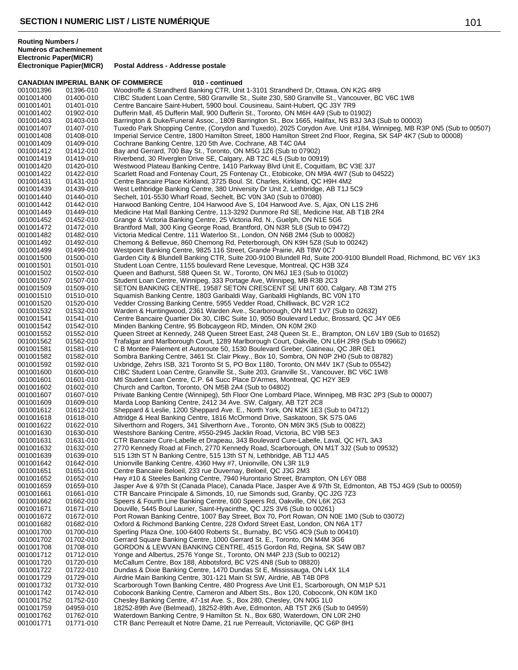**Électronique Papier(MICR) Postal Address - Addresse postale**

|                        |                        | <b>CANADIAN IMPERIAL BANK OF COMMERCE</b><br>010 - continued                                                                                                                                          |
|------------------------|------------------------|-------------------------------------------------------------------------------------------------------------------------------------------------------------------------------------------------------|
| 001001396              | 01396-010              | Woodroffe & Strandherd Banking CTR, Unit 1-3101 Strandherd Dr, Ottawa, ON K2G 4R9                                                                                                                     |
| 001001400              | 01400-010              | CIBC Student Loan Centre, 580 Granville St., Suite 230, 580 Granville St., Vancouver, BC V6C 1W8                                                                                                      |
| 001001401<br>001001402 | 01401-010<br>01902-010 | Centre Bancaire Saint-Hubert, 5900 boul. Cousineau, Saint-Hubert, QC J3Y 7R9<br>Dufferin Mall, 45 Dufferin Mall, 900 Dufferin St., Toronto, ON M6H 4A9 (Sub to 01902)                                 |
| 001001403              | 01403-010              | Barrington & Duke/Funeral Assoc., 1809 Barrington St., Box 1665, Halifax, NS B3J 3A3 (Sub to 00003)                                                                                                   |
| 001001407              | 01407-010              | Tuxedo Park Shopping Centre, (Corydon and Tuxedo), 2025 Corydon Ave. Unit #184, Winnipeg, MB R3P 0N5 (Sub to 00507)                                                                                   |
| 001001408              | 01408-010              | Imperial Service Centre, 1800 Hamilton Street, 1800 Hamilton Street 2nd Floor, Regina, SK S4P 4K7 (Sub to 00008)                                                                                      |
| 001001409              | 01409-010              | Cochrane Banking Centre, 120 5th Ave, Cochrane, AB T4C 0A4                                                                                                                                            |
| 001001412              | 01412-010              | Bay and Gerrard, 700 Bay St., Toronto, ON M5G 1Z6 (Sub to 07902)                                                                                                                                      |
| 001001419              | 01419-010              | Riverbend, 30 Riverglen Drive SE, Calgary, AB T2C 4L5 (Sub to 00919)                                                                                                                                  |
| 001001420<br>001001422 | 01420-010<br>01422-010 | Westwood Plateau Banking Centre, 1410 Parkway Blvd Unit E, Coquitlam, BC V3E 3J7<br>Scarlett Road and Fontenay Court, 25 Fontenay Ct., Etobicoke, ON M9A 4W7 (Sub to 04522)                           |
| 001001431              | 01431-010              | Centre Bancaire Place Kirkland, 3725 Boul. St. Charles, Kirkland, QC H9H 4M2                                                                                                                          |
| 001001439              | 01439-010              | West Lethbridge Banking Centre, 380 University Dr Unit 2, Lethbridge, AB T1J 5C9                                                                                                                      |
| 001001440              | 01440-010              | Sechelt, 101-5530 Wharf Road, Sechelt, BC V0N 3A0 (Sub to 07080)                                                                                                                                      |
| 001001442              | 01442-010              | Harwood Banking Centre, 104 Harwood Ave S, 104 Harwood Ave. S, Ajax, ON L1S 2H6                                                                                                                       |
| 001001449              | 01449-010              | Medicine Hat Mall Banking Centre, 113-3292 Dunmore Rd SE, Medicine Hat, AB T1B 2R4                                                                                                                    |
| 001001452<br>001001472 | 01452-010<br>01472-010 | Grange & Victoria Banking Centre, 25 Victoria Rd. N., Guelph, ON N1E 5G6<br>Brantford Mall, 300 King George Road, Brantford, ON N3R 5L8 (Sub to 09472)                                                |
| 001001482              | 01482-010              | Victoria Medical Centre, 111 Waterloo St., London, ON N6B 2M4 (Sub to 00082)                                                                                                                          |
| 001001492              | 01492-010              | Chemong & Bellevue, 860 Chemong Rd, Peterborough, ON K9H 5Z8 (Sub to 00242)                                                                                                                           |
| 001001499              | 01499-010              | Westpoint Banking Centre, 9825 116 Street, Grande Prairie, AB T8W 0C7                                                                                                                                 |
| 001001500              | 01500-010              | Garden City & Blundell Banking CTR, Suite 200-9100 Blundell Rd, Suite 200-9100 Blundell Road, Richmond, BC V6Y 1K3                                                                                    |
| 001001501              | 01501-010              | Student Loan Centre, 1155 boulevard Rene Levesque, Montreal, QC H3B 3Z4                                                                                                                               |
| 001001502              | 01502-010<br>01507-010 | Queen and Bathurst, 588 Queen St. W., Toronto, ON M6J 1E3 (Sub to 01002)                                                                                                                              |
| 001001507<br>001001509 | 01509-010              | Student Loan Centre, Winnipeg, 333 Portage Ave, Winnipeg, MB R3B 2C3<br>SETON BANKING CENTRE, 19587 SETON CRESCENT SE UNIT 600, Calgary, AB T3M 2T5                                                   |
| 001001510              | 01510-010              | Squamish Banking Centre, 1803 Garibaldi Way, Garibaldi Highlands, BC V0N 1T0                                                                                                                          |
| 001001520              | 01520-010              | Vedder Crossing Banking Centre, 5955 Vedder Road, Chilliwack, BC V2R 1C2                                                                                                                              |
| 001001532              | 01532-010              | Warden & Huntingwood, 2361 Warden Ave., Scarborough, ON M1T 1V7 (Sub to 02632)                                                                                                                        |
| 001001541              | 01541-010              | Centre Bancaire Quartier Dix 30, CIBC Suite 10, 9050 Boulevard Leduc, Brossard, QC J4Y 0E6                                                                                                            |
| 001001542              | 01542-010              | Minden Banking Centre, 95 Bobcaygeon RD, Minden, ON K0M 2K0                                                                                                                                           |
| 001001552<br>001001562 | 01552-010<br>01562-010 | Queen Street at Kennedy, 248 Queen Street East, 248 Queen St. E., Brampton, ON L6V 1B9 (Sub to 01652)<br>Trafalgar and Marlborough Court, 1289 Marlborough Court, Oakville, ON L6H 2R9 (Sub to 09662) |
| 001001581              | 01581-010              | C B Montee Paiement et Autoroute 50, 1530 Boulevard Greber, Gatineau, QC J8R 0E1                                                                                                                      |
| 001001582              | 01582-010              | Sombra Banking Centre, 3461 St. Clair Pkwy., Box 10, Sombra, ON N0P 2H0 (Sub to 08782)                                                                                                                |
| 001001592              | 01592-010              | Uxbridge, Zehrs ISB, 321 Toronto St S, PO Box 1180, Toronto, ON M4V 1K7 (Sub to 05542)                                                                                                                |
| 001001600              | 01600-010              | CIBC Student Loan Centre, Granville St., Suite 203, Granville St., Vancouver, BC V6C 1W8                                                                                                              |
| 001001601              | 01601-010              | Mtl Student Loan Centre, C.P. 64 Succ Place D'Armes, Montreal, QC H2Y 3E9                                                                                                                             |
| 001001602<br>001001607 | 01602-010<br>01607-010 | Church and Carlton, Toronto, ON M5B 2A4 (Sub to 04802)<br>Private Banking Centre (Winnipeg), 5th Floor One Lombard Place, Winnipeg, MB R3C 2P3 (Sub to 00007)                                         |
| 001001609              | 01609-010              | Marda Loop Banking Centre, 2412 34 Ave. SW, Calgary, AB T2T 2C8                                                                                                                                       |
| 001001612              | 01612-010              | Sheppard & Leslie, 1200 Sheppard Ave. E., North York, ON M2K 1E3 (Sub to 04712)                                                                                                                       |
| 001001618              | 01618-010              | Attridge & Heal Banking Centre, 1816 McOrmond Drive, Saskatoon, SK S7S 0A6                                                                                                                            |
| 001001622              | 01622-010              | Silverthorn and Rogers, 341 Silverthorn Ave., Toronto, ON M6N 3K5 (Sub to 00822)                                                                                                                      |
| 001001630<br>001001631 | 01630-010<br>01631-010 | Westshore Banking Centre, #550-2945 Jacklin Road, Victoria, BC V9B 5E3<br>CTR Bancaire Cure-Labelle et Drapeau, 343 Boulevard Cure-Labelle, Laval, QC H7L 3A3                                         |
| 001001632              | 01632-010              | 2770 Kennedy Road at Finch, 2770 Kennedy Road, Scarborough, ON M1T 3J2 (Sub to 09532)                                                                                                                 |
| 001001639              | 01639-010              | 515 13th ST N Banking Centre, 515 13th ST N, Lethbridge, AB T1J 4A5                                                                                                                                   |
| 001001642              | 01642-010              | Unionville Banking Centre, 4360 Hwy #7, Unionville, ON L3R 1L9                                                                                                                                        |
| 001001651              | 01651-010              | Centre Bancaire Beloeil, 233 rue Duvernay, Beloeil, QC J3G 2M3                                                                                                                                        |
| 001001652              | 01652-010              | Hwy #10 & Steeles Banking Centre, 7940 Hurontario Street, Brampton, ON L6Y 0B8                                                                                                                        |
| 001001659<br>001001661 | 01659-010<br>01661-010 | Jasper Ave & 97th St (Canada Place), Canada Place, Jasper Ave & 97th St, Edmonton, AB T5J 4G9 (Sub to 00059)<br>CTR Bancaire Principale & Simonds, 10, rue Simonds sud, Granby, QC J2G 7Z3            |
| 001001662              | 01662-010              | Speers & Fourth Line Banking Centre, 600 Speers Rd, Oakville, ON L6K 2G3                                                                                                                              |
| 001001671              | 01671-010              | Douville, 5445 Boul Laurier, Saint-Hyacinthe, QC J2S 3V6 (Sub to 00261)                                                                                                                               |
| 001001672              | 01672-010              | Port Rowan Banking Centre, 1007 Bay Street, Box 70, Port Rowan, ON N0E 1M0 (Sub to 03072)                                                                                                             |
| 001001682              | 01682-010              | Oxford & Richmond Banking Centre, 228 Oxford Street East, London, ON N6A 1T7                                                                                                                          |
| 001001700              | 01700-010              | Sperling Plaza One, 100-6400 Roberts St., Burnaby, BC V5G 4C9 (Sub to 00410)                                                                                                                          |
| 001001702<br>001001708 | 01702-010<br>01708-010 | Gerrard Square Banking Centre, 1000 Gerrard St. E., Toronto, ON M4M 3G6<br>GORDON & LEWVAN BANKING CENTRE, 4515 Gordon Rd, Regina, SK S4W 0B7                                                         |
| 001001712              | 01712-010              | Yonge and Albertus, 2576 Yonge St., Toronto, ON M4P 2J3 (Sub to 00212)                                                                                                                                |
| 001001720              | 01720-010              | McCallum Centre, Box 188, Abbotsford, BC V2S 4N8 (Sub to 08820)                                                                                                                                       |
| 001001722              | 01722-010              | Dundas & Dixie Banking Centre, 1470 Dundas St E, Mississauga, ON L4X 1L4                                                                                                                              |
| 001001729              | 01729-010              | Airdrie Main Banking Centre, 301-121 Main St SW, Airdrie, AB T4B 0P8                                                                                                                                  |
| 001001732              | 01732-010              | Scarborough Town Banking Centre, 480 Progress Ave Unit E1, Scarborough, ON M1P 5J1                                                                                                                    |
| 001001742              | 01742-010              | Coboconk Banking Centre, Cameron and Albert Sts., Box 120, Coboconk, ON K0M 1K0                                                                                                                       |
| 001001752<br>001001759 | 01752-010<br>04959-010 | Chesley Banking Centre, 47-1st Ave. S., Box 280, Chesley, ON N0G 1L0<br>18252-89th Ave (Belmead), 18252-89th Ave, Edmonton, AB T5T 2K6 (Sub to 04959)                                                 |
| 001001762              | 01762-010              | Waterdown Banking Centre, 9 Hamilton St. N., Box 680, Waterdown, ON L0R 2H0                                                                                                                           |
| 001001771              | 01771-010              | CTR Banc Perreault et Notre Dame, 21 rue Perreault, Victoriaville, QC G6P 8H1                                                                                                                         |
|                        |                        |                                                                                                                                                                                                       |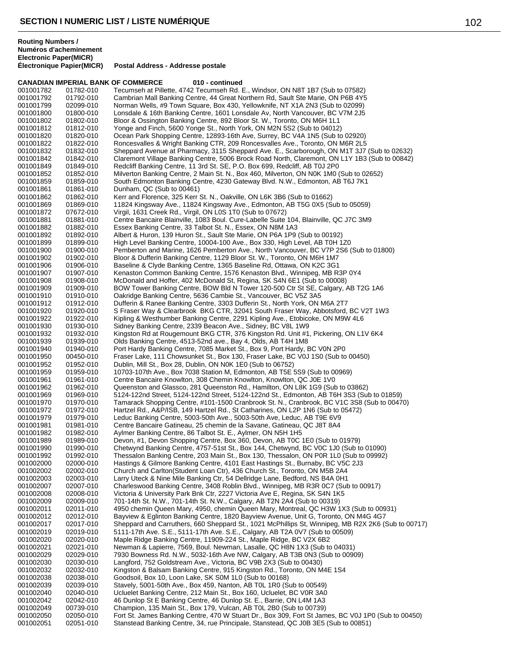|                        | <b>CANADIAN IMPERIAL BANK OF COMMERCE</b> | 010 - continued                                                                                                                                                                           |
|------------------------|-------------------------------------------|-------------------------------------------------------------------------------------------------------------------------------------------------------------------------------------------|
| 001001782              | 01782-010                                 | Tecumseh at Pillette, 4742 Tecumseh Rd. E., Windsor, ON N8T 1B7 (Sub to 07582)                                                                                                            |
| 001001792              | 01792-010                                 | Cambrian Mall Banking Centre, 44 Great Northern Rd, Sault Ste Marie, ON P6B 4Y5                                                                                                           |
| 001001799              | 02099-010                                 | Norman Wells, #9 Town Square, Box 430, Yellowknife, NT X1A 2N3 (Sub to 02099)                                                                                                             |
| 001001800              | 01800-010                                 | Lonsdale & 16th Banking Centre, 1601 Lonsdale Av, North Vancouver, BC V7M 2J5                                                                                                             |
| 001001802              | 01802-010                                 | Bloor & Ossington Banking Centre, 892 Bloor St. W., Toronto, ON M6H 1L1<br>Yonge and Finch, 5600 Yonge St., North York, ON M2N 5S2 (Sub to 04012)                                         |
| 001001812<br>001001820 | 01812-010<br>01820-010                    | Ocean Park Shopping Centre, 12893-16th Ave, Surrey, BC V4A 1N5 (Sub to 02920)                                                                                                             |
| 001001822              | 01822-010                                 | Roncesvalles & Wright Banking CTR, 209 Roncesvalles Ave., Toronto, ON M6R 2L5                                                                                                             |
| 001001832              | 01832-010                                 | Sheppard Avenue at Pharmacy, 3115 Sheppard Ave. E., Scarborough, ON M1T 3J7 (Sub to 02632)                                                                                                |
| 001001842              | 01842-010                                 | Claremont Village Banking Centre, 5006 Brock Road North, Claremont, ON L1Y 1B3 (Sub to 00842)                                                                                             |
| 001001849              | 01849-010                                 | Redcliff Banking Centre, 11 3rd St. SE, P.O. Box 699, Redcliff, AB T0J 2P0                                                                                                                |
| 001001852              | 01852-010                                 | Milverton Banking Centre, 2 Main St. N., Box 460, Milverton, ON N0K 1M0 (Sub to 02652)                                                                                                    |
| 001001859              | 01859-010                                 | South Edmonton Banking Centre, 4230 Gateway Blvd. N.W., Edmonton, AB T6J 7K1                                                                                                              |
| 001001861              | 01861-010                                 | Dunham, QC (Sub to 00461)                                                                                                                                                                 |
| 001001862              | 01862-010                                 | Kerr and Florence, 325 Kerr St. N., Oakville, ON L6K 3B6 (Sub to 01662)                                                                                                                   |
| 001001869              | 01869-010                                 | 11824 Kingsway Ave., 11824 Kingsway Ave., Edmonton, AB T5G 0X5 (Sub to 05059)                                                                                                             |
| 001001872              | 07672-010                                 | Virgil, 1631 Creek Rd., Virgil, ON L0S 1T0 (Sub to 07672)                                                                                                                                 |
| 001001881              | 01881-010                                 | Centre Bancaire Blainville, 1083 Boul. Cure-Labelle Suite 104, Blainville, QC J7C 3M9                                                                                                     |
| 001001882              | 01882-010                                 | Essex Banking Centre, 33 Talbot St. N., Essex, ON N8M 1A3                                                                                                                                 |
| 001001892              | 01892-010                                 | Albert & Huron, 139 Huron St., Sault Ste Marie, ON P6A 1P9 (Sub to 00192)                                                                                                                 |
| 001001899              | 01899-010                                 | High Level Banking Centre, 10004-100 Ave., Box 330, High Level, AB T0H 1Z0                                                                                                                |
| 001001900              | 01900-010                                 | Pemberton and Marine, 1626 Pemberton Ave., North Vancouver, BC V7P 2S6 (Sub to 01800)                                                                                                     |
| 001001902<br>001001906 | 01902-010<br>01906-010                    | Bloor & Dufferin Banking Centre, 1129 Bloor St. W., Toronto, ON M6H 1M7<br>Baseline & Clyde Banking Centre, 1365 Baseline Rd, Ottawa, ON K2C 3G1                                          |
| 001001907              | 01907-010                                 | Kenaston Common Banking Centre, 1576 Kenaston Blvd., Winnipeg, MB R3P 0Y4                                                                                                                 |
| 001001908              | 01908-010                                 | McDonald and Hoffer, 402 McDonald St, Regina, SK S4N 6E1 (Sub to 00008)                                                                                                                   |
| 001001909              | 01909-010                                 | BOW Tower Banking Centre, BOW Bld N Tower 120-500 Ctr St SE, Calgary, AB T2G 1A6                                                                                                          |
| 001001910              | 01910-010                                 | Oakridge Banking Centre, 5636 Cambie St., Vancouver, BC V5Z 3A5                                                                                                                           |
| 001001912              | 01912-010                                 | Dufferin & Ranee Banking Centre, 3303 Dufferin St., North York, ON M6A 2T7                                                                                                                |
| 001001920              | 01920-010                                 | S Fraser Way & Clearbrook BKG CTR, 32041 South Fraser Way, Abbotsford, BC V2T 1W3                                                                                                         |
| 001001922              | 01922-010                                 | Kipling & Westhumber Banking Centre, 2291 Kipling Ave., Etobicoke, ON M9W 4L6                                                                                                             |
| 001001930              | 01930-010                                 | Sidney Banking Centre, 2339 Beacon Ave., Sidney, BC V8L 1W9                                                                                                                               |
| 001001932              | 01932-010                                 | Kingston Rd at Rougemount BKG CTR, 376 Kingston Rd. Unit #1, Pickering, ON L1V 6K4                                                                                                        |
| 001001939              | 01939-010                                 | Olds Banking Centre, 4513-52nd ave., Bay 4, Olds, AB T4H 1M8                                                                                                                              |
| 001001940              | 01940-010                                 | Port Hardy Banking Centre, 7085 Market St., Box 9, Port Hardy, BC V0N 2P0                                                                                                                 |
| 001001950              | 00450-010                                 | Fraser Lake, 111 Chowsunket St., Box 130, Fraser Lake, BC V0J 1S0 (Sub to 00450)                                                                                                          |
| 001001952              | 01952-010                                 | Dublin, Mill St., Box 28, Dublin, ON N0K 1E0 (Sub to 06752)                                                                                                                               |
| 001001959              | 01959-010                                 | 10703-107th Ave., Box 7038 Station M, Edmonton, AB T5E 5S9 (Sub to 00969)                                                                                                                 |
| 001001961              | 01961-010                                 | Centre Bancaire Knowlton, 308 Chemin Knowlton, Knowlton, QC J0E 1V0                                                                                                                       |
| 001001962              | 01962-010                                 | Queenston and Glassco, 281 Queenston Rd., Hamilton, ON L8K 1G9 (Sub to 03862)<br>5124-122nd Street, 5124-122nd Street, 5124-122nd St., Edmonton, AB T6H 3S3 (Sub to 01859)                |
| 001001969<br>001001970 | 01969-010<br>01970-010                    | Tamarack Shopping Centre, #101-1500 Cranbrook St. N., Cranbrook, BC V1C 3S8 (Sub to 00470)                                                                                                |
| 001001972              | 01972-010                                 | Hartzel Rd., A&P/ISB, 149 Hartzel Rd., St Catharines, ON L2P 1N6 (Sub to 05472)                                                                                                           |
| 001001979              | 01979-010                                 | Leduc Banking Centre, 5003-50th Ave., 5003-50th Ave, Leduc, AB T9E 6V9                                                                                                                    |
| 001001981              | 01981-010                                 | Centre Bancaire Gatineau, 25 chemin de la Savane, Gatineau, QC J8T 8A4                                                                                                                    |
| 001001982              | 01982-010                                 | Aylmer Banking Centre, 86 Talbot St. E., Aylmer, ON N5H 1H5                                                                                                                               |
| 001001989              | 01989-010                                 | Devon, #1, Devon Shopping Centre, Box 360, Devon, AB T0C 1E0 (Sub to 01979)                                                                                                               |
| 001001990              | 01990-010                                 | Chetwynd Banking Centre, 4757-51st St., Box 144, Chetwynd, BC V0C 1J0 (Sub to 01090)                                                                                                      |
| 001001992              | 01992-010                                 | Thessalon Banking Centre, 203 Main St., Box 130, Thessalon, ON P0R 1L0 (Sub to 09992)                                                                                                     |
| 001002000              | 02000-010                                 | Hastings & Gilmore Banking Centre, 4101 East Hastings St., Burnaby, BC V5C 2J3                                                                                                            |
| 001002002              | 02002-010                                 | Church and Carlton(Student Loan Ctr), 436 Church St., Toronto, ON M5B 2A4                                                                                                                 |
| 001002003              | 02003-010                                 | Larry Uteck & Nine Mile Banking Ctr, 54 Dellridge Lane, Bedford, NS B4A 0H1                                                                                                               |
| 001002007              | 02007-010                                 | Charleswood Banking Centre, 3408 Roblin Blvd., Winnipeg, MB R3R 0C7 (Sub to 00917)                                                                                                        |
| 001002008              | 02008-010                                 | Victoria & University Park Bnk Ctr, 2227 Victoria Ave E, Regina, SK S4N 1K5                                                                                                               |
| 001002009              | 02009-010                                 | 701-14th St. N.W., 701-14th St. N.W., Calgary, AB T2N 2A4 (Sub to 00319)                                                                                                                  |
| 001002011<br>001002012 | 02011-010<br>02012-010                    | 4950 chemin Queen Mary, 4950, chemin Queen Mary, Montreal, QC H3W 1X3 (Sub to 00931)                                                                                                      |
| 001002017              | 02017-010                                 | Bayview & Eglinton Banking Centre, 1820 Bayview Avenue, Unit G, Toronto, ON M4G 4G7<br>Sheppard and Carruthers, 660 Sheppard St., 1021 McPhillips St, Winnipeg, MB R2X 2K6 (Sub to 00717) |
| 001002019              | 02019-010                                 | 5111-17th Ave. S.E., 5111-17th Ave. S.E., Calgary, AB T2A 0V7 (Sub to 00509)                                                                                                              |
| 001002020              | 02020-010                                 | Maple Ridge Banking Centre, 11909-224 St., Maple Ridge, BC V2X 6B2                                                                                                                        |
| 001002021              | 02021-010                                 | Newman & Lapierre, 7569, Boul. Newman, Lasalle, QC H8N 1X3 (Sub to 04031)                                                                                                                 |
| 001002029              | 02029-010                                 | 7930 Bowness Rd. N.W., 5032-16th Ave NW, Calgary, AB T3B 0N3 (Sub to 00909)                                                                                                               |
| 001002030              | 02030-010                                 | Langford, 752 Goldstream Ave., Victoria, BC V9B 2X3 (Sub to 00430)                                                                                                                        |
| 001002032              | 02032-010                                 | Kingston & Balsam Banking Centre, 915 Kingston Rd., Toronto, ON M4E 1S4                                                                                                                   |
| 001002038              | 02038-010                                 | Goodsoil, Box 10, Loon Lake, SK S0M 1L0 (Sub to 00168)                                                                                                                                    |
| 001002039              | 02039-010                                 | Stavely, 5001-50th Ave., Box 459, Nanton, AB T0L 1R0 (Sub to 00549)                                                                                                                       |
| 001002040              | 02040-010                                 | Ucluelet Banking Centre, 212 Main St., Box 160, Ucluelet, BC V0R 3A0                                                                                                                      |
| 001002042              | 02042-010                                 | 46 Dunlop St E Banking Centre, 46 Dunlop St. E., Barrie, ON L4M 1A3                                                                                                                       |
| 001002049              | 00739-010                                 | Champion, 135 Main St., Box 179, Vulcan, AB T0L 2B0 (Sub to 00739)                                                                                                                        |
| 001002050              | 02050-010                                 | Fort St. James Banking Centre, 470 W Stuart Dr., Box 309, Fort St James, BC V0J 1P0 (Sub to 00450)                                                                                        |
| 001002051              | 02051-010                                 | Stanstead Banking Centre, 34, rue Principale, Stanstead, QC J0B 3E5 (Sub to 00851)                                                                                                        |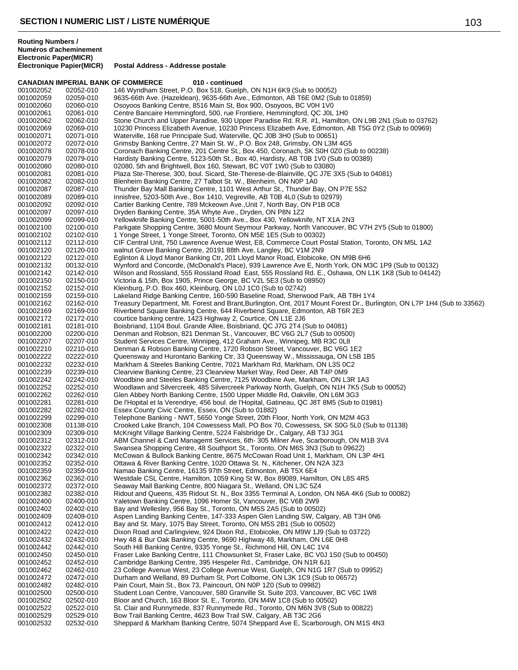|                        |                        | <b>CANADIAN IMPERIAL BANK OF COMMERCE</b><br>010 - continued                                                                                                          |
|------------------------|------------------------|-----------------------------------------------------------------------------------------------------------------------------------------------------------------------|
| 001002052              | 02052-010              | 146 Wyndham Street, P.O. Box 518, Guelph, ON N1H 6K9 (Sub to 00052)                                                                                                   |
| 001002059              | 02059-010              | 9635-66th Ave. (Hazeldean), 9635-66th Ave., Edmonton, AB T6E 0M2 (Sub to 01859)                                                                                       |
| 001002060              | 02060-010              | Osoyoos Banking Centre, 8516 Main St, Box 900, Osoyoos, BC V0H 1V0                                                                                                    |
| 001002061              | 02061-010              | Centre Bancaire Hemmingford, 500, rue Frontiere, Hemmingford, QC J0L 1H0                                                                                              |
| 001002062              | 02062-010              | Stone Church and Upper Paradise, 930 Upper Paradise Rd. R.R. #1, Hamilton, ON L9B 2N1 (Sub to 03762)                                                                  |
| 001002069              | 02069-010              | 10230 Princess Elizabeth Avenue, 10230 Princess Elizabeth Ave, Edmonton, AB T5G 0Y2 (Sub to 00969)                                                                    |
| 001002071              | 02071-010              | Waterville, 168 rue Principale Sud, Waterville, QC J0B 3H0 (Sub to 00651)                                                                                             |
| 001002072              | 02072-010              | Grimsby Banking Centre, 27 Main St. W., P.O. Box 248, Grimsby, ON L3M 4G5                                                                                             |
| 001002078              | 02078-010              | Coronach Banking Centre, 201 Centre St., Box 450, Coronach, SK S0H 0Z0 (Sub to 00238)                                                                                 |
| 001002079              | 02079-010              | Hardisty Banking Centre, 5123-50th St., Box 40, Hardisty, AB T0B 1V0 (Sub to 00389)                                                                                   |
| 001002080              | 02080-010              | 02080, 5th and Brightwell, Box 160, Stewart, BC V0T 1W0 (Sub to 03080)                                                                                                |
| 001002081              | 02081-010              | Plaza Ste-Therese, 300, boul. Sicard, Ste-Therese-de-Blainville, QC J7E 3X5 (Sub to 04081)                                                                            |
| 001002082              | 02082-010              | Blenheim Banking Centre, 27 Talbot St. W., Blenheim, ON N0P 1A0<br>Thunder Bay Mall Banking Centre, 1101 West Arthur St., Thunder Bay, ON P7E 5S2                     |
| 001002087              | 02087-010<br>02089-010 |                                                                                                                                                                       |
| 001002089<br>001002092 | 02092-010              | Innisfree, 5203-50th Ave., Box 1410, Vegreville, AB T0B 4L0 (Sub to 02979)<br>Cartier Banking Centre, 789 Mckeown Ave., Unit 7, North Bay, ON P1B 0C8                 |
| 001002097              | 02097-010              | Dryden Banking Centre, 35A Whyte Ave., Dryden, ON P8N 1Z2                                                                                                             |
| 001002099              | 02099-010              | Yellowknife Banking Centre, 5001-50th Ave., Box 430, Yellowknife, NT X1A 2N3                                                                                          |
| 001002100              | 02100-010              | Parkgate Shopping Centre, 3680 Mount Seymour Parkway, North Vancouver, BC V7H 2Y5 (Sub to 01800)                                                                      |
| 001002102              | 02102-010              | 1 Yonge Street, 1 Yonge Street, Toronto, ON M5E 1E5 (Sub to 00302)                                                                                                    |
| 001002112              | 02112-010              | CIF Central Unit, 750 Lawrence Avenue West, E8, Commerce Court Postal Station, Toronto, ON M5L 1A2                                                                    |
| 001002120              | 02120-010              | walnut Grove Banking Centre, 20191 88th Ave, Langley, BC V1M 2N9                                                                                                      |
| 001002122              | 02122-010              | Eglinton & Lloyd Manor Banking Ctr, 201 Lloyd Manor Road, Etobicoke, ON M9B 6H6                                                                                       |
| 001002132              | 00132-010              | Wynford and Concorde, (McDonald's Place), 939 Lawrence Ave E, North York, ON M3C 1P9 (Sub to 00132)                                                                   |
| 001002142              | 02142-010              | Wilson and Rossland, 555 Rossland Road East, 555 Rossland Rd. E., Oshawa, ON L1K 1K8 (Sub to 04142)                                                                   |
| 001002150              | 02150-010              | Victoria & 15th, Box 1905, Prince George, BC V2L 5E3 (Sub to 08950)                                                                                                   |
| 001002152              | 02152-010              | Kleinburg, P.O. Box 460, Kleinburg, ON L0J 1C0 (Sub to 02742)                                                                                                         |
| 001002159              | 02159-010              | Lakeland Ridge Banking Centre, 160-590 Baseline Road, Sherwood Park, AB T8H 1Y4                                                                                       |
| 001002162              | 02162-010              | Treasury Department, Mt. Forest and Brant, Burlington, Ont, 2017 Mount Forest Dr., Burlington, ON L7P 1H4 (Sub to 33562)                                              |
| 001002169              | 02169-010              | Riverbend Square Banking Centre, 644 Riverbend Square, Edmonton, AB T6R 2E3                                                                                           |
| 001002172              | 02172-010              | courtice banking centre, 1423 Highway 2, Courtice, ON L1E 2J6                                                                                                         |
| 001002181              | 02181-010              | Boisbriand, 1104 Boul. Grande Allee, Boisbriand, QC J7G 2T4 (Sub to 04081)                                                                                            |
| 001002200              | 02200-010              | Denman and Robson, 821 Denman St., Vancouver, BC V6G 2L7 (Sub to 00500)                                                                                               |
| 001002207              | 02207-010              | Student Services Centre, Winnipeg, 412 Graham Ave., Winnipeg, MB R3C 0L8                                                                                              |
| 001002210              | 02210-010              | Denman & Robson Banking Centre, 1720 Robson Street, Vancouver, BC V6G 1E2                                                                                             |
| 001002222              | 02222-010              | Queensway and Hurontario Banking Ctr, 33 Queensway W., Mississauga, ON L5B 1B5                                                                                        |
| 001002232              | 02232-010              | Markham & Steeles Banking Centre, 7021 Markham Rd, Markham, ON L3S 0C2                                                                                                |
| 001002239              | 02239-010              | Clearview Banking Centre, 23 Clearview Market Way, Red Deer, AB T4P 0M9                                                                                               |
| 001002242              | 02242-010              | Woodbine and Steeles Banking Centre, 7125 Woodbine Ave, Markham, ON L3R 1A3                                                                                           |
| 001002252              | 02252-010              | Woodlawn and Silvercreek, 485 Silvercreek Parkway North, Guelph, ON N1H 7K5 (Sub to 00052)                                                                            |
| 001002262              | 02262-010              | Glen Abbey North Banking Centre, 1500 Upper Middle Rd, Oakville, ON L6M 3G3                                                                                           |
| 001002281              | 02281-010              | De l'Hopital et la Verendrye, 456 boul. de l'Hopital, Gatineau, QC J8T 8M5 (Sub to 01981)                                                                             |
| 001002282              | 02282-010              | Essex County Civic Centre, Essex, ON (Sub to 01882)                                                                                                                   |
| 001002299              | 02299-010              | Telephone Banking - NWT, 5650 Yonge Street, 20th Floor, North York, ON M2M 4G3                                                                                        |
| 001002308<br>001002309 | 01138-010<br>02309-010 | Crooked Lake Branch, 104 Cowessess Mall, PO Box 70, Cowessess, SK S0G 5L0 (Sub to 01138)<br>McKnight Village Banking Centre, 5224 Falsbridge Dr., Calgary, AB T3J 3G1 |
| 001002312              | 02312-010              | ABM Channel & Card Managemt Services, 6th- 305 Milner Ave, Scarborough, ON M1B 3V4                                                                                    |
| 001002322              | 02322-010              | Swansea Shopping Centre, 48 Southport St., Toronto, ON M6S 3N3 (Sub to 09622)                                                                                         |
| 001002342              | 02342-010              | McCowan & Bullock Banking Centre, 8675 McCowan Road Unit 1, Markham, ON L3P 4H1                                                                                       |
| 001002352              | 02352-010              | Ottawa & River Banking Centre, 1020 Ottawa St. N., Kitchener, ON N2A 3Z3                                                                                              |
| 001002359              | 02359-010              | Namao Banking Centre, 16135 97th Street, Edmonton, AB T5X 6E4                                                                                                         |
| 001002362              | 02362-010              | Westdale CSL Centre, Hamilton, 1059 King St W, Box 89089, Hamilton, ON L8S 4R5                                                                                        |
| 001002372              | 02372-010              | Seaway Mall Banking Centre, 800 Niagara St., Welland, ON L3C 5Z4                                                                                                      |
| 001002382              | 02382-010              | Ridout and Queens, 435 Ridout St. N., Box 3355 Terminal A, London, ON N6A 4K6 (Sub to 00082)                                                                          |
| 001002400              | 02400-010              | Yaletown Banking Centre, 1096 Homer St, Vancouver, BC V6B 2W9                                                                                                         |
| 001002402              | 02402-010              | Bay and Wellesley, 956 Bay St., Toronto, ON M5S 2A5 (Sub to 00502)                                                                                                    |
| 001002409              | 02409-010              | Aspen Landing Banking Centre, 147-333 Aspen Glen Landing SW, Calgary, AB T3H 0N6                                                                                      |
| 001002412              | 02412-010              | Bay and St. Mary, 1075 Bay Street, Toronto, ON M5S 2B1 (Sub to 00502)                                                                                                 |
| 001002422              | 02422-010              | Dixon Road and Carlingview, 924 Dixon Rd., Etobicoke, ON M9W 1J9 (Sub to 03722)                                                                                       |
| 001002432              | 02432-010              | Hwy 48 & Bur Oak Banking Centre, 9690 Highway 48, Markham, ON L6E 0H8                                                                                                 |
| 001002442              | 02442-010              | South Hill Banking Centre, 9335 Yonge St., Richmond Hill, ON L4C 1V4                                                                                                  |
| 001002450              | 02450-010              | Fraser Lake Banking Centre, 111 Chowsunket St, Fraser Lake, BC V0J 1S0 (Sub to 00450)                                                                                 |
| 001002452              | 02452-010              | Cambridge Banking Centre, 395 Hespeler Rd., Cambridge, ON N1R 6J1                                                                                                     |
| 001002462              | 02462-010              | 23 College Avenue West, 23 College Avenue West, Guelph, ON N1G 1R7 (Sub to 09952)                                                                                     |
| 001002472              | 02472-010              | Durham and Welland, 89 Durham St, Port Colborne, ON L3K 1C9 (Sub to 06572)                                                                                            |
| 001002482              | 02482-010              | Pain Court, Main St., Box 73, Paincourt, ON N0P 1Z0 (Sub to 09982)                                                                                                    |
| 001002500              | 02500-010              | Student Loan Centre, Vancouver, 580 Granville St. Suite 203, Vancouver, BC V6C 1W8                                                                                    |
| 001002502              | 02502-010              | Bloor and Church, 163 Bloor St. E., Toronto, ON M4W 1C8 (Sub to 00502)                                                                                                |
| 001002522              | 02522-010              | St. Clair and Runnymede, 837 Runnymede Rd., Toronto, ON M6N 3V8 (Sub to 00822)                                                                                        |
| 001002529<br>001002532 | 02529-010<br>02532-010 | Bow Trail Banking Centre, 4623 Bow Trail SW, Calgary, AB T3C 2G6<br>Sheppard & Markham Banking Centre, 5074 Sheppard Ave E, Scarborough, ON M1S 4N3                   |
|                        |                        |                                                                                                                                                                       |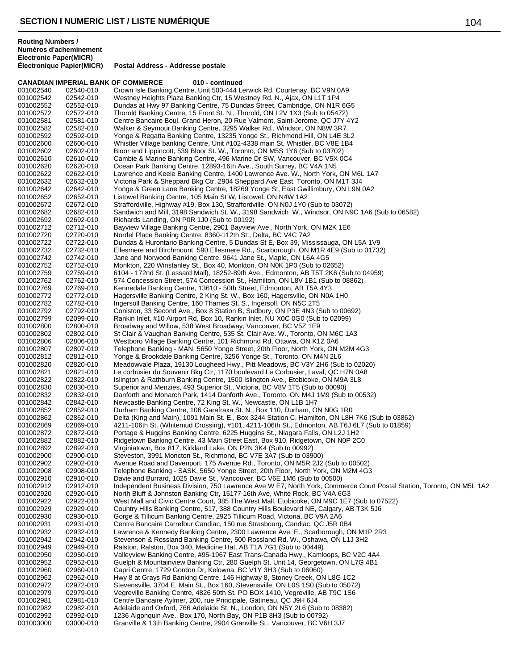**CANADIAN IMPERIAL BANK OF COMMERCE 010 - continued** 001002540 02540-010 Crown Isle Banking Centre, Unit 500-444 Lerwick Rd, Courtenay, BC V9N 0A9<br>001002542 02542-010 Westney Heights Plaza Banking Ctr, 15 Westney Rd. N., Ajax, ON L1T 1P4 001002542 02542-010 Westney Heights Plaza Banking Ctr, 15 Westney Rd. N., Ajax, ON L1T 1P4 Dundas at Hwy 97 Banking Centre, 75 Dundas Street, Cambridge, ON N1R 6G5 001002572 02572-010 Thorold Banking Centre, 15 Front St. N., Thorold, ON L2V 1X3 (Sub to 05472)<br>001002581 02581-010 Centre Bancaire Boul. Grand Heron, 20 Rue Valmont, Saint-Jerome, QC J7Y 4 001002581 02581-010 Centre Bancaire Boul. Grand Heron, 20 Rue Valmont, Saint-Jerome, QC J7Y 4Y2<br>001002582 02582-010 Walker & Seymour Banking Centre, 3295 Walker Rd., Windsor, ON N8W 3R7 001002582 02582-010 Walker & Seymour Banking Centre, 3295 Walker Rd., Windsor, ON N8W 3R7<br>001002592 02592-010 Yonge & Regatta Banking Centre, 13235 Yonge St., Richmond Hill, ON L4E 3 001002592 02592-010 Yonge & Regatta Banking Centre, 13235 Yonge St., Richmond Hill, ON L4E 3L2 Whistler Village banking Centre, Unit #102-4338 main St, Whistler, BC V8E 1B4 001002602 02602-010 Bloor and Lippincott, 539 Bloor St. W., Toronto, ON M5S 1Y6 (Sub to 03702) 001002610 02610-010 Cambie & Marine Banking Centre, 496 Marine Dr SW, Vancouver, BC V5X 0C4<br>001002620 02620-010 Ocean Park Banking Centre, 12893-16th Ave., South Surrey, BC V4A 1N5 001002620 02620-010 Ocean Park Banking Centre, 12893-16th Ave., South Surrey, BC V4A 1N5<br>001002622 02622-010 Lawrence and Keele Banking Centre, 1400 Lawrence Ave. W., North York. 001002622 02622-010 Lawrence and Keele Banking Centre, 1400 Lawrence Ave. W., North York, ON M6L 1A7<br>001002632 02632-010 Victoria Park & Sheppard Bkg Ctr, 2904 Sheppard Ave East, Toronto, ON M1T 3J4 001002632 02632-010 Victoria Park & Sheppard Bkg Ctr, 2904 Sheppard Ave East, Toronto, ON M1T 3J4 001002642 02642-010 Yonge & Green Lane Banking Centre, 18269 Yonge St, East Gwillimbury, ON L9N 0A2<br>001002652 02652-010 Listowel Banking Centre, 105 Main St W, Listowel, ON N4W 1A2 Listowel Banking Centre, 105 Main St W, Listowel, ON N4W 1A2 001002672 02672-010 Straffordville, Highway #19, Box 130, Straffordville, ON N0J 1Y0 (Sub to 03072)<br>001002682 02682-010 Sandwich and Mill, 3198 Sandwich St. W., 3198 Sandwich W., Windsor, ON N9 001002682 02682-010 Sandwich and Mill, 3198 Sandwich St. W., 3198 Sandwich W., Windsor, ON N9C 1A6 (Sub to 06582)<br>001002692 02692-010 Richards Landing, ON P0R 1J0 (Sub to 00192) 001002692 02692-010 Richards Landing, ON P0R 1J0 (Sub to 00192) 001002712 02712-010 Bayview Village Banking Centre, 2901 Bayview Ave., North York, ON M2K 1E6<br>001002720 02720-010 Nordel Place Banking Centre, 8360-112th St., Delta, BC V4C 7A2 Nordel Place Banking Centre, 8360-112th St., Delta, BC V4C 7A2 001002722 02722-010 Dundas & Hurontario Banking Centre, 5 Dundas St E, Box 39, Mississauga, ON L5A 1V9<br>001002732 02732-010 Ellesmere and Birchmount, 590 Ellesmere Rd., Scarborough, ON M1R 4E9 (Sub to 01732 Ellesmere and Birchmount, 590 Ellesmere Rd., Scarborough, ON M1R 4E9 (Sub to 01732) 001002742 02742-010 Jane and Norwood Banking Centre, 9641 Jane St., Maple, ON L6A 4G5<br>001002752 02752-010 Monkton, 220 Winstanley St., Box 40, Monkton, ON N0K 1P0 (Sub to 02 001002752 02752-010 Monkton, 220 Winstanley St., Box 40, Monkton, ON N0K 1P0 (Sub to 02652) 6104 - 172nd St. (Lessard Mall), 18252-89th Ave., Edmonton, AB T5T 2K6 (Sub to 04959) 001002762 02762-010 574 Concession Street, 574 Concession St., Hamilton, ON L8V 1B1 (Sub to 08862)<br>001002769 02769-010 Kennedale Banking Centre, 13610 - 50th Street, Edmonton, AB T5A 4Y3 Kennedale Banking Centre, 13610 - 50th Street, Edmonton, AB T5A 4Y3 001002772 02772-010 Hagersville Banking Centre, 2 King St. W., Box 160, Hagersville, ON N0A 1H0<br>001002782 02782-010 Ingersoll Banking Centre, 160 Thames St. S., Ingersoll, ON N5C 2T5 001002782 02782-010 Ingersoll Banking Centre, 160 Thames St. S., Ingersoll, ON N5C 2T5 Coniston, 33 Second Ave., Box 8 Station B, Sudbury, ON P3E 4N3 (Sub to 00692) 001002799 02099-010 Rankin Inlet, #10 Airport Rd, Box 10, Rankin Inlet, NU X0C 0G0 (Sub to 02099)<br>001002800 02800-010 Broadway and Willow, 538 West Broadway, Vancouver, BC V5Z 1E9 001002800 02800-010 Broadway and Willow, 538 West Broadway, Vancouver, BC V5Z 1E9<br>001002802 02802-010 St Clair & Vaughan Banking Centre, 535 St. Clair Ave. W., Toronto, C 001002802 02802-010 St Clair & Vaughan Banking Centre, 535 St. Clair Ave. W., Toronto, ON M6C 1A3<br>001002806 02806-010 Westboro Village Banking Centre, 101 Richmond Rd, Ottawa, ON K1Z 0A6 001002806 02806-010 Westboro Village Banking Centre, 101 Richmond Rd, Ottawa, ON K1Z 0A6<br>001002807 02807-010 Telephone Banking - MAN, 5650 Yonge Street, 20th Floor, North York, ON 001002807 02807-010 Telephone Banking - MAN, 5650 Yonge Street, 20th Floor, North York, ON M2M 4G3<br>001002812 02812-010 Yonge & Brookdale Banking Centre, 3256 Yonge St., Toronto, ON M4N 2L6 001002812 02812-010 Yonge & Brookdale Banking Centre, 3256 Yonge St., Toronto, ON M4N 2L6<br>001002820 02820-010 Meadowvale Plaza, 19130 Lougheed Hwy., Pitt Meadows, BC V3Y 2H6 (Sul Meadowvale Plaza, 19130 Lougheed Hwy., Pitt Meadows, BC V3Y 2H6 (Sub to 02020) 001002821 02821-010 Le corbusier du Souvenir Bkg Ctr, 1170 boulevard Le Corbusier, Laval, QC H7N 0A8<br>001002822 02822-010 Islington & Rathburn Banking Centre, 1500 Islington Ave., Etobicoke, ON M9A 3L8 001002822 02822-010 Islington & Rathburn Banking Centre, 1500 Islington Ave., Etobicoke, ON M9A 3L8<br>001002830 02830-010 Superior and Menzies, 493 Superior St., Victoria, BC V8V 1T5 (Sub to 00090) 001002830 02830-010 Superior and Menzies, 493 Superior St., Victoria, BC V8V 1T5 (Sub to 00090)<br>001002832 02832-010 Danforth and Monarch Park, 1414 Danforth Ave., Toronto, ON M4J 1M9 (Sub 001002832 02832-010 Danforth and Monarch Park, 1414 Danforth Ave., Toronto, ON M4J 1M9 (Sub to 00532)<br>001002842 02842-010 Newcastle Banking Centre. 72 King St. W.. Newcastle. ON L1B 1H7 Newcastle Banking Centre, 72 King St. W., Newcastle, ON L1B 1H7 001002852 02852-010 Durham Banking Centre, 106 Garafraxa St. N., Box 110, Durham, ON N0G 1R0<br>001002862 02862-010 Delta (King and Main), 1091 Main St. E., Box 3244 Station C, Hamilton, ON L8H Delta (King and Main), 1091 Main St. E., Box 3244 Station C, Hamilton, ON L8H 7K6 (Sub to 03862) 001002869 02869-010 4211-106th St. (Whitemud Crossing), #101, 4211-106th St., Edmonton, AB T6J 6L7 (Sub to 01859)<br>001002872 02872-010 Portage & Huggins Banking Centre, 6225 Huggins St., Niagara Falls, ON L2J 1H2 001002872 02872-010 Portage & Huggins Banking Centre, 6225 Huggins St., Niagara Falls, ON L2J 1H2<br>001002882 02882-010 Ridgetown Banking Centre, 43 Main Street East, Box 910, Ridgetown, ON N0P 2C Ridgetown Banking Centre, 43 Main Street East, Box 910, Ridgetown, ON N0P 2C0 001002892 02892-010 Virginiatown, Box 817, Kirkland Lake, ON P2N 3K4 (Sub to 00992) Steveston, 3991 Moncton St., Richmond, BC V7E 3A7 (Sub to 03900) 001002902 02902-010 Avenue Road and Davenport, 175 Avenue Rd., Toronto, ON M5R 2J2 (Sub to 00502) 001002908 02908-010 Telephone Banking - SASK, 5650 Yonge Street, 20th Floor, North York, ON M2M 4G3<br>001002910 02910-010 Davie and Burrard, 1025 Davie St., Vancouver, BC V6F 1M6 (Sub to 00500) Davie and Burrard, 1025 Davie St., Vancouver, BC V6E 1M6 (Sub to 00500) 001002912 02912-010 Independent Business Division, 750 Lawrence Ave W E7, North York, Commerce Court Postal Station, Toronto, ON M5L 1A2<br>001002920 02920-010 North Bluff & Johnston Banking Ctr, 15177 16th Ave, White Rock, B 001002920 02920-010 North Bluff & Johnston Banking Ctr, 15177 16th Ave, White Rock, BC V4A 6G3<br>001002922 02922-010 West Mall and Civic Centre Court, 385 The West Mall, Etobicoke, ON M9C 1E7 001002922 02922-010 West Mall and Civic Centre Court, 385 The West Mall, Etobicoke, ON M9C 1E7 (Sub to 07522)<br>001002929 02929-010 Country Hills Banking Centre. 517, 388 Country Hills Boulevard NE. Calgary. AB T3K 5J6 001002929 02929-010 Country Hills Banking Centre, 517, 388 Country Hills Boulevard NE, Calgary, AB T3K 5J6<br>001002930 02930-010 Gorge & Tillicum Banking Centre, 2925 Tillicum Road, Victoria, BC V9A 2A6 001002930 02930-010 Gorge & Tillicum Banking Centre, 2925 Tillicum Road, Victoria, BC V9A 2A6<br>001002931 02931-010 Centre Bancaire Carrefour Candiac, 150 rue Strasbourg, Candiac, QC J5R 0 001002931 02931-010 Centre Bancaire Carrefour Candiac, 150 rue Strasbourg, Candiac, QC J5R 0B4<br>001002932 02932-010 Lawrence & Kennedy Banking Centre, 2300 Lawrence Ave. E., Scarborough, O Lawrence & Kennedy Banking Centre, 2300 Lawrence Ave. E., Scarborough, ON M1P 2R3 001002942 02942-010 Stevenson & Rossland Banking Centre, 500 Rossland Rd. W., Oshawa, ON L1J 3H2<br>001002949 02949-010 Ralston, Ralston, Box 340, Medicine Hat, AB T1A 7G1 (Sub to 00449) 001002949 02949-010 Ralston, Ralston, Box 340, Medicine Hat, AB T1A 7G1 (Sub to 00449)<br>001002950 02950-010 Valleyview Banking Centre, #95-1967 East Trans-Canada Hwy., Kaml 001002950 02950-010 Valleyview Banking Centre, #95-1967 East Trans-Canada Hwy., Kamloops, BC V2C 4A4<br>001002952 02952-010 Guelph & Mountainview Banking Ctr, 280 Guelph St. Unit 14, Georgetown, ON L7G 4B1 001002952 02952-010 Guelph & Mountainview Banking Ctr, 280 Guelph St. Unit 14, Georgetown, ON L7G 4B1<br>001002960 02960-010 Capri Centre. 1729 Gordon Dr. Kelowna. BC V1Y 3H3 (Sub to 06060) Capri Centre, 1729 Gordon Dr, Kelowna, BC V1Y 3H3 (Sub to 06060) 001002962 02962-010 Hwy 8 at Grays Rd Banking Centre, 146 Highway 8, Stoney Creek, ON L8G 1C2<br>001002972 02972-010 Stevensville, 3704 E. Main St., Box 160, Stevensville, ON L0S 1S0 (Sub to 05072 Stevensville, 3704 E. Main St., Box 160, Stevensville, ON L0S 1S0 (Sub to 05072) 001002979 02979-010 Vegreville Banking Centre, 4826 50th St. PO BOX 1410, Vegreville, AB T9C 1S6<br>001002981 02981-010 Centre Bancaire Aylmer, 200, rue Principale, Gatineau, QC J9H 6J4 001002981 02981-010 Centre Bancaire Aylmer, 200, rue Principale, Gatineau, QC J9H 6J4<br>001002982 02982-010 Adelaide and Oxford. 766 Adelaide St. N., London, ON N5Y 2L6 (Su Adelaide and Oxford, 766 Adelaide St. N., London, ON N5Y 2L6 (Sub to 08382) 001002992 02992-010 1236 Algonquin Ave., Box 170, North Bay, ON P1B 8H3 (Sub to 00792) Granville & 13th Banking Centre, 2904 Granville St., Vancouver, BC V6H 3J7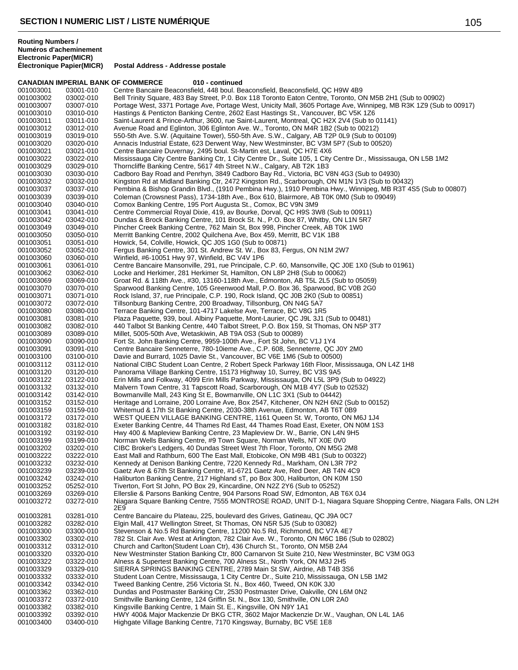|                        |                        | <b>CANADIAN IMPERIAL BANK OF COMMERCE</b><br>010 - continued                                                                                                             |
|------------------------|------------------------|--------------------------------------------------------------------------------------------------------------------------------------------------------------------------|
| 001003001              | 03001-010              | Centre Bancaire Beaconsfield, 448 boul. Beaconsfield, Beaconsfield, QC H9W 4B9                                                                                           |
| 001003002              | 03002-010              | Bell Trinity Square, 483 Bay Street, P.O. Box 118 Toronto Eaton Centre, Toronto, ON M5B 2H1 (Sub to 00902)                                                               |
| 001003007              | 03007-010              | Portage West, 3371 Portage Ave, Portage West, Unicity Mall, 3605 Portage Ave, Winnipeg, MB R3K 1Z9 (Sub to 00917)                                                        |
| 001003010              | 03010-010              | Hastings & Penticton Banking Centre, 2602 East Hastings St., Vancouver, BC V5K 1Z6                                                                                       |
| 001003011              | 03011-010              | Saint-Laurent & Prince-Arthur, 3600, rue Saint-Laurent, Montreal, QC H2X 2V4 (Sub to 01141)                                                                              |
| 001003012              | 03012-010              | Avenue Road and Eglinton, 306 Eglinton Ave. W., Toronto, ON M4R 1B2 (Sub to 00212)                                                                                       |
| 001003019              | 03019-010              | 550-5th Ave. S.W. (Aquitaine Tower), 550-5th Ave. S.W., Calgary, AB T2P 0L9 (Sub to 00109)                                                                               |
| 001003020              | 03020-010              | Annacis Industrial Estate, 623 Derwent Way, New Westminster, BC V3M 5P7 (Sub to 00520)                                                                                   |
| 001003021              | 03021-010              | Centre Bancaire Duvernay, 2495 boul. St-Martin est, Laval, QC H7E 4X6                                                                                                    |
| 001003022              | 03022-010              | Mississauga City Centre Banking Ctr, 1 City Centre Dr., Suite 105, 1 City Centre Dr., Mississauga, ON L5B 1M2                                                            |
| 001003029<br>001003030 | 03029-010<br>03030-010 | Thorncliffe Banking Centre, 5617 4th Street N.W., Calgary, AB T2K 1B3<br>Cadboro Bay Road and Penrhyn, 3849 Cadboro Bay Rd., Victoria, BC V8N 4G3 (Sub to 04930)         |
| 001003032              | 03032-010              | Kingston Rd at Midland Banking Ctr, 2472 Kingston Rd., Scarborough, ON M1N 1V3 (Sub to 00432)                                                                            |
| 001003037              | 03037-010              | Pembina & Bishop Grandin Blvd., (1910 Pembina Hwy.), 1910 Pembina Hwy., Winnipeg, MB R3T 4S5 (Sub to 00807)                                                              |
| 001003039              | 03039-010              | Coleman (Crowsnest Pass), 1734-18th Ave., Box 610, Blairmore, AB T0K 0M0 (Sub to 09049)                                                                                  |
| 001003040              | 03040-010              | Comox Banking Centre, 195 Port Augusta St., Comox, BC V9N 3M9                                                                                                            |
| 001003041              | 03041-010              | Centre Commercial Royal Dixie, 419, av Bourke, Dorval, QC H9S 3W8 (Sub to 00911)                                                                                         |
| 001003042              | 03042-010              | Dundas & Brock Banking Centre, 101 Brock St. N., P.O. Box 87, Whitby, ON L1N 5R7                                                                                         |
| 001003049              | 03049-010              | Pincher Creek Banking Centre, 762 Main St, Box 998, Pincher Creek, AB T0K 1W0                                                                                            |
| 001003050              | 03050-010              | Merritt Banking Centre, 2002 Quilchena Ave, Box 459, Merritt, BC V1K 1B8                                                                                                 |
| 001003051              | 03051-010              | Howick, 54, Colville, Howick, QC J0S 1G0 (Sub to 00871)                                                                                                                  |
| 001003052              | 03052-010              | Fergus Banking Centre, 301 St. Andrew St. W., Box 83, Fergus, ON N1M 2W7                                                                                                 |
| 001003060              | 03060-010              | Winfield, #6-10051 Hwy 97, Winfield, BC V4V 1P6                                                                                                                          |
| 001003061              | 03061-010              | Centre Bancaire Mansonville, 291, rue Principale, C.P. 60, Mansonville, QC J0E 1X0 (Sub to 01961)                                                                        |
| 001003062              | 03062-010              | Locke and Herkimer, 281 Herkimer St, Hamilton, ON L8P 2H8 (Sub to 00062)                                                                                                 |
| 001003069              | 03069-010              | Groat Rd. & 118th Ave., #30, 13160-118th Ave., Edmonton, AB T5L 2L5 (Sub to 05059)                                                                                       |
| 001003070              | 03070-010              | Sparwood Banking Centre, 105 Greenwood Mall, P.O. Box 36, Sparwood, BC V0B 2G0                                                                                           |
| 001003071              | 03071-010              | Rock Island, 37, rue Principale, C.P. 190, Rock Island, QC J0B 2K0 (Sub to 00851)                                                                                        |
| 001003072              | 03072-010              | Tillsonburg Banking Centre, 200 Broadway, Tillsonburg, ON N4G 5A7                                                                                                        |
| 001003080              | 03080-010              | Terrace Banking Centre, 101-4717 Lakelse Ave, Terrace, BC V8G 1R5                                                                                                        |
| 001003081              | 03081-010              | Plaza Paquette, 939, boul. Albiny Paquette, Mont-Laurier, QC J9L 3J1 (Sub to 00481)                                                                                      |
| 001003082              | 03082-010              | 440 Talbot St Banking Centre, 440 Talbot Street, P.O. Box 159, St Thomas, ON N5P 3T7                                                                                     |
| 001003089              | 03089-010              | Millet, 5005-50th Ave, Wetaskiwin, AB T9A 0S3 (Sub to 00089)                                                                                                             |
| 001003090              | 03090-010              | Fort St. John Banking Centre, 9959-100th Ave., Fort St John, BC V1J 1Y4                                                                                                  |
| 001003091              | 03091-010              | Centre Bancaire Senneterre, 780-10ieme Ave., C.P. 608, Senneterre, QC J0Y 2M0                                                                                            |
| 001003100<br>001003112 | 03100-010<br>03112-010 | Davie and Burrard, 1025 Davie St., Vancouver, BC V6E 1M6 (Sub to 00500)<br>National CIBC Student Loan Centre, 2 Robert Speck Parkway 16th Floor, Mississauga, ON L4Z 1H8 |
| 001003120              | 03120-010              | Panorama Village Banking Centre, 15173 Highway 10, Surrey, BC V3S 9A5                                                                                                    |
| 001003122              | 03122-010              | Erin Mills and Folkway, 4099 Erin Mills Parkway, Mississauga, ON L5L 3P9 (Sub to 04922)                                                                                  |
| 001003132              | 03132-010              | Malvern Town Centre, 31 Tapscott Road, Scarborough, ON M1B 4Y7 (Sub to 02532)                                                                                            |
| 001003142              | 03142-010              | Bowmanville Mall, 243 King St E, Bowmanville, ON L1C 3X1 (Sub to 04442)                                                                                                  |
| 001003152              | 03152-010              | Heritage and Lorraine, 200 Lorraine Ave, Box 2547, Kitchener, ON N2H 6N2 (Sub to 00152)                                                                                  |
| 001003159              | 03159-010              | Whitemud & 17th St Banking Centre, 2030-38th Avenue, Edmonton, AB T6T 0B9                                                                                                |
| 001003172              | 03172-010              | WEST QUEEN VILLAGE BANKING CENTRE, 1161 Queen St. W, Toronto, ON M6J 1J4                                                                                                 |
| 001003182              | 03182-010              | Exeter Banking Centre, 44 Thames Rd East, 44 Thames Road East, Exeter, ON N0M 1S3                                                                                        |
| 001003192              | 03192-010              | Hwy 400 & Mapleview Banking Centre, 23 Mapleview Dr. W., Barrie, ON L4N 9H5                                                                                              |
| 001003199              | 03199-010              | Norman Wells Banking Centre, #9 Town Square, Norman Wells, NT X0E 0V0                                                                                                    |
| 001003202              | 03202-010              | CIBC Broker's Ledgers, 40 Dundas Street West 7th Floor, Toronto, ON M5G 2M8                                                                                              |
| 001003222              | 03222-010              | East Mall and Rathburn, 600 The East Mall, Etobicoke, ON M9B 4B1 (Sub to 00322)                                                                                          |
| 001003232              | 03232-010              | Kennedy at Denison Banking Centre, 7220 Kennedy Rd., Markham, ON L3R 7P2                                                                                                 |
| 001003239              | 03239-010              | Gaetz Ave & 67th St Banking Centre, #1-6721 Gaetz Ave, Red Deer, AB T4N 4C9                                                                                              |
| 001003242              | 03242-010              | Haliburton Banking Centre, 217 Highland sT, po Box 300, Haliburton, ON K0M 1S0                                                                                           |
| 001003252              | 05252-010              | Tiverton, Fort St John, PO Box 29, Kincardine, ON N2Z 2Y6 (Sub to 05252)                                                                                                 |
| 001003269              | 03269-010              | Ellerslie & Parsons Banking Centre, 904 Parsons Road SW, Edmonton, AB T6X 0J4                                                                                            |
| 001003272              | 03272-010              | Niagara Square Banking Centre, 7555 MONTROSE ROAD, UNIT D-1, Niagara Square Shopping Centre, Niagara Falls, ON L2H<br>2E9                                                |
| 001003281              | 03281-010              | Centre Bancaire du Plateau, 225, boulevard des Grives, Gatineau, QC J9A 0C7                                                                                              |
| 001003282              | 03282-010              | Elgin Mall, 417 Wellington Street, St Thomas, ON N5R 5J5 (Sub to 03082)                                                                                                  |
| 001003300              | 03300-010              | Stevenson & No.5 Rd Banking Centre, 11200 No.5 Rd, Richmond, BC V7A 4E7                                                                                                  |
| 001003302              | 03302-010              | 782 St. Clair Ave. West at Arlington, 782 Clair Ave. W., Toronto, ON M6C 1B6 (Sub to 02802)                                                                              |
| 001003312              | 03312-010              | Church and Carlton(Student Loan Ctr), 436 Church St., Toronto, ON M5B 2A4                                                                                                |
| 001003320              | 03320-010              | New Westminster Station Banking Ctr, 800 Carnarvon St Suite 210, New Westminster, BC V3M 0G3                                                                             |
| 001003322              | 03322-010              | Alness & Supertest Banking Centre, 700 Alness St., North York, ON M3J 2H5                                                                                                |
| 001003329              | 03329-010              | SIERRA SPRINGS BANKING CENTRE, 2789 Main St SW, Airdrie, AB T4B 3S6                                                                                                      |
| 001003332              | 03332-010              | Student Loan Centre, Mississauga, 1 City Centre Dr., Suite 210, Mississauga, ON L5B 1M2                                                                                  |
| 001003342              | 03342-010              | Tweed Banking Centre, 256 Victoria St. N., Box 460, Tweed, ON K0K 3J0                                                                                                    |
| 001003362              | 03362-010              | Dundas and Postmaster Banking Ctr, 2530 Postmaster Drive, Oakville, ON L6M 0N2                                                                                           |
| 001003372              | 03372-010              | Smithville Banking Centre, 124 Griffin St. N., Box 130, Smithville, ON L0R 2A0                                                                                           |
| 001003382              | 03382-010              | Kingsville Banking Centre, 1 Main St. E., Kingsville, ON N9Y 1A1                                                                                                         |
| 001003392              | 03392-010              | HWY 400& Major Mackenzie Dr BKG CTR, 3602 Major Mackenzie Dr.W., Vaughan, ON L4L 1A6                                                                                     |
| 001003400              | 03400-010              | Highgate Village Banking Centre, 7170 Kingsway, Burnaby, BC V5E 1E8                                                                                                      |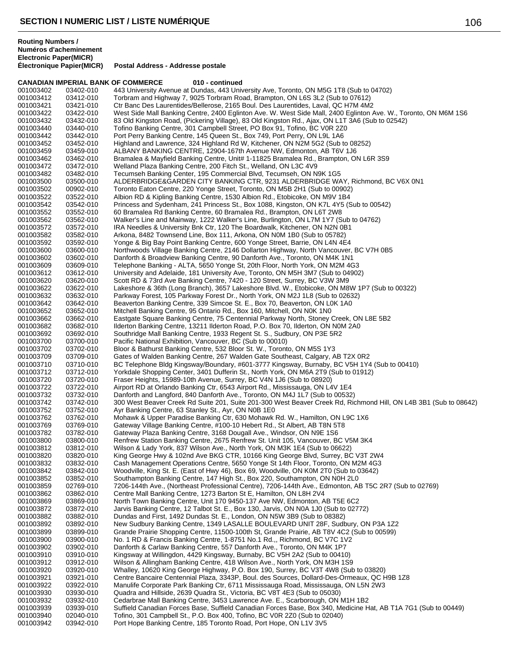|                        | <b>CANADIAN IMPERIAL BANK OF COMMERCE</b> | 010 - continued                                                                                                                                                                |
|------------------------|-------------------------------------------|--------------------------------------------------------------------------------------------------------------------------------------------------------------------------------|
| 001003402              | 03402-010                                 | 443 University Avenue at Dundas, 443 University Ave, Toronto, ON M5G 1T8 (Sub to 04702)                                                                                        |
| 001003412              | 03412-010                                 | Torbram and Highway 7, 9025 Torbram Road, Brampton, ON L6S 3L2 (Sub to 07612)                                                                                                  |
| 001003421              | 03421-010                                 | Ctr Banc Des Laurentides/Bellerose, 2165 Boul. Des Laurentides, Laval, QC H7M 4M2                                                                                              |
| 001003422              | 03422-010                                 | West Side Mall Banking Centre, 2400 Eglinton Ave. W. West Side Mall, 2400 Eglinton Ave. W., Toronto, ON M6M 1S6                                                                |
| 001003432<br>001003440 | 03432-010<br>03440-010                    | 83 Old Kingston Road, (Pickering Village), 83 Old Kingston Rd., Ajax, ON L1T 3A6 (Sub to 02542)<br>Tofino Banking Centre, 301 Campbell Street, PO Box 91, Tofino, BC V0R 2Z0   |
| 001003442              | 03442-010                                 | Port Perry Banking Centre, 145 Queen St., Box 749, Port Perry, ON L9L 1A6                                                                                                      |
| 001003452              | 03452-010                                 | Highland and Lawrence, 324 Highland Rd W, Kitchener, ON N2M 5G2 (Sub to 08252)                                                                                                 |
| 001003459              | 03459-010                                 | ALBANY BANKING CENTRE, 12904-167th Avenue NW, Edmonton, AB T6V 1J6                                                                                                             |
| 001003462              | 03462-010                                 | Bramalea & Mayfield Banking Centre, Unit# 1-11825 Bramalea Rd., Brampton, ON L6R 3S9                                                                                           |
| 001003472              | 03472-010                                 | Welland Plaza Banking Centre, 200 Fitch St., Welland, ON L3C 4V9                                                                                                               |
| 001003482              | 03482-010                                 | Tecumseh Banking Center, 195 Commercial Blvd, Tecumseh, ON N9K 1G5                                                                                                             |
| 001003500              | 03500-010                                 | ALDERBRIDGE&GARDEN CITY BANKING CTR, 9231 ALDERBRIDGE WAY, Richmond, BC V6X 0N1                                                                                                |
| 001003502              | 00902-010                                 | Toronto Eaton Centre, 220 Yonge Street, Toronto, ON M5B 2H1 (Sub to 00902)                                                                                                     |
| 001003522              | 03522-010                                 | Albion RD & Kipling Banking Centre, 1530 Albion Rd., Etobicoke, ON M9V 1B4                                                                                                     |
| 001003542              | 03542-010                                 | Princess and Sydenham, 241 Princess St., Box 1088, Kingston, ON K7L 4Y5 (Sub to 00542)                                                                                         |
| 001003552              | 03552-010                                 | 60 Bramalea Rd Banking Centre, 60 Bramalea Rd., Brampton, ON L6T 2W8                                                                                                           |
| 001003562              | 03562-010                                 | Walker's Line and Mainway, 1222 Walker's Line, Burlington, ON L7M 1Y7 (Sub to 04762)                                                                                           |
| 001003572              | 03572-010                                 | IRA Needles & University Bnk Ctr, 120 The Boardwalk, Kitchener, ON N2N 0B1                                                                                                     |
| 001003582              | 03582-010                                 | Arkona, 8482 Townsend Line, Box 111, Arkona, ON N0M 1B0 (Sub to 05782)                                                                                                         |
| 001003592              | 03592-010                                 | Yonge & Big Bay Point Banking Centre, 600 Yonge Street, Barrie, ON L4N 4E4                                                                                                     |
| 001003600              | 03600-010                                 | Northwoods Village Banking Centre, 2146 Dollarton Highway, North Vancouver, BC V7H 0B5                                                                                         |
| 001003602              | 03602-010                                 | Danforth & Broadview Banking Centre, 90 Danforth Ave., Toronto, ON M4K 1N1                                                                                                     |
| 001003609              | 03609-010                                 | Telephone Banking - ALTA, 5650 Yonge St, 20th Floor, North York, ON M2M 4G3                                                                                                    |
| 001003612              | 03612-010                                 | University and Adelaide, 181 University Ave, Toronto, ON M5H 3M7 (Sub to 04902)                                                                                                |
| 001003620              | 03620-010                                 | Scott RD & 73rd Ave Banking Centre, 7420 - 120 Street, Surrey, BC V3W 3M9                                                                                                      |
| 001003622              | 03622-010                                 | Lakeshore & 36th (Long Branch), 3657 Lakeshore Blvd. W., Etobicoke, ON M8W 1P7 (Sub to 00322)<br>Parkway Forest, 105 Parkway Forest Dr., North York, ON M2J 1L8 (Sub to 02632) |
| 001003632              | 03632-010<br>03642-010                    | Beaverton Banking Centre, 339 Simcoe St. E., Box 70, Beaverton, ON L0K 1A0                                                                                                     |
| 001003642<br>001003652 | 03652-010                                 | Mitchell Banking Centre, 95 Ontario Rd., Box 160, Mitchell, ON N0K 1N0                                                                                                         |
| 001003662              | 03662-010                                 | Eastgate Square Banking Centre, 75 Centennial Parkway North, Stoney Creek, ON L8E 5B2                                                                                          |
| 001003682              | 03682-010                                 | Ilderton Banking Centre, 13211 Ilderton Road, P.O. Box 70, Ilderton, ON N0M 2A0                                                                                                |
| 001003692              | 03692-010                                 | Southridge Mall Banking Centre, 1933 Regent St. S., Sudbury, ON P3E 5R2                                                                                                        |
| 001003700              | 03700-010                                 | Pacific National Exhibition, Vancouver, BC (Sub to 00010)                                                                                                                      |
| 001003702              | 03702-010                                 | Bloor & Bathurst Banking Centre, 532 Bloor St. W., Toronto, ON M5S 1Y3                                                                                                         |
| 001003709              | 03709-010                                 | Gates of Walden Banking Centre, 267 Walden Gate Southeast, Calgary, AB T2X 0R2                                                                                                 |
| 001003710              | 03710-010                                 | BC Telephone Bldg Kingsway/Boundary, #601-3777 Kingsway, Burnaby, BC V5H 1Y4 (Sub to 00410)                                                                                    |
| 001003712              | 03712-010                                 | Yorkdale Shopping Center, 3401 Dufferin St., North York, ON M6A 2T9 (Sub to 01912)                                                                                             |
| 001003720              | 03720-010                                 | Fraser Heights, 15989-10th Avenue, Surrey, BC V4N 1J6 (Sub to 08920)                                                                                                           |
| 001003722              | 03722-010                                 | Airport RD at Orlando Banking Ctr, 6543 Airport Rd., Mississauga, ON L4V 1E4                                                                                                   |
| 001003732              | 03732-010                                 | Danforth and Langford, 840 Danforth Ave., Toronto, ON M4J 1L7 (Sub to 00532)                                                                                                   |
| 001003742              | 03742-010                                 | 300 West Beaver Creek Rd Suite 201, Suite 201-300 West Beaver Creek Rd, Richmond Hill, ON L4B 3B1 (Sub to 08642)                                                               |
| 001003752              | 03752-010                                 | Ayr Banking Centre, 63 Stanley St., Ayr, ON N0B 1E0                                                                                                                            |
| 001003762              | 03762-010                                 | Mohawk & Upper Paradise Banking Ctr, 630 Mohawk Rd. W., Hamilton, ON L9C 1X6                                                                                                   |
| 001003769              | 03769-010                                 | Gateway Village Banking Centre, #100-10 Hebert Rd., St Albert, AB T8N 5T8                                                                                                      |
| 001003782              | 03782-010                                 | Gateway Plaza Banking Centre, 3168 Dougall Ave., Windsor, ON N9E 1S6                                                                                                           |
| 001003800              | 03800-010                                 | Renfrew Station Banking Centre, 2675 Renfrew St. Unit 105, Vancouver, BC V5M 3K4                                                                                               |
| 001003812              | 03812-010                                 | Wilson & Lady York, 837 Wilson Ave., North York, ON M3K 1E4 (Sub to 06622)                                                                                                     |
| 001003820              | 03820-010                                 | King George Hwy & 102nd Ave BKG CTR, 10166 King George Blvd, Surrey, BC V3T 2W4                                                                                                |
| 001003832<br>001003842 | 03832-010<br>03842-010                    | Cash Management Operations Centre, 5650 Yonge St 14th Floor, Toronto, ON M2M 4G3<br>Woodville, King St. E. (East of Hwy 46), Box 69, Woodville, ON K0M 2T0 (Sub to 03642)      |
| 001003852              | 03852-010                                 | Southampton Banking Centre, 147 High St., Box 220, Southampton, ON N0H 2L0                                                                                                     |
| 001003859              | 02769-010                                 | 7206-144th Ave., (Northeast Professional Centre), 7206-144th Ave., Edmonton, AB T5C 2R7 (Sub to 02769)                                                                         |
| 001003862              | 03862-010                                 | Centre Mall Banking Centre, 1273 Barton St E, Hamilton, ON L8H 2V4                                                                                                             |
| 001003869              | 03869-010                                 | North Town Banking Centre, Unit 170 9450-137 Ave NW, Edmonton, AB T5E 6C2                                                                                                      |
| 001003872              | 03872-010                                 | Jarvis Banking Centre, 12 Talbot St. E., Box 130, Jarvis, ON N0A 1J0 (Sub to 02772)                                                                                            |
| 001003882              | 03882-010                                 | Dundas and First, 1492 Dundas St. E., London, ON N5W 3B9 (Sub to 08382)                                                                                                        |
| 001003892              | 03892-010                                 | New Sudbury Banking Centre, 1349 LASALLE BOULEVARD UNIT 28F, Sudbury, ON P3A 1Z2                                                                                               |
| 001003899              | 03899-010                                 | Grande Prairie Shopping Centre, 11500-100th St, Grande Prairie, AB T8V 4C2 (Sub to 00599)                                                                                      |
| 001003900              | 03900-010                                 | No. 1 RD & Francis Banking Centre, 1-8751 No. 1 Rd., Richmond, BC V7C 1V2                                                                                                      |
| 001003902              | 03902-010                                 | Danforth & Carlaw Banking Centre, 557 Danforth Ave., Toronto, ON M4K 1P7                                                                                                       |
| 001003910              | 03910-010                                 | Kingsway at Willingdon, 4429 Kingsway, Burnaby, BC V5H 2A2 (Sub to 00410)                                                                                                      |
| 001003912              | 03912-010                                 | Wilson & Allingham Banking Centre, 418 Wilson Ave., North York, ON M3H 1S9                                                                                                     |
| 001003920              | 03920-010                                 | Whalley, 10620 King George Highway, P.O. Box 190, Surrey, BC V3T 4W8 (Sub to 03820)                                                                                            |
| 001003921              | 03921-010                                 | Centre Bancaire Centennial Plaza, 3343P, Boul. des Sources, Dollard-Des-Ormeaux, QC H9B 1Z8                                                                                    |
| 001003922              | 03922-010                                 | Manulife Corporate Park Banking Ctr, 6711 Mississauga Road, Mississauga, ON L5N 2W3                                                                                            |
| 001003930              | 03930-010                                 | Quadra and Hillside, 2639 Quadra St., Victoria, BC V8T 4E3 (Sub to 05030)                                                                                                      |
| 001003932              | 03932-010                                 | Cedarbrae Mall Banking Centre, 3453 Lawrence Ave. E., Scarborough, ON M1H 1B2                                                                                                  |
| 001003939              | 03939-010                                 | Suffield Canadian Forces Base, Suffield Canadian Forces Base, Box 340, Medicine Hat, AB T1A 7G1 (Sub to 00449)                                                                 |
| 001003940<br>001003942 | 02040-010<br>03942-010                    | Tofino, 301 Campbell St., P.O. Box 400, Tofino, BC V0R 2Z0 (Sub to 02040)<br>Port Hope Banking Centre, 185 Toronto Road, Port Hope, ON L1V 3V5                                 |
|                        |                                           |                                                                                                                                                                                |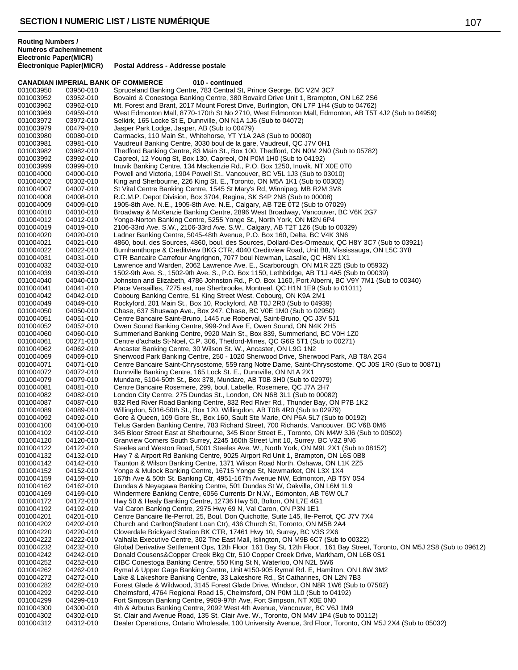|                        |                        | 010 - continued<br><b>CANADIAN IMPERIAL BANK OF COMMERCE</b>                                                                                                                               |
|------------------------|------------------------|--------------------------------------------------------------------------------------------------------------------------------------------------------------------------------------------|
| 001003950              | 03950-010              | Spruceland Banking Centre, 783 Central St, Prince George, BC V2M 3C7                                                                                                                       |
| 001003952              | 03952-010              | Bovaird & Conestoga Banking Centre, 380 Bovaird Drive Unit 1, Brampton, ON L6Z 2S6                                                                                                         |
| 001003962              | 03962-010              | Mt. Forest and Brant, 2017 Mount Forest Drive, Burlington, ON L7P 1H4 (Sub to 04762)<br>West Edmonton Mall, 8770-170th St No 2710, West Edmonton Mall, Edmonton, AB T5T 4J2 (Sub to 04959) |
| 001003969<br>001003972 | 04959-010<br>03972-010 | Selkirk, 165 Locke St E, Dunnville, ON N1A 1J6 (Sub to 04072)                                                                                                                              |
| 001003979              | 00479-010              | Jasper Park Lodge, Jasper, AB (Sub to 00479)                                                                                                                                               |
| 001003980              | 00080-010              | Carmacks, 110 Main St., Whitehorse, YT Y1A 2A8 (Sub to 00080)                                                                                                                              |
| 001003981              | 03981-010              | Vaudreuil Banking Centre, 3030 boul de la gare, Vaudreuil, QC J7V 0H1                                                                                                                      |
| 001003982              | 03982-010              | Thedford Banking Centre, 83 Main St., Box 100, Thedford, ON N0M 2N0 (Sub to 05782)                                                                                                         |
| 001003992              | 03992-010              | Capreol, 12 Young St, Box 130, Capreol, ON P0M 1H0 (Sub to 04192)                                                                                                                          |
| 001003999              | 03999-010              | Inuvik Banking Centre, 134 Mackenzie Rd., P.O. Box 1250, Inuvik, NT X0E 0T0                                                                                                                |
| 001004000              | 04000-010              | Powell and Victoria, 1904 Powell St., Vancouver, BC V5L 1J3 (Sub to 03010)                                                                                                                 |
| 001004002              | 00302-010              | King and Sherbourne, 226 King St. E., Toronto, ON M5A 1K1 (Sub to 00302)                                                                                                                   |
| 001004007              | 04007-010              | St Vital Centre Banking Centre, 1545 St Mary's Rd, Winnipeg, MB R2M 3V8                                                                                                                    |
| 001004008              | 04008-010              | R.C.M.P. Depot Division, Box 3704, Regina, SK S4P 2N8 (Sub to 00008)                                                                                                                       |
| 001004009              | 04009-010              | 1905-8th Ave. N.E., 1905-8th Ave. N.E., Calgary, AB T2E 0T2 (Sub to 07029)                                                                                                                 |
| 001004010              | 04010-010              | Broadway & McKenzie Banking Centre, 2896 West Broadway, Vancouver, BC V6K 2G7                                                                                                              |
| 001004012              | 04012-010              | Yonge-Norton Banking Centre, 5255 Yonge St., North York, ON M2N 6P4                                                                                                                        |
| 001004019              | 04019-010              | 2106-33rd Ave. S.W., 2106-33rd Ave. S.W., Calgary, AB T2T 1Z6 (Sub to 00329)                                                                                                               |
| 001004020              | 04020-010              | Ladner Banking Centre, 5045-48th Avenue, P.O. Box 160, Delta, BC V4K 3N6                                                                                                                   |
| 001004021              | 04021-010              | 4860, boul. des Sources, 4860, boul. des Sources, Dollard-Des-Ormeaux, QC H8Y 3C7 (Sub to 03921)                                                                                           |
| 001004022              | 04022-010              | Burnhamthorpe & Creditview BKG CTR, 4040 Creditview Road, Unit B8, Mississauga, ON L5C 3Y8                                                                                                 |
| 001004031              | 04031-010              | CTR Bancaire Carrefour Angrignon, 7077 boul Newman, Lasalle, QC H8N 1X1                                                                                                                    |
| 001004032              | 04032-010              | Lawrence and Warden, 2062 Lawrence Ave. E., Scarborough, ON M1R 2Z5 (Sub to 05932)                                                                                                         |
| 001004039              | 04039-010              | 1502-9th Ave. S., 1502-9th Ave. S., P.O. Box 1150, Lethbridge, AB T1J 4A5 (Sub to 00039)                                                                                                   |
| 001004040              | 04040-010              | Johnston and Elizabeth, 4786 Johnston Rd., P.O. Box 1160, Port Alberni, BC V9Y 7M1 (Sub to 00340)                                                                                          |
| 001004041              | 04041-010              | Place Versailles, 7275 est, rue Sherbrooke, Montreal, QC H1N 1E9 (Sub to 01011)                                                                                                            |
| 001004042              | 04042-010              | Cobourg Banking Centre, 51 King Street West, Cobourg, ON K9A 2M1                                                                                                                           |
| 001004049              | 04049-010              | Rockyford, 201 Main St., Box 10, Rockyford, AB T0J 2R0 (Sub to 04939)                                                                                                                      |
| 001004050              | 04050-010              | Chase, 637 Shuswap Ave., Box 247, Chase, BC V0E 1M0 (Sub to 02950)                                                                                                                         |
| 001004051              | 04051-010              | Centre Bancaire Saint-Bruno, 1445 rue Roberval, Saint-Bruno, QC J3V 5J1                                                                                                                    |
| 001004052              | 04052-010              | Owen Sound Banking Centre, 999-2nd Ave E, Owen Sound, ON N4K 2H5                                                                                                                           |
| 001004060              | 04060-010              | Summerland Banking Centre, 9920 Main St., Box 839, Summerland, BC V0H 1Z0                                                                                                                  |
| 001004061              | 00271-010<br>04062-010 | Centre d'achats St-Noel, C.P. 306, Thetford-Mines, QC G6G 5T1 (Sub to 00271)<br>Ancaster Banking Centre, 30 Wilson St. W., Ancaster, ON L9G 1N2                                            |
| 001004062<br>001004069 | 04069-010              | Sherwood Park Banking Centre, 250 - 1020 Sherwood Drive, Sherwood Park, AB T8A 2G4                                                                                                         |
| 001004071              | 04071-010              | Centre Bancaire Saint-Chrysostome, 559 rang Notre Dame, Saint-Chrysostome, QC J0S 1R0 (Sub to 00871)                                                                                       |
| 001004072              | 04072-010              | Dunnville Banking Centre, 165 Lock St. E., Dunnville, ON N1A 2X1                                                                                                                           |
| 001004079              | 04079-010              | Mundare, 5104-50th St., Box 378, Mundare, AB T0B 3H0 (Sub to 02979)                                                                                                                        |
| 001004081              | 04081-010              | Centre Bancaire Rosemere, 299, boul. Labelle, Rosemere, QC J7A 2H7                                                                                                                         |
| 001004082              | 04082-010              | London City Centre, 275 Dundas St., London, ON N6B 3L1 (Sub to 00082)                                                                                                                      |
| 001004087              | 04087-010              | 832 Red River Road Banking Centre, 832 Red River Rd., Thunder Bay, ON P7B 1K2                                                                                                              |
| 001004089              | 04089-010              | Willingdon, 5016-50th St., Box 120, Willingdon, AB T0B 4R0 (Sub to 02979)                                                                                                                  |
| 001004092              | 04092-010              | Gore & Queen, 109 Gore St., Box 160, Sault Ste Marie, ON P6A 5L7 (Sub to 00192)                                                                                                            |
| 001004100              | 04100-010              | Telus Garden Banking Centre, 783 Richard Street, 700 Richards, Vancouver, BC V6B 0M6                                                                                                       |
| 001004102              | 04102-010              | 345 Bloor Street East at Sherbourne, 345 Bloor Street E., Toronto, ON M4W 3J6 (Sub to 00502)                                                                                               |
| 001004120              | 04120-010              | Granview Corners South Surrey, 2245 160th Street Unit 10, Surrey, BC V3Z 9N6                                                                                                               |
| 001004122              | 04122-010              | Steeles and Weston Road, 5001 Steeles Ave. W., North York, ON M9L 2X1 (Sub to 08152)                                                                                                       |
| 001004132              | 04132-010              | Hwy 7 & Airport Rd Banking Centre, 9025 Airport Rd Unit 1, Brampton, ON L6S 0B8                                                                                                            |
| 001004142              | 04142-010              | Taunton & Wilson Banking Centre, 1371 Wilson Road North, Oshawa, ON L1K 2Z5                                                                                                                |
| 001004152              | 04152-010              | Yonge & Mulock Banking Centre, 16715 Yonge St, Newmarket, ON L3X 1X4                                                                                                                       |
| 001004159              | 04159-010              | 167th Ave & 50th St. Banking Ctr, 4951-167th Avenue NW, Edmonton, AB T5Y 0S4                                                                                                               |
| 001004162              | 04162-010              | Dundas & Neyagawa Banking Centre, 501 Dundas St W, Oakville, ON L6M 1L9                                                                                                                    |
| 001004169              | 04169-010              | Windermere Banking Centre, 6056 Currents Dr N.W., Edmonton, AB T6W 0L7                                                                                                                     |
| 001004172              | 04172-010              | Hwy 50 & Healy Banking Centre, 12736 Hwy 50, Bolton, ON L7E 4G1                                                                                                                            |
| 001004192              | 04192-010              | Val Caron Banking Centre, 2975 Hwy 69 N, Val Caron, ON P3N 1E1                                                                                                                             |
| 001004201              | 04201-010              | Centre Bancaire Ile-Perrot, 25, Boul. Don Quichotte, Suite 145, Ile-Perrot, QC J7V 7X4                                                                                                     |
| 001004202<br>001004220 | 04202-010<br>04220-010 | Church and Carlton (Student Loan Ctr), 436 Church St, Toronto, ON M5B 2A4<br>Cloverdale Brickyard Station BK CTR, 17461 Hwy 10, Surrey, BC V3S 2X6                                         |
| 001004222              | 04222-010              | Valhalla Executive Centre, 302 The East Mall, Islington, ON M9B 6C7 (Sub to 00322)                                                                                                         |
| 001004232              | 04232-010              | Global Derivative Settlement Ops, 12th Floor 161 Bay St, 12th Floor, 161 Bay Street, Toronto, ON M5J 2S8 (Sub to 09612)                                                                    |
| 001004242              | 04242-010              | Donald Cousens&Copper Creek Bkg Ctr, 510 Copper Creek Drive, Markham, ON L6B 0S1                                                                                                           |
| 001004252              | 04252-010              | CIBC Conestoga Banking Centre, 550 King St N, Waterloo, ON N2L 5W6                                                                                                                         |
| 001004262              | 04262-010              | Rymal & Upper Gage Banking Centre, Unit #150-905 Rymal Rd. E, Hamilton, ON L8W 3M2                                                                                                         |
| 001004272              | 04272-010              | Lake & Lakeshore Banking Centre, 33 Lakeshore Rd., St Catharines, ON L2N 7B3                                                                                                               |
| 001004282              | 04282-010              | Forest Glade & Wildwood, 3145 Forest Glade Drive, Windsor, ON N8R 1W6 (Sub to 07582)                                                                                                       |
| 001004292              | 04292-010              | Chelmsford, 4764 Regional Road 15, Chelmsford, ON P0M 1L0 (Sub to 04192)                                                                                                                   |
| 001004299              | 04299-010              | Fort Simpson Banking Centre, 9909-97th Ave, Fort Simpson, NT X0E 0N0                                                                                                                       |
| 001004300              | 04300-010              | 4th & Arbutus Banking Centre, 2092 West 4th Avenue, Vancouver, BC V6J 1M9                                                                                                                  |
| 001004302              | 04302-010              | St. Clair and Avenue Road, 135 St. Clair Ave. W., Toronto, ON M4V 1P4 (Sub to 00112)                                                                                                       |
| 001004312              | 04312-010              | Dealer Operations, Ontario Wholesale, 100 University Avenue, 3rd Floor, Toronto, ON M5J 2X4 (Sub to 05032)                                                                                 |
|                        |                        |                                                                                                                                                                                            |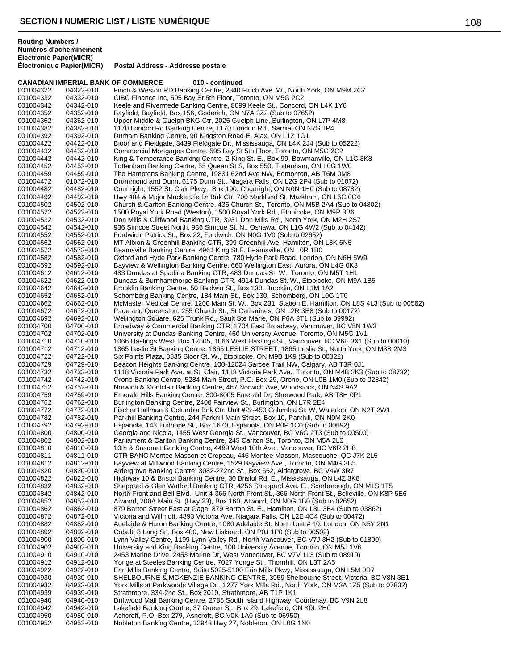**CANADIAN IMPERIAL BANK OF COMMERCE 010 - continued** 001004322 04322-010 Finch & Weston RD Banking Centre, 2340 Finch Ave. W., North York, ON M9M 2C7<br>001004332 04332-010 CIBC Finance Inc, 595 Bay St 5th Floor, Toronto, ON M5G 2C2 001004332 04332-010 CIBC Finance Inc, 595 Bay St 5th Floor, Toronto, ON M5G 2C2 Keele and Rivermede Banking Centre, 8099 Keele St., Concord, ON L4K 1Y6 001004352 04352-010 Bayfield, Bayfield, Box 156, Goderich, ON N7A 3Z2 (Sub to 07652) Upper Middle & Guelph BKG Ctr, 2025 Guelph Line, Burlington, ON L7P 4M8 001004382 04382-010 1170 London Rd Banking Centre, 1170 London Rd., Sarnia, ON N7S 1P4 001004392 04392-010 Durham Banking Centre, 90 Kingston Road E, Ajax, ON L1Z 1G1 Bloor and Fieldgate, 3439 Fieldgate Dr., Mississauga, ON L4X 2J4 (Sub to 05222) 001004432 04432-010 Commercial Mortgages Centre, 595 Bay St 5th Floor, Toronto, ON M5G 2C2<br>001004442 04442-010 King & Temperance Banking Centre, 2 King St. E., Box 99, Bowmanville, ON 001004442 04442-010 King & Temperance Banking Centre, 2 King St. E., Box 99, Bowmanville, ON L1C 3K8<br>001004452 04452-010 Tottenham Banking Centre, 55 Queen St S, Box 550, Tottenham, ON L0G 1W0 001004452 04452-010 Tottenham Banking Centre, 55 Queen St S, Box 550, Tottenham, ON L0G 1W0 001004459 04459-010 The Hamptons Banking Centre, 19831 62nd Ave NW, Edmonton, AB T6M 0M8<br>001004472 01072-010 Drummond and Dunn, 6175 Dunn St., Niagara Falls, ON L2G 2P4 (Sub to 0107 001004472 01072-010 Drummond and Dunn, 6175 Dunn St., Niagara Falls, ON L2G 2P4 (Sub to 01072)<br>001004482 04482-010 Courtright, 1552 St. Clair Pkwy., Box 190, Courtright, ON N0N 1H0 (Sub to 08782) 001004482 04482-010 Courtright, 1552 St. Clair Pkwy., Box 190, Courtright, ON N0N 1H0 (Sub to 08782)<br>001004492 04492-010 Hwy 404 & Major Mackenzie Dr Bnk Ctr, 700 Markland St, Markham, ON L6C 0G6 001004492 04492-010 Hwy 404 & Major Mackenzie Dr Bnk Ctr, 700 Markland St, Markham, ON L6C 0G6<br>001004502 04502-010 Church & Carlton Banking Centre, 436 Church St., Toronto, ON M5B 2A4 (Sub to ( 001004502 04502-010 Church & Carlton Banking Centre, 436 Church St., Toronto, ON M5B 2A4 (Sub to 04802)<br>001004522 04522-010 1500 Royal York Road (Weston), 1500 Royal York Rd., Etobicoke, ON M9P 3B6 001004522 04522-010 1500 Royal York Road (Weston), 1500 Royal York Rd., Etobicoke, ON M9P 3B6 001004532 04532-010 Don Mills & Cliffwood Banking CTR, 3931 Don Mills Rd., North York, ON M2H 2S7 001004542 04542-010 936 Simcoe Street North, 936 Simcoe St. N., Oshawa, ON L1G 4W2 (Sub to 04142) Fordwich, Patrick St., Box 22, Fordwich, ON N0G 1V0 (Sub to 02652) 001004562 04562-010 MT Albion & Greenhill Banking CTR, 399 Greenhill Ave, Hamilton, ON L8K 6N5 Beamsville Banking Centre, 4961 King St E, Beamsville, ON L0R 1B0 001004582 04582-010 Oxford and Hyde Park Banking Centre, 780 Hyde Park Road, London, ON N6H 5W9<br>001004592 04592-010 Bayview & Wellington Banking Centre, 660 Wellington East, Aurora, ON L4G 0K3 001004592 04592-010 Bayview & Wellington Banking Centre, 660 Wellington East, Aurora, ON L4G 0K3 483 Dundas at Spadina Banking CTR, 483 Dundas St. W., Toronto, ON M5T 1H1 001004622 04622-010 Dundas & Burnhamthorpe Banking CTR, 4914 Dundas St. W., Etobicoke, ON M9A 1B5<br>001004642 04642-010 Brooklin Banking Centre, 50 Baldwin St., Box 130, Brooklin, ON L1M 1A2 Brooklin Banking Centre, 50 Baldwin St., Box 130, Brooklin, ON L1M 1A2 001004652 04652-010 Schomberg Banking Centre, 184 Main St., Box 130, Schomberg, ON L0G 1T0 001004662 04662-010 McMaster Medical Centre, 1200 Main St. W., Box 231, Station E, Hamilton, ON L8S 4L3 (Sub to 00562)<br>001004672 04672-010 Page and Queenston. 255 Church St.. St Catharines. ON L2R 3E8 (Sub to 00172) Page and Queenston, 255 Church St., St Catharines, ON L2R 3E8 (Sub to 00172) 001004692 04692-010 Wellington Square, 625 Trunk Rd., Sault Ste Marie, ON P6A 3T1 (Sub to 09992) 001004700 04700-010 Broadway & Commercial Banking CTR, 1704 East Broadway, Vancouver, BC V5N 1W3<br>001004702 04702-010 University at Dundas Banking Centre, 460 University Avenue, Toronto, ON M5G 1V1 001004702 04702-010 University at Dundas Banking Centre, 460 University Avenue, Toronto, ON M5G 1V1<br>001004710 04710-010 1066 Hastings West, Box 12505, 1066 West Hastings St., Vancouver, BC V6E 3X1 ( 001004710 04710-010 1066 Hastings West, Box 12505, 1066 West Hastings St., Vancouver, BC V6E 3X1 (Sub to 00010)<br>001004712 04712-010 1865 Leslie St Banking Centre, 1865 LESLIE STREET, 1865 Leslie St., North York, ON M3B 2M3 001004712 04712-010 1865 Leslie St Banking Centre, 1865 LESLIE STREET, 1865 Leslie St., North York, ON M3B 2M3<br>001004722 04722-010 Six Points Plaza, 3835 Bloor St. W., Etobicoke, ON M9B 1K9 (Sub to 00322) 001004722 04722-010 Six Points Plaza, 3835 Bloor St. W., Etobicoke, ON M9B 1K9 (Sub to 00322)<br>001004729 04729-010 Beacon Heights Banking Centre, 100-12024 Sarcee Trail NW, Calgary, AB T 001004729 04729-010 Beacon Heights Banking Centre, 100-12024 Sarcee Trail NW, Calgary, AB T3R 0J1<br>001004732 04732-010 1118 Victoria Park Ave. at St. Clair, 1118 Victoria Park Ave., Toronto, ON M4B 2K3 001004732 04732-010 1118 Victoria Park Ave. at St. Clair, 1118 Victoria Park Ave., Toronto, ON M4B 2K3 (Sub to 08732)<br>001004742 04742-010 Orono Banking Centre, 5284 Main Street, P.O. Box 29, Orono, ON L0B 1M0 (Sub to 02842 001004742 04742-010 Orono Banking Centre, 5284 Main Street, P.O. Box 29, Orono, ON L0B 1M0 (Sub to 02842)<br>001004752 04752-010 Norwich & Montclair Banking Centre, 467 Norwich Ave, Woodstock, ON N4S 9A2 001004752 04752-010 Norwich & Montclair Banking Centre, 467 Norwich Ave, Woodstock, ON N4S 9A2 001004759 04759-010 Emerald Hills Banking Centre, 300-8005 Emerald Dr, Sherwood Park, AB T8H 0P1<br>001004762 04762-010 Burlington Banking Centre, 2400 Fairview St., Burlington, ON L7R 2E4 Burlington Banking Centre, 2400 Fairview St., Burlington, ON L7R 2E4 001004772 04772-010 Fischer Hallman & Columbia Bnk Ctr, Unit #22-450 Columbia St. W, Waterloo, ON N2T 2W1<br>001004782 04782-010 Parkhill Banking Centre, 244 Parkhill Main Street, Box 10, Parkhill, ON N0M 2K0 Parkhill Banking Centre, 244 Parkhill Main Street, Box 10, Parkhill, ON N0M 2K0 001004792 04792-010 Espanola, 143 Tudhope St., Box 1670, Espanola, ON P0P 1C0 (Sub to 00692) 001004800 04800-010 Georgia and Nicola, 1455 West Georgia St., Vancouver, BC V6G 2T3 (Sub to 00500)<br>001004802 04802-010 Parliament & Carlton Banking Centre. 245 Carlton St., Toronto. ON M5A 2L2 Parliament & Carlton Banking Centre, 245 Carlton St., Toronto, ON M5A 2L2 001004810 04810-010 10th & Sasamat Banking Centre, 4489 West 10th Ave., Vancouver, BC V6R 2H8<br>001004811 04811-010 CTR BANC Montee Masson et Crepeau, 446 Montee Masson, Mascouche, QC J CTR BANC Montee Masson et Crepeau, 446 Montee Masson, Mascouche, QC J7K 2L5 001004812 04812-010 Bayview at Millwood Banking Centre, 1529 Bayview Ave., Toronto, ON M4G 3B5 001004820 04820-010 Aldergrove Banking Centre, 3082-272nd St., Box 652, Aldergrove, BC V4W 3R7 Highway 10 & Bristol Banking Centre, 30 Bristol Rd. E., Mississauga, ON L4Z 3K8 001004832 04832-010 Sheppard & Glen Watford Banking CTR, 4256 Sheppard Ave. E., Scarborough, ON M1S 1T5<br>001004842 04842-010 North Front and Bell Blvd., Unit 4-366 North Front St., 366 North Front St., Belleville, ON K8P 001004842 04842-010 North Front and Bell Blvd., Unit 4-366 North Front St., 366 North Front St., Belleville, ON K8P 5E6<br>001004852 04852-010 Atwood, 200A Main St. (Hwy 23), Box 160, Atwood, ON N0G 1B0 (Sub to 02652) 001004852 04852-010 Atwood, 200A Main St. (Hwy 23), Box 160, Atwood, ON N0G 1B0 (Sub to 02652) 001004862 04862-010 879 Barton Street East at Gage, 879 Barton St. E., Hamilton, ON L8L 3B4 (Sub to 03862)<br>001004872 04872-010 Victoria and Willmott. 4893 Victoria Ave. Niagara Falls, ON L2F 4C4 (Sub to 00472) 001004872 04872-010 Victoria and Willmott, 4893 Victoria Ave, Niagara Falls, ON L2E 4C4 (Sub to 00472) 001004882 04882-010 Adelaide & Huron Banking Centre, 1080 Adelaide St. North Unit # 10, London, ON N5Y 2N1<br>001004892 04892-010 Cobalt, 8 Lang St., Box 400, New Liskeard, ON P0J 1P0 (Sub to 00592) 001004892 04892-010 Cobalt, 8 Lang St., Box 400, New Liskeard, ON P0J 1P0 (Sub to 00592) 001004900 01800-010 Lynn Valley Centre, 1199 Lynn Valley Rd., North Vancouver, BC V7J 3H2 (Sub to 01800)<br>001004902 04902-010 University and King Banking Centre, 100 University Avenue, Toronto, ON M5J 1V6 001004902 04902-010 University and King Banking Centre, 100 University Avenue, Toronto, ON M5J 1V6<br>001004910 04910-010 2453 Marine Drive, 2453 Marine Dr, West Vancouver, BC V7V 1L3 (Sub to 08910) 001004910 04910-010 2453 Marine Drive, 2453 Marine Dr, West Vancouver, BC V7V 1L3 (Sub to 08910)<br>001004912 04912-010 Yonge at Steeles Banking Centre, 7027 Yonge St., Thornhill, ON L3T 2A5 001004912 04912-010 Yonge at Steeles Banking Centre, 7027 Yonge St., Thornhill, ON L3T 2A5 Erin Mills Banking Centre, Suite 5025-5100 Erin Mills Pkwy, Mississauga, ON L5M 0R7 001004930 04930-010 SHELBOURNE & MCKENZIE BANKING CENTRE, 3959 Shelbourne Street, Victoria, BC V8N 3E1<br>001004932 04932-010 York Mills at Parkwoods Village Dr., 1277 York Mills Rd., North York, ON M3A 1Z5 (Sub to 07832) York Mills at Parkwoods Village Dr., 1277 York Mills Rd., North York, ON M3A 1Z5 (Sub to 07832) 001004939 04939-010 Strathmore, 334-2nd St., Box 2010, Strathmore, AB T1P 1K1 001004940 04940-010 Driftwood Mall Banking Centre, 2785 South Island Highway, Courtenay, BC V9N 2L8<br>001004942 04942-010 Lakefield Banking Centre, 37 Queen St., Box 29, Lakefield, ON K0L 2H0 Lakefield Banking Centre, 37 Queen St., Box 29, Lakefield, ON K0L 2H0 001004950 04950-010 Ashcroft, P.O. Box 279, Ashcroft, BC V0K 1A0 (Sub to 06950) Nobleton Banking Centre, 12943 Hwy 27, Nobleton, ON L0G 1N0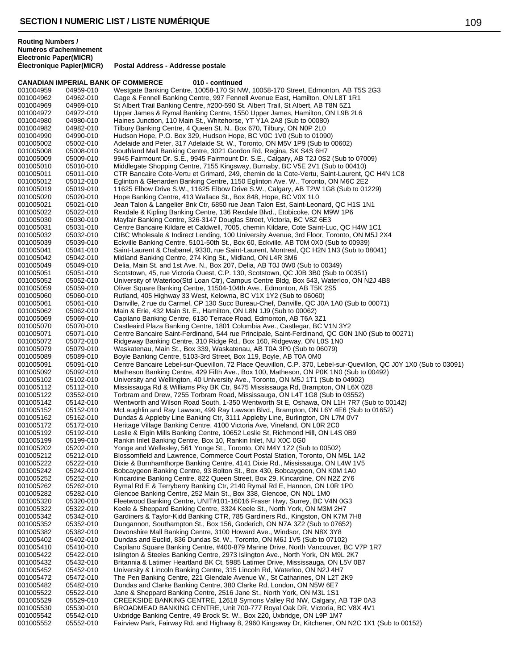**CANADIAN IMPERIAL BANK OF COMMERCE 010 - continued** 001004959 04959-010 Westgate Banking Centre, 10058-170 St NW, 10058-170 Street, Edmonton, AB T5S 2G3<br>001004962 04962-010 Gage & Fennell Banking Centre, 997 Fennell Avenue East, Hamilton, ON L8T 1R1 001004962 04962-010 Gage & Fennell Banking Centre, 997 Fennell Avenue East, Hamilton, ON L8T 1R1 St Albert Trail Banking Centre, #200-590 St. Albert Trail, St Albert, AB T8N 5Z1 001004972 04972-010 Upper James & Rymal Banking Centre, 1550 Upper James, Hamilton, ON L9B 2L6<br>001004980 04980-010 Haines Junction, 110 Main St., Whitehorse, YT Y1A 2A8 (Sub to 00080) Haines Junction, 110 Main St., Whitehorse, YT Y1A 2A8 (Sub to 00080) 001004982 04982-010 Tilbury Banking Centre, 4 Queen St. N., Box 670, Tilbury, ON N0P 2L0 001004990 04990-010 Hudson Hope, P.O. Box 329, Hudson Hope, BC V0C 1V0 (Sub to 01090)<br>001005002 05002-010 Adelaide and Peter. 317 Adelaide St. W.. Toronto. ON M5V 1P9 (Sub to 0 Adelaide and Peter, 317 Adelaide St. W., Toronto, ON M5V 1P9 (Sub to 00602) 001005008 05008-010 Southland Mall Banking Centre, 3021 Gordon Rd, Regina, SK S4S 6H7<br>001005009 05009-010 9945 Fairmount Dr. S.E., 9945 Fairmount Dr. S.E., Calgary, AB T2J 0S 001005009 05009-010 9945 Fairmount Dr. S.E., 9945 Fairmount Dr. S.E., Calgary, AB T2J 0S2 (Sub to 07009)<br>001005010 05010-010 Middlegate Shopping Centre, 7155 Kingsway, Burnaby, BC V5E 2V1 (Sub to 00410) 001005010 05010-010 Middlegate Shopping Centre, 7155 Kingsway, Burnaby, BC V5E 2V1 (Sub to 00410)<br>001005011 05011-010 CTR Bancaire Cote-Vertu et Grimard. 249. chemin de la Cote-Vertu. Saint-Laurent. ( 001005011 05011-010 CTR Bancaire Cote-Vertu et Grimard, 249, chemin de la Cote-Vertu, Saint-Laurent, QC H4N 1C8<br>001005012 05012-010 Falinton & Glenarden Banking Centre, 1150 Falinton Ave, W., Toronto, ON M6C 2F2 001005012 05012-010 Eglinton & Glenarden Banking Centre, 1150 Eglinton Ave. W., Toronto, ON M6C 2E2<br>001005019 05019-010 11625 Elbow Drive S.W., 11625 Elbow Drive S.W., Calgary, AB T2W 1G8 (Sub to 012 001005019 05019-010 11625 Elbow Drive S.W., 11625 Elbow Drive S.W., Calgary, AB T2W 1G8 (Sub to 01229)<br>001005020 05020-010 Hope Banking Centre, 413 Wallace St., Box 848, Hope, BC V0X 1L0 001005020 05020-010 Hope Banking Centre, 413 Wallace St., Box 848, Hope, BC V0X 1L0<br>001005021 05021-010 Jean Talon & Langelier Bnk Ctr, 6850 rue Jean Talon Est, Saint-Leor 001005021 05021-010 Jean Talon & Langelier Bnk Ctr, 6850 rue Jean Talon Est, Saint-Leonard, QC H1S 1N1<br>001005022 05022-010 Rexdale & Kipling Banking Centre, 136 Rexdale Blvd., Etobicoke, ON M9W 1P6 001005022 05022-010 Rexdale & Kipling Banking Centre, 136 Rexdale Blvd., Etobicoke, ON M9W 1P6<br>001005030 05030-010 Mavfair Banking Centre, 326-3147 Douglas Street, Victoria, BC V87 6F3 001005030 05030-010 Mayfair Banking Centre, 326-3147 Douglas Street, Victoria, BC V8Z 6E3 001005031 05031-010 Centre Bancaire Kildare et Caldwell, 7005, chemin Kildare, Cote Saint-Luc, QC H4W 1C1<br>001005032 05032-010 CIBC Wholesale & Indirect Lending. 100 University Avenue. 3rd Floor. Toronto. ON M5J 2 001005032 05032-010 CIBC Wholesale & Indirect Lending, 100 University Avenue, 3rd Floor, Toronto, ON M5J 2X4<br>001005039 05039-010 Eckville Banking Centre, 5101-50th St., Box 60, Eckville, AB T0M 0X0 (Sub to 00939) 001005039 05039-010 Eckville Banking Centre, 5101-50th St., Box 60, Eckville, AB T0M 0X0 (Sub to 00939) Saint-Laurent & Chabanel, 9330, rue Saint-Laurent, Montreal, QC H2N 1N3 (Sub to 08041) 001005042 05042-010 Midland Banking Centre, 274 King St., Midland, ON L4R 3M6 001005049 05049-010 Delia, Main St. and 1st Ave. N., Box 207, Delia, AB T0J 0W0 (Sub to 00349) Scotstown, 45, rue Victoria Ouest, C.P. 130, Scotstown, QC J0B 3B0 (Sub to 00351) 001005052 05052-010 University of Waterloo(Std Loan Ctr), Campus Centre Bldg, Box 543, Waterloo, ON N2J 4B8<br>001005059 05059-010 Oliver Square Banking Centre, 11504-104th Ave., Edmonton, AB T5K 2S5 001005059 05059-010 Oliver Square Banking Centre, 11504-104th Ave., Edmonton, AB T5K 2S5<br>001005060 05060-010 Rutland, 405 Highway 33 West, Kelowna, BC V1X 1Y2 (Sub to 06060) 001005060 05060-010 Rutland, 405 Highway 33 West, Kelowna, BC V1X 1Y2 (Sub to 06060)<br>001005061 05061-010 Danville, 2 rue du Carmel, CP 130 Succ Bureau-Chef, Danville, QC J0 001005061 05061-010 Danville, 2 rue du Carmel, CP 130 Succ Bureau-Chef, Danville, QC J0A 1A0 (Sub to 00071)<br>001005062 05062-010 Main & Erie. 432 Main St. E.. Hamilton. ON L8N 1J9 (Sub to 00062) Main & Erie, 432 Main St. E., Hamilton, ON L8N 1J9 (Sub to 00062) 001005069 05069-010 Capilano Banking Centre, 6130 Terrace Road, Edmonton, AB T6A 3Z1 001005070 05070-010 Castleaird Plaza Banking Centre, 1801 Columbia Ave., Castlegar, BC V1N 3Y2 001005071 05071-010 Centre Bancaire Saint-Ferdinand, 544 rue Principale, Saint-Ferdinand, QC G0N 1N0 (Sub to 00271)<br>001005072 05072-010 Ridgeway Banking Centre, 310 Ridge Rd., Box 160, Ridgeway, ON L0S 1N0 001005072 05072-010 Ridgeway Banking Centre, 310 Ridge Rd., Box 160, Ridgeway, ON L0S 1N0 001005079 05079-010 Waskatenau, Main St., Box 339, Waskatenau, AB T0A 3P0 (Sub to 06079) 001005089 05089-010 Boyle Banking Centre, 5103-3rd Street, Box 119, Boyle, AB T0A 0M0<br>001005091 05091-010 Centre Bancaire Lebel-sur-Quevillon, 72 Place Qeuvillon, C.P. 370, La 001005091 05091-010 Centre Bancaire Lebel-sur-Quevillon, 72 Place Qeuvillon, C.P. 370, Lebel-sur-Quevillon, QC J0Y 1X0 (Sub to 03091)<br>001005092 05092-010 Matheson Banking Centre, 429 Fifth Ave., Box 100, Matheson, ON P0K 1 001005092 05092-010 Matheson Banking Centre, 429 Fifth Ave., Box 100, Matheson, ON P0K 1N0 (Sub to 00492)<br>001005102 05102-010 University and Wellington. 40 University Ave., Toronto. ON M5J 1T1 (Sub to 04902) 001005102 05102-010 University and Wellington, 40 University Ave., Toronto, ON M5J 1T1 (Sub to 04902) 001005112 05112-010 Mississauga Rd & Williams Pky BK Ctr, 9475 Mississauga Rd, Brampton, ON L6X 0Z8<br>001005122 03552-010 Torbram and Drew, 7255 Torbram Road, Mississauga, ON L4T 1G8 (Sub to 03552) 001005122 03552-010 Torbram and Drew, 7255 Torbram Road, Mississauga, ON L4T 1G8 (Sub to 03552) Wentworth and Wilson Road South, 1-350 Wentworth St E, Oshawa, ON L1H 7R7 (Sub to 00142) 001005152 05152-010 McLaughlin and Ray Lawson, 499 Ray Lawson Blvd., Brampton, ON L6Y 4E6 (Sub to 01652)<br>001005162 05162-010 Dundas & Appleby Line Banking Ctr, 3111 Appleby Line, Burlington, ON L7M 0V7 001005162 05162-010 Dundas & Appleby Line Banking Ctr, 3111 Appleby Line, Burlington, ON L7M 0V7<br>001005172 05172-010 Heritage Village Banking Centre, 4100 Victoria Ave, Vineland, ON L0R 2C0 001005172 05172-010 Heritage Village Banking Centre, 4100 Victoria Ave, Vineland, ON L0R 2C0 001005192 05192-010 Leslie & Elgin Mills Banking Centre, 10652 Leslie St, Richmond Hill, ON L4S 0B9 Rankin Inlet Banking Centre, Box 10, Rankin Inlet, NU X0C 0G0 001005202 05202-010 Yonge and Wellesley, 561 Yonge St., Toronto, ON M4Y 1Z2 (Sub to 00502) Blossomfield and Lawrence, Commerce Court Postal Station, Toronto, ON M5L 1A2 001005222 05222-010 Dixie & Burnhamthorpe Banking Centre, 4141 Dixie Rd., Mississauga, ON L4W 1V5 001005242 05242-010 Bobcaygeon Banking Centre, 93 Bolton St., Box 430, Bobcaygeon, ON K0M 1A0<br>001005252 05252-010 Kincardine Banking Centre, 822 Queen Street, Box 29, Kincardine, ON N2Z 2Y6 Kincardine Banking Centre, 822 Queen Street, Box 29, Kincardine, ON N2Z 2Y6 001005262 05262-010 Rymal Rd E & Terryberry Banking Ctr, 2140 Rymal Rd E, Hannon, ON L0R 1P0<br>001005282 05282-010 Glencoe Banking Centre, 252 Main St., Box 338, Glencoe, ON N0L 1M0 001005282 05282-010 Glencoe Banking Centre, 252 Main St., Box 338, Glencoe, ON N0L 1M0 001005320 05320-010 Fleetwood Banking Centre, UNIT#101-16016 Fraser Hwy, Surrey, BC V4N 0G3<br>001005322 05322-010 Keele & Sheppard Banking Centre, 3324 Keele St., North York, ON M3M 2H7 001005322 05322-010 Keele & Sheppard Banking Centre, 3324 Keele St., North York, ON M3M 2H7 001005342 05342-010 Gardiners & Taylor-Kidd Banking CTR, 785 Gardiners Rd., Kingston, ON K7M 7H8<br>001005352 05352-010 Dungannon, Southampton St., Box 156, Goderich, ON N7A 3Z2 (Sub to 07652) 001005352 05352-010 Dungannon, Southampton St., Box 156, Goderich, ON N7A 3Z2 (Sub to 07652) 001005382 05382-010 Devonshire Mall Banking Centre, 3100 Howard Ave., Windsor, ON N8X 3Y8 001005402 05402-010 Dundas and Euclid, 836 Dundas St. W., Toronto, ON M6J 1V5 (Sub to 07102) 001005410 05410-010 Capilano Square Banking Centre, #400-879 Marine Drive, North Vancouver, BC V7P 1R7<br>001005422 05422-010 Islington & Steeles Banking Centre, 2973 Islington Ave., North York, ON M9L 2K7 001005422 05422-010 Islington & Steeles Banking Centre, 2973 Islington Ave., North York, ON M9L 2K7<br>001005432 05432-010 Britannia & Latimer Heartland BK Ct, 5985 Latimer Drive, Mississauga, ON L5V 08 001005432 05432-010 Britannia & Latimer Heartland BK Ct, 5985 Latimer Drive, Mississauga, ON L5V 0B7<br>001005452 05452-010 University & Lincoln Banking Centre. 315 Lincoln Rd. Waterloo. ON N2J 4H7 University & Lincoln Banking Centre, 315 Lincoln Rd, Waterloo, ON N2J 4H7 001005472 05472-010 The Pen Banking Centre, 221 Glendale Avenue W., St Catharines, ON L2T 2K9<br>001005482 05482-010 Dundas and Clarke Banking Centre, 380 Clarke Rd, London, ON N5W 6E7 001005482 05482-010 Dundas and Clarke Banking Centre, 380 Clarke Rd, London, ON N5W 6E7<br>001005522 05522-010 Jane & Sheppard Banking Centre, 2516 Jane St., North York, ON M3L 1S1 001005522 05522-010 Jane & Sheppard Banking Centre, 2516 Jane St., North York, ON M3L 1S1<br>001005529 05529-010 CREEKSIDE BANKING CENTRE, 12618 Symons Valley Rd NW, Calgary, 001005529 05529-010 CREEKSIDE BANKING CENTRE, 12618 Symons Valley Rd NW, Calgary, AB T3P 0A3<br>001005530 05530-010 BROADMEAD BANKING CENTRE. Unit 700-777 Roval Oak DR. Victoria. BC V8X 4V1 BROADMEAD BANKING CENTRE, Unit 700-777 Royal Oak DR, Victoria, BC V8X 4V1 001005542 05542-010 Uxbridge Banking Centre, 49 Brock St. W., Box 220, Uxbridge, ON L9P 1M7 Fairview Park, Fairway Rd. and Highway 8, 2960 Kingsway Dr, Kitchener, ON N2C 1X1 (Sub to 00152)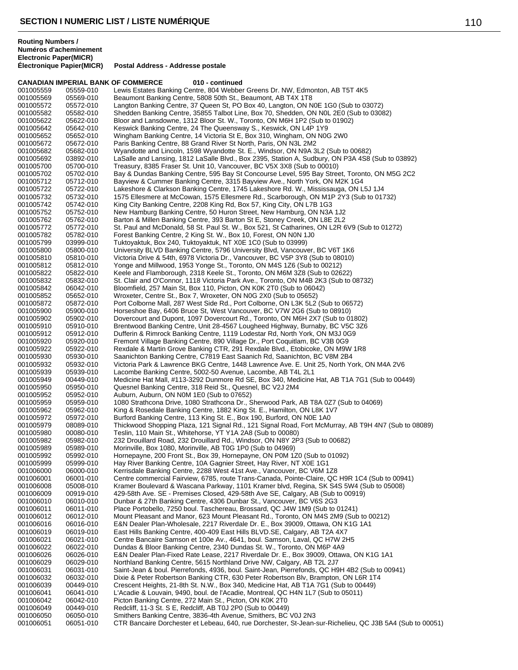**Électronique Papier(MICR) Postal Address - Addresse postale**

|                        |                        | <b>CANADIAN IMPERIAL BANK OF COMMERCE</b><br>010 - continued                                                                                                              |
|------------------------|------------------------|---------------------------------------------------------------------------------------------------------------------------------------------------------------------------|
| 001005559              | 05559-010              | Lewis Estates Banking Centre, 804 Webber Greens Dr. NW, Edmonton, AB T5T 4K5                                                                                              |
| 001005569              | 05569-010              | Beaumont Banking Centre, 5808 50th St., Beaumont, AB T4X 1T8                                                                                                              |
| 001005572              | 05572-010              | Langton Banking Centre, 37 Queen St, PO Box 40, Langton, ON N0E 1G0 (Sub to 03072)                                                                                        |
| 001005582              | 05582-010              | Shedden Banking Centre, 35855 Talbot Line, Box 70, Shedden, ON N0L 2E0 (Sub to 03082)                                                                                     |
| 001005622              | 05622-010              | Bloor and Lansdowne, 1312 Bloor St. W., Toronto, ON M6H 1P2 (Sub to 01902)                                                                                                |
| 001005642<br>001005652 | 05642-010              | Keswick Banking Centre, 24 The Queensway S., Keswick, ON L4P 1Y9                                                                                                          |
| 001005672              | 05652-010<br>05672-010 | Wingham Banking Centre, 14 Victoria St E, Box 310, Wingham, ON N0G 2W0<br>Paris Banking Centre, 88 Grand River St North, Paris, ON N3L 2M2                                |
| 001005682              | 05682-010              | Wyandotte and Lincoln, 1598 Wyandotte St. E., Windsor, ON N9A 3L2 (Sub to 00682)                                                                                          |
| 001005692              | 03892-010              | LaSalle and Lansing, 1812 LaSalle Blvd., Box 2395, Station A, Sudbury, ON P3A 4S8 (Sub to 03892)                                                                          |
| 001005700              | 05700-010              | Treasury, 8385 Fraser St. Unit 10, Vancouver, BC V5X 3X8 (Sub to 00010)                                                                                                   |
| 001005702              | 05702-010              | Bay & Dundas Banking Centre, 595 Bay St Concourse Level, 595 Bay Street, Toronto, ON M5G 2C2                                                                              |
| 001005712              | 05712-010              | Bayview & Cummer Banking Centre, 3315 Bayview Ave., North York, ON M2K 1G4                                                                                                |
| 001005722              | 05722-010              | Lakeshore & Clarkson Banking Centre, 1745 Lakeshore Rd. W., Mississauga, ON L5J 1J4                                                                                       |
| 001005732              | 05732-010              | 1575 Ellesmere at McCowan, 1575 Ellesmere Rd., Scarborough, ON M1P 2Y3 (Sub to 01732)                                                                                     |
| 001005742<br>001005752 | 05742-010              | King City Banking Centre, 2208 King Rd, Box 57, King City, ON L7B 1G3<br>New Hamburg Banking Centre, 50 Huron Street, New Hamburg, ON N3A 1J2                             |
| 001005762              | 05752-010<br>05762-010 | Barton & Millen Banking Centre, 393 Barton St E, Stoney Creek, ON L8E 2L2                                                                                                 |
| 001005772              | 05772-010              | St. Paul and McDonald, 58 St. Paul St. W., Box 521, St Catharines, ON L2R 6V9 (Sub to 01272)                                                                              |
| 001005782              | 05782-010              | Forest Banking Centre, 2 King St. W., Box 10, Forest, ON N0N 1J0                                                                                                          |
| 001005799              | 03999-010              | Tuktoyaktuk, Box 240, Tuktoyaktuk, NT X0E 1C0 (Sub to 03999)                                                                                                              |
| 001005800              | 05800-010              | University BLVD Banking Centre, 5796 University Blvd, Vancouver, BC V6T 1K6                                                                                               |
| 001005810              | 05810-010              | Victoria Drive & 54th, 6978 Victoria Dr., Vancouver, BC V5P 3Y8 (Sub to 08010)                                                                                            |
| 001005812              | 05812-010              | Yonge and Millwood, 1953 Yonge St., Toronto, ON M4S 1Z6 (Sub to 00212)                                                                                                    |
| 001005822              | 05822-010              | Keele and Flamborough, 2318 Keele St., Toronto, ON M6M 3Z8 (Sub to 02622)                                                                                                 |
| 001005832              | 05832-010              | St. Clair and O'Connor, 1118 Victoria Park Ave., Toronto, ON M4B 2K3 (Sub to 08732)                                                                                       |
| 001005842<br>001005852 | 06042-010<br>05652-010 | Bloomfield, 257 Main St, Box 110, Picton, ON K0K 2T0 (Sub to 06042)<br>Wroxeter, Centre St., Box 7, Wroxeter, ON N0G 2X0 (Sub to 05652)                                   |
| 001005872              | 05872-010              | Port Colborne Mall, 287 West Side Rd., Port Colborne, ON L3K 5L2 (Sub to 06572)                                                                                           |
| 001005900              | 05900-010              | Horseshoe Bay, 6406 Bruce St, West Vancouver, BC V7W 2G6 (Sub to 08910)                                                                                                   |
| 001005902              | 05902-010              | Dovercourt and Dupont, 1097 Dovercourt Rd., Toronto, ON M6H 2X7 (Sub to 01802)                                                                                            |
| 001005910              | 05910-010              | Brentwood Banking Centre, Unit 28-4567 Lougheed Highway, Burnaby, BC V5C 3Z6                                                                                              |
| 001005912              | 05912-010              | Dufferin & Rimrock Banking Centre, 1119 Lodestar Rd, North York, ON M3J 0G9                                                                                               |
| 001005920              | 05920-010              | Fremont Village Banking Centre, 890 Village Dr., Port Coquitlam, BC V3B 0G9                                                                                               |
| 001005922              | 05922-010              | Rexdale & Martin Grove Banking CTR, 291 Rexdale Blvd., Etobicoke, ON M9W 1R8                                                                                              |
| 001005930              | 05930-010              | Saanichton Banking Centre, C7819 East Saanich Rd, Saanichton, BC V8M 2B4                                                                                                  |
| 001005932<br>001005939 | 05932-010<br>05939-010 | Victoria Park & Lawrence BKG Centre, 1448 Lawrence Ave. E. Unit 25, North York, ON M4A 2V6<br>Lacombe Banking Centre, 5002-50 Avenue, Lacombe, AB T4L 2L1                 |
| 001005949              | 00449-010              | Medicine Hat Mall, #113-3292 Dunmore Rd SE, Box 340, Medicine Hat, AB T1A 7G1 (Sub to 00449)                                                                              |
| 001005950              | 05950-010              | Quesnel Banking Centre, 318 Reid St., Quesnel, BC V2J 2M4                                                                                                                 |
| 001005952              | 05952-010              | Auburn, Auburn, ON N0M 1E0 (Sub to 07652)                                                                                                                                 |
| 001005959              | 05959-010              | 1080 Strathcona Drive, 1080 Strathcona Dr., Sherwood Park, AB T8A 0Z7 (Sub to 04069)                                                                                      |
| 001005962              | 05962-010              | King & Rosedale Banking Centre, 1882 King St. E., Hamilton, ON L8K 1V7                                                                                                    |
| 001005972              | 05972-010              | Burford Banking Centre, 113 King St. E., Box 190, Burford, ON NOE 1A0                                                                                                     |
| 001005979              | 08089-010              | Thickwood Shopping Plaza, 121 Signal Rd., 121 Signal Road, Fort McMurray, AB T9H 4N7 (Sub to 08089)                                                                       |
| 001005980              | 00080-010              | Teslin, 110 Main St., Whitehorse, YT Y1A 2A8 (Sub to 00080)<br>232 Drouillard Road, 232 Drouillard Rd., Windsor, ON N8Y 2P3 (Sub to 00682)                                |
| 001005982<br>001005989 | 05982-010<br>05989-010 | Morinville, Box 1080, Morinville, AB T0G 1P0 (Sub to 04969)                                                                                                               |
| 001005992              | 05992-010              | Hornepayne, 200 Front St., Box 39, Hornepayne, ON P0M 1Z0 (Sub to 01092)                                                                                                  |
| 001005999              | 05999-010              | Hay River Banking Centre, 10A Gagnier Street, Hay River, NT X0E 1G1                                                                                                       |
| 001006000              | 06000-010              | Kerrisdale Banking Centre, 2288 West 41st Ave., Vancouver, BC V6M 1Z8                                                                                                     |
| 001006001              | 06001-010              | Centre commercial Fairview, 6785, route Trans-Canada, Pointe-Claire, QC H9R 1C4 (Sub to 00941)                                                                            |
| 001006008              | 05008-010              | Kramer Boulevard & Wascana Parkway, 1101 Kramer blvd, Regina, SK S4S 5W4 (Sub to 05008)                                                                                   |
| 001006009              | 00919-010              | 429-58th Ave. SE - Premises Closed, 429-58th Ave SE, Calgary, AB (Sub to 00919)                                                                                           |
| 001006010              | 06010-010              | Dunbar & 27th Banking Centre, 4306 Dunbar St., Vancouver, BC V6S 2G3                                                                                                      |
| 001006011<br>001006012 | 06011-010<br>06012-010 | Place Portobello, 7250 boul. Taschereau, Brossard, QC J4W 1M9 (Sub to 01241)<br>Mount Pleasant and Manor, 623 Mount Pleasant Rd., Toronto, ON M4S 2M9 (Sub to 00212)      |
| 001006016              | 06016-010              | E&N Dealer Plan-Wholesale, 2217 Riverdale Dr. E., Box 39009, Ottawa, ON K1G 1A1                                                                                           |
| 001006019              | 06019-010              | East Hills Banking Centre, 400-409 East Hills BLVD.SE, Calgary, AB T2A 4X7                                                                                                |
| 001006021              | 06021-010              | Centre Bancaire Samson et 100e Av., 4641, boul. Samson, Laval, QC H7W 2H5                                                                                                 |
| 001006022              | 06022-010              | Dundas & Bloor Banking Centre, 2340 Dundas St. W., Toronto, ON M6P 4A9                                                                                                    |
| 001006026              | 06026-010              | E&N Dealer Plan-Fixed Rate Lease, 2217 Riverdale Dr. E., Box 39009, Ottawa, ON K1G 1A1                                                                                    |
| 001006029              | 06029-010              | Northland Banking Centre, 5615 Northland Drive NW, Calgary, AB T2L 2J7                                                                                                    |
| 001006031              | 06031-010              | Saint-Jean & boul. Pierrefonds, 4936, boul. Saint-Jean, Pierrefonds, QC H9H 4B2 (Sub to 00941)                                                                            |
| 001006032<br>001006039 | 06032-010<br>00449-010 | Dixie & Peter Robertson Banking CTR, 630 Peter Robertson Blv, Brampton, ON L6R 1T4<br>Crescent Heights, 21-8th St. N.W., Box 340, Medicine Hat, AB T1A 7G1 (Sub to 00449) |
| 001006041              | 06041-010              | L'Acadie & Louvain, 9490, boul. de l'Acadie, Montreal, QC H4N 1L7 (Sub to 05011)                                                                                          |
| 001006042              | 06042-010              | Picton Banking Centre, 272 Main St., Picton, ON K0K 2T0                                                                                                                   |
| 001006049              | 00449-010              | Redcliff, 11-3 St. S E, Redcliff, AB T0J 2P0 (Sub to 00449)                                                                                                               |
| 001006050              | 06050-010              | Smithers Banking Centre, 3836-4th Avenue, Smithers, BC V0J 2N3                                                                                                            |
| 001006051              | 06051-010              | CTR Bancaire Dorchester et Lebeau, 640, rue Dorchester, St-Jean-sur-Richelieu, QC J3B 5A4 (Sub to 00051)                                                                  |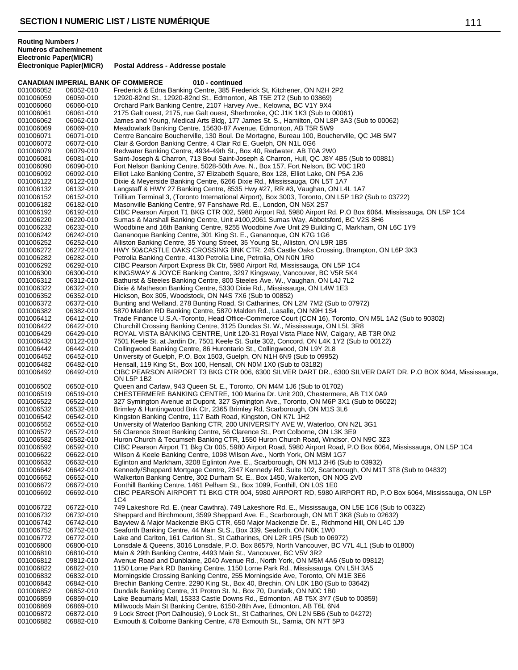|                        |                        | <b>CANADIAN IMPERIAL BANK OF COMMERCE</b><br>010 - continued                                                                                                                                |
|------------------------|------------------------|---------------------------------------------------------------------------------------------------------------------------------------------------------------------------------------------|
| 001006052              | 06052-010              | Frederick & Edna Banking Centre, 385 Frederick St, Kitchener, ON N2H 2P2                                                                                                                    |
| 001006059              | 06059-010              | 12920-82nd St., 12920-82nd St., Edmonton, AB T5E 2T2 (Sub to 03869)                                                                                                                         |
| 001006060              | 06060-010              | Orchard Park Banking Centre, 2107 Harvey Ave., Kelowna, BC V1Y 9X4                                                                                                                          |
| 001006061              | 06061-010              | 2175 Galt ouest, 2175, rue Galt ouest, Sherbrooke, QC J1K 1K3 (Sub to 00061)                                                                                                                |
| 001006062              | 06062-010              | James and Young, Medical Arts Bldg, 177 James St. S., Hamilton, ON L8P 3A3 (Sub to 00062)                                                                                                   |
| 001006069              | 06069-010              | Meadowlark Banking Centre, 15630-87 Avenue, Edmonton, AB T5R 5W9                                                                                                                            |
| 001006071              | 06071-010              | Centre Bancaire Boucherville, 130 Boul. De Mortagne, Bureau 100, Boucherville, QC J4B 5M7                                                                                                   |
| 001006072              | 06072-010              | Clair & Gordon Banking Centre, 4 Clair Rd E, Guelph, ON N1L 0G6                                                                                                                             |
| 001006079              | 06079-010              | Redwater Banking Centre, 4934-49th St., Box 40, Redwater, AB T0A 2W0                                                                                                                        |
| 001006081              | 06081-010              | Saint-Joseph & Charron, 713 Boul Saint-Joseph & Charron, Hull, QC J8Y 4B5 (Sub to 00881)                                                                                                    |
| 001006090              | 06090-010              | Fort Nelson Banking Centre, 5028-50th Ave. N., Box 157, Fort Nelson, BC V0C 1R0                                                                                                             |
| 001006092              | 06092-010              | Elliot Lake Banking Centre, 37 Elizabeth Square, Box 128, Elliot Lake, ON P5A 2J6                                                                                                           |
| 001006122              | 06122-010              | Dixie & Meyerside Banking Centre, 6266 Dixie Rd., Mississauga, ON L5T 1A7                                                                                                                   |
| 001006132              | 06132-010              | Langstaff & HWY 27 Banking Centre, 8535 Hwy #27, RR #3, Vaughan, ON L4L 1A7                                                                                                                 |
| 001006152              | 06152-010              | Trillium Terminal 3, (Toronto International Airport), Box 3003, Toronto, ON L5P 1B2 (Sub to 03722)                                                                                          |
| 001006182              | 06182-010              | Masonville Banking Centre, 97 Fanshawe Rd. E., London, ON N5X 2S7                                                                                                                           |
| 001006192              | 06192-010              | CIBC Pearson Airport T1 BKG CTR 002, 5980 Airport Rd, 5980 Airport Rd, P.O Box 6064, Mississauga, ON L5P 1C4                                                                                |
| 001006220              | 06220-010              | Sumas & Marshall Banking Centre, Unit #100,2061 Sumas Way, Abbotsford, BC V2S 8H6                                                                                                           |
| 001006232              | 06232-010              | Woodbine and 16th Banking Centre, 9255 Woodbine Ave Unit 29 Building C, Markham, ON L6C 1Y9                                                                                                 |
| 001006242              | 06242-010              | Gananoque Banking Centre, 301 King St. E., Gananoque, ON K7G 1G6                                                                                                                            |
| 001006252              | 06252-010              | Alliston Banking Centre, 35 Young Street, 35 Young St., Alliston, ON L9R 1B5                                                                                                                |
| 001006272              | 06272-010              | HWY 50&CASTLE OAKS CROSSING BNK CTR, 245 Castle Oaks Crossing, Brampton, ON L6P 3X3                                                                                                         |
| 001006282              | 06282-010              | Petrolia Banking Centre, 4130 Petrolia Line, Petrolia, ON N0N 1R0                                                                                                                           |
| 001006292              | 06292-010              | CIBC Pearson Airport Express Bk Ctr, 5980 Airport Rd, Mississauga, ON L5P 1C4                                                                                                               |
| 001006300              | 06300-010              | KINGSWAY & JOYCE Banking Centre, 3297 Kingsway, Vancouver, BC V5R 5K4                                                                                                                       |
| 001006312              | 06312-010              | Bathurst & Steeles Banking Centre, 800 Steeles Ave. W., Vaughan, ON L4J 7L2                                                                                                                 |
| 001006322              | 06322-010              | Dixie & Matheson Banking Centre, 5330 Dixie Rd., Mississauga, ON L4W 1E3                                                                                                                    |
| 001006352              | 06352-010              | Hickson, Box 305, Woodstock, ON N4S 7X6 (Sub to 00852)                                                                                                                                      |
| 001006372              | 06372-010              | Bunting and Welland, 278 Bunting Road, St Catharines, ON L2M 7M2 (Sub to 07972)                                                                                                             |
| 001006382              | 06382-010              | 5870 Malden RD Banking Centre, 5870 Malden Rd., Lasalle, ON N9H 1S4                                                                                                                         |
| 001006412              | 06412-010              | Trade Finance U.S.A.-Toronto, Head Office-Commerce Court (CCN 16), Toronto, ON M5L 1A2 (Sub to 90302)                                                                                       |
| 001006422              | 06422-010              | Churchill Crossing Banking Centre, 3125 Dundas St. W., Mississauga, ON L5L 3R8                                                                                                              |
| 001006429              | 06429-010              | ROYAL VISTA BANKING CENTRE, Unit 120-31 Royal Vista Place NW, Calgary, AB T3R 0N2                                                                                                           |
| 001006432              | 00122-010              | 7501 Keele St. at Jardin Dr, 7501 Keele St. Suite 302, Concord, ON L4K 1Y2 (Sub to 00122)                                                                                                   |
| 001006442              | 06442-010              | Collingwood Banking Centre, 86 Hurontario St., Collingwood, ON L9Y 2L8                                                                                                                      |
| 001006452              | 06452-010              | University of Guelph, P.O. Box 1503, Guelph, ON N1H 6N9 (Sub to 09952)                                                                                                                      |
| 001006482              | 06482-010              | Hensall, 119 King St., Box 100, Hensall, ON N0M 1X0 (Sub to 03182)                                                                                                                          |
| 001006492              | 06492-010              | CIBC PEARSON AIRPORT T3 BKG CTR 006, 6300 SILVER DART DR., 6300 SILVER DART DR. P.O BOX 6044, Mississauga,<br>ON L5P 1B2                                                                    |
| 001006502              | 06502-010              | Queen and Carlaw, 943 Queen St. E., Toronto, ON M4M 1J6 (Sub to 01702)                                                                                                                      |
| 001006519              | 06519-010              | CHESTERMERE BANKING CENTRE, 100 Marina Dr. Unit 200, Chestermere, AB T1X 0A9                                                                                                                |
| 001006522              | 06522-010              | 327 Symington Avenue at Dupont, 327 Symington Ave., Toronto, ON M6P 3X1 (Sub to 06022)                                                                                                      |
| 001006532              | 06532-010              | Brimley & Huntingwood Bnk Ctr, 2365 Brimley Rd, Scarborough, ON M1S 3L6                                                                                                                     |
| 001006542              | 06542-010              | Kingston Banking Centre, 117 Bath Road, Kingston, ON K7L 1H2                                                                                                                                |
| 001006552              | 06552-010              | University of Waterloo Banking CTR, 200 UNIVERSITY AVE W, Waterloo, ON N2L 3G1                                                                                                              |
| 001006572              | 06572-010              | 56 Clarence Street Banking Centre, 56 Clarence St., Port Colborne, ON L3K 3E9                                                                                                               |
| 001006582              | 06582-010              | Huron Church & Tecumseh Banking CTR, 1550 Huron Church Road, Windsor, ON N9C 3Z3                                                                                                            |
| 001006592              | 06592-010              | CIBC Pearson Airport T1 Bkg Ctr 005, 5980 Airport Road, 5980 Airport Road, P.O Box 6064, Mississauga, ON L5P 1C4                                                                            |
| 001006622              | 06622-010              | Wilson & Keele Banking Centre, 1098 Wilson Ave., North York, ON M3M 1G7                                                                                                                     |
| 001006632              | 06632-010              | Eglinton and Markham, 3208 Eglinton Ave. E., Scarborough, ON M1J 2H6 (Sub to 03932)                                                                                                         |
| 001006642              | 06642-010              | Kennedy/Sheppard Mortgage Centre, 2347 Kennedy Rd. Suite 102, Scarborough, ON M1T 3T8 (Sub to 04832)                                                                                        |
| 001006652              | 06652-010              | Walkerton Banking Centre, 302 Durham St. E., Box 1450, Walkerton, ON N0G 2V0                                                                                                                |
| 001006672<br>001006692 | 06672-010<br>06692-010 | Fonthill Banking Centre, 1461 Pelham St., Box 1099, Fonthill, ON L0S 1E0<br>CIBC PEARSON AIRPORT T1 BKG CTR 004, 5980 AIRPORT RD, 5980 AIRPORT RD, P.O Box 6064, Mississauga, ON L5P<br>1C4 |
| 001006722              | 06722-010              | 749 Lakeshore Rd. E. (near Cawthra), 749 Lakeshore Rd. E., Mississauga, ON L5E 1C6 (Sub to 00322)                                                                                           |
| 001006732              | 06732-010              | Sheppard and Birchmount, 3599 Sheppard Ave. E., Scarborough, ON M1T 3K8 (Sub to 02632)                                                                                                      |
| 001006742              | 06742-010              | Bayview & Major Mackenzie BKG CTR, 650 Major Mackenzie Dr. E., Richmond Hill, ON L4C 1J9                                                                                                    |
| 001006752              | 06752-010              | Seaforth Banking Centre, 44 Main St.S., Box 339, Seaforth, ON N0K 1W0                                                                                                                       |
| 001006772              | 06772-010              | Lake and Carlton, 161 Carlton St., St Catharines, ON L2R 1R5 (Sub to 06972)                                                                                                                 |
| 001006800              | 06800-010              | Lonsdale & Queens, 3016 Lonsdale, P.O. Box 86579, North Vancouver, BC V7L 4L1 (Sub to 01800)                                                                                                |
| 001006810              | 06810-010              | Main & 29th Banking Centre, 4493 Main St., Vancouver, BC V5V 3R2                                                                                                                            |
| 001006812              | 09812-010              | Avenue Road and Dunblaine, 2040 Avenue Rd., North York, ON M5M 4A6 (Sub to 09812)                                                                                                           |
| 001006822              | 06822-010              | 1150 Lorne Park RD Banking Centre, 1150 Lorne Park Rd., Mississauga, ON L5H 3A5                                                                                                             |
| 001006832              | 06832-010              | Morningside Crossing Banking Centre, 255 Morningside Ave, Toronto, ON M1E 3E6                                                                                                               |
| 001006842              | 06842-010              | Brechin Banking Centre, 2290 King St., Box 40, Brechin, ON L0K 1B0 (Sub to 03642)                                                                                                           |
| 001006852              | 06852-010              | Dundalk Banking Centre, 31 Proton St. N., Box 70, Dundalk, ON N0C 1B0                                                                                                                       |
| 001006859              | 06859-010              | Lake Beaumaris Mall, 15333 Castle Downs Rd., Edmonton, AB T5X 3Y7 (Sub to 00859)                                                                                                            |
| 001006869              | 06869-010              | Millwoods Main St Banking Centre, 6150-28th Ave, Edmonton, AB T6L 6N4                                                                                                                       |
| 001006872              | 06872-010              | 9 Lock Street (Port Dalhousie), 9 Lock St., St Catharines, ON L2N 5B6 (Sub to 04272)                                                                                                        |
| 001006882              | 06882-010              | Exmouth & Colborne Banking Centre, 478 Exmouth St., Sarnia, ON N7T 5P3                                                                                                                      |
|                        |                        |                                                                                                                                                                                             |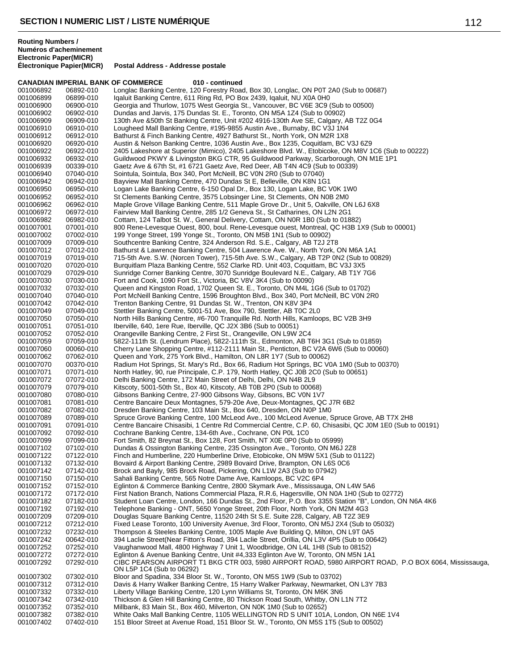**CANADIAN IMPERIAL BANK OF COMMERCE 010 - continued** 001006892 06892-010 Longlac Banking Centre, 120 Forestry Road, Box 30, Longlac, ON P0T 2A0 (Sub to 00687)<br>001006899 06899-010 Igaluit Banking Centre, 611 Ring Rd, PO Box 2439, Igaluit, NU X0A 0H0 001006899 06899-010 Iqaluit Banking Centre, 611 Ring Rd, PO Box 2439, Iqaluit, NU X0A 0H0 Georgia and Thurlow, 1075 West Georgia St., Vancouver, BC V6E 3C9 (Sub to 00500) 001006902 06902-010 Dundas and Jarvis, 175 Dundas St. E., Toronto, ON M5A 1Z4 (Sub to 00902) 001006909 06909-010 130th Ave &50th St Banking Centre, Unit #202 4916-130th Ave SE, Calgary, AB T2Z 0G4<br>001006910 06910-010 Lougheed Mall Banking Centre, #195-9855 Austin Ave., Burnaby, BC V3J 1N4 001006910 06910-010 Lougheed Mall Banking Centre, #195-9855 Austin Ave., Burnaby, BC V3J 1N4<br>001006912 06912-010 Bathurst & Finch Banking Centre, 4927 Bathurst St., North York, ON M2R 1X8 001006912 06912-010 Bathurst & Finch Banking Centre, 4927 Bathurst St., North York, ON M2R 1X8 Austin & Nelson Banking Centre, 1036 Austin Ave., Box 1235, Coquitlam, BC V3J 6Z9 001006922 06922-010 2405 Lakeshore at Superior (Mimico), 2405 Lakeshore Blvd. W., Etobicoke, ON M8V 1C6 (Sub to 00222)<br>001006932 06932-010 Guildwood PKWY & Livingston BKG CTR, 95 Guildwood Parkway, Scarborough, ON M1E 1P1 001006932 06932-010 Guildwood PKWY & Livingston BKG CTR, 95 Guildwood Parkway, Scarborough, ON M1E 1P1<br>001006939 00339-010 Gaetz Ave & 67th St, #1 6721 Gaetz Ave, Red Deer, AB T4N 4C9 (Sub to 00339) 001006939 00339-010 Gaetz Ave & 67th St, #1 6721 Gaetz Ave, Red Deer, AB T4N 4C9 (Sub to 00339)<br>001006940 07040-010 Sointula. Sointula. Box 340. Port McNeill. BC V0N 2R0 (Sub to 07040) 001006940 07040-010 Sointula, Sointula, Box 340, Port McNeill, BC V0N 2R0 (Sub to 07040) 001006942 06942-010 Bayview Mall Banking Centre, 470 Dundas St E, Belleville, ON K8N 1G1<br>001006950 06950-010 Logan Lake Banking Centre, 6-150 Opal Dr., Box 130, Logan Lake, BC \ 001006950 06950-010 Logan Lake Banking Centre, 6-150 Opal Dr., Box 130, Logan Lake, BC V0K 1W0<br>001006952 06952-010 St Clements Banking Centre, 3575 Lobsinger Line, St Clements, ON N0B 2M0 St Clements Banking Centre, 3575 Lobsinger Line, St Clements, ON N0B 2M0 001006962 06962-010 Maple Grove Village Banking Centre, 511 Maple Grove Dr., Unit 5, Oakville, ON L6J 6X8<br>001006972 06972-010 Fairview Mall Banking Centre, 285 1/2 Geneva St., St Catharines, ON L2N 2G1 001006972 06972-010 Fairview Mall Banking Centre, 285 1/2 Geneva St., St Catharines, ON L2N 2G1 001006982 06982-010 Cottam, 124 Talbot St. W., General Delivery, Cottam, ON N0R 1B0 (Sub to 01882) 001007001 07001-010 800 Rene-Levesque Ouest, 800, boul. Rene-Levesque ouest, Montreal, QC H3B 1X9 (Sub to 00001)<br>001007002 07002-010 199 Yonge Street, 199 Yonge St., Toronto, ON M5B 1N1 (Sub to 00902) 199 Yonge Street, 199 Yonge St., Toronto, ON M5B 1N1 (Sub to 00902) 001007009 07009-010 Southcentre Banking Centre, 324 Anderson Rd. S.E., Calgary, AB T2J 2T8 Bathurst & Lawrence Banking Centre, 504 Lawrence Ave. W., North York, ON M6A 1A1 001007019 07019-010 715-5th Ave. S.W. (Norcen Tower), 715-5th Ave. S.W., Calgary, AB T2P 0N2 (Sub to 00829)<br>001007020 07020-010 Burquitlam Plaza Banking Centre, 552 Clarke RD. Unit 403, Coquitlam, BC V3J 3X5 001007020 07020-010 Burquitlam Plaza Banking Centre, 552 Clarke RD. Unit 403, Coquitlam, BC V3J 3X5<br>001007029 07029-010 Sunridge Corner Banking Centre. 3070 Sunridge Boulevard N.E.. Calgary. AB T1Y 7 Sunridge Corner Banking Centre, 3070 Sunridge Boulevard N.E., Calgary, AB T1Y 7G6 001007030 07030-010 Fort and Cook, 1090 Fort St., Victoria, BC V8V 3K4 (Sub to 00090) Queen and Kingston Road, 1702 Queen St. E., Toronto, ON M4L 1G6 (Sub to 01702) 001007040 07040-010 Port McNeill Banking Centre, 1596 Broughton Blvd., Box 340, Port McNeill, BC V0N 2R0<br>001007042 07042-010 Trenton Banking Centre, 91 Dundas St. W., Trenton, ON K8V 3P4 001007042 07042-010 Trenton Banking Centre, 91 Dundas St. W., Trenton, ON K8V 3P4 Stettler Banking Centre, 5001-51 Ave, Box 790, Stettler, AB T0C 2L0 001007050 07050-010 North Hills Banking Centre, #6-700 Tranquille Rd. North Hills, Kamloops, BC V2B 3H9<br>001007051 07051-010 lberville, 640, 1ere Rue, Iberville, QC J2X 3B6 (Sub to 00051) 001007051 07051-010 Iberville, 640, 1ere Rue, Iberville, QC J2X 3B6 (Sub to 00051)<br>001007052 07052-010 Orangeville Banking Centre, 2 First St., Orangeville, ON L9W 001007052 07052-010 Orangeville Banking Centre, 2 First St., Orangeville, ON L9W 2C4<br>001007059 07059-010 5822-111th St. (Lendrum Place), 5822-111th St., Edmonton, AB T 001007059 07059-010 5822-111th St. (Lendrum Place), 5822-111th St., Edmonton, AB T6H 3G1 (Sub to 01859) 001007060 00060-010 Cherry Lane Shopping Centre, #112-2111 Main St., Penticton, BC V2A 6W6 (Sub to 00060)<br>001007062 07062-010 Queen and York, 275 York Blvd., Hamilton, ON L8R 1Y7 (Sub to 00062) 001007062 07062-010 Queen and York, 275 York Blvd., Hamilton, ON L8R 1Y7 (Sub to 00062)<br>001007070 00370-010 Radium Hot Springs, St. Mary's Rd., Box 66, Radium Hot Springs, BC V Radium Hot Springs, St. Mary's Rd., Box 66, Radium Hot Springs, BC V0A 1M0 (Sub to 00370) 001007071 07071-010 North Hatley, 90, rue Principale, C.P. 179, North Hatley, QC J0B 2C0 (Sub to 00651)<br>001007072 07072-010 Delhi Banking Centre. 172 Main Street of Delhi. Delhi. ON N4B 2L9 001007072 07072-010 Delhi Banking Centre, 172 Main Street of Delhi, Delhi, ON N4B 2L9 001007079 07079-010 Kitscoty, 5001-50th St., Box 40, Kitscoty, AB T0B 2P0 (Sub to 00068) 001007080 07080-010 Gibsons Banking Centre, 27-900 Gibsons Way, Gibsons, BC V0N 1V7<br>001007081 07081-010 Centre Bancaire Deux Montagnes, 579-20e Ave, Deux-Montagnes, QC Centre Bancaire Deux Montagnes, 579-20e Ave, Deux-Montagnes, QC J7R 6B2 001007082 07082-010 Dresden Banking Centre, 103 Main St., Box 640, Dresden, ON N0P 1M0<br>001007089 07089-010 Spruce Grove Banking Centre, 100 McLeod Ave., 100 McLeod Avenue, S Spruce Grove Banking Centre, 100 McLeod Ave., 100 McLeod Avenue, Spruce Grove, AB T7X 2H8 001007091 07091-010 Centre Bancaire Chisasibi, 1 Centre Rd Commercial Centre, C.P. 60, Chisasibi, QC J0M 1E0 (Sub to 00191)<br>001007092 07092-010 Cochrane Banking Centre, 134-6th Ave., Cochrane, ON P0L 1C0 001007092 07092-010 Cochrane Banking Centre, 134-6th Ave., Cochrane, ON P0L 1C0<br>001007099 07099-010 Fort Smith. 82 Brevnat St.. Box 128. Fort Smith. NT X0E 0P0 (Sul Fort Smith, 82 Breynat St., Box 128, Fort Smith, NT X0E 0P0 (Sub to 05999) 001007102 07102-010 Dundas & Ossington Banking Centre, 235 Ossington Ave., Toronto, ON M6J 2Z8 Finch and Humberline, 220 Humberline Drive, Etobicoke, ON M9W 5X1 (Sub to 01122) 001007132 07132-010 Bovaird & Airport Banking Centre, 2989 Bovaird Drive, Brampton, ON L6S 0C6<br>001007142 07142-010 Brock and Bayly, 985 Brock Road, Pickering, ON L1W 2A3 (Sub to 07942) 001007142 07142-010 Brock and Bayly, 985 Brock Road, Pickering, ON L1W 2A3 (Sub to 07942)<br>001007150 07150-010 Sahali Banking Centre, 565 Notre Dame Ave, Kamloops, BC V2C 6P4 Sahali Banking Centre, 565 Notre Dame Ave, Kamloops, BC V2C 6P4 001007152 07152-010 Eglinton & Commerce Banking Centre, 2800 Skymark Ave., Mississauga, ON L4W 5A6<br>001007172 07172-010 First Nation Branch, Nations Commercial Plaza, R.R.6, Hagersville, ON N0A 1H0 (Sub t 001007172 07172-010 First Nation Branch, Nations Commercial Plaza, R.R.6, Hagersville, ON N0A 1H0 (Sub to 02772) 001007182 07182-010 Student Loan Centre, London, 166 Dundas St., 2nd Floor, P.O. Box 3355 Station "B", London, ON N6A 4K6<br>001007192 07192-010 Telephone Banking - ONT, 5650 Yonge Street, 20th Floor, North York, ON M2M 4G3 001007192 07192-010 Telephone Banking - ONT, 5650 Yonge Street, 20th Floor, North York, ON M2M 4G3<br>001007209 07209-010 Douglas Square Banking Centre, 11520 24th St S.E. Suite 228, Calgary, AB T2Z 3F9 001007209 07209-010 Douglas Square Banking Centre, 11520 24th St S.E. Suite 228, Calgary, AB T2Z 3E9<br>001007212 07212-010 Fixed Lease Toronto, 100 University Avenue, 3rd Floor, Toronto, ON M5J 2X4 (Sub to 001007212 07212-010 Fixed Lease Toronto, 100 University Avenue, 3rd Floor, Toronto, ON M5J 2X4 (Sub to 05032)<br>001007232 07232-010 Thompson & Steeles Banking Centre, 1005 Maple Ave Building Q, Milton, ON L9T 0A5 Thompson & Steeles Banking Centre, 1005 Maple Ave Building Q, Milton, ON L9T 0A5 001007242 00642-010 394 Laclie Street(Near Fitton's Road, 394 Laclie Street, Orillia, ON L3V 4P5 (Sub to 00642) 001007252 07252-010 Vaughanwood Mall, 4800 Highway 7 Unit 1, Woodbridge, ON L4L 1H8 (Sub to 08152)<br>001007272 07272-010 Eglinton & Avenue Banking Centre, Unit #4,333 Eglinton Ave W, Toronto, ON M5N 1A 001007272 07272-010 Eglinton & Avenue Banking Centre, Unit #4,333 Eglinton Ave W, Toronto, ON M5N 1A1 001007292 07292-010 CIBC PEARSON AIRPORT T1 BKG CTR 003, 5980 AIRPORT ROAD, 5980 AIRPORT ROAD, P.O BOX 6064, Mississauga, ON L5P 1C4 (Sub to 06292) 001007302 07302-010 Bloor and Spadina, 334 Bloor St. W., Toronto, ON M5S 1W9 (Sub to 03702) 001007312 07312-010 Davis & Harry Walker Banking Centre, 15 Harry Walker Parkway, Newmarket, ON L3Y 7B3 001007332 07332-010 Liberty Village Banking Centre, 120 Lynn Williams St, Toronto, ON M6K 3N6 001007342 07342-010 Thickson & Glen Hill Banking Centre, 80 Thickson Road South, Whitby, ON L1N 7T2 001007352 07352-010 Millbank, 83 Main St., Box 460, Milverton, ON N0K 1M0 (Sub to 02652) 001007382 07382-010 White Oaks Mall Banking Centre, 1105 WELLINGTON RD S UNIT 101A, London, ON N6E 1V4 001007402 07402-010 151 Bloor Street at Avenue Road, 151 Bloor St. W., Toronto, ON M5S 1T5 (Sub to 00502)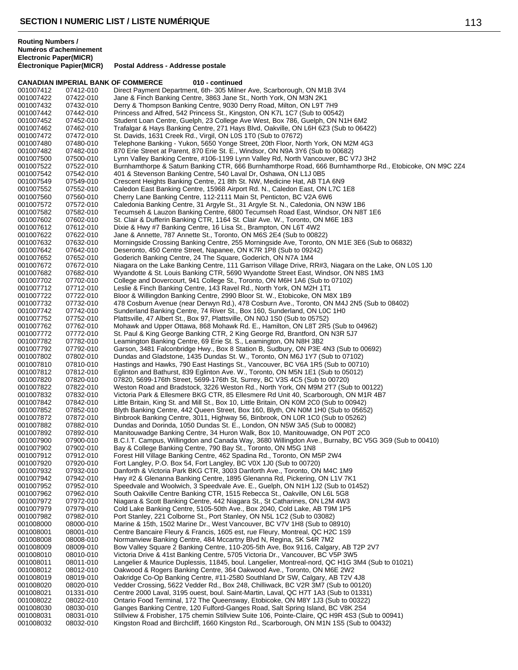|                        |                        | <b>CANADIAN IMPERIAL BANK OF COMMERCE</b><br>010 - continued                                                                                                                                |
|------------------------|------------------------|---------------------------------------------------------------------------------------------------------------------------------------------------------------------------------------------|
| 001007412              | 07412-010              | Direct Payment Department, 6th-305 Milner Ave, Scarborough, ON M1B 3V4                                                                                                                      |
| 001007422              | 07422-010              | Jane & Finch Banking Centre, 3863 Jane St., North York, ON M3N 2K1                                                                                                                          |
| 001007432              | 07432-010              | Derry & Thompson Banking Centre, 9030 Derry Road, Milton, ON L9T 7H9                                                                                                                        |
| 001007442              | 07442-010              | Princess and Alfred, 542 Princess St., Kingston, ON K7L 1C7 (Sub to 00542)                                                                                                                  |
| 001007452              | 07452-010              | Student Loan Centre, Guelph, 23 College Ave West, Box 786, Guelph, ON N1H 6M2                                                                                                               |
| 001007462              | 07462-010              | Trafalgar & Hays Banking Centre, 271 Hays Blvd, Oakville, ON L6H 6Z3 (Sub to 06422)                                                                                                         |
| 001007472              | 07472-010              | St. Davids, 1631 Creek Rd., Virgil, ON L0S 1T0 (Sub to 07672)                                                                                                                               |
| 001007480              | 07480-010              | Telephone Banking - Yukon, 5650 Yonge Street, 20th Floor, North York, ON M2M 4G3                                                                                                            |
| 001007482              | 07482-010              | 870 Erie Street at Parent, 870 Erie St. E., Windsor, ON N9A 3Y6 (Sub to 00682)                                                                                                              |
| 001007500              | 07500-010              | Lynn Valley Banking Centre, #106-1199 Lynn Valley Rd, North Vancouver, BC V7J 3H2                                                                                                           |
| 001007522              | 07522-010              | Burnhamthorpe & Saturn Banking CTR, 666 Burnhamthorpe Road, 666 Burnhamthorpe Rd., Etobicoke, ON M9C 2Z4                                                                                    |
| 001007542              | 07542-010              | 401 & Stevenson Banking Centre, 540 Laval Dr, Oshawa, ON L1J 0B5                                                                                                                            |
| 001007549              | 07549-010              | Crescent Heights Banking Centre, 21 8th St. NW, Medicine Hat, AB T1A 6N9                                                                                                                    |
| 001007552              | 07552-010              | Caledon East Banking Centre, 15968 Airport Rd. N., Caledon East, ON L7C 1E8                                                                                                                 |
| 001007560              | 07560-010              | Cherry Lane Banking Centre, 112-2111 Main St, Penticton, BC V2A 6W6                                                                                                                         |
| 001007572              | 07572-010              | Caledonia Banking Centre, 31 Argyle St., 31 Argyle St. N., Caledonia, ON N3W 1B6                                                                                                            |
| 001007582              | 07582-010              | Tecumseh & Lauzon Banking Centre, 6800 Tecumseh Road East, Windsor, ON N8T 1E6                                                                                                              |
| 001007602              | 07602-010              | St. Clair & Dufferin Banking CTR, 1164 St. Clair Ave. W., Toronto, ON M6E 1B3                                                                                                               |
| 001007612              | 07612-010              | Dixie & Hwy #7 Banking Centre, 16 Lisa St., Brampton, ON L6T 4W2                                                                                                                            |
| 001007622              | 07622-010              | Jane & Annette, 787 Annette St., Toronto, ON M6S 2E4 (Sub to 00822)                                                                                                                         |
| 001007632              | 07632-010              | Morningside Crossing Banking Centre, 255 Morningside Ave, Toronto, ON M1E 3E6 (Sub to 06832)                                                                                                |
| 001007642              | 07642-010              | Deseronto, 450 Centre Street, Napanee, ON K7R 1P8 (Sub to 09242)                                                                                                                            |
| 001007652              | 07652-010<br>07672-010 | Goderich Banking Centre, 24 The Square, Goderich, ON N7A 1M4                                                                                                                                |
| 001007672              |                        | Niagara on the Lake Banking Centre, 111 Garrison Village Drive, RR#3, Niagara on the Lake, ON L0S 1J0<br>Wyandotte & St. Louis Banking CTR, 5690 Wyandotte Street East, Windsor, ON N8S 1M3 |
| 001007682              | 07682-010              |                                                                                                                                                                                             |
| 001007702<br>001007712 | 07702-010<br>07712-010 | College and Dovercourt, 941 College St., Toronto, ON M6H 1A6 (Sub to 07102)<br>Leslie & Finch Banking Centre, 143 Ravel Rd., North York, ON M2H 1T1                                         |
| 001007722              | 07722-010              | Bloor & Willingdon Banking Centre, 2990 Bloor St. W., Etobicoke, ON M8X 1B9                                                                                                                 |
| 001007732              | 07732-010              | 478 Cosburn Avenue (near Derwyn Rd.), 478 Cosburn Ave., Toronto, ON M4J 2N5 (Sub to 08402)                                                                                                  |
| 001007742              | 07742-010              | Sunderland Banking Centre, 74 River St., Box 160, Sunderland, ON L0C 1H0                                                                                                                    |
| 001007752              | 07752-010              | Plattsville, 47 Albert St., Box 97, Plattsville, ON N0J 1S0 (Sub to 05752)                                                                                                                  |
| 001007762              | 07762-010              | Mohawk and Upper Ottawa, 868 Mohawk Rd. E., Hamilton, ON L8T 2R5 (Sub to 04962)                                                                                                             |
| 001007772              | 07772-010              | St. Paul & King George Banking CTR, 2 King George Rd, Brantford, ON N3R 5J7                                                                                                                 |
| 001007782              | 07782-010              | Leamington Banking Centre, 69 Erie St. S., Leamington, ON N8H 3B2                                                                                                                           |
| 001007792              | 07792-010              | Garson, 3481 Falconbridge Hwy., Box 8 Station B, Sudbury, ON P3E 4N3 (Sub to 00692)                                                                                                         |
| 001007802              | 07802-010              | Dundas and Gladstone, 1435 Dundas St. W., Toronto, ON M6J 1Y7 (Sub to 07102)                                                                                                                |
| 001007810              | 07810-010              | Hastings and Hawks, 790 East Hastings St., Vancouver, BC V6A 1R5 (Sub to 00710)                                                                                                             |
| 001007812              | 07812-010              | Eglinton and Bathurst, 839 Eglinton Ave. W., Toronto, ON M5N 1E1 (Sub to 05012)                                                                                                             |
| 001007820              | 07820-010              | 07820, 5699-176th Street, 5699-176th St, Surrey, BC V3S 4C5 (Sub to 00720)                                                                                                                  |
| 001007822              | 07822-010              | Weston Road and Bradstock, 3226 Weston Rd., North York, ON M9M 2T7 (Sub to 00122)                                                                                                           |
| 001007832              | 07832-010              | Victoria Park & Ellesmere BKG CTR, 85 Ellesmere Rd Unit 40, Scarborough, ON M1R 4B7                                                                                                         |
| 001007842              | 07842-010              | Little Britain, King St. and Mill St., Box 10, Little Britain, ON K0M 2C0 (Sub to 00942)                                                                                                    |
| 001007852              | 07852-010              | Blyth Banking Centre, 442 Queen Street, Box 160, Blyth, ON N0M 1H0 (Sub to 05652)                                                                                                           |
| 001007872              | 07872-010              | Binbrook Banking Centre, 3011, Highway 56, Binbrook, ON L0R 1C0 (Sub to 05262)                                                                                                              |
| 001007882              | 07882-010              | Dundas and Dorinda, 1050 Dundas St. E., London, ON N5W 3A5 (Sub to 00082)                                                                                                                   |
| 001007892              | 07892-010              | Manitouwadge Banking Centre, 34 Huron Walk, Box 10, Manitouwadge, ON P0T 2C0                                                                                                                |
| 001007900              | 07900-010              | B.C.I.T. Campus, Willingdon and Canada Way, 3680 Willingdon Ave., Burnaby, BC V5G 3G9 (Sub to 00410)                                                                                        |
| 001007902              | 07902-010              | Bay & College Banking Centre, 790 Bay St., Toronto, ON M5G 1N8                                                                                                                              |
| 001007912              | 07912-010              | Forest Hill Village Banking Centre, 462 Spadina Rd., Toronto, ON M5P 2W4                                                                                                                    |
| 001007920              | 07920-010              | Fort Langley, P.O. Box 54, Fort Langley, BC V0X 1J0 (Sub to 00720)                                                                                                                          |
| 001007932              | 07932-010              | Danforth & Victoria Park BKG CTR, 3003 Danforth Ave., Toronto, ON M4C 1M9                                                                                                                   |
| 001007942              | 07942-010              | Hwy #2 & Glenanna Banking Centre, 1895 Glenanna Rd, Pickering, ON L1V 7K1                                                                                                                   |
| 001007952              | 07952-010              | Speedvale and Woolwich, 3 Speedvale Ave. E., Guelph, ON N1H 1J2 (Sub to 01452)                                                                                                              |
| 001007962              | 07962-010              | South Oakville Centre Banking CTR, 1515 Rebecca St., Oakville, ON L6L 5G8                                                                                                                   |
| 001007972              | 07972-010              | Niagara & Scott Banking Centre, 442 Niagara St., St Catharines, ON L2M 4W3                                                                                                                  |
| 001007979              | 07979-010              | Cold Lake Banking Centre, 5105-50th Ave., Box 2040, Cold Lake, AB T9M 1P5                                                                                                                   |
| 001007982              | 07982-010              | Port Stanley, 221 Colborne St., Port Stanley, ON N5L 1C2 (Sub to 03082)                                                                                                                     |
| 001008000              | 08000-010              | Marine & 15th, 1502 Marine Dr., West Vancouver, BC V7V 1H8 (Sub to 08910)                                                                                                                   |
| 001008001              | 08001-010              | Centre Bancaire Fleury & Francis, 1605 est, rue Fleury, Montreal, QC H2C 1S9                                                                                                                |
| 001008008              | 08008-010              | Normanview Banking Centre, 484 Mccartny Blvd N, Regina, SK S4R 7M2                                                                                                                          |
| 001008009              | 08009-010              | Bow Valley Square 2 Banking Centre, 110-205-5th Ave, Box 9116, Calgary, AB T2P 2V7                                                                                                          |
| 001008010              | 08010-010              | Victoria Drive & 41st Banking Centre, 5705 Victoria Dr., Vancouver, BC V5P 3W5                                                                                                              |
| 001008011              | 08011-010              | Langelier & Maurice Duplessis, 11845, boul. Langelier, Montreal-nord, QC H1G 3M4 (Sub to 01021)                                                                                             |
| 001008012              | 08012-010              | Oakwood & Rogers Banking Centre, 364 Oakwood Ave., Toronto, ON M6E 2W2                                                                                                                      |
| 001008019              | 08019-010              | Oakridge Co-Op Banking Centre, #11-2580 Southland Dr SW, Calgary, AB T2V 4J8                                                                                                                |
| 001008020              | 08020-010              | Vedder Crossing, 5622 Vedder Rd., Box 248, Chilliwack, BC V2R 3M7 (Sub to 00120)                                                                                                            |
| 001008021              | 01331-010              | Centre 2000 Laval, 3195 ouest, boul. Saint-Martin, Laval, QC H7T 1A3 (Sub to 01331)                                                                                                         |
| 001008022              | 08022-010              | Ontario Food Terminal, 172 The Queensway, Etobicoke, ON M8Y 1J3 (Sub to 00322)                                                                                                              |
| 001008030              | 08030-010              | Ganges Banking Centre, 120 Fulford-Ganges Road, Salt Spring Island, BC V8K 2S4                                                                                                              |
| 001008031              | 08031-010              | Stillview & Frobisher, 175 chemin Stillview Suite 106, Pointe-Claire, QC H9R 4S3 (Sub to 00941)<br>Kingston Road and Birchcliff, 1660 Kingston Rd., Scarborough, ON M1N 1S5 (Sub to 00432)  |
| 001008032              | 08032-010              |                                                                                                                                                                                             |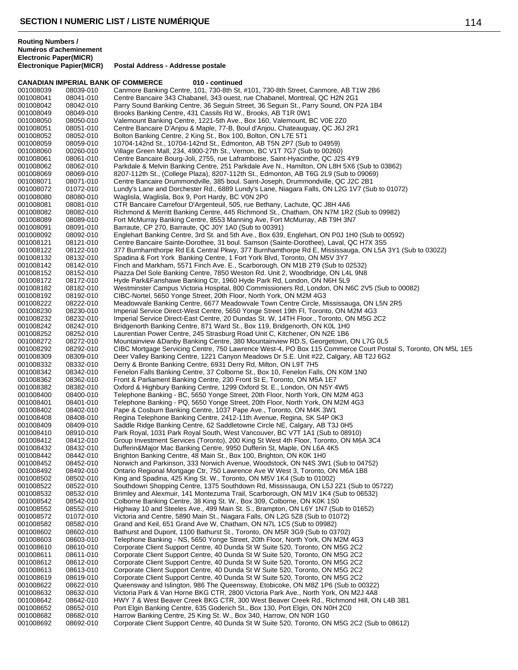|                        | <b>CANADIAN IMPERIAL BANK OF COMMERCE</b> | 010 - continued                                                                                                                                                                                       |
|------------------------|-------------------------------------------|-------------------------------------------------------------------------------------------------------------------------------------------------------------------------------------------------------|
| 001008039              | 08039-010                                 | Canmore Banking Centre, 101, 730-8th St, #101, 730-8th Street, Canmore, AB T1W 2B6                                                                                                                    |
| 001008041              | 08041-010                                 | Centre Bancaire 343 Chabanel, 343 ouest, rue Chabanel, Montreal, QC H2N 2G1                                                                                                                           |
| 001008042              | 08042-010                                 | Parry Sound Banking Centre, 36 Seguin Street, 36 Seguin St., Parry Sound, ON P2A 1B4                                                                                                                  |
| 001008049              | 08049-010                                 | Brooks Banking Centre, 431 Cassils Rd W., Brooks, AB T1R 0W1                                                                                                                                          |
| 001008050              | 08050-010                                 | Valemount Banking Centre, 1221-5th Ave., Box 160, Valemount, BC V0E 2Z0                                                                                                                               |
| 001008051              | 08051-010                                 | Centre Bancaire D'Anjou & Maple, 77-B, Boul d'Anjou, Chateauguay, QC J6J 2R1                                                                                                                          |
| 001008052<br>001008059 | 08052-010<br>08059-010                    | Bolton Banking Centre, 2 King St., Box 100, Bolton, ON L7E 5T1<br>10704-142nd St., 10704-142nd St., Edmonton, AB T5N 2P7 (Sub to 04959)                                                               |
| 001008060              | 00260-010                                 | Village Green Mall, 234, 4900-27th St., Vernon, BC V1T 7G7 (Sub to 00260)                                                                                                                             |
| 001008061              | 08061-010                                 | Centre Bancaire Bourg-Joli, 2755, rue Laframboise, Saint-Hyacinthe, QC J2S 4Y9                                                                                                                        |
| 001008062              | 08062-010                                 | Parkdale & Melvin Banking Centre, 251 Parkdale Ave N., Hamilton, ON L8H 5X6 (Sub to 03862)                                                                                                            |
| 001008069              | 08069-010                                 | 8207-112th St., (College Plaza), 8207-112th St., Edmonton, AB T6G 2L9 (Sub to 09069)                                                                                                                  |
| 001008071              | 08071-010                                 | Centre Bancaire Drummondville, 385 boul. Saint-Joseph, Drummondville, QC J2C 2B1                                                                                                                      |
| 001008072              | 01072-010                                 | Lundy's Lane and Dorchester Rd., 6889 Lundy's Lane, Niagara Falls, ON L2G 1V7 (Sub to 01072)                                                                                                          |
| 001008080              | 08080-010                                 | Waglisla, Waglisla, Box 9, Port Hardy, BC V0N 2P0                                                                                                                                                     |
| 001008081              | 08081-010                                 | CTR Bancaire Carrefour D'Argenteuil, 505, rue Bethany, Lachute, QC J8H 4A6                                                                                                                            |
| 001008082              | 08082-010                                 | Richmond & Merritt Banking Centre, 445 Richmond St., Chatham, ON N7M 1R2 (Sub to 09982)                                                                                                               |
| 001008089              | 08089-010                                 | Fort McMurray Banking Centre, 8553 Manning Ave, Fort McMurray, AB T9H 3N7                                                                                                                             |
| 001008091              | 08091-010                                 | Barraute, CP 270, Barraute, QC J0Y 1A0 (Sub to 00391)                                                                                                                                                 |
| 001008092              | 08092-010                                 | Englehart Banking Centre, 3rd St. and 5th Ave., Box 639, Englehart, ON P0J 1H0 (Sub to 00592)                                                                                                         |
| 001008121              | 08121-010                                 | Centre Bancaire Sainte-Dorothee, 31 boul. Samson (Sainte-Dorothee), Laval, QC H7X 3S5                                                                                                                 |
| 001008122              | 08122-010                                 | 377 Burnhamthorpe Rd E& Central Pkwy, 377 Burnhamthorpe Rd E, Mississauga, ON L5A 3Y1 (Sub to 03022)                                                                                                  |
| 001008132<br>001008142 | 08132-010<br>08142-010                    | Spadina & Fort York Banking Centre, 1 Fort York Blvd, Toronto, ON M5V 3Y7<br>Finch and Markham, 5571 Finch Ave. E., Scarborough, ON M1B 2T9 (Sub to 02532)                                            |
| 001008152              | 08152-010                                 | Piazza Del Sole Banking Centre, 7850 Weston Rd. Unit 2, Woodbridge, ON L4L 9N8                                                                                                                        |
| 001008172              | 08172-010                                 | Hyde Park&Fanshawe Banking Ctr, 1960 Hyde Park Rd, London, ON N6H 5L9                                                                                                                                 |
| 001008182              | 08182-010                                 | Westminster Campus Victoria Hospital, 800 Commissioners Rd, London, ON N6C 2V5 (Sub to 00082)                                                                                                         |
| 001008192              | 08192-010                                 | CIBC-Nortel, 5650 Yonge Street, 20th Floor, North York, ON M2M 4G3                                                                                                                                    |
| 001008222              | 08222-010                                 | Meadowvale Banking Centre, 6677 Meadowvale Town Centre Circle, Mississauga, ON L5N 2R5                                                                                                                |
| 001008230              | 08230-010                                 | Imperial Service Direct-West Centre, 5650 Yonge Street 19th Fl, Toronto, ON M2M 4G3                                                                                                                   |
| 001008232              | 08232-010                                 | Imperial Service Direct-East Centre, 20 Dundas St. W, 14TH Floor., Toronto, ON M5G 2C2                                                                                                                |
| 001008242              | 08242-010                                 | Bridgenorth Banking Centre, 871 Ward St., Box 119, Bridgenorth, ON K0L 1H0                                                                                                                            |
| 001008252              | 08252-010                                 | Laurentian Power Centre, 245 Strasburg Road Unit C, Kitchener, ON N2E 1B6                                                                                                                             |
| 001008272              | 08272-010                                 | Mountainview & Danby Banking Centre, 380 Mountainview RD.S, Georgetown, ON L7G 0L5                                                                                                                    |
| 001008292<br>001008309 | 08292-010<br>08309-010                    | CIBC Mortgage Servicing Centre, 750 Lawrence West-4, PO Box 115 Commerce Court Postal S, Toronto, ON M5L 1E5<br>Deer Valley Banking Centre, 1221 Canyon Meadows Dr S.E. Unit #22, Calgary, AB T2J 6G2 |
| 001008332              | 08332-010                                 | Derry & Bronte Banking Centre, 6931 Derry Rd, Milton, ON L9T 7H5                                                                                                                                      |
| 001008342              | 08342-010                                 | Fenelon Falls Banking Centre, 37 Colborne St., Box 10, Fenelon Falls, ON K0M 1N0                                                                                                                      |
| 001008362              | 08362-010                                 | Front & Parliament Banking Centre, 230 Front St E, Toronto, ON M5A 1E7                                                                                                                                |
| 001008382              | 08382-010                                 | Oxford & Highbury Banking Centre, 1299 Oxford St. E., London, ON N5Y 4W5                                                                                                                              |
| 001008400              | 08400-010                                 | Telephone Banking - BC, 5650 Yonge Street, 20th Floor, North York, ON M2M 4G3                                                                                                                         |
| 001008401              | 08401-010                                 | Telephone Banking - PQ, 5650 Yonge Street, 20th Floor, North York, ON M2M 4G3                                                                                                                         |
| 001008402              | 08402-010                                 | Pape & Cosburn Banking Centre, 1037 Pape Ave., Toronto, ON M4K 3W1                                                                                                                                    |
| 001008408              | 08408-010                                 | Regina Telephone Banking Centre, 2412-11th Avenue, Regina, SK S4P 0K3                                                                                                                                 |
| 001008409              | 08409-010                                 | Saddle Ridge Banking Centre, 62 Saddletowne Circle NE, Calgary, AB T3J 0H5                                                                                                                            |
| 001008410<br>001008412 | 08910-010<br>08412-010                    | Park Royal, 1031 Park Royal South, West Vancouver, BC V7T 1A1 (Sub to 08910)<br>Group Investment Services (Toronto), 200 King St West 4th Floor, Toronto, ON M6A 3C4                                  |
| 001008432              | 08432-010                                 | Dufferin&Major Mac Banking Centre, 9950 Dufferin St, Maple, ON L6A 4K5                                                                                                                                |
| 001008442              | 08442-010                                 | Brighton Banking Centre, 48 Main St., Box 100, Brighton, ON K0K 1H0                                                                                                                                   |
| 001008452              | 08452-010                                 | Norwich and Parkinson, 333 Norwich Avenue, Woodstock, ON N4S 3W1 (Sub to 04752)                                                                                                                       |
| 001008492              | 08492-010                                 | Ontario Regional Mortgage Ctr, 750 Lawrence Ave W West 3, Toronto, ON M6A 1B8                                                                                                                         |
| 001008502              | 08502-010                                 | King and Spadina, 425 King St. W., Toronto, ON M5V 1K4 (Sub to 01002)                                                                                                                                 |
| 001008522              | 08522-010                                 | Southdown Shopping Centre, 1375 Southdown Rd, Mississauga, ON L5J 2Z1 (Sub to 05722)                                                                                                                  |
| 001008532              | 08532-010                                 | Brimley and Alexmuir, 141 Montezuma Trail, Scarborough, ON M1V 1K4 (Sub to 06532)                                                                                                                     |
| 001008542              | 08542-010                                 | Colborne Banking Centre, 38 King St. W., Box 309, Colborne, ON K0K 1S0                                                                                                                                |
| 001008552<br>001008572 | 08552-010<br>01072-010                    | Highway 10 and Steeles Ave., 499 Main St. S., Brampton, ON L6Y 1N7 (Sub to 01652)<br>Victoria and Centre, 5890 Main St., Niagara Falls, ON L2G 5Z8 (Sub to 01072)                                     |
| 001008582              | 08582-010                                 | Grand and Keil, 651 Grand Ave W, Chatham, ON N7L 1C5 (Sub to 09982)                                                                                                                                   |
| 001008602              | 08602-010                                 | Bathurst and Dupont, 1100 Bathurst St., Toronto, ON M5R 3G9 (Sub to 03702)                                                                                                                            |
| 001008603              | 08603-010                                 | Telephone Banking - NS, 5650 Yonge Street, 20th Floor, North York, ON M2M 4G3                                                                                                                         |
| 001008610              | 08610-010                                 | Corporate Client Support Centre, 40 Dunda St W Suite 520, Toronto, ON M5G 2C2                                                                                                                         |
| 001008611              | 08611-010                                 | Corporate Client Support Centre, 40 Dunda St W Suite 520, Toronto, ON M5G 2C2                                                                                                                         |
| 001008612              | 08612-010                                 | Corporate Client Support Centre, 40 Dunda St W Suite 520, Toronto, ON M5G 2C2                                                                                                                         |
| 001008613              | 08613-010                                 | Corporate Client Support Centre, 40 Dunda St W Suite 520, Toronto, ON M5G 2C2                                                                                                                         |
| 001008619              | 08619-010                                 | Corporate Client Support Centre, 40 Dunda St W Suite 520, Toronto, ON M5G 2C2                                                                                                                         |
| 001008622<br>001008632 | 08622-010<br>08632-010                    | Queensway and Islington, 986 The Queensway, Etobicoke, ON M8Z 1P6 (Sub to 00322)<br>Victoria Park & Van Horne BKG CTR, 2800 Victoria Park Ave., North York, ON M2J 4A8                                |
| 001008642              | 08642-010                                 | HWY 7 & West Beaver Creek BKG CTR, 300 West Beaver Creek Rd., Richmond Hill, ON L4B 3B1                                                                                                               |
| 001008652              | 08652-010                                 | Port Elgin Banking Centre, 635 Goderich St., Box 130, Port Elgin, ON N0H 2C0                                                                                                                          |
| 001008682              | 08682-010                                 | Harrow Banking Centre, 25 King St. W., Box 340, Harrow, ON NOR 1G0                                                                                                                                    |
| 001008692              | 08692-010                                 | Corporate Client Support Centre, 40 Dunda St W Suite 520, Toronto, ON M5G 2C2 (Sub to 08612)                                                                                                          |
|                        |                                           |                                                                                                                                                                                                       |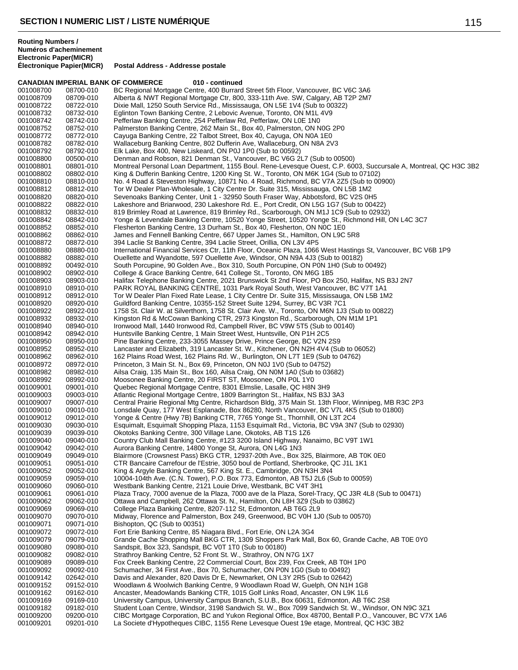|                        |                        | <b>CANADIAN IMPERIAL BANK OF COMMERCE</b><br>010 - continued                                                                                                               |
|------------------------|------------------------|----------------------------------------------------------------------------------------------------------------------------------------------------------------------------|
| 001008700              | 08700-010              | BC Regional Mortgage Centre, 400 Burrard Street 5th Floor, Vancouver, BC V6C 3A6                                                                                           |
| 001008709              | 08709-010              | Alberta & NWT Regional Mortgage Ctr, 800, 333-11th Ave. SW, Calgary, AB T2P 2M7                                                                                            |
| 001008722              | 08722-010              | Dixie Mall, 1250 South Service Rd., Mississauga, ON L5E 1V4 (Sub to 00322)                                                                                                 |
| 001008732<br>001008742 | 08732-010<br>08742-010 | Eglinton Town Banking Centre, 2 Lebovic Avenue, Toronto, ON M1L 4V9<br>Pefferlaw Banking Centre, 254 Pefferlaw Rd, Pefferlaw, ON L0E 1N0                                   |
| 001008752              | 08752-010              | Palmerston Banking Centre, 262 Main St., Box 40, Palmerston, ON N0G 2P0                                                                                                    |
| 001008772              | 08772-010              | Cayuga Banking Centre, 22 Talbot Street, Box 40, Cayuga, ON N0A 1E0                                                                                                        |
| 001008782              | 08782-010              | Wallaceburg Banking Centre, 802 Dufferin Ave, Wallaceburg, ON N8A 2V3                                                                                                      |
| 001008792              | 08792-010              | Elk Lake, Box 400, New Liskeard, ON P0J 1P0 (Sub to 00592)                                                                                                                 |
| 001008800              | 00500-010              | Denman and Robson, 821 Denman St., Vancouver, BC V6G 2L7 (Sub to 00500)                                                                                                    |
| 001008801              | 08801-010              | Montreal Personal Loan Department, 1155 Boul. Rene-Levesque Ouest, C.P. 6003, Succursale A, Montreal, QC H3C 3B2                                                           |
| 001008802              | 08802-010              | King & Dufferin Banking Centre, 1200 King St. W., Toronto, ON M6K 1G4 (Sub to 07102)                                                                                       |
| 001008810              | 08810-010              | No. 4 Road & Steveston Highway, 10871 No. 4 Road, Richmond, BC V7A 2Z5 (Sub to 00900)                                                                                      |
| 001008812<br>001008820 | 08812-010<br>08820-010 | Tor W Dealer Plan-Wholesale, 1 City Centre Dr. Suite 315, Mississauga, ON L5B 1M2<br>Sevenoaks Banking Center, Unit 1 - 32950 South Fraser Way, Abbotsford, BC V2S 0H5     |
| 001008822              | 08822-010              | Lakeshore and Briarwood, 230 Lakeshore Rd. E., Port Credit, ON L5G 1G7 (Sub to 00422)                                                                                      |
| 001008832              | 08832-010              | 819 Brimley Road at Lawrence, 819 Brimley Rd., Scarborough, ON M1J 1C9 (Sub to 02932)                                                                                      |
| 001008842              | 08842-010              | Yonge & Levendale Banking Centre, 10520 Yonge Street, 10520 Yonge St., Richmond Hill, ON L4C 3C7                                                                           |
| 001008852              | 08852-010              | Flesherton Banking Centre, 13 Durham St., Box 40, Flesherton, ON N0C 1E0                                                                                                   |
| 001008862              | 08862-010              | James and Fennell Banking Centre, 667 Upper James St., Hamilton, ON L9C 5R8                                                                                                |
| 001008872              | 08872-010              | 394 Laclie St Banking Centre, 394 Laclie Street, Orillia, ON L3V 4P5                                                                                                       |
| 001008880              | 08880-010              | International Financial Services Ctr, 11th Floor, Oceanic Plaza, 1066 West Hastings St, Vancouver, BC V6B 1P9                                                              |
| 001008882              | 08882-010              | Ouellette and Wyandotte, 597 Ouellette Ave, Windsor, ON N9A 4J3 (Sub to 00182)                                                                                             |
| 001008892              | 00492-010              | South Porcupine, 90 Golden Ave., Box 310, South Porcupine, ON P0N 1H0 (Sub to 00492)<br>College & Grace Banking Centre, 641 College St., Toronto, ON M6G 1B5               |
| 001008902<br>001008903 | 08902-010<br>08903-010 | Halifax Telephone Banking Centre, 2021 Brunswick St 2nd Floor, PO Box 250, Halifax, NS B3J 2N7                                                                             |
| 001008910              | 08910-010              | PARK ROYAL BANKING CENTRE, 1031 Park Royal South, West Vancouver, BC V7T 1A1                                                                                               |
| 001008912              | 08912-010              | Tor W Dealer Plan Fixed Rate Lease, 1 City Centre Dr. Suite 315, Mississauga, ON L5B 1M2                                                                                   |
| 001008920              | 08920-010              | Guildford Banking Centre, 10355-152 Street Suite 1294, Surrey, BC V3R 7C1                                                                                                  |
| 001008922              | 08922-010              | 1758 St. Clair W. at Silverthorn, 1758 St. Clair Ave. W., Toronto, ON M6N 1J3 (Sub to 00822)                                                                               |
| 001008932              | 08932-010              | Kingston Rd & McCowan Banking CTR, 2973 Kingston Rd., Scarborough, ON M1M 1P1                                                                                              |
| 001008940              | 08940-010              | Ironwood Mall, 1440 Ironwood Rd, Campbell River, BC V9W 5T5 (Sub to 00140)                                                                                                 |
| 001008942              | 08942-010              | Huntsville Banking Centre, 1 Main Street West, Huntsville, ON P1H 2C5                                                                                                      |
| 001008950              | 08950-010              | Pine Banking Centre, 233-3055 Massey Drive, Prince George, BC V2N 2S9                                                                                                      |
| 001008952<br>001008962 | 08952-010<br>08962-010 | Lancaster and Elizabeth, 319 Lancaster St. W., Kitchener, ON N2H 4V4 (Sub to 06052)<br>162 Plains Road West, 162 Plains Rd. W., Burlington, ON L7T 1E9 (Sub to 04762)      |
| 001008972              | 08972-010              | Princeton, 3 Main St. N., Box 69, Princeton, ON N0J 1V0 (Sub to 04752)                                                                                                     |
| 001008982              | 08982-010              | Ailsa Craig, 135 Main St., Box 160, Ailsa Craig, ON N0M 1A0 (Sub to 03682)                                                                                                 |
| 001008992              | 08992-010              | Moosonee Banking Centre, 20 FIRST ST, Moosonee, ON POL 1Y0                                                                                                                 |
| 001009001              | 09001-010              | Quebec Regional Mortgage Centre, 8301 Elmslie, Lasalle, QC H8N 3H9                                                                                                         |
| 001009003              | 09003-010              | Atlantic Regional Mortgage Centre, 1809 Barrington St., Halifax, NS B3J 3A3                                                                                                |
| 001009007              | 09007-010              | Central Prairie Regional Mtg Centre, Richardson Bldg, 375 Main St. 13th Floor, Winnipeg, MB R3C 2P3                                                                        |
| 001009010              | 09010-010              | Lonsdale Quay, 177 West Esplanade, Box 86280, North Vancouver, BC V7L 4K5 (Sub to 01800)                                                                                   |
| 001009012<br>001009030 | 09012-010<br>09030-010 | Yonge & Centre (Hwy 7B) Banking CTR, 7765 Yonge St., Thornhill, ON L3T 2C4<br>Esquimalt, Esquimalt Shopping Plaza, 1153 Esquimalt Rd., Victoria, BC V9A 3N7 (Sub to 02930) |
| 001009039              | 09039-010              | Okotoks Banking Centre, 300 Village Lane, Okotoks, AB T1S 1Z6                                                                                                              |
| 001009040              | 09040-010              | Country Club Mall Banking Centre, #123 3200 Island Highway, Nanaimo, BC V9T 1W1                                                                                            |
| 001009042              | 09042-010              | Aurora Banking Centre, 14800 Yonge St, Aurora, ON L4G 1N3                                                                                                                  |
| 001009049              | 09049-010              | Blairmore (Crowsnest Pass) BKG CTR, 12937-20th Ave., Box 325, Blairmore, AB T0K 0E0                                                                                        |
| 001009051              | 09051-010              | CTR Bancaire Carrefour de l'Estrie, 3050 boul de Portland, Sherbrooke, QC J1L 1K1                                                                                          |
| 001009052              | 09052-010              | King & Argyle Banking Centre, 567 King St. E., Cambridge, ON N3H 3N4                                                                                                       |
| 001009059              | 09059-010              | 10004-104th Ave. (C.N. Tower), P.O. Box 773, Edmonton, AB T5J 2L6 (Sub to 00059)                                                                                           |
| 001009060              | 09060-010              | Westbank Banking Centre, 2121 Louie Drive, Westbank, BC V4T 3H1<br>Plaza Tracy, 7000 avenue de la Plaza, 7000 ave de la Plaza, Sorel-Tracy, QC J3R 4L8 (Sub to 00471)      |
| 001009061<br>001009062 | 09061-010<br>09062-010 | Ottawa and Campbell, 262 Ottawa St. N., Hamilton, ON L8H 3Z9 (Sub to 03862)                                                                                                |
| 001009069              | 09069-010              | College Plaza Banking Centre, 8207-112 St, Edmonton, AB T6G 2L9                                                                                                            |
| 001009070              | 09070-010              | Midway, Florence and Palmerston, Box 249, Greenwood, BC V0H 1J0 (Sub to 00570)                                                                                             |
| 001009071              | 09071-010              | Bishopton, QC (Sub to 00351)                                                                                                                                               |
| 001009072              | 09072-010              | Fort Erie Banking Centre, 85 Niagara Blvd., Fort Erie, ON L2A 3G4                                                                                                          |
| 001009079              | 09079-010              | Grande Cache Shopping Mall BKG CTR, 1309 Shoppers Park Mall, Box 60, Grande Cache, AB T0E 0Y0                                                                              |
| 001009080              | 09080-010              | Sandspit, Box 323, Sandspit, BC V0T 1T0 (Sub to 00180)                                                                                                                     |
| 001009082              | 09082-010              | Strathroy Banking Centre, 52 Front St. W., Strathroy, ON N7G 1X7                                                                                                           |
| 001009089<br>001009092 | 09089-010<br>09092-010 | Fox Creek Banking Centre, 22 Commercial Court, Box 239, Fox Creek, AB T0H 1P0<br>Schumacher, 34 First Ave., Box 70, Schumacher, ON P0N 1G0 (Sub to 00492)                  |
| 001009142              | 02642-010              | Davis and Alexander, 820 Davis Dr E, Newmarket, ON L3Y 2R5 (Sub to 02642)                                                                                                  |
| 001009152              | 09152-010              | Woodlawn & Woolwich Banking Centre, 9 Woodlawn Road W, Guelph, ON N1H 1G8                                                                                                  |
| 001009162              | 09162-010              | Ancaster, Meadowlands Banking CTR, 1015 Golf Links Road, Ancaster, ON L9K 1L6                                                                                              |
| 001009169              | 09169-010              | University Campus, University Campus Branch, S.U.B., Box 60631, Edmonton, AB T6C 2S8                                                                                       |
| 001009182              | 09182-010              | Student Loan Centre, Windsor, 3198 Sandwich St. W., Box 7099 Sandwich St. W., Windsor, ON N9C 3Z1                                                                          |
| 001009200              | 09200-010              | CIBC Mortgage Corporation, BC and Yukon Regional Office, Box 48700, Bentall P.O., Vancouver, BC V7X 1A6                                                                    |
| 001009201              | 09201-010              | La Societe d'Hypotheques CIBC, 1155 Rene Levesque Ouest 19e etage, Montreal, QC H3C 3B2                                                                                    |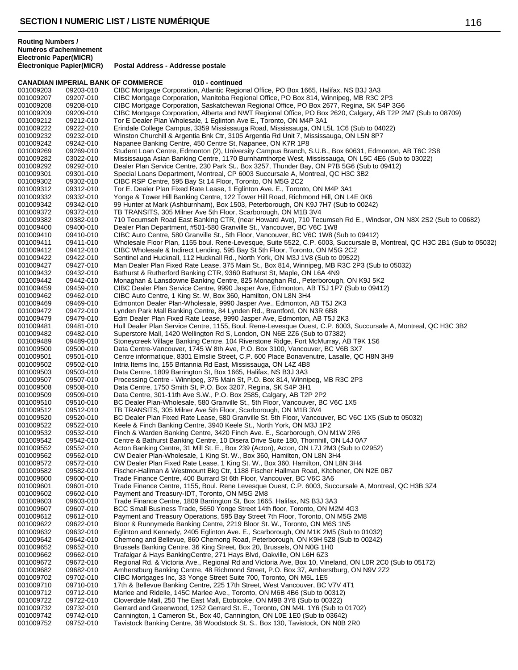**Électronique Papier(MICR) Postal Address - Addresse postale**

|                        |                        | <b>CANADIAN IMPERIAL BANK OF COMMERCE</b><br>010 - continued                                                                                                                                    |
|------------------------|------------------------|-------------------------------------------------------------------------------------------------------------------------------------------------------------------------------------------------|
| 001009203              | 09203-010              | CIBC Mortgage Corporation, Atlantic Regional Office, PO Box 1665, Halifax, NS B3J 3A3                                                                                                           |
| 001009207              | 09207-010              | CIBC Mortgage Corporation, Manitoba Regional Office, PO Box 814, Winnipeg, MB R3C 2P3                                                                                                           |
| 001009208              | 09208-010              | CIBC Mortgage Corporation, Saskatchewan Regional Office, PO Box 2677, Regina, SK S4P 3G6                                                                                                        |
| 001009209              | 09209-010              | CIBC Mortgage Corporation, Alberta and NWT Regional Office, PO Box 2620, Calgary, AB T2P 2M7 (Sub to 08709)                                                                                     |
| 001009212<br>001009222 | 09212-010              | Tor E Dealer Plan Wholesale, 1 Eglinton Ave E., Toronto, ON M4P 3A1<br>Erindale College Campus, 3359 Mississauga Road, Mississauga, ON L5L 1C6 (Sub to 04022)                                   |
| 001009232              | 09222-010<br>09232-010 | Winston Churchill & Argentia Bnk Ctr, 3105 Argentia Rd Unit 7, Mississauga, ON L5N 8P7                                                                                                          |
| 001009242              | 09242-010              | Napanee Banking Centre, 450 Centre St, Napanee, ON K7R 1P8                                                                                                                                      |
| 001009269              | 09269-010              | Student Loan Centre, Edmonton (2), University Campus Branch, S.U.B., Box 60631, Edmonton, AB T6C 2S8                                                                                            |
| 001009282              | 03022-010              | Mississauga Asian Banking Centre, 1170 Burnhamthorpe West, Mississauga, ON L5C 4E6 (Sub to 03022)                                                                                               |
| 001009292              | 09292-010              | Dealer Plan Service Centre, 230 Park St., Box 3257, Thunder Bay, ON P7B 5G6 (Sub to 09412)                                                                                                      |
| 001009301              | 09301-010              | Special Loans Department, Montreal, CP 6003 Succursale A, Montreal, QC H3C 3B2                                                                                                                  |
| 001009302              | 09302-010              | CIBC RSP Centre, 595 Bay St 14 Floor, Toronto, ON M5G 2C2                                                                                                                                       |
| 001009312              | 09312-010              | Tor E. Dealer Plan Fixed Rate Lease, 1 Eglinton Ave. E., Toronto, ON M4P 3A1                                                                                                                    |
| 001009332              | 09332-010              | Yonge & Tower Hill Banking Centre, 122 Tower Hill Road, Richmond Hill, ON L4E 0K6                                                                                                               |
| 001009342              | 09342-010              | 99 Hunter at Mark (Ashburnham), Box 1503, Peterborough, ON K9J 7H7 (Sub to 00242)                                                                                                               |
| 001009372<br>001009382 | 09372-010<br>09382-010 | TB TRANSITS, 305 Milner Ave 5th Floor, Scarborough, ON M1B 3V4<br>710 Tecumseh Road East Banking CTR, (near Howard Ave), 710 Tecumseh Rd E., Windsor, ON N8X 2S2 (Sub to 00682)                 |
| 001009400              | 09400-010              | Dealer Plan Department, #501-580 Granville St., Vancouver, BC V6C 1W8                                                                                                                           |
| 001009410              | 09410-010              | CIBC Auto Centre, 580 Granville St., 5th Floor, Vancouver, BC V6C 1W8 (Sub to 09412)                                                                                                            |
| 001009411              | 09411-010              | Wholesale Floor Plan, 1155 boul. Rene-Levesque, Suite 5522, C.P. 6003, Succursale B, Montreal, QC H3C 2B1 (Sub to 05032)                                                                        |
| 001009412              | 09412-010              | CIBC Wholesale & Indirect Lending, 595 Bay St 5th Floor, Toronto, ON M5G 2C2                                                                                                                    |
| 001009422              | 09422-010              | Sentinel and Hucknall, 112 Hucknall Rd., North York, ON M3J 1V8 (Sub to 09522)                                                                                                                  |
| 001009427              | 09427-010              | Man Dealer Plan Fixed Rate Lease, 375 Main St., Box 814, Winnipeg, MB R3C 2P3 (Sub to 05032)                                                                                                    |
| 001009432              | 09432-010              | Bathurst & Rutherford Banking CTR, 9360 Bathurst St, Maple, ON L6A 4N9                                                                                                                          |
| 001009442              | 09442-010              | Monaghan & Lansdowne Banking Centre, 825 Monaghan Rd., Peterborough, ON K9J 5K2                                                                                                                 |
| 001009459              | 09459-010              | CIBC Dealer Plan Service Centre, 9990 Jasper Ave, Edmonton, AB T5J 1P7 (Sub to 09412)                                                                                                           |
| 001009462              | 09462-010              | CIBC Auto Centre, 1 King St. W, Box 360, Hamilton, ON L8N 3H4                                                                                                                                   |
| 001009469              | 09469-010              | Edmonton Dealer Plan-Wholesale, 9990 Jasper Ave., Edmonton, AB T5J 2K3<br>Lynden Park Mall Banking Centre, 84 Lynden Rd., Brantford, ON N3R 6B8                                                 |
| 001009472<br>001009479 | 09472-010<br>09479-010 | Edm Dealer Plan Fixed Rate Lease, 9990 Jasper Ave, Edmonton, AB T5J 2K3                                                                                                                         |
| 001009481              | 09481-010              | Hull Dealer Plan Service Centre, 1155, Boul. Rene-Levesque Ouest, C.P. 6003, Succursale A, Montreal, QC H3C 3B2                                                                                 |
| 001009482              | 09482-010              | Superstore Mall, 1420 Wellington Rd S, London, ON N6E 2Z6 (Sub to 07382)                                                                                                                        |
| 001009489              | 09489-010              | Stoneycreek Village Banking Centre, 104 Riverstone Ridge, Fort McMurray, AB T9K 1S6                                                                                                             |
| 001009500              | 09500-010              | Data Centre-Vancouver, 1745 W 8th Ave, P.O. Box 3100, Vancouver, BC V6B 3X7                                                                                                                     |
| 001009501              | 09501-010              | Centre informatique, 8301 Elmslie Street, C.P. 600 Place Bonavenutre, Lasalle, QC H8N 3H9                                                                                                       |
| 001009502              | 09502-010              | Intria Items Inc, 155 Britannia Rd East, Mississauga, ON L4Z 4B8                                                                                                                                |
| 001009503              | 09503-010              | Data Centre, 1809 Barrington St, Box 1665, Halifax, NS B3J 3A3                                                                                                                                  |
| 001009507              | 09507-010              | Processing Centre - Winnipeg, 375 Main St, P.O. Box 814, Winnipeg, MB R3C 2P3                                                                                                                   |
| 001009508<br>001009509 | 09508-010              | Data Centre, 1750 Smith St, P.O. Box 3207, Regina, SK S4P 3H1<br>Data Centre, 301-11th Ave S.W., P.O. Box 2585, Calgary, AB T2P 2P2                                                             |
| 001009510              | 09509-010<br>09510-010 | BC Dealer Plan-Wholesale, 580 Granville St., 5th Floor, Vancouver, BC V6C 1X5                                                                                                                   |
| 001009512              | 09512-010              | TB TRANSITS, 305 Milner Ave 5th Floor, Scarborough, ON M1B 3V4                                                                                                                                  |
| 001009520              | 09520-010              | BC Dealer Plan Fixed Rate Lease, 580 Granville St. 5th Floor, Vancouver, BC V6C 1X5 (Sub to 05032)                                                                                              |
| 001009522              | 09522-010              | Keele & Finch Banking Centre, 3940 Keele St., North York, ON M3J 1P2                                                                                                                            |
| 001009532              | 09532-010              | Finch & Warden Banking Centre, 3420 Finch Ave. E., Scarborough, ON M1W 2R6                                                                                                                      |
| 001009542              | 09542-010              | Centre & Bathurst Banking Centre, 10 Disera Drive Suite 180, Thornhill, ON L4J 0A7                                                                                                              |
| 001009552              | 09552-010              | Acton Banking Centre, 31 Mill St. E., Box 239 (Acton), Acton, ON L7J 2M3 (Sub to 02952)                                                                                                         |
| 001009562              | 09562-010              | CW Dealer Plan-Wholesale, 1 King St. W., Box 360, Hamilton, ON L8N 3H4                                                                                                                          |
| 001009572              | 09572-010              | CW Dealer Plan Fixed Rate Lease, 1 King St. W., Box 360, Hamilton, ON L8N 3H4                                                                                                                   |
| 001009582<br>001009600 | 09582-010<br>09600-010 | Fischer-Hallman & Westmount Bkg Ctr, 1188 Fischer Hallman Road, Kitchener, ON N2E 0B7<br>Trade Finance Centre, 400 Burrard St 6th Floor, Vancouver, BC V6C 3A6                                  |
| 001009601              | 09601-010              | Trade Finance Centre, 1155, Boul. Rene Levesque Ouest, C.P. 6003, Succursale A, Montreal, QC H3B 3Z4                                                                                            |
| 001009602              | 09602-010              | Payment and Treasury-IDT, Toronto, ON M5G 2M8                                                                                                                                                   |
| 001009603              | 09603-010              | Trade Finance Centre, 1809 Barrington St, Box 1665, Halifax, NS B3J 3A3                                                                                                                         |
| 001009607              | 09607-010              | BCC Small Business Trade, 5650 Yonge Street 14th floor, Toronto, ON M2M 4G3                                                                                                                     |
| 001009612              | 09612-010              | Payment and Treasury Operations, 595 Bay Street 7th Floor, Toronto, ON M5G 2M8                                                                                                                  |
| 001009622              | 09622-010              | Bloor & Runnymede Banking Centre, 2219 Bloor St. W., Toronto, ON M6S 1N5                                                                                                                        |
| 001009632              | 09632-010              | Eglinton and Kennedy, 2405 Eglinton Ave. E., Scarborough, ON M1K 2M5 (Sub to 01032)                                                                                                             |
| 001009642              | 09642-010              | Chemong and Bellevue, 860 Chemong Road, Peterborough, ON K9H 5Z8 (Sub to 00242)                                                                                                                 |
| 001009652              | 09652-010              | Brussels Banking Centre, 36 King Street, Box 20, Brussels, ON N0G 1H0                                                                                                                           |
| 001009662              | 09662-010<br>09672-010 | Trafalgar & Hays BankingCentre, 271 Hays Blvd, Oakville, ON L6H 6Z3                                                                                                                             |
| 001009672<br>001009682 | 09682-010              | Regional Rd. & Victoria Ave., Regional Rd and Victoria Ave, Box 10, Vineland, ON L0R 2C0 (Sub to 05172)<br>Amherstburg Banking Centre, 48 Richmond Street, P.O. Box 37, Amherstburg, ON N9V 2Z2 |
| 001009702              | 09702-010              | CIBC Mortgages Inc, 33 Yonge Street Suite 700, Toronto, ON M5L 1E5                                                                                                                              |
| 001009710              | 09710-010              | 17th & Bellevue Banking Centre, 225 17th Street, West Vancouver, BC V7V 4T1                                                                                                                     |
| 001009712              | 09712-010              | Marlee and Ridelle, 145C Marlee Ave., Toronto, ON M6B 4B6 (Sub to 00312)                                                                                                                        |
| 001009722              | 09722-010              | Cloverdale Mall, 250 The East Mall, Etobicoke, ON M9B 3Y8 (Sub to 00322)                                                                                                                        |
| 001009732              | 09732-010              | Gerrard and Greenwood, 1252 Gerrard St. E., Toronto, ON M4L 1Y6 (Sub to 01702)                                                                                                                  |
| 001009742              | 09742-010              | Cannington, 1 Cameron St., Box 40, Cannington, ON L0E 1E0 (Sub to 03642)                                                                                                                        |
| 001009752              | 09752-010              | Tavistock Banking Centre, 38 Woodstock St. S., Box 130, Tavistock, ON N0B 2R0                                                                                                                   |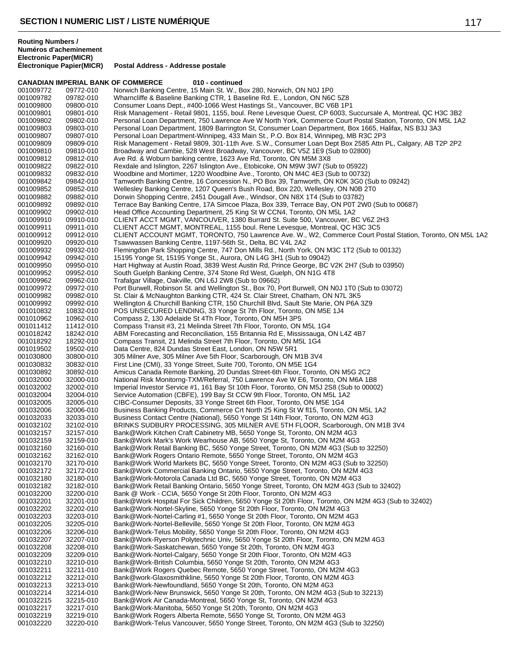|                        | <b>CANADIAN IMPERIAL BANK OF COMMERCE</b> | 010 - continued                                                                                                                                                   |
|------------------------|-------------------------------------------|-------------------------------------------------------------------------------------------------------------------------------------------------------------------|
| 001009772              | 09772-010                                 | Norwich Banking Centre, 15 Main St. W., Box 280, Norwich, ON N0J 1P0                                                                                              |
| 001009782              | 09782-010                                 | Wharncliffe & Baseline Banking CTR, 1 Baseline Rd. E., London, ON N6C 5Z8                                                                                         |
| 001009800              | 09800-010                                 | Consumer Loans Dept., #400-1066 West Hastings St., Vancouver, BC V6B 1P1                                                                                          |
| 001009801              | 09801-010                                 | Risk Management - Retail 9801, 1155, boul. Rene Levesque Ouest, CP 6003, Succursale A, Montreal, QC H3C 3B2                                                       |
| 001009802              | 09802-010                                 | Personal Loan Department, 750 Lawrence Ave W North York, Commerce Court Postal Station, Toronto, ON M5L 1A2                                                       |
| 001009803              | 09803-010                                 | Personal Loan Department, 1809 Barrington St, Consumer Loan Department, Box 1665, Halifax, NS B3J 3A3                                                             |
| 001009807              | 09807-010                                 | Personal Loan Department-Winnipeg, 433 Main St., P.O. Box 814, Winnipeg, MB R3C 2P3                                                                               |
| 001009809              | 09809-010                                 | Risk Management - Retail 9809, 301-11th Ave. S.W., Consumer Loan Dept Box 2585 Attn PL, Calgary, AB T2P 2P2                                                       |
| 001009810              | 09810-010                                 | Broadway and Cambie, 528 West Broadway, Vancouver, BC V5Z 1E9 (Sub to 02800)                                                                                      |
| 001009812              | 09812-010                                 | Ave Rd. & Woburn banking centre, 1623 Ave Rd, Toronto, ON M5M 3X8                                                                                                 |
| 001009822<br>001009832 | 09822-010<br>09832-010                    | Rexdale and Islington, 2267 Islington Ave., Etobicoke, ON M9W 3W7 (Sub to 05922)<br>Woodbine and Mortimer, 1220 Woodbine Ave., Toronto, ON M4C 4E3 (Sub to 00732) |
| 001009842              | 09842-010                                 | Tamworth Banking Centre, 16 Concession N., PO Box 39, Tamworth, ON K0K 3G0 (Sub to 09242)                                                                         |
| 001009852              | 09852-010                                 | Wellesley Banking Centre, 1207 Queen's Bush Road, Box 220, Wellesley, ON N0B 2T0                                                                                  |
| 001009882              | 09882-010                                 | Dorwin Shopping Centre, 2451 Dougall Ave., Windsor, ON N8X 1T4 (Sub to 03782)                                                                                     |
| 001009892              | 09892-010                                 | Terrace Bay Banking Centre, 17A Simcoe Plaza, Box 339, Terrace Bay, ON P0T 2W0 (Sub to 00687)                                                                     |
| 001009902              | 09902-010                                 | Head Office Accounting Department, 25 King St W CCN4, Toronto, ON M5L 1A2                                                                                         |
| 001009910              | 09910-010                                 | CLIENT ACCT MGMT, VANCOUVER, 1380 Burrard St. Suite 500, Vancouver, BC V6Z 2H3                                                                                    |
| 001009911              | 09911-010                                 | CLIENT ACCT MGMT, MONTREAL, 1155 boul. Rene Levesque, Montreal, QC H3C 3C5                                                                                        |
| 001009912              | 09912-010                                 | CLIENT ACCOUNT MGMT, TORONTO, 750 Lawrence Ave. W., W2, Commerce Court Postal Station, Toronto, ON M5L 1A2                                                        |
| 001009920              | 09920-010                                 | Tsawwassen Banking Centre, 1197-56th St., Delta, BC V4L 2A2                                                                                                       |
| 001009932              | 09932-010                                 | Flemingdon Park Shopping Centre, 747 Don Mills Rd., North York, ON M3C 1T2 (Sub to 00132)                                                                         |
| 001009942              | 09942-010                                 | 15195 Yonge St, 15195 Yonge St., Aurora, ON L4G 3H1 (Sub to 09042)                                                                                                |
| 001009950              | 09950-010                                 | Hart Highway at Austin Road, 3839 West Austin Rd, Prince George, BC V2K 2H7 (Sub to 03950)                                                                        |
| 001009952              | 09952-010                                 | South Guelph Banking Centre, 374 Stone Rd West, Guelph, ON N1G 4T8                                                                                                |
| 001009962              | 09962-010                                 | Trafalgar Village, Oakville, ON L6J 2W8 (Sub to 09662)                                                                                                            |
| 001009972              | 09972-010                                 | Port Burwell, Robinson St. and Wellington St., Box 70, Port Burwell, ON N0J 1T0 (Sub to 03072)                                                                    |
| 001009982              | 09982-010                                 | St. Clair & McNaughton Banking CTR, 424 St. Clair Street, Chatham, ON N7L 3K5                                                                                     |
| 001009992              | 09992-010                                 | Wellington & Churchill Banking CTR, 150 Churchill Blvd, Sault Ste Marie, ON P6A 3Z9                                                                               |
| 001010832              | 10832-010                                 | POS UNSECURED LENDING, 33 Yonge St 7th Floor, Toronto, ON M5E 1J4                                                                                                 |
| 001010962              | 10962-010                                 | Compass 2, 130 Adelaide St 4Th Floor, Toronto, ON M5H 3P5                                                                                                         |
| 001011412              | 11412-010                                 | Compass Transit #3, 21 Melinda Street 7th Floor, Toronto, ON M5L 1G4                                                                                              |
| 001018242              | 18242-010                                 | ABM Forecasting and Reconciliation, 155 Britannia Rd E, Mississauga, ON L4Z 4B7                                                                                   |
| 001018292              | 18292-010                                 | Compass Transit, 21 Melinda Street 7th Floor, Toronto, ON M5L 1G4                                                                                                 |
| 001019502              | 19502-010                                 | Data Centre, 824 Dundas Street East, London, ON N5W 5R1                                                                                                           |
| 001030800              | 30800-010                                 | 305 Milner Ave, 305 Milner Ave 5th Floor, Scarborough, ON M1B 3V4                                                                                                 |
| 001030832              | 30832-010                                 | First Line (CMI), 33 Yonge Street, Suite 700, Toronto, ON M5E 1G4                                                                                                 |
| 001030892<br>001032000 | 30892-010<br>32000-010                    | Amicus Canada Remote Banking, 20 Dundas Street-6th Floor, Toronto, ON M5G 2C2<br>National Risk Monitorng-TXM/Referral, 750 Lawrence Ave W E6, Toronto, ON M6A 1B8 |
| 001032002              | 32002-010                                 | Imperial Investor Service #1, 161 Bay St 10th Floor, Toronto, ON M5J 2S8 (Sub to 00002)                                                                           |
| 001032004              | 32004-010                                 | Service Automation (CBFE), 199 Bay St CCW 9th Floor, Toronto, ON M5L 1A2                                                                                          |
| 001032005              | 32005-010                                 | CIBC-Consumer Deposits, 33 Yonge Street 6th Floor, Toronto, ON M5E 1G4                                                                                            |
| 001032006              | 32006-010                                 | Business Banking Products, Commerce Crt North 25 King St W f115, Toronto, ON M5L 1A2                                                                              |
| 001032033              | 32033-010                                 | Business Contact Centre (National), 5650 Yonge St 14th Floor, Toronto, ON M2M 4G3                                                                                 |
| 001032102              | 32102-010                                 | BRINKS SUDBURY PROCESSING, 305 MILNER AVE 5TH FLOOR, Scarborough, ON M1B 3V4                                                                                      |
| 001032157              | 32157-010                                 | Bank@Work Kitchen Craft Cabinetry MB, 5650 Yonge St, Toronto, ON M2M 4G3                                                                                          |
| 001032159              | 32159-010                                 | Bank@Work Mark's Work Wearhouse AB, 5650 Yonge St, Toronto, ON M2M 4G3                                                                                            |
| 001032160              | 32160-010                                 | Bank@Work Retail Banking BC, 5650 Yonge Street, Toronto, ON M2M 4G3 (Sub to 32250)                                                                                |
| 001032162              | 32162-010                                 | Bank@Work Rogers Ontario Remote, 5650 Yonge Street, Toronto, ON M2M 4G3                                                                                           |
| 001032170              | 32170-010                                 | Bank@Work World Markets BC, 5650 Yonge Street, Toronto, ON M2M 4G3 (Sub to 32250)                                                                                 |
| 001032172              | 32172-010                                 | Bank@Work Commercial Banking Ontario, 5650 Yonge Street, Toronto, ON M2M 4G3                                                                                      |
| 001032180              | 32180-010                                 | Bank@Work-Motorola Canada Ltd BC, 5650 Yonge Street, Toronto, ON M2M 4G3                                                                                          |
| 001032182              | 32182-010                                 | Bank@Work Retail Banking Ontario, 5650 Yonge Street, Toronto, ON M2M 4G3 (Sub to 32402)                                                                           |
| 001032200              | 32200-010                                 | Bank @ Work - CCIA, 5650 Yonge St 20th Floor, Toronto, ON M2M 4G3                                                                                                 |
| 001032201              | 32201-010                                 | Bank@Work Hospital For Sick Children, 5650 Yonge St 20th Floor, Toronto, ON M2M 4G3 (Sub to 32402)                                                                |
| 001032202              | 32202-010                                 | Bank@Work-Nortel-Skyline, 5650 Yonge St 20th Floor, Toronto, ON M2M 4G3                                                                                           |
| 001032203              | 32203-010                                 | Bank@Work-Nortel-Carling #1, 5650 Yonge St 20th Floor, Toronto, ON M2M 4G3                                                                                        |
| 001032205              | 32205-010                                 | Bank@Work-Nortel-Belleville, 5650 Yonge St 20th Floor, Toronto, ON M2M 4G3                                                                                        |
| 001032206              | 32206-010                                 | Bank@Work-Telus Mobility, 5650 Yonge St 20th Floor, Toronto, ON M2M 4G3                                                                                           |
| 001032207<br>001032208 | 32207-010<br>32208-010                    | Bank@Work-Ryerson Polytechnic Univ, 5650 Yonge St 20th Floor, Toronto, ON M2M 4G3<br>Bank@Work-Saskatchewan, 5650 Yonge St 20th, Toronto, ON M2M 4G3              |
| 001032209              | 32209-010                                 | Bank@Work-Nortel-Calgary, 5650 Yonge St 20th Floor, Toronto, ON M2M 4G3                                                                                           |
| 001032210              | 32210-010                                 | Bank@Work-British Columbia, 5650 Yonge St 20th, Toronto, ON M2M 4G3                                                                                               |
| 001032211              | 32211-010                                 | Bank@Work Rogers Quebec Remote, 5650 Yonge Street, Toronto, ON M2M 4G3                                                                                            |
| 001032212              | 32212-010                                 | Bank@work-Glaxosmithkline, 5650 Yonge St 20th Floor, Toronto, ON M2M 4G3                                                                                          |
| 001032213              | 32213-010                                 | Bank@Work-Newfoundland, 5650 Yonge St 20th, Toronto, ON M2M 4G3                                                                                                   |
| 001032214              | 32214-010                                 | Bank@Work-New Brunswick, 5650 Yonge St 20th, Toronto, ON M2M 4G3 (Sub to 32213)                                                                                   |
| 001032215              | 32215-010                                 | Bank@Work Air Canada-Montreal, 5650 Yonge St, Toronto, ON M2M 4G3                                                                                                 |
| 001032217              | 32217-010                                 | Bank@Work-Manitoba, 5650 Yonge St 20th, Toronto, ON M2M 4G3                                                                                                       |
| 001032219              | 32219-010                                 | Bank@Work Rogers Alberta Remote, 5650 Yonge St, Toronto, ON M2M 4G3                                                                                               |
| 001032220              | 32220-010                                 | Bank@Work-Telus Vancouver, 5650 Yonge Street, Toronto, ON M2M 4G3 (Sub to 32250)                                                                                  |
|                        |                                           |                                                                                                                                                                   |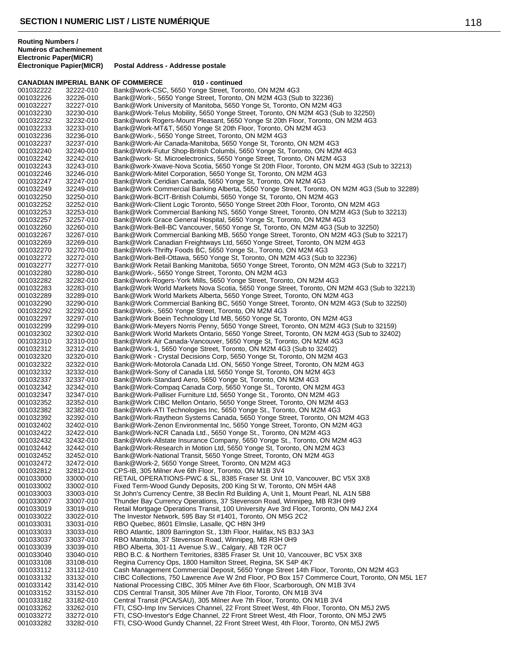|                        | <b>CANADIAN IMPERIAL BANK OF COMMERCE</b> | 010 - continued                                                                                                                                                      |
|------------------------|-------------------------------------------|----------------------------------------------------------------------------------------------------------------------------------------------------------------------|
| 001032222              | 32222-010                                 | Bank@work-CSC, 5650 Yonge Street, Toronto, ON M2M 4G3                                                                                                                |
| 001032226              | 32226-010                                 | Bank@Work-, 5650 Yonge Street, Toronto, ON M2M 4G3 (Sub to 32236)                                                                                                    |
| 001032227              | 32227-010                                 | Bank@Work University of Manitoba, 5650 Yonge St, Toronto, ON M2M 4G3                                                                                                 |
| 001032230              | 32230-010                                 | Bank@Work-Telus Mobility, 5650 Yonge Street, Toronto, ON M2M 4G3 (Sub to 32250)                                                                                      |
| 001032232<br>001032233 | 32232-010<br>32233-010                    | Bank@work Rogers-Mount Pleasant, 5650 Yonge St 20th Floor, Toronto, ON M2M 4G3<br>Bank@Work-MT&T, 5650 Yonge St 20th Floor, Toronto, ON M2M 4G3                      |
| 001032236              | 32236-010                                 | Bank@Work-, 5650 Yonge Street, Toronto, ON M2M 4G3                                                                                                                   |
| 001032237              | 32237-010                                 | Bank@Work-Air Canada-Manitoba, 5650 Yonge St, Toronto, ON M2M 4G3                                                                                                    |
| 001032240              | 32240-010                                 | Bank@Work-Futur Shop-British Columbi, 5650 Yonge St, Toronto, ON M2M 4G3                                                                                             |
| 001032242              | 32242-010                                 | Bank@work-St. Microelectronics, 5650 Yonge Street, Toronto, ON M2M 4G3                                                                                               |
| 001032243              | 32243-010                                 | Bank@work-Xwave-Nova Scotia, 5650 Yonge St 20th Floor, Toronto, ON M2M 4G3 (Sub to 32213)                                                                            |
| 001032246              | 32246-010                                 | Bank@Work-Mitel Corporation, 5650 Yonge St, Toronto, ON M2M 4G3                                                                                                      |
| 001032247              | 32247-010                                 | Bank@Work Ceridian Canada, 5650 Yonge St, Toronto, ON M2M 4G3                                                                                                        |
| 001032249              | 32249-010                                 | Bank@Work Commercial Banking Alberta, 5650 Yonge Street, Toronto, ON M2M 4G3 (Sub to 32289)                                                                          |
| 001032250              | 32250-010                                 | Bank@Work-BCIT-British Columbi, 5650 Yonge St, Toronto, ON M2M 4G3                                                                                                   |
| 001032252              | 32252-010                                 | Bank@Work-Client Logic Toronto, 5650 Yonge Street 20th Floor, Toronto, ON M2M 4G3                                                                                    |
| 001032253              | 32253-010                                 | Bank@Work Commercial Banking NS, 5650 Yonge Street, Toronto, ON M2M 4G3 (Sub to 32213)                                                                               |
| 001032257              | 32257-010                                 | Bank@Work Grace General Hospital, 5650 Yonge St, Toronto, ON M2M 4G3                                                                                                 |
| 001032260              | 32260-010                                 | Bank@Work-Bell-BC Vancouver, 5650 Yonge St, Toronto, ON M2M 4G3 (Sub to 32250)                                                                                       |
| 001032267              | 32267-010                                 | Bank@Work Commercial Banking MB, 5650 Yonge Street, Toronto, ON M2M 4G3 (Sub to 32217)                                                                               |
| 001032269              | 32269-010                                 | Bank@Work Canadian Freightways Ltd, 5650 Yonge Street, Toronto, ON M2M 4G3                                                                                           |
| 001032270              | 32270-010                                 | Bank@Work-Thrifty Foods BC, 5650 Yonge St., Toronto, ON M2M 4G3                                                                                                      |
| 001032272<br>001032277 | 32272-010                                 | Bank@Work-Bell-Ottawa, 5650 Yonge St, Toronto, ON M2M 4G3 (Sub to 32236)<br>Bank@Work Retail Banking Manitoba, 5650 Yonge Street, Toronto, ON M2M 4G3 (Sub to 32217) |
| 001032280              | 32277-010<br>32280-010                    | Bank@Work-, 5650 Yonge Street, Toronto, ON M2M 4G3                                                                                                                   |
| 001032282              | 32282-010                                 | Bank@work-Rogers-York Mills, 5650 Yonge Street, Toronto, ON M2M 4G3                                                                                                  |
| 001032283              | 32283-010                                 | Bank@Work World Markets Nova Scotia, 5650 Yonge Street, Toronto, ON M2M 4G3 (Sub to 32213)                                                                           |
| 001032289              | 32289-010                                 | Bank@Work World Markets Alberta, 5650 Yonge Street, Toronto, ON M2M 4G3                                                                                              |
| 001032290              | 32290-010                                 | Bank@Work Commercial Banking BC, 5650 Yonge Street, Toronto, ON M2M 4G3 (Sub to 32250)                                                                               |
| 001032292              | 32292-010                                 | Bank@Work-, 5650 Yonge Street, Toronto, ON M2M 4G3                                                                                                                   |
| 001032297              | 32297-010                                 | Bank@Work Boein Technology Ltd MB, 5650 Yonge St, Toronto, ON M2M 4G3                                                                                                |
| 001032299              | 32299-010                                 | Bank@Work-Meyers Norris Penny, 5650 Yonge Street, Toronto, ON M2M 4G3 (Sub to 32159)                                                                                 |
| 001032302              | 32302-010                                 | Bank@Work World Markets Ontario, 5650 Yonge Street, Toronto, ON M2M 4G3 (Sub to 32402)                                                                               |
| 001032310              | 32310-010                                 | Bank@Work Air Canada-Vancouver, 5650 Yonge St, Toronto, ON M2M 4G3                                                                                                   |
| 001032312              | 32312-010                                 | Bank@Work-1, 5650 Yonge Street, Toronto, ON M2M 4G3 (Sub to 32402)                                                                                                   |
| 001032320              | 32320-010                                 | Bank@Work - Crystal Decisions Corp, 5650 Yonge St, Toronto, ON M2M 4G3                                                                                               |
| 001032322              | 32322-010                                 | Bank@Work-Motorola Canada Ltd. ON, 5650 Yonge Street, Toronto, ON M2M 4G3                                                                                            |
| 001032332              | 32332-010                                 | Bank@Work-Sony of Canada Ltd, 5650 Yonge St, Toronto, ON M2M 4G3                                                                                                     |
| 001032337              | 32337-010                                 | Bank@Work-Standard Aero, 5650 Yonge St, Toronto, ON M2M 4G3                                                                                                          |
| 001032342<br>001032347 | 32342-010<br>32347-010                    | Bank@Work-Compaq Canada Corp, 5650 Yonge St., Toronto, ON M2M 4G3<br>Bank@Work-Palliser Furniture Ltd, 5650 Yonge St., Toronto, ON M2M 4G3                           |
| 001032352              | 32352-010                                 | Bank@Work CIBC Mellon Ontario, 5650 Yonge Street, Toronto, ON M2M 4G3                                                                                                |
| 001032382              | 32382-010                                 | Bank@Work-ATI Technologies Inc, 5650 Yonge St., Toronto, ON M2M 4G3                                                                                                  |
| 001032392              | 32392-010                                 | Bank@Work-Raytheon Systems Canada, 5650 Yonge Street, Toronto, ON M2M 4G3                                                                                            |
| 001032402              | 32402-010                                 | Bank@Work-Zenon Environmental Inc, 5650 Yonge Street, Toronto, ON M2M 4G3                                                                                            |
| 001032422              | 32422-010                                 | Bank@Work-NCR Canada Ltd., 5650 Yonge St., Toronto, ON M2M 4G3                                                                                                       |
| 001032432              | 32432-010                                 | Bank@Work-Allstate Insurance Company, 5650 Yonge St., Toronto, ON M2M 4G3                                                                                            |
| 001032442              | 32442-010                                 | Bank@Work-Research in Motion Ltd, 5650 Yonge St, Toronto, ON M2M 4G3                                                                                                 |
| 001032452              | 32452-010                                 | Bank@Work-National Transit, 5650 Yonge Street, Toronto, ON M2M 4G3                                                                                                   |
| 001032472              | 32472-010                                 | Bank@Work-2, 5650 Yonge Street, Toronto, ON M2M 4G3                                                                                                                  |
| 001032812              | 32812-010                                 | CPS-IB, 305 Milner Ave 6th Floor, Toronto, ON M1B 3V4                                                                                                                |
| 001033000              | 33000-010                                 | RETAIL OPERATIONS-PWC & SL, 8385 Fraser St. Unit 10, Vancouver, BC V5X 3X8                                                                                           |
| 001033002              | 33002-010                                 | Fixed Term-Wood Gundy Deposits, 200 King St W, Toronto, ON M5H 4A8                                                                                                   |
| 001033003              | 33003-010                                 | St John's Currency Centre, 38 Beclin Rd Building A, Unit 1, Mount Pearl, NL A1N 5B8                                                                                  |
| 001033007              | 33007-010                                 | Thunder Bay Currency Operations, 37 Stevenson Road, Winnipeg, MB R3H 0H9                                                                                             |
| 001033019              | 33019-010                                 | Retail Mortgage Operations Transit, 100 University Ave 3rd Floor, Toronto, ON M4J 2X4                                                                                |
| 001033022<br>001033031 | 33022-010<br>33031-010                    | The Investor Network, 595 Bay St #1401, Toronto, ON M5G 2C2<br>RBO Quebec, 8601 Elmslie, Lasalle, QC H8N 3H9                                                         |
| 001033033              | 33033-010                                 | RBO Atlantic, 1809 Barrington St., 13th Floor, Halifax, NS B3J 3A3                                                                                                   |
| 001033037              | 33037-010                                 | RBO Manitoba, 37 Stevenson Road, Winnipeg, MB R3H 0H9                                                                                                                |
| 001033039              | 33039-010                                 | RBO Alberta, 301-11 Avenue S.W., Calgary, AB T2R 0C7                                                                                                                 |
| 001033040              | 33040-010                                 | RBO B.C. & Northern Territories, 8385 Fraser St. Unit 10, Vancouver, BC V5X 3X8                                                                                      |
| 001033108              | 33108-010                                 | Regina Currency Ops, 1800 Hamilton Street, Regina, SK S4P 4K7                                                                                                        |
| 001033112              | 33112-010                                 | Cash Management Commercial Deposit, 5650 Yonge Street 14th Floor, Toronto, ON M2M 4G3                                                                                |
| 001033132              | 33132-010                                 | CIBC Collections, 750 Lawrence Ave W 2nd Floor, PO Box 157 Commerce Court, Toronto, ON M5L 1E7                                                                       |
| 001033142              | 33142-010                                 | National Processing CIBC, 305 Milner Ave 6th Floor, Scarborough, ON M1B 3V4                                                                                          |
| 001033152              | 33152-010                                 | CDS Central Transit, 305 Milner Ave 7th Floor, Toronto, ON M1B 3V4                                                                                                   |
| 001033182              | 33182-010                                 | Central Transit (PCA/SAU), 305 Milner Ave 7th Floor, Toronto, ON M1B 3V4                                                                                             |
| 001033262              | 33262-010                                 | FTI, CSO-Imp Inv Services Channel, 22 Front Street West, 4th Floor, Toronto, ON M5J 2W5                                                                              |
| 001033272              | 33272-010                                 | FTI, CSO-Investor's Edge Channel, 22 Front Street West, 4th Floor, Toronto, ON M5J 2W5                                                                               |
| 001033282              | 33282-010                                 | FTI, CSO-Wood Gundy Channel, 22 Front Street West, 4th Floor, Toronto, ON M5J 2W5                                                                                    |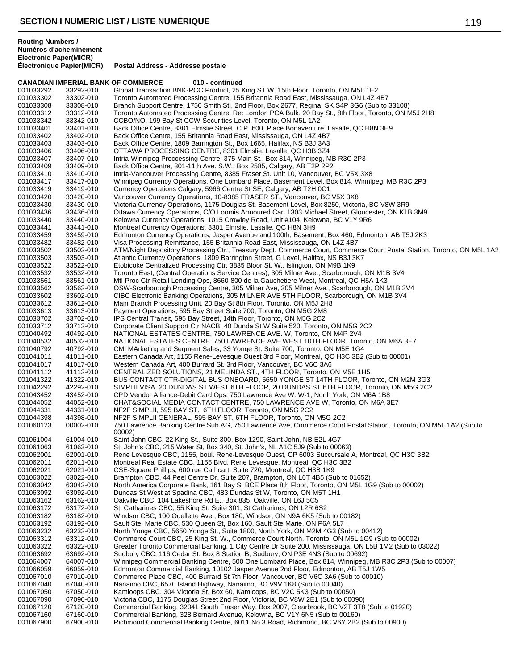|                        | CANADIAN IMPERIAL BANK OF COMMERCE | 010 - continued                                                                                                                                                                |
|------------------------|------------------------------------|--------------------------------------------------------------------------------------------------------------------------------------------------------------------------------|
| 001033292              | 33292-010                          | Global Transaction BNK-RCC Product, 25 King ST W, 15th Floor, Toronto, ON M5L 1E2                                                                                              |
| 001033302              | 33302-010                          | Toronto Automated Processing Centre, 155 Britannia Road East, Mississauga, ON L4Z 4B7                                                                                          |
| 001033308              | 33308-010                          | Branch Support Centre, 1750 Smith St., 2nd Floor, Box 2677, Regina, SK S4P 3G6 (Sub to 33108)                                                                                  |
| 001033312              | 33312-010                          | Toronto Automated Processing Centre, Re: London PCA Bulk, 20 Bay St., 8th Floor, Toronto, ON M5J 2H8                                                                           |
| 001033342              | 33342-010                          | CCBO/NO, 199 Bay St CCW-Securities Level, Toronto, ON M5L 1A2                                                                                                                  |
| 001033401              | 33401-010                          | Back Office Centre, 8301 Elmslie Street, C.P. 600, Place Bonaventure, Lasalle, QC H8N 3H9                                                                                      |
| 001033402              | 33402-010                          | Back Office Centre, 155 Britannia Road East, Mississauga, ON L4Z 4B7                                                                                                           |
| 001033403              | 33403-010                          | Back Office Centre, 1809 Barrington St., Box 1665, Halifax, NS B3J 3A3                                                                                                         |
| 001033406              | 33406-010                          | OTTAWA PROCESSING CENTRE, 8301 Elmslie, Lasalle, QC H3B 3Z4                                                                                                                    |
| 001033407              | 33407-010                          | Intria-Winnipeg Proccessing Centre, 375 Main St., Box 814, Winnipeg, MB R3C 2P3                                                                                                |
| 001033409              | 33409-010                          | Back Office Centre, 301-11th Ave. S.W., Box 2585, Calgary, AB T2P 2P2                                                                                                          |
| 001033410              | 33410-010                          | Intria-Vancouver Processing Centre, 8385 Fraser St. Unit 10, Vancouver, BC V5X 3X8                                                                                             |
| 001033417              | 33417-010                          | Winnipeg Currency Operations, One Lombard Place, Basement Level, Box 814, Winnipeg, MB R3C 2P3                                                                                 |
| 001033419              | 33419-010                          | Currency Operations Calgary, 5966 Centre St SE, Calgary, AB T2H 0C1                                                                                                            |
| 001033420              | 33420-010                          | Vancouver Currency Operations, 10-8385 FRASER ST., Vancouver, BC V5X 3X8                                                                                                       |
| 001033430              | 33430-010                          | Victoria Currency Operations, 1175 Douglas St. Basement Level, Box 8250, Victoria, BC V8W 3R9                                                                                  |
| 001033436              | 33436-010                          | Ottawa Currency Operations, C/O Loomis Armoured Car, 1303 Michael Street, Gloucester, ON K1B 3M9                                                                               |
| 001033440              | 33440-010                          | Kelowna Currency Operations, 1015 Crowley Road, Unit #104, Kelowna, BC V1Y 9R6                                                                                                 |
| 001033441              | 33441-010                          | Montreal Currency Operations, 8301 Elmslie, Lasalle, QC H8N 3H9                                                                                                                |
| 001033459<br>001033482 | 33459-010<br>33482-010             | Edmonton Currency Operations, Jasper Avenue and 100th, Basement, Box 460, Edmonton, AB T5J 2K3<br>Visa Processing-Remittance, 155 Britannia Road East, Mississauga, ON L4Z 4B7 |
| 001033502              | 33502-010                          | ATM/Night Depository Processing Ctr., Treasury Dept. Commerce Court, Commerce Court Postal Station, Toronto, ON M5L 1A2                                                        |
| 001033503              | 33503-010                          | Atlantic Currency Operations, 1809 Barrington Street, G Level, Halifax, NS B3J 3K7                                                                                             |
| 001033522              | 33522-010                          | Etobicoke Centralized Processing Ctr, 3835 Bloor St. W., Islington, ON M9B 1K9                                                                                                 |
| 001033532              | 33532-010                          | Toronto East, (Central Operations Service Centres), 305 Milner Ave., Scarborough, ON M1B 3V4                                                                                   |
| 001033561              | 33561-010                          | Mtl-Proc Ctr-Retail Lending Ops, 8660-800 de la Gauchetiere West, Montreal, QC H5A 1K3                                                                                         |
| 001033562              | 33562-010                          | OSW-Scarborough Processing Centre, 305 Milner Ave, 305 Milner Ave., Scarborough, ON M1B 3V4                                                                                    |
| 001033602              | 33602-010                          | CIBC Electronic Banking Operations, 305 MILNER AVE 5TH FLOOR, Scarborough, ON M1B 3V4                                                                                          |
| 001033612              | 33612-010                          | Main Branch Processing Unit, 20 Bay St 8th Floor, Toronto, ON M5J 2H8                                                                                                          |
| 001033613              | 33613-010                          | Payment Operations, 595 Bay Street Suite 700, Toronto, ON M5G 2M8                                                                                                              |
| 001033702              | 33702-010                          | IPS Central Transit, 595 Bay Street, 14th Floor, Toronto, ON M5G 2C2                                                                                                           |
| 001033712              | 33712-010                          | Corporate Client Support Ctr NACB, 40 Dunda St W Suite 520, Toronto, ON M5G 2C2                                                                                                |
| 001040492              | 40492-010                          | NATIONAL ESTATES CENTRE, 750 LAWRENCE AVE. W, Toronto, ON M4P 2V4                                                                                                              |
| 001040532              | 40532-010                          | NATIONAL ESTATES CENTRE, 750 LAWRENCE AVE WEST 10TH FLOOR, Toronto, ON M6A 3E7                                                                                                 |
| 001040792              | 40792-010                          | CMI MArketing and Segment Sales, 33 Yonge St. Suite 700, Toronto, ON M5E 1G4                                                                                                   |
| 001041011              | 41011-010                          | Eastern Canada Art, 1155 Rene-Levesque Ouest 3rd Floor, Montreal, QC H3C 3B2 (Sub to 00001)                                                                                    |
| 001041017              | 41017-010                          | Western Canada Art, 400 Burrard St. 3rd Floor, Vancouver, BC V6C 3A6                                                                                                           |
| 001041112              | 41112-010                          | CENTRALIZED SOLUTIONS, 21 MELINDA ST., 4TH FLOOR, Toronto, ON M5E 1H5                                                                                                          |
| 001041322              | 41322-010                          | BUS CONTACT CTR-DIGITAL BUS ONBOARD, 5650 YONGE ST 14TH FLOOR, Toronto, ON M2M 3G3                                                                                             |
| 001042292              | 42292-010                          | SIMPLII VISA, 20 DUNDAS ST WEST 6TH FLOOR, 20 DUNDAS ST 6TH FLOOR, Toronto, ON M5G 2C2                                                                                         |
| 001043452              | 43452-010                          | CPD Vendor Alliance-Debit Card Ops, 750 Lawrence Ave W. W-1, North York, ON M6A 1B8                                                                                            |
| 001044052              | 44052-010                          | CHAT&SOCIAL MEDIA CONTACT CENTRE, 750 LAWRENCE AVE W, Toronto, ON M6A 3E7                                                                                                      |
| 001044331              | 44331-010                          | NF2F SIMPLII, 595 BAY ST. 6TH FLOOR, Toronto, ON M5G 2C2                                                                                                                       |
| 001044398              | 44398-010                          | NF2F SIMPLII GENERAL, 595 BAY ST. 6TH FLOOR, Toronto, ON M5G 2C2                                                                                                               |
| 001060123              | 00002-010                          | 750 Lawrence Banking Centre Sub AG, 750 Lawrence Ave, Commerce Court Postal Station, Toronto, ON M5L 1A2 (Sub to<br>00002)                                                     |
| 001061004              | 61004-010                          | Saint John CBC, 22 King St., Suite 300, Box 1290, Saint John, NB E2L 4G7                                                                                                       |
| 001061063              | 61063-010                          | St. John's CBC, 215 Water St, Box 340, St. John's, NL A1C 5J9 (Sub to 00063)                                                                                                   |
| 001062001              | 62001-010                          | Rene Levesque CBC, 1155, boul. Rene-Levesque Ouest, CP 6003 Succursale A, Montreal, QC H3C 3B2                                                                                 |
| 001062011              | 62011-010                          | Montreal Real Estate CBC, 1155 Blvd. Rene Levesque, Montreal, QC H3C 3B2                                                                                                       |
| 001062021              | 62021-010                          | CSE-Square Phillips, 600 rue Cathcart, Suite 720, Montreal, QC H3B 1K9                                                                                                         |
| 001063022              | 63022-010                          | Brampton CBC, 44 Peel Centre Dr. Suite 207, Brampton, ON L6T 4B5 (Sub to 01652)                                                                                                |
| 001063042              | 63042-010                          | North America Corporate Bank, 161 Bay St BCE Place 8th Floor, Toronto, ON M5L 1G9 (Sub to 00002)                                                                               |
| 001063092              | 63092-010                          | Dundas St West at Spadina CBC, 483 Dundas St W, Toronto, ON M5T 1H1                                                                                                            |
| 001063162<br>001063172 | 63162-010<br>63172-010             | Oakville CBC, 104 Lakeshore Rd E., Box 835, Oakville, ON L6J 5C5                                                                                                               |
| 001063182              | 63182-010                          | St. Catharines CBC, 55 King St. Suite 301, St Catharines, ON L2R 6S2<br>Windsor CBC, 100 Ouellette Ave., Box 180, Windsor, ON N9A 6K5 (Sub to 00182)                           |
| 001063192              | 63192-010                          | Sault Ste. Marie CBC, 530 Queen St, Box 160, Sault Ste Marie, ON P6A 5L7                                                                                                       |
| 001063232              | 63232-010                          | North Yonge CBC, 5650 Yonge St., Suite 1800, North York, ON M2M 4G3 (Sub to 00412)                                                                                             |
| 001063312              | 63312-010                          | Commerce Court CBC, 25 King St. W., Commerce Court North, Toronto, ON M5L 1G9 (Sub to 00002)                                                                                   |
| 001063322              | 63322-010                          | Greater Toronto Commercial Banking, 1 City Centre Dr Suite 200, Mississauga, ON L5B 1M2 (Sub to 03022)                                                                         |
| 001063692              | 63692-010                          | Sudbury CBC, 116 Cedar St, Box 8 Station B, Sudbury, ON P3E 4N3 (Sub to 00692)                                                                                                 |
| 001064007              | 64007-010                          | Winnipeg Commercial Banking Centre, 500 One Lombard Place, Box 814, Winnipeg, MB R3C 2P3 (Sub to 00007)                                                                        |
| 001066059              | 66059-010                          | Edmonton Commercial Banking, 10102 Jasper Avenue 2nd Floor, Edmonton, AB T5J 1W5                                                                                               |
| 001067010              | 67010-010                          | Commerce Place CBC, 400 Burrard St 7th Floor, Vancouver, BC V6C 3A6 (Sub to 00010)                                                                                             |
| 001067040              | 67040-010                          | Nanaimo CBC, 6570 Island Highway, Nanaimo, BC V9V 1K8 (Sub to 00040)                                                                                                           |
| 001067050              | 67050-010                          | Kamloops CBC, 304 Victoria St, Box 60, Kamloops, BC V2C 5K3 (Sub to 00050)                                                                                                     |
| 001067090              | 67090-010                          | Victoria CBC, 1175 Douglas Street 2nd Floor, Victoria, BC V8W 2E1 (Sub to 00090)                                                                                               |
| 001067120              | 67120-010                          | Commercial Banking, 32041 South Fraser Way, Box 2007, Clearbrook, BC V2T 3T8 (Sub to 01920)                                                                                    |
| 001067160              | 67160-010                          | Commercial Banking, 328 Bernard Avenue, Kelowna, BC V1Y 6N5 (Sub to 00160)                                                                                                     |
| 001067900              | 67900-010                          | Richmond Commercial Banking Centre, 6011 No 3 Road, Richmond, BC V6Y 2B2 (Sub to 00900)                                                                                        |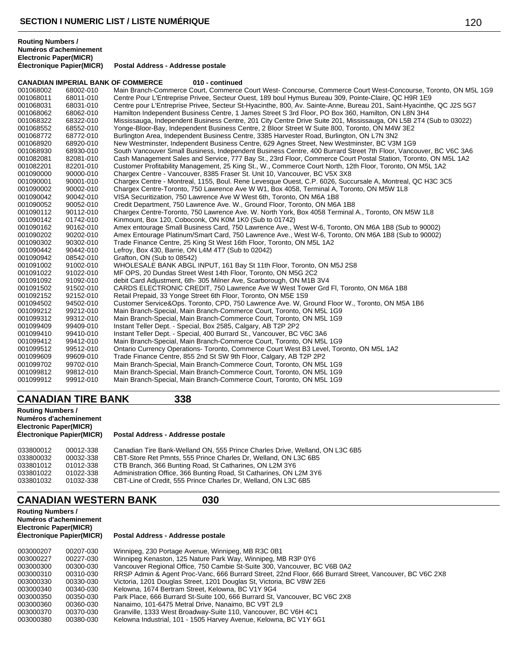**Postal Address - Addresse postale** 

|           |           | <b>CANADIAN IMPERIAL BANK OF COMMERCE</b><br>010 - continued                                                         |
|-----------|-----------|----------------------------------------------------------------------------------------------------------------------|
| 001068002 | 68002-010 | Main Branch-Commerce Court, Commerce Court West- Concourse, Commerce Court West-Concourse, Toronto, ON M5L 1G9       |
| 001068011 | 68011-010 | Centre Pour L'Entreprise Privee, Secteur Ouest, 189 boul Hymus Bureau 309, Pointe-Claire, QC H9R 1E9                 |
| 001068031 | 68031-010 | Centre pour L'Entreprise Privee, Secteur St-Hyacinthe, 800, Av. Sainte-Anne, Bureau 201, Saint-Hyacinthe, QC J2S 5G7 |
| 001068062 | 68062-010 | Hamilton Independent Business Centre, 1 James Street S 3rd Floor, PO Box 360, Hamilton, ON L8N 3H4                   |
| 001068322 | 68322-010 | Mississauga, Independent Business Centre, 201 City Centre Drive Suite 201, Mississauga, ON L5B 2T4 (Sub to 03022)    |
| 001068552 | 68552-010 | Yonge-Bloor-Bay, Independent Business Centre, 2 Bloor Street W Suite 800, Toronto, ON M4W 3E2                        |
| 001068772 | 68772-010 | Burlington Area, Independent Business Centre, 3385 Harvester Road, Burlington, ON L7N 3N2                            |
| 001068920 | 68920-010 | New Westminster, Independent Business Centre, 629 Agnes Street, New Westminster, BC V3M 1G9                          |
| 001068930 | 68930-010 | South Vancouver Small Business, Independent Business Centre, 400 Burrard Street 7th Floor, Vancouver, BC V6C 3A6     |
| 001082081 | 82081-010 | Cash Management Sales and Service, 777 Bay St., 23rd Floor, Commerce Court Postal Station, Toronto, ON M5L 1A2       |
| 001082201 | 82201-010 | Customer Profitability Management, 25 King St., W., Commerce Court North, 12th Floor, Toronto, ON M5L 1A2            |
| 001090000 | 90000-010 | Chargex Centre - Vancouver, 8385 Fraser St. Unit 10, Vancouver, BC V5X 3X8                                           |
| 001090001 | 90001-010 | Chargex Centre - Montreal, 1155, Boul. Rene Levesque Ouest, C.P. 6026, Succursale A, Montreal, QC H3C 3C5            |
| 001090002 | 90002-010 | Chargex Centre-Toronto, 750 Lawrence Ave W W1, Box 4058, Terminal A, Toronto, ON M5W 1L8                             |
| 001090042 | 90042-010 | VISA Securitization, 750 Lawrence Ave W West 6th, Toronto, ON M6A 1B8                                                |
| 001090052 | 90052-010 | Credit Department, 750 Lawrence Ave. W., Ground Floor, Toronto, ON M6A 1B8                                           |
| 001090112 | 90112-010 | Chargex Centre-Toronto, 750 Lawrence Ave. W. North York, Box 4058 Terminal A., Toronto, ON M5W 1L8                   |
| 001090142 | 01742-010 | Kinmount, Box 120, Coboconk, ON K0M 1K0 (Sub to 01742)                                                               |
| 001090162 | 90162-010 | Amex entourage Small Business Card, 750 Lawrence Ave., West W-6, Toronto, ON M6A 1B8 (Sub to 90002)                  |
| 001090202 | 90202-010 | Amex Entourage Platinum/Smart Card, 750 Lawrence Ave., West W-6, Toronto, ON M6A 1B8 (Sub to 90002)                  |
| 001090302 | 90302-010 | Trade Finance Centre, 25 King St West 16th Floor, Toronto, ON M5L 1A2                                                |
| 001090442 | 90442-010 | Lefroy, Box 430, Barrie, ON L4M 4T7 (Sub to 02042)                                                                   |
| 001090942 | 08542-010 | Grafton, ON (Sub to 08542)                                                                                           |
| 001091002 | 91002-010 | WHOLESALE BANK ABGL INPUT, 161 Bay St 11th Floor, Toronto, ON M5J 2S8                                                |
| 001091022 | 91022-010 | MF OPS, 20 Dundas Street West 14th Floor, Toronto, ON M5G 2C2                                                        |
| 001091092 | 91092-010 | debit Card Adjustment, 6th- 305 Milner Ave, Scarborough, ON M1B 3V4                                                  |
| 001091502 | 91502-010 | CARDS ELECTRONIC CREDIT, 750 Lawrence Ave W West Tower Grd Fl, Toronto, ON M6A 1B8                                   |
| 001092152 | 92152-010 | Retail Prepaid, 33 Yonge Street 6th Floor, Toronto, ON M5E 1S9                                                       |
| 001094502 | 94502-010 | Customer Service&Ops. Toronto, CPD, 750 Lawrence Ave. W, Ground Floor W., Toronto, ON M5A 1B6                        |
| 001099212 | 99212-010 | Main Branch-Special, Main Branch-Commerce Court, Toronto, ON M5L 1G9                                                 |
| 001099312 | 99312-010 | Main Branch-Special, Main Branch-Commerce Court, Toronto, ON M5L 1G9                                                 |
| 001099409 | 99409-010 | Instant Teller Dept. - Special, Box 2585, Calgary, AB T2P 2P2                                                        |
| 001099410 | 99410-010 | Instant Teller Dept. - Special, 400 Burrard St., Vancouver, BC V6C 3A6                                               |
| 001099412 | 99412-010 | Main Branch-Special, Main Branch-Commerce Court, Toronto, ON M5L 1G9                                                 |
| 001099512 | 99512-010 | Ontario Currency Operations-Toronto, Commerce Court West B3 Level, Toronto, ON M5L 1A2                               |
| 001099609 | 99609-010 | Trade Finance Centre, 855 2nd St SW 9th Floor, Calgary, AB T2P 2P2                                                   |
| 001099702 | 99702-010 | Main Branch-Special, Main Branch-Commerce Court, Toronto, ON M5L 1G9                                                 |
| 001099812 | 99812-010 | Main Branch-Special, Main Branch-Commerce Court, Toronto, ON M5L 1G9                                                 |
| 001099912 | 99912-010 | Main Branch-Special, Main Branch-Commerce Court, Toronto, ON M5L 1G9                                                 |
|           |           |                                                                                                                      |

# **CANADIAN TIRE BANK 338**

| <b>Routing Numbers /</b><br>Numéros d'acheminement<br><b>Electronic Paper(MICR)</b><br>Électronique Papier(MICR) |           | Postal Address - Addresse postale                                            |
|------------------------------------------------------------------------------------------------------------------|-----------|------------------------------------------------------------------------------|
| 033800012                                                                                                        | 00012-338 | Canadian Tire Bank-Welland ON, 555 Prince Charles Drive, Welland, ON L3C 6B5 |
| 033800032                                                                                                        | 00032-338 | CBT-Store Ret Pmnts, 555 Prince Charles Dr, Welland, ON L3C 6B5              |
| 033801012                                                                                                        | 01012-338 | CTB Branch, 366 Bunting Road, St Catharines, ON L2M 3Y6                      |
| 033801022                                                                                                        | 01022-338 | Administration Office, 366 Bunting Road, St Catharines, ON L2M 3Y6           |
| 033801032                                                                                                        | 01032-338 | CBT-Line of Credit, 555 Prince Charles Dr, Welland, ON L3C 6B5               |

# **CANADIAN WESTERN BANK 030**

**Routing Numbers / Numéros d'acheminement Electronic Paper(MICR)**

| 003000207 | 00207-030 | Winnipeg, 230 Portage Avenue, Winnipeg, MB R3C 0B1                                                      |
|-----------|-----------|---------------------------------------------------------------------------------------------------------|
| 003000227 | 00227-030 | Winnipeg Kenaston, 125 Nature Park Way, Winnipeg, MB R3P 0Y6                                            |
| 003000300 | 00300-030 | Vancouver Regional Office, 750 Cambie St-Suite 300, Vancouver, BC V6B 0A2                               |
| 003000310 | 00310-030 | RRSP Admin & Agent Proc-Vanc, 666 Burrard Street, 22nd Floor, 666 Burrard Street, Vancouver, BC V6C 2X8 |
| 003000330 | 00330-030 | Victoria, 1201 Douglas Street, 1201 Douglas St, Victoria, BC V8W 2E6                                    |
| 003000340 | 00340-030 | Kelowna, 1674 Bertram Street, Kelowna, BC V1Y 9G4                                                       |
| 003000350 | 00350-030 | Park Place, 666 Burrard St-Suite 100, 666 Burrard St, Vancouver, BC V6C 2X8                             |
| 003000360 | 00360-030 | Nanaimo, 101-6475 Metral Drive, Nanaimo, BC V9T 2L9                                                     |
| 003000370 | 00370-030 | Granville, 1333 West Broadway-Suite 110, Vancouver, BC V6H 4C1                                          |
| 003000380 | 00380-030 | Kelowna Industrial, 101 - 1505 Harvey Avenue, Kelowna, BC V1Y 6G1                                       |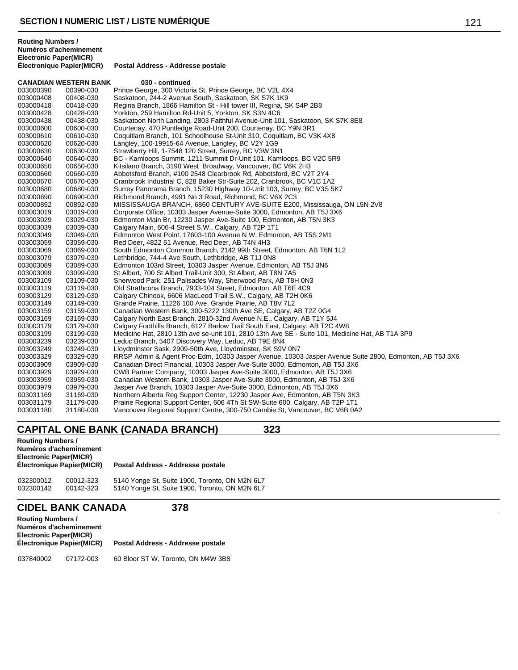|           | <b>CANADIAN WESTERN BANK</b> | 030 - continued                                                                                        |
|-----------|------------------------------|--------------------------------------------------------------------------------------------------------|
| 003000390 | 00390-030                    | Prince George, 300 Victoria St, Prince George, BC V2L 4X4                                              |
| 003000408 | 00408-030                    | Saskatoon, 244-2 Avenue South, Saskatoon, SK S7K 1K9                                                   |
| 003000418 | 00418-030                    | Regina Branch, 1866 Hamilton St - Hill tower III, Regina, SK S4P 2B8                                   |
| 003000428 | 00428-030                    | Yorkton, 259 Hamilton Rd-Unit 5, Yorkton, SK S3N 4C6                                                   |
| 003000438 | 00438-030                    | Saskatoon North Landing, 2803 Faithful Avenue-Unit 101, Saskatoon, SK S7K 8E8                          |
| 003000600 | 00600-030                    | Courtenay, 470 Puntledge Road-Unit 200, Courtenay, BC Y9N 3R1                                          |
| 003000610 | 00610-030                    | Coquitlam Branch, 101 Schoolhouse St-Unit 310, Coquitlam, BC V3K 4X8                                   |
| 003000620 | 00620-030                    | Langley, 100-19915-64 Avenue, Langley, BC V2Y 1G9                                                      |
| 003000630 | 00630-030                    | Strawberry Hill, 1-7548 120 Street, Surrey, BC V3W 3N1                                                 |
| 003000640 | 00640-030                    | BC - Kamloops Summit, 1211 Summit Dr-Unit 101, Kamloops, BC V2C 5R9                                    |
| 003000650 | 00650-030                    | Kitsilano Branch, 3190 West Broadway, Vancouver, BC V6K 2H3                                            |
| 003000660 | 00660-030                    | Abbotsford Branch, #100 2548 Clearbrook Rd, Abbotsford, BC V2T 2Y4                                     |
| 003000670 | 00670-030                    | Cranbrook Industrial C, 828 Baker Str-Suite 202, Cranbrook, BC V1C 1A2                                 |
| 003000680 | 00680-030                    | Surrey Panorama Branch, 15230 Highway 10-Unit 103, Surrey, BC V3S 5K7                                  |
| 003000690 | 00690-030                    | Richmond Branch, 4991 No 3 Road, Richmond, BC V6X 2C3                                                  |
| 003000892 | 00892-030                    | MISSISSAUGA BRANCH, 6860 CENTURY AVE-SUITE E200, Mississauga, ON L5N 2V8                               |
| 003003019 | 03019-030                    | Corporate Office, 10303 Jasper Avenue-Suite 3000, Edmonton, AB T5J 3X6                                 |
| 003003029 | 03029-030                    | Edmonton Main Br, 12230 Jasper Ave-Suite 100, Edmonton, AB T5N 3K3                                     |
| 003003039 | 03039-030                    | Calgary Main, 606-4 Street S.W., Calgary, AB T2P 1T1                                                   |
| 003003049 | 03049-030                    | Edmonton West Point, 17603-100 Avenue N W, Edmonton, AB T5S 2M1                                        |
| 003003059 | 03059-030                    | Red Deer, 4822 51 Avenue, Red Deer, AB T4N 4H3                                                         |
| 003003069 | 03069-030                    | South Edmonton Common Branch, 2142 99th Street, Edmonton, AB T6N 1L2                                   |
| 003003079 | 03079-030                    | Lethbridge, 744-4 Ave South, Lethbridge, AB T1J 0N8                                                    |
| 003003089 | 03089-030                    | Edmonton 103rd Street, 10303 Jasper Avenue, Edmonton, AB T5J 3N6                                       |
| 003003099 | 03099-030                    | St Albert, 700 St Albert Trail-Unit 300, St Albert, AB T8N 7A5                                         |
| 003003109 | 03109-030                    | Sherwood Park, 251 Palisades Way, Sherwood Park, AB T8H 0N3                                            |
| 003003119 | 03119-030                    | Old Strathcona Branch, 7933-104 Street, Edmonton, AB T6E 4C9                                           |
| 003003129 | 03129-030                    | Calgary Chinook, 6606 MacLeod Trail S.W., Calgary, AB T2H 0K6                                          |
| 003003149 | 03149-030                    | Grande Prairie, 11226 100 Ave, Grande Prairie, AB T8V 7L2                                              |
| 003003159 | 03159-030                    | Canadian Western Bank, 300-5222 130th Ave SE, Calgary, AB T2Z 0G4                                      |
| 003003169 | 03169-030                    | Calgary North East Branch, 2810-32nd Avenue N.E., Calgary, AB T1Y 5J4                                  |
| 003003179 | 03179-030                    | Calgary Foothills Branch, 6127 Barlow Trail South East, Calgary, AB T2C 4W8                            |
| 003003199 | 03199-030                    | Medicine Hat, 2810 13th ave se-unit 101, 2810 13th Ave SE - Suite 101, Medicine Hat, AB T1A 3P9        |
| 003003239 | 03239-030                    | Leduc Branch, 5407 Discovery Way, Leduc, AB T9E 8N4                                                    |
| 003003249 | 03249-030                    | Lloydminster Sask, 2909-50th Ave, Lloydminster, SK S9V 0N7                                             |
| 003003329 | 03329-030                    | RRSP Admin & Agent Proc-Edm, 10303 Jasper Avenue, 10303 Jasper Avenue Suite 2800, Edmonton, AB T5J 3X6 |
| 003003909 | 03909-030                    | Canadian Direct Financial, 10303 Jasper Ave-Suite 3000, Edmonton, AB T5J 3X6                           |
| 003003929 | 03929-030                    | CWB Partner Company, 10303 Jasper Ave-Suite 3000, Edmonton, AB T5J 3X6                                 |
| 003003959 | 03959-030                    | Canadian Western Bank, 10303 Jasper Ave-Suite 3000, Edmonton, AB T5J 3X6                               |
| 003003979 | 03979-030                    | Jasper Ave Branch, 10303 Jasper Ave-Suite 3000, Edmonton, AB T5J 3X6                                   |
| 003031169 | 31169-030                    | Northern Alberta Reg Support Center, 12230 Jasper Ave, Edmonton, AB T5N 3K3                            |
| 003031179 | 31179-030                    | Prairie Regional Support Center, 606 4Th St SW-Suite 600, Calgary, AB T2P 1T1                          |
| 003031180 | 31180-030                    | Vancouver Regional Support Centre, 300-750 Cambie St, Vancouver, BC V6B 0A2                            |

# **CAPITAL ONE BANK (CANADA BRANCH) 323**

| <b>Routing Numbers /</b>      |                                   |
|-------------------------------|-----------------------------------|
| Numéros d'acheminement        |                                   |
| <b>Electronic Paper(MICR)</b> |                                   |
| Électronique Papier(MICR)     | Postal Address - Addresse postale |
|                               |                                   |

| 032300012 | 00012-323 | 5140 Yonge St. Suite 1900, Toronto, ON M2N 6L7 |
|-----------|-----------|------------------------------------------------|
| 032300142 | 00142-323 | 5140 Yonge St. Suite 1900, Toronto, ON M2N 6L7 |

# **CIDEL BANK CANADA 378**

| <b>Routing Numbers /</b><br><b>Electronic Paper(MICR)</b> | Numéros d'acheminement<br>Électronique Papier(MICR) | Postal Address - Addresse postale  |
|-----------------------------------------------------------|-----------------------------------------------------|------------------------------------|
| 037840002                                                 | 07172-003                                           | 60 Bloor ST W. Toronto, ON M4W 3B8 |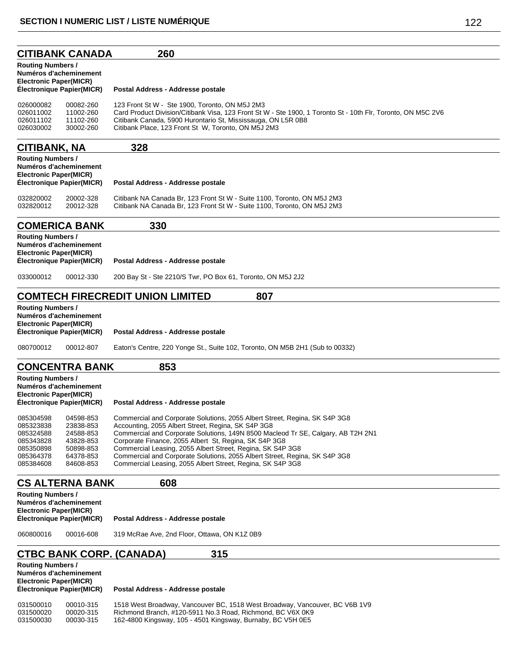#### **CITIBANK CANADA 260**

### **Routing Numbers / Numéros d'acheminement Electronic Paper(MICR) Postal Address - Addresse postale** 026000082 00082-260 123 Front St W - Ste 1900, Toronto, ON M5J 2M3 026011002 11002-260 Card Product Division/Citibank Visa, 123 Front St W - Ste 1900, 1 Toronto St - 10th Flr, Toronto, ON M5C 2V6<br>026011102 11102-260 Citibank Canada, 5900 Hurontario St, Mississauga, ON L5R 0B8 026011102 11102-260 Citibank Canada, 5900 Hurontario St, Mississauga, ON L5R 0B8<br>026030002 30002-260 Citibank Place, 123 Front St W. Toronto, ON M5J 2M3 Citibank Place, 123 Front St W, Toronto, ON M5J 2M3 **CITIBANK, NA 328**

| <b>Routing Numbers /</b><br>Numéros d'acheminement<br>Electronic Paper(MICR)<br>Électronique Papier(MICR) |           | Postal Address - Addresse postale                                       |  |  |
|-----------------------------------------------------------------------------------------------------------|-----------|-------------------------------------------------------------------------|--|--|
| 032820002                                                                                                 | 20002-328 | Citibank NA Canada Br. 123 Front St W - Suite 1100. Toronto, ON M5J 2M3 |  |  |
| 032820012                                                                                                 | 20012-328 | Citibank NA Canada Br, 123 Front St W - Suite 1100, Toronto, ON M5J 2M3 |  |  |

## **COMERICA BANK 330**

| <b>Routing Numbers /</b><br>Numéros d'acheminement<br><b>Electronic Paper(MICR)</b><br>Électronique Papier(MICR) |           | Postal Address - Addresse postale                           |  |
|------------------------------------------------------------------------------------------------------------------|-----------|-------------------------------------------------------------|--|
| 033000012                                                                                                        | 00012-330 | 200 Bay St - Ste 2210/S Twr, PO Box 61, Toronto, ON M5J 2J2 |  |

## **COMTECH FIRECREDIT UNION LIMITED 807**

| <b>Routing Numbers /</b><br>Numéros d'acheminement<br><b>Electronic Paper(MICR)</b><br>Electronique Papier(MICR) |           | Postal Address - Addresse postale                                            |
|------------------------------------------------------------------------------------------------------------------|-----------|------------------------------------------------------------------------------|
| 080700012                                                                                                        | 00012-807 | Eaton's Centre, 220 Yonge St., Suite 102, Toronto, ON M5B 2H1 (Sub to 00332) |

### **CONCENTRA BANK 853**

**Routing Numbers / Numéros d'acheminement Electronic Paper(MICR)**

#### **Postal Address - Addresse postale**

| 085304598 | 04598-853 | Commercial and Corporate Solutions, 2055 Albert Street, Regina, SK S4P 3G8       |
|-----------|-----------|----------------------------------------------------------------------------------|
| 085323838 | 23838-853 | Accounting, 2055 Albert Street, Regina, SK S4P 3G8                               |
| 085324588 | 24588-853 | Commercial and Corporate Solutions, 149N 8500 Macleod Tr SE, Calgary, AB T2H 2N1 |
| 085343828 | 43828-853 | Corporate Finance, 2055 Albert St, Regina, SK S4P 3G8                            |
| 085350898 | 50898-853 | Commercial Leasing, 2055 Albert Street, Regina, SK S4P 3G8                       |
| 085364378 | 64378-853 | Commercial and Corporate Solutions, 2055 Albert Street, Regina, SK S4P 3G8       |
| 085384608 | 84608-853 | Commercial Leasing, 2055 Albert Street, Regina, SK S4P 3G8                       |
|           |           |                                                                                  |

### **CS ALTERNA BANK 608**

| <b>Routing Numbers /</b><br>Numéros d'acheminement |                                   |  |
|----------------------------------------------------|-----------------------------------|--|
| <b>Electronic Paper(MICR)</b>                      |                                   |  |
| <b>Électronique Papier(MICR)</b>                   | Postal Address - Addresse postale |  |

060800016 00016-608 319 McRae Ave, 2nd Floor, Ottawa, ON K1Z 0B9

# **CTBC BANK CORP. (CANADA) 315**

| <b>Routing Numbers /</b><br>Numéros d'acheminement<br>Electronic Paper(MICR)<br><b>Électronique Papier(MICR)</b> |           | Postal Address - Addresse postale                                           |  |
|------------------------------------------------------------------------------------------------------------------|-----------|-----------------------------------------------------------------------------|--|
| 031500010                                                                                                        | 00010-315 | 1518 West Broadway, Vancouver BC, 1518 West Broadway, Vancouver, BC V6B 1V9 |  |
| 031500020                                                                                                        | 00020-315 | Richmond Branch, #120-5911 No.3 Road, Richmond, BC V6X 0K9                  |  |
| 031500030                                                                                                        | 00030-315 | 162-4800 Kingsway, 105 - 4501 Kingsway, Burnaby, BC V5H 0E5                 |  |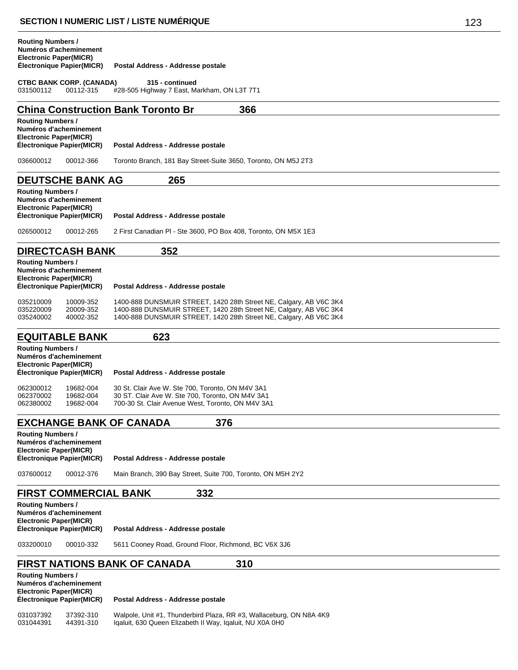|                                                           |                                                                   | <b>SECTION I NUMERIC LIST / LISTE NUMERIQUE</b>                                                                                                                                                                | 123 |  |  |
|-----------------------------------------------------------|-------------------------------------------------------------------|----------------------------------------------------------------------------------------------------------------------------------------------------------------------------------------------------------------|-----|--|--|
| <b>Routing Numbers /</b><br>Electronic Paper(MICR)        | Numéros d'acheminement<br><b>Électronique Papier(MICR)</b>        | Postal Address - Addresse postale                                                                                                                                                                              |     |  |  |
| 031500112                                                 | <b>CTBC BANK CORP. (CANADA)</b><br>00112-315                      | 315 - continued<br>#28-505 Highway 7 East, Markham, ON L3T 7T1                                                                                                                                                 |     |  |  |
|                                                           |                                                                   | <b>China Construction Bank Toronto Br</b><br>366                                                                                                                                                               |     |  |  |
| <b>Routing Numbers /</b><br><b>Electronic Paper(MICR)</b> | Numéros d'acheminement<br><b>Électronique Papier(MICR)</b>        | Postal Address - Addresse postale                                                                                                                                                                              |     |  |  |
| 036600012                                                 | 00012-366                                                         | Toronto Branch, 181 Bay Street-Suite 3650, Toronto, ON M5J 2T3                                                                                                                                                 |     |  |  |
|                                                           | <b>DEUTSCHE BANK AG</b>                                           | 265                                                                                                                                                                                                            |     |  |  |
| <b>Routing Numbers /</b><br><b>Electronic Paper(MICR)</b> | Numéros d'acheminement<br>Electronique Papier(MICR)               | Postal Address - Addresse postale                                                                                                                                                                              |     |  |  |
| 026500012                                                 | 00012-265                                                         | 2 First Canadian PI - Ste 3600, PO Box 408, Toronto, ON M5X 1E3                                                                                                                                                |     |  |  |
|                                                           | <b>DIRECTCASH BANK</b>                                            | 352                                                                                                                                                                                                            |     |  |  |
| <b>Routing Numbers /</b><br><b>Electronic Paper(MICR)</b> | Numéros d'acheminement<br><b>Électronique Papier(MICR)</b>        | Postal Address - Addresse postale                                                                                                                                                                              |     |  |  |
| 035210009<br>035220009<br>035240002                       | 10009-352<br>20009-352<br>40002-352                               | 1400-888 DUNSMUIR STREET, 1420 28th Street NE, Calgary, AB V6C 3K4<br>1400-888 DUNSMUIR STREET, 1420 28th Street NE, Calgary, AB V6C 3K4<br>1400-888 DUNSMUIR STREET, 1420 28th Street NE, Calgary, AB V6C 3K4 |     |  |  |
|                                                           | <b>EQUITABLE BANK</b>                                             | 623                                                                                                                                                                                                            |     |  |  |
| <b>Routing Numbers /</b><br><b>Electronic Paper(MICR)</b> | Numéros d'acheminement<br>Electronique Papier(MICR)               | Postal Address - Addresse postale                                                                                                                                                                              |     |  |  |
| 062300012<br>062370002<br>062380002                       | 19682-004<br>19682-004<br>19682-004                               | 30 St. Clair Ave W. Ste 700, Toronto, ON M4V 3A1<br>30 ST. Clair Ave W. Ste 700, Toronto, ON M4V 3A1<br>700-30 St. Clair Avenue West, Toronto, ON M4V 3A1                                                      |     |  |  |
|                                                           |                                                                   | <b>EXCHANGE BANK OF CANADA</b><br>376                                                                                                                                                                          |     |  |  |
| <b>Routing Numbers /</b><br><b>Electronic Paper(MICR)</b> | Numéros d'acheminement<br>Électronique Papier(MICR)               | Postal Address - Addresse postale                                                                                                                                                                              |     |  |  |
| 037600012                                                 | 00012-376                                                         | Main Branch, 390 Bay Street, Suite 700, Toronto, ON M5H 2Y2                                                                                                                                                    |     |  |  |
|                                                           | <b>FIRST COMMERCIAL BANK</b>                                      | 332                                                                                                                                                                                                            |     |  |  |
| <b>Routing Numbers /</b><br><b>Electronic Paper(MICR)</b> | Numéros d'acheminement<br>Électronique Papier(MICR)               | Postal Address - Addresse postale                                                                                                                                                                              |     |  |  |
| 033200010                                                 | 5611 Cooney Road, Ground Floor, Richmond, BC V6X 3J6<br>00010-332 |                                                                                                                                                                                                                |     |  |  |

### **FIRST NATIONS BANK OF CANADA 310 Routing Numbers /**

| <b>INVULTILY INVITING 19</b><br>Numéros d'acheminement<br><b>Electronic Paper(MICR)</b><br>Electronique Papier(MICR) |           | Postal Address - Addresse postale                                   |  |  |
|----------------------------------------------------------------------------------------------------------------------|-----------|---------------------------------------------------------------------|--|--|
| 031037392                                                                                                            | 37392-310 | Walpole, Unit #1, Thunderbird Plaza, RR #3, Wallaceburg, ON N8A 4K9 |  |  |
| 031044391                                                                                                            | 44391-310 | Igaluit, 630 Queen Elizabeth II Way, Igaluit, NU X0A 0H0            |  |  |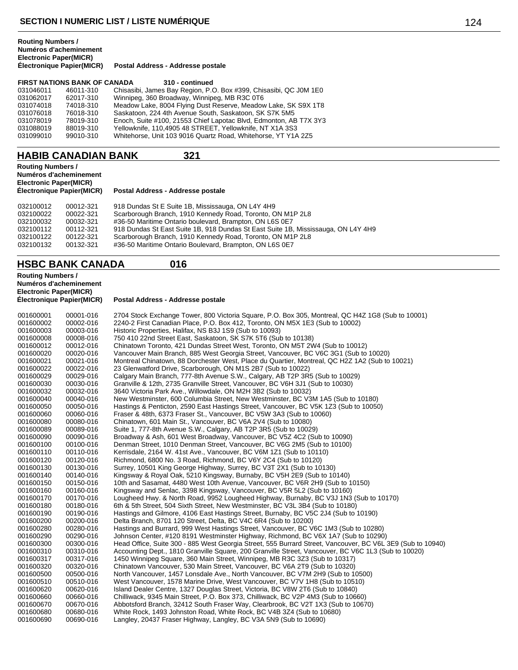#### **Routing Numbers / Numéros d'acheminement Electronic Paper(MICR) Postal Address - Addresse postale**

|           | <b>FIRST NATIONS BANK OF CANADA</b> | 310 - continued                                                   |
|-----------|-------------------------------------|-------------------------------------------------------------------|
| 031046011 | 46011-310                           | Chisasibi, James Bay Region, P.O. Box #399, Chisasibi, QC J0M 1E0 |
| 031062017 | 62017-310                           | Winnipeg, 360 Broadway, Winnipeg, MB R3C 0T6                      |
| 031074018 | 74018-310                           | Meadow Lake, 8004 Flying Dust Reserve, Meadow Lake, SK S9X 1T8    |
| 031076018 | 76018-310                           | Saskatoon, 224 4th Avenue South, Saskatoon, SK S7K 5M5            |
| 031078019 | 78019-310                           | Enoch, Suite #100, 21553 Chief Lapotac Blvd, Edmonton, AB T7X 3Y3 |
| 031088019 | 88019-310                           | Yellowknife, 110,4905 48 STREET, Yellowknife, NT X1A 3S3          |
| 031099010 | 99010-310                           | Whitehorse, Unit 103 9016 Quartz Road, Whitehorse, YT Y1A 2Z5     |

# **HABIB CANADIAN BANK 321**

| <b>Routing Numbers /</b><br>Numéros d'acheminement<br><b>Electronic Paper(MICR)</b><br>Electronique Papier(MICR) |           | Postal Address - Addresse postale                                                 |  |
|------------------------------------------------------------------------------------------------------------------|-----------|-----------------------------------------------------------------------------------|--|
| 032100012                                                                                                        | 00012-321 | 918 Dundas St E Suite 1B, Mississauga, ON L4Y 4H9                                 |  |
| 032100022                                                                                                        | 00022-321 | Scarborough Branch, 1910 Kennedy Road, Toronto, ON M1P 2L8                        |  |
| 032100032                                                                                                        | 00032-321 | #36-50 Maritime Ontario boulevard, Brampton, ON L6S 0E7                           |  |
| 032100112                                                                                                        | 00112-321 | 918 Dundas St East Suite 1B, 918 Dundas St East Suite 1B, Mississauga, ON L4Y 4H9 |  |
| 032100122                                                                                                        | 00122-321 | Scarborough Branch, 1910 Kennedy Road, Toronto, ON M1P 2L8                        |  |
| 032100132                                                                                                        | 00132-321 | #36-50 Maritime Ontario Boulevard, Brampton, ON L6S 0E7                           |  |

### **HSBC BANK CANADA 016**

**Routing Numbers / Numéros d'acheminement Electronic Paper(MICR)**

| 001600001<br>001600002<br>001600003<br>001600008<br>001600012<br>001600020<br>001600021<br>001600022<br>001600029<br>001600030<br>001600032<br>001600040<br>001600050<br>001600060<br>001600080<br>001600089<br>001600090<br>001600100<br>001600110<br>001600120<br>001600130<br>001600140<br>001600150<br>001600160<br>001600170<br>001600180<br>001600190<br>001600200<br>001600280<br>001600290<br>001600300<br>001600310<br>001600317<br>001600320<br>001600500<br>001600510<br>001600620<br>001600660 | 00001-016<br>00002-016<br>00003-016<br>00008-016<br>00012-016<br>00020-016<br>00021-016<br>00022-016<br>00029-016<br>00030-016<br>00032-016<br>00040-016<br>00050-016<br>00060-016<br>00080-016<br>00089-016<br>00090-016<br>00100-016<br>00110-016<br>00120-016<br>00130-016<br>00140-016<br>00150-016<br>00160-016<br>00170-016<br>00180-016<br>00190-016<br>00200-016<br>00280-016<br>00290-016<br>00300-016<br>00310-016<br>00317-016<br>00320-016<br>00500-016<br>00510-016<br>00620-016<br>00660-016 | 2704 Stock Exchange Tower, 800 Victoria Square, P.O. Box 305, Montreal, QC H4Z 1G8 (Sub to 10001)<br>2240-2 First Canadian Place, P.O. Box 412, Toronto, ON M5X 1E3 (Sub to 10002)<br>Historic Properties, Halifax, NS B3J 1S9 (Sub to 10093)<br>750 410 22nd Street East, Saskatoon, SK S7K 5T6 (Sub to 10138)<br>Chinatown Toronto, 421 Dundas Street West, Toronto, ON M5T 2W4 (Sub to 10012)<br>Vancouver Main Branch, 885 West Georgia Street, Vancouver, BC V6C 3G1 (Sub to 10020)<br>Montreal Chinatown, 88 Dorchester West, Place du Quartier, Montreal, QC H2Z 1A2 (Sub to 10021)<br>23 Glenwatford Drive, Scarborough, ON M1S 2B7 (Sub to 10022)<br>Calgary Main Branch, 777-8th Avenue S.W., Calgary, AB T2P 3R5 (Sub to 10029)<br>Granville & 12th, 2735 Granville Street, Vancouver, BC V6H 3J1 (Sub to 10030)<br>3640 Victoria Park Ave., Willowdale, ON M2H 3B2 (Sub to 10032)<br>New Westminster, 600 Columbia Street, New Westminster, BC V3M 1A5 (Sub to 10180)<br>Hastings & Penticton, 2590 East Hastings Street, Vancouver, BC V5K 1Z3 (Sub to 10050)<br>Fraser & 48th, 6373 Fraser St., Vancouver, BC V5W 3A3 (Sub to 10060)<br>Chinatown, 601 Main St., Vancouver, BC V6A 2V4 (Sub to 10080)<br>Suite 1, 777-8th Avenue S.W., Calgary, AB T2P 3R5 (Sub to 10029)<br>Broadway & Ash, 601 West Broadway, Vancouver, BC V5Z 4C2 (Sub to 10090)<br>Denman Street, 1010 Denman Street, Vancouver, BC V6G 2M5 (Sub to 10100)<br>Kerrisdale, 2164 W. 41st Ave., Vancouver, BC V6M 1Z1 (Sub to 10110)<br>Richmond, 6800 No. 3 Road, Richmond, BC V6Y 2C4 (Sub to 10120)<br>Surrey, 10501 King George Highway, Surrey, BC V3T 2X1 (Sub to 10130)<br>Kingsway & Royal Oak, 5210 Kingsway, Burnaby, BC V5H 2E9 (Sub to 10140)<br>10th and Sasamat, 4480 West 10th Avenue, Vancouver, BC V6R 2H9 (Sub to 10150)<br>Kingsway and Senlac, 3398 Kingsway, Vancouver, BC V5R 5L2 (Sub to 10160)<br>Lougheed Hwy. & North Road, 9952 Lougheed Highway, Burnaby, BC V3J 1N3 (Sub to 10170)<br>6th & 5th Street, 504 Sixth Street, New Westminster, BC V3L 3B4 (Sub to 10180)<br>Hastings and Gilmore, 4106 East Hastings Street, Burnaby, BC V5C 2J4 (Sub to 10190)<br>Delta Branch, 8701 120 Street, Delta, BC V4C 6R4 (Sub to 10200)<br>Hastings and Burrard, 999 West Hastings Street, Vancouver, BC V6C 1M3 (Sub to 10280)<br>Johnson Center, #120 8191 Westminster Highway, Richmond, BC V6X 1A7 (Sub to 10290)<br>Head Office, Suite 300 - 885 West Georgia Street, 555 Burrard Street, Vancouver, BC V6L 3E9 (Sub to 10940)<br>Accounting Dept., 1810 Granville Square, 200 Granville Street, Vancouver, BC V6C 1L3 (Sub to 10020)<br>1450 Winnipeg Square, 360 Main Street, Winnipeg, MB R3C 3Z3 (Sub to 10317)<br>Chinatown Vancouver, 530 Main Street, Vancouver, BC V6A 2T9 (Sub to 10320)<br>North Vancouver, 1457 Lonsdale Ave., North Vancouver, BC V7M 2H9 (Sub to 10500)<br>West Vancouver, 1578 Marine Drive, West Vancouver, BC V7V 1H8 (Sub to 10510)<br>Island Dealer Centre, 1327 Douglas Street, Victoria, BC V8W 2T6 (Sub to 10840) |
|------------------------------------------------------------------------------------------------------------------------------------------------------------------------------------------------------------------------------------------------------------------------------------------------------------------------------------------------------------------------------------------------------------------------------------------------------------------------------------------------------------|------------------------------------------------------------------------------------------------------------------------------------------------------------------------------------------------------------------------------------------------------------------------------------------------------------------------------------------------------------------------------------------------------------------------------------------------------------------------------------------------------------|-----------------------------------------------------------------------------------------------------------------------------------------------------------------------------------------------------------------------------------------------------------------------------------------------------------------------------------------------------------------------------------------------------------------------------------------------------------------------------------------------------------------------------------------------------------------------------------------------------------------------------------------------------------------------------------------------------------------------------------------------------------------------------------------------------------------------------------------------------------------------------------------------------------------------------------------------------------------------------------------------------------------------------------------------------------------------------------------------------------------------------------------------------------------------------------------------------------------------------------------------------------------------------------------------------------------------------------------------------------------------------------------------------------------------------------------------------------------------------------------------------------------------------------------------------------------------------------------------------------------------------------------------------------------------------------------------------------------------------------------------------------------------------------------------------------------------------------------------------------------------------------------------------------------------------------------------------------------------------------------------------------------------------------------------------------------------------------------------------------------------------------------------------------------------------------------------------------------------------------------------------------------------------------------------------------------------------------------------------------------------------------------------------------------------------------------------------------------------------------------------------------------------------------------------------------------------------------------------------------------------------------------------------------------------------------------------------------------------------------------------------------------------------------------------------------------------------------------------------------------------------------------------------------------------------------------------------------------------------------------------------------------------------------------------------------------|
| 001600670<br>001600680<br>001600690                                                                                                                                                                                                                                                                                                                                                                                                                                                                        | 00670-016<br>00680-016<br>00690-016                                                                                                                                                                                                                                                                                                                                                                                                                                                                        | Chilliwack, 9345 Main Street, P.O. Box 373, Chilliwack, BC V2P 4M3 (Sub to 10660)<br>Abbotsford Branch, 32412 South Fraser Way, Clearbrook, BC V2T 1X3 (Sub to 10670)<br>White Rock, 1493 Johnston Road, White Rock, BC V4B 3Z4 (Sub to 10680)<br>Langley, 20437 Fraser Highway, Langley, BC V3A 5N9 (Sub to 10690)                                                                                                                                                                                                                                                                                                                                                                                                                                                                                                                                                                                                                                                                                                                                                                                                                                                                                                                                                                                                                                                                                                                                                                                                                                                                                                                                                                                                                                                                                                                                                                                                                                                                                                                                                                                                                                                                                                                                                                                                                                                                                                                                                                                                                                                                                                                                                                                                                                                                                                                                                                                                                                                                                                                                             |
|                                                                                                                                                                                                                                                                                                                                                                                                                                                                                                            |                                                                                                                                                                                                                                                                                                                                                                                                                                                                                                            |                                                                                                                                                                                                                                                                                                                                                                                                                                                                                                                                                                                                                                                                                                                                                                                                                                                                                                                                                                                                                                                                                                                                                                                                                                                                                                                                                                                                                                                                                                                                                                                                                                                                                                                                                                                                                                                                                                                                                                                                                                                                                                                                                                                                                                                                                                                                                                                                                                                                                                                                                                                                                                                                                                                                                                                                                                                                                                                                                                                                                                                                 |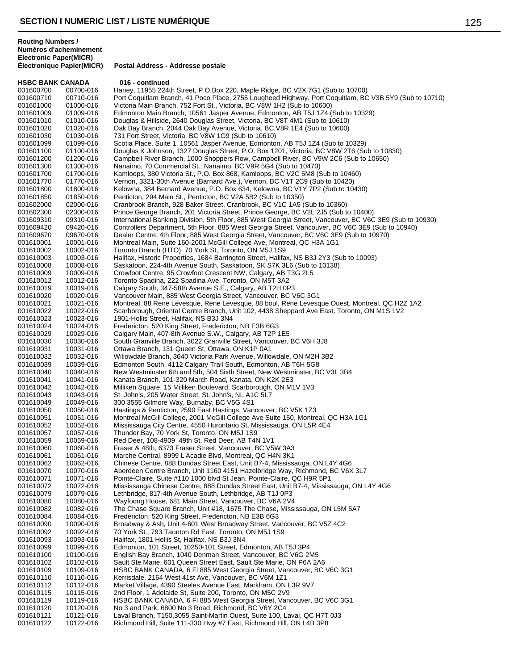**HSBC BANK CANADA 016 - continued**<br>001600700 00700-016 Haney 11955 224 001600700 00700-016 Haney, 11955 224th Street, P.O.Box 220, Maple Ridge, BC V2X 7G1 (Sub to 10700)<br>001600710 00710-016 Port Coquitlam Branch, 41 Poco Place, 2755 Lougheed Highway, Port Coquitlam, BC 001600710 00710-016 Port Coquitlam Branch, 41 Poco Place, 2755 Lougheed Highway, Port Coquitlam, BC V3B 5Y9 (Sub to 10710)<br>001601000 01000-016 Victoria Main Branch. 752 Fort St.. Victoria. BC V8W 1H2 (Sub to 10600) Victoria Main Branch, 752 Fort St., Victoria, BC V8W 1H2 (Sub to 10600) 001601009 01009-016 Edmonton Main Branch, 10561 Jasper Avenue, Edmonton, AB T5J 1Z4 (Sub to 10329)<br>001601010 01010-016 Douglas & Hillside, 2640 Douglas Street, Victoria, BC V8T 4M1 (Sub to 10610) Douglas & Hillside, 2640 Douglas Street, Victoria, BC V8T 4M1 (Sub to 10610) 001601020 01020-016 Oak Bay Branch, 2044 Oak Bay Avenue, Victoria, BC V8R 1E4 (Sub to 10600)<br>001601030 01030-016 731 Fort Street, Victoria, BC V8W 1G9 (Sub to 10610) 001601030 01030-016 731 Fort Street, Victoria, BC V8W 1G9 (Sub to 10610) Scotia Place, Suite 1, 10561 Jasper Avenue, Edmonton, AB T5J 1Z4 (Sub to 10329) 001601100 01100-016 Douglas & Johnson, 1327 Douglas Street, P.O. Box 1201, Victoria, BC V8W 2T6 (Sub to 10830)<br>001601200 01200-016 Campbell River Branch, 1000 Shoppers Row, Campbell River, BC V9W 2C6 (Sub to 10650) 001601200 01200-016 Campbell River Branch, 1000 Shoppers Row, Campbell River, BC V9W 2C6 (Sub to 10650)<br>001601300 01300-016 Nanaimo, 70 Commercial St., Nanaimo, BC V9R 5G4 (Sub to 10470) 001601300 01300-016 Nanaimo, 70 Commercial St., Nanaimo, BC V9R 5G4 (Sub to 10470)<br>001601700 01700-016 Kamloops, 380 Victoria St., P.O. Box 868, Kamloops, BC V2C 5M8 (S 001601700 01700-016 Kamloops, 380 Victoria St., P.O. Box 868, Kamloops, BC V2C 5M8 (Sub to 10460)<br>001601770 01770-016 Vernon, 3321-30th Avenue (Barnard Ave.), Vernon, BC V1T 2C9 (Sub to 10420) 001601770 01770-016 Vernon, 3321-30th Avenue (Barnard Ave.), Vernon, BC V1T 2C9 (Sub to 10420) 001601800 01800-016 Kelowna, 384 Bernard Avenue, P.O. Box 634, Kelowna, BC V1Y 7P2 (Sub to 10430)<br>001601850 01850-016 Penticton, 294 Main St., Penticton, BC V2A 5B2 (Sub to 10350) Penticton, 294 Main St., Penticton, BC V2A 5B2 (Sub to 10350) 001602000 02000-016 Cranbrook Branch, 928 Baker Street, Cranbrook, BC V1C 1A5 (Sub to 10360)<br>001602300 02300-016 Prince George Branch, 201 Victoria Street, Prince George, BC V2L 2J5 (Sub t 001602300 02300-016 Prince George Branch, 201 Victoria Street, Prince George, BC V2L 2J5 (Sub to 10400) 001609310 09310-016 International Banking Division, 5th Floor, 885 West Georgia Street, Vancouver, BC V6C 3E9 (Sub to 10930)<br>001609420 09420-016 Controllers Department, 5th Floor, 885 West Georgia Street, Vancouver, BC V6C 001609420 09420-016 Controllers Department, 5th Floor, 885 West Georgia Street, Vancouver, BC V6C 3E9 (Sub to 10940)<br>001609670 09670-016 Dealer Centre, 4th Floor, 885 West Georgia Street, Vancouver, BC V6C 3E9 (Sub to 1097 Dealer Centre, 4th Floor, 885 West Georgia Street, Vancouver, BC V6C 3E9 (Sub to 10970) 001610001 10001-016 Montreal Main, Suite 160-2001 McGill College Ave, Montreal, QC H3A 1G1<br>001610002 10002-016 Toronto Branch (HTO), 70 York St, Toronto, ON M5J 1S9 Toronto Branch (HTO), 70 York St, Toronto, ON M5J 1S9 001610003 10003-016 Halifax, Historic Properties, 1684 Barrington Street, Halifax, NS B3J 2Y3 (Sub to 10093)<br>001610008 10008-016 Saskatoon, 224-4th Avenue South, Saskatoon, SK S7K 3L6 (Sub to 10138) 001610008 10008-016 Saskatoon, 224-4th Avenue South, Saskatoon, SK S7K 3L6 (Sub to 10138)<br>001610009 10009-016 Crowfoot Centre. 95 Crowfoot Crescent NW. Calgary. AB T3G 2L5 Crowfoot Centre, 95 Crowfoot Crescent NW, Calgary, AB T3G 2L5 001610012 10012-016 Toronto Spadina, 222 Spadina Ave, Toronto, ON M5T 3A2 Calgary South, 347-58th Avenue S.E., Calgary, AB T2H 0P3 001610020 10020-016 Vancouver Main, 885 West Georgia Street, Vancouver, BC V6C 3G1<br>001610021 10021-016 Montreal, 88 Rene Levesque, Rene Levesque, 88 boul, Rene Levesq 001610021 10021-016 Montreal, 88 Rene Levesque, Rene Levesque, 88 boul, Rene Levesque Ouest, Montreal, QC H2Z 1A2<br>001610022 10022-016 Scarborough, Oriental Centre Branch, Unit 102, 4438 Sheppard Ave East, Toronto, ON M1S 1 Scarborough, Oriental Centre Branch, Unit 102, 4438 Sheppard Ave East, Toronto, ON M1S 1V2 001610023 10023-016 1801-Hollis Street, Halifax, NS B3J 3N4<br>001610024 10024-016 Fredericton, 520 King Street, Fredericto 001610024 10024-016 Fredericton, 520 King Street, Fredericton, NB E3B 6G3<br>001610029 10029-016 Calgary Main, 407-8th Avenue S.W., Calgary, AB T2P 1 001610029 10029-016 Calgary Main, 407-8th Avenue S.W., Calgary, AB T2P 1E5<br>001610030 10030-016 South Granville Branch, 3022 Granville Street, Vancouver, 001610030 10030-016 South Granville Branch, 3022 Granville Street, Vancouver, BC V6H 3J8<br>001610031 10031-016 Ottawa Branch, 131 Queen St, Ottawa, ON K1P 0A1 001610031 10031-016 Ottawa Branch, 131 Queen St, Ottawa, ON K1P 0A1 001610032 10032-016 Willowdale Branch, 3640 Victoria Park Avenue, Willowdale, ON M2H 3B2<br>001610039 10039-016 Edmonton South, 4112 Calgary Trail South, Edmonton, AB T6H 5G8 Edmonton South, 4112 Calgary Trail South, Edmonton, AB T6H 5G8 001610040 10040-016 New Westminster 6th and 5th, 504 Sixth Street, New Westminster, BC V3L 3B4<br>001610041 10041-016 Kanata Branch, 101-320 March Road, Kanata, ON K2K 2E3 001610041 10041-016 Kanata Branch, 101-320 March Road, Kanata, ON K2K 2E3<br>001610042 10042-016 Milliken Square, 15 Milliken Boulevard, Scarborough, ON M 001610042 10042-016 Milliken Square, 15 Milliken Boulevard, Scarborough, ON M1V 1V3<br>001610043 10043-016 St. John's, 205 Water Street, St. John's, NL A1C 5L7 001610043 10043-016 St. John's, 205 Water Street, St. John's, NL A1C 5L7 300 3555 Gilmore Way, Burnaby, BC V5G 4S1 001610050 10050-016 Hastings & Penticton, 2590 East Hastings, Vancouver, BC V5K 1Z3 Montreal McGill College, 2001 McGill College Ave Suite 150, Montreal, QC H3A 1G1 001610052 10052-016 Mississauga City Centre, 4550 Hurontario St, Mississauga, ON L5R 4E4<br>001610057 10057-016 Thunder Bay, 70 York St, Toronto, ON M5J 1S9 001610057 10057-016 Thunder Bay, 70 York St, Toronto, ON M5J 1S9<br>001610059 10059-016 Red Deer, 108-4909 49th St, Red Deer, AB T4M Red Deer, 108-4909 49th St, Red Deer, AB T4N 1V1 001610060 10060-016 Fraser & 48th, 6373 Fraser Street, Vancouver, BC V5W 3A3<br>001610061 10061-016 Marche Central, 8999 L'Acadie Blvd, Montreal, QC H4N 3K1 Marche Central, 8999 L'Acadie Blvd, Montreal, QC H4N 3K1 001610062 10062-016 Chinese Centre, 888 Dundas Street East, Unit B7-4, Mississauga, ON L4Y 4G6 001610070 10070-016 Aberdeen Centre Branch, Unit 1160 4151 Hazelbridge Way, Richmond, BC V6X 3L7<br>001610071 10071-016 Pointe-Claire, Suite #110 1000 blvd St Jean, Pointe-Claire, OC H9R 5P1 Pointe-Claire, Suite #110 1000 blvd St Jean, Pointe-Claire, QC H9R 5P1 001610072 10072-016 Mississauga Chinese Centre, 888 Dundas Street East, Unit B7-4, Mississauga, ON L4Y 4G6<br>001610079 10079-016 Lethbridge, 817-4th Avenue South, Lethbridge, AB T1J 0P3 001610079 10079-016 Lethbridge, 817-4th Avenue South, Lethbridge, AB T1J 0P3<br>001610080 10080-016 Wayfoong House, 681 Main Street, Vancouver, BC V6A 2V4 001610080 10080-016 Wayfoong House, 681 Main Street, Vancouver, BC V6A 2V4<br>001610082 10082-016 The Chase Square Branch. Unit #18. 1675 The Chase. Missi 001610082 10082-016 The Chase Square Branch, Unit #18, 1675 The Chase, Mississauga, ON L5M 5A7<br>001610084 10084-016 Fredericton, 520 King Street, Fredericton, NB F3B 6G3 001610084 10084-016 Fredericton, 520 King Street, Fredericton, NB E3B 6G3<br>001610090 10090-016 Broadway & Ash, Unit 4-601 West Broadway Street, Va 001610090 10090-016 Broadway & Ash, Unit 4-601 West Broadway Street, Vancouver, BC V5Z 4C2<br>001610092 10092-016 70 York St., 793 Taunton Rd East, Toronto, ON M5J 1S9 70 York St., 793 Taunton Rd East, Toronto, ON M5J 1S9 001610093 10093-016 Halifax, 1801 Hollis St, Halifax, NS B3J 3N4 001610099 10099-016 Edmonton, 101 Street, 10250-101 Street, Edmonton, AB T5J 3P4 001610100 10100-016 English Bay Branch, 1040 Denman Street, Vancouver, BC V6G 2M5<br>001610102 10102-016 Sault Ste Marie, 601 Queen Street East, Sault Ste Marie, ON P6A 2A 001610102 10102-016 Sault Ste Marie, 601 Queen Street East, Sault Ste Marie, ON P6A 2A6 HSBC BANK CANADA, 6 Fl 885 West Georgia Street, Vancouver, BC V6C 3G1 001610110 10110-016 Kerrisdale, 2164 West 41st Ave, Vancouver, BC V6M 1Z1 Market Village, 4390 Steeles Avenue East, Markham, ON L3R 9V7 001610115 10115-016 2nd Floor, 1 Adelaide St, Suite 200, Toronto, ON M5C 2V9<br>001610119 10119-016 HSBC BANK CANADA, 6 Fl 885 West Georgia Street, Van 001610119 10119-016 HSBC BANK CANADA, 6 Fl 885 West Georgia Street, Vancouver, BC V6C 3G1 No 3 and Park, 6800 No 3 Road, Richmond, BC V6Y 2C4 001610121 10121-016 Laval Branch, T150,3055 Saint-Martin Ouest, Suite 100, Laval, QC H7T 0J3<br>001610122 10122-016 Richmond Hill, Suite 111-330 Hwy #7 East, Richmond Hill, ON L4B 3P8 Richmond Hill, Suite 111-330 Hwy #7 East, Richmond Hill, ON L4B 3P8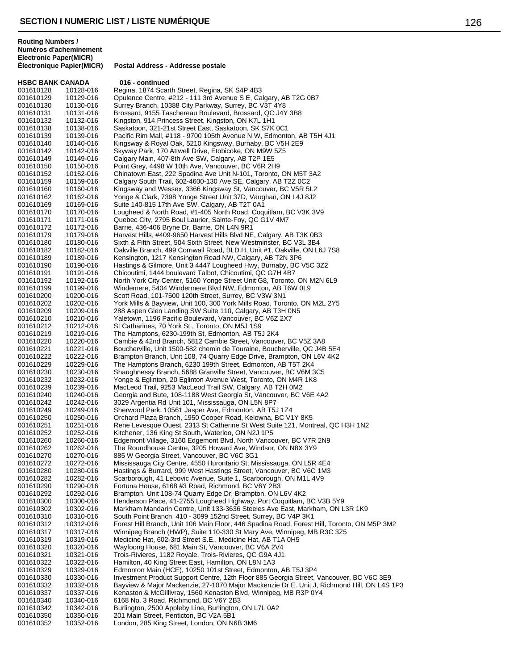| <b>HSBC BANK CANADA</b> |                        | 016 - continued                                                                                                                                   |
|-------------------------|------------------------|---------------------------------------------------------------------------------------------------------------------------------------------------|
| 001610128               | 10128-016              | Regina, 1874 Scarth Street, Regina, SK S4P 4B3                                                                                                    |
| 001610129               | 10129-016              | Opulence Centre, #212 - 111 3rd Avenue S E, Calgary, AB T2G 0B7                                                                                   |
| 001610130               | 10130-016              | Surrey Branch, 10388 City Parkway, Surrey, BC V3T 4Y8                                                                                             |
| 001610131               | 10131-016              | Brossard, 9155 Taschereau Boulevard, Brossard, QC J4Y 3B8                                                                                         |
| 001610132               | 10132-016              | Kingston, 914 Princess Street, Kingston, ON K7L 1H1                                                                                               |
| 001610138<br>001610139  | 10138-016<br>10139-016 | Saskatoon, 321-21st Street East, Saskatoon, SK S7K 0C1<br>Pacific Rim Mall, #118 - 9700 105th Avenue N W, Edmonton, AB T5H 4J1                    |
| 001610140               | 10140-016              | Kingsway & Royal Oak, 5210 Kingsway, Burnaby, BC V5H 2E9                                                                                          |
| 001610142               | 10142-016              | Skyway Park, 170 Attwell Drive, Etobicoke, ON M9W 5Z5                                                                                             |
| 001610149               | 10149-016              | Calgary Main, 407-8th Ave SW, Calgary, AB T2P 1E5                                                                                                 |
| 001610150               | 10150-016              | Point Grey, 4498 W 10th Ave, Vancouver, BC V6R 2H9                                                                                                |
| 001610152               | 10152-016              | Chinatown East, 222 Spadina Ave Unit N-101, Toronto, ON M5T 3A2                                                                                   |
| 001610159               | 10159-016              | Calgary South Trail, 602-4600-130 Ave SE, Calgary, AB T2Z 0C2                                                                                     |
| 001610160               | 10160-016              | Kingsway and Wessex, 3366 Kingsway St, Vancouver, BC V5R 5L2                                                                                      |
| 001610162               | 10162-016              | Yonge & Clark, 7398 Yonge Street Unit 37D, Vaughan, ON L4J 8J2                                                                                    |
| 001610169<br>001610170  | 10169-016<br>10170-016 | Suite 140-815 17th Ave SW, Calgary, AB T2T 0A1<br>Lougheed & North Road, #1-405 North Road, Coquitlam, BC V3K 3V9                                 |
| 001610171               | 10171-016              | Quebec City, 2795 Boul Laurier, Sainte-Foy, QC G1V 4M7                                                                                            |
| 001610172               | 10172-016              | Barrie, 436-406 Bryne Dr, Barrie, ON L4N 9R1                                                                                                      |
| 001610179               | 10179-016              | Harvest Hills, #409-9650 Harvest Hills Blvd NE, Calgary, AB T3K 0B3                                                                               |
| 001610180               | 10180-016              | Sixth & Fifth Street, 504 Sixth Street, New Westminster, BC V3L 3B4                                                                               |
| 001610182               | 10182-016              | Oakville Branch, 499 Cornwall Road, BLD.H, Unit #1, Oakville, ON L6J 7S8                                                                          |
| 001610189               | 10189-016              | Kensington, 1217 Kensington Road NW, Calgary, AB T2N 3P6                                                                                          |
| 001610190               | 10190-016              | Hastings & Gilmore, Unit 3 4447 Lougheed Hwy, Burnaby, BC V5C 3Z2                                                                                 |
| 001610191               | 10191-016              | Chicoutimi, 1444 boulevard Talbot, Chicoutimi, QC G7H 4B7                                                                                         |
| 001610192<br>001610199  | 10192-016<br>10199-016 | North York City Center, 5160 Yonge Street Unit G8, Toronto, ON M2N 6L9<br>Windemere, 5404 Windermere Blvd NW, Edmonton, AB T6W 0L9                |
| 001610200               | 10200-016              | Scott Road, 101-7500 120th Street, Surrey, BC V3W 3N1                                                                                             |
| 001610202               | 10202-016              | York Mills & Bayview, Unit 100, 300 York Mills Road, Toronto, ON M2L 2Y5                                                                          |
| 001610209               | 10209-016              | 288 Aspen Glen Landing SW Suite 110, Calgary, AB T3H 0N5                                                                                          |
| 001610210               | 10210-016              | Yaletown, 1196 Pacific Boulevard, Vancouver, BC V6Z 2X7                                                                                           |
| 001610212               | 10212-016              | St Catharines, 70 York St., Toronto, ON M5J 1S9                                                                                                   |
| 001610219               | 10219-016              | The Hamptons, 6230-199th St, Edmonton, AB T5J 2K4                                                                                                 |
| 001610220               | 10220-016              | Cambie & 42nd Branch, 5812 Cambie Street, Vancouver, BC V5Z 3A8                                                                                   |
| 001610221<br>001610222  | 10221-016<br>10222-016 | Boucherville, Unit 1500-582 chemin de Touraine, Boucherville, QC J4B 5E4<br>Brampton Branch, Unit 108, 74 Quarry Edge Drive, Brampton, ON L6V 4K2 |
| 001610229               | 10229-016              | The Hamptons Branch, 6230 199th Street, Edmonton, AB T5T 2K4                                                                                      |
| 001610230               | 10230-016              | Shaughnessy Branch, 5688 Granville Street, Vancouver, BC V6M 3C5                                                                                  |
| 001610232               | 10232-016              | Yonge & Eglinton, 20 Eglinton Avenue West, Toronto, ON M4R 1K8                                                                                    |
| 001610239               | 10239-016              | MacLeod Trail, 9253 MacLeod Trail SW, Calgary, AB T2H 0M2                                                                                         |
| 001610240               | 10240-016              | Georgia and Bute, 108-1188 West Georgia St, Vancouver, BC V6E 4A2                                                                                 |
| 001610242               | 10242-016              | 3029 Argentia Rd Unit 101, Mississauga, ON L5N 8P7                                                                                                |
| 001610249               | 10249-016              | Sherwood Park, 10561 Jasper Ave, Edmonton, AB T5J 1Z4<br>Orchard Plaza Branch, 1950 Cooper Road, Kelowna, BC V1Y 8K5                              |
| 001610250<br>001610251  | 10250-016<br>10251-016 | Rene Levesque Ouest, 2313 St Catherine St West Suite 121, Montreal, QC H3H 1N2                                                                    |
| 001610252               | 10252-016              | Kitchener, 136 King St South, Waterloo, ON N2J 1P5                                                                                                |
| 001610260               | 10260-016              | Edgemont Village, 3160 Edgemont Blvd, North Vancouver, BC V7R 2N9                                                                                 |
| 001610262               | 10262-016              | The Roundhouse Centre, 3205 Howard Ave, Windsor, ON N8X 3Y9                                                                                       |
| 001610270               | 10270-016              | 885 W Georgia Street, Vancouver, BC V6C 3G1                                                                                                       |
| 001610272               | 10272-016              | Mississauga City Centre, 4550 Hurontario St, Mississauga, ON L5R 4E4                                                                              |
| 001610280               | 10280-016              | Hastings & Burrard, 999 West Hastings Street, Vancouver, BC V6C 1M3<br>Scarborough, 41 Lebovic Avenue, Suite 1, Scarborough, ON M1L 4V9           |
| 001610282<br>001610290  | 10282-016<br>10290-016 | Fortuna House, 6168 #3 Road, Richmond, BC V6Y 2B3                                                                                                 |
| 001610292               | 10292-016              | Brampton, Unit 108-74 Quarry Edge Dr, Brampton, ON L6V 4K2                                                                                        |
| 001610300               | 10300-016              | Henderson Place, 41-2755 Lougheed Highway, Port Coquitlam, BC V3B 5Y9                                                                             |
| 001610302               | 10302-016              | Markham Mandarin Centre, Unit 133-3636 Steeles Ave East, Markham, ON L3R 1K9                                                                      |
| 001610310               | 10310-016              | South Point Branch, 410 - 3099 152nd Street, Surrey, BC V4P 3K1                                                                                   |
| 001610312               | 10312-016              | Forest Hill Branch, Unit 106 Main Floor, 446 Spadina Road, Forest Hill, Toronto, ON M5P 3M2                                                       |
| 001610317               | 10317-016              | Winnipeg Branch (HWP), Suite 110-330 St Mary Ave, Winnipeg, MB R3C 3Z5                                                                            |
| 001610319<br>001610320  | 10319-016              | Medicine Hat, 602-3rd Street S.E., Medicine Hat, AB T1A 0H5<br>Wayfoong House, 681 Main St, Vancouver, BC V6A 2V4                                 |
| 001610321               | 10320-016<br>10321-016 | Trois-Rivieres, 1182 Royale, Trois-Rivieres, QC G9A 4J1                                                                                           |
| 001610322               | 10322-016              | Hamilton, 40 King Street East, Hamilton, ON L8N 1A3                                                                                               |
| 001610329               | 10329-016              | Edmonton Main (HCE), 10250 101st Street, Edmonton, AB T5J 3P4                                                                                     |
| 001610330               | 10330-016              | Investment Product Support Centre, 12th Floor 885 Georgia Street, Vancouver, BC V6C 3E9                                                           |
| 001610332               | 10332-016              | Bayview & Major Mackenzie, 27-1070 Major Mackenzie Dr E. Unit J, Richmond Hill, ON L4S 1P3                                                        |
| 001610337               | 10337-016              | Kenaston & McGillivray, 1560 Kenaston Blvd, Winnipeg, MB R3P 0Y4                                                                                  |
| 001610340               | 10340-016              | 6168 No. 3 Road, Richmond, BC V6Y 2B3                                                                                                             |
| 001610342               | 10342-016              | Burlington, 2500 Appleby Line, Burlington, ON L7L 0A2                                                                                             |
| 001610350<br>001610352  | 10350-016<br>10352-016 | 201 Main Street, Penticton, BC V2A 5B1<br>London, 285 King Street, London, ON N6B 3M6                                                             |
|                         |                        |                                                                                                                                                   |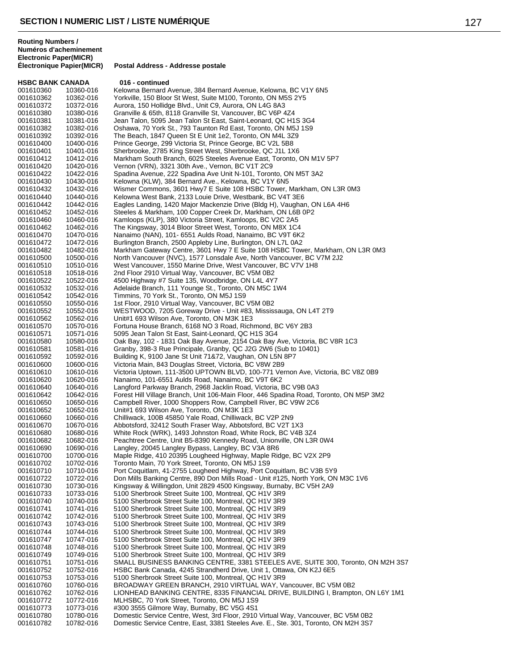**HSBC BANK CANADA** 016 - continued<br>001610360 10360-016 Kelowna Bernard A 001610360 10360-016 Kelowna Bernard Avenue, 384 Bernard Avenue, Kelowna, BC V1Y 6N5<br>001610362 10362-016 Yorkville, 150 Bloor St West, Suite M100, Toronto, ON M5S 2Y5 001610362 10362-016 Yorkville, 150 Bloor St West, Suite M100, Toronto, ON M5S 2Y5 Aurora, 150 Hollidge Blvd., Unit C9, Aurora, ON L4G 8A3 001610380 10380-016 Granville & 65th, 8118 Granville St, Vancouver, BC V6P 4Z4 Jean Talon, 5095 Jean Talon St East, Saint-Leonard, QC H1S 3G4 001610382 10382-016 Oshawa, 70 York St., 793 Taunton Rd East, Toronto, ON M5J 1S9<br>001610392 10392-016 The Beach, 1847 Queen St E Unit 1e2, Toronto, ON M4L 3Z9 001610392 10392-016 The Beach, 1847 Queen St E Unit 1e2, Toronto, ON M4L 3Z9<br>001610400 10400-016 Prince George, 299 Victoria St, Prince George, BC V2L 5B8 Prince George, 299 Victoria St, Prince George, BC V2L 5B8 001610401 10401-016 Sherbrooke, 2785 King Street West, Sherbrooke, QC J1L 1X6<br>001610412 10412-016 Markham South Branch, 6025 Steeles Avenue East, Toronto, 0 001610412 10412-016 Markham South Branch, 6025 Steeles Avenue East, Toronto, ON M1V 5P7<br>001610420 10420-016 Vernon (VRN), 3321 30th Ave., Vernon, BC V1T 2C9 001610420 10420-016 Vernon (VRN), 3321 30th Ave., Vernon, BC V1T 2C9<br>001610422 10422-016 Spadina Avenue, 222 Spadina Ave Unit N-101, Toron 001610422 10422-016 Spadina Avenue, 222 Spadina Ave Unit N-101, Toronto, ON M5T 3A2<br>001610430 10430-016 Kelowna (KI W), 384 Bernard Ave., Kelowna, BC V1Y 6N5 001610430 10430-016 Kelowna (KLW), 384 Bernard Ave., Kelowna, BC V1Y 6N5<br>001610432 10432-016 Wismer Commons, 3601 Hwy7 E Suite 108 HSBC Tower, I 001610432 10432-016 Wismer Commons, 3601 Hwy7 E Suite 108 HSBC Tower, Markham, ON L3R 0M3<br>001610440 10440-016 Kelowna West Bank, 2133 Louie Drive, Westbank, BC V4T 3E6 Kelowna West Bank, 2133 Louie Drive, Westbank, BC V4T 3E6 001610442 10442-016 Eagles Landing, 1420 Major Mackenzie Drive (Bldg H), Vaughan, ON L6A 4H6<br>001610452 10452-016 Steeles & Markham, 100 Copper Creek Dr, Markham, ON L6B 0P2 001610452 10452-016 Steeles & Markham, 100 Copper Creek Dr, Markham, ON L6B 0P2 001610460 10460-016 Kamloops (KLP), 380 Victoria Street, Kamloops, BC V2C 2A5<br>001610462 10462-016 The Kingsway, 3014 Bloor Street West, Toronto, ON M8X 1C 001610462 10462-016 The Kingsway, 3014 Bloor Street West, Toronto, ON M8X 1C4 Nanaimo (NAN), 101- 6551 Aulds Road, Nanaimo, BC V9T 6K2 001610472 10472-016 Burlington Branch, 2500 Appleby Line, Burlington, ON L7L 0A2 Markham Gateway Centre, 3601 Hwy 7 E Suite 108 HSBC Tower, Markham, ON L3R 0M3 001610500 10500-016 North Vancouver (NVC), 1577 Lonsdale Ave, North Vancouver, BC V7M 2J2<br>001610510 10510-016 West Vancouver, 1550 Marine Drive, West Vancouver, BC V7V 1H8 001610510 10510-016 West Vancouver, 1550 Marine Drive, West Vancouver, BC V7V 1H8<br>001610518 10518-016 2nd Floor 2910 Virtual Wav. Vancouver. BC V5M 0B2 2nd Floor 2910 Virtual Way, Vancouver, BC V5M 0B2 001610522 10522-016 4500 Highway #7 Suite 135, Woodbridge, ON L4L 4Y7<br>001610532 10532-016 Adelaide Branch, 111 Younge St., Toronto, ON M5C 1 Adelaide Branch, 111 Younge St., Toronto, ON M5C 1W4 001610542 10542-016 Timmins, 70 York St., Toronto, ON M5J 1S9 001610550 10550-016 1st Floor, 2910 Virtual Way, Vancouver, BC V5M 0B2<br>001610552 10552-016 WESTWOOD, 7205 Goreway Drive - Unit #83, Missis WESTWOOD, 7205 Goreway Drive - Unit #83, Mississauga, ON L4T 2T9 001610562 10562-016 Unit#1 693 Wilson Ave, Toronto, ON M3K 1E3 001610570 10570-016 Fortuna House Branch, 6168 NO 3 Road, Richmond, BC V6Y 2B3<br>001610571 10571-016 5095 Jean Talon St East, Saint-Leonard, QC H1S 3G4 001610571 10571-016 5095 Jean Talon St East, Saint-Leonard, QC H1S 3G4 001610580 10580-016 Oak Bay, 102 - 1831 Oak Bay Avenue, 2154 Oak Bay Ave, Victoria, BC V8R 1C3<br>001610581 10581-016 Granby, 398-3 Rue Principale, Granby, QC J2G 2W6 (Sub to 10401) 001610581 10581-016 Granby, 398-3 Rue Principale, Granby, QC J2G 2W6 (Sub to 10401)<br>001610592 10592-016 Building K, 9100 Jane St Unit 71&72, Vaughan, ON L5N 8P7 001610592 10592-016 Building K, 9100 Jane St Unit 71&72, Vaughan, ON L5N 8P7 Victoria Main, 843 Douglas Street, Victoria, BC V8W 2B9 001610610 10610-016 Victoria Uptown, 111-3500 UPTOWN BLVD, 100-771 Vernon Ave, Victoria, BC V8Z 0B9<br>001610620 10620-016 Nanaimo, 101-6551 Aulds Road, Nanaimo, BC V9T 6K2 001610620 10620-016 Nanaimo, 101-6551 Aulds Road, Nanaimo, BC V9T 6K2 001610640 10640-016 Langford Parkway Branch, 2968 Jacklin Road, Victoria, BC V9B 0A3<br>001610642 10642-016 Forest Hill Village Branch, Unit 106-Main Floor, 446 Spadina Road, T 001610642 10642-016 Forest Hill Village Branch, Unit 106-Main Floor, 446 Spadina Road, Toronto, ON M5P 3M2<br>001610650 10650-016 Campbell River, 1000 Shoppers Row. Campbell River. BC V9W 2C6 Campbell River, 1000 Shoppers Row, Campbell River, BC V9W 2C6 001610652 10652-016 Unit#1 693 Wilson Ave, Toronto, ON M3K 1E3 Chilliwack, 100B 45850 Yale Road, Chilliwack, BC V2P 2N9 001610670 10670-016 Abbotsford, 32412 South Fraser Way, Abbotsford, BC V2T 1X3<br>001610680 10680-016 White Rock (WRK), 1493 Johnston Road, White Rock, BC V4B 001610680 10680-016 White Rock (WRK), 1493 Johnston Road, White Rock, BC V4B 3Z4<br>001610682 10682-016 Peachtree Centre. Unit B5-8390 Kennedy Road. Unionville. ON L3R Peachtree Centre, Unit B5-8390 Kennedy Road, Unionville, ON L3R 0W4 001610690 10690-016 Langley, 20045 Langley Bypass, Langley, BC V3A 8R6 Maple Ridge, 410 20395 Lougheed Highway, Maple Ridge, BC V2X 2P9 001610702 10702-016 Toronto Main, 70 York Street, Toronto, ON M5J 1S9<br>001610710 10710-016 Port Coquitlam, 41-2755 Lougheed Highway, Port Co 001610710 10710-016 Port Coquitlam, 41-2755 Lougheed Highway, Port Coquitlam, BC V3B 5Y9<br>001610722 10722-016 Don Mills Banking Centre, 890 Don Mills Road - Unit #125, North York, ON Don Mills Banking Centre, 890 Don Mills Road - Unit #125, North York, ON M3C 1V6 001610730 10730-016 Kingsway & Willingdon, Unit 2829 4500 Kingsway, Burnaby, BC V5H 2A9<br>001610733 10733-016 5100 Sherbrook Street Suite 100, Montreal, QC H1V 3R9 001610733 10733-016 5100 Sherbrook Street Suite 100, Montreal, QC H1V 3R9<br>001610740 10740-016 5100 Sherbrook Street Suite 100, Montreal, QC H1V 3R9 001610740 10740-016 5100 Sherbrook Street Suite 100, Montreal, QC H1V 3R9 001610741 10741-016 5100 Sherbrook Street Suite 100, Montreal, QC H1V 3R9<br>001610742 10742-016 5100 Sherbrook Street Suite 100, Montreal, QC H1V 3R9 001610742 10742-016 5100 Sherbrook Street Suite 100, Montreal, QC H1V 3R9<br>001610743 10743-016 5100 Sherbrook Street Suite 100, Montreal, QC H1V 3R9 001610743 10743-016 5100 Sherbrook Street Suite 100, Montreal, QC H1V 3R9<br>001610744 10744-016 5100 Sherbrook Street Suite 100, Montreal, QC H1V 3R9 5100 Sherbrook Street Suite 100, Montreal, QC H1V 3R9 001610747 10747-016 5100 Sherbrook Street Suite 100, Montreal, QC H1V 3R9 001610748 10748-016 5100 Sherbrook Street Suite 100, Montreal, QC H1V 3R9 001610749 10749-016 5100 Sherbrook Street Suite 100, Montreal, QC H1V 3R9 001610751 10751-016 SMALL BUSINESS BANKING CENTRE, 3381 STEELES AVE, SUITE 300, Toronto, ON M2H 3S7<br>001610752 10752-016 HSBC Bank Canada. 4245 Strandherd Drive. Unit 1. Ottawa. ON K2J 6E5 HSBC Bank Canada, 4245 Strandherd Drive, Unit 1, Ottawa, ON K2J 6E5 001610753 10753-016 5100 Sherbrook Street Suite 100, Montreal, QC H1V 3R9 BROADWAY GREEN BRANCH, 2910 VIRTUAL WAY, Vancouver, BC V5M 0B2 001610762 10762-016 LIONHEAD BANKING CENTRE, 8335 FINANCIAL DRIVE, BUILDING I, Brampton, ON L6Y 1M1<br>001610772 10772-016 MLHSBC, 70 York Street, Toronto, ON M5J 1S9 001610772 10772-016 MLHSBC, 70 York Street, Toronto, ON M5J 1S9<br>001610773 10773-016 #300.3555 Gilmore Way, Burnaby, BC V5G 4S1 #300 3555 Gilmore Way, Burnaby, BC V5G 4S1 001610780 10780-016 Domestic Service Centre, West, 3rd Floor, 2910 Virtual Way, Vancouver, BC V5M 0B2<br>001610782 10782-016 Domestic Service Centre, East, 3381 Steeles Ave. E., Ste. 301, Toronto, ON M2H 3S7 Domestic Service Centre, East, 3381 Steeles Ave. E., Ste. 301, Toronto, ON M2H 3S7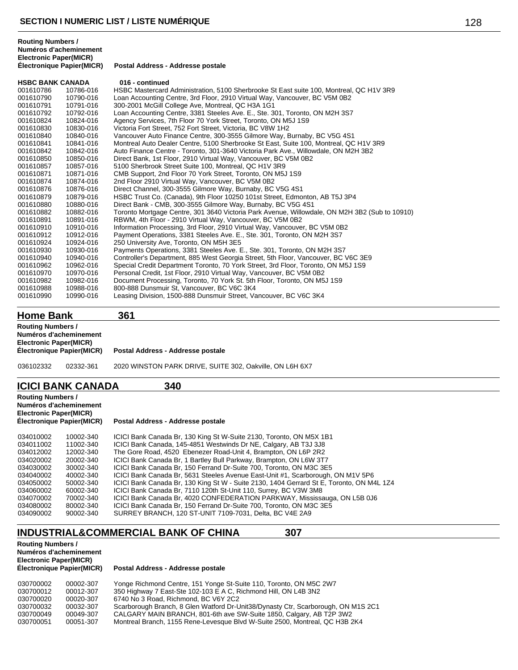**Postal Address - Addresse postale** 

| <b>HSBC BANK CANADA</b> |           | 016 - continued                                                                               |
|-------------------------|-----------|-----------------------------------------------------------------------------------------------|
| 001610786               | 10786-016 | HSBC Mastercard Administration, 5100 Sherbrooke St East suite 100, Montreal, QC H1V 3R9       |
| 001610790               | 10790-016 | Loan Accounting Centre, 3rd Floor, 2910 Virtual Way, Vancouver, BC V5M 0B2                    |
| 001610791               | 10791-016 | 300-2001 McGill College Ave, Montreal, QC H3A 1G1                                             |
| 001610792               | 10792-016 | Loan Accounting Centre, 3381 Steeles Ave. E., Ste. 301, Toronto, ON M2H 3S7                   |
| 001610824               | 10824-016 | Agency Services, 7th Floor 70 York Street, Toronto, ON M5J 1S9                                |
| 001610830               | 10830-016 | Victoria Fort Street, 752 Fort Street, Victoria, BC V8W 1H2                                   |
| 001610840               | 10840-016 | Vancouver Auto Finance Centre, 300-3555 Gilmore Way, Burnaby, BC V5G 4S1                      |
| 001610841               | 10841-016 | Montreal Auto Dealer Centre, 5100 Sherbrooke St East, Suite 100, Montreal, QC H1V 3R9         |
| 001610842               | 10842-016 | Auto Finance Centre - Toronto, 301-3640 Victoria Park Ave., Willowdale, ON M2H 3B2            |
| 001610850               | 10850-016 | Direct Bank, 1st Floor, 2910 Virtual Way, Vancouver, BC V5M 0B2                               |
| 001610857               | 10857-016 | 5100 Sherbrook Street Suite 100, Montreal, QC H1V 3R9                                         |
| 001610871               | 10871-016 | CMB Support, 2nd Floor 70 York Street, Toronto, ON M5J 1S9                                    |
| 001610874               | 10874-016 | 2nd Floor 2910 Virtual Way, Vancouver, BC V5M 0B2                                             |
| 001610876               | 10876-016 | Direct Channel, 300-3555 Gilmore Way, Burnaby, BC V5G 4S1                                     |
| 001610879               | 10879-016 | HSBC Trust Co. (Canada), 9th Floor 10250 101st Street, Edmonton, AB T5J 3P4                   |
| 001610880               | 10880-016 | Direct Bank - CMB, 300-3555 Gilmore Way, Burnaby, BC V5G 4S1                                  |
| 001610882               | 10882-016 | Toronto Mortgage Centre, 301 3640 Victoria Park Avenue, Willowdale, ON M2H 3B2 (Sub to 10910) |
| 001610891               | 10891-016 | RBWM, 4th Floor - 2910 Virtual Way, Vancouver, BC V5M 0B2                                     |
| 001610910               | 10910-016 | Information Processing, 3rd Floor, 2910 Virtual Way, Vancouver, BC V5M 0B2                    |
| 001610912               | 10912-016 | Payment Operations, 3381 Steeles Ave. E., Ste. 301, Toronto, ON M2H 3S7                       |
| 001610924               | 10924-016 | 250 University Ave, Toronto, ON M5H 3E5                                                       |
| 001610930               | 10930-016 | Payments Operations, 3381 Steeles Ave. E., Ste. 301, Toronto, ON M2H 3S7                      |
| 001610940               | 10940-016 | Controller's Department, 885 West Georgia Street, 5th Floor, Vancouver, BC V6C 3E9            |
| 001610962               | 10962-016 | Special Credit Department Toronto, 70 York Street, 3rd Floor, Toronto, ON M5J 1S9             |
| 001610970               | 10970-016 | Personal Credit, 1st Floor, 2910 Virtual Way, Vancouver, BC V5M 0B2                           |
| 001610982               | 10982-016 | Document Processing, Toronto, 70 York St. 5th Floor, Toronto, ON M5J 1S9                      |
| 001610988               | 10988-016 | 800-888 Dunsmuir St, Vancouver, BC V6C 3K4                                                    |
| 001610990               | 10990-016 | Leasing Division, 1500-888 Dunsmuir Street, Vancouver, BC V6C 3K4                             |
|                         |           |                                                                                               |

**Home Bank 361**

02332-361 2020 WINSTON PARK DRIVE, SUITE 302, Oakville, ON L6H 6X7

### **ICICI BANK CANADA 340**

| <b>Routing Numbers /</b><br>Numéros d'acheminement<br><b>Electronic Paper(MICR)</b><br>Électronique Papier(MICR) |           | Postal Address - Addresse postale                                                        |
|------------------------------------------------------------------------------------------------------------------|-----------|------------------------------------------------------------------------------------------|
| 034010002                                                                                                        | 10002-340 | ICICI Bank Canada Br, 130 King St W-Suite 2130, Toronto, ON M5X 1B1                      |
| 034011002                                                                                                        | 11002-340 | ICICI Bank Canada, 145-4851 Westwinds Dr NE, Calgary, AB T3J 3J8                         |
| 034012002                                                                                                        | 12002-340 | The Gore Road, 4520 Ebenezer Road-Unit 4, Brampton, ON L6P 2R2                           |
| 034020002                                                                                                        | 20002-340 | ICICI Bank Canada Br, 1 Bartley Bull Parkway, Brampton, ON L6W 3T7                       |
| 034030002                                                                                                        | 30002-340 | ICICI Bank Canada Br. 150 Ferrand Dr-Suite 700. Toronto, ON M3C 3E5                      |
| 034040002                                                                                                        | 40002-340 | ICICI Bank Canada Br, 5631 Steeles Avenue East-Unit #1, Scarborough, ON M1V 5P6          |
| 034050002                                                                                                        | 50002-340 | ICICI Bank Canada Br, 130 King St W - Suite 2130, 1404 Gerrard St E, Toronto, ON M4L 1Z4 |
| 034060002                                                                                                        | 60002-340 | ICICI Bank Canada Br, 7110 120th St-Unit 110, Surrey, BC V3W 3M8                         |
| 034070002                                                                                                        | 70002-340 | ICICI Bank Canada Br, 4020 CONFEDERATION PARKWAY, Mississauga, ON L5B 0J6                |
| 034080002                                                                                                        | 80002-340 | ICICI Bank Canada Br, 150 Ferrand Dr-Suite 700, Toronto, ON M3C 3E5                      |
| 034090002                                                                                                        | 90002-340 | SURREY BRANCH, 120 ST-UNIT 7109-7031, Delta, BC V4E 2A9                                  |

# **INDUSTRIAL&COMMERCIAL BANK OF CHINA 307**

**Routing Numbers / Numéros d'acheminement Electronic Paper(MICR)**

| 030700002 | 00002-307 | Yonge Richmond Centre, 151 Yonge St-Suite 110, Toronto, ON M5C 2W7                |
|-----------|-----------|-----------------------------------------------------------------------------------|
| 030700012 | 00012-307 | 350 Highway 7 East-Ste 102-103 E A C, Richmond Hill, ON L4B 3N2                   |
| 030700020 | 00020-307 | 6740 No 3 Road, Richmond, BC V6Y 2C2                                              |
| 030700032 | 00032-307 | Scarborough Branch, 8 Glen Watford Dr-Unit38/Dynasty Ctr, Scarborough, ON M1S 2C1 |
| 030700049 | 00049-307 | CALGARY MAIN BRANCH, 801-6th ave SW-Suite 1850, Calgary, AB T2P 3W2               |
| 030700051 | 00051-307 | Montreal Branch, 1155 Rene-Levesque Blvd W-Suite 2500, Montreal, QC H3B 2K4       |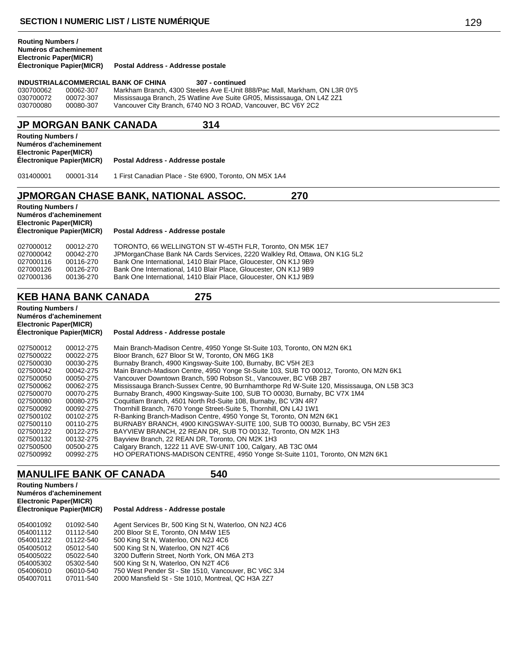### **Numéros d'acheminement Electronic Paper(MICR) Postal Address - Addresse postale INDUSTRIAL&COMMERCIAL BANK OF CHINA** 307 - continued<br>030700062 00062-307 Markham Branch, 4300 Steeles Ave E-Unit 8 030700062 00062-307 Markham Branch, 4300 Steeles Ave E-Unit 888/Pac Mall, Markham, ON L3R 0Y5<br>030700072 00072-307 Mississauga Branch, 25 Watline Ave Suite GR05, Mississauga, ON L4Z 2Z1 030700072 00072-307 Mississauga Branch, 25 Watline Ave Suite GR05, Mississauga, ON L4Z 2Z1 Vancouver City Branch, 6740 NO 3 ROAD, Vancouver, BC V6Y 2C2 **JP MORGAN BANK CANADA 314 Routing Numbers / Numéros d'acheminement**

**Electronic Paper(MICR) Électronique Papier(MICR) Postal Address - Addresse postale** 031400001 00001-314 1 First Canadian Place - Ste 6900, Toronto, ON M5X 1A4

## **JPMORGAN CHASE BANK, NATIONAL ASSOC. 270**

**Routing Numbers / Numéros d'acheminement Electronic Paper(MICR)**

**Routing Numbers /**

**Postal Address - Addresse postale** 

| 027000012 | 00012-270 | TORONTO, 66 WELLINGTON ST W-45TH FLR. Toronto, ON M5K 1E7                 |
|-----------|-----------|---------------------------------------------------------------------------|
| 027000042 | 00042-270 | JPMorganChase Bank NA Cards Services, 2220 Walkley Rd, Ottawa, ON K1G 5L2 |
| 027000116 | 00116-270 | Bank One International, 1410 Blair Place, Gloucester, ON K1J 9B9          |
| 027000126 | 00126-270 | Bank One International, 1410 Blair Place, Gloucester, ON K1J 9B9          |
| 027000136 | 00136-270 | Bank One International, 1410 Blair Place, Gloucester, ON K1J 9B9          |
|           |           |                                                                           |

# **KEB HANA BANK CANADA 275**

**Routing Numbers / Numéros d'acheminement Electronic Paper(MICR)**

#### **Postal Address - Addresse postale**

# **MANULIFE BANK OF CANADA 540**

**Routing Numbers / Numéros d'acheminement Electronic Paper(MICR)**

| 054001092 | 01092-540 | Agent Services Br, 500 King St N, Waterloo, ON N2J 4C6 |
|-----------|-----------|--------------------------------------------------------|
| 054001112 | 01112-540 | 200 Bloor St E, Toronto, ON M4W 1E5                    |
| 054001122 | 01122-540 | 500 King St N, Waterloo, ON N2J 4C6                    |
| 054005012 | 05012-540 | 500 King St N, Waterloo, ON N2T 4C6                    |
| 054005022 | 05022-540 | 3200 Dufferin Street, North York, ON M6A 2T3           |
| 054005302 | 05302-540 | 500 King St N, Waterloo, ON N2T 4C6                    |
| 054006010 | 06010-540 | 750 West Pender St - Ste 1510, Vancouver, BC V6C 3J4   |
| 054007011 | 07011-540 | 2000 Mansfield St - Ste 1010, Montreal, QC H3A 2Z7     |
|           |           |                                                        |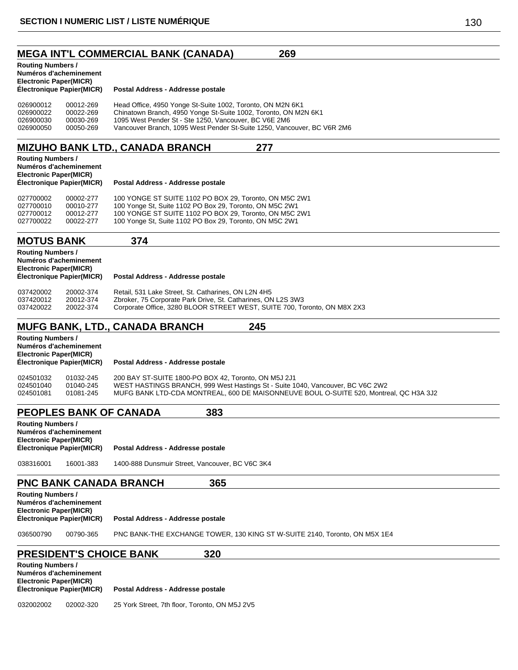| 269<br><b>MEGA INT'L COMMERCIAL BANK (CANADA)</b>                                                                                                                                                                                                                                                                                                                         |
|---------------------------------------------------------------------------------------------------------------------------------------------------------------------------------------------------------------------------------------------------------------------------------------------------------------------------------------------------------------------------|
| <b>Routing Numbers /</b><br>Numéros d'acheminement<br><b>Electronic Paper(MICR)</b><br>Électronique Papier(MICR)<br>Postal Address - Addresse postale                                                                                                                                                                                                                     |
| 026900012<br>Head Office, 4950 Yonge St-Suite 1002, Toronto, ON M2N 6K1<br>00012-269<br>Chinatown Branch, 4950 Yonge St-Suite 1002, Toronto, ON M2N 6K1<br>026900022<br>00022-269<br>1095 West Pender St - Ste 1250, Vancouver, BC V6E 2M6<br>026900030<br>00030-269<br>026900050<br>00050-269<br>Vancouver Branch, 1095 West Pender St-Suite 1250, Vancouver, BC V6R 2M6 |
| <b>MIZUHO BANK LTD., CANADA BRANCH</b><br>277                                                                                                                                                                                                                                                                                                                             |
| <b>Routing Numbers /</b><br>Numéros d'acheminement<br><b>Electronic Paper(MICR)</b><br>Électronique Papier(MICR)<br>Postal Address - Addresse postale                                                                                                                                                                                                                     |
| 027700002<br>00002-277<br>100 YONGE ST SUITE 1102 PO BOX 29, Toronto, ON M5C 2W1<br>100 Yonge St, Suite 1102 PO Box 29, Toronto, ON M5C 2W1<br>027700010<br>00010-277<br>100 YONGE ST SUITE 1102 PO BOX 29, Toronto, ON M5C 2W1<br>027700012<br>00012-277<br>100 Yonge St, Suite 1102 PO Box 29, Toronto, ON M5C 2W1<br>027700022<br>00022-277                            |
| 374<br><b>MOTUS BANK</b>                                                                                                                                                                                                                                                                                                                                                  |
| <b>Routing Numbers /</b><br>Numéros d'acheminement<br><b>Electronic Paper(MICR)</b><br>Électronique Papier(MICR)<br>Postal Address - Addresse postale                                                                                                                                                                                                                     |
| Retail, 531 Lake Street, St. Catharines, ON L2N 4H5<br>037420002<br>20002-374<br>037420012<br>20012-374<br>Zbroker, 75 Corporate Park Drive, St. Catharines, ON L2S 3W3<br>037420022<br>Corporate Office, 3280 BLOOR STREET WEST, SUITE 700, Toronto, ON M8X 2X3<br>20022-374                                                                                             |
| <b>MUFG BANK, LTD., CANADA BRANCH</b><br>245                                                                                                                                                                                                                                                                                                                              |
| <b>Routing Numbers /</b><br>Numéros d'acheminement<br><b>Electronic Paper(MICR)</b><br>Électronique Papier(MICR)<br>Postal Address - Addresse postale                                                                                                                                                                                                                     |
| 200 BAY ST-SUITE 1800-PO BOX 42, Toronto, ON M5J 2J1<br>024501032<br>01032-245<br>WEST HASTINGS BRANCH, 999 West Hastings St - Suite 1040, Vancouver, BC V6C 2W2<br>024501040<br>01040-245<br>MUFG BANK LTD-CDA MONTREAL, 600 DE MAISONNEUVE BOUL O-SUITE 520, Montreal, QC H3A 3J2<br>024501081<br>01081-245                                                             |
| <b>PEOPLES BANK OF CANADA</b><br>383<br><b>Routing Numbers /</b>                                                                                                                                                                                                                                                                                                          |

| <b>Routing Numbers /</b><br>Numéros d'acheminement<br><b>Electronic Paper(MICR)</b> |                           |                                                 |
|-------------------------------------------------------------------------------------|---------------------------|-------------------------------------------------|
|                                                                                     | Électronique Papier(MICR) | Postal Address - Addresse postale               |
| 038316001                                                                           | 16001-383                 | 1400-888 Dunsmuir Street, Vancouver, BC V6C 3K4 |

# **PNC BANK CANADA BRANCH 365**

|                                                                                                                  | <u>FING DAINN GANADA DNANGH</u><br>JUJ |                                                                            |  |  |
|------------------------------------------------------------------------------------------------------------------|----------------------------------------|----------------------------------------------------------------------------|--|--|
| <b>Routing Numbers /</b><br>Numéros d'acheminement<br><b>Electronic Paper(MICR)</b><br>Électronique Papier(MICR) |                                        | Postal Address - Addresse postale                                          |  |  |
| 036500790                                                                                                        | 00790-365                              | PNC BANK-THE EXCHANGE TOWER, 130 KING ST W-SUITE 2140, Toronto, ON M5X 1E4 |  |  |

# **PRESIDENT'S CHOICE BANK 320**

| <b>Routing Numbers /</b><br>Numéros d'acheminement<br><b>Electronic Paper(MICR)</b> |           |                                                |
|-------------------------------------------------------------------------------------|-----------|------------------------------------------------|
| Électronique Papier(MICR)                                                           |           | Postal Address - Addresse postale              |
| 032002002                                                                           | 02002-320 | 25 York Street, 7th floor, Toronto, ON M5J 2V5 |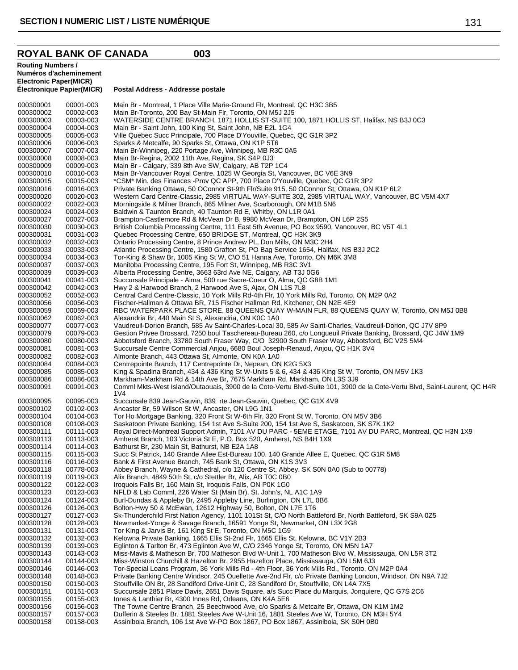#### **ROYAL BANK OF CANADA 003**

**Routing Numbers /**

```
Numéros d'acheminement
Electronic Paper(MICR)
Électronique Papier(MICR) Postal Address - Addresse postale
000300001 00001-003 Main Br - Montreal, 1 Place Ville Marie-Ground Flr, Montreal, QC H3C 3B5<br>000300002 00002-003 Main Br-Toronto, 200 Bay St-Main Flr, Toronto, ON M5J 2.15
000300002  00002-003  Main Br-Toronto, 200 Bay St-Main Flr, Toronto, ON M5J 2J5<br>000300003  00003-003  WATERSIDE CENTRE BRANCH, 1871 HOLLIS ST-SUITE
000300003 00003-003 WATERSIDE CENTRE BRANCH, 1871 HOLLIS ST-SUITE 100, 1871 HOLLIS ST, Halifax, NS B3J 0C3<br>000300004 00004-003 Main Br - Saint John. 100 King St. Saint John. NB E2L 1G4
000300004 00004-003 Main Br - Saint John, 100 King St, Saint John, NB E2L 1G4
000300005 00005-003 Ville Quebec Succ Principale, 700 Place D'Youville, Quebec, QC G1R 3P2<br>000300006 00006-003 Sparks & Metcalfe, 90 Sparks St, Ottawa, ON K1P 5T6
000300006  00006-003  Sparks & Metcalfe, 90 Sparks St, Ottawa, ON K1P 5T6<br>000300007  00007-003  Main Br-Winnipeg, 220 Portage Ave, Winnipeg, MB R3
000300007 00007-003 Main Br-Winnipeg, 220 Portage Ave, Winnipeg, MB R3C 0A5
000300008 00008-003 Main Br-Regina, 2002 11th Ave, Regina, SK S4P 0J3
                                          Main Br - Calgary, 339 8th Ave SW, Calgary, AB T2P 1C4
000300010 00010-003 Main Br-Vancouver Royal Centre, 1025 W Georgia St, Vancouver, BC V6E 3N9<br>000300015 00015-003 *CSM* Min. des Finances -Prov QC APP, 700 Place D'Youville, Quebec, QC G1
000300015 00015-003 *CSM* Min. des Finances -Prov QC APP, 700 Place D'Youville, Quebec, QC G1R 3P2<br>000300016 00016-003 Private Banking Ottawa, 50 OConnor St-9th Flr/Suite 915, 50 OConnor St, Ottawa, ON
000300016 00016-003 Private Banking Ottawa, 50 OConnor St-9th Flr/Suite 915, 50 OConnor St, Ottawa, ON K1P 6L2<br>000300020 00020-003 Western Card Centre-Classic, 2985 VIRTUAL WAY-SUITE 302, 2985 VIRTUAL WAY, Vancouve
000300020 00020-003 Western Card Centre-Classic, 2985 VIRTUAL WAY-SUITE 302, 2985 VIRTUAL WAY, Vancouver, BC V5M 4X7<br>000300022 00022-003 Morningside & Milner Branch, 865 Milner Ave, Scarborough, ON M1B 5N6
                                          Morningside & Milner Branch, 865 Milner Ave, Scarborough, ON M1B 5N6
000300024 00024-003 Baldwin & Taunton Branch, 40 Taunton Rd E, Whitby, ON L1R 0A1
000300027 00027-003 Brampton-Castlemore Rd & McVean Dr B, 9980 McVean Dr, Brampton, ON L6P 2S5
000300030 00030-003 British Columbia Processing Centre, 111 East 5th Avenue, PO Box 9590, Vancouver, BC V5T 4L1<br>000300031 00031-003 Quebec Processing Centre, 650 BRIDGE ST, Montreal, QC H3K 3K9
000300031 00031-003 Quebec Processing Centre, 650 BRIDGE ST, Montreal, QC H3K 3K9
000300032 00032-003   Contario Processing Centre, 8 Prince Andrew PL, Don Mills, ON M3C 2H4<br>000300033   00033-003   Atlantic Processing Centre, 1580 Grafton St, PO Bag Service 1654, Halifa
000300033 00033-003 Atlantic Processing Centre, 1580 Grafton St, PO Bag Service 1654, Halifax, NS B3J 2C2<br>000300034 00034-003 Tor-King & Shaw Br, 1005 King St W, C\O 51 Hanna Ave, Toronto, ON M6K 3M8
000300034  00034-003  Tor-King & Shaw Br, 1005 King St W, C\O 51 Hanna Ave, Toronto, ON M6K 3M8<br>000300037  00037-003  Manitoba Processing Centre, 195 Fort St, Winnipeg, MB R3C 3V1
000300037 00037-003 Manitoba Processing Centre, 195 Fort St, Winnipeg, MB R3C 3V1
000300039 00039-003 Alberta Processing Centre, 3663 63rd Ave NE, Calgary, AB T3J 0G6
000300041 00041-003 Succursale Principale - Alma, 500 rue Sacre-Coeur O, Alma, QC G8B 1M1<br>000300042 00042-003 Hwy 2 & Harwood Branch, 2 Harwood Ave S, Ajax, ON L1S 7L8
000300042 00042-003 Hwy 2 & Harwood Branch, 2 Harwood Ave S, Ajax, ON L1S 7L8<br>000300052 00052-003 Central Card Centre-Classic. 10 York Mills Rd-4th Flr. 10 York M
000300052 00052-003 Central Card Centre-Classic, 10 York Mills Rd-4th Flr, 10 York Mills Rd, Toronto, ON M2P 0A2<br>000300056 00056-003 Fischer-Hallman & Ottawa BR, 715 Fischer Hallman Rd, Kitchener, ON N2E 4E9
000300056 00056-003 Fischer-Hallman & Ottawa BR, 715 Fischer Hallman Rd, Kitchener, ON N2E 4E9<br>000300059 00059-003 RBC WATERPARK PLACE STORE, 88 QUEENS QUAY W-MAIN FLR, 88 QUEI
000300059 00059-003 RBC WATERPARK PLACE STORE, 88 QUEENS QUAY W-MAIN FLR, 88 QUEENS QUAY W, Toronto, ON M5J 0B8<br>000300062 00062-003 Alexandria Br. 440 Main St S. Alexandria. ON K0C 1A0
000300062 00062-003 Alexandria Br, 440 Main St S, Alexandria, ON K0C 1A0
000300077 00077-003 Vaudreuil-Dorion Branch, 585 Av Saint-Charles-Local 30, 585 Av Saint-Charles, Vaudreuil-Dorion, QC J7V 8P9<br>000300079 00079-003 Gestion Privee Brossard. 7250 boul Taschereau-Bureau 260. c/o Longueuil Pri
                                          Gestion Privee Brossard, 7250 boul Taschereau-Bureau 260, c/o Longueuil Private Banking, Brossard, QC J4W 1M9
000300080 00080-003 Abbotsford Branch, 33780 South Fraser Way, C/O 32900 South Fraser Way, Abbotsford, BC V2S 5M4<br>000300081 00081-003 Succursale Centre Commercial Anjou, 6680 Boul Joseph-Renaud, Anjou, QC H1K 3V4
                                          Succursale Centre Commercial Anjou, 6680 Boul Joseph-Renaud, Anjou, QC H1K 3V4
000300082 00082-003 Almonte Branch, 443 Ottawa St, Almonte, ON K0A 1A0
000300084 00084-003 Centrepointe Branch, 117 Centrepointe Dr, Nepean, ON K2G 5X3<br>000300085 00085-003 King & Spadina Branch, 434 & 436 King St W-Units 5 & 6, 434 & 4
                                          King & Spadina Branch, 434 & 436 King St W-Units 5 & 6, 434 & 436 King St W, Toronto, ON M5V 1K3
000300086 00086-003 Markham-Markham Rd & 14th Ave Br, 7675 Markham Rd, Markham, ON L3S 3J9
                                          Comml Mkts-West Island/Outaouais, 3900 de la Cote-Vertu Blvd-Suite 101, 3900 de la Cote-Vertu Blvd, Saint-Laurent, QC H4R
                                          1V4
000300095 00095-003 Succursale 839 Jean-Gauvin, 839 rte Jean-Gauvin, Quebec, QC G1X 4V9<br>000300102 00102-003 Ancaster Br, 59 Wilson St W, Ancaster, ON L9G 1N1
000300102 00102-003 Ancaster Br, 59 Wilson St W, Ancaster, ON L9G 1N1
000300104 00104-003 Tor Ho Mortgage Banking, 320 Front St W-6th Flr, 320 Front St W, Toronto, ON M5V 3B6<br>000300108 00108-003 Saskatoon Private Banking, 154 1st Ave S-Suite 200, 154 1st Ave S, Saskatoon, SK S7K
000300108 00108-003 Saskatoon Private Banking, 154 1st Ave S-Suite 200, 154 1st Ave S, Saskatoon, SK S7K 1K2<br>000300111 00111-003 Roval Direct-Montreal Support Admin. 7101 AV DU PARC - 5EME ETAGE. 7101 AV DU PAR
                                          Royal Direct-Montreal Support Admin, 7101 AV DU PARC - 5EME ETAGE, 7101 AV DU PARC, Montreal, QC H3N 1X9
000300113 00113-003 Amherst Branch, 103 Victoria St E, P.O. Box 520, Amherst, NS B4H 1X9
000300114 00114-003 Bathurst Br, 230 Main St, Bathurst, NB E2A 1A8
000300115 00115-003 Succ St Patrick, 140 Grande Allee Est-Bureau 100, 140 Grande Allee E, Quebec, QC G1R 5M8<br>000300116 00116-003 Bank & First Avenue Branch, 745 Bank St, Ottawa, ON K1S 3V3
000300116 00116-003 Bank & First Avenue Branch, 745 Bank St, Ottawa, ON K1S 3V3
                                          Abbey Branch, Wayne & Cathedral, c/o 120 Centre St, Abbey, SK S0N 0A0 (Sub to 00778)
000300119 00119-003 Alix Branch, 4849 50th St, c/o Stettler Br, Alix, AB T0C 0B0
000300122 00122-003 Iroquois Falls Br, 160 Main St, Iroquois Falls, ON P0K 1G0
000300123 00123-003 NFLD & Lab Comml, 226 Water St (Main Br), St. John's, NL A1C 1A9<br>000300124 00124-003 Burl-Dundas & Appleby Br, 2495 Appleby Line, Burlington, ON L7L 0B
000300124 00124-003 Burl-Dundas & Appleby Br, 2495 Appleby Line, Burlington, ON L7L 0B6
000300126   00126-003   Bolton-Hwy 50 & McEwan, 12612 Highway 50, Bolton, ON L7E 1T6<br>000300127   00127-003   Sk-Thunderchild First Nation Agency, 1101 101St St, C/O North Batt
000300127 00127-003 Sk-Thunderchild First Nation Agency, 1101 101St St, C/O North Battleford Br, North Battleford, SK S9A 0Z5<br>000300128 00128-003 Newmarket-Yonge & Savage Branch. 16591 Yonge St. Newmarket. ON L3X 2G8
000300128 00128-003 Newmarket-Yonge & Savage Branch, 16591 Yonge St, Newmarket, ON L3X 2G8<br>000300131 00131-003 Tor King & Jarvis Br, 161 King St E, Toronto, ON M5C 1G9
000300131 00131-003 Tor King & Jarvis Br, 161 King St E, Toronto, ON M5C 1G9
000300132 00132-003 Kelowna Private Banking, 1665 Ellis St-2nd Flr, 1665 Ellis St, Kelowna, BC V1Y 2B3<br>000300139 00139-003 Eglinton & Tarlton Br, 473 Eglinton Ave W, C/O 2346 Yonge St, Toronto, ON M5N 1A
000300139 00139-003 Eglinton & Tarlton Br, 473 Eglinton Ave W, C/O 2346 Yonge St, Toronto, ON M5N 1A7<br>000300143 00143-003 Miss-Mavis & Matheson Br, 700 Matheson Blvd W-Unit 1, 700 Matheson Blvd W, Missis
000300143 00143-003 Miss-Mavis & Matheson Br, 700 Matheson Blvd W-Unit 1, 700 Matheson Blvd W, Mississauga, ON L5R 3T2<br>000300144 00144-003 Miss-Winston Churchill & Hazelton Br. 2955 Hazelton Place. Mississauga. ON L5M 6J3
                                          Miss-Winston Churchill & Hazelton Br, 2955 Hazelton Place, Mississauga, ON L5M 6J3
000300146 00146-003 Tor-Special Loans Program, 36 York Mills Rd - 4th Floor, 36 York Mills Rd., Toronto, ON M2P 0A4<br>000300148 00148-003 Private Banking Centre Windsor, 245 Ouellette Ave-2nd Flr, c/o Private Banking London,
000300148 00148-003 Private Banking Centre Windsor, 245 Ouellette Ave-2nd Flr, c/o Private Banking London, Windsor, ON N9A 7J2<br>000300150 00150-003 Stouffville ON Br. 28 Sandiford Drive-Unit C. 28 Sandiford Dr. Stouffville.
000300150 00150-003 Stouffville ON Br, 28 Sandiford Drive-Unit C, 28 Sandiford Dr, Stouffville, ON L4A 7X5<br>000300151 00151-003 Succursale 2851 Place Davis, 2651 Davis Square, a/s Succ Place du Marquis, Jonqui
000300151 00151-003 Succursale 2851 Place Davis, 2651 Davis Square, a/s Succ Place du Marquis, Jonquiere, QC G7S 2C6
                                          Innes & Lanthier Br, 4300 Innes Rd, Orleans, ON K4A 5E6
000300156 00156-003 The Towne Centre Branch, 25 Beechwood Ave, c/o Sparks & Metcalfe Br, Ottawa, ON K1M 1M2<br>000300157 00157-003 Dufferin & Steeles Br, 1881 Steeles Ave W-Unit 16, 1881 Steeles Ave W, Toronto, ON M3H 5Y4
000300157 00157-003 Dufferin & Steeles Br, 1881 Steeles Ave W-Unit 16, 1881 Steeles Ave W, Toronto, ON M3H 5Y4<br>000300158 00158-003 Assiniboia Branch, 106 1st Ave W-PO Box 1867, PO Box 1867, Assiniboia, SK S0H 0B0
                                          Assiniboia Branch, 106 1st Ave W-PO Box 1867, PO Box 1867, Assiniboia, SK S0H 0B0
```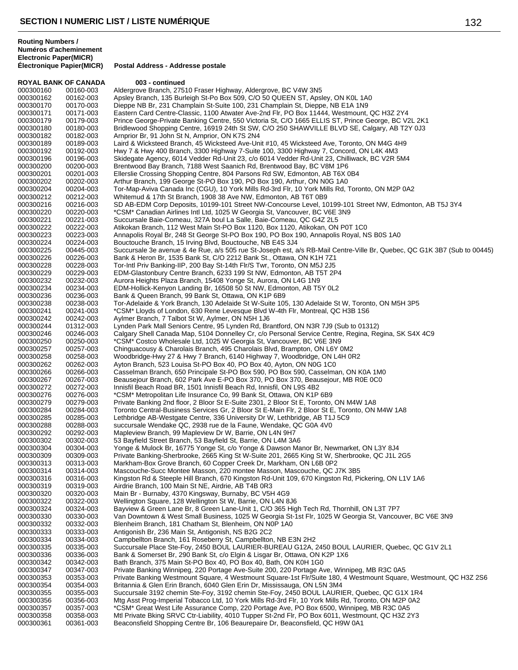| <b>ROYAL BANK OF CANADA</b> |                        | 003 - continued                                                                                                                                   |
|-----------------------------|------------------------|---------------------------------------------------------------------------------------------------------------------------------------------------|
| 000300160                   | 00160-003              | Aldergrove Branch, 27510 Fraser Highway, Aldergrove, BC V4W 3N5                                                                                   |
| 000300162                   | 00162-003              | Apsley Branch, 135 Burleigh St-Po Box 509, C/O 50 QUEEN ST, Apsley, ON K0L 1A0                                                                    |
| 000300170                   | 00170-003              | Dieppe NB Br, 231 Champlain St-Suite 100, 231 Champlain St, Dieppe, NB E1A 1N9                                                                    |
| 000300171                   | 00171-003              | Eastern Card Centre-Classic, 1100 Atwater Ave-2nd Flr, PO Box 11444, Westmount, QC H3Z 2Y4                                                        |
| 000300179                   | 00179-003              | Prince George-Private Banking Centre, 550 Victoria St, C/O 1665 ELLIS ST, Prince George, BC V2L 2K1                                               |
| 000300180                   | 00180-003              | Bridlewood Shopping Centre, 16919 24th St SW, C/O 250 SHAWVILLE BLVD SE, Calgary, AB T2Y 0J3                                                      |
| 000300182                   | 00182-003              | Arnprior Br, 91 John St N, Arnprior, ON K7S 2N4                                                                                                   |
| 000300189                   | 00189-003              | Laird & Wicksteed Branch, 45 Wicksteed Ave-Unit #10, 45 Wicksteed Ave, Toronto, ON M4G 4H9                                                        |
| 000300192                   | 00192-003              | Hwy 7 & Hwy 400 Branch, 3300 Highway 7-Suite 100, 3300 Highway 7, Concord, ON L4K 4M3                                                             |
| 000300196                   | 00196-003              | Skidegate Agency, 6014 Vedder Rd-Unit 23, c/o 6014 Vedder Rd-Unit 23, Chilliwack, BC V2R 5M4                                                      |
| 000300200                   | 00200-003              | Brentwood Bay Branch, 7188 West Saanich Rd, Brentwood Bay, BC V8M 1P6                                                                             |
| 000300201                   | 00201-003              | Ellerslie Crossing Shopping Centre, 804 Parsons Rd SW, Edmonton, AB T6X 0B4                                                                       |
| 000300202                   | 00202-003              | Arthur Branch, 199 George St-PO Box 190, PO Box 190, Arthur, ON N0G 1A0                                                                           |
| 000300204                   | 00204-003              | Tor-Map-Aviva Canada Inc (CGU), 10 York Mills Rd-3rd Flr, 10 York Mills Rd, Toronto, ON M2P 0A2                                                   |
| 000300212                   | 00212-003              | Whitemud & 17th St Branch, 1908 38 Ave NW, Edmonton, AB T6T 0B9                                                                                   |
| 000300216                   | 00216-003              | SD AB-EDM Corp Deposits, 10199-101 Street NW-Concourse Level, 10199-101 Street NW, Edmonton, AB T5J 3Y4                                           |
| 000300220                   | 00220-003              | *CSM* Canadian Airlines Intl Ltd, 1025 W Georgia St, Vancouver, BC V6E 3N9                                                                        |
| 000300221                   | 00221-003              | Succursale Baie-Comeau, 327A boul La Salle, Baie-Comeau, QC G4Z 2L5                                                                               |
| 000300222                   | 00222-003              | Atikokan Branch, 112 West Main St-PO Box 1120, Box 1120, Atikokan, ON P0T 1C0                                                                     |
| 000300223                   | 00223-003              | Annapolis Royal Br, 248 St George St-PO Box 190, PO Box 190, Annapolis Royal, NS BOS 1A0                                                          |
| 000300224                   | 00224-003              | Bouctouche Branch, 15 Irving Blvd, Bouctouche, NB E4S 3J4                                                                                         |
| 000300225                   | 00445-003              | Succursale 3e avenue & 4e Rue, a/s 505 rue St-Joseph est, a/s RB-Mail Centre-Ville Br, Quebec, QC G1K 3B7 (Sub to 00445)                          |
| 000300226                   | 00226-003              | Bank & Heron Br, 1535 Bank St, C/O 2212 Bank St., Ottawa, ON K1H 7Z1                                                                              |
| 000300228                   | 00228-003              | Tor-Intl Priv Banking-IIP, 200 Bay St-14th Flr/S Twr, Toronto, ON M5J 2J5                                                                         |
| 000300229                   | 00229-003              | EDM-Glastonbury Centre Branch, 6233 199 St NW, Edmonton, AB T5T 2P4                                                                               |
| 000300232                   | 00232-003              | Aurora Heights Plaza Branch, 15408 Yonge St, Aurora, ON L4G 1N9                                                                                   |
| 000300234                   | 00234-003              | EDM-Hollick-Kenyon Landing Br, 16508 50 St NW, Edmonton, AB T5Y 0L2                                                                               |
| 000300236                   | 00236-003              | Bank & Queen Branch, 99 Bank St, Ottawa, ON K1P 6B9                                                                                               |
| 000300238                   | 00238-003              | Tor-Adelaide & York Branch, 130 Adelaide St W-Suite 105, 130 Adelaide St W, Toronto, ON M5H 3P5                                                   |
| 000300241                   | 00241-003              | *CSM* Lloyds of London, 630 Rene Levesque Blvd W-4th Flr, Montreal, QC H3B 1S6                                                                    |
| 000300242                   | 00242-003              | Aylmer Branch, 7 Talbot St W, Aylmer, ON N5H 1J6                                                                                                  |
| 000300244                   | 01312-003              | Lynden Park Mall Seniors Centre, 95 Lynden Rd, Brantford, ON N3R 7J9 (Sub to 01312)                                                               |
| 000300246                   | 00246-003              | Calgary Shell Canada Map, 5104 Donnelley Cr, c/o Personal Service Centre, Regina, Regina, SK S4X 4C9                                              |
| 000300250                   | 00250-003<br>00257-003 | *CSM* Costco Wholesale Ltd, 1025 W Georgia St, Vancouver, BC V6E 3N9<br>Chinguacousy & Charolais Branch, 495 Charolais Blvd, Brampton, ON L6Y 0M2 |
| 000300257<br>000300258      | 00258-003              | Woodbridge-Hwy 27 & Hwy 7 Branch, 6140 Highway 7, Woodbridge, ON L4H 0R2                                                                          |
| 000300262                   | 00262-003              | Ayton Branch, 523 Louisa St-PO Box 40, PO Box 40, Ayton, ON N0G 1C0                                                                               |
| 000300266                   | 00266-003              | Casselman Branch, 650 Principale St-PO Box 590, PO Box 590, Casselman, ON K0A 1M0                                                                 |
| 000300267                   | 00267-003              | Beausejour Branch, 602 Park Ave E-PO Box 370, PO Box 370, Beausejour, MB R0E 0C0                                                                  |
| 000300272                   | 00272-003              | Innisfil Beach Road BR, 1501 Innisfil Beach Rd, Innisfil, ON L9S 4B2                                                                              |
| 000300276                   | 00276-003              | *CSM* Metropolitan Life Insurance Co, 99 Bank St, Ottawa, ON K1P 6B9                                                                              |
| 000300279                   | 00279-003              | Private Banking 2nd floor, 2 Bloor St E-Suite 2301, 2 Bloor St E, Toronto, ON M4W 1A8                                                             |
| 000300284                   | 00284-003              | Toronto Central-Business Services Gr, 2 Bloor St E-Main Flr, 2 Bloor St E, Toronto, ON M4W 1A8                                                    |
| 000300285                   | 00285-003              | Lethbridge AB-Westgate Centre, 336 University Dr W, Lethbridge, AB T1J 5C9                                                                        |
| 000300288                   | 00288-003              | succursale Wendake QC, 2938 rue de la Faune, Wendake, QC G0A 4V0                                                                                  |
| 000300292                   | 00292-003              | Mapleview Branch, 99 Mapleview Dr W, Barrie, ON L4N 9H7                                                                                           |
| 000300302                   | 00302-003              | 53 Bayfield Street Branch, 53 Bayfield St, Barrie, ON L4M 3A6                                                                                     |
| 000300304                   | 00304-003              | Yonge & Mulock Br, 16775 Yonge St, c/o Yonge & Dawson Manor Br, Newmarket, ON L3Y 8J4                                                             |
| 000300309                   | 00309-003              | Private Banking-Sherbrooke, 2665 King St W-Suite 201, 2665 King St W, Sherbrooke, QC J1L 2G5                                                      |
| 000300313                   | 00313-003              | Markham-Box Grove Branch, 60 Copper Creek Dr, Markham, ON L6B 0P2                                                                                 |
| 000300314                   | 00314-003              | Mascouche-Succ Montee Masson, 220 montee Masson, Mascouche, QC J7K 3B5                                                                            |
| 000300316                   | 00316-003              | Kingston Rd & Steeple Hill Branch, 670 Kingston Rd-Unit 109, 670 Kingston Rd, Pickering, ON L1V 1A6                                               |
| 000300319                   | 00319-003              | Airdrie Branch, 100 Main St NE, Airdrie, AB T4B 0R3                                                                                               |
| 000300320                   | 00320-003              | Main Br - Burnaby, 4370 Kingsway, Burnaby, BC V5H 4G9                                                                                             |
| 000300322                   | 00322-003              | Wellington Square, 128 Wellington St W, Barrie, ON L4N 8J6                                                                                        |
| 000300324                   | 00324-003              | Bayview & Green Lane Br, 8 Green Lane-Unit 1, C/O 365 High Tech Rd, Thornhill, ON L3T 7P7                                                         |
| 000300330                   | 00330-003              | Van Downtown & West Small Business, 1025 W Georgia St-1st Flr, 1025 W Georgia St, Vancouver, BC V6E 3N9                                           |
| 000300332                   | 00332-003              | Blenheim Branch, 181 Chatham St, Blenheim, ON N0P 1A0                                                                                             |
| 000300333                   | 00333-003              | Antigonish Br, 236 Main St, Antigonish, NS B2G 2C2                                                                                                |
| 000300334                   | 00334-003              | Campbellton Branch, 161 Roseberry St, Campbellton, NB E3N 2H2                                                                                     |
| 000300335                   | 00335-003              | Succursale Place Ste-Foy, 2450 BOUL LAURIER-BUREAU G12A, 2450 BOUL LAURIER, Quebec, QC G1V 2L1                                                    |
| 000300336                   | 00336-003              | Bank & Somerset Br, 290 Bank St, c/o Elgin & Lisgar Br, Ottawa, ON K2P 1X6                                                                        |
| 000300342                   | 00342-003              | Bath Branch, 375 Main St-PO Box 40, PO Box 40, Bath, ON K0H 1G0                                                                                   |
| 000300347                   | 00347-003              | Private Banking Winnipeg, 220 Portage Ave-Suite 200, 220 Portage Ave, Winnipeg, MB R3C 0A5                                                        |
| 000300353                   | 00353-003              | Private Banking Westmount Square, 4 Westmount Square-1st Flr/Suite 180, 4 Westmount Square, Westmount, QC H3Z 2S6                                 |
| 000300354                   | 00354-003              | Britannia & Glen Erin Branch, 6040 Glen Erin Dr, Mississauga, ON L5N 3M4                                                                          |
| 000300355                   | 00355-003              | Succursale 3192 chemin Ste-Foy, 3192 chemin Ste-Foy, 2450 BOUL LAURIER, Quebec, QC G1X 1R4                                                        |
| 000300356                   | 00356-003              | Mtg Asst Prog-Imperial Tobacco Ltd, 10 York Mills Rd-3rd Flr, 10 York Mills Rd, Toronto, ON M2P 0A2                                               |
| 000300357                   | 00357-003              | *CSM* Great West Life Assurance Comp, 220 Portage Ave, PO Box 6500, Winnipeg, MB R3C 0A5                                                          |
| 000300358                   | 00358-003              | Mtl Private Bking SRVC Ctr-Liability, 4010 Tupper St-2nd Flr, PO Box 6011, Westmount, QC H3Z 2Y3                                                  |
| 000300361                   | 00361-003              | Beaconsfield Shopping Centre Br, 106 Beaurepaire Dr, Beaconsfield, QC H9W 0A1                                                                     |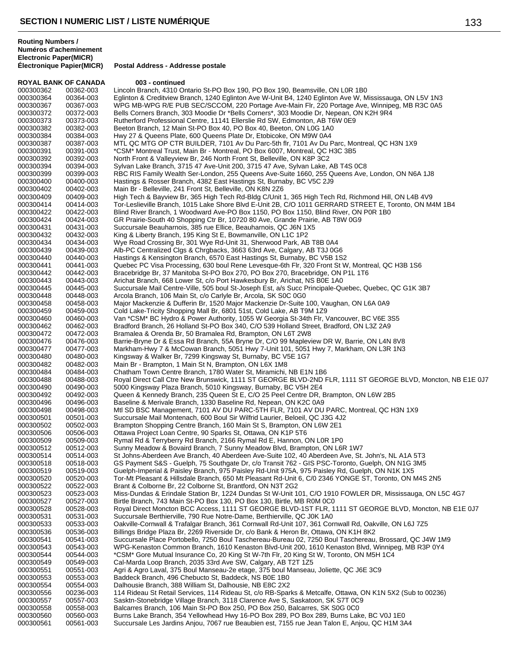**ROYAL BANK OF CANADA 003 - continued** 000300362 00362-003 Lincoln Branch, 4310 Ontario St-PO Box 190, PO Box 190, Beamsville, ON L0R 1B0<br>000300364 00364-003 Eglinton & Creditview Branch, 1240 Eglinton Ave W-Unit B4, 1240 Eglinton Ave W, M 000300364 00364-003 Eglinton & Creditview Branch, 1240 Eglinton Ave W-Unit B4, 1240 Eglinton Ave W, Mississauga, ON L5V 1N3<br>000300367 00367-003 WPG MB-WPG R/E PUB SEC/SCCOM. 220 Portage Ave-Main Flr. 220 Portage Ave. Winni WPG MB-WPG R/E PUB SEC/SCCOM, 220 Portage Ave-Main Flr, 220 Portage Ave, Winnipeg, MB R3C 0A5 000300372 00372-003 Bells Corners Branch, 303 Moodie Dr \*Bells Corners\*, 303 Moodie Dr, Nepean, ON K2H 9R4<br>000300373 00373-003 Rutherford Professional Centre, 11141 Ellerslie Rd SW, Edmonton, AB T6W 0E9 000300373 00373-003 Rutherford Professional Centre, 11141 Ellerslie Rd SW, Edmonton, AB T6W 0E9<br>000300382 00382-003 Beeton Branch. 12 Main St-PO Box 40. PO Box 40. Beeton. ON L0G 1A0 000300382 00382-003 Beeton Branch, 12 Main St-PO Box 40, PO Box 40, Beeton, ON L0G 1A0 000300384 00384-003 Hwy 27 & Queens Plate, 600 Queens Plate Dr, Etobicoke, ON M9W 0A4<br>000300387 00387-003 MTL QC MTG OP CTR BUILDER, 7101 Av Du Parc-5th flr. 7101 Av Du F MTL QC MTG OP CTR BUILDER, 7101 Av Du Parc-5th flr, 7101 Av Du Parc, Montreal, QC H3N 1X9 000300391 00391-003 \*CSM\* Montreal Trust, Main Br - Montreal, PO Box 6007, Montreal, QC H3C 3B5<br>000300392 00392-003 North Front & Valleyview Br, 246 North Front St, Belleville, ON K8P 3C2 000300392 00392-003 North Front & Valleyview Br, 246 North Front St, Belleville, ON K8P 3C2 000300394 00394-003 Sylvan Lake Branch, 3715 47 Ave-Unit 200, 3715 47 Ave, Sylvan Lake, AB T4S 0C8 000300399 00399-003 RBC RIS Family Wealth Ser-London, 255 Queens Ave-Suite 1660, 255 Queens Ave, London, ON N6A 1J8<br>000300400 00400-003 Hastings & Rosser Branch. 4382 East Hastings St. Burnaby. BC V5C 2J9 000300400 00400-003 Hastings & Rosser Branch, 4382 East Hastings St, Burnaby, BC V5C 2J9<br>000300402 00402-003 Main Br - Belleville, 241 Front St, Belleville, ON K8N 2Z6 000300402 00402-003 Main Br - Belleville, 241 Front St, Belleville, ON K8N 2Z6 000300409 00409-003 High Tech & Bayview Br, 365 High Tech Rd-Bldg C/Unit 1, 365 High Tech Rd, Richmond Hill, ON L4B 4V9<br>000300414 00414-003 Tor-Leslieville Branch, 1015 Lake Shore Blvd E-Unit 2B, C/O 1011 GERRARD STREET E, 000300414 00414-003 Tor-Leslieville Branch, 1015 Lake Shore Blvd E-Unit 2B, C/O 1011 GERRARD STREET E, Toronto, ON M4M 1B4<br>000300422 00422-003 Blind River Branch, 1 Woodward Ave-PO Box 1150, PO Box 1150, Blind River, ON P0 000300422 00422-003 Blind River Branch, 1 Woodward Ave-PO Box 1150, PO Box 1150, Blind River, ON P0R 1B0<br>000300424 00424-003 GR Prairie-South 40 Shopping Ctr Br, 10720 80 Ave, Grande Prairie, AB T8W 0G9 000300424 00424-003 GR Prairie-South 40 Shopping Ctr Br, 10720 80 Ave, Grande Prairie, AB T8W 0G9<br>000300431 00431-003 Succursale Beauharnois, 385 rue Ellice, Beauharnois, QC J6N 1X5 000300431 00431-003 Succursale Beauharnois, 385 rue Ellice, Beauharnois, QC J6N 1X5 000300432 00432-003 King & Liberty Branch, 195 King St E, Bowmanville, ON L1C 1P2 000300434 00434-003 Wye Road Crossing Br, 301 Wye Rd-Unit 31, Sherwood Park, AB T8B 0A4<br>000300439 00439-003 Alb-PC Centralized Clgs & Chrgbacks, 3663 63rd Ave, Calgary, AB T3J 0G 000300439 00439-003 Alb-PC Centralized Clgs & Chrgbacks, 3663 63rd Ave, Calgary, AB T3J 0G6 000300440 00440-003 Hastings & Kensington Branch, 6570 East Hastings St, Burnaby, BC V5B 1S2<br>000300441 00441-003 Quebec PC Visa Processing, 630 boul Rene Levesque-6th Flr, 320 Front St W 000300441 00441-003 Quebec PC Visa Processing, 630 boul Rene Levesque-6th Flr, 320 Front St W, Montreal, QC H3B 1S6<br>000300442 00442-003 Bracebridge Br. 37 Manitoba St-PO Box 270. PO Box 270. Bracebridge. ON P1L 1T6 Bracebridge Br, 37 Manitoba St-PO Box 270, PO Box 270, Bracebridge, ON P1L 1T6 000300443 00443-003 Arichat Branch, 668 Lower St, c/o Port Hawkesbury Br, Arichat, NS B0E 1A0<br>000300445 00445-003 Succursale Mail Centre-Ville, 505 boul St-Joseph Est, a/s Succ Principale-Qu 000300445 00445-003 Succursale Mail Centre-Ville, 505 boul St-Joseph Ést, a/s Succ Principale-Quebec, Quebec, QC G1K 3B7<br>000300448 00448-003 Arcola Branch. 106 Main St. c/o Carlyle Br. Arcola. SK S0C 0G0 000300448 00448-003 Arcola Branch, 106 Main St, c/o Carlyle Br, Arcola, SK S0C 0G0 000300458 00458-003 Major Mackenzie & Dufferin Br, 1520 Major Mackenzie Dr-Suite 100, Vaughan, ON L6A 0A9<br>000300459 00459-003 Cold Lake-Tricity Shopping Mall Br. 6801 51st. Cold Lake. AB T9M 1Z9 Cold Lake-Tricity Shopping Mall Br, 6801 51st, Cold Lake, AB T9M 1Z9 000300460 00460-003 Van \*CSM\* BC Hydro & Power Authority, 1055 W Georgia St-34th Flr, Vancouver, BC V6E 3S5<br>000300462 00462-003 Bradford Branch, 26 Holland St-PO Box 340, C/O 539 Holland Street, Bradford, ON L3Z 2A9 000300462 00462-003 Bradford Branch, 26 Holland St-PO Box 340, C/O 539 Holland Street, Bradford, ON L3Z 2A9<br>000300472 00472-003 Bramalea & Orenda Br, 50 Bramalea Rd, Brampton, ON L6T 2W8 000300472 00472-003 Bramalea & Orenda Br, 50 Bramalea Rd, Brampton, ON L6T 2W8 000300476 00476-003 Barrie-Bryne Dr & Essa Rd Branch, 55A Bryne Dr, C/O 99 Mapleview DR W, Barrie, ON L4N 8V8<br>000300477 00477-003 Markham-Hwv 7 & McCowan Branch, 5051 Hwv 7-Unit 101, 5051 Hwv 7, Markham, ON L3R 1N3 000300477 00477-003 Markham-Hwy 7 & McCowan Branch, 5051 Hwy 7-Unit 101, 5051 Hwy 7, Markham, ON L3R 1N3<br>000300480 00480-003 Kingsway & Walker Br, 7299 Kingsway St, Burnaby, BC V5E 1G7 000300480 00480-003 Kingsway & Walker Br, 7299 Kingsway St, Burnaby, BC V5E 1G7<br>000300482 00482-003 Main Br - Brampton, 1 Main St N, Brampton, ON L6X 1M8 000300482 00482-003 Main Br - Brampton, 1 Main St N, Brampton, ON L6X 1M8 000300484 00484-003 Chatham Town Centre Branch, 1780 Water St, Miramichi, NB E1N 1B6<br>000300488 00488-003 Royal Direct Call Ctre New Brunswick, 1111 ST GEORGE BLVD-2ND F 000300488 00488-003 Royal Direct Call Ctre New Brunswick, 1111 ST GEORGE BLVD-2ND FLR, 1111 ST GEORGE BLVD, Moncton, NB E1E 0J7<br>000300490 00490-003 5000 Kingsway Plaza Branch, 5010 Kingsway, Burnaby, BC V5H 2F4 000300490 00490-003 5000 Kingsway Plaza Branch, 5010 Kingsway, Burnaby, BC V5H 2E4 000300492 00492-003 Queen & Kennedy Branch, 235 Queen St E, C/O 25 Peel Centre DR, Brampton, ON L6W 2B5<br>000300496 00496-003 Baseline & Merivale Branch. 1330 Baseline Rd. Nepean. ON K2C 0A9 000300496 00496-003 Baseline & Merivale Branch, 1330 Baseline Rd, Nepean, ON K2C 0A9<br>000300498 00498-003 Mtl SD BSC Management, 7101 AV DU PARC-5TH FLR, 7101 AV DU 000300498 00498-003 Mtl SD BSC Management, 7101 AV DU PARC-5TH FLR, 7101 AV DU PARC, Montreal, QC H3N 1X9<br>000300501 00501-003 Succursale Mail Montenach, 600 Boul Sir Wilfrid Laurier, Beloeil, QC J3G 4J2 000300501 00501-003 Succursale Mail Montenach, 600 Boul Sir Wilfrid Laurier, Beloeil, QC J3G 4J2 000300502 00502-003 Brampton Shopping Centre Branch, 160 Main St S, Brampton, ON L6W 2E1<br>000300506 00506-003 Ottawa Project Loan Centre, 90 Sparks St, Ottawa, ON K1P 5T6 000300506 00506-003 Ottawa Project Loan Centre, 90 Sparks St, Ottawa, ON K1P 5T6 Rymal Rd & Terryberry Rd Branch, 2166 Rymal Rd E, Hannon, ON L0R 1P0 000300512 00512-003 Sunny Meadow & Bovaird Branch, 7 Sunny Meadow Blvd, Brampton, ON L6R 1W7 000300514 00514-003 St Johns-Aberdeen Ave Branch, 40 Aberdeen Ave-Suite 102, 40 Aberdeen Ave, St. John's, NL A1A 5T3<br>000300518 00518-003 GS Payment S&S - Guelph. 75 Southgate Dr. c/o Transit 762 - GIS PSC-Toronto. Guelph. 000300518 00518-003 GS Payment S&S - Guelph, 75 Southgate Dr, c/o Transit 762 - GIS PSC-Toronto, Guelph, ON N1G 3M5<br>000300519 00519-003 Guelph-Imperial & Paisley Branch, 975 Paisley Rd-Unit 975A, 975 Paisley Rd, Guelph, ON 000300519 00519-003 Guelph-Imperial & Paisley Branch, 975 Paisley Rd-Unit 975A, 975 Paisley Rd, Guelph, ON N1K 1X5<br>000300520 00520-003 Tor-Mt Pleasant & Hillsdale Branch. 650 Mt Pleasant Rd-Unit 6. C/0 2346 YONGE ST. Toron Tor-Mt Pleasant & Hillsdale Branch, 650 Mt Pleasant Rd-Unit 6, C/0 2346 YONGE ST, Toronto, ON M4S 2N5 000300522 00522-003 Brant & Colborne Br, 22 Colborne St, Brantford, ON N3T 2G2 000300523 00523-003 Miss-Dundas & Erindale Station Br, 1224 Dundas St W-Unit 101, C/O 1910 FOWLER DR, Mississauga, ON L5C 4G7<br>000300527 00527-003 Birtle Branch, 743 Main St-PO Box 130, PO Box 130, Birtle, MB R0M 0C0 000300527 00527-003 Birtle Branch, 743 Main St-PO Box 130, PO Box 130, Birtle, MB R0M 0C0<br>000300528 00528-003 Royal Direct Moncton BCC Access, 1111 ST GEORGE BLVD-1ST FLR, 1 000300528 00528-003 Royal Direct Moncton BCC Access, 1111 ST GEORGE BLVD-1ST FLR, 1111 ST GEORGE BLVD, Moncton, NB E1E 0J7<br>000300531 00531-003 Succursale Berthierville, 790 Rue Notre-Dame, Berthierville, OC J0K 1A0 000300531 00531-003 Succursale Berthierville, 790 Rue Notre-Dame, Berthierville, QC J0K 1A0<br>000300533 00533-003 Oakville-Cornwall & Trafalgar Branch, 361 Cornwall Rd-Unit 107, 361 Cor 000300533 00533-003 Oakville-Cornwall & Trafalgar Branch, 361 Cornwall Rd-Unit 107, 361 Cornwall Rd, Oakville, ON L6J 7Z5<br>000300536 00536-003 Billings Bridge Plaza Br, 2269 Riverside Dr, c/o Bank & Heron Br, Ottawa, ON K1H 000300536 00536-003 Billings Bridge Plaza Br, 2269 Riverside Dr, c/o Bank & Heron Br, Ottawa, ON K1H 8K2 000300541 00541-003 Succursale Place Portobello, 7250 Boul Taschereau-Bureau 02, 7250 Boul Taschereau, Brossard, QC J4W 1M9<br>000300543 00543-003 WPG-Kenaston Common Branch, 1610 Kenaston Blvd-Unit 200, 1610 Kenaston Blvd, W 000300543 00543-003 WPG-Kenaston Common Branch, 1610 Kenaston Blvd-Unit 200, 1610 Kenaston Blvd, Winnipeg, MB R3P 0Y4<br>000300544 00544-003 \*CSM\* Gore Mutual Insurance Co, 20 King St W-7th Flr, 20 King St W, Toronto, ON M5H 000300544 00544-003 \*CSM\* Gore Mutual Insurance Co, 20 King St W-7th Flr, 20 King St W, Toronto, ON M5H 1C4<br>000300549 00549-003 Cal-Marda Loop Branch, 2035 33rd Ave SW, Calgary, AB T2T 1Z5 000300549 00549-003 Cal-Marda Loop Branch, 2035 33rd Ave SW, Calgary, AB T2T 1Z5 000300551 00551-003 Agri & Agro Laval, 375 Boul Manseau-2e etage, 375 boul Manseau, Joliette, QC J6E 3C9 000300553 00553-003 Baddeck Branch, 496 Chebucto St, Baddeck, NS B0E 1B0 000300554 00554-003 Dalhousie Branch, 388 William St, Dalhousie, NB E8C 2X2 000300556 00236-003 114 Rideau St Retail Services, 114 Rideau St, c/o RB-Sparks & Metcalfe, Ottawa, ON K1N 5X2 (Sub to 00236)<br>000300557 00557-003 Sasktn-Stonebridge Village Branch, 3118 Clarence Ave S, Saskatoon, SK S7T 0C 000300557 00557-003 Sasktn-Stonebridge Village Branch, 3118 Clarence Ave S, Saskatoon, SK S7T 0C9 Balcarres Branch, 106 Main St-PO Box 250, PO Box 250, Balcarres, SK S0G 0C0 000300560 00560-003 Burns Lake Branch, 354 Yellowhead Hwy 16-PO Box 289, PO Box 289, Burns Lake, BC V0J 1E0<br>000300561 00561-003 Succursale Les Jardins Anjou, 7067 rue Beaubien est, 7155 rue Jean Talon E, Anjou, QC H1M 3A Succursale Les Jardins Anjou, 7067 rue Beaubien est, 7155 rue Jean Talon E, Anjou, QC H1M 3A4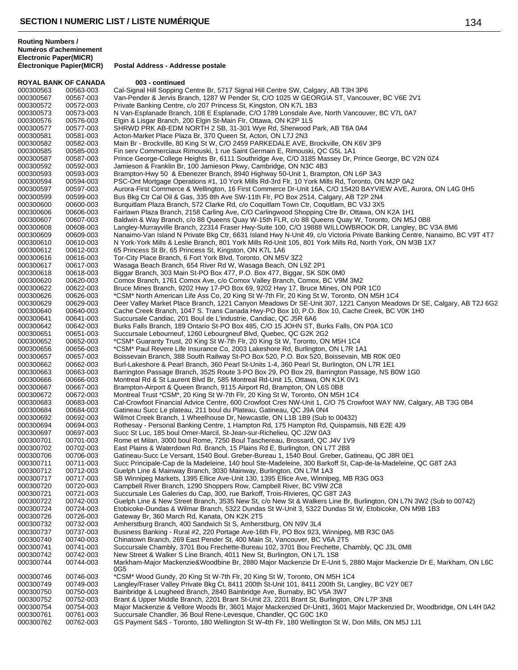| <b>ROYAL BANK OF CANADA</b> |           | 003 - continued                                                                                                                                                                                               |
|-----------------------------|-----------|---------------------------------------------------------------------------------------------------------------------------------------------------------------------------------------------------------------|
| 000300563                   | 00563-003 | Cal-Signal Hill Sopping Centre Br, 5717 Signal Hill Centre SW, Calgary, AB T3H 3P6                                                                                                                            |
| 000300567                   | 00567-003 | Van-Pender & Jervis Branch, 1287 W Pender St, C/O 1025 W GEORGIA ST, Vancouver, BC V6E 2V1                                                                                                                    |
| 000300572                   | 00572-003 | Private Banking Centre, c/o 207 Princess St, Kingston, ON K7L 1B3                                                                                                                                             |
| 000300573                   | 00573-003 | N Van-Esplanade Branch, 108 E Esplanade, C/O 1789 Lonsdale Ave, North Vancouver, BC V7L 0A7                                                                                                                   |
| 000300576                   | 00576-003 | Elgin & Lisgar Branch, 200 Elgin St-Main Flr, Ottawa, ON K2P 1L5                                                                                                                                              |
| 000300577                   | 00577-003 | SHRWD PRK AB-EDM NORTH 2 SB, 31-301 Wye Rd, Sherwood Park, AB T8A 0A4                                                                                                                                         |
| 000300581                   | 00581-003 | Acton-Market Place Plaza Br, 370 Queen St, Acton, ON L7J 2N3                                                                                                                                                  |
| 000300582                   | 00582-003 | Main Br - Brockville, 80 King St W, C/O 2459 PARKEDALE AVE, Brockville, ON K6V 3P9                                                                                                                            |
| 000300585                   | 00585-003 | Fin serv Commerciaux Rimouski, 1 rue Saint Germain E, Rimouski, QC G5L 1A1                                                                                                                                    |
| 000300587                   | 00587-003 | Prince George-College Heights Br, 6111 Southridge Ave, C/O 3185 Massey Dr, Prince George, BC V2N 0Z4                                                                                                          |
| 000300592                   | 00592-003 | Jamieson & Franklin Br, 100 Jamieson Pkwy, Cambridge, ON N3C 4B3                                                                                                                                              |
| 000300593                   | 00593-003 | Brampton-Hwy 50 & Ebenezer Branch, 8940 Highway 50-Unit 1, Brampton, ON L6P 3A3                                                                                                                               |
| 000300594                   | 00594-003 | PSC-Ont Mortgage Operations #1, 10 York Mills Rd-3rd Flr, 10 York Mills Rd, Toronto, ON M2P 0A2                                                                                                               |
| 000300597                   | 00597-003 | Aurora-First Commerce & Wellington, 16 First Commerce Dr-Unit 16A, C/O 15420 BAYVIEW AVE, Aurora, ON L4G 0H5                                                                                                  |
| 000300599                   | 00599-003 | Bus Bkg Ctr Cal Oil & Gas, 335 8th Ave SW-11th Flr, PO Box 2514, Calgary, AB T2P 2N4                                                                                                                          |
|                             |           |                                                                                                                                                                                                               |
| 000300600                   | 00600-003 | Burguitlam Plaza Branch, 572 Clarke Rd, c/o Coguitlam Town Ctr, Coguitlam, BC V3J 3X5                                                                                                                         |
| 000300606                   | 00606-003 | Fairlawn Plaza Branch, 2158 Carling Ave, C/O Carlingwood Shopping Ctre Br, Ottawa, ON K2A 1H1                                                                                                                 |
| 000300607                   | 00607-003 | Baldwin & Way Branch, c/o 88 Queens Quay W-15th FLR, c/o 88 Queens Quay W, Toronto, ON M5J 0B8                                                                                                                |
| 000300608                   | 00608-003 | Langley-Murrayville Branch, 22314 Fraser Hwy-Suite 100, C/O 19888 WILLOWBROOK DR, Langley, BC V3A 8M6                                                                                                         |
| 000300609                   | 00609-003 | Nanaimo-Van Island N Private Bkg Ctr, 6631 Island Hwy N-Unit 49, c/o Victoria Private Banking Centre, Nanaimo, BC V9T 4T7                                                                                     |
| 000300610                   | 00610-003 | N York-York Mills & Leslie Branch, 801 York Mills Rd-Unit 105, 801 York Mills Rd, North York, ON M3B 1X7                                                                                                      |
| 000300612                   | 00612-003 | 65 Princess St Br, 65 Princess St, Kingston, ON K7L 1A6                                                                                                                                                       |
| 000300616                   | 00616-003 | Tor-City Place Branch, 6 Fort York Blvd, Toronto, ON M5V 3Z2                                                                                                                                                  |
| 000300617                   | 00617-003 | Wasaga Beach Branch, 654 River Rd W, Wasaga Beach, ON L9Z 2P1                                                                                                                                                 |
| 000300618                   | 00618-003 | Biggar Branch, 303 Main St-PO Box 477, P.O. Box 477, Biggar, SK S0K 0M0                                                                                                                                       |
| 000300620                   | 00620-003 | Comox Branch, 1761 Comox Ave, c/o Comox Valley Branch, Comox, BC V9M 3M2                                                                                                                                      |
| 000300622                   | 00622-003 | Bruce Mines Branch, 9202 Hwy 17-PO Box 69, 9202 Hwy 17, Bruce Mines, ON P0R 1C0                                                                                                                               |
| 000300626                   | 00626-003 | *CSM* North American Life Ass Co, 20 King St W-7th Flr, 20 King St W, Toronto, ON M5H 1C4                                                                                                                     |
| 000300629                   | 00629-003 | Deer Valley Market Place Branch, 1221 Canyon Meadows Dr SE-Unit 307, 1221 Canyon Meadows Dr SE, Calgary, AB T2J 6G2                                                                                           |
| 000300640                   | 00640-003 | Cache Creek Branch, 1047 S. Trans Canada Hwy-PO Box 10, P.O. Box 10, Cache Creek, BC V0K 1H0                                                                                                                  |
| 000300641                   | 00641-003 | Succursale Candiac, 201 Boul de L'industrie, Candiac, QC J5R 6A6                                                                                                                                              |
| 000300642                   | 00642-003 | Burks Falls Branch, 189 Ontario St-PO Box 485, C/O 15 JOHN ST, Burks Falls, ON P0A 1C0                                                                                                                        |
| 000300651                   | 00651-003 | Succursale Lebourneuf, 1260 Lebourgneuf Blvd, Quebec, QC G2K 2G2                                                                                                                                              |
| 000300652                   | 00652-003 | *CSM* Guaranty Trust, 20 King St W-7th Flr, 20 King St W, Toronto, ON M5H 1C4                                                                                                                                 |
| 000300656                   | 00656-003 | *CSM* Paul Revere Life Insurance Co, 2003 Lakeshore Rd, Burlington, ON L7R 1A1                                                                                                                                |
| 000300657                   | 00657-003 | Boissevain Branch, 388 South Railway St-PO Box 520, P.O. Box 520, Boissevain, MB R0K 0E0                                                                                                                      |
| 000300662                   | 00662-003 | Burl-Lakeshore & Pearl Branch, 360 Pearl St-Units 1-4, 360 Pearl St, Burlington, ON L7R 1E1                                                                                                                   |
| 000300663                   | 00663-003 | Barrington Passage Branch, 3525 Route 3-PO Box 29, PO Box 29, Barrington Passage, NS B0W 1G0                                                                                                                  |
| 000300666                   | 00666-003 | Montreal Rd & St Laurent Blvd Br, 585 Montreal Rd-Unit 15, Ottawa, ON K1K 0V1                                                                                                                                 |
| 000300667                   | 00667-003 | Brampton-Airport & Queen Branch, 9115 Airport Rd, Brampton, ON L6S 0B8                                                                                                                                        |
| 000300672                   | 00672-003 | Montreal Trust *CSM*, 20 King St W-7th Flr, 20 King St W, Toronto, ON M5H 1C4                                                                                                                                 |
| 000300683                   | 00683-003 | Cal-Crowfoot Financial Advice Centre, 600 Crowfoot Cres NW-Unit 1, C/O 75 Crowfoot WAY NW, Calgary, AB T3G 0B4                                                                                                |
| 000300684                   | 00684-003 | Gatineau Succ Le plateau, 211 boul du Plateau, Gatineau, QC J9A 0N4                                                                                                                                           |
| 000300692                   | 00692-003 | Wilmot Creek Branch, 1 Wheelhouse Dr, Newcastle, ON L1B 1B9 (Sub to 00432)                                                                                                                                    |
| 000300694                   | 00694-003 | Rothesay - Personal Banking Centre, 1 Hampton Rd, 175 Hampton Rd, Quispamsis, NB E2E 4J9                                                                                                                      |
| 000300697                   | 00697-003 | Succ St Luc, 185 boul Omer-Marcil, St-Jean-sur-Richelieu, QC J2W 0A3                                                                                                                                          |
| 000300701                   | 00701-003 | Rome et Milan, 3000 boul Rome, 7250 Boul Taschereau, Brossard, QC J4V 1V9                                                                                                                                     |
| 000300702                   | 00702-003 | East Plains & Waterdown Rd. Branch, 15 Plains Rd E, Burlington, ON L7T 2B8                                                                                                                                    |
|                             | 00706-003 |                                                                                                                                                                                                               |
| 000300706                   |           | Gatineau-Succ Le Versant, 1540 Boul. Greber-Bureau 1, 1540 Boul. Greber, Gatineau, QC J8R 0E1<br>Succ Principale-Cap de la Madeleine, 140 boul Ste-Madeleine, 300 Barkoff St, Cap-de-la-Madeleine, QC G8T 2A3 |
| 000300711                   | 00711-003 | Guelph Line & Mainway Branch, 3030 Mainway, Burlington, ON L7M 1A3                                                                                                                                            |
| 000300712                   | 00712-003 |                                                                                                                                                                                                               |
| 000300717                   | 00717-003 | SB Winnipeg Markets, 1395 Ellice Ave-Unit 130, 1395 Ellice Ave, Winnipeg, MB R3G 0G3                                                                                                                          |
| 000300720                   | 00720-003 | Campbell River Branch, 1290 Shoppers Row, Campbell River, BC V9W 2C8                                                                                                                                          |
| 000300721                   | 00721-003 | Succursale Les Galeries du Cap, 300, rue Barkoff, Trois-Rivieres, QC G8T 2A3                                                                                                                                  |
| 000300722                   | 00742-003 | Guelph Line & New Street Branch, 3535 New St, c/o New St & Walkers Line Br, Burlington, ON L7N 3W2 (Sub to 00742)                                                                                             |
| 000300724                   | 00724-003 | Etobicoke-Dundas & Wilmar Branch, 5322 Dundas St W-Unit 3, 5322 Dundas St W, Etobicoke, ON M9B 1B3                                                                                                            |
| 000300726                   | 00726-003 | Gateway Br, 360 March Rd, Kanata, ON K2K 2T5                                                                                                                                                                  |
| 000300732                   | 00732-003 | Amherstburg Branch, 400 Sandwich St S, Amherstburg, ON N9V 3L4                                                                                                                                                |
| 000300737                   | 00737-003 | Business Banking - Rural #2, 220 Portage Ave-16th Flr, PO Box 923, Winnipeg, MB R3C 0A5                                                                                                                       |
| 000300740                   | 00740-003 | Chinatown Branch, 269 East Pender St, 400 Main St, Vancouver, BC V6A 2T5                                                                                                                                      |
| 000300741                   | 00741-003 | Succursale Chambly, 3701 Bou Frechette-Bureau 102, 3701 Bou Frechette, Chambly, QC J3L 0M8                                                                                                                    |
| 000300742                   | 00742-003 | New Street & Walker S Line Branch, 4011 New St, Burlington, ON L7L 1S8                                                                                                                                        |
| 000300744                   | 00744-003 | Markham-Major Mackenzie&Woodbine Br, 2880 Major Mackenzie Dr E-Unit 5, 2880 Major Mackenzie Dr E, Markham, ON L6C<br>0G5                                                                                      |
| 000300746                   | 00746-003 | *CSM* Wood Gundy, 20 King St W-7th Flr, 20 King St W, Toronto, ON M5H 1C4                                                                                                                                     |
| 000300749                   | 00749-003 | Langley/Fraser Valley Private Bkg Ct, 8411 200th St-Unit 101, 8411 200th St, Langley, BC V2Y 0E7                                                                                                              |
| 000300750                   | 00750-003 | Bainbridge & Lougheed Branch, 2840 Bainbridge Ave, Burnaby, BC V5A 3W7                                                                                                                                        |
| 000300752                   | 00752-003 | Brant & Upper Middle Branch, 2201 Brant St-Unit 23, 2201 Brant St, Burlington, ON L7P 3N8                                                                                                                     |
| 000300754                   | 00754-003 | Major Mackenzie & Vellore Woods Br, 3601 Major Mackenzied Dr-Unit1, 3601 Major Mackenzied Dr, Woodbridge, ON L4H 0A2                                                                                          |
| 000300761                   | 00761-003 | Succursale Chandler, 36 Boul Rene-Levesque, Chandler, QC G0C 1K0                                                                                                                                              |
| 000300762                   | 00762-003 | GS Payment S&S - Toronto, 180 Wellington St W-4th Flr, 180 Wellington St W, Don Mills, ON M5J 1J1                                                                                                             |
|                             |           |                                                                                                                                                                                                               |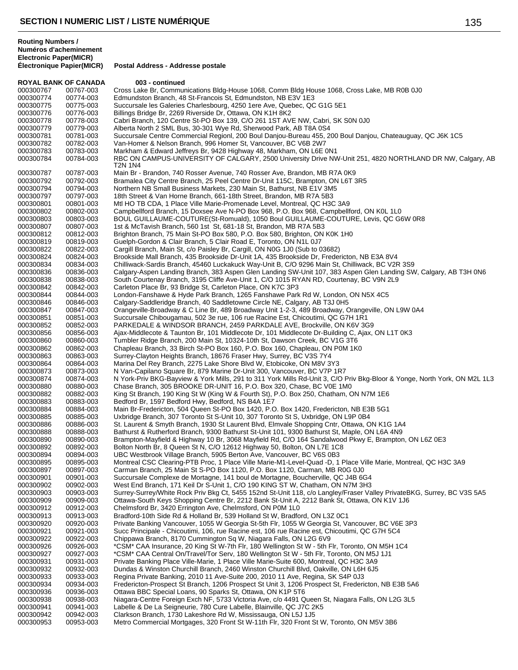**Routing Numbers / Numéros d'acheminement Electronic Paper(MICR)**

**ROYAL BANK OF CANADA 003 - continued** 000300767 00767-003 Cross Lake Br, Communications Bldg-House 1068, Comm Bldg House 1068, Cross Lake, MB R0B 0J0<br>000300774 00774-003 Edmundston Branch, 48 St-Francois St, Edmundston, NB E3V 1E3 00774-003 Edmundston Branch, 48 St-Francois St, Edmundston, NB E3V 1E3 Succursale les Galeries Charlesbourg, 4250 1ere Ave, Quebec, QC G1G 5E1 00776-003 Billings Bridge Br, 2269 Riverside Dr, Ottawa, ON K1H 8K2 00778-003 Cabri Branch, 120 Centre St-PO Box 139, C/O 261 1ST AVE NW, Cabri, SK S0N 0J0 00779-003 Alberta North 2 SML Bus, 30-301 Wye Rd, Sherwood Park, AB T8A 0S4 000300781 00781-003 Succursale Centre Commercial Regionl, 200 Boul Danjou-Bureau 455, 200 Boul Danjou, Chateauguay, QC J6K 1C5<br>000300782 00782-003 Van-Homer & Nelson Branch. 996 Homer St. Vancouver. BC V6B 2W7 Van-Homer & Nelson Branch, 996 Homer St, Vancouver, BC V6B 2W7 00783-003 Markham & Edward Jeffreys Br, 9428 Highway 48, Markham, ON L6E 0N1 RBC ON CAMPUS-UNIVERSITY OF CALGARY, 2500 University Drive NW-Unit 251, 4820 NORTHLAND DR NW, Calgary, AB T2N 1N4 00787-003 Main Br - Brandon, 740 Rosser Avenue, 740 Rosser Ave, Brandon, MB R7A 0K9 00792-003 Bramalea City Centre Branch, 25 Peel Centre Dr-Unit 115C, Brampton, ON L6T 3R5 00794-003 Northern NB Small Business Markets, 230 Main St, Bathurst, NB E1V 3M5 00797-003 18th Street & Van Horne Branch, 661-18th Street, Brandon, MB R7A 5B3 Mtl HO TB CDA, 1 Place Ville Marie-Promenade Level, Montreal, QC H3C 3A9 00802-003 Campbellford Branch, 15 Doxsee Ave N-PO Box 968, P.O. Box 968, Campbellford, ON K0L 1L0 00803-003 BOUL GUILLAUME-COUTURE(St-Romuald), 1050 Boul GUILLAUME-COUTURE, Levis, QC G6W 0R8 00807-003 1st & McTavish Branch, 560 1st St, 681-18 St, Brandon, MB R7A 5B3 00812-003 Brighton Branch, 75 Main St-PO Box 580, P.O. Box 580, Brighton, ON K0K 1H0 00819-003 Guelph-Gordon & Clair Branch, 5 Clair Road E, Toronto, ON N1L 0J7 00822-003 Cargill Branch, Main St, c/o Paisley Br, Cargill, ON N0G 1J0 (Sub to 03682) 00824-003 Brookside Mall Branch, 435 Brookside Dr-Unit 1A, 435 Brookside Dr, Fredericton, NB E3A 8V4 00834-003 Chilliwack-Sardis Branch, 45460 Luckakuck Way-Unit B, C/O 9296 Main St, Chilliwack, BC V2R 3S9 000300836 00836-003 Calgary-Aspen Landing Branch, 383 Aspen Glen Landing SW-Unit 107, 383 Aspen Glen Landing SW, Calgary, AB T3H 0N6<br>000300838 00838-003 South Courtenay Branch, 3195 Cliffe Ave-Unit 1, C/O 1015 RYAN RD, Cou 00838-003 South Courtenay Branch, 3195 Cliffe Ave-Unit 1, C/O 1015 RYAN RD, Courtenay, BC V9N 2L9 00842-003 Carleton Place Br, 93 Bridge St, Carleton Place, ON K7C 3P3 00844-003 London-Fanshawe & Hyde Park Branch, 1265 Fanshawe Park Rd W, London, ON N5X 4C5 00846-003 Calgary-Saddleridge Branch, 40 Saddletowne Circle NE, Calgary, AB T3J 0H5 00847-003 Orangeville-Broadway & C Line Br, 489 Broadway Unit 1-2-3, 489 Broadway, Orangeville, ON L9W 0A4 00851-003 Succursale Chibougamau, 502 3e rue, 106 rue Racine Est, Chicoutimi, QC G7H 1R1 00852-003 PARKEDALE & WINDSOR BRANCH, 2459 PARKDALE AVE, Brockville, ON K6V 3G9 00856-003 Ajax-Middlecote & Taunton Br, 101 Middlecote Dr, 101 Middlecote Dr-Building C, Ajax, ON L1T 0K3 000300860 00860-003 Tumbler Ridge Branch, 200 Main St, 10324-10th St, Dawson Creek, BC V1G 3T6<br>000300862 00862-003 Chapleau Branch, 33 Birch St-PO Box 160, P.O. Box 160, Chapleau, ON P0M 1K 00862-003 Chapleau Branch, 33 Birch St-PO Box 160, P.O. Box 160, Chapleau, ON P0M 1K0 00863-003 Surrey-Clayton Heights Branch, 18676 Fraser Hwy, Surrey, BC V3S 7Y4 00864-003 Marina Del Rey Branch, 2275 Lake Shore Blvd W, Etobicoke, ON M8V 3Y3 00873-003 N Van-Capilano Square Br, 879 Marine Dr-Unit 300, Vancouver, BC V7P 1R7 000300874 00874-003 N York-Priv BKG-Bayview & York Mills, 291 to 311 York Mills Rd-Unit 3, C/O Priv Bkg-Bloor & Yonge, North York, ON M2L 1L3<br>000300880 00880-003 Chase Branch, 305 BROOKE DR-UNIT 16, P.O. Box 320, Chase, BC 00880-003 Chase Branch, 305 BROOKE DR-UNIT 16, P.O. Box 320, Chase, BC V0E 1M0 00882-003 King St Branch, 190 King St W (King W & Fourth St), P.O. Box 250, Chatham, ON N7M 1E6 00883-003 Bedford Br, 1597 Bedford Hwy, Bedford, NS B4A 1E7 00884-003 Main Br-Fredericton, 504 Queen St-PO Box 1420, P.O. Box 1420, Fredericton, NB E3B 5G1 00885-003 Uxbridge Branch, 307 Toronto St S-Unit 10, 307 Toronto St S, Uxbridge, ON L9P 0B4 00886-003 St. Laurent & Smyth Branch, 1930 St Laurent Blvd, Elmvale Shopping Cntr, Ottawa, ON K1G 1A4 00888-003 Bathurst & Rutherford Branch, 9300 Bathurst St-Unit 101, 9300 Bathurst St, Maple, ON L6A 4N9 000300890 00890-003 Brampton-Mayfield & Highway 10 Br, 3068 Mayfield Rd, C/O 164 Sandalwood Pkwy E, Brampton, ON L6Z 0E3<br>000300892 00892-003 Bolton North Br, 8 Queen St N, C/O 12612 Highway 50, Bolton, ON L7E 1C8 00892-003 Bolton North Br, 8 Queen St N, C/O 12612 Highway 50, Bolton, ON L7E 1C8 00894-003 UBC Westbrook Village Branch, 5905 Berton Ave, Vancouver, BC V6S 0B3 00895-003 Montreal CSC Clearing-PTB Proc, 1 Place Ville Marie-M1-Level-Quad -D, 1 Place Ville Marie, Montreal, QC H3C 3A9 00897-003 Carman Branch, 25 Main St S-PO Box 1120, P.O. Box 1120, Carman, MB R0G 0J0 00901-003 Succursale Complexe de Mortagne, 141 boul de Mortagne, Boucherville, QC J4B 6G4 00902-003 West End Branch, 171 Keil Dr S-Unit 1, C/O 190 KING ST W, Chatham, ON N7M 3H3 00903-003 Surrey-Surrey/White Rock Priv Bkg Ct, 5455 152nd St-Unit 118, c/o Langley/Fraser Valley PrivateBKG, Surrey, BC V3S 5A5 00909-003 Ottawa-South Keys Shopping Centre Br, 2212 Bank St-Unit A, 2212 Bank St, Ottawa, ON K1V 1J6 00912-003 Chelmsford Br, 3420 Errington Ave, Chelmsford, ON P0M 1L0 Bradford-10th Side Rd & Holland Br, 539 Holland St W, Bradford, ON L3Z 0C1 00920-003 Private Banking Vancouver, 1055 W Georgia St-5th Flr, 1055 W Georgia St, Vancouver, BC V6E 3P3 000300921 00921-003 Succ Principale - Chicoutimi, 106, rue Racine est, 106 rue Racine est, Chicoutimi, QC G7H 5C4<br>000300922 00922-003 Chippawa Branch, 8170 Cummington Sq W, Niagara Falls, ON L2G 6V9 Chippawa Branch, 8170 Cummington Sq W, Niagara Falls, ON L2G 6V9 000300926 00926-003 \*CSM\* CAA Insurance, 20 King St W-7th Flr, 180 Wellington St W - 5th Flr, Toronto, ON M5H 1C4<br>000300927 00927-003 \*CSM\* CAA Central On/Travel/Tor Serv, 180 Wellington St W - 5th Flr, Toronto, ON M5J 1J1 00927-003 \*CSM\* CAA Central On/Travel/Tor Serv, 180 Wellington St W - 5th Flr, Toronto, ON M5J 1J1 00931-003 Private Banking Place Ville-Marie, 1 Place Ville Marie-Suite 600, Montreal, QC H3C 3A9 00932-003 Dundas & Winston Churchill Branch, 2460 Winston Churchill Blvd, Oakville, ON L6H 6J5 00933-003 Regina Private Banking, 2010 11 Ave-Suite 200, 2010 11 Ave, Regina, SK S4P 0J3 00934-003 Fredericton-Prospect St Branch, 1206 Prospect St Unit 3, 1206 Prospect St, Fredericton, NB E3B 5A6 00936-003 Ottawa BBC Special Loans, 90 Sparks St, Ottawa, ON K1P 5T6 00938-003 Niagara-Centre Foreign Exch NF, 5733 Victoria Ave, c/o 4491 Queen St, Niagara Falls, ON L2G 3L5 00941-003 Labelle & De La Seigneurie, 780 Cure Labelle, Blainville, QC J7C 2K5 00942-003 Clarkson Branch, 1730 Lakeshore Rd W, Mississauga, ON L5J 1J5 00953-003 Metro Commercial Mortgages, 320 Front St W-11th Flr, 320 Front St W, Toronto, ON M5V 3B6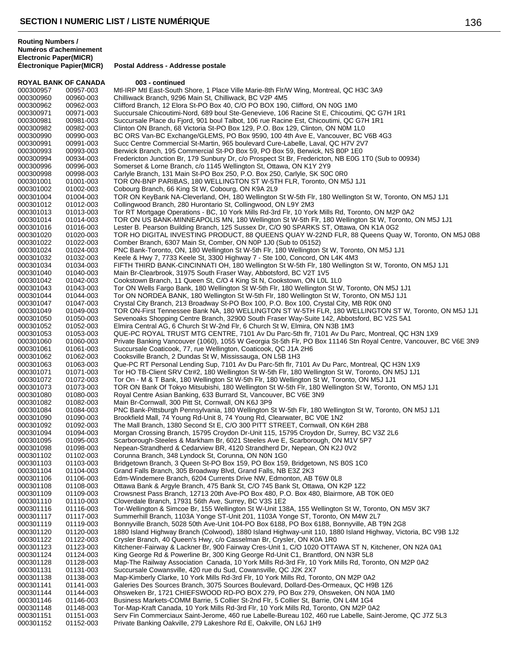| <b>ROYAL BANK OF CANADA</b> |           | 003 - continued                                                                                                                                                             |
|-----------------------------|-----------|-----------------------------------------------------------------------------------------------------------------------------------------------------------------------------|
| 000300957                   | 00957-003 | Mtl-IRP Mtl East-South Shore, 1 Place Ville Marie-8th Flr/W Wing, Montreal, QC H3C 3A9                                                                                      |
| 000300960                   | 00960-003 | Chilliwack Branch, 9296 Main St, Chilliwack, BC V2P 4M5                                                                                                                     |
| 000300962                   | 00962-003 | Clifford Branch, 12 Elora St-PO Box 40, C/O PO BOX 190, Clifford, ON N0G 1M0                                                                                                |
| 000300971                   | 00971-003 | Succursale Chicoutimi-Nord, 689 boul Ste-Genevieve, 106 Racine St E, Chicoutimi, QC G7H 1R1                                                                                 |
| 000300981                   | 00981-003 | Succursale Place du Fjord, 901 boul Talbot, 106 rue Racine Est, Chicoutimi, QC G7H 1R1                                                                                      |
| 000300982                   | 00982-003 | Clinton ON Branch, 68 Victoria St-PO Box 129, P.O. Box 129, Clinton, ON N0M 1L0                                                                                             |
| 000300990                   | 00990-003 | BC ORS Van-BC Exchange/GLEMS, PO Box 9590, 100 4th Ave E, Vancouver, BC V6B 4G3                                                                                             |
| 000300991                   | 00991-003 | Succ Centre Commercial St-Martin, 965 boulevard Cure-Labelle, Laval, QC H7V 2V7                                                                                             |
| 000300993                   | 00993-003 | Berwick Branch, 195 Commercial St-PO Box 59, PO Box 59, Berwick, NS B0P 1E0                                                                                                 |
| 000300994                   | 00934-003 | Fredericton Junction Br, 179 Sunbury Dr, c/o Prospect St Br, Fredericton, NB E0G 1T0 (Sub to 00934)                                                                         |
| 000300996                   | 00996-003 | Somerset & Lorne Branch, c/o 1145 Wellington St, Ottawa, ON K1Y 2Y9                                                                                                         |
| 000300998                   | 00998-003 | Carlyle Branch, 131 Main St-PO Box 250, P.O. Box 250, Carlyle, SK S0C 0R0                                                                                                   |
| 000301001                   | 01001-003 | TOR ON-BNP PARIBAS, 180 WELLINGTON ST W-5TH FLR, Toronto, ON M5J 1J1                                                                                                        |
| 000301002                   | 01002-003 | Cobourg Branch, 66 King St W, Cobourg, ON K9A 2L9                                                                                                                           |
| 000301004                   | 01004-003 | TOR ON KeyBank NA-Cleverland, OH, 180 Wellington St W-5th Flr, 180 Wellington St W, Toronto, ON M5J 1J1                                                                     |
| 000301012                   | 01012-003 | Collingwood Branch, 280 Hurontario St, Collingwood, ON L9Y 2M3                                                                                                              |
| 000301013                   | 01013-003 | Tor RT Mortgage Operations - BC, 10 York Mills Rd-3rd Flr, 10 York Mills Rd, Toronto, ON M2P 0A2                                                                            |
| 000301014                   | 01014-003 | TOR ON US BANK-MINNEAPOLIS MN, 180 Wellington St W-5th Flr, 180 Wellington St W, Toronto, ON M5J 1J1                                                                        |
| 000301016                   | 01016-003 | Lester B. Pearson Building Branch, 125 Sussex Dr, C/O 90 SPARKS ST, Ottawa, ON K1A 0G2                                                                                      |
| 000301020                   | 01020-003 | TOR HO DIGITAL INVESTING PRODUCT, 88 QUEENS QUAY W-22ND FLR, 88 Queens Quay W, Toronto, ON M5J 0B8                                                                          |
| 000301022                   | 01022-003 | Comber Branch, 6307 Main St, Comber, ON N0P 1J0 (Sub to 05152)                                                                                                              |
| 000301024                   | 01024-003 | PNC Bank-Toronto, ON, 180 Wellington St W-5th Flr, 180 Wellington St W, Toronto, ON M5J 1J1                                                                                 |
| 000301032                   | 01032-003 | Keele & Hwy 7, 7733 Keele St, 3300 Highway 7 - Ste 100, Concord, ON L4K 4M3                                                                                                 |
|                             |           |                                                                                                                                                                             |
| 000301034                   | 01034-003 | FIFTH THIRD BANK-CINCINNATI OH, 180 Wellington St W-5th Flr, 180 Wellington St W, Toronto, ON M5J 1J1<br>Main Br-Clearbrook, 31975 South Fraser Way, Abbotsford, BC V2T 1V5 |
| 000301040                   | 01040-003 |                                                                                                                                                                             |
| 000301042                   | 01042-003 | Cookstown Branch, 11 Queen St, C/O 4 King St N, Cookstown, ON L0L 1L0                                                                                                       |
| 000301043                   | 01043-003 | Tor ON Wells Fargo Bank, 180 Wellington St W-5th Flr, 180 Wellington St W, Toronto, ON M5J 1J1                                                                              |
| 000301044                   | 01044-003 | Tor ON NORDEA BANK, 180 Wellington St W-5th Flr, 180 Wellington St W, Toronto, ON M5J 1J1                                                                                   |
| 000301047                   | 01047-003 | Crystal City Branch, 213 Broadway St-PO Box 100, P.O. Box 100, Crystal City, MB R0K 0N0                                                                                     |
| 000301049                   | 01049-003 | TOR ON-First Tennessee Bank NA, 180 WELLINGTON ST W-5TH FLR, 180 WELLINGTON ST W, Toronto, ON M5J 1J1                                                                       |
| 000301050                   | 01050-003 | Sevenoaks Shopping Centre Branch, 32900 South Fraser Way-Suite 142, Abbotsford, BC V2S 5A1                                                                                  |
| 000301052                   | 01052-003 | Elmira Central AG, 6 Church St W-2nd Flr, 6 Church St W, Elmira, ON N3B 1M3                                                                                                 |
| 000301053                   | 01053-003 | QUE-PC ROYAL TRUST MTG CENTRE, 7101 Av Du Parc-5th fir, 7101 Av Du Parc, Montreal, QC H3N 1X9                                                                               |
| 000301060                   | 01060-003 | Private Banking Vancouver (1060), 1055 W Georgia St-5th Flr, PO Box 11146 Stn Royal Centre, Vancouver, BC V6E 3N9                                                           |
| 000301061                   | 01061-003 | Succursale Coaticook, 77, rue Wellington, Coaticook, QC J1A 2H6                                                                                                             |
| 000301062                   | 01062-003 | Cooksville Branch, 2 Dundas St W, Mississauga, ON L5B 1H3                                                                                                                   |
| 000301063                   | 01063-003 | Que-PC RT Personal Lending Sup, 7101 Av Du Parc-5th flr, 7101 Av Du Parc, Montreal, QC H3N 1X9                                                                              |
| 000301071                   | 01071-003 | Tor HO TB-Client SRV Ctr#2, 180 Wellington St W-5th Flr, 180 Wellington St W, Toronto, ON M5J 1J1                                                                           |
| 000301072                   | 01072-003 | Tor On - M & T Bank, 180 Wellington St W-5th Flr, 180 Wellington St W, Toronto, ON M5J 1J1                                                                                  |
| 000301073                   | 01073-003 | TOR ON Bank Of Tokyo Mitsubishi, 180 Wellington St W-5th Flr, 180 Wellington St W, Toronto, ON M5J 1J1                                                                      |
| 000301080                   | 01080-003 | Royal Centre Asian Banking, 633 Burrard St, Vancouver, BC V6E 3N9                                                                                                           |
| 000301082                   | 01082-003 | Main Br-Cornwall, 300 Pitt St, Cornwall, ON K6J 3P9                                                                                                                         |
| 000301084                   | 01084-003 | PNC Bank-Pittsburgh Pennsylvania, 180 Wellington St W-5th Flr, 180 Wellington St W, Toronto, ON M5J 1J1                                                                     |
| 000301090                   | 01090-003 | Brookfield Mall, 74 Young Rd-Unit 8, 74 Young Rd, Clearwater, BC V0E 1N2                                                                                                    |
| 000301092                   | 01092-003 | The Mall Branch, 1380 Second St E, C/O 300 PITT STREET, Cornwall, ON K6H 2B8                                                                                                |
| 000301094                   | 01094-003 | Morgan Crossing Branch, 15795 Croydon Dr-Unit 115, 15795 Croydon Dr, Surrey, BC V3Z 2L6                                                                                     |
| 000301095                   | 01095-003 | Scarborough-Steeles & Markham Br, 6021 Steeles Ave E, Scarborough, ON M1V 5P7                                                                                               |
| 000301098                   | 01098-003 | Nepean-Strandherd & Cedarview BR, 4120 Strandherd Dr, Nepean, ON K2J 0V2                                                                                                    |
| 000301102                   | 01102-003 | Corunna Branch, 348 Lyndock St, Corunna, ON N0N 1G0                                                                                                                         |
| 000301103                   | 01103-003 | Bridgetown Branch, 3 Queen St-PO Box 159, PO Box 159, Bridgetown, NS B0S 1C0                                                                                                |
| 000301104                   | 01104-003 | Grand Falls Branch, 305 Broadway Blvd, Grand Falls, NB E3Z 2K3                                                                                                              |
| 000301106                   | 01106-003 | Edm-Windemere Branch, 6204 Currents Drive NW, Edmonton, AB T6W 0L8                                                                                                          |
| 000301108                   | 01108-003 | Ottawa Bank & Argyle Branch, 475 Bank St, C/O 745 Bank St, Ottawa, ON K2P 1Z2                                                                                               |
| 000301109                   | 01109-003 | Crowsnest Pass Branch, 12713 20th Ave-PO Box 480, P.O. Box 480, Blairmore, AB T0K 0E0                                                                                       |
| 000301110                   | 01110-003 | Cloverdale Branch, 17931 56th Ave, Surrey, BC V3S 1E2                                                                                                                       |
| 000301116                   | 01116-003 | Tor-Wellington & Simcoe Br, 155 Wellington St W-Unit 138A, 155 Wellington St W, Toronto, ON M5V 3K7                                                                         |
| 000301117                   | 01117-003 | Summerhill Branch, 1103A Yonge ST-Unit 201, 1103A Yonge ST, Toronto, ON M4W 2L7                                                                                             |
| 000301119                   | 01119-003 | Bonnyville Branch, 5028 50th Ave-Unit 104-PO Box 6188, PO Box 6188, Bonnyville, AB T9N 2G8                                                                                  |
| 000301120                   | 01120-003 | 1880 Island Highway Branch (Colwood), 1880 Island Highway-unit 110, 1880 Island Highway, Victoria, BC V9B 1J2                                                               |
| 000301122                   | 01122-003 | Crysler Branch, 40 Queen's Hwy, c/o Casselman Br, Crysler, ON K0A 1R0                                                                                                       |
| 000301123                   | 01123-003 | Kitchener-Fairway & Lackner Br, 900 Fairway Cres-Unit 1, C/O 1020 OTTAWA ST N, Kitchener, ON N2A 0A1                                                                        |
| 000301124                   | 01124-003 | King George Rd & Powerline Br, 300 King George Rd-Unit C1, Brantford, ON N3R 5L8                                                                                            |
| 000301128                   | 01128-003 | Map-The Railway Association Canada, 10 York Mills Rd-3rd Flr, 10 York Mills Rd, Toronto, ON M2P 0A2                                                                         |
| 000301131                   | 01131-003 | Succursale Cowansville, 420 rue du Sud, Cowansville, QC J2K 2X7                                                                                                             |
| 000301138                   | 01138-003 | Map-Kimberly Clarke, 10 York Mills Rd-3rd Flr, 10 York Mills Rd, Toronto, ON M2P 0A2                                                                                        |
| 000301141                   | 01141-003 | Galeries Des Sources Branch, 3075 Sources Boulevard, Dollard-Des-Ormeaux, QC H9B 1Z6                                                                                        |
| 000301144                   | 01144-003 | Ohsweken Br, 1721 CHIEFSWOOD RD-PO BOX 279, PO Box 279, Ohsweken, ON N0A 1M0                                                                                                |
| 000301146                   | 01146-003 | Business Markets-COMM Barrie, 5 Collier St-2nd Flr, 5 Collier St, Barrie, ON L4M 1G4                                                                                        |
| 000301148                   | 01148-003 | Tor-Map-Kraft Canada, 10 York Mills Rd-3rd Flr, 10 York Mills Rd, Toronto, ON M2P 0A2                                                                                       |
| 000301151                   | 01151-003 | Serv Fin Commerciaux Saint-Jerome, 460 rue Labelle-Bureau 102, 460 rue Labelle, Saint-Jerome, QC J7Z 5L3                                                                    |
| 000301152                   | 01152-003 | Private Banking Oakville, 279 Lakeshore Rd E, Oakville, ON L6J 1H9                                                                                                          |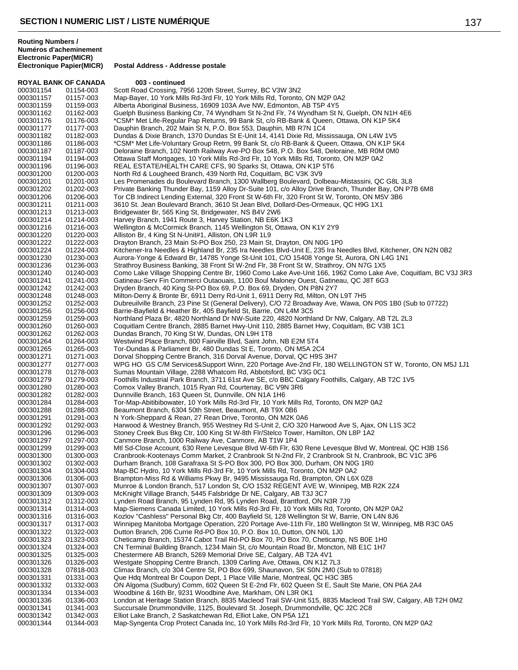| <b>ROYAL BANK OF CANADA</b> |                        | 003 - continued                                                                                                                                                                                      |
|-----------------------------|------------------------|------------------------------------------------------------------------------------------------------------------------------------------------------------------------------------------------------|
| 000301154                   | 01154-003              | Scott Road Crossing, 7956 120th Street, Surrey, BC V3W 3N2                                                                                                                                           |
| 000301157                   | 01157-003              | Map-Bayer, 10 York Mills Rd-3rd Flr, 10 York Mills Rd, Toronto, ON M2P 0A2                                                                                                                           |
| 000301159                   | 01159-003              | Alberta Aboriginal Business, 16909 103A Ave NW, Edmonton, AB T5P 4Y5                                                                                                                                 |
| 000301162                   | 01162-003              | Guelph Business Banking Ctr, 74 Wyndham St N-2nd Flr, 74 Wyndham St N, Guelph, ON N1H 4E6                                                                                                            |
| 000301176                   | 01176-003              | *CSM* Met Life-Regular Pap Returns, 99 Bank St, c/o RB-Bank & Queen, Ottawa, ON K1P 5K4                                                                                                              |
| 000301177                   | 01177-003              | Dauphin Branch, 202 Main St N, P.O. Box 553, Dauphin, MB R7N 1C4                                                                                                                                     |
| 000301182                   | 01182-003              | Dundas & Dixie Branch, 1370 Dundas St E-Unit 14, 4141 Dixie Rd, Mississauga, ON L4W 1V5                                                                                                              |
| 000301186                   | 01186-003              | *CSM* Met Life-Voluntary Group Retrn, 99 Bank St, c/o RB-Bank & Queen, Ottawa, ON K1P 5K4                                                                                                            |
| 000301187                   | 01187-003              | Deloraine Branch, 102 North Railway Ave-PO Box 548, P.O. Box 548, Deloraine, MB R0M 0M0                                                                                                              |
| 000301194                   | 01194-003              | Ottawa Staff Mortgages, 10 York Mills Rd-3rd Flr, 10 York Mills Rd, Toronto, ON M2P 0A2                                                                                                              |
| 000301196                   | 01196-003              | REAL ESTATE/HEALTH CARE CFS, 90 Sparks St, Ottawa, ON K1P 5T6                                                                                                                                        |
| 000301200                   | 01200-003              | North Rd & Lougheed Branch, 439 North Rd, Coquitlam, BC V3K 3V9                                                                                                                                      |
| 000301201<br>000301202      | 01201-003              | Les Promenades du Boulevard Branch, 1300 Wallberg Boulevard, Dolbeau-Mistassini, QC G8L 3L8<br>Private Banking Thunder Bay, 1159 Alloy Dr-Suite 101, c/o Alloy Drive Branch, Thunder Bay, ON P7B 6M8 |
| 000301206                   | 01202-003<br>01206-003 | Tor CB Indirect Lending External, 320 Front St W-6th Flr, 320 Front St W, Toronto, ON M5V 3B6                                                                                                        |
| 000301211                   | 01211-003              | 3610 St. Jean Boulevard Branch, 3610 St Jean Blvd, Dollard-Des-Ormeaux, QC H9G 1X1                                                                                                                   |
| 000301213                   | 01213-003              | Bridgewater Br, 565 King St, Bridgewater, NS B4V 2W6                                                                                                                                                 |
| 000301214                   | 01214-003              | Harvey Branch, 1941 Route 3, Harvey Station, NB E6K 1K3                                                                                                                                              |
| 000301216                   | 01216-003              | Wellington & McCormick Branch, 1145 Wellington St, Ottawa, ON K1Y 2Y9                                                                                                                                |
| 000301220                   | 01220-003              | Alliston Br, 4 King St N-Unit#1, Alliston, ON L9R 1L9                                                                                                                                                |
| 000301222                   | 01222-003              | Drayton Branch, 23 Main St-PO Box 250, 23 Main St, Drayton, ON N0G 1P0                                                                                                                               |
| 000301224                   | 01224-003              | Kitchener-Ira Needles & Highland Br, 235 Ira Needles Blvd-Unit E, 235 Ira Needles Blvd, Kitchener, ON N2N 0B2                                                                                        |
| 000301230                   | 01230-003              | Aurora-Yonge & Edward Br, 14785 Yonge St-Unit 101, C/O 15408 Yonge St, Aurora, ON L4G 1N1                                                                                                            |
| 000301236                   | 01236-003              | Strathroy Business Banking, 38 Front St W-2nd Flr, 38 Front St W, Strathroy, ON N7G 1X5                                                                                                              |
| 000301240                   | 01240-003              | Como Lake Village Shopping Centre Br, 1960 Como Lake Ave-Unit 166, 1962 Como Lake Ave, Coquitlam, BC V3J 3R3                                                                                         |
| 000301241                   | 01241-003              | Gatineau-Serv Fin Commerci Outaouais, 1100 Boul Maloney Ouest, Gatineau, QC J8T 6G3                                                                                                                  |
| 000301242                   | 01242-003              | Dryden Branch, 40 King St-PO Box 69, P.O. Box 69, Dryden, ON P8N 2Y7                                                                                                                                 |
| 000301248                   | 01248-003              | Milton-Derry & Bronte Br, 6911 Derry Rd-Unit 1, 6911 Derry Rd, Milton, ON L9T 7H5                                                                                                                    |
| 000301252                   | 01252-003              | Dubreuilville Branch, 23 Pine St (General Delivery), C/O 72 Broadway Ave, Wawa, ON P0S 1B0 (Sub to 07722)                                                                                            |
| 000301256                   | 01256-003              | Barrie-Bayfield & Heather Br, 405 Bayfield St, Barrie, ON L4M 3C5                                                                                                                                    |
| 000301259                   | 01259-003              | Northland Plaza Br, 4820 Northland Dr NW-Suite 220, 4820 Northland Dr NW, Calgary, AB T2L 2L3                                                                                                        |
| 000301260                   | 01260-003              | Coquitlam Centre Branch, 2885 Barnet Hwy-Unit 110, 2885 Barnet Hwy, Coquitlam, BC V3B 1C1                                                                                                            |
| 000301262                   | 01262-003              | Dundas Branch, 70 King St W, Dundas, ON L9H 1T8                                                                                                                                                      |
| 000301264                   | 01264-003              | Westwind Place Branch, 800 Fairville Blvd, Saint John, NB E2M 5T4                                                                                                                                    |
| 000301265                   | 01265-003              | Tor-Dundas & Parliament Br, 480 Dundas St E, Toronto, ON M5A 2C4                                                                                                                                     |
| 000301271                   | 01271-003              | Dorval Shopping Centre Branch, 316 Dorval Avenue, Dorval, QC H9S 3H7                                                                                                                                 |
| 000301277                   | 01277-003              | WPG HO GS C/M Services&Support Winn, 220 Portage Ave-2nd Flr, 180 WELLINGTON ST W, Toronto, ON M5J 1J1                                                                                               |
| 000301278                   | 01278-003              | Sumas Mountain Village, 2288 Whatcom Rd, Abbotsford, BC V3G 0C1                                                                                                                                      |
| 000301279                   | 01279-003              | Foothills Industrial Park Branch, 3711 61st Ave SE, c/o BBC Calgary Foothills, Calgary, AB T2C 1V5                                                                                                   |
| 000301280<br>000301282      | 01280-003<br>01282-003 | Comox Valley Branch, 1015 Ryan Rd, Courtenay, BC V9N 3R6<br>Dunnville Branch, 163 Queen St, Dunnville, ON N1A 1H6                                                                                    |
| 000301284                   | 01284-003              | Tor-Map-Abitibibowater, 10 York Mills Rd-3rd Flr, 10 York Mills Rd, Toronto, ON M2P 0A2                                                                                                              |
| 000301288                   | 01288-003              | Beaumont Branch, 6304 50th Street, Beaumont, AB T9X 0B6                                                                                                                                              |
| 000301291                   | 01291-003              | N York-Sheppard & Rean, 27 Rean Drive, Toronto, ON M2K 0A6                                                                                                                                           |
| 000301292                   | 01292-003              | Harwood & Westney Branch, 955 Westney Rd S-Unit 2, C/O 320 Harwood Ave S, Ajax, ON L1S 3C2                                                                                                           |
| 000301296                   | 01296-003              | Stoney Creek Bus Bkg Ctr, 100 King St W-8th Flr/Stelco Tower, Hamilton, ON L8P 1A2                                                                                                                   |
| 000301297                   | 01297-003              | Canmore Branch, 1000 Railway Ave, Canmore, AB T1W 1P4                                                                                                                                                |
| 000301299                   | 01299-003              | Mtl Sd-Close Account, 630 Rene Levesque Blvd W-6th Flr, 630 Rene Levesque Blvd W, Montreal, QC H3B 1S6                                                                                               |
| 000301300                   | 01300-003              | Cranbrook-Kootenays Comm Market, 2 Cranbrook St N-2nd Flr, 2 Cranbrook St N, Cranbrook, BC V1C 3P6                                                                                                   |
| 000301302                   | 01302-003              | Durham Branch, 108 Garafraxa St S-PO Box 300, PO Box 300, Durham, ON N0G 1R0                                                                                                                         |
| 000301304                   | 01304-003              | Map-BC Hydro, 10 York Mills Rd-3rd Flr, 10 York Mills Rd, Toronto, ON M2P 0A2                                                                                                                        |
| 000301306                   | 01306-003              | Brampton-Miss Rd & Williams Pkwy Br, 9495 Mississauga Rd, Brampton, ON L6X 0Z8                                                                                                                       |
| 000301307                   | 01307-003              | Munroe & London Branch, 517 London St, C/O 1532 REGENT AVE W, Winnipeg, MB R2K 2Z4                                                                                                                   |
| 000301309                   | 01309-003              | McKnight Village Branch, 5445 Falsbridge Dr NE, Calgary, AB T3J 3C7                                                                                                                                  |
| 000301312                   | 01312-003              | Lynden Road Branch, 95 Lynden Rd, 95 Lynden Road, Brantford, ON N3R 7J9                                                                                                                              |
| 000301314                   | 01314-003              | Map-Siemens Canada Limited, 10 York Mills Rd-3rd Flr, 10 York Mills Rd, Toronto, ON M2P 0A2                                                                                                          |
| 000301316                   | 01316-003              | Kozlov "Cashless" Personal Bkg Ctr, 400 Bayfield St, 128 Wellington St W, Barrie, ON L4N 8J6                                                                                                         |
| 000301317                   | 01317-003              | Winnipeg Manitoba Mortgage Operation, 220 Portage Ave-11th Flr, 180 Wellington St W, Winnipeg, MB R3C 0A5                                                                                            |
| 000301322                   | 01322-003              | Dutton Branch, 206 Currie Rd-PO Box 10, P.O. Box 10, Dutton, ON N0L 1J0                                                                                                                              |
| 000301323                   | 01323-003              | Cheticamp Branch, 15374 Cabot Trail Rd-PO Box 70, PO Box 70, Cheticamp, NS B0E 1H0                                                                                                                   |
| 000301324<br>000301325      | 01324-003<br>01325-003 | CN Terminal Building Branch, 1234 Main St, c/o Mountain Road Br, Moncton, NB E1C 1H7<br>Chestermere AB Branch, 5269 Memorial Drive SE, Calgary, AB T2A 4V1                                           |
| 000301326                   | 01326-003              | Westgate Shopping Centre Branch, 1309 Carling Ave, Ottawa, ON K1Z 7L3                                                                                                                                |
| 000301328                   | 07818-003              | Climax Branch, c/o 304 Centre St, PO Box 699, Shaunavon, SK S0N 2M0 (Sub to 07818)                                                                                                                   |
| 000301331                   | 01331-003              | Que Hdg Montreal Br Coupon Dept, 1 Place Ville Marie, Montreal, QC H3C 3B5                                                                                                                           |
| 000301332                   | 01332-003              | ON Algoma (Sudbury) Comm, 602 Queen St E-2nd Flr, 602 Queen St E, Sault Ste Marie, ON P6A 2A4                                                                                                        |
| 000301334                   | 01334-003              | Woodbine & 16th Br, 9231 Woodbine Ave, Markham, ON L3R 0K1                                                                                                                                           |
| 000301336                   | 01336-003              | London at Heritage Station Branch, 8835 Macleod Trail SW-Unit 515, 8835 Macleod Trail SW, Calgary, AB T2H 0M2                                                                                        |
| 000301341                   | 01341-003              | Succursale Drummondville, 1125, Boulevard St. Joseph, Drummondville, QC J2C 2C8                                                                                                                      |
| 000301342                   | 01342-003              | Elliot Lake Branch, 2 Saskatchewan Rd, Elliot Lake, ON P5A 1Z1                                                                                                                                       |
| 000301344                   | 01344-003              | Map-Syngenta Crop Protect Canada Inc, 10 York Mills Rd-3rd Flr, 10 York Mills Rd, Toronto, ON M2P 0A2                                                                                                |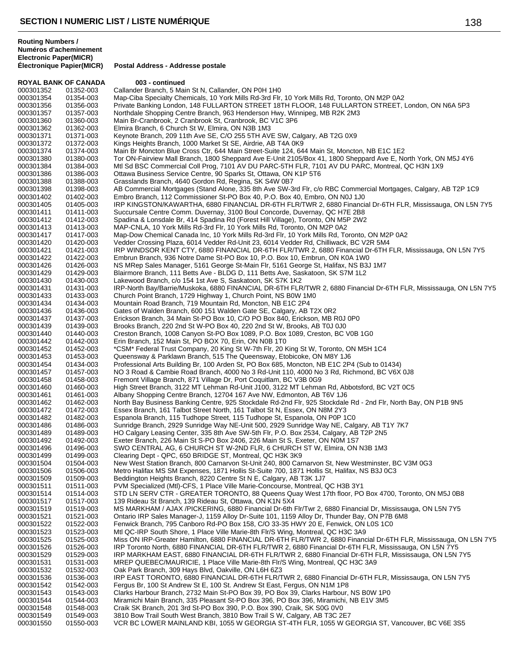**Électronique Papier(MICR) Postal Address - Addresse postale**

| <b>ROYAL BANK OF CANADA</b> |                        | 003 - continued                                                                                                                                                                                                             |
|-----------------------------|------------------------|-----------------------------------------------------------------------------------------------------------------------------------------------------------------------------------------------------------------------------|
| 000301352                   | 01352-003              | Callander Branch, 5 Main St N, Callander, ON P0H 1H0                                                                                                                                                                        |
| 000301354                   | 01354-003              | Map-Ciba Specialty Chemicals, 10 York Mills Rd-3rd Flr, 10 York Mills Rd, Toronto, ON M2P 0A2                                                                                                                               |
| 000301356<br>000301357      | 01356-003<br>01357-003 | Private Banking London, 148 FULLARTON STREET 18TH FLOOR, 148 FULLARTON STREET, London, ON N6A 5P3<br>Northdale Shopping Centre Branch, 963 Henderson Hwy, Winnipeg, MB R2K 2M3                                              |
| 000301360                   | 01360-003              | Main Br-Cranbrook, 2 Cranbrook St, Cranbrook, BC V1C 3P6                                                                                                                                                                    |
| 000301362                   | 01362-003              | Elmira Branch, 6 Church St W, Elmira, ON N3B 1M3                                                                                                                                                                            |
| 000301371                   | 01371-003              | Keynote Branch, 209 11th Ave SE, C/O 255 5TH AVE SW, Calgary, AB T2G 0X9                                                                                                                                                    |
| 000301372                   | 01372-003              | Kings Heights Branch, 1000 Market St SE, Airdrie, AB T4A 0K9                                                                                                                                                                |
| 000301374                   | 01374-003              | Main Br Moncton Blue Cross Ctr, 644 Main Street-Suite 124, 644 Main St, Moncton, NB E1C 1E2                                                                                                                                 |
| 000301380<br>000301384      | 01380-003<br>01384-003 | Tor ON-Fairview Mall Branch, 1800 Sheppard Ave E-Unit 2105/Box 41, 1800 Sheppard Ave E, North York, ON M5J 4Y6<br>Mtl Sd BSC Commercial Coll Prog, 7101 AV DU PARC-5TH FLR, 7101 AV DU PARC, Montreal, QC H3N 1X9           |
| 000301386                   | 01386-003              | Ottawa Business Service Centre, 90 Sparks St, Ottawa, ON K1P 5T6                                                                                                                                                            |
| 000301388                   | 01388-003              | Grasslands Branch, 4640 Gordon Rd, Regina, SK S4W 0B7                                                                                                                                                                       |
| 000301398                   | 01398-003              | AB Commercial Mortgages (Stand Alone, 335 8th Ave SW-3rd Flr, c/o RBC Commercial Mortgages, Calgary, AB T2P 1C9                                                                                                             |
| 000301402                   | 01402-003              | Embro Branch, 112 Commissioner St-PO Box 40, P.O. Box 40, Embro, ON N0J 1J0                                                                                                                                                 |
| 000301405                   | 01405-003              | IRP KINGSTON/KAWARTHA, 6880 FINANCIAL DR-6TH FLR/TWR 2, 6880 Financial Dr-6TH FLR, Mississauga, ON L5N 7Y5                                                                                                                  |
| 000301411<br>000301412      | 01411-003<br>01412-003 | Succursale Centre Comm. Duvernay, 3100 Boul Concorde, Duvernay, QC H7E 2B8<br>Spadina & Lonsdale Br, 414 Spadina Rd (Forest Hill Village), Toronto, ON M5P 2W2                                                              |
| 000301413                   | 01413-003              | MAP-CNLA, 10 York Mills Rd-3rd Flr, 10 York Mills Rd, Toronto, ON M2P 0A2                                                                                                                                                   |
| 000301417                   | 01417-003              | Map-Dow Chemical Canada Inc, 10 York Mills Rd-3rd Flr, 10 York Mills Rd, Toronto, ON M2P 0A2                                                                                                                                |
| 000301420                   | 01420-003              | Vedder Crossing Plaza, 6014 Vedder Rd-Unit 23, 6014 Vedder Rd, Chilliwack, BC V2R 5M4                                                                                                                                       |
| 000301421                   | 01421-003              | IRP WINDSOR KENT CTY, 6880 FINANCIAL DR-6TH FLR/TWR 2, 6880 Financial Dr-6TH FLR, Mississauga, ON L5N 7Y5                                                                                                                   |
| 000301422                   | 01422-003              | Embrun Branch, 936 Notre Dame St-PO Box 10, P.O. Box 10, Embrun, ON K0A 1W0                                                                                                                                                 |
| 000301426                   | 01426-003              | NS MRep Sales Manager, 5161 George St-Main Flr, 5161 George St, Halifax, NS B3J 1M7                                                                                                                                         |
| 000301429<br>000301430      | 01429-003<br>01430-003 | Blairmore Branch, 111 Betts Ave - BLDG D, 111 Betts Ave, Saskatoon, SK S7M 1L2<br>Lakewood Branch, c/o 154 1st Ave S, Saskatoon, SK S7K 1K2                                                                                 |
| 000301431                   | 01431-003              | IRP-North Bay/Barrie/Muskoka, 6880 FINANCIAL DR-6TH FLR/TWR 2, 6880 Financial Dr-6TH FLR, Mississauga, ON L5N 7Y5                                                                                                           |
| 000301433                   | 01433-003              | Church Point Branch, 1729 Highway 1, Church Point, NS B0W 1M0                                                                                                                                                               |
| 000301434                   | 01434-003              | Mountain Road Branch, 719 Mountain Rd, Moncton, NB E1C 2P4                                                                                                                                                                  |
| 000301436                   | 01436-003              | Gates of Walden Branch, 600 151 Walden Gate SE, Calgary, AB T2X 0R2                                                                                                                                                         |
| 000301437                   | 01437-003              | Erickson Branch, 34 Main St-PO Box 10, C/O PO Box 840, Erickson, MB R0J 0P0                                                                                                                                                 |
| 000301439<br>000301440      | 01439-003<br>01440-003 | Brooks Branch, 220 2nd St W-PO Box 40, 220 2nd St W, Brooks, AB T0J 0J0<br>Creston Branch, 1008 Canyon St-PO Box 1089, P.O. Box 1089, Creston, BC V0B 1G0                                                                   |
| 000301442                   | 01442-003              | Erin Branch, 152 Main St, PO BOX 70, Erin, ON N0B 1T0                                                                                                                                                                       |
| 000301452                   | 01452-003              | *CSM* Federal Trust Company, 20 King St W-7th Flr, 20 King St W, Toronto, ON M5H 1C4                                                                                                                                        |
| 000301453                   | 01453-003              | Queensway & Parklawn Branch, 515 The Queensway, Etobicoke, ON M8Y 1J6                                                                                                                                                       |
| 000301454                   | 01434-003              | Professional Arts Building Br, 100 Arden St, PO Box 685, Moncton, NB E1C 2P4 (Sub to 01434)                                                                                                                                 |
| 000301457                   | 01457-003              | NO 3 Road & Cambie Road Branch, 4000 No 3 Rd-Unit 110, 4000 No 3 Rd, Richmond, BC V6X 0J8                                                                                                                                   |
| 000301458<br>000301460      | 01458-003<br>01460-003 | Fremont Village Branch, 871 Village Dr, Port Coquitlam, BC V3B 0G9<br>High Street Branch, 3122 MT Lehman Rd-Unit J100, 3122 MT Lehman Rd, Abbotsford, BC V2T 0C5                                                            |
| 000301461                   | 01461-003              | Albany Shopping Centre Branch, 12704 167 Ave NW, Edmonton, AB T6V 1J6                                                                                                                                                       |
| 000301462                   | 01462-003              | North Bay Business Banking Centre, 925 Stockdale Rd-2nd Flr, 925 Stockdale Rd - 2nd Flr, North Bay, ON P1B 9N5                                                                                                              |
| 000301472                   | 01472-003              | Essex Branch, 161 Talbot Street North, 161 Talbot St N, Essex, ON N8M 2Y3                                                                                                                                                   |
| 000301482                   | 01482-003              | Espanola Branch, 115 Tudhope Street, 115 Tudhope St, Espanola, ON P0P 1C0                                                                                                                                                   |
| 000301486                   | 01486-003              | Sunridge Branch, 2929 Sunridge Way NE-Unit 500, 2929 Sunridge Way NE, Calgary, AB T1Y 7K7                                                                                                                                   |
| 000301489<br>000301492      | 01489-003<br>01492-003 | HO Calgary Leasing Center, 335 8th Ave SW-5th Flr, P.O. Box 2534, Calgary, AB T2P 2N5<br>Exeter Branch, 226 Main St S-PO Box 2406, 226 Main St S, Exeter, ON N0M 1S7                                                        |
| 000301496                   | 01496-003              | SWO CENTRAL AG, 6 CHURCH ST W-2ND FLR, 6 CHURCH ST W, Elmira, ON N3B 1M3                                                                                                                                                    |
| 000301499                   | 01499-003              | Clearing Dept - QPC, 650 BRIDGE ST, Montreal, QC H3K 3K9                                                                                                                                                                    |
| 000301504                   | 01504-003              | New West Station Branch, 800 Carnarvon St-Unit 240, 800 Carnarvon St, New Westminster, BC V3M 0G3                                                                                                                           |
| 000301506                   | 01506-003              | Metro Halifax MS SM Expenses, 1871 Hollis St-Suite 700, 1871 Hollis St, Halifax, NS B3J 0C3                                                                                                                                 |
| 000301509                   | 01509-003              | Beddington Heights Branch, 8220 Centre St N E, Calgary, AB T3K 1J7                                                                                                                                                          |
| 000301511<br>000301514      | 01511-003<br>01514-003 | PVM Specialized (Mtl)-CFS, 1 Place Ville Marie-Concourse, Montreal, QC H3B 3Y1<br>STD LN SERV CTR - GREATER TORONTO, 88 Queens Quay West 17th floor, PO Box 4700, Toronto, ON M5J 0B8                                       |
| 000301517                   | 01517-003              | 139 Rideau St Branch, 139 Rideau St, Ottawa, ON K1N 5X4                                                                                                                                                                     |
| 000301519                   | 01519-003              | MS MARKHAM / AJAX /PICKERING, 6880 Financial Dr-6th Flr/Twr 2, 6880 Financial Dr, Mississauga, ON L5N 7Y5                                                                                                                   |
| 000301521                   | 01521-003              | Ontario IRP Sales Manager-J, 1159 Alloy Dr-Suite 101, 1159 Alloy Dr, Thunder Bay, ON P7B 6M8                                                                                                                                |
| 000301522                   | 01522-003              | Fenwick Branch, 795 Canboro Rd-PO Box 158, C/O 33-35 HWY 20 E, Fenwick, ON L0S 1C0                                                                                                                                          |
| 000301523                   | 01523-003              | Mtl QC-IRP South Shore, 1 Place Ville Marie-8th Flr/S Wing, Montreal, QC H3C 3A9                                                                                                                                            |
| 000301525<br>000301526      | 01525-003<br>01526-003 | Miss ON IRP-Greater Hamilton, 6880 FINANCIAL DR-6TH FLR/TWR 2, 6880 Financial Dr-6TH FLR, Mississauga, ON L5N 7Y5<br>IRP Toronto North, 6880 FINANCIAL DR-6TH FLR/TWR 2, 6880 Financial Dr-6TH FLR, Mississauga, ON L5N 7Y5 |
| 000301529                   | 01529-003              | IRP MARKHAM EAST, 6880 FINANCIAL DR-6TH FLR/TWR 2, 6880 Financial Dr-6TH FLR, Mississauga, ON L5N 7Y5                                                                                                                       |
| 000301531                   | 01531-003              | MREP QUEBEC/MAURICIE, 1 Place Ville Marie-8th Flr/S Wing, Montreal, QC H3C 3A9                                                                                                                                              |
| 000301532                   | 01532-003              | Oak Park Branch, 309 Hays Blvd, Oakville, ON L6H 6Z3                                                                                                                                                                        |
| 000301536                   | 01536-003              | IRP EAST TORONTO, 6880 FINANCIAL DR-6TH FLR/TWR 2, 6880 Financial Dr-6TH FLR, Mississauga, ON L5N 7Y5                                                                                                                       |
| 000301542                   | 01542-003              | Fergus Br, 100 St Andrew St E, 100 St. Andrew St East, Fergus, ON N1M 1P8                                                                                                                                                   |
| 000301543<br>000301544      | 01543-003<br>01544-003 | Clarks Harbour Branch, 2732 Main St-PO Box 39, PO Box 39, Clarks Harbour, NS B0W 1P0<br>Miramichi Main Branch, 335 Pleasant St-PO Box 396, PO Box 396, Miramichi, NB E1V 3M5                                                |
| 000301548                   | 01548-003              | Craik SK Branch, 201 3rd St-PO Box 390, P.O. Box 390, Craik, SK S0G 0V0                                                                                                                                                     |
| 000301549                   | 01549-003              | 3810 Bow Trail South West Branch, 3810 Bow Trail S W, Calgary, AB T3C 2E7                                                                                                                                                   |
| 000301550                   | 01550-003              | VCR BC LOWER MAINLAND KBI, 1055 W GEORGIA ST-4TH FLR, 1055 W GEORGIA ST, Vancouver, BC V6E 3S5                                                                                                                              |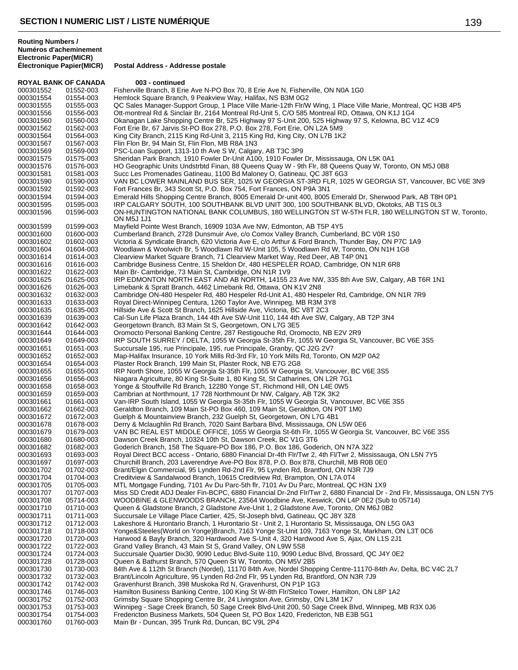**Électronique Papier(MICR) Postal Address - Addresse postale**

| <b>ROYAL BANK OF CANADA</b> |                        | 003 - continued                                                                                                                                                                     |
|-----------------------------|------------------------|-------------------------------------------------------------------------------------------------------------------------------------------------------------------------------------|
| 000301552                   | 01552-003              | Fisherville Branch, 8 Erie Ave N-PO Box 70, 8 Erie Ave N, Fisherville, ON N0A 1G0                                                                                                   |
| 000301554                   | 01554-003              | Hemlock Square Branch, 9 Peakview Way, Halifax, NS B3M 0G2                                                                                                                          |
| 000301555                   | 01555-003              | QC Sales Manager-Support Group, 1 Place Ville Marie-12th Flr/W Wing, 1 Place Ville Marie, Montreal, QC H3B 4P5                                                                      |
| 000301556                   | 01556-003              | Ott-montreal Rd & Sinclair Br, 2164 Montreal Rd-Unit 5, C/O 585 Montreal RD, Ottawa, ON K1J 1G4                                                                                     |
| 000301560                   | 01560-003              | Okanagan Lake Shopping Centre Br, 525 Highway 97 S-Unit 200, 525 Highway 97 S, Kelowna, BC V1Z 4C9                                                                                  |
| 000301562<br>000301564      | 01562-003              | Fort Erie Br, 67 Jarvis St-PO Box 278, P.O. Box 278, Fort Erie, ON L2A 5M9                                                                                                          |
| 000301567                   | 01564-003<br>01567-003 | King City Branch, 2115 King Rd-Unit 3, 2115 King Rd, King City, ON L7B 1K2<br>Flin Flon Br, 94 Main St, Flin Flon, MB R8A 1N3                                                       |
| 000301569                   | 01569-003              | PSC-Loan Support, 1313-10 th Ave S W, Calgary, AB T3C 3P9                                                                                                                           |
| 000301575                   | 01575-003              | Sheridan Park Branch, 1910 Fowler Dr-Unit A100, 1910 Fowler Dr, Mississauga, ON L5K 0A1                                                                                             |
| 000301576                   | 01576-003              | HO Geographic Units Undstrbtd Finan, 88 Queens Quay W - 9th Flr, 88 Queens Quay W, Toronto, ON M5J 0B8                                                                              |
| 000301581                   | 01581-003              | Succ Les Promenades Gatineau, 1100 Bd Maloney O, Gatineau, QC J8T 6G3                                                                                                               |
| 000301590                   | 01590-003              | VAN BC LOWER MAINLAND BUS SER, 1025 W GEORGIA ST-3RD FLR, 1025 W GEORGIA ST, Vancouver, BC V6E 3N9                                                                                  |
| 000301592                   | 01592-003              | Fort Frances Br, 343 Scott St, P.O. Box 754, Fort Frances, ON P9A 3N1                                                                                                               |
| 000301594                   | 01594-003              | Emerald Hills Shopping Centre Branch, 8005 Emerald Dr-unit 400, 8005 Emerald Dr, Sherwood Park, AB T8H 0P1                                                                          |
| 000301595                   | 01595-003              | IRP CALGARY SOUTH, 100 SOUTHBANK BLVD UNIT 300, 100 SOUTHBANK BLVD, Okotoks, AB T1S 0L3                                                                                             |
| 000301596                   | 01596-003              | ON-HUNTINGTON NATIONAL BANK COLUMBUS, 180 WELLINGTON ST W-5TH FLR, 180 WELLINGTON ST W, Toronto,<br>ON M5J 1J1                                                                      |
| 000301599                   | 01599-003              | Mayfield Pointe West Branch, 16909 103A Ave NW, Edmonton, AB T5P 4Y5                                                                                                                |
| 000301600                   | 01600-003              | Cumberland Branch, 2728 Dunsmuir Ave, c/o Comox Valley Branch, Cumberland, BC V0R 1S0                                                                                               |
| 000301602                   | 01602-003              | Victoria & Syndicate Branch, 620 Victoria Ave E, c/o Arthur & Ford Branch, Thunder Bay, ON P7C 1A9                                                                                  |
| 000301604                   | 01604-003              | Woodlawn & Woolwich Br, 5 Woodlawn Rd W-Unit 105, 5 Woodlawn Rd W, Toronto, ON N1H 1G8                                                                                              |
| 000301614                   | 01614-003              | Clearview Market Square Branch, 71 Clearview Market Way, Red Deer, AB T4P 0N1                                                                                                       |
| 000301616                   | 01616-003              | Cambridge Business Centre, 15 Sheldon Dr, 480 HESPELER ROAD, Cambridge, ON N1R 6R8                                                                                                  |
| 000301622                   | 01622-003              | Main Br- Cambridge, 73 Main St, Cambridge, ON N1R 1V9                                                                                                                               |
| 000301625                   | 01625-003              | IRP EDMONTON NORTH EAST AND AB NORTH, 14155 23 Ave NW, 335 8th Ave SW, Calgary, AB T6R 1N1                                                                                          |
| 000301626<br>000301632      | 01626-003<br>01632-003 | Limebank & Spratt Branch, 4462 Limebank Rd, Ottawa, ON K1V 2N8<br>Cambridge ON-480 Hespeler Rd, 480 Hespeler Rd-Unit A1, 480 Hespeler Rd, Cambridge, ON N1R 7R9                     |
| 000301633                   | 01633-003              | Royal Direct-Winnipeg Centura, 1260 Taylor Ave, Winnipeg, MB R3M 3Y8                                                                                                                |
| 000301635                   | 01635-003              | Hillside Ave & Scott St Branch, 1625 Hillside Ave, Victoria, BC V8T 2C3                                                                                                             |
| 000301639                   | 01639-003              | Cal-Sun Life Plaza Branch, 144 4th Ave SW-Unit 110, 144 4th Ave SW, Calgary, AB T2P 3N4                                                                                             |
| 000301642                   | 01642-003              | Georgetown Branch, 83 Main St S, Georgetown, ON L7G 3E5                                                                                                                             |
| 000301644                   | 01644-003              | Oromocto Personal Banking Centre, 287 Restigouche Rd, Oromocto, NB E2V 2R9                                                                                                          |
| 000301649                   | 01649-003              | IRP SOUTH SURREY / DELTA, 1055 W Georgia St-35th Flr, 1055 W Georgia St, Vancouver, BC V6E 3S5                                                                                      |
| 000301651                   | 01651-003              | Succursale 195, rue Principale, 195, rue Principale, Granby, QC J2G 2V7                                                                                                             |
| 000301652                   | 01652-003              | Map-Halifax Insurance, 10 York Mills Rd-3rd Flr, 10 York Mills Rd, Toronto, ON M2P 0A2                                                                                              |
| 000301654<br>000301655      | 01654-003<br>01655-003 | Plaster Rock Branch, 199 Main St, Plaster Rock, NB E7G 2G8<br>IRP North Shore, 1055 W Georgia St-35th Flr, 1055 W Georgia St, Vancouver, BC V6E 3S5                                 |
| 000301656                   | 01656-003              | Niagara Agriculture, 80 King St-Suite 1, 80 King St, St Catharines, ON L2R 7G1                                                                                                      |
| 000301658                   | 01658-003              | Yonge & Stouffville Rd Branch, 12280 Yonge ST, Richmond Hill, ON L4E 0W5                                                                                                            |
| 000301659                   | 01659-003              | Cambrian at Northmount, 17 728 Northmount Dr NW, Calgary, AB T2K 3K2                                                                                                                |
| 000301661                   | 01661-003              | Van-IRP South Island, 1055 W Georgia St-35th Flr, 1055 W Georgia St, Vancouver, BC V6E 3S5                                                                                          |
| 000301662                   | 01662-003              | Geraldton Branch, 109 Main St-PO Box 460, 109 Main St, Geraldton, ON P0T 1M0                                                                                                        |
| 000301672                   | 01672-003              | Guelph & Mountainview Branch, 232 Guelph St, Georgetown, ON L7G 4B1                                                                                                                 |
| 000301678                   | 01678-003              | Derry & Mclaughlin Rd Branch, 7020 Saint Barbara Blvd, Mississauga, ON L5W 0E6                                                                                                      |
| 000301679                   | 01679-003              | VAN BC REAL EST MIDDLE OFFICE, 1055 W Georgia St-6th Flr, 1055 W Georgia St, Vancouver, BC V6E 3S5                                                                                  |
| 000301680<br>000301682      | 01680-003<br>01682-003 | Dawson Creek Branch, 10324 10th St, Dawson Creek, BC V1G 3T6<br>Goderich Branch, 158 The Square-PO Box 186, P.O. Box 186, Goderich, ON N7A 3Z2                                      |
| 000301693                   | 01693-003              | Royal Direct BCC access - Ontario, 6880 Financial Dr-4th Flr/Twr 2, 4th Fl/Twr 2, Mississauga, ON L5N 7Y5                                                                           |
| 000301697                   | 01697-003              | Churchill Branch, 203 Laverendrye Ave-PO Box 878, P.O. Box 878, Churchill, MB R0B 0E0                                                                                               |
| 000301702                   | 01702-003              | Brant/Elgin Commercial, 95 Lynden Rd-2nd Flr, 95 Lynden Rd, Brantford, ON N3R 7J9                                                                                                   |
| 000301704                   | 01704-003              | Creditview & Sandalwood Branch, 10615 Creditview Rd, Brampton, ON L7A 0T4                                                                                                           |
| 000301705                   | 01705-003              | MTL Mortgage Funding, 7101 Av Du Parc-5th flr, 7101 Av Du Parc, Montreal, QC H3N 1X9                                                                                                |
| 000301707                   | 01707-003              | Miss SD Credit ADJ Dealer Fin-BCPC, 6880 Financial Dr-2nd Flr/Twr 2, 6880 Financial Dr - 2nd Flr, Mississauga, ON L5N 7Y5                                                           |
| 000301708                   | 05714-003              | WOODBINE & GLENWOODS BRANCH, 23564 Woodbine Ave, Keswick, ON L4P 0E2 (Sub to 05714)                                                                                                 |
| 000301710                   | 01710-003              | Queen & Gladstone Branch, 2 Gladstone Ave-Unit 1, 2 Gladstone Ave, Toronto, ON M6J 0B2                                                                                              |
| 000301711<br>000301712      | 01711-003<br>01712-003 | Succursale Le Village Place Cartier, 425, St-Joseph blvd, Gatineau, QC J8Y 3Z8<br>Lakeshore & Hurontario Branch, 1 Hurontario St - Unit 2, 1 Hurontario St, Mississauga, ON L5G 0A3 |
| 000301718                   | 01718-003              | Yonge&Steeles(World on Yonge)Branch, 7163 Yonge St-Unit 109, 7163 Yonge St, Markham, ON L3T 0C6                                                                                     |
| 000301720                   | 01720-003              | Harwood & Bayly Branch, 320 Hardwood Ave S-Unit 4, 320 Hardwood Ave S, Ajax, ON L1S 2J1                                                                                             |
| 000301722                   | 01722-003              | Grand Valley Branch, 43 Main St S, Grand Valley, ON L9W 5S8                                                                                                                         |
| 000301724                   | 01724-003              | Succursale Quartier Dix30, 9090 Leduc Blvd-Suite 110, 9090 Leduc Blvd, Brossard, QC J4Y 0E2                                                                                         |
| 000301728                   | 01728-003              | Queen & Bathurst Branch, 570 Queen St W, Toronto, ON M5V 2B5                                                                                                                        |
| 000301730                   | 01730-003              | 84th Ave & 112th St Branch (Nordel), 11170 84th Ave, Nordel Shopping Centre-11170-84th Av, Delta, BC V4C 2L7                                                                        |
| 000301732                   | 01732-003              | Brant/Lincoln Agriculture, 95 Lynden Rd-2nd Flr, 95 Lynden Rd, Brantford, ON N3R 7J9                                                                                                |
| 000301742                   | 01742-003              | Gravenhurst Branch, 398 Muskoka Rd N, Gravenhurst, ON P1P 1G3                                                                                                                       |
| 000301746<br>000301752      | 01746-003<br>01752-003 | Hamilton Business Banking Centre, 100 King St W-8th Flr/Stelco Tower, Hamilton, ON L8P 1A2<br>Grimsby Square Shopping Centre Br, 24 Livingston Ave, Grimsby, ON L3M 1K7             |
| 000301753                   | 01753-003              | Winnipeg - Sage Creek Branch, 50 Sage Creek Blvd-Unit 200, 50 Sage Creek Blvd, Winnipeg, MB R3X 0J6                                                                                 |
| 000301754                   | 01754-003              | Fredericton Business Markets, 504 Queen St, PO Box 1420, Fredericton, NB E3B 5G1                                                                                                    |
| 000301760                   | 01760-003              | Main Br - Duncan, 395 Trunk Rd, Duncan, BC V9L 2P4                                                                                                                                  |
|                             |                        |                                                                                                                                                                                     |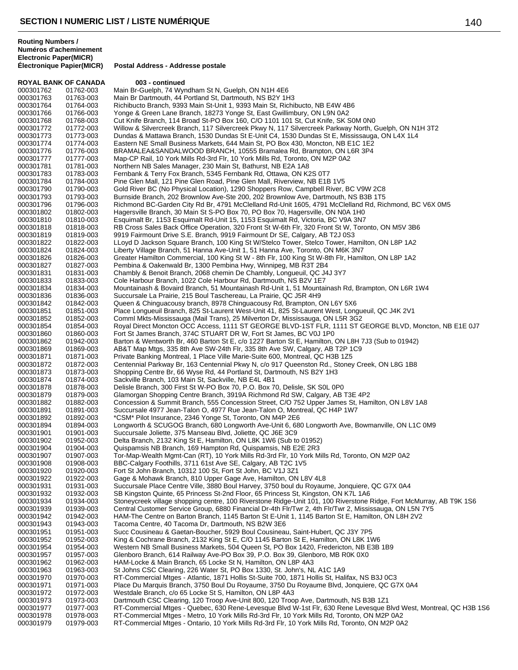| <b>ROYAL BANK OF CANADA</b> |                        | 003 - continued                                                                                                                                                                  |
|-----------------------------|------------------------|----------------------------------------------------------------------------------------------------------------------------------------------------------------------------------|
| 000301762                   | 01762-003              | Main Br-Guelph, 74 Wyndham St N, Guelph, ON N1H 4E6                                                                                                                              |
| 000301763                   | 01763-003              | Main Br Dartmouth, 44 Portland St, Dartmouth, NS B2Y 1H3                                                                                                                         |
| 000301764                   | 01764-003              | Richibucto Branch, 9393 Main St-Unit 1, 9393 Main St, Richibucto, NB E4W 4B6                                                                                                     |
| 000301766                   | 01766-003              | Yonge & Green Lane Branch, 18273 Yonge St, East Gwillimbury, ON L9N 0A2                                                                                                          |
| 000301768                   | 01768-003              | Cut Knife Branch, 114 Broad St-PO Box 160, C/O 1101 101 St, Cut Knife, SK S0M 0N0                                                                                                |
| 000301772                   | 01772-003              | Willow & Silvercreek Branch, 117 Silvercreek Pkwy N, 117 Silvercreek Parkway North, Guelph, ON N1H 3T2                                                                           |
| 000301773                   | 01773-003              | Dundas & Mattawa Branch, 1530 Dundas St E-Unit C4, 1530 Dundas St E, Mississauga, ON L4X 1L4                                                                                     |
| 000301774                   | 01774-003              | Eastern NE Small Business Markets, 644 Main St, PO Box 430, Moncton, NB E1C 1E2                                                                                                  |
| 000301776<br>000301777      | 01776-003<br>01777-003 | BRAMALEA&SANDALWOOD BRANCH, 10555 Bramalea Rd, Brampton, ON L6R 3P4<br>Map-CP Rail, 10 York Mills Rd-3rd Flr, 10 York Mills Rd, Toronto, ON M2P 0A2                              |
| 000301781                   | 01781-003              | Northern NB Sales Manager, 230 Main St, Bathurst, NB E2A 1A8                                                                                                                     |
| 000301783                   | 01783-003              | Fernbank & Terry Fox Branch, 5345 Fernbank Rd, Ottawa, ON K2S 0T7                                                                                                                |
| 000301784                   | 01784-003              | Pine Glen Mall, 121 Pine Glen Road, Pine Glen Mall, Riverview, NB E1B 1V5                                                                                                        |
| 000301790                   | 01790-003              | Gold River BC (No Physical Location), 1290 Shoppers Row, Campbell River, BC V9W 2C8                                                                                              |
| 000301793                   | 01793-003              | Burnside Branch, 202 Brownlow Ave-Ste 200, 202 Brownlow Ave, Dartmouth, NS B3B 1T5                                                                                               |
| 000301796                   | 01796-003              | Richmond BC-Garden City Rd Br, 4791 McClelland Rd-Unit 1605, 4791 McClelland Rd, Richmond, BC V6X 0M5                                                                            |
| 000301802                   | 01802-003              | Hagersville Branch, 30 Main St S-PO Box 70, PO Box 70, Hagersville, ON N0A 1H0                                                                                                   |
| 000301810                   | 01810-003              | Esquimalt Br, 1153 Esquimalt Rd-Unit 15, 1153 Esquimalt Rd, Victoria, BC V9A 3N7                                                                                                 |
| 000301818                   | 01818-003              | RB Cross Sales Back Office Operation, 320 Front St W-6th Flr, 320 Front St W, Toronto, ON M5V 3B6                                                                                |
| 000301819                   | 01819-003              | 9919 Fairmount Drive S.E. Branch, 9919 Fairmount Dr SE, Calgary, AB T2J 0S3                                                                                                      |
| 000301822                   | 01822-003              | LLoyd D Jackson Square Branch, 100 King St W/Stelco Tower, Stelco Tower, Hamilton, ON L8P 1A2                                                                                    |
| 000301824                   | 01824-003              | Liberty Village Branch, 51 Hanna Ave-Unit 1, 51 Hanna Ave, Toronto, ON M6K 3N7                                                                                                   |
| 000301826                   | 01826-003              | Greater Hamilton Commercial, 100 King St W - 8th Flr, 100 King St W-8th Flr, Hamilton, ON L8P 1A2                                                                                |
| 000301827                   | 01827-003              | Pembina & Oakenwald Br, 1300 Pembina Hwy, Winnipeg, MB R3T 2B4                                                                                                                   |
| 000301831                   | 01831-003              | Chambly & Benoit Branch, 2068 chemin De Chambly, Longueuil, QC J4J 3Y7                                                                                                           |
| 000301833                   | 01833-003              | Cole Harbour Branch, 1022 Cole Harbour Rd, Dartmouth, NS B2V 1E7                                                                                                                 |
| 000301834                   | 01834-003              | Mountainash & Bovaird Branch, 51 Mountainash Rd-Unit 1, 51 Mountainash Rd, Brampton, ON L6R 1W4                                                                                  |
| 000301836                   | 01836-003              | Succursale La Prairie, 215 Boul Taschereau, La Prairie, QC J5R 4H9                                                                                                               |
| 000301842                   | 01842-003              | Queen & Chinguacousy branch, 8978 Chinguacousy Rd, Brampton, ON L6Y 5X6                                                                                                          |
| 000301851<br>000301852      | 01851-003<br>01852-003 | Place Longueuil Branch, 825 St-Laurent West-Unit 41, 825 St-Laurent West, Longueuil, QC J4K 2V1<br>Comml Mkts-Mississauga (Mail Trans), 25 Milverton Dr, Mississauga, ON L5R 3G2 |
| 000301854                   | 01854-003              | Royal Direct Moncton OCC Access, 1111 ST GEORGE BLVD-1ST FLR, 1111 ST GEORGE BLVD, Moncton, NB E1E 0J7                                                                           |
| 000301860                   | 01860-003              | Fort St James Branch, 374C STUART DR W, Fort St James, BC V0J 1P0                                                                                                                |
| 000301862                   | 01942-003              | Barton & Wentworth Br, 460 Barton St E, c/o 1227 Barton St E, Hamilton, ON L8H 7J3 (Sub to 01942)                                                                                |
| 000301869                   | 01869-003              | AB&T Map Mtgs, 335 8th Ave SW-24th Flr, 335 8th Ave SW, Calgary, AB T2P 1C9                                                                                                      |
| 000301871                   | 01871-003              | Private Banking Montreal, 1 Place Ville Marie-Suite 600, Montreal, QC H3B 1Z5                                                                                                    |
| 000301872                   | 01872-003              | Centennial Parkway Br, 163 Centennial Pkwy N, c/o 917 Queenston Rd., Stoney Creek, ON L8G 1B8                                                                                    |
| 000301873                   | 01873-003              | Shopping Centre Br, 66 Wyse Rd, 44 Portland St, Dartmouth, NS B2Y 1H3                                                                                                            |
| 000301874                   | 01874-003              | Sackville Branch, 103 Main St, Sackville, NB E4L 4B1                                                                                                                             |
| 000301878                   | 01878-003              | Delisle Branch, 300 First St W-PO Box 70, P.O. Box 70, Delisle, SK S0L 0P0                                                                                                       |
| 000301879                   | 01879-003              | Glamorgan Shopping Centre Branch, 3919A Richmond Rd SW, Calgary, AB T3E 4P2                                                                                                      |
| 000301882<br>000301891      | 01882-003<br>01891-003 | Concession & Summit Branch, 555 Concession Street, C/O 752 Upper James St, Hamilton, ON L8V 1A8<br>Succursale 4977 Jean-Talon O, 4977 Rue Jean-Talon O, Montreal, QC H4P 1W7     |
| 000301892                   | 01892-003              | *CSM* Pilot Insurance, 2346 Yonge St, Toronto, ON M4P 2E6                                                                                                                        |
| 000301894                   | 01894-003              | Longworth & SCUGOG Branch, 680 Longworth Ave-Unit 6, 680 Longworth Ave, Bowmanville, ON L1C 0M9                                                                                  |
| 000301901                   | 01901-003              | Succursale Joliette, 375 Manseau Blvd, Joliette, QC J6E 3C9                                                                                                                      |
| 000301902                   | 01952-003              | Delta Branch, 2132 King St E, Hamilton, ON L8K 1W6 (Sub to 01952)                                                                                                                |
| 000301904                   | 01904-003              | Quispamsis NB Branch, 169 Hampton Rd, Quispamsis, NB E2E 2R3                                                                                                                     |
| 000301907                   | 01907-003              | Tor-Map-Wealth Mgmt-Can (RT), 10 York Mills Rd-3rd Flr, 10 York Mills Rd, Toronto, ON M2P 0A2                                                                                    |
| 000301908                   | 01908-003              | BBC-Calgary Foothills, 3711 61st Ave SE, Calgary, AB T2C 1V5                                                                                                                     |
| 000301920                   | 01920-003              | Fort St John Branch, 10312 100 St, Fort St John, BC V1J 3Z1                                                                                                                      |
| 000301922                   | 01922-003              | Gage & Mohawk Branch, 810 Upper Gage Ave, Hamilton, ON L8V 4L8                                                                                                                   |
| 000301931                   | 01931-003              | Succursale Place Centre Ville, 3880 Boul Harvey, 3750 boul du Royaume, Jonguiere, QC G7X 0A4                                                                                     |
| 000301932                   | 01932-003              | SB Kingston Quinte, 65 Princess St-2nd Floor, 65 Princess St, Kingston, ON K7L 1A6                                                                                               |
| 000301934                   | 01934-003              | Stoneycreek village shopping centre, 100 Riverstone Ridge-Unit 101, 100 Riverstone Ridge, Fort McMurray, AB T9K 1S6                                                              |
| 000301939                   | 01939-003              | Central Customer Service Group, 6880 Financial Dr-4th Flr/Twr 2, 4th Flr/Twr 2, Mississauga, ON L5N 7Y5                                                                          |
| 000301942                   | 01942-003              | HAM-The Centre on Barton Branch, 1145 Barton St E-Unit 1, 1145 Barton St E, Hamilton, ON L8H 2V2                                                                                 |
| 000301943                   | 01943-003              | Tacoma Centre, 40 Tacoma Dr, Dartmouth, NS B2W 3E6                                                                                                                               |
| 000301951<br>000301952      | 01951-003<br>01952-003 | Succ Cousineau & Gaetan-Boucher, 5929 Boul Cousineau, Saint-Hubert, QC J3Y 7P5<br>King & Cochrane Branch, 2132 King St E, C/O 1145 Barton St E, Hamilton, ON L8K 1W6             |
| 000301954                   | 01954-003              | Western NB Small Business Markets, 504 Queen St, PO Box 1420, Fredericton, NB E3B 1B9                                                                                            |
| 000301957                   | 01957-003              | Glenboro Branch, 614 Railway Ave-PO Box 39, P.O. Box 39, Glenboro, MB R0K 0X0                                                                                                    |
| 000301962                   | 01962-003              | HAM-Locke & Main Branch, 65 Locke St N, Hamilton, ON L8P 4A3                                                                                                                     |
| 000301963                   | 01963-003              | St Johns CSC Clearing, 226 Water St, PO Box 1330, St. John's, NL A1C 1A9                                                                                                         |
| 000301970                   | 01970-003              | RT-Commercial Mtges - Atlantic, 1871 Hollis St-Suite 700, 1871 Hollis St, Halifax, NS B3J 0C3                                                                                    |
| 000301971                   | 01971-003              | Place Du Marquis Branch, 3750 Boul Du Royaume, 3750 Du Royaume Blvd, Jonquiere, QC G7X 0A4                                                                                       |
| 000301972                   | 01972-003              | Westdale Branch, c/o 65 Locke St S, Hamilton, ON L8P 4A3                                                                                                                         |
| 000301973                   | 01973-003              | Dartmouth CSC Clearing, 120 Troop Ave-Unit 800, 120 Troop Ave, Dartmouth, NS B3B 1Z1                                                                                             |
| 000301977                   | 01977-003              | RT-Commercial Mtges - Quebec, 630 Rene-Levesque Blvd W-1st Flr, 630 Rene Levesque Blvd West, Montreal, QC H3B 1S6                                                                |
| 000301978                   | 01978-003              | RT-Commercial Mtges - Metro, 10 York Mills Rd-3rd Flr, 10 York Mills Rd, Toronto, ON M2P 0A2                                                                                     |
| 000301979                   | 01979-003              | RT-Commercial Mtges - Ontario, 10 York Mills Rd-3rd Flr, 10 York Mills Rd, Toronto, ON M2P 0A2                                                                                   |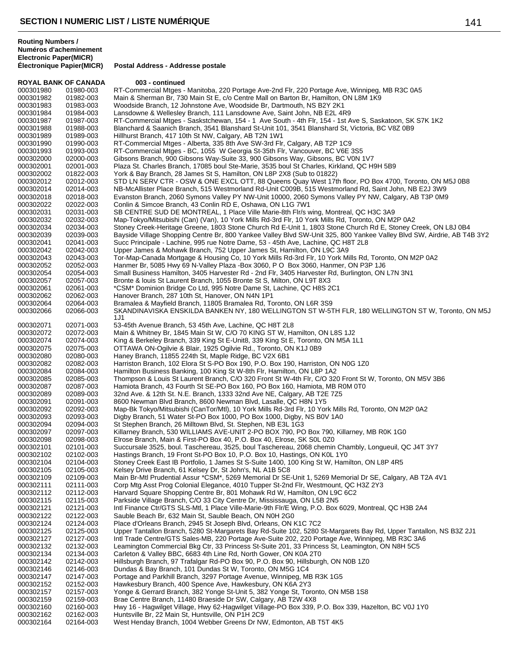| <b>ROYAL BANK OF CANADA</b> |           | 003 - continued                                                                                                        |
|-----------------------------|-----------|------------------------------------------------------------------------------------------------------------------------|
| 000301980                   | 01980-003 | RT-Commercial Mtges - Manitoba, 220 Portage Ave-2nd Flr, 220 Portage Ave, Winnipeg, MB R3C 0A5                         |
| 000301982                   | 01982-003 | Main & Sherman Br, 730 Main St E, c/o Centre Mall on Barton Br, Hamilton, ON L8M 1K9                                   |
| 000301983                   | 01983-003 | Woodside Branch, 12 Johnstone Ave, Woodside Br, Dartmouth, NS B2Y 2K1                                                  |
| 000301984                   | 01984-003 | Lansdowne & Wellesley Branch, 111 Lansdowne Ave, Saint John, NB E2L 4R9                                                |
| 000301987                   | 01987-003 | RT-Commercial Mtges - Saskstchewan, 154 - 1 Ave South - 4th Flr, 154 - 1st Ave S, Saskatoon, SK S7K 1K2                |
| 000301988                   | 01988-003 | Blanchard & Saanich Branch, 3541 Blanshard St-Unit 101, 3541 Blanshard St, Victoria, BC V8Z 0B9                        |
| 000301989                   | 01989-003 | Hillhurst Branch, 417 10th St NW, Calgary, AB T2N 1W1                                                                  |
| 000301990                   | 01990-003 | RT-Commercial Mtges - Alberta, 335 8th Ave SW-3rd Flr, Calgary, AB T2P 1C9                                             |
| 000301993                   | 01993-003 | RT-Commercial Mtges - BC, 1055 W Georgia St-35th Flr, Vancouver, BC V6E 3S5                                            |
| 000302000                   | 02000-003 | Gibsons Branch, 900 Gibsons Way-Suite 33, 900 Gibsons Way, Gibsons, BC V0N 1V7                                         |
| 000302001                   | 02001-003 | Plaza St. Charles Branch, 17085 boul Ste-Marie, 3535 boul St Charles, Kirkland, QC H9H 5B9                             |
| 000302002                   | 01822-003 | York & Bay Branch, 28 James St S, Hamilton, ON L8P 2X8 (Sub to 01822)                                                  |
| 000302012                   | 02012-003 | STD LN SERV CTR - OSW & ONE EXCL OTT, 88 Queens Quay West 17th floor, PO Box 4700, Toronto, ON M5J 0B8                 |
| 000302014                   | 02014-003 | NB-McAllister Place Branch, 515 Westmorland Rd-Unit C009B, 515 Westmorland Rd, Saint John, NB E2J 3W9                  |
| 000302018                   | 02018-003 | Evanston Branch, 2060 Symons Valley PY NW-Unit 10000, 2060 Symons Valley PY NW, Calgary, AB T3P 0M9                    |
| 000302022                   | 02022-003 | Conlin & Simcoe Branch, 43 Conlin RD E, Oshawa, ON L1G 7W1                                                             |
|                             |           |                                                                                                                        |
| 000302031                   | 02031-003 | SB CENTRE SUD DE MONTREAL, 1 Place Ville Marie-8th Flr/s wing, Montreal, QC H3C 3A9                                    |
| 000302032                   | 02032-003 | Map-Tokyo/Mitsubishi (Can) (Van), 10 York Mills Rd-3rd Flr, 10 York Mills Rd, Toronto, ON M2P 0A2                      |
| 000302034                   | 02034-003 | Stoney Creek-Heritage Greene, 1803 Stone Church Rd E-Unit 1, 1803 Stone Church Rd E, Stoney Creek, ON L8J 0B4          |
| 000302039                   | 02039-003 | Bayside Village Shopping Centre Br, 800 Yankee Valley Blvd SW-Unit 325, 800 Yankee Valley Blvd SW, Airdrie, AB T4B 3Y2 |
| 000302041                   | 02041-003 | Succ Principale - Lachine, 995 rue Notre Dame, 53 - 45th Ave, Lachine, QC H8T 2L8                                      |
| 000302042                   | 02042-003 | Upper James & Mohawk Branch, 752 Upper James St, Hamilton, ON L9C 3A9                                                  |
| 000302043                   | 02043-003 | Tor-Map-Canada Mortgage & Housing Co, 10 York Mills Rd-3rd Flr, 10 York Mills Rd, Toronto, ON M2P 0A2                  |
| 000302052                   | 02052-003 | Hanmer Br, 5085 Hwy 69 N-Valley Plaza -Box 3060, P O Box 3060, Hanmer, ON P3P 1J6                                      |
| 000302054                   | 02054-003 | Small Business Hamilton, 3405 Harvester Rd - 2nd Flr, 3405 Harvester Rd, Burlington, ON L7N 3N1                        |
| 000302057                   | 02057-003 | Bronte & Iouis St Laurent Branch, 1055 Bronte St S, Milton, ON L9T 8X3                                                 |
| 000302061                   | 02061-003 | *CSM* Dominion Bridge Co Ltd, 995 Notre Dame St, Lachine, QC H8S 2C1                                                   |
| 000302062                   | 02062-003 | Hanover Branch, 287 10th St, Hanover, ON N4N 1P1                                                                       |
| 000302064                   | 02064-003 | Bramalea & Mayfield Branch, 11805 Bramalea Rd, Toronto, ON L6R 3S9                                                     |
| 000302066                   | 02066-003 | SKANDINAVISKA ENSKILDA BANKEN NY, 180 WELLINGTON ST W-5TH FLR, 180 WELLINGTON ST W, Toronto, ON M5J                    |
|                             |           | 1J1                                                                                                                    |
| 000302071                   | 02071-003 | 53-45th Avenue Branch, 53 45th Ave, Lachine, QC H8T 2L8                                                                |
| 000302072                   | 02072-003 | Main & Whitney Br, 1845 Main St W, C/O 70 KING ST W, Hamilton, ON L8S 1J2                                              |
| 000302074                   | 02074-003 | King & Berkeley Branch, 339 King St E-Unit8, 339 King St E, Toronto, ON M5A 1L1                                        |
| 000302075                   | 02075-003 | OTTAWA ON-Ogilvie & Blair, 1925 Ogilvie Rd., Toronto, ON K1J 0B9                                                       |
| 000302080                   | 02080-003 | Haney Branch, 11855 224th St, Maple Ridge, BC V2X 6B1                                                                  |
| 000302082                   | 02082-003 | Harriston Branch, 102 Elora St S-PO Box 190, P.O. Box 190, Harriston, ON N0G 1Z0                                       |
| 000302084                   | 02084-003 | Hamilton Business Banking, 100 King St W-8th Flr, Hamilton, ON L8P 1A2                                                 |
| 000302085                   | 02085-003 | Thompson & Louis St Laurent Branch, C/O 320 Front St W-4th Flr, C/O 320 Front St W, Toronto, ON M5V 3B6                |
| 000302087                   | 02087-003 | Hamiota Branch, 43 Fourth St SE-PO Box 160, PO Box 160, Hamiota, MB ROM 0TO                                            |
| 000302089                   | 02089-003 | 32nd Ave. & 12th St. N.E. Branch, 1333 32nd Ave NE, Calgary, AB T2E 7Z5                                                |
| 000302091                   | 02091-003 | 8600 Newman Blvd Branch, 8600 Newman Blvd, Lasalle, QC H8N 1Y5                                                         |
|                             |           |                                                                                                                        |
| 000302092                   | 02092-003 | Map-Bk Tokyo/Mitsubishi (CanTor/Mtl), 10 York Mills Rd-3rd Flr, 10 York Mills Rd, Toronto, ON M2P 0A2                  |
| 000302093                   | 02093-003 | Digby Branch, 51 Water St-PO Box 1000, PO Box 1000, Digby, NS B0V 1A0                                                  |
| 000302094                   | 02094-003 | St Stephen Branch, 26 Milltown Blvd, St. Stephen, NB E3L 1G3                                                           |
| 000302097                   | 02097-003 | Killarney Branch, 530 WILLIAMS AVE-UNIT 2-PO BOX 790, PO Box 790, Killarney, MB R0K 1G0                                |
| 000302098                   | 02098-003 | Elrose Branch, Main & First-PO Box 40, P.O. Box 40, Elrose, SK S0L 0Z0                                                 |
| 000302101                   | 02101-003 | Succursale 3525, boul. Taschereau, 3525, boul Taschereau, 2068 chemin Chambly, Longueuil, QC J4T 3Y7                   |
| 000302102                   | 02102-003 | Hastings Branch, 19 Front St-PO Box 10, P.O. Box 10, Hastings, ON K0L 1Y0                                              |
| 000302104                   | 02104-003 | Stoney Creek East IB Portfolio, 1 James St S-Suite 1400, 100 King St W, Hamilton, ON L8P 4R5                           |
| 000302105                   | 02105-003 | Kelsey Drive Branch, 61 Kelsey Dr, St John's, NL A1B 5C8                                                               |
| 000302109                   | 02109-003 | Main Br-Mtl Prudential Assur *CSM*, 5269 Memorial Dr SE-Unit 1, 5269 Memorial Dr SE, Calgary, AB T2A 4V1               |
| 000302111                   | 02111-003 | Corp Mtg Asst Prog Colonial Elegance, 4010 Tupper St-2nd Flr, Westmount, QC H3Z 2Y3                                    |
| 000302112                   | 02112-003 | Harvard Square Shopping Centre Br, 801 Mohawk Rd W, Hamilton, ON L9C 6C2                                               |
| 000302115                   | 02115-003 | Parkside Village Branch, C/O 33 City Centre Dr, Mississauga, ON L5B 2N5                                                |
| 000302121                   | 02121-003 | Intl Finance Ctr/GTS SLS-Mtl, 1 Place Ville-Marie-9th Flr/E Wing, P.O. Box 6029, Montreal, QC H3B 2A4                  |
| 000302122                   | 02122-003 | Sauble Beach Br, 632 Main St, Sauble Beach, ON N0H 2G0                                                                 |
| 000302124                   | 02124-003 | Place d'Orleans Branch, 2945 St Joseph Blvd, Orleans, ON K1C 7C2                                                       |
| 000302125                   | 02125-003 | Upper Tantallon Branch, 5280 St-Margarets Bay Rd-Suite 102, 5280 St-Margarets Bay Rd, Upper Tantallon, NS B3Z 2J1      |
| 000302127                   | 02127-003 | Intl Trade Centre/GTS Sales-MB, 220 Portage Ave-Suite 202, 220 Portage Ave, Winnipeg, MB R3C 3A6                       |
| 000302132                   | 02132-003 | Leamington Commercial Bkg Ctr, 33 Princess St-Suite 201, 33 Princess St, Leamington, ON N8H 5C5                        |
| 000302134                   | 02134-003 | Carleton & Valley BBC, 6683 4th Line Rd, North Gower, ON K0A 2T0                                                       |
| 000302142                   | 02142-003 | Hillsburgh Branch, 97 Trafalgar Rd-PO Box 90, P.O. Box 90, Hillsburgh, ON N0B 1Z0                                      |
| 000302146                   | 02146-003 | Dundas & Bay Branch, 101 Dundas St W, Toronto, ON M5G 1C4                                                              |
| 000302147                   | 02147-003 | Portage and Parkhill Branch, 3297 Portage Avenue, Winnipeg, MB R3K 1G5                                                 |
| 000302152                   | 02152-003 | Hawkesbury Branch, 400 Spence Ave, Hawkesbury, ON K6A 2Y3                                                              |
| 000302157                   | 02157-003 | Yonge & Gerrard Branch, 382 Yonge St-Unit 5, 382 Yonge St, Toronto, ON M5B 1S8                                         |
| 000302159                   | 02159-003 | Brae Centre Branch, 11480 Braeside Dr SW, Calgary, AB T2W 4X8                                                          |
| 000302160                   | 02160-003 | Hwy 16 - Hagwilget Village, Hwy 62-Hagwilget Village-PO Box 339, P.O. Box 339, Hazelton, BC V0J 1Y0                    |
| 000302162                   | 02162-003 | Huntsville Br, 22 Main St, Huntsville, ON P1H 2C9                                                                      |
| 000302164                   | 02164-003 | West Henday Branch, 1004 Webber Greens Dr NW, Edmonton, AB T5T 4K5                                                     |
|                             |           |                                                                                                                        |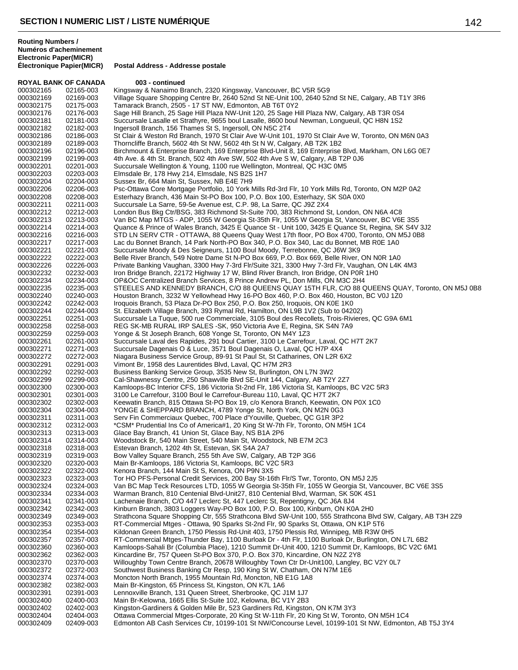**ROYAL BANK OF CANADA 003 - continued** 000302165 02165-003 Kingsway & Nanaimo Branch, 2320 Kingsway, Vancouver, BC V5R 5G9<br>000302169 02169-003 Village Square Shopping Centre Br, 2640 52nd St NE-Unit 100, 2640 52 000302169 02169-003 Village Square Shopping Centre Br, 2640 52nd St NE-Unit 100, 2640 52nd St NE, Calgary, AB T1Y 3R6<br>000302175 02175-003 Tamarack Branch. 2505 - 17 ST NW. Edmonton. AB T6T 0Y2 Tamarack Branch, 2505 - 17 ST NW, Edmonton, AB T6T 0Y2 000302176 02176-003 Sage Hill Branch, 25 Sage Hill Plaza NW-Unit 120, 25 Sage Hill Plaza NW, Calgary, AB T3R 0S4<br>000302181 02181-003 Succursale Lasalle et Strathyre, 9655 boul Lasalle, 8600 boul Newman, Longueuil, QC H8N 1 000302181 02181-003 Succursale Lasalle et Strathyre, 9655 boul Lasalle, 8600 boul Newman, Longueuil, QC H8N 1S2<br>000302182 02182-003 Ingersoll Branch, 156 Thames St S. Ingersoll, ON N5C 2T4 000302182 02182-003 Ingersoll Branch, 156 Thames St S, Ingersoll, ON N5C 2T4 000302186 02186-003 St Clair & Weston Rd Branch, 1970 St Clair Ave W-Unit 101, 1970 St Clair Ave W, Toronto, ON M6N 0A3<br>000302189 02189-003 Thorncliffe Branch. 5602 4th St NW. 5602 4th St N W. Calgary. AB T2K 1B2 Thorncliffe Branch, 5602 4th St NW, 5602 4th St N W, Calgary, AB T2K 1B2 000302196 02196-003 Birchmount & Enterprise Branch, 169 Enterprise Blvd-Unit 8, 169 Enterprise Blvd, Markham, ON L6G 0E7<br>000302199 02199-003 4th Ave. & 4th St. Branch, 502 4th Ave SW, 502 4th Ave SW, Calgary, AB T2P 0J6 000302199 02199-003 4th Ave. & 4th St. Branch, 502 4th Ave SW, 502 4th Ave S W, Calgary, AB T2P 0J6<br>000302201 02201-003 Succursale Wellington & Young, 1100 rue Wellington, Montreal, QC H3C 0M5 000302201 02201-003 Succursale Wellington & Young, 1100 rue Wellington, Montreal, QC H3C 0M5<br>000302203 02203-003 Elmsdale Br, 178 Hwy 214, Elmsdale, NS B2S 1H7 000302203 02203-003 Elmsdale Br, 178 Hwy 214, Elmsdale, NS B2S 1H7 000302204 02204-003 Sussex Br, 664 Main St, Sussex, NB E4E 7H9<br>000302206 02206-003 Psc-Ottawa Core Mortgage Portfolio, 10 York N 000302206 02206-003 Psc-Ottawa Core Mortgage Portfolio, 10 York Mills Rd-3rd Flr, 10 York Mills Rd, Toronto, ON M2P 0A2<br>000302208 02208-003 Esterhazy Branch, 436 Main St-PO Box 100, P.O. Box 100, Esterhazy, SK S0A 0X0 000302208 02208-003 Esterhazy Branch, 436 Main St-PO Box 100, P.O. Box 100, Esterhazy, SK S0A 0X0<br>000302211 02211-003 Succursale La Sarre, 59-5e Avenue est, C.P. 98, La Sarre, QC J9Z 2X4 000302211 02211-003 Succursale La Sarre, 59-5e Avenue est, C.P. 98, La Sarre, QC J9Z 2X4<br>000302212 02212-003 London Bus Bkg Ctr/BSG, 383 Richmond St-Suite 700, 383 Richmond S 000302212 02212-003 London Bus Bkg Ctr/BSG, 383 Richmond St-Suite 700, 383 Richmond St, London, ON N6A 4C8<br>000302213 02213-003 Van BC Map MTGS - ADP, 1055 W Georgia St-35th Flr, 1055 W Georgia St, Vancouver, BC V6E 000302213 02213-003 Van BC Map MTGS - ADP, 1055 W Georgia St-35th Flr, 1055 W Georgia St, Vancouver, BC V6E 3S5<br>000302214 02214-003 Quance & Prince of Wales Branch, 3425 E Quance St - Unit 100, 3425 E Quance St, Regina, SK 000302214 02214-003 Quance & Prince of Wales Branch, 3425 E Quance St - Unit 100, 3425 E Quance St, Regina, SK S4V 3J2<br>000302216 02216-003 STD LN SERV CTR - OTTAWA. 88 Queens Quav West 17th floor. PO Box 4700. Toronto. ON 000302216 02216-003 STD LN SERV CTR - OTTAWA, 88 Queens Quay West 17th floor, PO Box 4700, Toronto, ON M5J 0B8<br>000302217 02217-003 Lac du Bonnet Branch, 14 Park North-PO Box 340, P.O. Box 340, Lac du Bonnet, MB R0E 1A0 000302217 02217-003 Lac du Bonnet Branch, 14 Park North-PO Box 340, P.O. Box 340, Lac du Bonnet, MB R0E 1A0<br>000302221 02221-003 Succursale Moody & Des Seigneurs, 1100 Boul Moody, Terrebonne, QC J6W 3K9 000302221 02221-003 Succursale Moody & Des Seigneurs, 1100 Boul Moody, Terrebonne, QC J6W 3K9<br>000302222 02222-003 Belle River Branch, 549 Notre Dame St N-PO Box 669, P.O. Box 669, Belle River. 000302222 02222-003 Belle River Branch, 549 Notre Dame St N-PO Box 669, P.O. Box 669, Belle River, ON N0R 1A0<br>000302226 02226-003 Private Banking Vaughan, 3300 Hwy 7-3rd Flr/Suite 321, 3300 Hwy 7-3rd Flr, Vaughan, ON L4K 000302226 02226-003 Private Banking Vaughan, 3300 Hwy 7-3rd Flr/Suite 321, 3300 Hwy 7-3rd Flr, Vaughan, ON L4K 4M3<br>000302232 02232-003 Iron Bridge Branch, 22172 Highway 17 W. Blind River Branch, Iron Bridge, ON P0R 1H0 Iron Bridge Branch, 22172 Highway 17 W, Blind River Branch, Iron Bridge, ON P0R 1H0 000302234 02234-003 OP&OC Centralized Branch Services, 8 Prince Andrew PL, Don Mills, ON M3C 2H4<br>000302235 02235-003 STEELES AND KENNEDY BRANCH, C/O 88 QUEENS QUAY 15TH FLR, C/O 88 Q 000302235 02235-003 STEELES AND KENNEDY BRANCH, C/O 88 QUEENS QUAY 15TH FLR, C/O 88 QUEENS QUAY, Toronto, ON M5J 0B8<br>000302240 02240-003 Houston Branch, 3232 W Yellowhead Hwy 16-PO Box 460, P.O. Box 460, Houston, BC V0J 1Z 000302240 02240-003 Houston Branch, 3232 W Yellowhead Hwy 16-PO Box 460, P.O. Box 460, Houston, BC V0J 1Z0<br>000302242 02242-003 Iroquois Branch, 53 Plaza Dr-PO Box 250, P.O. Box 250, Iroquois, ON K0E 1K0 000302242 02242-003 Iroquois Branch, 53 Plaza Dr-PO Box 250, P.O. Box 250, Iroquois, ON K0E 1K0<br>000302244 02244-003 St. Elizabeth Village Branch. 393 Rymal Rd. Hamilton. ON L9B 1V2 (Sub to 042 St. Elizabeth Village Branch, 393 Rymal Rd, Hamilton, ON L9B 1V2 (Sub to 04202) 000302251 02251-003 Succursale La Tuque, 500 rue Commerciale, 3105 Boul des Recollets, Trois-Rivieres, QC G9A 6M1<br>000302258 02258-003 REG SK-MB RURAL IRP SALES -SK, 950 Victoria Ave E, Regina, SK S4N 7A9 000302258 02258-003 REG SK-MB RURAL IRP SALES -SK, 950 Victoria Ave E, Regina, SK S4N 7A9<br>000302259 02259-003 Yonge & St Joseph Branch, 608 Yonge St, Toronto, ON M4Y 1Z3 000302259 02259-003 Yonge & St Joseph Branch, 608 Yonge St, Toronto, ON M4Y 1Z3 000302261 02261-003 Succursale Laval des Rapides, 291 boul Cartier, 3100 Le Carrefour, Laval, QC H7T 2K7<br>000302271 02271-003 Succursale Dagenais O & Luce, 3571 Boul Dagenais O, Laval, QC H7P 4X4 000302271 02271-003 Succursale Dagenais O & Luce, 3571 Boul Dagenais O, Laval, QC H7P 4X4<br>000302272 02272-003 Niagara Business Service Group, 89-91 St Paul St, St Catharines, ON L2R 6 000302272 02272-003 Niagara Business Service Group, 89-91 St Paul St, St Catharines, ON L2R 6X2<br>000302291 02291-003 Vimont Br, 1958 des Laurentides Blvd, Laval, QC H7M 2R3 000302291 02291-003 Vimont Br, 1958 des Laurentides Blvd, Laval, QC H7M 2R3<br>000302292 02292-003 Business Banking Service Group, 3535 New St, Burlington, 000302292 02292-003 Business Banking Service Group, 3535 New St, Burlington, ON L7N 3W2<br>000302299 02299-003 Cal-Shawnessy Centre, 250 Shawville Blvd SE-Unit 144, Calgary, AB T2Y 000302299 02299-003 Cal-Shawnessy Centre, 250 Shawville Blvd SE-Unit 144, Calgary, AB T2Y 2Z7 000302300 02300-003 Kamloops-BC Interior CFS, 186 Victoria St-2nd Flr, 186 Victoria St, Kamloops, BC V2C 5R3<br>000302301 02301-003 3100 Le Carrefour, 3100 Boul le Carrefour-Bureau 110, Laval, QC H7T 2K7 000302301 02301-003 3100 Le Carrefour, 3100 Boul le Carrefour-Bureau 110, Laval, QC H7T 2K7<br>000302302 02302-003 Keewatin Branch, 815 Ottawa St-PO Box 19, c/o Kenora Branch, Keewatin, Keewatin Branch, 815 Ottawa St-PO Box 19, c/o Kenora Branch, Keewatin, ON P0X 1C0 000302304 02304-003 YONGE & SHEPPARD BRANCH, 4789 Yonge St, North York, ON M2N 0G3<br>000302311 02311-003 Serv Fin Commerciaux Quebec, 700 Place d'Youville, Quebec, QC G1R 3P2 000302311 02311-003 Serv Fin Commerciaux Quebec, 700 Place d'Youville, Quebec, QC G1R 3P2 000302312 02312-003 \*CSM\* Prudential Ins Co of America#1, 20 King St W-7th Flr, Toronto, ON M5H 1C4<br>000302313 02313-003 Glace Bay Branch, 41 Union St, Glace Bay, NS B1A 2P6 000302313 02313-003 Glace Bay Branch, 41 Union St, Glace Bay, NS B1A 2P6 000302314 02314-003 Woodstock Br, 540 Main Street, 540 Main St, Woodstock, NB E7M 2C3<br>000302318 02318-003 Estevan Branch, 1202 4th St, Estevan, SK S4A 2A7 000302318 02318-003 Estevan Branch, 1202 4th St, Estevan, SK S4A 2A7 000302319 02319-003 Bow Valley Square Branch, 255 5th Ave SW, Calgary, AB T2P 3G6<br>000302320 02320-003 Main Br-Kamloops, 186 Victoria St, Kamloops, BC V2C 5R3 000302320 02320-003 Main Br-Kamloops, 186 Victoria St, Kamloops, BC V2C 5R3<br>000302322 02322-003 Kenora Branch, 144 Main St S, Kenora, ON P9N 3X5 000302322 02322-003 Kenora Branch, 144 Main St S, Kenora, ON P9N 3X5 Tor HO PFS-Personal Credit Services, 200 Bay St-16th Flr/S Twr, Toronto, ON M5J 2J5 000302324 02324-003 Van BC Map Teck Resources LTD, 1055 W Georgia St-35th Flr, 1055 W Georgia St, Vancouver, BC V6E 3S5<br>000302334 02334-003 Warman Branch, 810 Centenial Blvd-Unit27, 810 Centenial Blvd, Warman, SK S0K 4S1 000302334 02334-003 Warman Branch, 810 Centenial Blvd-Unit27, 810 Centenial Blvd, Warman, SK S0K 4S1<br>000302341 02341-003 Lachenaie Branch, C/O 447 Leclerc St, 447 Leclerc St, Repentigny, QC J6A 8J4 000302341 02341-003 Lachenaie Branch, C/O 447 Leclerc St, 447 Leclerc St, Repentigny, QC J6A 8J4 000302342 02342-003 Kinburn Branch, 3803 Loggers Way-PO Box 100, P.O. Box 100, Kinburn, ON K0A 2H0 000302349 02349-003 Strathcona Square Shopping Ctr, 555 Strathcona Blvd SW-Unit 100, 555 Strathcona Blvd SW, Calgary, AB T3H 2Z9<br>000302353 02353-003 RT-Commercial Mtges - Ottawa, 90 Sparks St-2nd Flr, 90 Sparks St, Ottawa, 000302353 02353-003 RT-Commercial Mtges - Ottawa, 90 Sparks St-2nd Flr, 90 Sparks St, Ottawa, ON K1P 5T6 000302354 02354-003 Kildonan Green Branch, 1750 Plessis Rd-Unit 403, 1750 Plessis Rd, Winnipeg, MB R3W 0H5<br>000302357 02357-003 RT-Commercial Mtges-Thunder Bay, 1100 Burloak Dr - 4th Flr, 1100 Burloak Dr, Burlington, C 000302357 02357-003 RT-Commercial Mtges-Thunder Bay, 1100 Burloak Dr - 4th Flr, 1100 Burloak Dr, Burlington, ON L7L 6B2 000302360 02360-003 Kamloops-Sahali Br (Columbia Place), 1210 Summit Dr-Unit 400, 1210 Summit Dr, Kamloops, BC V2C 6M1<br>000302362 02362-003 Kincardine Br, 757 Queen St-PO Box 370, P.O. Box 370, Kincardine, ON N2Z 2Y8 000302362 02362-003 Kincardine Br, 757 Queen St-PO Box 370, P.O. Box 370, Kincardine, ON N2Z 2Y8 000302370 02370-003 Willoughby Town Centre Branch, 20678 Willoughby Town Ctr Dr-Unit100, Langley, BC V2Y 0L7<br>000302372 02372-003 Southwest Business Banking Ctr Resp. 190 King St W. Chatham. ON N7M 1E6 000302372 02372-003 Southwest Business Banking Ctr Resp, 190 King St W, Chatham, ON N7M 1E6<br>000302374 02374-003 Moncton North Branch, 1955 Mountain Rd, Moncton, NB E1G 1A8 000302374 02374-003 Moncton North Branch, 1955 Mountain Rd, Moncton, NB E1G 1A8<br>000302382 02382-003 Main Br-Kingston, 65 Princess St, Kingston, ON K7L 1A6 000302382 02382-003 Main Br-Kingston, 65 Princess St, Kingston, ON K7L 1A6 000302391 02391-003 Lennoxville Branch, 131 Queen Street, Sherbrooke, QC J1M 1J7 000302400 02400-003 Main Br-Kelowna, 1665 Ellis St-Suite 102, Kelowna, BC V1Y 2B3 Kingston-Gardiners & Golden Mile Br, 523 Gardiners Rd, Kingston, ON K7M 3Y3 000302404 02404-003 Ottawa Commercial Mtges-Corporate, 20 King St W-11th Flr, 20 King St W, Toronto, ON M5H 1C4<br>000302409 02409-003 Edmonton AB Cash Services Ctr, 10199-101 St NW/Concourse Level, 10199-101 St NW, Edmonto Edmonton AB Cash Services Ctr, 10199-101 St NW/Concourse Level, 10199-101 St NW, Edmonton, AB T5J 3Y4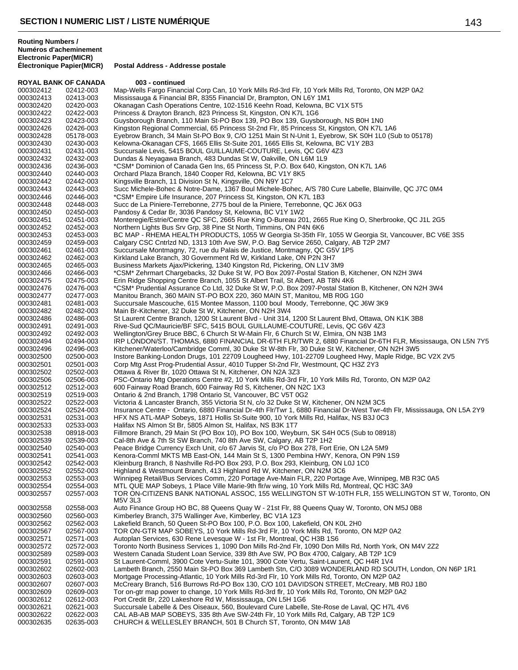**Électronique Papier(MICR) Postal Address - Addresse postale**

| <b>ROYAL BANK OF CANADA</b> |                        | 003 - continued                                                                                                                                                                                                  |
|-----------------------------|------------------------|------------------------------------------------------------------------------------------------------------------------------------------------------------------------------------------------------------------|
| 000302412                   | 02412-003              | Map-Wells Fargo Financial Corp Can, 10 York Mills Rd-3rd Flr, 10 York Mills Rd, Toronto, ON M2P 0A2                                                                                                              |
| 000302413                   | 02413-003              | Mississauga & Financial BR, 8355 Financial Dr, Brampton, ON L6Y 1M1                                                                                                                                              |
| 000302420                   | 02420-003              | Okanagan Cash Operations Centre, 102-1516 Keehn Road, Kelowna, BC V1X 5T5                                                                                                                                        |
| 000302422                   | 02422-003              | Princess & Drayton Branch, 823 Princess St, Kingston, ON K7L 1G6                                                                                                                                                 |
| 000302423<br>000302426      | 02423-003              | Guysborough Branch, 110 Main St-PO Box 139, PO Box 139, Guysborough, NS B0H 1N0<br>Kingston Regional Commercial, 65 Princess St-2nd Flr, 85 Princess St, Kingston, ON K7L 1A6                                    |
| 000302428                   | 02426-003<br>05178-003 | Eyebrow Branch, 34 Main St-PO Box 9, C/O 1251 Main St N-Unit 1, Eyebrow, SK S0H 1L0 (Sub to 05178)                                                                                                               |
| 000302430                   | 02430-003              | Kelowna-Okanagan CFS, 1665 Ellis St-Suite 201, 1665 Ellis St, Kelowna, BC V1Y 2B3                                                                                                                                |
| 000302431                   | 02431-003              | Succursale Levis, 5415 BOUL GUILLAUME-COUTURE, Levis, QC G6V 4Z3                                                                                                                                                 |
| 000302432                   | 02432-003              | Dundas & Neyagawa Branch, 483 Dundas St W, Oakville, ON L6M 1L9                                                                                                                                                  |
| 000302436                   | 02436-003              | *CSM* Dominion of Canada Gen Ins, 65 Princess St, P.O. Box 640, Kingston, ON K7L 1A6                                                                                                                             |
| 000302440                   | 02440-003              | Orchard Plaza Branch, 1840 Cooper Rd, Kelowna, BC V1Y 8K5                                                                                                                                                        |
| 000302442                   | 02442-003              | Kingsville Branch, 11 Division St N, Kingsville, ON N9Y 1C7                                                                                                                                                      |
| 000302443<br>000302446      | 02443-003<br>02446-003 | Succ Michele-Bohec & Notre-Dame, 1367 Boul Michele-Bohec, A/S 780 Cure Labelle, Blainville, QC J7C 0M4<br>*CSM* Empire Life Insurance, 207 Princess St, Kingston, ON K7L 1B3                                     |
| 000302448                   | 02448-003              | Succ de La Piniere-Terrebonne, 2775 boul de la Piniere, Terrebonne, QC J6X 0G3                                                                                                                                   |
| 000302450                   | 02450-003              | Pandosy & Cedar Br, 3036 Pandosy St, Kelowna, BC V1Y 1W2                                                                                                                                                         |
| 000302451                   | 02451-003              | Monteregie/Estrie/Centre QC SFC, 2665 Rue King O-Bureau 201, 2665 Rue King O, Sherbrooke, QC J1L 2G5                                                                                                             |
| 000302452                   | 02452-003              | Northern Lights Bus Srv Grp, 38 Pine St North, Timmins, ON P4N 6K6                                                                                                                                               |
| 000302453                   | 02453-003              | BC MAP - RHEMA HEALTH PRODUCTS, 1055 W Georgia St-35th Flr, 1055 W Georgia St, Vancouver, BC V6E 3S5                                                                                                             |
| 000302459                   | 02459-003              | Calgary CSC Cntrlzd ND, 1313 10th Ave SW, P.O. Bag Service 2650, Calgary, AB T2P 2M7                                                                                                                             |
| 000302461                   | 02461-003              | Succursale Montmagny, 72, rue du Palais de Justice, Montmagny, QC G5V 1P5                                                                                                                                        |
| 000302462<br>000302465      | 02462-003<br>02465-003 | Kirkland Lake Branch, 30 Government Rd W, Kirkland Lake, ON P2N 3H7<br>Business Markets Ajax/Pickering, 1340 Kingston Rd, Pickering, ON L1V 3M9                                                                  |
| 000302466                   | 02466-003              | *CSM* Zehrmart Chargebacks, 32 Duke St W, PO Box 2097-Postal Station B, Kitchener, ON N2H 3W4                                                                                                                    |
| 000302475                   | 02475-003              | Erin Ridge Shopping Centre Branch, 1055 St Albert Trail, St Albert, AB T8N 4K6                                                                                                                                   |
| 000302476                   | 02476-003              | *CSM* Prudential Assurance Co Ltd, 32 Duke St W, P.O. Box 2097-Postal Station B, Kitchener, ON N2H 3W4                                                                                                           |
| 000302477                   | 02477-003              | Manitou Branch, 360 MAIN ST-PO BOX 220, 360 MAIN ST, Manitou, MB R0G 1G0                                                                                                                                         |
| 000302481                   | 02481-003              | Succursale Mascouche, 615 Montee Masson, 1100 boul Moody, Terrebonne, QC J6W 3K9                                                                                                                                 |
| 000302482                   | 02482-003              | Main Br-Kitchener, 32 Duke St W, Kitchener, ON N2H 3W4                                                                                                                                                           |
| 000302486<br>000302491      | 02486-003<br>02491-003 | St Laurent Centre Branch, 1200 St Laurent Blvd - Unit 314, 1200 St Laurent Blvd, Ottawa, ON K1K 3B8<br>Rive-Sud QC/Mauricie/BF SFC, 5415 BOUL GUILLAUME-COUTURE, Levis, QC G6V 4Z3                               |
| 000302492                   | 02492-003              | Wellington/Grey Bruce BBC, 6 Church St W-Main Flr, 6 Church St W, Elmira, ON N3B 1M3                                                                                                                             |
| 000302494                   | 02494-003              | IRP LONDON/ST. THOMAS, 6880 FINANCIAL DR-6TH FLR/TWR 2, 6880 Financial Dr-6TH FLR, Mississauga, ON L5N 7Y5                                                                                                       |
| 000302496                   | 02496-003              | Kitchener/Waterloo/Cambridge Comml, 30 Duke St W-8th Flr, 30 Duke St W, Kitchener, ON N2H 3W5                                                                                                                    |
| 000302500                   | 02500-003              | Instore Banking-London Drugs, 101 22709 Lougheed Hwy, 101-22709 Lougheed Hwy, Maple Ridge, BC V2X 2V5                                                                                                            |
| 000302501                   | 02501-003              | Corp Mtg Asst Prog-Prudential Assur, 4010 Tupper St-2nd Flr, Westmount, QC H3Z 2Y3                                                                                                                               |
| 000302502<br>000302506      | 02502-003<br>02506-003 | Ottawa & River Br, 1020 Ottawa St N, Kitchener, ON N2A 3Z3<br>PSC-Ontario Mtg Operations Centre #2, 10 York Mills Rd-3rd Flr, 10 York Mills Rd, Toronto, ON M2P 0A2                                              |
| 000302512                   | 02512-003              | 600 Fairway Road Branch, 600 Fairway Rd S, Kitchener, ON N2C 1X3                                                                                                                                                 |
| 000302519                   | 02519-003              | Ontario & 2nd Branch, 1798 Ontario St, Vancouver, BC V5T 0G2                                                                                                                                                     |
| 000302522                   | 02522-003              | Victoria & Lancaster Branch, 355 Victoria St N, c/o 32 Duke St W, Kitchener, ON N2M 3C5                                                                                                                          |
| 000302524                   | 02524-003              | Insurance Centre - Ontario, 6880 Financial Dr-4th Flr/Twr 1, 6880 Financial Dr-West Twr-4th Flr, Mississauga, ON L5A 2Y9                                                                                         |
| 000302531                   | 02531-003              | HFX NS ATL-MAP Sobeys, 1871 Hollis St-Suite 900, 10 York Mills Rd, Halifax, NS B3J 0C3                                                                                                                           |
| 000302533                   | 02533-003              | Halifax NS Almon St Br, 5805 Almon St, Halifax, NS B3K 1T7                                                                                                                                                       |
| 000302538<br>000302539      | 08918-003<br>02539-003 | Fillmore Branch, 29 Main St (PO Box 10), PO Box 100, Weyburn, SK S4H 0C5 (Sub to 08918)<br>Cal-8th Ave & 7th St SW Branch, 740 8th Ave SW, Calgary, AB T2P 1H2                                                   |
| 000302540                   | 02540-003              | Peace Bridge Currency Exch Unit, c/o 67 Jarvis St, c/o PO Box 278, Fort Erie, ON L2A 5M9                                                                                                                         |
| 000302541                   | 02541-003              | Kenora-Comml MKTS MB East-ON, 144 Main St S, 1300 Pembina HWY, Kenora, ON P9N 1S9                                                                                                                                |
| 000302542                   | 02542-003              | Kleinburg Branch, 8 Nashville Rd-PO Box 293, P.O. Box 293, Kleinburg, ON L0J 1C0                                                                                                                                 |
| 000302552                   | 02552-003              | Highland & Westmount Branch, 413 Highland Rd W, Kitchener, ON N2M 3C6                                                                                                                                            |
| 000302553                   | 02553-003              | Winnipeg Retail/Bus Services Comm, 220 Portage Ave-Main FLR, 220 Portage Ave, Winnipeg, MB R3C 0A5                                                                                                               |
| 000302554<br>000302557      | 02554-003<br>02557-003 | MTL QUE MAP Sobeys, 1 Place Ville Marie-9th flr/w wing, 10 York Mills Rd, Montreal, QC H3C 3A9<br>TOR ON-CITIZENS BANK NATIONAL ASSOC, 155 WELLINGTON ST W-10TH FLR, 155 WELLINGTON ST W, Toronto, ON<br>M5V 3L3 |
| 000302558                   | 02558-003              | Auto Finance Group HO BC, 88 Queens Quay W - 21st Flr, 88 Queens Quay W, Toronto, ON M5J 0B8                                                                                                                     |
| 000302560                   | 02560-003              | Kimberley Branch, 375 Wallinger Ave, Kimberley, BC V1A 1Z3                                                                                                                                                       |
| 000302562                   | 02562-003              | Lakefield Branch, 50 Queen St-PO Box 100, P.O. Box 100, Lakefield, ON K0L 2H0                                                                                                                                    |
| 000302567                   | 02567-003              | TOR ON-GTR MAP SOBEYS, 10 York Mills Rd-3rd Flr, 10 York Mills Rd, Toronto, ON M2P 0A2                                                                                                                           |
| 000302571<br>000302572      | 02571-003<br>02572-003 | Autoplan Services, 630 Rene Levesque W - 1st Flr, Montreal, QC H3B 1S6<br>Toronto North Business Services 1, 1090 Don Mills Rd-2nd Flr, 1090 Don Mills Rd, North York, ON M4V 2Z2                                |
| 000302589                   | 02589-003              | Western Canada Student Loan Service, 339 8th Ave SW, PO Box 4700, Calgary, AB T2P 1C9                                                                                                                            |
| 000302591                   | 02591-003              | St Laurent-Comml, 3900 Cote Vertu-Suite 101, 3900 Cote Vertu, Saint-Laurent, QC H4R 1V4                                                                                                                          |
| 000302602                   | 02602-003              | Lambeth Branch, 2550 Main St-PO Box 369 Lambeth Stn, C/O 3089 WONDERLAND RD SOUTH, London, ON N6P 1R1                                                                                                            |
| 000302603                   | 02603-003              | Mortgage Processing-Atlantic, 10 York Mills Rd-3rd Flr, 10 York Mills Rd, Toronto, ON M2P 0A2                                                                                                                    |
| 000302607                   | 02607-003              | McCreary Branch, 516 Burrows Rd-PO Box 130, C/O 101 DAVIDSON STREET, McCreary, MB R0J 1B0                                                                                                                        |
| 000302609                   | 02609-003              | Tor on-gtr map power to change, 10 York Mills Rd-3rd flr, 10 York Mills Rd, Toronto, ON M2P 0A2                                                                                                                  |
| 000302612<br>000302621      | 02612-003<br>02621-003 | Port Credit Br, 220 Lakeshore Rd W, Mississauga, ON L5H 1G6<br>Succursale Labelle & Des Oiseaux, 560, Boulevard Cure Labelle, Ste-Rose de Laval, QC H7L 4V6                                                      |
| 000302622                   | 02622-003              | CAL AB-AB MAP SOBEYS, 335 8th Ave SW-24th Flr, 10 York Mills Rd, Calgary, AB T2P 1C9                                                                                                                             |
| 000302635                   | 02635-003              | CHURCH & WELLESLEY BRANCH, 501 B Church ST, Toronto, ON M4W 1A8                                                                                                                                                  |
|                             |                        |                                                                                                                                                                                                                  |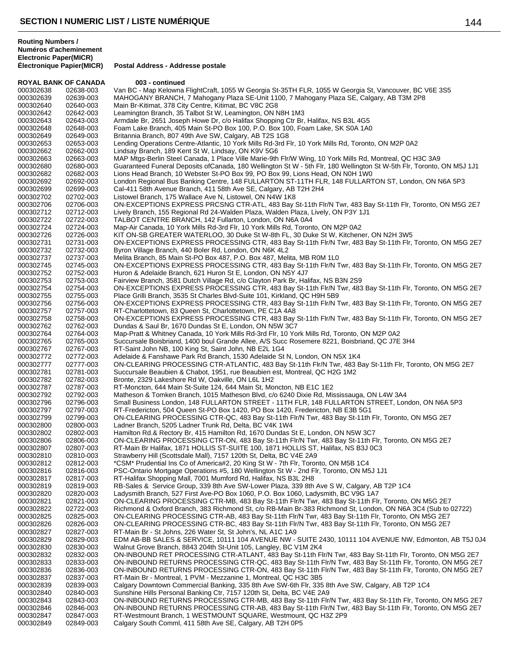**Électronique Papier(MICR) Postal Address - Addresse postale**

| <b>ROYAL BANK OF CANADA</b> |                        | 003 - continued                                                                                                                                                                                                        |
|-----------------------------|------------------------|------------------------------------------------------------------------------------------------------------------------------------------------------------------------------------------------------------------------|
| 000302638                   | 02638-003              | Van BC - Map Kelowna FlightCraft, 1055 W Georgia St-35TH FLR, 1055 W Georgia St, Vancouver, BC V6E 3S5                                                                                                                 |
| 000302639                   | 02639-003              | MAHOGANY BRANCH, 7 Mahogany Plaza SE-Unit 1100, 7 Mahogany Plaza SE, Calgary, AB T3M 2P8                                                                                                                               |
| 000302640                   | 02640-003              | Main Br-Kitimat, 378 City Centre, Kitimat, BC V8C 2G8                                                                                                                                                                  |
| 000302642<br>000302643      | 02642-003              | Leamington Branch, 35 Talbot St W, Leamington, ON N8H 1M3<br>Armdale Br, 2651 Joseph Howe Dr, c/o Halifax Shopping Ctr Br, Halifax, NS B3L 4G5                                                                         |
| 000302648                   | 02643-003<br>02648-003 | Foam Lake Branch, 405 Main St-PO Box 100, P.O. Box 100, Foam Lake, SK S0A 1A0                                                                                                                                          |
| 000302649                   | 02649-003              | Britannia Branch, 807 49th Ave SW, Calgary, AB T2S 1G8                                                                                                                                                                 |
| 000302653                   | 02653-003              | Lending Operations Centre-Atlantic, 10 York Mills Rd-3rd Flr, 10 York Mills Rd, Toronto, ON M2P 0A2                                                                                                                    |
| 000302662                   | 02662-003              | Lindsay Branch, 189 Kent St W, Lindsay, ON K9V 5G6                                                                                                                                                                     |
| 000302663                   | 02663-003              | MAP Mtgs-Berlin Steel Canada, 1 Place Ville Marie-9th Flr/W Wing, 10 York Mills Rd, Montreal, QC H3C 3A9                                                                                                               |
| 000302680                   | 02680-003              | Guaranteed Funeral Deposits ofCanada, 180 Wellington St W - 5th Flr, 180 Wellington St W-5th Flr, Toronto, ON M5J 1J1                                                                                                  |
| 000302682                   | 02682-003              | Lions Head Branch, 10 Webster St-PO Box 99, PO Box 99, Lions Head, ON N0H 1W0                                                                                                                                          |
| 000302692                   | 02692-003              | London Regional Bus Banking Centre, 148 FULLARTON ST-11TH FLR, 148 FULLARTON ST, London, ON N6A 5P3                                                                                                                    |
| 000302699<br>000302702      | 02699-003<br>02702-003 | Cal-411 58th Avenue Branch, 411 58th Ave SE, Calgary, AB T2H 2H4<br>Listowel Branch, 175 Wallace Ave N, Listowel, ON N4W 1K8                                                                                           |
| 000302706                   | 02706-003              | ON-EXCEPTIONS EXPRESS PRCSNG CTR-ATL, 483 Bay St-11th Flr/N Twr, 483 Bay St-11th Flr, Toronto, ON M5G 2E7                                                                                                              |
| 000302712                   | 02712-003              | Lively Branch, 155 Regional Rd 24-Walden Plaza, Walden Plaza, Lively, ON P3Y 1J1                                                                                                                                       |
| 000302722                   | 02722-003              | TALBOT CENTRE BRANCH, 142 Fullarton, London, ON N6A 0A4                                                                                                                                                                |
| 000302724                   | 02724-003              | Map-Air Canada, 10 York Mills Rd-3rd Flr, 10 York Mills Rd, Toronto, ON M2P 0A2                                                                                                                                        |
| 000302726                   | 02726-003              | KIT ON-SB GREATER WATERLOO, 30 Duke St W-8th FL, 30 Duke St W, Kitchener, ON N2H 3W5                                                                                                                                   |
| 000302731                   | 02731-003              | ON-EXCEPTIONS EXPRESS PROCESSING CTR, 483 Bay St-11th Flr/N Twr, 483 Bay St-11th Flr, Toronto, ON M5G 2E7                                                                                                              |
| 000302732                   | 02732-003              | Byron Village Branch, 440 Boler Rd, London, ON N6K 4L2                                                                                                                                                                 |
| 000302737<br>000302745      | 02737-003<br>02745-003 | Melita Branch, 85 Main St-PO Box 487, P.O. Box 487, Melita, MB R0M 1L0<br>ON-EXCEPTIONS EXPRESS PROCESSING CTR, 483 Bay St-11th Flr/N Twr, 483 Bay St-11th Flr, Toronto, ON M5G 2E7                                    |
| 000302752                   | 02752-003              | Huron & Adelaide Branch, 621 Huron St E, London, ON N5Y 4J7                                                                                                                                                            |
| 000302753                   | 02753-003              | Fairview Branch, 3581 Dutch Village Rd, c/o Clayton Park Br, Halifax, NS B3N 2S9                                                                                                                                       |
| 000302754                   | 02754-003              | ON-EXCEPTIONS EXPRESS PROCESSING CTR, 483 Bay St-11th Flr/N Twr, 483 Bay St-11th Flr, Toronto, ON M5G 2E7                                                                                                              |
| 000302755                   | 02755-003              | Place Grilli Branch, 3535 St Charles Blvd-Suite 101, Kirkland, QC H9H 5B9                                                                                                                                              |
| 000302756                   | 02756-003              | ON-EXCEPTIONS EXPRESS PROCESSING CTR, 483 Bay St-11th Flr/N Twr, 483 Bay St-11th Flr, Toronto, ON M5G 2E7                                                                                                              |
| 000302757                   | 02757-003              | RT-Charlottetown, 83 Queen St, Charlottetown, PE C1A 4A8                                                                                                                                                               |
| 000302758<br>000302762      | 02758-003<br>02762-003 | ON-EXCEPTIONS EXPRESS PROCESSING CTR, 483 Bay St-11th Flr/N Twr, 483 Bay St-11th Flr, Toronto, ON M5G 2E7<br>Dundas & Saul Br, 1670 Dundas St E, London, ON N5W 3C7                                                    |
| 000302764                   | 02764-003              | Map-Pratt & Whitney Canada, 10 York Mills Rd-3rd Flr, 10 York Mills Rd, Toronto, ON M2P 0A2                                                                                                                            |
| 000302765                   | 02765-003              | Succursale Boisbriand, 1400 boul Grande Allee, A/S Succ Rosemere 8221, Boisbriand, QC J7E 3H4                                                                                                                          |
| 000302767                   | 02767-003              | RT-Saint John NB, 100 King St, Saint John, NB E2L 1G4                                                                                                                                                                  |
| 000302772                   | 02772-003              | Adelaide & Fanshawe Park Rd Branch, 1530 Adelaide St N, London, ON N5X 1K4                                                                                                                                             |
| 000302777                   | 02777-003              | ON-CLEARING PROCESSING CTR-ATLANTIC, 483 Bay St-11th Flr/N Twr, 483 Bay St-11th Flr, Toronto, ON M5G 2E7                                                                                                               |
| 000302781                   | 02781-003              | Succursale Beaubien & Chabot, 1951, rue Beaubien est, Montreal, QC H2G 1M2                                                                                                                                             |
| 000302782<br>000302787      | 02782-003<br>02787-003 | Bronte, 2329 Lakeshore Rd W, Oakville, ON L6L 1H2<br>RT-Moncton, 644 Main St-Suite 124, 644 Main St, Moncton, NB E1C 1E2                                                                                               |
| 000302792                   | 02792-003              | Matheson & Tomken Branch, 1015 Matheson Blvd, c/o 6240 Dixie Rd, Mississauga, ON L4W 3A4                                                                                                                               |
| 000302796                   | 02796-003              | Small Business London, 148 FULLARTON STREET - 11TH FLR, 148 FULLARTON STREET, London, ON N6A 5P3                                                                                                                       |
| 000302797                   | 02797-003              | RT-Fredericton, 504 Queen St-PO Box 1420, PO Box 1420, Fredericton, NB E3B 5G1                                                                                                                                         |
| 000302799                   | 02799-003              | ON-CLEARING PROCESSING CTR-QC, 483 Bay St-11th Flr/N Twr, 483 Bay St-11th Flr, Toronto, ON M5G 2E7                                                                                                                     |
| 000302800                   | 02800-003              | Ladner Branch, 5205 Ladner Trunk Rd, Delta, BC V4K 1W4                                                                                                                                                                 |
| 000302802                   | 02802-003              | Hamilton Rd.& Rectory Br, 415 Hamilton Rd, 1670 Dundas St E, London, ON N5W 3C7                                                                                                                                        |
| 000302806<br>000302807      | 02806-003<br>02807-003 | ON-CLEARING PROCESSING CTR-ON, 483 Bay St-11th Flr/N Twr, 483 Bay St-11th Flr, Toronto, ON M5G 2E7<br>RT-Main Br Halifax, 1871 HOLLIS ST-SUITE 100, 1871 HOLLIS ST, Halifax, NS B3J 0C3                                |
| 000302810                   | 02810-003              | Strawberry Hill (Scottsdale Mall), 7157 120th St, Delta, BC V4E 2A9                                                                                                                                                    |
| 000302812                   | 02812-003              | *CSM* Prudential Ins Co of America#2, 20 King St W - 7th Flr, Toronto, ON M5B 1C4                                                                                                                                      |
| 000302816                   | 02816-003              | PSC-Ontario Mortgage Operations #5, 180 Wellington St W - 2nd Flr, Toronto, ON M5J 1J1                                                                                                                                 |
| 000302817                   | 02817-003              | RT-Halifax Shopping Mall, 7001 Mumford Rd, Halifax, NS B3L 2H8                                                                                                                                                         |
| 000302819                   | 02819-003              | RB-Sales & Service Group, 339 8th Ave SW-Lower Plaza, 339 8th Ave S W, Calgary, AB T2P 1C4                                                                                                                             |
| 000302820                   | 02820-003              | Ladysmith Branch, 527 First Ave-PO Box 1060, P.O. Box 1060, Ladysmith, BC V9G 1A7                                                                                                                                      |
| 000302821<br>000302822      | 02821-003<br>02722-003 | ON-CLEARING PROCESSING CTR-MB, 483 Bay St-11th Flr/N Twr, 483 Bay St-11th Flr, Toronto, ON M5G 2E7<br>Richmond & Oxford Branch, 383 Richmond St, c/o RB-Main Br-383 Richmond St, London, ON N6A 3C4 (Sub to 02722)     |
| 000302825                   | 02825-003              | ON-CLEARING PROCESSING CTR-AB, 483 Bay St-11th Flr/N Twr, 483 Bay St-11th Flr, Toronto, ON M5G 2E7                                                                                                                     |
| 000302826                   | 02826-003              | ON-CLEARING PROCESSING CTR-BC, 483 Bay St-11th Flr/N Twr, 483 Bay St-11th Flr, Toronto, ON M5G 2E7                                                                                                                     |
| 000302827                   | 02827-003              | RT-Main Br - St Johns, 226 Water St, St John's, NL A1C 1A9                                                                                                                                                             |
| 000302829                   | 02829-003              | EDM AB-BB SALES & SERVICE, 10111 104 AVENUE NW - SUITE 2430, 10111 104 AVENUE NW, Edmonton, AB T5J 0J4                                                                                                                 |
| 000302830                   | 02830-003              | Walnut Grove Branch, 8843 204th St-Unit 105, Langley, BC V1M 2K4                                                                                                                                                       |
| 000302832                   | 02832-003              | ON-INBOUND RET PROCESSING CTR-ATLANT, 483 Bay St-11th Fir/N Twr, 483 Bay St-11th Fir, Toronto, ON M5G 2E7                                                                                                              |
| 000302833<br>000302836      | 02833-003              | ON-INBOUND RETURNS PROCESSING CTR-QC, 483 Bay St-11th Fir/N Twr, 483 Bay St-11th Fir, Toronto, ON M5G 2E7<br>ON-INBOUND RETURNS PROCESSING CTR-ON, 483 Bay St-11th Flr/N Twr, 483 Bay St-11th Flr, Toronto, ON M5G 2E7 |
| 000302837                   | 02836-003<br>02837-003 | RT-Main Br - Montreal, 1 PVM - Mezzanine 1, Montreal, QC H3C 3B5                                                                                                                                                       |
| 000302839                   | 02839-003              | Calgary Downtown Commercial Banking, 335 8th Ave SW-6th Flr, 335 8th Ave SW, Calgary, AB T2P 1C4                                                                                                                       |
| 000302840                   | 02840-003              | Sunshine Hills Personal Banking Ctr, 7157 120th St, Delta, BC V4E 2A9                                                                                                                                                  |
| 000302843                   | 02843-003              | ON-INBOUND RETURNS PROCESSING CTR-MB, 483 Bay St-11th Flr/N Twr, 483 Bay St-11th Flr, Toronto, ON M5G 2E7                                                                                                              |
| 000302846                   | 02846-003              | ON-INBOUND RETURNS PROCESSING CTR-AB, 483 Bay St-11th Flr/N Twr, 483 Bay St-11th Flr, Toronto, ON M5G 2E7                                                                                                              |
| 000302847                   | 02847-003              | RT-Westmount Branch, 1 WESTMOUNT SQUARE, Westmount, QC H3Z 2P9                                                                                                                                                         |
| 000302849                   | 02849-003              | Calgary South Comml, 411 58th Ave SE, Calgary, AB T2H 0P5                                                                                                                                                              |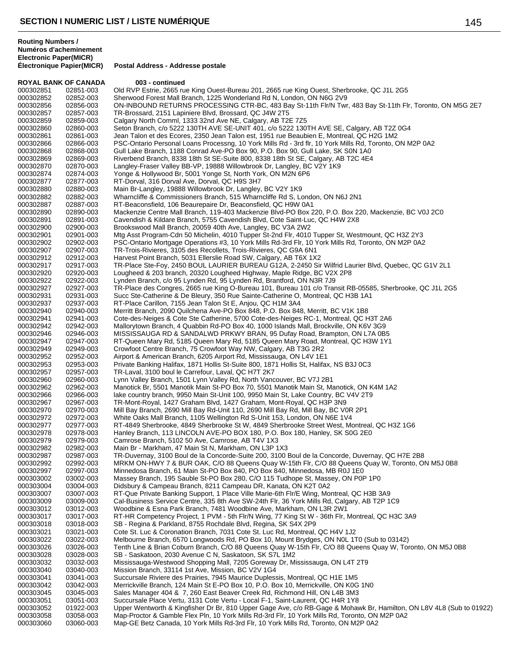**Électronique Papier(MICR) Postal Address - Addresse postale**

| <b>ROYAL BANK OF CANADA</b> |                        | 003 - continued                                                                                                                                                      |
|-----------------------------|------------------------|----------------------------------------------------------------------------------------------------------------------------------------------------------------------|
| 000302851                   | 02851-003              | Old RVP Estrie, 2665 rue King Ouest-Bureau 201, 2665 rue King Ouest, Sherbrooke, QC J1L 2G5                                                                          |
| 000302852                   | 02852-003              | Sherwood Forest Mall Branch, 1225 Wonderland Rd N, London, ON N6G 2V9                                                                                                |
| 000302856                   | 02856-003              | ON-INBOUND RETURNS PROCESSING CTR-BC, 483 Bay St-11th Flr/N Twr, 483 Bay St-11th Flr, Toronto, ON M5G 2E7                                                            |
| 000302857                   | 02857-003              | TR-Brossard, 2151 Lapiniere Blvd, Brossard, QC J4W 2T5                                                                                                               |
| 000302859                   | 02859-003              | Calgary North Comml, 1333 32nd Ave NE, Calgary, AB T2E 7Z5                                                                                                           |
| 000302860                   | 02860-003              | Seton Branch, c/o 5222 130TH AVE SE-UNIT 401, c/o 5222 130TH AVE SE, Calgary, AB T2Z 0G4                                                                             |
| 000302861                   | 02861-003              | Jean Talon et des Ecores, 2350 Jean Talon est, 1951 rue Beaubien E, Montreal, QC H2G 1M2                                                                             |
| 000302866                   | 02866-003              | PSC-Ontario Personal Loans Processng, 10 York Mills Rd - 3rd flr, 10 York Mills Rd, Toronto, ON M2P 0A2                                                              |
| 000302868<br>000302869      | 02868-003<br>02869-003 | Gull Lake Branch, 1188 Conrad Ave-PO Box 90, P.O. Box 90, Gull Lake, SK S0N 1A0<br>Riverbend Branch, 8338 18th St SE-Suite 800, 8338 18th St SE, Calgary, AB T2C 4E4 |
| 000302870                   | 02870-003              | Langley-Fraser Valley BB-VP, 19888 Willowbrook Dr, Langley, BC V2Y 1K9                                                                                               |
| 000302874                   | 02874-003              | Yonge & Hollywood Br, 5001 Yonge St, North York, ON M2N 6P6                                                                                                          |
| 000302877                   | 02877-003              | RT-Dorval, 316 Dorval Ave, Dorval, QC H9S 3H7                                                                                                                        |
| 000302880                   | 02880-003              | Main Br-Langley, 19888 Willowbrook Dr, Langley, BC V2Y 1K9                                                                                                           |
| 000302882                   | 02882-003              | Wharncliffe & Commissioners Branch, 515 Wharncliffe Rd S, London, ON N6J 2N1                                                                                         |
| 000302887                   | 02887-003              | RT-Beaconsfield, 106 Beaurepaire Dr, Beaconsfield, QC H9W 0A1                                                                                                        |
| 000302890                   | 02890-003              | Mackenzie Centre Mall Branch, 119-403 Mackenzie Blvd-PO Box 220, P.O. Box 220, Mackenzie, BC V0J 2C0                                                                 |
| 000302891                   | 02891-003              | Cavendish & Kildare Branch, 5755 Cavendish Blvd, Cote Saint-Luc, QC H4W 2X8                                                                                          |
| 000302900                   | 02900-003              | Brookswood Mall Branch, 20059 40th Ave, Langley, BC V3A 2W2                                                                                                          |
| 000302901                   | 02901-003              | Mtg Asst Program-Cdn 50 Michelin, 4010 Tupper St-2nd Flr, 4010 Tupper St, Westmount, QC H3Z 2Y3                                                                      |
| 000302902                   | 02902-003              | PSC-Ontario Mortgage Operations #3, 10 York Mills Rd-3rd Flr, 10 York Mills Rd, Toronto, ON M2P 0A2                                                                  |
| 000302907<br>000302912      | 02907-003<br>02912-003 | TR-Trois-Rivieres, 3105 des Recollets, Trois-Rivieres, QC G9A 6N1<br>Harvest Point Branch, 5031 Ellerslie Road SW, Calgary, AB T6X 1X2                               |
| 000302917                   | 02917-003              | TR-Place Ste-Foy, 2450 BOUL LAURIER BUREAU G12A, 2-2450 Sir Wilfrid Laurier Blvd, Quebec, QC G1V 2L1                                                                 |
| 000302920                   | 02920-003              | Lougheed & 203 branch, 20320 Lougheed Highway, Maple Ridge, BC V2X 2P8                                                                                               |
| 000302922                   | 02922-003              | Lynden Branch, c/o 95 Lynden Rd, 95 Lynden Rd, Brantford, ON N3R 7J9                                                                                                 |
| 000302927                   | 02927-003              | TR-Place des Congres, 2665 rue King O-Bureau 101, Bureau 101 c/o Transit RB-05585, Sherbrooke, QC J1L 2G5                                                            |
| 000302931                   | 02931-003              | Succ Ste-Catherine & De Bleury, 350 Rue Sainte-Catherine O, Montreal, QC H3B 1A1                                                                                     |
| 000302937                   | 02937-003              | RT-Place Carillon, 7155 Jean Talon St E, Anjou, QC H1M 3A4                                                                                                           |
| 000302940                   | 02940-003              | Merritt Branch, 2090 Quilchena Ave-PO Box 848, P.O. Box 848, Merritt, BC V1K 1B8                                                                                     |
| 000302941                   | 02941-003              | Cote-des-Neiges & Cote Ste Catherine, 5700 Cote-des-Neiges RC-1, Montreal, QC H3T 2A6                                                                                |
| 000302942                   | 02942-003              | Mallorytown Branch, 4 Quabbin Rd-PO Box 40, 1000 Islands Mall, Brockville, ON K6V 3G9                                                                                |
| 000302946                   | 02946-003              | MISSISSAUGA RD & SANDALWD PRKWY BRAN, 95 Dufay Road, Brampton, ON L7A 0B5                                                                                            |
| 000302947                   | 02947-003              | RT-Queen Mary Rd, 5185 Queen Mary Rd, 5185 Queen Mary Road, Montreal, QC H3W 1Y1                                                                                     |
| 000302949<br>000302952      | 02949-003<br>02952-003 | Crowfoot Centre Branch, 75 Crowfoot Way NW, Calgary, AB T3G 2R2<br>Airport & American Branch, 6205 Airport Rd, Mississauga, ON L4V 1E1                               |
| 000302953                   | 02953-003              | Private Banking Halifax, 1871 Hollis St-Suite 800, 1871 Hollis St, Halifax, NS B3J 0C3                                                                               |
| 000302957                   | 02957-003              | TR-Laval, 3100 boul le Carrefour, Laval, QC H7T 2K7                                                                                                                  |
| 000302960                   | 02960-003              | Lynn Valley Branch, 1501 Lynn Valley Rd, North Vancouver, BC V7J 2B1                                                                                                 |
| 000302962                   | 02962-003              | Manotick Br, 5501 Manotik Main St-PO Box 70, 5501 Manotik Main St, Manotick, ON K4M 1A2                                                                              |
| 000302966                   | 02966-003              | lake country branch, 9950 Main St-Unit 100, 9950 Main St, Lake Country, BC V4V 2T9                                                                                   |
| 000302967                   | 02967-003              | TR-Mont-Royal, 1427 Graham Blvd, 1427 Graham, Mont-Royal, QC H3P 3N9                                                                                                 |
| 000302970                   | 02970-003              | Mill Bay Branch, 2690 Mill Bay Rd-Unit 110, 2690 Mill Bay Rd, Mill Bay, BC VOR 2P1                                                                                   |
| 000302972                   | 02972-003              | White Oaks Mall Branch, 1105 Wellington Rd S-Unit 153, London, ON N6E 1V4                                                                                            |
| 000302977                   | 02977-003              | RT-4849 Sherbrooke, 4849 Sherbrooke St W, 4849 Sherbrooke Street West, Montreal, QC H3Z 1G6                                                                          |
| 000302978                   | 02978-003              | Hanley Branch, 113 LINCOLN AVE-PO BOX 180, P.O. Box 180, Hanley, SK S0G 2E0                                                                                          |
| 000302979                   | 02979-003              | Camrose Branch, 5102 50 Ave, Camrose, AB T4V 1X3                                                                                                                     |
| 000302982<br>000302987      | 02982-003<br>02987-003 | Main Br - Markham, 47 Main St N, Markham, ON L3P 1X3<br>TR-Duvernay, 3100 Boul de la Concorde-Suite 200, 3100 Boul de la Concorde, Duvernay, QC H7E 2B8              |
| 000302992                   | 02992-003              | MRKM ON-HWY 7 & BUR OAK, C/O 88 Queens Quay W-15th Flr, C/O 88 Queens Quay W, Toronto, ON M5J 0B8                                                                    |
| 000302997                   | 02997-003              | Minnedosa Branch, 61 Main St-PO Box 840, PO Box 840, Minnedosa, MB R0J 1E0                                                                                           |
| 000303002                   | 03002-003              | Massey Branch, 195 Sauble St-PO Box 280, C/O 115 Tudhope St, Massey, ON P0P 1P0                                                                                      |
| 000303004                   | 03004-003              | Didsbury & Campeau Branch, 8211 Campeau DR, Kanata, ON K2T 0A2                                                                                                       |
| 000303007                   | 03007-003              | RT-Que Private Banking Support, 1 Place Ville Marie-6th Flr/E Wing, Montreal, QC H3B 3A9                                                                             |
| 000303009                   | 03009-003              | Cal-Business Service Centre, 335 8th Ave SW-24th Flr, 36 York Mills Rd, Calgary, AB T2P 1C9                                                                          |
| 000303012                   | 03012-003              | Woodbine & Esna Park Branch, 7481 Woodbine Ave, Markham, ON L3R 2W1                                                                                                  |
| 000303017                   | 03017-003              | RT-HR Competency Project, 1 PVM - 5th Flr/N Wing, 77 King St W - 36th Flr, Montreal, QC H3C 3A9                                                                      |
| 000303018                   | 03018-003              | SB - Regina & Parkland, 8755 Rochdale Blvd, Regina, SK S4X 2P9                                                                                                       |
| 000303021                   | 03021-003              | Cote St. Luc & Coronation Branch, 7031 Cote St. Luc Rd, Montreal, QC H4V 1J2                                                                                         |
| 000303022                   | 03022-003              | Melbourne Branch, 6570 Longwoods Rd, PO Box 10, Mount Brydges, ON NOL 1T0 (Sub to 03142)                                                                             |
| 000303026<br>000303028      | 03026-003<br>03028-003 | Tenth Line & Brian Coburn Branch, C/O 88 Queens Quay W-15th Flr, C/O 88 Queens Quay W, Toronto, ON M5J 0B8<br>SB - Saskatoon, 2030 Avenue C N, Saskatoon, SK S7L 1M2 |
| 000303032                   | 03032-003              | Mississauga-Westwood Shopping Mall, 7205 Goreway Dr, Mississauga, ON L4T 2T9                                                                                         |
| 000303040                   | 03040-003              | Mission Branch, 33114 1st Ave, Mission, BC V2V 1G4                                                                                                                   |
| 000303041                   | 03041-003              | Succursale Riviere des Prairies, 7945 Maurice Duplessis, Montreal, QC H1E 1M5                                                                                        |
| 000303042                   | 03042-003              | Merrickville Branch, 124 Main St E-PO Box 10, P.O. Box 10, Merrickville, ON K0G 1N0                                                                                  |
| 000303045                   | 03045-003              | Sales Manager 404 & 7, 260 East Beaver Creek Rd, Richmond Hill, ON L4B 3M3                                                                                           |
| 000303051                   | 03051-003              | Succursale Place Vertu, 3131 Cote Vertu - Local F-1, Saint-Laurent, QC H4R 1Y8                                                                                       |
| 000303052                   | 01922-003              | Upper Wentworth & Kingfisher Dr Br, 810 Upper Gage Ave, c/o RB-Gage & Mohawk Br, Hamilton, ON L8V 4L8 (Sub to 01922)                                                 |
| 000303058                   | 03058-003              | Map-Proctor & Gamble Flex Pln, 10 York Mills Rd-3rd Flr, 10 York Mills Rd, Toronto, ON M2P 0A2                                                                       |
| 000303060                   | 03060-003              | Map-GE Betz Canada, 10 York Mills Rd-3rd Flr, 10 York Mills Rd, Toronto, ON M2P 0A2                                                                                  |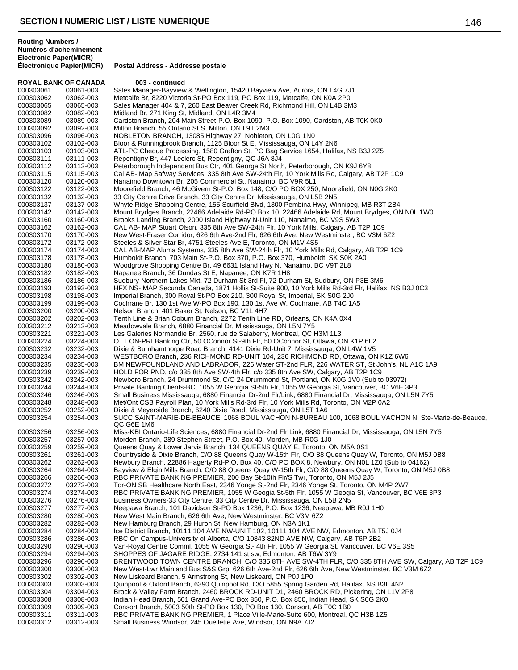| <b>ROYAL BANK OF CANADA</b> |           | 003 - continued                                                                                            |
|-----------------------------|-----------|------------------------------------------------------------------------------------------------------------|
| 000303061                   | 03061-003 | Sales Manager-Bayview & Wellington, 15420 Bayview Ave, Aurora, ON L4G 7J1                                  |
| 000303062                   | 03062-003 | Metcalfe Br, 8220 Victoria St-PO Box 119, PO Box 119, Metcalfe, ON K0A 2P0                                 |
| 000303065                   | 03065-003 | Sales Manager 404 & 7, 260 East Beaver Creek Rd, Richmond Hill, ON L4B 3M3                                 |
| 000303082                   | 03082-003 | Midland Br, 271 King St, Midland, ON L4R 3M4                                                               |
| 000303089                   | 03089-003 | Cardston Branch, 204 Main Street-P.O. Box 1090, P.O. Box 1090, Cardston, AB T0K 0K0                        |
| 000303092                   | 03092-003 | Milton Branch, 55 Ontario St S, Milton, ON L9T 2M3                                                         |
| 000303096                   | 03096-003 | NOBLETON BRANCH, 13085 Highway 27, Nobleton, ON LOG 1NO                                                    |
| 000303102                   | 03102-003 | Bloor & Runningbrook Branch, 1125 Bloor St E, Mississauga, ON L4Y 2N6                                      |
| 000303103                   | 03103-003 | ATL-PC Cheque Processing, 1580 Grafton St, PO Bag Service 1654, Halifax, NS B3J 2Z5                        |
| 000303111                   | 03111-003 | Repentigny Br, 447 Leclerc St, Repentigny, QC J6A 8J4                                                      |
| 000303112                   | 03112-003 | Peterborough Independent Bus Ctr, 401 George St North, Peterborough, ON K9J 6Y8                            |
| 000303115                   | 03115-003 | Cal AB- Map Safway Services, 335 8th Ave SW-24th Flr, 10 York Mills Rd, Calgary, AB T2P 1C9                |
| 000303120                   | 03120-003 | Nanaimo Downtown Br, 205 Commercial St, Nanaimo, BC V9R 5L1                                                |
| 000303122                   | 03122-003 | Moorefield Branch, 46 McGivern St-P.O. Box 148, C/O PO BOX 250, Moorefield, ON N0G 2K0                     |
| 000303132                   | 03132-003 | 33 City Centre Drive Branch, 33 City Centre Dr, Mississauga, ON L5B 2N5                                    |
| 000303137                   | 03137-003 | Whyte Ridge Shopping Centre, 155 Scurfield Blvd, 1300 Pembina Hwy, Winnipeg, MB R3T 2B4                    |
| 000303142                   | 03142-003 | Mount Brydges Branch, 22466 Adelaide Rd-PO Box 10, 22466 Adelaide Rd, Mount Brydges, ON N0L 1W0            |
| 000303160                   | 03160-003 | Brooks Landing Branch, 2000 Island Highway N-Unit 110, Nanaimo, BC V9S 5W3                                 |
| 000303162                   | 03162-003 | CAL AB- MAP Stuart Olson, 335 8th Ave SW-24th Flr, 10 York Mills, Calgary, AB T2P 1C9                      |
| 000303170                   | 03170-003 | New West-Fraser Corridor, 626 6th Ave-2nd Flr, 626 6th Ave, New Westminster, BC V3M 6Z2                    |
|                             |           |                                                                                                            |
| 000303172                   | 03172-003 | Steeles & Silver Star Br, 4751 Steeles Ave E, Toronto, ON M1V 4S5                                          |
| 000303174                   | 03174-003 | CAL AB-MAP Aluma Systems, 335 8th Ave SW-24th Flr, 10 York Mills Rd, Calgary, AB T2P 1C9                   |
| 000303178                   | 03178-003 | Humboldt Branch, 703 Main St-P.O. Box 370, P.O. Box 370, Humboldt, SK S0K 2A0                              |
| 000303180                   | 03180-003 | Woodgrove Shopping Centre Br, 49 6631 Island Hwy N, Nanaimo, BC V9T 2L8                                    |
| 000303182                   | 03182-003 | Napanee Branch, 36 Dundas St E, Napanee, ON K7R 1H8                                                        |
| 000303186                   | 03186-003 | Sudbury-Northern Lakes Mkt, 72 Durham St-3rd Fl, 72 Durham St, Sudbury, ON P3E 3M6                         |
| 000303193                   | 03193-003 | HFX NS- MAP Secunda Canada, 1871 Hollis St-Suite 900, 10 York Mills Rd-3rd Flr, Halifax, NS B3J 0C3        |
| 000303198                   | 03198-003 | Imperial Branch, 300 Royal St-PO Box 210, 300 Royal St, Imperial, SK S0G 2J0                               |
| 000303199                   | 03199-003 | Cochrane Br, 130 1st Ave W-PO Box 190, 130 1st Ave W, Cochrane, AB T4C 1A5                                 |
| 000303200                   | 03200-003 | Nelson Branch, 401 Baker St, Nelson, BC V1L 4H7                                                            |
| 000303202                   | 03202-003 | Tenth Line & Brian Coburn Branch, 2272 Tenth Line RD, Orleans, ON K4A 0X4                                  |
| 000303212                   | 03212-003 | Meadowyale Branch, 6880 Financial Dr, Mississauga, ON L5N 7Y5                                              |
| 000303221                   | 03221-003 | Les Galeries Normandie Br, 2560, rue de Salaberry, Montreal, QC H3M 1L3                                    |
| 000303224                   | 03224-003 | OTT ON-PRI Banking Ctr, 50 OConnor St-9th Flr, 50 OConnor St, Ottawa, ON K1P 6L2                           |
| 000303232                   | 03232-003 | Dixie & Burnhamthorpe Road Branch, 4141 Dixie Rd-Unit 7, Mississauga, ON L4W 1V5                           |
| 000303234                   | 03234-003 | WESTBORO Branch, 236 RICHMOND RD-UNIT 104, 236 RICHMOND RD, Ottawa, ON K1Z 6W6                             |
| 000303235                   | 03235-003 | BM NEWFOUNDLAND AND LABRADOR, 226 Water ST-2nd FLR, 226 WATER ST, St John's, NL A1C 1A9                    |
| 000303239                   | 03239-003 | HOLD FOR PND, c/o 335 8th Ave SW-4th Flr, c/o 335 8th Ave SW, Calgary, AB T2P 1C9                          |
| 000303242                   | 03242-003 | Newboro Branch, 24 Drummond St, C/O 24 Drummond St, Portland, ON K0G 1V0 (Sub to 03972)                    |
| 000303244                   | 03244-003 | Private Banking Clients-BC, 1055 W Georgia St-5th Flr, 1055 W Georgia St, Vancouver, BC V6E 3P3            |
| 000303246                   | 03246-003 | Small Business Mississauga, 6880 Financial Dr-2nd Flr/Link, 6880 Financial Dr, Mississauga, ON L5N 7Y5     |
| 000303248                   | 03248-003 | Met/Ont CSB Payroll Plan, 10 York Mills Rd-3rd Flr, 10 York Mills Rd, Toronto, ON M2P 0A2                  |
| 000303252                   | 03252-003 | Dixie & Meyerside Branch, 6240 Dixie Road, Mississauga, ON L5T 1A6                                         |
| 000303254                   | 03254-003 | SUCC SAINT-MARIE-DE-BEAUCE, 1068 BOUL VACHON N-BUREAU 100, 1068 BOUL VACHON N, Ste-Marie-de-Beauce,        |
|                             |           | QC G6E 1M6                                                                                                 |
| 000303256                   | 03256-003 | Miss-KBI Ontario-Life Sciences, 6880 Financial Dr-2nd Flr Link, 6880 Financial Dr, Mississauga, ON L5N 7Y5 |
| 000303257                   | 03257-003 | Morden Branch, 289 Stephen Street, P.O. Box 40, Morden, MB R0G 1J0                                         |
| 000303259                   | 03259-003 | Queens Quay & Lower Jarvis Branch, 134 QUEENS QUAY E, Toronto, ON M5A 0S1                                  |
| 000303261                   | 03261-003 | Countryside & Dixie Branch, C/O 88 Queens Quay W-15th Flr, C/O 88 Queens Quay W, Toronto, ON M5J 0B8       |
| 000303262                   | 03262-003 | Newbury Branch, 22886 Hagerty Rd-P.O. Box 40, C/O PO BOX 8, Newbury, ON N0L 1Z0 (Sub to 04162)             |
| 000303264                   | 03264-003 | Bayview & Elgin Mills Branch, C/O 88 Queens Quay W-15th Flr, C/O 88 Queens Quay W, Toronto, ON M5J 0B8     |
| 000303266                   | 03266-003 | RBC PRIVATE BANKING PREMIER, 200 Bay St-10th Flr/S Twr, Toronto, ON M5J 2J5                                |
| 000303272                   | 03272-003 | Tor-ON SB Healthcare North East, 2346 Yonge St-2nd Flr, 2346 Yonge St, Toronto, ON M4P 2W7                 |
| 000303274                   | 03274-003 | RBC PRIVATE BANKING PREMIER, 1055 W Geogia St-5th Flr, 1055 W Geogia St, Vancouver, BC V6E 3P3             |
| 000303276                   | 03276-003 | Business Owners-33 City Centre, 33 City Centre Dr, Mississauga, ON L5B 2N5                                 |
| 000303277                   | 03277-003 | Neepawa Branch, 101 Davidson St-PO Box 1236, P.O. Box 1236, Neepawa, MB R0J 1H0                            |
| 000303280                   | 03280-003 | New West Main Branch, 626 6th Ave, New Westminster, BC V3M 6Z2                                             |
| 000303282                   | 03282-003 | New Hamburg Branch, 29 Huron St, New Hamburg, ON N3A 1K1                                                   |
| 000303284                   | 03284-003 | Ice District Branch, 10111 104 AVE NW-UNIT 102, 10111 104 AVE NW, Edmonton, AB T5J 0J4                     |
| 000303286                   | 03286-003 | RBC On Campus-University of Alberta, C/O 10843 82ND AVE NW, Calgary, AB T6P 2B2                            |
| 000303290                   | 03290-003 | Van-Royal Centre Comml, 1055 W Georgia St- 4th Flr, 1055 W Georgia St, Vancouver, BC V6E 3S5               |
| 000303294                   | 03294-003 | SHOPPES OF JAGARE RIDGE, 2734 141 st sw, Edmonton, AB T6W 3Y9                                              |
| 000303296                   | 03296-003 | BRENTWOOD TOWN CENTRE BRANCH, C/O 335 8TH AVE SW-4TH FLR, C/O 335 8TH AVE SW, Calgary, AB T2P 1C9          |
| 000303300                   | 03300-003 | New West-Lwr Mainland Bus S&S Grp, 626 6th Ave-2nd Flr, 626 6th Ave, New Westminster, BC V3M 6Z2           |
| 000303302                   | 03302-003 | New Liskeard Branch, 5 Armstrong St, New Liskeard, ON P0J 1P0                                              |
| 000303303                   | 03303-003 | Quinpool & Oxford Banch, 6390 Quinpool Rd, C/O 5855 Spring Garden Rd, Halifax, NS B3L 4N2                  |
| 000303304                   | 03304-003 | Brock & Valley Farm Branch, 2460 BROCK RD-UNIT D1, 2460 BROCK RD, Pickering, ON L1V 2P8                    |
| 000303308                   | 03308-003 | Indian Head Branch, 501 Grand Ave-PO Box 850, P.O. Box 850, Indian Head, SK S0G 2K0                        |
|                             | 03309-003 | Consort Branch, 5003 50th St-PO Box 130, PO Box 130, Consort, AB T0C 1B0                                   |
| 000303309<br>000303311      | 03311-003 | RBC PRIVATE BANKING PREMIER, 1 Place Ville-Marie-Suite 600, Montreal, QC H3B 1Z5                           |
| 000303312                   | 03312-003 | Small Business Windsor, 245 Ouellette Ave, Windsor, ON N9A 7J2                                             |
|                             |           |                                                                                                            |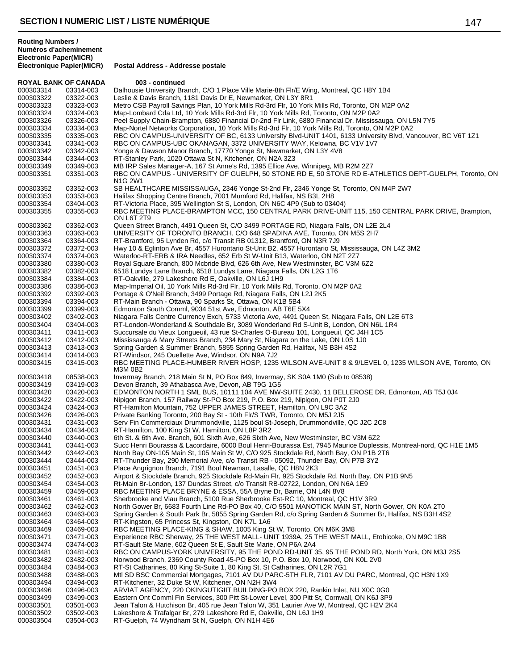| ROYAL BANK OF CANADA |           | 003 - continued                                                                                                   |
|----------------------|-----------|-------------------------------------------------------------------------------------------------------------------|
| 000303314            | 03314-003 | Dalhousie University Branch, C/O 1 Place Ville Marie-8th Flr/E Wing, Montreal, QC H8Y 1B4                         |
| 000303322            | 03322-003 | Leslie & Davis Branch, 1181 Davis Dr E, Newmarket, ON L3Y 8R1                                                     |
| 000303323            | 03323-003 | Metro CSB Payroll Savings Plan, 10 York Mills Rd-3rd Flr, 10 York Mills Rd, Toronto, ON M2P 0A2                   |
| 000303324            | 03324-003 | Map-Lombard Cda Ltd, 10 York Mills Rd-3rd Flr, 10 York Mills Rd, Toronto, ON M2P 0A2                              |
| 000303326            | 03326-003 | Peel Supply Chain-Brampton, 6880 Financial Dr-2nd Flr Link, 6880 Financial Dr, Mississauga, ON L5N 7Y5            |
| 000303334            | 03334-003 | Map-Nortel Networks Corporation, 10 York Mills Rd-3rd Flr, 10 York Mills Rd, Toronto, ON M2P 0A2                  |
| 000303335            | 03335-003 | RBC ON CAMPUS-UNIVERSITY OF BC, 6133 University Blvd-UNIT 1401, 6133 University Blvd, Vancouver, BC V6T 1Z1       |
|                      |           |                                                                                                                   |
| 000303341            | 03341-003 | RBC ON CAMPUS-UBC OKANAGAN, 3372 UNIVERSITY WAY, Kelowna, BC V1V 1V7                                              |
| 000303342            | 03342-003 | Yonge & Dawson Manor Branch, 17770 Yonge St, Newmarket, ON L3Y 4V8                                                |
| 000303344            | 03344-003 | RT-Stanley Park, 1020 Ottawa St N, Kitchener, ON N2A 3Z3                                                          |
| 000303349            | 03349-003 | MB IRP Sales Manager-A, 167 St Anne's Rd, 1395 Ellice Ave, Winnipeg, MB R2M 2Z7                                   |
| 000303351            | 03351-003 | RBC ON CAMPUS - UNIVERSITY OF GUELPH, 50 STONE RD E, 50 STONE RD E-ATHLETICS DEPT-GUELPH, Toronto, ON<br>N1G 2W1  |
| 000303352            | 03352-003 | SB HEALTHCARE MISSISSAUGA, 2346 Yonge St-2nd Flr, 2346 Yonge St, Toronto, ON M4P 2W7                              |
| 000303353            | 03353-003 | Halifax Shopping Centre Branch, 7001 Mumford Rd, Halifax, NS B3L 2H8                                              |
| 000303354            | 03404-003 | RT-Victoria Place, 395 Wellington St S, London, ON N6C 4P9 (Sub to 03404)                                         |
| 000303355            | 03355-003 | RBC MEETING PLACE-BRAMPTON MCC, 150 CENTRAL PARK DRIVE-UNIT 115, 150 CENTRAL PARK DRIVE, Brampton,<br>ON L6T 2T9  |
| 000303362            | 03362-003 | Queen Street Branch, 4491 Queen St, C/O 3499 PORTAGE RD, Niagara Falls, ON L2E 2L4                                |
| 000303363            | 03363-003 | UNIVERSITY OF TORONTO BRANCH, C/O 648 SPADINA AVE, Toronto, ON M5S 2H7                                            |
| 000303364            | 03364-003 | RT-Brantford, 95 Lynden Rd, c/o Transit RB 01312, Brantford, ON N3R 7J9                                           |
| 000303372            | 03372-003 | Hwy 10 & Eglinton Ave Br, 4557 Hurontario St-Unit B2, 4557 Hurontario St, Mississauga, ON L4Z 3M2                 |
| 000303374            | 03374-003 | Waterloo-RT-ERB & IRA Needles, 652 Erb St W-Unit B13, Waterloo, ON N2T 2Z7                                        |
| 000303380            | 03380-003 | Royal Square Branch, 800 Mcbride Blvd, 626 6th Ave, New Westminster, BC V3M 6Z2                                   |
|                      |           |                                                                                                                   |
| 000303382            | 03382-003 | 6518 Lundys Lane Branch, 6518 Lundys Lane, Niagara Falls, ON L2G 1T6                                              |
| 000303384            | 03384-003 | RT-Oakville, 279 Lakeshore Rd E, Oakville, ON L6J 1H9                                                             |
| 000303386            | 03386-003 | Map-Imperial Oil, 10 York Mills Rd-3rd Flr, 10 York Mills Rd, Toronto, ON M2P 0A2                                 |
| 000303392            | 03392-003 | Portage & O'Neil Branch, 3499 Portage Rd, Niagara Falls, ON L2J 2K5                                               |
| 000303394            | 03394-003 | RT-Main Branch - Ottawa, 90 Sparks St, Ottawa, ON K1B 5B4                                                         |
| 000303399            | 03399-003 | Edmonton South Comml, 9034 51st Ave, Edmonton, AB T6E 5X4                                                         |
| 000303402            | 03402-003 | Niagara Falls Centre Currency Exch, 5733 Victoria Ave, 4491 Queen St, Niagara Falls, ON L2E 6T3                   |
| 000303404            | 03404-003 | RT-London-Wonderland & Southdale Br, 3089 Wonderland Rd S-Unit B, London, ON N6L 1R4                              |
| 000303411            | 03411-003 | Succursale du Vieux Longueuil, 43 rue St-Charles O-Bureau 101, Longueuil, QC J4H 1C5                              |
| 000303412            | 03412-003 | Mississauga & Mary Streets Branch, 234 Mary St, Niagara on the Lake, ON L0S 1J0                                   |
| 000303413            | 03413-003 | Spring Garden & Summer Branch, 5855 Spring Garden Rd, Halifax, NS B3H 4S2                                         |
|                      |           |                                                                                                                   |
| 000303414            | 03414-003 | RT-Windsor, 245 Ouellette Ave, Windsor, ON N9A 7J2                                                                |
| 000303415            | 03415-003 | RBC MEETING PLACE-HUMBER RIVER HOSP, 1235 WILSON AVE-UNIT 8 & 9/LEVEL 0, 1235 WILSON AVE, Toronto, ON<br>M3M 0B2  |
| 000303418            | 08538-003 | Invermay Branch, 218 Main St N, PO Box 849, Invermay, SK S0A 1M0 (Sub to 08538)                                   |
| 000303419            | 03419-003 | Devon Branch, 39 Athabasca Ave, Devon, AB T9G 1G5                                                                 |
| 000303420            | 03420-003 | EDMONTON NORTH 1 SML BUS, 10111 104 AVE NW-SUITE 2430, 11 BELLEROSE DR, Edmonton, AB T5J 0J4                      |
| 000303422            | 03422-003 | Nipigon Branch, 157 Railway St-PO Box 219, P.O. Box 219, Nipigon, ON P0T 2J0                                      |
| 000303424            | 03424-003 | RT-Hamilton Mountain, 752 UPPER JAMES STREET, Hamilton, ON L9C 3A2                                                |
| 000303426            | 03426-003 | Private Banking Toronto, 200 Bay St - 10th Flr/S TWR, Toronto, ON M5J 2J5                                         |
| 000303431            | 03431-003 | Serv Fin Commerciaux Drummondville, 1125 boul St-Joseph, Drummondville, QC J2C 2C8                                |
| 000303434            | 03434-003 | RT-Hamilton, 100 King St W, Hamilton, ON L8P 3R2                                                                  |
| 000303440            | 03440-003 | 6th St. & 6th Ave. Branch, 601 Sixth Ave, 626 Sixth Ave, New Westminster, BC V3M 6Z2                              |
|                      |           |                                                                                                                   |
| 000303441            | 03441-003 | Succ Henri Bourassa & Lacordaire, 6000 Boul Henri-Bourassa Est, 7945 Maurice Duplessis, Montreal-nord, QC H1E 1M5 |
| 000303442            | 03442-003 | North Bay ON-105 Main St, 105 Main St W, C/O 925 Stockdale Rd, North Bay, ON P1B 2T6                              |
| 000303444            | 03444-003 | RT-Thunder Bay, 290 Memorial Ave, c/o Transit RB - 05092, Thunder Bay, ON P7B 3Y2                                 |
| 000303451            | 03451-003 | Place Angrignon Branch, 7191 Boul Newman, Lasalle, QC H8N 2K3                                                     |
| 000303452            | 03452-003 | Airport & Stockdale Branch, 925 Stockdale Rd-Main Flr, 925 Stockdale Rd, North Bay, ON P1B 9N5                    |
| 000303454            | 03454-003 | Rt-Main Br-London, 137 Dundas Street, c/o Transit RB-02722, London, ON N6A 1E9                                    |
| 000303459            | 03459-003 | RBC MEETING PLACE BRYNE & ESSA, 55A Bryne Dr, Barrie, ON L4N 8V8                                                  |
| 000303461            | 03461-003 | Sherbrooke and Viau Branch, 5100 Rue Sherbrooke Est-RC 10, Montreal, QC H1V 3R9                                   |
| 000303462            | 03462-003 | North Gower Br, 6683 Fourth Line Rd-PO Box 40, C/O 5501 MANOTICK MAIN ST, North Gower, ON K0A 2T0                 |
| 000303463            | 03463-003 | Spring Garden & South Park Br, 5855 Spring Garden Rd, c/o Spring Garden & Summer Br, Halifax, NS B3H 4S2          |
| 000303464            | 03464-003 | RT-Kingston, 65 Princess St, Kingston, ON K7L 1A6                                                                 |
| 000303469            | 03469-003 | RBC MEETING PLACE-KING & SHAW, 1005 King St W, Toronto, ON M6K 3M8                                                |
|                      |           |                                                                                                                   |
| 000303471            | 03471-003 | Experience RBC Sherway, 25 THE WEST MALL- UNIT 1939A, 25 THE WEST MALL, Etobicoke, ON M9C 1B8                     |
| 000303474            | 03474-003 | RT-Sault Ste Marie, 602 Queen St E, Sault Ste Marie, ON P6A 2A4                                                   |
| 000303481            | 03481-003 | RBC ON CAMPUS-YORK UNIVERSITY, 95 THE POND RD-UNIT 35, 95 THE POND RD, North York, ON M3J 2S5                     |
| 000303482            | 03482-003 | Norwood Branch, 2369 County Road 45-PO Box 10, P.O. Box 10, Norwood, ON K0L 2V0                                   |
| 000303484            | 03484-003 | RT-St Catharines, 80 King St-Suite 1, 80 King St, St Catharines, ON L2R 7G1                                       |
| 000303488            | 03488-003 | Mtl SD BSC Commercial Mortgages, 7101 AV DU PARC-5TH FLR, 7101 AV DU PARC, Montreal, QC H3N 1X9                   |
| 000303494            | 03494-003 | RT-Kitchener, 32 Duke St W, Kitchener, ON N2H 3W4                                                                 |
| 000303496            | 03496-003 | ARVIAT AGENCY, 220 OKINGUTIGIIT BUILDING-PO BOX 220, Rankin Inlet, NU X0C 0G0                                     |
| 000303499            | 03499-003 | Eastern Ont Comml Fin Services, 300 Pitt St-Lower Level, 300 Pitt St, Cornwall, ON K6J 3P9                        |
| 000303501            | 03501-003 | Jean Talon & Hutchison Br, 405 rue Jean Talon W, 351 Laurier Ave W, Montreal, QC H2V 2K4                          |
| 000303502            | 03502-003 | Lakeshore & Trafalgar Br, 279 Lakeshore Rd E, Oakville, ON L6J 1H9                                                |
|                      |           |                                                                                                                   |
| 000303504            | 03504-003 | RT-Guelph, 74 Wyndham St N, Guelph, ON N1H 4E6                                                                    |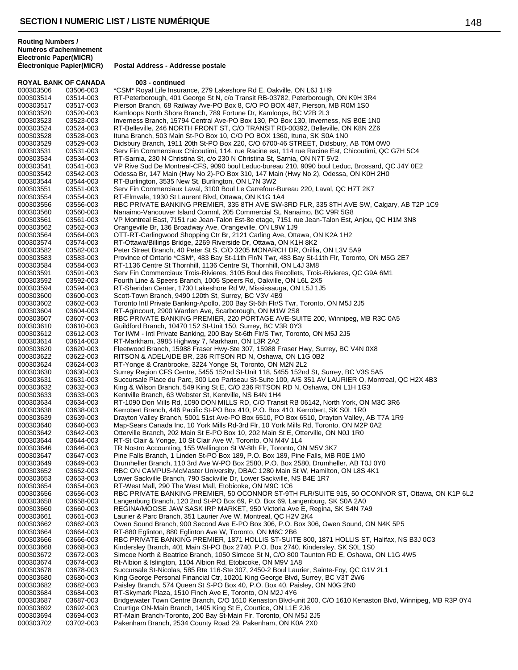**Électronique Papier(MICR) Postal Address - Addresse postale**

| <b>ROYAL BANK OF CANADA</b> |                        | 003 - continued                                                                                                                                                                 |
|-----------------------------|------------------------|---------------------------------------------------------------------------------------------------------------------------------------------------------------------------------|
| 000303506                   | 03506-003              | *CSM* Royal Life Insurance, 279 Lakeshore Rd E, Oakville, ON L6J 1H9                                                                                                            |
| 000303514                   | 03514-003              | RT-Peterborough, 401 George St N, c/o Transit RB-03782, Peterborough, ON K9H 3R4                                                                                                |
| 000303517                   | 03517-003              | Pierson Branch, 68 Railway Ave-PO Box 8, C/O PO BOX 487, Pierson, MB R0M 1S0                                                                                                    |
| 000303520                   | 03520-003              | Kamloops North Shore Branch, 789 Fortune Dr, Kamloops, BC V2B 2L3                                                                                                               |
| 000303523                   | 03523-003              | Inverness Branch, 15794 Central Ave-PO Box 130, PO Box 130, Inverness, NS B0E 1N0                                                                                               |
| 000303524<br>000303528      | 03524-003              | RT-Belleville, 246 NORTH FRONT ST, C/O TRANSIT RB-00392, Belleville, ON K8N 2Z6                                                                                                 |
| 000303529                   | 03528-003<br>03529-003 | Ituna Branch, 503 Main St-PO Box 10, C/O PO BOX 1360, Ituna, SK S0A 1N0<br>Didsbury Branch, 1911 20th St-PO Box 220, C/O 6700-46 STREET, Didsbury, AB T0M 0W0                   |
| 000303531                   | 03531-003              | Serv Fin Commerciaux Chicoutimi, 114, rue Racine est, 114 rue Racine Est, Chicoutimi, QC G7H 5C4                                                                                |
| 000303534                   | 03534-003              | RT-Sarnia, 230 N Christina St, c/o 230 N Christina St, Sarnia, ON N7T 5V2                                                                                                       |
| 000303541                   | 03541-003              | VP Rive Sud De Montreal-CFS, 9090 boul Leduc-bureau 210, 9090 boul Leduc, Brossard, QC J4Y 0E2                                                                                  |
| 000303542                   | 03542-003              | Odessa Br, 147 Main (Hwy No 2)-PO Box 310, 147 Main (Hwy No 2), Odessa, ON K0H 2H0                                                                                              |
| 000303544                   | 03544-003              | RT-Burlington, 3535 New St, Burlington, ON L7N 3W2                                                                                                                              |
| 000303551                   | 03551-003              | Serv Fin Commerciaux Laval, 3100 Boul Le Carrefour-Bureau 220, Laval, QC H7T 2K7                                                                                                |
| 000303554                   | 03554-003              | RT-Elmvale, 1930 St Laurent Blvd, Ottawa, ON K1G 1A4                                                                                                                            |
| 000303556<br>000303560      | 03556-003<br>03560-003 | RBC PRIVATE BANKING PREMIER, 335 8TH AVE SW-3RD FLR, 335 8TH AVE SW, Calgary, AB T2P 1C9<br>Nanaimo-Vancouver Island Comml, 205 Commercial St, Nanaimo, BC V9R 5G8              |
| 000303561                   | 03561-003              | VP Montreal East, 7151 rue Jean-Talon Est-8e etage, 7151 rue Jean-Talon Est, Anjou, QC H1M 3N8                                                                                  |
| 000303562                   | 03562-003              | Orangeville Br, 136 Broadway Ave, Orangeville, ON L9W 1J9                                                                                                                       |
| 000303564                   | 03564-003              | OTT-RT-Carlingwood Shopping Ctr Br, 2121 Carling Ave, Ottawa, ON K2A 1H2                                                                                                        |
| 000303574                   | 03574-003              | RT-Ottawa/Billings Bridge, 2269 Riverside Dr. Ottawa, ON K1H 8K2                                                                                                                |
| 000303582                   | 03582-003              | Peter Street Branch, 40 Peter St S, C/O 3205 MONARCH DR, Orillia, ON L3V 5A9                                                                                                    |
| 000303583                   | 03583-003              | Province of Ontario *CSM*, 483 Bay St-11th Flr/N Twr, 483 Bay St-11th Flr, Toronto, ON M5G 2E7                                                                                  |
| 000303584                   | 03584-003              | RT-1136 Centre St Thornhill, 1136 Centre St, Thornhill, ON L4J 3M8                                                                                                              |
| 000303591                   | 03591-003              | Serv Fin Commerciaux Trois-Rivieres, 3105 Boul des Recollets, Trois-Rivieres, QC G9A 6M1                                                                                        |
| 000303592                   | 03592-003              | Fourth Line & Speers Branch, 1005 Speers Rd, Oakville, ON L6L 2X5                                                                                                               |
| 000303594<br>000303600      | 03594-003<br>03600-003 | RT-Sheridan Center, 1730 Lakeshore Rd W, Mississauga, ON L5J 1J5<br>Scott-Town Branch, 9490 120th St, Surrey, BC V3V 4B9                                                        |
| 000303602                   | 03602-003              | Toronto Intl Private Banking-Apollo, 200 Bay St-6th Flr/S Twr, Toronto, ON M5J 2J5                                                                                              |
| 000303604                   | 03604-003              | RT-Agincourt, 2900 Warden Ave, Scarborough, ON M1W 2S8                                                                                                                          |
| 000303607                   | 03607-003              | RBC PRIVATE BANKING PREMIER, 220 PORTAGE AVE-SUITE 200, Winnipeg, MB R3C 0A5                                                                                                    |
| 000303610                   | 03610-003              | Guildford Branch, 10470 152 St-Unit 150, Surrey, BC V3R 0Y3                                                                                                                     |
| 000303612                   | 03612-003              | Tor IWM - Intl Private Banking, 200 Bay St-6th Flr/S Twr, Toronto, ON M5J 2J5                                                                                                   |
| 000303614                   | 03614-003              | RT-Markham, 3985 Highway 7, Markham, ON L3R 2A2                                                                                                                                 |
| 000303620                   | 03620-003              | Fleetwood Branch, 15988 Fraser Hwy-Ste 307, 15988 Fraser Hwy, Surrey, BC V4N 0X8                                                                                                |
| 000303622<br>000303624      | 03622-003<br>03624-003 | RITSON & ADELAIDE BR, 236 RITSON RD N, Oshawa, ON L1G 0B2<br>RT-Yonge & Cranbrooke, 3224 Yonge St, Toronto, ON M2N 2L2                                                          |
| 000303630                   | 03630-003              | Surrey Region CFS Centre, 5455 152nd St-Unit 118, 5455 152nd St, Surrey, BC V3S 5A5                                                                                             |
| 000303631                   | 03631-003              | Succursale Place du Parc, 300 Leo Pariseau St-Suite 100, A/S 351 AV LAURIER O, Montreal, QC H2X 4B3                                                                             |
| 000303632                   | 03632-003              | King & Wilson Branch, 549 King St E, C/O 236 RITSON RD N, Oshawa, ON L1H 1G3                                                                                                    |
| 000303633                   | 03633-003              | Kentville Branch, 63 Webster St, Kentville, NS B4N 1H4                                                                                                                          |
| 000303634                   | 03634-003              | RT-1090 Don Mills Rd, 1090 DON MILLS RD, C/O Transit RB 06142, North York, ON M3C 3R6                                                                                           |
| 000303638                   | 03638-003              | Kerrobert Branch, 446 Pacific St-PO Box 410, P.O. Box 410, Kerrobert, SK S0L 1R0                                                                                                |
| 000303639                   | 03639-003              | Drayton Valley Branch, 5001 51st Ave-PO Box 6510, PO Box 6510, Drayton Valley, AB T7A 1R9                                                                                       |
| 000303640                   | 03640-003              | Map-Sears Canada Inc, 10 York Mills Rd-3rd Flr, 10 York Mills Rd, Toronto, ON M2P 0A2                                                                                           |
| 000303642<br>000303644      | 03642-003<br>03644-003 | Otterville Branch, 202 Main St E-PO Box 10, 202 Main St E, Otterville, ON N0J 1R0<br>RT-St Clair & Yonge, 10 St Clair Ave W, Toronto, ON M4V 1L4                                |
| 000303646                   | 03646-003              | TR Nostro Accounting, 155 Wellington St W-8th Flr, Toronto, ON M5V 3K7                                                                                                          |
| 000303647                   | 03647-003              | Pine Falls Branch, 1 Linden St-PO Box 189, P.O. Box 189, Pine Falls, MB R0E 1M0                                                                                                 |
| 000303649                   | 03649-003              | Drumheller Branch, 110 3rd Ave W-PO Box 2580, P.O. Box 2580, Drumheller, AB T0J 0Y0                                                                                             |
| 000303652                   | 03652-003              | RBC ON CAMPUS-McMaster University, DBAC 1280 Main St W, Hamilton, ON L8S 4K1                                                                                                    |
| 000303653                   | 03653-003              | Lower Sackville Branch, 790 Sackville Dr, Lower Sackville, NS B4E 1R7                                                                                                           |
| 000303654                   | 03654-003              | RT-West Mall, 290 The West Mall, Etobicoke, ON M9C 1C6                                                                                                                          |
| 000303656<br>000303658      | 03656-003<br>03658-003 | RBC PRIVATE BANKING PREMIER, 50 OCONNOR ST-9TH FLR/SUITE 915, 50 OCONNOR ST, Ottawa, ON K1P 6L2<br>Langenburg Branch, 120 2nd St-PO Box 69, P.O. Box 69, Langenburg, SK S0A 2A0 |
| 000303660                   | 03660-003              | REGINA/MOOSE JAW SASK IRP MARKET, 950 Victoria Ave E, Regina, SK S4N 7A9                                                                                                        |
| 000303661                   | 03661-003              | Laurier & Parc Branch, 351 Laurier Ave W, Montreal, QC H2V 2K4                                                                                                                  |
| 000303662                   | 03662-003              | Owen Sound Branch, 900 Second Ave E-PO Box 306, P.O. Box 306, Owen Sound, ON N4K 5P5                                                                                            |
| 000303664                   | 03664-003              | RT-880 Eglinton, 880 Eglinton Ave W, Toronto, ON M6C 2B6                                                                                                                        |
| 000303666                   | 03666-003              | RBC PRIVATE BANKING PREMIER, 1871 HOLLIS ST-SUITE 800, 1871 HOLLIS ST, Halifax, NS B3J 0C3                                                                                      |
| 000303668                   | 03668-003              | Kindersley Branch, 401 Main St-PO Box 2740, P.O. Box 2740, Kindersley, SK S0L 1S0                                                                                               |
| 000303672                   | 03672-003              | Simcoe North & Beatrice Branch, 1050 Simcoe St N, C/O 800 Taunton RD E, Oshawa, ON L1G 4W5                                                                                      |
| 000303674                   | 03674-003              | Rt-Albion & Islington, 1104 Albion Rd, Etobicoke, ON M9V 1A8<br>Succursale St-Nicolas, 585 Rte 116-Ste 307, 2450-2 Boul Laurier, Sainte-Foy, QC G1V 2L1                         |
| 000303678<br>000303680      | 03678-003<br>03680-003 | King George Personal Financial Ctr, 10201 King George Blvd, Surrey, BC V3T 2W6                                                                                                  |
| 000303682                   | 03682-003              | Paisley Branch, 574 Queen St S-PO Box 40, P.O. Box 40, Paisley, ON N0G 2N0                                                                                                      |
| 000303684                   | 03684-003              | RT-Skymark Plaza, 1510 Finch Ave E, Toronto, ON M2J 4Y6                                                                                                                         |
| 000303687                   | 03687-003              | Bridgewater Town Centre Branch, C/O 1610 Kenaston Blvd-unit 200, C/O 1610 Kenaston Blvd, Winnipeg, MB R3P 0Y4                                                                   |
| 000303692                   | 03692-003              | Courtige ON-Main Branch, 1405 King St E, Courtice, ON L1E 2J6                                                                                                                   |
| 000303694                   | 03694-003              | RT-Main Branch-Toronto, 200 Bay St-Main Flr, Toronto, ON M5J 2J5                                                                                                                |
| 000303702                   | 03702-003              | Pakenham Branch, 2534 County Road 29, Pakenham, ON K0A 2X0                                                                                                                      |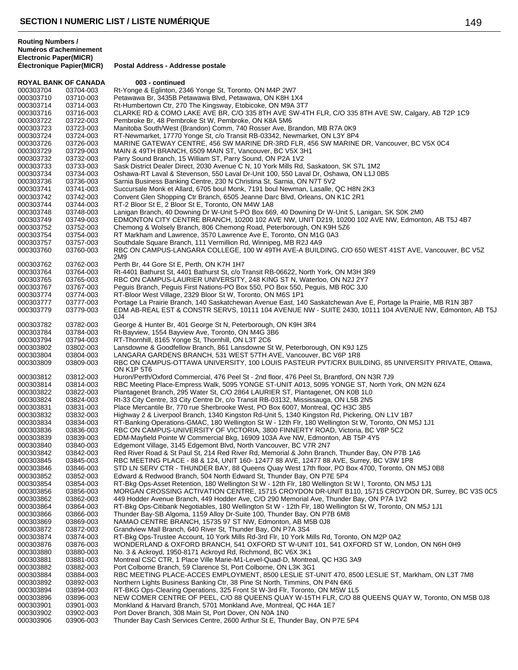| <b>ROYAL BANK OF CANADA</b> |           | 003 - continued                                                                                                                       |
|-----------------------------|-----------|---------------------------------------------------------------------------------------------------------------------------------------|
| 000303704                   | 03704-003 | Rt-Yonge & Eglinton, 2346 Yonge St, Toronto, ON M4P 2W7                                                                               |
| 000303710                   | 03710-003 | Petawawa Br, 3435B Petawawa Blvd, Petawawa, ON K8H 1X4                                                                                |
| 000303714                   | 03714-003 | Rt-Humbertown Ctr, 270 The Kingsway, Etobicoke, ON M9A 3T7                                                                            |
| 000303716                   | 03716-003 | CLARKE RD & COMO LAKE AVE BR, C/O 335 8TH AVE SW-4TH FLR, C/O 335 8TH AVE SW, Calgary, AB T2P 1C9                                     |
| 000303722                   | 03722-003 | Pembroke Br, 48 Pembroke St W, Pembroke, ON K8A 5M6                                                                                   |
| 000303723                   | 03723-003 | Manitoba South/West (Brandon) Comm, 740 Rosser Ave, Brandon, MB R7A 0K9                                                               |
| 000303724                   | 03724-003 | RT-Newmarket, 17770 Yonge St, c/o Transit RB-03342, Newmarket, ON L3Y 8P4                                                             |
| 000303726                   | 03726-003 | MARINE GATEWAY CENTRE, 456 SW MARINE DR-3RD FLR, 456 SW MARINE DR, Vancouver, BC V5X 0C4                                              |
| 000303729                   | 03729-003 | MAIN & 49TH BRANCH, 6509 MAIN ST, Vancouver, BC V5X 3H1                                                                               |
| 000303732                   | 03732-003 | Parry Sound Branch, 15 William ST, Parry Sound, ON P2A 1V2                                                                            |
| 000303733                   | 03733-003 | Sask District Dealer Direct, 2030 Avenue C N, 10 York Mills Rd, Saskatoon, SK S7L 1M2                                                 |
| 000303734                   | 03734-003 | Oshawa-RT Laval & Stevenson, 550 Laval Dr-Unit 100, 550 Laval Dr, Oshawa, ON L1J 0B5                                                  |
| 000303736                   | 03736-003 | Sarnia Business Banking Centre, 230 N Christina St, Sarnia, ON N7T 5V2                                                                |
| 000303741                   | 03741-003 | Succursale Monk et Allard, 6705 boul Monk, 7191 boul Newman, Lasalle, QC H8N 2K3                                                      |
| 000303742                   | 03742-003 | Convent Glen Shopping Ctr Branch, 6505 Jeanne Darc Blvd, Orleans, ON K1C 2R1                                                          |
| 000303744                   | 03744-003 | RT-2 Bloor St E, 2 Bloor St E, Toronto, ON M4W 1A8                                                                                    |
| 000303748                   | 03748-003 | Lanigan Branch, 40 Downing Dr W-Unit 5-PO Box 669, 40 Downing Dr W-Unit 5, Lanigan, SK S0K 2M0                                        |
| 000303749                   | 03749-003 | EDMONTON CITY CENTRE BRANCH, 10200 102 AVE NW, UNIT D219, 10200 102 AVE NW, Edmonton, AB T5J 4B7                                      |
| 000303752                   | 03752-003 | Chemong & Wolsely Branch, 806 Chemong Road, Peterborough, ON K9H 5Z6                                                                  |
| 000303754                   | 03754-003 | RT Markham and Lawrence, 3570 Lawrence Ave E, Toronto, ON M1G 0A3                                                                     |
| 000303757                   | 03757-003 | Southdale Square Branch, 111 Vermillion Rd, Winnipeg, MB R2J 4A9                                                                      |
| 000303760                   | 03760-003 | RBC ON CAMPUS-LANGARA COLLEGE, 100 W 49TH AVE-A BUILDING, C/O 650 WEST 41ST AVE, Vancouver, BC V5Z                                    |
|                             |           | 2M9                                                                                                                                   |
| 000303762                   | 03762-003 | Perth Br, 44 Gore St E, Perth, ON K7H 1H7                                                                                             |
| 000303764                   | 03764-003 | Rt-4401 Bathurst St, 4401 Bathurst St, c/o Transit RB-06622, North York, ON M3H 3R9                                                   |
| 000303765                   | 03765-003 | RBC ON CAMPUS-LAURIER UNIVERSITY, 248 KING ST N, Waterloo, ON N2J 2Y7                                                                 |
| 000303767                   | 03767-003 | Pequis Branch, Pequis First Nations-PO Box 550, PO Box 550, Pequis, MB R0C 3J0                                                        |
| 000303774                   | 03774-003 | RT-Bloor West Village, 2329 Bloor St W, Toronto, ON M6S 1P1                                                                           |
| 000303777                   | 03777-003 | Portage La Prairie Branch, 140 Saskatchewan Avenue East, 140 Saskatchewan Ave E, Portage la Prairie, MB R1N 3B7                       |
| 000303779                   | 03779-003 | EDM AB-REAL EST & CONSTR SERVS, 10111 104 AVENUE NW - SUITE 2430, 10111 104 AVENUE NW, Edmonton, AB T5J                               |
|                             |           | 0J4                                                                                                                                   |
| 000303782                   | 03782-003 | George & Hunter Br, 401 George St N, Peterborough, ON K9H 3R4                                                                         |
| 000303784                   | 03784-003 | Rt-Bayview, 1554 Bayview Ave, Toronto, ON M4G 3B6                                                                                     |
| 000303794                   | 03794-003 | RT-Thornhill, 8165 Yonge St, Thornhill, ON L3T 2C6                                                                                    |
| 000303802                   | 03802-003 | Lansdowne & Goodfellow Branch, 861 Lansdowne St W, Peterborough, ON K9J 1Z5                                                           |
| 000303804                   | 03804-003 | LANGARA GARDENS BRANCH, 531 WEST 57TH AVE, Vancouver, BC V6P 1R8                                                                      |
| 000303809                   | 03809-003 | RBC ON CAMPUS-OTTAWA UNIVERSITY, 100 LOUIS PASTEUR PVT/CRX BUILDING, 85 UNIVERSITY PRIVATE, Ottawa,                                   |
|                             |           | ON K1P 5T6                                                                                                                            |
| 000303812                   | 03812-003 | Huron/Perth/Oxford Commercial, 476 Peel St - 2nd floor, 476 Peel St, Brantford, ON N3R 7J9                                            |
| 000303814                   | 03814-003 | RBC Meeting Place-Empress Walk, 5095 YONGE ST-UNIT A013, 5095 YONGE ST, North York, ON M2N 6Z4                                        |
| 000303822                   | 03822-003 | Plantagenet Branch, 295 Water St, C/O 2864 LAURIER ST, Plantagenet, ON K0B 1L0                                                        |
| 000303824                   | 03824-003 | Rt-33 City Centre, 33 City Centre Dr, c/o Transit RB-03132, Mississauga, ON L5B 2N5                                                   |
| 000303831                   | 03831-003 | Place Mercantile Br, 770 rue Sherbrooke West, PO Box 6007, Montreal, QC H3C 3B5                                                       |
| 000303832                   | 03832-003 | Highway 2 & Liverpool Branch, 1340 Kingston Rd-Unit 5, 1340 Kingston Rd, Pickering, ON L1V 1B7                                        |
| 000303834                   | 03834-003 | RT-Banking Operations-GMAC, 180 Wellington St W - 12th Flr, 180 Wellington St W, Toronto, ON M5J 1J1                                  |
| 000303836                   | 03836-003 | RBC ON CAMPUS-UNIVERSITY OF VICTORIA, 3800 FINNERTY ROAD, Victoria, BC V8P 5C2                                                        |
| 000303839                   | 03839-003 | EDM-Mayfield Pointe W Commercial Bkg, 16909 103A Ave NW, Edmonton, AB T5P 4Y5                                                         |
| 000303840                   | 03840-003 | Edgemont Village, 3145 Edgemont Blvd, North Vancouver, BC V7R 2N7                                                                     |
| 000303842                   | 03842-003 | Red River Road & St Paul St, 214 Red River Rd, Memorial & John Branch, Thunder Bay, ON P7B 1A6                                        |
| 000303845                   | 03845-003 | RBC MEETING PLACE - 88 & 124, UNIT 160-12477 88 AVE, 12477 88 AVE, Surrey, BC V3W 1P8                                                 |
| 000303846                   | 03846-003 | STD LN SERV CTR - THUNDER BAY, 88 Queens Quay West 17th floor, PO Box 4700, Toronto, ON M5J 0B8                                       |
| 000303852                   | 03852-003 | Edward & Redwood Branch, 504 North Edward St, Thunder Bay, ON P7E 5P4                                                                 |
| 000303854                   | 03854-003 | RT-Bkg Ops-Asset Retention, 180 Wellington St W - 12th Flr, 180 Wellington St W I, Toronto, ON M5J 1J1                                |
| 000303856                   | 03856-003 | MORGAN CROSSING ACTIVATION CENTRE, 15715 CROYDON DR-UNIT B110, 15715 CROYDON DR, Surrey, BC V3S 0C5                                   |
| 000303862                   | 03862-003 | 449 Hodder Avenue Branch, 449 Hodder Ave, C/O 290 Memorial Ave, Thunder Bay, ON P7A 1V2                                               |
| 000303864                   | 03864-003 | RT-Bkg Ops-Citibank Negotiables, 180 Wellington St W - 12th Flr, 180 Wellington St W, Toronto, ON M5J 1J1                             |
| 000303866                   | 03866-003 | Thunder Bay-SB Algoma, 1159 Alloy Dr-Suite 100, Thunder Bay, ON P7B 6M8                                                               |
| 000303869                   | 03869-003 | NAMAO CENTRE BRANCH, 15735 97 ST NW, Edmonton, AB M5B 0J8                                                                             |
| 000303872                   | 03872-003 | Grandview Mall Branch, 640 River St, Thunder Bay, ON P7A 3S4                                                                          |
| 000303874                   | 03874-003 | RT-Bkg Ops-Trustee Account, 10 York Mills Rd-3rd Flr, 10 York Mills Rd, Toronto, ON M2P 0A2                                           |
| 000303876                   | 03876-003 | WONDERLAND & OXFORD BRANCH, 541 OXFORD ST W-UNIT 101, 541 OXFORD ST W, London, ON N6H 0H9                                             |
| 000303880                   | 03880-003 | No. 3 & Ackroyd, 1950-8171 Ackroyd Rd, Richmond, BC V6X 3K1                                                                           |
| 000303881                   | 03881-003 | Montreal CSC CTR, 1 Place Ville Marie-M1-Level-Quad-D, Montreal, QC H3G 3A9                                                           |
| 000303882                   | 03882-003 | Port Colborne Branch, 59 Clarence St, Port Colborne, ON L3K 3G1                                                                       |
| 000303884                   | 03884-003 | RBC MEETING PLACE-ACCES EMPLOYMENT, 8500 LESLIE ST-UNIT 470, 8500 LESLIE ST, Markham, ON L3T 7M8                                      |
| 000303892                   | 03892-003 | Northern Lights Business Banking Ctr, 38 Pine St North, Timmins, ON P4N 6K6                                                           |
| 000303894                   | 03894-003 | RT-BKG Ops-Clearing Operations, 325 Front St W-3rd Flr, Toronto, ON M5W 1L5                                                           |
| 000303896                   | 03896-003 | NEW COMER CENTRE OF PEEL, C/O 88 QUEENS QUAY W-15TH FLR, C/O 88 QUEENS QUAY W, Toronto, ON M5B 0J8                                    |
| 000303901                   | 03901-003 | Monkland & Harvard Branch, 5701 Monkland Ave, Montreal, QC H4A 1E7                                                                    |
| 000303902                   | 03902-003 | Port Dover Branch, 308 Main St, Port Dover, ON N0A 1N0<br>Thunder Bay Cash Services Centre, 2600 Arthur St E, Thunder Bay, ON P7E 5P4 |
| 000303906                   | 03906-003 |                                                                                                                                       |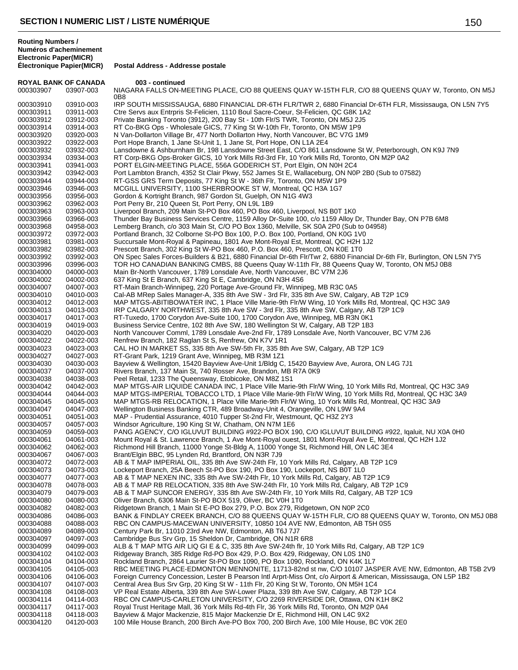**Routing Numbers / Numéros d'acheminement**

**Electronic Paper(MICR) Postal Address - Addresse postale ROYAL BANK OF CANADA 003 - continued** 000303907 03907-003 NIAGARA FALLS ON-MEETING PLACE, C/O 88 QUEENS QUAY W-15TH FLR, C/O 88 QUEENS QUAY W, Toronto, ON M5J 0B8 000303910 03910-003 IRP SOUTH MISSISSAUGA, 6880 FINANCIAL DR-6TH FLR/TWR 2, 6880 Financial Dr-6TH FLR, Mississauga, ON L5N 7Y5<br>000303911 03911-003 Ctre Servs aux Entrpris St-Felicien, 1110 Boul Sacre-Coeur, St-Felicien, QC 03911-003 Ctre Servs aux Entrpris St-Felicien, 1110 Boul Sacre-Coeur, St-Felicien, QC G8K 1A2 000303912 03912-003 Private Banking Toronto (3912), 200 Bay St - 10th Flr/S TWR, Toronto, ON M5J 2J5 000303914 03914-003 RT Co-BKG Ops - Wholesale GICS, 77 King St W-10th Flr, Toronto, ON M5W 1P9 000303920 03920-003 N Van-Dollarton Village Br, 477 North Dollarton Hwy, North Vancouver, BC V7G 1M9 000303922 03922-003 Port Hope Branch, 1 Jane St-Unit 1, 1 Jane St, Port Hope, ON L1A 2E4<br>000303932 03932-003 Lansdowne & Ashburnham Br, 198 Lansdowne Street East, C/O 861 La 03932-003 Lansdowne & Ashburnham Br, 198 Lansdowne Street East, C/O 861 Lansdowne St W, Peterborough, ON K9J 7N9 000303934 03934-003 RT Corp-BKG Ops-Broker GICS, 10 York Mills Rd-3rd Flr, 10 York Mills Rd, Toronto, ON M2P 0A2 000303941 03941-003 PORT ELGIN-MEETING PLACE, 556A GODERICH ST, Port Elgin, ON N0H 2C4 000303942 03942-003 Port Lambton Branch, 4352 St Clair Pkwy, 552 James St E, Wallaceburg, ON N0P 2B0 (Sub to 07582)<br>000303944 03944-003 RT-GSS GRS Term Deposits, 77 King St W - 36th Flr, Toronto, ON M5W 1P9 03944-003 RT-GSS GRS Term Deposits, 77 King St W - 36th Flr, Toronto, ON M5W 1P9 000303946 03946-003 MCGILL UNIVERSITY, 1100 SHERBROOKE ST W, Montreal, QC H3A 1G7 000303956 03956-003 Gordon & Kortright Branch, 987 Gordon St, Guelph, ON N1G 4W3<br>000303962 03962-003 Port Perry Br, 210 Queen St, Port Perry, ON L9L 1B9 Port Perry Br, 210 Queen St, Port Perry, ON L9L 1B9 000303963 03963-003 Liverpool Branch, 209 Main St-PO Box 460, PO Box 460, Liverpool, NS B0T 1K0 000303966 03966-003 Thunder Bay Business Services Centre, 1159 Alloy Dr-Suite 100, c/o 1159 Alloy Dr, Thunder Bay, ON P7B 6M8 000303968 04958-003 Lemberg Branch, c/o 303 Main St, C/O PO Box 1360, Melville, SK S0A 2P0 (Sub to 04958) 000303972 03972-003 Portland Branch, 32 Colborne St-PO Box 100, P.O. Box 100, Portland, ON K0G 1V0<br>000303981 03981-003 Succursale Mont-Royal & Papineau, 1801 Ave Mont-Royal Est, Montreal, QC H2H 1, 03981-003 Succursale Mont-Royal & Papineau, 1801 Ave Mont-Royal Est, Montreal, QC H2H 1J2 000303982 03982-003 Prescott Branch, 302 King St W-PO Box 460, P.O. Box 460, Prescott, ON K0E 1T0 000303992 03992-003 ON Spec Sales Forces-Builders & B21, 6880 Financial Dr-6th Flr/Twr 2, 6880 Financial Dr-6th Flr, Burlington, ON L5N 7Y5<br>000303996 03996-003 TOR HO CANADIAN BANKING CMBS, 88 Queens Quay W-11th Flr, 88 Qu 03996-003 TOR HO CANADIAN BANKING CMBS, 88 Queens Quay W-11th Flr, 88 Queens Quay W, Toronto, ON M5J 0B8 000304000 04000-003 Main Br-North Vancouver, 1789 Lonsdale Ave, North Vancouver, BC V7M 2J6<br>000304002 04002-003 637 King St E Branch, 637 King St E, Cambridge, ON N3H 4S6 04002-003 637 King St E Branch, 637 King St E, Cambridge, ON N3H 4S6 000304007 04007-003 RT-Main Branch-Winnipeg, 220 Portage Ave-Ground Flr, Winnipeg, MB R3C 0A5 000304010 04010-003 Cal-AB MRep Sales Manager-A, 335 8th Ave SW - 3rd Flr, 335 8th Ave SW, Calgary, AB T2P 1C9 000304012 04012-003 MAP MTGS-ABITIBOWATER INC, 1 Place Ville Marie-9th Flr/W Wing, 10 York Mills Rd, Montreal, QC H3C 3A9 000304013 04013-003 IRP CALGARY NORTHWEST, 335 8th Ave SW - 3rd Flr, 335 8th Ave SW, Calgary, AB T2P 1C9 000304017 04017-003 RT-Tuxedo, 1700 Corydon Ave-Suite 100, 1700 Corydon Ave, Winnipeg, MB R3N 0K1 000304019 04019-003 Business Service Centre, 102 8th Ave SW, 180 Wellington St W, Calgary, AB T2P 1B3 000304020 04020-003 North Vancouver Comml, 1789 Lonsdale Ave-2nd Flr, 1789 Lonsdale Ave, North Vancouver, BC V7M 2J6 000304022 04022-003 Renfrew Branch, 182 Raglan St S, Renfrew, ON K7V 1R1<br>000304023 04023-003 CAL HO IN MARKET SS, 335 8th Ave SW-5th Flr, 335 8th 04023-003 CAL HO IN MARKET SS, 335 8th Ave SW-5th Flr, 335 8th Ave SW, Calgary, AB T2P 1C9<br>04027-003 RT-Grant Park, 1219 Grant Ave, Winnipeg, MB R3M 1Z1 000304027 04027-003 RT-Grant Park, 1219 Grant Ave, Winnipeg, MB R3M 1Z1 000304030 04030-003 Bayview & Wellington, 15420 Bayview Ave-Unit 1/Bldg C, 15420 Bayview Ave, Aurora, ON L4G 7J1<br>000304037 04037-003 Rivers Branch, 137 Main St, 740 Rosser Ave, Brandon, MB R7A 0K9 Rivers Branch, 137 Main St, 740 Rosser Ave, Brandon, MB R7A 0K9 000304038 04038-003 Peel Retail, 1233 The Queensway, Etobicoke, ON M8Z 1S1 000304042 04042-003 MAP MTGS-AIR LIQUIDE CANADA INC, 1 Place Ville Marie-9th Flr/W Wing, 10 York Mills Rd, Montreal, QC H3C 3A9 000304044 04044-003 MAP MTGS-IMPERIAL TOBACCO LTD, 1 Place Ville Marie-9th Flr/W Wing, 10 York Mills Rd, Montreal, QC H3C 3A9 000304045 04045-003 MAP MTGS-RB RELOCATION, 1 Place Ville Marie-9th Flr/W Wing, 10 York Mills Rd, Montreal, QC H3C 3A9<br>000304047 04047-003 Wellington Business Banking CTR, 489 Broadway-Unit 4, Orangeville, ON L9W 9A4 Wellington Business Banking CTR, 489 Broadway-Unit 4, Orangeville, ON L9W 9A4 000304051 04051-003 MAP - Prudential Assurance, 4010 Tupper St-2nd Flr, Westmount, QC H3Z 2Y3 000304057 04057-003 Windsor Agriculture, 190 King St W, Chatham, ON N7M 1E6 000304059 04059-003 PANG AGENCY, C/O IGLUVUT BUILDING #922-PO BOX 190, C/O IGLUVUT BUILDING #922, Iqaluit, NU X0A 0H0 000304061 04061-003 Mount Royal & St. Lawrence Branch, 1 Ave Mont-Royal ouest, 1801 Mont-Royal Ave E, Montreal, QC H2H 1J2<br>000304062 04062-003 Richmond Hill Branch, 11000 Yonge St-Bldg A, 11000 Yonge St, Richmond Hill, ON 04062-003 Richmond Hill Branch, 11000 Yonge St-Bldg A, 11000 Yonge St, Richmond Hill, ON L4C 3E4 000304067 04067-003 Brant/Elgin BBC, 95 Lynden Rd, Brantford, ON N3R 7J9 000304072 04072-003 AB & T MAP IMPERIAL OIL, 335 8th Ave SW-24th Flr, 10 York Mills Rd, Calgary, AB T2P 1C9 000304073 04073-003 Lockeport Branch, 25A Beech St-PO Box 190, PO Box 190, Lockeport, NS B0T 1L0 000304077 04077-003 AB & T MAP NEXEN INC, 335 8th Ave SW-24th Flr, 10 York Mills Rd, Calgary, AB T2P 1C9 000304078 04078-003 AB & T MAP RB RELOCATION, 335 8th Ave SW-24th Flr, 10 York Mills Rd, Calgary, AB T2P 1C9 000304079 04079-003 AB & T MAP SUNCOR ENERGY, 335 8th Ave SW-24th Flr, 10 York Mills Rd, Calgary, AB T2P 1C9 000304080 04080-003 Oliver Branch, 6306 Main St-PO BOX 519, Oliver, BC V0H 1T0 000304082 04082-003 Ridgetown Branch, 1 Main St E-PO Box 279, P.O. Box 279, Ridgetown, ON N0P 2C0<br>000304086 04086-003 BANK & FINDLAY CREEK BRANCH, C/O 88 QUEENS QUAY W-15TH FLR, C/O 88 BANK & FINDLAY CREEK BRANCH, C/O 88 QUEENS QUAY W-15TH FLR, C/O 88 QUEENS QUAY W, Toronto, ON M5J 0B8 000304088 04088-003 RBC ON CAMPUS-MACEWAN UNIVERSITY, 10850 104 AVE NW, Edmonton, AB T5H 0S5 000304089 04089-003 Century Park Br, 11010 23rd Ave NW, Edmonton, AB T6J 7J7 Cambridge Bus Srv Grp, 15 Sheldon Dr, Cambridge, ON N1R 6R8 000304099 04099-003 ALB & T MAP MTG AIR LIQ GI E & C, 335 8th Ave SW-24th flr, 10 York Mills Rd, Calgary, AB T2P 1C9<br>000304102 04102-003 Ridgeway Branch, 385 Ridge Rd-PO Box 429, P.O. Box 429, Ridgeway, ON L0S 1N0 04102-003 Ridgeway Branch, 385 Ridge Rd-PO Box 429, P.O. Box 429, Ridgeway, ON L0S 1N0 000304104 04104-003 Rockland Branch, 2864 Laurier St-PO Box 1090, PO Box 1090, Rockland, ON K4K 1L7 000304105 04105-003 RBC MEETING PLACE-EDMONTON MENNONITE, 11713-82nd st nw, C/O 10107 JASPER AVE NW, Edmonton, AB T5B 2V9<br>000304106 04106-003 Foreign Currency Concession, Lester B Pearson Intl Arprt-Miss Ont, c/o Airport & 04106-003 Foreign Currency Concession, Lester B Pearson Intl Arprt-Miss Ont, c/o Airport & American, Mississauga, ON L5P 1B2 000304107 04107-003 Central Area Bus Srv Grp, 20 King St W - 11th Flr, 20 King St W, Toronto, ON M5H 1C4 000304108 04108-003 VP Real Estate Alberta, 339 8th Ave SW-Lower Plaza, 339 8th Ave SW, Calgary, AB T2P 1C4 000304114 04114-003 RBC ON CAMPUS-CARLETON UNIVERSITY, C/O 2269 RIVERSIDE DR, Ottawa, ON K1H 8K2 000304117 04117-003 Royal Trust Heritage Mall, 36 York Mills Rd-4th Flr, 36 York Mills Rd, Toronto, ON M2P 0A4 000304118 04118-003 Bayview & Major Mackenzie, 815 Major Mackenzie Dr E, Richmond Hill, ON L4C 9X2 000304120 04120-003 100 Mile House Branch, 200 Birch Ave-PO Box 700, 200 Birch Ave, 100 Mile House, BC V0K 2E0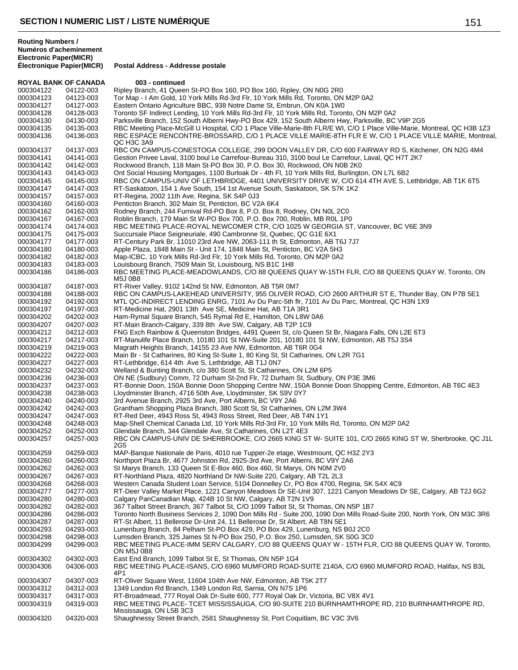| <b>ROYAL BANK OF CANADA</b> |                        | 003 - continued                                                                                                                                                                     |
|-----------------------------|------------------------|-------------------------------------------------------------------------------------------------------------------------------------------------------------------------------------|
| 000304122                   | 04122-003              | Ripley Branch, 41 Queen St-PO Box 160, PO Box 160, Ripley, ON N0G 2R0                                                                                                               |
| 000304123                   | 04123-003              | Tor Map - I Am Gold, 10 York Mills Rd-3rd Flr, 10 York Mills Rd, Toronto, ON M2P 0A2                                                                                                |
| 000304127                   | 04127-003              | Eastern Ontario Agriculture BBC, 938 Notre Dame St, Embrun, ON K0A 1W0                                                                                                              |
| 000304128                   | 04128-003              | Toronto SF Indirect Lending, 10 York Mills Rd-3rd Flr, 10 York Mills Rd, Toronto, ON M2P 0A2                                                                                        |
| 000304130                   | 04130-003              | Parksville Branch, 152 South Alberni Hwy-PO Box 429, 152 South Alberni Hwy, Parksville, BC V9P 2G5                                                                                  |
| 000304135                   | 04135-003              | RBC Meeting Place-McGill U Hospital, C/O 1 Place Ville-Marie-8th FLR/E WI, C/O 1 Place Ville-Marie, Montreal, QC H3B 1Z3                                                            |
| 000304136                   | 04136-003              | RBC ESPACE RENCONTRE-BROSSARD, C/O 1 PLACE VILLE MARIE-8TH FLR E W, C/O 1 PLACE VILLE MARIE, Montreal,<br>QC H <sub>3</sub> C 3A9                                                   |
| 000304137                   | 04137-003              | RBC ON CAMPUS-CONESTOGA COLLEGE, 299 DOON VALLEY DR, C/O 600 FAIRWAY RD S, Kitchener, ON N2G 4M4                                                                                    |
| 000304141                   | 04141-003              | Gestion Privee Laval, 3100 boul Le Carrefour-Bureau 310, 3100 boul Le Carrefour, Laval, QC H7T 2K7                                                                                  |
| 000304142                   | 04142-003              | Rockwood Branch, 118 Main St-PO Box 30, P.O. Box 30, Rockwood, ON N0B 2K0                                                                                                           |
| 000304143                   | 04143-003              | Ont Social Housing Mortgages, 1100 Burloak Dr - 4th Fl, 10 York Mills Rd, Burlington, ON L7L 6B2                                                                                    |
| 000304145                   | 04145-003              | RBC ON CAMPUS-UNIV OF LETHBRIDGE, 4401 UNIVERSITY DRIVE W, C/O 614 4TH AVE S, Lethbridge, AB T1K 6T5                                                                                |
| 000304147                   | 04147-003              | RT-Saskatoon, 154 1 Ave South, 154 1st Avenue South, Saskatoon, SK S7K 1K2                                                                                                          |
| 000304157                   | 04157-003              | RT-Regina, 2002 11th Ave, Regina, SK S4P 0J3                                                                                                                                        |
| 000304160                   | 04160-003              | Penticton Branch, 302 Main St, Penticton, BC V2A 6K4                                                                                                                                |
| 000304162                   | 04162-003              | Rodney Branch, 244 Furnival Rd-PO Box 8, P.O. Box 8, Rodney, ON N0L 2C0                                                                                                             |
| 000304167                   | 04167-003              | Roblin Branch, 179 Main St W-PO Box 700, P.O. Box 700, Roblin, MB R0L 1P0                                                                                                           |
| 000304174                   | 04174-003              | RBC MEETING PLACE-ROYAL NEWCOMER CTR, C/O 1025 W GEORGIA ST, Vancouver, BC V6E 3N9                                                                                                  |
| 000304175                   | 04175-003              | Succursale Place Seigneuriale, 490 Cambronne St, Quebec, QC G1E 6X1                                                                                                                 |
| 000304177                   | 04177-003              | RT-Century Park Br, 11010 23rd Ave NW, 2063-111 th St, Edmonton, AB T6J 7J7                                                                                                         |
| 000304180                   | 04180-003              | Apple Plaza, 1848 Main St - Unit 174, 1848 Main St, Penticton, BC V2A 5H3                                                                                                           |
| 000304182                   | 04182-003              | Map-ICBC, 10 York Mills Rd-3rd Flr, 10 York Mills Rd, Toronto, ON M2P 0A2                                                                                                           |
| 000304183                   | 04183-003              | Louisbourg Branch, 7509 Main St, Louisbourg, NS B1C 1H8                                                                                                                             |
| 000304186                   | 04186-003              | RBC MEETING PLACE-MEADOWLANDS, C/O 88 QUEENS QUAY W-15TH FLR, C/O 88 QUEENS QUAY W, Toronto, ON<br><b>M5J 0B8</b>                                                                   |
| 000304187                   | 04187-003              | RT-River Valley, 9102 142nd St NW, Edmonton, AB T5R 0M7                                                                                                                             |
| 000304188                   | 04188-003              | RBC ON CAMPUS-LAKEHEAD UNIVERSITY, 955 OLIVER ROAD, C/O 2600 ARTHUR ST E, Thunder Bay, ON P7B 5E1                                                                                   |
| 000304192                   | 04192-003              | MTL QC-INDIRECT LENDING ENRG, 7101 Av Du Parc-5th flr, 7101 Av Du Parc, Montreal, QC H3N 1X9                                                                                        |
| 000304197                   | 04197-003              | RT-Medicine Hat, 2901 13th Ave SE, Medicine Hat, AB T1A 3R1                                                                                                                         |
| 000304202                   | 04202-003              | Ham-Rymal Square Branch, 545 Rymal Rd E, Hamilton, ON L8W 0A6                                                                                                                       |
| 000304207                   | 04207-003              | RT-Main Branch-Calgary, 339 8th Ave SW, Calgary, AB T2P 1C9                                                                                                                         |
| 000304212                   | 04212-003              | FNG Exch Rainbow & Queenston Bridges, 4491 Queen St, c/o Queen St Br, Niagara Falls, ON L2E 6T3                                                                                     |
| 000304217                   | 04217-003              | RT-Manulife Place Branch, 10180 101 St NW-Suite 201, 10180 101 St NW, Edmonton, AB T5J 3S4                                                                                          |
| 000304219                   | 04219-003              | Magrath Heights Branch, 14155 23 Ave NW, Edmonton, AB T6R 0G4                                                                                                                       |
| 000304222                   | 04222-003<br>04227-003 | Main Br - St Catharines, 80 King St-Suite 1, 80 King St, St Catharines, ON L2R 7G1                                                                                                  |
| 000304227<br>000304232      | 04232-003              | RT-Lethbridge, 614 4th Ave S, Lethbridge, AB T1J 0N7<br>Welland & Bunting Branch, c/o 380 Scott St, St Catharines, ON L2M 6P5                                                       |
| 000304236                   | 04236-003              | ON NE (Sudbury) Comm, 72 Durham St-2nd Flr, 72 Durham St, Sudbury, ON P3E 3M6                                                                                                       |
| 000304237                   | 04237-003              | RT-Bonnie Doon, 150A Bonnie Doon Shopping Centre NW, 150A Bonnie Doon Shopping Centre, Edmonton, AB T6C 4E3                                                                         |
| 000304238                   | 04238-003              | Lloydminster Branch, 4716 50th Ave, Lloydminster, SK S9V 0Y7                                                                                                                        |
| 000304240                   | 04240-003              | 3rd Avenue Branch, 2925 3rd Ave, Port Alberni, BC V9Y 2A6                                                                                                                           |
| 000304242                   | 04242-003              | Grantham Shopping Plaza Branch, 380 Scott St, St Catharines, ON L2M 3W4                                                                                                             |
| 000304247                   | 04247-003              | RT-Red Deer, 4943 Ross St, 4943 Ross Street, Red Deer, AB T4N 1Y1                                                                                                                   |
| 000304248                   | 04248-003              | Map-Shell Chemical Canada Ltd, 10 York Mills Rd-3rd Flr, 10 York Mills Rd, Toronto, ON M2P 0A2                                                                                      |
| 000304252                   | 04252-003              | Glendale Branch, 344 Glendale Ave, St Catharines, ON L2T 4E3                                                                                                                        |
| 000304257                   | 04257-003              | RBC ON CAMPUS-UNIV DE SHERBROOKE, C/O 2665 KING ST W- SUITE 101, C/O 2665 KING ST W, Sherbrooke, QC J1L<br>2G5                                                                      |
| 000304259                   | 04259-003              | MAP-Banque Nationale de Paris, 4010 rue Tupper-2e etage, Westmount, QC H3Z 2Y3                                                                                                      |
| 000304260                   | 04260-003              | Northport Plaza Br, 4677 Johnston Rd, 2925-3rd Ave, Port Alberni, BC V9Y 2A6                                                                                                        |
| 000304262                   | 04262-003              | St Marys Branch, 133 Queen St E-Box 460, Box 460, St Marys, ON N0M 2V0                                                                                                              |
| 000304267                   | 04267-003              | RT-Northland Plaza, 4820 Northland Dr NW-Suite 220, Calgary, AB T2L 2L3                                                                                                             |
| 000304268                   | 04268-003              | Western Canada Student Loan Service, 5104 Donnelley Cr, PO Box 4700, Regina, SK S4X 4C9                                                                                             |
| 000304277                   | 04277-003              | RT-Deer Valley Market Place, 1221 Canyon Meadows Dr SE-Unit 307, 1221 Canyon Meadows Dr SE, Calgary, AB T2J 6G2                                                                     |
| 000304280                   | 04280-003              | Calgary PanCanadian Map, 424B 10 St NW, Calgary, AB T2N 1V9                                                                                                                         |
| 000304282                   | 04282-003              | 367 Talbot Street Branch, 367 Talbot St, C/O 1099 Talbot St, St Thomas, ON N5P 1B7                                                                                                  |
| 000304286                   | 04286-003              | Toronto North Business Services 2, 1090 Don Mills Rd - Suite 200, 1090 Don Mills Road-Suite 200, North York, ON M3C 3R6                                                             |
| 000304287                   | 04287-003              | RT-St Albert, 11 Bellerose Dr-Unit 24, 11 Bellerose Dr, St Albert, AB T8N 5E1                                                                                                       |
| 000304293                   | 04293-003              | Lunenburg Branch, 84 Pelham St-PO Box 429, PO Box 429, Lunenburg, NS B0J 2C0                                                                                                        |
| 000304298<br>000304299      | 04298-003<br>04299-003 | Lumsden Branch, 325 James St N-PO Box 250, P.O. Box 250, Lumsden, SK S0G 3C0<br>RBC MEETING PLACE-IMM SERV CALGARY, C/O 88 QUEENS QUAY W - 15TH FLR, C/O 88 QUEENS QUAY W, Toronto, |
| 000304302                   | 04302-003              | <b>ON M5J 0B8</b><br>East End Branch, 1099 Talbot St E, St Thomas, ON N5P 1G4                                                                                                       |
| 000304306                   | 04306-003              | RBC MEETING PLACE-ISANS, C/O 6960 MUMFORD ROAD-SUITE 2140A, C/O 6960 MUMFORD ROAD, Halifax, NS B3L<br>4P1                                                                           |
| 000304307                   | 04307-003              | RT-Oliver Square West, 11604 104th Ave NW, Edmonton, AB T5K 2T7                                                                                                                     |
| 000304312                   | 04312-003              | 1349 London Rd Branch, 1349 London Rd, Sarnia, ON N7S 1P6                                                                                                                           |
| 000304317                   | 04317-003              | RT-Broadmead, 777 Royal Oak Dr-Suite 600, 777 Royal Oak Dr, Victoria, BC V8X 4V1                                                                                                    |
| 000304319                   | 04319-003              | RBC MEETING PLACE-TCET MISSISSAUGA, C/O 90-SUITE 210 BURNHAMTHROPE RD, 210 BURNHAMTHROPE RD,                                                                                        |
|                             |                        | Mississauga, ON L5B 3C3                                                                                                                                                             |
| 000304320                   | 04320-003              | Shaughnessy Street Branch, 2581 Shaughnessy St, Port Coquitlam, BC V3C 3V6                                                                                                          |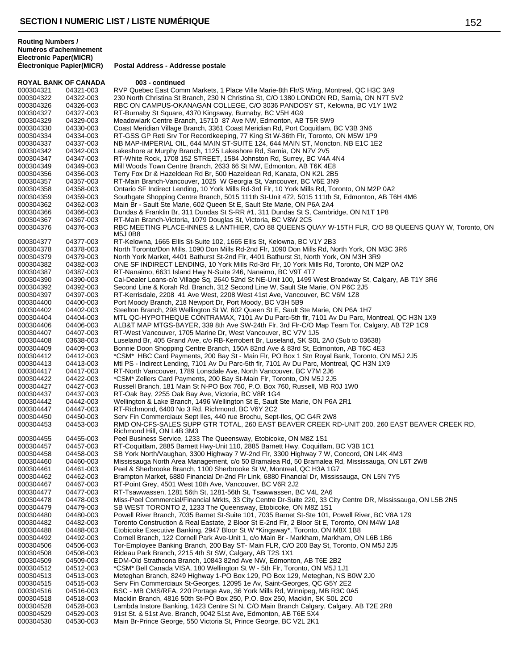**Électronique Papier(MICR) Postal Address - Addresse postale**

| <b>ROYAL BANK OF CANADA</b> |                        | 003 - continued                                                                                                                                                                        |
|-----------------------------|------------------------|----------------------------------------------------------------------------------------------------------------------------------------------------------------------------------------|
| 000304321                   | 04321-003              | RVP Quebec East Comm Markets, 1 Place Ville Marie-8th Flr/S Wing, Montreal, QC H3C 3A9                                                                                                 |
| 000304322                   | 04322-003              | 230 North Christina St Branch, 230 N Christina St, C/O 1380 LONDON RD, Sarnia, ON N7T 5V2                                                                                              |
| 000304326                   | 04326-003              | RBC ON CAMPUS-OKANAGAN COLLEGE, C/O 3036 PANDOSY ST, Kelowna, BC V1Y 1W2                                                                                                               |
| 000304327                   | 04327-003              | RT-Burnaby St Square, 4370 Kingsway, Burnaby, BC V5H 4G9                                                                                                                               |
| 000304329                   | 04329-003              | Meadowlark Centre Branch, 15710 87 Ave NW, Edmonton, AB T5R 5W9                                                                                                                        |
| 000304330<br>000304334      | 04330-003<br>04334-003 | Coast Meridian Village Branch, 3361 Coast Meridian Rd, Port Coquitlam, BC V3B 3N6<br>RT-GSS GP Reti Srv Tor Recordkeeping, 77 King St W-36th Flr, Toronto, ON M5W 1P9                  |
| 000304337                   | 04337-003              | NB MAP-IMPERIAL OIL, 644 MAIN ST-SUITE 124, 644 MAIN ST, Moncton, NB E1C 1E2                                                                                                           |
| 000304342                   | 04342-003              | Lakeshore at Murphy Branch, 1125 Lakeshore Rd, Sarnia, ON N7V 2V5                                                                                                                      |
| 000304347                   | 04347-003              | RT-White Rock, 1708 152 STREET, 1584 Johnston Rd, Surrey, BC V4A 4N4                                                                                                                   |
| 000304349                   | 04349-003              | Mill Woods Town Centre Branch, 2633 66 St NW, Edmonton, AB T6K 4E8                                                                                                                     |
| 000304356                   | 04356-003              | Terry Fox Dr & Hazeldean Rd Br, 500 Hazeldean Rd, Kanata, ON K2L 2B5                                                                                                                   |
| 000304357                   | 04357-003              | RT-Main Branch-Vancouver, 1025 W Georgia St, Vancouver, BC V6E 3N9                                                                                                                     |
| 000304358                   | 04358-003              | Ontario SF Indirect Lending, 10 York Mills Rd-3rd Flr, 10 York Mills Rd, Toronto, ON M2P 0A2                                                                                           |
| 000304359                   | 04359-003              | Southgate Shopping Centre Branch, 5015 111th St-Unit 472, 5015 111th St, Edmonton, AB T6H 4M6                                                                                          |
| 000304362                   | 04362-003              | Main Br - Sault Ste Marie, 602 Queen St E, Sault Ste Marie, ON P6A 2A4                                                                                                                 |
| 000304366                   | 04366-003              | Dundas & Franklin Br, 311 Dundas St S-RR #1, 311 Dundas St S, Cambridge, ON N1T 1P8                                                                                                    |
| 000304367                   | 04367-003              | RT-Main Branch-Victoria, 1079 Douglas St, Victoria, BC V8W 2C5                                                                                                                         |
| 000304376                   | 04376-003              | RBC MEETING PLACE-INNES & LANTHIER, C/O 88 QUEENS QUAY W-15TH FLR, C/O 88 QUEENS QUAY W, Toronto, ON<br>M5J 0B8                                                                        |
| 000304377                   | 04377-003              | RT-Kelowna, 1665 Ellis St-Suite 102, 1665 Ellis St, Kelowna, BC V1Y 2B3                                                                                                                |
| 000304378                   | 04378-003              | North Toronto/Don Mills, 1090 Don Mills Rd-2nd Flr, 1090 Don Mills Rd, North York, ON M3C 3R6<br>North York Market, 4401 Bathurst St-2nd Flr, 4401 Bathurst St, North York, ON M3H 3R9 |
| 000304379<br>000304382      | 04379-003<br>04382-003 | ONE SF INDIRECT LENDING, 10 York Mills Rd-3rd Flr, 10 York Mills Rd, Toronto, ON M2P 0A2                                                                                               |
| 000304387                   | 04387-003              | RT-Nanaimo, 6631 Island Hwy N-Suite 246, Nanaimo, BC V9T 4T7                                                                                                                           |
| 000304390                   | 04390-003              | Cal-Dealer Loans-c/o Village Sq, 2640 52nd St NE-Unit 100, 1499 West Broadway St, Calgary, AB T1Y 3R6                                                                                  |
| 000304392                   | 04392-003              | Second Line & Korah Rd. Branch, 312 Second Line W, Sault Ste Marie, ON P6C 2J5                                                                                                         |
| 000304397                   | 04397-003              | RT-Kerrisdale, 2208 41 Ave West, 2208 West 41st Ave, Vancouver, BC V6M 1Z8                                                                                                             |
| 000304400                   | 04400-003              | Port Moody Branch, 218 Newport Dr, Port Moody, BC V3H 5B9                                                                                                                              |
| 000304402                   | 04402-003              | Steelton Branch, 298 Wellington St W, 602 Queen St E, Sault Ste Marie, ON P6A 1H7                                                                                                      |
| 000304404                   | 04404-003              | MTL QC-HYPOTHEQUE CONTRAMAX, 7101 Av Du Parc-5th flr, 7101 Av Du Parc, Montreal, QC H3N 1X9                                                                                            |
| 000304406                   | 04406-003              | ALB&T MAP MTGS-BAYER, 339 8th Ave SW-24th Flr, 3rd Flr-C/O Map Team Tor, Calgary, AB T2P 1C9                                                                                           |
| 000304407                   | 04407-003              | RT-West Vancouver, 1705 Marine Dr, West Vancouver, BC V7V 1J5                                                                                                                          |
| 000304408                   | 03638-003              | Luseland Br, 405 Grand Ave, c/o RB-Kerrobert Br, Luseland, SK S0L 2A0 (Sub to 03638)                                                                                                   |
| 000304409                   | 04409-003              | Bonnie Doon Shopping Centre Branch, 150A 82nd Ave & 83rd St, Edmonton, AB T6C 4E3                                                                                                      |
| 000304412                   | 04412-003              | *CSM* HBC Card Payments, 200 Bay St - Main Flr, PO Box 1 Stn Royal Bank, Toronto, ON M5J 2J5                                                                                           |
| 000304413<br>000304417      | 04413-003<br>04417-003 | Mtl PS - Indirect Lending, 7101 Av Du Parc-5th flr, 7101 Av Du Parc, Montreal, QC H3N 1X9<br>RT-North Vancouver, 1789 Lonsdale Ave, North Vancouver, BC V7M 2J6                        |
| 000304422                   | 04422-003              | *CSM* Zellers Card Payments, 200 Bay St-Main Flr, Toronto, ON M5J 2J5                                                                                                                  |
| 000304427                   | 04427-003              | Russell Branch, 181 Main St N-PO Box 760, P.O. Box 760, Russell, MB R0J 1W0                                                                                                            |
| 000304437                   | 04437-003              | RT-Oak Bay, 2255 Oak Bay Ave, Victoria, BC V8R 1G4                                                                                                                                     |
| 000304442                   | 04442-003              | Wellington & Lake Branch, 1496 Wellington St E, Sault Ste Marie, ON P6A 2R1                                                                                                            |
| 000304447                   | 04447-003              | RT-Richmond, 6400 No 3 Rd, Richmond, BC V6Y 2C2                                                                                                                                        |
| 000304450                   | 04450-003              | Serv Fin Commerciaux Sept Iles, 440 rue Brochu, Sept-Iles, QC G4R 2W8                                                                                                                  |
| 000304453                   | 04453-003              | RMD ON-CFS-SALES SUPP GTR TOTAL, 260 EAST BEAVER CREEK RD-UNIT 200, 260 EAST BEAVER CREEK RD,<br>Richmond Hill, ON L4B 3M3                                                             |
| 000304455                   | 04455-003              | Peel Business Service, 1233 The Queensway, Etobicoke, ON M8Z 1S1                                                                                                                       |
| 000304457                   | 04457-003              | RT-Coquitlam, 2885 Barnett Hwy-Unit 110, 2885 Barnett Hwy, Coquitlam, BC V3B 1C1                                                                                                       |
| 000304458                   | 04458-003              | SB York North/Vaughan, 3300 Highway 7 W-2nd Flr, 3300 Highway 7 W, Concord, ON L4K 4M3                                                                                                 |
| 000304460                   | 04460-003              | Mississauga North Area Management, c/o 50 Bramalea Rd, 50 Bramalea Rd, Mississauga, ON L6T 2W8                                                                                         |
| 000304461                   | 04461-003              | Peel & Sherbrooke Branch, 1100 Sherbrooke St W, Montreal, QC H3A 1G7                                                                                                                   |
| 000304462<br>000304467      | 04462-003<br>04467-003 | Brampton Market, 6880 Financial Dr-2nd Flr Link, 6880 Financial Dr, Mississauga, ON L5N 7Y5<br>RT-Point Grey, 4501 West 10th Ave, Vancouver, BC V6R 2J2                                |
| 000304477                   | 04477-003              | RT-Tsawwassen, 1281 56th St, 1281-56th St, Tsawwassen, BC V4L 2A6                                                                                                                      |
| 000304478                   | 04478-003              | Miss-Peel Commercial/Financial Mrkts, 33 City Centre Dr-Suite 220, 33 City Centre DR, Mississauga, ON L5B 2N5                                                                          |
| 000304479                   | 04479-003              | SB WEST TORONTO 2, 1233 The Queensway, Etobicoke, ON M8Z 1S1                                                                                                                           |
| 000304480                   | 04480-003              | Powell River Branch, 7035 Barnet St-Suite 101, 7035 Barnet St-Ste 101, Powell River, BC V8A 1Z9                                                                                        |
| 000304482                   | 04482-003              | Toronto Construction & Real Eastate, 2 Bloor St E-2nd Flr, 2 Bloor St E, Toronto, ON M4W 1A8                                                                                           |
| 000304488                   | 04488-003              | Etobicoke Executive Banking, 2947 Bloor St W *Kingsway*, Toronto, ON M8X 1B8                                                                                                           |
| 000304492                   | 04492-003              | Cornell Branch, 122 Cornell Park Ave-Unit 1, c/o Main Br - Markham, Markham, ON L6B 1B6                                                                                                |
| 000304506                   | 04506-003              | Tor-Employee Banking Branch, 200 Bay ST- Main FLR, C/O 200 Bay St, Toronto, ON M5J 2J5                                                                                                 |
| 000304508                   | 04508-003              | Rideau Park Branch, 2215 4th St SW, Calgary, AB T2S 1X1                                                                                                                                |
| 000304509                   | 04509-003              | EDM-Old Strathcona Branch, 10843 82nd Ave NW, Edmonton, AB T6E 2B2                                                                                                                     |
| 000304512                   | 04512-003              | *CSM* Bell Canada VISA, 180 Wellington St W - 5th Flr, Toronto, ON M5J 1J1                                                                                                             |
| 000304513<br>000304515      | 04513-003<br>04515-003 | Meteghan Branch, 8249 Highway 1-PO Box 129, PO Box 129, Meteghan, NS B0W 2J0<br>Serv Fin Commerciaux St-Georges, 12095 1e Av, Saint-Georges, QC G5Y 2E2                                |
| 000304516                   | 04516-003              | BSC - MB CMS/RFA, 220 Portage Ave, 36 York Mills Rd, Winnipeg, MB R3C 0A5                                                                                                              |
| 000304518                   | 04518-003              | Macklin Branch, 4816 50th St-PO Box 250, P.O. Box 250, Macklin, SK S0L 2C0                                                                                                             |
| 000304528                   | 04528-003              | Lambda Instore Banking, 1423 Centre St N, C/O Main Branch Calgary, Calgary, AB T2E 2R8                                                                                                 |
| 000304529                   | 04529-003              | 91st St. & 51st Ave. Branch, 9042 51st Ave, Edmonton, AB T6E 5X4                                                                                                                       |
| 000304530                   | 04530-003              | Main Br-Prince George, 550 Victoria St, Prince George, BC V2L 2K1                                                                                                                      |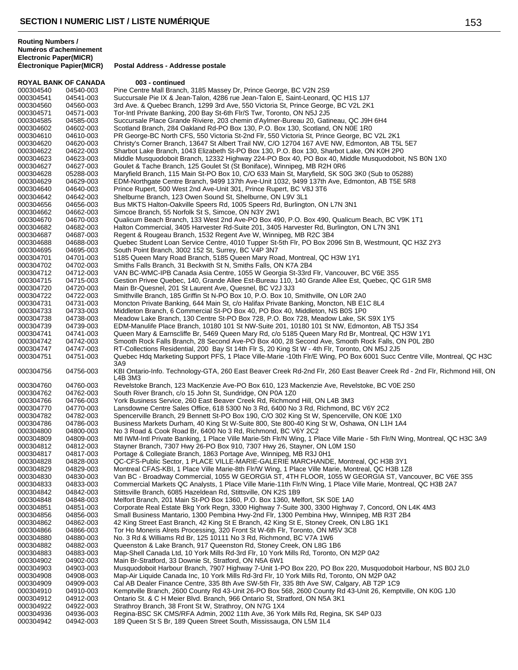| <b>ROYAL BANK OF CANADA</b> |           | 003 - continued                                                                                                                      |
|-----------------------------|-----------|--------------------------------------------------------------------------------------------------------------------------------------|
| 000304540                   | 04540-003 | Pine Centre Mall Branch, 3185 Massey Dr, Prince George, BC V2N 2S9                                                                   |
| 000304541                   | 04541-003 | Succursale Pie IX & Jean-Talon, 4286 rue Jean-Talon E, Saint-Leonard, QC H1S 1J7                                                     |
| 000304560                   | 04560-003 | 3rd Ave. & Quebec Branch, 1299 3rd Ave, 550 Victoria St, Prince George, BC V2L 2K1                                                   |
| 000304571                   | 04571-003 | Tor-Intl Private Banking, 200 Bay St-6th Flr/S Twr, Toronto, ON N5J 2J5                                                              |
| 000304585                   | 04585-003 | Succursale Place Grande Riviere, 203 chemin d'Aylmer-Bureau 20, Gatineau, QC J9H 6H4                                                 |
| 000304602                   | 04602-003 | Scotland Branch, 284 Oakland Rd-PO Box 130, P.O. Box 130, Scotland, ON N0E 1R0                                                       |
| 000304610                   | 04610-003 | PR George-BC North CFS, 550 Victoria St-2nd Flr, 550 Victoria St, Prince George, BC V2L 2K1                                          |
| 000304620                   | 04620-003 | Christy's Corner Branch, 13647 St Albert Trail NW, C/O 12704 167 AVE NW, Edmonton, AB T5L 5E7                                        |
| 000304622                   | 04622-003 | Sharbot Lake Branch, 1043 Elizabeth St-PO Box 130, P.O. Box 130, Sharbot Lake, ON K0H 2P0                                            |
| 000304623                   | 04623-003 | Middle Musquodoboit Branch, 12332 Highway 224-PO Box 40, PO Box 40, Middle Musquodoboit, NS B0N 1X0                                  |
|                             |           |                                                                                                                                      |
| 000304627                   | 04627-003 | Goulet & Tache Branch, 125 Goulet St (St Boniface), Winnipeg, MB R2H 0R6                                                             |
| 000304628                   | 05288-003 | Maryfield Branch, 115 Main St-PO Box 10, C/O 633 Main St, Maryfield, SK S0G 3K0 (Sub to 05288)                                       |
| 000304629                   | 04629-003 | EDM-Northgate Centre Branch, 9499 137th Ave-Unit 1032, 9499 137th Ave, Edmonton, AB T5E 5R8                                          |
| 000304640                   | 04640-003 | Prince Rupert, 500 West 2nd Ave-Unit 301, Prince Rupert, BC V8J 3T6                                                                  |
| 000304642                   | 04642-003 | Shelburne Branch, 123 Owen Sound St, Shelburne, ON L9V 3L1                                                                           |
| 000304656                   | 04656-003 | Bus MKTS Halton-Oakville Speers Rd, 1005 Speers Rd, Burlington, ON L7N 3N1                                                           |
| 000304662                   | 04662-003 | Simcoe Branch, 55 Norfolk St S, Simcoe, ON N3Y 2W1                                                                                   |
| 000304670                   | 04670-003 | Qualicum Beach Branch, 133 West 2nd Ave-PO Box 490, P.O. Box 490, Qualicum Beach, BC V9K 1T1                                         |
| 000304682                   | 04682-003 | Halton Commercial, 3405 Harvester Rd-Suite 201, 3405 Harvester Rd, Burlington, ON L7N 3N1                                            |
| 000304687                   | 04687-003 | Regent & Rougeau Branch, 1532 Regent Ave W, Winnipeg, MB R2C 3B4                                                                     |
| 000304688                   | 04688-003 | Quebec Student Loan Service Centre, 4010 Tupper St-5th Flr, PO Box 2096 Stn B, Westmount, QC H3Z 2Y3                                 |
| 000304695                   | 04695-003 | South Point Branch, 3002 152 St, Surrey, BC V4P 3N7                                                                                  |
| 000304701                   | 04701-003 | 5185 Queen Mary Road Branch, 5185 Queen Mary Road, Montreal, QC H3W 1Y1                                                              |
| 000304702                   | 04702-003 | Smiths Falls Branch, 31 Beckwith St N, Smiths Falls, ON K7A 2B4                                                                      |
| 000304712                   | 04712-003 | VAN BC-WMC-IPB Canada Asia Centre, 1055 W Georgia St-33rd Flr, Vancouver, BC V6E 3S5                                                 |
| 000304715                   | 04715-003 | Gestion Privee Quebec, 140, Grande Allee Est-Bureau 110, 140 Grande Allee Est, Quebec, QC G1R 5M8                                    |
| 000304720                   | 04720-003 | Main Br-Quesnel, 201 St Laurent Ave, Quesnel, BC V2J 3J3                                                                             |
|                             |           |                                                                                                                                      |
| 000304722                   | 04722-003 | Smithville Branch, 185 Griffin St N-PO Box 10, P.O. Box 10, Smithville, ON L0R 2A0                                                   |
| 000304731                   | 04731-003 | Moncton Private Banking, 644 Main St, c/o Halifax Private Banking, Moncton, NB E1C 8L4                                               |
| 000304733                   | 04733-003 | Middleton Branch, 6 Commercial St-PO Box 40, PO Box 40, Middleton, NS B0S 1P0                                                        |
| 000304738                   | 04738-003 | Meadow Lake Branch, 130 Centre St-PO Box 728, P.O. Box 728, Meadow Lake, SK S9X 1Y5                                                  |
| 000304739                   | 04739-003 | EDM-Manulife Place Branch, 10180 101 St NW-Suite 201, 10180 101 St NW, Edmonton, AB T5J 3S4                                          |
| 000304741                   | 04741-003 | Queen Mary & Earnscliffe Br, 5469 Queen Mary Rd, c/o 5185 Queen Mary Rd Br, Montreal, QC H3W 1Y1                                     |
| 000304742                   | 04742-003 | Smooth Rock Falls Branch, 28 Second Ave-PO Box 400, 28 Second Ave, Smooth Rock Falls, ON P0L 2B0                                     |
| 000304747                   | 04747-003 | RT-Collections Residential, 200 Bay St 14th Flr S, 20 King St W - 4th Flr, Toronto, ON M5J 2J5                                       |
| 000304751                   | 04751-003 | Quebec Hdq Marketing Support PFS, 1 Place Ville-Marie -10th Flr/E Wing, PO Box 6001 Succ Centre Ville, Montreal, QC H3C<br>3A9       |
| 000304756                   | 04756-003 | KBI Ontario-Info. Technology-GTA, 260 East Beaver Creek Rd-2nd Flr, 260 East Beaver Creek Rd - 2nd Flr, Richmond Hill, ON<br>L4B 3M3 |
| 000304760                   | 04760-003 | Revelstoke Branch, 123 MacKenzie Ave-PO Box 610, 123 Mackenzie Ave, Revelstoke, BC V0E 2S0                                           |
| 000304762                   | 04762-003 | South River Branch, c/o 15 John St, Sundridge, ON P0A 1Z0                                                                            |
| 000304766                   | 04766-003 | York Business Service, 260 East Beaver Creek Rd, Richmond Hill, ON L4B 3M3                                                           |
| 000304770                   | 04770-003 | Lansdowne Centre Sales Office, 618 5300 No 3 Rd, 6400 No 3 Rd, Richmond, BC V6Y 2C2                                                  |
| 000304782                   | 04782-003 | Spencerville Branch, 29 Bennett St-PO Box 190, C/O 302 King St W, Spencerville, ON K0E 1X0                                           |
| 000304786                   | 04786-003 | Business Markets Durham, 40 King St W-Suite 800, Ste 800-40 King St W, Oshawa, ON L1H 1A4                                            |
| 000304800                   | 04800-003 | No 3 Road & Cook Road Br, 6400 No 3 Rd, Richmond, BC V6Y 2C2                                                                         |
| 000304809                   | 04809-003 | Mtl IWM-Intl Private Banking, 1 Place Ville Marie-5th Flr/N Wing, 1 Place Ville Marie - 5th Flr/N Wing, Montreal, QC H3C 3A9         |
| 000304812                   | 04812-003 | Stayner Branch, 7307 Hwy 26-PO Box 910, 7307 Hwy 26, Stayner, ON L0M 1S0                                                             |
| 000304817                   | 04817-003 | Portage & Collegiate Branch, 1863 Portage Ave, Winnipeg, MB R3J 0H1                                                                  |
| 000304828                   | 04828-003 | QC-CFS-Public Sector, 1 PLACE VILLE-MARIE-GALERIE MARCHANDE, Montreal, QC H3B 3Y1                                                    |
| 000304829                   | 04829-003 | Montreal CFAS-KBI, 1 Place Ville Marie-8th Flr/W Wing, 1 Place Ville Marie, Montreal, QC H3B 1Z8                                     |
| 000304830                   | 04830-003 | Van BC - Broadway Commercial, 1055 W GEORGIA ST, 4TH FLOOR, 1055 W GEORGIA ST, Vancouver, BC V6E 3S5                                 |
| 000304833                   | 04833-003 | Commercial Markets QC Analysts, 1 Place Ville Marie-11th Flr/N Wing, 1 Place Ville Marie, Montreal, QC H3B 2A7                       |
| 000304842                   | 04842-003 | Stittsville Branch, 6085 Hazeldean Rd, Stittsville, ON K2S 1B9                                                                       |
| 000304848                   | 04848-003 | Melfort Branch, 201 Main St-PO Box 1360, P.O. Box 1360, Melfort, SK S0E 1A0                                                          |
|                             |           |                                                                                                                                      |
| 000304851                   | 04851-003 | Corporate Real Estate Bkg York Regn, 3300 Highway 7-Suite 300, 3300 Highway 7, Concord, ON L4K 4M3                                   |
| 000304856                   | 04856-003 | Small Business Mantario, 1300 Pembina Hwy-2nd Flr, 1300 Pembina Hwy, Winnipeg, MB R3T 2B4                                            |
| 000304862                   | 04862-003 | 42 King Street East Branch, 42 King St E Branch, 42 King St E, Stoney Creek, ON L8G 1K1                                              |
| 000304866                   | 04866-003 | Tor Ho Moneris Alrets Processing, 320 Front St W-6th Flr, Toronto, ON M5V 3C8                                                        |
| 000304880                   | 04880-003 | No. 3 Rd & Williams Rd Br, 125 10111 No 3 Rd, Richmond, BC V7A 1W6                                                                   |
| 000304882                   | 04882-003 | Queenston & Lake Branch, 917 Queenston Rd, Stoney Creek, ON L8G 1B6                                                                  |
| 000304883                   | 04883-003 | Map-Shell Canada Ltd, 10 York Mills Rd-3rd Flr, 10 York Mills Rd, Toronto, ON M2P 0A2                                                |
| 000304902                   | 04902-003 | Main Br-Stratford, 33 Downie St, Stratford, ON N5A 6W1                                                                               |
| 000304903                   | 04903-003 | Musquodoboit Harbour Branch, 7907 Highway 7-Unit 1-PO Box 220, PO Box 220, Musquodoboit Harbour, NS B0J 2L0                          |
| 000304908                   | 04908-003 | Map-Air Liquide Canada Inc, 10 York Mills Rd-3rd Flr, 10 York Mills Rd, Toronto, ON M2P 0A2                                          |
| 000304909                   | 04909-003 | Cal AB Dealer Finance Centre, 335 8th Ave SW-5th Flr, 335 8th Ave SW, Calgary, AB T2P 1C9                                            |
| 000304910                   | 04910-003 | Kemptville Branch, 2600 County Rd 43-Unit 26-PO Box 568, 2600 County Rd 43-Unit 26, Kemptville, ON K0G 1J0                           |
| 000304912                   | 04912-003 | Ontario St. & C H Meier Blvd. Branch, 966 Ontario St, Stratford, ON N5A 3K1                                                          |
| 000304922                   | 04922-003 | Strathroy Branch, 38 Front St W, Strathroy, ON N7G 1X4                                                                               |
| 000304936                   | 04936-003 | Regina-BSC SK CMS/RFA Admin, 2002 11th Ave, 36 York Mills Rd, Regina, SK S4P 0J3                                                     |
| 000304942                   | 04942-003 | 189 Queen St S Br, 189 Queen Street South, Mississauga, ON L5M 1L4                                                                   |
|                             |           |                                                                                                                                      |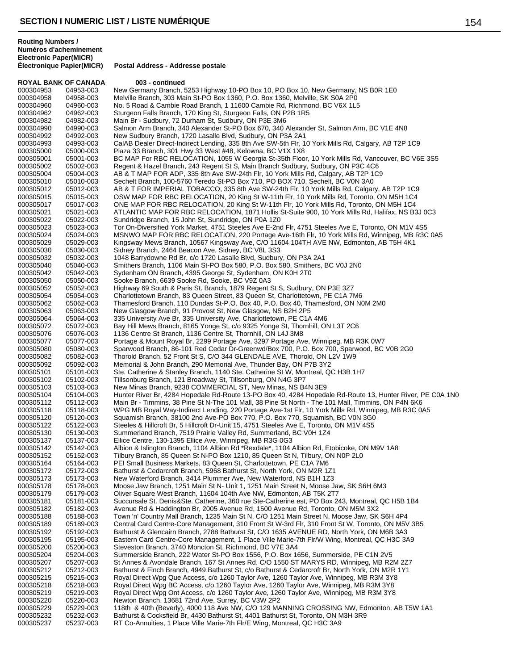| <b>ROYAL BANK OF CANADA</b> |                        | 003 - continued                                                                                                                                                                         |
|-----------------------------|------------------------|-----------------------------------------------------------------------------------------------------------------------------------------------------------------------------------------|
| 000304953                   | 04953-003              | New Germany Branch, 5253 Highway 10-PO Box 10, PO Box 10, New Germany, NS B0R 1E0                                                                                                       |
| 000304958                   | 04958-003              | Melville Branch, 303 Main St-PO Box 1360, P.O. Box 1360, Melville, SK S0A 2P0                                                                                                           |
| 000304960                   | 04960-003              | No. 5 Road & Cambie Road Branch, 1 11600 Cambie Rd, Richmond, BC V6X 1L5                                                                                                                |
| 000304962                   | 04962-003              | Sturgeon Falls Branch, 170 King St, Sturgeon Falls, ON P2B 1R5                                                                                                                          |
| 000304982                   | 04982-003              | Main Br - Sudbury, 72 Durham St, Sudbury, ON P3E 3M6                                                                                                                                    |
| 000304990                   | 04990-003              | Salmon Arm Branch, 340 Alexander St-PO Box 670, 340 Alexander St, Salmon Arm, BC V1E 4N8                                                                                                |
| 000304992                   | 04992-003              | New Sudbury Branch, 1720 Lasalle Blvd, Sudbury, ON P3A 2A1                                                                                                                              |
| 000304993                   | 04993-003              | CalAB Dealer Direct-Indirect Lending, 335 8th Ave SW-5th Flr, 10 York Mills Rd, Calgary, AB T2P 1C9                                                                                     |
| 000305000                   | 05000-003              | Plaza 33 Branch, 301 Hwy 33 West #48, Kelowna, BC V1X 1X8                                                                                                                               |
| 000305001                   | 05001-003              | BC MAP For RBC RELOCATION, 1055 W Georgia St-35th Floor, 10 York Mills Rd, Vancouver, BC V6E 3S5                                                                                        |
| 000305002                   | 05002-003              | Regent & Hazel Branch, 243 Regent St S, Main Branch Sudbury, Sudbury, ON P3C 4C6                                                                                                        |
| 000305004                   | 05004-003              | AB & T MAP FOR ADP, 335 8th Ave SW-24th Flr, 10 York Mills Rd, Calgary, AB T2P 1C9                                                                                                      |
| 000305010                   | 05010-003              | Sechelt Branch, 100-5760 Teredo St-PO Box 710, PO BOX 710, Sechelt, BC V0N 3A0                                                                                                          |
| 000305012<br>000305015      | 05012-003<br>05015-003 | AB & T FOR IMPERIAL TOBACCO, 335 8th Ave SW-24th Flr, 10 York Mills Rd, Calgary, AB T2P 1C9<br>OSW MAP FOR RBC RELOCATION, 20 King St W-11th Flr, 10 York Mills Rd, Toronto, ON M5H 1C4 |
| 000305017                   | 05017-003              | ONE MAP FOR RBC RELOCATION, 20 King St W-11th Flr, 10 York Mills Rd, Toronto, ON M5H 1C4                                                                                                |
| 000305021                   | 05021-003              | ATLANTIC MAP FOR RBC RELOCATION, 1871 Hollis St-Suite 900, 10 York Mills Rd, Halifax, NS B3J 0C3                                                                                        |
| 000305022                   | 05022-003              | Sundridge Branch, 15 John St, Sundridge, ON P0A 1Z0                                                                                                                                     |
| 000305023                   | 05023-003              | Tor On-Diversified York Market, 4751 Steeles Ave E-2nd Flr, 4751 Steeles Ave E, Toronto, ON M1V 4S5                                                                                     |
| 000305024                   | 05024-003              | MSNWO MAP FOR RBC RELOCATION, 220 Portage Ave-16th Flr, 10 York Mills Rd, Winnipeg, MB R3C 0A5                                                                                          |
| 000305029                   | 05029-003              | Kingsway Mews Branch, 10567 Kingsway Ave, C/O 11604 104TH AVE NW, Edmonton, AB T5H 4K1                                                                                                  |
| 000305030                   | 05030-003              | Sidney Branch, 2464 Beacon Ave, Sidney, BC V8L 3S3                                                                                                                                      |
| 000305032                   | 05032-003              | 1048 Barrydowne Rd Br, c/o 1720 Lasalle Blvd, Sudbury, ON P3A 2A1                                                                                                                       |
| 000305040                   | 05040-003              | Smithers Branch, 1106 Main St-PO Box 580, P.O. Box 580, Smithers, BC V0J 2N0                                                                                                            |
| 000305042                   | 05042-003              | Sydenham ON Branch, 4395 George St, Sydenham, ON K0H 2T0                                                                                                                                |
| 000305050                   | 05050-003              | Sooke Branch, 6639 Sooke Rd, Sooke, BC V9Z 0A3                                                                                                                                          |
| 000305052                   | 05052-003              | Highway 69 South & Paris St. Branch, 1879 Regent St S, Sudbury, ON P3E 3Z7                                                                                                              |
| 000305054                   | 05054-003              | Charlottetown Branch, 83 Queen Street, 83 Queen St, Charlottetown, PE C1A 7M6                                                                                                           |
| 000305062                   | 05062-003              | Thamesford Branch, 110 Dundas St-P.O. Box 40, P.O. Box 40, Thamesford, ON N0M 2M0                                                                                                       |
| 000305063                   | 05063-003              | New Glasgow Branch, 91 Provost St, New Glasgow, NS B2H 2P5                                                                                                                              |
| 000305064                   | 05064-003              | 335 University Ave Br, 335 University Ave, Charlottetown, PE C1A 4M6                                                                                                                    |
| 000305072                   | 05072-003              | Bay Hill Mews Branch, 8165 Yonge St, c/o 9325 Yonge St, Thornhill, ON L3T 2C6                                                                                                           |
| 000305076                   | 05076-003              | 1136 Centre St Branch, 1136 Centre St, Thornhill, ON L4J 3M8                                                                                                                            |
| 000305077                   | 05077-003              | Portage & Mount Royal Br, 2299 Portage Ave, 3297 Portage Ave, Winnipeg, MB R3K 0W7                                                                                                      |
| 000305080                   | 05080-003              | Sparwood Branch, 86-101 Red Cedar Dr-Greenwd/Box 700, P.O. Box 700, Sparwood, BC V0B 2G0                                                                                                |
| 000305082                   | 05082-003              | Thorold Branch, 52 Front St S, C/O 344 GLENDALE AVE, Thorold, ON L2V 1W9                                                                                                                |
| 000305092                   | 05092-003              | Memorial & John Branch, 290 Memorial Ave, Thunder Bay, ON P7B 3Y2                                                                                                                       |
| 000305101                   | 05101-003              | Ste. Catherine & Stanley Branch, 1140 Ste. Catherine St W, Montreal, QC H3B 1H7                                                                                                         |
| 000305102                   | 05102-003              | Tillsonburg Branch, 121 Broadway St, Tillsonburg, ON N4G 3P7                                                                                                                            |
| 000305103                   | 05103-003              | New Minas Branch, 9238 COMMERCIAL ST, New Minas, NS B4N 3E9                                                                                                                             |
| 000305104                   | 05104-003              | Hunter River Br, 4284 Hopedale Rd-Route 13-PO Box 40, 4284 Hopedale Rd-Route 13, Hunter River, PE C0A 1N0                                                                               |
| 000305112                   | 05112-003              | Main Br - Timmins, 38 Pine St N-The 101 Mall, 38 Pine St North - The 101 Mall, Timmins, ON P4N 6K6                                                                                      |
| 000305118                   | 05118-003              | WPG MB Royal Way-Indirect Lending, 220 Portage Ave-1st Flr, 10 York Mills Rd, Winnipeg, MB R3C 0A5                                                                                      |
| 000305120                   | 05120-003              | Squamish Branch, 38100 2nd Ave-PO Box 770, P.O. Box 770, Squamish, BC V0N 3G0                                                                                                           |
| 000305122                   | 05122-003              | Steeles & Hillcroft Br, 5 Hillcroft Dr-Unit 15, 4751 Steeles Ave E, Toronto, ON M1V 4S5                                                                                                 |
| 000305130                   | 05130-003              | Summerland Branch, 7519 Prairie Valley Rd, Summerland, BC V0H 1Z4                                                                                                                       |
| 000305137                   | 05137-003              | Ellice Centre, 130-1395 Ellice Ave, Winnipeg, MB R3G 0G3                                                                                                                                |
| 000305142                   | 05142-003              | Albion & Islington Branch, 1104 Albion Rd *Rexdale*, 1104 Albion Rd, Etobicoke, ON M9V 1A8                                                                                              |
| 000305152                   | 05152-003<br>05164-003 | Tilbury Branch, 85 Queen St N-PO Box 1210, 85 Queen St N, Tilbury, ON N0P 2L0                                                                                                           |
| 000305164<br>000305172      | 05172-003              | PEI Small Business Markets, 83 Queen St, Charlottetown, PE C1A 7M6<br>Bathurst & Cedarcroft Branch, 5968 Bathurst St, North York, ON M2R 1Z1                                            |
| 000305173                   | 05173-003              | New Waterford Branch, 3414 Plummer Ave, New Waterford, NS B1H 1Z3                                                                                                                       |
| 000305178                   | 05178-003              | Moose Jaw Branch, 1251 Main St N- Unit 1, 1251 Main Street N, Moose Jaw, SK S6H 6M3                                                                                                     |
| 000305179                   | 05179-003              | Oliver Square West Branch, 11604 104th Ave NW, Edmonton, AB T5K 2T7                                                                                                                     |
| 000305181                   | 05181-003              | Succursale St. Denis&Ste. Catherine, 360 rue Ste-Catherine est, PO Box 243, Montreal, QC H5B 1B4                                                                                        |
| 000305182                   | 05182-003              | Avenue Rd & Haddington Br, 2005 Avenue Rd, 1500 Avenue Rd, Toronto, ON M5M 3X2                                                                                                          |
| 000305188                   | 05188-003              | Town 'n' Country Mall Branch, 1235 Main St N, C/O 1251 Main Street N, Moose Jaw, SK S6H 4P4                                                                                             |
| 000305189                   | 05189-003              | Central Card Centre-Core Management, 310 Front St W-3rd Flr, 310 Front St W, Toronto, ON M5V 3B5                                                                                        |
| 000305192                   | 05192-003              | Bathurst & Glencairn Branch, 2788 Bathurst St, C/O 1635 AVENUE RD, North York, ON M6B 3A3                                                                                               |
| 000305195                   | 05195-003              | Eastern Card Centre-Core Management, 1 Place Ville Marie-7th Flr/W Wing, Montreal, QC H3C 3A9                                                                                           |
| 000305200                   | 05200-003              | Steveston Branch, 3740 Moncton St, Richmond, BC V7E 3A4                                                                                                                                 |
| 000305204                   | 05204-003              | Summerside Branch, 222 Water St-PO Box 1556, P.O. Box 1656, Summerside, PE C1N 2V5                                                                                                      |
| 000305207                   | 05207-003              | St Annes & Avondale Branch, 167 St Annes Rd, C/O 1550 ST MARYS RD, Winnipeg, MB R2M 2Z7                                                                                                 |
| 000305212                   | 05212-003              | Bathurst & Finch Branch, 4949 Bathurst St, c/o Bathurst & Cedarcroft Br, North York, ON M2R 1Y1                                                                                         |
| 000305215                   | 05215-003              | Royal Direct Wpg Que Access, c/o 1260 Taylor Ave, 1260 Taylor Ave, Winnipeg, MB R3M 3Y8                                                                                                 |
| 000305218                   | 05218-003              | Royal Direct Wpg BC Access, c/o 1260 Taylor Ave, 1260 Taylor Ave, Winnipeg, MB R3M 3Y8                                                                                                  |
| 000305219                   | 05219-003              | Royal Direct Wpg Ont Access, c/o 1260 Taylor Ave, 1260 Taylor Ave, Winnipeg, MB R3M 3Y8                                                                                                 |
| 000305220                   | 05220-003              | Newton Branch, 13681 72nd Ave, Surrey, BC V3W 2P2                                                                                                                                       |
| 000305229                   | 05229-003              | 118th & 40th (Beverly), 4000 118 Ave NW, C/O 129 MANNING CROSSING NW, Edmonton, AB T5W 1A1                                                                                              |
| 000305232                   | 05232-003              | Bathurst & Cocksfield Br, 4430 Bathurst St, 4401 Bathurst St, Toronto, ON M3H 3R9                                                                                                       |
| 000305237                   | 05237-003              | RT Co-Annuities, 1 Place Ville Marie-7th Flr/E Wing, Montreal, QC H3C 3A9                                                                                                               |
|                             |                        |                                                                                                                                                                                         |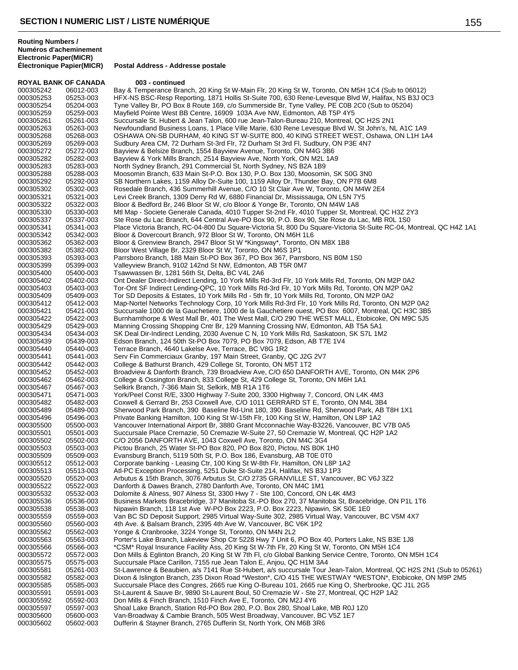**ROYAL BANK OF CANADA 003 - continued**

**Postal Address - Addresse postale** 

000305242 06012-003 Bay & Temperance Branch, 20 King St W-Main Flr, 20 King St W, Toronto, ON M5H 1C4 (Sub to 06012) 000305253 05253-003 HFX-NS BSC-Resp Reporting, 1871 Hollis St-Suite 700, 630 Rene-Levesque Blvd W, Halifax, NS B3J 0C3<br>000305254 05204-003 Tyne Vallev Br. PO Box 8 Route 169. c/o Summerside Br. Tyne Vallev. PE C0B 2C0 (Sub Tyne Valley Br, PO Box 8 Route 169, c/o Summerside Br, Tyne Valley, PE C0B 2C0 (Sub to 05204) 000305259 05259-003 Mayfield Pointe West BB Centre, 16909 103A Ave NW, Edmonton, AB T5P 4Y5 000305261 05261-003 Succursale St. Hubert & Jean Talon, 600 rue Jean-Talon-Bureau 210, Montreal, QC H2S 2N1<br>000305263 05263-003 Newfoundland Business Loans, 1 Place Ville Marie, 630 Rene Levesque Blvd W. St John's. N 000305263 05263-003 Newfoundland Business Loans, 1 Place Ville Marie, 630 Rene Levesque Blvd W, St John's, NL A1C 1A9<br>000305268 05268-003 OSHAWA ON-SB DURHAM, 40 KING ST W-SUITE 800, 40 KING STREET WEST, Oshawa, ON L1H 1A 000305268 05268-003 OSHAWA ON-SB DURHAM, 40 KING ST W-SUITE 800, 40 KING STREET WEST, Oshawa, ON L1H 1A4<br>000305269 05269-003 Sudbury Area CM. 72 Durham St-3rd Flr. 72 Durham St 3rd Fl. Sudbury. ON P3E 4N7 Sudbury Area CM, 72 Durham St-3rd Flr, 72 Durham St 3rd Fl, Sudbury, ON P3E 4N7 000305272 05272-003 Bayview & Belsize Branch, 1554 Bayview Avenue, Toronto, ON M4G 3B6 000305282 05282-003 Bayview & York Mills Branch, 2514 Bayview Ave, North York, ON M2L 1A9 000305283 05283-003 North Sydney Branch, 291 Commercial St, North Sydney, NS B2A 1B9 000305288 05288-003 Moosomin Branch, 633 Main St-P.O. Box 130, P.O. Box 130, Moosomin, SK S0G 3N0<br>000305292 05292-003 SB Northern Lakes. 1159 Allov Dr-Suite 100. 1159 Allov Dr. Thunder Bay. ON P7B 6M 000305292 05292-003 SB Northern Lakes, 1159 Alloy Dr-Suite 100, 1159 Alloy Dr, Thunder Bay, ON P7B 6M8<br>000305302 05302-003 Rosedale Branch, 436 Summerhill Avenue, C/O 10 St Clair Ave W, Toronto, ON M4W 2 000305302 05302-003 Rosedale Branch, 436 Summerhill Avenue, C/O 10 St Clair Ave W, Toronto, ON M4W 2E4<br>000305321 05321-003 Levi Creek Branch, 1309 Derry Rd W, 6880 Financial Dr, Mississauga, ON L5N 7Y5 000305321 05321-003 Levi Creek Branch, 1309 Derry Rd W, 6880 Financial Dr, Mississauga, ON L5N 7Y5<br>000305322 05322-003 Bloor & Bedford Br, 246 Bloor St W, c/o Bloor & Yonge Br, Toronto, ON M4W 1A8 000305322 05322-003 Bloor & Bedford Br, 246 Bloor St W, c/o Bloor & Yonge Br, Toronto, ON M4W 1A8 000305330 05330-003 Mtl Map - Societe Generale Canada, 4010 Tupper St-2nd Flr, 4010 Tupper St, Montreal, QC H3Z 2Y3<br>000305337 05337-003 Ste Rose du Lac Branch, 644 Central Ave-PO Box 90, P.O. Box 90, Ste Rose du Lac, MB R0 000305337 05337-003 Ste Rose du Lac Branch, 644 Central Ave-PO Box 90, P.O. Box 90, Ste Rose du Lac, MB R0L 1S0<br>000305341 05341-003 Place Victoria Branch, RC-04-800 Du Square-Victoria St, 800 Du Square-Victoria St-Suite RC 000305341 05341-003 Place Victoria Branch, RC-04-800 Du Square-Victoria St, 800 Du Square-Victoria St-Suite RC-04, Montreal, QC H4Z 1A1<br>000305342 05342-003 Bloor & Dovercourt Branch. 972 Bloor St W. Toronto. ON M6H 1L6 000305342 05342-003 Bloor & Dovercourt Branch, 972 Bloor St W, Toronto, ON M6H 1L6<br>000305362 05362-003 Bloor & Grenview Branch, 2947 Bloor St W \*Kingsway\*, Toronto, O 000305362 05362-003 Bloor & Grenview Branch, 2947 Bloor St W \*Kingsway\*, Toronto, ON M8X 1B8<br>000305382 05382-003 Bloor West Village Br, 2329 Bloor St W, Toronto, ON M6S 1P1 000305382 05382-003 Bloor West Village Br, 2329 Bloor St W, Toronto, ON M6S 1P1 000305393 05393-003 Parrsboro Branch, 188 Main St-PO Box 367, PO Box 367, Parrsboro, NS B0M 1S0<br>000305399 05399-003 Valleyview Branch, 9102 142nd St NW, Edmonton, AB T5R 0M7 000305399 05399-003 Valleyview Branch, 9102 142nd St NW, Edmonton, AB T5R 0M7 Tsawwassen Br, 1281 56th St, Delta, BC V4L 2A6 000305402 05402-003 Ont Dealer Direct-Indirect Lending, 10 York Mills Rd-3rd Flr, 10 York Mills Rd, Toronto, ON M2P 0A2<br>000305403 05403-003 Tor-Ont SF Indirect Lending-QPC, 10 York Mills Rd-3rd Flr, 10 York Mills Rd, Toron 000305403 05403-003 Tor-Ont SF Indirect Lending-QPC, 10 York Mills Rd-3rd Flr, 10 York Mills Rd, Toronto, ON M2P 0A2<br>000305409 05409-003 Tor SD Deposits & Estates. 10 York Mills Rd - 5th flr. 10 York Mills Rd. Toronto. ON 000305409 05409-003 Tor SD Deposits & Estates, 10 York Mills Rd - 5th flr, 10 York Mills Rd, Toronto, ON M2P 0A2<br>000305412 05412-003 Map-Nortel Networks Technology Corp, 10 York Mills Rd-3rd Flr, 10 York Mills Rd, Toronto, 000305412 05412-003 Map-Nortel Networks Technology Corp, 10 York Mills Rd-3rd Flr, 10 York Mills Rd, Toronto, ON M2P 0A2 Succursale 1000 de la Gauchetiere, 1000 de la Gauchetiere ouest, PO Box 6007, Montreal, QC H3C 3B5 000305422 05422-003 Burnhamthorpe & West Mall Br, 401 The West Mall, C/O 290 THE WEST MALL, Etobicoke, ON M9C 5J5<br>000305429 05429-003 Manning Crossing Shopping Cntr Br, 129 Manning Crossing NW, Edmonton, AB T5A 5A1 000305429 05429-003 Manning Crossing Shopping Cntr Br, 129 Manning Crossing NW, Edmonton, AB T5A 5A1<br>000305434 05434-003 SK Deal Dir-Indirect Lending, 2030 Avenue C N, 10 York Mills Rd, Saskatoon, SK S7L 1M. 000305434 05434-003 SK Deal Dir-Indirect Lending, 2030 Avenue C N, 10 York Mills Rd, Saskatoon, SK S7L 1M2<br>000305439 05439-003 Edson Branch. 124 50th St-PO Box 7079. PO Box 7079. Edson. AB T7E 1V4 000305439 05439-003 Edson Branch, 124 50th St-PO Box 7079, PO Box 7079, Edson, AB T7E 1V4 000305440 05440-003 Terrace Branch, 4640 Lakelse Ave, Terrace, BC V8G 1R2<br>000305441 05441-003 Serv Fin Commerciaux Granby, 197 Main Street, Granby, 000305441 05441-003 Serv Fin Commerciaux Granby, 197 Main Street, Granby, QC J2G 2V7<br>000305442 05442-003 College & Bathurst Branch, 429 College St, Toronto, ON M5T 1T2 000305442 05442-003 College & Bathurst Branch, 429 College St, Toronto, ON M5T 1T2<br>000305452 05452-003 Broadview & Danforth Branch, 739 Broadview Ave, C/O 650 DANF 000305452 05452-003 Broadview & Danforth Branch, 739 Broadview Ave, C/O 650 DANFORTH AVE, Toronto, ON M4K 2P6<br>000305462 05462-003 College & Ossington Branch, 833 College St, 429 College St, Toronto, ON M6H 1A1 000305462 05462-003 College & Ossington Branch, 833 College St, 429 College St, Toronto, ON M6H 1A1<br>000305467 05467-003 Selkirk Branch, 7-366 Main St, Selkirk, MB R1A 1T6 000305467 05467-003 Selkirk Branch, 7-366 Main St, Selkirk, MB R1A 1T6 000305471 05471-003 York/Peel Const R/E, 3300 Highway 7-Suite 200, 3300 Highway 7, Concord, ON L4K 4M3 000305482 05482-003 Coxwell & Gerrard Br, 253 Coxwell Ave, C/O 1011 GERRARD ST E, Toronto, ON M4L 3B4 000305489 05489-003 Sherwood Park Branch, 390 Baseline Rd-Unit 180, 390 Baseline Rd, Sherwood Park, AB T8H 1X1<br>000305496 05496-003 Private Banking Hamilton, 100 King St W-15th Flr, 100 King St W, Hamilton, ON L8P 1A2 000305496 05496-003 Private Banking Hamilton, 100 King St W-15th Flr, 100 King St W, Hamilton, ON L8P 1A2<br>000305500 05500-003 Vancouver International Airport Br. 3880 Grant Mcconnachie Wav-B3226. Vancouver. BC 000305500 05500-003 Vancouver International Airport Br, 3880 Grant Mcconnachie Way-B3226, Vancouver, BC V7B 0A5<br>000305501 05501-003 Succursale Place Cremazie, 50 Cremazie W-Suite 27, 50 Cremazie W, Montreal, QC H2P 1A2 000305501 05501-003 Succursale Place Cremazie, 50 Cremazie W-Suite 27, 50 Cremazie W, Montreal, QC H2P 1A2<br>000305502 05502-003 C/O 2056 DANFORTH AVE. 1043 Coxwell Ave. Toronto. ON M4C 3G4 C/O 2056 DANFORTH AVE, 1043 Coxwell Ave, Toronto, ON M4C 3G4 000305503 05503-003 Pictou Branch, 25 Water St-PO Box 820, PO Box 820, Pictou, NS B0K 1H0<br>000305509 05509-003 Evansburg Branch, 5119 50th St, P.O. Box 186, Evansburg, AB T0E 0T0 000305509 05509-003 Evansburg Branch, 5119 50th St, P.O. Box 186, Evansburg, AB T0E 0T0<br>000305512 05512-003 Corporate banking - Leasing Ctr. 100 King St W-8th Flr. Hamilton, ON L8 000305512 05512-003 Corporate banking - Leasing Ctr, 100 King St W-8th Flr, Hamilton, ON L8P 1A2<br>000305513 05513-003 Atl-PC Exception Processing, 5251 Duke St-Suite 214, Halifax, NS B3J 1P3 000305513 05513-003 Atl-PC Exception Processing, 5251 Duke St-Suite 214, Halifax, NS B3J 1P3<br>000305520 05520-003 Arbutus & 15th Branch. 3076 Arbutus St. C/O 2735 GRANVILLE ST. Vancou Arbutus & 15th Branch, 3076 Arbutus St, C/O 2735 GRANVILLE ST, Vancouver, BC V6J 3Z2 000305522 05522-003 Danforth & Dawes Branch, 2780 Danforth Ave, Toronto, ON M4C 1M1<br>000305532 05532-003 Dolomite & Alness, 907 Alness St, 3300 Hwy 7 - Ste 100, Concord, ON 000305532 05532-003 Dolomite & Alness, 907 Alness St, 3300 Hwy 7 - Ste 100, Concord, ON L4K 4M3 000305536 05536-003 Business Markets Bracebridge, 37 Manitoba St.-PO Box 270, 37 Manitoba St, Bracebridge, ON P1L 1T6<br>000305538 05538-003 Nipawin Branch. 118 1st Ave W-PO Box 2223. P.O. Box 2223. Nipawin. SK S0E 1E0 000305538 05538-003 Nipawin Branch, 118 1st Ave W-PO Box 2223, P.O. Box 2223, Nipawin, SK S0E 1E0 000305559 05559-003 Van BC SD Deposit Support, 2985 Virtual Way-Suite 302, 2985 Virtual Way, Vancouver, BC V5M 4X7<br>000305560 05560-003 4th Ave. & Balsam Branch, 2395 4th Ave W, Vancouver, BC V6K 1P2 000305560 05560-003 4th Ave. & Balsam Branch, 2395 4th Ave W, Vancouver, BC V6K 1P2<br>000305562 05562-003 Yonge & Cranbrooke, 3224 Yonge St, Toronto, ON M4N 2L2 000305562 05562-003 Yonge & Cranbrooke, 3224 Yonge St, Toronto, ON M4N 2L2<br>000305563 05563-003 Porter's Lake Branch, Lakeview Shop Ctr 5228 Hwy 7 Unit 6, 000305563 05563-003 Porter's Lake Branch, Lakeview Shop Ctr 5228 Hwy 7 Unit 6, PO Box 40, Porters Lake, NS B3E 1J8<br>000305566 05566-003 \*CSM\* Roval Insurance Facility Ass. 20 King St W-7th Flr. 20 King St W. Toronto. ON M5H 000305566 05566-003 \*CSM\* Royal Insurance Facility Ass, 20 King St W-7th Flr, 20 King St W, Toronto, ON M5H 1C4<br>000305572 05572-003 Don Mills & Eglinton Branch, 20 King St W 7th Fl, c/o Global Banking Service Centre, Toron 000305572 05572-003 Don Mills & Eglinton Branch, 20 King St W 7th Fl, c/o Global Banking Service Centre, Toronto, ON M5H 1C4<br>000305575 05575-003 Succursale Place Carillon, 7155 rue Jean Talon E, Anjou, QC H1M 3A4 000305575 05575-003 Succursale Place Carillon, 7155 rue Jean Talon E, Anjou, QC H1M 3A4<br>000305581 05261-003 St-Lawrence & Beaubien, a/s 7141 Rue St-Hubert, a/s succursale Tour 000305581 05261-003 St-Lawrence & Beaubien, a/s 7141 Rue St-Hubert, a/s succursale Tour Jean-Talon, Montreal, QC H2S 2N1 (Sub to 05261)<br>000305582 05582-003 Dixon & Islington Branch, 235 Dixon Road \*Weston\*, C/O 415 THE WES 000305582 05582-003 Dixon & Islington Branch, 235 Dixon Road \*Weston\*, C/O 415 THE WESTWAY \*WESTON\*, Etobicoke, ON M9P 2M5<br>000305585 05585-003 Succursale Place des Congres, 2665 rue King O-Bureau 101, 2665 rue King O, Sher 000305585 05585-003 Succursale Place des Congres, 2665 rue King O-Bureau 101, 2665 rue King O, Sherbrooke, QC J1L 2G5<br>000305591 05591-003 St-Laurent & Sauve Br. 9890 St-Laurent Boul. 50 Cremazie W - Ste 27. Montreal. QC H2 000305591 05591-003 St-Laurent & Sauve Br, 9890 St-Laurent Boul, 50 Cremazie W - Ste 27, Montreal, QC H2P 1A2<br>000305592 05592-003 Don Mills & Finch Branch, 1510 Finch Ave E, Toronto, ON M2J 4Y6 000305592 05592-003 Don Mills & Finch Branch, 1510 Finch Ave E, Toronto, ON M2J 4Y6 Shoal Lake Branch, Station Rd-PO Box 280, P.O. Box 280, Shoal Lake, MB R0J 1Z0 000305600 05600-003 Van-Broadway & Cambie Branch, 505 West Broadway, Vancouver, BC V5Z 1E7<br>000305602 05602-003 Dufferin & Stayner Branch, 2765 Dufferin St, North York, ON M6B 3R6 Dufferin & Stayner Branch, 2765 Dufferin St, North York, ON M6B 3R6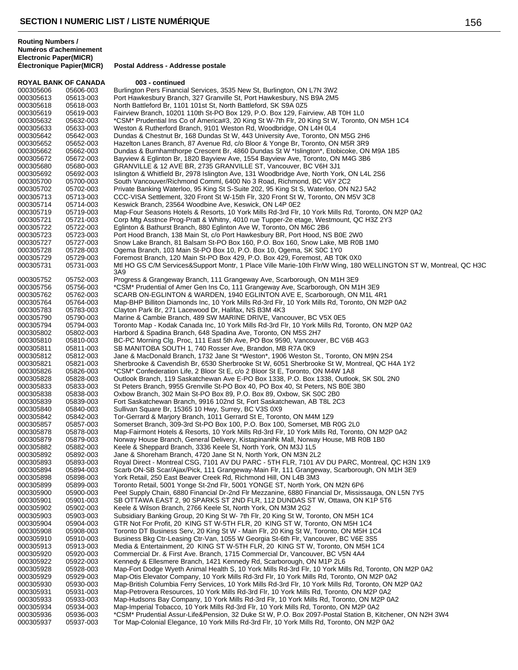**ROYAL BANK OF CANADA 003 - continued**<br>000305606 05606-003 Burlington Pers Financia 000305606 05606-003 Burlington Pers Financial Services, 3535 New St, Burlington, ON L7N 3W2<br>000305613 05613-003 Port Hawkesbury Branch, 327 Granville St, Port Hawkesbury, NS B9A 2M5 000305613 05613-003 Port Hawkesbury Branch, 327 Granville St, Port Hawkesbury, NS B9A 2M5<br>000305618 05618-003 North Battleford Br. 1101 101st St. North Battleford, SK S9A 0Z5 North Battleford Br, 1101 101st St, North Battleford, SK S9A 0Z5 000305619 05619-003 Fairview Branch, 10201 110th St-PO Box 129, P.O. Box 129, Fairview, AB T0H 1L0<br>000305632 05632-003 \*CSM\* Prudential Ins Co of America#3, 20 King St W-7th Flr, 20 King St W, Toronto. 000305632 05632-003 \*CSM\* Prudential Ins Co of America#3, 20 King St W-7th Flr, 20 King St W, Toronto, ON M5H 1C4<br>000305633 05633-003 Weston & Rutherford Branch. 9101 Weston Rd. Woodbridge. ON L4H 0L4 000305633 05633-003 Weston & Rutherford Branch, 9101 Weston Rd, Woodbridge, ON L4H 0L4 000305642 05642-003 Dundas & Chestnut Br, 168 Dundas St W, 443 University Ave, Toronto, ON M5G 2H6 Hazelton Lanes Branch, 87 Avenue Rd, c/o Bloor & Yonge Br, Toronto, ON M5R 3R9 000305662 05662-003 Dundas & Burnhamthorpe Crescent Br, 4860 Dundas St W \*Islington\*, Etobicoke, ON M9A 1B5<br>000305672 05672-003 Bayview & Eglinton Br, 1820 Bayview Ave, 1554 Bayview Ave, Toronto, ON M4G 3B6 000305672 05672-003 Bayview & Eglinton Br, 1820 Bayview Ave, 1554 Bayview Ave, Toronto, ON M4G 3B6<br>000305680 05680-003 GRANVILLE & 12 AVE BR, 2735 GRANVILLE ST, Vancouver, BC V6H 3J1 000305680 05680-003 GRANVILLE & 12 AVE BR, 2735 GRANVILLE ST, Vancouver, BC V6H 3J1<br>000305692 05692-003 Islington & Whitfield Br, 2978 Islington Ave, 131 Woodbridge Ave, North Yor 000305692 05692-003 Islington & Whitfield Br, 2978 Islington Ave, 131 Woodbridge Ave, North York, ON L4L 2S6<br>000305700 05700-003 South Vancouver/Richmond Comml, 6400 No 3 Road, Richmond, BC V6Y 2C2 000305700 05700-003 South Vancouver/Richmond Comml, 6400 No 3 Road, Richmond, BC V6Y 2C2<br>000305702 05702-003 Private Banking Waterloo, 95 King St S-Suite 202, 95 King St S, Waterloo, ON I 000305702 05702-003 Private Banking Waterloo, 95 King St S-Suite 202, 95 King St S, Waterloo, ON N2J 5A2<br>000305713 05713-003 CCC-VISA Settlement, 320 Front St W-15th Flr, 320 Front St W, Toronto, ON M5V 3C8 000305713 05713-003 CCC-VISA Settlement, 320 Front St W-15th Flr, 320 Front St W, Toronto, ON M5V 3C8<br>000305714 05714-003 Keswick Branch, 23564 Woodbine Ave, Keswick, ON L4P 0E2 000305714 05714-003 Keswick Branch, 23564 Woodbine Ave, Keswick, ON L4P 0E2 000305719 05719-003 Map-Four Seasons Hotels & Resorts, 10 York Mills Rd-3rd Flr, 10 York Mills Rd, Toronto, ON M2P 0A2<br>000305721 05721-003 Corp Mtg Asstnce Prog-Pratt & Whitny, 4010 rue Tupper-2e etage, Westmount, QC H3Z 2 000305721 05721-003 Corp Mtg Asstnce Prog-Pratt & Whitny, 4010 rue Tupper-2e etage, Westmount, QC H3Z 2Y3<br>000305722 05722-003 Eglinton & Bathurst Branch, 880 Eglinton Ave W, Toronto, ON M6C 2B6 000305722 05722-003 Eglinton & Bathurst Branch, 880 Eglinton Ave W, Toronto, ON M6C 2B6 000305723 05723-003 Port Hood Branch, 138 Main St, c/o Port Hawkesbury BR, Port Hood, NS B0E 2W0 000305727 05727-003 Snow Lake Branch, 81 Balsam St-PO Box 160, P.O. Box 160, Snow Lake, MB R0B 1M0<br>000305728 05728-003 Ogema Branch, 103 Main St-PO Box 10, P.O. Box 10, Ogema, SK S0C 1Y0 000305728 05728-003 Ogema Branch, 103 Main St-PO Box 10, P.O. Box 10, Ogema, SK S0C 1Y0 000305729 05729-003 Foremost Branch, 120 Main St-PO Box 429, P.O. Box 429, Foremost, AB T0K 0X0<br>000305731 05731-003 Mtl HO GS C/M Services&Support Montr, 1 Place Ville Marie-10th Flr/W Wing, 180 Mtl HO GS C/M Services&Support Montr, 1 Place Ville Marie-10th Flr/W Wing, 180 WELLINGTON ST W, Montreal, QC H3C 3A9 000305752 05752-003 Progress & Grangeway Branch, 111 Grangeway Ave, Scarborough, ON M1H 3E9 000305756 05756-003 \*CSM\* Prudential of Amer Gen Ins Co, 111 Grangeway Ave, Scarborough, ON M1H 3E9 000305762 05762-003 SCARB ON-EGLINTON & WARDEN, 1940 EGLINTON AVE E, Scarborough, ON M1L 4R1 000305764 05764-003 Map-BHP Billiton Diamonds Inc, 10 York Mills Rd-3rd Flr, 10 York Mills Rd, Toronto, ON M2P 0A2 000305783 05783-003 Clayton Park Br, 271 Lacewood Dr, Halifax, NS B3M 4K3 000305790 05790-003 Marine & Cambie Branch, 489 SW MARINE DRIVE, Vancouver, BC V5X 0E5 000305794 05794-003 Toronto Map - Kodak Canada Inc, 10 York Mills Rd-3rd Flr, 10 York Mills Rd, Toronto, ON M2P 0A2 000305802 05802-003 Harbord & Spadina Branch, 648 Spadina Ave, Toronto, ON M5S 2H7 000305810 05810-003 BC-PC Morning Clg. Proc, 111 East 5th Ave, PO Box 9590, Vancouver, BC V6B 4G3<br>000305811 05811-003 SB MANITOBA SOUTH 1, 740 Rosser Ave, Brandon, MB R7A 0K9 05811-003 SB MANITOBA SOUTH 1, 740 Rosser Ave, Brandon, MB R7A 0K9 000305812 05812-003 Jane & MacDonald Branch, 1732 Jane St \*Weston\*, 1906 Weston St., Toronto, ON M9N 2S4 000305821 05821-003 Sherbrooke & Cavendish Br, 6530 Sherbrooke St W, 6051 Sherbrooke St W, Montreal, QC H4A 1Y2<br>000305826 05826-003 \*CSM\* Confederation Life, 2 Bloor St E, c/o 2 Bloor St E, Toronto, ON M4W 1A8 05826-003 \*CSM\* Confederation Life, 2 Bloor St E, c/o 2 Bloor St E, Toronto, ON M4W 1A8 000305828 05828-003 Outlook Branch, 119 Saskatchewan Ave E-PO Box 1338, P.O. Box 1338, Outlook, SK S0L 2N0 000305833 05833-003 St Peters Branch, 9955 Grenville St-PO Box 40, PO Box 40, St Peters, NS B0E 3B0 000305838 05838-003 Oxbow Branch, 302 Main St-PO Box 89, P.O. Box 89, Oxbow, SK S0C 2B0 000305839 05839-003 Fort Saskatchewan Branch, 9916 102nd St, Fort Saskatchewan, AB T8L 2C3 05840-003 Sullivan Square Br, 15365 10 Hwy, Surrey, BC V3S 0X9 000305842 05842-003 Tor-Gerrard & Marjory Branch, 1011 Gerrard St E, Toronto, ON M4M 1Z9 000305857 05857-003 Somerset Branch, 309-3rd St-PO Box 100, P.O. Box 100, Somerset, MB R0G 2L0 000305878 05878-003 Map-Fairmont Hotels & Resorts, 10 York Mills Rd-3rd Flr, 10 York Mills Rd, Toronto, ON M2P 0A2 000305879 05879-003 Norway House Branch, General Delivery, Kistapinanihk Mall, Norway House, MB R0B 1B0<br>000305882 05882-003 Keele & Sheppard Branch, 3336 Keele St, North York, ON M3J 1L5 05882-003 Keele & Sheppard Branch, 3336 Keele St, North York, ON M3J 1L5 000305892 05892-003 Jane & Shoreham Branch, 4720 Jane St N, North York, ON M3N 2L2 000305893 05893-003 Royal Direct - Montreal CSG, 7101 AV DU PARC - 5TH FLR, 7101 AV DU PARC, Montreal, QC H3N 1X9 000305894 05894-003 Scarb ON-SB Scar/Ajax/Pick, 111 Grangeway-Main Flr, 111 Grangeway, Scarborough, ON M1H 3E9 000305898 05898-003 York Retail, 250 East Beaver Creek Rd, Richmond Hill, ON L4B 3M3<br>000305899 05899-003 Toronto Retail, 5001 Yonge St-2nd Flr, 5001 YONGE ST, North York 05899-003 Toronto Retail, 5001 Yonge St-2nd Flr, 5001 YONGE ST, North York, ON M2N 6P6 000305900 05900-003 Peel Supply Chain, 6880 Financial Dr-2nd Flr Mezzanine, 6880 Financial Dr, Mississauga, ON L5N 7Y5 000305901 05901-003 SB OTTAWA EAST 2, 90 SPARKS ST 2ND FLR, 112 DUNDAS ST W, Ottawa, ON K1P 5T6 000305902 05902-003 Keele & Wilson Branch, 2766 Keele St, North York, ON M3M 2G2 05903-003 Subsidiary Banking Group, 20 King St W- 7th Flr, 20 King St W, Toronto, ON M5H 1C4 000305904 05904-003 GTR Not For Profit, 20 KING ST W-5TH FLR, 20 KING ST W, Toronto, ON M5H 1C4 000305908 05908-003 Toronto DT Business Serv, 20 King St W - Main Flr, 20 King St W, Toronto, ON M5H 1C4<br>000305910 05910-003 Business Bkg Ctr-Leasing Ctr-Van, 1055 W Georgia St-6th Flr, Vancouver, BC V6E 3S5 05910-003 Business Bkg Ctr-Leasing Ctr-Van, 1055 W Georgia St-6th Flr, Vancouver, BC V6E 3S5 000305913 05913-003 Media & Entertainment, 20 KING ST W-5TH FLR, 20 KING ST W, Toronto, ON M5H 1C4 05920-003 Commercial Dr. & First Ave. Branch, 1715 Commercial Dr, Vancouver, BC V5N 4A4 000305922 05922-003 Kennedy & Ellesmere Branch, 1421 Kennedy Rd, Scarborough, ON M1P 2L6 000305928 05928-003 Map-Fort Dodge Wyeth Animal Health S, 10 York Mills Rd-3rd Flr, 10 York Mills Rd, Toronto, ON M2P 0A2<br>000305929 05929-003 Map-Otis Elevator Company, 10 York Mills Rd-3rd Flr, 10 York Mills Rd, Toronto, 05929-003 Map-Otis Elevator Company, 10 York Mills Rd-3rd Flr, 10 York Mills Rd, Toronto, ON M2P 0A2 000305930 05930-003 Map-British Columbia Ferry Services, 10 York Mills Rd-3rd Flr, 10 York Mills Rd, Toronto, ON M2P 0A2 000305931 05931-003 Map-Petrovera Resources, 10 York Mills Rd-3rd Flr, 10 York Mills Rd, Toronto, ON M2P 0A2 000305933 05933-003 Map-Hudsons Bay Company, 10 York Mills Rd-3rd Flr, 10 York Mills Rd, Toronto, ON M2P 0A2 000305934 05934-003 Map-Imperial Tobacco, 10 York Mills Rd-3rd Flr, 10 York Mills Rd, Toronto, ON M2P 0A2 000305936 05936-003 \*CSM\* Prudential Assur-Life&Pension, 32 Duke St W, P.O. Box 2097-Postal Station B, Kitchener, ON N2H 3W4 000305937 05937-003 Tor Map-Colonial Elegance, 10 York Mills Rd-3rd Flr, 10 York Mills Rd, Toronto, ON M2P 0A2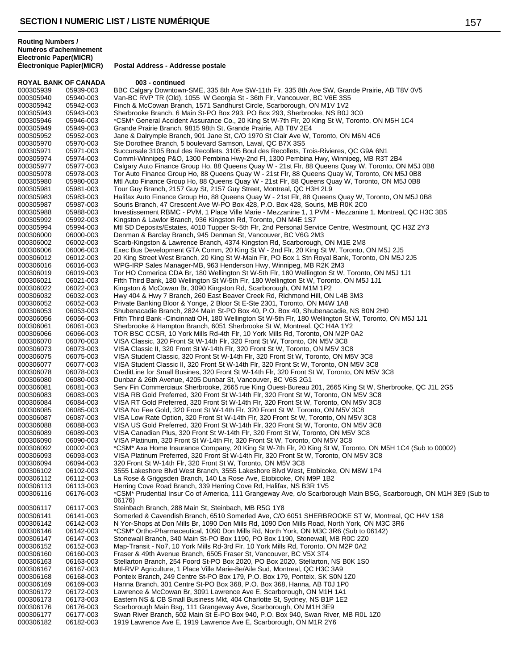**ROYAL BANK OF CANADA 003 - continued** 000305939 05939-003 BBC Calgary Downtown-SME, 335 8th Ave SW-11th Flr, 335 8th Ave SW, Grande Prairie, AB T8V 0V5<br>000305940 05940-003 Van-BC RVP TR (Old), 1055 W Georgia St - 36th Flr, Vancouver, BC V6E 3S5 000305940 05940-003 Van-BC RVP TR (Old), 1055 W Georgia St - 36th Flr, Vancouver, BC V6E 3S5<br>000305942 05942-003 Finch & McCowan Branch. 1571 Sandhurst Circle. Scarborough. ON M1V 1V2 Finch & McCowan Branch, 1571 Sandhurst Circle, Scarborough, ON M1V 1V2 000305943 05943-003 Sherbrooke Branch, 6 Main St-PO Box 293, PO Box 293, Sherbrooke, NS B0J 3C0<br>000305946 05946-003 \*CSM\* General Accident Assurance Co., 20 King St W-7th Flr, 20 King St W, Toron 000305946 05946-003 \*CSM\* General Accident Assurance Co., 20 King St W-7th Flr, 20 King St W, Toronto, ON M5H 1C4<br>000305949 05949-003 Grande Prairie Branch. 9815 98th St. Grande Prairie. AB T8V 2E4 000305949 05949-003 Grande Prairie Branch, 9815 98th St, Grande Prairie, AB T8V 2E4 000305952 05952-003 Jane & Dalrymple Branch, 901 Jane St, C/O 1970 St Clair Ave W, Toronto, ON M6N 4C6<br>000305970 05970-003 Ste Dorothee Branch. 5 boulevard Samson. Laval. QC B7X 3S5 Ste Dorothee Branch, 5 boulevard Samson, Laval, QC B7X 3S5 000305971 05971-003 Succursale 3105 Boul des Recollets, 3105 Boul des Recollets, Trois-Rivieres, QC G9A 6N1<br>000305974 05974-003 Comml-Winnipeg P&O, 1300 Pembina Hwy-2nd Fl, 1300 Pembina Hwy, Winnipeg, MB R3T 000305974 05974-003 Comml-Winnipeg P&O, 1300 Pembina Hwy-2nd Fl, 1300 Pembina Hwy, Winnipeg, MB R3T 2B4 000305977 05977-003 Calgary Auto Finance Group Ho, 88 Queens Quay W - 21st Flr, 88 Queens Quay W, Toronto, ON M5J 0B8<br>000305978 05978-003 Tor Auto Finance Group Ho, 88 Queens Quay W - 21st Flr, 88 Queens Quay W, Toronto, O 000305978 05978-003 Tor Auto Finance Group Ho, 88 Queens Quay W - 21st Flr, 88 Queens Quay W, Toronto, ON M5J 0B8<br>000305980 05980-003 Mtl Auto Finance Group Ho, 88 Queens Quay W - 21st Flr, 88 Queens Quay W, Toronto, ON M5 000305980 05980-003 Mtl Auto Finance Group Ho, 88 Queens Quay W - 21st Flr, 88 Queens Quay W, Toronto, ON M5J 0B8<br>000305981 05981-003 Tour Guy Branch, 2157 Guy St, 2157 Guy Street, Montreal, QC H3H 2L9 000305981 05981-003 Tour Guy Branch, 2157 Guy St, 2157 Guy Street, Montreal, QC H3H 2L9 000305983 05983-003 Halifax Auto Finance Group Ho, 88 Queens Quay W - 21st Flr, 88 Queens Quay W, Toronto, ON M5J 0B8<br>000305987 05987-003 Souris Branch, 47 Crescent Ave W-PO Box 428, P.O. Box 428, Souris, MB R0K 2C0 000305987 05987-003 Souris Branch, 47 Crescent Ave W-PO Box 428, P.O. Box 428, Souris, MB R0K 2C0<br>000305988 05988-003 Investissement RBMC - PVM, 1 Place Ville Marie - Mezzanine 1, 1 PVM - Mezzanine 000305988 05988-003 Investissement RBMC - PVM, 1 Place Ville Marie - Mezzanine 1, 1 PVM - Mezzanine 1, Montreal, QC H3C 3B5<br>000305992 05992-003 Kingston & Lawlor Branch, 936 Kingston Rd. Toronto, ON M4F 1S7 000305992 05992-003 Kingston & Lawlor Branch, 936 Kingston Rd, Toronto, ON M4E 1S7<br>000305994 05994-003 Mtl SD Deposits/Estates, 4010 Tupper St-5th Flr, 2nd Personal Serv 000305994 05994-003 Mtl SD Deposits/Estates, 4010 Tupper St-5th Flr, 2nd Personal Service Centre, Westmount, QC H3Z 2Y3<br>000306000 06000-003 Denman & Barclav Branch, 945 Denman St. Vancouver, BC V6G 2M3 000306000 06000-003 Denman & Barclay Branch, 945 Denman St, Vancouver, BC V6G 2M3<br>000306002 06002-003 Scarb-Kingston & Lawrence Branch, 4374 Kingston Rd, Scarborough, 000306002 06002-003 Scarb-Kingston & Lawrence Branch, 4374 Kingston Rd, Scarborough, ON M1E 2M8<br>000306006 06006-003 Exec Bus Development GTA Comm, 20 King St W - 2nd Flr, 20 King St W, Toronto, 000306006 06006-003 Exec Bus Development GTA Comm, 20 King St W - 2nd Flr, 20 King St W, Toronto, ON M5J 2J5<br>000306012 06012-003 20 King Street West Branch. 20 King St W-Main Flr. PO Box 1 Stn Roval Bank. Toronto. ON M5J 000306012 06012-003 20 King Street West Branch, 20 King St W-Main Flr, PO Box 1 Stn Royal Bank, Toronto, ON M5J 2J5<br>000306016 06016-003 WPG-IRP Sales Manager-MB, 963 Henderson Hwy, Winnipeg, MB R2K 2M3 000306016 06016-003 WPG-IRP Sales Manager-MB, 963 Henderson Hwy, Winnipeg, MB R2K 2M3 Tor HO Comerica CDA Br, 180 Wellington St W-5th Flr, 180 Wellington St W, Toronto, ON M5J 1J1 000306021 06021-003 Fifth Third Bank, 180 Wellington St W-5th Flr, 180 Wellington St W, Toronto, ON M5J 1J1<br>000306022 06022-003 Kingston & McCowan Br, 3090 Kingston Rd, Scarborough, ON M1M 1P2 000306022 06022-003 Kingston & McCowan Br, 3090 Kingston Rd, Scarborough, ON M1M 1P2 000306032 06032-003 Hwy 404 & Hwy 7 Branch, 260 East Beaver Creek Rd, Richmond Hill, ON L4B 3M3<br>000306052 06052-003 Private Banking Bloor & Yonge, 2 Bloor St E-Ste 2301, Toronto, ON M4W 1A8 000306052 06052-003 Private Banking Bloor & Yonge, 2 Bloor St E-Ste 2301, Toronto, ON M4W 1A8<br>000306053 06053-003 Shubenacadie Branch. 2824 Main St-PO Box 40. P.O. Box 40. Shubenacadie. Shubenacadie Branch, 2824 Main St-PO Box 40, P.O. Box 40, Shubenacadie, NS B0N 2H0 000306056 06056-003 Fifth Third Bank -Cincinnati OH, 180 Wellington St W-5th Flr, 180 Wellington St W, Toronto, ON M5J 1J1<br>000306061 06061-003 Sherbrooke & Hampton Branch, 6051 Sherbrooke St W, Montreal, QC H4A 1Y2 000306061 06061-003 Sherbrooke & Hampton Branch, 6051 Sherbrooke St W, Montreal, QC H4A 1Y2<br>000306066 06066-003 TOR BSC CCSR. 10 York Mills Rd-4th Flr. 10 York Mills Rd. Toronto. ON M2P 0 000306066 06066-003 TOR BSC CCSR, 10 York Mills Rd-4th Flr, 10 York Mills Rd, Toronto, ON M2P 0A2<br>000306070 06070-003 VISA Classic, 320 Front St W-14th Flr, 320 Front St W, Toronto, ON M5V 3C8 000306070 06070-003 VISA Classic, 320 Front St W-14th Flr, 320 Front St W, Toronto, ON M5V 3C8 000306073 06073-003 VISA Classic II, 320 Front St W-14th Flr, 320 Front St W, Toronto, ON M5V 3C8 000306075 06075-003 VISA Student Classic, 320 Front St W-14th Flr, 320 Front St W, Toronto, ON M5V 3C<br>000306077 06077-003 VISA Student Classic II, 320 Front St W-14th Flr, 320 Front St W, Toronto, ON M5V 3C 000306077 06077-003 VISA Student Classic II, 320 Front St W-14th Flr, 320 Front St W, Toronto, ON M5V 3C8<br>000306078 06078-003 CreditLine for Small Busines, 320 Front St W-14th Flr, 320 Front St W, Toronto, ON M5V 000306078 06078-003 CreditLine for Small Busines, 320 Front St W-14th Flr, 320 Front St W, Toronto, ON M5V 3C8<br>000306080 06080-003 Dunbar & 26th Avenue, 4205 Dunbar St, Vancouver, BC V6S 2G1 000306080 06080-003 Dunbar & 26th Avenue, 4205 Dunbar St, Vancouver, BC V6S 2G1 000306081 06081-003 Serv Fin Commerciaux Sherbrooke, 2665 rue King Ouest-Bureau 201, 2665 King St W, Sherbrooke, QC J1L 2G5<br>000306083 06083-003 VISA RB Gold Preferred, 320 Front St W-14th Flr, 320 Front St W, Toronto, ON M 000306083 06083-003 VISA RB Gold Preferred, 320 Front St W-14th Flr, 320 Front St W, Toronto, ON M5V 3C8<br>000306084 06084-003 VISA RT Gold Preferred. 320 Front St W-14th Flr. 320 Front St W. Toronto. ON M5V 3C8 000306084 06084-003 VISA RT Gold Preferred, 320 Front St W-14th Flr, 320 Front St W, Toronto, ON M5V 3C8<br>000306085 06085-003 VISA No Fee Gold, 320 Front St W-14th Flr, 320 Front St W, Toronto, ON M5V 3C8 000306085 06085-003 VISA No Fee Gold, 320 Front St W-14th Flr, 320 Front St W, Toronto, ON M5V 3C8<br>000306087 06087-003 VISA Low Rate Option, 320 Front St W-14th Flr, 320 Front St W, Toronto, ON M5V 3 000306087 06087-003 VISA Low Rate Option, 320 Front St W-14th Flr, 320 Front St W, Toronto, ON M5V 3C8<br>000306088 06088-003 VISA US Gold Preferred. 320 Front St W-14th Flr. 320 Front St W. Toronto. ON M5V 3C 000306088 06088-003 VISA US Gold Preferred, 320 Front St W-14th Flr, 320 Front St W, Toronto, ON M5V 3C8<br>000306089 06089-003 VISA Canadian Plus, 320 Front St W-14th Flr, 320 Front St W, Toronto, ON M5V 3C8 000306089 06089-003 VISA Canadian Plus, 320 Front St W-14th Flr, 320 Front St W, Toronto, ON M5V 3C8 000306090 06090-003 VISA Platinum, 320 Front St W-14th Flr, 320 Front St W, Toronto, ON M5V 3C8<br>000306092 00002-003 \*CSM\* Axa Home Insurance Company, 20 King St W-7th Flr, 20 King St W, Toro 000306092 00002-003 \*CSM\* Axa Home Insurance Company, 20 King St W-7th Flr, 20 King St W, Toronto, ON M5H 1C4 (Sub to 00002)<br>000306093 06093-003 VISA Platinum Preferred, 320 Front St W-14th Flr, 320 Front St W, Toronto, ON 000306093 06093-003 VISA Platinum Preferred, 320 Front St W-14th Flr, 320 Front St W, Toronto, ON M5V 3C8<br>000306094 06094-003 320 Front St W-14th Flr. 320 Front St W. Toronto. ON M5V 3C8 000306094 06094-003 320 Front St W-14th Flr, 320 Front St W, Toronto, ON M5V 3C8 000306102 06102-003 3555 Lakeshore Blvd West Branch, 3555 Lakeshore Blvd West, Etobicoke, ON M8W 1P4<br>000306112 06112-003 La Rose & Griggsden Branch, 140 La Rose Ave, Etobicoke, ON M9P 1B2 La Rose & Griggsden Branch, 140 La Rose Ave, Etobicoke, ON M9P 1B2 000306113 06113-003 Herring Cove Road Branch, 339 Herring Cove Rd, Halifax, NS B3R 1V5<br>000306116 06176-003 \*CSM\* Prudential Insur Co of America, 111 Grangeway Ave, c/o Scarbor 000306116 06176-003 \*CSM\* Prudential Insur Co of America, 111 Grangeway Ave, c/o Scarborough Main BSG, Scarborough, ON M1H 3E9 (Sub to 06176) 000306117 06117-003 Steinbach Branch, 288 Main St, Steinbach, MB R5G 1Y8 06141-003 Somerled & Cavendish Branch, 6510 Somerled Ave, C/O 6051 SHERBROOKE ST W, Montreal, QC H4V 1S8 000306142 06142-003 N Yor-Shops at Don Mills Br, 1090 Don Mills Rd, 1090 Don Mills Road, North York, ON M3C 3R6 000306146 06142-003 \*CSM\* Ortho-Pharmaceutical, 1090 Don Mills Rd, North York, ON M3C 3R6 (Sub to 06142)<br>000306147 06147-003 Stonewall Branch, 340 Main St-PO Box 1190, PO Box 1190, Stonewall, MB R0C 2Z0 Stonewall Branch, 340 Main St-PO Box 1190, PO Box 1190, Stonewall, MB R0C 2Z0 000306152 06152-003 Map-Transit - No7, 10 York Mills Rd-3rd Flr, 10 York Mills Rd, Toronto, ON M2P 0A2 06160-003 Fraser & 49th Avenue Branch, 6505 Fraser St, Vancouver, BC V5X 3T4 000306163 06163-003 Stellarton Branch, 254 Foord St-PO Box 2020, PO Box 2020, Stellarton, NS B0K 1S0 000306167 06167-003 Mtl-RVP Agriculture, 1 Place Ville Marie-8e/Aile Sud, Montreal, QC H3C 3A9 000306168 06168-003 Ponteix Branch, 249 Centre St-PO Box 179, P.O. Box 179, Ponteix, SK S0N 1Z0 000306169 06169-003 Hanna Branch, 301 Centre St-PO Box 368, P.O. Box 368, Hanna, AB T0J 1P0 000306172 06172-003 Lawrence & McCowan Br, 3091 Lawrence Ave E, Scarborough, ON M1H 1A1 000306173 06173-003 Eastern NS & CB Small Business Mkt, 404 Charlotte St, Sydney, NS B1P 1E2<br>000306176 06176-003 Scarborough Main Bsg, 111 Grangeway Ave, Scarborough, ON M1H 3E9 000306176 06176-003 Scarborough Main Bsg, 111 Grangeway Ave, Scarborough, ON M1H 3E9 000306177 06177-003 Swan River Branch, 502 Main St E-PO Box 940, P.O. Box 940, Swan River, MB R0L 1Z0 000306182 06182-003 1919 Lawrence Ave E, 1919 Lawrence Ave E, Scarborough, ON M1R 2Y6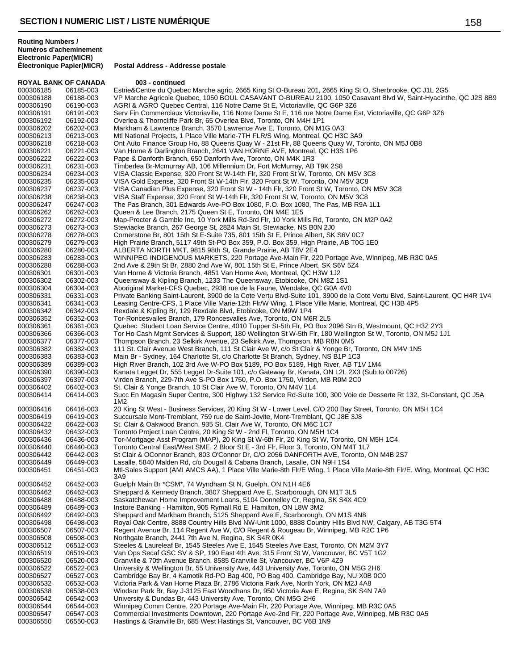**Postal Address - Addresse postale** 

#### **ROYAL BANK OF CANADA 003 - continued** 000306185 06185-003 Estrie&Centre du Quebec Marche agric, 2665 King St O-Bureau 201, 2665 King St O, Sherbrooke, QC J1L 2G5 000306188 06188-003 VP Marche Agricole Quebec, 1050 BOUL CASAVANT O-BUREAU 2100, 1050 Casavant Blvd W, Saint-Hyacinthe, QC J2S 8B9<br>000306190 06190-003 AGRI & AGRO Quebec Central. 116 Notre Dame St E. Victoriaville. QC G6P AGRI & AGRO Quebec Central, 116 Notre Dame St E, Victoriaville, QC G6P 3Z6 000306191 06191-003 Serv Fin Commerciaux Victoriaville, 116 Notre Dame St E, 116 rue Notre Dame Est, Victoriaville, QC G6P 3Z6<br>000306192 06192-003 Overlea & Thorncliffe Park Br, 65 Overlea Blvd, Toronto, ON M4H 1P1 000306192 06192-003 Overlea & Thorncliffe Park Br, 65 Overlea Blvd, Toronto, ON M4H 1P1 000306202 06202-003 Markham & Lawrence Branch, 3570 Lawrence Ave E, Toronto, ON M1G 0A3 000306213 06213-003 Mtl National Projects, 1 Place Ville Marie-7TH FLR/S Wing, Montreal, QC H3C 3A9<br>000306218 06218-003 Ont Auto Finance Group Ho. 88 Queens Quay W - 21st Flr. 88 Queens Quay W. To Ont Auto Finance Group Ho, 88 Queens Quay W - 21st Flr, 88 Queens Quay W, Toronto, ON M5J 0B8 000306221 06221-003 Van Horne & Darlington Branch, 2641 VAN HORNE AVE, Montreal, QC H3S 1P6 000306222 06222-003 Pape & Danforth Branch, 650 Danforth Ave, Toronto, ON M4K 1R3<br>000306231 06231-003 Timberlea Br-Mcmurray AB, 106 Millennium Dr, Fort McMurray, AB 000306231 06231-003 Timberlea Br-Mcmurray AB, 106 Millennium Dr, Fort McMurray, AB T9K 2S8 000306234 06234-003 VISA Classic Expense, 320 Front St W-14th Flr, 320 Front St W, Toronto, ON M5V 3C8<br>000306235 06235-003 VISA Gold Expense, 320 Front St W-14th Flr, 320 Front St W, Toronto, ON M5V 3C8 000306235 06235-003 VISA Gold Expense, 320 Front St W-14th Flr, 320 Front St W, Toronto, ON M5V 3C8<br>000306237 06237-003 VISA Canadian Plus Expense, 320 Front St W - 14th Flr, 320 Front St W, Toronto, ON 000306237 06237-003 VISA Canadian Plus Expense, 320 Front St W - 14th Flr, 320 Front St W, Toronto, ON M5V 3C8<br>000306238 06238-003 VISA Staff Expense, 320 Front St W-14th Flr, 320 Front St W, Toronto, ON M5V 3C8 000306238 06238-003 VISA Staff Expense, 320 Front St W-14th Flr, 320 Front St W, Toronto, ON M5V 3C8<br>000306247 06247-003 The Pas Branch, 301 Edwards Ave-PO Box 1080, P.O. Box 1080, The Pas, MB R9A 000306247 06247-003 The Pas Branch, 301 Edwards Ave-PO Box 1080, P.O. Box 1080, The Pas, MB R9A 1L1<br>000306262 06262-003 Queen & Lee Branch, 2175 Queen St E, Toronto, ON M4E 1E5 000306262 06262-003 Queen & Lee Branch, 2175 Queen St E, Toronto, ON M4E 1E5 000306272 06272-003 Map-Procter & Gamble Inc, 10 York Mills Rd-3rd Flr, 10 York Mills Rd, Toronto, ON M2P 0A2<br>000306273 06273-003 Stewiacke Branch, 267 George St, 2824 Main St, Stewiacke, NS B0N 2J0 000306273 06273-003 Stewiacke Branch, 267 George St, 2824 Main St, Stewiacke, NS B0N 2J0 000306278 06278-003 Cornerstone Br, 801 15th St E-Suite 735, 801 15th St E, Prince Albert, SK S6V 0C7 000306279 06279-003 High Prairie Branch, 5117 49th St-PO Box 359, P.O. Box 359, High Prairie, AB T0G 1E0 000306280 06280-003 ALBERTA NORTH MKT, 9815 98th St, Grande Prairie, AB T8V 2E4 000306283 06283-003 WINNIPEG INDIGENOUS MARKETS, 220 Portage Ave-Main Flr, 220 Portage Ave, Winnipeg, MB R3C 0A5<br>000306288 06288-003 2nd Ave & 29th St Br, 2880 2nd Ave W, 801 15th St E, Prince Albert, SK S6V 5Z4 000306288 06288-003 2nd Ave & 29th St Br, 2880 2nd Ave W, 801 15th St E, Prince Albert, SK S6V 5Z4 Van Horne & Victoria Branch, 4851 Van Horne Ave, Montreal, QC H3W 1J2 000306302 06302-003 Queensway & Kipling Branch, 1233 The Queensway, Etobicoke, ON M8Z 1S1 000306304 06304-003 Aboriginal Market-CFS Quebec, 2938 rue de la Faune, Wendake, QC G0A 4V0 000306331 06331-003 Private Banking Saint-Laurent, 3900 de la Cote Vertu Blvd-Suite 101, 3900 de la Cote Vertu Blvd, Saint-Laurent, QC H4R 1V4<br>000306341 06341-003 Leasing Centre-CFS, 1 Place Ville Marie-12th Flr/W Wing, 1 000306341 06341-003 Leasing Centre-CFS, 1 Place Ville Marie-12th Flr/W Wing, 1 Place Ville Marie, Montreal, QC H3B 4P5<br>000306342 06342-003 Rexdale & Kipling Br. 129 Rexdale Blvd. Etobicoke. ON M9W 1P4 Rexdale & Kipling Br, 129 Rexdale Blvd, Etobicoke, ON M9W 1P4 000306352 06352-003 Tor-Roncesvalles Branch, 179 Roncesvalles Ave, Toronto, ON M6R 2L5<br>000306361 06361-003 Quebec Student Loan Service Centre, 4010 Tupper St-5th Flr, PO Box 2 000306361 06361-003 Quebec Student Loan Service Centre, 4010 Tupper St-5th Flr, PO Box 2096 Stn B, Westmount, QC H3Z 2Y3<br>000306366 06366-003 Tor Ho Cash Mgmt Services & Support, 180 Wellington St W-5th Flr, 180 Wellington 000306366 06366-003 Tor Ho Cash Mgmt Services & Support, 180 Wellington St W-5th Flr, 180 Wellington St W, Toronto, ON M5J 1J1<br>000306377 06377-003 Thompson Branch, 23 Selkirk Avenue, 23 Selkirk Ave, Thompson, MB R8N 0M5 000306377 06377-003 Thompson Branch, 23 Selkirk Avenue, 23 Selkirk Ave, Thompson, MB R8N 0M5<br>000306382 06382-003 111 St. Clair Avenue West Branch, 111 St Clair Ave W. c/o St Clair & Yonge Br. 000306382 06382-003 111 St. Clair Avenue West Branch, 111 St Clair Ave W, c/o St Clair & Yonge Br, Toronto, ON M4V 1N5<br>000306383 06383-003 Main Br - Sydney, 164 Charlotte St, c/o Charlotte St Branch, Sydney, NS B1P 1C3 000306383 06383-003 Main Br - Sydney, 164 Charlotte St, c/o Charlotte St Branch, Sydney, NS B1P 1C3<br>000306389 06389-003 High River Branch, 102 3rd Ave W-PO Box 5189, PO Box 5189, High River, AB T1 000306389 06389-003 High River Branch, 102 3rd Ave W-PO Box 5189, PO Box 5189, High River, AB T1V 1M4<br>000306390 06390-003 Kanata Legget Dr, 555 Legget Dr-Suite 101, c/o Gateway Br, Kanata, ON L2L 2X3 (Sub to 000306390 06390-003 Kanata Legget Dr, 555 Legget Dr-Suite 101, c/o Gateway Br, Kanata, ON L2L 2X3 (Sub to 00726)<br>000306397 06397-003 Virden Branch, 229-7th Ave S-PO Box 1750, P.O. Box 1750, Virden, MB R0M 2C0 000306397 06397-003 Virden Branch, 229-7th Ave S-PO Box 1750, P.O. Box 1750, Virden, MB R0M 2C0 000306402 06402-003 St. Clair & Yonge Branch, 10 St Clair Ave W, Toronto, ON M4V 1L4 Succ En Magasin Super Centre, 300 Highwy 132 Service Rd-Suite 100, 300 Voie de Desserte Rt 132, St-Constant, QC J5A 1M2 000306416 06416-003 20 King St West - Business Services, 20 King St W - Lower Level, C/O 200 Bay Street, Toronto, ON M5H 1C4 000306419 06419-003 Succursale Mont-Tremblant, 759 rue de Saint-Jovite, Mont-Tremblant, QC J8E 3J8 000306422 06422-003 St. Clair & Oakwood Branch, 935 St. Clair Ave W, Toronto, ON M6C 1C7 000306432 06432-003 Toronto Project Loan Centre, 20 King St W - 2nd Fl, Toronto, ON M5H 1C4 000306436 06436-003 Tor-Mortgage Asst Program (MAP), 20 King St W-6th Flr, 20 King St W, Toronto, ON M5H 1C4 000306440 06440-003 Toronto Central East/West SME, 2 Bloor St E - 3rd Flr, Floor 3, Toronto, ON M4T 1L7 000306442 06442-003 St Clair & OConnor Branch, 803 O'Connor Dr, C/O 2056 DANFORTH AVE, Toronto, ON M4B 2S7 000306449 06449-003 Lasalle, 5840 Malden Rd, c/o Dougall & Cabana Branch, Lasalle, ON N9H 1S4 000306451 06451-003 Mtl-Sales Support (AMI AMCS AA), 1 Place Ville Marie-8th Flr/E Wing, 1 Place Ville Marie-8th Flr/E. Wing, Montreal, QC H3C 3A9 000306452 06452-003 Guelph Main Br \*CSM\*, 74 Wyndham St N, Guelph, ON N1H 4E6<br>000306462 06462-003 Sheppard & Kennedy Branch, 3807 Sheppard Ave E. Scarborough Sheppard & Kennedy Branch, 3807 Sheppard Ave E, Scarborough, ON M1T 3L5 000306488 06488-003 Saskatchewan Home Improvement Loans, 5104 Donnelley Cr, Regina, SK S4X 4C9<br>000306489 06489-003 Instore Banking - Hamilton, 905 Rymall Rd E, Hamilton, ON L8W 3M2 000306489 06489-003 Instore Banking - Hamilton, 905 Rymall Rd E, Hamilton, ON L8W 3M2<br>000306492 06492-003 Sheppard and Markham Branch, 5125 Sheppard Ave E, Scarborough, 000306492 06492-003 Sheppard and Markham Branch, 5125 Sheppard Ave E, Scarborough, ON M1S 4N8<br>000306498 06498-003 Royal Oak Centre, 8888 Country Hills Blvd NW-Unit 1000, 8888 Country Hills Blvd N 000306498 06498-003 Royal Oak Centre, 8888 Country Hills Blvd NW-Unit 1000, 8888 Country Hills Blvd NW, Calgary, AB T3G 5T4<br>000306507 06507-003 Regent Avenue Br. 114 Regent Ave W. C/O Regent & Rougeau Br. Winnipeg. MB R2C Regent Avenue Br, 114 Regent Ave W, C/O Regent & Rougeau Br, Winnipeg, MB R2C 1P6 000306508 06508-003 Northgate Branch, 2441 7th Ave N, Regina, SK S4R 0K4 000306512 06512-003 Steeles & Laureleaf Br, 1545 Steeles Ave E, 1545 Steeles Ave East, Toronto, ON M2M 3Y7<br>000306519 06519-003 Van Ops Secaf GSC SV & SP, 190 East 4th Ave, 315 Front St W, Vancouver, BC V5T 1G2 000306519 06519-003 Van Ops Secaf GSC SV & SP, 190 East 4th Ave, 315 Front St W, Vancouver, BC V5T 1G2<br>000306520 06520-003 Granville & 70th Avenue Branch, 8585 Granville St, Vancouver, BC V6P 4Z9 000306520 06520-003 Granville & 70th Avenue Branch, 8585 Granville St, Vancouver, BC V6P 4Z9<br>000306522 06522-003 University & Wellington Br, 55 University Ave, 443 University Ave, Toronto, C 000306522 06522-003 University & Wellington Br, 55 University Ave, 443 University Ave, Toronto, ON M5G 2H6<br>000306527 06527-003 Cambridge Bay Br, 4 Kamotik Rd-PO Bag 400, PO Bag 400, Cambridge Bay, NU X0B 0C 000306527 06527-003 Cambridge Bay Br, 4 Kamotik Rd-PO Bag 400, PO Bag 400, Cambridge Bay, NU X0B 0C0<br>000306532 06532-003 Victoria Park & Van Horne Plaza Br, 2786 Victoria Park Ave, North York, ON M2J 4A8 000306532 06532-003 Victoria Park & Van Horne Plaza Br, 2786 Victoria Park Ave, North York, ON M2J 4A8 000306538 06538-003 Windsor Park Br, Bay J-3125 East Woodhans Dr, 950 Victoria Ave E, Regina, SK S4N 7A9<br>000306542 06542-003 University & Dundas Br, 443 University Ave, Toronto, ON M5G 2H6 06542-003 University & Dundas Br, 443 University Ave, Toronto, ON M5G 2H6<br>06544-003 Winnipeg Comm Centre, 220 Portage Ave-Main Flr, 220 Portage Av 000306544 06544-003 Winnipeg Comm Centre, 220 Portage Ave-Main Flr, 220 Portage Ave, Winnipeg, MB R3C 0A5<br>000306547 06547-003 Commercial Investments Downtown, 220 Portage Ave-2nd Flr, 220 Portage Ave, Winnipeg, MB 000306547 06547-003 Commercial Investments Downtown, 220 Portage Ave-2nd Flr, 220 Portage Ave, Winnipeg, MB R3C 0A5<br>000306550 06550-003 Hastings & Granville Br. 685 West Hastings St. Vancouver. BC V6B 1N9 Hastings & Granville Br, 685 West Hastings St, Vancouver, BC V6B 1N9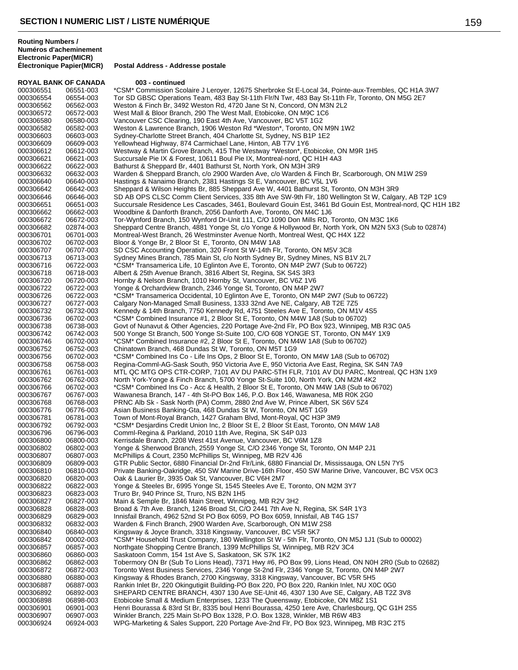**Électronique Papier(MICR) Postal Address - Addresse postale**

| <b>ROYAL BANK OF CANADA</b> |                        | 003 - continued                                                                                                                                                                                  |
|-----------------------------|------------------------|--------------------------------------------------------------------------------------------------------------------------------------------------------------------------------------------------|
| 000306551                   | 06551-003              | *CSM* Commission Scolaire J Leroyer, 12675 Sherbroke St E-Local 34, Pointe-aux-Trembles, QC H1A 3W7                                                                                              |
| 000306554                   | 06554-003              | Tor SD GBSC Operations Team, 483 Bay St-11th Flr/N Twr, 483 Bay St-11th Flr, Toronto, ON M5G 2E7                                                                                                 |
| 000306562                   | 06562-003              | Weston & Finch Br, 3492 Weston Rd, 4720 Jane St N, Concord, ON M3N 2L2                                                                                                                           |
| 000306572                   | 06572-003              | West Mall & Bloor Branch, 290 The West Mall, Etobicoke, ON M9C 1C6                                                                                                                               |
| 000306580<br>000306582      | 06580-003<br>06582-003 | Vancouver CSC Clearing, 190 East 4th Ave, Vancouver, BC V5T 1G2<br>Weston & Lawrence Branch, 1906 Weston Rd *Weston*, Toronto, ON M9N 1W2                                                        |
| 000306603                   | 06603-003              | Sydney-Charlotte Street Branch, 404 Charlotte St, Sydney, NS B1P 1E2                                                                                                                             |
| 000306609                   | 06609-003              | Yellowhead Highway, 874 Carmichael Lane, Hinton, AB T7V 1Y6                                                                                                                                      |
| 000306612                   | 06612-003              | Westway & Martin Grove Branch, 415 The Westway *Weston*, Etobicoke, ON M9R 1H5                                                                                                                   |
| 000306621                   | 06621-003              | Succursale Pie IX & Forest, 10611 Boul Pie IX, Montreal-nord, QC H1H 4A3                                                                                                                         |
| 000306622                   | 06622-003              | Bathurst & Sheppard Br, 4401 Bathurst St, North York, ON M3H 3R9                                                                                                                                 |
| 000306632                   | 06632-003              | Warden & Sheppard Branch, c/o 2900 Warden Ave, c/o Warden & Finch Br, Scarborough, ON M1W 2S9                                                                                                    |
| 000306640                   | 06640-003              | Hastings & Nanaimo Branch, 2381 Hastings St E, Vancouver, BC V5L 1V6                                                                                                                             |
| 000306642<br>000306646      | 06642-003<br>06646-003 | Sheppard & Wilson Heights Br, 885 Sheppard Ave W, 4401 Bathurst St, Toronto, ON M3H 3R9<br>SD AB OPS CLSC Comm Client Services, 335 8th Ave SW-9th Flr, 180 Wellington St W, Calgary, AB T2P 1C9 |
| 000306651                   | 06651-003              | Succursale Residence Les Cascades, 3461, Boulevard Gouin Est, 3461 Bd Gouin Est, Montreal-nord, QC H1H 1B2                                                                                       |
| 000306662                   | 06662-003              | Woodbine & Danforth Branch, 2056 Danforth Ave, Toronto, ON M4C 1J6                                                                                                                               |
| 000306672                   | 06672-003              | Tor-Wynford Branch, 150 Wynford Dr-Unit 111, C/O 1090 Don Mills RD, Toronto, ON M3C 1K6                                                                                                          |
| 000306682                   | 02874-003              | Sheppard Centre Branch, 4881 Yonge St, c/o Yonge & Hollywood Br, North York, ON M2N 5X3 (Sub to 02874)                                                                                           |
| 000306701                   | 06701-003              | Montreal-West Branch, 26 Westminster Avenue North, Montreal West, QC H4X 1Z2                                                                                                                     |
| 000306702                   | 06702-003              | Bloor & Yonge Br, 2 Bloor St E, Toronto, ON M4W 1A8                                                                                                                                              |
| 000306707<br>000306713      | 06707-003              | SD CSC Accounting Operation, 320 Front St W-14th Flr, Toronto, ON M5V 3C8                                                                                                                        |
| 000306716                   | 06713-003<br>06722-003 | Sydney Mines Branch, 785 Main St, c/o North Sydney Br, Sydney Mines, NS B1V 2L7<br>*CSM* Transamerica Life, 10 Eglinton Ave E, Toronto, ON M4P 2W7 (Sub to 06722)                                |
| 000306718                   | 06718-003              | Albert & 25th Avenue Branch, 3816 Albert St, Regina, SK S4S 3R3                                                                                                                                  |
| 000306720                   | 06720-003              | Hornby & Nelson Branch, 1010 Hornby St, Vancouver, BC V6Z 1V6                                                                                                                                    |
| 000306722                   | 06722-003              | Yonge & Orchardview Branch, 2346 Yonge St, Toronto, ON M4P 2W7                                                                                                                                   |
| 000306726                   | 06722-003              | *CSM* Transamerica Occidental, 10 Eglinton Ave E, Toronto, ON M4P 2W7 (Sub to 06722)                                                                                                             |
| 000306727                   | 06727-003              | Calgary Non-Managed Small Business, 1333 32nd Ave NE, Calgary, AB T2E 7Z5                                                                                                                        |
| 000306732                   | 06732-003              | Kennedy & 14th Branch, 7750 Kennedy Rd, 4751 Steeles Ave E, Toronto, ON M1V 4S5                                                                                                                  |
| 000306736<br>000306738      | 06702-003<br>06738-003 | *CSM* Combined Insurance #1, 2 Bloor St E, Toronto, ON M4W 1A8 (Sub to 06702)<br>Govt of Nunavut & Other Agencies, 220 Portage Ave-2nd Flr, PO Box 923, Winnipeg, MB R3C 0A5                     |
| 000306742                   | 06742-003              | 500 Yonge St Branch, 500 Yonge St-Suite 100, C/O 608 YONGE ST, Toronto, ON M4Y 1X9                                                                                                               |
| 000306746                   | 06702-003              | *CSM* Combined Insurance #2, 2 Bloor St E, Toronto, ON M4W 1A8 (Sub to 06702)                                                                                                                    |
| 000306752                   | 06752-003              | Chinatown Branch, 468 Dundas St W, Toronto, ON M5T 1G9                                                                                                                                           |
| 000306756                   | 06702-003              | *CSM* Combined Ins Co - Life Ins Ops, 2 Bloor St E, Toronto, ON M4W 1A8 (Sub to 06702)                                                                                                           |
| 000306758                   | 06758-003              | Regina-Comml-AG-Sask South, 950 Victoria Ave E, 950 Victoria Ave East, Regina, SK S4N 7A9                                                                                                        |
| 000306761                   | 06761-003              | MTL QC MTG OPS CTR-CORP, 7101 AV DU PARC-5TH FLR, 7101 AV DU PARC, Montreal, QC H3N 1X9                                                                                                          |
| 000306762<br>000306766      | 06762-003<br>06702-003 | North York-Yonge & Finch Branch, 5700 Yonge St-Suite 100, North York, ON M2M 4K2<br>*CSM* Combined Ins Co - Acc & Health, 2 Bloor St E, Toronto, ON M4W 1A8 (Sub to 06702)                       |
| 000306767                   | 06767-003              | Wawanesa Branch, 147 - 4th St-PO Box 146, P.O. Box 146, Wawanesa, MB R0K 2G0                                                                                                                     |
| 000306768                   | 06768-003              | PRNC Alb Sk - Sask North (PA) Comm, 2880 2nd Ave W, Prince Albert, SK S6V 5Z4                                                                                                                    |
| 000306776                   | 06776-003              | Asian Business Banking-Gta, 468 Dundas St W, Toronto, ON M5T 1G9                                                                                                                                 |
| 000306781                   | 06781-003              | Town of Mont-Royal Branch, 1427 Graham Blvd, Mont-Royal, QC H3P 3M9                                                                                                                              |
| 000306792                   | 06792-003              | *CSM* Desjardins Credit Union Inc, 2 Bloor St E, 2 Bloor St East, Toronto, ON M4W 1A8                                                                                                            |
| 000306796                   | 06796-003              | Comml-Regina & Parkland, 2010 11th Ave, Regina, SK S4P 0J3                                                                                                                                       |
| 000306800<br>000306802      | 06800-003<br>06802-003 | Kerrisdale Branch, 2208 West 41st Avenue, Vancouver, BC V6M 1Z8<br>Yonge & Sherwood Branch, 2559 Yonge St, C/O 2346 Yonge St, Toronto, ON M4P 2J1                                                |
| 000306807                   | 06807-003              | McPhillips & Court, 2350 McPhillips St, Winnipeg, MB R2V 4J6                                                                                                                                     |
| 000306809                   | 06809-003              | GTR Public Sector, 6880 Financial Dr-2nd Flr/Link, 6880 Financial Dr, Mississauga, ON L5N 7Y5                                                                                                    |
| 000306810                   | 06810-003              | Private Banking-Oakridge, 450 SW Marine Drive-16th Floor, 450 SW Marine Drive, Vancouver, BC V5X 0C3                                                                                             |
| 000306820                   | 06820-003              | Oak & Laurier Br, 3935 Oak St, Vancouver, BC V6H 2M7                                                                                                                                             |
| 000306822                   | 06822-003              | Yonge & Steeles Br, 6995 Yonge St, 1545 Steeles Ave E, Toronto, ON M2M 3Y7                                                                                                                       |
| 000306823                   | 06823-003              | Truro Br, 940 Prince St, Truro, NS B2N 1H5                                                                                                                                                       |
| 000306827<br>000306828      | 06827-003<br>06828-003 | Main & Semple Br, 1846 Main Street, Winnipeg, MB R2V 3H2<br>Broad & 7th Ave. Branch, 1246 Broad St, C/O 2441 7th Ave N, Regina, SK S4R 1Y3                                                       |
| 000306829                   | 06829-003              | Innisfail Branch, 4962 52nd St PO Box 6059, PO Box 6059, Innisfail, AB T4G 1S7                                                                                                                   |
| 000306832                   | 06832-003              | Warden & Finch Branch, 2900 Warden Ave, Scarborough, ON M1W 2S8                                                                                                                                  |
| 000306840                   | 06840-003              | Kingsway & Joyce Branch, 3318 Kingsway, Vancouver, BC V5R 5K7                                                                                                                                    |
| 000306842                   | 00002-003              | *CSM* Household Trust Company, 180 Wellington St W - 5th Flr, Toronto, ON M5J 1J1 (Sub to 00002)                                                                                                 |
| 000306857                   | 06857-003              | Northgate Shopping Centre Branch, 1399 McPhillips St, Winnipeg, MB R2V 3C4                                                                                                                       |
| 000306860                   | 06860-003              | Saskatoon Comm, 154 1st Ave S, Saskatoon, SK S7K 1K2                                                                                                                                             |
| 000306862<br>000306872      | 06862-003<br>06872-003 | Tobermory ON Br (Sub To Lions Head), 7371 Hwy #6, PO Box 99, Lions Head, ON N0H 2R0 (Sub to 02682)<br>Toronto West Business Services, 2346 Yonge St-2nd Flr, 2346 Yonge St, Toronto, ON M4P 2W7  |
| 000306880                   | 06880-003              | Kingsway & Rhodes Branch, 2700 Kingsway, 3318 Kingsway, Vancouver, BC V5R 5H5                                                                                                                    |
| 000306887                   | 06887-003              | Rankin Inlet Br, 220 Okingutigiit Building-PO Box 220, PO Box 220, Rankin Inlet, NU X0C 0G0                                                                                                      |
| 000306892                   | 06892-003              | SHEPARD CENTRE BRANCH, 4307 130 Ave SE-Unit 46, 4307 130 Ave SE, Calgary, AB T2Z 3V8                                                                                                             |
| 000306898                   | 06898-003              | Etobicoke Small & Medium Enterprises, 1233 The Queensway, Etobicoke, ON M8Z 1S1                                                                                                                  |
| 000306901                   | 06901-003              | Henri Bourassa & 83rd St Br, 8335 boul Henri Bourassa, 4250 1ere Ave, Charlesbourg, QC G1H 2S5                                                                                                   |
| 000306907                   | 06907-003              | Winkler Branch, 225 Main St-PO Box 1328, P.O. Box 1328, Winkler, MB R6W 4B3                                                                                                                      |
| 000306924                   | 06924-003              | WPG-Marketing & Sales Support, 220 Portage Ave-2nd Flr, PO Box 923, Winnipeg, MB R3C 2T5                                                                                                         |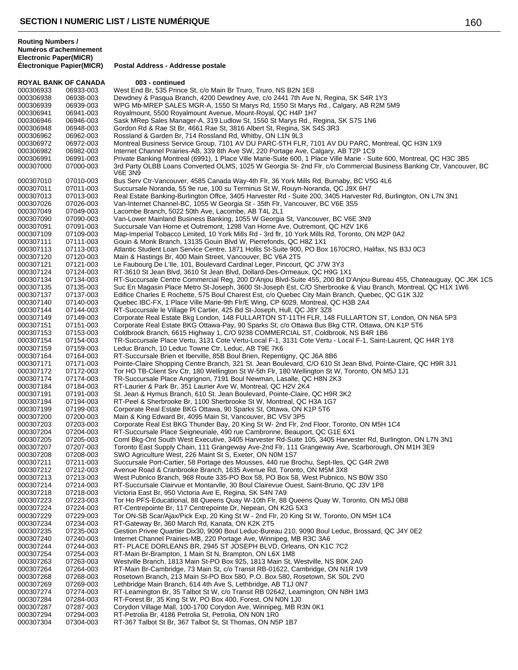**Routing Numbers / Numéros d'acheminement Electronic Paper(MICR)**

**ROYAL BANK OF CANADA 003 - continued**<br>000306933 06933-003 West End Br. 535 Prince 000306933 06933-003 West End Br, 535 Prince St, c/o Main Br Truro, Truro, NS B2N 1E8<br>000306938 06938-003 Dewdney & Pasqua Branch, 4200 Dewdney Ave, c/o 2441 7th Ave 000306938 06938-003 Dewdney & Pasqua Branch, 4200 Dewdney Ave, c/o 2441 7th Ave N, Regina, SK S4R 1Y3<br>000306939 06939-003 WPG Mb-MREP SALES MGR-A. 1550 St Marvs Rd. 1550 St Marvs Rd., Calgary, AB R2M 9 WPG Mb-MREP SALES MGR-A, 1550 St Marys Rd, 1550 St Marys Rd., Calgary, AB R2M 5M9 06941-003 Royalmount, 5500 Royalmount Avenue, Mount-Royal, QC H4P 1H7 06946-003 Sask MRep Sales Manager-A, 319 Ludlow St, 1550 St Marys Rd., Regina, SK S7S 1N6 06948-003 Gordon Rd & Rae St Br, 4661 Rae St, 3816 Albert St, Regina, SK S4S 3R3 06962-003 Rossland & Garden Br, 714 Rossland Rd, Whitby, ON L1N 9L3 Montreal Business Service Group, 7101 AV DU PARC-5TH FLR, 7101 AV DU PARC, Montreal, QC H3N 1X9 000306982 06982-003 Internet Channel Prairies-AB, 339 8th Ave SW, 220 Portage Ave, Calgary, AB T2P 1C9<br>000306991 06991-003 Private Banking Montreal (6991), 1 Place Ville Marie-Suite 600, 1 Place Ville Marie - Sui 000306991 06991-003 Private Banking Montreal (6991), 1 Place Ville Marie-Suite 600, 1 Place Ville Marie - Suite 600, Montreal, QC H3C 3B5<br>000307000 07000-003 3rd Party OLBB Loans Converted OLMS, 1025 W Georgia St- 2nd Flr, 3rd Party OLBB Loans Converted OLMS, 1025 W Georgia St- 2nd Flr, c/o Commercial Business Banking Ctr, Vancouver, BC V6E 3N9 07010-003 Bus Serv Ctr-Vancouver, 4585 Canada Way-4th Flr, 36 York Mills Rd, Burnaby, BC V5G 4L6 07011-003 Succursale Noranda, 55 9e rue, 100 su Terminus St W, Rouyn-Noranda, QC J9X 6H7 000307013 07013-003 Real Estate Banking-Burlington Offce, 3405 Harvester Rd - Suite 200, 3405 Harvester Rd, Burlington, ON L7N 3N1<br>000307026 07026-003 Van-Internet Channel-BC, 1055 W Georgia St - 35th Flr, Vancouver, BC V6 Van-Internet Channel-BC, 1055 W Georgia St - 35th Flr, Vancouver, BC V6E 3S5 07049-003 Lacombe Branch, 5022 50th Ave, Lacombe, AB T4L 2L1 07090-003 Van-Lower Mainland Business Banking, 1055 W Georgia St, Vancouver, BC V6E 3N9 07091-003 Succursale Van Horne et Outremont, 1298 Van Horne Ave, Outremont, QC H2V 1K6 000307109 07109-003 Map-Imperial Tobacco Limited, 10 York Mills Rd - 3rd flr, 10 York Mills Rd, Toronto, ON M2P 0A2<br>000307111 07111-003 Gouin & Monk Branch, 13135 Gouin Blvd W, Pierrefonds, QC H8Z 1X1 Gouin & Monk Branch, 13135 Gouin Blvd W, Pierrefonds, QC H8Z 1X1 07113-003 Atlantic Student Loan Service Centre, 1871 Hollis St-Suite 900, PO Box 1670CRO, Halifax, NS B3J 0C3 07120-003 Main & Hastings Br, 400 Main Street, Vancouver, BC V6A 2T5 07121-003 Le Faubourg De L'Ile, 101, Boulevard Cardinal Leger, Pincourt, QC J7W 3Y3 07124-003 RT-3610 St Jean Blvd, 3610 St Jean Blvd, Dollard-Des-Ormeaux, QC H9G 1X1 07134-003 RT-Succursale Centre Commercial Reg, 200 D'Anjou Blvd-Suite 455, 200 Bd D'Anjou-Bureau 455, Chateauguay, QC J6K 1C5 07135-003 Suc En Magasin Place Metro St-Joseph, 3600 St-Joseph Est, C/O Sherbrooke & Viau Branch, Montreal, QC H1X 1W6 07137-003 Edifice Charles E Rochette, 575 Boul Charest Est, c/o Quebec City Main Branch, Quebec, QC G1K 3J2 07140-003 Quebec IBC-FX, 1 Place Ville Marie-9th Flr/E Wing, CP 6029, Montreal, QC H3B 2A4 07144-003 RT-Succursale le Village Pl Cartier, 425 Bd St-Joseph, Hull, QC J8Y 3Z8 07149-003 Corporate Real Estate Bkg London, 148 FULLARTON ST-11TH FLR, 148 FULLARTON ST, London, ON N6A 5P3 07151-003 Corporate Real Estate BKG Ottawa-Pay, 90 Sparks St, c/o Ottawa Bus Bkg CTR, Ottawa, ON K1P 5T6 07153-003 Coldbrook Branch, 6615 Highway 1, C/O 9238 COMMERCIAL ST, Coldbrook, NS B4R 1B6 000307154 07154-003 TR-Succursale Place Vertu, 3131 Cote Vertu-Local F-1, 3131 Cote Vertu - Local F-1, Saint-Laurent, QC H4R 1Y8<br>000307159 07159-003 Leduc Branch, 10 Leduc Towne Ctr, Leduc, AB T9E 7K6 07159-003 Leduc Branch, 10 Leduc Towne Ctr, Leduc, AB T9E 7K6 07164-003 RT-Succursale Brien et Iberville, 85B Boul Brien, Repentigny, QC J6A 8B6 000307171 07171-003 Pointe-Claire Shopping Centre Branch, 321 St. Jean Boulevard, C/O 610 St Jean Blvd, Pointe-Claire, QC H9R 3J1<br>000307172 07172-003 Tor HO TB-Client Srv Ctr. 180 Wellington St W-5th Flr. 180 Wellington St Tor HO TB-Client Srv Ctr, 180 Wellington St W-5th Flr, 180 Wellington St W, Toronto, ON M5J 1J1 07174-003 TR-Succursale Place Angrignon, 7191 Boul Newman, Lasalle, QC H8N 2K3 07184-003 RT-Laurier & Park Br, 351 Laurier Ave W, Montreal, QC H2V 2K4 07191-003 St. Jean & Hymus Branch, 610 St. Jean Boulevard, Pointe-Claire, QC H9R 3K2 000307194 07194-003 RT-Peel & Sherbrooke Br, 1100 Sherbrooke St W, Montreal, QC H3A 1G7<br>000307199 07199-003 Corporate Real Estate BKG Ottawa, 90 Sparks St, Ottawa, ON K1P 5T6 07199-003 Corporate Real Estate BKG Ottawa, 90 Sparks St, Ottawa, ON K1P 5T6 07200-003 Main & King Edward Br, 4095 Main St, Vancouver, BC V5V 3P5 07203-003 Corporate Real Est BKG Thunder Bay, 20 King St W- 2nd Flr, 2nd Floor, Toronto, ON M5H 1C4 07204-003 RT-Succursale Place Seigneuriale, 490 rue Cambronne, Beauport, QC G1E 6X1 000307205 07205-003 Coml Bkg-Ont South West Executive, 3405 Harvester Rd-Suite 105, 3405 Harvester Rd, Burlington, ON L7N 3N1<br>000307207 07207-003 Toronto East Supply Chain, 111 Grangeway Ave-2nd Flr, 111 Grangeway Ave, Sca Toronto East Supply Chain, 111 Grangeway Ave-2nd Flr, 111 Grangeway Ave, Scarborough, ON M1H 3E9 07208-003 SWO Agriculture West, 226 Maint St S, Exeter, ON N0M 1S7 07211-003 Succursale Port-Cartier, 58 Portage des Mousses, 440 rue Brochu, Sept-Iles, QC G4R 2W8 07212-003 Avenue Road & Cranbrooke Branch, 1635 Avenue Rd, Toronto, ON M5M 3X8 07213-003 West Pubnico Branch, 968 Route 335-PO Box 58, PO Box 58, West Pubnico, NS B0W 3S0 07214-003 RT-Succursale Clairvue et Montarvlle, 30 Boul Clairevue Ouest, Saint-Bruno, QC J3V 1P8 07218-003 Victoria East Br, 950 Victoria Ave E, Regina, SK S4N 7A9 07223-003 Tor Ho PFS-Educational, 88 Queens Quay W-10th Flr, 88 Queens Quay W, Toronto, ON M5J 0B8 000307224 07224-003 RT-Centrepointe Br, 117 Centrepointe Dr, Nepean, ON K2G 5X3<br>000307229 07229-003 Tor ON-SB Scar/Ajax/Pick Exp, 20 King St W - 2nd Flr, 20 King S 07229-003 Tor ON-SB Scar/Ajax/Pick Exp, 20 King St W - 2nd Flr, 20 King St W, Toronto, ON M5H 1C4 07234-003 RT-Gateway Br, 360 March Rd, Kanata, ON K2K 2T5 000307235 07235-003 Gestion Privee Quartier Dix30, 9090 Boul Leduc-Bureau 210, 9090 Boul Leduc, Brossard, QC J4Y 0E2<br>000307240 07240-003 Internet Channel Prairies-MB, 220 Portage Ave, Winnipeg, MB R3C 3A6 Internet Channel Prairies-MB, 220 Portage Ave, Winnipeg, MB R3C 3A6 07244-003 RT- PLACE DORLEANS BR, 2945 ST JOSEPH BLVD, Orleans, ON K1C 7C2 07254-003 RT-Main Br-Brampton, 1 Main St N, Brampton, ON L6X 1M8 07263-003 Westville Branch, 1813 Main St-PO Box 925, 1813 Main St, Westville, NS B0K 2A0 07264-003 RT-Main Br-Cambridge, 73 Main St, c/o Transit RB-01622, Cambridge, ON N1R 1V9 07268-003 Rosetown Branch, 213 Main St-PO Box 580, P.O. Box 580, Rosetown, SK S0L 2V0 07269-003 Lethbridge Main Branch, 614 4th Ave S, Lethbridge, AB T1J 0N7 07274-003 RT-Leamington Br, 35 Talbot St W, c/o Transit RB 02642, Leamington, ON N8H 1M3 07284-003 RT-Forest Br, 35 King St W, PO Box 400, Forest, ON N0N 1J0 07287-003 Corydon Village Mall, 100-1700 Corydon Ave, Winnipeg, MB R3N 0K1 07294-003 RT-Petrolia Br, 4186 Petrolia St, Petrolia, ON N0N 1R0 07304-003 RT-367 Talbot St Br, 367 Talbot St, St Thomas, ON N5P 1B7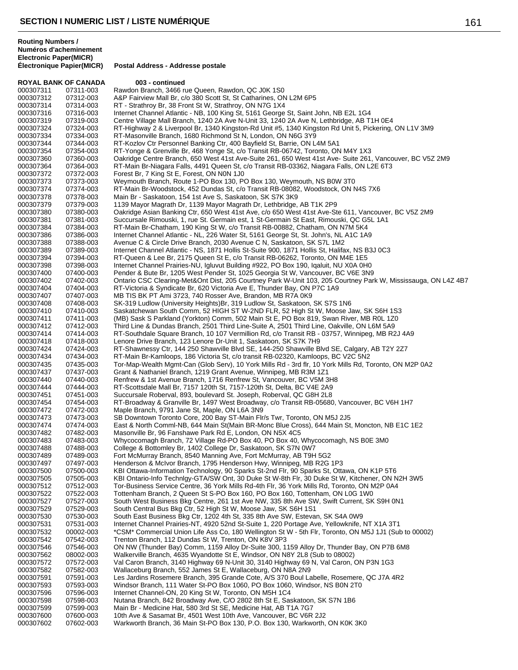|                        | <b>ROYAL BANK OF CANADA</b> | 003 - continued                                                                                                                                                      |
|------------------------|-----------------------------|----------------------------------------------------------------------------------------------------------------------------------------------------------------------|
| 000307311              | 07311-003                   | Rawdon Branch, 3466 rue Queen, Rawdon, QC J0K 1S0                                                                                                                    |
| 000307312              | 07312-003                   | A&P Fairview Mall Br, c/o 380 Scott St, St Catharines, ON L2M 6P5                                                                                                    |
| 000307314              | 07314-003                   | RT - Strathroy Br, 38 Front St W, Strathroy, ON N7G 1X4                                                                                                              |
| 000307316              | 07316-003                   | Internet Channel Atlantic - NB, 100 King St, 5161 George St, Saint John, NB E2L 1G4                                                                                  |
| 000307319              | 07319-003                   | Centre Village Mall Branch, 1240 2A Ave N-Unit 33, 1240 2A Ave N, Lethbridge, AB T1H 0E4                                                                             |
| 000307324              | 07324-003                   | RT-Highway 2 & Liverpool Br, 1340 Kingston-Rd Unit #5, 1340 Kingston Rd Unit 5, Pickering, ON L1V 3M9                                                                |
| 000307334              | 07334-003                   | RT-Masonville Branch, 1680 Richmond St N, London, ON N6G 3Y9                                                                                                         |
| 000307344<br>000307354 | 07344-003<br>07354-003      | RT-Kozlov Ctr Personnel Banking Ctr, 400 Bayfield St, Barrie, ON L4M 5A1<br>RT-Yonge & Grenville Br, 468 Yonge St, c/o Transit RB-06742, Toronto, ON M4Y 1X3         |
| 000307360              | 07360-003                   | Oakridge Centre Branch, 650 West 41st Ave-Suite 261, 650 West 41st Ave-Suite 261, Vancouver, BC V5Z 2M9                                                              |
| 000307364              | 07364-003                   | RT-Main Br-Niagara Falls, 4491 Queen St, c/o Transit RB-03362, Niagara Falls, ON L2E 6T3                                                                             |
| 000307372              | 07372-003                   | Forest Br, 7 King St E, Forest, ON N0N 1J0                                                                                                                           |
| 000307373              | 07373-003                   | Weymouth Branch, Route 1-PO Box 130, PO Box 130, Weymouth, NS B0W 3T0                                                                                                |
| 000307374              | 07374-003                   | RT-Main Br-Woodstock, 452 Dundas St, c/o Transit RB-08082, Woodstock, ON N4S 7X6                                                                                     |
| 000307378              | 07378-003                   | Main Br - Saskatoon, 154 1st Ave S, Saskatoon, SK S7K 3K9                                                                                                            |
| 000307379              | 07379-003                   | 1139 Mayor Magrath Dr, 1139 Mayor Magrath Dr, Lethbridge, AB T1K 2P9                                                                                                 |
| 000307380              | 07380-003                   | Oakridge Asian Banking Ctr, 650 West 41st Ave, c/o 650 West 41st Ave-Ste 611, Vancouver, BC V5Z 2M9                                                                  |
| 000307381              | 07381-003                   | Succursale Rimouski, 1, rue St. Germain est, 1 St-Germain St East, Rimouski, QC G5L 1A1                                                                              |
| 000307384              | 07384-003                   | RT-Main Br-Chatham, 190 King St W, c/o Transit RB-00882, Chatham, ON N7M 5K4                                                                                         |
| 000307386              | 07386-003                   | Internet Channel Atlantic - NL, 226 Water St, 5161 George St, St. John's, NL A1C 1A9                                                                                 |
| 000307388              | 07388-003                   | Avenue C & Circle Drive Branch, 2030 Avenue C N, Saskatoon, SK S7L 1M2                                                                                               |
| 000307389              | 07389-003                   | Internet Channel Atlantic - NS, 1871 Hollis St-Suite 900, 1871 Hollis St, Halifax, NS B3J 0C3                                                                        |
| 000307394              | 07394-003                   | RT-Queen & Lee Br, 2175 Queen St E, c/o Transit RB-06262, Toronto, ON M4E 1E5                                                                                        |
| 000307398              | 07398-003                   | Internet Channel Prairies-NU, Igluvut Building #922, PO Box 190, Igaluit, NU X0A 0H0                                                                                 |
| 000307400              | 07400-003                   | Pender & Bute Br, 1205 West Pender St, 1025 Georgia St W, Vancouver, BC V6E 3N9                                                                                      |
| 000307402              | 07402-003                   | Ontario CSC Clearing-Met&Ont Dist, 205 Courtney Park W-Unit 103, 205 Courtney Park W, Mississauga, ON L4Z 4B7                                                        |
| 000307404<br>000307407 | 07404-003<br>07407-003      | RT-Victoria & Syndicate Br, 620 Victoria Ave E, Thunder Bay, ON P7C 1A9<br>MB TIS BK PT Ami 3723, 740 Rosser Ave, Brandon, MB R7A 0K9                                |
| 000307408              | 07408-003                   | SK-319 Ludlow (University Heights) Br, 319 Ludlow St, Saskatoon, SK S7S 1N6                                                                                          |
| 000307410              | 07410-003                   | Saskatchewan South Comm, 52 HIGH ST W-2ND FLR, 52 High St W, Moose Jaw, SK S6H 1S3                                                                                   |
| 000307411              | 07411-003                   | (MB) Sask S Parkland (Yorkton) Comm, 502 Main St E, PO Box 819, Swan River, MB R0L 1Z0                                                                               |
| 000307412              | 07412-003                   | Third Line & Dundas Branch, 2501 Third Line-Suite A, 2501 Third Line, Oakville, ON L6M 5A9                                                                           |
| 000307414              | 07414-003                   | RT-Southdale Square Branch, 10 107 Vermillion Rd, c/o Transit RB - 03757, Winnipeg, MB R2J 4A9                                                                       |
| 000307418              | 07418-003                   | Lenore Drive Branch, 123 Lenore Dr-Unit 1, Saskatoon, SK S7K 7H9                                                                                                     |
| 000307424              | 07424-003                   | RT-Shawnessy Ctr, 144 250 Shawville Blvd SE, 144-250 Shawville Blvd SE, Calgary, AB T2Y 2Z7                                                                          |
| 000307434              | 07434-003                   | RT-Main Br-Kamloops, 186 Victoria St, c/o transit RB-02320, Kamloops, BC V2C 5N2                                                                                     |
| 000307435              | 07435-003                   | Tor-Map-Wealth Mgmt-Can (Glob Serv), 10 York Mills Rd - 3rd flr, 10 York Mills Rd, Toronto, ON M2P 0A2                                                               |
| 000307437<br>000307440 | 07437-003<br>07440-003      | Grant & Nathaniel Branch, 1219 Grant Avenue, Winnipeg, MB R3M 1Z1<br>Renfrew & 1st Avenue Branch, 1716 Renfrew St, Vancouver, BC V5M 3H8                             |
| 000307444              | 07444-003                   | RT-Scottsdale Mall Br, 7157 120th St, 7157-120th St, Delta, BC V4E 2A9                                                                                               |
| 000307451              | 07451-003                   | Succursale Roberval, 893, boulevard St. Joseph, Roberval, QC G8H 2L8                                                                                                 |
| 000307454              | 07454-003                   | RT-Broadway & Granville Br, 1497 West Broadway, c/o Transit RB-05680, Vancouver, BC V6H 1H7                                                                          |
| 000307472              | 07472-003                   | Maple Branch, 9791 Jane St, Maple, ON L6A 3N9                                                                                                                        |
| 000307473              | 07473-003                   | SB Downtown Toronto Core, 200 Bay ST-Main Flr/s Twr, Toronto, ON M5J 2J5                                                                                             |
| 000307474              | 07474-003                   | East & North Comml-NB, 644 Main St(Main BR-Monc Blue Cross), 644 Main St, Moncton, NB E1C 1E2                                                                        |
| 000307482              | 07482-003                   | Masonville Br, 96 Fanshawe Park Rd E, London, ON N5X 4C5                                                                                                             |
| 000307483              | 07483-003                   | Whycocomagh Branch, 72 Village Rd-PO Box 40, PO Box 40, Whycocomagh, NS B0E 3M0                                                                                      |
| 000307488              | 07488-003                   | College & Bottomley Br, 1402 College Dr, Saskatoon, SK S7N 0W7                                                                                                       |
| 000307489              | 07489-003                   | Fort McMurray Branch, 8540 Manning Ave, Fort McMurray, AB T9H 5G2                                                                                                    |
| 000307497<br>000307500 | 07497-003<br>07500-003      | Henderson & McIvor Branch, 1795 Henderson Hwy, Winnipeg, MB R2G 1P3<br>KBI Ottawa-Information Technology, 90 Sparks St-2nd Flr, 90 Sparks St, Ottawa, ON K1P 5T6     |
| 000307505              | 07505-003                   | KBI Ontario-Info Technigy-GTA/SW Ont, 30 Duke St W-8th Fir, 30 Duke St W, Kitchener, ON N2H 3W5                                                                      |
| 000307512              | 07512-003                   | Tor-Business Service Centre, 36 York Mills Rd-4th Flr, 36 York Mills Rd, Toronto, ON M2P 0A4                                                                         |
| 000307522              | 07522-003                   | Tottenham Branch, 2 Queen St S-PO Box 160, PO Box 160, Tottenham, ON L0G 1W0                                                                                         |
| 000307527              | 07527-003                   | South West Business Bkg Centre, 261 1st Ave NW, 335 8th Ave SW, Swift Current, SK S9H 0N1                                                                            |
| 000307529              | 07529-003                   | South Central Bus Bkg Ctr, 52 High St W, Moose Jaw, SK S6H 1S1                                                                                                       |
| 000307530              | 07530-003                   | South East Business Bkg Ctr, 1202 4th St, 335 8th Ave SW, Estevan, SK S4A 0W9                                                                                        |
| 000307531              | 07531-003                   | Internet Channel Prairies-NT, 4920 52nd St-Suite 1, 220 Portage Ave, Yellowknife, NT X1A 3T1                                                                         |
| 000307532              | 00002-003                   | *CSM* Commercial Union Life Ass Co, 180 Wellington St W - 5th Flr, Toronto, ON M5J 1J1 (Sub to 00002)                                                                |
| 000307542              | 07542-003                   | Trenton Branch, 112 Dundas St W, Trenton, ON K8V 3P3                                                                                                                 |
| 000307546              | 07546-003                   | ON NW (Thunder Bay) Comm, 1159 Alloy Dr-Suite 300, 1159 Alloy Dr, Thunder Bay, ON P7B 6M8                                                                            |
| 000307562              | 08002-003                   | Walkerville Branch, 4635 Wyandotte St E, Windsor, ON N8Y 2L8 (Sub to 08002)<br>Val Caron Branch, 3140 Highway 69 N-Unit 30, 3140 Highway 69 N, Val Caron, ON P3N 1G3 |
| 000307572<br>000307582 | 07572-003<br>07582-003      | Wallaceburg Branch, 552 James St E, Wallaceburg, ON N8A 2N9                                                                                                          |
| 000307591              | 07591-003                   | Les Jardins Rosemere Branch, 395 Grande Cote, A/S 370 Boul Labelle, Rosemere, QC J7A 4R2                                                                             |
| 000307593              | 07593-003                   | Windsor Branch, 111 Water St-PO Box 1060, PO Box 1060, Windsor, NS B0N 2T0                                                                                           |
| 000307596              | 07596-003                   | Internet Channel-ON, 20 King St W, Toronto, ON M5H 1C4                                                                                                               |
| 000307598              | 07598-003                   | Nutana Branch, 842 Broadway Ave, C/O 2802 8th St E, Saskatoon, SK S7N 1B6                                                                                            |
| 000307599              | 07599-003                   | Main Br - Medicine Hat, 580 3rd St SE, Medicine Hat, AB T1A 7G7                                                                                                      |
| 000307600              | 07600-003                   | 10th Ave & Sasamat Br, 4501 West 10th Ave, Vancouver, BC V6R 2J2                                                                                                     |
| 000307602              | 07602-003                   | Warkworth Branch, 36 Main St-PO Box 130, P.O. Box 130, Warkworth, ON K0K 3K0                                                                                         |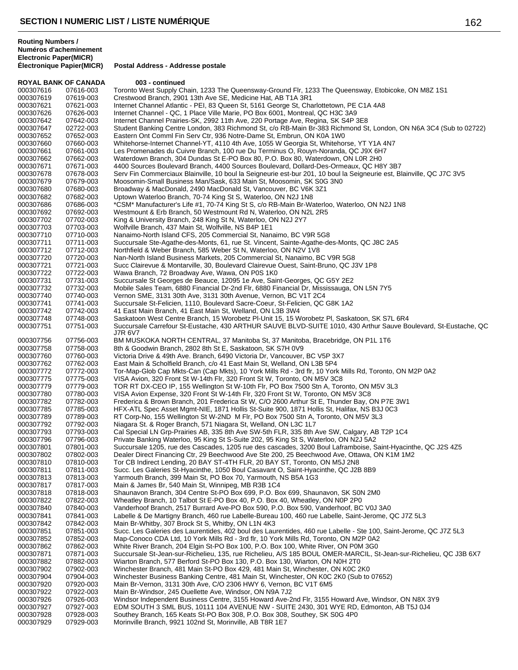| <b>ROYAL BANK OF CANADA</b> |                        | 003 - continued                                                                                                                                                           |
|-----------------------------|------------------------|---------------------------------------------------------------------------------------------------------------------------------------------------------------------------|
| 000307616                   | 07616-003              | Toronto West Supply Chain, 1233 The Queensway-Ground Flr, 1233 The Queensway, Etobicoke, ON M8Z 1S1                                                                       |
| 000307619                   | 07619-003              | Crestwood Branch, 2901 13th Ave SE, Medicine Hat, AB T1A 3R1                                                                                                              |
| 000307621                   | 07621-003              | Internet Channel Atlantic - PEI, 83 Queen St, 5161 George St, Charlottetown, PE C1A 4A8                                                                                   |
| 000307626                   | 07626-003              | Internet Channel - QC, 1 Place Ville Marie, PO Box 6001, Montreal, QC H3C 3A9                                                                                             |
| 000307642                   | 07642-003              | Internet Channel Prairies-SK, 2992 11th Ave, 220 Portage Ave, Regina, SK S4P 3E8                                                                                          |
| 000307647                   | 02722-003              | Student Banking Centre London, 383 Richmond St, c/o RB-Main Br-383 Richmond St, London, ON N6A 3C4 (Sub to 02722)                                                         |
| 000307652                   | 07652-003              | Eastern Ont Comml Fin Serv Ctr, 936 Notre-Dame St, Embrun, ON K0A 1W0                                                                                                     |
| 000307660                   | 07660-003              | Whitehorse-Internet Channel-YT, 4110 4th Ave, 1055 W Georgia St, Whitehorse, YT Y1A 4N7                                                                                   |
| 000307661                   | 07661-003              | Les Promenades du Cuivre Branch, 100 rue Du Terminus O, Rouyn-Noranda, QC J9X 6H7                                                                                         |
| 000307662<br>000307671      | 07662-003<br>07671-003 | Waterdown Branch, 304 Dundas St E-PO Box 80, P.O. Box 80, Waterdown, ON L0R 2H0<br>4400 Sources Boulevard Branch, 4400 Sources Boulevard, Dollard-Des-Ormeaux, QC H8Y 3B7 |
| 000307678                   | 07678-003              | Serv Fin Commerciaux Blainville, 10 boul la Seigneurie est-bur 201, 10 boul la Seigneurie est, Blainville, QC J7C 3V5                                                     |
| 000307679                   | 07679-003              | Moosomin-Small Business Man/Sask, 633 Main St, Moosomin, SK S0G 3N0                                                                                                       |
| 000307680                   | 07680-003              | Broadway & MacDonald, 2490 MacDonald St, Vancouver, BC V6K 3Z1                                                                                                            |
| 000307682                   | 07682-003              | Uptown Waterloo Branch, 70-74 King St S, Waterloo, ON N2J 1N8                                                                                                             |
| 000307686                   | 07686-003              | *CSM* Manufacturer's Life #1, 70-74 King St S, c/o RB-Main Br-Waterloo, Waterloo, ON N2J 1N8                                                                              |
| 000307692                   | 07692-003              | Westmount & Erb Branch, 50 Westmount Rd N, Waterloo, ON N2L 2R5                                                                                                           |
| 000307702                   | 07702-003              | King & University Branch, 248 King St N, Waterloo, ON N2J 2Y7                                                                                                             |
| 000307703                   | 07703-003              | Wolfville Branch, 437 Main St, Wolfville, NS B4P 1E1                                                                                                                      |
| 000307710                   | 07710-003              | Nanaimo-North Island CFS, 205 Commercial St, Nanaimo, BC V9R 5G8                                                                                                          |
| 000307711                   | 07711-003              | Succursale Ste-Agathe-des-Monts, 61, rue St. Vincent, Sainte-Agathe-des-Monts, QC J8C 2A5                                                                                 |
| 000307712                   | 07712-003              | Northfield & Weber Branch, 585 Weber St N, Waterloo, ON N2V 1V8                                                                                                           |
| 000307720                   | 07720-003              | Nan-North Island Business Markets, 205 Commercial St, Nanaimo, BC V9R 5G8                                                                                                 |
| 000307721                   | 07721-003              | Succ Clairevue & Montarville, 30, Boulevard Clairevue Ouest, Saint-Bruno, QC J3V 1P8                                                                                      |
| 000307722                   | 07722-003              | Wawa Branch, 72 Broadway Ave, Wawa, ON P0S 1K0                                                                                                                            |
| 000307731                   | 07731-003              | Succursale St Georges de Beauce, 12095 1e Ave, Saint-Georges, QC G5Y 2E2                                                                                                  |
| 000307732                   | 07732-003              | Mobile Sales Team, 6880 Financial Dr-2nd Flr, 6880 Financial Dr, Mississauga, ON L5N 7Y5                                                                                  |
| 000307740                   | 07740-003              | Vernon SME, 3131 30th Ave, 3131 30th Avenue, Vernon, BC V1T 2C4                                                                                                           |
| 000307741                   | 07741-003              | Succursale St-Felicien, 1110, Boulevard Sacre-Coeur, St-Felicien, QC G8K 1A2                                                                                              |
| 000307742                   | 07742-003              | 41 East Main Branch, 41 East Main St, Welland, ON L3B 3W4                                                                                                                 |
| 000307748                   | 07748-003              | Saskatoon West Centre Branch, 15 Worobetz PI-Unit 15, 15 Worobetz PI, Saskatoon, SK S7L 6R4                                                                               |
| 000307751                   | 07751-003              | Succursale Carrefour St-Eustache, 430 ARTHUR SAUVE BLVD-SUITE 1010, 430 Arthur Sauve Boulevard, St-Eustache, QC                                                           |
| 000307756                   | 07756-003              | J7R 6V7<br>BM MUSKOKA NORTH CENTRAL, 37 Manitoba St, 37 Manitoba, Bracebridge, ON P1L 1T6                                                                                 |
| 000307758                   | 07758-003              | 8th & Goodwin Branch, 2802 8th St E, Saskatoon, SK S7H 0V9                                                                                                                |
| 000307760                   | 07760-003              | Victoria Drive & 49th Ave. Branch, 6490 Victoria Dr, Vancouver, BC V5P 3X7                                                                                                |
| 000307762                   | 07762-003              | East Main & Scholfield Branch, c/o 41 East Main St, Welland, ON L3B 5P4                                                                                                   |
| 000307772                   | 07772-003              | Tor-Map-Glob Cap Mkts-Can (Cap Mkts), 10 York Mills Rd - 3rd flr, 10 York Mills Rd, Toronto, ON M2P 0A2                                                                   |
| 000307775                   | 07775-003              | VISA Avion, 320 Front St W-14th Flr, 320 Front St W, Toronto, ON M5V 3C8                                                                                                  |
| 000307779                   | 07779-003              | TOR RT DX-CEO IP, 155 Wellington St W-10th Flr, PO Box 7500 Stn A, Toronto, ON M5V 3L3                                                                                    |
| 000307780                   | 07780-003              | VISA Avion Expense, 320 Front St W-14th Flr, 320 Front St W, Toronto, ON M5V 3C8                                                                                          |
| 000307782                   | 07782-003              | Frederica & Brown Branch, 201 Frederica St W, C/O 2600 Arthur St E, Thunder Bay, ON P7E 3W1                                                                               |
| 000307785                   | 07785-003              | HFX-ATL Spec Asset Mgmt-NIE, 1871 Hollis St-Suite 900, 1871 Hollis St, Halifax, NS B3J 0C3                                                                                |
| 000307789                   | 07789-003              | RT Corp-No, 155 Wellington St W-2ND M Flr, PO Box 7500 Stn A, Toronto, ON M5V 3L3                                                                                         |
| 000307792                   | 07792-003              | Niagara St. & Roger Branch, 571 Niagara St, Welland, ON L3C 1L7                                                                                                           |
| 000307793                   | 07793-003              | Cal Special LN Grp-Prairies AB, 335 8th Ave SW-5th FLR, 335 8th Ave SW, Calgary, AB T2P 1C4                                                                               |
| 000307796                   | 07796-003              | Private Banking Waterloo, 95 King St S-Suite 202, 95 King St S, Waterloo, ON N2J 5A2                                                                                      |
| 000307801                   | 07801-003              | Succursale 1205, rue des Cascades, 1205 rue des cascades, 3200 Boul Laframboise, Saint-Hyacinthe, QC J2S 4Z5                                                              |
| 000307802                   | 07802-003              | Dealer Direct Financing Ctr, 29 Beechwood Ave Ste 200, 25 Beechwood Ave, Ottawa, ON K1M 1M2                                                                               |
| 000307810                   | 07810-003              | Tor CB Indirect Lending, 20 BAY ST-4TH FLR, 20 BAY ST, Toronto, ON M5J 2N8                                                                                                |
| 000307811                   | 07811-003              | Succ. Les Galeries St-Hyacinthe, 1050 Boul Casavant O, Saint-Hyacinthe, QC J2B 8B9                                                                                        |
| 000307813                   | 07813-003              | Yarmouth Branch, 399 Main St, PO Box 70, Yarmouth, NS B5A 1G3                                                                                                             |
| 000307817                   | 07817-003              | Main & James Br, 540 Main St, Winnipeg, MB R3B 1C4                                                                                                                        |
| 000307818<br>000307822      | 07818-003<br>07822-003 | Shaunavon Branch, 304 Centre St-PO Box 699, P.O. Box 699, Shaunavon, SK S0N 2M0<br>Wheatley Branch, 10 Talbot St E-PO Box 40, P.O. Box 40, Wheatley, ON N0P 2P0           |
| 000307840                   | 07840-003              | Vanderhoof Branch, 2517 Burrard Ave-PO Box 590, P.O. Box 590, Vanderhoof, BC V0J 3A0                                                                                      |
| 000307841                   | 07841-003              | Labelle & De Martigny Branch, 460 rue Labelle-Bureau 100, 460 rue Labelle, Saint-Jerome, QC J7Z 5L3                                                                       |
| 000307842                   | 07842-003              | Main Br-Whitby, 307 Brock St S, Whitby, ON L1N 4K3                                                                                                                        |
| 000307851                   | 07851-003              | Succ. Les Galeries des Laurentides, 402 boul des Laurentides, 460 rue Labelle - Ste 100, Saint-Jerome, QC J7Z 5L3                                                         |
| 000307852                   | 07852-003              | Map-Conoco CDA Ltd, 10 York Mills Rd - 3rd flr, 10 York Mills Rd, Toronto, ON M2P 0A2                                                                                     |
| 000307862                   | 07862-003              | White River Branch, 204 Elgin St-PO Box 100, P.O. Box 100, White River, ON P0M 3G0                                                                                        |
| 000307871                   | 07871-003              | Succursale St-Jean-sur-Richelieu, 135, rue Richelieu, A/S 185 BOUL OMER-MARCIL, St-Jean-sur-Richelieu, QC J3B 6X7                                                         |
| 000307882                   | 07882-003              | Wiarton Branch, 577 Berford St-PO Box 130, P.O. Box 130, Wiarton, ON N0H 2T0                                                                                              |
| 000307902                   | 07902-003              | Winchester Branch, 481 Main St-PO Box 429, 481 Main St, Winchester, ON K0C 2K0                                                                                            |
| 000307904                   | 07904-003              | Winchester Business Banking Centre, 481 Main St, Winchester, ON K0C 2K0 (Sub to 07652)                                                                                    |
| 000307920                   | 07920-003              | Main Br-Vernon, 3131 30th Ave, C/O 2306 HWY 6, Vernon, BC V1T 6M5                                                                                                         |
| 000307922                   | 07922-003              | Main Br-Windsor, 245 Ouellette Ave, Windsor, ON N9A 7J2                                                                                                                   |
| 000307926                   | 07926-003              | Windsor Independent Business Centre, 3155 Howard Ave-2nd Flr, 3155 Howard Ave, Windsor, ON N8X 3Y9                                                                        |
| 000307927                   | 07927-003              | EDM SOUTH 3 SML BUS, 10111 104 AVENUE NW - SUITE 2430, 301 WYE RD, Edmonton, AB T5J 0J4                                                                                   |
| 000307928                   | 07928-003              | Southey Branch, 165 Keats St-PO Box 308, P.O. Box 308, Southey, SK S0G 4P0                                                                                                |
| 000307929                   | 07929-003              | Morinville Branch, 9921 102nd St, Morinville, AB T8R 1E7                                                                                                                  |
|                             |                        |                                                                                                                                                                           |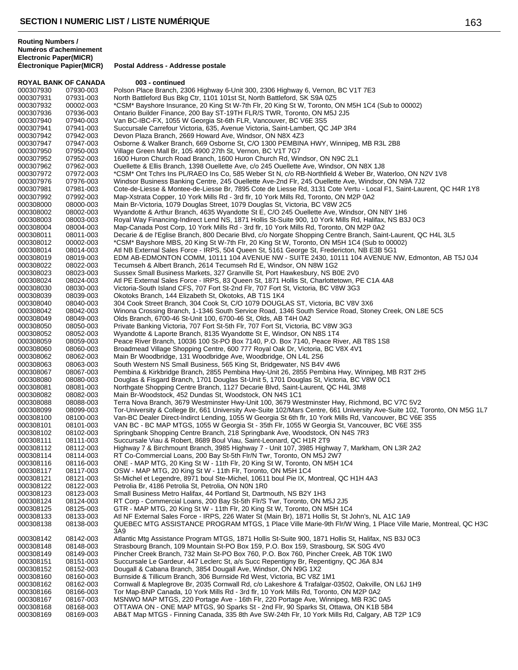**Électronique Papier(MICR) Postal Address - Addresse postale**

| <b>ROYAL BANK OF CANADA</b> |                        | 003 - continued                                                                                                                                                                                     |
|-----------------------------|------------------------|-----------------------------------------------------------------------------------------------------------------------------------------------------------------------------------------------------|
| 000307930                   | 07930-003              | Polson Place Branch, 2306 Highway 6-Unit 300, 2306 Highway 6, Vernon, BC V1T 7E3                                                                                                                    |
| 000307931                   | 07931-003              | North Battleford Bus Bkg Ctr, 1101 101st St, North Battleford, SK S9A 0Z5                                                                                                                           |
| 000307932                   | 00002-003              | *CSM* Bayshore Insurance, 20 King St W-7th Flr, 20 King St W, Toronto, ON M5H 1C4 (Sub to 00002)                                                                                                    |
| 000307936                   | 07936-003              | Ontario Builder Finance, 200 Bay ST-19TH FLR/S TWR, Toronto, ON M5J 2J5                                                                                                                             |
| 000307940                   | 07940-003              | Van BC-IBC-FX, 1055 W Georgia St-6th FLR, Vancouver, BC V6E 3S5                                                                                                                                     |
| 000307941                   | 07941-003              | Succursale Carrefour Victoria, 635, Avenue Victoria, Saint-Lambert, QC J4P 3R4                                                                                                                      |
| 000307942<br>000307947      | 07942-003<br>07947-003 | Devon Plaza Branch, 2669 Howard Ave, Windsor, ON N8X 4Z3<br>Osborne & Walker Branch, 669 Osborne St, C/O 1300 PEMBINA HWY, Winnipeg, MB R3L 2B8                                                     |
| 000307950                   | 07950-003              | Village Green Mall Br, 105 4900 27th St, Vernon, BC V1T 7G7                                                                                                                                         |
| 000307952                   | 07952-003              | 1600 Huron Church Road Branch, 1600 Huron Church Rd, Windsor, ON N9C 2L1                                                                                                                            |
| 000307962                   | 07962-003              | Ouellette & Ellis Branch, 1398 Ouellette Ave, c/o 245 Ouellette Ave, Windsor, ON N8X 1J8                                                                                                            |
| 000307972                   | 07972-003              | *CSM* Ont Tchrs Ins PL/RAEO Ins Co, 585 Weber St N, c/o RB-Northfield & Weber Br, Waterloo, ON N2V 1V8                                                                                              |
| 000307976                   | 07976-003              | Windsor Business Banking Centre, 245 Ouellette Ave-2nd Flr, 245 Ouellette Ave, Windsor, ON N9A 7J2                                                                                                  |
| 000307981                   | 07981-003              | Cote-de-Liesse & Montee-de-Liesse Br, 7895 Cote de Liesse Rd, 3131 Cote Vertu - Local F1, Saint-Laurent, QC H4R 1Y8                                                                                 |
| 000307992                   | 07992-003              | Map-Xstrata Copper, 10 York Mills Rd - 3rd flr, 10 York Mills Rd, Toronto, ON M2P 0A2                                                                                                               |
| 000308000                   | 08000-003              | Main Br-Victoria, 1079 Douglas Street, 1079 Douglas St, Victoria, BC V8W 2C5                                                                                                                        |
| 000308002                   | 08002-003              | Wyandotte & Arthur Branch, 4635 Wyandotte St E, C/O 245 Ouellette Ave, Windsor, ON N8Y 1H6<br>Royal Way Financing-Indirect Lend NS, 1871 Hollis St-Suite 900, 10 York Mills Rd, Halifax, NS B3J 0C3 |
| 000308003<br>000308004      | 08003-003<br>08004-003 | Map-Canada Post Corp, 10 York Mills Rd - 3rd flr, 10 York Mills Rd, Toronto, ON M2P 0A2                                                                                                             |
| 000308011                   | 08011-003              | Decarie & de l'Eglise Branch, 800 Decarie Blvd, c/o Norgate Shopping Centre Branch, Saint-Laurent, QC H4L 3L5                                                                                       |
| 000308012                   | 00002-003              | *CSM* Bayshore MBS, 20 King St W-7th Flr, 20 King St W, Toronto, ON M5H 1C4 (Sub to 00002)                                                                                                          |
| 000308014                   | 08014-003              | Atl NB External Sales Force - IRPS, 504 Queen St, 5161 George St, Fredericton, NB E3B 5G1                                                                                                           |
| 000308019                   | 08019-003              | EDM AB-EDMONTON COMM, 10111 104 AVENUE NW - SUITE 2430, 10111 104 AVENUE NW, Edmonton, AB T5J 0J4                                                                                                   |
| 000308022                   | 08022-003              | Tecumseh & Albert Branch, 2614 Tecumseh Rd E, Windsor, ON N8W 1G2                                                                                                                                   |
| 000308023                   | 08023-003              | Sussex Small Business Markets, 327 Granville St, Port Hawkesbury, NS B0E 2V0                                                                                                                        |
| 000308024                   | 08024-003              | Atl PE External Sales Force - IRPS, 83 Queen St, 1871 Hollis St, Charlottetown, PE C1A 4A8                                                                                                          |
| 000308030<br>000308039      | 08030-003<br>08039-003 | Victoria-South Island CFS, 707 Fort St-2nd Flr, 707 Fort St, Victoria, BC V8W 3G3<br>Okotoks Branch, 144 Elizabeth St, Okotoks, AB T1S 1K4                                                          |
| 000308040                   | 08040-003              | 304 Cook Street Branch, 304 Cook St, C/O 1079 DOUGLAS ST, Victoria, BC V8V 3X6                                                                                                                      |
| 000308042                   | 08042-003              | Winona Crossing Branch, 1-1346 South Service Road, 1346 South Service Road, Stoney Creek, ON L8E 5C5                                                                                                |
| 000308049                   | 08049-003              | Olds Branch, 6700-46 St-Unit 100, 6700-46 St, Olds, AB T4H 0A2                                                                                                                                      |
| 000308050                   | 08050-003              | Private Banking Victoria, 707 Fort St-5th Flr, 707 Fort St, Victoria, BC V8W 3G3                                                                                                                    |
| 000308052                   | 08052-003              | Wyandotte & Laporte Branch, 8135 Wyandotte St E, Windsor, ON N8S 1T4                                                                                                                                |
| 000308059                   | 08059-003              | Peace River Branch, 10036 100 St-PO Box 7140, P.O. Box 7140, Peace River, AB T8S 1S8                                                                                                                |
| 000308060                   | 08060-003              | Broadmead Village Shopping Centre, 600 777 Royal Oak Dr, Victoria, BC V8X 4V1                                                                                                                       |
| 000308062                   | 08062-003              | Main Br Woodbridge, 131 Woodbridge Ave, Woodbridge, ON L4L 2S6                                                                                                                                      |
| 000308063<br>000308067      | 08063-003<br>08067-003 | South Western NS Small Business, 565 King St, Bridgewater, NS B4V 4W6<br>Pembina & Kirkbridge Branch, 2855 Pembina Hwy-Unit 26, 2855 Pembina Hwy, Winnipeg, MB R3T 2H5                              |
| 000308080                   | 08080-003              | Douglas & Fisgard Branch, 1701 Douglas St-Unit 5, 1701 Douglas St, Victoria, BC V8W 0C1                                                                                                             |
| 000308081                   | 08081-003              | Northgate Shopping Centre Branch, 1127 Decarie Blvd, Saint-Laurent, QC H4L 3M8                                                                                                                      |
| 000308082                   | 08082-003              | Main Br-Woodstock, 452 Dundas St, Woodstock, ON N4S 1C1                                                                                                                                             |
| 000308088                   | 08088-003              | Terra Nova Branch, 3679 Westminster Hwy-Unit 100, 3679 Westminster Hwy, Richmond, BC V7C 5V2                                                                                                        |
| 000308099                   | 08099-003              | Tor-University & College Br, 661 University Ave-Suite 102/Mars Centre, 661 University Ave-Suite 102, Toronto, ON M5G 1L7                                                                            |
| 000308100                   | 08100-003              | Van-BC Dealer Direct-Indirct Lending, 1055 W Georgia St 6th flr, 10 York Mills Rd, Vancouver, BC V6E 3S5                                                                                            |
| 000308101                   | 08101-003              | VAN BC - BC MAP MTGS, 1055 W Georgia St - 35th Flr, 1055 W Georgia St, Vancouver, BC V6E 3S5                                                                                                        |
| 000308102<br>000308111      | 08102-003<br>08111-003 | Springbank Shopping Centre Branch, 218 Springbank Ave, Woodstock, ON N4S 7R3<br>Succursale Viau & Robert, 8689 Boul Viau, Saint-Leonard, QC H1R 2T9                                                 |
| 000308112                   | 08112-003              | Highway 7 & Birchmount Branch, 3985 Highway 7 - Unit 107, 3985 Highway 7, Markham, ON L3R 2A2                                                                                                       |
| 000308114                   | 08114-003              | RT Co-Commercial Loans, 200 Bay St-5th Flr/N Twr, Toronto, ON M5J 2W7                                                                                                                               |
| 000308116                   | 08116-003              | ONE - MAP MTG, 20 King St W - 11th Flr, 20 King St W, Toronto, ON M5H 1C4                                                                                                                           |
| 000308117                   | 08117-003              | OSW - MAP MTG, 20 King St W - 11th Flr, Toronto, ON M5H 1C4                                                                                                                                         |
| 000308121                   | 08121-003              | St-Michel et Legendre, 8971 boul Ste-Michel, 10611 boul Pie IX, Montreal, QC H1H 4A3                                                                                                                |
| 000308122                   | 08122-003              | Petrolia Br, 4186 Petrolia St, Petrolia, ON N0N 1R0                                                                                                                                                 |
| 000308123<br>000308124      | 08123-003              | Small Business Metro Halifax, 44 Portland St, Dartmouth, NS B2Y 1H3<br>RT Corp - Commercial Loans, 200 Bay St-5th Flr/S Twr, Toronto, ON M5J 2J5                                                    |
| 000308125                   | 08124-003<br>08125-003 | GTR - MAP MTG, 20 King St W - 11th Flr, 20 King St W, Toronto, ON M5H 1C4                                                                                                                           |
| 000308133                   | 08133-003              | Atl NF External Sales Force - IRPS, 226 Water St (Main Br), 1871 Hollis St, St John's, NL A1C 1A9                                                                                                   |
| 000308138                   | 08138-003              | QUEBEC MTG ASSISTANCE PROGRAM MTGS, 1 Place Ville Marie-9th Flr/W Wing, 1 Place Ville Marie, Montreal, QC H3C<br>3A9                                                                                |
| 000308142                   | 08142-003              | Atlantic Mtg Assistance Program MTGS, 1871 Hollis St-Suite 900, 1871 Hollis St, Halifax, NS B3J 0C3                                                                                                 |
| 000308148                   | 08148-003              | Strasbourg Branch, 109 Mountain St-PO Box 159, P.O. Box 159, Strasbourg, SK S0G 4V0                                                                                                                 |
| 000308149                   | 08149-003              | Pincher Creek Branch, 732 Main St-PO Box 760, P.O. Box 760, Pincher Creek, AB T0K 1W0                                                                                                               |
| 000308151                   | 08151-003              | Succursale Le Gardeur, 447 Leclerc St, a/s Succ Repentigny Br, Repentigny, QC J6A 8J4                                                                                                               |
| 000308152<br>000308160      | 08152-003<br>08160-003 | Dougall & Cabana Branch, 3854 Dougall Ave, Windsor, ON N9G 1X2<br>Burnside & Tillicum Branch, 306 Burnside Rd West, Victoria, BC V8Z 1M1                                                            |
| 000308162                   | 08162-003              | Cornwall & Maplegrove Br, 2035 Cornwall Rd, c/o Lakeshore & Trafalgar-03502, Oakville, ON L6J 1H9                                                                                                   |
| 000308166                   | 08166-003              | Tor Map-BNP Canada, 10 York Mills Rd - 3rd flr, 10 York Mills Rd, Toronto, ON M2P 0A2                                                                                                               |
| 000308167                   | 08167-003              | MSNWO MAP MTGS, 220 Portage Ave - 16th Flr, 220 Portage Ave, Winnipeg, MB R3C 0A5                                                                                                                   |
| 000308168                   | 08168-003              | OTTAWA ON - ONE MAP MTGS, 90 Sparks St - 2nd Flr, 90 Sparks St, Ottawa, ON K1B 5B4                                                                                                                  |
| 000308169                   | 08169-003              | AB&T Map MTGS - Finning Canada, 335 8th Ave SW-24th Flr, 10 York Mills Rd, Calgary, AB T2P 1C9                                                                                                      |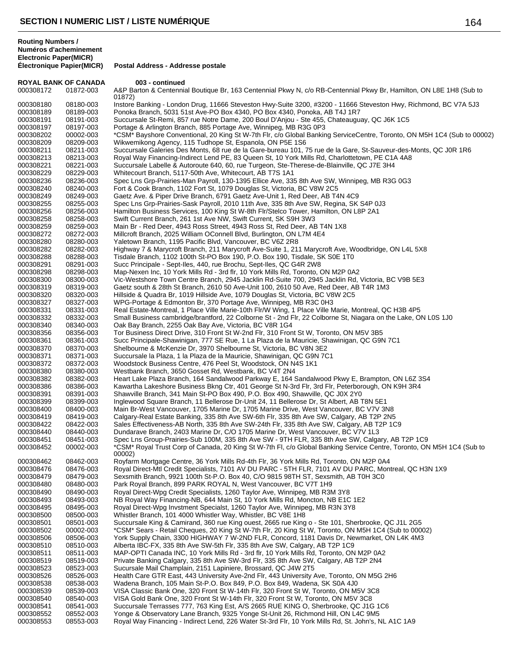**Routing Numbers / Numéros d'acheminement Electronic Paper(MICR)**

**ROYAL BANK OF CANADA 003 - continued**<br>000308172 01872-003 A&P Barton & Centennia A&P Barton & Centennial Boutique Br, 163 Centennial Pkwy N, c/o RB-Centennial Pkwy Br, Hamilton, ON L8E 1H8 (Sub to 01872) 000308180 08180-003 Instore Banking - London Drug, 11666 Steveston Hwy-Suite 3200, #3200 - 11666 Steveston Hwy, Richmond, BC V7A 5J3<br>000308189 08189-003 Ponoka Branch, 5031 51st Ave-PO Box 4340, PO Box 4340, Ponoka, AB T4J 08189-003 Ponoka Branch, 5031 51st Ave-PO Box 4340, PO Box 4340, Ponoka, AB T4J 1R7 000308191 08191-003 Succursale St-Remi, 857 rue Notre Dame, 200 Boul D'Anjou - Ste 455, Chateauguay, QC J6K 1C5 000308197 08197-003 Portage & Arlington Branch, 885 Portage Ave, Winnipeg, MB R3G 0P3 000308202 00002-003 \*CSM\* Bayshore Conventional, 20 King St W-7th Flr, c/o Global Banking ServiceCentre, Toronto, ON M5H 1C4 (Sub to 00002) 000308209 08209-003 Wikwemikong Agency, 115 Tudhope St, Espanola, ON P5E 1S6 08211-003 Succursale Galeries Des Monts, 68 rue de la Gare-bureau 101, 75 rue de la Gare, St-Sauveur-des-Monts, QC J0R 1R6 000308213 08213-003 Royal Way Financing-Indirect Lend PE, 83 Queen St, 10 York Mills Rd, Charlottetown, PE C1A 4A8 000308221 08221-003 Succursale Labelle & Autoroute 640, 60, rue Turgeon, Ste-Therese-de-Blainville, QC J7E 3H4<br>000308229 08229-003 Whitecourt Branch, 5117-50th Ave, Whitecourt, AB T7S 1A1 000308229 08229-003 Whitecourt Branch, 5117-50th Ave, Whitecourt, AB T7S 1A1 08236-003 Spec Lns Grp-Prairies-Man Payroll, 130-1395 Ellice Ave, 335 8th Ave SW, Winnipeg, MB R3G 0G3 000308240 08240-003 Fort & Cook Branch, 1102 Fort St, 1079 Douglas St, Victoria, BC V8W 2C5 000308249 08249-003 Gaetz Ave. & Piper Drive Branch, 6791 Gaetz Ave-Unit 1, Red Deer, AB T4N 4C9<br>000308255 08255-003 Spec Lns Grp-Prairies-Sask Payroll, 2010 11th Ave, 335 8th Ave SW, Regina, SK Spec Lns Grp-Prairies-Sask Payroll, 2010 11th Ave, 335 8th Ave SW, Regina, SK S4P 0J3 000308256 08256-003 Hamilton Business Services, 100 King St W-8th Flr/Stelco Tower, Hamilton, ON L8P 2A1<br>000308258 08258-003 Swift Current Branch, 261 1st Ave NW, Swift Current, SK S9H 3W3 08258-003 Swift Current Branch, 261 1st Ave NW, Swift Current, SK S9H 3W3 000308259 08259-003 Main Br - Red Deer, 4943 Ross Street, 4943 Ross St, Red Deer, AB T4N 1X8 000308272 08272-003 Millcroft Branch, 2025 William OConnell Blvd, Burlington, ON L7M 4E4 08280-003 Yaletown Branch, 1195 Pacific Blvd, Vancouver, BC V6Z 2R8 000308282 08282-003 Highway 7 & Marycroft Branch, 211 Marycroft Ave-Suite 1, 211 Marycroft Ave, Woodbridge, ON L4L 5X8<br>000308288 08288-003 Tisdale Branch, 1102 100th St-PO Box 190, P.O. Box 190, Tisdale, SK S0E 1T0 000308288 08288-003 Tisdale Branch, 1102 100th St-PO Box 190, P.O. Box 190, Tisdale, SK S0E 1T0 08291-003 Succ Principale - Sept-Iles, 440, rue Brochu, Sept-Iles, QC G4R 2W8 000308298 08298-003 Map-Nexen Inc, 10 York Mills Rd - 3rd flr, 10 York Mills Rd, Toronto, ON M2P 0A2 Vic-Westshore Town Centre Branch, 2945 Jacklin Rd-Suite 700, 2945 Jacklin Rd, Victoria, BC V9B 5E3 000308319 08319-003 Gaetz south & 28th St Branch, 2610 50 Ave-Unit 100, 2610 50 Ave, Red Deer, AB T4R 1M3 000308320 08320-003 Hillside & Quadra Br, 1019 Hillside Ave, 1079 Douglas St, Victoria, BC V8W 2C5 000308327 08327-003 WPG-Portage & Edmonton Br, 370 Portage Ave, Winnipeg, MB R3C 0H3 000308331 08331-003 Real Estate-Montreal, 1 Place Ville Marie-10th Flr/W Wing, 1 Place Ville Marie, Montreal, QC H3B 4P5<br>000308332 08332-003 Small Business cambridge/brantford, 22 Colborne St - 2nd Flr, 22 Colborne St, Nia Small Business cambridge/brantford, 22 Colborne St - 2nd Flr, 22 Colborne St, Niagara on the Lake, ON L0S 1J0 000308340 08340-003 Oak Bay Branch, 2255 Oak Bay Ave, Victoria, BC V8R 1G4 000308356 08356-003 Tor Business Direct Drive, 310 Front St W-2nd Flr, 310 Front St W, Toronto, ON M5V 3B5 000308361 08361-003 Succ Principale-Shawinigan, 777 SE Rue, 1 La Plaza de la Mauricie, Shawinigan, QC G9N 7C1<br>000308370 08370-003 Shelbourne & McKenzie Dr, 3970 Shelbourne St, Victoria, BC V8N 3E2 08370-003 Shelbourne & McKenzie Dr, 3970 Shelbourne St, Victoria, BC V8N 3E2 000308371 08371-003 Succursale la Plaza, 1 la Plaza de la Mauricie, Shawinigan, QC G9N 7C1 000308372 08372-003 Woodstock Business Centre, 476 Peel St, Woodstock, ON N4S 1K1<br>000308380 08380-003 Westbank Branch, 3650 Gosset Rd, Westbank, BC V4T 2N4 08380-003 Westbank Branch, 3650 Gosset Rd, Westbank, BC V4T 2N4 000308382 08382-003 Heart Lake Plaza Branch, 164 Sandalwood Parkway E, 164 Sandalwood Pkwy E, Brampton, ON L6Z 3S4<br>000308386 08386-003 Kawartha Lakeshore Business Bkng Ctr, 401 George St N-3rd Flr, 3rd Flr, Peterborough, O 08386-003 Kawartha Lakeshore Business Bkng Ctr, 401 George St N-3rd Flr, 3rd Flr, Peterborough, ON K9H 3R4 000308391 08391-003 Shawville Branch, 341 Main St-PO Box 490, P.O. Box 490, Shawville, QC J0X 2Y0 000308399 08399-003 Inglewood Square Branch, 11 Bellerose Dr-Unit 24, 11 Bellerose Dr, St Albert, AB T8N 5E1<br>000308400 08400-003 Main Br-West Vancouver, 1705 Marine Dr, 1705 Marine Drive, West Vancouver, BC V7V 3I 08400-003 Main Br-West Vancouver, 1705 Marine Dr, 1705 Marine Drive, West Vancouver, BC V7V 3N8 000308419 08419-003 Calgary-Real Estate Banking, 335 8th Ave SW-6th Flr, 335 8th Ave SW, Calgary, AB T2P 2N5 000308422 08422-003 Sales Effectiveness-AB North, 335 8th Ave SW-24th Flr, 335 8th Ave SW, Calgary, AB T2P 1C9 000308440 08440-003 Dundarave Branch, 2403 Marine Dr, C/O 1705 Marine Dr, West Vancouver, BC V7V 1L3 000308451 08451-003 Spec Lns Group-Prairies-Sub 100M, 335 8th Ave SW - 9TH FLR, 335 8th Ave SW, Calgary, AB T2P 1C9<br>000308452 00002-003 \*CSM\* Royal Trust Corp of Canada, 20 King St W-7th Fl, c/o Global Banking Service Cent \*CSM\* Royal Trust Corp of Canada, 20 King St W-7th Fl, c/o Global Banking Service Centre, Toronto, ON M5H 1C4 (Sub to 00002) 000308462 08462-003 Royfarm Mortgage Centre, 36 York Mills Rd-4th Flr, 36 York Mills Rd, Toronto, ON M2P 0A4<br>000308476 08476-003 Royal Direct-Mtl Credit Specialists, 7101 AV DU PARC - 5TH FLR, 7101 AV DU PARC, Mont 000308476 08476-003 Royal Direct-Mtl Credit Specialists, 7101 AV DU PARC - 5TH FLR, 7101 AV DU PARC, Montreal, QC H3N 1X9<br>000308479 08479-003 Sexsmith Branch, 9921 100th St-P.O. Box 40, C/O 9815 98TH ST, Sexsmith, AB T0H 3 000308479 08479-003 Sexsmith Branch, 9921 100th St-P.O. Box 40, C/O 9815 98TH ST, Sexsmith, AB T0H 3C0<br>000308480 08480-003 Park Royal Branch, 899 PARK ROYAL N, West Vancouver, BC V7T 1H9 000308480 08480-003 Park Royal Branch, 899 PARK ROYAL N, West Vancouver, BC V7T 1H9<br>000308490 08490-003 Royal Direct-Woo Credit Specialists. 1260 Taylor Ave. Winnipeg. MB R3N Royal Direct-Wpg Credit Specialists, 1260 Taylor Ave, Winnipeg, MB R3M 3Y8 000308493 08493-003 NB Royal Way Financing-NB, 644 Main St, 10 York Mills Rd, Moncton, NB E1C 1E2<br>000308495 08495-003 Royal Direct-Wpg Invstment Specialst, 1260 Taylor Ave, Winnipeg, MB R3N 3Y8 000308495 08495-003 Royal Direct-Wpg Invstment Specialst, 1260 Taylor Ave, Winnipeg, MB R3N 3Y8<br>000308500 08500-003 Whistler Branch, 101 4000 Whistler Way, Whistler, BC V8E 1H8 000308500 08500-003 Whistler Branch, 101 4000 Whistler Way, Whistler, BC V8E 1H8<br>000308501 08501-003 Succursale King & Camirand, 360 rue King ouest, 2665 rue King 000308501 08501-003 Succursale King & Camirand, 360 rue King ouest, 2665 rue King o - Ste 101, Sherbrooke, QC J1L 2G5 000308502 00002-003 \*CSM\* Sears - Retail Cheques, 20 King St W-7th Flr, 20 King St W, Toronto, ON M5H 1C4 (Sub to 00002) 000308506 08506-003 York Supply Chain, 3300 HIGHWAY 7 W-2ND FLR, Concord, 1181 Davis Dr, Newmarket, ON L4K 4M3<br>000308510 08510-003 Alberta IBC-FX, 335 8th Ave SW-5th Flr, 335 8th Ave SW, Calgary, AB T2P 1C9 000308510 08510-003 Alberta IBC-FX, 335 8th Ave SW-5th Flr, 335 8th Ave SW, Calgary, AB T2P 1C9 000308511 08511-003 MAP-OPTI Canada INC, 10 York Mills Rd - 3rd flr, 10 York Mills Rd, Toronto, ON M2P 0A2<br>000308519 08519-003 Private Banking Calgary, 335 8th Ave SW-3rd Flr, 335 8th Ave SW, Calgary, AB T2P 2N4 000308519 08519-003 Private Banking Calgary, 335 8th Ave SW-3rd Flr, 335 8th Ave SW, Calgary, AB T2P 2N4<br>000308523 08523-003 Sucursale Mail Champlain, 2151 Lapiniere, Brossard, OC J4W 2T5 000308523 08523-003 Sucursale Mail Champlain, 2151 Lapiniere, Brossard, QC J4W 2T5 000308526 08526-003 Health Care GTR East, 443 University Ave-2nd Flr, 443 University Ave, Toronto, ON M5G 2H6<br>000308538 08538-003 Wadena Branch, 105 Main St-P.O. Box 849, P.O. Box 849, Wadena, SK S0A 4J0 000308538 08538-003 Wadena Branch, 105 Main St-P.O. Box 849, P.O. Box 849, Wadena, SK S0A 4J0 000308539 08539-003 VISA Classic Bank One, 320 Front St W-14th Flr, 320 Front St W, Toronto, ON M5V 3C8<br>000308540 08540-003 VISA Gold Bank One, 320 Front St W-14th Flr, 320 Front St W, Toronto, ON M5V 3C8 000308540 08540-003 VISA Gold Bank One, 320 Front St W-14th Flr, 320 Front St W, Toronto, ON M5V 3C8<br>000308541 08541-003 Succursale Terrasses 777 763 King Est A/S 2665 RUE KING O. Sherbrooke, OC J10 000308541 08541-003 Succursale Terrasses 777, 763 King Est, A/S 2665 RUE KING O, Sherbrooke, QC J1G 1C6<br>000308552 08552-003 Yonge & Observatory Lane Branch, 9325 Yonge St-Unit 26, Richmond Hill, ON L4C 9M5 000308552 08552-003 Yonge & Observatory Lane Branch, 9325 Yonge St-Unit 26, Richmond Hill, ON L4C 9M5<br>000308553 08553-003 Roval Way Financing - Indirect Lend. 226 Water St-3rd Flr. 10 York Mills Rd. St. John's. N Royal Way Financing - Indirect Lend, 226 Water St-3rd Flr, 10 York Mills Rd, St. John's, NL A1C 1A9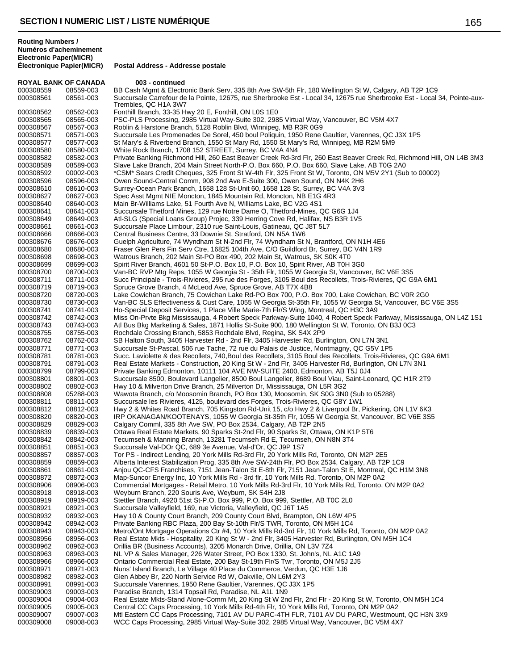**Routing Numbers / Numéros d'acheminement Electronic Paper(MICR)**

**ROYAL BANK OF CANADA 003 - continued**<br>000308559 08559-003 BB Cash Momt & Flectre 000308559 08559-003 BB Cash Mgmt & Electronic Bank Serv, 335 8th Ave SW-5th Flr, 180 Wellington St W, Calgary, AB T2P 1C9<br>000308561 08561-003 Succursale Carrefour de la Pointe, 12675, rue Sherbrooke Est - Local 34, 12675 r Succursale Carrefour de la Pointe, 12675, rue Sherbrooke Est - Local 34, 12675 rue Sherbrooke Est - Local 34, Pointe-aux-Trembles, QC H1A 3W7 000308562 08562-003 Fonthill Branch, 33-35 Hwy 20 E, Fonthill, ON L0S 1E0 000308565 08565-003 PSC-PLS Processing, 2985 Virtual Way-Suite 302, 2985 Virtual Way, Vancouver, BC V5M 4X7 000308567 08567-003 Roblin & Harstone Branch, 5128 Roblin Blvd, Winnipeg, MB R3R 0G9 08571-003 Succursale Les Promenades De Sorel, 450 boul Poliquin, 1950 Rene Gaultier, Varennes, QC J3X 1P5 000308577 08577-003 St Mary's & Riverbend Branch, 1550 St Mary Rd, 1550 St Mary's Rd, Winnipeg, MB R2M 5M9<br>000308580 08580-003 White Rock Branch, 1708 152 STREET, Surrey, BC V4A 4N4 000308580 08580-003 White Rock Branch, 1708 152 STREET, Surrey, BC V4A 4N4 000308582 08582-003 Private Banking Richmond Hill, 260 East Beaver Creek Rd-3rd Flr, 260 East Beaver Creek Rd, Richmond Hill, ON L4B 3M3 000308589 08589-003 Slave Lake Branch, 204 Main Street North-P.O. Box 660, P.O. Box 660, Slave Lake, AB T0G 2A0 000308592 00002-003 \*CSM\* Sears Credit Cheques, 325 Front St W-4th Flr, 325 Front St W, Toronto, ON M5V 2Y1 (Sub to 00002)<br>000308596 08596-003 Owen Sound-Central Comm, 908 2nd Ave E-Suite 300, Owen Sound, ON N4K 2H6 000308596 08596-003 Owen Sound-Central Comm, 908 2nd Ave E-Suite 300, Owen Sound, ON N4K 2H6 08610-003 Surrey-Ocean Park Branch, 1658 128 St-Unit 60, 1658 128 St, Surrey, BC V4A 3V3 000308627 08627-003 Spec Asst Mgmt NIE Moncton, 1845 Mountain Rd, Moncton, NB E1G 4R3<br>000308640 08640-003 Main Br-Williams Lake, 51 Fourth Ave N, Williams Lake, BC V2G 4S1 Main Br-Williams Lake, 51 Fourth Ave N, Williams Lake, BC V2G 4S1 000308641 08641-003 Succursale Thetford Mines, 129 rue Notre Dame O, Thetford-Mines, QC G6G 1J4<br>1900308649 08649-003 Atl-SLG (Special Loans Group) Projec, 339 Herring Cove Rd, Halifax, NS B3R 1V 08649-003 Atl-SLG (Special Loans Group) Projec, 339 Herring Cove Rd, Halifax, NS B3R 1V5 000308661 08661-003 Succursale Place Limbour, 2310 rue Saint-Louis, Gatineau, QC J8T 5L7 000308666 08666-003 Central Business Centre, 33 Downie St, Stratford, ON N5A 1W6<br>000308676 08676-003 Guelph Agriculture, 74 Wyndham St N-2nd Flr, 74 Wyndham St I Guelph Agriculture, 74 Wyndham St N-2nd Flr, 74 Wyndham St N, Brantford, ON N1H 4E6 000308680 08680-003 Fraser Glen Pers Fin Serv Ctre, 16825 104th Ave, C/O Guildford Br, Surrey, BC V4N 1R9<br>000308698 08698-003 Watrous Branch, 202 Main St-PO Box 490, 202 Main St, Watrous, SK S0K 4T0 000308698 08698-003 Watrous Branch, 202 Main St-PO Box 490, 202 Main St, Watrous, SK S0K 4T0<br>000308699 08699-003 Spirit River Branch, 4601 50 St-P.O. Box 10, P.O. Box 10, Spirit River, AB T0H 08699-003 Spirit River Branch, 4601 50 St-P.O. Box 10, P.O. Box 10, Spirit River, AB T0H 3G0 000308700 08700-003 Van-BC RVP Mtg Reps, 1055 W Georgia St - 35th Flr, 1055 W Georgia St, Vancouver, BC V6E 3S5<br>000308711 08711-003 Succ Principale - Trois-Rivieres, 295 rue des Forges, 3105 Boul des Recollets, Trois-Rivie 08711-003 Succ Principale - Trois-Rivieres, 295 rue des Forges, 3105 Boul des Recollets, Trois-Rivieres, QC G9A 6M1 000308719 08719-003 Spruce Grove Branch, 4 McLeod Ave, Spruce Grove, AB T7X 4B8 000308720 08720-003 Lake Cowichan Branch, 75 Cowichan Lake Rd-PO Box 700, P.O. Box 700, Lake Cowichan, BC V0R 2G0 000308730 08730-003 Van-BC SLS Effectiveness & Cust Care, 1055 W Georgia St-35th Flr, 1055 W Georgia St, Vancouver, BC V6E 3S5 000308741 08741-003 Ho-Special Deposit Services, 1 Place Ville Marie-7th Flr/S Wing, Montreal, QC H3C 3A9 000308742 08742-003 Miss On-Prvte Bkg Mississauga, 4 Robert Speck Parkway-Suite 1040, 4 Robert Speck Parkway, Mississauga, ON L4Z 1S1 000308743 08743-003 Atl Bus Bkg Marketing & Sales, 1871 Hollis St-Suite 900, 180 Wellington St W, Toronto, ON B3J 0C3 000308755 08755-003 Rochdale Crossing Branch, 5853 Rochdale Blvd, Regina, SK S4X 2P9 000308762 08762-003 SB Halton South, 3405 Harvester Rd - 2nd Flr, 3405 Harvester Rd, Burlington, ON L7N 3N1<br>000308771 08771-003 Succursale St-Pascal, 506 rue Tache, 72 rue du Palais de Justice, Montmagny, QC G5V 1P Succursale St-Pascal, 506 rue Tache, 72 rue du Palais de Justice, Montmagny, QC G5V 1P5 000308781 08781-003 Succ. Laviolette & des Recollets, 740,Boul des Recollets, 3105 Boul des Recollets, Trois-Rivieres, QC G9A 6M1 000308791 08791-003 Real Estate Markets - Construction, 20 King St W - 2nd Flr, 3405 Harvester Rd, Burlington, ON L7N 3N1<br>000308799 08799-003 Private Banking Edmonton, 10111 104 AVE NW-SUITE 2400, Edmonton, AB T5J 0J4 08799-003 Private Banking Edmonton, 10111 104 AVE NW-SUITE 2400, Edmonton, AB T5J 0J4 000308801 08801-003 Succursale 8500, Boulevard Langelier, 8500 Boul Langelier, 8689 Boul Viau, Saint-Leonard, QC H1R 2T9 08802-003 Hwy 10 & Milverton Drive Branch, 25 Milverton Dr, Mississauga, ON L5R 3G2 000308808 05288-003 Wawota Branch, c/o Moosomin Branch, PO Box 130, Moosomin, SK S0G 3N0 (Sub to 05288) 000308811 08811-003 Succursale les Rivieres, 4125, boulevard des Forges, Trois-Rivieres, QC G8Y 1W1<br>000308812 08812-003 Hwy 2 & Whites Road Branch, 705 Kingston Rd-Unit 15, c/o Hwy 2 & Liverpool Br, 08812-003 Hwy 2 & Whites Road Branch, 705 Kingston Rd-Unit 15, c/o Hwy 2 & Liverpool Br, Pickering, ON L1V 6K3 000308820 08820-003 IRP OKANAGAN/KOOTENAYS, 1055 W Georgia St-35th Flr, 1055 W Georgia St, Vancouver, BC V6E 3S5 000308829 08829-003 Calgary Comml, 335 8th Ave SW, PO Box 2534, Calgary, AB T2P 2N5 08839-003 Ottawa Real Estate Markets, 90 Sparks St-2nd Flr, 90 Sparks St, Ottawa, ON K1P 5T6 000308842 08842-003 Tecumseh & Manning Branch, 13281 Tecumseh Rd E, Tecumseh, ON N8N 3T4<br>000308851 08851-003 Succursale Val-DOr QC, 689 3e Avenue, Val-d'Or, QC J9P 1S7 08851-003 Succursale Val-DOr QC, 689 3e Avenue, Val-d'Or, QC J9P 1S7 000308857 08857-003 Tor PS - Indirect Lending, 20 York Mills Rd-3rd Flr, 20 York Mills Rd, Toronto, ON M2P 2E5 000308859 08859-003 Alberta Interest Stabilization Prog, 335 8th Ave SW-24th Flr, PO Box 2534, Calgary, AB T2P 1C9 000308861 08861-003 Anjou QC-CFS Franchises, 7151 Jean-Talon St E-8th Flr, 7151 Jean-Talon St E, Montreal, QC H1M 3N8 000308872 08872-003 Map-Suncor Energy Inc, 10 York Mills Rd - 3rd flr, 10 York Mills Rd, Toronto, ON M2P 0A2<br>000308906 08906-003 Commercial Mortgages - Retail Metro, 10 York Mills Rd-3rd Flr, 10 York Mills Rd, Toronto, 08906-003 Commercial Mortgages - Retail Metro, 10 York Mills Rd-3rd Flr, 10 York Mills Rd, Toronto, ON M2P 0A2 000308918 08918-003 Weyburn Branch, 220 Souris Ave, Weyburn, SK S4H 2J8 000308919 08919-003 Stettler Branch, 4920 51st St-P.O. Box 999, P.O. Box 999, Stettler, AB T0C 2L0 000308921 08921-003 Succursale Valleyfield, 169, rue Victoria, Valleyfield, QC J6T 1A5<br>000308932 08932-003 Hwy 10 & County Court Branch, 209 County Court Blvd, Brampto Hwy 10 & County Court Branch, 209 County Court Blvd, Brampton, ON L6W 4P5 000308942 08942-003 Private Banking RBC Plaza, 200 Bay St-10th Flr/S TWR, Toronto, ON M5H 1C4 000308943 08943-003 Metro/Ont Mortgage Operations Ctr #4, 10 York Mills Rd-3rd Flr, 10 York Mills Rd, Toronto, ON M2P 0A2<br>000308956 08956-003 Real Estate Mkts - Hospitality, 20 King St W - 2nd Flr, 3405 Harvester Rd, Burli Real Estate Mkts - Hospitality, 20 King St W - 2nd Flr, 3405 Harvester Rd, Burlington, ON M5H 1C4 000308962 08962-003 Orillia BR (Business Accounts), 3205 Monarch Drive, Orillia, ON L3V 7Z4 08963-003 NL VP & Sales Manager, 226 Water Street, PO Box 1330, St. John's, NL A1C 1A9 000308966 08966-003 Ontario Commercial Real Estate, 200 Bay St-19th Flr/S Twr, Toronto, ON M5J 2J5 000308971 08971-003 Nuns' Island Branch, Le Village 40 Place du Commerce, Verdun, QC H3E 1J6<br>000308982 08982-003 Glen Abbey Br, 220 North Service Rd W, Oakville, ON L6M 2Y3 08982-003 Glen Abbey Br, 220 North Service Rd W, Oakville, ON L6M 2Y3 000308991 08991-003 Succursale Varennes, 1950 Rene Gaultier, Varennes, QC J3X 1P5 000309003 09003-003 Paradise Branch, 1314 Topsail Rd, Paradise, NL A1L 1N9 000309004 09004-003 Real Estate Mkts-Stand Alone-Comm Mt, 20 King St W 2nd Flr, 2nd Flr - 20 King St W, Toronto, ON M5H 1C4 000309005 09005-003 Central CC Caps Processing, 10 York Mills Rd-4th Flr, 10 York Mills Rd, Toronto, ON M2P 0A2

### 000309007 09007-003 Mtl Eastern CC Caps Processing, 7101 AV DU PARC-4TH FLR, 7101 AV DU PARC, Westmount, QC H3N 3X9 000309008 09008-003 WCC Caps Processing, 2985 Virtual Way-Suite 302, 2985 Virtual Way, Vancouver, BC V5M 4X7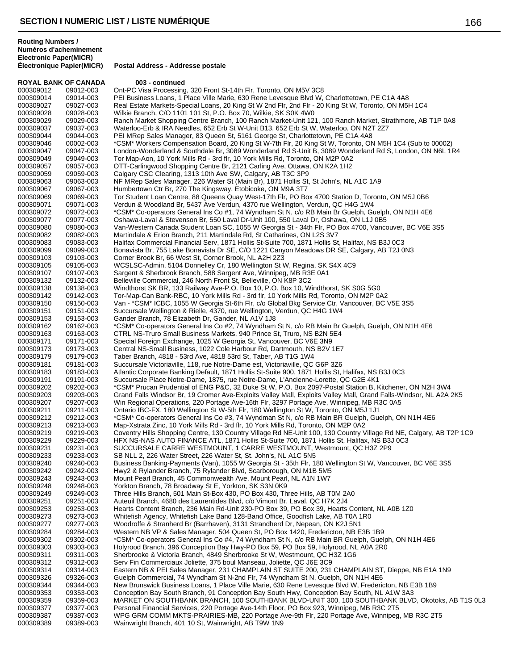| <b>ROYAL BANK OF CANADA</b> |                        | 003 - continued                                                                                                                                         |
|-----------------------------|------------------------|---------------------------------------------------------------------------------------------------------------------------------------------------------|
| 000309012                   | 09012-003              | Ont-PC Visa Processing, 320 Front St-14th Flr, Toronto, ON M5V 3C8                                                                                      |
| 000309014                   | 09014-003              | PEI Business Loans, 1 Place Ville Marie, 630 Rene Levesque Blvd W, Charlottetown, PE C1A 4A8                                                            |
| 000309027                   | 09027-003              | Real Estate Markets-Special Loans, 20 King St W 2nd Flr, 2nd Flr - 20 King St W, Toronto, ON M5H 1C4                                                    |
| 000309028                   | 09028-003              | Wilkie Branch, C/O 1101 101 St, P.O. Box 70, Wilkie, SK S0K 4W0                                                                                         |
| 000309029                   | 09029-003              | Ranch Market Shopping Centre Branch, 100 Ranch Market-Unit 121, 100 Ranch Market, Strathmore, AB T1P 0A8                                                |
| 000309037                   | 09037-003              | Waterloo-Erb & IRA Needles, 652 Erb St W-Unit B13, 652 Erb St W, Waterloo, ON N2T 2Z7                                                                   |
| 000309044                   | 09044-003              | PEI MRep Sales Manager, 83 Queen St, 5161 George St, Charlottetown, PE C1A 4A8                                                                          |
| 000309046                   | 00002-003              | *CSM* Workers Compensation Board, 20 King St W-7th Flr, 20 King St W, Toronto, ON M5H 1C4 (Sub to 00002)                                                |
| 000309047                   | 09047-003              | London-Wonderland & Southdale Br, 3089 Wonderland Rd S-Unit B, 3089 Wonderland Rd S, London, ON N6L 1R4                                                 |
| 000309049                   | 09049-003              | Tor Map-Aon, 10 York Mills Rd - 3rd flr, 10 York Mills Rd, Toronto, ON M2P 0A2                                                                          |
| 000309057                   | 09057-003              | OTT-Carlingwood Shopping Centre Br, 2121 Carling Ave, Ottawa, ON K2A 1H2                                                                                |
| 000309059                   | 09059-003              | Calgary CSC Clearing, 1313 10th Ave SW, Calgary, AB T3C 3P9                                                                                             |
| 000309063                   | 09063-003              | NF MRep Sales Manager, 226 Water St (Main Br), 1871 Hollis St, St John's, NL A1C 1A9                                                                    |
| 000309067                   | 09067-003              | Humbertown Ctr Br, 270 The Kingsway, Etobicoke, ON M9A 3T7                                                                                              |
| 000309069                   | 09069-003              | Tor Student Loan Centre, 88 Queens Quay West-17th Flr, PO Box 4700 Station D, Toronto, ON M5J 0B6                                                       |
| 000309071                   | 09071-003              | Verdun & Woodland Br, 5437 Ave Verdun, 4370 rue Wellington, Verdun, QC H4G 1W4                                                                          |
| 000309072                   | 09072-003              | *CSM* Co-operators General Ins Co #1, 74 Wyndham St N, c/o RB Main Br Guelph, Guelph, ON N1H 4E6                                                        |
| 000309077                   | 09077-003              | Oshawa-Laval & Stevenson Br, 550 Laval Dr-Unit 100, 550 Laval Dr, Oshawa, ON L1J 0B5                                                                    |
| 000309080                   | 09080-003              | Van-Western Canada Student Loan SC, 1055 W Georgia St - 34th Flr, PO Box 4700, Vancouver, BC V6E 3S5                                                    |
| 000309082                   | 09082-003              | Martindale & Erion Branch, 211 Martindale Rd, St Catharines, ON L2S 3V7                                                                                 |
| 000309083<br>000309099      | 09083-003              | Halifax Commercial Financial Serv, 1871 Hollis St-Suite 700, 1871 Hollis St, Halifax, NS B3J 0C3                                                        |
| 000309103                   | 09099-003              | Bonavista Br, 755 Lake Bonavista Dr SE, C/O 1221 Canyon Meadows DR SE, Calgary, AB T2J 0N3                                                              |
|                             | 09103-003              | Corner Brook Br, 66 West St, Corner Brook, NL A2H 2Z3                                                                                                   |
| 000309105                   | 09105-003              | WCSLSC-Admin, 5104 Donnelley Cr, 180 Wellington St W, Regina, SK S4X 4C9                                                                                |
| 000309107                   | 09107-003              | Sargent & Sherbrook Branch, 588 Sargent Ave, Winnipeg, MB R3E 0A1                                                                                       |
| 000309132                   | 09132-003              | Belleville Commercial, 246 North Front St, Belleville, ON K8P 3C2<br>Windthorst SK BR, 133 Railway Ave-P.O. Box 10, P.O. Box 10, Windthorst, SK S0G 5G0 |
| 000309138<br>000309142      | 09138-003<br>09142-003 | Tor-Map-Can Bank-RBC, 10 York Mills Rd - 3rd flr, 10 York Mills Rd, Toronto, ON M2P 0A2                                                                 |
| 000309150                   | 09150-003              | Van - *CSM* ICBC, 1055 W Georgia St-6th Flr, c/o Global Bkg Service Ctr, Vancouver, BC V5E 3S5                                                          |
| 000309151                   | 09151-003              | Succursale Wellington & Rielle, 4370, rue Wellington, Verdun, QC H4G 1W4                                                                                |
| 000309153                   | 09153-003              | Gander Branch, 78 Elizabeth Dr, Gander, NL A1V 1J8                                                                                                      |
| 000309162                   | 09162-003              | *CSM* Co-operators General Ins Co #2, 74 Wyndham St N, c/o RB Main Br Guelph, Guelph, ON N1H 4E6                                                        |
| 000309163                   | 09163-003              | CTRL NS-Truro Small Business Markets, 940 Prince St, Truro, NS B2N 5E4                                                                                  |
| 000309171                   | 09171-003              | Special Foreign Exchange, 1025 W Georgia St, Vancouver, BC V6E 3N9                                                                                      |
| 000309173                   | 09173-003              | Central NS-Small Business, 1022 Cole Harbour Rd, Dartmouth, NS B2V 1E7                                                                                  |
| 000309179                   | 09179-003              | Taber Branch, 4818 - 53rd Ave, 4818 53rd St, Taber, AB T1G 1W4                                                                                          |
| 000309181                   | 09181-003              | Succursale Victoriaville, 118, rue Notre-Dame est, Victoriaville, QC G6P 3Z6                                                                            |
| 000309183                   | 09183-003              | Atlantic Corporate Banking Default, 1871 Hollis St-Suite 900, 1871 Hollis St, Halifax, NS B3J 0C3                                                       |
| 000309191                   | 09191-003              | Succursale Place Notre-Dame, 1875, rue Notre-Dame, L'Ancienne-Lorette, QC G2E 4K1                                                                       |
| 000309202                   | 09202-003              | *CSM* Prucan Prudential of ENG P&C, 32 Duke St W, P.O. Box 2097-Postal Station B, Kitchener, ON N2H 3W4                                                 |
| 000309203                   | 09203-003              | Grand Falls Windsor Br, 19 Cromer Ave-Exploits Valley Mall, Exploits Valley Mall, Grand Falls-Windsor, NL A2A 2K5                                       |
| 000309207                   | 09207-003              | Win Regional Operations, 220 Portage Ave-16th Flr, 3297 Portage Ave, Winnipeg, MB R3C 0A5                                                               |
| 000309211                   | 09211-003              | Ontario IBC-FX, 180 Wellington St W-5th Flr, 180 Wellington St W, Toronto, ON M5J 1J1                                                                   |
| 000309212                   | 09212-003              | *CSM* Co-operators General Ins Co #3, 74 Wyndman St N, c/o RB Main BR Guelph, Guelph, ON N1H 4E6                                                        |
| 000309213                   | 09213-003              | Map-Xstrata Zinc, 10 York Mills Rd - 3rd flr, 10 York Mills Rd, Toronto, ON M2P 0A2                                                                     |
| 000309219                   | 09219-003              | Coventry Hills Shopping Centre, 130 Country Village Rd NE-Unit 100, 130 Country Village Rd NE, Calgary, AB T2P 1C9                                      |
| 000309229                   | 09229-003              | HFX NS-NAS AUTO FINANCE ATL, 1871 Hollis St-Suite 700, 1871 Hollis St, Halifax, NS B3J 0C3                                                              |
| 000309231                   | 09231-003              | SUCCURSALE CARRE WESTMOUNT, 1 CARRE WESTMOUNT, Westmount, QC H3Z 2P9                                                                                    |
| 000309233                   | 09233-003              | SB NLL 2, 226 Water Street, 226 Water St, St. John's, NL A1C 5N5                                                                                        |
| 000309240                   | 09240-003              | Business Banking-Payments (Van), 1055 W Georgia St - 35th Flr, 180 Wellington St W, Vancouver, BC V6E 3S5                                               |
| 000309242                   | 09242-003              | Hwy2 & Rylander Branch, 75 Rylander Blvd, Scarborough, ON M1B 5M5                                                                                       |
| 000309243                   | 09243-003              | Mount Pearl Branch, 45 Commonwealth Ave, Mount Pearl, NL A1N 1W7                                                                                        |
| 000309248                   | 09248-003              | Yorkton Branch, 78 Broadway St E, Yorkton, SK S3N 0K9                                                                                                   |
| 000309249                   | 09249-003              | Three Hills Branch, 501 Main St-Box 430, PO Box 430, Three Hills, AB T0M 2A0                                                                            |
| 000309251                   | 09251-003              | Auteuil Branch, 4680 des Laurentides Blvd, c/o Vimont Br, Laval, QC H7K 2J4                                                                             |
| 000309253                   | 09253-003              | Hearts Content Branch, 236 Main Rd-Unit 230-PO Box 39, PO Box 39, Hearts Content, NL A0B 1Z0                                                            |
| 000309273                   | 09273-003              | Whitefish Agency, Whitefish Lake Band 128-Band Office, Goodfish Lake, AB T0A 1R0                                                                        |
| 000309277                   | 09277-003              | Woodroffe & Stranherd Br (Barrhaven), 3131 Strandherd Dr, Nepean, ON K2J 5N1                                                                            |
| 000309284                   | 09284-003              | Western NB VP & Sales Manager, 504 Queen St, PO Box 1420, Fredericton, NB E3B 1B9                                                                       |
| 000309302                   | 09302-003              | *CSM* Co-operators General Ins Co #4, 74 Wyndham St N, c/o RB Main BR Guelph, Guelph, ON N1H 4E6                                                        |
| 000309303                   | 09303-003              | Holyrood Branch, 396 Conception Bay Hwy-PO Box 59, PO Box 59, Holyrood, NL A0A 2R0                                                                      |
| 000309311                   | 09311-003              | Sherbrooke & Victoria Branch, 4849 Sherbrooke St W, Westmount, QC H3Z 1G6                                                                               |
| 000309312                   | 09312-003              | Serv Fin Commerciaux Joliette, 375 boul Manseau, Joliette, QC J6E 3C9                                                                                   |
| 000309314                   | 09314-003              | Eastern NB & PEI Sales Manager, 231 CHAMPLAIN ST SUITE 200, 231 CHAMPLAIN ST, Dieppe, NB E1A 1N9                                                        |
| 000309326                   | 09326-003              | Guelph Commercial, 74 Wyndham St N-2nd Flr, 74 Wyndham St N, Guelph, ON N1H 4E6                                                                         |
| 000309344                   | 09344-003              | New Brunswick Business Loans, 1 Place Ville Marie, 630 Rene Levesque Blvd W, Fredericton, NB E3B 1B9                                                    |
| 000309353                   | 09353-003              | Conception Bay South Branch, 91 Conception Bay South Hwy, Conception Bay South, NL A1W 3A3                                                              |
| 000309359                   | 09359-003              | MARKET ON SOUTHBANK BRANCH, 100 SOUTHBANK BLVD-UNIT 300, 100 SOUTHBANK BLVD, Okotoks, AB T1S 0L3                                                        |
| 000309377                   | 09377-003<br>09387-003 | Personal Financial Services, 220 Portage Ave-14th Floor, PO Box 923, Winnipeg, MB R3C 2T5                                                               |
| 000309387<br>000309389      | 09389-003              | WPG GRM COMM MKTS-PRAIRIES-MB, 220 Portage Ave-9th Flr, 220 Portage Ave, Winnipeg, MB R3C 2T5<br>Wainwright Branch, 401 10 St, Wainwright, AB T9W 1N9   |
|                             |                        |                                                                                                                                                         |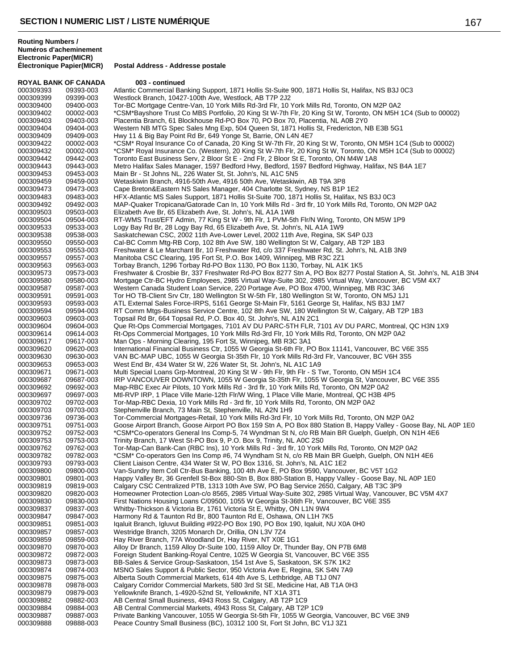| <b>ROYAL BANK OF CANADA</b> |                        | 003 - continued                                                                                                                                                                                                            |
|-----------------------------|------------------------|----------------------------------------------------------------------------------------------------------------------------------------------------------------------------------------------------------------------------|
| 000309393                   | 09393-003              | Atlantic Commercial Banking Support, 1871 Hollis St-Suite 900, 1871 Hollis St, Halifax, NS B3J 0C3                                                                                                                         |
| 000309399                   | 09399-003              | Westlock Branch, 10427-100th Ave, Westlock, AB T7P 2J2                                                                                                                                                                     |
| 000309400                   | 09400-003              | Tor-BC Mortgage Centre-Van, 10 York Mills Rd-3rd Flr, 10 York Mills Rd, Toronto, ON M2P 0A2                                                                                                                                |
| 000309402                   | 00002-003              | *CSM*Bayshore Trust Co MBS Portfolio, 20 King St W-7th Flr, 20 King St W, Toronto, ON M5H 1C4 (Sub to 00002)                                                                                                               |
| 000309403<br>000309404      | 09403-003<br>09404-003 | Placentia Branch, 61 Blockhouse Rd-PO Box 70, PO Box 70, Placentia, NL A0B 2Y0                                                                                                                                             |
| 000309409                   | 09409-003              | Western NB MTG Spec Sales Mng Exp, 504 Queen St, 1871 Hollis St, Fredericton, NB E3B 5G1<br>Hwy 11 & Big Bay Point Rd Br, 649 Yonge St, Barrie, ON L4N 4E7                                                                 |
| 000309422                   | 00002-003              | *CSM* Royal Insurance Co of Canada, 20 King St W-7th Flr, 20 King St W, Toronto, ON M5H 1C4 (Sub to 00002)                                                                                                                 |
| 000309432                   | 00002-003              | *CSM* Royal Insurance Co. (Western), 20 King St W-7th Flr, 20 King St W, Toronto, ON M5H 1C4 (Sub to 00002)                                                                                                                |
| 000309442                   | 09442-003              | Toronto East Business Serv, 2 Bloor St E - 2nd Flr, 2 Bloor St E, Toronto, ON M4W 1A8                                                                                                                                      |
| 000309443                   | 09443-003              | Metro Halifax Sales Manager, 1597 Bedford Hwy, Bedford, 1597 Bedford Highway, Halifax, NS B4A 1E7                                                                                                                          |
| 000309453                   | 09453-003              | Main Br - St Johns NL, 226 Water St, St. John's, NL A1C 5N5                                                                                                                                                                |
| 000309459                   | 09459-003              | Wetaskiwin Branch, 4916-50th Ave, 4916 50th Ave, Wetaskiwin, AB T9A 3P8                                                                                                                                                    |
| 000309473                   | 09473-003              | Cape Breton&Eastern NS Sales Manager, 404 Charlotte St, Sydney, NS B1P 1E2                                                                                                                                                 |
| 000309483                   | 09483-003              | HFX-Atlantic MS Sales Support, 1871 Hollis St-Suite 700, 1871 Hollis St, Halifax, NS B3J 0C3                                                                                                                               |
| 000309492                   | 09492-003              | MAP-Quaker Tropicana/Gatorade Can In, 10 York Mills Rd - 3rd flr, 10 York Mills Rd, Toronto, ON M2P 0A2                                                                                                                    |
| 000309503                   | 09503-003              | Elizabeth Ave Br, 65 Elizabeth Ave, St. John's, NL A1A 1W8                                                                                                                                                                 |
| 000309504                   | 09504-003              | RT-WMS Trust/EFT Admin, 77 King St W - 9th Flr, 1 PVM-5th Flr/N Wing, Toronto, ON M5W 1P9                                                                                                                                  |
| 000309533                   | 09533-003              | Logy Bay Rd Br, 28 Logy Bay Rd, 65 Elizabeth Ave, St. John's, NL A1A 1W9                                                                                                                                                   |
| 000309538                   | 09538-003              | Saskatchewan CSC, 2002 11th Ave-Lower Level, 2002 11th Ave, Regina, SK S4P 0J3                                                                                                                                             |
| 000309550                   | 09550-003              | Cal-BC Comm Mtg-RB Corp, 102 8th Ave SW, 180 Wellington St W, Calgary, AB T2P 1B3                                                                                                                                          |
| 000309553                   | 09553-003              | Freshwater & Le Marchant Br, 10 Freshwater Rd, c/o 337 Freshwater Rd, St. John's, NL A1B 3N9                                                                                                                               |
| 000309557                   | 09557-003              | Manitoba CSC Clearing, 195 Fort St, P.O. Box 1409, Winnipeg, MB R3C 2Z1                                                                                                                                                    |
| 000309563<br>000309573      | 09563-003              | Torbay Branch, 1296 Torbay Rd-PO Box 1130, PO Box 1130, Torbay, NL A1K 1K5                                                                                                                                                 |
| 000309580                   | 09573-003<br>09580-003 | Freshwater & Crosbie Br, 337 Freshwater Rd-PO Box 8277 Stn A, PO Box 8277 Postal Station A, St. John's, NL A1B 3N4<br>Mortgage Ctr-BC Hydro Employees, 2985 Virtual Way-Suite 302, 2985 Virtual Way, Vancouver, BC V5M 4X7 |
| 000309587                   | 09587-003              | Western Canada Student Loan Service, 220 Portage Ave, PO Box 4700, Winnipeg, MB R3C 3A6                                                                                                                                    |
| 000309591                   | 09591-003              | Tor HO TB-Client Srv Ctr, 180 Wellington St W-5th Flr, 180 Wellington St W, Toronto, ON M5J 1J1                                                                                                                            |
| 000309593                   | 09593-003              | ATL External Sales Force-IRPS, 5161 George St-Main Flr, 5161 George St, Halifax, NS B3J 1M7                                                                                                                                |
| 000309594                   | 09594-003              | RT Comm Mtgs-Business Service Centre, 102 8th Ave SW, 180 Wellington St W, Calgary, AB T2P 1B3                                                                                                                             |
| 000309603                   | 09603-003              | Topsail Rd Br, 664 Topsail Rd, P.O. Box 40, St. John's, NL A1N 2C1                                                                                                                                                         |
| 000309604                   | 09604-003              | Que Rt-Ops Commercial Mortgages, 7101 AV DU PARC-5TH FLR, 7101 AV DU PARC, Montreal, QC H3N 1X9                                                                                                                            |
| 000309614                   | 09614-003              | Rt-Ops Commercial Mortgages, 10 York Mills Rd-3rd Flr, 10 York Mills Rd, Toronto, ON M2P 0A2                                                                                                                               |
| 000309617                   | 09617-003              | Man Ops - Morning Clearing, 195 Fort St, Winnipeg, MB R3C 3A1                                                                                                                                                              |
| 000309620                   | 09620-003              | International Financial Business Ctr, 1055 W Georgia St-6th Flr, PO Box 11141, Vancouver, BC V6E 3S5                                                                                                                       |
| 000309630                   | 09630-003              | VAN BC-MAP UBC, 1055 W Georgia St-35th Flr, 10 York Mills Rd-3rd Flr, Vancouver, BC V6H 3S5                                                                                                                                |
| 000309653<br>000309671      | 09653-003<br>09671-003 | West End Br, 434 Water St W, 226 Water St, St. John's, NL A1C 1A9<br>Multi Special Loans Grp-Montreal, 20 King St W - 9th Flr, 9th Flr - S Twr, Toronto, ON M5H 1C4                                                        |
| 000309687                   | 09687-003              | IRP VANCOUVER DOWNTOWN, 1055 W Georgia St-35th Flr, 1055 W Georgia St, Vancouver, BC V6E 3S5                                                                                                                               |
| 000309692                   | 09692-003              | Map-RBC Exec Air Pilots, 10 York Mills Rd - 3rd flr, 10 York Mills Rd, Toronto, ON M2P 0A2                                                                                                                                 |
| 000309697                   | 09697-003              | Mtl-RVP IRP, 1 Place Ville Marie-12th Flr/W Wing, 1 Place Ville Marie, Montreal, QC H3B 4P5                                                                                                                                |
| 000309702                   | 09702-003              | Tor-Map-RBC Dexia, 10 York Mills Rd - 3rd flr, 10 York Mills Rd, Toronto, ON M2P 0A2                                                                                                                                       |
| 000309703                   | 09703-003              | Stephenville Branch, 73 Main St, Stephenville, NL A2N 1H9                                                                                                                                                                  |
| 000309736                   | 09736-003              | Tor-Commercial Mortgages-Retail, 10 York Mills Rd-3rd Flr, 10 York Mills Rd, Toronto, ON M2P 0A2                                                                                                                           |
| 000309751                   | 09751-003              | Goose Airport Branch, Goose Airport PO Box 159 Stn A, PO Box 880 Station B, Happy Valley - Goose Bay, NL A0P 1E0                                                                                                           |
| 000309752                   | 09752-003              | *CSM*Co-operators General Ins Comp-5, 74 Wyndman St N, c/o RB Main BR Guelph, Guelph, ON N1H 4E6                                                                                                                           |
| 000309753                   | 09753-003              | Trinity Branch, 17 West St-PO Box 9, P.O. Box 9, Trinity, NL A0C 2S0                                                                                                                                                       |
| 000309762                   | 09762-003              | Tor-Map-Can Bank-Can (RBC Ins), 10 York Mills Rd - 3rd flr, 10 York Mills Rd, Toronto, ON M2P 0A2                                                                                                                          |
| 000309782<br>000309793      | 09782-003              | *CSM* Co-operators Gen Ins Comp #6, 74 Wyndham St N, c/o RB Main BR Guelph, Guelph, ON N1H 4E6                                                                                                                             |
| 000309800                   | 09793-003<br>09800-003 | Client Liaison Centre, 434 Water St W, PO Box 1316, St. John's, NL A1C 1E2<br>Van-Sundry Item Coll Ctr-Bus Banking, 100 4th Ave E, PO Box 9590, Vancouver, BC V5T 1G2                                                      |
| 000309801                   | 09801-003              | Happy Valley Br, 36 Grenfell St-Box 880-Stn B, Box 880-Station B, Happy Valley - Goose Bay, NL A0P 1E0                                                                                                                     |
| 000309819                   | 09819-003              | Calgary CSC Centralized PTB, 1313 10th Ave SW, PO Bag Service 2650, Calgary, AB T3C 3P9                                                                                                                                    |
| 000309820                   | 09820-003              | Homeowner Protection Loan-c/o 8565, 2985 Virtual Way-Suite 302, 2985 Virtual Way, Vancouver, BC V5M 4X7                                                                                                                    |
| 000309830                   | 09830-003              | First Nations Housing Loans C/09500, 1055 W Georgia St-36th Flr, Vancouver, BC V6E 3S5                                                                                                                                     |
| 000309837                   | 09837-003              | Whitby-Thickson & Victoria Br, 1761 Victoria St E, Whitby, ON L1N 9W4                                                                                                                                                      |
| 000309847                   | 09847-003              | Harmony Rd & Taunton Rd Br, 800 Taunton Rd E, Oshawa, ON L1H 7K5                                                                                                                                                           |
| 000309851                   | 09851-003              | Igaluit Branch, Igluvut Building #922-PO Box 190, PO Box 190, Igaluit, NU X0A 0H0                                                                                                                                          |
| 000309857                   | 09857-003              | Westridge Branch, 3205 Monarch Dr, Orillia, ON L3V 7Z4                                                                                                                                                                     |
| 000309859                   | 09859-003<br>09870-003 | Hay River Branch, 77A Woodland Dr, Hay River, NT X0E 1G1                                                                                                                                                                   |
| 000309870<br>000309872      | 09872-003              | Alloy Dr Branch, 1159 Alloy Dr-Suite 100, 1159 Alloy Dr, Thunder Bay, ON P7B 6M8<br>Foreign Student Banking-Royal Centre, 1025 W Georgia St, Vancouver, BC V6E 3S5                                                         |
| 000309873                   | 09873-003              | BB-Sales & Service Group-Saskatoon, 154 1st Ave S, Saskatoon, SK S7K 1K2                                                                                                                                                   |
| 000309874                   | 09874-003              | MSNO Sales Support & Public Sector, 950 Victoria Ave E, Regina, SK S4N 7A9                                                                                                                                                 |
| 000309875                   | 09875-003              | Alberta South Commercial Markets, 614 4th Ave S, Lethbridge, AB T1J 0N7                                                                                                                                                    |
| 000309878                   | 09878-003              | Calgary Corridor Commercial Markets, 580 3rd St SE, Medicine Hat, AB T1A 0H3                                                                                                                                               |
| 000309879                   | 09879-003              | Yellowknife Branch, 1-4920-52nd St, Yellowknife, NT X1A 3T1                                                                                                                                                                |
| 000309882                   | 09882-003              | AB Central Small Business, 4943 Ross St, Calgary, AB T2P 1C9                                                                                                                                                               |
| 000309884                   | 09884-003              | AB Central Commercial Markets, 4943 Ross St, Calgary, AB T2P 1C9                                                                                                                                                           |
| 000309887                   | 09887-003              | Private Banking Vancouver, 1055 W Georgia St-5th Flr, 1055 W Georgia, Vancouver, BC V6E 3N9                                                                                                                                |
| 000309888                   | 09888-003              | Peace Country Small Business (BC), 10312 100 St, Fort St John, BC V1J 3Z1                                                                                                                                                  |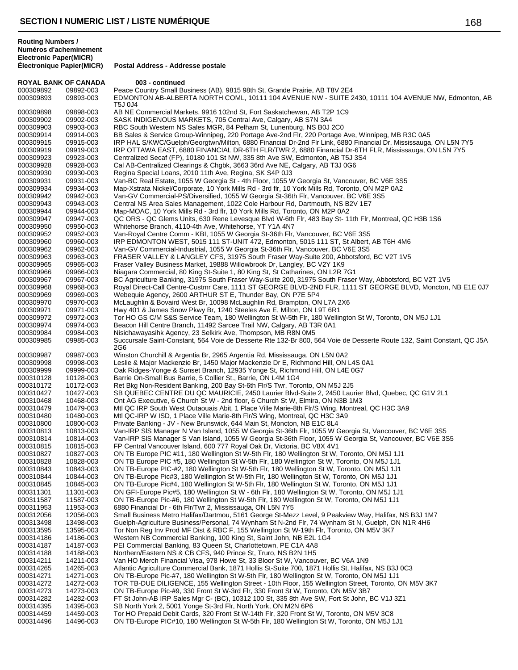**Routing Numbers / Numéros d'acheminement Electronic Paper(MICR)**

**ROYAL BANK OF CANADA 003 - continued**<br>000309892 09892-003 Peace Country Small Bu 000309892 09892-003 Peace Country Small Business (AB), 9815 98th St, Grande Prairie, AB T8V 2E4<br>000309893 09893-003 EDMONTON AB-ALBERTA NORTH COML, 10111 104 AVENUE NW - SUITE 2 EDMONTON AB-ALBERTA NORTH COML, 10111 104 AVENUE NW - SUITE 2430, 10111 104 AVENUE NW, Edmonton, AB T5J 0J4 000309898 09898-003 AB NE Commercial Markets, 9916 102nd St, Fort Saskatchewan, AB T2P 1C9 000309902 09902-003 SASK INDIGENOUS MARKETS, 705 Central Ave, Calgary, AB S7N 3A4 000309903 09903-003 RBC South Western NS Sales MGR, 84 Pelham St, Lunenburg, NS B0J 2C0 000309914 09914-003 BB Sales & Service Group-Winnipeg, 220 Portage Ave-2nd Flr, 220 Portage Ave, Winnipeg, MB R3C 0A5 000309915 09915-003 IRP HAL S/KWC/Guelph/Georgtwn/Milton, 6880 Financial Dr-2nd Flr Link, 6880 Financial Dr, Mississauga, ON L5N 7Y5 000309919 09919-003 IRP OTTAWA EAST, 6880 FINANCIAL DR-6TH FLR/TWR 2, 6880 Financial Dr-6TH FLR, Mississauga, ON L5N 7Y5 000309923 09923-003 Centralized Secaf (FP), 10180 101 St NW, 335 8th Ave SW, Edmonton, AB T5J 3S4 000309928 09928-003 Cal AB-Centralized Clearings & Chgbk, 3663 36rd Ave NE, Calgary, AB T3J 0G6 000309930 09930-003 Regina Special Loans, 2010 11th Ave, Regina, SK S4P 0J3 09931-003 Van-BC Real Estate, 1055 W Georgia St - 4th Floor, 1055 W Georgia St, Vancouver, BC V6E 3S5 000309934 09934-003 Map-Xstrata Nickel/Corporate, 10 York Mills Rd - 3rd flr, 10 York Mills Rd, Toronto, ON M2P 0A2 000309942 09942-003 Van-GV Commercial-PS/Diversified, 1055 W Georgia St-36th Flr, Vancouver, BC V6E 3S5<br>000309943 09943-003 Central NS Area Sales Management, 1022 Cole Harbour Rd, Dartmouth, NS B2V 1E7 Central NS Area Sales Management, 1022 Cole Harbour Rd, Dartmouth, NS B2V 1E7 000309944 09944-003 Map-MOAC, 10 York Mills Rd - 3rd flr, 10 York Mills Rd, Toronto, ON M2P 0A2 000309947 09947-003 QC ORS - QC Glems Units, 630 Rene Levesque Blvd W-6th Flr, 483 Bay St- 11th Flr, Montreal, QC H3B 1S6 000309950 09950-003 Whitehorse Branch, 4110-4th Ave, Whitehorse, YT Y1A 4N7 000309952 09952-003 Van-Royal Centre Comm - KBI, 1055 W Georgia St-36th Flr, Vancouver, BC V6E 3S5<br>000309960 09960-003 IRP EDMONTON WEST, 5015 111 ST-UNIT 472, Edmonton, 5015 111 ST, St Albert, 09960-003 IRP EDMONTON WEST, 5015 111 ST-UNIT 472, Edmonton, 5015 111 ST, St Albert, AB T6H 4M6 000309962 09962-003 Van-GV Commercial-Industrial, 1055 W Georgia St-36th Flr, Vancouver, BC V6E 3S5 000309963 09963-003 FRASER VALLEY & LANGLEY CFS, 31975 South Fraser Way-Suite 200, Abbotsford, BC V2T 1V5 000309965 09965-003 Fraser Valley Business Market, 19888 Willowbrook Dr, Langley, BC V2Y 1K9 000309966 09966-003 Niagara Commercial, 80 King St-Suite 1, 80 King St, St Catharines, ON L2R 7G1 09967-003 BC Agriculture Banking, 31975 South Fraser Way-Suite 200, 31975 South Fraser Way, Abbotsford, BC V2T 1V5 000309968 09968-003 Royal Direct-Call Centre-Custmr Care, 1111 ST GEORGE BLVD-2ND FLR, 1111 ST GEORGE BLVD, Moncton, NB E1E 0J7 000309969 09969-003 Webequie Agency, 2600 ARTHUR ST E, Thunder Bay, ON P7E 5P4 000309970 09970-003 McLaughlin & Bovaird West Br, 10098 McLaughlin Rd, Brampton, ON L7A 2X6 000309971 09971-003 Hwy 401 & James Snow Pkwy Br, 1240 Steeles Ave E, Milton, ON L9T 6R1 000309972 09972-003 Tor HO GS C/M S&S Service Team, 180 Wellington St W-5th Flr, 180 Wellington St W, Toronto, ON M5J 1J1 000309974 09974-003 Beacon Hill Centre Branch, 11492 Sarcee Trail NW, Calgary, AB T3R 0A1 000309984 09984-003 Nisichawayasihk Agency, 23 Selkirk Ave, Thompson, MB R8N 0M5 000309985 09985-003 Succursale Saint-Constant, 564 Voie de Desserte Rte 132-Br 800, 564 Voie de Desserte Route 132, Saint Constant, QC J5A 2G6 000309987 09987-003 Winston Churchill & Argentia Br, 2965 Argentia Rd, Mississauga, ON L5N 0A2<br>000309998 09998-003 Leslie & Maior Mackenzie Br. 1450 Maior Mackenzie Dr E. Richmond Hill. ON I Leslie & Major Mackenzie Br, 1450 Major Mackenzie Dr E, Richmond Hill, ON L4S 0A1 000309999 09999-003 Oak Ridges-Yonge & Sunset Branch, 12935 Yonge St, Richmond Hill, ON L4E 0G7<br>000310128 10128-003 Barrie On-Small Bus Barrie, 5 Collier St., Barrie, ON L4M 1G4 000310128 10128-003 Barrie On-Small Bus Barrie, 5 Collier St., Barrie, ON L4M 1G4 000310172 10172-003 Ret Bkg Non-Resident Banking, 200 Bay St-6th Flr/S Twr, Toronto, ON M5J 2J5<br>000310427 10427-003 SB QUEBEC CENTRE DU QC MAURICIE, 2450 Laurier Blvd-Suite 2, 2450 Lau 000310427 10427-003 SB QUEBEC CENTRE DU QC MAURICIE, 2450 Laurier Blvd-Suite 2, 2450 Laurier Blvd, Quebec, QC G1V 2L1<br>000310468 10468-003 Ont AG Executive 6 Church St W - 2nd floor 6 Church St W. Elmira. ON N3B 1M3 000310468 10468-003 Ont AG Executive, 6 Church St W - 2nd floor, 6 Church St W, Elmira, ON N3B 1M3<br>000310479 10479-003 Mtl QC IRP South West Outaouais Abit, 1 Place Ville Marie-8th Flr/S Wing, Montrea 000310479 10479-003 Mtl QC IRP South West Outaouais Abit, 1 Place Ville Marie-8th Flr/S Wing, Montreal, QC H3C 3A9<br>000310480 10480-003 Mtl QC-IRP W ISD, 1 Place Ville Marie-8th Flr/S Wing, Montreal, QC H3C 3A9 000310480 10480-003 Mtl QC-IRP W ISD, 1 Place Ville Marie-8th Flr/S Wing, Montreal, QC H3C 3A9<br>000310800 10800-003 Private Banking - JV - New Brunswick, 644 Main St, Moncton, NB E1C 8L4 000310800 10800-003 Private Banking - JV - New Brunswick, 644 Main St, Moncton, NB E1C 8L4 000310813 10813-003 Van-IRP SlS Manager N Van Island, 1055 W Georgia St-36th Flr, 1055 W Georgia St, Vancouver, BC V6E 3S5 000310814 10814-003 Van-IRP SIS Manager S Van Island, 1055 W Georgia St-36th Floor, 1055 W Georgia St, Vancouver, BC V6E 3S5<br>000310815 10815-003 FP Central Vancouver Island, 600 777 Royal Oak Dr, Victoria, BC V8X 4V1 000310815 10815-003 FP Central Vancouver Island, 600 777 Royal Oak Dr, Victoria, BC V8X 4V1<br>000310827 10827-003 ON TB Europe PIC #11. 180 Wellington St W-5th Flr. 180 Wellington St W. ON TB Europe PIC #11, 180 Wellington St W-5th Flr, 180 Wellington St W, Toronto, ON M5J 1J1 000310828 10828-003 ON TB Europe PIC #5, 180 Wellington St W-5th Flr, 180 Wellington St W, Toronto, ON M5J 1J1<br>000310843 10843-003 ON TB-Europe PIC-#2, 180 Wellington St W-5th Flr, 180 Wellington St W, Toronto, ON M5J 1J1 000310843 10843-003 ON TB-Europe PIC-#2, 180 Wellington St W-5th Flr, 180 Wellington St W, Toronto, ON M5J 1J1<br>000310844 10844-003 ON TB-Europe Pic#3, 180 Wellington St W-5th Flr, 180 Wellington St W, Toronto, ON M5J 1J1 000310844 10844-003 ON TB-Europe Pic#3, 180 Wellington St W-5th Flr, 180 Wellington St W, Toronto, ON M5J 1J1<br>000310845 10845-003 ON TB-Europe Pic#4, 180 Wellington St W-5th Flr, 180 Wellington St W, Toronto, ON M5J 1J1 000310845 10845-003 ON TB-Europe Pic#4, 180 Wellington St W-5th Flr, 180 Wellington St W, Toronto, ON M5J 1J1<br>000311301 11301-003 ON GFI-Europe Pic#5, 180 Wellington St W - 6th Flr, 180 Wellington St W, Toronto, ON M5J 1 ON GFI-Europe Pic#5, 180 Wellington St W - 6th Flr, 180 Wellington St W, Toronto, ON M5J 1J1 000311587 11587-003 ON TB-Europe Pic-#6, 180 Wellington St W-5th Flr, 180 Wellington St W, Toronto, ON M5J 1J1<br>000311953 11953-003 6880 Financial Dr - 6th Flr/Twr 2, Mississauga, ON L5N 7Y5 000311953 11953-003 6880 Financial Dr - 6th Flr/Twr 2, Mississauga, ON L5N 7Y5 000312056 12056-003 Small Business Metro Halifax/Dartmou, 5161 George St-Mezz Level, 9 Peakview Way, Halifax, NS B3J 1M7<br>000313498 13498-003 Guelph-Agriculture Business/Personal, 74 Wynham St N-2nd Flr, 74 Wynham St N, Gue 000313498 13498-003 Guelph-Agriculture Business/Personal, 74 Wynham St N-2nd Flr, 74 Wynham St N, Guelph, ON N1R 4H6<br>000313595 13595-003 Tor Non Rea Inv Prod MF Dist & RBC F. 155 Wellington St W-19th Flr. Toronto. ON M5V 3 000313595 13595-003 Tor Non Reg Inv Prod MF Dist & RBC F, 155 Wellington St W-19th Flr, Toronto, ON M5V 3K7 000314186 14186-003 Western NB Commercial Banking, 100 King St, Saint John, NB E2L 1G4<br>000314187 14187-003 PEI Commercial Banking, 83 Queen St, Charlottetown, PE C1A 4A8 000314187 14187-003 PEI Commercial Banking, 83 Queen St, Charlottetown, PE C1A 4A8<br>000314188 14188-003 Northern/Eastern NS & CB CFS, 940 Prince St, Truro, NS B2N 1H5 000314188 14188-003 Northern/Eastern NS & CB CFS, 940 Prince St, Truro, NS B2N 1H5<br>000314211 14211-003 Van HO Merch Financial Visa. 978 Howe St. 33 Bloor St W. Vancou 000314211 14211-003 Van HO Merch Financial Visa, 978 Howe St, 33 Bloor St W, Vancouver, BC V6A 1N9<br>000314265 14265-003 Atlantic Agriculture Commercial Bank, 1871 Hollis St-Suite 700, 1871 Hollis St, Halifax 000314265 14265-003 Atlantic Agriculture Commercial Bank, 1871 Hollis St-Suite 700, 1871 Hollis St, Halifax, NS B3J 0C3<br>000314271 14271-003 ON TB-Europe Pic-#7, 180 Wellington St W-5th Flr, 180 Wellington St W, Toronto, ON 000314271 14271-003 ON TB-Europe Pic-#7, 180 Wellington St W-5th Flr, 180 Wellington St W, Toronto, ON M5J 1J1<br>000314272 14272-003 TOR TB-DUE DILIGENCE, 155 Wellington Street - 10th Floor, 155 Wellington Street, Toronto, TOR TB-DUE DILIGENCE, 155 Wellington Street - 10th Floor, 155 Wellington Street, Toronto, ON M5V 3K7 000314273 14273-003 ON TB-Europe Pic-#9, 330 Front St W-3rd Flr, 330 Front St W, Toronto, ON M5V 3B7<br>000314282 14282-003 FT St John-AB IRP Sales Mgr C- (BC), 10312 100 St, 335 8th Ave SW, Fort St John, I 14282-003 FT St John-AB IRP Sales Mgr C- (BC), 10312 100 St, 335 8th Ave SW, Fort St John, BC V1J 3Z1<br>14395-003 SB North York 2, 5001 Yonge St-3rd Flr, North York, ON M2N 6P6 000314395 14395-003 SB North York 2, 5001 Yonge St-3rd Flr, North York, ON M2N 6P6<br>000314459 14459-003 Tor HO Prepaid Debit Cards, 320 Front St W-14th Flr, 320 Front St 000314459 14459-003 Tor HO Prepaid Debit Cards, 320 Front St W-14th Flr, 320 Front St W, Toronto, ON M5V 3C8<br>000314496 14496-003 ON TB-Europe PIC#10, 180 Wellington St W-5th Flr, 180 Wellington St W, Toronto, ON M5J 1 ON TB-Europe PIC#10, 180 Wellington St W-5th Flr, 180 Wellington St W, Toronto, ON M5J 1J1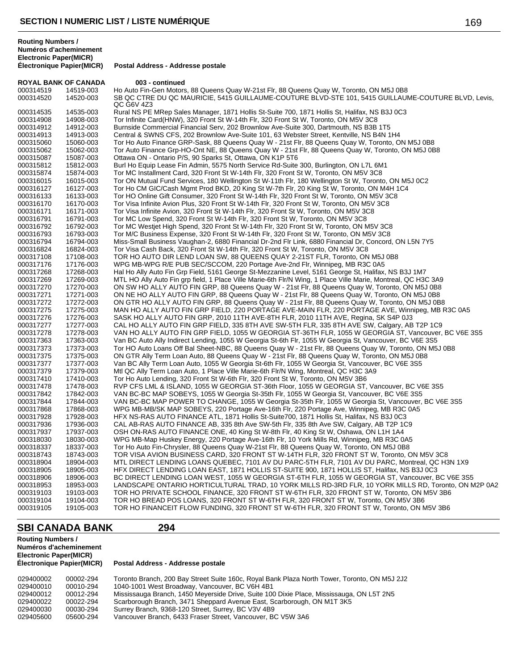**Postal Address - Addresse postale** 

| <b>ROYAL BANK OF CANADA</b> |           | 003 - continued                                                                                                   |
|-----------------------------|-----------|-------------------------------------------------------------------------------------------------------------------|
| 000314519                   | 14519-003 | Ho Auto Fin-Gen Motors, 88 Queens Quay W-21st Flr, 88 Queens Quay W, Toronto, ON M5J 0B8                          |
| 000314520                   | 14520-003 | SB QC CTRE DU QC MAURICIE, 5415 GUILLAUME-COUTURE BLVD-STE 101, 5415 GUILLAUME-COUTURE BLVD, Levis,<br>QC G6V 4Z3 |
| 000314535                   | 14535-003 | Rural NS PE MRep Sales Manager, 1871 Hollis St-Suite 700, 1871 Hollis St, Halifax, NS B3J 0C3                     |
| 000314908                   | 14908-003 | Tor Infinite Card(HNW), 320 Front St W-14th Flr, 320 Front St W, Toronto, ON M5V 3C8                              |
| 000314912                   | 14912-003 | Burnside Commercial Financial Serv, 202 Brownlow Ave-Suite 300, Dartmouth, NS B3B 1T5                             |
| 000314913                   | 14913-003 | Central & SWNS CFS, 202 Brownlow Ave-Suite 101, 63 Webster Street, Kentville, NS B4N 1H4                          |
| 000315060                   | 15060-003 | Tor Ho Auto Finance GRP-Sask, 88 Queens Quay W - 21st Flr, 88 Queens Quay W, Toronto, ON M5J 0B8                  |
| 000315062                   | 15062-003 | Tor Auto Finance Grp-HO-Ont NE, 88 Queens Quay W - 21st Flr, 88 Queens Quay W, Toronto, ON M5J 0B8                |
| 000315087                   | 15087-003 | Ottawa ON - Ontario P/S, 90 Sparks St, Ottawa, ON K1P 5T6                                                         |
| 000315812                   | 15812-003 | Burl Ho Equip Lease Fin Admin, 5575 North Service Rd-Suite 300, Burlington, ON L7L 6M1                            |
| 000315874                   | 15874-003 | Tor MC Installment Card, 320 Front St W-14th Flr, 320 Front St W, Toronto, ON M5V 3C8                             |
| 000316015                   | 16015-003 | Tor ON Mutual Fund Services, 180 Wellington St W-11th Flr, 180 Wellington St W, Toronto, ON M5J 0C2               |
| 000316127                   | 16127-003 | Tor Ho CM GIC/Cash Mgmt Prod BKD, 20 King St W-7th Flr, 20 King St W, Toronto, ON M4H 1C4                         |
| 000316133                   | 16133-003 | Tor HO Online Gift Consumer, 320 Front St W-14th Flr, 320 Front St W, Toronto, ON M5V 3C8                         |
| 000316170                   | 16170-003 | Tor Visa Infinite Avion Plus, 320 Front St W-14th Flr, 320 Front St W, Toronto, ON M5V 3C8                        |
| 000316171                   | 16171-003 | Tor Visa Infinite Avion, 320 Front St W-14th Flr, 320 Front St W, Toronto, ON M5V 3C8                             |
| 000316791                   | 16791-003 | Tor MC Low Spend, 320 Front St W-14th Flr, 320 Front St W, Toronto, ON M5V 3C8                                    |
| 000316792                   | 16792-003 | Tor MC Westjet High Spend, 320 Front St W-14th Flr, 320 Front St W, Toronto, ON M5V 3C8                           |
| 000316793                   | 16793-003 | Tor M/C Business Expense, 320 Front St W-14th Flr, 320 Front St W, Toronto, ON M5V 3C8                            |
| 000316794                   | 16794-003 | Miss-Small Business Vaughan-2, 6880 Financial Dr-2nd Flr Link, 6880 Financial Dr, Concord, ON L5N 7Y5             |
| 000316824                   | 16824-003 | Tor Visa Cash Back, 320 Front St W-14th Flr, 320 Front St W, Toronto, ON M5V 3C8                                  |
|                             | 17108-003 |                                                                                                                   |
| 000317108                   |           | TOR HO AUTO DIR LEND LOAN SW, 88 QUEENS QUAY 2-21ST FLR, Toronto, ON M5J 0B8                                      |
| 000317176                   | 17176-003 | WPG MB-WPG R/E PUB SEC/SCCOM, 220 Portage Ave-2nd Flr, Winnipeg, MB R3C 0A5                                       |
| 000317268                   | 17268-003 | Hal Ho Ally Auto Fin Grp Field, 5161 George St-Mezzanine Level, 5161 George St, Halifax, NS B3J 1M7               |
| 000317269                   | 17269-003 | MTL HO Ally Auto Fin grp field, 1 Place Ville Marie-6th Flr/N Wing, 1 Place Ville Marie, Montreal, QC H3C 3A9     |
| 000317270                   | 17270-003 | ON SW HO ALLY AUTO FIN GRP, 88 Queens Quay W - 21st Flr, 88 Queens Quay W, Toronto, ON M5J 0B8                    |
| 000317271                   | 17271-003 | ON NE HO ALLY AUTO FIN GRP, 88 Queens Quay W - 21st Flr, 88 Queens Quay W, Toronto, ON M5J 0B8                    |
| 000317272                   | 17272-003 | ON GTR HO ALLY AUTO FIN GRP, 88 Queens Quay W - 21st Flr, 88 Queens Quay W, Toronto, ON M5J 0B8                   |
| 000317275                   | 17275-003 | MAN HO ALLY AUTO FIN GRP FIELD, 220 PORTAGE AVE-MAIN FLR, 220 PORTAGE AVE, Winnipeg, MB R3C 0A5                   |
| 000317276                   | 17276-003 | SASK HO ALLY AUTO FIN GRP, 2010 11TH AVE-8TH FLR, 2010 11TH AVE, Regina, SK S4P 0J3                               |
| 000317277                   | 17277-003 | CAL HO ALLY AUTO FIN GRP FIELD, 335 8TH AVE SW-5TH FLR, 335 8TH AVE SW, Calgary, AB T2P 1C9                       |
| 000317278                   | 17278-003 | VAN HO ALLY AUTO FIN GRP FIELD, 1055 W GEORGIA ST-36TH FLR, 1055 W GEORGIA ST, Vancouver, BC V6E 3S5              |
| 000317363                   | 17363-003 | Van BC Auto Ally Indirect Lending, 1055 W Georgia St-6th Flr, 1055 W Georgia St, Vancouver, BC V6E 3S5            |
| 000317373                   | 17373-003 | Tor HO Auto Loans Off Bal Sheet-NBC, 88 Queens Quay W - 21st Flr, 88 Queens Quay W, Toronto, ON M5J 0B8           |
| 000317375                   | 17375-003 | ON GTR Ally Term Loan Auto, 88 Queens Quay W - 21st Flr, 88 Queens Quay W, Toronto, ON M5J 0B8                    |
| 000317377                   | 17377-003 | Van BC Ally Term Loan Auto, 1055 W Georgia St-6th Flr, 1055 W Georgia St, Vancouver, BC V6E 3S5                   |
| 000317379                   | 17379-003 | Mtl QC Ally Term Loan Auto, 1 Place Ville Marie-6th Flr/N Wing, Montreal, QC H3C 3A9                              |
| 000317410                   | 17410-003 | Tor Ho Auto Lending, 320 Front St W-6th Flr, 320 Front St W, Toronto, ON M5V 3B6                                  |
| 000317478                   | 17478-003 | RVP CFS LML & ISLAND, 1055 W GEORGIA ST-36th Floor, 1055 W GEORGIA ST, Vancouver, BC V6E 3S5                      |
| 000317842                   | 17842-003 | VAN BC-BC MAP SOBEYS, 1055 W Georgia St-35th Flr, 1055 W Georgia St, Vancouver, BC V6E 3S5                        |
| 000317844                   | 17844-003 | VAN BC-BC MAP POWER TO CHANGE, 1055 W Georgia St-35th Flr, 1055 W Georgia St, Vancouver, BC V6E 3S5               |
| 000317868                   | 17868-003 | WPG MB-MB/SK MAP SOBEYS, 220 Portage Ave-16th Flr, 220 Portage Ave, Winnipeg, MB R3C 0A5                          |
| 000317928                   | 17928-003 | HFX NS-RAS AUTO FINANCE ATL, 1871 Hollis St-Suite700, 1871 Hollis St, Halifax, NS B3J 0C3                         |
| 000317936                   | 17936-003 | CAL AB-RAS AUTO FINANCE AB, 335 8th Ave SW-5th Flr, 335 8th Ave SW, Calgary, AB T2P 1C9                           |
| 000317937                   | 17937-003 | OSH ON-RAS AUTO FINANCE ONE, 40 King St W-8th Flr, 40 King St W, Oshawa, ON L1H 1A4                               |
| 000318030                   | 18030-003 | WPG MB-Map Huskey Energy, 220 Portage Ave-16th Flr, 10 York Mills Rd, Winnipeg, MB R3C 0A5                        |
| 000318337                   | 18337-003 | Tor Ho Auto Fin-Chrysler, 88 Queens Quay W-21st Flr, 88 Queens Quay W, Toronto, ON M5J 0B8                        |
| 000318743                   | 18743-003 | TOR VISA AVION BUSINESS CARD, 320 FRONT ST W-14TH FLR, 320 FRONT ST W, Toronto, ON M5V 3C8                        |
| 000318904                   | 18904-003 | MTL DIRECT LENDING LOANS QUEBEC, 7101 AV DU PARC-5TH FLR, 7101 AV DU PARC, Montreal, QC H3N 1X9                   |
| 000318905                   | 18905-003 | HFX DIRECT LENDING LOAN EAST, 1871 HOLLIS ST-SUITE 900, 1871 HOLLIS ST, Halifax, NS B3J 0C3                       |
| 000318906                   | 18906-003 | BC DIRECT LENDING LOAN WEST, 1055 W GEORGIA ST-6TH FLR, 1055 W GEORGIA ST, Vancouver, BC V6E 3S5                  |
| 000318953                   | 18953-003 | LANDSCAPE ONTARIO HORTICULTURAL TRAD, 10 YORK MILLS RD-3RD FLR, 10 YORK MILLS RD, Toronto, ON M2P 0A2             |
| 000319103                   | 19103-003 | TOR HO PRIVATE SCHOOL FINANCE, 320 FRONT ST W-6TH FLR, 320 FRONT ST W, Toronto, ON M5V 3B6                        |
| 000319104                   | 19104-003 | TOR HO BREAD POS LOANS, 320 FRONT ST W-6TH FLR, 320 FRONT ST W, Toronto, ON M5V 3B6                               |
| 000319105                   | 19105-003 | TOR HO FINANCEIT FLOW FUNDING, 320 FRONT ST W-6TH FLR, 320 FRONT ST W, Toronto, ON M5V 3B6                        |

# **SBI CANADA BANK 294**

## **Routing Numbers / Numéros d'acheminement Electronic Paper(MICR)**

| 029400002<br>029400010 | 00002-294<br>00010-294 | Toronto Branch, 200 Bay Street Suite 160c, Royal Bank Plaza North Tower, Toronto, ON M5J 2J2<br>1040-1001 West Broadway, Vancouver, BC V6H 4B1 |
|------------------------|------------------------|------------------------------------------------------------------------------------------------------------------------------------------------|
| 029400012              | 00012-294              | Mississauga Branch, 1450 Meyerside Drive, Suite 100 Dixie Place, Mississauga, ON L5T 2N5                                                       |
| 029400022              | 00022-294              | Scarborough Branch, 3471 Sheppard Avenue East, Scarborough, ON M1T 3K5                                                                         |
| 029400030              | 00030-294              | Surrey Branch, 9368-120 Street, Surrey, BC V3V 4B9                                                                                             |
| 029405600              | 05600-294              | Vancouver Branch, 6433 Fraser Street, Vancouver, BC V5W 3A6                                                                                    |
|                        |                        |                                                                                                                                                |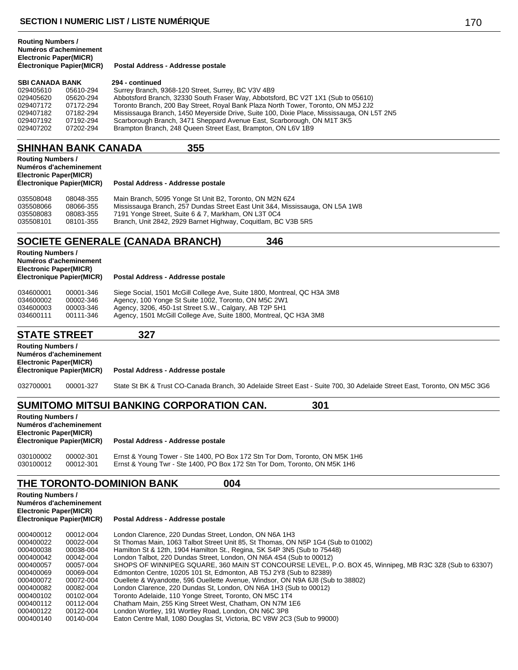**Postal Address - Addresse postale** 

| <b>SBI CANADA BANK</b> |           | 294 - continued                                                                           |
|------------------------|-----------|-------------------------------------------------------------------------------------------|
| 029405610              | 05610-294 | Surrey Branch, 9368-120 Street, Surrey, BC V3V 4B9                                        |
| 029405620              | 05620-294 | Abbotsford Branch, 32330 South Fraser Way, Abbotsford, BC V2T 1X1 (Sub to 05610)          |
| 029407172              | 07172-294 | Toronto Branch, 200 Bay Street, Royal Bank Plaza North Tower, Toronto, ON M5J 2J2         |
| 029407182              | 07182-294 | Mississauga Branch, 1450 Meyerside Drive, Suite 100, Dixie Place, Mississauga, ON L5T 2N5 |
| 029407192              | 07192-294 | Scarborough Branch, 3471 Sheppard Avenue East, Scarborough, ON M1T 3K5                    |
| 029407202              | 07202-294 | Brampton Branch, 248 Queen Street East, Brampton, ON L6V 1B9                              |

## **SHINHAN BANK CANADA 355**

| <b>Routing Numbers /</b><br>Electronic Paper(MICR) | Numéros d'acheminement<br>Électronique Papier(MICR) | Postal Address - Addresse postale                       |
|----------------------------------------------------|-----------------------------------------------------|---------------------------------------------------------|
| 035508048<br>---------                             | 08048-355<br>                                       | Main Branch, 5095 Yonge St Unit B2, Toronto, ON M2N 6Z4 |

| <u>UJJJUOU40</u> | <u>00040-999</u> | <b>Mail Dialich, 3093 Tunge St Unit DZ, Tulufitu, ON MZN 024</b>             |
|------------------|------------------|------------------------------------------------------------------------------|
| 035508066        | 08066-355        | Mississauga Branch, 257 Dundas Street East Unit 3&4, Mississauga, ON L5A 1W8 |
| 035508083        | 08083-355        | 7191 Yonge Street, Suite 6 & 7, Markham, ON L3T 0C4                          |
| 035508101        | 08101-355        | Branch, Unit 2842, 2929 Barnet Highway, Coquitlam, BC V3B 5R5                |
|                  |                  |                                                                              |

# **SOCIETE GENERALE (CANADA BRANCH) 346**

| <b>Routing Numbers /</b><br>Numéros d'acheminement<br><b>Electronic Paper(MICR)</b><br>Electronique Papier(MICR) |           | Postal Address - Addresse postale                                       |  |  |
|------------------------------------------------------------------------------------------------------------------|-----------|-------------------------------------------------------------------------|--|--|
| 034600001                                                                                                        | 00001-346 | Siege Social, 1501 McGill College Ave, Suite 1800, Montreal, QC H3A 3M8 |  |  |
| 034600002                                                                                                        | 00002-346 | Agency, 100 Yonge St Suite 1002, Toronto, ON M5C 2W1                    |  |  |
| 034600003                                                                                                        | 00003-346 | Agency, 3206, 450-1st Street S.W., Calgary, AB T2P 5H1                  |  |  |
| 034600111                                                                                                        | 00111-346 | Agency, 1501 McGill College Ave, Suite 1800, Montreal, QC H3A 3M8       |  |  |

## **STATE STREET 327**

| <b>Routing Numbers /</b><br>Numéros d'acheminement<br><b>Electronic Paper(MICR)</b><br>Électronique Papier(MICR) |           | Postal Address - Addresse postale                                                                                       |
|------------------------------------------------------------------------------------------------------------------|-----------|-------------------------------------------------------------------------------------------------------------------------|
| 032700001                                                                                                        | 00001-327 | State St BK & Trust CO-Canada Branch, 30 Adelaide Street East - Suite 700, 30 Adelaide Street East, Toronto, ON M5C 3G6 |

# **SUMITOMO MITSUI BANKING CORPORATION CAN. 301**

| <b>Routing Numbers /</b><br>Numéros d'acheminement<br><b>Electronic Paper(MICR)</b><br>Electronique Papier(MICR) |           | Postal Address - Addresse postale                                           |  |
|------------------------------------------------------------------------------------------------------------------|-----------|-----------------------------------------------------------------------------|--|
| 030100002                                                                                                        | 00002-301 | Ernst & Young Tower - Ste 1400, PO Box 172 Stn Tor Dom, Toronto, ON M5K 1H6 |  |
| 030100012                                                                                                        | 00012-301 | Ernst & Young Twr - Ste 1400, PO Box 172 Stn Tor Dom, Toronto, ON M5K 1H6   |  |

### THE TORONTO-DOMINION BANK 004

| <b>Routing Numbers /</b><br>Numéros d'acheminement<br><b>Electronic Paper(MICR)</b><br><b>Électronique Papier(MICR)</b> |           | Postal Address - Addresse postale                                                                       |  |  |
|-------------------------------------------------------------------------------------------------------------------------|-----------|---------------------------------------------------------------------------------------------------------|--|--|
| 000400012                                                                                                               | 00012-004 | London Clarence, 220 Dundas Street, London, ON N6A 1H3                                                  |  |  |
| 000400022                                                                                                               | 00022-004 | St Thomas Main, 1063 Talbot Street Unit 85, St Thomas, ON N5P 1G4 (Sub to 01002)                        |  |  |
| 000400038                                                                                                               | 00038-004 | Hamilton St & 12th, 1904 Hamilton St., Regina, SK S4P 3N5 (Sub to 75448)                                |  |  |
| 000400042                                                                                                               | 00042-004 | London Talbot, 220 Dundas Street, London, ON N6A 4S4 (Sub to 00012)                                     |  |  |
| 000400057                                                                                                               | 00057-004 | SHOPS OF WINNIPEG SQUARE, 360 MAIN ST CONCOURSE LEVEL, P.O. BOX 45, Winnipeg, MB R3C 3Z8 (Sub to 63307) |  |  |
| 000400069                                                                                                               | 00069-004 | Edmonton Centre, 10205 101 St, Edmonton, AB T5J 2Y8 (Sub to 82389)                                      |  |  |
| 000400072                                                                                                               | 00072-004 | Ouellete & Wyandotte, 596 Ouellette Avenue, Windsor, ON N9A 6J8 (Sub to 38802)                          |  |  |
| 000400082                                                                                                               | 00082-004 | London Clarence, 220 Dundas St, London, ON N6A 1H3 (Sub to 00012)                                       |  |  |
| 000400102                                                                                                               | 00102-004 | Toronto Adelaide, 110 Yonge Street, Toronto, ON M5C 1T4                                                 |  |  |
| 000400112                                                                                                               | 00112-004 | Chatham Main, 255 King Street West, Chatham, ON N7M 1E6                                                 |  |  |
| 000400122                                                                                                               | 00122-004 | London Wortley, 191 Wortley Road, London, ON N6C 3P8                                                    |  |  |
| 000400140                                                                                                               | 00140-004 | Eaton Centre Mall, 1080 Douglas St, Victoria, BC V8W 2C3 (Sub to 99000)                                 |  |  |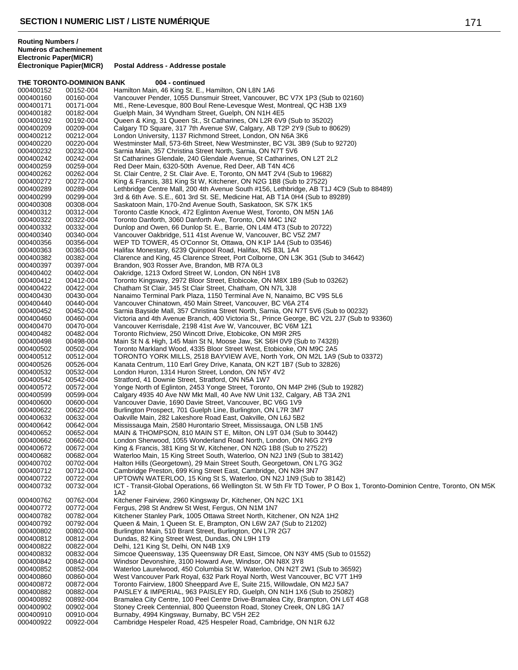#### **THE TORONTO-DOMINION BANK 004 - continued** 000400152 00152-004 Hamilton Main, 46 King St. E., Hamilton, ON L8N 1A6 000400160 00160-004 Vancouver Pender, 1055 Dunsmuir Street, Vancouver, BC V7X 1P3 (Sub to 02160)<br>000400171 00171-004 Mtl.. Rene-Levesque. 800 Boul Rene-Levesque West. Montreal. QC H3B 1X9 Mtl., Rene-Levesque, 800 Boul Rene-Levesque West, Montreal, QC H3B 1X9 000400182 00182-004 Guelph Main, 34 Wyndham Street, Guelph, ON N1H 4E5 000400192 00192-004 Queen & King, 31 Queen St., St Catharines, ON L2R 6V9 (Sub to 35202) 000400209 00209-004 Calgary TD Square, 317 7th Avenue SW, Calgary, AB T2P 2Y9 (Sub to 80629)<br>000400212 00212-004 London University, 1137 Richmond Street, London, ON N6A 3K6 000400212 00212-004 London University, 1137 Richmond Street, London, ON N6A 3K6 Westminster Mall, 573-6th Street, New Westminster, BC V3L 3B9 (Sub to 92720) 000400232 00232-004 Sarnia Main, 357 Christina Street North, Sarnia, ON N7T 5V6 000400242 00242-004 St Catharines Glendale, 240 Glendale Avenue, St Catharines, ON L2T 2L2<br>000400259 00259-004 Red Deer Main, 6320-50th Avenue, Red Deer, AB T4N 4C6 000400259 00259-004 Red Deer Main, 6320-50th Avenue, Red Deer, AB T4N 4C6 000400262 00262-004 St. Clair Centre, 2 St. Clair Ave. E, Toronto, ON M4T 2V4 (Sub to 19682)<br>000400272 00272-004 King & Francis, 381 King St W. Kitchener, ON N2G 1B8 (Sub to 27522) 000400272 00272-004 King & Francis, 381 King St W, Kitchener, ON N2G 1B8 (Sub to 27522)<br>000400289 00289-004 Lethbridge Centre Mall, 200 4th Avenue South #156, Lethbridge, AB T1 000400289 00289-004 Lethbridge Centre Mall, 200 4th Avenue South #156, Lethbridge, AB T1J 4C9 (Sub to 88489)<br>000400299 00299-004 3rd & 6th Ave. S.E., 601 3rd St. SE, Medicine Hat, AB T1A 0H4 (Sub to 89289) 3rd & 6th Ave. S.E., 601 3rd St. SE, Medicine Hat, AB T1A 0H4 (Sub to 89289) 000400308 00308-004 Saskatoon Main, 170-2nd Avenue South, Saskatoon, SK S7K 1K5 000400312 00312-004 Toronto Castle Knock, 472 Eglinton Avenue West, Toronto, ON M5N 1A6 000400322 00322-004 Toronto Danforth, 3060 Danforth Ave, Toronto, ON M4C 1N2<br>000400332 00332-004 Dunlop and Owen, 66 Dunlop St. E., Barrie, ON L4M 4T3 (Su 000400332 00332-004 Dunlop and Owen, 66 Dunlop St. E., Barrie, ON L4M 4T3 (Sub to 20722)<br>000400340 00340-004 Vancouver Oakbridge. 511 41st Avenue W. Vancouver. BC V5Z 2M7 000400340 00340-004 Vancouver Oakbridge, 511 41st Avenue W, Vancouver, BC V5Z 2M7<br>000400356 00356-004 WEP TD TOWER, 45 O'Connor St, Ottawa, ON K1P 1A4 (Sub to 035 000400356 00356-004 WEP TD TOWER, 45 O'Connor St, Ottawa, ON K1P 1A4 (Sub to 03546)<br>000400363 00363-004 Halifax Monestary, 6239 Quinpool Road, Halifax, NS B3L 1A4 000400363 00363-004 Halifax Monestary, 6239 Quinpool Road, Halifax, NS B3L 1A4 000400382 00382-004 Clarence and King, 45 Clarence Street, Port Colborne, ON L3K 3G1 (Sub to 34642)<br>000400397 00397-004 Brandon, 903 Rosser Ave, Brandon, MB R7A 0L3 000400397 00397-004 Brandon, 903 Rosser Ave, Brandon, MB R7A 0L3 Oakridge, 1213 Oxford Street W, London, ON N6H 1V8 000400412 00412-004 Toronto Kingsway, 2972 Bloor Street, Etobicoke, ON M8X 1B9 (Sub to 03262) Chatham St Clair, 345 St Clair Street, Chatham, ON N7L 3J8 000400430 00430-004 Nanaimo Terminal Park Plaza, 1150 Terminal Ave N, Nanaimo, BC V9S 5L6<br>000400440 00440-004 Vancouver Chinatown, 450 Main Street, Vancouver, BC V6A 2T4 000400440 00440-004 Vancouver Chinatown, 450 Main Street, Vancouver, BC V6A 2T4 Sarnia Bayside Mall, 357 Christina Street North, Sarnia, ON N7T 5V6 (Sub to 00232) 000400460 00460-004 Victoria and 4th Avenue Branch, 400 Victoria St., Prince George, BC V2L 2J7 (Sub to 93360)<br>000400470 00470-004 Vancouver Kerrisdale, 2198 41st Ave W, Vancouver, BC V6M 1Z1 000400470 00470-004 Vancouver Kerrisdale, 2198 41st Ave W, Vancouver, BC V6M 1Z1<br>000400482 00482-004 Toronto Richview, 250 Wincott Drive, Etobicoke, ON M9R 2R5 000400482 00482-004 Toronto Richview, 250 Wincott Drive, Etobicoke, ON M9R 2R5 000400498 00498-004 Main St N & High, 145 Main St N, Moose Jaw, SK S6H 0V9 (Sub to 74328) 000400502 00502-004 Toronto Markland Wood, 4335 Bloor Street West, Etobicoke, ON M9C 2A5<br>000400512 00512-004 TORONTO YORK MILLS, 2518 BAYVIEW AVE, North York, ON M2L 1A9 000400512 00512-004 TORONTO YORK MILLS, 2518 BAYVIEW AVE, North York, ON M2L 1A9 (Sub to 03372)<br>000400526 00526-004 Kanata Centrum, 110 Earl Grey Drive, Kanata, ON K2T 1B7 (Sub to 32826) 000400526 00526-004 Kanata Centrum, 110 Earl Grey Drive, Kanata, ON K2T 1B7 (Sub to 32826)<br>000400532 00532-004 London Huron, 1314 Huron Street, London, ON N5Y 4V2 000400532 00532-004 London Huron, 1314 Huron Street, London, ON N5Y 4V2 000400542 00542-004 Stratford, 41 Downie Street, Stratford, ON N5A 1W7 000400572 00572-004 Yonge North of Eglinton, 2453 Yonge Street, Toronto, ON M4P 2H6 (Sub to 19282)<br>000400599 00599-004 Calgary 4935 40 Ave NW Mkt Mall, 40 Ave NW Unit 132, Calgary, AB T3A 2N1 000400599 00599-004 Calgary 4935 40 Ave NW Mkt Mall, 40 Ave NW Unit 132, Calgary, AB T3A 2N1 Vancouver Davie, 1690 Davie Street, Vancouver, BC V6G 1V9 000400622 00622-004 Burlington Prospect, 701 Guelph Line, Burlington, ON L7R 3M7 000400632 00632-004 Oakville Main, 282 Lakeshore Road East, Oakville, ON L6J 5B2 000400642 00642-004 Mississauga Main, 2580 Hurontario Street, Mississauga, ON L5B 1N5 000400652 00652-004 MAIN & THOMPSON, 810 MAIN ST E, Milton, ON L9T 0J4 (Sub to 30442) London Sherwood, 1055 Wonderland Road North, London, ON N6G 2Y9 000400672 00672-004 King & Francis, 381 King St W, Kitchener, ON N2G 1B8 (Sub to 27522) 00682-004 Waterloo Main, 15 King Street South, Waterloo, ON N2J 1N9 (Sub to 38142)<br>00702-004 Halton Hills (Georgetown), 29 Main Street South, Georgetown, ON L7G 3G2 000400702 00702-004 Halton Hills (Georgetown), 29 Main Street South, Georgetown, ON L7G 3G2 000400712 00712-004 Cambridge Preston, 699 King Street East, Cambridge, ON N3H 3N7 UPTOWN WATERLOO, 15 King St S, Waterloo, ON N2J 1N9 (Sub to 38142) 000400732 00732-004 ICT - Transit-Global Operations, 66 Wellington St. W 5th Flr TD Tower, P O Box 1, Toronto-Dominion Centre, Toronto, ON M5K 1A2 000400762 00762-004 Kitchener Fairview, 2960 Kingsway Dr, Kitchener, ON N2C 1X1 000400772 00772-004 Fergus, 298 St Andrew St West, Fergus, ON N1M 1N7 000400782 00782-004 Kitchener Stanley Park, 1005 Ottawa Street North, Kitchener, ON N2A 1H2 000400792 00792-004 Queen & Main, 1 Queen St. E, Brampton, ON L6W 2A7 (Sub to 21202) 000400802 00802-004 Burlington Main, 510 Brant Street, Burlington, ON L7R 2G7 00812-004 Dundas, 82 King Street West, Dundas, ON L9H 1T9 000400822 00822-004 Delhi, 121 King St, Delhi, ON N4B 1X9 000400832 00832-004 Simcoe Queensway, 135 Queensway DR East, Simcoe, ON N3Y 4M5 (Sub to 01552) 000400842 00842-004 Windsor Devonshire, 3100 Howard Ave, Windsor, ON N8X 3Y8 000400852 00852-004 Waterloo Laurelwood, 450 Columbia St W, Waterloo, ON N2T 2W1 (Sub to 36592) 000400860 00860-004 West Vancouver Park Royal, 632 Park Royal North, West Vancouver, BC V7T 1H9 000400872 00872-004 Toronto Fairview, 1800 Sheeppard Ave E, Suite 215, Willowdale, ON M2J 5A7 000400882 00882-004 PAISLEY & IMPERIAL, 963 PAISLEY RD, Guelph, ON N1H 1X6 (Sub to 25082) 000400892 00892-004 Bramalea City Centre, 100 Peel Centre Drive-Bramalea City, Brampton, ON L6T 4G8 000400902 00902-004 Stoney Creek Centennial, 800 Queenston Road, Stoney Creek, ON L8G 1A7 000400910 00910-004 Burnaby, 4994 Kingsway, Burnaby, BC V5H 2E2 000400922 00922-004 Cambridge Hespeler Road, 425 Hespeler Road, Cambridge, ON N1R 6J2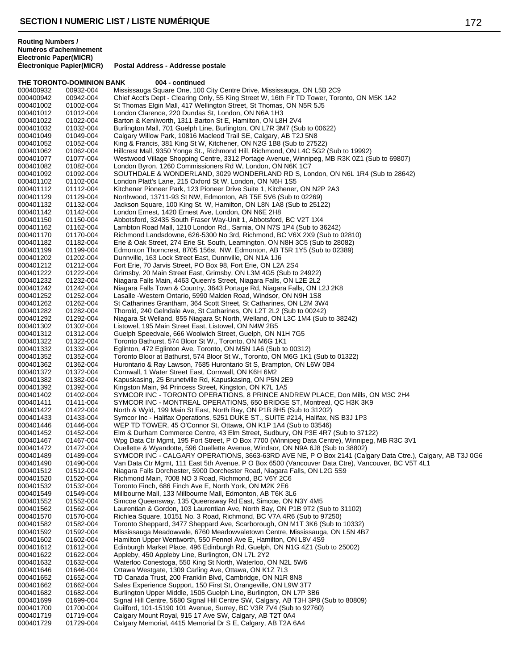### **THE TORONTO-DOMINION BANK 004 - continued** 000400932 00932-004 Mississauga Square One, 100 City Centre Drive, Mississauga, ON L5B 2C9<br>000400942 00942-004 Chief Acct's Dept - Clearing Only, 55 King Street W, 16th Flr TD Tower, Torc 000400942 00942-004 Chief Acct's Dept - Clearing Only, 55 King Street W, 16th Flr TD Tower, Toronto, ON M5K 1A2<br>000401002 01002-004 St Thomas Elgin Mall, 417 Wellington Street, St Thomas, ON N5R 5J5 St Thomas Elgin Mall, 417 Wellington Street, St Thomas, ON N5R 5J5 000401012 01012-004 London Clarence, 220 Dundas St, London, ON N6A 1H3 Barton & Kenilworth, 1311 Barton St E, Hamilton, ON L8H 2V4 000401032 01032-004 Burlington Mall, 701 Guelph Line, Burlington, ON L7R 3M7 (Sub to 00622) 000401049 01049-004 Calgary Willow Park, 10816 Macleod Trail SE, Calgary, AB T2J 5N8 King & Francis, 381 King St W, Kitchener, ON N2G 1B8 (Sub to 27522) 000401062 01062-004 Hillcrest Mall, 9350 Yonge St., Richmond Hill, Richmond, ON L4C 5G2 (Sub to 19992) 000401077 01077-004 Westwood Village Shopping Centre, 3312 Portage Avenue, Winnipeg, MB R3K 0Z1 (Sub to 69807)<br>000401082 01082-004 London Byron, 1260 Commissioners Rd W, London, ON N6K 1C7 000401082 01082-004 London Byron, 1260 Commissioners Rd W, London, ON N6K 1C7 000401092 01092-004 SOUTHDALE & WONDERLAND, 3029 WONDERLAND RD S, London, ON N6L 1R4 (Sub to 28642)<br>000401102 01102-004 London Platt's Lane, 215 Oxford St W, London, ON N6H 1S5 000401102 01102-004 London Platt's Lane, 215 Oxford St W, London, ON N6H 1S5 000401112 01112-004 Kitchener Pioneer Park, 123 Pioneer Drive Suite 1, Kitchener, ON N2P 2A3<br>000401129 01129-004 Northwood, 13711-93 St NW, Edmonton, AB T5E 5V6 (Sub to 02269) Northwood, 13711-93 St NW, Edmonton, AB T5E 5V6 (Sub to 02269) 000401132 01132-004 Jackson Square, 100 King St. W, Hamilton, ON L8N 1A8 (Sub to 25122)<br>000401142 01142-004 London Ernest, 1420 Ernest Ave, London, ON N6E 2H8 000401142 01142-004 London Ernest, 1420 Ernest Ave, London, ON N6E 2H8 000401150 01150-004 Abbotsford, 32435 South Fraser Way-Unit 1, Abbotsford, BC V2T 1X4<br>000401162 01162-004 Lambton Road Mall, 1210 London Rd., Sarnia, ON N7S 1P4 (Sub to 3 000401162 01162-004 Lambton Road Mall, 1210 London Rd., Sarnia, ON N7S 1P4 (Sub to 36242) Richmond Landsdowne, 626-5300 No 3rd, Richmond, BC V6X 2X9 (Sub to 02810) 000401182 01182-004 Erie & Oak Street, 274 Erie St. South, Leamington, ON N8H 3C5 (Sub to 28082) Edmonton Thorncrest, 8705 156st NW, Edmonton, AB T5R 1Y5 (Sub to 02389) 000401202 01202-004 Dunnville, 163 Lock Street East, Dunnville, ON N1A 1J6 000401212 01212-004 Fort Erie, 70 Jarvis Street, PO Box 98, Fort Erie, ON L2A 2S4 Grimsby, 20 Main Street East, Grimsby, ON L3M 4G5 (Sub to 24922) 000401232 01232-004 Niagara Falls Main, 4463 Queen's Street, Niagara Falls, ON L2E 2L2 000401242 01242-004 Niagara Falls Town & Country, 3643 Portage Rd, Niagara Falls, ON L2J 2K8 000401252 01252-004 Lasalle -Western Ontario, 5990 Malden Road, Windsor, ON N9H 1S8 000401262 01262-004 St Catharines Grantham, 364 Scott Street, St Catharines, ON L2M 3W4 Thorold, 240 Gelndale Ave, St Catharines, ON L2T 2L2 (Sub to 00242) 000401292 01292-004 Niagara St Welland, 855 Niagara St North, Welland, ON L3C 1M4 (Sub to 38242) 000401302 01302-004 Listowel, 195 Main Street East, Listowel, ON N4W 2B5 000401312 01312-004 Guelph Speedvale, 666 Woolwich Street, Guelph, ON N1H 7G5 000401322 01322-004 Toronto Bathurst, 574 Bloor St W., Toronto, ON M6G 1K1 000401332 01332-004 Eglinton, 472 Eglinton Ave, Toronto, ON M5N 1A6 (Sub to 00312) 000401352 01352-004 Toronto Bloor at Bathurst, 574 Bloor St W., Toronto, ON M6G 1K1 (Sub to 01322)<br>000401362 01362-004 Hurontario & Ray Lawson, 7685 Hurontario St S, Brampton, ON L6W 0B4 Hurontario & Ray Lawson, 7685 Hurontario St S, Brampton, ON L6W 0B4 000401372 01372-004 Cornwall, 1 Water Street East, Cornwall, ON K6H 6M2 000401382 01382-004 Kapuskasing, 25 Brunetville Rd, Kapuskasing, ON P5N 2E9 000401392 01392-004 Kingston Main, 94 Princess Street, Kingston, ON K7L 1A5 000401402 01402-004 SYMCOR INC - TORONTO OPERATIONS, 8 PRINCE ANDREW PLACE, Don Mills, ON M3C 2H4<br>000401411 01411-004 SYMCOR INC - MONTREAL OPERATIONS. 650 BRIDGE ST. Montreal. QC H3K 3K9 SYMCOR INC - MONTREAL OPERATIONS, 650 BRIDGE ST, Montreal, QC H3K 3K9 000401422 01422-004 North & Wyld, 199 Main St East, North Bay, ON P1B 8H5 (Sub to 31202) Symcor Inc - Halifax Operations, 5251 DUKE ST., SUITE #214, Halifax, NS B3J 1P3 000401446 01446-004 WEP TD TOWER, 45 O'Connor St, Ottawa, ON K1P 1A4 (Sub to 03546)<br>000401452 01452-004 Elm & Durham Commerce Centre, 43 Elm Street, Sudbury, ON P3E 4R7 000401452 01452-004 Elm & Durham Commerce Centre, 43 Elm Street, Sudbury, ON P3E 4R7 (Sub to 37122) Wpg Data Ctr Mgmt, 195 Fort Street, P O Box 7700 (Winnipeg Data Centre), Winnipeg, MB R3C 3V1 000401472 01472-004 Ouellette & Wyandotte, 596 Ouellette Avenue, Windsor, ON N9A 6J8 (Sub to 38802) SYMCOR INC - CALGARY OPERATIONS, 3663-63RD AVE NE, P O Box 2141 (Calgary Data Ctre.), Calgary, AB T3J 0G6 000401490 01490-004 Van Data Ctr Mgmt, 111 East 5th Avenue, P O Box 6500 (Vancouver Data Ctre), Vancouver, BC V5T 4L1<br>000401512 01512-004 Niagara Falls Dorchester, 5900 Dorchester Road, Niagara Falls, ON L2G 5S9 000401512 01512-004 Niagara Falls Dorchester, 5900 Dorchester Road, Niagara Falls, ON L2G 5S9 Richmond Main, 7008 NO 3 Road, Richmond, BC V6Y 2C6 000401532 01532-004 Toronto Finch, 686 Finch Ave E, North York, ON M2K 2E6 000401549 01549-004 Millbourne Mall, 133 Millbourne Mall, Edmonton, AB T6K 3L6

000401552 01552-004 Simcoe Queensway, 135 Queensway Rd East, Simcoe, ON N3Y 4M5 000401562 01562-004 Laurentian & Gordon, 103 Laurentian Ave, North Bay, ON P1B 9T2 (Sub to 31102)<br>000401570 01570-004 Richlea Square, 10151 No. 3 Road, Richmond, BC V7A 4R6 (Sub to 97250) 000401570 01570-004 Richlea Square, 10151 No. 3 Road, Richmond, BC V7A 4R6 (Sub to 97250)<br>000401582 01582-004 Toronto Sheppard, 3477 Sheppard Ave, Scarborough, ON M1T 3K6 (Sub to 000401582 01582-004 Toronto Sheppard, 3477 Sheppard Ave, Scarborough, ON M1T 3K6 (Sub to 10332) Mississauga Meadowvale, 6760 Meadowvaletown Centre, Mississauga, ON L5N 4B7 000401602 01602-004 Hamilton Upper Wentworth, 550 Fennel Ave E, Hamilton, ON L8V 4S9 000401612 01612-004 Edinburgh Market Place, 496 Edinburgh Rd, Guelph, ON N1G 4Z1 (Sub to 25002)<br>000401622 01622-004 Appleby, 450 Appleby Line, Burlington, ON L7L 2Y2 000401622 01622-004 Appleby, 450 Appleby Line, Burlington, ON L7L 2Y2 000401632 01632-004 Waterloo Conestoga, 550 King St North, Waterloo, ON N2L 5W6 Ottawa Westgate, 1309 Carling Ave, Ottawa, ON K1Z 7L3 000401652 01652-004 TD Canada Trust, 200 Franklin Blvd, Cambridge, ON N1R 8N8 000401662 01662-004 Sales Experience Support, 150 First St, Orangeville, ON L9W 3T7 000401682 01682-004 Burlington Upper Middle, 1505 Guelph Line, Burlington, ON L7P 3B6 000401699 01699-004 Signal Hill Centre, 5680 Signal Hill Centre SW, Calgary, AB T3H 3P8 (Sub to 80809)<br>000401700 01700-004 Guilford. 101-15190 101 Avenue. Surrey. BC V3R 7V4 (Sub to 92760) Guilford, 101-15190 101 Avenue, Surrey, BC V3R 7V4 (Sub to 92760) 000401719 01719-004 Calgary Mount Royal, 915 17 Ave SW, Calgary, AB T2T 0A4 Calgary Memorial, 4415 Memorial Dr S E, Calgary, AB T2A 6A4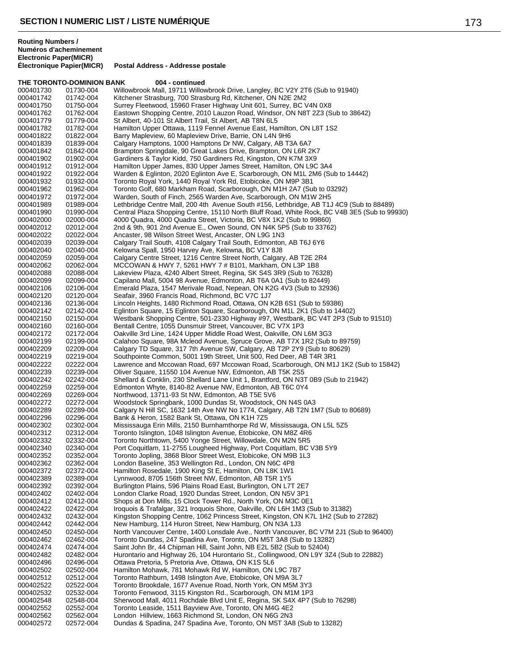#### **THE TORONTO-DOMINION BANK 004 - continued** 000401730 01730-004 Willowbrook Mall, 19711 Willowbrook Drive, Langley, BC V2Y 2T6 (Sub to 91940)<br>000401742 01742-004 Kitchener Strasburg, 700 Strasburg Rd, Kitchener, ON N2E 2M2 000401742 01742-004 Kitchener Strasburg, 700 Strasburg Rd, Kitchener, ON N2E 2M2 Surrey Fleetwood, 15960 Fraser Highway Unit 601, Surrey, BC V4N 0X8 000401762 01762-004 Eastown Shopping Centre, 2010 Lauzon Road, Windsor, ON N8T 2Z3 (Sub to 38642)<br>000401779 01779-004 St Albert, 40-101 St Albert Trail, St Albert, AB T8N 6L5 St Albert, 40-101 St Albert Trail, St Albert, AB T8N 6L5 000401782 01782-004 Hamilton Upper Ottawa, 1119 Fennel Avenue East, Hamilton, ON L8T 1S2 000401822 01822-004 Barry Mapleview, 60 Mapleview Drive, Barrie, ON L4N 9H6 Calgary Hamptons, 1000 Hamptons Dr NW, Calgary, AB T3A 6A7 000401842 01842-004 Brampton Springdale, 90 Great Lakes Drive, Brampton, ON L6R 2K7 000401902 01902-004 Gardiners & Taylor Kidd, 750 Gardiners Rd, Kingston, ON K7M 3X9 000401912 01912-004 Hamilton Upper James, 830 Upper James Street, Hamilton, ON L9C 3A4 000401922 01922-004 Warden & Eglinton, 2020 Eglinton Ave E, Scarborough, ON M1L 2M6 (Sub to 14442)<br>000401932 01932-004 Toronto Royal York, 1440 Royal York Rd, Etobicoke, ON M9P 3B1 000401932 01932-004 Toronto Royal York, 1440 Royal York Rd, Etobicoke, ON M9P 3B1 000401962 01962-004 Toronto Golf, 680 Markham Road, Scarborough, ON M1H 2A7 (Sub to 03292)<br>000401972 01972-004 Warden, South of Finch, 2565 Warden Ave, Scarborough, ON M1W 2H5 Warden, South of Finch, 2565 Warden Ave, Scarborough, ON M1W 2H5 000401989 01989-004 Lethbridge Centre Mall, 200 4th Avenue South #156, Lethbridge, AB T1J 4C9 (Sub to 88489)<br>000401990 01990-004 Central Plaza Shopping Centre, 15110 North Bluff Road, White Rock, BC V4B 3E5 (Sub to 99 000401990 01990-004 Central Plaza Shopping Centre, 15110 North Bluff Road, White Rock, BC V4B 3E5 (Sub to 99930)<br>000402000 02000-004 4000 Quadra, 4000 Quadra Street, Victoria, BC V8X 1K2 (Sub to 99860) 000402000 02000-004 4000 Quadra, 4000 Quadra Street, Victoria, BC V8X 1K2 (Sub to 99860)<br>000402012 02012-004 2nd & 9th, 901 2nd Avenue E., Owen Sound, ON N4K 5P5 (Sub to 3376) 000402012 02012-004 2nd & 9th, 901 2nd Avenue E., Owen Sound, ON N4K 5P5 (Sub to 33762)<br>000402022 02022-004 Ancaster. 98 Wilson Street West. Ancaster. ON L9G 1N3 Ancaster, 98 Wilson Street West, Ancaster, ON L9G 1N3 000402039 02039-004 Calgary Trail South, 4108 Calgary Trail South, Edmonton, AB T6J 6Y6<br>000402040 02040-004 Kelowna Spall, 1950 Harvey Ave, Kelowna, BC V1Y 8J8 Kelowna Spall, 1950 Harvey Ave, Kelowna, BC V1Y 8J8 000402059 02059-004 Calgary Centre Street, 1216 Centre Street North, Calgary, AB T2E 2R4<br>000402062 02062-004 MCCOWAN & HWY 7, 5261 HWY 7 # B101, Markham, ON L3P 1B8 000402062 02062-004 MCCOWAN & HWY 7, 5261 HWY 7 # B101, Markham, ON L3P 1B8<br>000402088 02088-004 Lakeview Plaza, 4240 Albert Street, Regina, SK S4S 3R9 (Sub to 76 Lakeview Plaza, 4240 Albert Street, Regina, SK S4S 3R9 (Sub to 76328) 000402099 02099-004 Capilano Mall, 5004 98 Avenue, Edmonton, AB T6A 0A1 (Sub to 82449) Emerald Plaza, 1547 Merivale Road, Nepean, ON K2G 4V3 (Sub to 32936) 000402120 02120-004 Seafair, 3960 Francis Road, Richmond, BC V7C 1J7<br>000402136 02136-004 Lincoln Heights, 1480 Richmond Road, Ottawa, ON H 000402136 02136-004 Lincoln Heights, 1480 Richmond Road, Ottawa, ON K2B 6S1 (Sub to 59386) Eglinton Square, 15 Eglinton Square, Scarborough, ON M1L 2K1 (Sub to 14402) 000402150 02150-004 Westbank Shopping Centre, 501-2330 Highway #97, Westbank, BC V4T 2P3 (Sub to 91510)<br>000402160 02160-004 Bentall Centre, 1055 Dunsmuir Street, Vancouver, BC V7X 1P3 000402160 02160-004 Bentall Centre, 1055 Dunsmuir Street, Vancouver, BC V7X 1P3 000402172 02172-004 Oakville 3rd Line, 1424 Upper Middle Road West, Oakville, ON L6M 3G3 000402199 02199-004 Calahoo Square, 98A Mcleod Avenue, Spruce Grove, AB T7X 1R2 (Sub to 89759)<br>000402209 02209-004 Calgary TD Square, 317 7th Avenue SW, Calgary, AB T2P 2Y9 (Sub to 80629) 000402209 02209-004 Calgary TD Square, 317 7th Avenue SW, Calgary, AB T2P 2Y9 (Sub to 80629)<br>000402219 02219-004 Southpointe Common, 5001 19th Street, Unit 500, Red Deer, AB T4R 3R1 000402219 02219-004 Southpointe Common, 5001 19th Street, Unit 500, Red Deer, AB T4R 3R1<br>000402222 02222-004 Lawrence and Mccowan Road, 697 Mccowan Road, Scarborough, ON M1. 000402222 02222-004 Lawrence and Mccowan Road, 697 Mccowan Road, Scarborough, ON M1J 1K2 (Sub to 15842)<br>000402239 02239-004 Oliver Square, 11550 104 Avenue NW, Edmonton, AB T5K 2S5 000402239 02239-004 Oliver Square, 11550 104 Avenue NW, Edmonton, AB T5K 2S5<br>000402242 02242-004 Shellard & Conklin. 230 Shellard Lane Unit 1. Brantford. ON N3 000402242 02242-004 Shellard & Conklin, 230 Shellard Lane Unit 1, Brantford, ON N3T 0B9 (Sub to 21942)<br>000402259 02259-004 Fdmonton Whyte, 8140-82 Avenue NW, Edmonton, AB T6C 0Y4 000402259 02259-004 Edmonton Whyte, 8140-82 Avenue NW, Edmonton, AB T6C 0Y4<br>000402269 02269-004 Northwood, 13711-93 St NW, Edmonton, AB T5E 5V6 000402269 02269-004 Northwood, 13711-93 St NW, Edmonton, AB T5E 5V6 Woodstock Springbank, 1000 Dundas St, Woodstock, ON N4S 0A3 000402289 02289-004 Calgary N Hill SC, 1632 14th Ave NW No 1774, Calgary, AB T2N 1M7 (Sub to 80689)<br>000402296 02296-004 Bank & Heron, 1582 Bank St, Ottawa, ON K1H 7Z5 000402296 02296-004 Bank & Heron, 1582 Bank St, Ottawa, ON K1H 7Z5 000402302 02302-004 Mississauga Erin Mills, 2150 Burnhamthorpe Rd W, Mississauga, ON L5L 5Z5<br>000402312 02312-004 Toronto Islington, 1048 Islington Avenue, Etobicoke, ON M8Z 4R6 000402312 02312-004 Toronto Islington, 1048 Islington Avenue, Etobicoke, ON M8Z 4R6 Toronto Northtown, 5400 Yonge Street, Willowdale, ON M2N 5R5 000402340 02340-004 Port Coquitlam, 11-2755 Lougheed Highway, Port Coquitlam, BC V3B 5Y9<br>000402352 02352-004 Toronto Jopling, 3868 Bloor Street West, Etobicoke, ON M9B 1L3 02352-004 Toronto Jopling, 3868 Bloor Street West, Etobicoke, ON M9B 1L3<br>02362-004 London Baseline, 353 Wellington Rd., London, ON N6C 4P8 000402362 02362-004 London Baseline, 353 Wellington Rd., London, ON N6C 4P8 000402372 02372-004 Hamilton Rosedale, 1900 King St E, Hamilton, ON L8K 1W1 Lynnwood, 8705 156th Street NW, Edmonton, AB T5R 1Y5 000402392 02392-004 Burlington Plains, 596 Plains Road East, Burlington, ON L7T 2E7 000402402 02402-004 London Clarke Road, 1920 Dundas Street, London, ON N5V 3P1<br>000402412 02412-004 Shops at Don Mills, 15 Clock Tower Rd., North York, ON M3C 0E 000402412 02412-004 Shops at Don Mills, 15 Clock Tower Rd., North York, ON M3C 0E1 000402422 02422-004 Iroquois & Trafalgar, 321 Iroquois Shore, Oakville, ON L6H 1M3 (Sub to 31382) 000402432 02432-004 Kingston Shopping Centre, 1062 Princess Street, Kingston, ON K7L 1H2 (Sub to 27282)<br>000402442 02442-004 New Hamburg, 114 Huron Street, New Hamburg, ON N3A 1J3 000402442 02442-004 New Hamburg, 114 Huron Street, New Hamburg, ON N3A 1J3<br>000402450 02450-004 North Vancouver Centre, 1400 Lonsdale Ave., North Vancouve 000402450 02450-004 North Vancouver Centre, 1400 Lonsdale Ave., North Vancouver, BC V7M 2J1 (Sub to 96400)<br>000402462 02462-004 Toronto Dundas, 247 Spadina Ave, Toronto, ON M5T 3A8 (Sub to 13282) 000402462 02462-004 Toronto Dundas, 247 Spadina Ave, Toronto, ON M5T 3A8 (Sub to 13282)<br>000402474 02474-004 Saint John Br, 44 Chipman Hill, Saint John, NB E2L 5B2 (Sub to 52404) 000402474 02474-004 Saint John Br, 44 Chipman Hill, Saint John, NB E2L 5B2 (Sub to 52404) 000402482 02482-004 Hurontario and Highway 26, 104 Hurontario St., Collingwood, ON L9Y 3Z4 (Sub to 22882) 000402496 02496-004 Ottawa Pretoria, 5 Pretoria Ave, Ottawa, ON K1S 5L6 000402502 02502-004 Hamilton Mohawk, 781 Mohawk Rd W, Hamilton, ON L9C 7B7<br>000402512 02512-004 Toronto Rathburn, 1498 Islington Ave, Etobicoke, ON M9A 3L7 000402512 02512-004 Toronto Rathburn, 1498 Islington Ave, Etobicoke, ON M9A 3L7 Toronto Brookdale, 1677 Avenue Road, North York, ON M5M 3Y3 000402532 02532-004 Toronto Fenwood, 3115 Kingston Rd., Scarborough, ON M1M 1P3 000402548 02548-004 Sherwood Mall, 4011 Rochdale Blvd Unit E, Regina, SK S4X 4P7 (Sub to 76298)<br>000402552 02552-004 Toronto Leaside, 1511 Bavview Ave, Toronto, ON M4G 4E2 Toronto Leaside, 1511 Bayview Ave, Toronto, ON M4G 4E2 000402562 02562-004 London Hillview, 1663 Richmond St, London, ON N6G 2N3 Dundas & Spadina, 247 Spadina Ave, Toronto, ON M5T 3A8 (Sub to 13282)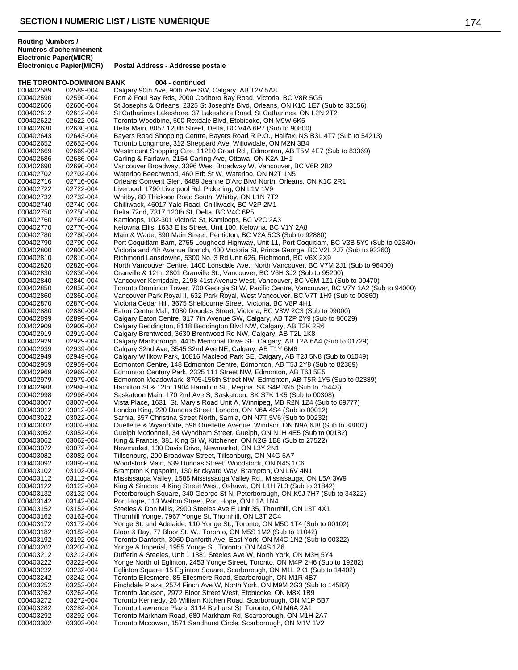**THE TORONTO-DOMINION BANK 004 - continued** 

**Postal Address - Addresse postale** 

000402589 02589-004 Calgary 90th Ave, 90th Ave SW, Calgary, AB T2V 5A8<br>000402590 02590-004 Fort & Foul Bay Rds, 2000 Cadboro Bay Road, Victoria 000402590 02590-004 Fort & Foul Bay Rds, 2000 Cadboro Bay Road, Victoria, BC V8R 5G5 St Josephs & Orleans, 2325 St Joseph's Blvd, Orleans, ON K1C 1E7 (Sub to 33156) 000402612 02612-004 St Catharines Lakeshore, 37 Lakeshore Road, St Catharines, ON L2N 2T2<br>000402622 02622-004 Toronto Woodbine, 500 Rexdale Blvd, Etobicoke, ON M9W 6K5 02622-004 Toronto Woodbine, 500 Rexdale Blvd, Etobicoke, ON M9W 6K5<br>02630-004 Delta Main, 8057 120th Street, Delta, BC V4A 6P7 (Sub to 9080 000402630 02630-004 Delta Main, 8057 120th Street, Delta, BC V4A 6P7 (Sub to 90800) 000402643 02643-004 Bayers Road Shopping Centre, Bayers Road R.P.O., Halifax, NS B3L 4T7 (Sub to 54213)<br>000402652 02652-004 Toronto Longmore, 312 Sheppard Ave, Willowdale, ON M2N 3B4 Toronto Longmore, 312 Sheppard Ave, Willowdale, ON M2N 3B4 000402669 02669-004 Westmount Shopping Ctre, 11210 Groat Rd., Edmonton, AB T5M 4E7 (Sub to 83369)<br>000402686 02686-004 Carling & Fairlawn, 2154 Carling Ave, Ottawa, ON K2A 1H1 000402686 02686-004 Carling & Fairlawn, 2154 Carling Ave, Ottawa, ON K2A 1H1 000402690 02690-004 Vancouver Broadway, 3396 West Broadway W, Vancouver, BC V6R 2B2<br>000402702 02702-004 Waterloo Beechwood, 460 Erb St W, Waterloo, ON N2T 1N5 000402702 02702-004 Waterloo Beechwood, 460 Erb St W, Waterloo, ON N2T 1N5<br>000402716 02716-004 Orleans Convent Glen, 6489 Jeanne D'Arc Blyd North, Orlea 000402716 02716-004 Orleans Convent Glen, 6489 Jeanne D'Arc Blvd North, Orleans, ON K1C 2R1<br>000402722 02722-004 Liverpool, 1790 Liverpool Rd, Pickering, ON L1V 1V9 000402722 02722-004 Liverpool, 1790 Liverpool Rd, Pickering, ON L1V 1V9<br>000402732 02732-004 Whitby, 80 Thickson Road South, Whitby, ON L1N 7T Whitby, 80 Thickson Road South, Whitby, ON L1N 7T2 000402740 02740-004 Chilliwack, 46017 Yale Road, Chilliwack, BC V2P 2M1<br>000402750 02750-004 Delta 72nd, 7317 120th St, Delta, BC V4C 6P5 000402750 02750-004 Delta 72nd, 7317 120th St, Delta, BC V4C 6P5<br>000402760 02760-004 Kamloops, 102-301 Victoria St, Kamloops, BC 000402760 02760-004 Kamloops, 102-301 Victoria St, Kamloops, BC V2C 2A3<br>000402770 02770-004 Kelowna Ellis, 1633 Ellis Street, Unit 100, Kelowna, BC ' 000402770 02770-004 Kelowna Ellis, 1633 Ellis Street, Unit 100, Kelowna, BC V1Y 2A8<br>000402780 02780-004 Main & Wade. 390 Main Street. Penticton. BC V2A 5C3 (Sub to 9 Main & Wade, 390 Main Street, Penticton, BC V2A 5C3 (Sub to 92880) 000402790 02790-004 Port Coquitlam Barn, 2755 Lougheed Highway, Unit 11, Port Coquitlam, BC V3B 5Y9 (Sub to 02340)<br>000402800 02800-004 Victoria and 4th Avenue Branch, 400 Victoria St, Prince George, BC V2L 2J7 (Sub to 9336 Victoria and 4th Avenue Branch, 400 Victoria St, Prince George, BC V2L 2J7 (Sub to 93360) 000402810 02810-004 Richmond Lansdowne, 5300 No. 3 Rd Unit 626, Richmond, BC V6X 2X9<br>000402820 02820-004 North Vancouver Centre, 1400 Lonsdale Ave., North Vancouver, BC V7M 000402820 02820-004 North Vancouver Centre, 1400 Lonsdale Ave., North Vancouver, BC V7M 2J1 (Sub to 96400)<br>000402830 02830-004 Granville & 12th. 2801 Granville St., Vancouver, BC V6H 3J2 (Sub to 95200) Granville & 12th, 2801 Granville St., Vancouver, BC V6H 3J2 (Sub to 95200) 000402840 02840-004 Vancouver Kerrisdale, 2198-41st Avenue West, Vancouver, BC V6M 1Z1 (Sub to 00470) 000402850 02850-004 Toronto Dominion Tower, 700 Georgia St W. Pacific Centre, Vancouver, BC V7Y 1A2 (Sub to 94000)<br>000402860 02860-004 Vancouver Park Royal II, 632 Park Royal, West Vancouver, BC V7T 1H9 (Sub to 00860) 000402860 02860-004 Vancouver Park Royal II, 632 Park Royal, West Vancouver, BC V7T 1H9 (Sub to 00860)<br>000402870 02870-004 Victoria Cedar Hill, 3675 Shelbourne Street, Victoria, BC V8P 4H1 000402870 02870-004 Victoria Cedar Hill, 3675 Shelbourne Street, Victoria, BC V8P 4H1 Eaton Centre Mall, 1080 Douglas Street, Victoria, BC V8W 2C3 (Sub to 99000) 000402899 02899-004 Calgary Eaton Centre, 317 7th Avenue SW, Calgary, AB T2P 2Y9 (Sub to 80629)<br>000402909 02909-004 Calgary Beddington, 8118 Beddington Blvd NW, Calgary, AB T3K 2R6 000402909 02909-004 Calgary Beddington, 8118 Beddington Blvd NW, Calgary, AB T3K 2R6<br>000402919 02919-004 Calgary Brentwood, 3630 Brentwood Rd NW, Calgary, AB T2L 1K8 000402919 02919-004 Calgary Brentwood, 3630 Brentwood Rd NW, Calgary, AB T2L 1K8 000402929 02929-004 Calgary Marlborough, 4415 Memorial Drive SE, Calgary, AB T2A 6A4 (Sub to 01729)<br>000402939 02939-004 Calgary 32nd Ave, 3545 32nd Ave NF, Calgary, AB T1Y 6M6 000402939 02939-004 Calgary 32nd Ave, 3545 32nd Ave NE, Calgary, AB T1Y 6M6<br>000402949 02949-004 Calgary Willkow Park, 10816 Macleod Park SE, Calgary, AB 1 000402949 02949-004 Calgary Willkow Park, 10816 Macleod Park SE, Calgary, AB T2J 5N8 (Sub to 01049)<br>000402959 02959-004 Edmonton Centre, 148 Edmonton Centre, Edmonton, AB T5J 2Y8 (Sub to 82389) 000402959 02959-004 Edmonton Centre, 148 Edmonton Centre, Edmonton, AB T5J 2Y8 (Sub to 82389)<br>000402969 02969-004 Edmonton Century Park, 2325 111 Street NW, Edmonton, AB T6J 5E5 000402969 02969-004 Edmonton Century Park, 2325 111 Street NW, Edmonton, AB T6J 5E5<br>000402979 02979-004 Edmonton Meadowlark. 8705-156th Street NW. Edmonton. AB T5R 1Y 000402979 02979-004 Edmonton Meadowlark, 8705-156th Street NW, Edmonton, AB T5R 1Y5 (Sub to 02389)<br>000402988 02988-004 Hamilton St & 12th, 1904 Hamilton St., Regina, SK S4P 3N5 (Sub to 75448) 000402988 02988-004 Hamilton St & 12th, 1904 Hamilton St., Regina, SK S4P 3N5 (Sub to 75448)<br>000402998 02998-004 Saskatoon Main, 170 2nd Ave S, Saskatoon, SK S7K 1K5 (Sub to 00308) 000402998 02998-004 Saskatoon Main, 170 2nd Ave S, Saskatoon, SK S7K 1K5 (Sub to 00308)<br>000403007 03007-004 Vista Place, 1631 St, Mary's Road Unit A, Winnipeg, MB R2N 1Z4 (Sub to Vista Place, 1631 St. Mary's Road Unit A, Winnipeg, MB R2N 1Z4 (Sub to 69777) 000403012 03012-004 London King, 220 Dundas Street, London, ON N6A 4S4 (Sub to 00012) 000403022 03022-004 Sarnia, 357 Christina Street North, Sarnia, ON N7T 5V6 (Sub to 00232) 000403032 03032-004 Ouellette & Wyandotte, 596 Ouellette Avenue, Windsor, ON N9A 6J8 (Sub to 38802)<br>000403052 03052-004 Guelph Mcdonnell, 34 Wyndham Street, Guelph, ON N1H 4E5 (Sub to 00182) 000403052 03052-004 Guelph Mcdonnell, 34 Wyndham Street, Guelph, ON N1H 4E5 (Sub to 00182)<br>000403062 03062-004 King & Francis. 381 King St W. Kitchener. ON N2G 1B8 (Sub to 27522) King & Francis, 381 King St W, Kitchener, ON N2G 1B8 (Sub to 27522) 000403072 03072-004 Newmarket, 130 Davis Drive, Newmarket, ON L3Y 2N1 000403082 03082-004 Tillsonburg, 200 Broadway Street, Tillsonburg, ON N4G 5A7<br>000403092 03092-004 Woodstock Main, 539 Dundas Street, Woodstock, ON N4S 000403092 03092-004 Woodstock Main, 539 Dundas Street, Woodstock, ON N4S 1C6 000403102 03102-004 Brampton Kingspoint, 130 Brickyard Way, Brampton, ON L6V 4N1 Mississauga Valley, 1585 Mississauga Valley Rd., Mississauga, ON L5A 3W9 000403122 03122-004 King & Simcoe, 4 King Street West, Oshawa, ON L1H 7L3 (Sub to 31842) 000403132 03132-004 Peterborough Square, 340 George St N, Peterborough, ON K9J 7H7 (Sub to 34322)<br>000403142 03142-004 Port Hope, 113 Walton Street, Port Hope, ON L1A 1N4 000403142 03142-004 Port Hope, 113 Walton Street, Port Hope, ON L1A 1N4 000403152 03152-004 Steeles & Don Mills, 2900 Steeles Ave E Unit 35, Thornhill, ON L3T 4X1<br>000403162 03162-004 Thornhill Yonge, 7967 Yonge St. Thornhill, ON L3T 2C4 000403162 03162-004 Thornhill Yonge, 7967 Yonge St, Thornhill, ON L3T 2C4 000403172 03172-004 Yonge St. and Adelaide, 110 Yonge St., Toronto, ON M5C 1T4 (Sub to 00102)<br>000403182 03182-004 Bloor & Bay, 77 Bloor St. W., Toronto, ON M5S 1M2 (Sub to 11042) 000403182 03182-004 Bloor & Bay, 77 Bloor St. W., Toronto, ON M5S 1M2 (Sub to 11042) 000403192 03192-004 Toronto Danforth, 3060 Danforth Ave, East York, ON M4C 1N2 (Sub to 00322) 000403202 03202-004 Yonge & Imperial, 1955 Yonge St, Toronto, ON M4S 1Z6 000403212 03212-004 Dufferin & Steeles, Unit 1 1881 Steeles Ave W, North York, ON M3H 5Y4<br>000403222 03222-004 Yonge North of Eglinton, 2453 Yonge Street, Toronto, ON M4P 2H6 (Sub 000403222 03222-004 Yonge North of Eglinton, 2453 Yonge Street, Toronto, ON M4P 2H6 (Sub to 19282) 000403232 03232-004 Eglinton Square, 15 Eglinton Square, Scarborough, ON M1L 2K1 (Sub to 14402)<br>000403242 03242-004 Toronto Ellesmere, 85 Ellesmere Road, Scarborough, ON M1R 4B7 000403242 03242-004 Toronto Ellesmere, 85 Ellesmere Road, Scarborough, ON M1R 4B7 000403252 03252-004 Finchdale Plaza, 2574 Finch Ave W, North York, ON M9M 2G3 (Sub to 14582)<br>000403262 03262-004 Toronto Jackson, 2972 Bloor Street West, Etobicoke, ON M8X 1B9 000403262 03262-004 Toronto Jackson, 2972 Bloor Street West, Etobicoke, ON M8X 1B9 000403272 03272-004 Toronto Kennedy, 26 William Kitchen Road, Scarborough, ON M1P 5B7<br>000403282 03282-004 Toronto Lawrence Plaza. 3114 Bathurst St. Toronto. ON M6A 2A1 Toronto Lawrence Plaza, 3114 Bathurst St, Toronto, ON M6A 2A1 000403292 03292-004 Toronto Markham Road, 680 Markham Rd, Scarborough, ON M1H 2A7 Toronto Mccowan, 1571 Sandhurst Circle, Scarborough, ON M1V 1V2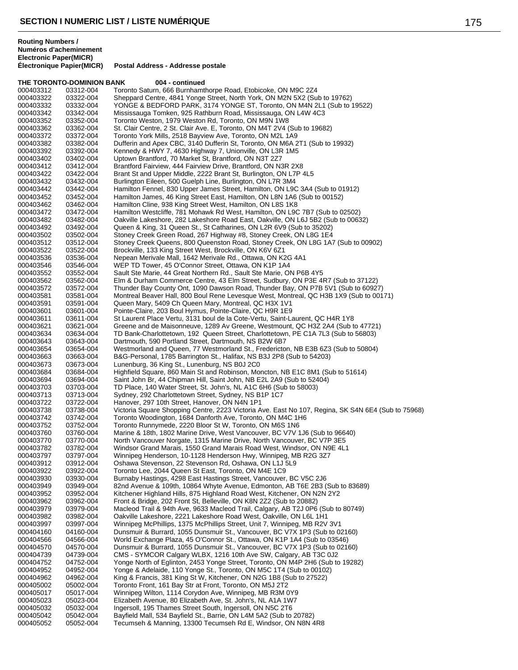000403591 03591-004 Queen Mary, 5409 Ch Queen Mary, Montreal, QC H3X 1V1

000403643 03643-004 Dartmouth, 590 Portland Street, Dartmouth, NS B2W 6B7<br>000403654 03654-004 Westmorland and Queen, 77 Westmorland St., Fredericto

000403713 03713-004 Sydney, 292 Charlottetown Street, Sydney, NS B1P 1C7

000403742 03742-004 Toronto Woodington, 1684 Danforth Ave, Toronto, ON M4C 1H6 000403752 03752-004 Toronto Runnymede, 2220 Bloor St W, Toronto, ON M6S 1N6

000403912 03912-004 Oshawa Stevenson, 22 Stevenson Rd, Oshawa, ON L1J 5L9 000403922 03922-004 Toronto Lee, 2044 Queen St East, Toronto, ON M4E 1C9

000403673 03673-004 Lunenburg, 36 King St., Lunenburg, NS B0J 2C0

Pointe-Claire, 203 Boul Hymus, Pointe-Claire, QC H9R 1E9

000403654 03654-004 Westmorland and Queen, 77 Westmorland St., Fredericton, NB E3B 6Z3 (Sub to 50804)<br>000403663 03663-004 B&G-Personal, 1785 Barrington St., Halifax, NS B3J 2P8 (Sub to 54203)

000403684 03684-004 Highfield Square, 860 Main St and Robinson, Moncton, NB E1C 8M1 (Sub to 51614)<br>000403694 03694-004 Saint John Br. 44 Chipman Hill. Saint John. NB E2L 2A9 (Sub to 52404)

Hanover, 297 10th Street, Hanover, ON N4N 1P1

000403760 03760-004 Marine & 18th, 1802 Marine Drive, West Vancouver, BC V7V 1J6 (Sub to 96640)<br>000403770 03770-004 North Vancouver Norgate, 1315 Marine Drive, North Vancouver, BC V7P 3E5

000403949 03949-004 82nd Avenue & 109th, 10864 Whyte Avenue, Edmonton, AB T6E 2B3 (Sub to 83689)<br>000403952 03952-004 Kitchener Highland Hills, 875 Highland Road West, Kitchener, ON N2N 2Y2 000403952 03952-004 Kitchener Highland Hills, 875 Highland Road West, Kitchener, ON N2N 2Y2<br>000403962 03962-004 Front & Bridge, 202 Front St, Belleville, ON K8N 2Z2 (Sub to 20882) 000403962 03962-004 Front & Bridge, 202 Front St, Belleville, ON K8N 2Z2 (Sub to 20882)

000403979 03979-004 Macleod Trail & 94th Ave, 9633 Macleod Trail, Calgary, AB T2J 0P6 (Sub to 80749)

Ingersoll, 195 Thames Street South, Ingersoll, ON N5C 2T6

Tecumseh & Manning, 13300 Tecumseh Rd E, Windsor, ON N8N 4R8

000403982 03982-004 Oakville Lakeshore, 2221 Lakeshore Road West, Oakville, ON L6L 1H1<br>000403997 03997-004 Winnipeg McPhillips, 1375 McPhillips Street, Unit 7, Winnipeg, MB R2V 000403997 03997-004 Winnipeg McPhillips, 1375 McPhillips Street, Unit 7, Winnipeg, MB R2V 3V1 000404160 04160-004 Dunsmuir & Burrard, 1055 Dunsmuir St., Vancouver, BC V7X 1P3 (Sub to 02160) 000404566 04566-004 World Exchange Plaza, 45 O'Connor St., Ottawa, ON K1P 1A4 (Sub to 03546)<br>000404570 04570-004 Dunsmuir & Burrard, 1055 Dunsmuir St., Vancouver, BC V7X 1P3 (Sub to 021 000404570 04570-004 Dunsmuir & Burrard, 1055 Dunsmuir St., Vancouver, BC V7X 1P3 (Sub to 02160)<br>000404739 04739-004 CMS - SYMCOR Calgary WLBX, 1216 10th Ave SW, Calgary, AB T3C 0J2 000404739 04739-004 CMS - SYMCOR Calgary WLBX, 1216 10th Ave SW, Calgary, AB T3C 0J2 000404752 04752-004 Yonge North of Eglinton, 2453 Yonge Street, Toronto, ON M4P 2H6 (Sub to 19282)<br>000404952 04952-004 Yonge & Adelaide. 110 Yonge St.. Toronto. ON M5C 1T4 (Sub to 00102)

000404952 04952-004 Yonge & Adelaide, 110 Yonge St., Toronto, ON M5C 1T4 (Sub to 00102)<br>000404962 04962-004 King & Francis, 381 King St W, Kitchener, ON N2G 1B8 (Sub to 27522) 000404962 04962-004 King & Francis, 381 King St W, Kitchener, ON N2G 1B8 (Sub to 27522)<br>000405002 05002-004 Toronto Front, 161 Bay Str at Front, Toronto, ON M5J 2T2

000405042 05042-004 Bayfield Mall, 534 Bayfield St., Barrie, ON L4M 5A2 (Sub to 20782)

000405002 05002-004 Toronto Front, 161 Bay Str at Front, Toronto, ON M5J 2T2 000405017 05017-004 Winnipeg Wilton, 1114 Corydon Ave, Winnipeg, MB R3M 0Y9 000405023 05023-004 Elizabeth Avenue, 80 Elizabeth Ave, St. John's, NL A1A 1W7

000403782 03782-004 Windsor Grand Marais, 1550 Grand Marais Road West, Windsor, ON N9E 4L1<br>000403797 03797-004 Winnipeg Henderson, 10-1128 Henderson Hwy, Winnipeg, MB R2G 3Z7

000403738 03738-004 Victoria Square Shopping Centre, 2223 Victoria Ave. East No 107, Regina, SK S4N 6E4 (Sub to 75968)<br>000403742 03742-004 Toronto Woodington, 1684 Danforth Ave, Toronto, ON M4C 1H6

Winnipeg Henderson, 10-1128 Henderson Hwy, Winnipeg, MB R2G 3Z7

Burnaby Hastings, 4298 East Hastings Street, Vancouver, BC V5C 2J6

North Vancouver Norgate, 1315 Marine Drive, North Vancouver, BC V7P 3E5

000403611 03611-004 St Laurent Place Vertu, 3131 boul de la Cote-Vertu, Saint-Laurent, QC H4R 1Y8 000403621 03621-004 Greene and de Maisonneuve, 1289 Av Greene, Westmount, QC H3Z 2A4 (Sub to 47721)<br>000403634 03634-004 TD Bank-Charlottetown, 192 Queen Street, Charlottetown, PE C1A 7L3 (Sub to 56803) 000403634 03634-004 TD Bank-Charlottetown, 192 Queen Street, Charlottetown, PE C1A 7L3 (Sub to 56803)<br>000403643 03643-004 Dartmouth, 590 Portland Street, Dartmouth, NS B2W 6B7

000403663 03663-004 B&G-Personal, 1785 Barrington St., Halifax, NS B3J 2P8 (Sub to 54203)<br>000403673 03673-004 Lunenburg, 36 King St., Lunenburg, NS B0J 2C0

000403694 03694-004 Saint John Br, 44 Chipman Hill, Saint John, NB E2L 2A9 (Sub to 52404)<br>000403703 03703-004 TD Place 140 Water Street, St. John's, NL A1C 6H6 (Sub to 58003) 000403703 03703-004 TD Place, 140 Water Street, St. John's, NL A1C 6H6 (Sub to 58003)<br>000403713 03713-004 Sydney, 292 Charlottetown Street, Sydney, NS B1P 1C7

### **THE TORONTO-DOMINION BANK 004 - continued** 000403312 03312-004 Toronto Saturn, 666 Burnhamthorpe Road, Etobicoke, ON M9C 2Z4<br>000403322 03322-004 Sheppard Centre, 4841 Yonge Street, North York, ON M2N 5X2 (Sul 000403322 03322-004 Sheppard Centre, 4841 Yonge Street, North York, ON M2N 5X2 (Sub to 19762) YONGE & BEDFORD PARK, 3174 YONGE ST, Toronto, ON M4N 2L1 (Sub to 19522) 000403342 03342-004 Mississauga Tomken, 925 Rathburn Road, Mississauga, ON L4W 4C3 000403352 03352-004 Toronto Weston, 1979 Weston Rd, Toronto, ON M9N 1W8 000403362 03362-004 St. Clair Centre, 2 St. Clair Ave. E, Toronto, ON M4T 2V4 (Sub to 19682)<br>000403372 03372-004 Toronto York Mills, 2518 Bayview Ave, Toronto, ON M2L 1A9 000403372 03372-004 Toronto York Mills, 2518 Bayview Ave, Toronto, ON M2L 1A9 Dufferin and Apex CBC, 3140 Dufferin St, Toronto, ON M6A 2T1 (Sub to 19932) 000403392 03392-004 Kennedy & HWY 7, 4630 Highway 7, Unionville, ON L3R 1M5 000403402 03402-004 Uptown Brantford, 70 Market St, Brantford, ON N3T 2Z7<br>000403412 03412-004 Brantford Fairview, 444 Fairview Drive, Brantford, ON N: 000403412 03412-004 Brantford Fairview, 444 Fairview Drive, Brantford, ON N3R 2X8<br>000403422 03422-004 Brant St and Upper Middle, 2222 Brant St, Burlington, ON L7P 000403422 03422-004 Brant St and Upper Middle, 2222 Brant St, Burlington, ON L7P 4L5<br>000403432 03432-004 Burlington Eileen, 500 Guelph Line, Burlington, ON L7R 3M4 000403432 03432-004 Burlington Eileen, 500 Guelph Line, Burlington, ON L7R 3M4 000403442 03442-004 Hamilton Fennel, 830 Upper James Street, Hamilton, ON L9C 3A4 (Sub to 01912)<br>000403452 03452-004 Hamilton James, 46 King Street East, Hamilton, ON L8N 1A6 (Sub to 00152) 000403452 03452-004 Hamilton James, 46 King Street East, Hamilton, ON L8N 1A6 (Sub to 00152)<br>000403462 03462-004 Hamilton Cline, 938 King Street West, Hamilton, ON L8S 1K8 000403462 03462-004 Hamilton Cline, 938 King Street West, Hamilton, ON L8S 1K8 000403472 03472-004 Hamilton Westcliffe, 781 Mohawk Rd West, Hamilton, ON L9C 7B7 (Sub to 02502) 000403482 03482-004 Oakville Lakeshore, 282 Lakeshore Road East, Oakville, ON L6J 5B2 (Sub to 00632)<br>000403492 03492-004 Queen & King, 31 Queen St., St Catharines, ON L2R 6V9 (Sub to 35202) 000403492 03492-004 Queen & King, 31 Queen St., St Catharines, ON L2R 6V9 (Sub to 35202) 000403502 03502-004 Stoney Creek Green Road, 267 Highway #8, Stoney Creek, ON L8G 1E4 000403512 03512-004 Stoney Creek Queens, 800 Queenston Road, Stoney Creek, ON L8G 1A7 (Sub to 00902)<br>000403522 03522-004 Brockville, 133 King Street West, Brockville, ON K6V 6Z1 000403522 03522-004 Brockville, 133 King Street West, Brockville, ON K6V 6Z1 000403536 03536-004 Nepean Merivale Mall, 1642 Merivale Rd., Ottawa, ON K2G 4A1 000403546 03546-004 WEP TD Tower, 45 O'Connor Street, Ottawa, ON K1P 1A4 Sault Ste Marie, 44 Great Northern Rd., Sault Ste Marie, ON P6B 4Y5 000403562 03562-004 Elm & Durham Commerce Centre, 43 Elm Street, Sudbury, ON P3E 4R7 (Sub to 37122)<br>000403572 03572-004 Thunder Bay County Ont, 1090 Dawson Road, Thunder Bay, ON P7B 5V1 (Sub to 6092 000403572 03572-004 Thunder Bay County Ont, 1090 Dawson Road, Thunder Bay, ON P7B 5V1 (Sub to 60927)<br>000403581 03581-004 Montreal Beaver Hall. 800 Boul Rene Levesque West. Montreal. QC H3B 1X9 (Sub to 001 000403581 03581-004 Montreal Beaver Hall, 800 Boul Rene Levesque West, Montreal, QC H3B 1X9 (Sub to 00171)<br>000403591 03591-004 Queen Mary, 5409 Ch Queen Mary, Montreal, QC H3X 1V1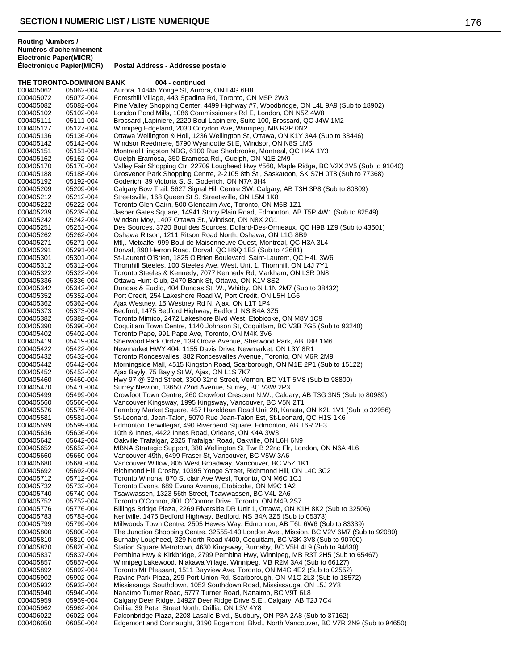**THE TORONTO-DOMINION BANK 004 - continued** 000405062 05062-004 Aurora, 14845 Yonge St, Aurora, ON L4G 6H8 000405072 05072-004 Foresthill Village, 443 Spadina Rd, Toronto, ON M5P 2W3 Pine Valley Shopping Center, 4499 Highway #7, Woodbridge, ON L4L 9A9 (Sub to 18902) 000405102 05102-004 London Pond Mills, 1086 Commissioners Rd E, London, ON N5Z 4W8 000405111 05111-004 Brossard ,Lapiniere, 2220 Boul Lapiniere, Suite 100, Brossard, QC J4W 1M2<br>000405127 05127-004 Winnipeg Edgeland, 2030 Corydon Ave, Winnipeg, MB R3P 0N2 000405127 05127-004 Winnipeg Edgeland, 2030 Corydon Ave, Winnipeg, MB R3P 0N2 000405136 05136-004 Ottawa Wellington & Holl, 1236 Wellington St, Ottawa, ON K1Y 3A4 (Sub to 33446)<br>000405142 05142-004 Windsor Reedmere, 5790 Wvandotte St E. Windsor, ON N8S 1M5 Windsor Reedmere, 5790 Wyandotte St E, Windsor, ON N8S 1M5 000405151 05151-004 Montreal Hingston NDG, 6100 Rue Sherbrooke, Montreal, QC H4A 1Y3 000405162 05162-004 Guelph Eramosa, 350 Eramosa Rd., Guelph, ON N1E 2M9 000405170 05170-004 Valley Fair Shopping Ctr, 22709 Lougheed Hwy #560, Maple Ridge, BC V2X 2V5 (Sub to 91040)<br>000405188 05188-004 Grosvenor Park Shopping Centre. 2-2105 8th St.. Saskatoon. SK S7H 0T8 (Sub to 77368) 000405188 05188-004 Grosvenor Park Shopping Centre, 2-2105 8th St., Saskatoon, SK S7H 0T8 (Sub to 77368)<br>000405192 05192-004 Goderich. 39 Victoria St S. Goderich. ON N7A 3H4 000405192 05192-004 Goderich, 39 Victoria St S, Goderich, ON N7A 3H4 000405209 05209-004 Calgary Bow Trail, 5627 Signal Hill Centre SW, Calgary, AB T3H 3P8 (Sub to 80809)<br>000405212 05212-004 Streetsville, 168 Queen St S, Streetsville, ON L5M 1K8 000405212 05212-004 Streetsville, 168 Queen St S, Streetsville, ON L5M 1K8 000405222 05222-004 Toronto Glen Cairn, 500 Glencairn Ave, Toronto, ON M6B 1Z1 000405239 05239-004 Jasper Gates Square, 14941 Stony Plain Road, Edmonton, AB T5P 4W1 (Sub to 82549)<br>000405242 05242-004 Windsor Moy, 1407 Ottawa St., Windsor, ON N8X 2G1 000405242 05242-004 Windsor Moy, 1407 Ottawa St., Windsor, ON N8X 2G1 000405251 05251-004 Des Sources, 3720 Boul des Sources, Dollard-Des-Ormeaux, QC H9B 1Z9 (Sub to 43501)<br>000405262 05262-004 Oshawa Ritson. 1211 Ritson Road North. Oshawa. ON L1G 8B9 000405262 05262-004 Oshawa Ritson, 1211 Ritson Road North, Oshawa, ON L1G 8B9 000405271 05271-004 Mtl,. Metcalfe, 999 Boul de Maisonneuve Ouest, Montreal, QC H3A 3L4 000405291 05291-004 Dorval, 890 Herron Road, Dorval, QC H9Q 1B3 (Sub to 43681) 000405301 05301-004 St-Laurent O'Brien, 1825 O'Brien Boulevard, Saint-Laurent, QC H4L 3W6 000405312 05312-004 Thornhill Steeles, 100 Steeles Ave. West, Unit 1, Thornhill, ON L4J 7Y1 Toronto Steeles & Kennedy, 7077 Kennedy Rd, Markham, ON L3R 0N8 000405336 05336-004 Ottawa Hunt Club, 2470 Bank St, Ottawa, ON K1V 8S2 000405342 05342-004 Dundas & Euclid, 404 Dundas St. W., Whitby, ON L1N 2M7 (Sub to 38432) 000405352 05352-004 Port Credit, 254 Lakeshore Road W, Port Credit, ON L5H 1G6 000405362 05362-004 Ajax Westney, 15 Westney Rd N, Ajax, ON L1T 1P4 Bedford, 1475 Bedford Highway, Bedford, NS B4A 3Z5 000405382 05382-004 Toronto Mimico, 2472 Lakeshore Blvd West, Etobicoke, ON M8V 1C9 000405390 05390-004 Coquitlam Town Centre, 1140 Johnson St, Coquitlam, BC V3B 7G5 (Sub to 93240)<br>000405402 05402-004 Toronto Pape, 991 Pape Ave, Toronto, ON M4K 3V6 000405402 05402-004 Toronto Pape, 991 Pape Ave, Toronto, ON M4K 3V6 000405419 05419-004 Sherwood Park Ordze, 139 Oroze Avenue, Sherwood Park, AB T8B 1M6<br>000405422 05422-004 Newmarket HWY 404. 1155 Davis Drive. Newmarket. ON L3Y 8R1 000405422 05422-004 Newmarket HWY 404, 1155 Davis Drive, Newmarket, ON L3Y 8R1 000405432 05432-004 Toronto Roncesvalles, 382 Roncesvalles Avenue, Toronto, ON M6R 2M9 000405442 05442-004 Morningside Mall, 4515 Kingston Road, Scarborough, ON M1E 2P1 (Sub to 15122)<br>000405452 05452-004 Ajax Bayly, 75 Bayly St W, Ajax, ON L1S 7K7 000405452 05452-004 Ajax Bayly, 75 Bayly St W, Ajax, ON L1S 7K7 000405460 05460-004 Hwy 97 @ 32nd Street, 3300 32nd Street, Vernon, BC V1T 5M8 (Sub to 98800)<br>000405470 05470-004 Surrey Newton, 13650 72nd Avenue, Surrey, BC V3W 2P3 000405470 05470-004 Surrey Newton, 13650 72nd Avenue, Surrey, BC V3W 2P3<br>000405499 05499-004 Crowfoot Town Centre, 260 Crowfoot Crescent N.W., Calga 000405499 05499-004 Crowfoot Town Centre, 260 Crowfoot Crescent N.W., Calgary, AB T3G 3N5 (Sub to 80989)<br>000405560 05560-004 Vancouver Kingswav. 1995 Kingswav. Vancouver. BC V5N 2T1 Vancouver Kingsway, 1995 Kingsway, Vancouver, BC V5N 2T1 000405576 05576-004 Farmboy Market Square, 457 Hazeldean Road Unit 28, Kanata, ON K2L 1V1 (Sub to 32956)<br>000405581 05581-004 St-Leonard, Jean-Talon, 5070 Rue Jean-Talon Est, St-Leonard, QC H1S 1K6 000405581 05581-004 St-Leonard, Jean-Talon, 5070 Rue Jean-Talon Est, St-Leonard, QC H1S 1K6 000405599 05599-004 Edmonton Terwillegar, 490 Riverbend Square, Edmonton, AB T6R 2E3<br>000405636 05636-004 10th & Innes, 4422 Innes Road, Orleans, ON K4A 3W3 000405636 05636-004 10th & Innes, 4422 Innes Road, Orleans, ON K4A 3W3 Oakville Trafalgar, 2325 Trafalgar Road, Oakville, ON L6H 6N9 000405652 05652-004 MBNA Strategic Support, 380 Wellington St Twr B 22nd Flr, London, ON N6A 4L6 000405660 05660-004 Vancouver 49th, 6499 Fraser St, Vancouver, BC V5W 3A6<br>000405680 05680-004 Vancouver Willow, 805 West Broadway, Vancouver, BC V5 000405680 05680-004 Vancouver Willow, 805 West Broadway, Vancouver, BC V5Z 1K1<br>000405692 05692-004 Richmond Hill Crosby, 10395 Yonge Street, Richmond Hill, ON L4 000405692 05692-004 Richmond Hill Crosby, 10395 Yonge Street, Richmond Hill, ON L4C 3C2 Toronto Winona, 870 St clair Ave West, Toronto, ON M6C 1C1 000405732 05732-004 Toronto Evans, 689 Evans Avenue, Etobicoke, ON M9C 1A2 000405740 05740-004 Tsawwassen, 1323 56th Street, Tsawwassen, BC V4L 2A6 000405752 05752-004 Toronto O'Connor, 801 O'Connor Drive, Toronto, ON M4B 2S7 000405776 05776-004 Billings Bridge Plaza, 2269 Riverside DR Unit 1, Ottawa, ON K1H 8K2 (Sub to 32506)<br>000405783 05783-004 Kentville, 1475 Bedford Highway, Bedford, NS B4A 375 (Sub to 05373) 000405783 05783-004 Kentville, 1475 Bedford Highway, Bedford, NS B4A 3Z5 (Sub to 05373) 000405799 05799-004 Millwoods Town Centre, 2505 Hewes Way, Edmonton, AB T6L 6W6 (Sub to 83339) 000405800 05800-004 The Junction Shopping Centre, 32555-140 London Ave., Mission, BC V2V 6M7 (Sub to 92080)<br>000405810 05810-004 Burnaby Lougheed, 329 North Road #400, Coquitlam, BC V3K 3V8 (Sub to 90700) 000405810 05810-004 Burnaby Lougheed, 329 North Road #400, Coquitlam, BC V3K 3V8 (Sub to 90700) 000405820 05820-004 Station Square Metrotown, 4630 Kingsway, Burnaby, BC V5H 4L9 (Sub to 94630) 000405837 05837-004 Pembina Hwy & Kirkbridge, 2799 Pembina Hwy, Winnipeg, MB R3T 2H5 (Sub to 65467)<br>000405857 05857-004 Winnipeg Lakewood, Niakawa Village, Winnipeg, MB R2M 3A4 (Sub to 66127) 000405857 05857-004 Winnipeg Lakewood, Niakawa Village, Winnipeg, MB R2M 3A4 (Sub to 66127) 000405892 05892-004 Toronto Mt Pleasant, 1511 Bayview Ave, Toronto, ON M4G 4E2 (Sub to 02552) 000405902 05902-004 Ravine Park Plaza, 299 Port Union Rd, Scarborough, ON M1C 2L3 (Sub to 18572)<br>000405932 05932-004 Mississauga Southdown, 1052 Southdown Road, Mississauga, ON L5J 2Y8 000405932 05932-004 Mississauga Southdown, 1052 Southdown Road, Mississauga, ON L5J 2Y8 000405940 05940-004 Nanaimo Turner Road, 5777 Turner Road, Nanaimo, BC V9T 6L8 000405959 05959-004 Calgary Deer Ridge, 14927 Deer Ridge Drive S.E., Calgary, AB T2J 7C4 Orillia, 39 Peter Street North, Orillia, ON L3V 4Y8 000406022 06022-004 Falconbridge Plaza, 2208 Lasalle Blvd., Sudbury, ON P3A 2A8 (Sub to 37162)<br>000406050 06050-004 Edgemont and Connaught, 3190 Edgemont Blvd., North Vancouver, BC V7R 2 Edgemont and Connaught, 3190 Edgemont Blvd., North Vancouver, BC V7R 2N9 (Sub to 94650)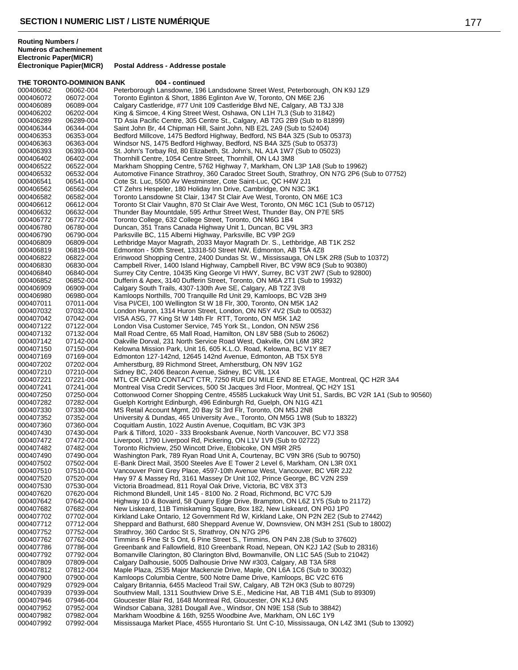#### **THE TORONTO-DOMINION BANK 004 - continued** 000406062 06062-004 Peterborough Lansdowne, 196 Landsdowne Street West, Peterborough, ON K9J 1Z9<br>000406072 06072-004 Toronto Eglinton & Short, 1886 Eglinton Ave W, Toronto, ON M6E 2J6 000406072 06072-004 Toronto Eglinton & Short, 1886 Eglinton Ave W, Toronto, ON M6E 2J6 Calgary Castleridge, #77 Unit 109 Castleridge Blvd NE, Calgary, AB T3J 3J8 000406202 06202-004 King & Simcoe, 4 King Street West, Oshawa, ON L1H 7L3 (Sub to 31842) 000406289 06289-004 TD Asia Pacific Centre, 305 Centre St., Calgary, AB T2G 2B9 (Sub to 81899) 000406344 06344-004 Saint John Br, 44 Chipman Hill, Saint John, NB E2L 2A9 (Sub to 52404) 000406353 06353-004 Bedford Millcove, 1475 Bedford Highway, Bedford, NS B4A 3Z5 (Sub to 05373)<br>000406363 06363-004 Windsor NS. 1475 Bedford Highway. Bedford. NS B4A 3Z5 (Sub to 05373) Windsor NS, 1475 Bedford Highway, Bedford, NS B4A 3Z5 (Sub to 05373) 000406393 06393-004 St. John's Torbay Rd, 80 Elizabeth, St. John's, NL A1A 1W7 (Sub to 05023) 000406402 06402-004 Thornhill Centre, 1054 Centre Street, Thornhill, ON L4J 3M8 000406522 06522-004 Markham Shopping Centre, 5762 Highway 7, Markham, ON L3P 1A8 (Sub to 19962) 000406532 06532-004 Automotive Finance Strathroy, 360 Caradoc Street South, Strathroy, ON N7G 2P6 (Sub to 07752)<br>000406541 06541-004 Cote St. Luc. 5500 Av Westminster. Cote Saint-Luc. QC H4W 2J1 000406541 06541-004 Cote St. Luc, 5500 Av Westminster, Cote Saint-Luc, QC H4W 2J1<br>000406562 06562-004 CT Zehrs Hespeler, 180 Holiday Inn Drive, Cambridge, ON N3C 3 000406562 06562-004 CT Zehrs Hespeler, 180 Holiday Inn Drive, Cambridge, ON N3C 3K1 000406582 06582-004 Toronto Lansdowne St Clair, 1347 St Clair Ave West, Toronto, ON M6E 1C3<br>000406612 06612-004 Toronto St Clair Vaughn, 870 St Clair Ave West, Toronto, ON M6C 1C1 (Sub 000406612 06612-004 Toronto St Clair Vaughn, 870 St Clair Ave West, Toronto, ON M6C 1C1 (Sub to 05712)<br>000406632 06632-004 Thunder Bay Mountdale, 595 Arthur Street West, Thunder Bay, ON P7E 5R5 000406632 06632-004 Thunder Bay Mountdale, 595 Arthur Street West, Thunder Bay, ON P7E 5R5<br>000406772 066772-004 Toronto College, 632 College Street, Toronto, ON M6G 1B4 000406772 06772-004 Toronto College, 632 College Street, Toronto, ON M6G 1B4 000406780 06780-004 Duncan, 351 Trans Canada Highway Unit 1, Duncan, BC V9L 3R3 000406790 06790-004 Parksville BC, 115 Alberni Highway, Parksville, BC V9P 2G9 000406809 06809-004 Lethbridge Mayor Magrath, 2033 Mayor Magrath Dr. S., Lethbridge, AB T1K 2S2<br>000406819 06819-004 Edmonton - 50th Street, 13318-50 Street NW, Edmonton, AB T5A 4Z8 000406819 06819-004 Edmonton - 50th Street, 13318-50 Street NW, Edmonton, AB T5A 4Z8 000406822 06822-004 Erinwood Shopping Centre, 2400 Dundas St. W., Mississauga, ON L5K 2R8 (Sub to 10372)<br>000406830 06830-004 Campbell River, 1400 Island Highway, Campbell River, BC V9W 8C9 (Sub to 90380) 000406830 06830-004 Campbell River, 1400 Island Highway, Campbell River, BC V9W 8C9 (Sub to 90380)<br>000406840 06840-004 Surrey City Centre, 10435 King George VI HWY, Surrey, BC V3T 2W7 (Sub to 92800 Surrey City Centre, 10435 King George VI HWY, Surrey, BC V3T 2W7 (Sub to 92800) 000406852 06852-004 Dufferin & Apex, 3140 Dufferin Street, Toronto, ON M6A 2T1 (Sub to 19932) 06909-004 Calgary South Trails, 4307-130th Ave SE, Calgary, AB T2Z 3V8<br>06980-004 Kamloops Northills, 700 Tranquille Rd Unit 29, Kamloops, BC V2 000406980 06980-004 Kamloops Northills, 700 Tranquille Rd Unit 29, Kamloops, BC V2B 3H9<br>000407011 07011-004 Visa PI/CEI, 100 Wellington St W 18 Flr, 300, Toronto, ON M5K 1A2 000407011 07011-004 Visa PI/CEI, 100 Wellington St W 18 Flr, 300, Toronto, ON M5K 1A2 London Huron, 1314 Huron Street, London, ON N5Y 4V2 (Sub to 00532) 000407042 07042-004 VISA ASG, 77 King St W 14th Flr RTT, Toronto, ON M5K 1A2 000407122 07122-004 London Visa Customer Service, 745 York St., London, ON N5W 2S6<br>000407132 07132-004 Mall Road Centre, 65 Mall Road, Hamilton, ON L8V 5B8 (Sub to 260 000407132 07132-004 Mall Road Centre, 65 Mall Road, Hamilton, ON L8V 5B8 (Sub to 26062)<br>000407142 07142-004 Cakville Dorval, 231 North Service Road West, Oakville, ON L6M 3R2 000407142 07142-004 Oakville Dorval, 231 North Service Road West, Oakville, ON L6M 3R2 000407150 07150-004 Kelowna Mission Park, Unit 16, 605 K.L.O. Road, Kelowna, BC V1Y 8E7<br>000407169 07169-004 Edmonton 127-142nd, 12645 142nd Avenue, Edmonton, AB T5X 5Y8 000407169 07169-004 Edmonton 127-142nd, 12645 142nd Avenue, Edmonton, AB T5X 5Y8<br>000407202 07202-004 Amherstburg, 89 Richmond Street, Amherstburg, ON N9V 1G2 000407202 07202-004 Amherstburg, 89 Richmond Street, Amherstburg, ON N9V 1G2<br>000407210 07210-004 Sidney BC, 2406 Beacon Avenue, Sidney, BC V8L 1X4 000407210 07210-004 Sidney BC, 2406 Beacon Avenue, Sidney, BC V8L 1X4 000407221 07221-004 MTL CR CARD CONTACT CTR, 7250 RUE DU MILE END 8E ETAGE, Montreal, QC H2R 3A4<br>000407241 07241-004 Montreal Visa Credit Services, 500 St Jacques 3rd Floor, Montreal, QC H2Y 1S1 000407241 07241-004 Montreal Visa Credit Services, 500 St Jacques 3rd Floor, Montreal, QC H2Y 1S1 000407250 07250-004 Cottonwood Corner Shopping Centre, 45585 Luckakuck Way Unit 51, Sardis, BC V2R 1A1 (Sub to 90560)<br>000407282 07282-004 Guelph Kortright Edinburgh. 496 Edinburgh Rd. Guelph. ON N1G 4Z1 Guelph Kortright Edinburgh, 496 Edinburgh Rd, Guelph, ON N1G 4Z1 000407330 07330-004 MS Retail Account Mgmt, 20 Bay St 3rd Flr, Toronto, ON M5J 2N8 University & Dundas, 465 University Ave., Toronto, ON M5G 1W8 (Sub to 18322) 000407360 07360-004 Coquitlam Austin, 1022 Austin Avenue, Coquitlam, BC V3K 3P3<br>000407430 07430-004 Park & Tilford, 1020 - 333 Brooksbank Avenue, North Vancouve 000407430 07430-004 Park & Tilford, 1020 - 333 Brooksbank Avenue, North Vancouver, BC V7J 3S8<br>000407472 07472-004 Liverpool. 1790 Liverpool Rd. Pickering. ON L1V 1V9 (Sub to 02722) Liverpool, 1790 Liverpool Rd, Pickering, ON L1V 1V9 (Sub to 02722) 000407482 07482-004 Toronto Richview, 250 Wincott Drive, Etobicoke, ON M9R 2R5 Washington Park, 789 Ryan Road Unit A, Courtenay, BC V9N 3R6 (Sub to 90750) 000407502 07502-004 E-Bank Direct Mail, 3500 Steeles Ave E Tower 2 Level 6, Markham, ON L3R 0X1<br>000407510 07510-004 Vancouver Point Grey Place, 4597-10th Avenue West, Vancouver, BC V6R 2J2 000407510 07510-004 Vancouver Point Grey Place, 4597-10th Avenue West, Vancouver, BC V6R 2J2<br>000407520 07520-004 Hwy 97 & Massey Rd. 3161 Massey Dr Unit 102. Prince George. BC V2N 2S9 Hwy 97 & Massey Rd, 3161 Massey Dr Unit 102, Prince George, BC V2N 2S9 000407530 07530-004 Victoria Broadmead, 811 Royal Oak Drive, Victoria, BC V8X 3T3 000407620 07620-004 Richmond Blundell, Unit 145 - 8100 No. 2 Road, Richmond, BC V7C 5J9<br>000407642 07642-004 Highway 10 & Bovaird, 58 Quarry Edge Drive, Brampton, ON L6Z 1Y5 (S 000407642 07642-004 Highway 10 & Bovaird, 58 Quarry Edge Drive, Brampton, ON L6Z 1Y5 (Sub to 21172)<br>000407682 07682-004 New Liskeard, 11B Timiskaming Square, Box 182, New Liskeard, ON P0J 1P0 000407682 07682-004 New Liskeard, 11B Timiskaming Square, Box 182, New Liskeard, ON P0J 1P0<br>000407702 07702-004 Kirkland Lake Ontario, 12 Government Rd W. Kirkland Lake, ON P2N 2F2 (Sul 000407702 07702-004 Kirkland Lake Ontario, 12 Government Rd W, Kirkland Lake, ON P2N 2E2 (Sub to 27442)<br>000407712 07712-004 Sheppard and Bathurst, 680 Sheppard Avenue W, Downsview, ON M3H 2S1 (Sub to 1800 000407712 07712-004 Sheppard and Bathurst, 680 Sheppard Avenue W, Downsview, ON M3H 2S1 (Sub to 18002)<br>000407752 07752-004 Strathroy, 360 Cardoc St S, Strathroy, ON N7G 2P6 Strathroy, 360 Cardoc St S, Strathroy, ON N7G 2P6 000407762 07762-004 Timmins 6 Pine St S Ont, 6 Pine Street S., Timmins, ON P4N 2J8 (Sub to 37602)<br>000407786 07786-004 Greenbank and Fallowfield, 810 Greenbank Road, Nepean, ON K2J 1A2 (Sub to 000407786 07786-004 Greenbank and Fallowfield, 810 Greenbank Road, Nepean, ON K2J 1A2 (Sub to 28316)<br>000407792 07792-004 Bomanville Clarington, 80 Clarington Blvd, Bowmanville, ON L1C 5A5 (Sub to 21042) 000407792 07792-004 Bomanville Clarington, 80 Clarington Blvd, Bowmanville, ON L1C 5A5 (Sub to 21042)<br>000407809 07809-004 Calgary Dalhousie, 5005 Dalhousie Drive NW #303, Calgary, AB T3A 5R8 000407809 07809-004 Calgary Dalhousie, 5005 Dalhousie Drive NW #303, Calgary, AB T3A 5R8 Maple Plaza, 2535 Major Mackenzie Drive, Maple, ON L6A 1C6 (Sub to 30032) 000407900 07900-004 Kamloops Columbia Centre, 500 Notre Dame Drive, Kamloops, BC V2C 6T6<br>000407929 07929-004 Calgary Britannia, 6455 Macleod Trail SW, Calgary, AB T2H 0K3 (Sub to 807 Calgary Britannia, 6455 Macleod Trail SW, Calgary, AB T2H 0K3 (Sub to 80729) 000407939 07939-004 Southview Mall, 1311 Southview Drive S.E., Medicine Hat, AB T1B 4M1 (Sub to 89309)<br>000407946 07946-004 Gloucester Blair Rd, 1648 Montreal Rd, Gloucester, ON K1J 6N5 000407946 07946-004 Gloucester Blair Rd, 1648 Montreal Rd, Gloucester, ON K1J 6N5<br>000407952 07952-004 Windsor Cabana. 3281 Dougall Ave.. Windsor. ON N9E 1S8 (Sub Windsor Cabana, 3281 Dougall Ave., Windsor, ON N9E 1S8 (Sub to 38842) 000407982 07982-004 Markham Woodbine & 16th, 9255 Woodbine Ave, Markham, ON L6C 1Y9 Mississauga Market Place, 4555 Hurontario St. Unt C-10, Mississauga, ON L4Z 3M1 (Sub to 13092)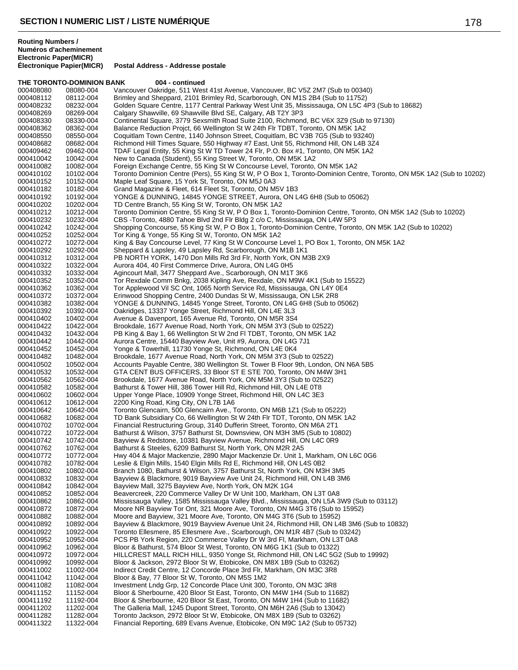**THE TORONTO-DOMINION BANK 004 - continued**<br>000408080 08080-004 Vancouver Oakridge, 511 West

**Électronique Papier(MICR) Postal Address - Addresse postale**

| 000408112              | 08112-004              | Brimley and Sheppard, 2101 Brimley Rd, Scarborough, ON M1S 2B4 (Sub to 11752)                                                                    |
|------------------------|------------------------|--------------------------------------------------------------------------------------------------------------------------------------------------|
| 000408232              | 08232-004              | Golden Square Centre, 1177 Central Parkway West Unit 35, Mississauga, ON L5C 4P3 (Sub to 18682)                                                  |
| 000408269              | 08269-004              | Calgary Shawville, 69 Shawville Blvd SE, Calgary, AB T2Y 3P3                                                                                     |
| 000408330              | 08330-004              | Continental Square, 3779 Sexsmith Road Suite 2100, Richmond, BC V6X 3Z9 (Sub to 97130)                                                           |
| 000408362              | 08362-004              | Balance Reduction Projct, 66 Wellington St W 24th Flr TDBT, Toronto, ON M5K 1A2                                                                  |
| 000408550              | 08550-004              | Coquitlam Town Centre, 1140 Johnson Street, Coquitlam, BC V3B 7G5 (Sub to 93240)                                                                 |
| 000408682              | 08682-004              | Richmond Hill Times Square, 550 Highway #7 East, Unit 55, Richmond Hill, ON L4B 3Z4                                                              |
| 000409462              | 09462-004              | TDAF Legal Entity, 55 King St W TD Tower 24 Flr, P.O. Box #1, Toronto, ON M5K 1A2                                                                |
| 000410042              | 10042-004              | New to Canada (Student), 55 King Street W, Toronto, ON M5K 1A2                                                                                   |
| 000410082              | 10082-004              | Foreign Exchange Centre, 55 King St W Concourse Level, Toronto, ON M5K 1A2                                                                       |
| 000410102              | 10102-004              | Toronto Dominion Centre (Pers), 55 King St W, P O Box 1, Toronto-Dominion Centre, Toronto, ON M5K 1A2 (Sub to 10202)                             |
| 000410152              | 10152-004              | Maple Leaf Square, 15 York St, Toronto, ON M5J 0A3                                                                                               |
| 000410182<br>000410192 | 10182-004<br>10192-004 | Grand Magazine & Fleet, 614 Fleet St, Toronto, ON M5V 1B3<br>YONGE & DUNNING, 14845 YONGE STREET, Aurora, ON L4G 6H8 (Sub to 05062)              |
| 000410202              | 10202-004              | TD Centre Branch, 55 King St W, Toronto, ON M5K 1A2                                                                                              |
| 000410212              | 10212-004              | Toronto Dominion Centre, 55 King St W, P O Box 1, Toronto-Dominion Centre, Toronto, ON M5K 1A2 (Sub to 10202)                                    |
| 000410232              | 10232-004              | CBS -Toronto, 4880 Tahoe Blvd 2nd Flr Bldg 2 c/o C, Mississauga, ON L4W 5P3                                                                      |
| 000410242              | 10242-004              | Shopping Concourse, 55 King St W, P O Box 1, Toronto-Dominion Centre, Toronto, ON M5K 1A2 (Sub to 10202)                                         |
| 000410252              | 10252-004              | Tor King & Yonge, 55 King St W, Toronto, ON M5K 1A2                                                                                              |
| 000410272              | 10272-004              | King & Bay Concourse Level, 77 King St W Concourse Level 1, PO Box 1, Toronto, ON M5K 1A2                                                        |
| 000410292              | 10292-004              | Sheppard & Lapsley, 49 Lapsley Rd, Scarborough, ON M1B 1K1                                                                                       |
| 000410312              | 10312-004              | PB NORTH YORK, 1470 Don Mills Rd 3rd Flr, North York, ON M3B 2X9                                                                                 |
| 000410322              | 10322-004              | Aurora 404, 40 First Commerce Drive, Aurora, ON L4G 0H5                                                                                          |
| 000410332              | 10332-004              | Agincourt Mall, 3477 Sheppard Ave., Scarborough, ON M1T 3K6                                                                                      |
| 000410352              | 10352-004              | Tor Rexdale Comm Bnkg, 2038 Kipling Ave, Rexdale, ON M9W 4K1 (Sub to 15522)                                                                      |
| 000410362              | 10362-004              | Tor Applewood Vil SC Ont, 1065 North Service Rd, Mississauga, ON L4Y 0E4                                                                         |
| 000410372              | 10372-004              | Erinwood Shopping Centre, 2400 Dundas St W, Mississauga, ON L5K 2R8                                                                              |
| 000410382              | 10382-004              | YONGE & DUNNING, 14845 Yonge Street, Toronto, ON L4G 6H8 (Sub to 05062)                                                                          |
| 000410392              | 10392-004              | Oakridges, 13337 Yonge Street, Richmond Hill, ON L4E 3L3                                                                                         |
| 000410402              | 10402-004              | Avenue & Davenport, 165 Avenue Rd, Toronto, ON M5R 3S4                                                                                           |
| 000410422              | 10422-004              | Brookdale, 1677 Avenue Road, North York, ON M5M 3Y3 (Sub to 02522)                                                                               |
| 000410432              | 10432-004              | PB King & Bay 1, 66 Wellington St W 2nd FI TDBT, Toronto, ON M5K 1A2                                                                             |
| 000410442              | 10442-004              | Aurora Centre, 15440 Bayview Ave, Unit #9, Aurora, ON L4G 7J1                                                                                    |
| 000410452              | 10452-004              | Yonge & Towerhill, 11730 Yonge St, Richmond, ON L4E 0K4                                                                                          |
| 000410482              | 10482-004              | Brookdale, 1677 Avenue Road, North York, ON M5M 3Y3 (Sub to 02522)                                                                               |
| 000410502              | 10502-004              | Accounts Payable Centre, 380 Wellington St. Tower B Floor 9th, London, ON N6A 5B5                                                                |
| 000410532              | 10532-004              | GTA CENT BUS OFFICERS, 33 Bloor ST E STE 700, Toronto, ON M4W 3H1                                                                                |
| 000410562              | 10562-004              | Brookdale, 1677 Avenue Road, North York, ON M5M 3Y3 (Sub to 02522)                                                                               |
| 000410582<br>000410602 | 10582-004<br>10602-004 | Bathurst & Tower Hill, 386 Tower Hill Rd, Richmond Hill, ON L4E 0T8<br>Upper Yonge Place, 10909 Yonge Street, Richmond Hill, ON L4C 3E3          |
| 000410612              | 10612-004              | 2200 King Road, King City, ON L7B 1A6                                                                                                            |
| 000410642              | 10642-004              | Toronto Glencairn, 500 Glencairn Ave., Toronto, ON M6B 1Z1 (Sub to 05222)                                                                        |
| 000410682              | 10682-004              | TD Bank Subsidiary Co, 66 Wellington St W 24th Flr TDT, Toronto, ON M5K 1A2                                                                      |
| 000410702              | 10702-004              | Financial Restructuring Group, 3140 Dufferin Street, Toronto, ON M6A 2T1                                                                         |
| 000410722              | 10722-004              | Bathurst & Wilson, 3757 Bathurst St, Downsview, ON M3H 3M5 (Sub to 10802)                                                                        |
| 000410742              | 10742-004              | Bayview & Redstone, 10381 Bayview Avenue, Richmond Hill, ON L4C 0R9                                                                              |
| 000410762              | 10762-004              | Bathurst & Steeles, 6209 Bathurst St, North York, ON M2R 2A5                                                                                     |
| 000410772              | 10772-004              | Hwy 404 & Major Mackenzie, 2890 Major Mackenzie Dr. Unit 1, Markham, ON L6C 0G6                                                                  |
| 000410782              | 10782-004              | Leslie & Elgin Mills, 1540 Elgin Mills Rd E, Richmond Hill, ON L4S 0B2                                                                           |
| 000410802              | 10802-004              | Branch 1080, Bathurst & Wilson, 3757 Bathurst St, North York, ON M3H 3M5                                                                         |
| 000410832              | 10832-004              | Bayview & Blackmore, 9019 Bayview Ave Unit 24, Richmond Hill, ON L4B 3M6                                                                         |
| 000410842              | 10842-004              | Bayview Mall, 3275 Bayview Ave, North York, ON M2K 1G4                                                                                           |
| 000410852              | 10852-004              | Beavercreek, 220 Commerce Valley Dr W Unit 100, Markham, ON L3T 0A8                                                                              |
| 000410862              | 10862-004              | Mississauga Valley, 1585 Mississauga Valley Blvd., Mississauga, ON L5A 3W9 (Sub to 03112)                                                        |
| 000410872              | 10872-004              | Moore NR Bayview Tor Ont, 321 Moore Ave, Toronto, ON M4G 3T6 (Sub to 15952)                                                                      |
| 000410882              | 10882-004              | Moore and Bayview, 321 Moore Ave, Toronto, ON M4G 3T6 (Sub to 15952)                                                                             |
| 000410892              | 10892-004              | Bayview & Blackmore, 9019 Bayview Avenue Unit 24, Richmond Hill, ON L4B 3M6 (Sub to 10832)                                                       |
| 000410922              | 10922-004              | Toronto Ellesmere, 85 Ellesmere Ave., Scarborough, ON M1R 4B7 (Sub to 03242)                                                                     |
| 000410952              | 10952-004              | PCS PB York Region, 220 Commerce Valley Dr W 3rd FI, Markham, ON L3T 0A8                                                                         |
| 000410962              | 10962-004              | Bloor & Bathurst, 574 Bloor St West, Toronto, ON M6G 1K1 (Sub to 01322)                                                                          |
| 000410972              | 10972-004              | HILLCREST MALL RICH HILL, 9350 Yonge St, Richmond Hill, ON L4C 5G2 (Sub to 19992)                                                                |
| 000410992<br>000411002 | 10992-004<br>11002-004 | Bloor & Jackson, 2972 Bloor St W, Etobicoke, ON M8X 1B9 (Sub to 03262)<br>Indirect Credit Centre, 12 Concorde Place 3rd Flr, Markham, ON M3C 3R8 |
| 000411042              | 11042-004              | Bloor & Bay, 77 Bloor St W, Toronto, ON M5S 1M2                                                                                                  |
| 000411082              | 11082-004              | Investment Lndg Grp, 12 Concorde Place Unit 300, Toronto, ON M3C 3R8                                                                             |
| 000411152              | 11152-004              | Bloor & Sherbourne, 420 Bloor St East, Toronto, ON M4W 1H4 (Sub to 11682)                                                                        |
| 000411192              | 11192-004              | Bloor & Sherbourne, 420 Bloor St East, Toronto, ON M4W 1H4 (Sub to 11682)                                                                        |
| 000411202              | 11202-004              | The Galleria Mall, 1245 Dupont Street, Toronto, ON M6H 2A6 (Sub to 13042)                                                                        |
| 000411282              | 11282-004              | Toronto Jackson, 2972 Bloor St W, Etobicoke, ON M8X 1B9 (Sub to 03262)                                                                           |
| 000411322              | 11322-004              | Financial Reporting, 689 Evans Avenue, Etobicoke, ON M9C 1A2 (Sub to 05732)                                                                      |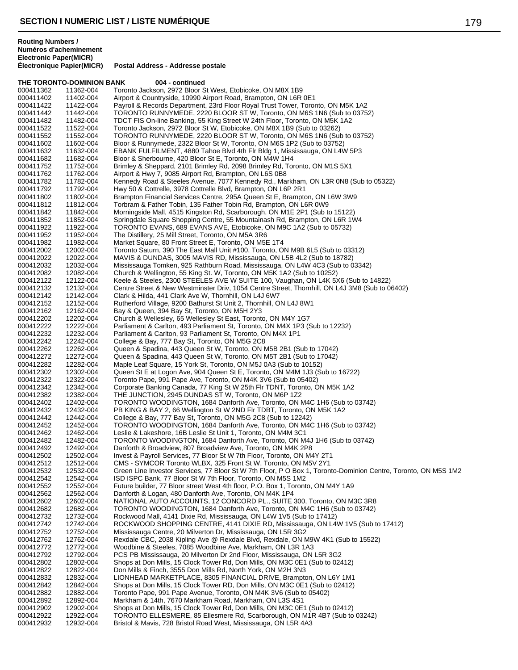| 004 - continued<br>THE TORONTO-DOMINION BANK |                        |                                                                                                                                                     |  |
|----------------------------------------------|------------------------|-----------------------------------------------------------------------------------------------------------------------------------------------------|--|
| 000411362                                    | 11362-004              | Toronto Jackson, 2972 Bloor St West, Etobicoke, ON M8X 1B9                                                                                          |  |
| 000411402                                    | 11402-004              | Airport & Countryside, 10990 Airport Road, Brampton, ON L6R 0E1                                                                                     |  |
| 000411422                                    | 11422-004              | Payroll & Records Department, 23rd Floor Royal Trust Tower, Toronto, ON M5K 1A2                                                                     |  |
| 000411442                                    | 11442-004              | TORONTO RUNNYMEDE, 2220 BLOOR ST W, Toronto, ON M6S 1N6 (Sub to 03752)                                                                              |  |
| 000411482                                    | 11482-004              | TDCT FIS On-line Banking, 55 King Street W 24th Floor, Toronto, ON M5K 1A2                                                                          |  |
| 000411522                                    | 11522-004              | Toronto Jackson, 2972 Bloor St W, Etobicoke, ON M8X 1B9 (Sub to 03262)                                                                              |  |
| 000411552                                    | 11552-004              | TORONTO RUNNYMEDE, 2220 BLOOR ST W, Toronto, ON M6S 1N6 (Sub to 03752)                                                                              |  |
| 000411602<br>000411632                       | 11602-004<br>11632-004 | Bloor & Runnymede, 2322 Bloor St W, Toronto, ON M6S 1P2 (Sub to 03752)<br>EBANK FULFILMENT, 4880 Tahoe Blvd 4th Flr Bldg 1, Mississauga, ON L4W 5P3 |  |
| 000411682                                    | 11682-004              | Bloor & Sherbourne, 420 Bloor St E, Toronto, ON M4W 1H4                                                                                             |  |
| 000411752                                    | 11752-004              | Brimley & Sheppard, 2101 Brimley Rd, 2098 Brimley Rd, Toronto, ON M1S 5X1                                                                           |  |
| 000411762                                    | 11762-004              | Airport & Hwy 7, 9085 Airport Rd, Brampton, ON L6S 0B8                                                                                              |  |
| 000411782                                    | 11782-004              | Kennedy Road & Steeles Avenue, 7077 Kennedy Rd., Markham, ON L3R 0N8 (Sub to 05322)                                                                 |  |
| 000411792                                    | 11792-004              | Hwy 50 & Cottrelle, 3978 Cottrelle Blvd, Brampton, ON L6P 2R1                                                                                       |  |
| 000411802                                    | 11802-004              | Brampton Financial Services Centre, 295A Queen St E, Brampton, ON L6W 3W9                                                                           |  |
| 000411812                                    | 11812-004              | Torbram & Father Tobin, 135 Father Tobin Rd, Brampton, ON L6R 0W9                                                                                   |  |
| 000411842                                    | 11842-004              | Morningside Mall, 4515 Kingston Rd, Scarborough, ON M1E 2P1 (Sub to 15122)                                                                          |  |
| 000411852                                    | 11852-004              | Springdale Square Shopping Centre, 55 Mountainash Rd, Brampton, ON L6R 1W4                                                                          |  |
| 000411922<br>000411952                       | 11922-004<br>11952-004 | TORONTO EVANS, 689 EVANS AVE, Etobicoke, ON M9C 1A2 (Sub to 05732)<br>The Distillery, 25 Mill Street, Toronto, ON M5A 3R6                           |  |
| 000411982                                    | 11982-004              | Market Square, 80 Front Street E, Toronto, ON M5E 1T4                                                                                               |  |
| 000412002                                    | 12002-004              | Toronto Saturn, 390 The East Mall Unit #100, Toronto, ON M9B 6L5 (Sub to 03312)                                                                     |  |
| 000412022                                    | 12022-004              | MAVIS & DUNDAS, 3005 MAVIS RD, Mississauga, ON L5B 4L2 (Sub to 18782)                                                                               |  |
| 000412032                                    | 12032-004              | Mississauga Tomken, 925 Rathburn Road, Mississauga, ON L4W 4C3 (Sub to 03342)                                                                       |  |
| 000412082                                    | 12082-004              | Church & Wellington, 55 King St. W, Toronto, ON M5K 1A2 (Sub to 10252)                                                                              |  |
| 000412122                                    | 12122-004              | Keele & Steeles, 2300 STEELES AVE W SUITE 100, Vaughan, ON L4K 5X6 (Sub to 14822)                                                                   |  |
| 000412132                                    | 12132-004              | Centre Street & New Westminster Driv, 1054 Centre Street, Thornhill, ON L4J 3M8 (Sub to 06402)                                                      |  |
| 000412142                                    | 12142-004              | Clark & Hilda, 441 Clark Ave W, Thornhill, ON L4J 6W7                                                                                               |  |
| 000412152                                    | 12152-004              | Rutherford Village, 9200 Bathurst St Unit 2, Thornhill, ON L4J 8W1                                                                                  |  |
| 000412162                                    | 12162-004              | Bay & Queen, 394 Bay St, Toronto, ON M5H 2Y3                                                                                                        |  |
| 000412202<br>000412222                       | 12202-004<br>12222-004 | Church & Wellesley, 65 Wellesley St East, Toronto, ON M4Y 1G7<br>Parliament & Carlton, 493 Parliament St, Toronto, ON M4X 1P3 (Sub to 12232)        |  |
| 000412232                                    | 12232-004              | Parliament & Carlton, 93 Parliament St, Toronto, ON M4X 1P1                                                                                         |  |
| 000412242                                    | 12242-004              | College & Bay, 777 Bay St, Toronto, ON M5G 2C8                                                                                                      |  |
| 000412262                                    | 12262-004              | Queen & Spadina, 443 Queen St W, Toronto, ON M5B 2B1 (Sub to 17042)                                                                                 |  |
| 000412272                                    | 12272-004              | Queen & Spadina, 443 Queen St W, Toronto, ON M5T 2B1 (Sub to 17042)                                                                                 |  |
| 000412282                                    | 12282-004              | Maple Leaf Square, 15 York St, Toronto, ON M5J 0A3 (Sub to 10152)                                                                                   |  |
| 000412302                                    | 12302-004              | Queen St E at Logon Ave, 904 Queen St E, Toronto, ON M4M 1J3 (Sub to 16722)                                                                         |  |
| 000412322                                    | 12322-004              | Toronto Pape, 991 Pape Ave, Toronto, ON M4K 3V6 (Sub to 05402)                                                                                      |  |
| 000412342                                    | 12342-004              | Corporate Banking Canada, 77 King St W 25th Flr TDNT, Toronto, ON M5K 1A2                                                                           |  |
| 000412382                                    | 12382-004              | THE JUNCTION, 2945 DUNDAS ST W, Toronto, ON M6P 1Z2                                                                                                 |  |
| 000412402<br>000412432                       | 12402-004<br>12432-004 | TORONTO WOODINGTON, 1684 Danforth Ave, Toronto, ON M4C 1H6 (Sub to 03742)<br>PB KING & BAY 2, 66 Wellington St W 2ND Flr TDBT, Toronto, ON M5K 1A2  |  |
| 000412442                                    | 12442-004              | College & Bay, 777 Bay St, Toronto, ON M5G 2C8 (Sub to 12242)                                                                                       |  |
| 000412452                                    | 12452-004              | TORONTO WOODINGTON, 1684 Danforth Ave, Toronto, ON M4C 1H6 (Sub to 03742)                                                                           |  |
| 000412462                                    | 12462-004              | Leslie & Lakeshore, 16B Leslie St Unit 1, Toronto, ON M4M 3C1                                                                                       |  |
| 000412482                                    | 12482-004              | TORONTO WOODINGTON, 1684 Danforth Ave, Toronto, ON M4J 1H6 (Sub to 03742)                                                                           |  |
| 000412492                                    | 12492-004              | Danforth & Broadview, 807 Broadview Ave, Toronto, ON M4K 2P8                                                                                        |  |
| 000412502                                    | 12502-004              | Invest & Payroll Services, 77 Bloor St W 7th Floor, Toronto, ON M4Y 2T1                                                                             |  |
| 000412512                                    | 12512-004              | CMS - SYMCOR Toronto WLBX, 325 Front St W, Toronto, ON M5V 2Y1                                                                                      |  |
| 000412532                                    | 12532-004              | Green Line Investor Services, 77 Bloor St W 7th Floor, P O Box 1, Toronto-Dominion Centre, Toronto, ON M5S 1M2                                      |  |
| 000412542                                    | 12542-004              | ISD ISPC Bank, 77 Bloor St W 7th Floor, Toronto, ON M5S 1M2                                                                                         |  |
| 000412552<br>000412562                       | 12552-004<br>12562-004 | Future builder, 77 Bloor street West 4th floor, P.O. Box 1, Toronto, ON M4Y 1A9<br>Danforth & Logan, 480 Danforth Ave, Toronto, ON M4K 1P4          |  |
| 000412602                                    | 12602-004              | NATIONAL AUTO ACCOUNTS, 12 CONCORD PL., SUITE 300, Toronto, ON M3C 3R8                                                                              |  |
| 000412682                                    | 12682-004              | TORONTO WOODINGTON, 1684 Danforth Ave, Toronto, ON M4C 1H6 (Sub to 03742)                                                                           |  |
| 000412732                                    | 12732-004              | Rockwood Mall, 4141 Dixie Rd, Mississauga, ON L4W 1V5 (Sub to 17412)                                                                                |  |
| 000412742                                    | 12742-004              | ROCKWOOD SHOPPING CENTRE, 4141 DIXIE RD, Mississauga, ON L4W 1V5 (Sub to 17412)                                                                     |  |
| 000412752                                    | 12752-004              | Mississauga Centre, 20 Milverton Dr, Mississauga, ON L5R 3G2                                                                                        |  |
| 000412762                                    | 12762-004              | Rexdale CBC, 2038 Kipling Ave @ Rexdale Blvd, Rexdale, ON M9W 4K1 (Sub to 15522)                                                                    |  |
| 000412772                                    | 12772-004              | Woodbine & Steeles, 7085 Woodbine Ave, Markham, ON L3R 1A3                                                                                          |  |
| 000412792                                    | 12792-004              | PCS PB Mississauga, 20 Milverton Dr 2nd Floor, Mississauga, ON L5R 3G2                                                                              |  |
| 000412802                                    | 12802-004              | Shops at Don Mills, 15 Clock Tower Rd, Don Mills, ON M3C 0E1 (Sub to 02412)                                                                         |  |
| 000412822<br>000412832                       | 12822-004<br>12832-004 | Don Mills & Finch, 3555 Don Mills Rd, North York, ON M2H 3N3<br>LIONHEAD MARKETPLACE, 8305 FINANCIAL DRIVE, Brampton, ON L6Y 1M1                    |  |
| 000412842                                    | 12842-004              | Shops at Don Mills, 15 Clock Tower RD, Don Mills, ON M3C 0E1 (Sub to 02412)                                                                         |  |
| 000412882                                    | 12882-004              | Toronto Pape, 991 Pape Avenue, Toronto, ON M4K 3V6 (Sub to 05402)                                                                                   |  |
| 000412892                                    | 12892-004              | Markham & 14th, 7670 Markham Road, Markham, ON L3S 4S1                                                                                              |  |
| 000412902                                    | 12902-004              | Shops at Don Mills, 15 Clock Tower Rd, Don Mills, ON M3C 0E1 (Sub to 02412)                                                                         |  |
| 000412922                                    | 12922-004              | TORONTO ELLESMERE, 85 Ellesmere Rd, Scarborough, ON M1R 4B7 (Sub to 03242)                                                                          |  |
| 000412932                                    | 12932-004              | Bristol & Mavis, 728 Bristol Road West, Mississauga, ON L5R 4A3                                                                                     |  |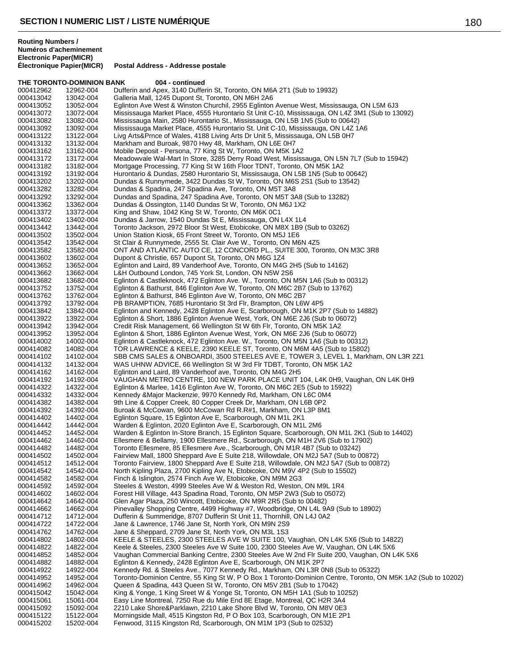**THE TORONTO-DOMINION BANK 004 - continued** 000412962 12962-004 Dufferin and Apex, 3140 Dufferin St, Toronto, ON M6A 2T1 (Sub to 19932)<br>000413042 13042-004 Galleria Mall, 1245 Dupont St, Toronto, ON M6H 2A6 000413042 13042-004 Galleria Mall, 1245 Dupont St, Toronto, ON M6H 2A6<br>000413052 13052-004 Eglinton Ave West & Winston Churchil. 2955 Eglinton Eglinton Ave West & Winston Churchil, 2955 Eglinton Avenue West, Mississauga, ON L5M 6J3 000413072 13072-004 Mississauga Market Place, 4555 Hurontario St Unit C-10, Mississauga, ON L4Z 3M1 (Sub to 13092)<br>000413082 13082-004 Mississauga Main, 2580 Hurontario St., Mississauga, ON L5B 1N5 (Sub to 00642) 13082-004 Mississauga Main, 2580 Hurontario St., Mississauga, ON L5B 1N5 (Sub to 00642)<br>13092-004 Mississauga Market Place, 4555 Hurontario St. Unit C-10, Mississauga, ON L4Z 1. 000413092 13092-004 Mississauga Market Place, 4555 Hurontario St. Unit C-10, Mississauga, ON L4Z 1A6<br>000413122 13122-004 Livg Arts&Prnce of Wales, 4188 Living Arts Dr Unit 5, Mississauga, ON L5B 0H7 000413122 13122-004 Livg Arts&Prnce of Wales, 4188 Living Arts Dr Unit 5, Mississauga, ON L5B 0H7<br>000413132 13132-004 Markham and Buroak, 9870 Hwy 48, Markham, ON L6F 0H7 Markham and Buroak, 9870 Hwy 48, Markham, ON L6E 0H7 000413162 13162-004 Mobile Deposit - Persona, 77 King St W, Toronto, ON M5K 1A2 Meadowvale Wal-Mart In Store, 3285 Derry Road West, Mississauga, ON L5N 7L7 (Sub to 15942) 000413182 13182-004 Mortgage Processing, 77 King St W 16th Floor TDNT, Toronto, ON M5K 1A2<br>000413192 13192-004 Hurontario & Dundas, 2580 Hurontario St, Mississauga, ON L5B 1N5 (Sub to 000413192 13192-004 Hurontario & Dundas, 2580 Hurontario St, Mississauga, ON L5B 1N5 (Sub to 00642)<br>000413202 13202-004 Dundas & Runnymede, 3422 Dundas St W, Toronto, ON M6S 2S1 (Sub to 13542) 000413202 13202-004 Dundas & Runnymede, 3422 Dundas St W, Toronto, ON M6S 2S1 (Sub to 13542)<br>000413282 13282-004 Dundas & Spadina, 247 Spadina Ave, Toronto, ON M5T 3A8 000413282 13282-004 Dundas & Spadina, 247 Spadina Ave, Toronto, ON M5T 3A8<br>000413292 13292-004 Dundas and Spadina, 247 Spadina Ave, Toronto, ON M5T 3A Dundas and Spadina, 247 Spadina Ave, Toronto, ON M5T 3A8 (Sub to 13282) 000413362 13362-004 Dundas & Ossington, 1140 Dundas St W, Toronto, ON M6J 1X2<br>000413372 13372-004 King and Shaw, 1042 King St W, Toronto, ON M6K 0C1 13372-004 King and Shaw, 1042 King St W, Toronto, ON M6K 0C1 000413402 13402-004 Dundas & Jarrow, 1540 Dundas St E, Mississauga, ON L4X 1L4<br>000413442 13442-004 Toronto Jackson, 2972 Bloor St West, Etobicoke, ON M8X 1B9 ( 000413442 13442-004 Toronto Jackson, 2972 Bloor St West, Etobicoke, ON M8X 1B9 (Sub to 03262)<br>000413502 13502-004 Union Station Kiosk. 65 Front Street W. Toronto. ON M5J 1E6 Union Station Kiosk, 65 Front Street W, Toronto, ON M5J 1E6 000413542 13542-004 St Clair & Runnymede, 2555 St. Clair Ave W., Toronto, ON M6N 4Z5<br>000413582 13582-004 ONT AND ATLANTIC AUTO CE, 12 CONCORD PL., SUITE 300, Tor ONT AND ATLANTIC AUTO CE, 12 CONCORD PL., SUITE 300, Toronto, ON M3C 3R8 000413602 13602-004 Dupont & Christie, 657 Dupont St, Toronto, ON M6G 1Z4<br>000413652 13652-004 Eglinton and Laird, 89 Vanderhoof Ave, Toronto, ON M4G 000413652 13652-004 Eglinton and Laird, 89 Vanderhoof Ave, Toronto, ON M4G 2H5 (Sub to 14162)<br>000413662 13662-004 L&H Outbound London. 745 York St. London. ON N5W 2S6 L&H Outbound London, 745 York St, London, ON N5W 2S6 000413682 13682-004 Eglinton & Castleknock, 472 Eglinton Ave. W., Toronto, ON M5N 1A6 (Sub to 00312)<br>000413752 13752-004 Eglinton & Bathurst, 846 Eglinton Ave W, Toronto, ON M6C 2B7 (Sub to 13762) Eglinton & Bathurst, 846 Eglinton Ave W, Toronto, ON M6C 2B7 (Sub to 13762) 000413762 13762-004 Eglinton & Bathurst, 846 Eglinton Ave W, Toronto, ON M6C 2B7<br>000413792 13792-004 PB BRAMPTION, 7685 Hurontario St 3rd Flr, Brampton, ON L6V 000413792 13792-004 PB BRAMPTION, 7685 Hurontario St 3rd Flr, Brampton, ON L6W 4P5<br>000413842 13842-004 Eglinton and Kennedy, 2428 Eglinton Ave E. Scarborough, ON M1K 2 Eglinton and Kennedy, 2428 Eglinton Ave E, Scarborough, ON M1K 2P7 (Sub to 14882) 000413922 13922-004 Eglinton & Short, 1886 Eglinton Avenue West, York, ON M6E 2J6 (Sub to 06072)<br>000413942 13942-004 Credit Risk Management, 66 Wellington St W 6th Flr, Toronto, ON M5K 1A2 000413942 13942-004 Credit Risk Management, 66 Wellington St W 6th Flr, Toronto, ON M5K 1A2 000413952 13952-004 Eglinton & Short, 1886 Eglinton Avenue West, York, ON M6E 2J6 (Sub to 06072) 000414002 14002-004 Eglinton & Castleknock, 472 Eglinton Ave. W., Toronto, ON M5N 1A6 (Sub to 00312) 000414082 14082-004 TOR LAWRENCE & KEELE, 2390 KEELE ST, Toronto, ON M6M 4A5 (Sub to 15802)<br>000414102 14102-004 SBB CMS SALES & ONBOARDI, 3500 STEELES AVE E, TOWER 3, LEVEL 1, Marki 000414102 14102-004 SBB CMS SALES & ONBOARDI, 3500 STEELES AVE E, TOWER 3, LEVEL 1, Markham, ON L3R 2Z1<br>000414132 14132-004 WAS UHNW ADVICE, 66 Wellington St W 3rd Flr TDBT, Toronto, ON M5K 1A2 WAS UHNW ADVICE, 66 Wellington St W 3rd Flr TDBT, Toronto, ON M5K 1A2 000414162 14162-004 Eglinton and Laird, 89 Vanderhoof ave, Toronto, ON M4G 2H5<br>000414192 14192-004 VAUGHAN METRO CENTRE, 100 NEW PARK PLACE UNIT 000414192 14192-004 VAUGHAN METRO CENTRE, 100 NEW PARK PLACE UNIT 104, L4K 0H9, Vaughan, ON L4K 0H9<br>000414322 14322-004 Eglinton & Marlee, 1416 Eglinton Ave W, Toronto, ON M6C 2E5 (Sub to 15922) 000414322 14322-004 Eglinton & Marlee, 1416 Eglinton Ave W, Toronto, ON M6C 2E5 (Sub to 15922)<br>000414332 14332-004 Kennedy & Major Mackenzie, 9970 Kennedy Rd, Markham, ON L6C 0M4 000414332 14332-004 Kennedy &Major Mackenzie, 9970 Kennedy Rd, Markham, ON L6C 0M4 9th Line & Copper Creek, 80 Copper Creek Dr, Markham, ON L6B 0P2 000414392 14392-004 Buroak & McCowan, 9600 McCowan Rd R.R#1, Markham, ON L3P 8M1<br>000414402 14402-004 Eglinton Square, 15 Eglinton Ave E, Scarborough, ON M1L 2K1 000414402 14402-004 Eglinton Square, 15 Eglinton Ave E, Scarborough, ON M1L 2K1<br>000414442 14442-004 Warden & Eglinton, 2020 Eglinton Ave E, Scarborough, ON M1L 000414442 14442-004 Warden & Eglinton, 2020 Eglinton Ave E, Scarborough, ON M1L 2M6<br>000414452 14452-004 Warden & Eglinton In-Store Branch, 15 Eglinton Square, Scarborough 000414452 14452-004 Warden & Eglinton In-Store Branch, 15 Eglinton Square, Scarborough, ON M1L 2K1 (Sub to 14402)<br>000414462 14462-004 Ellesmere & Bellamy, 1900 Ellesmere Rd., Scarborough, ON M1H 2V6 (Sub to 17902) Ellesmere & Bellamy, 1900 Ellesmere Rd., Scarborough, ON M1H 2V6 (Sub to 17902) 000414482 14482-004 Toronto Ellesmere, 85 Ellesmere Ave., Scarborough, ON M1R 4B7 (Sub to 03242) Fairview Mall, 1800 Sheppard Ave E Suite 218, Willowdale, ON M2J 5A7 (Sub to 00872) 000414512 14512-004 Toronto Fairview, 1800 Sheppard Ave E Suite 218, Willowdale, ON M2J 5A7 (Sub to 00872)<br>000414542 14542-004 North Kipling Plaza, 2700 Kipling Ave N, Etobicoke, ON M9V 4P2 (Sub to 15502) 000414542 14542-004 North Kipling Plaza, 2700 Kipling Ave N, Etobicoke, ON M9V 4P2 (Sub to 15502)<br>000414582 14582-004 Finch & Islington, 2574 Finch Ave W, Etobicoke, ON M9M 2G3 Finch & Islington, 2574 Finch Ave W, Etobicoke, ON M9M 2G3 000414592 14592-004 Steeles & Weston, 4999 Steeles Ave W & Weston Rd, Weston, ON M9L 1R4<br>000414602 14602-004 Forest Hill Village, 443 Spadina Road, Toronto, ON M5P 2W3 (Sub to 05072) 000414602 14602-004 Forest Hill Village, 443 Spadina Road, Toronto, ON M5P 2W3 (Sub to 05072)<br>000414642 14642-004 Glen Agar Plaza, 250 Wincott, Etobicoke, ON M9R 2R5 (Sub to 00482) 000414642 14642-004 Glen Agar Plaza, 250 Wincott, Etobicoke, ON M9R 2R5 (Sub to 00482)<br>000414662 14662-004 Pinevalley Shopping Centre, 4499 Highway #7, Woodbridge, ON L4L 9 000414662 14662-004 Pinevalley Shopping Centre, 4499 Highway #7, Woodbridge, ON L4L 9A9 (Sub to 18902)<br>000414712 14712-004 Dufferin & Summeridge, 8707 Dufferin St Unit 11, Thornhill, ON L4J 0A2 000414712 14712-004 Dufferin & Summeridge, 8707 Dufferin St Unit 11, Thornhill, ON L4J 0A2<br>000414722 14722-004 Jane & Lawrence, 1746 Jane St, North York, ON M9N 2S9 000414722 14722-004 Jane & Lawrence, 1746 Jane St, North York, ON M9N 2S9<br>000414762 14762-004 Jane & Sheppard, 2709 Jane St, North York, ON M3L 1S3 000414762 14762-004 Jane & Sheppard, 2709 Jane St, North York, ON M3L 1S3<br>000414802 14802-004 KEELE & STEELES, 2300 STEELES AVE W SUITE 100, \ 000414802 14802-004 KEELE & STEELES, 2300 STEELES AVE W SUITE 100, Vaughan, ON L4K 5X6 (Sub to 14822)<br>000414822 14822-004 Keele & Steeles, 2300 Steeles Ave W Suite 100, 2300 Steeles Ave W, Vaughan, ON L4K 5X6 14822-004 Keele & Steeles, 2300 Steeles Ave W Suite 100, 2300 Steeles Ave W, Vaughan, ON L4K 5X6 000414852 14852-004 Vaughan Commercial Banking Centre, 2300 Steeles Ave W 2nd Flr Suite 200, Vaughan, ON L4K 5X6<br>000414882 14882-004 Eglinton & Kennedy, 2428 Eglinton Ave E, Scarborough, ON M1K 2P7 000414882 14882-004 Eglinton & Kennedy, 2428 Eglinton Ave E, Scarborough, ON M1K 2P7 Kennedy Rd. & Steeles Ave., 7077 Kennedy Rd., Markham, ON L3R 0N8 (Sub to 05322) 000414952 14952-004 Toronto-Dominion Centre, 55 King St W, P O Box 1 Toronto-Dominion Centre, Toronto, ON M5K 1A2 (Sub to 10202)<br>000414962 14962-004 Queen & Spadina, 443 Queen St W, Toronto, ON M5V 2B1 (Sub to 17042) Queen & Spadina, 443 Queen St W, Toronto, ON M5V 2B1 (Sub to 17042) 000415042 15042-004 King & Yonge, 1 King Sreet W & Yonge St, Toronto, ON M5H 1A1 (Sub to 10252)<br>000415061 15061-004 Easy Line Montreal, 7250 Rue du Mile End 8E Etage, Montreal, QC H2R 3A4 000415061 15061-004 Easy Line Montreal, 7250 Rue du Mile End 8E Etage, Montreal, QC H2R 3A4<br>000415092 15092-004 2210 Lake Shore&Parklawn, 2210 Lake Shore Blyd W. Toronto, ON M8V 0E3 2210 Lake Shore&Parklawn, 2210 Lake Shore Blvd W, Toronto, ON M8V 0E3 000415122 15122-004 Morningside Mall, 4515 Kingston Rd, P O Box 103, Scarborough, ON M1E 2P1<br>000415202 15202-004 Fenwood, 3115 Kingston Rd, Scarborough, ON M1M 1P3 (Sub to 02532) Fenwood, 3115 Kingston Rd, Scarborough, ON M1M 1P3 (Sub to 02532)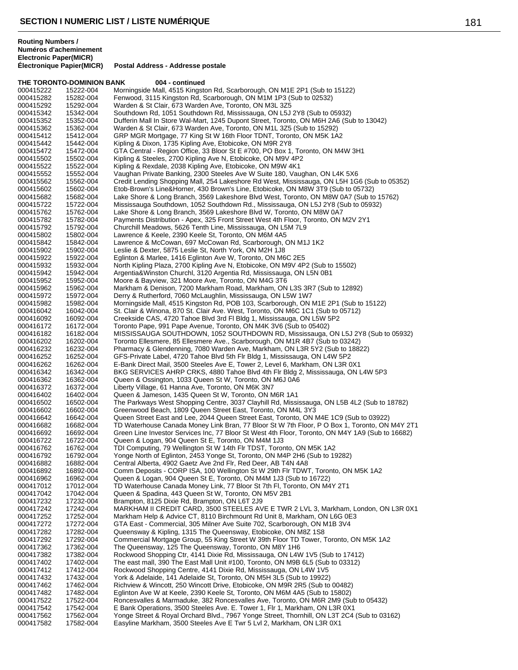# **THE TORONTO-DOMINION BANK 004 - continued**

| 000415222              | 15222-004              | Morningside Mall, 4515 Kingston Rd, Scarborough, ON M1E 2P1 (Sub to 15122)                                                                                                      |
|------------------------|------------------------|---------------------------------------------------------------------------------------------------------------------------------------------------------------------------------|
| 000415282              | 15282-004              | Fenwood, 3115 Kingston Rd, Scarborough, ON M1M 1P3 (Sub to 02532)                                                                                                               |
| 000415292              | 15292-004              | Warden & St Clair, 673 Warden Ave, Toronto, ON M3L 3Z5                                                                                                                          |
| 000415342              | 15342-004              | Southdown Rd, 1051 Southdown Rd, Mississauga, ON L5J 2Y8 (Sub to 05932)                                                                                                         |
| 000415352<br>000415362 | 15352-004<br>15362-004 | Dufferin Mall In Store Wal-Mart, 1245 Dupont Street, Toronto, ON M6H 2A6 (Sub to 13042)<br>Warden & St Clair, 673 Warden Ave, Toronto, ON M1L 3Z5 (Sub to 15292)                |
| 000415412              | 15412-004              | GRP MGR Mortgage, 77 King St W 16th Floor TDNT, Toronto, ON M5K 1A2                                                                                                             |
| 000415442              | 15442-004              | Kipling & Dixon, 1735 Kipling Ave, Etobicoke, ON M9R 2Y8                                                                                                                        |
| 000415472              | 15472-004              | GTA Central - Region Office, 33 Bloor St E #700, PO Box 1, Toronto, ON M4W 3H1                                                                                                  |
| 000415502              | 15502-004              | Kipling & Steeles, 2700 Kipling Ave N, Etobicoke, ON M9V 4P2                                                                                                                    |
| 000415522              | 15522-004              | Kipling & Rexdale, 2038 Kipling Ave, Etobicoke, ON M9W 4K1                                                                                                                      |
| 000415552              | 15552-004              | Vaughan Private Banking, 2300 Steeles Ave W Suite 180, Vaughan, ON L4K 5X6                                                                                                      |
| 000415562              | 15562-004              | Credit Lending Shopping Mall, 254 Lakeshore Rd West, Mississauga, ON L5H 1G6 (Sub to 05352)<br>Etob-Brown's Line&Horner, 430 Brown's Line, Etobicoke, ON M8W 3T9 (Sub to 05732) |
| 000415602<br>000415682 | 15602-004<br>15682-004 | Lake Shore & Long Branch, 3569 Lakeshore Blvd West, Toronto, ON M8W 0A7 (Sub to 15762)                                                                                          |
| 000415722              | 15722-004              | Mississauga Southdown, 1052 Southdown Rd., Mississauga, ON L5J 2Y8 (Sub to 05932)                                                                                               |
| 000415762              | 15762-004              | Lake Shore & Long Branch, 3569 Lakeshore Blvd W, Toronto, ON M8W 0A7                                                                                                            |
| 000415782              | 15782-004              | Payments Distribution - Apex, 325 Front Street West 4th Floor, Toronto, ON M2V 2Y1                                                                                              |
| 000415792              | 15792-004              | Churchill Meadows, 5626 Tenth Line, Mississauga, ON L5M 7L9                                                                                                                     |
| 000415802              | 15802-004              | Lawrence & Keele, 2390 Keele St, Toronto, ON M6M 4A5                                                                                                                            |
| 000415842              | 15842-004              | Lawrence & McCowan, 697 McCowan Rd, Scarborough, ON M1J 1K2                                                                                                                     |
| 000415902<br>000415922 | 15902-004<br>15922-004 | Leslie & Dexter, 5875 Leslie St, North York, ON M2H 1J8<br>Eglinton & Marlee, 1416 Eglinton Ave W, Toronto, ON M6C 2E5                                                          |
| 000415932              | 15932-004              | North Kipling Plaza, 2700 Kipling Ave N, Etobicoke, ON M9V 4P2 (Sub to 15502)                                                                                                   |
| 000415942              | 15942-004              | Argentia&Winston Churchl, 3120 Argentia Rd, Mississauga, ON L5N 0B1                                                                                                             |
| 000415952              | 15952-004              | Moore & Bayview, 321 Moore Ave, Toronto, ON M4G 3T6                                                                                                                             |
| 000415962              | 15962-004              | Markham & Denison, 7200 Markham Road, Markham, ON L3S 3R7 (Sub to 12892)                                                                                                        |
| 000415972              | 15972-004              | Derry & Rutherford, 7060 McLaughlin, Mississauga, ON L5W 1W7                                                                                                                    |
| 000415982              | 15982-004              | Morningside Mall, 4515 Kingston Rd, POB 103, Scarborough, ON M1E 2P1 (Sub to 15122)                                                                                             |
| 000416042              | 16042-004              | St. Clair & Winona, 870 St. Clair Ave. West, Toronto, ON M6C 1C1 (Sub to 05712)                                                                                                 |
| 000416092<br>000416172 | 16092-004<br>16172-004 | Creekside CAS, 4720 Tahoe Blvd 3rd FI Bldg 1, Mississauga, ON L5W 5P2<br>Toronto Pape, 991 Pape Avenue, Toronto, ON M4K 3V6 (Sub to 05402)                                      |
| 000416182              | 16182-004              | MISSISSAUGA SOUTHDOWN, 1052 SOUTHDOWN RD, Mississauga, ON L5J 2Y8 (Sub to 05932)                                                                                                |
| 000416202              | 16202-004              | Toronto Ellesmere, 85 Ellesmere Ave., Scarborough, ON M1R 4B7 (Sub to 03242)                                                                                                    |
| 000416232              | 16232-004              | Pharmacy & Glendenning, 7080 Warden Ave, Markham, ON L3R 5Y2 (Sub to 18822)                                                                                                     |
| 000416252              | 16252-004              | GFS-Private Label, 4720 Tahoe Blvd 5th Flr Bldg 1, Mississauga, ON L4W 5P2                                                                                                      |
| 000416262              | 16262-004              | E-Bank Direct Mail, 3500 Steeles Ave E, Tower 2, Level 6, Markham, ON L3R 0X1                                                                                                   |
| 000416342              | 16342-004              | BKG SERVICES AHRP CRKS, 4880 Tahoe Blvd 4th Flr Bldg 2, Mississauga, ON L4W 5P3                                                                                                 |
| 000416362<br>000416372 | 16362-004<br>16372-004 | Queen & Ossington, 1033 Queen St W, Toronto, ON M6J 0A6<br>Liberty Village, 61 Hanna Ave, Toronto, ON M6K 3N7                                                                   |
| 000416402              | 16402-004              | Queen & Jameson, 1435 Queen St W, Toronto, ON M6R 1A1                                                                                                                           |
| 000416502              | 16502-004              | The Parkways West Shopping Centre, 3037 Clayhill Rd, Mississauga, ON L5B 4L2 (Sub to 18782)                                                                                     |
| 000416602              | 16602-004              | Greenwood Beach, 1809 Queen Street East, Toronto, ON M4L 3Y3                                                                                                                    |
| 000416642              | 16642-004              | Queen Street East and Lee, 2044 Queen Street East, Toronto, ON M4E 1C9 (Sub to 03922)                                                                                           |
| 000416682              | 16682-004              | TD Waterhouse Canada Money Link Bran, 77 Bloor St W 7th Floor, P O Box 1, Toronto, ON M4Y 2T1                                                                                   |
| 000416692              | 16692-004              | Green Line Investor Services Inc, 77 Bloor St West 4th Floor, Toronto, ON M4Y 1A9 (Sub to 16682)                                                                                |
| 000416722              | 16722-004              | Queen & Logan, 904 Queen St E, Toronto, ON M4M 1J3                                                                                                                              |
| 000416762<br>000416792 | 16762-004<br>16792-004 | TDI Computing, 79 Wellington St W 14th Flr TDST, Toronto, ON M5K 1A2<br>Yonge North of Eglinton, 2453 Yonge St, Toronto, ON M4P 2H6 (Sub to 19282)                              |
| 000416882              | 16882-004              | Central Alberta, 4902 Gaetz Ave 2nd Flr, Red Deer, AB T4N 4A8                                                                                                                   |
| 000416892              | 16892-004              | Comm Deposits - CORP ISA, 100 Wellington St W 29th Flr TDWT, Toronto, ON M5K 1A2                                                                                                |
| 000416962              | 16962-004              | Queen & Logan, 904 Queen St E, Toronto, ON M4M 1J3 (Sub to 16722)                                                                                                               |
| 000417012              | 17012-004              | TD Waterhouse Canada Money Link, 77 Bloor St 7th Fl, Toronto, ON M4Y 2T1                                                                                                        |
| 000417042              | 17042-004              | Queen & Spadina, 443 Queen St W, Toronto, ON M5V 2B1                                                                                                                            |
| 000417232              | 17232-004              | Brampton, 8125 Dixie Rd, Brampton, ON L6T 2J9                                                                                                                                   |
| 000417242<br>000417252 | 17242-004<br>17252-004 | MARKHAM II CREDIT CARD, 3500 STEELES AVE E TWR 2 LVL 3, Markham, London, ON L3R 0X1<br>Markham Help & Advice CT, 8110 Birchmount Rd Unit 8, Markham, ON L6G 0E3                 |
| 000417272              | 17272-004              | GTA East - Commercial, 305 Milner Ave Suite 702, Scarborough, ON M1B 3V4                                                                                                        |
| 000417282              | 17282-004              | Queensway & Kipling, 1315 The Queensway, Etobicoke, ON M8Z 1S8                                                                                                                  |
| 000417292              | 17292-004              | Commercial Mortgage Group, 55 King Street W 39th Floor TD Tower, Toronto, ON M5K 1A2                                                                                            |
| 000417362              | 17362-004              | The Queensway, 125 The Queensway, Toronto, ON M8Y 1H6                                                                                                                           |
| 000417382              | 17382-004              | Rockwood Shopping Ctr, 4141 Dixie Rd, Mississauga, ON L4W 1V5 (Sub to 17412)                                                                                                    |
| 000417402              | 17402-004              | The east mall, 390 The East Mall Unit #100, Toronto, ON M9B 6L5 (Sub to 03312)                                                                                                  |
| 000417412              | 17412-004              | Rockwood Shopping Centre, 4141 Dixie Rd, Mississauga, ON L4W 1V5                                                                                                                |
| 000417432<br>000417462 | 17432-004<br>17462-004 | York & Adelaide, 141 Adelaide St, Toronto, ON M5H 3L5 (Sub to 19922)<br>Richview & Wincott, 250 Wincott Drive, Etobicoke, ON M9R 2R5 (Sub to 00482)                             |
| 000417482              | 17482-004              | Eglinton Ave W at Keele, 2390 Keele St, Toronto, ON M6M 4A5 (Sub to 15802)                                                                                                      |
| 000417522              | 17522-004              | Roncesvalles & Marmaduke, 382 Roncesvalles Ave, Toronto, ON M6R 2M9 (Sub to 05432)                                                                                              |
| 000417542              | 17542-004              | E Bank Operations, 3500 Steeles Ave. E. Tower 1, Flr 1, Markham, ON L3R 0X1                                                                                                     |
| 000417562              | 17562-004              | Yonge Street & Royal Orchard Blvd., 7967 Yonge Street, Thornhill, ON L3T 2C4 (Sub to 03162)                                                                                     |
| 000417582              | 17582-004              | Easyline Markham, 3500 Steeles Ave E Twr 5 Lvl 2, Markham, ON L3R 0X1                                                                                                           |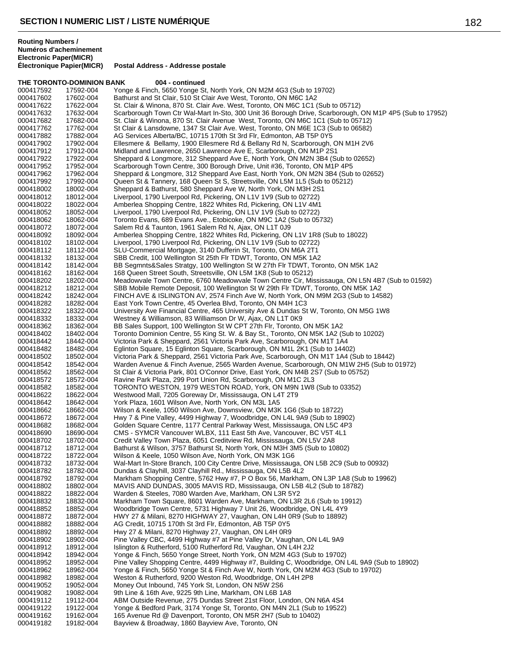**THE TORONTO-DOMINION BANK 004 - continued**

| 000417592 | <b>INE TURUNTU-DUMINIUN DANN</b><br>17592-004 | <u>vun - communeu</u><br>Yonge & Finch, 5650 Yonge St, North York, ON M2M 4G3 (Sub to 19702)            |
|-----------|-----------------------------------------------|---------------------------------------------------------------------------------------------------------|
| 000417602 | 17602-004                                     | Bathurst and St Clair, 510 St Clair Ave West, Toronto, ON M6C 1A2                                       |
| 000417622 | 17622-004                                     | St. Clair & Winona, 870 St. Clair Ave. West, Toronto, ON M6C 1C1 (Sub to 05712)                         |
| 000417632 | 17632-004                                     | Scarborough Town Ctr Wal-Mart In-Sto, 300 Unit 36 Borough Drive, Scarborough, ON M1P 4P5 (Sub to 17952) |
|           |                                               | St. Clair & Winona, 870 St. Clair Avenue West, Toronto, ON M6C 1C1 (Sub to 05712)                       |
| 000417682 | 17682-004                                     |                                                                                                         |
| 000417762 | 17762-004                                     | St Clair & Lansdowne, 1347 St Clair Ave. West, Toronto, ON M6E 1C3 (Sub to 06582)                       |
| 000417882 | 17882-004                                     | AG Services Alberta/BC, 10715 170th St 3rd Flr, Edmonton, AB T5P 0Y5                                    |
| 000417902 | 17902-004                                     | Ellesmere & Bellamy, 1900 Ellesmere Rd & Bellany Rd N, Scarborough, ON M1H 2V6                          |
| 000417912 | 17912-004                                     | Midland and Lawrence, 2650 Lawrence Ave E, Scarborough, ON M1P 2S1                                      |
| 000417922 | 17922-004                                     | Sheppard & Longmore, 312 Sheppard Ave E, North York, ON M2N 3B4 (Sub to 02652)                          |
| 000417952 | 17952-004                                     | Scarborough Town Centre, 300 Borough Drive, Unit #36, Toronto, ON M1P 4P5                               |
| 000417962 | 17962-004                                     | Sheppard & Longmore, 312 Sheppard Ave East, North York, ON M2N 3B4 (Sub to 02652)                       |
| 000417992 | 17992-004                                     | Queen St & Tannery, 168 Queen St S, Streetsville, ON L5M 1L5 (Sub to 05212)                             |
| 000418002 | 18002-004                                     | Sheppard & Bathurst, 580 Sheppard Ave W, North York, ON M3H 2S1                                         |
| 000418012 | 18012-004                                     | Liverpool, 1790 Liverpool Rd, Pickering, ON L1V 1V9 (Sub to 02722)                                      |
| 000418022 | 18022-004                                     | Amberlea Shopping Centre, 1822 Whites Rd, Pickering, ON L1V 4M1                                         |
| 000418052 | 18052-004                                     | Liverpool, 1790 Liverpool Rd, Pickering, ON L1V 1V9 (Sub to 02722)                                      |
| 000418062 | 18062-004                                     | Toronto Evans, 689 Evans Ave., Etobicoke, ON M9C 1A2 (Sub to 05732)                                     |
| 000418072 | 18072-004                                     | Salem Rd & Taunton, 1961 Salem Rd N, Ajax, ON L1T 0J9                                                   |
| 000418092 | 18092-004                                     | Amberlea Shopping Centre, 1822 Whites Rd, Pickering, ON L1V 1R8 (Sub to 18022)                          |
| 000418102 | 18102-004                                     | Liverpool, 1790 Liverpool Rd, Pickering, ON L1V 1V9 (Sub to 02722)                                      |
| 000418112 | 18112-004                                     | SLU-Commercial Mortgage, 3140 Dufferin St, Toronto, ON M6A 2T1                                          |
| 000418132 | 18132-004                                     | SBB Credit, 100 Wellington St 25th Flr TDWT, Toronto, ON M5K 1A2                                        |
| 000418142 | 18142-004                                     | BB Segmnts&Sales Stratgy, 100 Wellington St W 27th Flr TDWT, Toronto, ON M5K 1A2                        |
| 000418162 | 18162-004                                     | 168 Queen Street South, Streetsville, ON L5M 1K8 (Sub to 05212)                                         |
| 000418202 | 18202-004                                     | Meadowvale Town Centre, 6760 Meadowvale Town Centre Cir, Mississauga, ON L5N 4B7 (Sub to 01592)         |
| 000418212 | 18212-004                                     | SBB Mobile Remote Deposit, 100 Wellington St W 29th Flr TDWT, Toronto, ON M5K 1A2                       |
| 000418242 | 18242-004                                     | FINCH AVE & ISLINGTON AV, 2574 Finch Ave W, North York, ON M9M 2G3 (Sub to 14582)                       |
| 000418282 | 18282-004                                     | East York Town Centre, 45 Overlea Blvd, Toronto, ON M4H 1C3                                             |
| 000418322 | 18322-004                                     | University Ave Financial Centre, 465 University Ave & Dundas St W, Toronto, ON M5G 1W8                  |
| 000418332 | 18332-004                                     | Westney & Williamson, 83 Williamson Dr W, Ajax, ON L1T 0K9                                              |
| 000418362 | 18362-004                                     | BB Sales Support, 100 Wellington St W CPT 27th Flr, Toronto, ON M5K 1A2                                 |
| 000418402 | 18402-004                                     | Toronto Dominion Centre, 55 King St. W. & Bay St., Toronto, ON M5K 1A2 (Sub to 10202)                   |
| 000418442 | 18442-004                                     | Victoria Park & Sheppard, 2561 Victoria Park Ave, Scarborough, ON M1T 1A4                               |
| 000418482 | 18482-004                                     | Eglinton Square, 15 Eglinton Square, Scarborough, ON M1L 2K1 (Sub to 14402)                             |
| 000418502 | 18502-004                                     | Victoria Park & Sheppard, 2561 Victoria Park Ave, Scarborough, ON M1T 1A4 (Sub to 18442)                |
| 000418542 | 18542-004                                     | Warden Avenue & Finch Avenue, 2565 Warden Avenue, Scarborough, ON M1W 2H5 (Sub to 01972)                |
| 000418562 | 18562-004                                     | St Clair & Victoria Park, 801 O'Connor Drive, East York, ON M4B 2S7 (Sub to 05752)                      |
|           |                                               | Ravine Park Plaza, 299 Port Union Rd, Scarborough, ON M1C 2L3                                           |
| 000418572 | 18572-004                                     |                                                                                                         |
| 000418582 | 18582-004                                     | TORONTO WESTON, 1979 WESTON ROAD, York, ON M9N 1W8 (Sub to 03352)                                       |
| 000418622 | 18622-004                                     | Westwood Mall, 7205 Goreway Dr, Mississauga, ON L4T 2T9                                                 |
| 000418642 | 18642-004                                     | York Plaza, 1601 Wilson Ave, North York, ON M3L 1A5                                                     |
| 000418662 | 18662-004                                     | Wilson & Keele, 1050 Wilson Ave, Downsview, ON M3K 1G6 (Sub to 18722)                                   |
| 000418672 | 18672-004                                     | Hwy 7 & Pine Valley, 4499 Highway 7, Woodbridge, ON L4L 9A9 (Sub to 18902)                              |
| 000418682 | 18682-004                                     | Golden Square Centre, 1177 Central Parkway West, Mississauga, ON L5C 4P3                                |
| 000418690 | 18690-004                                     | CMS - SYMCR Vancouver WLBX, 111 East 5th Ave, Vancouver, BC V5T 4L1                                     |
| 000418702 | 18702-004                                     | Credit Valley Town Plaza, 6051 Creditview Rd, Mississauga, ON L5V 2A8                                   |
| 000418712 | 18712-004                                     | Bathurst & Wilson, 3757 Bathurst St, North York, ON M3H 3M5 (Sub to 10802)                              |
| 000418722 | 18722-004                                     | Wilson & Keele, 1050 Wilson Ave, North York, ON M3K 1G6                                                 |
| 000418732 | 18732-004                                     | Wal-Mart In-Store Branch, 100 City Centre Drive, Mississauga, ON L5B 2C9 (Sub to 00932)                 |
| 000418782 | 18782-004                                     | Dundas & Clayhill, 3037 Clayhill Rd., Mississauga, ON L5B 4L2                                           |
| 000418792 | 18792-004                                     | Markham Shopping Centre, 5762 Hwy #7, P O Box 56, Markham, ON L3P 1A8 (Sub to 19962)                    |
| 000418802 | 18802-004                                     | MAVIS AND DUNDAS, 3005 MAVIS RD, Mississauga, ON L5B 4L2 (Sub to 18782)                                 |
| 000418822 | 18822-004                                     | Warden & Steeles, 7080 Warden Ave, Markham, ON L3R 5Y2                                                  |
| 000418832 | 18832-004                                     | Markham Town Square, 8601 Warden Ave, Markham, ON L3R 2L6 (Sub to 19912)                                |
| 000418852 | 18852-004                                     | Woodbridge Town Centre, 5731 Highway 7 Unit 26, Woodbridge, ON L4L 4Y9                                  |
| 000418872 | 18872-004                                     | HWY 27 & Milani, 8270 HIGHWAY 27, Vaughan, ON L4H 0R9 (Sub to 18892)                                    |
| 000418882 | 18882-004                                     | AG Credit, 10715 170th St 3rd Flr, Edmonton, AB T5P 0Y5                                                 |
| 000418892 | 18892-004                                     | Hwy 27 & Milani, 8270 Highway 27, Vaughan, ON L4H 0R9                                                   |
| 000418902 | 18902-004                                     | Pine Valley CBC, 4499 Highway #7 at Pine Valley Dr, Vaughan, ON L4L 9A9                                 |
| 000418912 | 18912-004                                     | Islington & Rutherford, 5100 Rutherford Rd, Vaughan, ON L4H 2J2                                         |
| 000418942 | 18942-004                                     | Yonge & Finch, 5650 Yonge Street, North York, ON M2M 4G3 (Sub to 19702)                                 |
| 000418952 | 18952-004                                     | Pine Valley Shopping Centre, 4499 Highway #7, Building C, Woodbridge, ON L4L 9A9 (Sub to 18902)         |
| 000418962 | 18962-004                                     | Yonge & Finch, 5650 Yonge St & Finch Ave W, North York, ON M2M 4G3 (Sub to 19702)                       |
| 000418982 | 18982-004                                     | Weston & Rutherford, 9200 Weston Rd, Woodbridge, ON L4H 2P8                                             |
| 000419052 | 19052-004                                     | Money Out Inbound, 745 York St, London, ON N5W 2S6                                                      |
| 000419082 | 19082-004                                     | 9th Line & 16th Ave, 9225 9th Line, Markham, ON L6B 1A8                                                 |
| 000419112 | 19112-004                                     | ABM Outside Revenue, 275 Dundas Street 21st Floor, London, ON N6A 4S4                                   |
| 000419122 | 19122-004                                     | Yonge & Bedford Park, 3174 Yonge St, Toronto, ON M4N 2L1 (Sub to 19522)                                 |
| 000419162 | 19162-004                                     | 165 Avenue Rd @ Davenport, Toronto, ON M5R 2H7 (Sub to 10402)                                           |
| 000419182 | 19182-004                                     | Bayview & Broadway, 1860 Bayview Ave, Toronto, ON                                                       |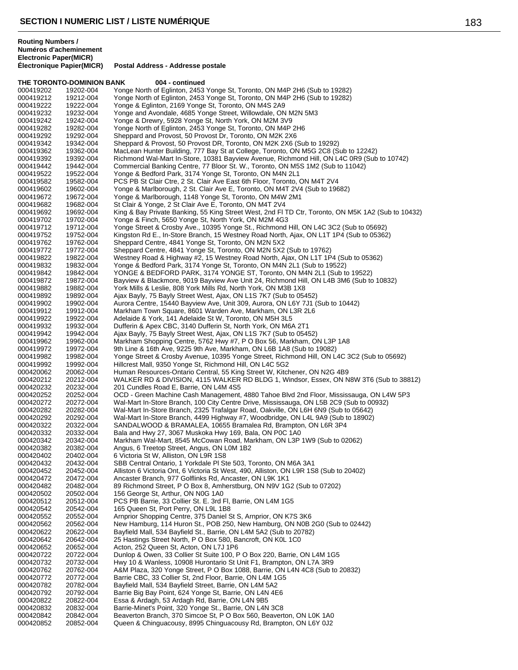|                        | THE TORONTO-DOMINION BANK | 004 - continued                                                                                                                                                              |
|------------------------|---------------------------|------------------------------------------------------------------------------------------------------------------------------------------------------------------------------|
| 000419202              | 19202-004                 | Yonge North of Eglinton, 2453 Yonge St, Toronto, ON M4P 2H6 (Sub to 19282)                                                                                                   |
| 000419212              | 19212-004                 | Yonge North of Eglinton, 2453 Yonge St, Toronto, ON M4P 2H6 (Sub to 19282)                                                                                                   |
| 000419222<br>000419232 | 19222-004<br>19232-004    | Yonge & Eglinton, 2169 Yonge St, Toronto, ON M4S 2A9<br>Yonge and Avondale, 4685 Yonge Street, Willowdale, ON M2N 5M3                                                        |
| 000419242              | 19242-004                 | Yonge & Drewry, 5928 Yonge St, North York, ON M2M 3V9                                                                                                                        |
| 000419282              | 19282-004                 | Yonge North of Eglinton, 2453 Yonge St, Toronto, ON M4P 2H6                                                                                                                  |
| 000419292              | 19292-004                 | Sheppard and Provost, 50 Provost Dr, Toronto, ON M2K 2X6                                                                                                                     |
| 000419342              | 19342-004                 | Sheppard & Provost, 50 Provost DR, Toronto, ON M2K 2X6 (Sub to 19292)                                                                                                        |
| 000419362              | 19362-004                 | MacLean Hunter Building, 777 Bay St at College, Toronto, ON M5G 2C8 (Sub to 12242)                                                                                           |
| 000419392<br>000419442 | 19392-004<br>19442-004    | Richmond Wal-Mart In-Store, 10381 Bayview Avenue, Richmond Hill, ON L4C 0R9 (Sub to 10742)<br>Commercial Banking Centre, 77 Bloor St. W., Toronto, ON M5S 1M2 (Sub to 11042) |
| 000419522              | 19522-004                 | Yonge & Bedford Park, 3174 Yonge St, Toronto, ON M4N 2L1                                                                                                                     |
| 000419582              | 19582-004                 | PCS PB St Clair Ctre, 2 St. Clair Ave East 6th Floor, Toronto, ON M4T 2V4                                                                                                    |
| 000419602              | 19602-004                 | Yonge & Marlborough, 2 St. Clair Ave E, Toronto, ON M4T 2V4 (Sub to 19682)                                                                                                   |
| 000419672              | 19672-004                 | Yonge & Marlborough, 1148 Yonge St, Toronto, ON M4W 2M1                                                                                                                      |
| 000419682              | 19682-004                 | St Clair & Yonge, 2 St Clair Ave E, Toronto, ON M4T 2V4                                                                                                                      |
| 000419692<br>000419702 | 19692-004<br>19702-004    | King & Bay Private Banking, 55 King Street West, 2nd FI TD Ctr, Toronto, ON M5K 1A2 (Sub to 10432)<br>Yonge & Finch, 5650 Yonge St, North York, ON M2M 4G3                   |
| 000419712              | 19712-004                 | Yonge Street & Crosby Ave., 10395 Yonge St., Richmond Hill, ON L4C 3C2 (Sub to 05692)                                                                                        |
| 000419752              | 19752-004                 | Kingston Rd E., In-Store Branch, 15 Westney Road North, Ajax, ON L1T 1P4 (Sub to 05362)                                                                                      |
| 000419762              | 19762-004                 | Sheppard Centre, 4841 Yonge St, Toronto, ON M2N 5X2                                                                                                                          |
| 000419772              | 19772-004                 | Sheppard Centre, 4841 Yonge St, Toronto, ON M2N 5X2 (Sub to 19762)                                                                                                           |
| 000419822              | 19822-004                 | Westney Road & Highway #2, 15 Westney Road North, Ajax, ON L1T 1P4 (Sub to 05362)                                                                                            |
| 000419832<br>000419842 | 19832-004<br>19842-004    | Yonge & Bedford Park, 3174 Yonge St, Toronto, ON M4N 2L1 (Sub to 19522)<br>YONGE & BEDFORD PARK, 3174 YONGE ST, Toronto, ON M4N 2L1 (Sub to 19522)                           |
| 000419872              | 19872-004                 | Bayview & Blackmore, 9019 Bayview Ave Unit 24, Richmond Hill, ON L4B 3M6 (Sub to 10832)                                                                                      |
| 000419882              | 19882-004                 | York Mills & Leslie, 808 York Mills Rd, North York, ON M3B 1X8                                                                                                               |
| 000419892              | 19892-004                 | Ajax Bayly, 75 Bayly Street West, Ajax, ON L1S 7K7 (Sub to 05452)                                                                                                            |
| 000419902              | 19902-004                 | Aurora Centre, 15440 Bayview Ave, Unit 309, Aurora, ON L6Y 7J1 (Sub to 10442)                                                                                                |
| 000419912              | 19912-004                 | Markham Town Square, 8601 Warden Ave, Markham, ON L3R 2L6                                                                                                                    |
| 000419922<br>000419932 | 19922-004<br>19932-004    | Adelaide & York, 141 Adelaide St W, Toronto, ON M5H 3L5<br>Dufferin & Apex CBC, 3140 Dufferin St, North York, ON M6A 2T1                                                     |
| 000419942              | 19942-004                 | Ajax Bayly, 75 Bayly Street West, Ajax, ON L1S 7K7 (Sub to 05452)                                                                                                            |
| 000419962              | 19962-004                 | Markham Shopping Centre, 5762 Hwy #7, P O Box 56, Markham, ON L3P 1A8                                                                                                        |
| 000419972              | 19972-004                 | 9th Line & 16th Ave, 9225 9th Ave, Markham, ON L6B 1A8 (Sub to 19082)                                                                                                        |
| 000419982              | 19982-004                 | Yonge Street & Crosby Avenue, 10395 Yonge Street, Richmond Hill, ON L4C 3C2 (Sub to 05692)                                                                                   |
| 000419992              | 19992-004                 | Hillcrest Mall, 9350 Yonge St, Richmond Hill, ON L4C 5G2                                                                                                                     |
| 000420062<br>000420212 | 20062-004<br>20212-004    | Human Resources-Ontario Central, 55 King Street W, Kitchener, ON N2G 4B9<br>WALKER RD & DIVISION, 4115 WALKER RD BLDG 1, Windsor, Essex, ON N8W 3T6 (Sub to 38812)           |
| 000420232              | 20232-004                 | 201 Cundles Road E, Barrie, ON L4M 4S5                                                                                                                                       |
| 000420252              | 20252-004                 | OCD - Green Machine Cash Management, 4880 Tahoe Blvd 2nd Floor, Mississauga, ON L4W 5P3                                                                                      |
| 000420272              | 20272-004                 | Wal-Mart In-Store Branch, 100 City Centre Drive, Mississauga, ON L5B 2C9 (Sub to 00932)                                                                                      |
| 000420282              | 20282-004                 | Wal-Mart In-Store Branch, 2325 Trafalgar Road, Oakville, ON L6H 6N9 (Sub to 05642)                                                                                           |
| 000420292<br>000420322 | 20292-004<br>20322-004    | Wal-Mart In-Store Branch, 4499 Highway #7, Woodbridge, ON L4L 9A9 (Sub to 18902)<br>SANDALWOOD & BRAMALEA, 10655 Bramalea Rd, Brampton, ON L6R 3P4                           |
| 000420332              | 20332-004                 | Bala and Hwy 27, 3067 Muskoka Hwy 169, Bala, ON P0C 1A0                                                                                                                      |
| 000420342              | 20342-004                 | Markham Wal-Mart, 8545 McCowan Road, Markham, ON L3P 1W9 (Sub to 02062)                                                                                                      |
| 000420382              | 20382-004                 | Angus, 6 Treetop Street, Angus, ON L0M 1B2                                                                                                                                   |
| 000420402              | 20402-004                 | 6 Victoria St W, Alliston, ON L9R 1S8                                                                                                                                        |
| 000420432              | 20432-004                 | SBB Central Ontario, 1 Yorkdale PI Ste 503, Toronto, ON M6A 3A1                                                                                                              |
| 000420452<br>000420472 | 20452-004<br>20472-004    | Alliston 6 Victoria Ont, 6 Victoria St West, 490, Alliston, ON L9R 1S8 (Sub to 20402)<br>Ancaster Branch, 977 Golflinks Rd, Ancaster, ON L9K 1K1                             |
| 000420482              | 20482-004                 | 89 Richmond Street, P O Box 8, Amherstburg, ON N9V 1G2 (Sub to 07202)                                                                                                        |
| 000420502              | 20502-004                 | 156 George St, Arthur, ON N0G 1A0                                                                                                                                            |
| 000420512              | 20512-004                 | PCS PB Barrie, 33 Collier St. E. 3rd FI, Barrie, ON L4M 1G5                                                                                                                  |
| 000420542              | 20542-004                 | 165 Queen St, Port Perry, ON L9L 1B8                                                                                                                                         |
| 000420552<br>000420562 | 20552-004<br>20562-004    | Arnprior Shopping Centre, 375 Daniel St S, Arnprior, ON K7S 3K6<br>New Hamburg, 114 Huron St., POB 250, New Hamburg, ON N0B 2G0 (Sub to 02442)                               |
| 000420622              | 20622-004                 | Bayfield Mall, 534 Bayfield St., Barrie, ON L4M 5A2 (Sub to 20782)                                                                                                           |
| 000420642              | 20642-004                 | 25 Hastings Street North, P O Box 580, Bancroft, ON K0L 1C0                                                                                                                  |
| 000420652              | 20652-004                 | Acton, 252 Queen St, Acton, ON L7J 1P6                                                                                                                                       |
| 000420722              | 20722-004                 | Dunlop & Owen, 33 Collier St Suite 100, P O Box 220, Barrie, ON L4M 1G5                                                                                                      |
| 000420732              | 20732-004                 | Hwy 10 & Wanless, 10908 Hurontario St Unit F1, Brampton, ON L7A 3R9                                                                                                          |
| 000420762<br>000420772 | 20762-004<br>20772-004    | A&M Plaza, 320 Yonge Street, P O Box 1088, Barrie, ON L4N 4C8 (Sub to 20832)<br>Barrie CBC, 33 Collier St, 2nd Floor, Barrie, ON L4M 1G5                                     |
| 000420782              | 20782-004                 | Bayfield Mall, 534 Bayfield Street, Barrie, ON L4M 5A2                                                                                                                       |
| 000420792              | 20792-004                 | Barrie Big Bay Point, 624 Yonge St, Barrie, ON L4N 4E6                                                                                                                       |
| 000420822              | 20822-004                 | Essa & Ardagh, 53 Ardagh Rd, Barrie, ON L4N 9B5                                                                                                                              |
| 000420832              | 20832-004                 | Barrie-Minet's Point, 320 Yonge St., Barrie, ON L4N 3C8                                                                                                                      |
| 000420842<br>000420852 | 20842-004<br>20852-004    | Beaverton Branch, 370 Simcoe St, P O Box 560, Beaverton, ON L0K 1A0<br>Queen & Chinguacousy, 8995 Chinguacousy Rd, Brampton, ON L6Y 0J2                                      |
|                        |                           |                                                                                                                                                                              |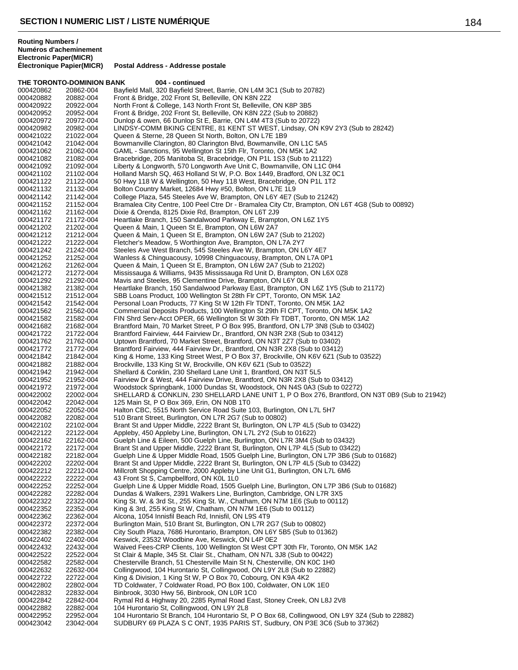**THE TORONTO-DOMINION BANK 004 - continued** 000420862 20862-004 Bayfield Mall, 320 Bayfield Street, Barrie, ON L4M 3C1 (Sub to 20782) 000420882 20882-004 Front & Bridge, 202 Front St, Belleville, ON K8N 2Z2 North Front & College, 143 North Front St, Belleville, ON K8P 3B5 000420952 20952-004 Front & Bridge, 202 Front St, Belleville, ON K8N 2Z2 (Sub to 20882) Dunlop & owen, 66 Dunlop St E, Barrie, ON L4M 4T3 (Sub to 20722) 000420982 20982-004 LINDSY-COMM BKING CENTRE, 81 KENT ST WEST, Lindsay, ON K9V 2Y3 (Sub to 28242)<br>000421022 21022-004 Queen & Sterne, 28 Queen St North, Bolton, ON L7E 1B9 000421022 21022-004 Queen & Sterne, 28 Queen St North, Bolton, ON L7E 1B9<br>000421042 21042-004 Bowmanville Clarington, 80 Clarington Blvd, Bowmanville Bowmanville Clarington, 80 Clarington Blvd, Bowmanville, ON L1C 5A5 000421062 21062-004 GAML - Sanctions, 95 Wellington St 15th Flr, Toronto, ON M5K 1A2 000421082 21082-004 Bracebridge, 205 Manitoba St, Bracebridge, ON P1L 1S3 (Sub to 21122) 000421092 21092-004 Liberty & Longworth, 570 Longworth Ave Unit C, Bowmanville, ON L1C 0H4<br>000421102 21102-004 Holland Marsh SQ, 463 Holland St W, P.O. Box 1449, Bradford, ON L3Z 0C 000421102 21102-004 Holland Marsh SQ, 463 Holland St W, P.O. Box 1449, Bradford, ON L3Z 0C1<br>000421122 21122-004 50 Hwy 118 W & Wellington, 50 Hwy 118 West, Bracebridge, ON P1L 1T2 000421122 21122-004 50 Hwy 118 W & Wellington, 50 Hwy 118 West, Bracebridge, ON P1L 1T2<br>000421132 21132-004 Bolton Country Market, 12684 Hwy #50, Bolton, ON L7E 1L9 000421132 21132-004 Bolton Country Market, 12684 Hwy #50, Bolton, ON L7E 1L9<br>000421142 21142-004 College Plaza, 545 Steeles Ave W, Brampton, ON L6Y 4E7 ( College Plaza, 545 Steeles Ave W, Brampton, ON L6Y 4E7 (Sub to 21242) 000421152 21152-004 Bramalea City Centre, 100 Peel Ctre Dr - Bramalea City Ctr, Brampton, ON L6T 4G8 (Sub to 00892)<br>000421162 21162-004 Dixie & Orenda, 8125 Dixie Rd, Brampton, ON L6T 2J9 Dixie & Orenda, 8125 Dixie Rd, Brampton, ON L6T 2J9 000421172 21172-004 Heartlake Branch, 150 Sandalwood Parkway E, Brampton, ON L6Z 1Y5<br>000421202 21202-004 Queen & Main, 1 Queen St E, Brampton, ON L6W 2A7 000421202 21202-004 Queen & Main, 1 Queen St E, Brampton, ON L6W 2A7<br>000421212 21212-004 Queen & Main, 1 Queen St E, Brampton, ON L6W 2A7 Queen & Main, 1 Queen St E, Brampton, ON L6W 2A7 (Sub to 21202) 000421222 21222-004 Fletcher's Meadow, 5 Worthington Ave, Brampton, ON L7A 2Y7 Steeles Ave West Branch, 545 Steeles Ave W, Brampton, ON L6Y 4E7 000421252 21252-004 Wanless & Chinguacousy, 10998 Chinguacousy, Brampton, ON L7A 0P1 000421262 21262-004 Queen & Main, 1 Queen St E, Brampton, ON L6W 2A7 (Sub to 21202) Mississauga & Williams, 9435 Mississauga Rd Unit D, Brampton, ON L6X 0Z8 000421292 21292-004 Mavis and Steeles, 95 Clementine Drive, Brampton, ON L6Y 0L8<br>000421382 21382-004 Heartlake Branch, 150 Sandalwood Parkway East, Brampton, ON 000421382 21382-004 Heartlake Branch, 150 Sandalwood Parkway East, Brampton, ON L6Z 1Y5 (Sub to 21172)<br>000421512 21512-004 SBB Loans Product, 100 Wellington St 28th Flr CPT, Toronto, ON M5K 1A2 000421512 21512-004 SBB Loans Product, 100 Wellington St 28th Flr CPT, Toronto, ON M5K 1A2<br>000421542 21542-004 Personal Loan Products, 77 King St W 12th Flr TDNT, Toronto, ON M5K 1A 000421542 21542-004 Personal Loan Products, 77 King St W 12th Flr TDNT, Toronto, ON M5K 1A2<br>000421562 21562-004 Commercial Deposits Products, 100 Wellington St 29th FLCPT, Toronto, ON I Commercial Deposits Products, 100 Wellington St 29th Fl CPT, Toronto, ON M5K 1A2 000421582 21582-004 FIN Shrd Serv-Acct OPER, 66 Wellington St W 30th Flr TDBT, Toronto, ON M5K 1A2<br>000421682 21682-004 Brantford Main, 70 Market Street, P O Box 995, Brantford, ON L7P 3N8 (Sub to 03402 000421682 21682-004 Brantford Main, 70 Market Street, P O Box 995, Brantford, ON L7P 3N8 (Sub to 03402)<br>000421722 21722-004 Brantford Fairview, 444 Fairview Dr., Brantford, ON N3R 2X8 (Sub to 03412) 000421722 21722-004 Brantford Fairview, 444 Fairview Dr., Brantford, ON N3R 2X8 (Sub to 03412)<br>000421762 21762-004 Uptown Brantford, 70 Market Street, Brantford, ON N3T 2Z7 (Sub to 03402) Uptown Brantford, 70 Market Street, Brantford, ON N3T 2Z7 (Sub to 03402) 000421772 21772-004 Brantford Fairview, 444 Fairview Dr., Brantford, ON N3R 2X8 (Sub to 03412)<br>000421842 21842-004 King & Home, 133 King Street West, P O Box 37, Brockville, ON K6V 6Z1 (S 000421842 21842-004 King & Home, 133 King Street West, P O Box 37, Brockville, ON K6V 6Z1 (Sub to 03522)<br>000421882 21882-004 Brockville, 133 King St W, Brockville, ON K6V 6Z1 (Sub to 03522) Brockville, 133 King St W, Brockville, ON K6V 6Z1 (Sub to 03522) 000421942 21942-004 Shellard & Conklin, 230 Shellard Lane Unit 1, Brantford, ON N3T 5L5 000421952 21952-004 Fairview Dr & West, 444 Fairview Drive, Brantford, ON N3R 2X8 (Sub to 03412) 000421972 21972-004 Woodstock Springbank, 1000 Dundas St, Woodstock, ON N4S 0A3 (Sub to 02272) 000422002 22002-004 SHELLARD & CONKLIN, 230 SHELLARD LANE UNIT 1, P O Box 276, Brantford, ON N3T 0B9 (Sub to 21942)<br>000422042 22042-004 125 Main St. P O Box 369. Erin. ON N0B 1T0 125 Main St, P O Box 369, Erin, ON N0B 1T0 000422052 22052-004 Halton CBC, 5515 North Service Road Suite 103, Burlington, ON L7L 5H7<br>000422082 22082-004 510 Brant Street, Burlington, ON L7R 2G7 (Sub to 00802) 510 Brant Street, Burlington, ON L7R 2G7 (Sub to 00802) 000422102 22102-004 Brant St and Upper Middle, 2222 Brant St, Burlington, ON L7P 4L5 (Sub to 03422)<br>000422122 22122-004 Appleby, 450 Appleby Line, Burlington, ON L7L 2Y2 (Sub to 01622) 000422122 22122-004 Appleby, 450 Appleby Line, Burlington, ON L7L 2Y2 (Sub to 01622) Guelph Line & Eileen, 500 Guelph Line, Burlington, ON L7R 3M4 (Sub to 03432) 000422172 22172-004 Brant St and Upper Middle, 2222 Brant St, Burlington, ON L7P 4L5 (Sub to 03422) Guelph Line & Upper Middle Road, 1505 Guelph Line, Burlington, ON L7P 3B6 (Sub to 01682) 000422202 22202-004 Brant St and Upper Middle, 2222 Brant St, Burlington, ON L7P 4L5 (Sub to 03422)<br>000422212 22212-004 Millcroft Shopping Centre, 2000 Appleby Line Unit G1, Burlington, ON L7L 6M6 000422212 22212-004 Millcroft Shopping Centre, 2000 Appleby Line Unit G1, Burlington, ON L7L 6M6<br>000422222 22222-004 43 Front St S. Campbellford, ON K0L 1L0 43 Front St S, Campbellford, ON K0L 1L0 000422252 22252-004 Guelph Line & Upper Middle Road, 1505 Guelph Line, Burlington, ON L7P 3B6 (Sub to 01682)<br>000422282 22282-004 Dundas & Walkers, 2391 Walkers Line, Burlington, Cambridge, ON L7R 3X5 000422282 22282-004 Dundas & Walkers, 2391 Walkers Line, Burlington, Cambridge, ON L7R 3X5<br>000422322 22322-004 King St. W. & 3rd St., 255 King St. W., Chatham, ON N7M 1E6 (Sub to 00112 000422322 22322-004 King St. W. & 3rd St., 255 King St. W., Chatham, ON N7M 1E6 (Sub to 00112)<br>000422352 22352-004 King & 3rd, 255 King St W, Chatham, ON N7M 1E6 (Sub to 00112) King & 3rd, 255 King St W, Chatham, ON N7M 1E6 (Sub to 00112) 000422362 22362-004 Alcona, 1054 Innisfil Beach Rd, Innisfil, ON L9S 4T9 000422372 22372-004 Burlington Main, 510 Brant St, Burlington, ON L7R 2G7 (Sub to 00802) City South Plaza, 7686 Hurontario, Brampton, ON L6Y 5B5 (Sub to 01362) 000422402 22402-004 Keswick, 23532 Woodbine Ave, Keswick, ON L4P 0E2 000422432 22432-004 Waived Fees-CRP Clients, 100 Wellington St West CPT 30th Flr, Toronto, ON M5K 1A2 000422522 22522-004 St Clair & Maple, 345 St. Clair St., Chatham, ON N7L 3J8 (Sub to 00422) 000422582 22582-004 Chesterville Branch, 51 Chesterville Main St N, Chesterville, ON K0C 1H0<br>000422632 22632-004 Collingwood, 104 Hurontario St, Collingwood, ON L9Y 2L8 (Sub to 22882) Collingwood, 104 Hurontario St, Collingwood, ON L9Y 2L8 (Sub to 22882) 000422722 22722-004 King & Division, 1 King St W, P O Box 70, Cobourg, ON K9A 4K2 TD Coldwater, 7 Coldwater Road, PO Box 100, Coldwater, ON L0K 1E0 000422832 22832-004 Binbrook, 3030 Hwy 56, Binbrook, ON L0R 1C0<br>000422842 22842-004 Rymal Rd & Highway 20, 2285 Rymal Road Eas 000422842 22842-004 Rymal Rd & Highway 20, 2285 Rymal Road East, Stoney Creek, ON L8J 2V8<br>000422882 22882-004 104 Hurontario St. Collingwood. ON L9Y 2L8 104 Hurontario St, Collingwood, ON L9Y 2L8 000422952 22952-004 104 Hurontario St Branch, 104 Hurontario St, P O Box 68, Collingwood, ON L9Y 3Z4 (Sub to 22882)<br>000423042 23042-004 SUDBURY 69 PLAZA S C ONT, 1935 PARIS ST, Sudbury, ON P3E 3C6 (Sub to 37362) SUDBURY 69 PLAZA S C ONT, 1935 PARIS ST, Sudbury, ON P3E 3C6 (Sub to 37362)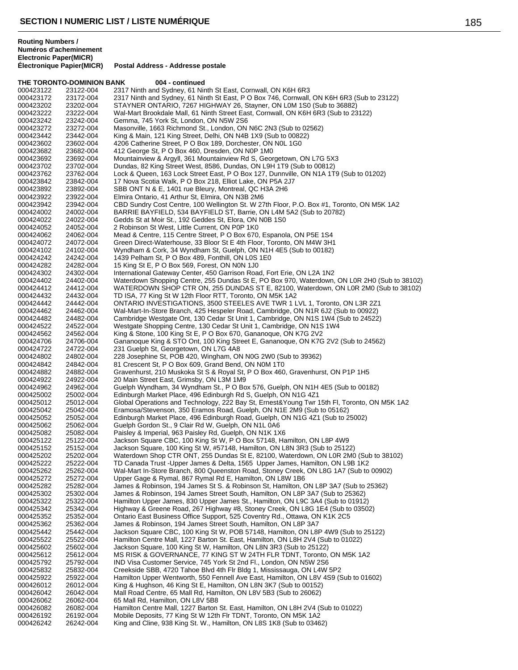**Routing Numbers / Numéros d'acheminement Electronic Paper(MICR)**

**Postal Address - Addresse postale** 

**THE TORONTO-DOMINION BANK 004 - continued** 000423122 23122-004 2317 Ninth and Sydney, 61 Ninth St East, Cornwall, ON K6H 6R3<br>000423172 23172-004 2317 Ninth and Sydney, 61 Ninth St East, P O Box 746, Cornwall, 000423172 23172-004 2317 Ninth and Sydney, 61 Ninth St East, P O Box 746, Cornwall, ON K6H 6R3 (Sub to 23122)<br>000423202 23202-004 STAYNER ONTARIO. 7267 HIGHWAY 26. Stavner. ON L0M 1S0 (Sub to 36882) STAYNER ONTARIO, 7267 HIGHWAY 26, Stayner, ON L0M 1S0 (Sub to 36882) 000423222 23222-004 Wal-Mart Brookdale Mall, 61 Ninth Street East, Cornwall, ON K6H 6R3 (Sub to 23122)<br>000423242 23242-004 Gemma, 745 York St, London, ON N5W 2S6 Gemma, 745 York St, London, ON N5W 2S6 000423272 23272-004 Masonville, 1663 Richmond St., London, ON N6C 2N3 (Sub to 02562)<br>000423442 23442-004 King & Main, 121 King Street, Delhi, ON N4B 1X9 (Sub to 00822) 000423442 23442-004 King & Main, 121 King Street, Delhi, ON N4B 1X9 (Sub to 00822)<br>000423602 23602-004 4206 Catherine Street. P O Box 189. Dorchester. ON N0L 1G0 4206 Catherine Street, P O Box 189, Dorchester, ON N0L 1G0 000423682 23682-004 412 George St, P O Box 460, Dresden, ON N0P 1M0 000423692 23692-004 Mountainview & Argyll, 361 Mountainview Rd S, Georgetown, ON L7G 5X3<br>000423702 23702-004 Dundas, 82 King Street West, 8586, Dundas, ON L9H 1T9 (Sub to 00812) 000423702 23702-004 Dundas, 82 King Street West, 8586, Dundas, ON L9H 1T9 (Sub to 00812) 000423762 23762-004 Lock & Queen, 163 Lock Street East, P O Box 127, Dunnville, ON N1A 1T9 (Sub to 01202) 000423842 23842-004 17 Nova Scotia Walk, P O Box 218, Elliot Lake, ON P5A 2J7<br>000423892 23892-004 SBB ONT N & E, 1401 rue Bleury, Montreal, QC H3A 2H6 000423892 23892-004 SBB ONT N & E, 1401 rue Bleury, Montreal, QC H3A 2H6<br>000423922 23922-004 Elmira Ontario, 41 Arthur St, Elmira, ON N3B 2M6 Elmira Ontario, 41 Arthur St, Elmira, ON N3B 2M6 000423942 23942-004 CBD Sundry Cost Centre, 100 Wellington St. W 27th Floor, P.O. Box #1, Toronto, ON M5K 1A2<br>000424002 24002-004 BARRIE BAYFIELD, 534 BAYFIELD ST, Barrie, ON L4M 5A2 (Sub to 20782) BARRIE BAYFIELD, 534 BAYFIELD ST, Barrie, ON L4M 5A2 (Sub to 20782) 000424022 24022-004 Gedds St at Moir St., 192 Geddes St, Elora, ON N0B 1S0<br>000424052 24052-004 2 Robinson St West, Little Current, ON P0P 1K0 000424052 24052-004 2 Robinson St West, Little Current, ON P0P 1K0<br>000424062 24062-004 Mead & Centre, 115 Centre Street, P O Box 670 Mead & Centre, 115 Centre Street, P O Box 670, Espanola, ON P5E 1S4 000424072 24072-004 Green Direct-Waterhouse, 33 Bloor St E 4th Floor, Toronto, ON M4W 3H1<br>000424102 24102-004 Wyndham & Cork, 34 Wyndham St, Guelph, ON N1H 4E5 (Sub to 00182) 24102-004 Wyndham & Cork, 34 Wyndham St, Guelph, ON N1H 4E5 (Sub to 00182)<br>24242-004 1439 Pelham St, P O Box 489, Fonthill, ON L0S 1E0 000424242 24242-004 1439 Pelham St, P O Box 489, Fonthill, ON L0S 1E0<br>000424282 24282-004 15 King St E, P O Box 569, Forest, ON N0N 1J0 000424282 24282-004 15 King St E, P O Box 569, Forest, ON N0N 1J0<br>000424302 24302-004 International Gateway Center. 450 Garrison Roa International Gateway Center, 450 Garrison Road, Fort Erie, ON L2A 1N2 000424402 24402-004 Waterdown Shopping Centre, 255 Dundas St E, PO Box 970, Waterdown, ON L0R 2H0 (Sub to 38102)<br>000424412 24412-004 WATERDOWN SHOP CTR ON, 255 DUNDAS ST E, 82100, Waterdown, ON L0R 2M0 (Sub to 38102) WATERDOWN SHOP CTR ON, 255 DUNDAS ST E, 82100, Waterdown, ON L0R 2M0 (Sub to 38102) 000424432 24432-004 TD ISA, 77 King St W 12th Floor RTT, Toronto, ON M5K 1A2 000424442 24442-004 ONTARIO INVESTIGATIONS, 3500 STEELES AVE TWR 1 LVL 1, Toronto, ON L3R 2Z1<br>000424462 24462-004 Wal-Mart-In-Store Branch, 425 Hespeler Road, Cambridge, ON N1R 6J2 (Sub to 00922) Wal-Mart-In-Store Branch, 425 Hespeler Road, Cambridge, ON N1R 6J2 (Sub to 00922) 000424482 24482-004 Cambridge Westgate Ont, 130 Cedar St Unit 1, Cambridge, ON N1S 1W4 (Sub to 24522)<br>000424522 24522-004 Westgate Shopping Centre, 130 Cedar St Unit 1, Cambridge, ON N1S 1W4 000424522 24522-004 Westgate Shopping Centre, 130 Cedar St Unit 1, Cambridge, ON N1S 1W4<br>000424562 24562-004 King & Stone, 100 King St E, P O Box 670, Gananoque, ON K7G 2V2 000424562 24562-004 King & Stone, 100 King St E, P O Box 670, Gananoque, ON K7G 2V2 24706-004 Gananoque King & STO Ont, 100 King Street E, Gananoque, ON K7G 2V2 (Sub to 24562)<br>24722-004 231 Guelph St. Georgetown, ON L7G 4A8 000424722 24722-004 231 Guelph St, Georgetown, ON L7G 4A8<br>000424802 24802-004 228 Josephine St, POB 420, Wingham, ON 000424802 24802-004 228 Josephine St, POB 420, Wingham, ON N0G 2W0 (Sub to 39362)<br>000424842 24842-004 81 Crescent St, P O Box 609, Grand Bend, ON N0M 1T0 000424842 24842-004 81 Crescent St, P O Box 609, Grand Bend, ON N0M 1T0<br>000424882 24882-004 Gravenhurst, 210 Muskoka St S & Royal St, P O Box 460 000424882 24882-004 Gravenhurst, 210 Muskoka St S & Royal St, P O Box 460, Gravenhurst, ON P1P 1H5<br>000424922 24922-004 20 Main Street East, Grimsby, ON L3M 1M9 20 Main Street East, Grimsby, ON L3M 1M9 000424962 24962-004 Guelph Wyndham, 34 Wyndham St., P O Box 576, Guelph, ON N1H 4E5 (Sub to 00182)<br>000425002 25002-004 Edinburgh Market Place, 496 Edinburgh Rd S, Guelph, ON N1G 4Z1 000425002 25002-004 Edinburgh Market Place, 496 Edinburgh Rd S, Guelph, ON N1G 4Z1 Global Operations and Technology, 222 Bay St, Ernest&Young Twr 15th Fl, Toronto, ON M5K 1A2 000425042 25042-004 Eramosa/Stevenson, 350 Eramos Road, Guelph, ON N1E 2M9 (Sub to 05162) Edinburgh Market Place, 496 Edinburgh Road, Guelph, ON N1G 4Z1 (Sub to 25002) 000425062 25062-004 Guelph Gordon St., 9 Clair Rd W, Guelph, ON N1L 0A6 000425082 25082-004 Paisley & Imperial, 963 Paisley Rd, Guelph, ON N1K 1X6<br>000425122 25122-004 Jackson Square CBC, 100 King St W, P O Box 57148, Ha Jackson Square CBC, 100 King St W, P O Box 57148, Hamilton, ON L8P 4W9 000425152 25152-004 Jackson Square, 100 King St W, #57148, Hamilton, ON L8N 3R3 (Sub to 25122) Waterdown Shop CTR ONT, 255 Dundas St E, 82100, Waterdown, ON L0R 2M0 (Sub to 38102) 000425222 25222-004 TD Canada Trust -Upper James & Delta, 1565 Upper James, Hamilton, ON L9B 1K2<br>000425262 25262-004 Wal-Mart In-Store Branch, 800 Queenston Road, Stoney Creek, ON L8G 1A7 (Sub to 000425262 25262-004 Wal-Mart In-Store Branch, 800 Queenston Road, Stoney Creek, ON L8G 1A7 (Sub to 00902)<br>000425272 25272-004 Upper Gage & Rymal. 867 Rymal Rd E. Hamilton. ON L8W 1B6 Upper Gage & Rymal, 867 Rymal Rd E, Hamilton, ON L8W 1B6 000425282 25282-004 James & Robinson, 194 James St S. & Robinson St, Hamilton, ON L8P 3A7 (Sub to 25362)<br>000425302 25302-004 James & Robinson, 194 James Street South, Hamilton, ON L8P 3A7 (Sub to 25362) 000425302 25302-004 James & Robinson, 194 James Street South, Hamilton, ON L8P 3A7 (Sub to 25362)<br>000425322 25322-004 Hamilton Upper James, 830 Upper James St., Hamilton, ON L9C 3A4 (Sub to 01912 000425322 25322-004 Hamilton Upper James, 830 Upper James St., Hamilton, ON L9C 3A4 (Sub to 01912) 000425342 25342-004 Highway & Greene Road, 267 Highway #8, Stoney Creek, ON L8G 1E4 (Sub to 03502)<br>000425352 25352-004 Ontario East Business Office Support, 525 Coventry Rd., Ottawa, ON K1K 2C5 000425352 25352-004 Ontario East Business Office Support, 525 Coventry Rd., Ottawa, ON K1K 2C5<br>000425362 25362-004 James & Robinson, 194 James Street South, Hamilton, ON L8P 3A7 000425362 25362-004 James & Robinson, 194 James Street South, Hamilton, ON L8P 3A7<br>000425442 25442-004 Jackson Square CBC, 100 King St W, POB 57148, Hamilton, ON L8 Jackson Square CBC, 100 King St W, POB 57148, Hamilton, ON L8P 4W9 (Sub to 25122) 000425522 25522-004 Hamilton Centre Mall, 1227 Barton St. East, Hamilton, ON L8H 2V4 (Sub to 01022) 000425602 25602-004 Jackson Square, 100 King St W, Hamilton, ON L8N 3R3 (Sub to 25122) 000425612 25612-004 MS RISK & GOVERNANCE, 77 KING ST W 24TH FLR TDNT, Toronto, ON M5K 1A2 000425792 25792-004 IND Visa Customer Service, 745 York St 2nd Fl., London, ON N5W 2S6<br>000425832 25832-004 Creekside SBB, 4720 Tahoe Blvd 4th Flr Bldg 1. Mississauga, ON L4W Creekside SBB, 4720 Tahoe Blvd 4th Flr Bldg 1, Mississauga, ON L4W 5P2 000425922 25922-004 Hamilton Upper Wentworth, 550 Fennell Ave East, Hamilton, ON L8V 4S9 (Sub to 01602)<br>000426012 26012-004 King & Hughson, 46 King St E, Hamilton, ON L8N 3K7 (Sub to 00152) King & Hughson, 46 King St E, Hamilton, ON L8N 3K7 (Sub to 00152) 000426042 26042-004 Mall Road Centre, 65 Mall Rd, Hamilton, ON L8V 5B3 (Sub to 26062) 000426062 26062-004 65 Mall Rd, Hamilton, ON L8V 5B8 Hamilton Centre Mall, 1227 Barton St. East, Hamilton, ON L8H 2V4 (Sub to 01022) 000426192 26192-004 Mobile Deposits, 77 King St W 12th Flr TDNT, Toronto, ON M5K 1A2 King and Cline, 938 King St. W., Hamilton, ON L8S 1K8 (Sub to 03462)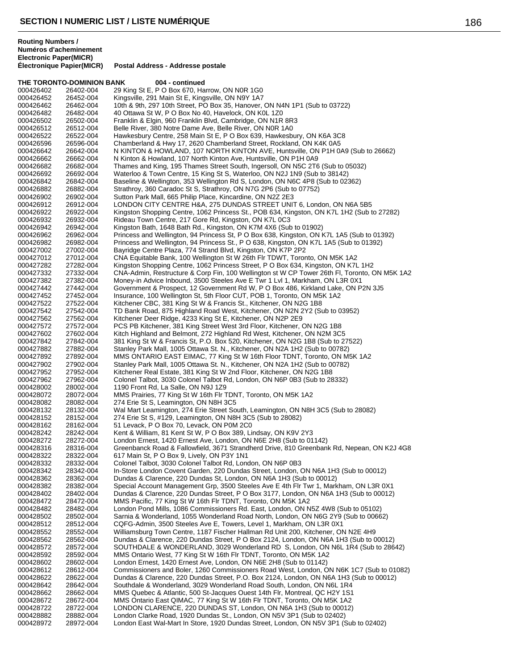**THE TORONTO-DOMINION BANK 004 - continued** 000426402 26402-004 29 King St E, P O Box 670, Harrow, ON N0R 1G0<br>000426452 26452-004 Kingsville, 291 Main St E, Kingsville, ON N9Y 1A7 000426452 26452-004 Kingsville, 291 Main St E, Kingsville, ON N9Y 1A7 10th & 9th, 297 10th Street, PO Box 35, Hanover, ON N4N 1P1 (Sub to 03722) 000426482 26482-004 40 Ottawa St W, P O Box No 40, Havelock, ON K0L 1Z0 Franklin & Elgin, 960 Franklin Blvd, Cambridge, ON N1R 8R3 000426512 26512-004 Belle River, 380 Notre Dame Ave, Belle River, ON N0R 1A0 000426522 26522-004 Hawkesbury Centre, 258 Main St E, P O Box 639, Hawkesbury, ON K6A 3C8 Chamberland & Hwy 17, 2620 Chamberland Street, Rockland, ON K4K 0A5 000426642 26642-004 N KINTON & HOWLAND, 107 NORTH KINTON AVE, Huntsville, ON P1H 0A9 (Sub to 26662)<br>000426662 26662-004 N Kinton & Howland, 107 North Kinton Ave, Huntsville, ON P1H 0A9 000426662 26662-004 N Kinton & Howland, 107 North Kinton Ave, Huntsville, ON P1H 0A9<br>000426682 26682-004 Thames and King, 195 Thames Street South, Ingersoll, ON N5C 2T6 000426682 26682-004 Thames and King, 195 Thames Street South, Ingersoll, ON N5C 2T6 (Sub to 05032)<br>000426692 26692-004 Waterloo & Town Centre, 15 King St S, Waterloo, ON N2J 1N9 (Sub to 38142) 000426692 26692-004 Waterloo & Town Centre, 15 King St S, Waterloo, ON N2J 1N9 (Sub to 38142)<br>000426842 26842-004 Baseline & Wellington, 353 Wellington Rd S, London, ON N6C 4P8 (Sub to 02) 000426842 26842-004 Baseline & Wellington, 353 Wellington Rd S, London, ON N6C 4P8 (Sub to 02362)<br>000426882 26882-004 Strathroy, 360 Caradoc St S, Strathroy, ON N7G 2P6 (Sub to 07752) 000426882 26882-004 Strathroy, 360 Caradoc St S, Strathroy, ON N7G 2P6 (Sub to 07752)<br>000426902 26902-004 Sutton Park Mall, 665 Philip Place, Kincardine, ON N2Z 2E3 Sutton Park Mall, 665 Philip Place, Kincardine, ON N2Z 2E3 000426912 26912-004 LONDON CITY CENTRE H&A, 275 DUNDAS STREET UNIT 6, London, ON N6A 5B5<br>000426922 26922-004 Kingston Shopping Centre, 1062 Princess St., POB 634, Kingston, ON K7L 1H2 (Sub t Kingston Shopping Centre, 1062 Princess St., POB 634, Kingston, ON K7L 1H2 (Sub to 27282) 000426932 26932-004 Rideau Town Centre, 217 Gore Rd, Kingston, ON K7L 0C3 000426942 26942-004 Kingston Bath, 1648 Bath Rd., Kingston, ON K7M 4X6 (Sub to 01902) Princess and Wellington, 94 Princess St, P O Box 638, Kingston, ON K7L 1A5 (Sub to 01392) 000426982 26982-004 Princess and Wellington, 94 Princess St., PO 638, Kingston, ON K7L 1A5 (Sub to 01392)<br>000427002 27002-004 Bayridge Centre Plaza, 774 Strand Blvd, Kingston, ON K7P 2P2 Bayridge Centre Plaza, 774 Strand Blvd, Kingston, ON K7P 2P2 000427012 27012-004 CNA Equitable Bank, 100 Wellington St W 26th Flr TDWT, Toronto, ON M5K 1A2 000427282 27282-004 Kingston Shopping Centre, 1062 Princess Street, P O Box 634, Kingston, ON K7L 1H2<br>000427332 27332-004 CNA-Admin. Restructure & Corp Fin. 100 Wellington st W CP Tower 26th Fl. Toronto. C CNA-Admin, Restructure & Corp Fin, 100 Wellington st W CP Tower 26th Fl, Toronto, ON M5K 1A2 000427382 27382-004 Money-in Advice Inbound, 3500 Steeles Ave E Twr 1 Lvl 1, Markham, ON L3R 0X1<br>000427442 27442-004 Government & Prospect, 12 Government Rd W, P O Box 486, Kirkland Lake, ON F Government & Prospect, 12 Government Rd W, P O Box 486, Kirkland Lake, ON P2N 3J5 000427452 27452-004 Insurance, 100 Wellington St, 5th Floor CUT, POB 1, Toronto, ON M5K 1A2<br>000427522 27522-004 Kitchener CBC, 381 King St W & Francis St., Kitchener, ON N2G 1B8 000427522 27522-004 Kitchener CBC, 381 King St W & Francis St., Kitchener, ON N2G 1B8 TD Bank Road, 875 Highland Road West, Kitchener, ON N2N 2Y2 (Sub to 03952) 000427562 27562-004 Kitchener Deer Ridge, 4233 King St E, Kitchener, ON N2P 2E9 PCS PB Kitchener, 381 King Street West 3rd Floor, Kitchener, ON N2G 1B8 000427602 27602-004 Kitch Highland and Belmont, 272 Highland Rd West, Kitchener, ON N2M 3C5<br>000427842 27842-004 381 King St W & Francis St, P.O. Box 520, Kitchener, ON N2G 1B8 (Sub to 2 000427842 27842-004 381 King St W & Francis St, P.O. Box 520, Kitchener, ON N2G 1B8 (Sub to 27522)<br>000427882 27882-004 Stanley Park Mall, 1005 Ottawa St, N., Kitchener, ON N2A 1H2 (Sub to 00782) 000427882 27882-004 Stanley Park Mall, 1005 Ottawa St. N., Kitchener, ON N2A 1H2 (Sub to 00782) 000427892 27892-004 MMS ONTARIO EAST EIMAC, 77 King St W 16th Floor TDNT, Toronto, ON M5K 1A2<br>000427902 27902-004 Stanley Park Mall, 1005 Ottawa St. N., Kitchener, ON N2A 1H2 (Sub to 00782) Stanley Park Mall, 1005 Ottawa St. N., Kitchener, ON N2A 1H2 (Sub to 00782) 000427952 27952-004 Kitchener Real Estate, 381 King St W 2nd Floor, Kitchener, ON N2G 1B8 000427962 27962-004 Colonel Talbot, 3030 Colonel Talbot Rd, London, ON N6P 0B3 (Sub to 28332) 000428002 28002-004 1190 Front Rd, La Salle, ON N9J 1Z9<br>000428072 28072-004 MMS Prairies, 77 King St W 16th Flr T 000428072 28072-004 MMS Prairies, 77 King St W 16th Flr TDNT, Toronto, ON M5K 1A2<br>000428082 28082-004 274 Erie St S. Leamington, ON N8H 3C5 274 Erie St S, Leamington, ON N8H 3C5 000428132 28132-004 Wal Mart Leamington, 274 Erie Street South, Leamington, ON N8H 3C5 (Sub to 28082)<br>000428152 28152-004 274 Erie St S, #129, Leamington, ON N8H 3C5 (Sub to 28082) 274 Erie St S, #129, Leamington, ON N8H 3C5 (Sub to 28082) 000428162 28162-004 51 Levack, P O Box 70, Levack, ON P0M 2C0<br>000428242 28242-004 Kent & William, 81 Kent St W, P O Box 389, Li 000428242 28242-004 Kent & William, 81 Kent St W, P O Box 389, Lindsay, ON K9V 2Y3 London Ernest, 1420 Ernest Ave, London, ON N6E 2H8 (Sub to 01142) 000428316 28316-004 Greenbanck Road & Fallowfield, 3671 Strandherd Drive, 810 Greenbank Rd, Nepean, ON K2J 4G8<br>000428322 28322-004 617 Main St, P O Box 9, Lively, ON P3Y 1N1 617 Main St, P O Box 9, Lively, ON P3Y 1N1 000428332 28332-004 Colonel Talbot, 3030 Colonel Talbot Rd, London, ON N6P 0B3 000428342 28342-004 In-Store London Covent Garden, 220 Dundas Street, London, ON N6A 1H3 (Sub to 00012)<br>000428362 28362-004 Dundas & Clarence, 220 Dundas St. London, ON N6A 1H3 (Sub to 00012) Dundas & Clarence, 220 Dundas St, London, ON N6A 1H3 (Sub to 00012) 000428382 28382-004 Special Account Management Grp, 3500 Steeles Ave E 4th Flr Twr 1, Markham, ON L3R 0X1<br>000428402 28402-004 Dundas & Clarence, 220 Dundas Street, P O Box 3177, London, ON N6A 1H3 (Sub to 00012) Dundas & Clarence, 220 Dundas Street, P O Box 3177, London, ON N6A 1H3 (Sub to 00012) 000428472 28472-004 MMS Pacific, 77 King St W 16th Flr TDNT, Toronto, ON M5K 1A2<br>000428482 28482-004 London Pond Mills. 1086 Commissioners Rd. East. London. ON N 000428482 28482-004 London Pond Mills, 1086 Commissioners Rd. East, London, ON N5Z 4W8 (Sub to 05102) 000428502 28502-004 Sarnia & Wonderland, 1055 Wonderland Road North, London, ON N6G 2Y9 (Sub to 00662)<br>000428512 28512-004 CQFG-Admin, 3500 Steeles Ave E, Towers, Level 1, Markham, ON L3R 0X1 000428512 28512-004 CQFG-Admin, 3500 Steeles Ave E, Towers, Level 1, Markham, ON L3R 0X1 Williamsburg Town Centre, 1187 Fischer Hallman Rd Unit 200, Kitchener, ON N2E 4H9 000428562 28562-004 Dundas & Clarence, 220 Dundas Street, P O Box 2124, London, ON N6A 1H3 (Sub to 00012) 28572-004 SOUTHDALE & WONDERLAND, 3029 Wonderland RD S, London, ON N6L 1R4 (Sub to 28642) 000428592 28592-004 MMS Ontario West, 77 King St W 16th Flr TDNT, Toronto, ON M5K 1A2 000428602 28602-004 London Ernest, 1420 Ernest Ave, London, ON N6E 2H8 (Sub to 01142)<br>000428612 28612-004 Commissioners and Boler. 1260 Commissioners Road West. London. C Commissioners and Boler, 1260 Commissioners Road West, London, ON N6K 1C7 (Sub to 01082) 000428622 28622-004 Dundas & Clarence, 220 Dundas Street, P.O. Box 2124, London, ON N6A 1H3 (Sub to 00012)<br>000428642 28642-004 Southdale & Wonderland, 3029 Wonderland Road South, London, ON N6L 1R4 Southdale & Wonderland, 3029 Wonderland Road South, London, ON N6L 1R4 000428662 28662-004 MMS Quebec & Atlantic, 500 St-Jacques Ouest 14th Flr, Montreal, QC H2Y 1S1<br>000428672 28672-004 MMS Ontario East QIMAC, 77 King St W 16th Flr TDNT, Toronto, ON M5K 1A2 000428672 28672-004 MMS Ontario East QIMAC, 77 King St W 16th Flr TDNT, Toronto, ON M5K 1A2<br>000428722 28722-004 I ONDON CLARENCE, 220 DUNDAS ST, London, ON N6A 1H3 (Sub to 00012) LONDON CLARENCE, 220 DUNDAS ST, London, ON N6A 1H3 (Sub to 00012) 000428882 28882-004 London Clarke Road, 1920 Dundas St., London, ON N5V 3P1 (Sub to 02402) London East Wal-Mart In Store, 1920 Dundas Street, London, ON N5V 3P1 (Sub to 02402)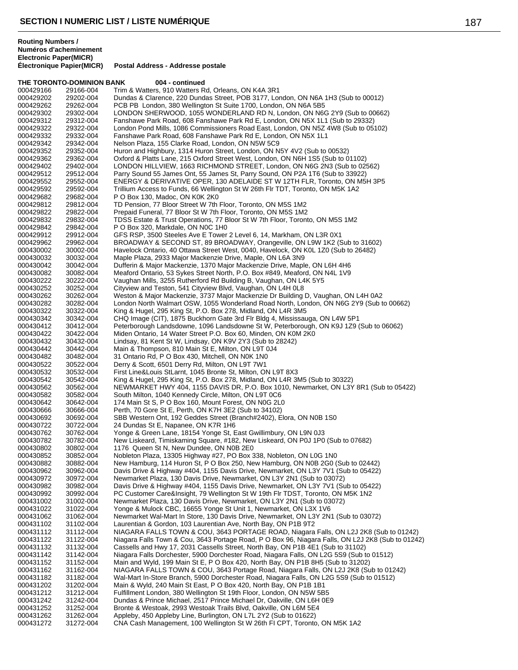**THE TORONTO-DOMINION BANK 004 - continued** 

**Postal Address - Addresse postale** 

000429166 29166-004 Trim & Watters, 910 Watters Rd, Orleans, ON K4A 3R1<br>000429202 29202-004 Dundas & Clarence, 220 Dundas Street, POB 3177, Lor 000429202 29202-004 Dundas & Clarence, 220 Dundas Street, POB 3177, London, ON N6A 1H3 (Sub to 00012)<br>000429262 29262-004 PCB PB London. 380 Wellington St Suite 1700. London. ON N6A 5B5 PCB PB London, 380 Wellington St Suite 1700, London, ON N6A 5B5 000429302 29302-004 LONDON SHERWOOD, 1055 WONDERLAND RD N, London, ON N6G 2Y9 (Sub to 00662)<br>000429312 29312-004 Fanshawe Park Road, 608 Fanshawe Park Rd E, London, ON N5X 1L1 (Sub to 29332) Fanshawe Park Road, 608 Fanshawe Park Rd E, London, ON N5X 1L1 (Sub to 29332) 000429322 29322-004 London Pond Mills, 1086 Commissioners Road East, London, ON N5Z 4W8 (Sub to 05102)<br>000429332 29332-004 Fanshawe Park Road, 608 Fanshawe Park Rd E, London, ON N5X 1L1 000429332 29332-004 Fanshawe Park Road, 608 Fanshawe Park Rd E, London, ON N5X 1L1<br>000429342 29342-004 Nelson Plaza. 155 Clarke Road. London. ON N5W 5C9 Nelson Plaza, 155 Clarke Road, London, ON N5W 5C9 000429352 29352-004 Huron and Highbury, 1314 Huron Street, London, ON N5Y 4V2 (Sub to 00532) 000429362 29362-004 Oxford & Platts Lane, 215 Oxford Street West, London, ON N6H 1S5 (Sub to 01102) 000429402 29402-004 LONDON HILLVIEW, 1663 RICHMOND STREET, London, ON N6G 2N3 (Sub to 02562)<br>000429512 29512-004 Parry Sound 55 James Ont, 55 James St, Parry Sound, ON P2A 1T6 (Sub to 33922) 000429512 29512-004 Parry Sound 55 James Ont, 55 James St, Parry Sound, ON P2A 1T6 (Sub to 33922) 000429552 29552-004 ENERGY & DERIVATIVE OPER, 130 ADELAIDE ST W 12TH FLR, Toronto, ON M5H 3P5<br>000429592 29592-004 Trillium Access to Funds, 66 Wellington St W 26th Flr TDT, Toronto, ON M5K 1A2 000429592 29592-004 Trillium Access to Funds, 66 Wellington St W 26th Flr TDT, Toronto, ON M5K 1A2<br>000429682 29682-004 PO Box 130, Madoc, ON K0K 2K0 P O Box 130, Madoc, ON K0K 2K0 000429812 29812-004 TD Pension, 77 Bloor Street W 7th Floor, Toronto, ON M5S 1M2<br>000429822 29822-004 Prepaid Funeral, 77 Bloor St W 7th Floor, Toronto, ON M5S 1M2 000429822 29822-004 Prepaid Funeral, 77 Bloor St W 7th Floor, Toronto, ON M5S 1M2<br>000429832 29832-004 TDSS Estate & Trust Operations, 77 Bloor St W 7th Floor, Toront 000429832 29832-004 TDSS Estate & Trust Operations, 77 Bloor St W 7th Floor, Toronto, ON M5S 1M2<br>000429842 29842-004 P O Box 320, Markdale, ON N0C 1H0 000429842 29842-004 P O Box 320, Markdale, ON N0C 1H0<br>000429912 29912-004 GFS RSP. 3500 Steeles Ave E Tower GFS RSP, 3500 Steeles Ave E Tower 2 Level 6, 14, Markham, ON L3R 0X1 000429962 29962-004 BROADWAY & SECOND ST, 89 BROADWAY, Orangeville, ON L9W 1K2 (Sub to 31602) 000430002 30002-004 Havelock Ontario, 40 Ottawa Street West, 0040, Havelock, ON K0L 1Z0 (Sub to 26482)<br>000430032 30032-004 Maple Plaza. 2933 Maior Mackenzie Drive. Maple. ON L6A 3N9 000430032 30032-004 Maple Plaza, 2933 Major Mackenzie Drive, Maple, ON L6A 3N9 000430042 30042-004 Dufferin & Major Mackenzie, 1370 Major Mackenzie Drive, Maple, ON L6H 4H6 Meaford Ontario, 53 Sykes Street North, P.O. Box #849, Meaford, ON N4L 1V9 000430222 30222-004 Vaughan Mills, 3255 Rutherford Rd Building B, Vaughan, ON L4K 5Y5<br>000430252 30252-004 Cityview and Teston, 541 Cityview Blvd, Vaughan, ON L4H 0L8 Cityview and Teston, 541 Cityview Blvd, Vaughan, ON L4H 0L8 000430262 30262-004 Weston & Major Mackenzie, 3737 Major Mackenzie Dr Building D, Vaughan, ON L4H 0A2 000430282 30282-004 London North Walmart OSW, 1055 Wonderland Road North, London, ON N6G 2Y9 (Sub to 00662)<br>000430322 30322-004 King & Hugel, 295 King St, P.O. Box 278, Midland, ON L4R 3M5 King & Hugel, 295 King St, P.O. Box 278, Midland, ON L4R 3M5 000430342 30342-004 CHQ Image (CIT), 1875 Buckhorn Gate 3rd Flr Bldg 4, Mississauga, ON L4W 5P1 000430412 30412-004 Peterborough Landsdowne, 1096 Landsdowne St W, Peterborough, ON K9J 1Z9 (Sub to 06062)<br>000430422 30422-004 Miden Ontario, 14 Water Street P.O. Box 60, Minden, ON K0M 2K0 000430422 30422-004 Miden Ontario, 14 Water Street P.O. Box 60, Minden, ON K0M 2K0<br>000430432 30432-004 Lindsay, 81 Kent St W, Lindsay, ON K9V 2Y3 (Sub to 28242) 000430432 30432-004 Lindsay, 81 Kent St W, Lindsay, ON K9V 2Y3 (Sub to 28242)<br>000430442 30442-004 Main & Thompson, 810 Main St F, Milton, ON L9T 0.14 000430442 30442-004 Main & Thompson, 810 Main St E, Milton, ON L9T 0J4<br>000430482 30482-004 31 Ontario Rd, P O Box 430, Mitchell, ON N0K 1N0 000430482 30482-004 31 Ontario Rd, P O Box 430, Mitchell, ON N0K 1N0<br>000430522 30522-004 Derry & Scott, 6501 Derry Rd, Milton, ON L9T 7W1 000430522 30522-004 Derry & Scott, 6501 Derry Rd, Milton, ON L9T 7W1 000430532 30532-004 First Line&Louis StLarnt, 1045 Bronte St, Milton, ON L9T 8X3<br>000430542 30542-004 King & Hugel, 295 King St, P.O. Box 278, Midland, ON L4R 3l 000430542 30542-004 King & Hugel, 295 King St, P.O. Box 278, Midland, ON L4R 3M5 (Sub to 30322) 000430562 30562-004 NEWMARKET HWY 404, 1155 DAVIS DR, P.O. Box 1010, Newmarket, ON L3Y 8R1 (Sub to 05422)<br>000430582 30582-004 South Milton, 1040 Kennedy Circle, Milton, ON L9T 0C6 000430582 30582-004 South Milton, 1040 Kennedy Circle, Milton, ON L9T 0C6<br>000430642 30642-004 174 Main St S. P O Box 160. Mount Forest. ON N0G 2L0 174 Main St S, P O Box 160, Mount Forest, ON N0G 2L0 000430666 30666-004 Perth, 70 Gore St E, Perth, ON K7H 3E2 (Sub to 34102)<br>000430692 30692-004 SBB Western Ont, 192 Geddes Street (Branch#2402), E 000430692 30692-004 SBB Western Ont, 192 Geddes Street (Branch#2402), Elora, ON N0B 1S0<br>000430722 30722-004 24 Dundas St E. Napanee. ON K7R 1H6 000430722 30722-004 24 Dundas St E, Napanee, ON K7R 1H6 000430762 30762-004 Yonge & Green Lane, 18154 Yonge St, East Gwillimbury, ON L9N 0J3<br>000430782 30782-004 New Liskeard. Timiskaming Square. #182. New Liskeard. ON P0J 1P0 New Liskeard, Timiskaming Square, #182, New Liskeard, ON P0J 1P0 (Sub to 07682) 000430802 30802-004 1176 Queen St N, New Dundee, ON N0B 2E0 Nobleton Plaza, 13305 Highway #27, PO Box 338, Nobleton, ON L0G 1N0 000430882 30882-004 New Hamburg, 114 Huron St, P O Box 250, New Hamburg, ON N0B 2G0 (Sub to 02442) 000430962 30962-004 Davis Drive & Highway #404, 1155 Davis Drive, Newmarket, ON L3Y 7V1 (Sub to 05422)<br>000430972 30972-004 Newmarket Plaza, 130 Davis Drive, Newmarket, ON L3Y 2N1 (Sub to 03072) Newmarket Plaza, 130 Davis Drive, Newmarket, ON L3Y 2N1 (Sub to 03072) 000430982 30982-004 Davis Drive & Highway #404, 1155 Davis Drive, Newmarket, ON L3Y 7V1 (Sub to 05422)<br>000430992 30992-004 PC Customer Care&Insight, 79 Wellington St W 19th Flr TDST, Toronto, ON M5K 1N2 000430992 30992-004 PC Customer Care&Insight, 79 Wellington St W 19th Flr TDST, Toronto, ON M5K 1N2<br>000431002 31002-004 Newmarket Plaza, 130 Davis Drive, Newmarket, ON L3Y 2N1 (Sub to 03072) 000431002 31002-004 Newmarket Plaza, 130 Davis Drive, Newmarket, ON L3Y 2N1 (Sub to 03072)<br>000431022 31022-004 Yonge & Mulock CBC. 16655 Yonge St Unit 1. Newmarket. ON L3X 1V6 000431022 31022-004 Yonge & Mulock CBC, 16655 Yonge St Unit 1, Newmarket, ON L3X 1V6<br>000431062 31062-004 Newmarket Wal-Mart In Store, 130 Davis Drive, Newmarket, ON L3Y 2N 000431062 31062-004 Newmarket Wal-Mart In Store, 130 Davis Drive, Newmarket, ON L3Y 2N1 (Sub to 03072)<br>000431102 31102-004 Laurentian & Gordon, 103 Laurentian Ave, North Bay, ON P1B 9T2 000431102 31102-004 Laurentian & Gordon, 103 Laurentian Ave, North Bay, ON P1B 9T2<br>000431112 31112-004 NIAGARA FALLS TOWN & COU, 3643 PORTAGE ROAD, Niagara NIAGARA FALLS TOWN & COU, 3643 PORTAGE ROAD, Niagara Falls, ON L2J 2K8 (Sub to 01242) 000431122 31122-004 Niagara Falls Town & Cou, 3643 Portage Road, P O Box 96, Niagara Falls, ON L2J 2K8 (Sub to 01242)<br>000431132 31132-004 Cassells and Hwy 17, 2031 Cassells Street, North Bay, ON P1B 4E1 (Sub to 31102) Cassells and Hwy 17, 2031 Cassells Street, North Bay, ON P1B 4E1 (Sub to 31102) 000431142 31142-004 Niagara Falls Dorchester, 5900 Dorchester Road, Niagara Falls, ON L2G 5S9 (Sub to 01512)<br>000431152 31152-004 Main and Wyld, 199 Main St E, P O Box 420, North Bay, ON P1B 8H5 (Sub to 31202) 000431152 31152-004 Main and Wyld, 199 Main St E, P O Box 420, North Bay, ON P1B 8H5 (Sub to 31202) NIAGARA FALLS TOWN & COU, 3643 Portage Road, Niagara Falls, ON L2J 2K8 (Sub to 01242) 000431182 31182-004 Wal-Mart In-Store Branch, 5900 Dorchester Road, Niagara Falls, ON L2G 5S9 (Sub to 01512)<br>000431202 31202-004 Main & Wyld, 240 Main St East, P O Box 420, North Bay, ON P1B 1B1 31202-004 Main & Wyld, 240 Main St East, P O Box 420, North Bay, ON P1B 1B1<br>31212-004 Fulfillment London, 380 Wellington St 19th Floor, London, ON N5W 5B 000431212 31212-004 Fulfillment London, 380 Wellington St 19th Floor, London, ON N5W 5B5<br>000431242 31242-004 Dundas & Prince Michael, 2517 Prince Michael Dr, Oakville, ON L6H 0E 000431242 31242-004 Dundas & Prince Michael, 2517 Prince Michael Dr, Oakville, ON L6H 0E9<br>000431252 31252-004 Bronte & Westoak. 2993 Westoak Trails Blvd. Oakville. ON L6M 5E4 Bronte & Westoak, 2993 Westoak Trails Blvd, Oakville, ON L6M 5E4 000431262 31262-004 Appleby, 450 Appleby Line, Burlington, ON L7L 2Y2 (Sub to 01622) CNA Cash Management, 100 Wellington St W 26th FI CPT, Toronto, ON M5K 1A2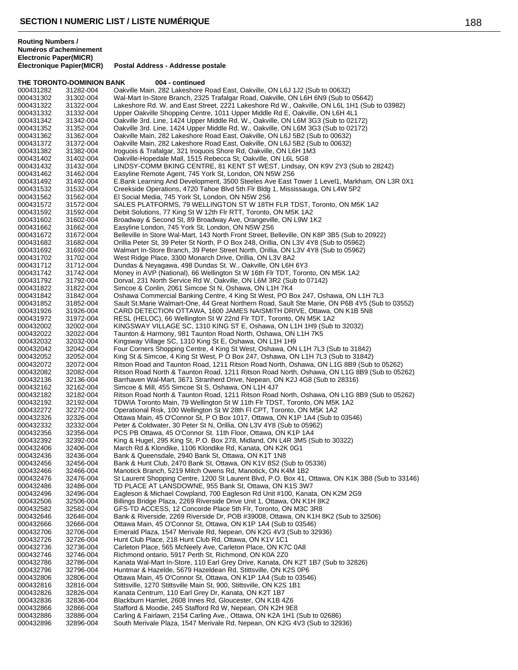**THE TORONTO-DOMINION BANK 004 - continued** 000431282 31282-004 Oakville Main, 282 Lakeshore Road East, Oakville, ON L6J 1J2 (Sub to 00632)<br>000431302 31302-004 Wal-Mart In-Store Branch, 2325 Trafalgar Road, Oakville, ON L6H 6N9 (Sub to 000431302 31302-004 Wal-Mart In-Store Branch, 2325 Trafalgar Road, Oakville, ON L6H 6N9 (Sub to 05642) Lakeshore Rd. W. and East Street, 2221 Lakeshore Rd W., Oakville, ON L6L 1H1 (Sub to 03982) 000431332 31332-004 Upper Oakville Shopping Centre, 1011 Upper Middle Rd E, Oakville, ON L6H 4L1 Oakville 3rd. Line, 1424 Upper Middle Rd. W., Oakville, ON L6M 3G3 (Sub to 02172) 000431352 31352-004 Oakville 3rd. Line, 1424 Upper Middle Rd. W., Oakville, ON L6M 3G3 (Sub to 02172)<br>000431362 31362-004 Oakville Main, 282 Lakeshore Road East, Oakville, ON L6J 5B2 (Sub to 00632) 000431362 31362-004 Oakville Main, 282 Lakeshore Road East, Oakville, ON L6J 5B2 (Sub to 00632) Oakville Main, 282 Lakeshore Road East, Oakville, ON L6J 5B2 (Sub to 00632) 000431382 31382-004 Iroguois & Trafalgar, 321 Iroquois Shore Rd, Oakville, ON L6H 1M3 000431402 31402-004 Oakville-Hopedale Mall, 1515 Rebecca St, Oakville, ON L6L 5G8<br>000431432 31432-004 LINDSY-COMM BKING CENTRE, 81 KENT ST WEST, Lindsay, 0 000431432 31432-004 LINDSY-COMM BKING CENTRE, 81 KENT ST WEST, Lindsay, ON K9V 2Y3 (Sub to 28242)<br>000431462 31462-004 Easyline Remote Agent, 745 York St, London, ON N5W 2S6 000431462 31462-004 Easyline Remote Agent, 745 York St, London, ON N5W 2S6<br>000431492 31492-004 E.Bank Learning And Development, 3500 Steeles Ave Fast 000431492 31492-004 E.Bank Learning And Development, 3500 Steeles Ave East Tower 1 Level1, Markham, ON L3R 0X1<br>000431532 31532-004 Creekside Operations, 4720 Tahoe Blvd 5th Flr Bldg 1, Mississauga, ON L4W 5P2 000431532 31532-004 Creekside Operations, 4720 Tahoe Blvd 5th Flr Bldg 1, Mississauga, ON L4W 5P2<br>000431562 31562-004 El Social Media, 745 York St, London, ON N5W 2S6 El Social Media, 745 York St, London, ON N5W 2S6 000431572 31572-004 SALES PLATFORMS, 79 WELLINGTON ST W 18TH FLR TDST, Toronto, ON M5K 1A2<br>000431592 31592-004 Debit Solutions, 77 King St W 12th Flr RTT, Toronto, ON M5K 1A2 000431592 31592-004 Debit Solutions, 77 King St W 12th Flr RTT, Toronto, ON M5K 1A2<br>000431602 31602-004 Broadway & Second St, 89 Broadway Ave, Orangeville, ON L9W 1 000431602 31602-004 Broadway & Second St, 89 Broadway Ave, Orangeville, ON L9W 1K2<br>000431662 31662-004 Easyline London, 745 York St, London, ON N5W 2S6 000431662 31662-004 Easyline London, 745 York St, London, ON N5W 2S6 Belleville In Store Wal-Mart, 143 North Front Street, Belleville, ON K8P 3B5 (Sub to 20922) 000431682 31682-004 Orillia Peter St, 39 Peter St North, P O Box 248, Orillia, ON L3V 4Y8 (Sub to 05962) Walmart In-Store Branch, 39 Peter Street North, Orillia, ON L3V 4Y8 (Sub to 05962) 000431702 31702-004 West Ridge Place, 3300 Monarch Drive, Orillia, ON L3V 8A2<br>000431712 31712-004 Dundas & Neyagawa, 498 Dundas St. W., Oakville, ON L6H 000431712 31712-004 Dundas & Neyagawa, 498 Dundas St. W., Oakville, ON L6H 6Y3 Money in AVP (National), 66 Wellington St W 16th Flr TDT, Toronto, ON M5K 1A2 000431792 31792-004 Dorval, 231 North Service Rd W, Oakville, ON L6M 3R2 (Sub to 07142)<br>000431822 31822-004 Simcoe & Conlin, 2061 Simcoe St N, Oshawa, ON L1H 7K4 31822-004 Simcoe & Conlin, 2061 Simcoe St N, Oshawa, ON L1H 7K4<br>31842-004 Oshawa Commercial Banking Centre, 4 King St West, PO B 000431842 31842-004 Oshawa Commercial Banking Centre, 4 King St West, PO Box 247, Oshawa, ON L1H 7L3 000431852 31852-004 Sault St.Marie Walmart-One, 44 Great Northern Road, Sault Ste Marie, ON P6B 4Y5 (Sub to 03552)<br>000431926 31926-004 CARD DETECTION OTTAWA, 1600 JAMES NAISMITH DRIVE, Ottawa, ON K1B 5N8 CARD DETECTION OTTAWA, 1600 JAMES NAISMITH DRIVE, Ottawa, ON K1B 5N8 000431972 31972-004 RESL (HELOC), 66 Wellington St W 22nd Flr TDT, Toronto, ON M5K 1A2 000432002 32002-004 KINGSWAY VILLAGE SC, 1310 KING ST E, Oshawa, ON L1H 1H9 (Sub to 32032)<br>000432022 32022-004 Taunton & Harmony, 981 Taunton Road North, Oshawa, ON L1H 7K5 000432022 32022-004 Taunton & Harmony, 981 Taunton Road North, Oshawa, ON L1H 7K5<br>000432032 32032-004 Kingsway Village SC, 1310 King St E, Oshawa, ON L1H 1H9 000432032 32032-004 Kingsway Village SC, 1310 King St E, Oshawa, ON L1H 1H9 000432042 32042-004 Four Corners Shopping Centre, 4 King St West, Oshawa, ON L1H 7L3 (Sub to 31842)<br>000432052 32052-004 King St & Simcoe, 4 King St West, P O Box 247, Oshawa, ON L1H 7L3 (Sub to 31842 000432052 32052-004 King St & Simcoe, 4 King St West, P O Box 247, Oshawa, ON L1H 7L3 (Sub to 31842) Ritson Road and Taunton Road, 1211 Ritson Road North, Oshawa, ON L1G 8B9 (Sub to 05262) 000432082 32082-004 Ritson Road North & Taunton Road, 1211 Ritson Road North, Oshawa, ON L1G 8B9 (Sub to 05262)<br>000432136 32136-004 Barrhaven Wal-Mart, 3671 Stranherd Drive, Nepean, ON K2J 4G8 (Sub to 28316) 000432136 32136-004 Barrhaven Wal-Mart, 3671 Stranherd Drive, Nepean, ON K2J 4G8 (Sub to 28316)<br>000432162 32162-004 Simcoe & Mill, 455 Simcoe St S, Oshawa, ON L1H 4J7 000432162 32162-004 Simcoe & Mill, 455 Simcoe St S, Oshawa, ON L1H 4J7<br>000432182 32182-004 Ritson Road North & Taunton Road, 1211 Ritson Road 000432182 32182-004 Ritson Road North & Taunton Road, 1211 Ritson Road North, Oshawa, ON L1G 8B9 (Sub to 05262)<br>000432192 32192-004 TDWIA Toronto Main. 79 Wellington St W 11th Flr TDST. Toronto. ON M5K 1A2 TDWIA Toronto Main, 79 Wellington St W 11th Flr TDST, Toronto, ON M5K 1A2 000432272 32272-004 Operational Risk, 100 Wellington St W 28th Fl CPT, Toronto, ON M5K 1A2 Ottawa Main, 45 O'Connor St, P O Box 1017, Ottawa, ON K1P 1A4 (Sub to 03546) 000432332 32332-004 Peter & Coldwater, 30 Peter St N, Orillia, ON L3V 4Y8 (Sub to 05962) 000432356 32356-004 PCS PB Ottawa, 45 O'Connor St. 11th Floor, Ottawa, ON K1P 1A4<br>000432392 32392-004 King & Hugel. 295 King St. P.O. Box 278. Midland. ON L4R 3M5 (S King & Hugel, 295 King St, P.O. Box 278, Midland, ON L4R 3M5 (Sub to 30322) 000432406 32406-004 March Rd & Klondike, 1106 Klondike Rd, Kanata, ON K2K 0G1 Bank & Queensdale, 2940 Bank St, Ottawa, ON K1T 1N8 000432456 32456-004 Bank & Hunt Club, 2470 Bank St, Ottawa, ON K1V 8S2 (Sub to 05336)<br>000432466 32466-004 Manotick Branch, 5219 Mitch Owens Rd, Manotick, ON K4M 1B2 000432466 32466-004 Manotick Branch, 5219 Mitch Owens Rd, Manotick, ON K4M 1B2 St Laurent Shopping Centre, 1200 St Laurent Blvd, P.O. Box 41, Ottawa, ON K1K 3B8 (Sub to 33146) 000432486 32486-004 TD PLACE AT LANSDOWNE, 955 Bank St, Ottawa, ON K1S 3W7<br>000432496 32496-004 Eagleson & Michael Cowpland, 700 Eagleson Rd Unit #100, Kanat 000432496 32496-004 Eagleson & Michael Cowpland, 700 Eagleson Rd Unit #100, Kanata, ON K2M 2G9<br>000432506 32506-004 Billings Bridge Plaza, 2269 Riverside Drive Unit 1, Ottawa, ON K1H 8K2 000432506 32506-004 Billings Bridge Plaza, 2269 Riverside Drive Unit 1, Ottawa, ON K1H 8K2 000432582 32582-004 GFS-TD ACCESS, 12 Concorde Place 5th Flr, Toronto, ON M3C 3R8<br>000432646 32646-004 Bank & Riverside, 2269 Riverside Dr, POB #39008, Ottawa, ON K1H i 000432646 32646-004 Bank & Riverside, 2269 Riverside Dr, POB #39008, Ottawa, ON K1H 8K2 (Sub to 32506)<br>000432666 32666-004 Ottawa Main, 45 O'Connor St, Ottawa, ON K1P 1A4 (Sub to 03546) 000432666 32666-004 Ottawa Main, 45 O'Connor St, Ottawa, ON K1P 1A4 (Sub to 03546) Emerald Plaza, 1547 Merivale Rd, Nepean, ON K2G 4V3 (Sub to 32936) 000432726 32726-004 Hunt Club Place, 218 Hunt Club Rd, Ottawa, ON K1V 1C1<br>000432736 32736-004 Carleton Place, 565 McNeely Ave, Carleton Place, ON K7 32736-004 Carleton Place, 565 McNeely Ave, Carleton Place, ON K7C 0A8 000432746 32746-004 Richmond ontario, 5917 Perth St, Richmond, ON K0A 2Z0<br>000432786 32786-004 Kanata Wal-Mart In-Store, 110 Earl Grey Drive, Kanata, Ol 000432786 32786-004 Kanata Wal-Mart In-Store, 110 Earl Grey Drive, Kanata, ON K2T 1B7 (Sub to 32826)<br>000432796 32796-004 Huntmar & Hazelde, 5679 Hazeldean Rd. Stittsville, ON K2S 0P6 Huntmar & Hazelde, 5679 Hazeldean Rd, Stittsville, ON K2S 0P6 000432806 32806-004 Ottawa Main, 45 O'Connor St, Ottawa, ON K1P 1A4 (Sub to 03546)<br>000432816 32816-004 Stittsville, 1270 Stittsville Main St, 900, Stittsville, ON K2S 1B1 Stittsville, 1270 Stittsville Main St, 900, Stittsville, ON K2S 1B1

- 
- 000432826 32826-004 Kanata Centrum, 110 Earl Grey Dr, Kanata, ON K2T 1B7 000432836 32836-004 Blackburn Hamlet, 2608 Innes Rd, Gloucester, ON K1B 4Z6
	- Stafford & Moodie, 245 Stafford Rd W, Nepean, ON K2H 9E8
- 000432886 32886-004 Carling & Fairlawn, 2154 Carling Ave., Ottawa, ON K2A 1H1 (Sub to 02686) South Merivale Plaza, 1547 Merivale Rd, Nepean, ON K2G 4V3 (Sub to 32936)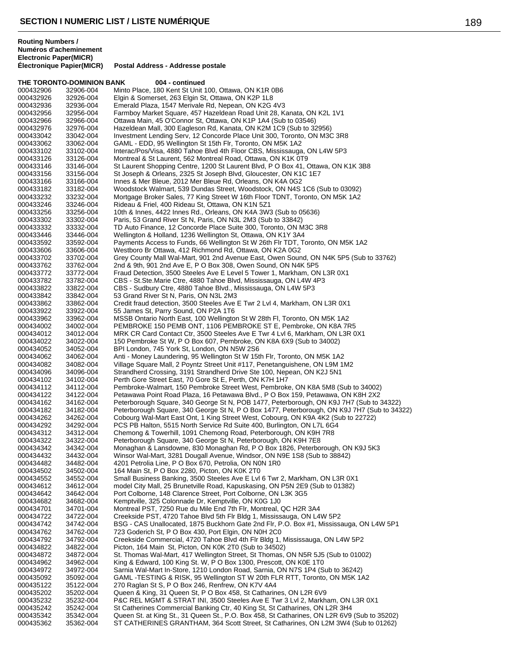|                        | THE TORONTO-DOMINION BANK | 004 - continued                                                                                                                                                                  |
|------------------------|---------------------------|----------------------------------------------------------------------------------------------------------------------------------------------------------------------------------|
| 000432906              | 32906-004                 | Minto Place, 180 Kent St Unit 100, Ottawa, ON K1R 0B6                                                                                                                            |
| 000432926              | 32926-004                 | Elgin & Somerset, 263 Elgin St, Ottawa, ON K2P 1L8                                                                                                                               |
| 000432936              | 32936-004                 | Emerald Plaza, 1547 Merivale Rd, Nepean, ON K2G 4V3                                                                                                                              |
| 000432956<br>000432966 | 32956-004<br>32966-004    | Farmboy Market Square, 457 Hazeldean Road Unit 28, Kanata, ON K2L 1V1<br>Ottawa Main, 45 O'Connor St, Ottawa, ON K1P 1A4 (Sub to 03546)                                          |
| 000432976              | 32976-004                 | Hazeldean Mall, 300 Eagleson Rd, Kanata, ON K2M 1C9 (Sub to 32956)                                                                                                               |
| 000433042              | 33042-004                 | Investment Lending Serv, 12 Concorde Place Unit 300, Toronto, ON M3C 3R8                                                                                                         |
| 000433062              | 33062-004                 | GAML - EDD, 95 Wellington St 15th Flr, Toronto, ON M5K 1A2                                                                                                                       |
| 000433102              | 33102-004                 | Interac/Pos/Visa, 4880 Tahoe Blvd 4th Floor CBS, Mississauga, ON L4W 5P3                                                                                                         |
| 000433126              | 33126-004                 | Montreal & St Laurent, 562 Montreal Road, Ottawa, ON K1K 0T9                                                                                                                     |
| 000433146<br>000433156 | 33146-004<br>33156-004    | St Laurent Shopping Centre, 1200 St Laurent Blvd, P O Box 41, Ottawa, ON K1K 3B8<br>St Joseph & Orleans, 2325 St Joseph Blvd, Gloucester, ON K1C 1E7                             |
| 000433166              | 33166-004                 | Innes & Mer Bleue, 2012 Mer Bleue Rd, Orleans, ON K4A 0G2                                                                                                                        |
| 000433182              | 33182-004                 | Woodstock Walmart, 539 Dundas Street, Woodstock, ON N4S 1C6 (Sub to 03092)                                                                                                       |
| 000433232              | 33232-004                 | Mortgage Broker Sales, 77 King Street W 16th Floor TDNT, Toronto, ON M5K 1A2                                                                                                     |
| 000433246              | 33246-004                 | Rideau & Friel, 400 Rideau St, Ottawa, ON K1N 5Z1                                                                                                                                |
| 000433256<br>000433302 | 33256-004<br>33302-004    | 10th & Innes, 4422 Innes Rd., Orleans, ON K4A 3W3 (Sub to 05636)<br>Paris, 53 Grand River St N, Paris, ON N3L 2M3 (Sub to 33842)                                                 |
| 000433332              | 33332-004                 | TD Auto Finance, 12 Concorde Place Suite 300, Toronto, ON M3C 3R8                                                                                                                |
| 000433446              | 33446-004                 | Wellington & Holland, 1236 Wellington St, Ottawa, ON K1Y 3A4                                                                                                                     |
| 000433592              | 33592-004                 | Payments Access to Funds, 66 Wellington St W 26th Flr TDT, Toronto, ON M5K 1A2                                                                                                   |
| 000433606              | 33606-004                 | Westboro Br Ottawa, 412 Richmond Rd, Ottawa, ON K2A 0G2                                                                                                                          |
| 000433702              | 33702-004                 | Grey County Mall Wal-Mart, 901 2nd Avenue East, Owen Sound, ON N4K 5P5 (Sub to 33762)                                                                                            |
| 000433762              | 33762-004                 | 2nd & 9th, 901 2nd Ave E, P O Box 308, Owen Sound, ON N4K 5P5<br>Fraud Detection, 3500 Steeles Ave E Level 5 Tower 1, Markham, ON L3R 0X1                                        |
| 000433772<br>000433782 | 33772-004<br>33782-004    | CBS - St.Ste.Marie Ctre, 4880 Tahoe Blvd, Mississauga, ON L4W 4P3                                                                                                                |
| 000433822              | 33822-004                 | CBS - Sudbury Ctre, 4880 Tahoe Blvd., Mississauga, ON L4W 5P3                                                                                                                    |
| 000433842              | 33842-004                 | 53 Grand River St N, Paris, ON N3L 2M3                                                                                                                                           |
| 000433862              | 33862-004                 | Credit fraud detection, 3500 Steeles Ave E Twr 2 Lvl 4, Markham, ON L3R 0X1                                                                                                      |
| 000433922              | 33922-004                 | 55 James St, Parry Sound, ON P2A 1T6                                                                                                                                             |
| 000433962<br>000434002 | 33962-004<br>34002-004    | MSSB Ontario North East, 100 Wellington St W 28th Fl, Toronto, ON M5K 1A2<br>PEMBROKE 150 PEMB ONT, 1106 PEMBROKE ST E, Pembroke, ON K8A 7R5                                     |
| 000434012              | 34012-004                 | MRK CR Card Contact Ctr, 3500 Steeles Ave E Twr 4 Lvl 6, Markham, ON L3R 0X1                                                                                                     |
| 000434022              | 34022-004                 | 150 Pembroke St W, P O Box 607, Pembroke, ON K8A 6X9 (Sub to 34002)                                                                                                              |
| 000434052              | 34052-004                 | BPI London, 745 York St, London, ON N5W 2S6                                                                                                                                      |
| 000434062              | 34062-004                 | Anti - Money Laundering, 95 Wellington St W 15th Flr, Toronto, ON M5K 1A2                                                                                                        |
| 000434082              | 34082-004                 | Village Square Mall, 2 Poyntz Street Unit #117, Penetanguishene, ON L9M 1M2                                                                                                      |
| 000434096<br>000434102 | 34096-004<br>34102-004    | Strandherd Crossing, 3191 Strandherd Drive Ste 100, Nepean, ON K2J 5N1<br>Perth Gore Street East, 70 Gore St E, Perth, ON K7H 1H7                                                |
| 000434112              | 34112-004                 | Pembroke-Walmart, 150 Pembroke Street West, Pembroke, ON K8A 5M8 (Sub to 34002)                                                                                                  |
| 000434122              | 34122-004                 | Petawawa Point Road Plaza, 16 Petawawa Blvd., P O Box 159, Petawawa, ON K8H 2X2                                                                                                  |
| 000434162              | 34162-004                 | Peterborough Square, 340 George St N, POB 1477, Peterborough, ON K9J 7H7 (Sub to 34322)                                                                                          |
| 000434182              | 34182-004                 | Peterborough Square, 340 George St N, P O Box 1477, Peterborough, ON K9J 7H7 (Sub to 34322)<br>Cobourg Wal-Mart East Ont, 1 King Street West, Cobourg, ON K9A 4K2 (Sub to 22722) |
| 000434262<br>000434292 | 34262-004<br>34292-004    | PCS PB Halton, 5515 North Service Rd Suite 400, Burlington, ON L7L 6G4                                                                                                           |
| 000434312              | 34312-004                 | Chemong & Towerhill, 1091 Chemong Road, Peterborough, ON K9H 7R8                                                                                                                 |
| 000434322              | 34322-004                 | Peterborough Square, 340 George St N, Peterborough, ON K9H 7E8                                                                                                                   |
| 000434342              | 34342-004                 | Monaghan & Lansdowne, 830 Monaghan Rd, P O Box 1826, Peterborough, ON K9J 5K3                                                                                                    |
| 000434432              | 34432-004                 | Winsor Wal-Mart, 3281 Dougall Avenue, Windsor, ON N9E 1S8 (Sub to 38842)                                                                                                         |
| 000434482<br>000434502 | 34482-004<br>34502-004    | 4201 Petrolia Line, P O Box 670, Petrolia, ON N0N 1R0<br>164 Main St, P O Box 2280, Picton, ON K0K 2T0                                                                           |
| 000434552              | 34552-004                 | Small Business Banking, 3500 Steeles Ave E Lvl 6 Twr 2, Markham, ON L3R 0X1                                                                                                      |
| 000434612              | 34612-004                 | model City Mall, 25 Brunetville Road, Kapuskasing, ON P5N 2E9 (Sub to 01382)                                                                                                     |
| 000434642              | 34642-004                 | Port Colborne, 148 Clarence Street, Port Colborne, ON L3K 3G5                                                                                                                    |
| 000434682              | 34682-004                 | Kemptville, 325 Colonnade Dr, Kemptville, ON K0G 1J0                                                                                                                             |
| 000434701<br>000434722 | 34701-004<br>34722-004    | Montreal PST, 7250 Rue du Mile End 7th Flr, Montreal, QC H2R 3A4<br>Creekside PST, 4720 Tahoe Blvd 5th Flr Bldg 1, Mississauga, ON L4W 5P2                                       |
| 000434742              | 34742-004                 | BSG - CAS Unallocated, 1875 Buckhorn Gate 2nd Flr, P.O. Box #1, Mississauga, ON L4W 5P1                                                                                          |
| 000434762              | 34762-004                 | 723 Goderich St, P O Box 430, Port Elgin, ON N0H 2C0                                                                                                                             |
| 000434792              | 34792-004                 | Creekside Commercial, 4720 Tahoe Blvd 4th Flr Bldg 1, Mississauga, ON L4W 5P2                                                                                                    |
| 000434822              | 34822-004                 | Picton, 164 Main St, Picton, ON K0K 2T0 (Sub to 34502)                                                                                                                           |
| 000434872              | 34872-004                 | St. Thomas Wal-Mart, 417 Wellington Street, St Thomas, ON N5R 5J5 (Sub to 01002)                                                                                                 |
| 000434962<br>000434972 | 34962-004<br>34972-004    | King & Edward, 100 King St. W, P O Box 1300, Prescott, ON K0E 1T0<br>Sarnia Wal-Mart In-Store, 1210 London Road, Sarnia, ON N7S 1P4 (Sub to 36242)                               |
| 000435092              | 35092-004                 | GAML -TESTING & RISK, 95 Wellington ST W 20th FLR RTT, Toronto, ON M5K 1A2                                                                                                       |
| 000435122              | 35122-004                 | 270 Raglan St S, P O Box 246, Renfrew, ON K7V 4A4                                                                                                                                |
| 000435202              | 35202-004                 | Queen & King, 31 Queen St, P O Box 458, St Catharines, ON L2R 6V9                                                                                                                |
| 000435232              | 35232-004                 | P&C REL MGMT & STRAT INI, 3500 Steeles Ave E Twr 3 Lvl 2, Markham, ON L3R 0X1                                                                                                    |
| 000435242<br>000435342 | 35242-004<br>35342-004    | St Catherines Commercial Banking Ctr, 40 King St, St Catharines, ON L2R 3H4<br>Queen St. at King St., 31 Queen St., P.O. Box 458, St Catharines, ON L2R 6V9 (Sub to 35202)       |
| 000435362              | 35362-004                 | ST CATHERINES GRANTHAM, 364 Scott Street, St Catharines, ON L2M 3W4 (Sub to 01262)                                                                                               |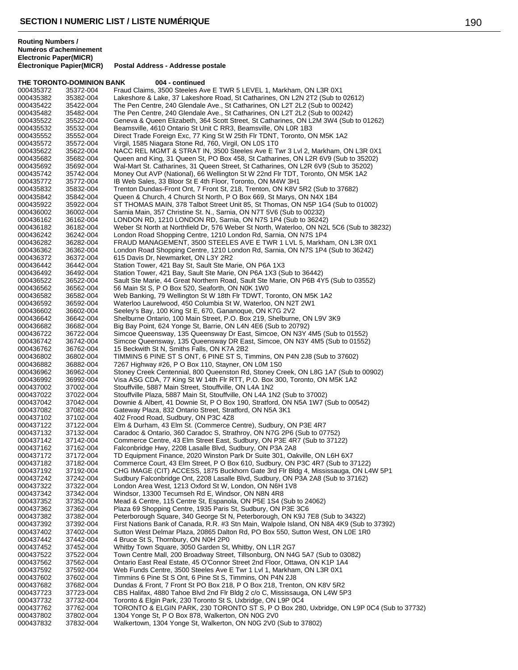### **THE TORONTO-DOMINION BANK 004 - continued** 000435372 35372-004 Fraud Claims, 3500 Steeles Ave E TWR 5 LEVEL 1, Markham, ON L3R 0X1<br>000435382 35382-004 Lakeshore & Lake, 37 Lakeshore Road, St Catharines, ON L2N 2T2 (Sub to 000435382 35382-004 Lakeshore & Lake, 37 Lakeshore Road, St Catharines, ON L2N 2T2 (Sub to 02612)<br>000435422 35422-004 The Pen Centre. 240 Glendale Ave.. St Catharines. ON L2T 2L2 (Sub to 00242) The Pen Centre, 240 Glendale Ave., St Catharines, ON L2T 2L2 (Sub to 00242) 000435482 35482-004 The Pen Centre, 240 Glendale Ave., St Catharines, ON L2T 2L2 (Sub to 00242) 000435522 35522-004 Geneva & Queen Elizabeth, 364 Scott Street, St Catharines, ON L2M 3W4 (Sub to 01262)<br>000435532 35532-004 Beamsville. 4610 Ontario St Unit C RR3. Beamsville. ON L0R 1B3 000435532 35532-004 Beamsville, 4610 Ontario St Unit C RR3, Beamsville, ON L0R 1B3<br>000435552 35552-004 Direct Trade Foreign Exc, 77 King St W 25th Flr TDNT, Toronto, O 000435552 35552-004 Direct Trade Foreign Exc, 77 King St W 25th Flr TDNT, Toronto, ON M5K 1A2<br>000435572 35572-004 Virgil. 1585 Niagara Stone Rd. 760. Virgil. ON L0S 1T0 Virgil, 1585 Niagara Stone Rd, 760, Virgil, ON L0S 1T0 000435622 35622-004 NACC REL MGMT & STRAT IN, 3500 Steeles Ave E Twr 3 Lvl 2, Markham, ON L3R 0X1<br>000435682 35682-004 Queen and King, 31 Queen St, PO Box 458, St Catharines, ON L2R 6V9 (Sub to 35202) 000435682 35682-004 Queen and King, 31 Queen St, PO Box 458, St Catharines, ON L2R 6V9 (Sub to 35202) 000435692 35692-004 Wal-Mart St. Catharines, 31 Queen Street, St Catharines, ON L2R 6V9 (Sub to 35202) 000435742 35742-004 Money Out AVP (National), 66 Wellington St W 22nd Flr TDT, Toronto, ON M5K 1A2<br>000435772 35772-004 IB Web Sales, 33 Bloor St E 4th Floor, Toronto, ON M4W 3H1 000435772 35772-004 IB Web Sales, 33 Bloor St E 4th Floor, Toronto, ON M4W 3H1<br>000435832 35832-004 Trenton Dundas-Front Ont, 7 Front St, 218, Trenton, ON K8V 9 000435832 35832-004 Trenton Dundas-Front Ont, 7 Front St, 218, Trenton, ON K8V 5R2 (Sub to 37682)<br>000435842 35842-004 Queen & Church, 4 Church St North, P O Box 669, St Marys, ON N4X 1B4 Queen & Church, 4 Church St North, P O Box 669, St Marys, ON N4X 1B4 000435922 35922-004 ST THOMAS MAIN, 378 Talbot Street Unit 85, St Thomas, ON N5P 1G4 (Sub to 01002)<br>000436002 36002-004 Sarnia Main, 357 Christine St. N., Sarnia, ON N7T 5V6 (Sub to 00232) 000436002 36002-004 Sarnia Main, 357 Christine St. N., Sarnia, ON N7T 5V6 (Sub to 00232)<br>000436162 36162-004 LONDON RD, 1210 LONDON RD, Sarnia, ON N7S 1P4 (Sub to 36242 000436162 36162-004 LONDON RD, 1210 LONDON RD, Sarnia, ON N7S 1P4 (Sub to 36242)<br>000436182 36182-004 Weber St North at Northfield Dr, 576 Weber St North, Waterloo, ON N2L 000436182 36182-004 Weber St North at Northfield Dr, 576 Weber St North, Waterloo, ON N2L 5C6 (Sub to 38232)<br>000436242 36242-004 London Road Shopping Centre, 1210 London Rd, Sarnia, ON N7S 1P4 London Road Shopping Centre, 1210 London Rd, Sarnia, ON N7S 1P4 000436282 36282-004 FRAUD MANAGEMENT, 3500 STEELES AVE E TWR 1 LVL 5, Markham, ON L3R 0X1<br>000436362 36362-004 London Road Shopping Centre, 1210 London Rd, Sarnia, ON N7S 1P4 (Sub to 36242) London Road Shopping Centre, 1210 London Rd, Sarnia, ON N7S 1P4 (Sub to 36242) 000436372 36372-004 615 Davis Dr, Newmarket, ON L3Y 2R2 000436442 36442-004 Station Tower, 421 Bay St, Sault Ste Marie, ON P6A 1X3<br>000436492 36492-004 Station Tower, 421 Bay, Sault Ste Marie, ON P6A 1X3 (St Station Tower, 421 Bay, Sault Ste Marie, ON P6A 1X3 (Sub to 36442) 000436522 36522-004 Sault Ste Marie, 44 Great Northern Road, Sault Ste Marie, ON P6B 4Y5 (Sub to 03552)<br>000436562 36562-004 56 Main St S, P O Box 520, Seaforth, ON N0K 1W0 000436562 36562-004 56 Main St S, P O Box 520, Seaforth, ON N0K 1W0 000436582 36582-004 Web Banking, 79 Wellington St W 18th Flr TDWT, Toronto, ON M5K 1A2<br>000436592 36592-004 Waterloo Laurelwood, 450 Columbia St W, Waterloo, ON N2T 2W1 000436592 36592-004 Waterloo Laurelwood, 450 Columbia St W, Waterloo, ON N2T 2W1<br>000436602 36602-004 Seelev's Bay, 100 King St E, 670, Gananoque, ON K7G 2V2 Seeley's Bay, 100 King St E, 670, Gananoque, ON K7G 2V2 000436642 36642-004 Shelburne Ontario, 100 Main Street, P.O. Box 219, Shelburne, ON L9V 3K9<br>000436682 36682-004 Big Bay Point, 624 Yonge St, Barrie, ON L4N 4E6 (Sub to 20792) 000436682 36682-004 Big Bay Point, 624 Yonge St, Barrie, ON L4N 4E6 (Sub to 20792) 000436722 36722-004 Simcoe Queensway, 135 Queensway Dr East, Simcoe, ON N3Y 4M5 (Sub to 01552) 000436742 36742-004 Simcoe Queensway, 135 Queensway DR East, Simcoe, ON N3Y 4M5 (Sub to 01552) 000436762 36762-004 15 Beckwith St N, Smiths Falls, ON K7A 2B2<br>000436802 36802-004 TIMMINS 6 PINE ST S ONT, 6 PINE ST S, Ti 000436802 36802-004 TIMMINS 6 PINE ST S ONT, 6 PINE ST S, Timmins, ON P4N 2J8 (Sub to 37602)<br>000436882 36882-004 7267 Highway #26, P O Box 110, Stayner, ON L0M 1S0 000436882 36882-004 7267 Highway #26, P O Box 110, Stayner, ON L0M 1S0<br>000436962 36962-004 Stoney Creek Centennial, 800 Queenston Rd, Stoney Cr 000436962 36962-004 Stoney Creek Centennial, 800 Queenston Rd, Stoney Creek, ON L8G 1A7 (Sub to 00902)<br>000436992 36992-004 Visa ASG CDA, 77 King St W 14th Flr RTT, P.O. Box 300, Toronto, ON M5K 1A2 000436992 36992-004 Visa ASG CDA, 77 King St W 14th Flr RTT, P.O. Box 300, Toronto, ON M5K 1A2<br>000437002 37002-004 Stouffville, 5887 Main Street, Stouffville, ON L4A 1N2 000437002 37002-004 Stouffville, 5887 Main Street, Stouffville, ON L4A 1N2 000437022 37022-004 Stouffville Plaza, 5887 Main St, Stouffville, ON L4A 1N2 (Sub to 37002) Downie & Albert, 41 Downie St, P O Box 190, Stratford, ON N5A 1W7 (Sub to 00542) 000437082 37082-004 Gateway Plaza, 832 Ontario Street, Stratford, ON N5A 3K1<br>000437102 37102-004 402 Frood Road, Sudbury, ON P3C 4Z8 402 Frood Road, Sudbury, ON P3C 4Z8 000437122 37122-004 Elm & Durham, 43 Elm St. (Commerce Centre), Sudbury, ON P3E 4R7<br>000437132 37132-004 Caradoc & Ontario, 360 Caradoc S, Strathroy, ON N7G 2P6 (Sub to 07 000437132 37132-004 Caradoc & Ontario, 360 Caradoc S, Strathroy, ON N7G 2P6 (Sub to 07752) Commerce Centre, 43 Elm Street East, Sudbury, ON P3E 4R7 (Sub to 37122) 000437162 37162-004 Falconbridge Hwy, 2208 Lasalle Blvd, Sudbury, ON P3A 2A8<br>000437172 37172-004 TD Equipment Finance, 2020 Winston Park Dr Suite 301, Oal 37172-004 TD Equipment Finance, 2020 Winston Park Dr Suite 301, Oakville, ON L6H 6X7<br>37182-004 Commerce Court. 43 Elm Street. P O Box 610. Sudbury. ON P3C 4R7 (Sub to 3 000437182 37182-004 Commerce Court, 43 Elm Street, P O Box 610, Sudbury, ON P3C 4R7 (Sub to 37122)<br>000437192 37192-004 CHG IMAGE (CIT) ACCESS, 1875 Buckhorn Gate 3rd Flr Bldg 4, Mississauga, ON L4 000437192 37192-004 CHG IMAGE (CIT) ACCESS, 1875 Buckhorn Gate 3rd Flr Bldg 4, Mississauga, ON L4W 5P1<br>000437242 37242-004 Sudbury Falconbridge Ont. 2208 Lasalle Blyd. Sudbury, ON P3A 2A8 (Sub to 37162) Sudbury Falconbridge Ont, 2208 Lasalle Blvd, Sudbury, ON P3A 2A8 (Sub to 37162) 000437322 37322-004 London Area West, 1213 Oxford St W, London, ON N6H 1V8<br>000437342 37342-004 Windsor, 13300 Tecumseh Rd E, Windsor, ON N8N 4R8 Windsor, 13300 Tecumseh Rd E, Windsor, ON N8N 4R8 000437352 37352-004 Mead & Centre, 115 Centre St, Espanola, ON P5E 1S4 (Sub to 24062)<br>000437362 37362-004 Plaza 69 Shopping Centre, 1935 Paris St, Sudbury, ON P3E 3C6 000437362 37362-004 Plaza 69 Shopping Centre, 1935 Paris St, Sudbury, ON P3E 3C6 000437382 37382-004 Peterborough Square, 340 George St N, Peterborough, ON K9J 7E8 (Sub to 34322) 000437392 37392-004 First Nations Bank of Canada, R.R. #3 Stn Main, Walpole Island, ON N8A 4K9 (Sub to 37392)<br>000437402 37402-004 Sutton West Delmar Plaza, 20865 Dalton Rd, PO Box 550, Sutton West, ON L0E 1R0 Sutton West Delmar Plaza, 20865 Dalton Rd, PO Box 550, Sutton West, ON L0E 1R0 000437442 37442-004 4 Bruce St S, Thornbury, ON N0H 2P0<br>000437452 37452-004 Whitby Town Square, 3050 Garden St, 37452-004 Whitby Town Square, 3050 Garden St, Whitby, ON L1R 2G7 000437522 37522-004 Town Centre Mall, 200 Broadway Street, Tillsonburg, ON N4G 5A7 (Sub to 03082)<br>000437562 37562-004 Ontario East Real Estate, 45 O'Connor Street 2nd Floor, Ottawa, ON K1P 1A4 000437562 37562-004 Ontario East Real Estate, 45 O'Connor Street 2nd Floor, Ottawa, ON K1P 1A4 Web Funds Centre, 3500 Steeles Ave E Twr 1 Lvl 1, Markham, ON L3R 0X1 000437602 37602-004 Timmins 6 Pine St S Ont, 6 Pine St S, Timmins, ON P4N 2J8 Dundas & Front, 7 Front St PO Box 218, P O Box 218, Trenton, ON K8V 5R2 000437723 37723-004 CBS Halifax, 4880 Tahoe Blvd 2nd Flr Bldg 2 c/o C, Mississauga, ON L4W 5P3<br>000437732 37732-004 Toronto & Elgin Park, 230 Toronto St S, Uxbridge, ON L9P 0C4 000437732 37732-004 Toronto & Elgin Park, 230 Toronto St S, Uxbridge, ON L9P 0C4 TORONTO & ELGIN PARK, 230 TORONTO ST S, P O Box 280, Uxbridge, ON L9P 0C4 (Sub to 37732) 000437802 37802-004 1304 Yonge St, P O Box 878, Walkerton, ON N0G 2V0<br>000437832 37832-004 Walkertown, 1304 Yonge St, Walkerton, ON N0G 2V0 ( Walkertown, 1304 Yonge St, Walkerton, ON N0G 2V0 (Sub to 37802)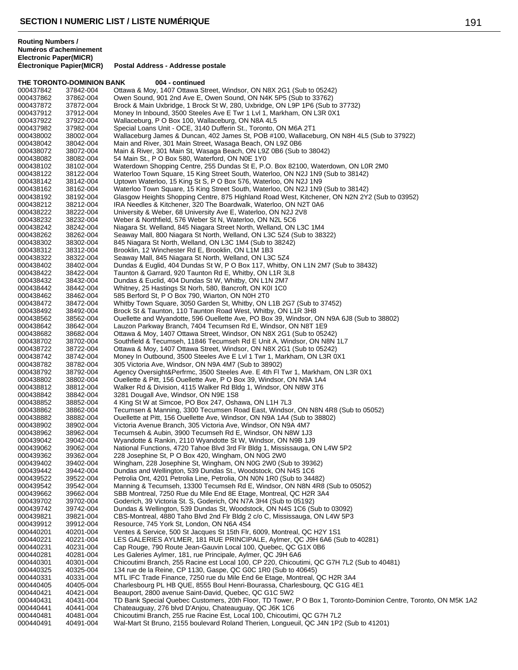|                        | THE TORONTO-DOMINION BANK | 004 - continued                                                                                                                                          |
|------------------------|---------------------------|----------------------------------------------------------------------------------------------------------------------------------------------------------|
| 000437842              | 37842-004                 | Ottawa & Moy, 1407 Ottawa Street, Windsor, ON N8X 2G1 (Sub to 05242)                                                                                     |
| 000437862              | 37862-004                 | Owen Sound, 901 2nd Ave E, Owen Sound, ON N4K 5P5 (Sub to 33762)                                                                                         |
| 000437872              | 37872-004                 | Brock & Main Uxbridge, 1 Brock St W, 280, Uxbridge, ON L9P 1P6 (Sub to 37732)                                                                            |
| 000437912              | 37912-004                 | Money In Inbound, 3500 Steeles Ave E Twr 1 Lvl 1, Markham, ON L3R 0X1                                                                                    |
| 000437922              | 37922-004                 | Wallaceburg, P O Box 100, Wallaceburg, ON N8A 4L5                                                                                                        |
| 000437982              | 37982-004                 | Special Loans Unit - OCE, 3140 Dufferin St., Toronto, ON M6A 2T1                                                                                         |
| 000438002              | 38002-004                 | Wallaceburg James & Duncan, 402 James St, POB #100, Wallaceburg, ON N8H 4L5 (Sub to 37922)                                                               |
| 000438042              | 38042-004                 | Main and River, 301 Main Street, Wasaga Beach, ON L9Z 0B6                                                                                                |
| 000438072              | 38072-004                 | Main & River, 301 Main St, Wasaga Beach, ON L9Z 0B6 (Sub to 38042)                                                                                       |
| 000438082<br>000438102 | 38082-004<br>38102-004    | 54 Main St., P O Box 580, Waterford, ON N0E 1Y0<br>Waterdown Shopping Centre, 255 Dundas St E, P.O. Box 82100, Waterdown, ON LOR 2M0                     |
| 000438122              | 38122-004                 | Waterloo Town Square, 15 King Street South, Waterloo, ON N2J 1N9 (Sub to 38142)                                                                          |
| 000438142              | 38142-004                 | Uptown Waterloo, 15 King St S, P O Box 576, Waterloo, ON N2J 1N9                                                                                         |
| 000438162              | 38162-004                 | Waterloo Town Square, 15 King Street South, Waterloo, ON N2J 1N9 (Sub to 38142)                                                                          |
| 000438192              | 38192-004                 | Glasgow Heights Shopping Centre, 875 Highland Road West, Kitchener, ON N2N 2Y2 (Sub to 03952)                                                            |
| 000438212              | 38212-004                 | IRA Needles & Kitchener, 320 The Boardwalk, Waterloo, ON N2T 0A6                                                                                         |
| 000438222              | 38222-004                 | University & Weber, 68 University Ave E, Waterloo, ON N2J 2V8                                                                                            |
| 000438232              | 38232-004                 | Weber & Northfield, 576 Weber St N, Waterloo, ON N2L 5C6                                                                                                 |
| 000438242              | 38242-004                 | Niagara St. Welland, 845 Niagara Street North, Welland, ON L3C 1M4                                                                                       |
| 000438262              | 38262-004                 | Seaway Mall, 800 Niagara St North, Welland, ON L3C 5Z4 (Sub to 38322)                                                                                    |
| 000438302              | 38302-004                 | 845 Niagara St North, Welland, ON L3C 1M4 (Sub to 38242)                                                                                                 |
| 000438312              | 38312-004                 | Brooklin, 12 Winchester Rd E, Brooklin, ON L1M 1B3                                                                                                       |
| 000438322              | 38322-004                 | Seaway Mall, 845 Niagara St North, Welland, ON L3C 5Z4                                                                                                   |
| 000438402              | 38402-004                 | Dundas & Euglid, 404 Dundas St W, P O Box 117, Whitby, ON L1N 2M7 (Sub to 38432)                                                                         |
| 000438422              | 38422-004                 | Taunton & Garrard, 920 Taunton Rd E, Whitby, ON L1R 3L8                                                                                                  |
| 000438432              | 38432-004                 | Dundas & Euclid, 404 Dundas St W, Whitby, ON L1N 2M7                                                                                                     |
| 000438442              | 38442-004                 | Whitney, 25 Hastings St Norh, 580, Bancroft, ON K0I 1C0                                                                                                  |
| 000438462              | 38462-004                 | 585 Berford St, P O Box 790, Wiarton, ON N0H 2T0                                                                                                         |
| 000438472              | 38472-004                 | Whitby Town Square, 3050 Garden St, Whitby, ON L1B 2G7 (Sub to 37452)                                                                                    |
| 000438492              | 38492-004                 | Brock St & Taunton, 110 Taunton Road West, Whitby, ON L1R 3H8                                                                                            |
| 000438562              | 38562-004                 | Ouellette and Wyandotte, 596 Ouellette Ave, PO Box 39, Windsor, ON N9A 6J8 (Sub to 38802)                                                                |
| 000438642<br>000438682 | 38642-004<br>38682-004    | Lauzon Parkway Branch, 7404 Tecumsen Rd E, Windsor, ON N8T 1E9<br>Ottawa & Moy, 1407 Ottawa Street, Windsor, ON N8X 2G1 (Sub to 05242)                   |
| 000438702              | 38702-004                 | Southfield & Tecumseh, 11846 Tecumseh Rd E Unit A, Windsor, ON N8N 1L7                                                                                   |
| 000438722              | 38722-004                 | Ottawa & Moy, 1407 Ottawa Street, Windsor, ON N8X 2G1 (Sub to 05242)                                                                                     |
| 000438742              | 38742-004                 | Money In Outbound, 3500 Steeles Ave E Lvl 1 Twr 1, Markham, ON L3R 0X1                                                                                   |
| 000438782              | 38782-004                 | 305 Victoria Ave, Windsor, ON N9A 4M7 (Sub to 38902)                                                                                                     |
| 000438792              | 38792-004                 | Agency Oversight&Perfrmc, 3500 Steeles Ave. E 4th FI Twr 1, Markham, ON L3R 0X1                                                                          |
| 000438802              | 38802-004                 | Ouellette & Pitt, 156 Ouellette Ave, P O Box 39, Windsor, ON N9A 1A4                                                                                     |
| 000438812              | 38812-004                 | Walker Rd & Division, 4115 Walker Rd Bldg 1, Windsor, ON N8W 3T6                                                                                         |
| 000438842              | 38842-004                 | 3281 Dougall Ave, Windsor, ON N9E 1S8                                                                                                                    |
| 000438852              | 38852-004                 | 4 King St W at Simcoe, PO Box 247, Oshawa, ON L1H 7L3                                                                                                    |
| 000438862              | 38862-004                 | Tecumsen & Manning, 3300 Tecumsen Road East, Windsor, ON N8N 4R8 (Sub to 05052)                                                                          |
| 000438882              | 38882-004                 | Ouellette at Pitt, 156 Ouellette Ave, Windsor, ON N9A 1A4 (Sub to 38802)                                                                                 |
| 000438902              | 38902-004                 | Victoria Avenue Branch, 305 Victoria Ave, Windsor, ON N9A 4M7                                                                                            |
| 000438962              | 38962-004                 | Tecumseh & Aubin, 3900 Tecumseh Rd E, Windsor, ON N8W 1J3                                                                                                |
| 000439042              | 39042-004                 | Wyandotte & Rankin, 2110 Wyandotte St W, Windsor, ON N9B 1J9                                                                                             |
| 000439062              | 39062-004                 | National Functions, 4720 Tahoe Blvd 3rd Flr Bldg 1, Mississauga, ON L4W 5P2                                                                              |
| 000439362              | 39362-004                 | 228 Josephine St, P O Box 420, Wingham, ON N0G 2W0                                                                                                       |
| 000439402<br>000439442 | 39402-004<br>39442-004    | Wingham, 228 Josephine St, Wingham, ON N0G 2W0 (Sub to 39362)<br>Dundas and Wellington, 539 Dundas St., Woodstock, ON N4S 1C6                            |
| 000439522              | 39522-004                 | Petrolia Ont, 4201 Petrolia Line, Petrolia, ON N0N 1R0 (Sub to 34482)                                                                                    |
| 000439542              | 39542-004                 | Manning & Tecumseh, 13300 Tecumseh Rd E, Windsor, ON N8N 4R8 (Sub to 05052)                                                                              |
| 000439662              | 39662-004                 | SBB Montreal, 7250 Rue du Mile End 8E Etage, Montreal, QC H2R 3A4                                                                                        |
| 000439702              | 39702-004                 | Goderich, 39 Victoria St. S, Goderich, ON N7A 3H4 (Sub to 05192)                                                                                         |
| 000439742              | 39742-004                 | Dundas & Wellington, 539 Dundas St, Woodstock, ON N4S 1C6 (Sub to 03092)                                                                                 |
| 000439821              | 39821-004                 | CBS-Montreal, 4880 Taho Blvd 2nd Flr Bldg 2 c/o C, Mississauga, ON L4W 5P3                                                                               |
| 000439912              | 39912-004                 | Resource, 745 York St, London, ON N6A 4S4                                                                                                                |
| 000440201              | 40201-004                 | Ventes & Service, 500 St Jacques St 15th Flr, 6009, Montreal, QC H2Y 1S1                                                                                 |
| 000440221              | 40221-004                 | LES GALERIES AYLMER, 181 RUE PRINCIPALE, Aylmer, QC J9H 6A6 (Sub to 40281)                                                                               |
| 000440231              | 40231-004                 | Cap Rouge, 790 Route Jean-Gauvin Local 100, Quebec, QC G1X 0B6                                                                                           |
| 000440281              | 40281-004                 | Les Galeries Aylmer, 181, rue Principale, Aylmer, QC J9H 6A6                                                                                             |
| 000440301              | 40301-004                 | Chicoutimi Branch, 255 Racine est Local 100, CP 220, Chicoutimi, QC G7H 7L2 (Sub to 40481)                                                               |
| 000440325              | 40325-004                 | 134 rue de la Reine, CP 1130, Gaspe, QC G0C 1R0 (Sub to 40645)                                                                                           |
| 000440331              | 40331-004                 | MTL IFC Trade Finance, 7250 rue du Mile End 6e Etage, Montreal, QC H2R 3A4<br>Charlesbourg PL HB QUE, 8555 Boul Henri-Bourassa, Charlesbourg, QC G1G 4E1 |
| 000440405<br>000440421 | 40405-004<br>40421-004    | Beauport, 2800 avenue Saint-David, Quebec, QC G1C 5W2                                                                                                    |
| 000440431              | 40431-004                 | TD Bank Special Quebec Customers, 20th Floor, TD Tower, P O Box 1, Toronto-Dominion Centre, Toronto, ON M5K 1A2                                          |
| 000440441              | 40441-004                 | Chateauguay, 276 blvd D'Anjou, Chateauguay, QC J6K 1C6                                                                                                   |
| 000440481              | 40481-004                 | Chicoutimi Branch, 255 rue Racine Est, Local 100, Chicoutimi, QC G7H 7L2                                                                                 |
| 000440491              | 40491-004                 | Wal-Mart St Bruno, 2155 boulevard Roland Therien, Longueuil, QC J4N 1P2 (Sub to 41201)                                                                   |
|                        |                           |                                                                                                                                                          |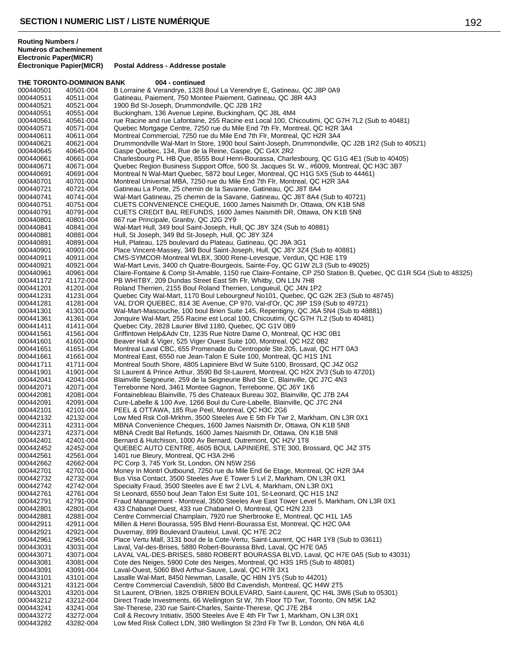**Routing Numbers / Numéros d'acheminement Electronic Paper(MICR)**

|           | THE TORONTO-DOMINION BANK | 004 - continued                                                                                                 |
|-----------|---------------------------|-----------------------------------------------------------------------------------------------------------------|
| 000440501 | 40501-004                 | B Lorraine & Verandrye, 1328 Boul La Verendrye E, Gatineau, QC J8P 0A9                                          |
| 000440511 | 40511-004                 | Gatineau, Paiement, 750 Montee Paiement, Gatineau, QC J8R 4A3                                                   |
| 000440521 | 40521-004                 | 1900 Bd St-Joseph, Drummondville, QC J2B 1R2                                                                    |
| 000440551 | 40551-004                 | Buckingham, 136 Avenue Lepine, Buckingham, QC J8L 4M4                                                           |
| 000440561 | 40561-004                 | rue Racine and rue Lafontaine, 255 Racine est Local 100, Chicoutimi, QC G7H 7L2 (Sub to 40481)                  |
| 000440571 | 40571-004                 | Quebec Mortgage Centre, 7250 rue du Mile End 7th Flr, Montreal, QC H2R 3A4                                      |
| 000440611 | 40611-004                 | Montreal Commercial, 7250 rue du Mile End 7th Flr, Montreal, QC H2R 3A4                                         |
| 000440621 | 40621-004                 | Drummondville Wal-Mart In Store, 1900 boul Saint-Joseph, Drummondville, QC J2B 1R2 (Sub to 40521)               |
|           |                           |                                                                                                                 |
| 000440645 | 40645-004                 | Gaspe Quebec, 134, Rue de la Reine, Gaspe, QC G4X 2R2                                                           |
| 000440661 | 40661-004                 | Charlesbourg PL HB Que, 8555 Boul Henri-Bourassa, Charlesbourg, QC G1G 4E1 (Sub to 40405)                       |
| 000440671 | 40671-004                 | Quebec Region Business Support Offce, 500 St. Jacques St. W., #6009, Montreal, QC H3C 3B7                       |
| 000440691 | 40691-004                 | Montreal N Wal-Mart Quebec, 5872 boul Leger, Montreal, QC H1G 5X5 (Sub to 44461)                                |
| 000440701 | 40701-004                 | Montreal Universal MBA, 7250 rue du Mile End 7th Flr, Montreal, QC H2R 3A4                                      |
| 000440721 | 40721-004                 | Gatineau La Porte, 25 chemin de la Savanne, Gatineau, QC J8T 8A4                                                |
| 000440741 | 40741-004                 | Wal-Mart Gatineau, 25 chemin de la Savane, Gatineau, QC J8T 8A4 (Sub to 40721)                                  |
| 000440751 | 40751-004                 | CUETS CONVENIENCE CHEQUE, 1600 James Naismith Dr, Ottawa, ON K1B 5N8                                            |
| 000440791 | 40791-004                 | CUETS CREDIT BAL REFUNDS, 1600 James Naismith DR, Ottawa, ON K1B 5N8                                            |
| 000440801 | 40801-004                 | 867 rue Principale, Granby, QC J2G 2Y9                                                                          |
| 000440841 | 40841-004                 | Wal-Mart Hull, 349 boul Saint-Joseph, Hull, QC J8Y 3Z4 (Sub to 40881)                                           |
| 000440881 | 40881-004                 | Hull, St Joseph, 349 Bd St-Joseph, Hull, QC J8Y 3Z4                                                             |
| 000440891 | 40891-004                 | Hull, Plateau, 125 boulevard du Plateau, Gatineau, QC J9A 3G1                                                   |
| 000440901 | 40901-004                 | Place Vincent-Massey, 349 Boul Saint-Joseph, Hull, QC J8Y 3Z4 (Sub to 40881)                                    |
| 000440911 | 40911-004                 | CMS-SYMCOR-Montreal WLBX, 3000 Rene-Levesque, Verdun, QC H3E 1T9                                                |
| 000440921 | 40921-004                 | Wal-Mart Levis, 3400 ch Quatre-Bourgeois, Sainte-Foy, QC G1W 2L3 (Sub to 49025)                                 |
| 000440961 | 40961-004                 | Claire-Fontaine & Comp St-Amable, 1150 rue Claire-Fontaine, CP 250 Station B, Quebec, QC G1R 5G4 (Sub to 48325) |
| 000441172 | 41172-004                 | PB WHITBY, 209 Dundas Street East 5th Flr, Whitby, ON L1N 7H8                                                   |
|           |                           | Roland Therrien, 2155 Boul Roland Therrien, Longueuil, QC J4N 1P2                                               |
| 000441201 | 41201-004                 |                                                                                                                 |
| 000441231 | 41231-004                 | Quebec City Wal-Mart, 1170 Boul Lebourgneuf No101, Quebec, QC G2K 2E3 (Sub to 48745)                            |
| 000441281 | 41281-004                 | VAL D'OR QUEBEC, 814 3E Avenue, CP 970, Val-d'Or, QC J9P 1S9 (Sub to 49721)                                     |
| 000441301 | 41301-004                 | Wal-Mart-Mascouche, 100 boul Brien Suite 145, Repentigny, QC J6A 5N4 (Sub to 48881)                             |
| 000441361 | 41361-004                 | Jonquire Wal-Mart, 255 Racine est Local 100, Chicoutimi, QC G7H 7L2 (Sub to 40481)                              |
| 000441411 | 41411-004                 | Quebec City, 2828 Laurier Blvd 1180, Quebec, QC G1V 0B9                                                         |
| 000441561 | 41561-004                 | Griffintown Help&Adv Ctr, 1235 Rue Notre Dame O, Montreal, QC H3C 0B1                                           |
| 000441601 | 41601-004                 | Beaver Hall & Viger, 525 Viger Ouest Suite 100, Montreal, QC H2Z 0B2                                            |
| 000441651 | 41651-004                 | Montreal Laval CBC, 655 Promenade du Centropole Ste.205, Laval, QC H7T 0A3                                      |
| 000441661 | 41661-004                 | Montreal East, 6550 rue Jean-Talon E Suite 100, Montreal, QC H1S 1N1                                            |
| 000441711 | 41711-004                 | Montreal South Shore, 4805 Lapiniere Blvd W Suite 5100, Brossard, QC J4Z 0G2                                    |
| 000441901 | 41901-004                 | St Laurent & Prince Arthur, 3590 Bd St-Laurent, Montreal, QC H2X 2V3 (Sub to 47201)                             |
| 000442041 | 42041-004                 | Blainville Seigneurie, 259 de la Seigneurie Blvd Ste C, Blainville, QC J7C 4N3                                  |
| 000442071 | 42071-004                 | Terrebonne Nord, 3461 Montee Gagnon, Terrebonne, QC J6Y 1K6                                                     |
| 000442081 | 42081-004                 | Fontainebleau Blainville, 75 des Chateaux Bureau 302, Blainville, QC J7B 2A4                                    |
| 000442091 | 42091-004                 | Cure-Labelle & 100 Ave, 1266 Boul du Cure-Labelle, Blainville, QC J7C 2N4                                       |
| 000442101 | 42101-004                 | PEEL & OTTAWA, 185 Rue Peel, Montreal, QC H3C 2G6                                                               |
| 000442132 | 42132-004                 | Low Med Rsk Coll-Mrkhm, 3500 Steeles Ave E 5th Flr Twr 2, Markham, ON L3R 0X1                                   |
| 000442311 | 42311-004                 | MBNA Convenience Cheques, 1600 James Naismith Dr, Ottawa, ON K1B 5N8                                            |
|           |                           |                                                                                                                 |
| 000442371 | 42371-004                 | MBNA Credit Bal Refunds, 1600 James Naismith Dr, Ottawa, ON K1B 5N8                                             |
| 000442401 | 42401-004                 | Bernard & Hutchison, 1000 Av Bernard, Outremont, QC H2V 1T8                                                     |
| 000442452 | 42452-004                 | QUEBEC AUTO CENTRE, 4605 BOUL LAPINIERE, STE 300, Brossard, QC J4Z 3T5                                          |
| 000442561 | 42561-004                 | 1401 rue Bleury, Montreal, QC H3A 2H6                                                                           |
| 000442662 | 42662-004                 | PC Corp 3, 745 York St, London, ON N5W 2S6                                                                      |
| 000442701 | 42701-004                 | Money In Montrl Outbound, 7250 rue du Mile End 6e Etage, Montreal, QC H2R 3A4                                   |
| 000442732 | 42732-004                 | Bus Visa Contact, 3500 Steeles Ave E Tower 5 Lvl 2, Markham, ON L3R 0X1                                         |
| 000442742 | 42742-004                 | Specialty Fraud, 3500 Steeles ave E twr 2 LVL 4, Markham, ON L3R 0X1                                            |
| 000442761 | 42761-004                 | St Leonard, 6550 boul Jean Talon Est Suite 101, St-Leonard, QC H1S 1N2                                          |
| 000442791 | 42791-004                 | Fraud Management - Montreal, 3500 Steeles Ave East Tower Level 5, Markham, ON L3R 0X1                           |
| 000442801 | 42801-004                 | 433 Chabanel Ouest, 433 rue Chabanel O, Montreal, QC H2N 2J3                                                    |
| 000442881 | 42881-004                 | Centre Commercial Champlain, 7920 rue Sherbrooke E, Montreal, QC H1L 1A5                                        |
| 000442911 | 42911-004                 | Millen & Henri Bourassa, 595 Blvd Henri-Bourassa Est, Montreal, QC H2C 0A4                                      |
| 000442921 | 42921-004                 | Duvernay, 899 Boulevard D'auteiul, Laval, QC H7E 2C2                                                            |
| 000442961 | 42961-004                 | Place Vertu Mall, 3131 boul de la Cote-Vertu, Saint-Laurent, QC H4R 1Y8 (Sub to 03611)                          |
| 000443031 | 43031-004                 | Laval, Val-des-Brises, 5880 Robert-Bourassa Blvd, Laval, QC H7E 0A5                                             |
| 000443071 | 43071-004                 | LAVAL VAL-DES-BRISES, 5880 ROBERT BOURASSA BLVD, Laval, QC H7E 0A5 (Sub to 43031)                               |
| 000443081 | 43081-004                 | Cote des Neiges, 5900 Cote des Neiges, Montreal, QC H3S 1R5 (Sub to 48081)                                      |
| 000443091 | 43091-004                 | Laval-Ouest, 5060 Blvd Arthur-Sauve, Laval, QC H7R 3X1                                                          |
| 000443101 | 43101-004                 | Lasalle Wal-Mart, 8450 Newman, Lasalle, QC H8N 1Y5 (Sub to 44201)                                               |
| 000443121 | 43121-004                 | Centre Commercial Cavendish, 5800 Bd Cavendish, Montreal, QC H4W 2T5                                            |
|           |                           |                                                                                                                 |
| 000443201 | 43201-004                 | St Laurent, O'Brien, 1825 O'BRIEN BOULEVARD, Saint-Laurent, QC H4L 3W6 (Sub to 05301)                           |
| 000443212 | 43212-004                 | Direct Trade Investments, 66 Wellington St W, 7th Floor TD Twr, Toronto, ON M5K 1A2                             |
| 000443241 | 43241-004                 | Ste-Therese, 230 rue Saint-Charles, Sainte-Therese, QC J7E 2B4                                                  |
| 000443272 | 43272-004                 | Coll & Recovry Initiativ, 3500 Steeles Ave E 4th Flr Twr 1, Markham, ON L3R 0X1                                 |
| 000443282 | 43282-004                 | Low Med Risk Collect LDN, 380 Wellington St 23rd Flr Twr B, London, ON N6A 4L6                                  |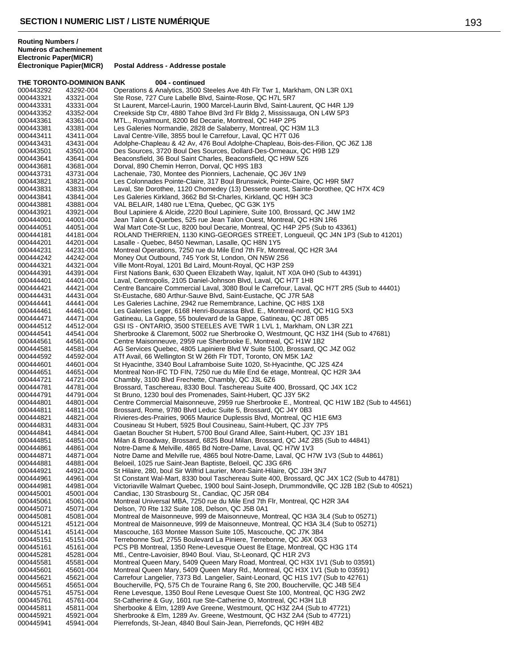**Routing Numbers / Numéros d'acheminement Electronic Paper(MICR)**

**Postal Address - Addresse postale** 

### **THE TORONTO-DOMINION BANK 004 - continued** 000443292 43292-004 Operations & Analytics, 3500 Steeles Ave 4th Flr Twr 1, Markham, ON L3R 0X1<br>000443321 43321-004 Ste Rose, 727 Cure Labelle Blvd, Sainte-Rose, QC H7L 5R7 000443321 43321-004 Ste Rose, 727 Cure Labelle Blvd, Sainte-Rose, QC H7L 5R7<br>000443331 43331-004 St Laurent. Marcel-Laurin. 1900 Marcel-Laurin Blvd. Saint-La St Laurent, Marcel-Laurin, 1900 Marcel-Laurin Blvd, Saint-Laurent, QC H4R 1J9 000443352 43352-004 Creekside Stp Ctr, 4880 Tahoe Blvd 3rd Flr Bldg 2, Mississauga, ON L4W 5P3<br>000443361 43361-004 MTL., Royalmount, 8200 Bd Decarie, Montreal, QC H4P 2P5 MTL., Royalmount, 8200 Bd Decarie, Montreal, QC H4P 2P5 000443381 43381-004 Les Galeries Normandie, 2828 de Salaberry, Montreal, QC H3M 1L3<br>000443411 43411-004 Laval Centre-Ville, 3855 boul le Carrefour, Laval, QC H7T 0J6 000443411 43411-004 Laval Centre-Ville, 3855 boul le Carrefour, Laval, QC H7T 0J6 Adolphe-Chapleau & 42 Av, 476 Boul Adolphe-Chapleau, Bois-des-Filion, QC J6Z 1J8 000443501 43501-004 Des Sources, 3720 Boul Des Sources, Dollard-Des-Ormeaux, QC H9B 1Z9<br>000443641 43641-004 Beaconsfield, 36 Boul Saint Charles, Beaconsfield, QC H9W 5Z6 000443641 43641-004 Beaconsfield, 36 Boul Saint Charles, Beaconsfield, QC H9W 5Z6<br>000443681 43681-004 Dorval, 890 Chemin Herron, Dorval, QC H9S 1B3 000443681 43681-004 Dorval, 890 Chemin Herron, Dorval, QC H9S 1B3 000443731 43731-004 Lachenaie, 730, Montee des Pionniers, Lachenaie, QC J6V 1N9 000443821 43821-004 Les Colonnades Pointe-Claire, 317 Boul Brunswick, Pointe-Claire, QC H9R 5M7<br>000443831 43831-004 Laval, Ste Dorothee, 1120 Chomedey (13) Desserte ouest, Sainte-Dorothee, QC 000443831 43831-004 Laval, Ste Dorothee, 1120 Chomedey (13) Desserte ouest, Sainte-Dorothee, QC H7X 4C9<br>000443841 43841-004 Les Galeries Kirkland, 3662 Bd St-Charles, Kirkland, QC H9H 3C3 Les Galeries Kirkland, 3662 Bd St-Charles, Kirkland, QC H9H 3C3 000443881 43881-004 VAL BELAIR, 1480 rue L'Etna, Quebec, QC G3K 1Y5<br>000443921 43921-004 Boul Lapiniere & Alcide. 2220 Boul Lapiniere. Suite 10 000443921 43921-004 Boul Lapiniere & Alcide, 2220 Boul Lapiniere, Suite 100, Brossard, QC J4W 1M2 000444001 44001-004 Jean Talon & Querbes, 525 rue Jean Talon Ouest, Montreal, QC H3N 1R6<br>000444051 44051-004 Wal Mart Cote-St Luc, 8200 boul Decarie, Montreal, QC H4P 2P5 (Sub to 4 000444051 44051-004 Wal Mart Cote-St Luc, 8200 boul Decarie, Montreal, QC H4P 2P5 (Sub to 43361) ROLAND THERRIEN, 1130 KING-GEORGES STREET, Longueuil, QC J4N 1P3 (Sub to 41201) 000444201 44201-004 Lasalle - Quebec, 8450 Newman, Lasalle, QC H8N 1Y5 Montreal Operations, 7250 rue du Mile End 7th Flr, Montreal, QC H2R 3A4 000444242 44242-004 Money Out Outbound, 745 York St, London, ON N5W 2S6<br>000444321 44321-004 Ville Mont-Royal, 1201 Bd Laird, Mount-Royal, QC H3P 2S 000444321 44321-004 Ville Mont-Royal, 1201 Bd Laird, Mount-Royal, QC H3P 2S9 First Nations Bank, 630 Queen Elizabeth Way, Iqaluit, NT X0A 0H0 (Sub to 44391) 000444401 44401-004 Laval, Centropolis, 2105 Daniel-Johnson Blvd, Laval, QC H7T 1H8<br>000444421 44421-004 Centre Bancaire Commercial Laval, 3080 Boul le Carrefour, Laval, Centre Bancaire Commercial Laval, 3080 Boul le Carrefour, Laval, QC H7T 2R5 (Sub to 44401) 000444431 44431-004 St-Eustache, 680 Arthur-Sauve Blvd, Saint-Eustache, QC J7R 5A8 000444441 44441-004 Les Galeries Lachine, 2942 rue Remembrance, Lachine, QC H8S 1X8<br>000444461 44461-004 Les Galeries Leger, 6168 Henri-Bourassa Blvd. E., Montreal-nord, QC Les Galeries Leger, 6168 Henri-Bourassa Blvd. E., Montreal-nord, QC H1G 5X3 000444471 44471-004 Gatineau, La Gappe, 55 boulevard de la Gappe, Gatineau, QC J8T 0B5 44512-004 GSI IS - ONTARIO, 3500 STEELES AVE TWR 1 LVL 1, Markham, ON L3R 2Z1<br>44541-004 Sherbrooke & Claremont, 5002 rue Sherbrooke O, Westmount, OC H3Z 1H4 (S) 000444541 44541-004 Sherbrooke & Claremont, 5002 rue Sherbrooke O, Westmount, QC H3Z 1H4 (Sub to 47681)<br>000444561 44561-004 Centre Maisonneuve. 2959 rue Sherbrooke E. Montreal. QC H1W 1B2 000444561 44561-004 Centre Maisonneuve, 2959 rue Sherbrooke E, Montreal, QC H1W 1B2 000444581 44581-004 AG Services Quebec, 4805 Lapiniere Blvd W Suite 5100, Brossard, QC J4Z 0G2<br>000444592 44592-004 ATf Avail, 66 Wellington St W 26th Flr TDT, Toronto, ON M5K 1A2 000444592 44592-004 ATf Avail, 66 Wellington St W 26th Flr TDT, Toronto, ON M5K 1A2<br>000444601 44601-004 St Hyacinthe, 3340 Boul Laframboise Suite 1020, St-Hyacinthe, Q 000444601 44601-004 St Hyacinthe, 3340 Boul Laframboise Suite 1020, St-Hyacinthe, QC J2S 4Z4<br>000444651 44651-004 Montreal Non-IFC TD FIN, 7250 rue du Mile End 6e etage, Montreal, QC H2R 000444651 44651-004 Montreal Non-IFC TD FIN, 7250 rue du Mile End 6e etage, Montreal, QC H2R 3A4<br>000444721 44721-004 Chambly. 3100 Blvd Frechette. Chambly. QC J3L 6Z6 44721-004 Chambly, 3100 Blvd Frechette, Chambly, QC J3L 6Z6<br>44781-004 Brossard, Taschereau, 8330 Boul. Taschereau Suite 4 000444781 44781-004 Brossard, Taschereau, 8330 Boul. Taschereau Suite 400, Brossard, QC J4X 1C2<br>000444791 44791-004 St Bruno, 1230 boul des Promenades, Saint-Hubert, QC J3Y 5K2 000444791 44791-004 St Bruno, 1230 boul des Promenades, Saint-Hubert, QC J3Y 5K2 Centre Commercial Maisonneuve, 2959 rue Sherbrooke E., Montreal, QC H1W 1B2 (Sub to 44561) 000444811 44811-004 Brossard, Rome, 9780 Blvd Leduc Suite 5, Brossard, QC J4Y 0B3<br>000444821 44821-004 Rivieres-des-Prairies, 9065 Maurice Duplessis Blvd, Montreal, QC Rivieres-des-Prairies, 9065 Maurice Duplessis Blvd, Montreal, QC H1E 6M3 000444831 44831-004 Cousineau St Hubert, 5925 Boul Cousineau, Saint-Hubert, QC J3Y 7P5 000444841 44841-004 Gaetan Boucher St Hubert, 5700 Boul Grand Allee, Saint-Hubert, QC J3Y 1B1<br>000444851 44851-004 Milan & Broadway. Brossard. 6825 Boul Milan. Brossard. QC J4Z 2B5 (Sub to Milan & Broadway, Brossard, 6825 Boul Milan, Brossard, QC J4Z 2B5 (Sub to 44841) 000444861 44861-004 Notre-Dame & Melville, 4865 Bd Notre-Dame, Laval, QC H7W 1V3<br>000444871 44871-004 Notre Dame and Melville rue, 4865 boul Notre-Dame, Laval, QC H7 Notre Dame and Melville rue, 4865 boul Notre-Dame, Laval, QC H7W 1V3 (Sub to 44861) 000444881 44881-004 Beloeil, 1025 rue Saint-Jean Baptiste, Beloeil, QC J3G 6R6<br>000444921 44921-004 St Hilaire, 280, boul Sir Wilfrid Laurier, Mont-Saint-Hilaire, Q 000444921 44921-004 St Hilaire, 280, boul Sir Wilfrid Laurier, Mont-Saint-Hilaire, QC J3H 3N7 St Constant Wal-Mart, 8330 boul Taschereau Suite 400, Brossard, QC J4X 1C2 (Sub to 44781) 000444981 44981-004 Victoriaville Walmart Quebec, 1900 boul Saint-Joseph, Drummondville, QC J2B 1B2 (Sub to 40521)<br>000445001 45001-004 Candiac, 130 Strasbourg St., Candiac, QC J5R 0B4 000445001 45001-004 Candiac, 130 Strasbourg St., Candiac, QC J5R 0B4 000445061 45061-004 Montreal Universal MBA, 7250 rue du Mile End 7th Flr, Montreal, QC H2R 3A4<br>000445071 45071-004 Delson. 70 Rte 132 Suite 108. Delson. QC J5B 0A1 000445071 45071-004 Delson, 70 Rte 132 Suite 108, Delson, QC J5B 0A1 000445081 45081-004 Montreal de Maisonneuve, 999 de Maisonneuve, Montreal, QC H3A 3L4 (Sub to 05271) 000445121 45121-004 Montreal de Maisonneuve, 999 de Maisonneuve, Montreal, QC H3A 3L4 (Sub to 05271)<br>000445141 45141-004 Mascouche, 163 Montee Masson Suite 105, Mascouche, QC J7K 3B4 Mascouche, 163 Montee Masson Suite 105, Mascouche, QC J7K 3B4 000445151 45151-004 Terrebonne Sud, 2755 Boulevard La Piniere, Terrebonne, QC J6X 0G3 000445161 45161-004 PCS PB Montreal, 1350 Rene-Levesque Ouest 8e Etage, Montreal, QC H3G 1T4 000445281 45281-004 Mtl., Centre-Lavoisier, 8940 Boul. Viau, St-Leonard, QC H1R 2V3<br>000445581 45581-004 Montreal Queen Mary, 5409 Queen Mary Road, Montreal, QC H3. 000445581 45581-004 Montreal Queen Mary, 5409 Queen Mary Road, Montreal, QC H3X 1V1 (Sub to 03591)<br>000445601 45601-004 Montreal Queen Mary, 5409 Queen Mary Rd., Montreal, QC H3X 1V1 (Sub to 03591) Montreal Queen Mary, 5409 Queen Mary Rd., Montreal, QC H3X 1V1 (Sub to 03591) 000445621 45621-004 Carrefour Langelier, 7373 Bd. Langelier, Saint-Leonard, QC H1S 1V7 (Sub to 42761) 000445651 45651-004 Boucherville, PQ, 575 Ch de Touraine Rang 6, Ste 200, Boucherville, QC J4B 5E4 000445751 45751-004 Rene Levesque, 1350 Boul Rene Levesque Ouest Ste 100, Montreal, QC H3G 2W2<br>000445761 45761-004 St-Catherine & Guy, 1601 rue Ste-Catherine O, Montreal, QC H3H 1L8 000445761 45761-004 St-Catherine & Guy, 1601 rue Ste-Catherine O, Montreal, QC H3H 1L8<br>000445811 45811-004 Sherbooke & Flm. 1289 Ave Greene, Westmount, QC H3Z 2A4 (Sub to Sherbooke & Elm, 1289 Ave Greene, Westmount, QC H3Z 2A4 (Sub to 47721) 000445921 45921-004 Sherbrooke & Elm, 1289 Av. Greene, Westmount, QC H3Z 2A4 (Sub to 47721) Pierrefonds, St-Jean, 4840 Boul Sain-Jean, Pierrefonds, QC H9H 4B2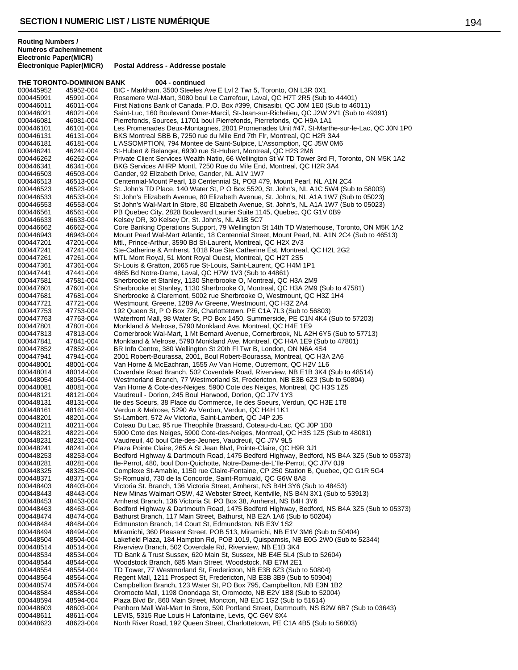**THE TORONTO-DOMINION BANK 004 - continued** 000445952 45952-004 BIC - Markham, 3500 Steeles Ave E Lvl 2 Twr 5, Toronto, ON L3R 0X1<br>000445991 45991-004 Rosemere Wal-Mart, 3080 boul Le Carrefour, Laval, QC H7T 2R5 (Sub 000445991 45991-004 Rosemere Wal-Mart, 3080 boul Le Carrefour, Laval, QC H7T 2R5 (Sub to 44401)<br>000446011 46011-004 First Nations Bank of Canada. P.O. Box #399. Chisasibi. QC J0M 1E0 (Sub to 46 First Nations Bank of Canada, P.O. Box #399, Chisasibi, QC J0M 1E0 (Sub to 46011) 000446021 46021-004 Saint-Luc, 160 Boulevard Omer-Marcil, St-Jean-sur-Richelieu, QC J2W 2V1 (Sub to 49391)<br>000446081 46081-004 Pierrefonds, Sources, 11701 boul Pierrefonds, Pierrefonds, QC H9A 1A1 Pierrefonds, Sources, 11701 boul Pierrefonds, Pierrefonds, QC H9A 1A1 000446101 46101-004 Les Promenades Deux-Montagnes, 2801 Promenades Unit #47, St-Marthe-sur-le-Lac, QC J0N 1P0<br>000446131 46131-004 BKS Montreal SBB B, 7250 rue du Mile End 7th Flr, Montreal, QC H2R 3A4 000446131 46131-004 BKS Montreal SBB B, 7250 rue du Mile End 7th Flr, Montreal, QC H2R 3A4<br>000446181 46181-004 I 'ASSOMPTION, 794 Montee de Saint-Sulpice, I 'Assomption, OC J5W 0M L'ASSOMPTION, 794 Montee de Saint-Sulpice, L'Assomption, QC J5W 0M6 000446241 46241-004 St-Hubert & Belanger, 6930 rue St-Hubert, Montreal, QC H2S 2M6<br>000446262 46262-004 Private Client Services Wealth Natio, 66 Wellington St W TD Tower 000446262 46262-004 Private Client Services Wealth Natio, 66 Wellington St W TD Tower 3rd Fl, Toronto, ON M5K 1A2<br>000446341 46341-004 BKG Services AHRP Montl, 7250 Rue du Mile End, Montreal, QC H2R 3A4 000446341 46341-004 BKG Services AHRP Montl, 7250 Rue du Mile End, Montreal, QC H2R 3A4<br>000446503 46503-004 Gander, 92 Elizabeth Drive, Gander, NL A1V 1W7 000446503 46503-004 Gander, 92 Elizabeth Drive, Gander, NL A1V 1W7 000446513 46513-004 Centennial-Mount Pearl, 18 Centennial St, POB 479, Mount Pearl, NL A1N 2C4<br>000446523 46523-004 St. John's TD Place, 140 Water St, P O Box 5520, St. John's, NL A1C 5W4 (Sub 000446523 46523-004 St. John's TD Place, 140 Water St, P O Box 5520, St. John's, NL A1C 5W4 (Sub to 58003)<br>000446533 46533-004 St John's Elizabeth Avenue, 80 Elizabeth Avenue, St. John's, NL A1A 1W7 (Sub to 05023) 000446533 46533-004 St John's Elizabeth Avenue, 80 Elizabeth Avenue, St. John's, NL A1A 1W7 (Sub to 05023) 000446553 46553-004 St John's Wal-Mart In Store, 80 Elizabeth Avenue, St. John's, NL A1A 1W7 (Sub to 05023)<br>000446561 46561-004 PB Quebec Citv. 2828 Boulevard Laurier Suite 1145. Quebec. QC G1V 0B9 000446561 46561-004 PB Quebec City, 2828 Boulevard Laurier Suite 1145, Quebec, QC G1V 0B9<br>000446633 46633-004 Kelsey DR, 30 Kelsey Dr, St, John's, NL A1B 5C7 000446633 46633-004 Kelsey DR, 30 Kelsey Dr, St. John's, NL A1B 5C7<br>000446662 46662-004 Core Banking Operations Support, 79 Wellington 000446662 46662-004 Core Banking Operations Support, 79 Wellington St 14th TD Waterhouse, Toronto, ON M5K 1A2<br>000446943 46943-004 Mount Pearl Wal-Mart Atlantic. 18 Centennial Street. Mount Pearl. NL A1N 2C4 (Sub to 46513) Mount Pearl Wal-Mart Atlantic, 18 Centennial Street, Mount Pearl, NL A1N 2C4 (Sub to 46513) 000447201 47201-004 Mtl., Prince-Arthur, 3590 Bd St-Laurent, Montreal, QC H2X 2V3 Ste-Catherine & Amherst, 1018 Rue Ste Catherine Est, Montreal, QC H2L 2G2 000447261 47261-004 MTL Mont Royal, 51 Mont Royal Ouest, Montreal, QC H2T 2S5 000447361 47361-004 St-Louis & Gratton, 2065 rue St-Louis, Saint-Laurent, QC H4M 1P1<br>000447441 47441-004 4865 Bd Notre-Dame. Laval. QC H7W 1V3 (Sub to 44861) 4865 Bd Notre-Dame, Laval, QC H7W 1V3 (Sub to 44861) 000447581 47581-004 Sherbrooke et Stanley, 1130 Sherbrooke O, Montreal, QC H3A 2M9 Sherbrooke et Stanley, 1130 Sherbrooke O, Montreal, QC H3A 2M9 (Sub to 47581) 000447681 47681-004 Sherbrooke & Claremont, 5002 rue Sherbrooke O, Westmount, QC H3Z 1H4<br>000447721 47721-004 Westmount, Greene, 1289 Av Greene, Westmount, QC H3Z 2A4 000447721 47721-004 Westmount, Greene, 1289 Av Greene, Westmount, QC H3Z 2A4<br>000447753 47753-004 192 Queen St. P O Box 726. Charlottetown. PE C1A 7L3 (Sub to 192 Queen St, P O Box 726, Charlottetown, PE C1A 7L3 (Sub to 56803) 000447763 47763-004 Waterfront Mall, 98 Water St, PO Box 1450, Summerside, PE C1N 4K4 (Sub to 57203)<br>000447801 47801-004 Monkland & Melrose, 5790 Monkland Ave, Montreal, QC H4E 1E9 Monkland & Melrose, 5790 Monkland Ave, Montreal, QC H4E 1E9 000447813 47813-004 Cornerbrook Wal-Mart, 1 Mt Bernard Avenue, Cornerbrook, NL A2H 6Y5 (Sub to 57713)<br>000447841 47841-004 Monkland & Melrose, 5790 Monkland Ave, Montreal, QC H4A 1E9 (Sub to 47801) 000447841 47841-004 Monkland & Melrose, 5790 Monkland Ave, Montreal, QC H4A 1E9 (Sub to 47801)<br>000447852 47852-004 BR Info Centre, 380 Wellington St 20th FLTwr B, London, ON N6A 4S4 000447852 47852-004 BR Info Centre, 380 Wellington St 20th Fl Twr B, London, ON N6A 4S4 000447941 47941-004 2001 Robert-Bourassa, 2001, Boul Robert-Bourassa, Montreal, QC H3A 2A6<br>000448001 48001-004 Van Horne & McEachran, 1555 Av Van Horne, Outremont, QC H2V 1L6 000448001 48001-004 Van Horne & McEachran, 1555 Av Van Horne, Outremont, QC H2V 1L6 000448014 48014-004 Coverdale Road Branch, 502 Coverdale Road, Riverview, NB E1B 3K4 (Sub to 48514)<br>000448054 48054-004 Westmorland Branch, 77 Westmorland St, Fredericton, NB E3B 6Z3 (Sub to 50804) 000448054 48054-004 Westmorland Branch, 77 Westmorland St, Fredericton, NB E3B 6Z3 (Sub to 50804)<br>000448081 48081-004 Van Horne & Cote-des-Neiges, 5900 Cote des Neiges, Montreal, OC H3S 175 000448081 48081-004 Van Horne & Cote-des-Neiges, 5900 Cote des Neiges, Montreal, QC H3S 1Z5<br>000448121 48121-004 Vaudreuil - Dorion, 245 Boul Harwood, Dorion, QC J7V 1Y3 000448121 48121-004 Vaudreuil - Dorion, 245 Boul Harwood, Dorion, QC J7V 1Y3 lle des Soeurs, 38 Place du Commerce, Ile des Soeurs, Verdun, QC H3E 1T8 000448161 48161-004 Verdun & Melrose, 5290 Av Verdun, Verdun, QC H4H 1K1 000448201 48201-004 St-Lambert, 572 Av Victoria, Saint-Lambert, QC J4P 2J5<br>000448211 48211-004 Coteau Du Lac. 95 rue Theophile Brassard. Coteau-du-L 000448211 48211-004 Coteau Du Lac, 95 rue Theophile Brassard, Coteau-du-Lac, QC J0P 1B0<br>000448221 48221-004 5900 Cote des Neiges, 5900 Cote-des-Neiges, Montreal, QC H3S 1Z5 (S 000448221 48221-004 5900 Cote des Neiges, 5900 Cote-des-Neiges, Montreal, QC H3S 1Z5 (Sub to 48081)<br>000448231 48231-004 Vaudreuil. 40 boul Cite-des-Jeunes. Vaudreuil. QC J7V 9L5 Vaudreuil, 40 boul Cite-des-Jeunes, Vaudreuil, QC J7V 9L5 000448241 48241-004 Plaza Pointe Claire, 265 A St Jean Blvd, Pointe-Claire, QC H9R 3J1 000448253 48253-004 Bedford Highway & Dartmouth Road, 1475 Bedford Highway, Bedford, NS B4A 3Z5 (Sub to 05373)<br>000448281 48281-004 Ile-Perrot, 480, boul Don-Quichotte, Notre-Dame-de-L'Ile-Perrot, QC J7V 0J9 000448281 48281-004 Ile-Perrot, 480, boul Don-Quichotte, Notre-Dame-de-L'Ile-Perrot, QC J7V 0J9<br>000448325 48325-004 Complexe St-Amable, 1150 rue Claire-Fontaine, CP 250 Station B, Quebec, 0 000448325 48325-004 Complexe St-Amable, 1150 rue Claire-Fontaine, CP 250 Station B, Quebec, QC G1R 5G4<br>000448371 48371-004 St-Romuald, 730 de la Concorde, Saint-Romuald, OC G6W 8A8 St-Romuald, 730 de la Concorde, Saint-Romuald, QC G6W 8A8 000448403 48403-004 Victoria St. Branch, 136 Victoria Street, Amherst, NS B4H 3Y6 (Sub to 48453) 000448443 48443-004 New Minas Walmart OSW, 42 Webster Street, Kentville, NS B4N 3X1 (Sub to 53913)<br>000448453 48453-004 Amherst Branch, 136 Victoria St, PO Box 38, Amherst, NS B4H 3Y6 000448453 48453-004 Amherst Branch, 136 Victoria St, PO Box 38, Amherst, NS B4H 3Y6 000448463 48463-004 Bedford Highway & Dartmouth Road, 1475 Bedford Highway, Bedford, NS B4A 3Z5 (Sub to 05373)<br>000448474 48474-004 Bathurst Branch, 117 Main Street, Bathurst, NB F2A 1A6 (Sub to 50204) 000448474 48474-004 Bathurst Branch, 117 Main Street, Bathurst, NB E2A 1A6 (Sub to 50204)<br>000448484 48484-004 Edmunston Branch, 14 Court St, Edmundston, NB E3V 1S2 000448484 48484-004 Edmunston Branch, 14 Court St, Edmundston, NB E3V 1S2<br>000448494 48494-004 Miramichi, 360 Pleasant Street, POB 513, Miramichi, NB E1 Miramichi, 360 Pleasant Street, POB 513, Miramichi, NB E1V 3M6 (Sub to 50404) 000448504 48504-004 Lakefield Plaza, 184 Hampton Rd, POB 1019, Quispamsis, NB E0G 2W0 (Sub to 52344)<br>000448514 48514-004 Riverview Branch, 502 Coverdale Rd, Riverview, NB E1B 3K4 000448514 48514-004 Riverview Branch, 502 Coverdale Rd, Riverview, NB E1B 3K4 000448534 48534-004 TD Bank & Trust Sussex, 620 Main St, Sussex, NB E4E 5L4 (Sub to 52604)<br>000448544 48544-004 Woodstock Branch, 685 Main Street, Woodstock, NB E7M 2E1 000448544 48544-004 Woodstock Branch, 685 Main Street, Woodstock, NB E7M 2E1 TD Tower, 77 Westmorland St, Fredericton, NB E3B 6Z3 (Sub to 50804) 000448564 48564-004 Regent Mall, 1211 Prospect St, Fredericton, NB E3B 3B9 (Sub to 50904) Campbellton Branch, 123 Water St, PO Box 795, Campbellton, NB E3N 1B2 000448584 48584-004 Oromocto Mall, 1198 Onondaga St, Oromocto, NB E2V 1B8 (Sub to 52004)<br>000448594 48594-004 Plaza Blvd Br, 860 Main Street, Moncton, NB E1C 1G2 (Sub to 51614) 000448594 48594-004 Plaza Blvd Br, 860 Main Street, Moncton, NB E1C 1G2 (Sub to 51614) Penhorn Mall Wal-Mart In Store, 590 Portland Street, Dartmouth, NS B2W 6B7 (Sub to 03643) 000448611 48611-004 LEVIS, 5315 Rue Louis H Lafontaine, Levis, QC G6V 8X4<br>000448623 48623-004 North River Road, 192 Queen Street, Charlottetown, PE C North River Road, 192 Queen Street, Charlottetown, PE C1A 4B5 (Sub to 56803)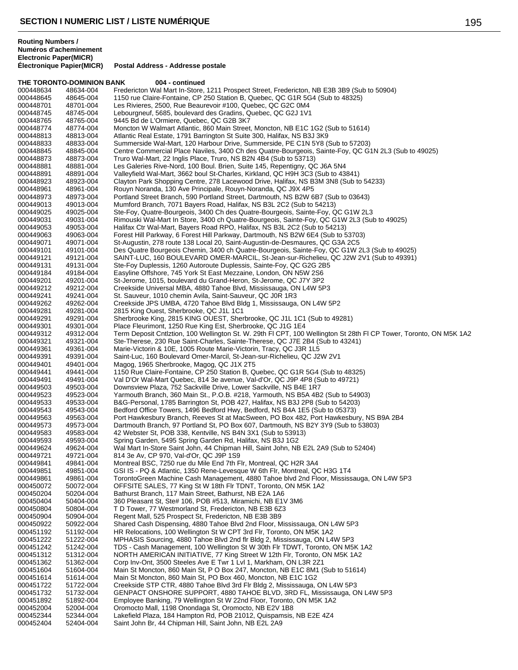**Routing Numbers / Numéros d'acheminement Electronic Paper(MICR)**

|           | THE TORONTO-DOMINION BANK | 004 - continued                                                                                                    |
|-----------|---------------------------|--------------------------------------------------------------------------------------------------------------------|
| 000448634 | 48634-004                 | Fredericton Wal Mart In-Store, 1211 Prospect Street, Fredericton, NB E3B 3B9 (Sub to 50904)                        |
| 000448645 | 48645-004                 | 1150 rue Claire-Fontaine, CP 250 Station B, Quebec, QC G1R 5G4 (Sub to 48325)                                      |
| 000448701 | 48701-004                 | Les Rivieres, 2500, Rue Beaurevoir #100, Quebec, QC G2C 0M4                                                        |
| 000448745 | 48745-004                 | Lebourgneuf, 5685, boulevard des Gradins, Quebec, QC G2J 1V1                                                       |
| 000448765 | 48765-004                 | 9445 Bd de L'Ormiere, Quebec, QC G2B 3K7                                                                           |
| 000448774 | 48774-004                 | Moncton W Walmart Atlantic, 860 Main Street, Moncton, NB E1C 1G2 (Sub to 51614)                                    |
| 000448813 | 48813-004                 | Atlantic Real Estate, 1791 Barrington St Suite 300, Halifax, NS B3J 3K9                                            |
| 000448833 | 48833-004                 | Summerside Wal-Mart, 120 Harbour Drive, Summerside, PE C1N 5Y8 (Sub to 57203)                                      |
| 000448845 | 48845-004                 | Centre Commercial Place Naviles, 3400 Ch des Quatre-Bourgeois, Sainte-Foy, QC G1N 2L3 (Sub to 49025)               |
| 000448873 | 48873-004                 | Truro Wal-Mart, 22 Inglis Place, Truro, NS B2N 4B4 (Sub to 53713)                                                  |
| 000448881 | 48881-004                 | Les Galeries Rive-Nord, 100 Boul. Brien, Suite 145, Repentigny, QC J6A 5N4                                         |
| 000448891 | 48891-004                 | Valleyfield Wal-Mart, 3662 boul St-Charles, Kirkland, QC H9H 3C3 (Sub to 43841)                                    |
| 000448923 | 48923-004                 | Clayton Park Shopping Centre, 278 Lacewood Drive, Halifax, NS B3M 3N8 (Sub to 54233)                               |
| 000448961 | 48961-004                 | Rouyn Noranda, 130 Ave Principale, Rouyn-Noranda, QC J9X 4P5                                                       |
| 000448973 | 48973-004                 | Portland Street Branch, 590 Portland Street, Dartmouth, NS B2W 6B7 (Sub to 03643)                                  |
| 000449013 | 49013-004                 | Mumford Branch, 7071 Bayers Road, Halifax, NS B3L 2C2 (Sub to 54213)                                               |
|           |                           | Ste-Foy, Quatre-Bourgeois, 3400 Ch des Quatre-Bourgeois, Sainte-Foy, QC G1W 2L3                                    |
| 000449025 | 49025-004                 |                                                                                                                    |
| 000449031 | 49031-004                 | Rimouski Wal-Mart In Store, 3400 ch Quatre-Bourgeois, Sainte-Foy, QC G1W 2L3 (Sub to 49025)                        |
| 000449053 | 49053-004                 | Halifax Ctr Wal-Mart, Bayers Road RPO, Halifax, NS B3L 2C2 (Sub to 54213)                                          |
| 000449063 | 49063-004                 | Forest Hill Parkway, 6 Forest Hill Parkway, Dartmouth, NS B2W 6E4 (Sub to 53703)                                   |
| 000449071 | 49071-004                 | St-Augustin, 278 route 138 Local 20, Saint-Augustin-de-Desmaures, QC G3A 2C5                                       |
| 000449101 | 49101-004                 | Des Quatre Bourgeois Chemin, 3400 ch Quatre-Bourgeois, Sainte-Foy, QC G1W 2L3 (Sub to 49025)                       |
| 000449121 | 49121-004                 | SAINT-LUC, 160 BOULEVARD OMER-MARCIL, St-Jean-sur-Richelieu, QC J2W 2V1 (Sub to 49391)                             |
| 000449131 | 49131-004                 | Ste-Foy Duplessis, 1260 Autoroute Duplessis, Sainte-Foy, QC G2G 2B5                                                |
| 000449184 | 49184-004                 | Easyline Offshore, 745 York St East Mezzaine, London, ON N5W 2S6                                                   |
| 000449201 | 49201-004                 | St-Jerome, 1015, boulevard du Grand-Heron, St-Jerome, QC J7Y 3P2                                                   |
| 000449212 | 49212-004                 | Creekside Universal MBA, 4880 Tahoe Blvd, Mississauga, ON L4W 5P3                                                  |
| 000449241 | 49241-004                 | St. Sauveur, 1010 chemin Avila, Saint-Sauveur, QC J0R 1R3                                                          |
| 000449262 | 49262-004                 | Creekside JPS UMBA, 4720 Tahoe Blvd Bldg 1, Mississauga, ON L4W 5P2                                                |
| 000449281 | 49281-004                 | 2815 King Ouest, Sherbrooke, QC J1L 1C1                                                                            |
| 000449291 | 49291-004                 | Sherbrooke King, 2815 KING OUEST, Sherbrooke, QC J1L 1C1 (Sub to 49281)                                            |
| 000449301 | 49301-004                 | Place Fleurimont, 1250 Rue King Est, Sherbrooke, QC J1G 1E4                                                        |
| 000449312 | 49312-004                 | Term Deposit Cntlztion, 100 Wellington St. W. 29th FI CPT, 100 Wellington St 28th FI CP Tower, Toronto, ON M5K 1A2 |
| 000449321 | 49321-004                 | Ste-Therese, 230 Rue Saint-Charles, Sainte-Therese, QC J7E 2B4 (Sub to 43241)                                      |
| 000449361 | 49361-004                 | Marie-Victorin & 10E, 1005 Route Marie-Victorin, Tracy, QC J3R 1L5                                                 |
| 000449391 | 49391-004                 | Saint-Luc, 160 Boulevard Omer-Marcil, St-Jean-sur-Richelieu, QC J2W 2V1                                            |
| 000449401 | 49401-004                 | Magog, 1965 Sherbrooke, Magog, QC J1X 2T5                                                                          |
| 000449441 | 49441-004                 | 1150 Rue Claire-Fontaine, CP 250 Station B, Quebec, QC G1R 5G4 (Sub to 48325)                                      |
| 000449491 | 49491-004                 | Val D'Or Wal-Mart Quebec, 814 3e avenue, Val-d'Or, QC J9P 4P8 (Sub to 49721)                                       |
| 000449503 | 49503-004                 | Downsview Plaza, 752 Sackville Drive, Lower Sackville, NS B4E 1R7                                                  |
| 000449523 | 49523-004                 | Yarmouth Branch, 360 Main St., P.O.B. #218, Yarmouth, NS B5A 4B2 (Sub to 54903)                                    |
| 000449533 | 49533-004                 | B&G-Personal, 1785 Barrington St, POB 427, Halifax, NS B3J 2P8 (Sub to 54203)                                      |
| 000449543 | 49543-004                 | Bedford Office Towers, 1496 Bedford Hwy, Bedford, NS B4A 1E5 (Sub to 05373)                                        |
| 000449563 | 49563-004                 | Port Hawkesbury Branch, Reeves St at MacSween, PO Box 482, Port Hawkesbury, NS B9A 2B4                             |
| 000449573 | 49573-004                 | Dartmouth Branch, 97 Portland St, PO Box 607, Dartmouth, NS B2Y 3Y9 (Sub to 53803)                                 |
| 000449583 | 49583-004                 | 42 Webster St, POB 338, Kentville, NS B4N 3X1 (Sub to 53913)                                                       |
| 000449593 | 49593-004                 | Spring Garden, 5495 Spring Garden Rd, Halifax, NS B3J 1G2                                                          |
| 000449624 | 49624-004                 | Wal Mart In-Store Saint John, 44 Chipman Hill, Saint John, NB E2L 2A9 (Sub to 52404)                               |
| 000449721 | 49721-004                 | 814 3e Av, CP 970, Val-d'Or, QC J9P 1S9                                                                            |
| 000449841 | 49841-004                 | Montreal BSC, 7250 rue du Mile End 7th Flr, Montreal, QC H2R 3A4                                                   |
| 000449851 | 49851-004                 | GSI IS - PQ & Atlantic, 1350 Rene-Levesque W 6th Flr, Montreal, QC H3G 1T4                                         |
| 000449861 | 49861-004                 | TorontoGreen Machine Cash Management, 4880 Tahoe blvd 2nd Floor, Mississauga, ON L4W 5P3                           |
| 000450072 | 50072-004                 | OFFSITE SALES, 77 King St W 18th Flr TDNT, Toronto, ON M5K 1A2                                                     |
|           |                           | Bathurst Branch, 117 Main Street, Bathurst, NB E2A 1A6                                                             |
| 000450204 | 50204-004                 |                                                                                                                    |
| 000450404 | 50404-004                 | 360 Pleasant St, Ste# 106, POB #513, Miramichi, NB E1V 3M6                                                         |
| 000450804 | 50804-004                 | T D Tower, 77 Westmorland St, Fredericton, NB E3B 6Z3                                                              |
| 000450904 | 50904-004                 | Regent Mall, 525 Prospect St, Fredericton, NB E3B 3B9                                                              |
| 000450922 | 50922-004                 | Shared Cash Dispensing, 4880 Tahoe Blvd 2nd Floor, Mississauga, ON L4W 5P3                                         |
| 000451192 | 51192-004                 | HR Relocations, 100 Wellington St W CPT 3rd Flr, Toronto, ON M5K 1A2                                               |
| 000451222 | 51222-004                 | MPHASIS Sourcing, 4880 Tahoe Blvd 2nd flr Bldg 2, Mississauga, ON L4W 5P3                                          |
| 000451242 | 51242-004                 | TDS - Cash Management, 100 Wellington St W 30th Flr TDWT, Toronto, ON M5K 1A2                                      |
| 000451312 | 51312-004                 | NORTH AMERICAN INITIATIVE, 77 King Street W 12th Flr, Toronto, ON M5K 1A2                                          |
| 000451362 | 51362-004                 | Corp Inv-Ont, 3500 Steeles Ave E Twr 1 Lvl 1, Markham, ON L3R 2Z1                                                  |
| 000451604 | 51604-004                 | Main St Moncton, 860 Main St, P O Box 247, Moncton, NB E1C 8M1 (Sub to 51614)                                      |
| 000451614 | 51614-004                 | Main St Moncton, 860 Main St, PO Box 460, Moncton, NB E1C 1G2                                                      |
| 000451722 | 51722-004                 | Creekside STP CTR, 4880 Tahoe Blvd 3rd Flr Bldg 2, Mississauga, ON L4W 5P3                                         |
| 000451732 | 51732-004                 | GENPACT ONSHORE SUPPORT, 4880 TAHOE BLVD, 3RD FL, Mississauga, ON L4W 5P3                                          |
| 000451892 | 51892-004                 | Employee Banking, 79 Wellington St W 22nd Floor, Toronto, ON M5K 1A2                                               |
| 000452004 | 52004-004                 | Oromocto Mall, 1198 Onondaga St, Oromocto, NB E2V 1B8                                                              |
| 000452344 | 52344-004                 | Lakefield Plaza, 184 Hampton Rd, POB 21012, Quispamsis, NB E2E 4Z4                                                 |
| 000452404 | 52404-004                 | Saint John Br, 44 Chipman Hill, Saint John, NB E2L 2A9                                                             |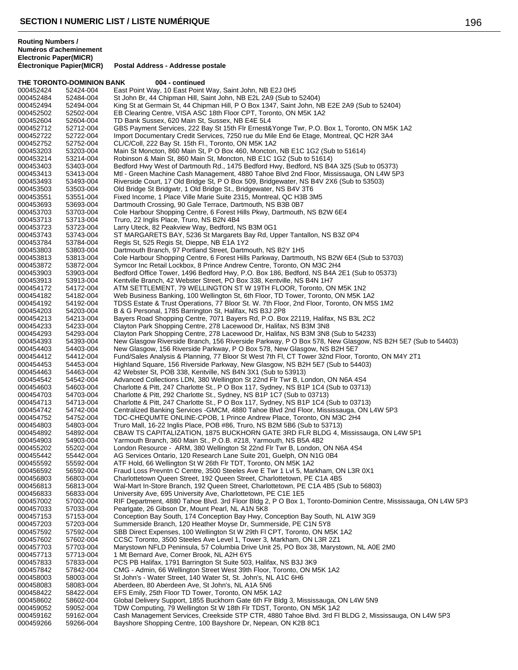|                        | THE TORONTO-DOMINION BANK | 004 - continued                                                                                                                                             |
|------------------------|---------------------------|-------------------------------------------------------------------------------------------------------------------------------------------------------------|
| 000452424              | 52424-004                 | East Point Way, 10 East Point Way, Saint John, NB E2J 0H5                                                                                                   |
| 000452484              | 52484-004                 | St John Br, 44 Chipman Hill, Saint John, NB E2L 2A9 (Sub to 52404)                                                                                          |
| 000452494              | 52494-004                 | King St at Germain St, 44 Chipman Hill, P O Box 1347, Saint John, NB E2E 2A9 (Sub to 52404)                                                                 |
| 000452502              | 52502-004                 | EB Clearing Centre, VISA ASC 18th Floor CPT, Toronto, ON M5K 1A2                                                                                            |
| 000452604              | 52604-004                 | TD Bank Sussex, 620 Main St, Sussex, NB E4E 5L4                                                                                                             |
| 000452712              | 52712-004                 | GBS Payment Services, 222 Bay St 15th Flr Ernest& Yonge Twr, P.O. Box 1, Toronto, ON M5K 1A2                                                                |
| 000452722              | 52722-004                 | Import Documentary Credit Services, 7250 rue du Mile End 6e Etage, Montreal, QC H2R 3A4                                                                     |
| 000452752              | 52752-004                 | CL/C/Coll, 222 Bay St. 15th Fl., Toronto, ON M5K 1A2                                                                                                        |
| 000453203              | 53203-004                 | Main St Moncton, 860 Main St, P O Box 460, Moncton, NB E1C 1G2 (Sub to 51614)                                                                               |
| 000453214              | 53214-004                 | Robinson & Main St, 860 Main St, Moncton, NB E1C 1G2 (Sub to 51614)                                                                                         |
| 000453403              | 53403-004                 | Bedford Hwy West of Dartmouth Rd., 1475 Bedford Hwy, Bedford, NS B4A 3Z5 (Sub to 05373)                                                                     |
| 000453413              | 53413-004                 | Mtl - Green Machine Cash Management, 4880 Tahoe Blvd 2nd Floor, Mississauga, ON L4W 5P3                                                                     |
| 000453493<br>000453503 | 53493-004<br>53503-004    | Riverside Court, 17 Old Bridge St, P O Box 509, Bridgewater, NS B4V 2X6 (Sub to 53503)<br>Old Bridge St Bridgwtr, 1 Old Bridge St., Bridgewater, NS B4V 3T6 |
| 000453551              | 53551-004                 | Fixed Income, 1 Place Ville Marie Suite 2315, Montreal, QC H3B 3M5                                                                                          |
| 000453693              | 53693-004                 | Dartmouth Crossing, 90 Gale Terrace, Dartmouth, NS B3B 0B7                                                                                                  |
| 000453703              | 53703-004                 | Cole Harbour Shopping Centre, 6 Forest Hills Pkwy, Dartmouth, NS B2W 6E4                                                                                    |
| 000453713              | 53713-004                 | Truro, 22 Inglis Place, Truro, NS B2N 4B4                                                                                                                   |
| 000453723              | 53723-004                 | Larry Uteck, 82 Peakview Way, Bedford, NS B3M 0G1                                                                                                           |
| 000453743              | 53743-004                 | ST MARGARETS BAY, 5236 St Margarets Bay Rd, Upper Tantallon, NS B3Z 0P4                                                                                     |
| 000453784              | 53784-004                 | Regis St, 525 Regis St, Dieppe, NB E1A 1Y2                                                                                                                  |
| 000453803              | 53803-004                 | Dartmouth Branch, 97 Portland Street, Dartmouth, NS B2Y 1H5                                                                                                 |
| 000453813              | 53813-004                 | Cole Harbour Shopping Centre, 6 Forest Hills Parkway, Dartmouth, NS B2W 6E4 (Sub to 53703)                                                                  |
| 000453872              | 53872-004                 | Symcor Inc Retail Lockbox, 8 Prince Andrew Centre, Toronto, ON M3C 2H4                                                                                      |
| 000453903              | 53903-004                 | Bedford Office Tower, 1496 Bedford Hwy, P.O. Box 186, Bedford, NS B4A 2E1 (Sub to 05373)                                                                    |
| 000453913              | 53913-004                 | Kentville Branch, 42 Webster Street, PO Box 338, Kentville, NS B4N 1H7                                                                                      |
| 000454172              | 54172-004                 | ATM SETTLEMENT, 79 WELLINGTON ST W 19TH FLOOR, Toronto, ON M5K 1N2                                                                                          |
| 000454182              | 54182-004                 | Web Business Banking, 100 Wellington St, 6th Floor, TD Tower, Toronto, ON M5K 1A2                                                                           |
| 000454192              | 54192-004                 | TDSS Estate & Trust Operations, 77 Bloor St. W. 7th Floor, 2nd Floor, Toronto, ON M5S 1M2                                                                   |
| 000454203              | 54203-004                 | B & G Personal, 1785 Barrington St, Halifax, NS B3J 2P8<br>Bayers Road Shopping Centre, 7071 Bayers Rd, P.O. Box 22119, Halifax, NS B3L 2C2                 |
| 000454213              | 54213-004                 |                                                                                                                                                             |
| 000454233<br>000454293 | 54233-004<br>54293-004    | Clayton Park Shopping Centre, 278 Lacewood Dr, Halifax, NS B3M 3N8<br>Clayton Park Shopping Centre, 278 Lacewood Dr, Halifax, NS B3M 3N8 (Sub to 54233)     |
| 000454393              | 54393-004                 | New Glasgow Riverside Branch, 156 Riverside Parkway, P O Box 578, New Glasgow, NS B2H 5E7 (Sub to 54403)                                                    |
| 000454403              | 54403-004                 | New Glasgow, 156 Riverside Parkway, P O Box 578, New Glasgow, NS B2H 5E7                                                                                    |
| 000454412              | 54412-004                 | Fund/Sales Analysis & Planning, 77 Bloor St West 7th Fl, CT Tower 32nd Floor, Toronto, ON M4Y 2T1                                                           |
| 000454453              | 54453-004                 | Highland Square, 156 Riverside Parkway, New Glasgow, NS B2H 5E7 (Sub to 54403)                                                                              |
| 000454463              | 54463-004                 | 42 Webster St, POB 338, Kentville, NS B4N 3X1 (Sub to 53913)                                                                                                |
| 000454542              | 54542-004                 | Advanced Collections LDN, 380 Wellington St 22nd Flr Twr B, London, ON N6A 4S4                                                                              |
| 000454603              | 54603-004                 | Charlotte & Pitt, 247 Charlotte St., P O Box 117, Sydney, NS B1P 1C4 (Sub to 03713)                                                                         |
| 000454703              | 54703-004                 | Charlotte & Pitt, 292 Charlotte St., Sydney, NS B1P 1C7 (Sub to 03713)                                                                                      |
| 000454713              | 54713-004                 | Charlotte & Pitt, 247 Charlotte St., P O Box 117, Sydney, NS B1P 1C4 (Sub to 03713)                                                                         |
| 000454742              | 54742-004                 | Centralized Banking Services - GMCM, 4880 Tahoe Blvd 2nd Floor, Mississauga, ON L4W 5P3                                                                     |
| 000454752              | 54752-004                 | TDC-CHEQUMTE ONLINE-CPOB, 1 Prince Andrew Place, Toronto, ON M3C 2H4                                                                                        |
| 000454803              | 54803-004                 | Truro Mall, 16-22 Inglis Place, POB #86, Truro, NS B2M 5B6 (Sub to 53713)                                                                                   |
| 000454892              | 54892-004                 | CBAW TS CAPITALIZATION, 1875 BUCKHORN GATE 3RD FLR BLDG 4, Mississauga, ON L4W 5P1                                                                          |
| 000454903<br>000455202 | 54903-004<br>55202-004    | Yarmouth Branch, 360 Main St., P.O.B. #218, Yarmouth, NS B5A 4B2<br>London Resource - ARM, 380 Wellington St 22nd Flr Twr B, London, ON N6A 4S4             |
| 000455442              | 55442-004                 | AG Services Ontario, 120 Research Lane Suite 201, Guelph, ON N1G 0B4                                                                                        |
| 000455592              | 55592-004                 | ATF Hold, 66 Wellington St W 26th Flr TDT, Toronto, ON M5K 1A2                                                                                              |
| 000456592              | 56592-004                 | Fraud Loss Prevntn C Centre, 3500 Steeles Ave E Twr 1 Lvl 5, Markham, ON L3R 0X1                                                                            |
| 000456803              | 56803-004                 | Charlottetown Queen Street, 192 Queen Street, Charlottetown, PE C1A 4B5                                                                                     |
| 000456813              | 56813-004                 | Wal-Mart In-Store Branch, 192 Queen Street, Charlottetown, PE C1A 4B5 (Sub to 56803)                                                                        |
| 000456833              | 56833-004                 | University Ave, 695 University Ave, Charlottetown, PE C1E 1E5                                                                                               |
| 000457002              | 57002-004                 | RIF Department, 4880 Tahoe Blvd. 3rd Floor Bldg 2, P O Box 1, Toronto-Dominion Centre, Mississauga, ON L4W 5P3                                              |
| 000457033              | 57033-004                 | Pearlgate, 26 Gibson Dr, Mount Pearl, NL A1N 5K8                                                                                                            |
| 000457153              | 57153-004                 | Conception Bay South, 174 Conception Bay Hwy, Conception Bay South, NL A1W 3G9                                                                              |
| 000457203              | 57203-004                 | Summerside Branch, 120 Heather Moyse Dr, Summerside, PE C1N 5Y8                                                                                             |
| 000457592              | 57592-004                 | SBB Direct Expenses, 100 Wellington St W 29th FI CPT, Toronto, ON M5K 1A2                                                                                   |
| 000457602              | 57602-004                 | CCSC Toronto, 3500 Steeles Ave Level 1, Tower 3, Markham, ON L3R 2Z1                                                                                        |
| 000457703              | 57703-004                 | Marystown NFLD Peninsula, 57 Columbia Drive Unit 25, PO Box 38, Marystown, NL A0E 2M0                                                                       |
| 000457713              | 57713-004                 | 1 Mt Bernard Ave, Corner Brook, NL A2H 6Y5                                                                                                                  |
| 000457833              | 57833-004                 | PCS PB Halifax, 1791 Barrington St Suite 503, Halifax, NS B3J 3K9                                                                                           |
| 000457842<br>000458003 | 57842-004<br>58003-004    | CMG - Admin, 66 Wellington Street West 39th Floor, Toronto, ON M5K 1A2<br>St John's - Water Street, 140 Water St, St. John's, NL A1C 6H6                    |
| 000458083              | 58083-004                 | Aberdeen, 80 Aberdeen Ave, St John's, NL A1A 5N6                                                                                                            |
| 000458422              | 58422-004                 | EFS Emily, 25th Floor TD Tower, Toronto, ON M5K 1A2                                                                                                         |
| 000458602              | 58602-004                 | Global Delivery Support, 1855 Buckhorn Gate 6th Flr Bldg 3, Mississauga, ON L4W 5N9                                                                         |
| 000459052              | 59052-004                 | TDW Computing, 79 Wellington St W 18th Flr TDST, Toronto, ON M5K 1A2                                                                                        |
|                        |                           |                                                                                                                                                             |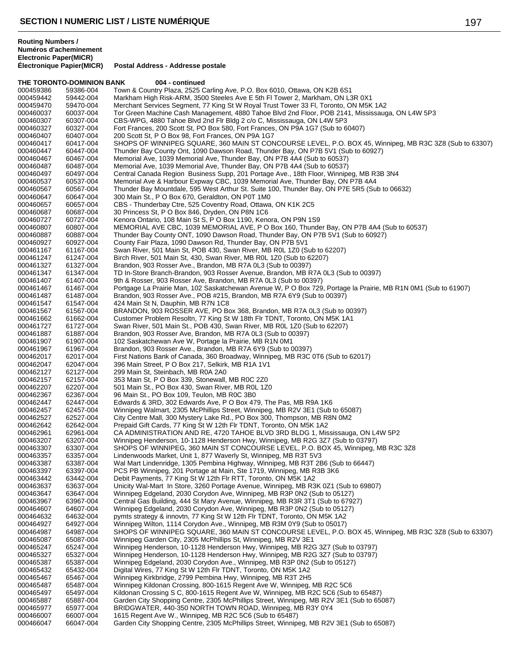**Électronique Papier(MICR) Postal Address - Addresse postale**

|                        | THE TORONTO-DOMINION BANK | 004 - continued                                                                                                                                                                             |
|------------------------|---------------------------|---------------------------------------------------------------------------------------------------------------------------------------------------------------------------------------------|
| 000459386              | 59386-004                 | Town & Country Plaza, 2525 Carling Ave, P.O. Box 6010, Ottawa, ON K2B 6S1                                                                                                                   |
| 000459442              | 59442-004                 | Markham High Risk-ARM, 3500 Steeles Ave E 5th FI Tower 2, Markham, ON L3R 0X1                                                                                                               |
| 000459470              | 59470-004                 | Merchant Services Segment, 77 King St W Royal Trust Tower 33 Fl, Toronto, ON M5K 1A2                                                                                                        |
| 000460037              | 60037-004                 | Tor Green Machine Cash Management, 4880 Tahoe Blvd 2nd Floor, POB 2141, Mississauga, ON L4W 5P3                                                                                             |
| 000460307              | 60307-004                 | CBS-WPG, 4880 Tahoe Blvd 2nd Flr Bldg 2 c/o C, Mississauga, ON L4W 5P3                                                                                                                      |
| 000460327              | 60327-004                 | Fort Frances, 200 Scott St, PO Box 580, Fort Frances, ON P9A 1G7 (Sub to 60407)                                                                                                             |
| 000460407              | 60407-004                 | 200 Scott St, P O Box 98, Fort Frances, ON P9A 1G7                                                                                                                                          |
| 000460417<br>000460447 | 60417-004                 | SHOPS OF WINNIPEG SQUARE, 360 MAIN ST CONCOURSE LEVEL, P.O. BOX 45, Winnipeg, MB R3C 3Z8 (Sub to 63307)<br>Thunder Bay County Ont, 1090 Dawson Road, Thunder Bay, ON P7B 5V1 (Sub to 60927) |
| 000460467              | 60447-004<br>60467-004    | Memorial Ave, 1039 Memorial Ave, Thunder Bay, ON P7B 4A4 (Sub to 60537)                                                                                                                     |
| 000460487              | 60487-004                 | Memorial Ave, 1039 Memorial Ave, Thunder Bay, ON P7B 4A4 (Sub to 60537)                                                                                                                     |
| 000460497              | 60497-004                 | Central Canada Region Business Supp, 201 Portage Ave., 18th Floor, Winnipeg, MB R3B 3N4                                                                                                     |
| 000460537              | 60537-004                 | Memorial Ave & Harbour Expway CBC, 1039 Memorial Ave, Thunder Bay, ON P7B 4A4                                                                                                               |
| 000460567              | 60567-004                 | Thunder Bay Mountdale, 595 West Arthur St. Suite 100, Thunder Bay, ON P7E 5R5 (Sub to 06632)                                                                                                |
| 000460647              | 60647-004                 | 300 Main St., P O Box 670, Geraldton, ON P0T 1M0                                                                                                                                            |
| 000460657              | 60657-004                 | CBS - Thunderbay Ctre, 525 Coventry Road, Ottawa, ON K1K 2C5                                                                                                                                |
| 000460687              | 60687-004                 | 30 Princess St, P O Box 846, Dryden, ON P8N 1C6                                                                                                                                             |
| 000460727              | 60727-004                 | Kenora Ontario, 108 Main St S, P O Box 1190, Kenora, ON P9N 1S9                                                                                                                             |
| 000460807              | 60807-004                 | MEMORIAL AVE CBC, 1039 MEMORIAL AVE, P O Box 160, Thunder Bay, ON P7B 4A4 (Sub to 60537)                                                                                                    |
| 000460887              | 60887-004                 | Thunder Bay County ONT, 1090 Dawson Road, Thunder Bay, ON P7B 5V1 (Sub to 60927)                                                                                                            |
| 000460927              | 60927-004                 | County Fair Plaza, 1090 Dawson Rd, Thunder Bay, ON P7B 5V1                                                                                                                                  |
| 000461167              | 61167-004                 | Swan River, 501 Main St, POB 430, Swan River, MB R0L 1Z0 (Sub to 62207)                                                                                                                     |
| 000461247              | 61247-004                 | Birch River, 501 Main St, 430, Swan River, MB R0L 1Z0 (Sub to 62207)                                                                                                                        |
| 000461327              | 61327-004<br>61347-004    | Brandon, 903 Rosser Ave., Brandon, MB R7A 0L3 (Sub to 00397)                                                                                                                                |
| 000461347<br>000461407 | 61407-004                 | TD In-Store Branch-Brandon, 903 Rosser Avenue, Brandon, MB R7A 0L3 (Sub to 00397)<br>9th & Rosser, 903 Rosser Ave, Brandon, MB R7A 0L3 (Sub to 00397)                                       |
| 000461467              | 61467-004                 | Portgage La Prairie Man, 102 Saskatchewan Avenue W, P O Box 729, Portage la Prairie, MB R1N 0M1 (Sub to 61907)                                                                              |
| 000461487              | 61487-004                 | Brandon, 903 Rosser Ave., POB #215, Brandon, MB R7A 6Y9 (Sub to 00397)                                                                                                                      |
| 000461547              | 61547-004                 | 424 Main St N, Dauphin, MB R7N 1C8                                                                                                                                                          |
| 000461567              | 61567-004                 | BRANDON, 903 ROSSER AVE, PO Box 368, Brandon, MB R7A 0L3 (Sub to 00397)                                                                                                                     |
| 000461662              | 61662-004                 | Customer Problem Resoltn, 77 King St W 18th Flr TDNT, Toronto, ON M5K 1A1                                                                                                                   |
| 000461727              | 61727-004                 | Swan River, 501 Main St., POB 430, Swan River, MB R0L 1Z0 (Sub to 62207)                                                                                                                    |
| 000461887              | 61887-004                 | Brandon, 903 Rosser Ave, Brandon, MB R7A 0L3 (Sub to 00397)                                                                                                                                 |
| 000461907              | 61907-004                 | 102 Saskatchewan Ave W, Portage la Prairie, MB R1N 0M1                                                                                                                                      |
| 000461967              | 61967-004                 | Brandon, 903 Rosser Ave., Brandon, MB R7A 6Y9 (Sub to 00397)                                                                                                                                |
| 000462017              | 62017-004                 | First Nations Bank of Canada, 360 Broadway, Winnipeg, MB R3C 0T6 (Sub to 62017)                                                                                                             |
| 000462047              | 62047-004                 | 396 Main Street, P O Box 217, Selkirk, MB R1A 1V1                                                                                                                                           |
| 000462127              | 62127-004                 | 299 Main St, Steinbach, MB R0A 2A0                                                                                                                                                          |
| 000462157              | 62157-004                 | 353 Main St, P O Box 339, Stonewall, MB R0C 2Z0                                                                                                                                             |
| 000462207<br>000462367 | 62207-004<br>62367-004    | 501 Main St., PO Box 430, Swan River, MB R0L 1Z0<br>96 Main St., PO Box 109, Teulon, MB R0C 3B0                                                                                             |
| 000462447              | 62447-004                 | Edwards & 3RD, 302 Edwards Ave, P O Box 479, The Pas, MB R9A 1K6                                                                                                                            |
| 000462457              | 62457-004                 | Winnipeg Walmart, 2305 McPhillips Street, Winnipeg, MB R2V 3E1 (Sub to 65087)                                                                                                               |
| 000462527              | 62527-004                 | City Centre Mall, 300 Mystery Lake Rd., PO Box 300, Thompson, MB R8N 0M2                                                                                                                    |
| 000462642              | 62642-004                 | Prepaid Gift Cards, 77 King St W 12th Flr TDNT, Toronto, ON M5K 1A2                                                                                                                         |
| 000462961              | 62961-004                 | CA ADMINISTRATION AND RE, 4720 TAHOE BLVD 3RD BLDG 1, Mississauga, ON L4W 5P2                                                                                                               |
| 000463207              | 63207-004                 | Winnipeg Henderson, 10-1128 Henderson Hwy, Winnipeg, MB R2G 3Z7 (Sub to 03797)                                                                                                              |
| 000463307              | 63307-004                 | SHOPS OF WINNIPEG, 360 MAIN ST CONCOURSE LEVEL, P.O. BOX 45, Winnipeg, MB R3C 3Z8                                                                                                           |
| 000463357              | 63357-004                 | Lindenwoods Market, Unit 1, 877 Waverly St, Winnipeg, MB R3T 5V3                                                                                                                            |
| 000463387              | 63387-004                 | Wal Mart Lindenridge, 1305 Pembina Highway, Winnipeg, MB R3T 2B6 (Sub to 66447)                                                                                                             |
| 000463397              | 63397-004                 | PCS PB Winnipeg, 201 Portage at Main, Ste 1719, Winnipeg, MB R3B 3K6                                                                                                                        |
| 000463442              | 63442-004                 | Debit Payments, 77 King St W 12th Flr RTT, Toronto, ON M5K 1A2                                                                                                                              |
| 000463637<br>000463647 | 63637-004                 | Unicity Wal-Mart In Store, 3260 Portage Avenue, Winnipeg, MB R3K 0Z1 (Sub to 69807)<br>Winnipeg Edgeland, 2030 Corydon Ave, Winnipeg, MB R3P 0N2 (Sub to 05127)                             |
| 000463967              | 63647-004<br>63967-004    | Central Gas Building, 444 St Mary Avenue, Winnipeg, MB R3R 3T1 (Sub to 67927)                                                                                                               |
| 000464607              | 64607-004                 | Winnipeg Edgeland, 2030 Corydon Ave, Winnipeg, MB R3P 0N2 (Sub to 05127)                                                                                                                    |
| 000464632              | 64632-004                 | pymts strategy & innovtn, 77 King St W 12th Flr TDNT, Toronto, ON M5K 1A2                                                                                                                   |
| 000464927              | 64927-004                 | Winnipeg Wilton, 1114 Corydon Ave., Winnipeg, MB R3M 0Y9 (Sub to 05017)                                                                                                                     |
| 000464987              | 64987-004                 | SHOPS OF WINNIPEG SQUARE, 360 MAIN ST CONCOURSE LEVEL, P.O. BOX 45, Winnipeg, MB R3C 3Z8 (Sub to 63307)                                                                                     |
| 000465087              | 65087-004                 | Winnipeg Garden City, 2305 McPhillips St, Winnipeg, MB R2V 3E1                                                                                                                              |
| 000465247              | 65247-004                 | Winnipeg Henderson, 10-1128 Henderson Hwy, Winnipeg, MB R2G 3Z7 (Sub to 03797)                                                                                                              |
| 000465327              | 65327-004                 | Winnipeg Henderson, 10-1128 Henderson Hwy, Winnipeg, MB R2G 3Z7 (Sub to 03797)                                                                                                              |
|                        |                           | Winnipeg Edgeland, 2030 Corydon Ave., Winnipeg, MB R3P 0N2 (Sub to 05127)                                                                                                                   |
| 000465387              | 65387-004                 |                                                                                                                                                                                             |
| 000465432              | 65432-004                 | Digital Wires, 77 King St W 12th Flr TDNT, Toronto, ON M5K 1A2                                                                                                                              |
| 000465467              | 65467-004                 | Winnipeg Kirkbridge, 2799 Pembina Hwy, Winnipeg, MB R3T 2H5                                                                                                                                 |
| 000465487              | 65487-004                 | Winnipeg Kildonan Crossing, 800-1615 Regent Ave W, Winnipeg, MB R2C 5C6                                                                                                                     |
| 000465497              | 65497-004                 | Kildonan Crossing S C, 800-1615 Regent Ave W, Winnipeg, MB R2C 5C6 (Sub to 65487)                                                                                                           |
| 000465887<br>000465977 | 65887-004<br>65977-004    | Garden City Shopping Centre, 2305 McPhillips Street, Winnipeg, MB R2V 3E1 (Sub to 65087)<br>BRIDGWATER, 440-350 NORTH TOWN ROAD, Winnipeg, MB R3Y 0Y4                                       |

66047-004 Garden City Shopping Centre, 2305 McPhillips Street, Winnipeg, MB R2V 3E1 (Sub to 65087)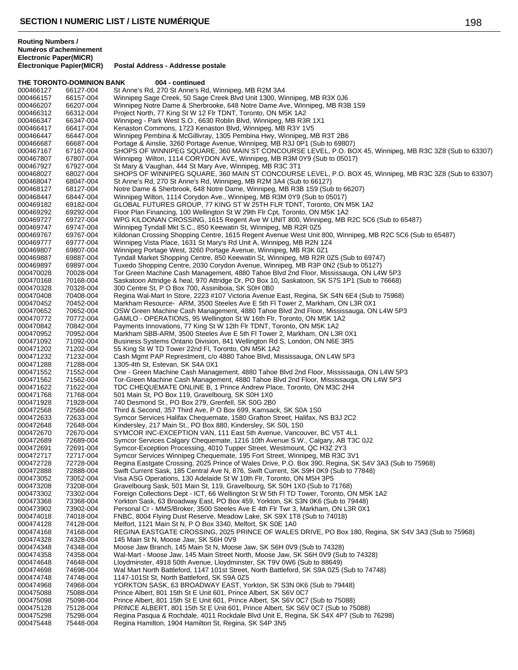**THE TORONTO-DOMINION BANK 004 - continued**<br>000466127 66127-004 St Anne's Rd. 270 St Anne's Re 000466127 66127-004 St Anne's Rd, 270 St Anne's Rd, Winnipeg, MB R2M 3A4<br>000466157 66157-004 Winnipeg Sage Creek, 50 Sage Creek Blvd Unit 1300, Wi 000466157 66157-004 Winnipeg Sage Creek, 50 Sage Creek Blvd Unit 1300, Winnipeg, MB R3X 0J6 Winnipeg Notre Dame & Sherbrooke, 648 Notre Dame Ave, Winnipeg, MB R3B 1S9 000466312 66312-004 Project North, 77 King St W 12 Flr TDNT, Toronto, ON M5K 1A2 Winnipeg - Park West S.O., 6630 Roblin Blvd, Winnipeg, MB R3R 1X1 000466417 66417-004 Kenaston Commons, 1723 Kenaston Blvd, Winnipeg, MB R3Y 1V5 000466447 66447-004 Winnipeg Pembina & McGillivray, 1305 Pembina Hwy, Winnipeg, MB R3T 2B6 Portage & Ainslie, 3260 Portage Avenue, Winnipeg, MB R3J 0P1 (Sub to 69807) 000467167 67167-004 SHOPS OF WINNIPEG SQUARE, 360 MAIN ST CONCOURSE LEVEL, P.O. BOX 45, Winnipeg, MB R3C 3Z8 (Sub to 63307)<br>000467807 67807-004 Winnipeg Wilton, 1114 CORYDON AVE, Winnipeg, MB R3M 0Y9 (Sub to 05017) 000467807 67807-004 Winnipeg Wilton, 1114 CORYDON AVE, Winnipeg, MB R3M 0Y9 (Sub to 05017)<br>000467927 67927-004 St Mary & Vaughan, 444 St Mary Ave, Winnipeg, MB R3C 3T1 000467927 67927-004 St Mary & Vaughan, 444 St Mary Ave, Winnipeg, MB R3C 3T1<br>000468027 68027-004 SHOPS OF WINNIPEG SQUARE, 360 MAIN ST CONCOURS 000468027 68027-004 SHOPS OF WINNIPEG SQUARE, 360 MAIN ST CONCOURSE LEVEL, P.O. BOX 45, Winnipeg, MB R3C 3Z8 (Sub to 63307)<br>000468047 68047-004 St Anne's Rd, 270 St Anne's Rd, Winnipeg, MB R2M 3A4 (Sub to 66127) 000468047 68047-004 St Anne's Rd, 270 St Anne's Rd, Winnipeg, MB R2M 3A4 (Sub to 66127) 000468127 68127-004 Notre Dame & Sherbrook, 648 Notre Dame, Winnipeg, MB R3B 1S9 (Sub to 66207)<br>000468447 68447-004 Winnipeg Wilton, 1114 Corydon Ave., Winnipeg, MB R3M 0Y9 (Sub to 05017) 000468447 68447-004 Winnipeg Wilton, 1114 Corydon Ave., Winnipeg, MB R3M 0Y9 (Sub to 05017) 000469182 69182-004 GLOBAL FUTURES GROUP, 77 KING ST W 25TH FLR TDNT, Toronto, ON M5K 1A2<br>000469292 69292-004 Floor Plan Financing, 100 Wellington St W 29th Flr Cpt, Toronto, ON M5K 1A2 000469292 69292-004 Floor Plan Financing, 100 Wellington St W 29th Flr Cpt, Toronto, ON M5K 1A2<br>000469727 69727-004 WPG KILDONAN CROSSING, 1615 Regent Ave W UNIT 800, Winnipeg, MB F 000469727 69727-004 WPG KILDONAN CROSSING, 1615 Regent Ave W UNIT 800, Winnipeg, MB R2C 5C6 (Sub to 65487)<br>000469747 69747-004 Winnipeg Tyndall Mkt S.C., 850 Keewatin St, Winnipeg, MB R2R 0Z5 000469747 69747-004 Winnipeg Tyndall Mkt S.C., 850 Keewatin St, Winnipeg, MB R2R 0Z5 000469767 69767-004 Kildonan Crossing Shopping Centre, 1615 Regent Avenue West Unit 800, Winnipeg, MB R2C 5C6 (Sub to 65487)<br>000469777 69777-004 Winnipeg Vista Place, 1631 St Mary's Rd Unit A, Winnipeg, MB R2N 1Z4 000469777 69777-004 Winnipeg Vista Place, 1631 St Mary's Rd Unit A, Winnipeg, MB R2N 1Z4<br>000469807 69807-004 Winnipeg Portage West, 3260 Portage Avenue, Winnipeg, MB R3K 0Z1 00807-004 Minnipeg Portage West, 3260 Portage Avenue, Winnipeg, MB R3K 0Z1<br>00887-004 Tyndall Market Shopping Centre, 850 Keewatin St, Winnipeg, MB R2R 0 000469887 69887-004 Tyndall Market Shopping Centre, 850 Keewatin St, Winnipeg, MB R2R 0Z5 (Sub to 69747)<br>000469897 69897-004 Tuxedo Shopping Centre, 2030 Corydon Avenue, Winnipeg, MB R3P 0N2 (Sub to 05127) 000469897 69897-004 Tuxedo Shopping Centre, 2030 Corydon Avenue, Winnipeg, MB R3P 0N2 (Sub to 05127) Tor Green Machine Cash Management, 4880 Tahoe Blvd 2nd Floor, Mississauga, ON L4W 5P3 000470168 70168-004 Saskatoon Attridge & heal, 970 Attridge Dr, PO Box 10, Saskatoon, SK S7S 1P1 (Sub to 76668)<br>000470328 70328-004 300 Centre St, P O Box 700, Assiniboia, SK S0H 0B0 300 Centre St, P O Box 700, Assiniboia, SK S0H 0B0 000470408 70408-004 Regina Wal-Mart In Store, 2223 #107 Victoria Avenue East, Regina, SK S4N 6E4 (Sub to 75968)<br>000470452 70452-004 Markham Resource- ARM, 3500 Steeles Ave E 5th FI Tower 2, Markham, ON L3R 0X1 000470452 70452-004 Markham Resource- ARM, 3500 Steeles Ave E 5th Fl Tower 2, Markham, ON L3R 0X1<br>000470652 70652-004 OSW Green Machine Cash Management. 4880 Tahoe Blvd 2nd Floor. Mississauga. ON OSW Green Machine Cash Management, 4880 Tahoe Blvd 2nd Floor, Mississauga, ON L4W 5P3 000470772 70772-004 GAMLO - OPERATIONS, 95 Wellington St W 16th Flr, Toronto, ON M5K 1A2<br>000470842 70842-004 Payments Innovations, 77 King St W 12th Flr TDNT, Toronto, ON M5K 1A2 000470842 70842-004 Payments Innovations, 77 King St W 12th Flr TDNT, Toronto, ON M5K 1A2 000470952 70952-004 Markham SBB-ARM, 3500 Steeles Ave E 5th FI Tower 2, Markham, ON L3R 0X1<br>000471092 71092-004 Business Systems Ontario Division, 841 Wellington Rd S, London, ON N6E 3R5 000471092 71092-004 Business Systems Ontario Division, 841 Wellington Rd S, London, ON N6E 3R5<br>000471202 71202-004 55 King St W TD Tower 22nd Fl, Toronto, ON M5K 1A2 000471202 71202-004 55 King St W TD Tower 22nd Fl, Toronto, ON M5K 1A2<br>000471232 71232-004 Cash Mgmt PAP Represtment, c/o 4880 Tahoe Blvd, Mi 000471232 71232-004 Cash Mgmt PAP Represtment, c/o 4880 Tahoe Blvd, Mississauga, ON L4W 5P3<br>000471288 71288-004 1305-4th St, Estevan, SK S4A 0X1 000471288 71288-004 1305-4th St, Estevan, SK S4A 0X1 000471552 71552-004 One - Green Machine Cash Management, 4880 Tahoe Blvd 2nd Floor, Mississauga, ON L4W 5P3<br>000471562 71562-004 Tor-Green Machine Cash Management, 4880 Tahoe Blvd 2nd Floor, Mississauga, ON L4W 5P3 000471562 71562-004 Tor-Green Machine Cash Management, 4880 Tahoe Blvd 2nd Floor, Mississauga, ON L4W 5P3<br>000471622 71622-004 TDC CHEQUEMATE ONLINE B, 1 Prince Andrew Place, Toronto, ON M3C 2H4 000471622 71622-004 TDC CHEQUEMATE ONLINE B, 1 Prince Andrew Place, Toronto, ON M3C 2H4<br>000471768 71768-004 501 Main St, PO Box 119, Gravelbourg, SK S0H 1X0 000471768 71768-004 501 Main St, PO Box 119, Gravelbourg, SK S0H 1X0<br>000471928 71928-004 740 Desmond St., PO Box 279, Grenfell, SK S0G 2B0 740 Desmond St., PO Box 279, Grenfell, SK S0G 2B0 000472568 72568-004 Third & Second, 357 Third Ave, P O Box 699, Kamsack, SK S0A 1S0<br>000472633 72633-004 Symcor Services Halifax Chequemate, 1580 Grafton Street, Halifax, N Symcor Services Halifax Chequemate, 1580 Grafton Street, Halifax, NS B3J 2C2 000472648 72648-004 Kindersley, 217 Main St., PO Box 880, Kindersley, SK S0L 1S0<br>000472670 72670-004 SYMCOR INC-EXCEPTION VAN, 111 East 5th Avenue, Vanco 000472670 72670-004 SYMCOR INC-EXCEPTION VAN, 111 East 5th Avenue, Vancouver, BC V5T 4L1<br>000472689 72689-004 Symcor Services Calgary Chequemate. 1216 10th Avenue S.W., Calgary, AB T30 Symcor Services Calgary Chequemate, 1216 10th Avenue S.W., Calgary, AB T3C 0J2 000472691 72691-004 Symcor-Exception Processing, 4010 Tupper Street, Westmount, QC H3Z 2Y3 72717-004 Symcor Services Winnipeg Chequemate, 195 Fort Street, Winnipeg, MB R3C 3V1<br>72728-004 Regina Eastgate Crossing, 2025 Prince of Wales Drive, P.O. Box 390, Regina, Sk 000472728 72728-004 Regina Eastgate Crossing, 2025 Prince of Wales Drive, P.O. Box 390, Regina, SK S4V 3A3 (Sub to 75968)<br>000472888 72888-004 Swift Current Sask, 185 Central Ave N, 876, Swift Current, SK S9H 0K9 (Sub to 77 000472888 72888-004 Swift Current Sask, 185 Central Ave N, 876, Swift Current, SK S9H 0K9 (Sub to 77848)<br>000473052 73052-004 Visa ASG Operations. 130 Adelaide St W 10th Flr. Toronto. ON M5H 3P5 Umi Junicii Crations, 130 Adelaide St W 10th Flr, Toronto, ON M5H 3P5 000473208 73208-004 Gravelbourg Sask, 501 Main St, 119, Gravelbourg, SK S0H 1X0 (Sub to 71768) 000473302 73302-004 Foreign Collections Dept - ICT, 66 Wellington St W 5th FI TD Tower, Toronto, ON M5K 1A2<br>000473368 73368-004 Yorkton Sask, 63 Broadway East, PO Box 459, Yorkton, SK S3N 0K6 (Sub to 79448) 000473368 73368-004 Yorkton Sask, 63 Broadway East, PO Box 459, Yorkton, SK S3N 0K6 (Sub to 79448)<br>000473902 73902-004 Personal Cr - MMS/Broker, 3500 Steeles Ave E 4th Flr Twr 3, Markham, ON L3R 0X1 000473902 73902-004 Personal Cr - MMS/Broker, 3500 Steeles Ave E 4th Flr Twr 3, Markham, ON L3R 0X1<br>000474018 74018-004 FNBC, 8004 Flying Dust Reserve, Meadow Lake, SK S9X 1T8 (Sub to 74018) 000474018 74018-004 FNBC, 8004 Flying Dust Reserve, Meadow Lake, SK S9X 1T8 (Sub to 74018)<br>000474128 74128-004 Melfort, 1121 Main St N, P O Box 3340, Melfort, SK S0E 1A0 000474128 74128-004 Melfort, 1121 Main St N, P O Box 3340, Melfort, SK S0E 1A0 000474168 74168-004 REGINA EASTGATE CROSSING, 2025 PRINCE OF WALES DRIVE, PO Box 180, Regina, SK S4V 3A3 (Sub to 75968)<br>000474328 74328-004 145 Main St N, Moose Jaw, SK S6H 0V9 000474328 74328-004 145 Main St N, Moose Jaw, SK S6H 0V9<br>000474348 74348-004 Moose Jaw Branch, 145 Main St N, Moos 74348-004 Moose Jaw Branch, 145 Main St N, Moose Jaw, SK S6H 0V9 (Sub to 74328)<br>74358-004 Wal-Mart - Moose Jaw, 145 Main Street North, Moose Jaw, SK S6H 0V9 (Sub 000474358 74358-004 Wal-Mart - Moose Jaw, 145 Main Street North, Moose Jaw, SK S6H 0V9 (Sub to 74328)<br>000474648 74648-004 Lloydminster, 4918 50th Avenue, Lloydminster, SK T9V 0W6 (Sub to 88649) 000474648 74648-004 Lloydminster, 4918 50th Avenue, Lloydminster, SK T9V 0W6 (Sub to 88649)<br>000474698 74698-004 Wal Mart North Battleford. 1147 101st Street. North Battleford. SK S9A 0Z5 000474698 74698-004 Wal Mart North Battleford, 1147 101st Street, North Battleford, SK S9A 0Z5 (Sub to 74748)<br>000474748 74748-004 1147-101St St, North Battleford, SK S9A 0Z5 000474748 74748-004 1147-101St St, North Battleford, SK S9A 0Z5<br>000474968 74968-004 YORKTON SASK, 63 BROADWAY EAST, Yo 000474968 74968-004 YORKTON SASK, 63 BROADWAY EAST, Yorkton, SK S3N 0K6 (Sub to 79448)<br>000475088 75088-004 Prince Albert. 801 15th St E Unit 601. Prince Albert. SK S6V 0C7 000475088 75088-004 Prince Albert, 801 15th St E Unit 601, Prince Albert, SK S6V 0C7 000475098 75098-004 Prince Albert, 801 15th St E Unit 601, Prince Albert, SK S6V 0C7 (Sub to 75088) PRINCE ALBERT, 801 15th St E Unit 601, Prince Albert, SK S6V 0C7 (Sub to 75088) 000475298 75298-004 Regina Pasqua & Rochdale, 4011 Rockdale Blvd Unit E, Regina, SK S4X 4P7 (Sub to 76298)<br>000475448 75448-004 Regina Hamilton, 1904 Hamilton St, Regina, SK S4P 3N5 Regina Hamilton, 1904 Hamilton St, Regina, SK S4P 3N5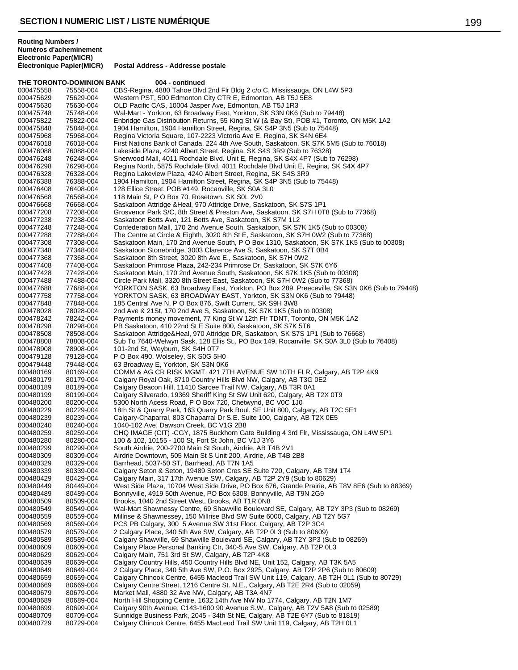**Electronic Paper(MICR) Postal Address - Addresse postale** 

**THE TORONTO-DOMINION BANK 004 - continued** 000475558 75558-004 CBS-Regina, 4880 Tahoe Blvd 2nd Flr Bldg 2 c/o C, Mississauga, ON L4W 5P3<br>000475629 75629-004 Western PST, 500 Edmonton City CTR E, Edmonton, AB T5J 5E8 000475629 75629-004 Western PST, 500 Edmonton City CTR E, Edmonton, AB T5J 5E8<br>000475630 75630-004 OLD Pacific CAS, 10004 Jasper Ave. Edmonton, AB T5J 1R3 OLD Pacific CAS, 10004 Jasper Ave, Edmonton, AB T5J 1R3 000475748 75748-004 Wal-Mart - Yorkton, 63 Broadway East, Yorkton, SK S3N 0K6 (Sub to 79448)<br>000475822 75822-004 Enbridge Gas Distribution Returns, 55 King St W (& Bay St), POB #1, Toronto Enbridge Gas Distribution Returns, 55 King St W (& Bay St), POB #1, Toronto, ON M5K 1A2 000475848 75848-004 1904 Hamilton, 1904 Hamilton Street, Regina, SK S4P 3N5 (Sub to 75448)<br>000475968 75968-004 Regina Victoria Square, 107-2223 Victoria Ave E, Regina, SK S4N 6E4 000475968 75968-004 Regina Victoria Square, 107-2223 Victoria Ave E, Regina, SK S4N 6E4<br>000476018 76018-004 First Nations Bank of Canada. 224 4th Ave South. Saskatoon. SK S7K 5 First Nations Bank of Canada, 224 4th Ave South, Saskatoon, SK S7K 5M5 (Sub to 76018) 000476088 76088-004 Lakeside Plaza, 4240 Albert Street, Regina, SK S4S 3R9 (Sub to 76328) 000476248 76248-004 Sherwood Mall, 4011 Rochdale Blvd. Unit E, Regina, SK S4X 4P7 (Sub to 76298) 000476298 76298-004 Regina North, 5875 Rochdale Blvd, 4011 Rochdale Blvd Unit E, Regina, SK S4X 4P7<br>000476328 76328-004 Regina Lakeview Plaza, 4240 Albert Street, Regina, SK S4S 3R9 000476328 76328-004 Regina Lakeview Plaza, 4240 Albert Street, Regina, SK S4S 3R9<br>000476388 76388-004 1904 Hamilton. 1904 Hamilton Street. Regina, SK S4P 3N5 (Sub 000476388 76388-004 1904 Hamilton, 1904 Hamilton Street, Regina, SK S4P 3N5 (Sub to 75448)<br>000476408 76408-004 128 Ellice Street, POB #149, Rocanville, SK S0A 3L0 000476408 76408-004 128 Ellice Street, POB #149, Rocanville, SK S0A 3L0<br>000476568 76568-004 118 Main St, P O Box 70, Rosetown, SK S0L 2V0 000476568 76568-004 118 Main St, P O Box 70, Rosetown, SK S0L 2V0<br>000476668 76668-004 Saskatoon Attridge & Heal, 970 Attridge Drive, Sas 000476668 76668-004 Saskatoon Attridge &Heal, 970 Attridge Drive, Saskatoon, SK S7S 1P1<br>000477208 77208-004 Grosvenor Park S/C, 8th Street & Preston Ave, Saskatoon, SK S7H 0T8 000477208 77208-004 Grosvenor Park S/C, 8th Street & Preston Ave, Saskatoon, SK S7H 0T8 (Sub to 77368)<br>000477238 77238-004 Saskatoon Betts Ave, 121 Betts Ave, Saskatoon, SK S7M 1L2 000477238 77238-004 Saskatoon Betts Ave, 121 Betts Ave, Saskatoon, SK S7M 1L2<br>000477248 77248-004 Confederation Mall, 170 2nd Avenue South, Saskatoon, SK S7 000477248 77248-004 Confederation Mall, 170 2nd Avenue South, Saskatoon, SK S7K 1K5 (Sub to 00308)<br>000477288 77288-004 The Centre at Circle & Eighth. 3020 8th St E. Saskatoon. SK S7H 0W2 (Sub to 7736 The Centre at Circle & Eighth, 3020 8th St E, Saskatoon, SK S7H 0W2 (Sub to 77368) 000477308 77308-004 Saskatoon Main, 170 2nd Avenue South, P O Box 1310, Saskatoon, SK S7K 1K5 (Sub to 00308)<br>000477348 77348-004 Saskatoon Stonebridge, 3003 Clarence Ave S, Saskatoon, SK S7T 0B4 Saskatoon Stonebridge, 3003 Clarence Ave S, Saskatoon, SK S7T 0B4 000477368 77368-004 Saskatoon 8th Street, 3020 8th Ave E., Saskatoon, SK S7H 0W2 000477408 77408-004 Saskatoon Primrose Plaza, 242-234 Primrose Dr, Saskatoon, SK S7K 6Y6<br>000477428 77428-004 Saskatoon Main. 170 2nd Avenue South. Saskatoon. SK S7K 1K5 (Sub to Saskatoon Main, 170 2nd Avenue South, Saskatoon, SK S7K 1K5 (Sub to 00308) 000477488 77488-004 Circle Park Mall, 3320 8th Street East, Saskatoon, SK S7H 0W2 (Sub to 77368) 77688-004 YORKTON SASK, 63 Broadway East, Yorkton, PO Box 289, Preeceville, SK S3N 0K6 (Sub to 79448)<br>77758-004 YORKTON SASK, 63 BROADWAY FAST, Yorkton, SK S3N 0K6 (Sub to 79448) 000477758 77758-004 YORKTON SASK, 63 BROADWAY EAST, Yorkton, SK S3N 0K6 (Sub to 79448)<br>000477848 77848-004 185 Central Ave N, P O Box 876, Swift Current, SK S9H 3W8 000477848 77848-004 185 Central Ave N, P O Box 876, Swift Current, SK S9H 3W8<br>000478028 78028-004 2nd Ave & 21St. 170 2nd Ave S. Saskatoon. SK S7K 1K5 (Su 2nd Ave & 21St, 170 2nd Ave S, Saskatoon, SK S7K 1K5 (Sub to 00308) 000478242 78242-004 Payments money movement, 77 King St W 12th Flr TDNT, Toronto, ON M5K 1A2<br>000478298 78298-004 PB Saskatoon, 410 22nd St E Suite 800, Saskatoon, SK S7K 5T6 000478298 78298-004 PB Saskatoon, 410 22nd St E Suite 800, Saskatoon, SK S7K 5T6 000478508 78508-004 Saskatoon Attridge&Heal, 970 Attridge DR, Saskatoon, SK S7S 1P1 (Sub to 76668) 000478808 78808-004 Sub To 7640-Welwyn Sask, 128 Ellis St., PO Box 149, Rocanville, SK S0A 3L0 (Sub to 76408)<br>000478908 78908-004 101-2nd St. Weyburn, SK S4H 0T7 000478908 78908-004 101-2nd St, Weyburn, SK S4H 0T7<br>000479128 79128-004 PO Box 490, Wolseley, SK S0G 5H 000479128 79128-004 P O Box 490, Wolseley, SK S0G 5H0<br>000479448 79448-004 63 Broadway E, Yorkton, SK S3N 0K6 79448-004 63 Broadway E, Yorkton, SK S3N 0K6<br>80169-004 COMM & AG CR RISK MGMT, 421 7T 000480169 80169-004 COMM & AG CR RISK MGMT, 421 7TH AVENUE SW 10TH FLR, Calgary, AB T2P 4K9<br>000480179 80179-004 Calgary Royal Oak, 8710 Country Hills Blvd NW, Calgary, AB T3G 0E2 000480179 80179-004 Calgary Royal Oak, 8710 Country Hills Blvd NW, Calgary, AB T3G 0E2<br>000480189 80189-004 Calgary Beacon Hill, 11410 Sarcee Trail NW, Calgary, AB T3R 0A1 000480189 80189-004 Calgary Beacon Hill, 11410 Sarcee Trail NW, Calgary, AB T3R 0A1<br>000480199 80199-004 Calgary Silverado, 19369 Sheriff King St SW Unit 620, Calgary, AB 000480199 80199-004 Calgary Silverado, 19369 Sheriff King St SW Unit 620, Calgary, AB T2X 0T9<br>000480200 80200-004 5300 North Acess Road. P O Box 720. Chetwynd. BC V0C 1J0 5300 North Acess Road, P O Box 720, Chetwynd, BC V0C 1J0 000480229 80229-004 18th St & Quarry Park, 163 Quarry Park Boul. SE Unit 800, Calgary, AB T2C 5E1<br>000480239 80239-004 Calgary-Chaparral, 803 Chaparral Dr S.E. Suite 100, Calgary, AB T2X 0E5 000480239 80239-004 Calgary-Chaparral, 803 Chaparral Dr S.E. Suite 100, Calgary, AB T2X 0E5<br>000480240 80240-004 1040-102 Ave. Dawson Creek. BC V1G 2B8 000480240 80240-004 1040-102 Ave, Dawson Creek, BC V1G 2B8 000480259 80259-004 CHQ IMAGE (CIT) -CGY, 1875 Buckhorn Gate Building 4 3rd Flr, Mississauga, ON L4W 5P1<br>000480280 80280-004 100 & 102. 10155 - 100 St. Fort St John. BC V1J 3Y6 100 & 102, 10155 - 100 St, Fort St John, BC V1J 3Y6 000480299 80299-004 South Airdrie, 200-2700 Main St South, Airdrie, AB T4B 2V1 Airdrie Downtown, 505 Main St S Unit 200, Airdrie, AB T4B 2B8 000480329 80329-004 Barrhead, 5037-50 ST, Barrhead, AB T7N 1A5<br>000480339 80339-004 Calgary Seton & Seton, 19489 Seton Cres SE 000480339 80339-004 Calgary Seton & Seton, 19489 Seton Cres SE Suite 720, Calgary, AB T3M 1T4<br>000480429 80429-004 Calgary Main, 317 17th Avenue SW, Calgary, AB T2P 2Y9 (Sub to 80629) Calgary Main, 317 17th Avenue SW, Calgary, AB T2P 2Y9 (Sub to 80629) 000480449 80449-004 West Side Plaza, 10704 West Side Drive, PO Box 676, Grande Prairie, AB T8V 8E6 (Sub to 88369)<br>000480489 80489-004 Bonnyville, 4919 50th Avenue, PO Box 6308, Bonnyville, AB T9N 2G9 000480489 80489-004 Bonnyville, 4919 50th Avenue, PO Box 6308, Bonnyville, AB T9N 2G9<br>000480509 80509-004 Brooks, 1040 2nd Street West, Brooks, AB T1R 0N8 000480509 80509-004 Brooks, 1040 2nd Street West, Brooks, AB T1R 0N8 000480549 80549-004 Wal-Mart Shawnessy Centre, 69 Shawville Boulevard SE, Calgary, AB T2Y 3P3 (Sub to 08269)<br>000480559 80559-004 Millrise & Shawnessey, 150 Millrise Blyd SW Suite 6000, Calgary, AB T2Y 5G7 000480559 80559-004 Millrise & Shawnessey, 150 Millrise Blvd SW Suite 6000, Calgary, AB T2Y 5G7<br>000480569 80569-004 PCS PB Calgary, 300 5 Avenue SW 31st Floor, Calgary, AB T2P 3C4 000480569 80569-004 PCS PB Calgary, 300 5 Avenue SW 31st Floor, Calgary, AB T2P 3C4<br>000480579 80579-004 2 Calgary Place, 340 5th Ave SW, Calgary, AB T2P 0L3 (Sub to 80609 000480579 80579-004 2 Calgary Place, 340 5th Ave SW, Calgary, AB T2P 0L3 (Sub to 80609)<br>000480589 80589-004 Calgary Shawville, 69 Shawville Boulevard SE, Calgary, AB T2Y 3P3 (S 000480589 80589-004 Calgary Shawville, 69 Shawville Boulevard SE, Calgary, AB T2Y 3P3 (Sub to 08269)<br>000480609 80609-004 Calgary Place Personal Banking Ctr, 340-5 Ave SW, Calgary, AB T2P 0L3 000480609 80609-004 Calgary Place Personal Banking Ctr, 340-5 Ave SW, Calgary, AB T2P 0L3<br>000480629 80629-004 Calgary Main, 751 3rd St SW, Calgary, AB T2P 4K8 000480629 80629-004 Calgary Main, 751 3rd St SW, Calgary, AB T2P 4K8 000480639 80639-004 Calgary Country Hills, 450 Country Hills Blvd NE, Unit 152, Calgary, AB T3K 5A5<br>000480649 80649-004 2 Calgary Place, 340 5th Ave SW, P.O. Box 2925, Calgary, AB T2P 2P6 (Sub to a 2 Calgary Place, 340 5th Ave SW, P.O. Box 2925, Calgary, AB T2P 2P6 (Sub to 80609) 000480659 80659-004 Calgary Chinook Centre, 6455 Macleod Trail SW Unit 119, Calgary, AB T2H 0L1 (Sub to 80729)<br>000480669 80669-004 Calgary Centre Street, 1216 Centre St. N.E., Calgary, AB T2E 2R4 (Sub to 02059) 000480669 80669-004 Calgary Centre Street, 1216 Centre St. N.E., Calgary, AB T2E 2R4 (Sub to 02059)<br>000480679 80679-004 Market Mall, 4880 32 Ave NW, Calgary, AB T3A 4N7 000480679 80679-004 Market Mall, 4880 32 Ave NW, Calgary, AB T3A 4N7<br>000480689 80689-004 North Hill Shopping Centre, 1632 14th Ave NW No 1 000480689 80689-004 North Hill Shopping Centre, 1632 14th Ave NW No 1774, Calgary, AB T2N 1M7<br>000480699 80699-004 Calgary 90th Avenue, C143-1600 90 Avenue S.W., Calgary, AB T2V 5A8 (Sub t Calgary 90th Avenue, C143-1600 90 Avenue S.W., Calgary, AB T2V 5A8 (Sub to 02589) 000480709 80709-004 Sunnidge Business Park, 2045 - 34th St NE, Calgary, AB T2E 6Y7 (Sub to 81819) Calgary Chinook Centre, 6455 MacLeod Trail SW Unit 119, Calgary, AB T2H 0L1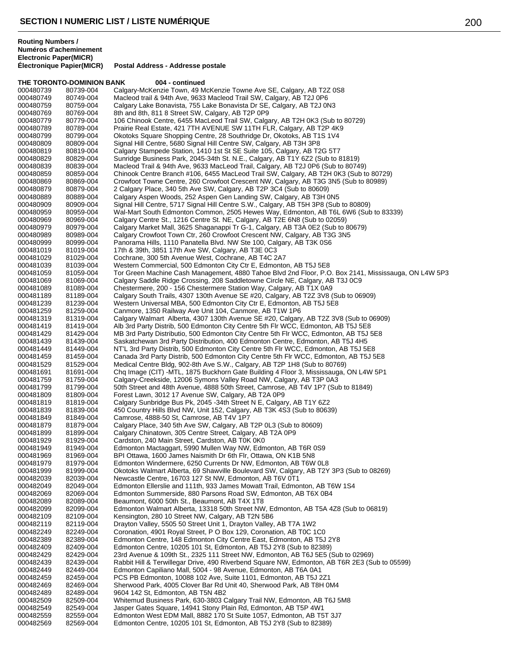**THE TORONTO-DOMINION BANK 004 - continued** 000480739 80739-004 Calgary-McKenzie Town, 49 McKenzie Towne Ave SE, Calgary, AB T2Z 0S8<br>000480749 80749-004 Macleod trail & 94th Ave, 9633 Macleod Trail SW, Calgary, AB T2J 0P6 000480749 80749-004 Macleod trail & 94th Ave, 9633 Macleod Trail SW, Calgary, AB T2J 0P6 Calgary Lake Bonavista, 755 Lake Bonavista Dr SE, Calgary, AB T2J 0N3 000480769 80769-004 8th and 8th, 811 8 Street SW, Calgary, AB T2P 0P9<br>000480779 80779-004 106 Chinook Centre, 6455 MacLeod Trail SW, Calga 106 Chinook Centre, 6455 MacLeod Trail SW, Calgary, AB T2H 0K3 (Sub to 80729) 000480789 80789-004 Prairie Real Estate, 421 7TH AVENUE SW 11TH FLR, Calgary, AB T2P 4K9<br>000480799 80799-004 Okotoks Square Shopping Centre, 28 Southridge Dr, Okotoks, AB T1S 1V4 000480799 80799-004 Okotoks Square Shopping Centre, 28 Southridge Dr, Okotoks, AB T1S 1V4<br>000480809 80809-004 Signal Hill Centre, 5680 Signal Hill Centre SW, Calgary, AB T3H 3P8 Signal Hill Centre, 5680 Signal Hill Centre SW, Calgary, AB T3H 3P8 000480819 80819-004 Calgary Stampede Station, 1410 1st St SE Suite 105, Calgary, AB T2G 5T7<br>000480829 80829-004 Sunridge Business Park, 2045-34th St. N.E., Calgary, AB T1Y 6Z2 (Sub to 8 000480829 80829-004 Sunridge Business Park, 2045-34th St. N.E., Calgary, AB T1Y 6Z2 (Sub to 81819) 000480839 80839-004 Macleod Trail & 94th Ave, 9633 MacLeod Trail, Calgary, AB T2J 0P6 (Sub to 80749) 000480859 80859-004 Chinook Centre Branch #106, 6455 MacLeod Trail SW, Calgary, AB T2H 0K3 (Sub to 80729)<br>000480869 80869-004 Crowfoot Towne Centre. 260 Crowfoot Crescent NW. Calgary. AB T3G 3N5 (Sub to 80989) 000480869 80869-004 Crowfoot Towne Centre, 260 Crowfoot Crescent NW, Calgary, AB T3G 3N5 (Sub to 80989)<br>000480879 80879-004 2 Calgary Place, 340 5th Ave SW, Calgary, AB T2P 3C4 (Sub to 80609) 000480879 80879-004 2 Calgary Place, 340 5th Ave SW, Calgary, AB T2P 3C4 (Sub to 80609) 000480889 80889-004 Calgary Aspen Woods, 252 Aspen Gen Landing SW, Calgary, AB T3H 0N5 000480909 80909-004 Signal Hill Centre, 5717 Signal Hill Centre S.W., Calgary, AB T5H 3P8 (Sub to 80809) 000480959 80959-004 Wal-Mart South Edmonton Common, 2505 Hewes Way, Edmonton, AB T6L 6W6 (Sub to 83339)<br>000480969 80969-004 Calgary Centre St., 1216 Centre St., NF. Calgary, AB T2F 6N8 (Sub to 02059) 000480969 80969-004 Calgary Centre St., 1216 Centre St. NE, Calgary, AB T2E 6N8 (Sub to 02059) 000480979 80979-004 Calgary Market Mall, 3625 Shaganappi Tr G-1, Calgary, AB T3A 0E2 (Sub to 80679)<br>000480989 80989-004 Calgary Crowfoot Town Ctr. 260 Crowfoot Crescent NW. Calgary. AB T3G 3N5 Calgary Crowfoot Town Ctr, 260 Crowfoot Crescent NW, Calgary, AB T3G 3N5 000480999 80999-004 Panorama Hills, 1110 Panatella Blvd. NW Ste 100, Calgary, AB T3K 0S6<br>000481019 81019-004 17th & 39th, 3851 17th Ave SW, Calgary, AB T3E 0C3 17th & 39th, 3851 17th Ave SW, Calgary, AB T3E 0C3 000481029 81029-004 Cochrane, 300 5th Avenue West, Cochrane, AB T4C 2A7<br>000481039 81039-004 Western Commercial, 500 Edmonton City Ctr E, Edmonto 000481039 81039-004 Western Commercial, 500 Edmonton City Ctr E, Edmonton, AB T5J 5E8<br>000481059 81059-004 Tor Green Machine Cash Management. 4880 Tahoe Blvd 2nd Floor. P.O Tor Green Machine Cash Management, 4880 Tahoe Blvd 2nd Floor, P.O. Box 2141, Mississauga, ON L4W 5P3 000481069 81069-004 Calgary Saddle Ridge Crossing, 208 Saddletowne Circle NE, Calgary, AB T3J 0C9<br>000481089 81089-004 Chestermere, 200 - 156 Chestermere Station Way, Calgary, AB T1X 0A9 Chestermere, 200 - 156 Chestermere Station Way, Calgary, AB T1X 0A9 000481189 81189-004 Calgary South Trails, 4307 130th Avenue SE #20, Calgary, AB T2Z 3V8 (Sub to 06909)<br>000481239 81239-004 Western Universal MBA, 500 Edmonton City Ctr E, Edmonton, AB T5J 5E8 000481239 81239-004 Western Universal MBA, 500 Edmonton City Ctr E, Edmonton, AB T5J 5E8<br>000481259 81259-004 Canmore. 1350 Railway Ave Unit 104. Canmore. AB T1W 1P6 Canmore, 1350 Railway Ave Unit 104, Canmore, AB T1W 1P6 000481319 81319-004 Calgary Walmart Alberta, 4307 130th Avenue SE #20, Calgary, AB T2Z 3V8 (Sub to 06909)<br>000481419 81419-004 Alb 3rd Party Distrib, 500 Edmonton City Centre 5th Flr WCC, Edmonton, AB T5J 5E8 000481419 81419-004 Alb 3rd Party Distrib, 500 Edmonton City Centre 5th Flr WCC, Edmonton, AB T5J 5E8<br>1000481429 81429-004 MB 3rd Party Distributio, 500 Edmonton City Centre 5th Flr WCC, Edmonton, AB T5J 000481429 81429-004 MB 3rd Party Distributio, 500 Edmonton City Centre 5th Flr WCC, Edmonton, AB T5J 5E8<br>000481439 81439-004 Saskatchewan 3rd Party Distribution, 400 Edmonton Centre, Edmonton, AB T5J 4H5 000481439 81439-004 Saskatchewan 3rd Party Distribution, 400 Edmonton Centre, Edmonton, AB T5J 4H5<br>000481449 81449-004 NT'l 3rd Party Distrib. 500 Edmonton City Centre 5th Flr WCC. Edmonton, AB T5J 5 000481449 81449-004 NT'L 3rd Party Distrib, 500 Edmonton City Centre 5th Flr WCC, Edmonton, AB T5J 5E8<br>000481459 81459-004 Canada 3rd Party Distrib, 500 Edmonton City Centre 5th Flr WCC, Edmonton, AB T5J 5 000481459 81459-004 Canada 3rd Party Distrib, 500 Edmonton City Centre 5th Flr WCC, Edmonton, AB T5J 5E8<br>000481529 81529-004 Medical Centre Bldg, 902-8th Ave S.W., Calgary, AB T2P 1H8 (Sub to 80769) Medical Centre Bldg, 902-8th Ave S.W., Calgary, AB T2P 1H8 (Sub to 80769) 000481691 81691-004 Chq Image (CIT) -MTL, 1875 Buckhorn Gate Building 4 Floor 3, Mississauga, ON L4W 5P1 000481759 81759-004 Calgary-Creekside, 12006 Symons Valley Road NW, Calgary, AB T3P 0A3 000481799 81799-004 50th Street and 48th Avenue, 4888 50th Street, Camrose, AB T4V 1P7 (Sub to 81849)<br>000481809 81809-004 Forest Lawn, 3012 17 Avenue SW, Calgary, AB T2A 0P9 000481809 81809-004 Forest Lawn, 3012 17 Avenue SW, Calgary, AB T2A 0P9<br>000481819 81819-004 Calgary Sunbridge Bus Pk. 2045 -34th Street N E. Calgar Calgary Sunbridge Bus Pk, 2045 -34th Street N E, Calgary, AB T1Y 6Z2 000481839 81839-004 450 Country Hills Blvd NW, Unit 152, Calgary, AB T3K 4S3 (Sub to 80639)<br>000481849 81849-004 Camrose, 4888-50 St, Camrose, AB T4V 1P7 Camrose, 4888-50 St, Camrose, AB T4V 1P7 000481879 81879-004 Calgary Place, 340 5th Ave SW, Calgary, AB T2P 0L3 (Sub to 80609)<br>000481899 81899-004 Calgary Chinatown, 305 Centre Street, Calgary, AB T2A 0P9 000481899 81899-004 Calgary Chinatown, 305 Centre Street, Calgary, AB T2A 0P9<br>000481929 81929-004 Cardston. 240 Main Street. Cardston. AB T0K 0K0 Cardston, 240 Main Street, Cardston, AB T0K 0K0 000481949 81949-004 Edmonton Mactaggart, 5990 Mullen Way NW, Edmonton, AB T6R 0S9<br>000481969 81969-004 BPI Ottawa, 1600 James Naismith Dr 6th Flr, Ottawa, ON K1B 5N8 000481969 81969-004 BPI Ottawa, 1600 James Naismith Dr 6th Flr, Ottawa, ON K1B 5N8 000481979 81979-004 Edmonton Windermere, 6250 Currents Dr NW, Edmonton, AB T6W 0L8<br>000481999 81999-004 Okotoks Walmart Alberta, 69 Shawville Boulevard SW, Calgary, AB T2Y 000481999 81999-004 Okotoks Walmart Alberta, 69 Shawville Boulevard SW, Calgary, AB T2Y 3P3 (Sub to 08269)<br>000482039 82039-004 Newcastle Centre. 16703 127 St NW. Edmonton. AB T6V 0T1 Newcastle Centre, 16703 127 St NW, Edmonton, AB T6V 0T1 000482049 82049-004 Edmonton Ellerslie and 111th, 933 James Mowatt Trail, Edmonton, AB T6W 1S4<br>000482069 82069-004 Edmonton Summerside, 880 Parsons Road SW, Edmonton, AB T6X 0B4 000482069 82069-004 Edmonton Summerside, 880 Parsons Road SW, Edmonton, AB T6X 0B4<br>000482089 82089-004 Beaumont, 6000 50th St., Beaumont, AB T4X 1T8 000482089 82089-004 Beaumont, 6000 50th St., Beaumont, AB T4X 1T8<br>000482099 82099-004 Edmonton Walmart Alberta. 13318 50th Street NW 000482099 82099-004 Edmonton Walmart Alberta, 13318 50th Street NW, Edmonton, AB T5A 4Z8 (Sub to 06819)<br>000482109 82109-004 Kensington, 280 10 Street NW, Calgary, AB T2N 5B6 000482109 82109-004 Kensington, 280 10 Street NW, Calgary, AB T2N 5B6<br>000482119 82119-004 Drayton Valley, 5505 50 Street Unit 1, Drayton Valley, 000482119 82119-004 Drayton Valley, 5505 50 Street Unit 1, Drayton Valley, AB T7A 1W2 Coronation, 4901 Royal Street, P O Box 129, Coronation, AB T0C 1C0 000482389 82389-004 Edmonton Centre, 148 Edmonton City Centre East, Edmonton, AB T5J 2Y8 Edmonton Centre, 10205 101 St, Edmonton, AB T5J 2Y8 (Sub to 82389) 000482429 82429-004 23rd Avenue & 109th St., 2325 111 Street NW, Edmonton, AB T6J 5E5 (Sub to 02969) 000482439 82439-004 Rabbit Hill & Terwillegar Drive, 490 Riverbend Square NW, Edmonton, AB T6R 2E3 (Sub to 05599)<br>000482449 82449-004 Edmonton Capiliano Mall. 5004 - 98 Avenue. Edmonton. AB T6A 0A1 Edmonton Capiliano Mall, 5004 - 98 Avenue, Edmonton, AB T6A 0A1 000482459 82459-004 PCS PB Edmonton, 10088 102 Ave, Suite 1101, Edmonton, AB T5J 2Z1 Sherwood Park, 4005 Clover Bar Rd Unit 40, Sherwood Park, AB T8H 0M4 000482489 82489-004 9604 142 St, Edmonton, AB T5N 4B2<br>000482509 82509-004 Whitemud Business Park, 630-3803 C 000482509 82509-004 Whitemud Business Park, 630-3803 Calgary Trail NW, Edmonton, AB T6J 5M8<br>000482549 82549-004 Jasper Gates Square, 14941 Stony Plain Rd, Edmonton, AB T5P 4W1 Jasper Gates Square, 14941 Stony Plain Rd, Edmonton, AB T5P 4W1 000482559 82559-004 Edmonton West EDM Mall, 8882 170 St Suite 1057, Edmonton, AB T5T 3J7<br>000482569 82569-004 Edmonton Centre, 10205 101 St, Edmonton, AB T5J 2Y8 (Sub to 82389) Edmonton Centre, 10205 101 St, Edmonton, AB T5J 2Y8 (Sub to 82389)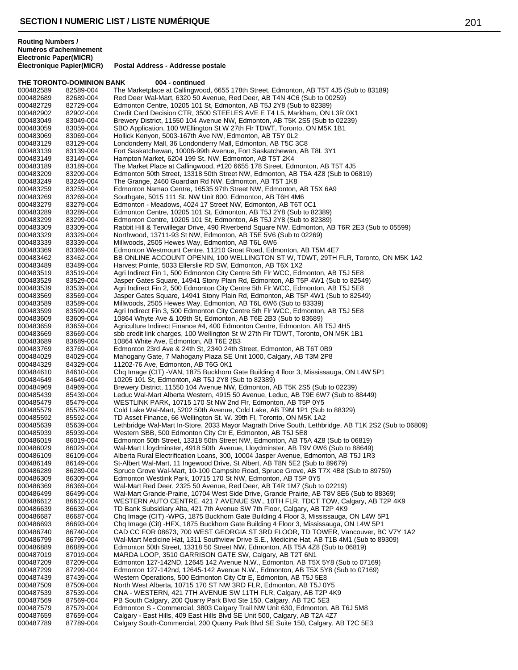**THE TORONTO-DOMINION BANK 004 - continued** 000482589 82589-004 The Marketplace at Callingwood, 6655 178th Street, Edmonton, AB T5T 4J5 (Sub to 83189)<br>000482689 82689-004 Red Deer Wal-Mart, 6320 50 Avenue, Red Deer, AB T4N 4C6 (Sub to 00259) 000482689 82689-004 Red Deer Wal-Mart, 6320 50 Avenue, Red Deer, AB T4N 4C6 (Sub to 00259)<br>000482729 82729-004 Edmonton Centre, 10205 101 St. Edmonton, AB T5J 2Y8 (Sub to 82389) Edmonton Centre, 10205 101 St, Edmonton, AB T5J 2Y8 (Sub to 82389) 000482902 82902-004 Credit Card Decision CTR, 3500 STEELES AVE E T4 L5, Markham, ON L3R 0X1<br>000483049 83049-004 Brewery District, 11550 104 Avenue NW, Edmonton, AB T5K 2S5 (Sub to 02239) 000483049 83049-004 Brewery District, 11550 104 Avenue NW, Edmonton, AB T5K 2S5 (Sub to 02239)<br>000483059 83059-004 SBO Application. 100 WEllington St W 27th Flr TDWT. Toronto. ON M5K 1B1 000483059 83059-004 SBO Application, 100 WEllington St W 27th Flr TDWT, Toronto, ON M5K 1B1<br>000483069 83069-004 Hollick Kenyon, 5003-167th Ave NW, Edmonton, AB T5Y 0L2 000483069 83069-004 Hollick Kenyon, 5003-167th Ave NW, Edmonton, AB T5Y 0L2 Londonderry Mall, 36 Londonderry Mall, Edmonton, AB T5C 3C8 000483139 83139-004 Fort Saskatchewan, 10006-99th Avenue, Fort Saskatchewan, AB T8L 3Y1<br>000483149 83149-004 Hampton Market, 6204 199 St. NW, Edmonton, AB T5T 2K4 000483149 83149-004 Hampton Market, 6204 199 St. NW, Edmonton, AB T5T 2K4<br>000483189 83189-004 The Market Place at Callingwood, #120 6655 178 Street, Edi 000483189 83189-004 The Market Place at Callingwood, #120 6655 178 Street, Edmonton, AB T5T 4J5<br>000483209 83209-004 Edmonton 50th Street, 13318 50th Street NW, Edmonton, AB T5A 4Z8 (Sub to 06 000483209 83209-004 Edmonton 50th Street, 13318 50th Street NW, Edmonton, AB T5A 4Z8 (Sub to 06819)<br>000483249 83249-004 The Grange, 2460 Guardian Rd NW, Edmonton, AB T5T 1K8 000483249 83249-004 The Grange, 2460 Guardian Rd NW, Edmonton, AB T5T 1K8<br>000483259 83259-004 Edmonton Namao Centre, 16535 97th Street NW, Edmonton, 000483259 83259-004 Edmonton Namao Centre, 16535 97th Street NW, Edmonton, AB T5X 6A9<br>000483269 83269-004 Southgate, 5015 111 St. NW Unit 800, Edmonton, AB T6H 4M6 Southgate, 5015 111 St. NW Unit 800, Edmonton, AB T6H 4M6 000483279 83279-004 Edmonton - Meadows, 4024 17 Street NW, Edmonton, AB T6T 0C1 000483289 83289-004 Edmonton Centre, 10205 101 St, Edmonton, AB T5J 2Y8 (Sub to 82389) 000483299 83299-004 Edmonton Centre, 10205 101 St, Edmonton, AB T5J 2Y8 (Sub to 82389) 000483309 83309-004 Rabbit Hill & Terwillegar Drive, 490 Riverbend Square NW, Edmonton, AB T6R 2E3 (Sub to 05599)<br>000483329 83329-004 Northwood. 13711-93 St NW. Edmonton. AB T5E 5V6 (Sub to 02269) Northwood, 13711-93 St NW, Edmonton, AB T5E 5V6 (Sub to 02269) 000483339 83339-004 Millwoods, 2505 Hewes Way, Edmonton, AB T6L 6W6 Edmonton Westmount Centre, 11210 Groat Road, Edmonton, AB T5M 4E7 000483462 83462-004 BB ONLINE ACCOUNT OPENIN, 100 WELLINGTON ST W, TDWT, 29TH FLR, Toronto, ON M5K 1A2<br>000483489 83489-004 Harvest Pointe, 5033 Ellerslie RD SW, Edmonton, AB T6X 1X2 000483489 83489-004 Harvest Pointe, 5033 Ellerslie RD SW, Edmonton, AB T6X 1X2<br>000483519 83519-004 Agri Indirect Fin 1, 500 Edmonton City Centre 5th Flr WCC. Edr Agri Indirect Fin 1, 500 Edmonton City Centre 5th Flr WCC, Edmonton, AB T5J 5E8 000483529 83529-004 Jasper Gates Square, 14941 Stony Plain Rd, Edmonton, AB T5P 4W1 (Sub to 82549) 000483539 83539-004 Agri Indirect Fin 2, 500 Edmonton City Centre 5th Flr WCC, Edmonton, AB T5J 5E8 000483569 83569-004 Jasper Gates Square, 14941 Stony Plain Rd, Edmonton, AB T5P 4W1 (Sub to 82549)<br>000483589 83589-004 Millwoods, 2505 Hewes Way, Edmonton, AB T6L 6W6 (Sub to 83339) 000483589 83589-004 Millwoods, 2505 Hewes Way, Edmonton, AB T6L 6W6 (Sub to 83339) Agri Indirect Fin 3, 500 Edmonton City Centre 5th Flr WCC, Edmonton, AB T5J 5E8 000483609 83609-004 10864 Whyte Ave & 109th St, Edmonton, AB T6E 2B3 (Sub to 83689) 000483659 83659-004 Agriculture Indirect Finance #4, 400 Edmonton Centre, Edmonton, AB T5J 4H5<br>000483669 83669-004 sbb credit link charges, 100 Wellington St W 27th Flr TDWT, Toronto, ON M5K 000483669 83669-004 sbb credit link charges, 100 Wellington St W 27th Flr TDWT, Toronto, ON M5K 1B1<br>000483689 83689-004 10864 White Ave. Edmonton. AB T6E 2B3 000483689 83689-004 10864 White Ave, Edmonton, AB T6E 2B3<br>000483769 83769-004 Fdmonton 23rd Ave & 24th St. 2340 24th S 000483769 83769-004 Edmonton 23rd Ave & 24th St, 2340 24th Street, Edmonton, AB T6T 0B9<br>000484029 84029-004 Mahogany Gate, 7 Mahogany Plaza SE Unit 1000, Calgary, AB T3M 2P8 000484029 84029-004 Mahogany Gate, 7 Mahogany Plaza SE Unit 1000, Calgary, AB T3M 2P8<br>000484329 84329-004 11202-76 Ave, Edmonton, AB T6G 0K1 000484329 84329-004 11202-76 Ave, Edmonton, AB T6G 0K1 000484610 84610-004 Chq Image (CIT) -VAN, 1875 Buckhorn Gate Building 4 floor 3, Mississauga, ON L4W 5P1<br>000484649 84649-004 10205 101 St, Edmonton, AB T5J 2Y8 (Sub to 82389) 000484649 84649-004 10205 101 St, Edmonton, AB T5J 2Y8 (Sub to 82389)<br>000484969 84969-004 Brewery District, 11550 104 Avenue NW, Edmonton 000484969 84969-004 Brewery District, 11550 104 Avenue NW, Edmonton, AB T5K 2S5 (Sub to 02239) 000485439 85439-004 Leduc Wal-Mart Alberta Western, 4915 50 Avenue, Leduc, AB T9E 6W7 (Sub to 88449)<br>000485479 85479-004 WESTLINK PARK. 10715 170 St NW 2nd Flr. Edmonton. AB T5P 0Y5 WESTLINK PARK, 10715 170 St NW 2nd Flr, Edmonton, AB T5P 0Y5 000485579 85579-004 Cold Lake Wal-Mart, 5202 50th Avenue, Cold Lake, AB T9M 1P1 (Sub to 88329)<br>000485592 85592-004 TD Asset Finance, 66 Wellington St. W. 39th Fl, Toronto, ON M5K 1A2 000485592 85592-004 TD Asset Finance, 66 Wellington St. W. 39th Fl, Toronto, ON M5K 1A2 000485639 85639-004 Lethbridge Wal-Mart In-Store, 2033 Mayor Magrath Drive South, Lethbridge, AB T1K 2S2 (Sub to 06809)<br>000485939 85939-004 Western SBB, 500 Edmonton City Ctr E, Edmonton, AB T5J 5E8 000485939 85939-004 Western SBB, 500 Edmonton City Ctr E, Edmonton, AB T5J 5E8<br>000486019 86019-004 Edmonton 50th Street. 13318 50th Street NW. Edmonton. AB T5. Edmonton 50th Street, 13318 50th Street NW, Edmonton, AB T5A 4Z8 (Sub to 06819) 000486029 86029-004 Wal-Mart Lloydminster, 4918 50th Avenue, Lloydminster, AB T9V 0W6 (Sub to 88649) Alberta Rural Electrification Loans, 300, 10004 Jasper Avenue, Edmonton, AB T5J 1R3 000486149 86149-004 St-Albert Wal-Mart, 11 Ingewood Drive, St Albert, AB T8N 5E2 (Sub to 89679) 000486289 86289-004 Spruce Grove Wal-Mart, 10-100 Campsite Road, Spruce Grove, AB T7X 4B8 (Sub to 89759)<br>000486309 86309-004 Edmonton Westlink Park, 10715 170 St NW, Edmonton, AB T5P 0Y5 Edmonton Westlink Park, 10715 170 St NW, Edmonton, AB T5P 0Y5 000486369 86369-004 Wal-Mart Red Deer, 2325 50 Avenue, Red Deer, AB T4R 1M7 (Sub to 02219) 000486499 86499-004 Wal-Mart Grande-Prairie, 10704 West Side Drive, Grande Prairie, AB T8V 8E6 (Sub to 88369)<br>000486612 86612-004 WESTERN AUTO CENTRE, 421 7 AVENUE SW., 10TH FLR, TDCT TOW, Calgary, AB T2P 4 000486612 86612-004 WESTERN AUTO CENTRE, 421 7 AVENUE SW., 10TH FLR, TDCT TOW, Calgary, AB T2P 4K9<br>000486639 86639-004 TD Bank Subsidiary Alta. 421 7th Avenue SW 7th Floor. Calgary. AB T2P 4K9 000486639 86639-004 TD Bank Subsidiary Alta, 421 7th Avenue SW 7th Floor, Calgary, AB T2P 4K9<br>000486687 86687-004 Chg Image (CIT) -WPG, 1875 Buckhorn Gate Building 4 Floor 3. Mississauga. 000486687 86687-004 Chq Image (CIT) -WPG, 1875 Buckhorn Gate Building 4 Floor 3, Mississauga, ON L4W 5P1<br>000486693 86693-004 Chq Image (Cit) -HFX, 1875 Buckhorn Gate Building 4 Floor 3, Mississauga, ON L4W 5P1 000486693 86693-004 Chq Image (Cit) -HFX, 1875 Buckhorn Gate Building 4 Floor 3, Mississauga, ON L4W 5P1<br>000486740 86740-004 CAD CC FOR 08673, 700 WEST GEORGIA ST 3RD FLOOR, TD TOWER, Vancouver, BO 000486740 86740-004 CAD CC FOR 08673, 700 WEST GEORGIA ST 3RD FLOOR, TD TOWER, Vancouver, BC V7Y 1A2<br>000486799 86799-004 Wal-Mart Medicine Hat, 1311 Southview Drive S.E., Medicine Hat, AB T1B 4M1 (Sub to 89309) 000486799 86799-004 Wal-Mart Medicine Hat, 1311 Southview Drive S.E., Medicine Hat, AB T1B 4M1 (Sub to 89309)<br>000486889 86889-004 Edmonton 50th Street, 13318 50 Street NW, Edmonton, AB T5A 4Z8 (Sub to 06819) 000486889 86889-004 Edmonton 50th Street, 13318 50 Street NW, Edmonton, AB T5A 4Z8 (Sub to 06819)<br>000487019 87019-004 MARDA LOOP, 3510 GARRISON GATE SW, Calgary, AB T2T 6N1 000487019 87019-004 MARDA LOOP, 3510 GARRISON GATE SW, Calgary, AB T2T 6N1<br>000487209 87209-004 Edmonton 127-142ND, 12645 142 Avenue N.W., Edmonton, AB T5. 000487209 87209-004 Edmonton 127-142ND, 12645 142 Avenue N.W., Edmonton, AB T5X 5Y8 (Sub to 07169)<br>000487299 87299-004 Edmonton 127-142nd. 12645-142 Avenue N.W., Edmonton, AB T5X 5Y8 (Sub to 07169) Edmonton 127-142nd, 12645-142 Avenue N.W., Edmonton, AB T5X 5Y8 (Sub to 07169) 000487439 87439-004 Western Operations, 500 Edmonton City Ctr E, Edmonton, AB T5J 5E8<br>000487509 87509-004 North West Alberta, 10715 170 ST NW 3RD FLR, Edmonton, AB T5J 0 North West Alberta, 10715 170 ST NW 3RD FLR, Edmonton, AB T5J 0Y5 000487539 87539-004 CNA - WESTERN, 421 7TH AVENUE SW 11TH FLR, Calgary, AB T2P 4K9<br>000487569 87569-004 PB South Calgary, 200 Quarry Park Blvd Ste 150, Calgary, AB T2C 5E3 000487569 87569-004 PB South Calgary, 200 Quarry Park Blvd Ste 150, Calgary, AB T2C 5E3<br>000487579 87579-004 Edmonton S - Commercial. 3803 Calgary Trail NW Unit 630. Edmonton. Edmonton S - Commercial, 3803 Calgary Trail NW Unit 630, Edmonton, AB T6J 5M8 000487659 87659-004 Calgary - East Hills, 409 East Hills Blvd SE Unit 500, Calgary, AB T2A 4Z7<br>000487789 87789-004 Calgary South-Commercial, 200 Quarry Park Blvd SE Suite 150, Calgary, / Calgary South-Commercial, 200 Quarry Park Blvd SE Suite 150, Calgary, AB T2C 5E3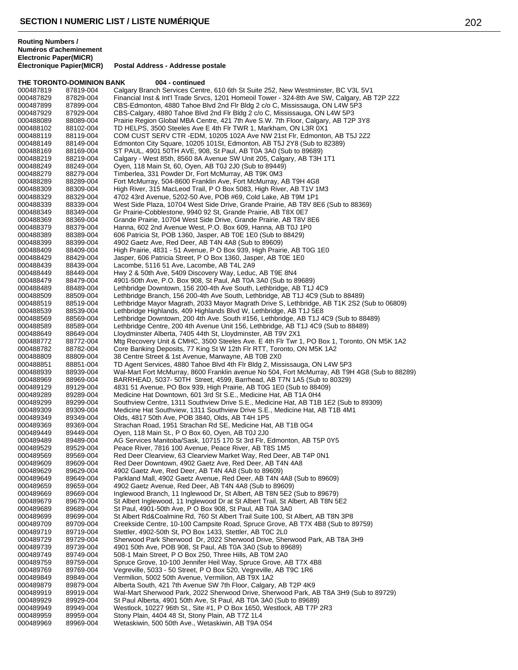## **THE TORONTO-DOMINION BANK 004 - continued**

| 000487819              | 87819-004              | Calgary Branch Services Centre, 610 6th St Suite 252, New Westminster, BC V3L 5V1                                                                                        |
|------------------------|------------------------|--------------------------------------------------------------------------------------------------------------------------------------------------------------------------|
| 000487829              | 87829-004              | Financial Inst & Int'l Trade Srvcs, 1201 Homeoil Tower - 324-8th Ave SW, Calgary, AB T2P 2Z2                                                                             |
| 000487899              | 87899-004              | CBS-Edmonton, 4880 Tahoe Blvd 2nd Flr Bldg 2 c/o C, Mississauga, ON L4W 5P3                                                                                              |
| 000487929              | 87929-004              | CBS-Calgary, 4880 Tahoe Blvd 2nd Flr Bldg 2 c/o C, Mississauga, ON L4W 5P3                                                                                               |
| 000488089              | 88089-004              | Prairie Region Global MBA Centre, 421 7th Ave S.W. 7th Floor, Calgary, AB T2P 3Y8                                                                                        |
| 000488102              | 88102-004              | TD HELPS, 3500 Steeles Ave E 4th Flr TWR 1, Markham, ON L3R 0X1                                                                                                          |
| 000488119              | 88119-004              | COM CUST SERV CTR - EDM, 10205 102A Ave NW 21st Flr, Edmonton, AB T5J 2Z2                                                                                                |
| 000488149              | 88149-004              | Edmonton City Square, 10205 101St, Edmonton, AB T5J 2Y8 (Sub to 82389)                                                                                                   |
| 000488169              | 88169-004              | ST PAUL, 4901 50TH AVE, 908, St Paul, AB T0A 3A0 (Sub to 89689)                                                                                                          |
| 000488219              | 88219-004              | Calgary - West 85th, 8560 8A Avenue SW Unit 205, Calgary, AB T3H 1T1                                                                                                     |
| 000488249<br>000488279 | 88249-004<br>88279-004 | Oyen, 118 Main St, 60, Oyen, AB T0J 2J0 (Sub to 89449)<br>Timberlea, 331 Powder Dr, Fort McMurray, AB T9K 0M3                                                            |
| 000488289              | 88289-004              | Fort McMurray, 504-8600 Franklin Ave, Fort McMurray, AB T9H 4G8                                                                                                          |
| 000488309              | 88309-004              | High River, 315 MacLeod Trail, P O Box 5083, High River, AB T1V 1M3                                                                                                      |
| 000488329              | 88329-004              | 4702 43rd Avenue, 5202-50 Ave, POB #69, Cold Lake, AB T9M 1P1                                                                                                            |
| 000488339              | 88339-004              | West Side Plaza, 10704 West Side Drive, Grande Prairie, AB T8V 8E6 (Sub to 88369)                                                                                        |
| 000488349              | 88349-004              | Gr Prairie-Cobblestone, 9940 92 St, Grande Prairie, AB T8X 0E7                                                                                                           |
| 000488369              | 88369-004              | Grande Prairie, 10704 West Side Drive, Grande Prairie, AB T8V 8E6                                                                                                        |
| 000488379              | 88379-004              | Hanna, 602 2nd Avenue West, P.O. Box 609, Hanna, AB T0J 1P0                                                                                                              |
| 000488389              | 88389-004              | 606 Patricia St, POB 1360, Jasper, AB T0E 1E0 (Sub to 88429)                                                                                                             |
| 000488399              | 88399-004              | 4902 Gaetz Ave, Red Deer, AB T4N 4A8 (Sub to 89609)                                                                                                                      |
| 000488409              | 88409-004              | High Prairie, 4831 - 51 Avenue, P O Box 939, High Prairie, AB T0G 1E0                                                                                                    |
| 000488429              | 88429-004              | Jasper, 606 Patricia Street, P O Box 1360, Jasper, AB T0E 1E0                                                                                                            |
| 000488439              | 88439-004              | Lacombe, 5116 51 Ave, Lacombe, AB T4L 2A9                                                                                                                                |
| 000488449              | 88449-004              | Hwy 2 & 50th Ave, 5409 Discovery Way, Leduc, AB T9E 8N4                                                                                                                  |
| 000488479              | 88479-004              | 4901-50th Ave, P.O. Box 908, St Paul, AB T0A 3A0 (Sub to 89689)                                                                                                          |
| 000488489              | 88489-004              | Lethbridge Downtown, 156 200-4th Ave South, Lethbridge, AB T1J 4C9                                                                                                       |
| 000488509              | 88509-004              | Lethbridge Branch, 156 200-4th Ave South, Lethbridge, AB T1J 4C9 (Sub to 88489)                                                                                          |
| 000488519              | 88519-004              | Lethbridge Mayor Magrath, 2033 Mayor Magrath Drive S, Lethbridge, AB T1K 2S2 (Sub to 06809)                                                                              |
| 000488539              | 88539-004              | Lethbridge Highlands, 409 Highlands Blvd W, Lethbridge, AB T1J 5E8                                                                                                       |
| 000488569              | 88569-004<br>88589-004 | Lethbridge Downtown, 200 4th Ave. South #156, Lethbridge, AB T1J 4C9 (Sub to 88489)<br>Lethbridge Centre, 200 4th Avenue Unit 156, Lethbridge, AB T1J 4C9 (Sub to 88489) |
| 000488589<br>000488649 | 88649-004              | Lloydminster Alberta, 7405 44th St, Lloydminster, AB T9V 2X1                                                                                                             |
| 000488772              | 88772-004              | Mtg Recovery Unit & CMHC, 3500 Steeles Ave. E 4th Flr Twr 1, PO Box 1, Toronto, ON M5K 1A2                                                                               |
| 000488782              | 88782-004              | Core Banking Deposits, 77 King St W 12th Flr RTT, Toronto, ON M5K 1A2                                                                                                    |
| 000488809              | 88809-004              | 38 Centre Street & 1st Avenue, Marwayne, AB T0B 2X0                                                                                                                      |
| 000488851              |                        |                                                                                                                                                                          |
|                        |                        |                                                                                                                                                                          |
|                        | 88851-004              | TD Agent Services, 4880 Tahoe Blvd 4th Flr Bldg 2, Mississauga, ON L4W 5P3                                                                                               |
| 000488939<br>000488969 | 88939-004<br>88969-004 | Wal-Mart Fort McMurray, 8600 Franklin avenue No 504, Fort McMurray, AB T9H 4G8 (Sub to 88289)<br>BARRHEAD, 5037- 50TH Street, 4599, Barrhead, AB T7N 1A5 (Sub to 80329)  |
| 000489129              | 89129-004              | 4831 51 Avenue, PO Box 939, High Prairie, AB T0G 1E0 (Sub to 88409)                                                                                                      |
| 000489289              | 89289-004              | Medicine Hat Downtown, 601 3rd St S.E., Medicine Hat, AB T1A 0H4                                                                                                         |
| 000489299              | 89299-004              | Southview Centre, 1311 Southview Drive S.E., Medicine Hat, AB T1B 1E2 (Sub to 89309)                                                                                     |
| 000489309              | 89309-004              | Medicine Hat Southview, 1311 Southview Drive S.E., Medicine Hat, AB T1B 4M1                                                                                              |
| 000489349              | 89349-004              | Olds, 4817 50th Ave, POB 3840, Olds, AB T4H 1P5                                                                                                                          |
| 000489369              | 89369-004              | Strachan Road, 1951 Strachan Rd SE, Medicine Hat, AB T1B 0G4                                                                                                             |
| 000489449              | 89449-004              | Oyen, 118 Main St., P O Box 60, Oyen, AB T0J 2J0                                                                                                                         |
| 000489489              | 89489-004              | AG Services Manitoba/Sask, 10715 170 St 3rd Flr, Edmonton, AB T5P 0Y5                                                                                                    |
| 000489529              | 89529-004              | Peace River, 7816 100 Avenue, Peace River, AB T8S 1M5                                                                                                                    |
| 000489569              | 89569-004              | Red Deer Clearview, 63 Clearview Market Way, Red Deer, AB T4P 0N1                                                                                                        |
| 000489609              | 89609-004              | Red Deer Downtown, 4902 Gaetz Ave, Red Deer, AB T4N 4A8                                                                                                                  |
| 000489629              | 89629-004              | 4902 Gaetz Ave, Red Deer, AB T4N 4A8 (Sub to 89609)                                                                                                                      |
| 000489649              | 89649-004              | Parkland Mall, 4902 Gaetz Avenue, Red Deer, AB T4N 4A8 (Sub to 89609)                                                                                                    |
| 000489659              | 89659-004              | 4902 Gaetz Avenue, Red Deer, AB T4N 4A8 (Sub to 89609)                                                                                                                   |
| 000489669              | 89669-004              | Inglewood Branch, 11 Inglewood Dr, St Albert, AB T8N 5E2 (Sub to 89679)                                                                                                  |
| 000489679              | 89679-004              | St Albert Inglewood, 11 Inglewood Dr at St Albert Trail, St Albert, AB T8N 5E2                                                                                           |
| 000489689              | 89689-004              | St Paul, 4901-50th Ave, P O Box 908, St Paul, AB T0A 3A0                                                                                                                 |
| 000489699              | 89699-004              | St Albert Rd&Coalmine Rd, 760 St Albert Trail Suite 100, St Albert, AB T8N 3P8                                                                                           |
| 000489709              | 89709-004              | Creekside Centre, 10-100 Campsite Road, Spruce Grove, AB T7X 4B8 (Sub to 89759)                                                                                          |
| 000489719<br>000489729 | 89719-004<br>89729-004 | Stettler, 4902-50th St, PO Box 1433, Stettler, AB T0C 2L0<br>Sherwood Park Sherwood Dr, 2022 Sherwood Drive, Sherwood Park, AB T8A 3H9                                   |
| 000489739              | 89739-004              | 4901 50th Ave, POB 908, St Paul, AB T0A 3A0 (Sub to 89689)                                                                                                               |
| 000489749              | 89749-004              | 508-1 Main Street, P O Box 250, Three Hills, AB T0M 2A0                                                                                                                  |
| 000489759              | 89759-004              | Spruce Grove, 10-100 Jennifer Heil Way, Spruce Grove, AB T7X 4B8                                                                                                         |
| 000489769              | 89769-004              | Vegreville, 5033 - 50 Street, P O Box 520, Vegreville, AB T9C 1R6                                                                                                        |
| 000489849              | 89849-004              | Vermilion, 5002 50th Avenue, Vermilion, AB T9X 1A2                                                                                                                       |
| 000489879              | 89879-004              | Alberta South, 421 7th Avenue SW 7th Floor, Calgary, AB T2P 4K9                                                                                                          |
| 000489919              | 89919-004              | Wal-Mart Sherwood Park, 2022 Sherwood Drive, Sherwood Park, AB T8A 3H9 (Sub to 89729)                                                                                    |
| 000489929              | 89929-004              | St Paul Alberta, 4901 50th Ave, St Paul, AB T0A 3A0 (Sub to 89689)                                                                                                       |
| 000489949              | 89949-004              | Westlock, 10227 96th St., Site #1, P O Box 1650, Westlock, AB T7P 2R3                                                                                                    |
| 000489959<br>000489969 | 89959-004<br>89969-004 | Stony Plain, 4404 48 St, Stony Plain, AB T7Z 1L4<br>Wetaskiwin, 500 50th Ave., Wetaskiwin, AB T9A 0S4                                                                    |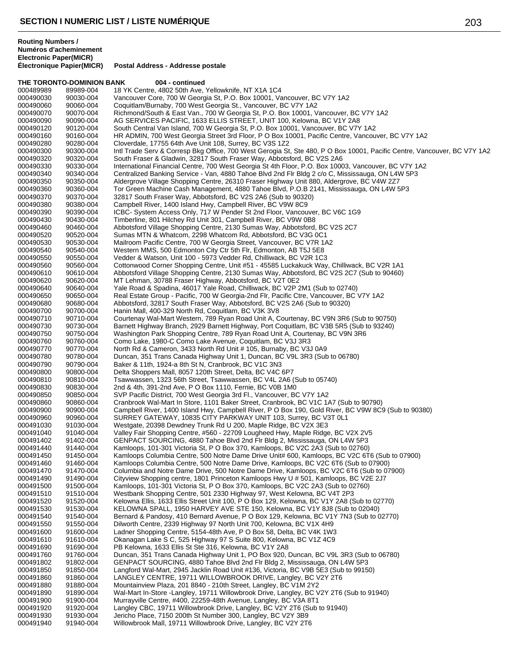**THE TORONTO-DOMINION BANK 004 - continued** 000489989 89989-004 18 YK Centre, 4802 50th Ave, Yellowknife, NT X1A 1C4<br>000490030 90030-004 Vancouver Core, 700 W Georgia St, P.O. Box 10001, Va 000490030 90030-004 Vancouver Core, 700 W Georgia St, P.O. Box 10001, Vancouver, BC V7Y 1A2<br>000490060 90060-004 Coquitlam/Burnaby, 700 West Georgia St., Vancouver, BC V7Y 1A2 Coquitlam/Burnaby, 700 West Georgia St., Vancouver, BC V7Y 1A2 000490070 90070-004 Richmond/South & East Van., 700 W Georgia St, P.O. Box 10001, Vancouver, BC V7Y 1A2<br>000490090 90090-004 AG SERVICES PACIFIC, 1633 ELLIS STREET, UNIT 100, Kelowna, BC V1Y 2A8 000490090 90090-004 AG SERVICES PACIFIC, 1633 ELLIS STREET, UNIT 100, Kelowna, BC V1Y 2A8 000490120 90120-004 South Central Van Island, 700 W Georgia St, P.O. Box 10001, Vancouver, BC V7Y 1A2 000490160 90160-004 HR ADMIN, 700 West Georgia Street 3rd Floor, P O Box 10001, Pacific Centre, Vancouver, BC V7Y 1A2<br>000490280 90280-004 Cloverdale. 17755 64th Ave Unit 108. Surrev. BC V3S 1Z2 Cloverdale, 17755 64th Ave Unit 108, Surrey, BC V3S 1Z2 000490300 90300-004 Intl Trade Serv & Corresp Bkg Office, 700 West Gerogia St, Ste 480, P O Box 10001, Pacific Centre, Vancouver, BC V7Y 1A2<br>000490320 90320-004 South Fraser & Gladwin, 32817 South Fraser Way, Abbotsford, B 000490320 90320-004 South Fraser & Gladwin, 32817 South Fraser Way, Abbotsford, BC V2S 2A6 000490330 90330-004 International Financial Centre, 700 West Georgia St 4th Floor, P.O. Box 10003, Vancouver, BC V7Y 1A2<br>000490340 90340-004 Centralized Banking Service - Van. 4880 Tahoe Blvd 2nd Flr Bldg 2 c/o C. Mississa 000490340 90340-004 Centralized Banking Service - Van, 4880 Tahoe Blvd 2nd Flr Bldg 2 c/o C, Mississauga, ON L4W 5P3<br>000490350 90350-004 Aldergrove Village Shopping Centre, 26310 Fraser Highway Unit 880, Aldergrove, BC V4W 000490350 90350-004 Aldergrove Village Shopping Centre, 26310 Fraser Highway Unit 880, Aldergrove, BC V4W 2Z7 000490360 90360-004 Tor Green Machine Cash Management, 4880 Tahoe Blvd, P.O.B 2141, Mississauga, ON L4W 5P3<br>000490370 90370-004 32817 South Fraser Way, Abbotsford, BC V2S 2A6 (Sub to 90320) 32817 South Fraser Way, Abbotsford, BC V2S 2A6 (Sub to 90320) 000490380 90380-004 Campbell River, 1400 Island Hwy, Campbell River, BC V9W 8C9 000490390 90390-004 ICBC- System Access Only, 717 W Pender St 2nd Floor, Vancouver, BC V6C 1G9<br>000490430 90430-004 Timberline, 801 Hilchey Rd Unit 301, Campbell River, BC V9W 0B8 000490430 90430-004 Timberline, 801 Hilchey Rd Unit 301, Campbell River, BC V9W 0B8<br>000490460 90460-004 Abbotsford Village Shopping Centre, 2130 Sumas Way, Abbotsford, 000490460 90460-004 Abbotsford Village Shopping Centre, 2130 Sumas Way, Abbotsford, BC V2S 2C7<br>000490520 90520-004 Sumas MTN & Whatcom. 2298 Whatcom Rd. Abbotsford. BC V3G 0C1 Sumas MTN & Whatcom, 2298 Whatcom Rd, Abbotsford, BC V3G 0C1 000490530 90530-004 Mailroom Pacific Centre, 700 W Georgia Street, Vancouver, BC V7R 1A2<br>000490540 90540-004 Western MMS, 500 Edmonton City Ctr 5th Flr, Edmonton, AB T5J 5E8 Western MMS, 500 Edmonton City Ctr 5th Flr, Edmonton, AB T5J 5E8 000490550 90550-004 Vedder & Watson, Unit 100 - 5973 Vedder Rd, Chilliwack, BC V2R 1C3<br>000490560 90560-004 Cottonwood Corner Shopping Centre, Unit #51 - 45585 Luckakuck Way 000490560 90560-004 Cottonwood Corner Shopping Centre, Unit #51 - 45585 Luckakuck Way, Chilliwack, BC V2R 1A1<br>000490610 90610-004 Abbotsford Village Shopping Centre, 2130 Sumas Way, Abbotsford, BC V2S 2C7 (Sub to 90460) Abbotsford Village Shopping Centre, 2130 Sumas Way, Abbotsford, BC V2S 2C7 (Sub to 90460) 000490620 90620-004 MT Lehman, 30788 Fraser Highway, Abbotsford, BC V2T 0E2 000490640 90640-004 Yale Road & Spadina, 46017 Yale Road, Chilliwack, BC V2P 2M1 (Sub to 02740) 000490650 90650-004 Real Estate Group - Pacific, 700 W Georgia-2nd Flr, Pacific Ctre, Vancouver, BC V7Y 1A2<br>000490680 90680-004 Abbotsford, 32817 South Fraser Way, Abbotsford, BC V2S 2A6 (Sub to 90320) 000490680 90680-004 Abbotsford, 32817 South Fraser Way, Abbotsford, BC V2S 2A6 (Sub to 90320)<br>000490700 90700-004 Hanin Mall. 400-329 North Rd. Coguitlam. BC V3K 3V8 Hanin Mall, 400-329 North Rd, Coquitlam, BC V3K 3V8 000490710 90710-004 Courtenay Wal-Mart Western, 789 Ryan Road Unit A, Courtenay, BC V9N 3R6 (Sub to 90750) 000490730 90730-004 Barnett Highway Branch, 2929 Barnett Highway, Port Coquitlam, BC V3B 5R5 (Sub to 93240)<br>000490750 90750-004 Washington Park Shopping Centre, 789 Ryan Road Unit A, Courtenay, BC V9N 3R6 000490750 90750-004 Washington Park Shopping Centre, 789 Ryan Road Unit A, Courtenay, BC V9N 3R6<br>000490760 90760-004 Como Lake, 1980-C Como Lake Avenue, Coquitlam, BC V3J 3R3 000490760 90760-004 Como Lake, 1980-C Como Lake Avenue, Coquitlam, BC V3J 3R3 000490770 90770-004 North Rd & Cameron, 3433 North Rd Unit # 105, Burnaby, BC V3J 0A9<br>000490780 90780-004 Duncan, 351 Trans Canada Highway Unit 1, Duncan, BC V9L 3R3 (Sub 000490780 90780-004 Duncan, 351 Trans Canada Highway Unit 1, Duncan, BC V9L 3R3 (Sub to 06780)<br>000490790 90790-004 Baker & 11th, 1924-a 8th St N, Cranbrook, BC V1C 3N3 000490790 90790-004 Baker & 11th, 1924-a 8th St N, Cranbrook, BC V1C 3N3<br>000490800 90800-004 Delta Shoppers Mall, 8057 120th Street, Delta, BC V4C ( 000490800 90800-004 Delta Shoppers Mall, 8057 120th Street, Delta, BC V4C 6P7<br>000490810 90810-004 Tsawwassen. 1323 56th Street. Tsawwassen. BC V4L 2A6 ( 000490810 90810-004 Tsawwassen, 1323 56th Street, Tsawwassen, BC V4L 2A6 (Sub to 05740)<br>000490830 90830-004 2nd & 4th 391-2nd Ave. P O Box 1110. Fernie, BC V0B 1M0 000490830 90830-004 2nd & 4th, 391-2nd Ave, P O Box 1110, Fernie, BC V0B 1M0<br>000490850 90850-004 SVP Pacific District, 700 West Georgia 3rd Fl., Vancouver, B 000490850 90850-004 SVP Pacific District, 700 West Georgia 3rd Fl., Vancouver, BC V7Y 1A2 Cranbrook Wal-Mart In Store, 1101 Baker Street, Cranbrook, BC V1C 1A7 (Sub to 90790) 000490900 90900-004 Campbell River, 1400 Island Hwy, Campbell River, P O Box 190, Gold River, BC V9W 8C9 (Sub to 90380)<br>000490960 90960-004 SURREY GATEWAY, 10835 CITY PARKWAY UNIT 103, Surrey, BC V3T 0L1 SURREY GATEWAY, 10835 CITY PARKWAY UNIT 103, Surrey, BC V3T 0L1 000491030 91030-004 Westgate, 20398 Dewdney Trunk Rd U 200, Maple Ridge, BC V2X 3E3<br>000491040 91040-004 Valley Fair Shopping Centre, #560 - 22709 Lougheed Hwy, Maple Ridge 000491040 91040-004 Valley Fair Shopping Centre, #560 - 22709 Lougheed Hwy, Maple Ridge, BC V2X 2V5<br>000491402 91402-004 GENPACT SOURCING, 4880 Tahoe Blvd 2nd Fir Bldg 2. Mississauga, ON L4W 5P3 GENPACT SOURCING, 4880 Tahoe Blvd 2nd Flr Bldg 2, Mississauga, ON L4W 5P3 000491440 91440-004 Kamloops, 101-301 Victoria St, P O Box 370, Kamloops, BC V2C 2A3 (Sub to 02760) Kamloops Columbia Centre, 500 Notre Dame Drive Unit# 600, Kamloops, BC V2C 6T6 (Sub to 07900) 000491460 91460-004 Kamloops Columbia Centre, 500 Notre Dame Drive, Kamloops, BC V2C 6T6 (Sub to 07900) 000491470 91470-004 Columbia and Notre Dame Drive, 500 Notre Dame Drive, Kamloops, BC V2C 6T6 (Sub to 07900)<br>000491490 91490-004 Citvview Shopping centre. 1801 Princeton Kamloops Hwy U # 501. Kamloops. BC V2E 2J7 Cityview Shopping centre, 1801 Princeton Kamloops Hwy U # 501, Kamloops, BC V2E 2J7 000491500 91500-004 Kamloops, 101-301 Victoria St, P O Box 370, Kamloops, BC V2C 2A3 (Sub to 02760)<br>000491510 91510-004 Westbank Shopping Centre, 501 2330 Highway 97, West Kelowna, BC V4T 2P3 000491510 91510-004 Westbank Shopping Centre, 501 2330 Highway 97, West Kelowna, BC V4T 2P3 000491520 91520-004 Kelowna Ellis, 1633 Ellis Street Unit 100, P O Box 129, Kelowna, BC V1Y 2A8 (Sub to 02770)<br>000491530 91530-004 KELOWNA SPALL, 1950 HARVEY AVE STE 150, Kelowna, BC V1Y 8J8 (Sub to 02040) 000491530 91530-004 KELOWNA SPALL, 1950 HARVEY AVE STE 150, Kelowna, BC V1Y 8J8 (Sub to 02040) 000491540 91540-004 Bernard & Pandosy, 410 Bernard Avenue, P O Box 129, Kelowna, BC V1Y 7N3 (Sub to 02770)<br>000491550 91550-004 Dilworth Centre, 2339 Highway 97 North Unit 700, Kelowna, BC V1X 4H9 000491550 91550-004 Dilworth Centre, 2339 Highway 97 North Unit 700, Kelowna, BC V1X 4H9<br>000491600 91600-004 Ladner Shopping Centre, 5154-48th Ave, P O Box 58, Delta, BC V4K 1W3 Ladner Shopping Centre, 5154-48th Ave, P O Box 58, Delta, BC V4K 1W3 000491610 91610-004 Okanagan Lake S C, 525 Highway 97 S Suite 800, Kelowna, BC V1Z 4C9<br>000491690 91690-004 PB Kelowna, 1633 Ellis St Ste 316, Kelowna, BC V1Y 2A8 91690-004 PB Kelowna, 1633 Ellis St Ste 316, Kelowna, BC V1Y 2A8<br>91760-004 Duncan, 351 Trans Canada Highway Unit 1, PO Box 920, I 000491760 91760-004 Duncan, 351 Trans Canada Highway Unit 1, PO Box 920, Duncan, BC V9L 3R3 (Sub to 06780)<br>000491802 91802-004 GENPACT SOURCING, 4880 Tahoe Blvd 2nd Flr Bldg 2, Mississauga, ON L4W 5P3 000491802 91802-004 GENPACT SOURCING, 4880 Tahoe Blvd 2nd Flr Bldg 2, Mississauga, ON L4W 5P3<br>000491850 91850-004 Langford Wal-Mart. 2945 Jacklin Road Unit #136. Victoria. BC V9B 5E3 (Sub to 9915 Langford Wal-Mart, 2945 Jacklin Road Unit #136, Victoria, BC V9B 5E3 (Sub to 99150) 000491860 91860-004 LANGLEY CENTRE, 19711 WILLOWBROOK DRIVE, Langley, BC V2Y 2T6<br>000491880 91880-004 Mountainview Plaza, 201 8840 - 210th Street, Langley, BC V1M 2Y2 Mountainview Plaza, 201 8840 - 210th Street, Langley, BC V1M 2Y2 000491890 91890-004 Wal-Mart In-Store -Langley, 19711 Willowbrook Drive, Langley, BC V2Y 2T6 (Sub to 91940)<br>000491900 91900-004 Murrayville Centre, #400, 22259-48th Avenue, Langley, BC V3A 8T1 000491900 91900-004 Murrayville Centre, #400, 22259-48th Avenue, Langley, BC V3A 8T1 Langley CBC, 19711 Willowbrook Drive, Langley, BC V2Y 2T6 (Sub to 91940) 000491930 91930-004 Jericho Place, 7150 200th St Number 300, Langley, BC V2Y 3B9 Willowbrook Mall, 19711 Willowbrook Drive, Langley, BC V2Y 2T6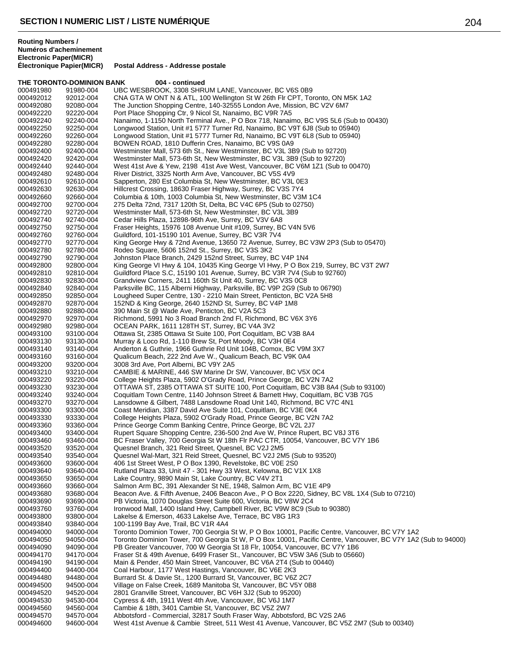**THE TORONTO-DOMINION BANK 004 - continued** 

**Postal Address - Addresse postale** 

### 000491980 91980-004 UBC WESBROOK, 3308 SHRUM LANE, Vancouver, BC V6S 0B9<br>000492012 92012-004 CNA GTA W ONT N & ATL, 100 Wellington St W 26th Flr CPT, To 000492012 92012-004 CNA GTA W ONT N & ATL, 100 Wellington St W 26th Flr CPT, Toronto, ON M5K 1A2<br>000492080 92080-004 The Junction Shopping Centre, 140-32555 London Ave, Mission, BC V2V 6M7 The Junction Shopping Centre, 140-32555 London Ave, Mission, BC V2V 6M7 000492220 92220-004 Port Place Shopping Ctr, 9 Nicol St, Nanaimo, BC V9R 7A5<br>000492240 92240-004 Nanaimo, 1-1150 North Terminal Ave., P O Box 718, Nanair Nanaimo, 1-1150 North Terminal Ave., P O Box 718, Nanaimo, BC V9S 5L6 (Sub to 00430) 000492250 92250-004 Longwood Station, Unit #1 5777 Turner Rd, Nanaimo, BC V9T 6J8 (Sub to 05940) 000492260 92260-004 Longwood Station, Unit #1 5777 Turner Rd, Nanaimo, BC V9T 6L8 (Sub to 05940)<br>000492280 92280-004 BOWEN ROAD, 1810 Dufferin Cres, Nanaimo, BC V9S 0A9 BOWEN ROAD, 1810 Dufferin Cres, Nanaimo, BC V9S 0A9 000492400 92400-004 Westminster Mall, 573 6th St., New Westminster, BC V3L 3B9 (Sub to 92720) 000492420 92420-004 Westminster Mall, 573-6th St, New Westminster, BC V3L 3B9 (Sub to 92720)<br>000492440 92440-004 West 41st Ave & Yew, 2198, 41st Ave West, Vancouver, BC V6M 171 (Sub to 000492440 92440-004 West 41st Ave & Yew, 2198 41st Ave West, Vancouver, BC V6M 1Z1 (Sub to 00470)<br>000492480 92480-004 River District. 3325 North Arm Ave. Vancouver. BC V5S 4V9 000492480 92480-004 River District, 3325 North Arm Ave, Vancouver, BC V5S 4V9<br>000492610 92610-004 Sapperton, 280 Est Columbia St. New Westminster, BC V3L 000492610 92610-004 Sapperton, 280 Est Columbia St, New Westminster, BC V3L 0E3<br>000492630 92630-004 Hillcrest Crossing, 18630 Fraser Highway, Surrey, BC V3S 7Y4 000492630 92630-004 Hillcrest Crossing, 18630 Fraser Highway, Surrey, BC V3S 7Y4 Columbia & 10th, 1003 Columbia St, New Westminster, BC V3M 1C4 000492700 92700-004 275 Delta 72nd, 7317 120th St, Delta, BC V4C 6P5 (Sub to 02750)<br>000492720 92720-004 Westminster Mall, 573-6th St, New Westminster, BC V3L 3B9 Westminster Mall, 573-6th St, New Westminster, BC V3L 3B9 000492740 92740-004 Cedar Hills Plaza, 12898-96th Ave, Surrey, BC V3V 6A8<br>000492750 92750-004 Fraser Heights, 15976 108 Avenue Unit #109, Surrey, B0 000492750 92750-004 Fraser Heights, 15976 108 Avenue Unit #109, Surrey, BC V4N 5V6<br>000492760 92760-004 Guildford, 101-15190 101 Avenue, Surrey, BC V3R 7V4 Guildford, 101-15190 101 Avenue, Surrey, BC V3R 7V4 000492770 92770-004 King George Hwy & 72nd Avenue, 13650 72 Avenue, Surrey, BC V3W 2P3 (Sub to 05470)<br>000492780 92780-004 Rodeo Square, 5606 152nd St., Surrey, BC V3S 3K2 Rodeo Square, 5606 152nd St., Surrey, BC V3S 3K2 000492790 92790-004 Johnston Place Branch, 2429 152nd Street, Surrey, BC V4P 1N4<br>000492800 92800-004 King George VI Hwy & 104, 10435 King George VI Hwy, P O Box 000492800 92800-004 King George VI Hwy & 104, 10435 King George VI Hwy, P O Box 219, Surrey, BC V3T 2W7<br>000492810 92810-004 Guildford Place S.C. 15190 101 Avenue. Surrey. BC V3R 7V4 (Sub to 92760) Guildford Place S.C, 15190 101 Avenue, Surrey, BC V3R 7V4 (Sub to 92760) 000492830 92830-004 Grandview Corners, 2411 160th St Unit 40, Surrey, BC V3S 0C8 Parksville BC, 115 Alberni Highway, Parksville, BC V9P 2G9 (Sub to 06790) 000492850 92850-004 Lougheed Super Centre, 130 - 2210 Main Street, Penticton, BC V2A 5H8<br>000492870 92870-004 152ND & King George, 2640 152ND St, Surrey, BC V4P 1M8 000492870 92870-004 152ND & King George, 2640 152ND St, Surrey, BC V4P 1M8<br>000492880 92880-004 390 Main St @ Wade Ave. Penticton. BC V2A 5C3 390 Main St @ Wade Ave, Penticton, BC V2A 5C3 000492970 92970-004 Richmond, 5991 No 3 Road Branch 2nd Fl, Richmond, BC V6X 3Y6<br>000492980 92980-004 OCEAN PARK, 1611 128TH ST, Surrey, BC V4A 3V2 000492980 92980-004 OCEAN PARK, 1611 128TH ST, Surrey, BC V4A 3V2<br>000493100 93100-004 Ottawa St, 2385 Ottawa St Suite 100, Port Coguitlam. 000493100 93100-004 Ottawa St, 2385 Ottawa St Suite 100, Port Coquitlam, BC V3B 8A4<br>000493130 93130-004 Murray & Loco Rd, 1-110 Brew St, Port Moody, BC V3H 0E4 000493130 93130-004 Murray & Loco Rd, 1-110 Brew St, Port Moody, BC V3H 0E4<br>000493140 93140-004 Anderton & Guthrie, 1966 Guthrie Rd Unit 104B, Comox, BC 000493140 93140-004 Anderton & Guthrie, 1966 Guthrie Rd Unit 104B, Comox, BC V9M 3X7<br>000493160 93160-004 Qualicum Beach, 222 2nd Ave W., Qualicum Beach, BC V9K 0A4 000493160 93160-004 Qualicum Beach, 222 2nd Ave W., Qualicum Beach, BC V9K 0A4<br>000493200 93200-004 3008 3rd Ave, Port Alberni, BC V9Y 2A5 3008 3rd Ave, Port Alberni, BC V9Y 2A5 000493210 93210-004 CAMBIE & MARINE, 446 SW Marine Dr SW, Vancouver, BC V5X 0C4<br>000493220 93220-004 College Heights Plaza, 5902 O'Grady Road, Prince George, BC V2N 7 000493220 93220-004 College Heights Plaza, 5902 O'Grady Road, Prince George, BC V2N 7A2<br>000493230 93230-004 OTTAWA ST, 2385 OTTAWA ST SUITE 100, Port Coquitlam, BC V3B 8A 000493230 93230-004 OTTAWA ST, 2385 OTTAWA ST SUITE 100, Port Coquitlam, BC V3B 8A4 (Sub to 93100)<br>000493240 93240-004 Coquitlam Town Centre, 1140 Johnson Street & Barnett Hwy, Coquitlam, BC V3B 7G5 000493240 93240-004 Coquitlam Town Centre, 1140 Johnson Street & Barnett Hwy, Coquitlam, BC V3B 7G5<br>000493270 93270-004 Lansdowne & Gilbert. 7488 Lansdowne Road Unit 140. Richmond. BC V7C 4N1 Lansdowne & Gilbert, 7488 Lansdowne Road Unit 140, Richmond, BC V7C 4N1 000493300 93300-004 Coast Meridian, 3387 David Ave Suite 101, Coquitlam, BC V3E 0K4<br>000493330 93330-004 College Heights Plaza, 5902 O'Grady Road, Prince George, BC V2N College Heights Plaza, 5902 O'Grady Road, Prince George, BC V2N 7A2 000493360 93360-004 Prince George Comm Banking Centre, Prince George, BC V2L 2J7<br>000493400 93400-004 Rupert Square Shopping Centre, 236-500 2nd Ave W, Prince Rupe 000493400 93400-004 Rupert Square Shopping Centre, 236-500 2nd Ave W, Prince Rupert, BC V8J 3T6<br>000493460 93460-004 BC Fraser Vallev, 700 Georgia St W 18th Flr PAC CTR, 10054, Vancouver, BC V7 BC Fraser Valley, 700 Georgia St W 18th Flr PAC CTR, 10054, Vancouver, BC V7Y 1B6 000493520 93520-004 Quesnel Branch, 321 Reid Street, Quesnel, BC V2J 2M5 Quesnel Wal-Mart, 321 Reid Street, Quesnel, BC V2J 2M5 (Sub to 93520) 000493600 93600-004 406 1st Street West, P O Box 1390, Revelstoke, BC V0E 2S0 000493640 93640-004 Rutland Plaza 33, Unit 47 - 301 Hwy 33 West, Kelowna, BC V1X 1X8<br>000493650 93650-004 Lake Country, 9890 Main St. Lake Country, BC V4V 2T1 Lake Country, 9890 Main St, Lake Country, BC V4V 2T1 000493660 93660-004 Salmon Arm BC, 391 Alexander St NE, 1948, Salmon Arm, BC V1E 4P9<br>000493680 93680-004 Beacon Ave. & Fifth Avenue, 2406 Beacon Ave., P O Box 2220, Sidney, 000493680 93680-004 Beacon Ave. & Fifth Avenue, 2406 Beacon Ave., P O Box 2220, Sidney, BC V8L 1X4 (Sub to 07210)<br>000493690 93690-004 PB Victoria, 1070 Douglas Street Suite 600, Victoria, BC V8W 2C4 000493690 93690-004 PB Victoria, 1070 Douglas Street Suite 600, Victoria, BC V8W 2C4<br>000493760 93760-004 Ironwood Mall. 1400 Island Hwy. Campbell River. BC V9W 8C9 (Su 000493760 93760-004 Ironwood Mall, 1400 Island Hwy, Campbell River, BC V9W 8C9 (Sub to 90380)<br>000493800 93800-004 Iakelse & Emerson, 4633 Lakelse Ave, Terrace, BC V8G 1R3 000493800 93800-004 Lakelse & Emerson, 4633 Lakelse Ave, Terrace, BC V8G 1R3<br>000493840 93840-004 100-1199 Bay Ave, Trail, BC V1R 4A4 000493840 93840-004 100-1199 Bay Ave, Trail, BC V1R 4A4<br>000494000 94000-004 Toronto Dominion Tower, 700 Georgia Toronto Dominion Tower, 700 Georgia St W, P O Box 10001, Pacific Centre, Vancouver, BC V7Y 1A2 000494050 94050-004 Toronto Dominion Tower, 700 Georgia St W, P O Box 10001, Pacific Centre, Vancouver, BC V7Y 1A2 (Sub to 94000)<br>000494090 94090-004 PB Greater Vancouver, 700 W Georgia St 18 Flr, 10054, Vancouver, BC V7Y 94090-004 PB Greater Vancouver, 700 W Georgia St 18 Flr, 10054, Vancouver, BC V7Y 1B6<br>94170-004 Fraser St & 49th Avenue, 6499 Fraser St., Vancouver, BC V5W 3A6 (Sub to 0566 000494170 94170-004 Fraser St & 49th Avenue, 6499 Fraser St., Vancouver, BC V5W 3A6 (Sub to 05660)<br>000494190 94190-004 Main & Pender, 450 Main Street, Vancouver, BC V6A 2T4 (Sub to 00440) 000494190 94190-004 Main & Pender, 450 Main Street, Vancouver, BC V6A 2T4 (Sub to 00440)<br>000494400 94400-004 Coal Harbour, 1177 West Hastings, Vancouver, BC V6E 2K3 Coal Harbour, 1177 West Hastings, Vancouver, BC V6E 2K3 000494480 94480-004 Burrard St. & Davie St., 1200 Burrard St, Vancouver, BC V6Z 2C7 Village on False Creek, 1689 Manitoba St, Vancouver, BC V5Y 0B8 000494520 94520-004 2801 Granville Street, Vancouver, BC V6H 3J2 (Sub to 95200)<br>000494530 94530-004 Cypress & 4th, 1911 West 4th Ave, Vancouver, BC V6J 1M7 000494530 94530-004 Cypress & 4th, 1911 West 4th Ave, Vancouver, BC V6J 1M7<br>000494560 94560-004 Cambie & 18th, 3401 Cambie St, Vancouver, BC V5Z 2W7 Cambie & 18th, 3401 Cambie St, Vancouver, BC V5Z 2W7 000494570 94570-004 Abbotsford - Commercial, 32817 South Fraser Way, Abbotsford, BC V2S 2A6 West 41st Avenue & Cambie Street, 511 West 41 Avenue, Vancouver, BC V5Z 2M7 (Sub to 00340)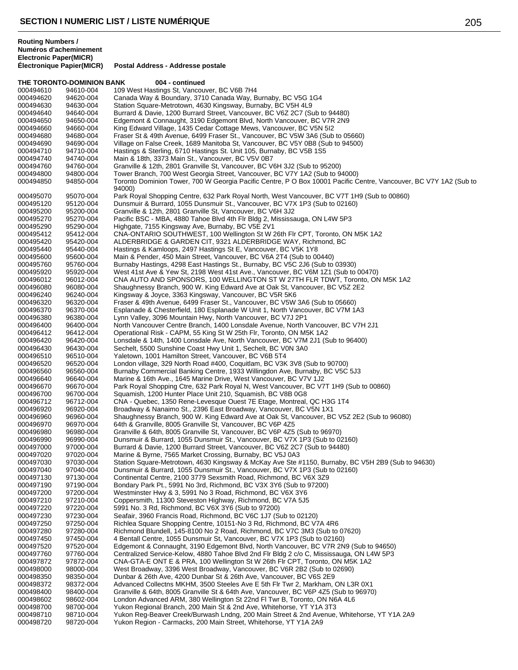**THE TORONTO-DOMINION BANK 004 - continued** 000494610 94610-004 109 West Hastings St, Vancouver, BC V6B 7H4<br>000494620 94620-004 Canada Way & Boundary, 3710 Canada Way, B 000494620 94620-004 Canada Way & Boundary, 3710 Canada Way, Burnaby, BC V5G 1G4<br>000494630 94630-004 Station Square-Metrotown, 4630 Kingsway, Burnaby, BC V5H 4L9 Station Square-Metrotown, 4630 Kingsway, Burnaby, BC V5H 4L9 000494640 94640-004 Burrard & Davie, 1200 Burrard Street, Vancouver, BC V6Z 2C7 (Sub to 94480)<br>000494650 94650-004 Edgemont & Connaught, 3190 Edgemont Blvd, North Vancouver, BC V7R 2N9 Edgemont & Connaught, 3190 Edgemont Blvd, North Vancouver, BC V7R 2N9 000494660 94660-004 King Edward Village, 1435 Cedar Cottage Mews, Vancouver, BC V5N 5l2<br>000494680 94680-004 Fraser St & 49th Avenue, 6499 Fraser St., Vancouver, BC V5W 3A6 (Sub 94680-004 Fraser St & 49th Avenue, 6499 Fraser St., Vancouver, BC V5W 3A6 (Sub to 05660) Village on False Creek, 1689 Manitoba St, Vancouver, BC V5Y 0B8 (Sub to 94500) 000494710 94710-004 Hastings & Sterling, 6710 Hastings St. Unit 105, Burnaby, BC V5B 1S5<br>000494740 94740-004 Main & 18th, 3373 Main St., Vancouver, BC V5V 0B7 94740-004 Main & 18th, 3373 Main St., Vancouver, BC V5V 0B7 000494760 94760-004 Granville & 12th, 2801 Granville St, Vancouver, BC V6H 3J2 (Sub to 95200)<br>000494800 94800-004 Tower Branch, 700 West Georgia Street, Vancouver, BC V7Y 1A2 (Sub to 9 94800-004 Tower Branch, 700 West Georgia Street, Vancouver, BC V7Y 1A2 (Sub to 94000) Toronto Dominion Tower, 700 W Georgia Pacific Centre, P O Box 10001 Pacific Centre, Vancouver, BC V7Y 1A2 (Sub to 94000) 000495070 95070-004 Park Royal Shopping Centre, 632 Park Royal North, West Vancouver, BC V7T 1H9 (Sub to 00860)<br>000495120 95120-004 Dunsmuir & Burrard, 1055 Dunsmuir St., Vancouver, BC V7X 1P3 (Sub to 02160) Dunsmuir & Burrard, 1055 Dunsmuir St., Vancouver, BC V7X 1P3 (Sub to 02160) 95200-004 Granville & 12th, 2801 Granville St, Vancouver, BC V6H 3J2 95270-004 Pacific BSC - MBA, 4880 Tahoe Blvd 4th Flr Bldg 2, Mississauga, ON L4W 5P3 95290-004 Highgate, 7155 Kingsway Ave, Burnaby, BC V5E 2V1 95412-004 CNA-ONTARIO SOUTHWEST, 100 Wellington St W 26th Flr CPT, Toronto, ON M5K 1A2 95420-004 ALDERBRIDGE & GARDEN CIT, 9321 ALDERBRIDGE WAY, Richmond, BC 95440-004 Hastings & Kamloops, 2497 Hastings St E, Vancouver, BC V5K 1Y8 95600-004 Main & Pender, 450 Main Street, Vancouver, BC V6A 2T4 (Sub to 00440) 95760-004 Burnaby Hastings, 4298 East Hastings St., Burnaby, BC V5C 2J6 (Sub to 03930) 95920-004 West 41st Ave & Yew St, 2198 West 41st Ave., Vancouver, BC V6M 1Z1 (Sub to 00470) 96012-004 CNA AUTO AND SPONSORS, 100 WELLINGTON ST W 27TH FLR TDWT, Toronto, ON M5K 1A2 96080-004 Shaughnessy Branch, 900 W. King Edward Ave at Oak St, Vancouver, BC V5Z 2E2 96240-004 Kingsway & Joyce, 3363 Kingsway, Vancouver, BC V5R 5K6 96320-004 Fraser & 49th Avenue, 6499 Fraser St., Vancouver, BC V5W 3A6 (Sub to 05660) 000496370 96370-004 Esplanade & Chesterfield, 180 Esplanade W Unit 1, North Vancouver, BC V7M 1A3<br>000496380 96380-004 Lynn Valley, 3096 Mountain Hwy, North Vancouver, BC V7J 2P1 96380-004 Lynn Valley, 3096 Mountain Hwy, North Vancouver, BC V7J 2P1 96400-004 North Vancouver Centre Branch, 1400 Lonsdale Avenue, North Vancouver, BC V7H 2J1 96412-004 Operational Risk - CAPM, 55 King St W 25th Flr, Toronto, ON M5K 1A2 96420-004 Lonsdale & 14th, 1400 Lonsdale Ave, North Vancouver, BC V7M 2J1 (Sub to 96400) 96430-004 Sechelt, 5500 Sunshine Coast Hwy Unit 1, Sechelt, BC V0N 3A0 96510-004 Yaletown, 1001 Hamilton Street, Vancouver, BC V6B 5T4 96520-004 London village, 329 North Road #400, Coquitlam, BC V3K 3V8 (Sub to 90700) 96560-004 Burnaby Commercial Banking Centre, 1933 Willingdon Ave, Burnaby, BC V5C 5J3 96640-004 Marine & 16th Ave., 1645 Marine Drive, West Vancouver, BC V7V 1J2 96670-004 Park Royal Shopping Ctre, 632 Park Royal N, West Vancouver, BC V7T 1H9 (Sub to 00860) 96700-004 Squamish, 1200 Hunter Place Unit 210, Squamish, BC V8B 0G8 96712-004 CNA - Quebec, 1350 Rene-Levesque Ouest 7E Etage, Montreal, QC H3G 1T4 96920-004 Broadway & Nanaimo St., 2396 East Broadway, Vancouver, BC V5N 1X1 96960-004 Shaughnessy Branch, 900 W. King Edward Ave at Oak St, Vancouver, BC V5Z 2E2 (Sub to 96080) 96970-004 64th & Granville, 8005 Granville St, Vancouver, BC V6P 4Z5 96980-004 Granville & 64th, 8005 Granville St, Vancouver, BC V6P 4Z5 (Sub to 96970) 96990-004 Dunsmuir & Burrard, 1055 Dunsmuir St., Vancouver, BC V7X 1P3 (Sub to 02160) 97000-004 Burrard & Davie, 1200 Burrard Street, Vancouver, BC V6Z 2C7 (Sub to 94480) 97020-004 Marine & Byrne, 7565 Market Crossing, Burnaby, BC V5J 0A3 97030-004 Station Square-Metrotown, 4630 Kingsway & McKay Ave Ste #1150, Burnaby, BC V5H 2B9 (Sub to 94630) 97040-004 Dunsmuir & Burrard, 1055 Dunsmuir St., Vancouver, BC V7X 1P3 (Sub to 02160) 97130-004 Continental Centre, 2100 3779 Sexsmith Road, Richmond, BC V6X 3Z9 97190-004 Bondary Park Pt., 5991 No 3rd, Richmond, BC V3X 3Y6 (Sub to 97200) 97200-004 Westminster Hwy & 3, 5991 No 3 Road, Richmond, BC V6X 3Y6 97210-004 Coppersmith, 11300 Steveston Highway, Richmond, BC V7A 5J5 97220-004 5991 No. 3 Rd, Richmond, BC V6X 3Y6 (Sub to 97200) 97230-004 Seafair, 3960 Francis Road, Richmond, BC V6C 1J7 (Sub to 02120) 97250-004 Richlea Square Shopping Centre, 10151-No 3 Rd, Richmond, BC V7A 4R6 000497280 97280-004 Richmond Blundell, 145-8100 No 2 Road, Richmond, BC V7C 3M3 (Sub to 07620)<br>000497450 97450-004 4 Bentall Centre, 1055 Dunsmuir St, Vancouver, BC V7X 1P3 (Sub to 02160) 4 Bentall Centre, 1055 Dunsmuir St, Vancouver, BC V7X 1P3 (Sub to 02160) 97520-004 Edgemont & Connaught, 3190 Edgemont Blvd, North Vancouver, BC V7R 2N9 (Sub to 94650) 97760-004 Centralized Service-Kelow, 4880 Tahoe Blvd 2nd Flr Bldg 2 c/o C, Mississauga, ON L4W 5P3 97872-004 CNA-GTA-E ONT E & PRA, 100 Wellington St W 26th Flr CPT, Toronto, ON M5K 1A2 98000-004 West Broadway, 3396 West Broadway, Vancouver, BC V6R 2B2 (Sub to 02690) 98350-004 Dunbar & 26th Ave, 4200 Dunbar St & 26th Ave, Vancouver, BC V6S 2E9 98372-004 Advanced Collectns MKHM, 3500 Steeles Ave E 5th Flr Twr 2, Markham, ON L3R 0X1 98400-004 Granville & 64th, 8005 Granville St & 64th Ave, Vancouver, BC V6P 4Z5 (Sub to 96970) 98602-004 London Advanced ARM, 380 Wellington St 22nd Fl Twr B, Toronto, ON N6A 4L6 98700-004 Yukon Regional Branch, 200 Main St & 2nd Ave, Whitehorse, YT Y1A 3T3 98710-004 Yukon Reg-Beaver Creek/Burwash Lndng, 200 Main Street & 2nd Avenue, Whitehorse, YT Y1A 2A9 98720-004 Yukon Region - Carmacks, 200 Main Street, Whitehorse, YT Y1A 2A9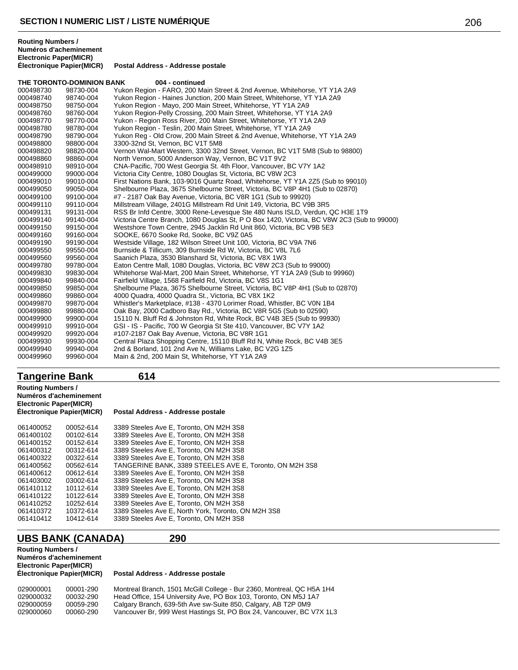|           | THE TORONTO-DOMINION BANK | 004 - continued                                                                            |
|-----------|---------------------------|--------------------------------------------------------------------------------------------|
| 000498730 | 98730-004                 | Yukon Region - FARO, 200 Main Street & 2nd Avenue, Whitehorse, YT Y1A 2A9                  |
| 000498740 | 98740-004                 | Yukon Region - Haines Junction, 200 Main Street, Whitehorse, YT Y1A 2A9                    |
| 000498750 | 98750-004                 | Yukon Region - Mayo, 200 Main Street, Whitehorse, YT Y1A 2A9                               |
| 000498760 | 98760-004                 | Yukon Region-Pelly Crossing, 200 Main Street, Whitehorse, YT Y1A 2A9                       |
| 000498770 | 98770-004                 | Yukon - Region Ross River, 200 Main Street, Whitehorse, YT Y1A 2A9                         |
| 000498780 | 98780-004                 | Yukon Region - Teslin, 200 Main Street, Whitehorse, YT Y1A 2A9                             |
| 000498790 | 98790-004                 | Yukon Reg - Old Crow, 200 Main Street & 2nd Avenue, Whitehorse, YT Y1A 2A9                 |
| 000498800 | 98800-004                 | 3300-32nd St, Vernon, BC V1T 5M8                                                           |
| 000498820 | 98820-004                 | Vernon Wal-Mart Western, 3300 32nd Street, Vernon, BC V1T 5M8 (Sub to 98800)               |
| 000498860 | 98860-004                 | North Vernon, 5000 Anderson Way, Vernon, BC V1T 9V2                                        |
| 000498910 | 98910-004                 | CNA-Pacific, 700 West Georgia St. 4th Floor, Vancouver, BC V7Y 1A2                         |
| 000499000 | 99000-004                 | Victoria City Centre, 1080 Douglas St, Victoria, BC V8W 2C3                                |
| 000499010 | 99010-004                 | First Nations Bank, 103-9016 Quartz Road, Whitehorse, YT Y1A 2Z5 (Sub to 99010)            |
| 000499050 | 99050-004                 | Shelbourne Plaza, 3675 Shelbourne Street, Victoria, BC V8P 4H1 (Sub to 02870)              |
| 000499100 | 99100-004                 | #7 - 2187 Oak Bay Avenue, Victoria, BC V8R 1G1 (Sub to 99920)                              |
| 000499110 | 99110-004                 | Millstream Village, 2401G Millstream Rd Unit 149, Victoria, BC V9B 3R5                     |
| 000499131 | 99131-004                 | RSS Br Infd Centre, 3000 Rene-Levesque Ste 480 Nuns ISLD, Verdun, QC H3E 1T9               |
| 000499140 | 99140-004                 | Victoria Centre Branch, 1080 Douglas St, P O Box 1420, Victoria, BC V8W 2C3 (Sub to 99000) |
| 000499150 | 99150-004                 | Westshore Town Centre, 2945 Jacklin Rd Unit 860, Victoria, BC V9B 5E3                      |
| 000499160 | 99160-004                 | SOOKE, 6670 Sooke Rd, Sooke, BC V9Z 0A5                                                    |
| 000499190 | 99190-004                 | Westside Village, 182 Wilson Street Unit 100, Victoria, BC V9A 7N6                         |
| 000499550 | 99550-004                 | Burnside & Tillicum, 309 Burnside Rd W, Victoria, BC V8L 7L6                               |
| 000499560 | 99560-004                 | Saanich Plaza, 3530 Blanshard St, Victoria, BC V8X 1W3                                     |
| 000499780 | 99780-004                 | Eaton Centre Mall, 1080 Douglas, Victoria, BC V8W 2C3 (Sub to 99000)                       |
| 000499830 | 99830-004                 | Whitehorse Wal-Mart, 200 Main Street, Whitehorse, YT Y1A 2A9 (Sub to 99960)                |
| 000499840 | 99840-004                 | Fairfield Village, 1568 Fairfield Rd, Victoria, BC V8S 1G1                                 |
| 000499850 | 99850-004                 | Shelbourne Plaza, 3675 Shelbourne Street, Victoria, BC V8P 4H1 (Sub to 02870)              |
| 000499860 | 99860-004                 | 4000 Quadra, 4000 Quadra St., Victoria, BC V8X 1K2                                         |
| 000499870 | 99870-004                 | Whistler's Marketplace, #138 - 4370 Lorimer Road, Whistler, BC V0N 1B4                     |
| 000499880 | 99880-004                 | Oak Bay, 2000 Cadboro Bay Rd., Victoria, BC V8R 5G5 (Sub to 02590)                         |
| 000499900 | 99900-004                 | 15110 N. Bluff Rd & Johnston Rd, White Rock, BC V4B 3E5 (Sub to 99930)                     |
| 000499910 | 99910-004                 | GSI - IS - Pacific, 700 W Georgia St Ste 410, Vancouver, BC V7Y 1A2                        |
| 000499920 | 99920-004                 | #107-2187 Oak Bay Avenue, Victoria, BC V8R 1G1                                             |
| 000499930 | 99930-004                 | Central Plaza Shopping Centre, 15110 Bluff Rd N, White Rock, BC V4B 3E5                    |
| 000499940 | 99940-004                 | 2nd & Borland, 101 2nd Ave N, Williams Lake, BC V2G 1Z5                                    |
| 000499960 | 99960-004                 | Main & 2nd, 200 Main St, Whitehorse, YT Y1A 2A9                                            |

## **Tangerine Bank 614**

## **Routing Numbers / Numéros d'acheminement Electronic Paper(MICR)**

## **Postal Address - Addresse postale**

| 061400052 | 00052-614 | 3389 Steeles Ave E. Toronto, ON M2H 3S8                 |
|-----------|-----------|---------------------------------------------------------|
| 061400102 | 00102-614 | 3389 Steeles Ave E, Toronto, ON M2H 3S8                 |
| 061400152 | 00152-614 | 3389 Steeles Ave E, Toronto, ON M2H 3S8                 |
| 061400312 | 00312-614 | 3389 Steeles Ave E, Toronto, ON M2H 3S8                 |
| 061400322 | 00322-614 | 3389 Steeles Ave E, Toronto, ON M2H 3S8                 |
| 061400562 | 00562-614 | TANGERINE BANK, 3389 STEELES AVE E, Toronto, ON M2H 3S8 |
| 061400612 | 00612-614 | 3389 Steeles Ave E. Toronto, ON M2H 3S8                 |
| 061403002 | 03002-614 | 3389 Steeles Ave E, Toronto, ON M2H 3S8                 |
| 061410112 | 10112-614 | 3389 Steeles Ave E. Toronto, ON M2H 3S8                 |
| 061410122 | 10122-614 | 3389 Steeles Ave E, Toronto, ON M2H 3S8                 |
| 061410252 | 10252-614 | 3389 Steeles Ave E, Toronto, ON M2H 3S8                 |
| 061410372 | 10372-614 | 3389 Steeles Ave E, North York, Toronto, ON M2H 3S8     |
| 061410412 | 10412-614 | 3389 Steeles Ave E, Toronto, ON M2H 3S8                 |

## **UBS BANK (CANADA) 290**

**Routing Numbers / Numéros d'acheminement Electronic Paper(MICR)**

| 029000001 | 00001-290 | Montreal Branch, 1501 McGill College - Bur 2360, Montreal, QC H5A 1H4 |
|-----------|-----------|-----------------------------------------------------------------------|
| 029000032 | 00032-290 | Head Office, 154 University Ave, PO Box 103, Toronto, ON M5J 1A7      |
| 029000059 | 00059-290 | Calgary Branch, 639-5th Ave sw-Suite 850, Calgary, AB T2P 0M9         |
| 029000060 | 00060-290 | Vancouver Br, 999 West Hastings St, PO Box 24, Vancouver, BC V7X 1L3  |
|           |           |                                                                       |